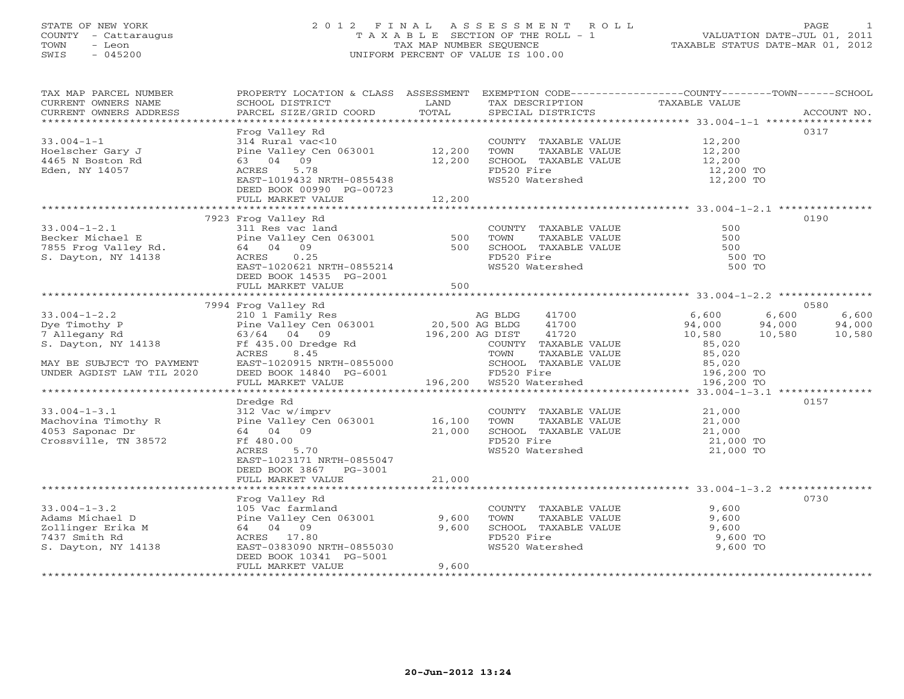# STATE OF NEW YORK 2 0 1 2 F I N A L A S S E S S M E N T R O L L PAGE 1 COUNTY - Cattaraugus T A X A B L E SECTION OF THE ROLL - 1 VALUATION DATE-JUL 01, 2011 TOWN - Leon TAX MAP NUMBER SEQUENCE TAXABLE STATUS DATE-MAR 01, 2012 SWIS - 045200 UNIFORM PERCENT OF VALUE IS 100.00UNIFORM PERCENT OF VALUE IS 100.00

| TAX MAP PARCEL NUMBER<br>CURRENT OWNERS NAME<br>CURRENT OWNERS ADDRESS                                                                                                                                                                                                                                                                                                                                             | PROPERTY LOCATION & CLASS ASSESSMENT EXEMPTION CODE---------------COUNTY-------TOWN------SCHOOL<br>SCHOOL DISTRICT<br><b>Example 12</b> LAND<br>PARCEL SIZE/GRID COORD                                                                         | TOTAL  | SPECIAL DISTRICTS                                                                     | TAX DESCRIPTION TAXABLE VALUE<br>SPECIAL DISTRICTS                                                                                           | ACCOUNT NO.     |
|--------------------------------------------------------------------------------------------------------------------------------------------------------------------------------------------------------------------------------------------------------------------------------------------------------------------------------------------------------------------------------------------------------------------|------------------------------------------------------------------------------------------------------------------------------------------------------------------------------------------------------------------------------------------------|--------|---------------------------------------------------------------------------------------|----------------------------------------------------------------------------------------------------------------------------------------------|-----------------|
| $33.004 - 1 - 1$<br>Hoelscher Gary J                                                                                                                                                                                                                                                                                                                                                                               | Frog Valley Rd<br>Frog Valley Rd<br>314 Rural vac<10<br>$314$ Kurai vaces<br>Pine Valley Cen 063001 12,200                                                                                                                                     |        |                                                                                       | COUNTY TAXABLE VALUE 12,200                                                                                                                  | 0317            |
| 4465 N Boston Rd<br>Eden, NY 14057                                                                                                                                                                                                                                                                                                                                                                                 | 63 04 09<br>ACRES<br>5.78<br>EAST-1019432 NRTH-0855438<br>DEED BOOK 00990 PG-00723                                                                                                                                                             | 12,200 | FD520 Fire<br>WS520 Watershed                                                         | TOWN TAXABLE VALUE 12,200<br>SCHOOL TAXABLE VALUE 12,200<br>TRESS TO BE 12,200<br>12,200 TO<br>12,200 TO                                     |                 |
|                                                                                                                                                                                                                                                                                                                                                                                                                    | FULL MARKET VALUE                                                                                                                                                                                                                              | 12,200 |                                                                                       |                                                                                                                                              |                 |
|                                                                                                                                                                                                                                                                                                                                                                                                                    | 7923 Frog Valley Rd                                                                                                                                                                                                                            |        |                                                                                       |                                                                                                                                              | 0190            |
| 33.004-1-2.1<br>Becker Michael E Pine Valley Cen 063001 500<br>7855 Frog Valley Rd. 64 04 09<br>S. Dayton, NY 14138 ACRES 0.25<br>EAST-1020621 NETH-0855214<br>NETH-0855214<br>NETH-020621 ACRES                                                                                                                                                                                                                   | DEED BOOK 14535 PG-2001                                                                                                                                                                                                                        |        | COUNTY TAXABLE VALUE<br>TOWN<br>SCHOOL TAXABLE VALUE<br>FD520 Fire<br>WS520 Watershed | 500<br>TAXABLE VALUE<br>500<br>500<br>500 TO<br>500 TO                                                                                       |                 |
|                                                                                                                                                                                                                                                                                                                                                                                                                    | DEED BOOK 14535 PG-2001<br>FULL MARKET VALUE 500                                                                                                                                                                                               |        |                                                                                       |                                                                                                                                              |                 |
|                                                                                                                                                                                                                                                                                                                                                                                                                    |                                                                                                                                                                                                                                                |        |                                                                                       |                                                                                                                                              | 0580            |
|                                                                                                                                                                                                                                                                                                                                                                                                                    |                                                                                                                                                                                                                                                |        |                                                                                       | $\begin{array}{cccc} 41700 & & & & & 6,600 & & & 6,600 \\ 41700 & & & & 94,000 & & 94,000 \\ 41720 & & & & 10,580 & & 10,580 \end{array}$    | 6,600<br>94,000 |
| $\begin{array}{lllllllllllll} \text{33.004--1--2.2} & \text{7994~Frog Valley Rd} & \text{AG BLDG} & \text{41700} \\ \text{Dye Timothy P} & \text{Pine Valley Cen 063001} & \text{20,500 AG BLDG} & \text{41700} \\ \text{7 Allegany Rd} & \text{63/64} & \text{04} & \text{09} & \text{196,200 AG DIST} & \text{41720} \\ \text{S. Dayton, NY 14138} & \text{RCES} & \text{8.45} & \text{COUNTY TAXABLE VALUE} \\$ |                                                                                                                                                                                                                                                |        | COUNTY TAXABLE VALUE                                                                  | 85,020                                                                                                                                       | 10,580          |
| MAY BE SUBJECT TO PAYMENT<br>UNDER AGDIST LAW TIL 2020                                                                                                                                                                                                                                                                                                                                                             | ACRES 8.45<br>EAST-1020915 NRTH-0855000<br>DEED BOOK 14840 PG-6001<br>FULL MARKET VALUE 196,200<br>FULL MARKET VALUE 196,200<br>FULL MARKET VALUE 196,200<br>FULL MARKET VALUE 196,200<br>TOWN TAXABLE VALUE VALUE 85,020<br>FULL MARKET VALUE |        |                                                                                       |                                                                                                                                              |                 |
|                                                                                                                                                                                                                                                                                                                                                                                                                    |                                                                                                                                                                                                                                                |        |                                                                                       |                                                                                                                                              |                 |
| 33.004-1-3.1<br>Machovina Timothy R<br>4053 Saponac Dr<br>Crossville, TN 38572<br>Crossville, TN 38572<br>Crossville, TN 38572<br>Crossville, TN 38572<br>Crossville, TN 38572<br>Crossville, TN 38572<br>Crossville, TN 38572<br>Crossville, TN 3                                                                                                                                                                 | Dredge Rd<br>5.70<br>ACRES                                                                                                                                                                                                                     |        |                                                                                       | COUNTY TAXABLE VALUE 21,000<br>TOWN TAXABLE VALUE 21,000<br>SCHOOL TAXABLE VALUE 21,000<br>FD520 Fire 21,000 TO<br>WS520 Watershed 21,000 TO | 0157            |
|                                                                                                                                                                                                                                                                                                                                                                                                                    | EAST-1023171 NRTH-0855047<br>DEED BOOK 3867 PG-3001<br>FULL MARKET VALUE                                                                                                                                                                       | 21,000 |                                                                                       |                                                                                                                                              |                 |
|                                                                                                                                                                                                                                                                                                                                                                                                                    | Frog Valley Rd                                                                                                                                                                                                                                 |        |                                                                                       |                                                                                                                                              | 0730            |
| S. Dayton, NY 14138                                                                                                                                                                                                                                                                                                                                                                                                | EAST-0383090 NRTH-0855030<br>DEED BOOK 10341 PG-5001                                                                                                                                                                                           |        | FD520 Fire<br>WS520 Watershed                                                         | COUNTY TAXABLE VALUE $9,600$<br>TOWN TAXABLE VALUE $9,600$<br>SCHOOL TAXABLE VALUE $9,600$<br>FD520 Fire $9,600$ TO<br>9,600 TO              |                 |
|                                                                                                                                                                                                                                                                                                                                                                                                                    | FULL MARKET VALUE                                                                                                                                                                                                                              | 9,600  |                                                                                       |                                                                                                                                              |                 |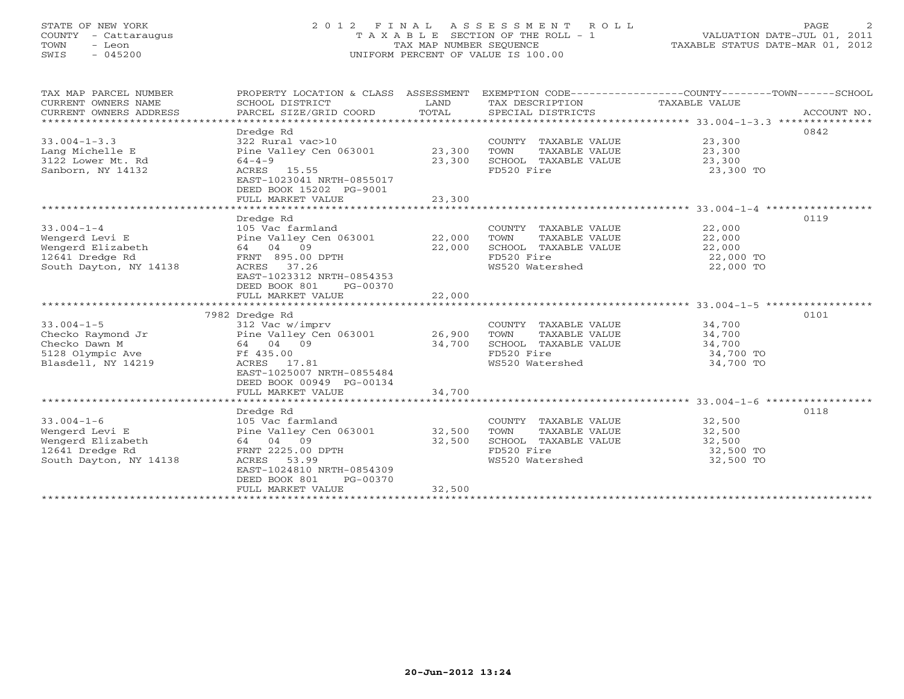# STATE OF NEW YORK 2 0 1 2 F I N A L A S S E S S M E N T R O L L PAGE 2 COUNTY - Cattaraugus T A X A B L E SECTION OF THE ROLL - 1 VALUATION DATE-JUL 01, 2011 TOWN - Leon TAX MAP NUMBER SEQUENCE TAXABLE STATUS DATE-MAR 01, 2012 SWIS - 045200 UNIFORM PERCENT OF VALUE IS 100.00UNIFORM PERCENT OF VALUE IS 100.00

| TAX MAP PARCEL NUMBER<br>CURRENT OWNERS NAME<br>CURRENT OWNERS ADDRESS                               | SCHOOL DISTRICT<br>PARCEL SIZE/GRID COORD                                                                                                                         | LAND<br>TOTAL    | TAX DESCRIPTION<br>SPECIAL DISTRICTS                                                                   | PROPERTY LOCATION & CLASS ASSESSMENT EXEMPTION CODE---------------COUNTY-------TOWN-----SCHOOL<br>TAXABLE VALUE | ACCOUNT NO. |
|------------------------------------------------------------------------------------------------------|-------------------------------------------------------------------------------------------------------------------------------------------------------------------|------------------|--------------------------------------------------------------------------------------------------------|-----------------------------------------------------------------------------------------------------------------|-------------|
| *************************                                                                            |                                                                                                                                                                   |                  |                                                                                                        |                                                                                                                 |             |
| $33.004 - 1 - 3.3$<br>Lang Michelle E<br>3122 Lower Mt. Rd<br>Sanborn, NY 14132                      | Dredge Rd<br>322 Rural vac>10<br>Pine Valley Cen 063001 23,300<br>$64 - 4 - 9$<br>ACRES 15.55<br>EAST-1023041 NRTH-0855017                                        | 23,300           | COUNTY TAXABLE VALUE<br>TOWN<br>TAXABLE VALUE<br>SCHOOL TAXABLE VALUE<br>FD520 Fire                    | 0842<br>23,300<br>23,300<br>23,300<br>23,300 TO                                                                 |             |
|                                                                                                      | DEED BOOK 15202 PG-9001<br>FULL MARKET VALUE                                                                                                                      | 23,300           |                                                                                                        |                                                                                                                 |             |
|                                                                                                      |                                                                                                                                                                   |                  |                                                                                                        |                                                                                                                 |             |
|                                                                                                      | Dredge Rd                                                                                                                                                         |                  |                                                                                                        | 0119                                                                                                            |             |
| $33.004 - 1 - 4$<br>Wengerd Levi E<br>Wengerd Elizabeth<br>12641 Dredge Rd<br>South Dayton, NY 14138 | 105 Vac farmland<br>Pine Valley Cen 063001<br>64 04 09<br>FRNT 895.00 DPTH<br>ACRES 37.26<br>EAST-1023312 NRTH-0854353<br>DEED BOOK 801<br>PG-00370               | 22,000<br>22,000 | COUNTY TAXABLE VALUE<br>TAXABLE VALUE<br>TOWN<br>SCHOOL TAXABLE VALUE<br>FD520 Fire<br>WS520 Watershed | 22,000<br>22,000<br>22,000<br>22,000 TO<br>22,000 TO                                                            |             |
|                                                                                                      | FULL MARKET VALUE                                                                                                                                                 | 22,000           |                                                                                                        |                                                                                                                 |             |
|                                                                                                      |                                                                                                                                                                   |                  |                                                                                                        |                                                                                                                 |             |
| $33.004 - 1 - 5$<br>Checko Raymond Jr<br>Checko Dawn M<br>5128 Olympic Ave<br>Blasdell, NY 14219     | 7982 Dredge Rd<br>312 Vac w/imprv<br>Pine Valley Cen 063001<br>64 04 09<br>Ff 435.00<br>ACRES 17.81<br>EAST-1025007 NRTH-0855484<br>DEED BOOK 00949 PG-00134      | 26,900<br>34,700 | COUNTY TAXABLE VALUE<br>TAXABLE VALUE<br>TOWN<br>SCHOOL TAXABLE VALUE<br>FD520 Fire<br>WS520 Watershed | 0101<br>34,700<br>34,700<br>34,700<br>34,700 TO<br>34,700 TO                                                    |             |
|                                                                                                      | FULL MARKET VALUE                                                                                                                                                 | 34,700           |                                                                                                        |                                                                                                                 |             |
|                                                                                                      |                                                                                                                                                                   |                  |                                                                                                        | 0118                                                                                                            |             |
| $33.004 - 1 - 6$<br>Wengerd Levi E<br>Wengerd Elizabeth<br>12641 Dredge Rd<br>South Dayton, NY 14138 | Dredge Rd<br>105 Vac farmland<br>Pine Valley Cen 063001<br>64 04 09<br>FRNT 2225.00 DPTH<br>ACRES 53.99<br>EAST-1024810 NRTH-0854309<br>DEED BOOK 801<br>PG-00370 | 32,500<br>32,500 | COUNTY TAXABLE VALUE<br>TOWN<br>TAXABLE VALUE<br>SCHOOL TAXABLE VALUE<br>FD520 Fire<br>WS520 Watershed | 32,500<br>32,500<br>32,500<br>32,500 TO<br>32,500 TO                                                            |             |
|                                                                                                      | FULL MARKET VALUE                                                                                                                                                 | 32,500           |                                                                                                        |                                                                                                                 |             |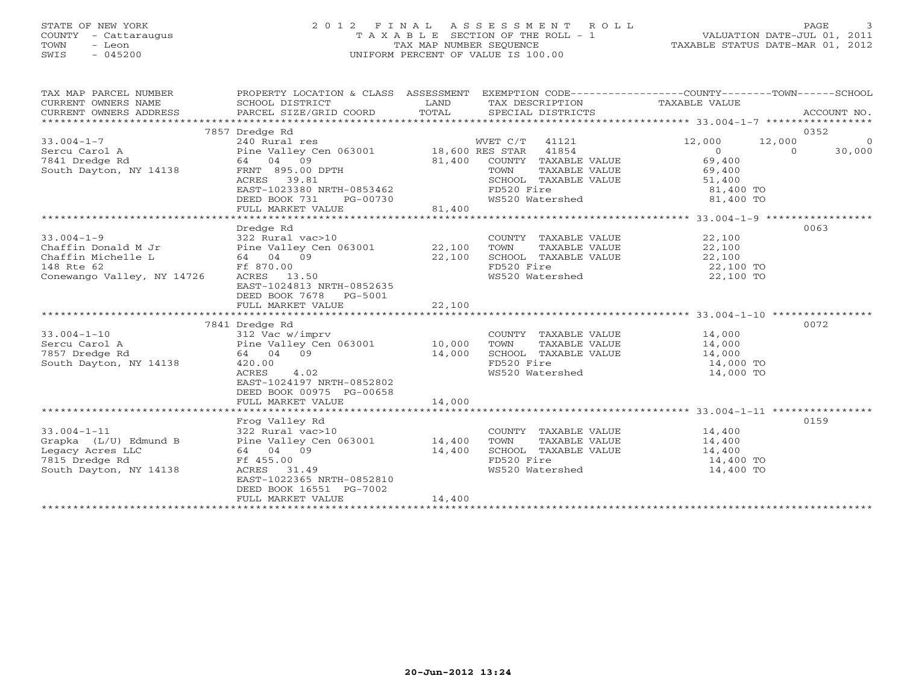# STATE OF NEW YORK 2 0 1 2 F I N A L A S S E S S M E N T R O L L PAGE 3 COUNTY - Cattaraugus T A X A B L E SECTION OF THE ROLL - 1 VALUATION DATE-JUL 01, 2011 TOWN - Leon TAX MAP NUMBER SEQUENCE TAXABLE STATUS DATE-MAR 01, 2012 SWIS - 045200 UNIFORM PERCENT OF VALUE IS 100.00UNIFORM PERCENT OF VALUE IS 100.00

| TAX MAP PARCEL NUMBER<br>CURRENT OWNERS NAME<br>CURRENT OWNERS ADDRESS                                     | PROPERTY LOCATION & CLASS ASSESSMENT EXEMPTION CODE---------------COUNTY-------TOWN-----SCHOOL<br>SCHOOL DISTRICT<br>PARCEL SIZE/GRID COORD TOTAL                                           | LAND             | TAX DESCRIPTION TAXABLE VALUE<br>SPECIAL DISTRICTS                                                                       |                                                                                  | ACCOUNT NO.                                     |
|------------------------------------------------------------------------------------------------------------|---------------------------------------------------------------------------------------------------------------------------------------------------------------------------------------------|------------------|--------------------------------------------------------------------------------------------------------------------------|----------------------------------------------------------------------------------|-------------------------------------------------|
| $33.004 - 1 - 7$<br>Sercu Carol A<br>7841 Dredge Rd<br>South Dayton, NY 14138                              | 7857 Dredge Rd<br>240 Rural res<br>Pine Valley Cen 063001 18,600 RES STAR 41854<br>64 04 09<br>FRNT 895.00 DPTH<br>ACRES<br>39.81<br>EAST-1023380 NRTH-0853462<br>DEED BOOK 731<br>PG-00730 | 81,400           | WVET C/T 41121<br>COUNTY TAXABLE VALUE<br>TOWN<br>TAXABLE VALUE<br>SCHOOL TAXABLE VALUE<br>FD520 Fire<br>WS520 Watershed | 12,000<br>$\overline{0}$<br>69,400<br>69,400<br>51,400<br>81,400 TO<br>81,400 TO | 0352<br>12,000<br>$\circ$<br>$\Omega$<br>30,000 |
|                                                                                                            | FULL MARKET VALUE                                                                                                                                                                           | 81,400           |                                                                                                                          |                                                                                  |                                                 |
| $33.004 - 1 - 9$<br>Chaffin Donald M Jr<br>Chaffin Michelle L<br>148 Rte 62<br>Conewango Valley, NY 14726  | Dredge Rd<br>322 Rural vac>10<br>Pine Valley Cen 063001 22,100<br>64 04 09<br>Ff 870.00<br>ACRES 13.50<br>EAST-1024813 NRTH-0852635<br>DEED BOOK 7678 PG-5001<br>FULL MARKET VALUE          | 22,100<br>22,100 | COUNTY TAXABLE VALUE<br>TOWN<br>TAXABLE VALUE<br>SCHOOL TAXABLE VALUE<br>FD520 Fire<br>FD520 Fire<br>WS520 Watershed     | 22,100<br>22,100<br>22,100<br>22,100 TO<br>22,100 TO                             | 0063                                            |
|                                                                                                            |                                                                                                                                                                                             |                  |                                                                                                                          |                                                                                  |                                                 |
|                                                                                                            | 7841 Dredge Rd                                                                                                                                                                              |                  |                                                                                                                          |                                                                                  | 0072                                            |
| $33.004 - 1 - 10$<br>Sercu Carol A<br>7857 Dredge Rd<br>South Dayton, NY 14138                             | 312 Vac w/imprv<br>312 vac w/imprv<br>Pine Valley Cen 063001 10,000<br>64 04 09<br>420.00<br>4.02<br>ACRES<br>EAST-1024197 NRTH-0852802<br>DEED BOOK 00975 PG-00658                         | 14,000           | COUNTY TAXABLE VALUE<br>TOWN<br>TAXABLE VALUE<br>SCHOOL TAXABLE VALUE<br>FD520 Fire<br>WS520 Watershed                   | 14,000<br>14,000<br>14,000<br>14,000 TO<br>14,000 TO                             |                                                 |
|                                                                                                            | FULL MARKET VALUE                                                                                                                                                                           | 14,000           |                                                                                                                          |                                                                                  |                                                 |
| $33.004 - 1 - 11$<br>Grapka (L/U) Edmund B<br>Legacy Acres LLC<br>7815 Dredge Rd<br>South Dayton, NY 14138 | Frog Valley Rd<br>322 Rural vac>10<br>Pine Valley Cen 063001 14,400<br>64 04 09<br>Ff 455.00<br>ACRES 31.49<br>EAST-1022365 NRTH-0852810<br>DEED BOOK 16551 PG-7002<br>FULL MARKET VALUE    | 14,400<br>14,400 | COUNTY TAXABLE VALUE<br>TAXABLE VALUE<br>TOWN<br>SCHOOL TAXABLE VALUE<br>FD520 Fire<br>WS520 Watershed                   | 14,400<br>14,400<br>14,400<br>14,400 TO<br>14,400 TO                             | 0159                                            |
|                                                                                                            |                                                                                                                                                                                             |                  |                                                                                                                          |                                                                                  |                                                 |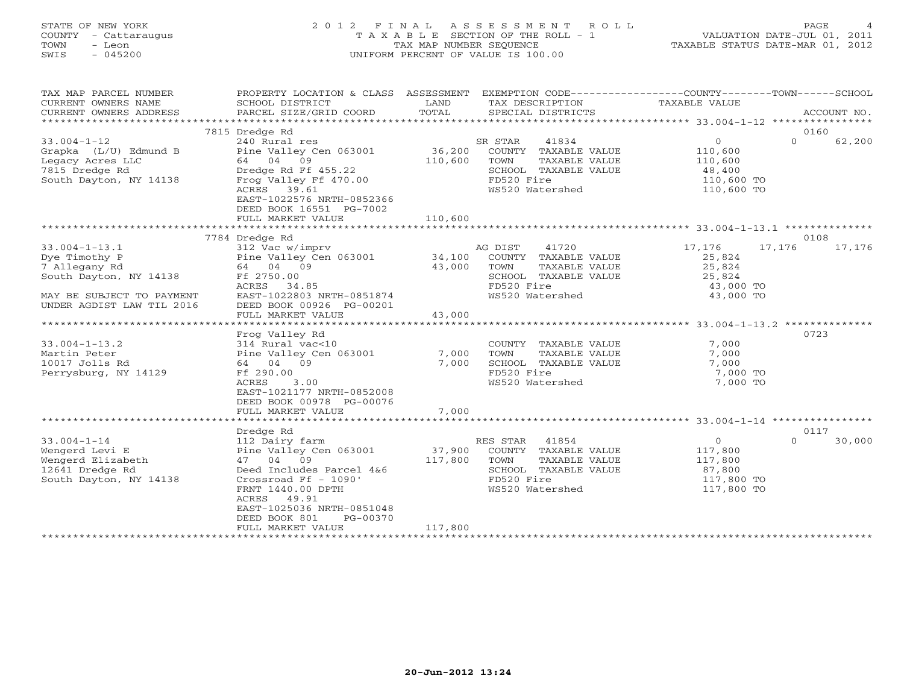# STATE OF NEW YORK 2 0 1 2 F I N A L A S S E S S M E N T R O L L PAGE 4 COUNTY - Cattaraugus T A X A B L E SECTION OF THE ROLL - 1 VALUATION DATE-JUL 01, 2011 TOWN - Leon TAX MAP NUMBER SEQUENCE TAXABLE STATUS DATE-MAR 01, 2012 SWIS - 045200 UNIFORM PERCENT OF VALUE IS 100.00UNIFORM PERCENT OF VALUE IS 100.00

| TAX MAP PARCEL NUMBER<br>CURRENT OWNERS NAME<br>CURRENT OWNERS ADDRESS | SCHOOL DISTRICT<br>PARCEL SIZE/GRID COORD | LAND<br>TOTAL | TAX DESCRIPTION<br>SPECIAL DISTRICTS          | PROPERTY LOCATION & CLASS ASSESSMENT EXEMPTION CODE---------------COUNTY-------TOWN------SCHOOL<br>TAXABLE VALUE | ACCOUNT NO. |
|------------------------------------------------------------------------|-------------------------------------------|---------------|-----------------------------------------------|------------------------------------------------------------------------------------------------------------------|-------------|
|                                                                        |                                           |               |                                               |                                                                                                                  |             |
|                                                                        | 7815 Dredge Rd                            |               |                                               |                                                                                                                  | 0160        |
| $33.004 - 1 - 12$                                                      | 240 Rural res                             |               | 41834<br>SR STAR                              | $\overline{0}$<br>$\Omega$                                                                                       | 62,200      |
| Grapka (L/U) Edmund B                                                  | Pine Valley Cen 063001                    | 36,200        | COUNTY TAXABLE VALUE                          | 110,600                                                                                                          |             |
| Legacy Acres LLC                                                       | 64 04 09                                  | 110,600       | TOWN<br>TAXABLE VALUE                         | 110,600                                                                                                          |             |
| 7815 Dredge Rd                                                         | Dredge Rd Ff 455.22                       |               | SCHOOL TAXABLE VALUE                          | 48,400                                                                                                           |             |
| South Dayton, NY 14138                                                 | Frog Valley Ff 470.00                     |               | FD520 Fire                                    | 110,600 TO                                                                                                       |             |
|                                                                        | ACRES 39.61<br>EAST-1022576 NRTH-0852366  |               | WS520 Watershed                               | 110,600 TO                                                                                                       |             |
|                                                                        | DEED BOOK 16551 PG-7002                   |               |                                               |                                                                                                                  |             |
|                                                                        | FULL MARKET VALUE                         | 110,600       |                                               |                                                                                                                  |             |
|                                                                        |                                           |               |                                               |                                                                                                                  |             |
|                                                                        | 7784 Dredge Rd                            |               |                                               |                                                                                                                  | 0108        |
| $33.004 - 1 - 13.1$                                                    | 312 Vac w/imprv                           |               | 41720<br>AG DIST                              | 17,176<br>17,176                                                                                                 | 17,176      |
| Dye Timothy P                                                          | Pine Valley Cen 063001                    | 34,100        | COUNTY TAXABLE VALUE                          | 25,824                                                                                                           |             |
| 7 Allegany Rd                                                          | 64 04 09                                  | 43,000        | TOWN<br>TAXABLE VALUE                         | 25,824                                                                                                           |             |
| South Dayton, NY 14138                                                 | Ff 2750.00                                |               | SCHOOL TAXABLE VALUE                          | 25,824                                                                                                           |             |
|                                                                        | ACRES 34.85                               |               | FD520 Fire                                    | 43,000 TO                                                                                                        |             |
| MAY BE SUBJECT TO PAYMENT                                              | EAST-1022803 NRTH-0851874                 |               | WS520 Watershed                               | 43,000 TO                                                                                                        |             |
| UNDER AGDIST LAW TIL 2016                                              | DEED BOOK 00926 PG-00201                  |               |                                               |                                                                                                                  |             |
| *************************                                              | FULL MARKET VALUE                         | 43,000        |                                               | ********************* 33.004-1-13.2 **************                                                               |             |
|                                                                        |                                           |               |                                               |                                                                                                                  | 0723        |
|                                                                        | Frog Valley Rd<br>314 Rural vac<10        |               |                                               |                                                                                                                  |             |
| $33.004 - 1 - 13.2$<br>Martin Peter                                    | Pine Valley Cen 063001                    | 7,000         | COUNTY TAXABLE VALUE<br>TOWN<br>TAXABLE VALUE | 7,000<br>7,000                                                                                                   |             |
| 10017 Jolls Rd                                                         | 64 04 09                                  | 7,000         | SCHOOL TAXABLE VALUE                          | 7,000                                                                                                            |             |
| Perrysburg, NY 14129                                                   | Ff 290.00                                 |               | FD520 Fire                                    | 7,000 TO                                                                                                         |             |
|                                                                        | 3.00<br>ACRES                             |               | WS520 Watershed                               | 7,000 TO                                                                                                         |             |
|                                                                        | EAST-1021177 NRTH-0852008                 |               |                                               |                                                                                                                  |             |
|                                                                        | DEED BOOK 00978 PG-00076                  |               |                                               |                                                                                                                  |             |
|                                                                        | FULL MARKET VALUE                         | 7,000         |                                               |                                                                                                                  |             |
|                                                                        |                                           |               |                                               |                                                                                                                  |             |
|                                                                        | Dredge Rd                                 |               |                                               |                                                                                                                  | 0117        |
| $33.004 - 1 - 14$                                                      | 112 Dairy farm                            |               | RES STAR 41854                                | $\circ$<br>$\Omega$                                                                                              | 30,000      |
| Wengerd Levi E                                                         | Pine Valley Cen 063001                    | 37,900        | COUNTY TAXABLE VALUE                          | 117,800                                                                                                          |             |
| Wengerd Elizabeth                                                      | 47 04 09                                  | 117,800       | TOWN<br>TAXABLE VALUE                         | 117,800                                                                                                          |             |
| 12641 Dredge Rd                                                        | Deed Includes Parcel 4&6                  |               | SCHOOL TAXABLE VALUE                          | 87,800                                                                                                           |             |
| South Dayton, NY 14138                                                 | Crossroad Ff - 1090'                      |               | FD520 Fire                                    | 117,800 TO                                                                                                       |             |
|                                                                        | FRNT 1440.00 DPTH                         |               | WS520 Watershed                               | 117,800 TO                                                                                                       |             |
|                                                                        | ACRES 49.91                               |               |                                               |                                                                                                                  |             |
|                                                                        | EAST-1025036 NRTH-0851048                 |               |                                               |                                                                                                                  |             |
|                                                                        | DEED BOOK 801<br>PG-00370                 |               |                                               |                                                                                                                  |             |
|                                                                        | FULL MARKET VALUE                         | 117,800       |                                               |                                                                                                                  |             |
|                                                                        |                                           |               |                                               |                                                                                                                  |             |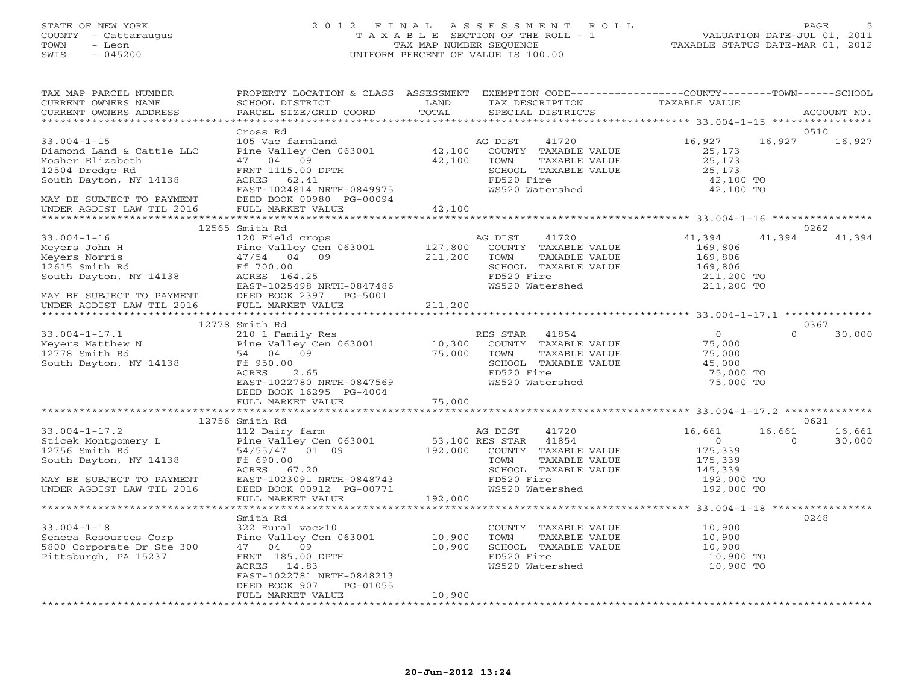#### STATE OF NEW YORK 2 0 1 2 F I N A L A S S E S S M E N T R O L L PAGE 5 COUNTY - Cattaraugus T A X A B L E SECTION OF THE ROLL - 1 VALUATION DATE-JUL 01, 2011 TOWN - Leon TAX MAP NUMBER SEQUENCE TAXABLE STATUS DATE-MAR 01, 2012 SWIS - 045200 UNIFORM PERCENT OF VALUE IS 100.00UNIFORM PERCENT OF VALUE IS 100.00

| TAX MAP PARCEL NUMBER<br>CURRENT OWNERS NAME                                                                                                                                                                                                                                                                                                                                                                                         | PROPERTY LOCATION & CLASS ASSESSMENT EXEMPTION CODE----------------COUNTY-------TOWN------SCHOOL |        | TAX DESCRIPTION TAXABLE VALUE<br>SPECIAL DISTRICTS                                                                      |                                            |                    |
|--------------------------------------------------------------------------------------------------------------------------------------------------------------------------------------------------------------------------------------------------------------------------------------------------------------------------------------------------------------------------------------------------------------------------------------|--------------------------------------------------------------------------------------------------|--------|-------------------------------------------------------------------------------------------------------------------------|--------------------------------------------|--------------------|
| CURRENT OWNERS ADDRESS                                                                                                                                                                                                                                                                                                                                                                                                               |                                                                                                  |        | SPECIAL DISTRICTS                                                                                                       |                                            | ACCOUNT NO.        |
|                                                                                                                                                                                                                                                                                                                                                                                                                                      | Cross Rd                                                                                         |        |                                                                                                                         |                                            | 0510               |
| $33.004 - 1 - 15$                                                                                                                                                                                                                                                                                                                                                                                                                    | 105 Vac farmland                                                                                 |        | AG DIST<br>41720                                                                                                        | 16,927                                     | 16,927 16,927      |
| Diamond Land & Cattle LLC<br>Mosher Elizabeth and and a Cattle LLC<br>Mosher Elizabeth and a country that the Valley Cen 063001<br>Mosher Elizabeth and the Valley Cen 063001<br>$\begin{array}{cccc}\n & 42,100 \\ 42,100 \\  & 42,100 \\  & 42,100 \\  & 42,100 \\  &$                                                                                                                                                             |                                                                                                  |        |                                                                                                                         |                                            |                    |
|                                                                                                                                                                                                                                                                                                                                                                                                                                      |                                                                                                  |        |                                                                                                                         | 25,173<br>25,173                           |                    |
|                                                                                                                                                                                                                                                                                                                                                                                                                                      |                                                                                                  |        | SCHOOL TAXABLE VALUE 25,173                                                                                             |                                            |                    |
|                                                                                                                                                                                                                                                                                                                                                                                                                                      | Pine Valley Cen vosoos<br>47 04 09 42,100<br>FRNT 1115.00 DPTH ---- 62 41                        |        |                                                                                                                         | 42,100 TO                                  |                    |
|                                                                                                                                                                                                                                                                                                                                                                                                                                      | EAST-1024814 NRTH-0849975                                                                        |        | FD520 Fire<br>WS520 Watershed                                                                                           | 42,100 TO                                  |                    |
|                                                                                                                                                                                                                                                                                                                                                                                                                                      | DEED BOOK 00980 PG-00094                                                                         |        |                                                                                                                         |                                            |                    |
| MAY BE SUBJECT TO PAYMENT DEED BOOK 00980 F<br>UNDER AGDIST LAW TIL 2016 FULL MARKET VALUE                                                                                                                                                                                                                                                                                                                                           |                                                                                                  | 42,100 |                                                                                                                         |                                            |                    |
|                                                                                                                                                                                                                                                                                                                                                                                                                                      |                                                                                                  |        |                                                                                                                         |                                            |                    |
|                                                                                                                                                                                                                                                                                                                                                                                                                                      | 12565 Smith Rd                                                                                   |        |                                                                                                                         |                                            | 0262               |
|                                                                                                                                                                                                                                                                                                                                                                                                                                      |                                                                                                  |        |                                                                                                                         | 41,394                                     | 41,394<br>41,394   |
|                                                                                                                                                                                                                                                                                                                                                                                                                                      |                                                                                                  |        |                                                                                                                         | 169,806                                    |                    |
|                                                                                                                                                                                                                                                                                                                                                                                                                                      |                                                                                                  |        |                                                                                                                         | $169,806$<br>$169,806$                     |                    |
|                                                                                                                                                                                                                                                                                                                                                                                                                                      |                                                                                                  |        | SCHOOL TAXABLE VALUE                                                                                                    |                                            |                    |
|                                                                                                                                                                                                                                                                                                                                                                                                                                      |                                                                                                  |        | FD520 Fire 211,200 TO<br>WS520 Watershed 211,200 TO                                                                     |                                            |                    |
|                                                                                                                                                                                                                                                                                                                                                                                                                                      |                                                                                                  |        |                                                                                                                         |                                            |                    |
|                                                                                                                                                                                                                                                                                                                                                                                                                                      |                                                                                                  |        |                                                                                                                         |                                            |                    |
| 33.004-1-16<br>Meyers John H and Meyers John H and Pine Valley Cen 063001 and 127,800 COUNTY TAXABLE VALUE<br>Meyers Norris and Allow Countralize CALUE<br>12615 Smith Rd Ff 700.00 5000 and SCHOOL TAXABLE VALUE<br>South Dayton, NY                                                                                                                                                                                                |                                                                                                  |        |                                                                                                                         |                                            |                    |
|                                                                                                                                                                                                                                                                                                                                                                                                                                      | 12778 Smith Rd                                                                                   |        |                                                                                                                         |                                            | 0367               |
|                                                                                                                                                                                                                                                                                                                                                                                                                                      |                                                                                                  |        |                                                                                                                         |                                            | $\Omega$<br>30,000 |
| 33.004-1-17.1 1<br>Meyers Matthew N 210 1 Family Res<br>Pine Valley Cen 063001 10,300 COUNTY TAXABLE VALUE 75,000<br>2.65 12778 Smith Rd 54 04 09 54 04 09 55,000 FOWN TAXABLE VALUE 75,000<br>SCHOOL TAXABLE VALUE 45,000<br>SCHOOL TAX                                                                                                                                                                                             |                                                                                                  |        |                                                                                                                         | $\begin{array}{c} 0 \\ 75,000 \end{array}$ |                    |
|                                                                                                                                                                                                                                                                                                                                                                                                                                      |                                                                                                  |        |                                                                                                                         |                                            |                    |
|                                                                                                                                                                                                                                                                                                                                                                                                                                      |                                                                                                  |        |                                                                                                                         |                                            |                    |
|                                                                                                                                                                                                                                                                                                                                                                                                                                      |                                                                                                  |        |                                                                                                                         | 75,000 TO                                  |                    |
|                                                                                                                                                                                                                                                                                                                                                                                                                                      | EAST-1022780 NRTH-0847569                                                                        |        | WS520 Watershed                                                                                                         | 75,000 TO                                  |                    |
|                                                                                                                                                                                                                                                                                                                                                                                                                                      | DEED BOOK 16295 PG-4004                                                                          |        |                                                                                                                         |                                            |                    |
|                                                                                                                                                                                                                                                                                                                                                                                                                                      | FULL MARKET VALUE                                                                                | 75,000 |                                                                                                                         |                                            |                    |
|                                                                                                                                                                                                                                                                                                                                                                                                                                      |                                                                                                  |        |                                                                                                                         |                                            |                    |
|                                                                                                                                                                                                                                                                                                                                                                                                                                      | 12756 Smith Rd                                                                                   |        |                                                                                                                         |                                            | 0621               |
|                                                                                                                                                                                                                                                                                                                                                                                                                                      |                                                                                                  |        |                                                                                                                         | 16,661                                     | 16,661<br>16,661   |
|                                                                                                                                                                                                                                                                                                                                                                                                                                      |                                                                                                  |        |                                                                                                                         | $\overline{0}$                             | 30,000<br>$\Omega$ |
|                                                                                                                                                                                                                                                                                                                                                                                                                                      |                                                                                                  |        |                                                                                                                         | 175,339<br>175,339<br>145,339              |                    |
|                                                                                                                                                                                                                                                                                                                                                                                                                                      |                                                                                                  |        |                                                                                                                         |                                            |                    |
|                                                                                                                                                                                                                                                                                                                                                                                                                                      |                                                                                                  |        | COWN TAXABLE VALUE<br>TOWN TAXABLE VALUE<br>SCHOOL TAXABLE VALUE<br>FD520 Fire 192,000 TO<br>WS520 Watershed 192,000 TO |                                            |                    |
|                                                                                                                                                                                                                                                                                                                                                                                                                                      |                                                                                                  |        |                                                                                                                         |                                            |                    |
|                                                                                                                                                                                                                                                                                                                                                                                                                                      |                                                                                                  |        |                                                                                                                         |                                            |                    |
| $\begin{tabular}{lllllllllllllll} \text{33.004--1-17.2} & \text{12/56 Smith Rd} & \text{112 Dairry farm} & \text{AG DIST} & \text{41720} \\ \text{Sticek Montgomery L} & \text{Pine Valley Gen 063001} & \text{53,100 RES STAR} & \text{41854} \\ \text{12756 Smith Rd} & \text{54/55/47} & \text{01 09} & \text{192,000} & \text{COUNTY TAXABLE VALUE} \\ \text{South Dayton, NY 14138} & \text{FF 690.00} & \text{TCWN} & \text{T$ |                                                                                                  |        |                                                                                                                         |                                            |                    |
|                                                                                                                                                                                                                                                                                                                                                                                                                                      | Smith Rd                                                                                         |        |                                                                                                                         |                                            | 0248               |
| $33.004 - 1 - 18$                                                                                                                                                                                                                                                                                                                                                                                                                    | 322 Rural vac>10                                                                                 |        | COUNTY TAXABLE VALUE                                                                                                    | 10,900                                     |                    |
| Seneca Resources Corp                                                                                                                                                                                                                                                                                                                                                                                                                |                                                                                                  |        | TOWN                                                                                                                    | TAXABLE VALUE 10,900                       |                    |
| 5800 Corporate Dr Ste 300                                                                                                                                                                                                                                                                                                                                                                                                            | 322 Kurai vacebo<br>Pine Valley Cen 063001 10,900<br>17 04 09 10,900                             |        | SCHOOL TAXABLE VALUE                                                                                                    | 10,900                                     |                    |
| Pittsburgh, PA 15237                                                                                                                                                                                                                                                                                                                                                                                                                 | FRNT 185.00 DPTH<br>200FC 14.83                                                                  |        |                                                                                                                         | 10,900 TO                                  |                    |
|                                                                                                                                                                                                                                                                                                                                                                                                                                      | ACRES 14.83                                                                                      |        | FD520 Fire<br>WS520 Watershed                                                                                           | 10,900 TO                                  |                    |
|                                                                                                                                                                                                                                                                                                                                                                                                                                      | EAST-1022781 NRTH-0848213                                                                        |        |                                                                                                                         |                                            |                    |
|                                                                                                                                                                                                                                                                                                                                                                                                                                      | DEED BOOK 907 PG-01055                                                                           |        |                                                                                                                         |                                            |                    |
|                                                                                                                                                                                                                                                                                                                                                                                                                                      | FULL MARKET VALUE                                                                                | 10,900 |                                                                                                                         |                                            |                    |
|                                                                                                                                                                                                                                                                                                                                                                                                                                      |                                                                                                  |        |                                                                                                                         |                                            |                    |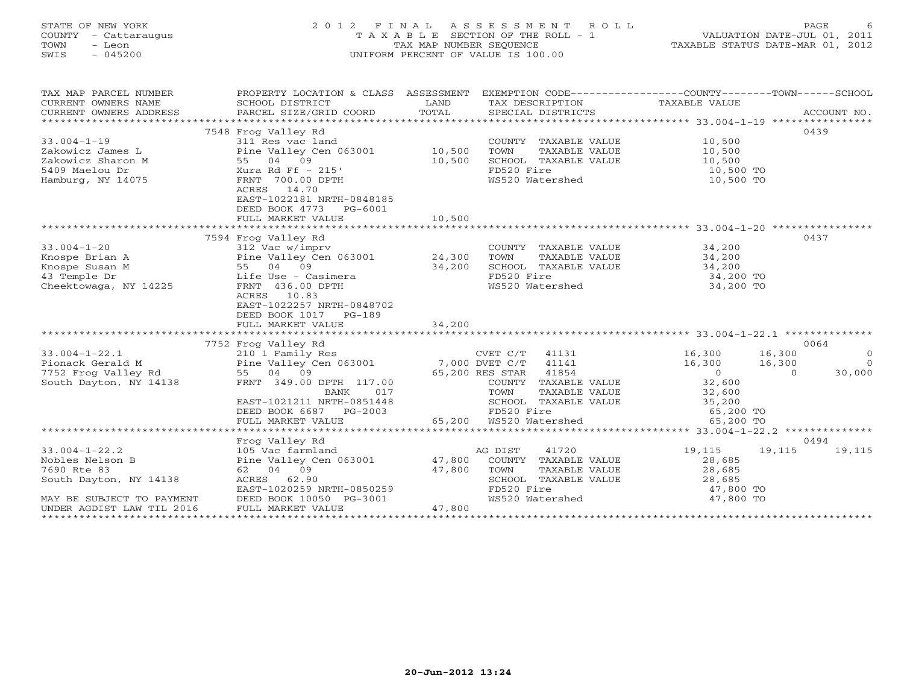# STATE OF NEW YORK 2 0 1 2 F I N A L A S S E S S M E N T R O L L PAGE 6 COUNTY - Cattaraugus T A X A B L E SECTION OF THE ROLL - 1 VALUATION DATE-JUL 01, 2011 TOWN - Leon TAX MAP NUMBER SEQUENCE TAXABLE STATUS DATE-MAR 01, 2012 SWIS - 045200 UNIFORM PERCENT OF VALUE IS 100.00UNIFORM PERCENT OF VALUE IS 100.00

| PROPERTY LOCATION & CLASS ASSESSMENT EXEMPTION CODE---------------COUNTY-------TOWN------SCHOOL<br>TAX DESCRIPTION TAXABLE VALUE<br>SPECIAL DISTRICTS<br>ACCOUNT NO.                                                                                                                                                                                                                                                                                                                                                                                                                                                            |
|---------------------------------------------------------------------------------------------------------------------------------------------------------------------------------------------------------------------------------------------------------------------------------------------------------------------------------------------------------------------------------------------------------------------------------------------------------------------------------------------------------------------------------------------------------------------------------------------------------------------------------|
| 0439<br>COUNTY TAXABLE VALUE 10,500<br>TOWN TAXABLE VALUE 10,500<br>10,500<br>SCHOOL TAXABLE VALUE<br>10,500 TO<br>10,500 TO<br>WS520 Watershed                                                                                                                                                                                                                                                                                                                                                                                                                                                                                 |
|                                                                                                                                                                                                                                                                                                                                                                                                                                                                                                                                                                                                                                 |
| 0437<br>$\begin{array}{ll}\n\text{COUNTY} & \text{TAXABLE VALUE} \\ \text{max} & \text{maxair} & \text{var,IF} \\ \end{array} \hspace{1.5cm} \begin{array}{ll}\n34,200 \\ 34,200\n\end{array}$<br>SCHOOL TAXABLE VALUE 34,200<br>34,200 TO<br>FD520 Fire<br>WS520 Watershed<br>34,200 TO                                                                                                                                                                                                                                                                                                                                        |
|                                                                                                                                                                                                                                                                                                                                                                                                                                                                                                                                                                                                                                 |
| 0064                                                                                                                                                                                                                                                                                                                                                                                                                                                                                                                                                                                                                            |
| 33.004-1-22.1<br>Pionack Gerald M 210 1 Family Res CVET C/T 41131<br>Pionack Gerald M Pine Valley Cen 063001 7,000 DVET C/T 41141<br>7752 Frog Valley Rd 55 04 09 65,200 RES STAR 41854<br>South Dayton, NY 14138 FRNT 349.00 DPTH 117<br>0 16,300 16,300 16,300 CVET C/T 41131 16,300 16,300<br>DVET C/T 41141 16,300 16,300 16,300 RES STAR 41854<br>$\sim$ 0<br>$\Omega$<br>30,000<br>COUNTY TAXABLE VALUE 32,600<br>BANK 017 TOWN TAXABLE VALUE 32,600<br>EAST-1021211 NRTH-0851448 SCHOOL TAXABLE VALUE 35,200<br>DEED BOOK 6687 PG-2003 65,200 FD520 Fire 65,200 TO<br>FULL MARKET VALUE 65,200 WS520 Watershed 65,200 TO |
|                                                                                                                                                                                                                                                                                                                                                                                                                                                                                                                                                                                                                                 |
| 0494                                                                                                                                                                                                                                                                                                                                                                                                                                                                                                                                                                                                                            |
| 19,115<br>19,115<br>19,115<br>Pine Valley Cen 063001 47,800 COUNTY TAXABLE VALUE<br>28,685<br>$\begin{tabular}{lllllllllll} \multicolumn{2}{c}{\text{COUNTY}} & \text{TAXABLE} & \text{VALUE} & & & & 28,685 \\ \multicolumn{2}{c}{\text{TOWN}} & \text{TAXABLE} & \text{VALUE} & & & 28,685 \\ \multicolumn{2}{c}{\text{SCHOOL}} & \text{TAXABLE} & \text{VALUE} & & & 28,685 \\ & & & & & 47,800 & \text{TO} \\ & & & & & & 47,800 & \text{TO} \\ \multicolumn{2}{c}{\text{TOM}} & \multicolumn{2}{c}{\text{TOM}} & \multicolumn{2}{$<br>FD520 Fire 32 47,800 TO<br>WS520 Watershed 37,800 TO                                 |
|                                                                                                                                                                                                                                                                                                                                                                                                                                                                                                                                                                                                                                 |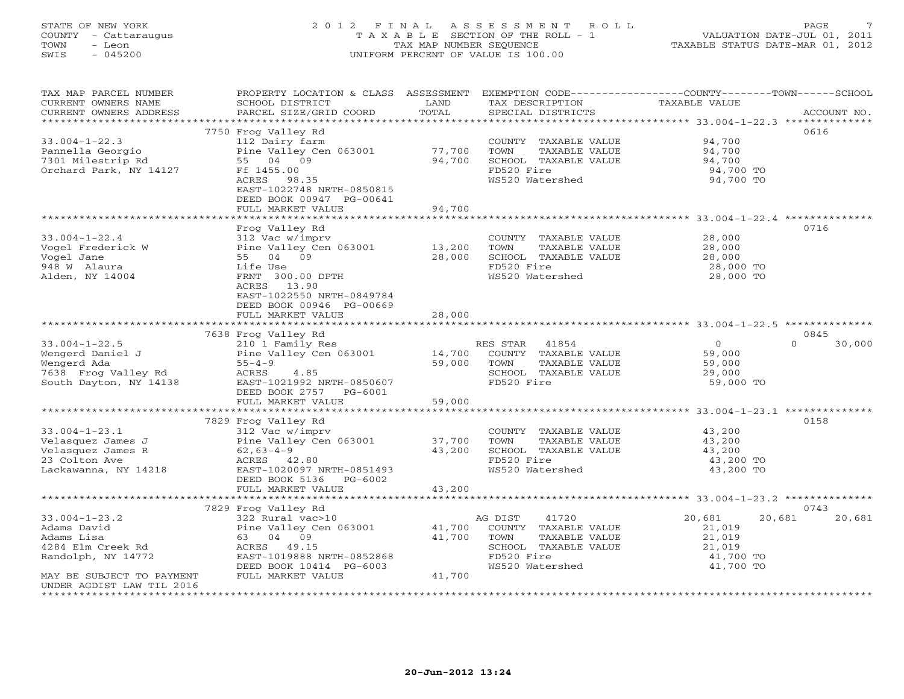# STATE OF NEW YORK 2 0 1 2 F I N A L A S S E S S M E N T R O L L PAGE 7 COUNTY - Cattaraugus T A X A B L E SECTION OF THE ROLL - 1 VALUATION DATE-JUL 01, 2011 TOWN - Leon TAX MAP NUMBER SEQUENCE TAXABLE STATUS DATE-MAR 01, 2012 SWIS - 045200 UNIFORM PERCENT OF VALUE IS 100.00UNIFORM PERCENT OF VALUE IS 100.00

| TAX MAP PARCEL NUMBER<br>CURRENT OWNERS NAME | PROPERTY LOCATION & CLASS ASSESSMENT<br>SCHOOL DISTRICT | LAND   | EXEMPTION CODE-----------------COUNTY-------TOWN------SCHOOL<br>TAX DESCRIPTION | TAXABLE VALUE    |             |
|----------------------------------------------|---------------------------------------------------------|--------|---------------------------------------------------------------------------------|------------------|-------------|
| CURRENT OWNERS ADDRESS                       | PARCEL SIZE/GRID COORD                                  | TOTAL  | SPECIAL DISTRICTS                                                               |                  | ACCOUNT NO. |
|                                              | 7750 Frog Valley Rd                                     |        |                                                                                 |                  | 0616        |
| $33.004 - 1 - 22.3$                          | 112 Dairy farm                                          |        | COUNTY TAXABLE VALUE                                                            | 94,700           |             |
| Pannella Georgio                             | Pine Valley Cen 063001                                  | 77,700 | TOWN<br>TAXABLE VALUE                                                           | 94,700           |             |
| 7301 Milestrip Rd                            | 55 04 09                                                | 94,700 | SCHOOL TAXABLE VALUE                                                            | 94,700           |             |
| Orchard Park, NY 14127                       | Ff 1455.00                                              |        | FD520 Fire                                                                      | 94,700 TO        |             |
|                                              | ACRES 98.35                                             |        | WS520 Watershed                                                                 | 94,700 TO        |             |
|                                              | EAST-1022748 NRTH-0850815                               |        |                                                                                 |                  |             |
|                                              | DEED BOOK 00947 PG-00641                                |        |                                                                                 |                  |             |
|                                              | FULL MARKET VALUE                                       | 94,700 |                                                                                 |                  |             |
|                                              |                                                         |        |                                                                                 |                  |             |
|                                              | Frog Valley Rd                                          |        |                                                                                 |                  | 0716        |
| $33.004 - 1 - 22.4$                          | 312 Vac w/imprv                                         |        | COUNTY TAXABLE VALUE                                                            | 28,000           |             |
| Vogel Frederick W                            | Pine Valley Cen 063001                                  | 13,200 | TOWN<br>TAXABLE VALUE                                                           | 28,000           |             |
| Vogel Jane                                   | 55 04 09                                                | 28,000 | SCHOOL TAXABLE VALUE                                                            | 28,000           |             |
| 948 W Alaura                                 | Life Use                                                |        | FD520 Fire                                                                      | 28,000 TO        |             |
| Alden, NY 14004                              | FRNT 300.00 DPTH                                        |        | WS520 Watershed                                                                 | 28,000 TO        |             |
|                                              | ACRES 13.90                                             |        |                                                                                 |                  |             |
|                                              | EAST-1022550 NRTH-0849784                               |        |                                                                                 |                  |             |
|                                              | DEED BOOK 00946 PG-00669                                |        |                                                                                 |                  |             |
|                                              | FULL MARKET VALUE                                       | 28,000 |                                                                                 |                  |             |
|                                              |                                                         |        |                                                                                 |                  | 0845        |
|                                              | 7638 Frog Valley Rd                                     |        |                                                                                 | $\overline{0}$   | $\Omega$    |
| $33.004 - 1 - 22.5$<br>Wengerd Daniel J      | 210 1 Family Res<br>Pine Valley Cen 063001 14,700       |        | 41854<br>RES STAR                                                               |                  | 30,000      |
| Wengerd Ada                                  | $55 - 4 - 9$                                            | 59,000 | COUNTY TAXABLE VALUE<br>TAXABLE VALUE<br>TOWN                                   | 59,000<br>59,000 |             |
| 7638 Frog Valley Rd                          | ACRES<br>4.85                                           |        | SCHOOL TAXABLE VALUE                                                            | 29,000           |             |
| South Dayton, NY 14138                       | EAST-1021992 NRTH-0850607                               |        | FD520 Fire                                                                      | 59,000 TO        |             |
|                                              | DEED BOOK 2757 PG-6001                                  |        |                                                                                 |                  |             |
|                                              | FULL MARKET VALUE                                       | 59,000 |                                                                                 |                  |             |
|                                              |                                                         |        |                                                                                 |                  |             |
|                                              | 7829 Frog Valley Rd                                     |        |                                                                                 |                  | 0158        |
| $33.004 - 1 - 23.1$                          | 312 Vac w/imprv                                         |        | COUNTY TAXABLE VALUE                                                            | 43,200           |             |
| Velasquez James J                            | Pine Valley Cen 063001                                  | 37,700 | TOWN<br>TAXABLE VALUE                                                           | 43,200           |             |
| Velasquez James R                            | $62,63-4-9$                                             | 43,200 | SCHOOL TAXABLE VALUE                                                            | 43,200           |             |
| 23 Colton Ave                                | ACRES 42.80                                             |        | FD520 Fire                                                                      | 43,200 TO        |             |
| Lackawanna, NY 14218                         | EAST-1020097 NRTH-0851493                               |        | WS520 Watershed                                                                 | 43,200 TO        |             |
|                                              | DEED BOOK 5136 PG-6002                                  |        |                                                                                 |                  |             |
|                                              | FULL MARKET VALUE                                       | 43,200 |                                                                                 |                  |             |
|                                              |                                                         |        |                                                                                 |                  |             |
|                                              | 7829 Frog Valley Rd                                     |        |                                                                                 |                  | 0743        |
| $33.004 - 1 - 23.2$                          | 322 Rural vac>10                                        |        | AG DIST<br>41720                                                                | 20,681<br>20,681 | 20,681      |
| Adams David                                  | Pine Valley Cen 063001                                  | 41,700 | COUNTY TAXABLE VALUE                                                            | 21,019           |             |
| Adams Lisa                                   | 63 04 09                                                | 41,700 | TOWN<br>TAXABLE VALUE                                                           | 21,019           |             |
| 4284 Elm Creek Rd                            | ACRES 49.15                                             |        | SCHOOL TAXABLE VALUE                                                            | 21,019           |             |
| Randolph, NY 14772                           | EAST-1019888 NRTH-0852868                               |        | FD520 Fire                                                                      | 41,700 TO        |             |
|                                              | DEED BOOK 10414 PG-6003                                 |        | WS520 Watershed                                                                 | 41,700 TO        |             |
| MAY BE SUBJECT TO PAYMENT                    | FULL MARKET VALUE                                       | 41,700 |                                                                                 |                  |             |
| UNDER AGDIST LAW TIL 2016                    |                                                         |        |                                                                                 |                  |             |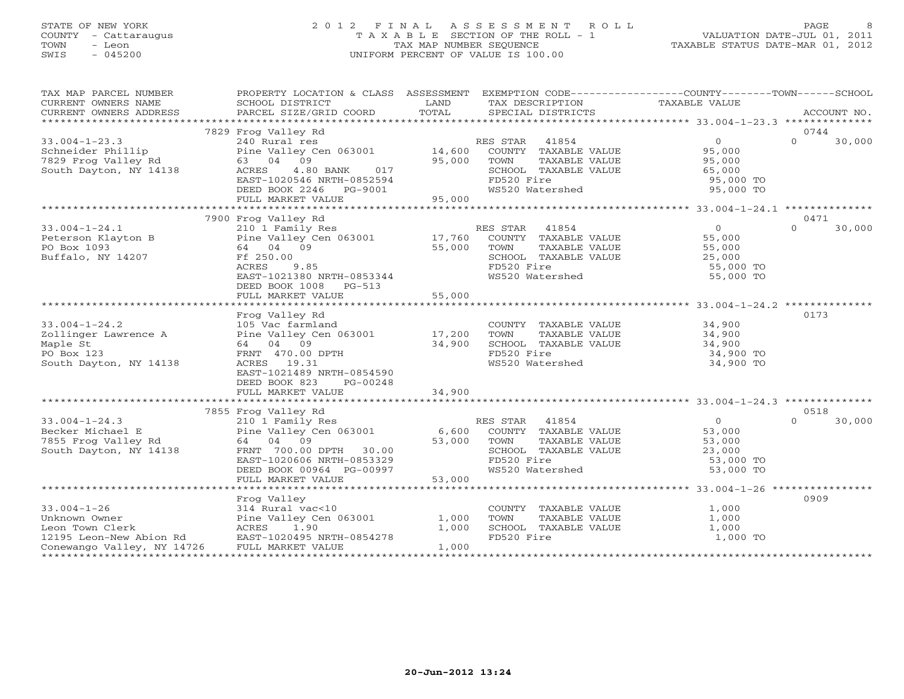# STATE OF NEW YORK 2 0 1 2 F I N A L A S S E S S M E N T R O L L PAGE 8 COUNTY - Cattaraugus T A X A B L E SECTION OF THE ROLL - 1 VALUATION DATE-JUL 01, 2011 TOWN - Leon TAX MAP NUMBER SEQUENCE TAXABLE STATUS DATE-MAR 01, 2012 SWIS - 045200 UNIFORM PERCENT OF VALUE IS 100.00UNIFORM PERCENT OF VALUE IS 100.00

| TAXABLE VALUE<br>CURRENT OWNERS NAME<br>SCHOOL DISTRICT<br><b>Example 12</b><br>TAX DESCRIPTION<br>TOTAL<br>CURRENT OWNERS ADDRESS<br>PARCEL SIZE/GRID COORD<br>SPECIAL DISTRICTS<br>ACCOUNT NO.<br>7829 Frog Valley Rd<br>0744<br>$\overline{0}$<br>$\cap$<br>30,000<br>$33.004 - 1 - 23.3$<br>240 Rural res<br>RES STAR 41854<br>COUNTY TAXABLE VALUE<br>Pine Valley Cen 063001 14,600<br>95,000<br>Schneider Phillip<br>7829 Frog Valley Rd<br>63 04 09<br>95,000 TOWN<br>TAXABLE VALUE<br>95,000<br>South Dayton, $NY$ 14138<br>017<br>ACRES<br>4.80 BANK<br>EAST-1020546 NRTH-0852594<br>DEED BOOK 2246 PG-9001<br>WS520 Watershed<br>95,000 TO<br>95,000<br>FULL MARKET VALUE<br>7900 Frog Valley Rd<br>0471<br>30,000<br>$33.004 - 1 - 24.1$<br>210 <sup>1</sup> Family Res (17,760) RES STAR 41854 (1854)<br>Pine Valley Cen 063001 (17,760 (COUNTY TAXABLE VALUE (195,000) 55,000<br>64 04 09 (195,000 TOWN TAXABLE VALUE (195,000)<br>$\Omega$<br>Peterson Klayton B<br>PO Box 1093<br>Buffalo, NY 14207<br>Ff 250.00<br>SCHOOL TAXABLE VALUE 25,000<br>FD520 Fire 55,000 TO<br>ACRES<br>9.85<br>EAST-1021380 NRTH-0853344<br>WS520 Watershed<br>55,000 TO<br>DEED BOOK 1008 PG-513<br>FULL MARKET VALUE<br>55,000<br>0173<br>Frog Valley Rd<br>$33.004 - 1 - 24.2$<br>105 Vac farmland<br>34,900<br>COUNTY TAXABLE VALUE<br>TAXABLE VALUE<br>Pine Valley Cen 063001 17,200<br>34,900<br>Zollinger Lawrence A<br>TOWN<br>64 04 09<br>34,900<br>Maple St<br>SCHOOL TAXABLE VALUE<br>34,900<br>34,900 TO<br>PO Box 123<br>FRNT 470.00 DPTH<br>FD520 Fire<br>South Dayton, NY 14138<br>ACRES 19.31<br>WS520 Watershed<br>34,900 TO<br>EAST-1021489 NRTH-0854590<br>DEED BOOK 823<br>PG-00248<br>7855 Frog Valley Rd<br>0518<br>$\Omega$<br>30,000<br>$33.004 - 1 - 24.3$<br>210 1 Family Res<br>RES STAR 41854<br>$\Omega$<br>210 1 Family Res<br>Pine Valley Cen 063001 6,600<br>Becker Michael E<br>COUNTY TAXABLE VALUE<br>53,000<br>7855 Frog Valley Rd<br>TAXABLE VALUE<br>53,000 TOWN<br>64 04 09<br>53,000<br>FRNT 700.00 DPTH 30.00<br>SCHOOL TAXABLE VALUE<br>South Dayton, NY 14138<br>23,000<br>FD520 Fire<br>53,000 TO<br>EAST-1020606 NRTH-0853329<br>WS520 Watershed<br>53,000 TO<br>DEED BOOK 00964 PG-00997<br>$\sim$ $\sim$ $\sim$ $\sim$ $\sim$<br>53,000<br>FULL MARKET VALUE<br>0909<br>Frog Valley<br>$33.004 - 1 - 26$<br>314 Rural vac<10<br>COUNTY TAXABLE VALUE<br>TOWN     TAXABLE VALUE<br>1,000<br>Pine Valley Cen 063001<br>Unknown Owner<br>1,000<br>1,000<br>SCHOOL TAXABLE VALUE | TAX MAP PARCEL NUMBER | PROPERTY LOCATION & CLASS ASSESSMENT EXEMPTION CODE----------------COUNTY-------TOWN------SCHOOL |       |  |       |  |
|-------------------------------------------------------------------------------------------------------------------------------------------------------------------------------------------------------------------------------------------------------------------------------------------------------------------------------------------------------------------------------------------------------------------------------------------------------------------------------------------------------------------------------------------------------------------------------------------------------------------------------------------------------------------------------------------------------------------------------------------------------------------------------------------------------------------------------------------------------------------------------------------------------------------------------------------------------------------------------------------------------------------------------------------------------------------------------------------------------------------------------------------------------------------------------------------------------------------------------------------------------------------------------------------------------------------------------------------------------------------------------------------------------------------------------------------------------------------------------------------------------------------------------------------------------------------------------------------------------------------------------------------------------------------------------------------------------------------------------------------------------------------------------------------------------------------------------------------------------------------------------------------------------------------------------------------------------------------------------------------------------------------------------------------------------------------------------------------------------------------------------------------------------------------------------------------------------------------------------------------------------------------------------------------------------------------------------------------------------------------------------------------------------------------------------------------------------------------------------------------------------------------------|-----------------------|--------------------------------------------------------------------------------------------------|-------|--|-------|--|
|                                                                                                                                                                                                                                                                                                                                                                                                                                                                                                                                                                                                                                                                                                                                                                                                                                                                                                                                                                                                                                                                                                                                                                                                                                                                                                                                                                                                                                                                                                                                                                                                                                                                                                                                                                                                                                                                                                                                                                                                                                                                                                                                                                                                                                                                                                                                                                                                                                                                                                                         |                       |                                                                                                  |       |  |       |  |
|                                                                                                                                                                                                                                                                                                                                                                                                                                                                                                                                                                                                                                                                                                                                                                                                                                                                                                                                                                                                                                                                                                                                                                                                                                                                                                                                                                                                                                                                                                                                                                                                                                                                                                                                                                                                                                                                                                                                                                                                                                                                                                                                                                                                                                                                                                                                                                                                                                                                                                                         |                       |                                                                                                  |       |  |       |  |
|                                                                                                                                                                                                                                                                                                                                                                                                                                                                                                                                                                                                                                                                                                                                                                                                                                                                                                                                                                                                                                                                                                                                                                                                                                                                                                                                                                                                                                                                                                                                                                                                                                                                                                                                                                                                                                                                                                                                                                                                                                                                                                                                                                                                                                                                                                                                                                                                                                                                                                                         |                       |                                                                                                  |       |  |       |  |
|                                                                                                                                                                                                                                                                                                                                                                                                                                                                                                                                                                                                                                                                                                                                                                                                                                                                                                                                                                                                                                                                                                                                                                                                                                                                                                                                                                                                                                                                                                                                                                                                                                                                                                                                                                                                                                                                                                                                                                                                                                                                                                                                                                                                                                                                                                                                                                                                                                                                                                                         |                       |                                                                                                  |       |  |       |  |
|                                                                                                                                                                                                                                                                                                                                                                                                                                                                                                                                                                                                                                                                                                                                                                                                                                                                                                                                                                                                                                                                                                                                                                                                                                                                                                                                                                                                                                                                                                                                                                                                                                                                                                                                                                                                                                                                                                                                                                                                                                                                                                                                                                                                                                                                                                                                                                                                                                                                                                                         |                       |                                                                                                  |       |  |       |  |
|                                                                                                                                                                                                                                                                                                                                                                                                                                                                                                                                                                                                                                                                                                                                                                                                                                                                                                                                                                                                                                                                                                                                                                                                                                                                                                                                                                                                                                                                                                                                                                                                                                                                                                                                                                                                                                                                                                                                                                                                                                                                                                                                                                                                                                                                                                                                                                                                                                                                                                                         |                       |                                                                                                  |       |  |       |  |
|                                                                                                                                                                                                                                                                                                                                                                                                                                                                                                                                                                                                                                                                                                                                                                                                                                                                                                                                                                                                                                                                                                                                                                                                                                                                                                                                                                                                                                                                                                                                                                                                                                                                                                                                                                                                                                                                                                                                                                                                                                                                                                                                                                                                                                                                                                                                                                                                                                                                                                                         |                       |                                                                                                  |       |  |       |  |
|                                                                                                                                                                                                                                                                                                                                                                                                                                                                                                                                                                                                                                                                                                                                                                                                                                                                                                                                                                                                                                                                                                                                                                                                                                                                                                                                                                                                                                                                                                                                                                                                                                                                                                                                                                                                                                                                                                                                                                                                                                                                                                                                                                                                                                                                                                                                                                                                                                                                                                                         |                       |                                                                                                  |       |  |       |  |
|                                                                                                                                                                                                                                                                                                                                                                                                                                                                                                                                                                                                                                                                                                                                                                                                                                                                                                                                                                                                                                                                                                                                                                                                                                                                                                                                                                                                                                                                                                                                                                                                                                                                                                                                                                                                                                                                                                                                                                                                                                                                                                                                                                                                                                                                                                                                                                                                                                                                                                                         |                       |                                                                                                  |       |  |       |  |
|                                                                                                                                                                                                                                                                                                                                                                                                                                                                                                                                                                                                                                                                                                                                                                                                                                                                                                                                                                                                                                                                                                                                                                                                                                                                                                                                                                                                                                                                                                                                                                                                                                                                                                                                                                                                                                                                                                                                                                                                                                                                                                                                                                                                                                                                                                                                                                                                                                                                                                                         |                       |                                                                                                  |       |  |       |  |
|                                                                                                                                                                                                                                                                                                                                                                                                                                                                                                                                                                                                                                                                                                                                                                                                                                                                                                                                                                                                                                                                                                                                                                                                                                                                                                                                                                                                                                                                                                                                                                                                                                                                                                                                                                                                                                                                                                                                                                                                                                                                                                                                                                                                                                                                                                                                                                                                                                                                                                                         |                       |                                                                                                  |       |  |       |  |
|                                                                                                                                                                                                                                                                                                                                                                                                                                                                                                                                                                                                                                                                                                                                                                                                                                                                                                                                                                                                                                                                                                                                                                                                                                                                                                                                                                                                                                                                                                                                                                                                                                                                                                                                                                                                                                                                                                                                                                                                                                                                                                                                                                                                                                                                                                                                                                                                                                                                                                                         |                       |                                                                                                  |       |  |       |  |
|                                                                                                                                                                                                                                                                                                                                                                                                                                                                                                                                                                                                                                                                                                                                                                                                                                                                                                                                                                                                                                                                                                                                                                                                                                                                                                                                                                                                                                                                                                                                                                                                                                                                                                                                                                                                                                                                                                                                                                                                                                                                                                                                                                                                                                                                                                                                                                                                                                                                                                                         |                       |                                                                                                  |       |  |       |  |
|                                                                                                                                                                                                                                                                                                                                                                                                                                                                                                                                                                                                                                                                                                                                                                                                                                                                                                                                                                                                                                                                                                                                                                                                                                                                                                                                                                                                                                                                                                                                                                                                                                                                                                                                                                                                                                                                                                                                                                                                                                                                                                                                                                                                                                                                                                                                                                                                                                                                                                                         |                       |                                                                                                  |       |  |       |  |
|                                                                                                                                                                                                                                                                                                                                                                                                                                                                                                                                                                                                                                                                                                                                                                                                                                                                                                                                                                                                                                                                                                                                                                                                                                                                                                                                                                                                                                                                                                                                                                                                                                                                                                                                                                                                                                                                                                                                                                                                                                                                                                                                                                                                                                                                                                                                                                                                                                                                                                                         |                       |                                                                                                  |       |  |       |  |
|                                                                                                                                                                                                                                                                                                                                                                                                                                                                                                                                                                                                                                                                                                                                                                                                                                                                                                                                                                                                                                                                                                                                                                                                                                                                                                                                                                                                                                                                                                                                                                                                                                                                                                                                                                                                                                                                                                                                                                                                                                                                                                                                                                                                                                                                                                                                                                                                                                                                                                                         |                       |                                                                                                  |       |  |       |  |
|                                                                                                                                                                                                                                                                                                                                                                                                                                                                                                                                                                                                                                                                                                                                                                                                                                                                                                                                                                                                                                                                                                                                                                                                                                                                                                                                                                                                                                                                                                                                                                                                                                                                                                                                                                                                                                                                                                                                                                                                                                                                                                                                                                                                                                                                                                                                                                                                                                                                                                                         |                       |                                                                                                  |       |  |       |  |
|                                                                                                                                                                                                                                                                                                                                                                                                                                                                                                                                                                                                                                                                                                                                                                                                                                                                                                                                                                                                                                                                                                                                                                                                                                                                                                                                                                                                                                                                                                                                                                                                                                                                                                                                                                                                                                                                                                                                                                                                                                                                                                                                                                                                                                                                                                                                                                                                                                                                                                                         |                       |                                                                                                  |       |  |       |  |
|                                                                                                                                                                                                                                                                                                                                                                                                                                                                                                                                                                                                                                                                                                                                                                                                                                                                                                                                                                                                                                                                                                                                                                                                                                                                                                                                                                                                                                                                                                                                                                                                                                                                                                                                                                                                                                                                                                                                                                                                                                                                                                                                                                                                                                                                                                                                                                                                                                                                                                                         |                       |                                                                                                  |       |  |       |  |
|                                                                                                                                                                                                                                                                                                                                                                                                                                                                                                                                                                                                                                                                                                                                                                                                                                                                                                                                                                                                                                                                                                                                                                                                                                                                                                                                                                                                                                                                                                                                                                                                                                                                                                                                                                                                                                                                                                                                                                                                                                                                                                                                                                                                                                                                                                                                                                                                                                                                                                                         |                       |                                                                                                  |       |  |       |  |
|                                                                                                                                                                                                                                                                                                                                                                                                                                                                                                                                                                                                                                                                                                                                                                                                                                                                                                                                                                                                                                                                                                                                                                                                                                                                                                                                                                                                                                                                                                                                                                                                                                                                                                                                                                                                                                                                                                                                                                                                                                                                                                                                                                                                                                                                                                                                                                                                                                                                                                                         |                       |                                                                                                  |       |  |       |  |
|                                                                                                                                                                                                                                                                                                                                                                                                                                                                                                                                                                                                                                                                                                                                                                                                                                                                                                                                                                                                                                                                                                                                                                                                                                                                                                                                                                                                                                                                                                                                                                                                                                                                                                                                                                                                                                                                                                                                                                                                                                                                                                                                                                                                                                                                                                                                                                                                                                                                                                                         |                       |                                                                                                  |       |  |       |  |
|                                                                                                                                                                                                                                                                                                                                                                                                                                                                                                                                                                                                                                                                                                                                                                                                                                                                                                                                                                                                                                                                                                                                                                                                                                                                                                                                                                                                                                                                                                                                                                                                                                                                                                                                                                                                                                                                                                                                                                                                                                                                                                                                                                                                                                                                                                                                                                                                                                                                                                                         |                       |                                                                                                  |       |  |       |  |
|                                                                                                                                                                                                                                                                                                                                                                                                                                                                                                                                                                                                                                                                                                                                                                                                                                                                                                                                                                                                                                                                                                                                                                                                                                                                                                                                                                                                                                                                                                                                                                                                                                                                                                                                                                                                                                                                                                                                                                                                                                                                                                                                                                                                                                                                                                                                                                                                                                                                                                                         |                       |                                                                                                  |       |  |       |  |
|                                                                                                                                                                                                                                                                                                                                                                                                                                                                                                                                                                                                                                                                                                                                                                                                                                                                                                                                                                                                                                                                                                                                                                                                                                                                                                                                                                                                                                                                                                                                                                                                                                                                                                                                                                                                                                                                                                                                                                                                                                                                                                                                                                                                                                                                                                                                                                                                                                                                                                                         |                       |                                                                                                  |       |  |       |  |
|                                                                                                                                                                                                                                                                                                                                                                                                                                                                                                                                                                                                                                                                                                                                                                                                                                                                                                                                                                                                                                                                                                                                                                                                                                                                                                                                                                                                                                                                                                                                                                                                                                                                                                                                                                                                                                                                                                                                                                                                                                                                                                                                                                                                                                                                                                                                                                                                                                                                                                                         |                       |                                                                                                  |       |  |       |  |
|                                                                                                                                                                                                                                                                                                                                                                                                                                                                                                                                                                                                                                                                                                                                                                                                                                                                                                                                                                                                                                                                                                                                                                                                                                                                                                                                                                                                                                                                                                                                                                                                                                                                                                                                                                                                                                                                                                                                                                                                                                                                                                                                                                                                                                                                                                                                                                                                                                                                                                                         |                       |                                                                                                  |       |  |       |  |
|                                                                                                                                                                                                                                                                                                                                                                                                                                                                                                                                                                                                                                                                                                                                                                                                                                                                                                                                                                                                                                                                                                                                                                                                                                                                                                                                                                                                                                                                                                                                                                                                                                                                                                                                                                                                                                                                                                                                                                                                                                                                                                                                                                                                                                                                                                                                                                                                                                                                                                                         |                       |                                                                                                  |       |  |       |  |
|                                                                                                                                                                                                                                                                                                                                                                                                                                                                                                                                                                                                                                                                                                                                                                                                                                                                                                                                                                                                                                                                                                                                                                                                                                                                                                                                                                                                                                                                                                                                                                                                                                                                                                                                                                                                                                                                                                                                                                                                                                                                                                                                                                                                                                                                                                                                                                                                                                                                                                                         |                       |                                                                                                  |       |  |       |  |
|                                                                                                                                                                                                                                                                                                                                                                                                                                                                                                                                                                                                                                                                                                                                                                                                                                                                                                                                                                                                                                                                                                                                                                                                                                                                                                                                                                                                                                                                                                                                                                                                                                                                                                                                                                                                                                                                                                                                                                                                                                                                                                                                                                                                                                                                                                                                                                                                                                                                                                                         |                       |                                                                                                  |       |  |       |  |
|                                                                                                                                                                                                                                                                                                                                                                                                                                                                                                                                                                                                                                                                                                                                                                                                                                                                                                                                                                                                                                                                                                                                                                                                                                                                                                                                                                                                                                                                                                                                                                                                                                                                                                                                                                                                                                                                                                                                                                                                                                                                                                                                                                                                                                                                                                                                                                                                                                                                                                                         |                       |                                                                                                  |       |  |       |  |
|                                                                                                                                                                                                                                                                                                                                                                                                                                                                                                                                                                                                                                                                                                                                                                                                                                                                                                                                                                                                                                                                                                                                                                                                                                                                                                                                                                                                                                                                                                                                                                                                                                                                                                                                                                                                                                                                                                                                                                                                                                                                                                                                                                                                                                                                                                                                                                                                                                                                                                                         |                       |                                                                                                  |       |  |       |  |
|                                                                                                                                                                                                                                                                                                                                                                                                                                                                                                                                                                                                                                                                                                                                                                                                                                                                                                                                                                                                                                                                                                                                                                                                                                                                                                                                                                                                                                                                                                                                                                                                                                                                                                                                                                                                                                                                                                                                                                                                                                                                                                                                                                                                                                                                                                                                                                                                                                                                                                                         |                       |                                                                                                  |       |  |       |  |
|                                                                                                                                                                                                                                                                                                                                                                                                                                                                                                                                                                                                                                                                                                                                                                                                                                                                                                                                                                                                                                                                                                                                                                                                                                                                                                                                                                                                                                                                                                                                                                                                                                                                                                                                                                                                                                                                                                                                                                                                                                                                                                                                                                                                                                                                                                                                                                                                                                                                                                                         |                       |                                                                                                  |       |  |       |  |
|                                                                                                                                                                                                                                                                                                                                                                                                                                                                                                                                                                                                                                                                                                                                                                                                                                                                                                                                                                                                                                                                                                                                                                                                                                                                                                                                                                                                                                                                                                                                                                                                                                                                                                                                                                                                                                                                                                                                                                                                                                                                                                                                                                                                                                                                                                                                                                                                                                                                                                                         |                       |                                                                                                  |       |  |       |  |
|                                                                                                                                                                                                                                                                                                                                                                                                                                                                                                                                                                                                                                                                                                                                                                                                                                                                                                                                                                                                                                                                                                                                                                                                                                                                                                                                                                                                                                                                                                                                                                                                                                                                                                                                                                                                                                                                                                                                                                                                                                                                                                                                                                                                                                                                                                                                                                                                                                                                                                                         |                       |                                                                                                  |       |  |       |  |
|                                                                                                                                                                                                                                                                                                                                                                                                                                                                                                                                                                                                                                                                                                                                                                                                                                                                                                                                                                                                                                                                                                                                                                                                                                                                                                                                                                                                                                                                                                                                                                                                                                                                                                                                                                                                                                                                                                                                                                                                                                                                                                                                                                                                                                                                                                                                                                                                                                                                                                                         |                       |                                                                                                  |       |  |       |  |
|                                                                                                                                                                                                                                                                                                                                                                                                                                                                                                                                                                                                                                                                                                                                                                                                                                                                                                                                                                                                                                                                                                                                                                                                                                                                                                                                                                                                                                                                                                                                                                                                                                                                                                                                                                                                                                                                                                                                                                                                                                                                                                                                                                                                                                                                                                                                                                                                                                                                                                                         |                       |                                                                                                  |       |  |       |  |
|                                                                                                                                                                                                                                                                                                                                                                                                                                                                                                                                                                                                                                                                                                                                                                                                                                                                                                                                                                                                                                                                                                                                                                                                                                                                                                                                                                                                                                                                                                                                                                                                                                                                                                                                                                                                                                                                                                                                                                                                                                                                                                                                                                                                                                                                                                                                                                                                                                                                                                                         |                       |                                                                                                  |       |  |       |  |
|                                                                                                                                                                                                                                                                                                                                                                                                                                                                                                                                                                                                                                                                                                                                                                                                                                                                                                                                                                                                                                                                                                                                                                                                                                                                                                                                                                                                                                                                                                                                                                                                                                                                                                                                                                                                                                                                                                                                                                                                                                                                                                                                                                                                                                                                                                                                                                                                                                                                                                                         |                       |                                                                                                  |       |  |       |  |
|                                                                                                                                                                                                                                                                                                                                                                                                                                                                                                                                                                                                                                                                                                                                                                                                                                                                                                                                                                                                                                                                                                                                                                                                                                                                                                                                                                                                                                                                                                                                                                                                                                                                                                                                                                                                                                                                                                                                                                                                                                                                                                                                                                                                                                                                                                                                                                                                                                                                                                                         |                       |                                                                                                  |       |  |       |  |
|                                                                                                                                                                                                                                                                                                                                                                                                                                                                                                                                                                                                                                                                                                                                                                                                                                                                                                                                                                                                                                                                                                                                                                                                                                                                                                                                                                                                                                                                                                                                                                                                                                                                                                                                                                                                                                                                                                                                                                                                                                                                                                                                                                                                                                                                                                                                                                                                                                                                                                                         |                       |                                                                                                  |       |  |       |  |
|                                                                                                                                                                                                                                                                                                                                                                                                                                                                                                                                                                                                                                                                                                                                                                                                                                                                                                                                                                                                                                                                                                                                                                                                                                                                                                                                                                                                                                                                                                                                                                                                                                                                                                                                                                                                                                                                                                                                                                                                                                                                                                                                                                                                                                                                                                                                                                                                                                                                                                                         | Leon Town Clerk       |                                                                                                  | 1,000 |  | 1,000 |  |
| 12195 Leon-New Abion Rd<br>FD520 Fire<br>1,000 TO                                                                                                                                                                                                                                                                                                                                                                                                                                                                                                                                                                                                                                                                                                                                                                                                                                                                                                                                                                                                                                                                                                                                                                                                                                                                                                                                                                                                                                                                                                                                                                                                                                                                                                                                                                                                                                                                                                                                                                                                                                                                                                                                                                                                                                                                                                                                                                                                                                                                       |                       |                                                                                                  |       |  |       |  |
| 1,000<br>Conewango Valley, NY 14726<br>FULL MARKET VALUE                                                                                                                                                                                                                                                                                                                                                                                                                                                                                                                                                                                                                                                                                                                                                                                                                                                                                                                                                                                                                                                                                                                                                                                                                                                                                                                                                                                                                                                                                                                                                                                                                                                                                                                                                                                                                                                                                                                                                                                                                                                                                                                                                                                                                                                                                                                                                                                                                                                                |                       |                                                                                                  |       |  |       |  |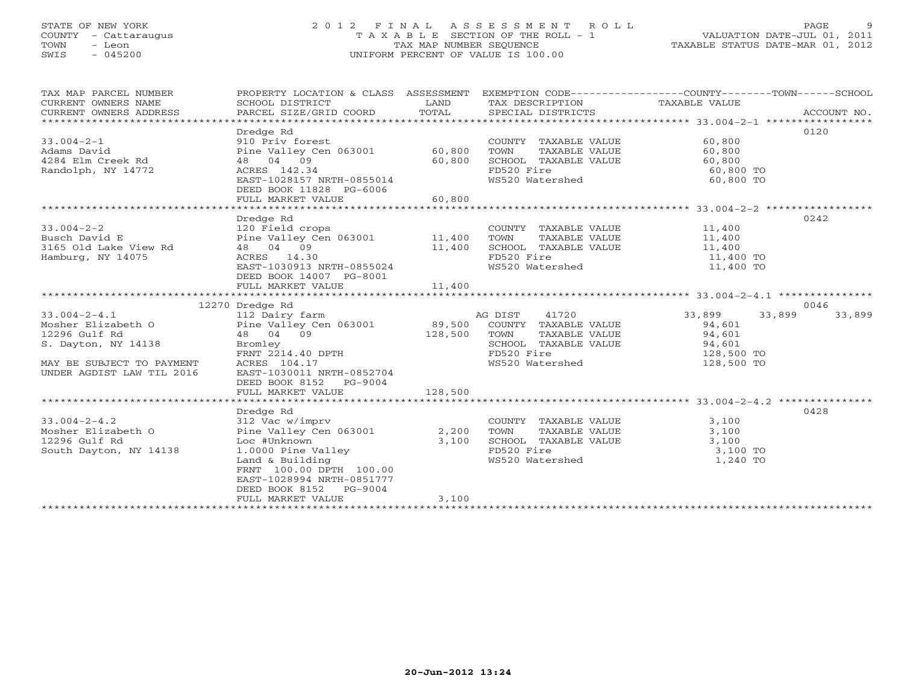# STATE OF NEW YORK 2 0 1 2 F I N A L A S S E S S M E N T R O L L PAGE 9 COUNTY - Cattaraugus T A X A B L E SECTION OF THE ROLL - 1 VALUATION DATE-JUL 01, 2011 TOWN - Leon TAX MAP NUMBER SEQUENCE TAXABLE STATUS DATE-MAR 01, 2012 SWIS - 045200 UNIFORM PERCENT OF VALUE IS 100.00UNIFORM PERCENT OF VALUE IS 100.00

| TAX MAP PARCEL NUMBER<br>CURRENT OWNERS NAME<br>CURRENT OWNERS ADDRESS                                                                                                                                                                                                                                               | SCHOOL DISTRICT<br>PARCEL SIZE/GRID COORD                                                                                                                                                                                                                        | <b>LAND</b><br>TOTAL | TAX DESCRIPTION TAXABLE VALUE<br>SPECIAL DISTRICTS                                                                                                         | PROPERTY LOCATION & CLASS ASSESSMENT EXEMPTION CODE---------------COUNTY-------TOWN------SCHOOL<br>ACCOUNT NO. |
|----------------------------------------------------------------------------------------------------------------------------------------------------------------------------------------------------------------------------------------------------------------------------------------------------------------------|------------------------------------------------------------------------------------------------------------------------------------------------------------------------------------------------------------------------------------------------------------------|----------------------|------------------------------------------------------------------------------------------------------------------------------------------------------------|----------------------------------------------------------------------------------------------------------------|
| $33.004 - 2 - 1$<br>Adams David<br>4284 Elm Creek Rd<br>Randolph Australia<br>Randolph, NY 14772                                                                                                                                                                                                                     | Dredge Rd<br>910 Priv forest<br>Pine Valley Cen 063001 60,800<br>48 04 09<br>$60,800$ RTH-0855014<br>ACRES 142.34<br>EAST-1028157 NRTH-0855014<br>DEED BOOK 11828 PG-6006<br>FULL MARKET VALUE                                                                   | 60, 800              | COUNTY TAXABLE VALUE<br>TOWN      TAXABLE VALUE<br>SCHOOL TAXABLE VALUE 60,800<br>FD520 Fire<br>WS520 Watershed                                            | 0120<br>60,800<br>60,800<br>60,800 TO<br>60,800 TO                                                             |
|                                                                                                                                                                                                                                                                                                                      |                                                                                                                                                                                                                                                                  |                      |                                                                                                                                                            |                                                                                                                |
| $33.004 - 2 - 2$<br>Busch David E<br>3165 Old Lake View Rd<br>Hamburg, NY 14075                                                                                                                                                                                                                                      | Dredge Rd<br>120 Field crops<br>120 Field crops<br>Pine Valley Cen 063001 11,400<br>48 04 09 11,400<br>ACRES 14.30 EAST-1030913 NRTH-0855024<br>DEED BOOK 14007 PG-8001                                                                                          |                      | COUNTY TAXABLE VALUE 11,400<br>TOWN TAXABLE VALUE 11,400<br>SCHOOL TAXABLE VALUE 11,400<br>FD520 Fire 11,400 TO<br>WS520 Watershed 11,400 TO               | 0242                                                                                                           |
|                                                                                                                                                                                                                                                                                                                      | FULL MARKET VALUE                                                                                                                                                                                                                                                | 11,400               |                                                                                                                                                            |                                                                                                                |
|                                                                                                                                                                                                                                                                                                                      |                                                                                                                                                                                                                                                                  |                      |                                                                                                                                                            | 0046                                                                                                           |
| 12270 Dredge Rd<br>12270 Dredge Rd<br>12270 Dredge Rd<br>12270 Dredge Rd<br>2012 Dairy farm<br>2012 Dairy farm<br>2012 Dairy farm<br>2012 Communication COUNTY TAXABLE VALUE<br>2014,601<br>2014,601<br>2014,601<br>2014,601<br>2014,601<br>2014,601<br>20<br>MAY BE SUBJECT TO PAYMENT<br>UNDER AGDIST LAW TIL 2016 | 48 04 02<br>Bromley<br>FRNT 2214.40 DPTH<br>EAST-1030011 NRTH-0852704                                                                                                                                                                                            |                      | WS520 Watershed 128,500 TO                                                                                                                                 | 33,899<br>33,899<br>128,500 TO                                                                                 |
|                                                                                                                                                                                                                                                                                                                      | DEED BOOK 8152 PG-9004                                                                                                                                                                                                                                           |                      |                                                                                                                                                            |                                                                                                                |
|                                                                                                                                                                                                                                                                                                                      |                                                                                                                                                                                                                                                                  |                      |                                                                                                                                                            |                                                                                                                |
|                                                                                                                                                                                                                                                                                                                      |                                                                                                                                                                                                                                                                  |                      |                                                                                                                                                            | 0428                                                                                                           |
| $33.004 - 2 - 4.2$<br>Mosher Elizabeth O<br>12296 Gulf Rd<br>South Dayton, NY 14138                                                                                                                                                                                                                                  | Dredge Rd<br>312 Vac w/imprv<br>Pine Valley Cen 063001 2,200<br>Loc #Unknown 3,100<br>1.0000 Pine Valley<br>Land & Building<br>The Calley Constant 100.00<br>FRNT 100.00 DPTH 100.00<br>EAST-1028994 NRTH-0851777<br>DEED BOOK 8152 PG-9004<br>FULL MARKET VALUE | 3,100                | COUNTY TAXABLE VALUE 3,100<br>TOWN TAXABLE VALUE 3 100<br>TOWN TAXABLE VALUE 3,100<br>SCHOOL TAXABLE VALUE 3,100<br>FD520 Fire<br>WS520 Watershed 1,240 TO |                                                                                                                |
|                                                                                                                                                                                                                                                                                                                      |                                                                                                                                                                                                                                                                  |                      |                                                                                                                                                            |                                                                                                                |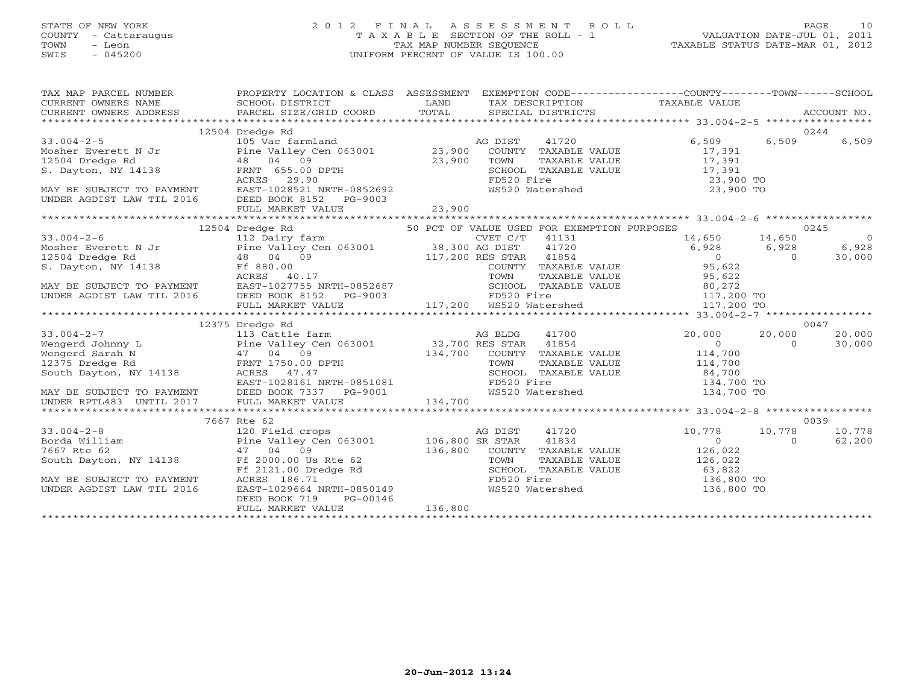# STATE OF NEW YORK 2 0 1 2 F I N A L A S S E S S M E N T R O L L PAGE 10 COUNTY - Cattaraugus T A X A B L E SECTION OF THE ROLL - 1 VALUATION DATE-JUL 01, 2011 TOWN - Leon TAX MAP NUMBER SEQUENCE TAXABLE STATUS DATE-MAR 01, 2012 SWIS - 045200 UNIFORM PERCENT OF VALUE IS 100.00UNIFORM PERCENT OF VALUE IS 100.00

| TAX MAP PARCEL NUMBER PROPERTY LOCATION & CLASS ASSESSMENT EXEMPTION CODE---------------COUNTY-------TOWN------SCHOOL                                                                                                                                                                                                                                                                       |                 |  |       |
|---------------------------------------------------------------------------------------------------------------------------------------------------------------------------------------------------------------------------------------------------------------------------------------------------------------------------------------------------------------------------------------------|-----------------|--|-------|
|                                                                                                                                                                                                                                                                                                                                                                                             | 12504 Dredge Rd |  | 0244  |
| $\begin{tabular}{lllllllllllllllllll} \hline & & 12504\text{ Dredge Rd} & & 12504\text{ Dredge Rd} & & 12504\text{ Dredge Rd} & & 12504\text{ Dredge Rd} & & 12504\text{ Dredge Rd} & & 12504\text{ Dredge Rd} & & 12504\text{ Dredge Rd} & & 12504\text{ Dredge Rd} & & 12504\text{ Dredge Rd} & & 12504\text{ Dredge Rd} & & 12504\text{ Dredge Rd} & & 12504\text{ Dredge Rd} & & 12504$ |                 |  | 6,509 |
|                                                                                                                                                                                                                                                                                                                                                                                             |                 |  |       |
|                                                                                                                                                                                                                                                                                                                                                                                             |                 |  |       |
|                                                                                                                                                                                                                                                                                                                                                                                             |                 |  |       |
|                                                                                                                                                                                                                                                                                                                                                                                             |                 |  |       |
|                                                                                                                                                                                                                                                                                                                                                                                             |                 |  |       |
|                                                                                                                                                                                                                                                                                                                                                                                             |                 |  |       |
|                                                                                                                                                                                                                                                                                                                                                                                             |                 |  |       |
|                                                                                                                                                                                                                                                                                                                                                                                             |                 |  |       |
|                                                                                                                                                                                                                                                                                                                                                                                             |                 |  |       |
|                                                                                                                                                                                                                                                                                                                                                                                             |                 |  |       |
|                                                                                                                                                                                                                                                                                                                                                                                             |                 |  |       |
|                                                                                                                                                                                                                                                                                                                                                                                             |                 |  |       |
|                                                                                                                                                                                                                                                                                                                                                                                             |                 |  |       |
|                                                                                                                                                                                                                                                                                                                                                                                             |                 |  |       |
|                                                                                                                                                                                                                                                                                                                                                                                             |                 |  |       |
|                                                                                                                                                                                                                                                                                                                                                                                             |                 |  |       |
|                                                                                                                                                                                                                                                                                                                                                                                             |                 |  |       |
|                                                                                                                                                                                                                                                                                                                                                                                             |                 |  |       |
|                                                                                                                                                                                                                                                                                                                                                                                             | 12375 Dredge Rd |  | 0047  |
|                                                                                                                                                                                                                                                                                                                                                                                             |                 |  |       |
|                                                                                                                                                                                                                                                                                                                                                                                             |                 |  |       |
|                                                                                                                                                                                                                                                                                                                                                                                             |                 |  |       |
|                                                                                                                                                                                                                                                                                                                                                                                             |                 |  |       |
|                                                                                                                                                                                                                                                                                                                                                                                             |                 |  |       |
|                                                                                                                                                                                                                                                                                                                                                                                             |                 |  |       |
|                                                                                                                                                                                                                                                                                                                                                                                             |                 |  |       |
|                                                                                                                                                                                                                                                                                                                                                                                             |                 |  |       |
| $\begin{tabular}{lllllllllllllllllllllll} \hline 33.004-2-7 & 12375\ \hline & 113\ \hline & 114\ \hline & 114\ \hline & 114\ \hline & 114\ \hline & 114\ \hline & 114\ \hline & 114\ \hline & 114\ \hline & 114\ \hline & 114\ \hline & 114\ \hline & 114\ \hline & 114\ \hline & 114\ \hline & 114\ \hline & 114\ \hline & 114\ \hline & 114\ \hline & 114$                                |                 |  |       |
|                                                                                                                                                                                                                                                                                                                                                                                             |                 |  |       |
|                                                                                                                                                                                                                                                                                                                                                                                             |                 |  |       |
|                                                                                                                                                                                                                                                                                                                                                                                             |                 |  |       |
|                                                                                                                                                                                                                                                                                                                                                                                             |                 |  |       |
|                                                                                                                                                                                                                                                                                                                                                                                             |                 |  |       |
|                                                                                                                                                                                                                                                                                                                                                                                             |                 |  |       |
|                                                                                                                                                                                                                                                                                                                                                                                             |                 |  |       |
|                                                                                                                                                                                                                                                                                                                                                                                             |                 |  |       |
|                                                                                                                                                                                                                                                                                                                                                                                             |                 |  |       |
|                                                                                                                                                                                                                                                                                                                                                                                             |                 |  |       |
|                                                                                                                                                                                                                                                                                                                                                                                             |                 |  |       |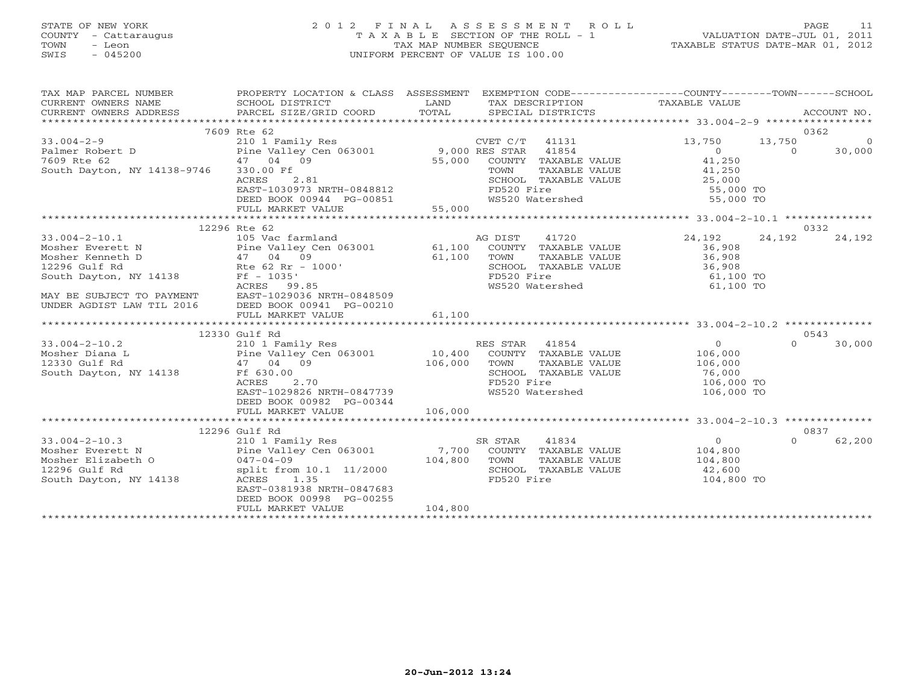# STATE OF NEW YORK 2 0 1 2 F I N A L A S S E S S M E N T R O L L PAGE 11 COUNTY - Cattaraugus T A X A B L E SECTION OF THE ROLL - 1 VALUATION DATE-JUL 01, 2011 TOWN - Leon TAX MAP NUMBER SEQUENCE TAXABLE STATUS DATE-MAR 01, 2012 SWIS - 045200 UNIFORM PERCENT OF VALUE IS 100.00UNIFORM PERCENT OF VALUE IS 100.00

| TAX MAP PARCEL NUMBER<br>CURRENT OWNERS NAME                                                                                                                                                                                                                                            | PROPERTY LOCATION & CLASS ASSESSMENT EXEMPTION CODE----------------COUNTY-------TOWN------SCHOOL |         |                                                                                                                                                    |                                             |                    |  |
|-----------------------------------------------------------------------------------------------------------------------------------------------------------------------------------------------------------------------------------------------------------------------------------------|--------------------------------------------------------------------------------------------------|---------|----------------------------------------------------------------------------------------------------------------------------------------------------|---------------------------------------------|--------------------|--|
|                                                                                                                                                                                                                                                                                         |                                                                                                  |         |                                                                                                                                                    |                                             |                    |  |
|                                                                                                                                                                                                                                                                                         | 7609 Rte 62                                                                                      |         |                                                                                                                                                    |                                             | 0362               |  |
|                                                                                                                                                                                                                                                                                         |                                                                                                  |         |                                                                                                                                                    |                                             | $\overline{0}$     |  |
|                                                                                                                                                                                                                                                                                         |                                                                                                  |         |                                                                                                                                                    |                                             |                    |  |
|                                                                                                                                                                                                                                                                                         |                                                                                                  |         |                                                                                                                                                    |                                             |                    |  |
|                                                                                                                                                                                                                                                                                         |                                                                                                  |         |                                                                                                                                                    |                                             |                    |  |
|                                                                                                                                                                                                                                                                                         |                                                                                                  |         |                                                                                                                                                    |                                             |                    |  |
|                                                                                                                                                                                                                                                                                         |                                                                                                  |         |                                                                                                                                                    |                                             |                    |  |
|                                                                                                                                                                                                                                                                                         |                                                                                                  |         |                                                                                                                                                    |                                             |                    |  |
| $\begin{tabular}{lllllllllllllllllllll} \hline 33.0004-2-9 & 210 & Fami Ly Res & 13.750 & 13.750 & 13.750 & 13.750 & 13.750 & 13.750 & 13.750 & 13.750 & 13.750 & 13.750 & 13.750 & 13.750 & 13.750 & 13.750 & 13.750 & 13.750 & 13.750 & 13.750 & 13.750 & 13.750 & 13.750 & 13.750 &$ |                                                                                                  |         |                                                                                                                                                    |                                             |                    |  |
|                                                                                                                                                                                                                                                                                         | 12296 Rte 62                                                                                     |         |                                                                                                                                                    |                                             | 0332               |  |
|                                                                                                                                                                                                                                                                                         |                                                                                                  |         | AG DIST 41720 24,192                                                                                                                               |                                             | 24,192<br>24,192   |  |
|                                                                                                                                                                                                                                                                                         |                                                                                                  |         |                                                                                                                                                    |                                             |                    |  |
|                                                                                                                                                                                                                                                                                         |                                                                                                  |         |                                                                                                                                                    |                                             |                    |  |
|                                                                                                                                                                                                                                                                                         |                                                                                                  |         |                                                                                                                                                    |                                             |                    |  |
|                                                                                                                                                                                                                                                                                         |                                                                                                  |         | SCHOOL TAXABLE VALUE $\begin{array}{ccc} 36,908 \\ 100 & 36,908 \\ \text{FD520 Fire & 61,100 TO \\ \text{WS520 Watershed & 61,100 TO} \end{array}$ |                                             |                    |  |
|                                                                                                                                                                                                                                                                                         |                                                                                                  |         |                                                                                                                                                    |                                             |                    |  |
|                                                                                                                                                                                                                                                                                         |                                                                                                  |         |                                                                                                                                                    |                                             |                    |  |
|                                                                                                                                                                                                                                                                                         |                                                                                                  |         |                                                                                                                                                    |                                             |                    |  |
|                                                                                                                                                                                                                                                                                         |                                                                                                  |         |                                                                                                                                                    |                                             |                    |  |
|                                                                                                                                                                                                                                                                                         |                                                                                                  |         |                                                                                                                                                    |                                             |                    |  |
|                                                                                                                                                                                                                                                                                         | 12330 Gulf Rd                                                                                    |         |                                                                                                                                                    |                                             | 0543               |  |
|                                                                                                                                                                                                                                                                                         |                                                                                                  |         |                                                                                                                                                    |                                             | $\Omega$<br>30,000 |  |
|                                                                                                                                                                                                                                                                                         |                                                                                                  |         |                                                                                                                                                    |                                             |                    |  |
|                                                                                                                                                                                                                                                                                         |                                                                                                  |         |                                                                                                                                                    |                                             |                    |  |
|                                                                                                                                                                                                                                                                                         |                                                                                                  |         |                                                                                                                                                    |                                             |                    |  |
|                                                                                                                                                                                                                                                                                         |                                                                                                  |         |                                                                                                                                                    | 106,000 TO                                  |                    |  |
| 33.004-2-10.2<br>Mosher Diana L.<br>210 106,000<br>210 106,000<br>2330 Gulf Rd<br>210 104 09<br>2230 Gulf Rd<br>210 29826 NRTH-0847739<br>2230 Gulf Rd<br>2106,000<br>22926 NRTH-0847739<br>22926 NRTH-0847739<br>22926 NRTH-0847739<br>22926 NRTH-08477                                |                                                                                                  |         |                                                                                                                                                    | 106,000 TO                                  |                    |  |
|                                                                                                                                                                                                                                                                                         | DEED BOOK 00982 PG-00344                                                                         |         |                                                                                                                                                    |                                             |                    |  |
|                                                                                                                                                                                                                                                                                         |                                                                                                  |         |                                                                                                                                                    |                                             |                    |  |
|                                                                                                                                                                                                                                                                                         |                                                                                                  |         |                                                                                                                                                    |                                             |                    |  |
|                                                                                                                                                                                                                                                                                         |                                                                                                  |         |                                                                                                                                                    |                                             | 0837               |  |
|                                                                                                                                                                                                                                                                                         |                                                                                                  |         |                                                                                                                                                    | $\begin{array}{c} 0 \\ 104,800 \end{array}$ | $\Omega$<br>62,200 |  |
|                                                                                                                                                                                                                                                                                         |                                                                                                  |         |                                                                                                                                                    | TAXABLE VALUE 104,800                       |                    |  |
|                                                                                                                                                                                                                                                                                         |                                                                                                  |         |                                                                                                                                                    |                                             |                    |  |
|                                                                                                                                                                                                                                                                                         |                                                                                                  |         |                                                                                                                                                    | 42,600                                      |                    |  |
| 12290 0011 Kd<br>210 1 Family Res<br>Mosher Everett N<br>Mosher Elizabeth O<br>12296 Gulf Rd<br>South Dayton, NY 14138<br>South Dayton, NY 14138<br>Note of the South Dayton, NY 14138<br>Note of the South Dayton, NY 14138<br>Note of the Sout                                        | EAST-0381938 NRTH-0847683                                                                        |         |                                                                                                                                                    | 104,800 TO                                  |                    |  |
|                                                                                                                                                                                                                                                                                         | DEED BOOK 00998 PG-00255                                                                         |         |                                                                                                                                                    |                                             |                    |  |
|                                                                                                                                                                                                                                                                                         | FULL MARKET VALUE                                                                                | 104,800 |                                                                                                                                                    |                                             |                    |  |
|                                                                                                                                                                                                                                                                                         |                                                                                                  |         |                                                                                                                                                    |                                             |                    |  |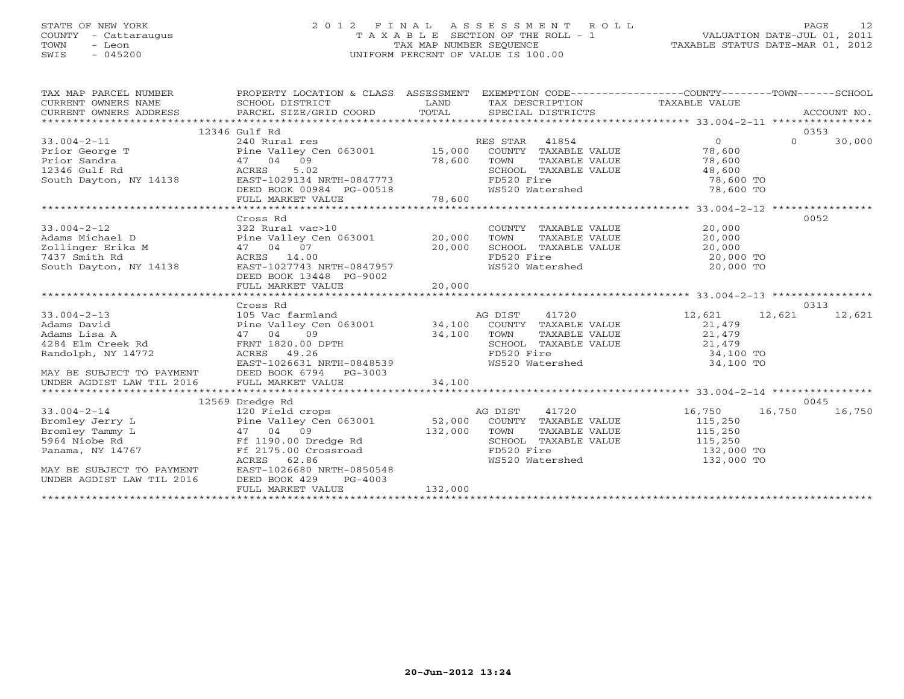# STATE OF NEW YORK 2 0 1 2 F I N A L A S S E S S M E N T R O L L PAGE 12 COUNTY - Cattaraugus T A X A B L E SECTION OF THE ROLL - 1 VALUATION DATE-JUL 01, 2011 TOWN - Leon TAX MAP NUMBER SEQUENCE TAXABLE STATUS DATE-MAR 01, 2012 SWIS - 045200 UNIFORM PERCENT OF VALUE IS 100.00UNIFORM PERCENT OF VALUE IS 100.00

| TAX MAP PARCEL NUMBER<br>$\begin{tabular}{lllllll} \multicolumn{2}{c}{\textbf{CURRENT}} & \multicolumn{2}{c}{\textbf{WNERS}} & \multicolumn{2}{c}{\textbf{NAME}} & \multicolumn{2}{c}{\textbf{SCHOOL}} & \multicolumn{2}{c}{\textbf{DISTRICT}} & \multicolumn{2}{c}{\textbf{LAND}} & \multicolumn{2}{c}{\textbf{TAX} \textbf{DESCRIPTION}} & \multicolumn{2}{c}{\textbf{TAXABLE} \textbf{ VALUE}} & \multicolumn{2}{c}{\textbf{NALUE}} \\ & \multicolumn{2}{c}{\textbf{CURRENT}} & \multicolumn{2}{c}{\textbf$ | PROPERTY LOCATION & CLASS ASSESSMENT                                                                                                                                                                                                                                                                                                                                                          |         |                               | EXEMPTION CODE-----------------COUNTY-------TOWN-----SCHOOL                                                                                                                                       |          |        |
|----------------------------------------------------------------------------------------------------------------------------------------------------------------------------------------------------------------------------------------------------------------------------------------------------------------------------------------------------------------------------------------------------------------------------------------------------------------------------------------------------------------|-----------------------------------------------------------------------------------------------------------------------------------------------------------------------------------------------------------------------------------------------------------------------------------------------------------------------------------------------------------------------------------------------|---------|-------------------------------|---------------------------------------------------------------------------------------------------------------------------------------------------------------------------------------------------|----------|--------|
|                                                                                                                                                                                                                                                                                                                                                                                                                                                                                                                |                                                                                                                                                                                                                                                                                                                                                                                               |         |                               |                                                                                                                                                                                                   |          |        |
|                                                                                                                                                                                                                                                                                                                                                                                                                                                                                                                | 12346 Gulf Rd                                                                                                                                                                                                                                                                                                                                                                                 |         |                               |                                                                                                                                                                                                   |          | 0353   |
| $\begin{tabular}{lllllllllllll} 33.004-2-11 & 240\;Rural\;res & \text{RES STR} & 41854 & 0 \\ \text{Prior George T} & \text{Pine Valley Cen 063001} & 15,000\; \text{COUNTY} & \text{TAXABLE VALUE} & 78,600 \\ \text{Prior Sandra} & 47 & 04 & 09 & 78,600 & \text{SCHOOL} & \text{TAXABLE VALUE} & 78,600 \\ \text{South Dayton, NY 14138} & \text{RAST-I029134 NRTH-0847773} & \text{FDS20 Fire} & \text{$                                                                                                  |                                                                                                                                                                                                                                                                                                                                                                                               |         |                               |                                                                                                                                                                                                   | $\Omega$ | 30,000 |
|                                                                                                                                                                                                                                                                                                                                                                                                                                                                                                                |                                                                                                                                                                                                                                                                                                                                                                                               |         |                               |                                                                                                                                                                                                   |          |        |
|                                                                                                                                                                                                                                                                                                                                                                                                                                                                                                                |                                                                                                                                                                                                                                                                                                                                                                                               |         |                               |                                                                                                                                                                                                   |          |        |
|                                                                                                                                                                                                                                                                                                                                                                                                                                                                                                                |                                                                                                                                                                                                                                                                                                                                                                                               |         |                               |                                                                                                                                                                                                   |          |        |
|                                                                                                                                                                                                                                                                                                                                                                                                                                                                                                                |                                                                                                                                                                                                                                                                                                                                                                                               |         |                               |                                                                                                                                                                                                   |          |        |
|                                                                                                                                                                                                                                                                                                                                                                                                                                                                                                                |                                                                                                                                                                                                                                                                                                                                                                                               |         | FD520 Fire<br>WS520 Watershed |                                                                                                                                                                                                   |          |        |
|                                                                                                                                                                                                                                                                                                                                                                                                                                                                                                                |                                                                                                                                                                                                                                                                                                                                                                                               |         |                               |                                                                                                                                                                                                   |          |        |
|                                                                                                                                                                                                                                                                                                                                                                                                                                                                                                                |                                                                                                                                                                                                                                                                                                                                                                                               |         |                               |                                                                                                                                                                                                   |          |        |
|                                                                                                                                                                                                                                                                                                                                                                                                                                                                                                                | Cross Rd                                                                                                                                                                                                                                                                                                                                                                                      |         |                               |                                                                                                                                                                                                   |          | 0052   |
| 33.004-2-12<br>Adams Michael D<br>Tollingor Frike M<br>$\frac{322 \text{ Rural vac}>10}{20,000}$<br>$\frac{322 \text{ Rural vac}>10}{20,000}$<br>$\frac{322 \text{ Rural vac}>10}{20,000}$                                                                                                                                                                                                                                                                                                                     |                                                                                                                                                                                                                                                                                                                                                                                               |         |                               | $\begin{tabular}{lllllllll} \multicolumn{2}{c}{\textbf{COUNTY}} & \textbf{TAXABLE VALUE} & & & & 20,000 \\ \multicolumn{2}{c}{\textbf{TOWN}} & \textbf{TAXABLE VALUE} & & & 20,000 \end{tabular}$ |          |        |
|                                                                                                                                                                                                                                                                                                                                                                                                                                                                                                                |                                                                                                                                                                                                                                                                                                                                                                                               |         |                               |                                                                                                                                                                                                   |          |        |
| Zollinger Erika M $47$ 04 07<br>7437 Smith Rd                 ACRES 14.00                                                                                                                                                                                                                                                                                                                                                                                                                                      | $47$ 04 07 20,000<br>ACRES 14.00 20,000<br>EAST-1027743 NRTH-0847957                                                                                                                                                                                                                                                                                                                          |         |                               | SCHOOL TAXABLE VALUE $20,000$<br>FD520 Fire 20,000 TO                                                                                                                                             |          |        |
| 7437 Smith Rd                                                                                                                                                                                                                                                                                                                                                                                                                                                                                                  |                                                                                                                                                                                                                                                                                                                                                                                               |         |                               |                                                                                                                                                                                                   |          |        |
| South Dayton, NY 14138                                                                                                                                                                                                                                                                                                                                                                                                                                                                                         |                                                                                                                                                                                                                                                                                                                                                                                               |         | WS520 Watershed               | 20,000 TO                                                                                                                                                                                         |          |        |
|                                                                                                                                                                                                                                                                                                                                                                                                                                                                                                                | DEED BOOK 13448 PG-9002                                                                                                                                                                                                                                                                                                                                                                       |         |                               |                                                                                                                                                                                                   |          |        |
|                                                                                                                                                                                                                                                                                                                                                                                                                                                                                                                |                                                                                                                                                                                                                                                                                                                                                                                               |         |                               |                                                                                                                                                                                                   |          |        |
|                                                                                                                                                                                                                                                                                                                                                                                                                                                                                                                |                                                                                                                                                                                                                                                                                                                                                                                               |         |                               |                                                                                                                                                                                                   |          |        |
|                                                                                                                                                                                                                                                                                                                                                                                                                                                                                                                | Cross Rd<br>Cross Rd<br>105 Vac farmland<br>Pine Valley Cen 063001 34,100 COUNTY TAXABLE VALUE<br>34.100 TOWN TAXABLE VALUE                                                                                                                                                                                                                                                                   |         |                               |                                                                                                                                                                                                   |          | 0313   |
| $33.004 - 2 - 13$                                                                                                                                                                                                                                                                                                                                                                                                                                                                                              |                                                                                                                                                                                                                                                                                                                                                                                               |         |                               | 12,621 12,621                                                                                                                                                                                     |          | 12,621 |
| Adams David                                                                                                                                                                                                                                                                                                                                                                                                                                                                                                    |                                                                                                                                                                                                                                                                                                                                                                                               |         |                               | 21,479<br>21,479                                                                                                                                                                                  |          |        |
| Adams Lisa A<br>4284 Elm Creek Rd                                                                                                                                                                                                                                                                                                                                                                                                                                                                              |                                                                                                                                                                                                                                                                                                                                                                                               |         |                               |                                                                                                                                                                                                   |          |        |
|                                                                                                                                                                                                                                                                                                                                                                                                                                                                                                                |                                                                                                                                                                                                                                                                                                                                                                                               |         |                               |                                                                                                                                                                                                   |          |        |
| Randolph, NY 14772                                                                                                                                                                                                                                                                                                                                                                                                                                                                                             |                                                                                                                                                                                                                                                                                                                                                                                               |         |                               | CHOOL TAXABLE VALUE<br>FD520 Fire 34,100 TO<br>WS520 Watershed 34,100 TO                                                                                                                          |          |        |
| MAY BE SUBJECT TO PAYMENT DEED BOOK 6794 PG-3003                                                                                                                                                                                                                                                                                                                                                                                                                                                               |                                                                                                                                                                                                                                                                                                                                                                                               |         |                               |                                                                                                                                                                                                   |          |        |
|                                                                                                                                                                                                                                                                                                                                                                                                                                                                                                                |                                                                                                                                                                                                                                                                                                                                                                                               |         |                               |                                                                                                                                                                                                   |          |        |
|                                                                                                                                                                                                                                                                                                                                                                                                                                                                                                                |                                                                                                                                                                                                                                                                                                                                                                                               |         |                               |                                                                                                                                                                                                   |          |        |
|                                                                                                                                                                                                                                                                                                                                                                                                                                                                                                                |                                                                                                                                                                                                                                                                                                                                                                                               |         |                               |                                                                                                                                                                                                   |          | 0045   |
| $33.004 - 2 - 14$                                                                                                                                                                                                                                                                                                                                                                                                                                                                                              |                                                                                                                                                                                                                                                                                                                                                                                               |         |                               |                                                                                                                                                                                                   | 16,750   | 16,750 |
| Bromley Jerry L                                                                                                                                                                                                                                                                                                                                                                                                                                                                                                |                                                                                                                                                                                                                                                                                                                                                                                               |         |                               |                                                                                                                                                                                                   |          |        |
| Bromley Tammy L                                                                                                                                                                                                                                                                                                                                                                                                                                                                                                |                                                                                                                                                                                                                                                                                                                                                                                               |         |                               |                                                                                                                                                                                                   |          |        |
| 5964 Niobe Rd                                                                                                                                                                                                                                                                                                                                                                                                                                                                                                  |                                                                                                                                                                                                                                                                                                                                                                                               |         |                               |                                                                                                                                                                                                   |          |        |
| Panama, NY 14767                                                                                                                                                                                                                                                                                                                                                                                                                                                                                               |                                                                                                                                                                                                                                                                                                                                                                                               |         |                               |                                                                                                                                                                                                   |          |        |
|                                                                                                                                                                                                                                                                                                                                                                                                                                                                                                                |                                                                                                                                                                                                                                                                                                                                                                                               |         |                               |                                                                                                                                                                                                   |          |        |
| Panama,<br>MAY BE SUBJECT TO PAYMENT<br>AN TIL 2016                                                                                                                                                                                                                                                                                                                                                                                                                                                            | $\begin{tabular}{lcccc} \tt 12569\hline \tt 120\hline \tt 120\hline \tt 120\hline \tt 120\hline \tt 120\hline \tt 120\hline \tt 120\hline \tt 120\hline \tt 120\hline \tt 120\hline \tt 120\hline \tt 120\hline \tt 120\hline \tt 120\hline \tt 120\hline \tt 120\hline \tt 120\hline \tt 120\hline \tt 120\hline \tt 120\hline \tt 120\hline \tt 120\hline \tt$<br>EAST-1026680 NRTH-0850548 |         |                               |                                                                                                                                                                                                   |          |        |
|                                                                                                                                                                                                                                                                                                                                                                                                                                                                                                                | DEED BOOK 429<br>$PG-4003$                                                                                                                                                                                                                                                                                                                                                                    |         |                               |                                                                                                                                                                                                   |          |        |
|                                                                                                                                                                                                                                                                                                                                                                                                                                                                                                                | FULL MARKET VALUE                                                                                                                                                                                                                                                                                                                                                                             | 132,000 |                               |                                                                                                                                                                                                   |          |        |
|                                                                                                                                                                                                                                                                                                                                                                                                                                                                                                                |                                                                                                                                                                                                                                                                                                                                                                                               |         |                               |                                                                                                                                                                                                   |          |        |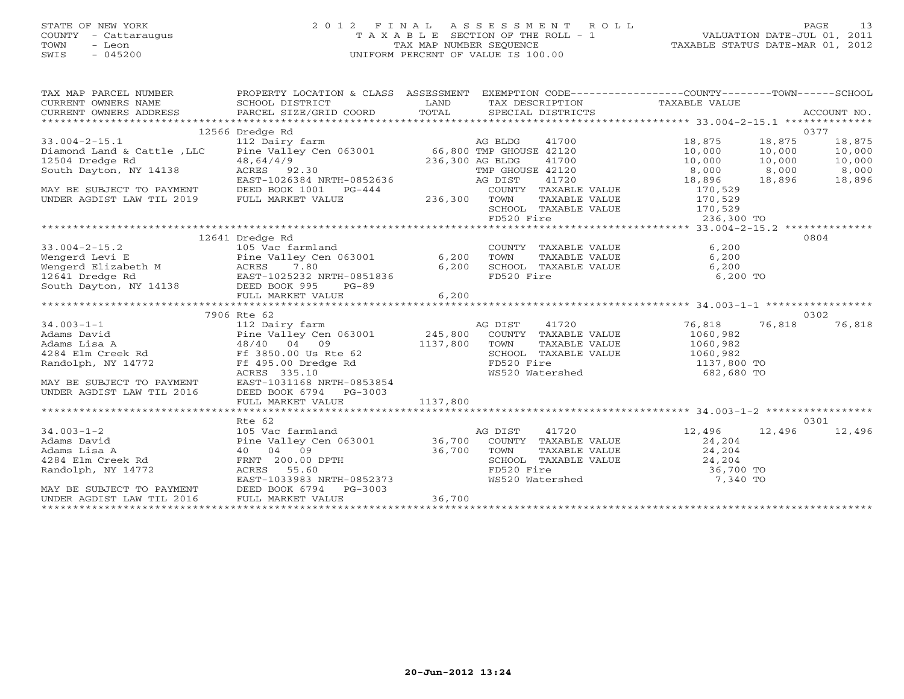# STATE OF NEW YORK 2 0 1 2 F I N A L A S S E S S M E N T R O L L PAGE 13 COUNTY - Cattaraugus T A X A B L E SECTION OF THE ROLL - 1 VALUATION DATE-JUL 01, 2011 TOWN - Leon TAX MAP NUMBER SEQUENCE TAXABLE STATUS DATE-MAR 01, 2012 SWIS - 045200 UNIFORM PERCENT OF VALUE IS 100.00UNIFORM PERCENT OF VALUE IS 100.00

| TAX MAP PARCEL NUMBER<br>$\begin{tabular}{lllllll} \multicolumn{2}{c}{\textbf{CURRENT}} & \multicolumn{2}{c}{\textbf{WNERS}} & \multicolumn{2}{c}{\textbf{NAME}} & \multicolumn{2}{c}{\textbf{SCHOOL}} & \multicolumn{2}{c}{\textbf{LAND}} & \multicolumn{2}{c}{\textbf{TAX} \textbf{DESCRIFTION}} & \multicolumn{2}{c}{\textbf{TAXABLE VALUE}} & \multicolumn{2}{c}{\textbf{NALUE}} \\ & & & & & & & \multicolumn{2}{c}{\textbf{CURRENT}} & \multicolumn{2}{c}{\textbf{WMERS} \textbf{ADDRES} & \textbf$ | PROPERTY LOCATION & CLASS ASSESSMENT EXEMPTION CODE-----------------COUNTY-------TOWN------SCHOOL |          |                                                                                                                                                                                                                                                                                                                                                                                                   |                                                                                                    | ACCOUNT NO. |
|-----------------------------------------------------------------------------------------------------------------------------------------------------------------------------------------------------------------------------------------------------------------------------------------------------------------------------------------------------------------------------------------------------------------------------------------------------------------------------------------------------------|---------------------------------------------------------------------------------------------------|----------|---------------------------------------------------------------------------------------------------------------------------------------------------------------------------------------------------------------------------------------------------------------------------------------------------------------------------------------------------------------------------------------------------|----------------------------------------------------------------------------------------------------|-------------|
|                                                                                                                                                                                                                                                                                                                                                                                                                                                                                                           | 12566 Dredge Rd                                                                                   |          |                                                                                                                                                                                                                                                                                                                                                                                                   |                                                                                                    | 0377        |
|                                                                                                                                                                                                                                                                                                                                                                                                                                                                                                           |                                                                                                   |          |                                                                                                                                                                                                                                                                                                                                                                                                   | 41700 18,875 18,875                                                                                | 18,875      |
|                                                                                                                                                                                                                                                                                                                                                                                                                                                                                                           |                                                                                                   |          |                                                                                                                                                                                                                                                                                                                                                                                                   | 10,000 10,000                                                                                      | 10,000      |
|                                                                                                                                                                                                                                                                                                                                                                                                                                                                                                           |                                                                                                   |          |                                                                                                                                                                                                                                                                                                                                                                                                   |                                                                                                    |             |
|                                                                                                                                                                                                                                                                                                                                                                                                                                                                                                           |                                                                                                   |          |                                                                                                                                                                                                                                                                                                                                                                                                   |                                                                                                    |             |
|                                                                                                                                                                                                                                                                                                                                                                                                                                                                                                           |                                                                                                   |          |                                                                                                                                                                                                                                                                                                                                                                                                   | $10,000$ $10,000$ $10,000$ $10,000$ $10,000$ $10,000$ $10,000$ $10,000$ $10,896$ $18,896$ $18,896$ |             |
| 33.004-2-15.1<br>12366 Dredge Rd<br>12366 Dredge Rd<br>12366 Dredge Rd<br>12504 Dredge Rd<br>12504 Dredge Rd<br>12504 Dredge Rd<br>12504 Dredge Rd<br>12504 Dredge Rd<br>12504 Dredge Rd<br>12504 Dredge Rd<br>12504 Dredge Rd<br>12504 Dredge Rd<br>12                                                                                                                                                                                                                                                   |                                                                                                   |          |                                                                                                                                                                                                                                                                                                                                                                                                   |                                                                                                    |             |
|                                                                                                                                                                                                                                                                                                                                                                                                                                                                                                           |                                                                                                   |          | COUNTY TAXABLE VALUE 170,529                                                                                                                                                                                                                                                                                                                                                                      |                                                                                                    |             |
|                                                                                                                                                                                                                                                                                                                                                                                                                                                                                                           |                                                                                                   |          | TOWN TAXABLE VALUE 170,529<br>SCHOOL TAXABLE VALUE 170,529<br>FD520 Fire 236,300 TO                                                                                                                                                                                                                                                                                                               |                                                                                                    |             |
|                                                                                                                                                                                                                                                                                                                                                                                                                                                                                                           |                                                                                                   |          |                                                                                                                                                                                                                                                                                                                                                                                                   |                                                                                                    |             |
|                                                                                                                                                                                                                                                                                                                                                                                                                                                                                                           |                                                                                                   |          |                                                                                                                                                                                                                                                                                                                                                                                                   |                                                                                                    |             |
|                                                                                                                                                                                                                                                                                                                                                                                                                                                                                                           |                                                                                                   |          |                                                                                                                                                                                                                                                                                                                                                                                                   |                                                                                                    |             |
|                                                                                                                                                                                                                                                                                                                                                                                                                                                                                                           | 12641 Dredge Rd                                                                                   |          |                                                                                                                                                                                                                                                                                                                                                                                                   |                                                                                                    | 0804        |
| $33.004 - 2 - 15.2$                                                                                                                                                                                                                                                                                                                                                                                                                                                                                       | 105 Vac farmland                                                                                  |          | COUNTY TAXABLE VALUE 6,200                                                                                                                                                                                                                                                                                                                                                                        |                                                                                                    |             |
|                                                                                                                                                                                                                                                                                                                                                                                                                                                                                                           |                                                                                                   |          |                                                                                                                                                                                                                                                                                                                                                                                                   |                                                                                                    |             |
|                                                                                                                                                                                                                                                                                                                                                                                                                                                                                                           |                                                                                                   |          |                                                                                                                                                                                                                                                                                                                                                                                                   |                                                                                                    |             |
|                                                                                                                                                                                                                                                                                                                                                                                                                                                                                                           |                                                                                                   |          |                                                                                                                                                                                                                                                                                                                                                                                                   | 6,200 TO                                                                                           |             |
| o 200<br>Mengerd Levi E<br>Wengerd Elizabeth M ACRES 7.80<br>12641 Dredge Rd EAST-1025232 NRTH-0851836 6,200 SCHOOL TAXABLE VALUE 6,200<br>South Dayton, NY 14138 DEED BOOK 995 PG-89<br>FD520 Fire 6,200                                                                                                                                                                                                                                                                                                 |                                                                                                   |          |                                                                                                                                                                                                                                                                                                                                                                                                   |                                                                                                    |             |
|                                                                                                                                                                                                                                                                                                                                                                                                                                                                                                           |                                                                                                   |          |                                                                                                                                                                                                                                                                                                                                                                                                   |                                                                                                    |             |
|                                                                                                                                                                                                                                                                                                                                                                                                                                                                                                           |                                                                                                   |          |                                                                                                                                                                                                                                                                                                                                                                                                   |                                                                                                    |             |
|                                                                                                                                                                                                                                                                                                                                                                                                                                                                                                           | 7906 Rte 62                                                                                       |          |                                                                                                                                                                                                                                                                                                                                                                                                   |                                                                                                    | 0302        |
|                                                                                                                                                                                                                                                                                                                                                                                                                                                                                                           |                                                                                                   |          |                                                                                                                                                                                                                                                                                                                                                                                                   | 41720 76,818 76,818                                                                                | 76,818      |
|                                                                                                                                                                                                                                                                                                                                                                                                                                                                                                           |                                                                                                   |          |                                                                                                                                                                                                                                                                                                                                                                                                   |                                                                                                    |             |
|                                                                                                                                                                                                                                                                                                                                                                                                                                                                                                           |                                                                                                   |          |                                                                                                                                                                                                                                                                                                                                                                                                   |                                                                                                    |             |
|                                                                                                                                                                                                                                                                                                                                                                                                                                                                                                           |                                                                                                   |          |                                                                                                                                                                                                                                                                                                                                                                                                   |                                                                                                    |             |
|                                                                                                                                                                                                                                                                                                                                                                                                                                                                                                           |                                                                                                   |          |                                                                                                                                                                                                                                                                                                                                                                                                   |                                                                                                    |             |
|                                                                                                                                                                                                                                                                                                                                                                                                                                                                                                           |                                                                                                   |          |                                                                                                                                                                                                                                                                                                                                                                                                   |                                                                                                    |             |
|                                                                                                                                                                                                                                                                                                                                                                                                                                                                                                           |                                                                                                   |          |                                                                                                                                                                                                                                                                                                                                                                                                   |                                                                                                    |             |
| MAY BE SUBJECT TO PAYMENT EAST-1031168 NRTH-0853854                                                                                                                                                                                                                                                                                                                                                                                                                                                       |                                                                                                   |          | $\begin{tabular}{lllllllllllllllllllll} \hline 34.003-1-1 && 7906 \mbox{ Rdams David} && 112 \mbox{ Dairry farm} && 112 \mbox{ Dairry farm} && 245,800 & COUNTY TAXABLE VALUE && 1060,982 && 1060,982 && 1060,982 && 1060,982 && 1060,982 && 1060,982 && 1060,982 && 1060,982 && 1060,982 && 1060,982 && 1060,982 && 1060,982 && 1060,98$<br>FD520 Fire 1137,800 TO<br>WS520 Watershed 682,680 TO |                                                                                                    |             |
| UNDER AGDIST LAW TIL 2016                                                                                                                                                                                                                                                                                                                                                                                                                                                                                 | DEED BOOK 6794 PG-3003                                                                            |          |                                                                                                                                                                                                                                                                                                                                                                                                   |                                                                                                    |             |
|                                                                                                                                                                                                                                                                                                                                                                                                                                                                                                           | FULL MARKET VALUE                                                                                 | 1137,800 |                                                                                                                                                                                                                                                                                                                                                                                                   |                                                                                                    |             |
|                                                                                                                                                                                                                                                                                                                                                                                                                                                                                                           |                                                                                                   |          |                                                                                                                                                                                                                                                                                                                                                                                                   |                                                                                                    |             |
|                                                                                                                                                                                                                                                                                                                                                                                                                                                                                                           | Rte 62                                                                                            |          |                                                                                                                                                                                                                                                                                                                                                                                                   |                                                                                                    | 0301        |
|                                                                                                                                                                                                                                                                                                                                                                                                                                                                                                           |                                                                                                   |          |                                                                                                                                                                                                                                                                                                                                                                                                   | 12,496 12,496 12,496                                                                               |             |
|                                                                                                                                                                                                                                                                                                                                                                                                                                                                                                           |                                                                                                   |          |                                                                                                                                                                                                                                                                                                                                                                                                   | 24,204                                                                                             |             |
|                                                                                                                                                                                                                                                                                                                                                                                                                                                                                                           |                                                                                                   |          |                                                                                                                                                                                                                                                                                                                                                                                                   | TAXABLE VALUE 24,204                                                                               |             |
|                                                                                                                                                                                                                                                                                                                                                                                                                                                                                                           |                                                                                                   |          |                                                                                                                                                                                                                                                                                                                                                                                                   |                                                                                                    |             |
|                                                                                                                                                                                                                                                                                                                                                                                                                                                                                                           |                                                                                                   |          |                                                                                                                                                                                                                                                                                                                                                                                                   |                                                                                                    |             |
|                                                                                                                                                                                                                                                                                                                                                                                                                                                                                                           |                                                                                                   |          |                                                                                                                                                                                                                                                                                                                                                                                                   |                                                                                                    |             |
| 34.003-1-2<br>Adams David<br>Adams Lisa A<br>Adams Lisa A<br>284 Elm Creek Rd<br>Randolph, NY 14772<br>Pine Valley Cen 063001<br>286,700 COUNTY TAXABLE VALUE<br>36,700 COUNTY TAXABLE VALUE<br>36,700 TOWN TAXABLE VALUE<br>200.00 DPTH<br>200.00 D                                                                                                                                                                                                                                                      |                                                                                                   |          | SCHOOL TAXABLE VALUE $24,204$<br>FD520 Fire $36,700$ TO<br>WS520 Watershed 7,340 TO                                                                                                                                                                                                                                                                                                               |                                                                                                    |             |
| MAY BE SUBJECT TO PAYMENT<br>UNDER AGDIST LAW TIL 2016                                                                                                                                                                                                                                                                                                                                                                                                                                                    |                                                                                                   |          |                                                                                                                                                                                                                                                                                                                                                                                                   |                                                                                                    |             |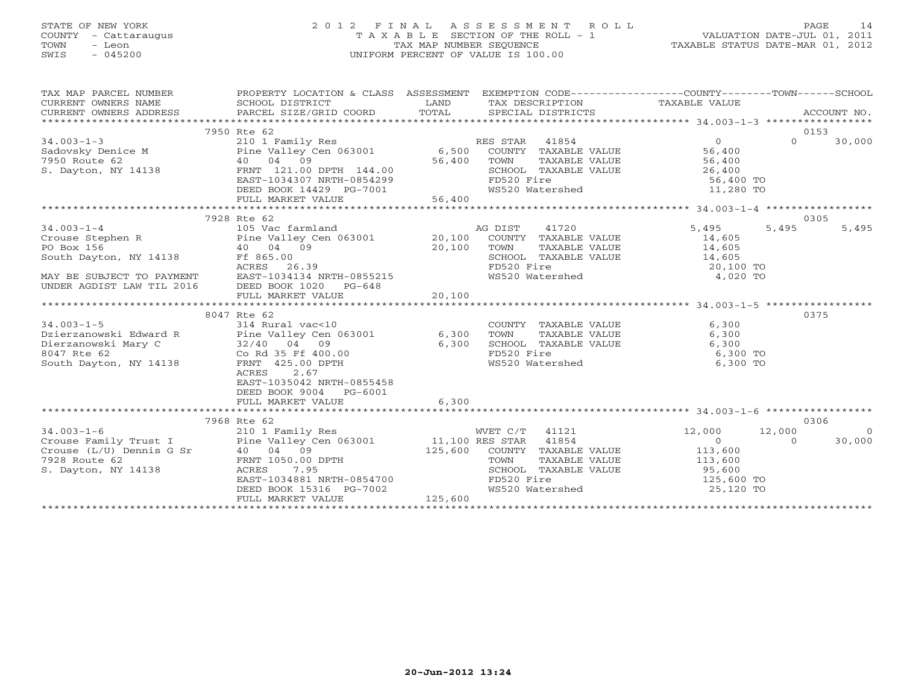# STATE OF NEW YORK 2 0 1 2 F I N A L A S S E S S M E N T R O L L PAGE 14 COUNTY - Cattaraugus T A X A B L E SECTION OF THE ROLL - 1 VALUATION DATE-JUL 01, 2011 TOWN - Leon TAX MAP NUMBER SEQUENCE TAXABLE STATUS DATE-MAR 01, 2012 SWIS - 045200 UNIFORM PERCENT OF VALUE IS 100.00UNIFORM PERCENT OF VALUE IS 100.00

| TAX MAP PARCEL NUMBER | PROPERTY LOCATION & CLASS ASSESSMENT EXEMPTION CODE---------------COUNTY-------TOWN------SCHOOL                                                                                                                                                                                                                                     |       |                                                          |          |                |
|-----------------------|-------------------------------------------------------------------------------------------------------------------------------------------------------------------------------------------------------------------------------------------------------------------------------------------------------------------------------------|-------|----------------------------------------------------------|----------|----------------|
|                       | TA PIE TAND ENDER THE SCHOOL DISTRICT DESCRIPTION TAXABLE VALUE<br>CURRENT OWNERS NAME SCHOOL DISTRICT DESCRIPTION TAXABLE VALUE<br>CURRENT OWNERS ADDRESS PARCEL SIZE/GRID COORD TOTAL SPECIAL DISTRICTS ACCOUNT NO.<br>**************                                                                                             |       |                                                          |          |                |
|                       |                                                                                                                                                                                                                                                                                                                                     |       |                                                          |          |                |
|                       |                                                                                                                                                                                                                                                                                                                                     |       |                                                          |          |                |
|                       | 7950 Rte 62                                                                                                                                                                                                                                                                                                                         |       |                                                          | 0153     |                |
|                       | 34.003-1-3<br>34.003-1-3<br>Sadovsky Denice M<br>7950 Route 62<br>S. Dayton, NY 14138<br>26,400<br>26,400<br>26,400<br>26,400<br>26,400<br>26,400<br>26,400<br>26,400<br>26,400<br>26,400<br>26,400<br>26,400<br>26,400<br>26,400<br>26,400<br>26,400<br>26,400<br>26,400<br>                                                       |       |                                                          | $\Omega$ | 30,000         |
|                       |                                                                                                                                                                                                                                                                                                                                     |       |                                                          |          |                |
|                       |                                                                                                                                                                                                                                                                                                                                     |       |                                                          |          |                |
|                       |                                                                                                                                                                                                                                                                                                                                     |       |                                                          |          |                |
|                       |                                                                                                                                                                                                                                                                                                                                     |       |                                                          |          |                |
|                       |                                                                                                                                                                                                                                                                                                                                     |       |                                                          |          |                |
|                       |                                                                                                                                                                                                                                                                                                                                     |       |                                                          |          |                |
|                       |                                                                                                                                                                                                                                                                                                                                     |       |                                                          |          |                |
|                       | 7928 Rte 62                                                                                                                                                                                                                                                                                                                         |       |                                                          | 0305     |                |
|                       |                                                                                                                                                                                                                                                                                                                                     |       |                                                          |          |                |
|                       |                                                                                                                                                                                                                                                                                                                                     |       |                                                          |          |                |
|                       |                                                                                                                                                                                                                                                                                                                                     |       |                                                          |          |                |
|                       |                                                                                                                                                                                                                                                                                                                                     |       |                                                          |          |                |
|                       |                                                                                                                                                                                                                                                                                                                                     |       |                                                          |          |                |
|                       |                                                                                                                                                                                                                                                                                                                                     |       |                                                          |          |                |
|                       |                                                                                                                                                                                                                                                                                                                                     |       |                                                          |          |                |
|                       | $\begin{tabular}{lllllllllllll} 34.003-1-4 & 7928\mbox{Re 62} & 105\mbox{Vac farmland} & 41720 & 5,495 & 5,495 & 5,495 \\ \hline 105\mbox{Crouse Stephen R} & 105\mbox{Ne Valey Cen 063001} & 20,100\mbox{COMNTY TAXABLE VALUE} & 14,605 & 5,495 & 5,495 & 5,495 \\ \hline 105\mbox{No Box 156} & 40\mbox{O4} & 09 & 20,100\mbox{T$ |       |                                                          |          |                |
|                       | 8047 Rte 62                                                                                                                                                                                                                                                                                                                         |       |                                                          | 0375     |                |
|                       | 34.003-1-5<br>Dzierzanowski Edward R<br>Dierzanowski Mary C<br>Dierzanowski Mary C<br>South Dayton, NY 14138<br>South Dayton, NY 14138<br>South Dayton, NY 14138<br>South Dayton, NY 14138<br>South Dayton, NY 14138<br>South Dayton, NY 14138<br>                                                                                  |       |                                                          |          |                |
|                       |                                                                                                                                                                                                                                                                                                                                     |       |                                                          |          |                |
|                       |                                                                                                                                                                                                                                                                                                                                     |       |                                                          |          |                |
|                       |                                                                                                                                                                                                                                                                                                                                     |       |                                                          |          |                |
|                       |                                                                                                                                                                                                                                                                                                                                     |       |                                                          |          |                |
|                       | ACRES<br>2.67                                                                                                                                                                                                                                                                                                                       |       |                                                          |          |                |
|                       | EAST-1035042 NRTH-0855458                                                                                                                                                                                                                                                                                                           |       |                                                          |          |                |
|                       | DEED BOOK 9004 PG-6001                                                                                                                                                                                                                                                                                                              |       |                                                          |          |                |
|                       | FULL MARKET VALUE                                                                                                                                                                                                                                                                                                                   | 6,300 |                                                          |          |                |
|                       |                                                                                                                                                                                                                                                                                                                                     |       |                                                          |          |                |
|                       |                                                                                                                                                                                                                                                                                                                                     |       |                                                          | 0306     |                |
|                       |                                                                                                                                                                                                                                                                                                                                     |       | $\begin{array}{cc} 12,000 & 12,000 \\ 0 & 0 \end{array}$ |          | $\overline{0}$ |
|                       |                                                                                                                                                                                                                                                                                                                                     |       |                                                          |          | 30,000         |
|                       |                                                                                                                                                                                                                                                                                                                                     |       |                                                          |          |                |
|                       |                                                                                                                                                                                                                                                                                                                                     |       |                                                          |          |                |
|                       |                                                                                                                                                                                                                                                                                                                                     |       |                                                          |          |                |
|                       |                                                                                                                                                                                                                                                                                                                                     |       |                                                          |          |                |
|                       |                                                                                                                                                                                                                                                                                                                                     |       |                                                          |          |                |
|                       |                                                                                                                                                                                                                                                                                                                                     |       |                                                          |          |                |
|                       |                                                                                                                                                                                                                                                                                                                                     |       |                                                          |          |                |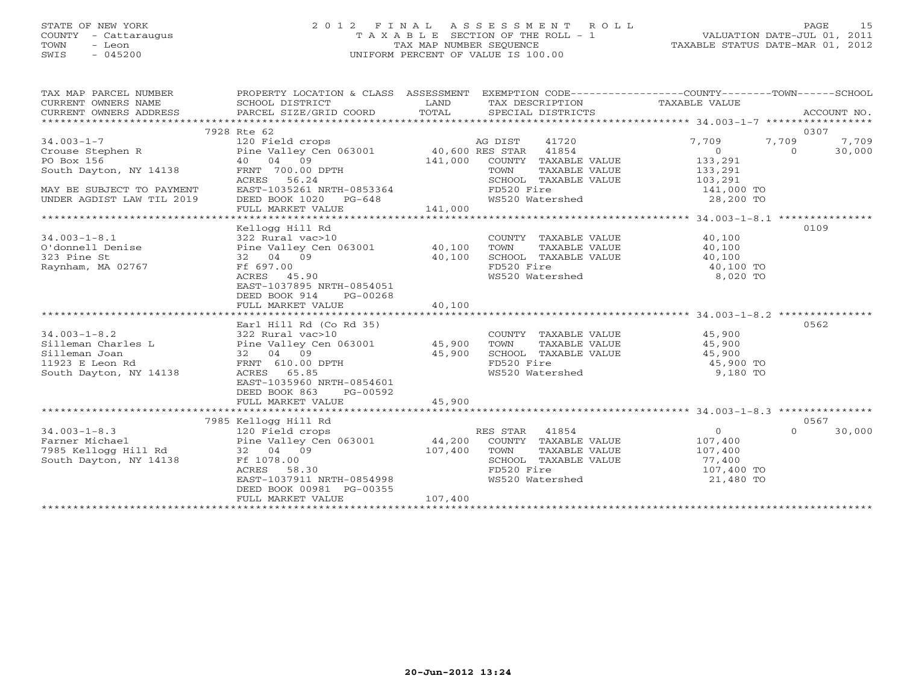# STATE OF NEW YORK 2 0 1 2 F I N A L A S S E S S M E N T R O L L PAGE 15 COUNTY - Cattaraugus T A X A B L E SECTION OF THE ROLL - 1 VALUATION DATE-JUL 01, 2011 TOWN - Leon TAX MAP NUMBER SEQUENCE TAXABLE STATUS DATE-MAR 01, 2012 SWIS - 045200 UNIFORM PERCENT OF VALUE IS 100.00UNIFORM PERCENT OF VALUE IS 100.00

| TAX MAP PARCEL NUMBER<br>CURRENT OWNERS NAME<br>$\begin{tabular}{lllllll} \multicolumn{2}{l}{{\small\bf{CURRENT}}}& $\text{MME}$ & $\text{SCHOOL} & $\text{DISTRICT}$ & $\text{LAND}$ & $\text{TAX} & $\text{DESCRIPTION}$ & $\text{TAXABLE} & $\text{VALUE}$ \\ & $\text{CURRENT} & $\text{MDE} & $\text{ACCOUNT} & $\text{NO}$. \\ & $\text{PARCEL} & $\text{SIZE/GRID} & $\text{COORD}$ & $\text{TOTAL} & $\text{SPECIAL} & $\text{DISTRICTS}$ & $\text{ACCOUNT} & $\text{ACCOUNT} \\ & $\text{AUCOUNT} & $\text{AUCOUNT$<br>CURRENT OWNERS ADDRESS | PROPERTY LOCATION & CLASS ASSESSMENT EXEMPTION CODE---------------COUNTY-------TOWN------SCHOOL |         |            |                                                          |                                                                                                                                                                       |            | ACCOUNT NO. |
|--------------------------------------------------------------------------------------------------------------------------------------------------------------------------------------------------------------------------------------------------------------------------------------------------------------------------------------------------------------------------------------------------------------------------------------------------------------------------------------------------------------------------------------------------------|-------------------------------------------------------------------------------------------------|---------|------------|----------------------------------------------------------|-----------------------------------------------------------------------------------------------------------------------------------------------------------------------|------------|-------------|
|                                                                                                                                                                                                                                                                                                                                                                                                                                                                                                                                                        | 7928 Rte 62                                                                                     |         |            |                                                          |                                                                                                                                                                       |            | 0307        |
|                                                                                                                                                                                                                                                                                                                                                                                                                                                                                                                                                        |                                                                                                 |         |            | 41720                                                    | 7,709                                                                                                                                                                 |            | 7,709       |
|                                                                                                                                                                                                                                                                                                                                                                                                                                                                                                                                                        |                                                                                                 |         |            |                                                          | $\overline{0}$                                                                                                                                                        | 7,709<br>0 | 30,000      |
|                                                                                                                                                                                                                                                                                                                                                                                                                                                                                                                                                        |                                                                                                 |         |            | 141,000 COUNTY TAXABLE VALUE 133,291                     |                                                                                                                                                                       |            |             |
|                                                                                                                                                                                                                                                                                                                                                                                                                                                                                                                                                        | FRNT 700.00 DPTH<br>ACRES 56.24                                                                 |         |            |                                                          |                                                                                                                                                                       |            |             |
|                                                                                                                                                                                                                                                                                                                                                                                                                                                                                                                                                        | ACRES 56.24                                                                                     |         |            |                                                          |                                                                                                                                                                       |            |             |
| MAY BE SUBJECT TO PAYMENT                                                                                                                                                                                                                                                                                                                                                                                                                                                                                                                              | EAST-1035261 NRTH-0853364                                                                       |         |            |                                                          | FD520 Fire 141,000 TO<br>WS520 Watershed 28,200 TO                                                                                                                    |            |             |
| UNDER AGDIST LAW TIL 2019                                                                                                                                                                                                                                                                                                                                                                                                                                                                                                                              | DEED BOOK 1020 PG-648<br>FULL MARKET VALUE 141,000                                              |         |            |                                                          |                                                                                                                                                                       |            |             |
|                                                                                                                                                                                                                                                                                                                                                                                                                                                                                                                                                        |                                                                                                 |         |            |                                                          |                                                                                                                                                                       |            |             |
|                                                                                                                                                                                                                                                                                                                                                                                                                                                                                                                                                        |                                                                                                 |         |            |                                                          |                                                                                                                                                                       |            |             |
|                                                                                                                                                                                                                                                                                                                                                                                                                                                                                                                                                        | Kellogg Hill Rd                                                                                 |         |            |                                                          |                                                                                                                                                                       |            | 0109        |
|                                                                                                                                                                                                                                                                                                                                                                                                                                                                                                                                                        |                                                                                                 |         |            |                                                          |                                                                                                                                                                       |            |             |
|                                                                                                                                                                                                                                                                                                                                                                                                                                                                                                                                                        |                                                                                                 |         |            | COUNTY TAXABLE VALUE 40,100<br>TOWN TAXABLE VALUE 40,100 |                                                                                                                                                                       |            |             |
| 323 Pine St                                                                                                                                                                                                                                                                                                                                                                                                                                                                                                                                            | 40,100<br>32 04 09                                                                              |         |            | SCHOOL TAXABLE VALUE 40,100                              |                                                                                                                                                                       |            |             |
| Raynham, MA 02767                                                                                                                                                                                                                                                                                                                                                                                                                                                                                                                                      | Ff 697.00                                                                                       |         |            |                                                          | FD520 Fire<br>WS520 Watershed 6,020 TO                                                                                                                                |            |             |
|                                                                                                                                                                                                                                                                                                                                                                                                                                                                                                                                                        | ACRES 45.90<br>EAST-1037895 NRTH-0854051                                                        |         |            |                                                          |                                                                                                                                                                       |            |             |
|                                                                                                                                                                                                                                                                                                                                                                                                                                                                                                                                                        | DEED BOOK 914<br>PG-00268                                                                       |         |            |                                                          |                                                                                                                                                                       |            |             |
|                                                                                                                                                                                                                                                                                                                                                                                                                                                                                                                                                        | FULL MARKET VALUE                                                                               | 40,100  |            |                                                          |                                                                                                                                                                       |            |             |
|                                                                                                                                                                                                                                                                                                                                                                                                                                                                                                                                                        |                                                                                                 |         |            |                                                          |                                                                                                                                                                       |            |             |
|                                                                                                                                                                                                                                                                                                                                                                                                                                                                                                                                                        | Earl Hill Rd (Co Rd 35)                                                                         |         |            |                                                          |                                                                                                                                                                       |            | 0562        |
|                                                                                                                                                                                                                                                                                                                                                                                                                                                                                                                                                        |                                                                                                 |         |            |                                                          |                                                                                                                                                                       |            |             |
|                                                                                                                                                                                                                                                                                                                                                                                                                                                                                                                                                        |                                                                                                 |         |            | COUNTY TAXABLE VALUE 45,900<br>TOWN TAXABLE VALUE 45,900 |                                                                                                                                                                       |            |             |
| 34.003-1-8.2<br>Silleman Charles L<br>Silleman Joan and the Valley Cen 063001 and 45,900 TOWN<br>Silleman Joan 32 04 09 45,900 SCHOOL<br>11923 E Leon Rd FRNT 610.00 DPTH FD520<br>South Dayton, NY 14138 ACRES 65.85 WS520                                                                                                                                                                                                                                                                                                                            |                                                                                                 |         |            | SCHOOL TAXABLE VALUE 45,900                              |                                                                                                                                                                       |            |             |
|                                                                                                                                                                                                                                                                                                                                                                                                                                                                                                                                                        |                                                                                                 |         | FD520 Fire |                                                          | 45,900 TO<br>9.180 TO                                                                                                                                                 |            |             |
|                                                                                                                                                                                                                                                                                                                                                                                                                                                                                                                                                        |                                                                                                 |         |            | FD520 Fire<br>WS520 Watershed                            | 9,180 TO                                                                                                                                                              |            |             |
|                                                                                                                                                                                                                                                                                                                                                                                                                                                                                                                                                        | EAST-1035960 NRTH-0854601                                                                       |         |            |                                                          |                                                                                                                                                                       |            |             |
|                                                                                                                                                                                                                                                                                                                                                                                                                                                                                                                                                        | DEED BOOK 863<br>PG-00592                                                                       |         |            |                                                          |                                                                                                                                                                       |            |             |
|                                                                                                                                                                                                                                                                                                                                                                                                                                                                                                                                                        | FULL MARKET VALUE                                                                               | 45,900  |            |                                                          |                                                                                                                                                                       |            |             |
|                                                                                                                                                                                                                                                                                                                                                                                                                                                                                                                                                        |                                                                                                 |         |            |                                                          |                                                                                                                                                                       |            |             |
|                                                                                                                                                                                                                                                                                                                                                                                                                                                                                                                                                        |                                                                                                 |         |            |                                                          |                                                                                                                                                                       |            | 0567        |
|                                                                                                                                                                                                                                                                                                                                                                                                                                                                                                                                                        |                                                                                                 |         |            |                                                          | $\overline{0}$                                                                                                                                                        | $\Omega$   | 30,000      |
|                                                                                                                                                                                                                                                                                                                                                                                                                                                                                                                                                        |                                                                                                 |         |            |                                                          | 107,400                                                                                                                                                               |            |             |
|                                                                                                                                                                                                                                                                                                                                                                                                                                                                                                                                                        |                                                                                                 |         |            | TAXABLE VALUE 107,400                                    |                                                                                                                                                                       |            |             |
| South Dayton, NY 14138                                                                                                                                                                                                                                                                                                                                                                                                                                                                                                                                 | Ff 1078.00                                                                                      |         |            |                                                          |                                                                                                                                                                       |            |             |
|                                                                                                                                                                                                                                                                                                                                                                                                                                                                                                                                                        | ACRES 58.30<br>EAST-1037911 NRTH-0854998                                                        |         |            |                                                          | SCHOOL TAXABLE VALUE $\begin{array}{ccc} 107,400 \ \text{FD}520 \text{ Fire} & 107,400 \ \text{WS520 \text{ Watershed}} & 21,480 \text{ TO} \end{array}$<br>21,480 TO |            |             |
|                                                                                                                                                                                                                                                                                                                                                                                                                                                                                                                                                        | DEED BOOK 00981 PG-00355                                                                        |         |            |                                                          |                                                                                                                                                                       |            |             |
|                                                                                                                                                                                                                                                                                                                                                                                                                                                                                                                                                        | FULL MARKET VALUE                                                                               | 107,400 |            |                                                          |                                                                                                                                                                       |            |             |
|                                                                                                                                                                                                                                                                                                                                                                                                                                                                                                                                                        |                                                                                                 |         |            |                                                          |                                                                                                                                                                       |            |             |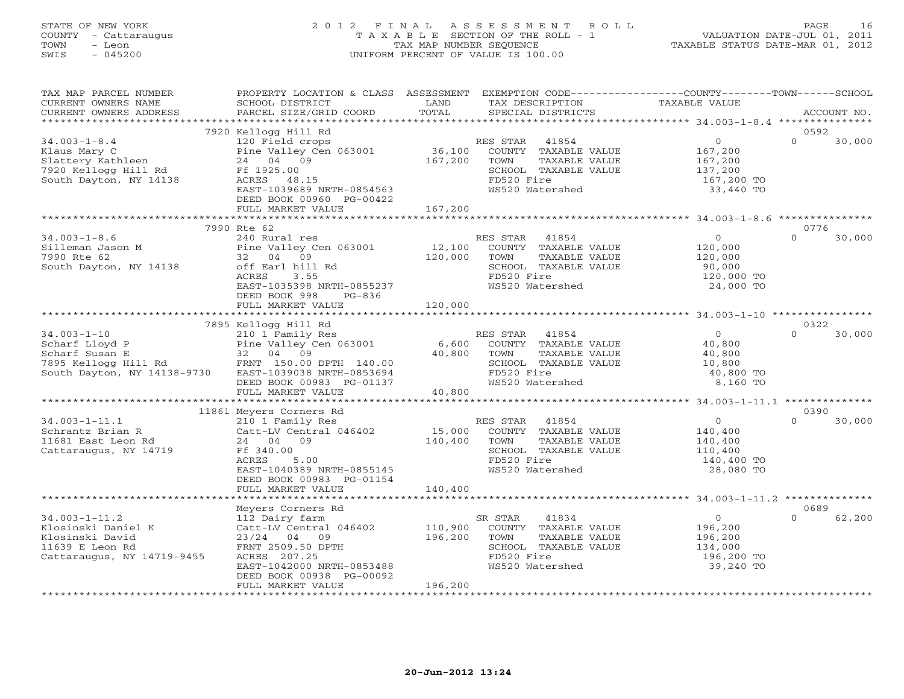# STATE OF NEW YORK 2 0 1 2 F I N A L A S S E S S M E N T R O L L PAGE 16 COUNTY - Cattaraugus T A X A B L E SECTION OF THE ROLL - 1 VALUATION DATE-JUL 01, 2011 TOWN - Leon TAX MAP NUMBER SEQUENCE TAXABLE STATUS DATE-MAR 01, 2012 SWIS - 045200 UNIFORM PERCENT OF VALUE IS 100.00

| TAX MAP PARCEL NUMBER<br>CURRENT OWNERS NAME<br>CURRENT OWNERS ADDRESS                                                                                                                                                                        | PROPERTY LOCATION & CLASS ASSESSMENT<br>SCHOOL DISTRICT<br>PARCEL SIZE/GRID COORD                                                                                                                                                          | LAND<br>TOTAL      | EXEMPTION CODE-----------------COUNTY-------TOWN------SCHOOL<br>TAX DESCRIPTION TAXABLE VALUE SPECIAL DISTRICTS             |                                                                            | ACCOUNT NO.                |
|-----------------------------------------------------------------------------------------------------------------------------------------------------------------------------------------------------------------------------------------------|--------------------------------------------------------------------------------------------------------------------------------------------------------------------------------------------------------------------------------------------|--------------------|-----------------------------------------------------------------------------------------------------------------------------|----------------------------------------------------------------------------|----------------------------|
|                                                                                                                                                                                                                                               |                                                                                                                                                                                                                                            |                    |                                                                                                                             |                                                                            |                            |
| $34.003 - 1 - 8.4$<br>Klaus Mary C<br>Slattery Kathleen<br>7920 Kellogg Hill Rd<br>South Dayton, NY 14138                                                                                                                                     | 7920 Kellogg Hill Rd<br>120 Field crops<br>Pine Valley Cen 063001 (36,100 COUNTY TAXABLE VALUE<br>24 04 09 (167,200 TOWN TAXABLE VALUE<br>Ff 1925.00<br>Ff 1925.00<br>ACRES 48.15<br>EAST-1039689 NRTH-0854563<br>DEED BOOK 00960 PG-00422 |                    | SCHOOL TAXABLE VALUE<br>FD520 Fire<br>WS520 Watershed                                                                       | $\overline{0}$<br>167,200<br>167,200<br>137,200<br>167,200 TO<br>33,440 TO | 0592<br>$\Omega$<br>30,000 |
|                                                                                                                                                                                                                                               | FULL MARKET VALUE                                                                                                                                                                                                                          | 167,200            |                                                                                                                             |                                                                            |                            |
| $34.003 - 1 - 8.6$<br>Silleman Jason M<br>7990 Rte 62                                                                                                                                                                                         | 7990 Rte 62<br>240 Rural res<br>Pine Valley Cen 063001 12,100<br>32 04 09                                                                                                                                                                  | 120,000            | RES STAR<br>41854<br>COUNTY TAXABLE VALUE<br>TAXABLE VALUE<br>TOWN                                                          | $\begin{array}{c} 0 \\ 120,000 \end{array}$<br>120,000                     | 0776<br>$\cap$<br>30,000   |
| South Dayton, NY 14138                                                                                                                                                                                                                        | off Earl hill Rd<br>ACRES<br>3.55<br>EAST-1035398 NRTH-0855237<br>DEED BOOK 998<br>PG-836<br>FULL MARKET VALUE                                                                                                                             | 120,000            | SCHOOL TAXABLE VALUE<br>FD520 Fire<br>WS520 Watershed                                                                       | 90,000<br>120,000 TO<br>24,000 TO                                          |                            |
|                                                                                                                                                                                                                                               |                                                                                                                                                                                                                                            |                    |                                                                                                                             |                                                                            |                            |
| $34.003 - 1 - 10$<br>Scharf Lloyd P<br>Scharf Susan E<br>7895 Kellogg Hill Rd<br>7895 Kellogg Hill Rd<br>2000 PTH 140.00<br>South Dayton, NY 14138-9730 EAST-1039038 NRTH-0853694<br>DEED BOOK 00983 PRTH-0853694<br>DEED BOOK 00983 PS-01137 | 7895 Kellogg Hill Rd<br>FULL MARKET VALUE                                                                                                                                                                                                  | 40,800             | SCHOOL TAXABLE VALUE<br>FD520 Fire<br>WS520 Watershed                                                                       | $\overline{0}$<br>40,800<br>40,800<br>10,800<br>40,800 TO<br>8,160 TO      | 0322<br>$\Omega$<br>30,000 |
|                                                                                                                                                                                                                                               |                                                                                                                                                                                                                                            |                    |                                                                                                                             |                                                                            |                            |
| $34.003 - 1 - 11.1$<br>Schrantz Brian R<br>11681 East Leon Rd<br>Cattaraugus, NY 14719                                                                                                                                                        | 11861 Meyers Corners Rd<br>210 1 Family Res<br>210 1 Family Res<br>Catt-LV Central 046402<br>24 04 09<br>Ff 340.00<br>ACRES<br>5.00<br>EAST-1040389 NRTH-0855145<br>DEED BOOK 00983 PG-01154                                               | 15,000<br>140,400  | RES STAR<br>41854<br>COUNTY TAXABLE VALUE<br>TOWN<br>TAXABLE VALUE<br>SCHOOL TAXABLE VALUE<br>FD520 Fire<br>WS520 Watershed | 0<br>140,400<br>140,400<br>110,400<br>140,400 TO<br>28,080 TO              | 0390<br>$\Omega$<br>30,000 |
|                                                                                                                                                                                                                                               | FULL MARKET VALUE                                                                                                                                                                                                                          | 140,400            |                                                                                                                             |                                                                            |                            |
|                                                                                                                                                                                                                                               | Meyers Corners Rd                                                                                                                                                                                                                          |                    |                                                                                                                             |                                                                            | 0689                       |
| $34.003 - 1 - 11.2$<br>Klosinski Daniel K<br>Klosinski David<br>11639 E Leon Rd<br>Cattaraugus, NY 14719-9455                                                                                                                                 | 112 Dairy farm<br>Catt-LV Central 046402<br>$23/24$ 04 09<br>FRNT 2509.50 DPTH<br>ACRES 207.25<br>EAST-1042000 NRTH-0853488<br>DEED BOOK 00938 PG-00092                                                                                    | 110,900<br>196,200 | 41834<br>SR STAR<br>COUNTY TAXABLE VALUE<br>TAXABLE VALUE<br>TOWN<br>SCHOOL TAXABLE VALUE<br>FD520 Fire<br>WS520 Watershed  | $\overline{0}$<br>196,200<br>196,200<br>134,000<br>196,200 TO<br>39,240 TO | $\Omega$<br>62,200         |
| ************************                                                                                                                                                                                                                      | FULL MARKET VALUE<br>**************************                                                                                                                                                                                            | 196,200            |                                                                                                                             |                                                                            |                            |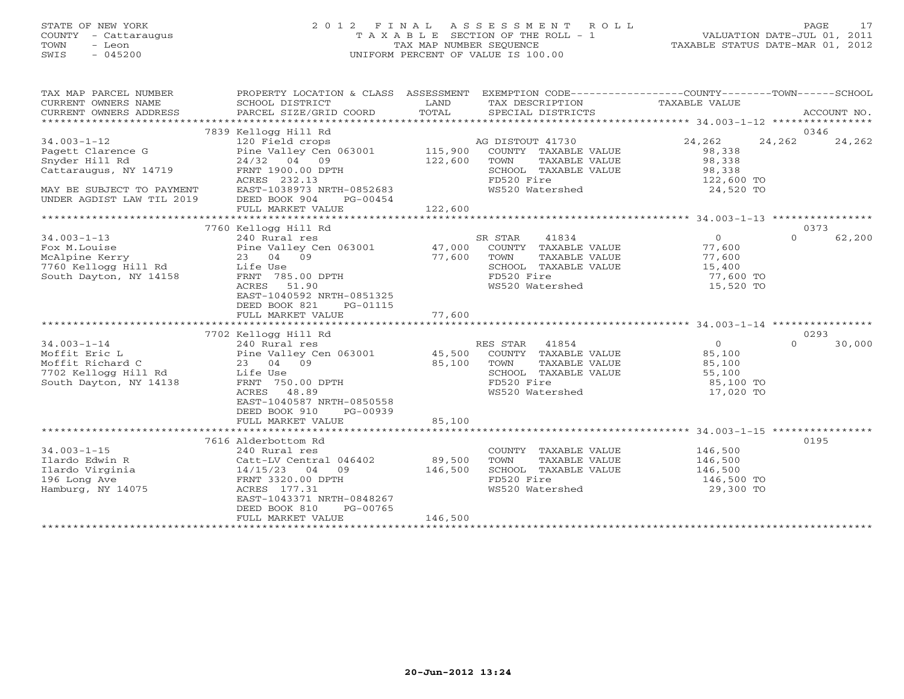# STATE OF NEW YORK 2 0 1 2 F I N A L A S S E S S M E N T R O L L PAGE 17 COUNTY - Cattaraugus T A X A B L E SECTION OF THE ROLL - 1 VALUATION DATE-JUL 01, 2011 TOWN - Leon TAX MAP NUMBER SEQUENCE TAXABLE STATUS DATE-MAR 01, 2012 SWIS - 045200 UNIFORM PERCENT OF VALUE IS 100.00UNIFORM PERCENT OF VALUE IS 100.00

| TAX MAP PARCEL NUMBER<br>CURRENT OWNERS NAME<br>CURRENT OWNERS ADDRESS                                                                      | PROPERTY LOCATION & CLASS ASSESSMENT EXEMPTION CODE---------------COUNTY-------TOWN------SCHOOL<br>SCHOOL DISTRICT<br>PARCEL SIZE/GRID COORD                                                                 | LAND<br>TOTAL                | TAX DESCRIPTION TAXABLE VALUE<br>SPECIAL DISTRICTS                                                                         |                                                                        | ACCOUNT NO.                |
|---------------------------------------------------------------------------------------------------------------------------------------------|--------------------------------------------------------------------------------------------------------------------------------------------------------------------------------------------------------------|------------------------------|----------------------------------------------------------------------------------------------------------------------------|------------------------------------------------------------------------|----------------------------|
| $34.003 - 1 - 12$<br>Pagett Clarence G<br>Snyder Hill Rd<br>Cattaraugus, NY 14719<br>MAY BE SUBJECT TO PAYMENT<br>UNDER AGDIST LAW TIL 2019 | 7839 Kellogg Hill Rd<br>120 Field crops<br>Pine Valley Cen 063001 115,900<br>24/32 04 09<br>FRNT 1900.00 DPTH<br>ACRES 232.13<br>EAST-1038973 NRTH-0852683<br>DEED BOOK 904<br>PG-00454<br>FULL MARKET VALUE | 122,600<br>122,600           | AG DISTOUT 41730<br>COUNTY TAXABLE VALUE<br>TOWN<br>TAXABLE VALUE<br>SCHOOL TAXABLE VALUE<br>FD520 Fire<br>WS520 Watershed | 24,262<br>98,338<br>98,338<br>98,338<br>122,600 TO<br>24,520 TO        | 0346<br>24,262<br>24,262   |
|                                                                                                                                             |                                                                                                                                                                                                              |                              |                                                                                                                            |                                                                        |                            |
| $34.003 - 1 - 13$<br>Fox M. Louise<br>McAlpine Kerry<br>7760 Kellogg Hill Rd<br>South Dayton, NY 14158                                      | 7760 Kellogg Hill Rd<br>240 Rural res<br>Pine Valley Cen 063001 47,000<br>23 04 09<br>Life Use<br>FRNT 785.00 DPTH<br>ACRES 51.90<br>EAST-1040592 NRTH-0851325<br>DEED BOOK 821<br>PG-01115                  | 77,600                       | 41834<br>SR STAR<br>COUNTY TAXABLE VALUE<br>TOWN<br>TAXABLE VALUE<br>SCHOOL TAXABLE VALUE<br>FD520 Fire<br>WS520 Watershed | $\overline{0}$<br>77,600<br>77,600<br>15,400<br>77,600 TO<br>15,520 TO | 0373<br>$\Omega$<br>62,200 |
|                                                                                                                                             | FULL MARKET VALUE                                                                                                                                                                                            | 77,600                       |                                                                                                                            |                                                                        |                            |
|                                                                                                                                             | 7702 Kellogg Hill Rd                                                                                                                                                                                         |                              |                                                                                                                            |                                                                        | 0293                       |
| $34.003 - 1 - 14$<br>Moffit Eric L<br>Moffit Richard C<br>7702 Kellogg Hill Rd<br>South Dayton, NY 14138                                    | 240 Rural res<br>Pine Valley Cen 063001 45,500<br>23 04 09<br>Life Use<br>FRNT 750.00 DPTH<br>ACRES<br>48.89<br>EAST-1040587 NRTH-0850558<br>DEED BOOK 910<br>PG-00939<br>FULL MARKET VALUE                  | 85,100<br>85,100             | RES STAR 41854<br>COUNTY TAXABLE VALUE<br>TOWN<br>TAXABLE VALUE<br>SCHOOL TAXABLE VALUE<br>FD520 Fire<br>WS520 Watershed   | $\overline{0}$<br>85,100<br>85,100<br>55,100<br>85,100 TO<br>17,020 TO | $\Omega$<br>30,000         |
|                                                                                                                                             |                                                                                                                                                                                                              |                              |                                                                                                                            |                                                                        |                            |
| $34.003 - 1 - 15$<br>Ilardo Edwin R<br>Ilardo Virginia<br>196 Long Ave<br>Hamburg, NY 14075                                                 | 7616 Alderbottom Rd<br>240 Rural res<br>Catt-LV Central 046402<br>$14/15/23$ 04<br>09<br>FRNT 3320.00 DPTH<br>ACRES 177.31<br>EAST-1043371 NRTH-0848267<br>DEED BOOK 810<br>PG-00765<br>FULL MARKET VALUE    | 89,500<br>146,500<br>146,500 | COUNTY TAXABLE VALUE<br>TOWN<br>TAXABLE VALUE<br>SCHOOL TAXABLE VALUE<br>FD520 Fire<br>WS520 Watershed                     | 146,500<br>146,500<br>146,500<br>146,500 TO<br>29,300 TO               | 0195                       |
|                                                                                                                                             |                                                                                                                                                                                                              |                              |                                                                                                                            |                                                                        |                            |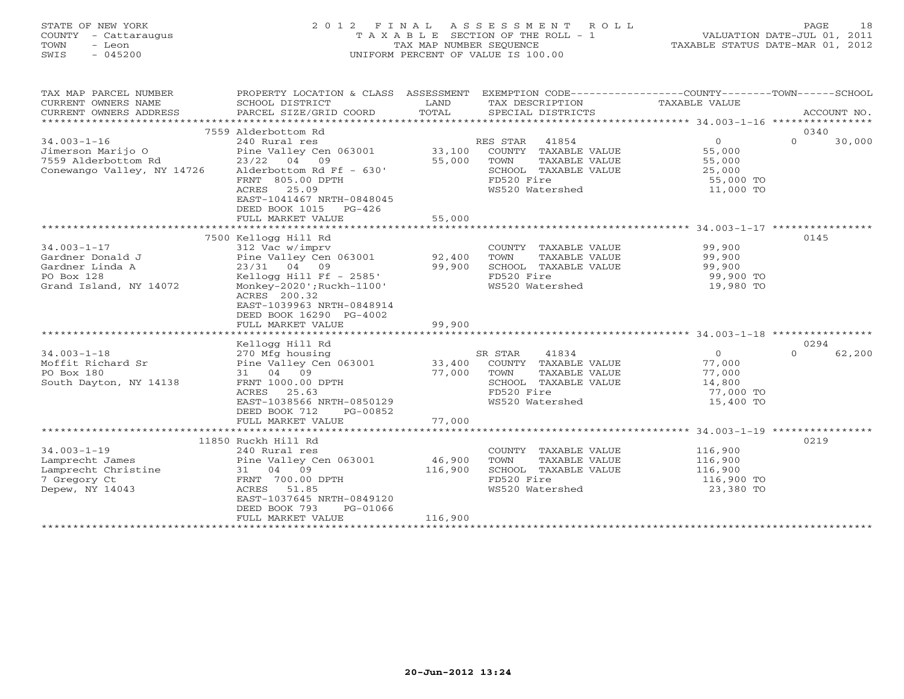# STATE OF NEW YORK 2 0 1 2 F I N A L A S S E S S M E N T R O L L PAGE 18 COUNTY - Cattaraugus T A X A B L E SECTION OF THE ROLL - 1 VALUATION DATE-JUL 01, 2011 TOWN - Leon TAX MAP NUMBER SEQUENCE TAXABLE STATUS DATE-MAR 01, 2012 SWIS - 045200 UNIFORM PERCENT OF VALUE IS 100.00UNIFORM PERCENT OF VALUE IS 100.00

| TAX MAP PARCEL NUMBER<br>CURRENT OWNERS NAME<br>CURRENT OWNERS ADDRESS | PROPERTY LOCATION & CLASS ASSESSMENT<br>SCHOOL DISTRICT<br>PARCEL SIZE/GRID COORD | LAND<br>TOTAL | EXEMPTION CODE-----------------COUNTY-------TOWN------SCHOOL<br>TAX DESCRIPTION<br>SPECIAL DISTRICTS | TAXABLE VALUE          | ACCOUNT NO.        |
|------------------------------------------------------------------------|-----------------------------------------------------------------------------------|---------------|------------------------------------------------------------------------------------------------------|------------------------|--------------------|
|                                                                        |                                                                                   |               |                                                                                                      |                        |                    |
|                                                                        | 7559 Alderbottom Rd                                                               |               |                                                                                                      |                        | 0340               |
| $34.003 - 1 - 16$                                                      | 240 Rural res                                                                     |               | RES STAR<br>41854                                                                                    | $\circ$                | $\Omega$<br>30,000 |
| Jimerson Marijo O                                                      | Pine Valley Cen 063001                                                            | 33,100        | COUNTY TAXABLE VALUE                                                                                 | 55,000                 |                    |
| 7559 Alderbottom Rd                                                    | 23/22 04 09                                                                       | 55,000        | TOWN<br>TAXABLE VALUE                                                                                | 55,000                 |                    |
| Conewango Valley, NY 14726                                             | Alderbottom Rd Ff - 630'                                                          |               | SCHOOL TAXABLE VALUE                                                                                 | 25,000                 |                    |
|                                                                        | FRNT 805.00 DPTH                                                                  |               | FD520 Fire                                                                                           | 55,000 TO              |                    |
|                                                                        | 25.09<br>ACRES                                                                    |               | WS520 Watershed                                                                                      | 11,000 TO              |                    |
|                                                                        | EAST-1041467 NRTH-0848045                                                         |               |                                                                                                      |                        |                    |
|                                                                        | DEED BOOK 1015 PG-426                                                             |               |                                                                                                      |                        |                    |
|                                                                        | FULL MARKET VALUE                                                                 | 55,000        |                                                                                                      |                        |                    |
|                                                                        |                                                                                   |               |                                                                                                      |                        |                    |
|                                                                        | 7500 Kellogg Hill Rd                                                              |               |                                                                                                      |                        | 0145               |
| $34.003 - 1 - 17$                                                      | 312 Vac w/imprv                                                                   |               | COUNTY TAXABLE VALUE                                                                                 | 99,900                 |                    |
| Gardner Donald J                                                       | Pine Valley Cen 063001                                                            | 92,400        | TOWN<br>TAXABLE VALUE                                                                                | 99,900                 |                    |
| Gardner Linda A                                                        | 23/31 04 09                                                                       | 99,900        | SCHOOL TAXABLE VALUE<br>FD520 Fire                                                                   | 99,900                 |                    |
| PO Box 128<br>Grand Island, NY 14072                                   | Kellogg Hill Ff - $2585'$<br>Monkey-2020'; Ruckh-1100'                            |               | WS520 Watershed                                                                                      | 99,900 TO<br>19,980 TO |                    |
|                                                                        | ACRES 200.32                                                                      |               |                                                                                                      |                        |                    |
|                                                                        | EAST-1039963 NRTH-0848914                                                         |               |                                                                                                      |                        |                    |
|                                                                        | DEED BOOK 16290 PG-4002                                                           |               |                                                                                                      |                        |                    |
|                                                                        | FULL MARKET VALUE                                                                 | 99,900        |                                                                                                      |                        |                    |
|                                                                        | ***************************                                                       |               |                                                                                                      |                        |                    |
|                                                                        | Kellogg Hill Rd                                                                   |               |                                                                                                      |                        | 0294               |
| $34.003 - 1 - 18$                                                      | 270 Mfg housing                                                                   |               | 41834<br>SR STAR                                                                                     | $\overline{0}$         | $\Omega$<br>62,200 |
| Moffit Richard Sr                                                      | Pine Valley Cen 063001                                                            | 33,400        | COUNTY TAXABLE VALUE                                                                                 | 77,000                 |                    |
| PO Box 180                                                             | 31 04 09                                                                          | 77,000        | TOWN<br>TAXABLE VALUE                                                                                | 77,000                 |                    |
| South Dayton, NY 14138                                                 | FRNT 1000.00 DPTH                                                                 |               | SCHOOL TAXABLE VALUE                                                                                 | 14,800                 |                    |
|                                                                        | ACRES<br>25.63                                                                    |               | FD520 Fire                                                                                           | 77,000 TO              |                    |
|                                                                        | EAST-1038566 NRTH-0850129                                                         |               | WS520 Watershed                                                                                      | 15,400 TO              |                    |
|                                                                        | DEED BOOK 712<br>PG-00852                                                         |               |                                                                                                      |                        |                    |
|                                                                        | FULL MARKET VALUE                                                                 | 77,000        |                                                                                                      |                        |                    |
|                                                                        |                                                                                   |               |                                                                                                      |                        |                    |
|                                                                        | 11850 Ruckh Hill Rd                                                               |               |                                                                                                      |                        | 0219               |
| $34.003 - 1 - 19$                                                      | 240 Rural res                                                                     |               | COUNTY TAXABLE VALUE                                                                                 | 116,900                |                    |
| Lamprecht James                                                        | Pine Valley Cen 063001                                                            | 46,900        | TOWN<br>TAXABLE VALUE                                                                                | 116,900                |                    |
| Lamprecht Christine                                                    | 31 04 09                                                                          | 116,900       | SCHOOL TAXABLE VALUE                                                                                 | 116,900                |                    |
| 7 Gregory Ct                                                           | FRNT 700.00 DPTH                                                                  |               | FD520 Fire                                                                                           | 116,900 TO             |                    |
| Depew, NY 14043                                                        | ACRES 51.85                                                                       |               | WS520 Watershed                                                                                      | 23,380 TO              |                    |
|                                                                        | EAST-1037645 NRTH-0849120<br>DEED BOOK 793                                        |               |                                                                                                      |                        |                    |
|                                                                        | PG-01066<br>FULL MARKET VALUE                                                     | 116,900       |                                                                                                      |                        |                    |
|                                                                        |                                                                                   |               |                                                                                                      |                        |                    |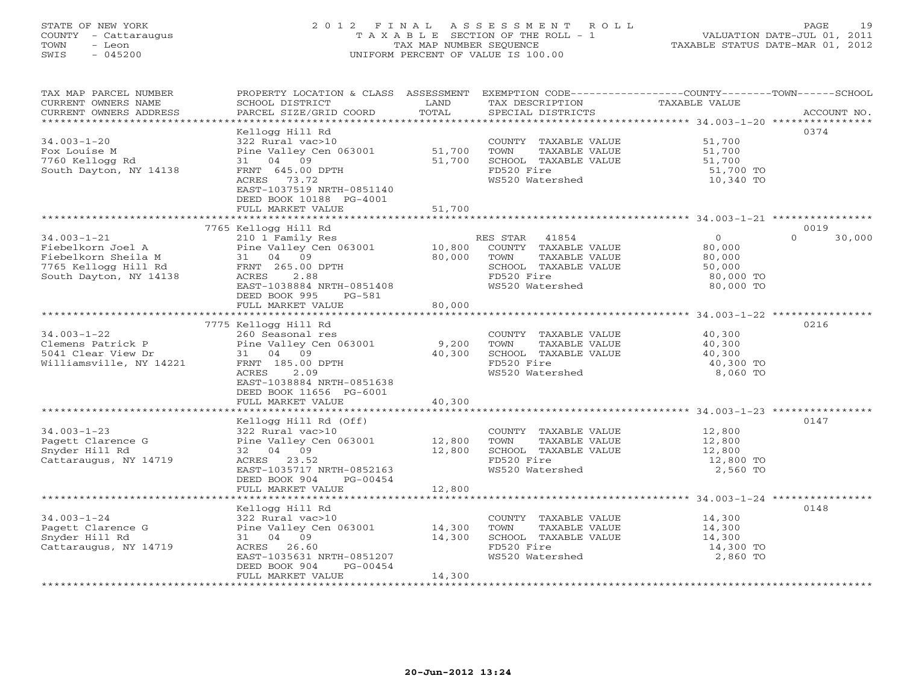# STATE OF NEW YORK 2 0 1 2 F I N A L A S S E S S M E N T R O L L PAGE 19 COUNTY - Cattaraugus T A X A B L E SECTION OF THE ROLL - 1 VALUATION DATE-JUL 01, 2011 TOWN - Leon TAX MAP NUMBER SEQUENCE TAXABLE STATUS DATE-MAR 01, 2012 SWIS - 045200 UNIFORM PERCENT OF VALUE IS 100.00UNIFORM PERCENT OF VALUE IS 100.00

| TAX MAP PARCEL NUMBER<br>CURRENT OWNERS NAME<br>CURRENT OWNERS ADDRESS | PROPERTY LOCATION & CLASS ASSESSMENT<br>SCHOOL DISTRICT<br>PARCEL SIZE/GRID COORD | LAND<br>TOTAL   | EXEMPTION CODE-----------------COUNTY-------TOWN-----SCHOOL<br>TAX DESCRIPTION<br>SPECIAL DISTRICTS | TAXABLE VALUE                               | ACCOUNT NO.        |
|------------------------------------------------------------------------|-----------------------------------------------------------------------------------|-----------------|-----------------------------------------------------------------------------------------------------|---------------------------------------------|--------------------|
| *************************                                              |                                                                                   |                 |                                                                                                     |                                             |                    |
|                                                                        | Kellogg Hill Rd                                                                   |                 |                                                                                                     |                                             | 0374               |
| $34.003 - 1 - 20$                                                      | 322 Rural vac>10                                                                  |                 | COUNTY TAXABLE VALUE                                                                                | 51,700                                      |                    |
| Fox Louise M                                                           | Pine Valley Cen 063001                                                            | 51,700          | TOWN<br>TAXABLE VALUE                                                                               | 51,700                                      |                    |
| 7760 Kellogg Rd                                                        | 04 09<br>31                                                                       | 51,700          | SCHOOL TAXABLE VALUE                                                                                | 51,700                                      |                    |
| South Dayton, NY 14138                                                 | FRNT 645.00 DPTH                                                                  |                 | FD520 Fire                                                                                          | 51,700 TO                                   |                    |
|                                                                        | 73.72<br>ACRES                                                                    |                 | WS520 Watershed                                                                                     | 10,340 TO                                   |                    |
|                                                                        | EAST-1037519 NRTH-0851140                                                         |                 |                                                                                                     |                                             |                    |
|                                                                        | DEED BOOK 10188 PG-4001<br>FULL MARKET VALUE                                      | 51,700          |                                                                                                     |                                             |                    |
|                                                                        |                                                                                   |                 |                                                                                                     |                                             |                    |
|                                                                        | 7765 Kellogg Hill Rd                                                              |                 |                                                                                                     |                                             | 0019               |
| $34.003 - 1 - 21$                                                      | 210 1 Family Res                                                                  |                 | 41854<br>RES STAR                                                                                   | $\overline{0}$                              | $\Omega$<br>30,000 |
| Fiebelkorn Joel A                                                      | Pine Valley Cen 063001                                                            | 10,800          | COUNTY TAXABLE VALUE                                                                                | 80,000                                      |                    |
| Fiebelkorn Sheila M                                                    | 31 04 09                                                                          | 80,000          | TOWN<br>TAXABLE VALUE                                                                               | 80,000                                      |                    |
| 7765 Kellogg Hill Rd                                                   | FRNT 265.00 DPTH                                                                  |                 | SCHOOL TAXABLE VALUE                                                                                | 50,000                                      |                    |
| South Dayton, NY 14138                                                 | ACRES<br>2.88                                                                     |                 | FD520 Fire                                                                                          | 80,000 TO                                   |                    |
|                                                                        | EAST-1038884 NRTH-0851408                                                         |                 | WS520 Watershed                                                                                     | 80,000 TO                                   |                    |
|                                                                        | DEED BOOK 995<br>$PG-581$                                                         |                 |                                                                                                     |                                             |                    |
|                                                                        | FULL MARKET VALUE                                                                 | 80,000          |                                                                                                     |                                             |                    |
|                                                                        |                                                                                   |                 |                                                                                                     |                                             |                    |
|                                                                        | 7775 Kellogg Hill Rd                                                              |                 |                                                                                                     |                                             | 0216               |
| $34.003 - 1 - 22$                                                      | 260 Seasonal res                                                                  |                 | COUNTY TAXABLE VALUE                                                                                | 40,300                                      |                    |
| Clemens Patrick P                                                      | Pine Valley Cen 063001                                                            | 9,200           | TOWN<br>TAXABLE VALUE                                                                               | 40,300                                      |                    |
| 5041 Clear View Dr                                                     | 31 04 09                                                                          | 40,300          | SCHOOL TAXABLE VALUE                                                                                | 40,300                                      |                    |
| Williamsville, NY 14221                                                | FRNT 185.00 DPTH<br>2.09<br>ACRES                                                 |                 | FD520 Fire<br>WS520 Watershed                                                                       | 40,300 TO                                   |                    |
|                                                                        | EAST-1038884 NRTH-0851638                                                         |                 |                                                                                                     | 8,060 TO                                    |                    |
|                                                                        | DEED BOOK 11656 PG-6001                                                           |                 |                                                                                                     |                                             |                    |
|                                                                        | FULL MARKET VALUE                                                                 | 40,300          |                                                                                                     |                                             |                    |
|                                                                        | ***************************                                                       | *************** |                                                                                                     | ******************** 34.003-1-23 ********** |                    |
|                                                                        | Kellogg Hill Rd (Off)                                                             |                 |                                                                                                     |                                             | 0147               |
| $34.003 - 1 - 23$                                                      | 322 Rural vac>10                                                                  |                 | COUNTY TAXABLE VALUE                                                                                | 12,800                                      |                    |
| Pagett Clarence G                                                      | Pine Valley Cen 063001                                                            | 12,800          | TOWN<br>TAXABLE VALUE                                                                               | 12,800                                      |                    |
| Snyder Hill Rd                                                         | 32 04 09                                                                          | 12,800          | SCHOOL TAXABLE VALUE                                                                                | 12,800                                      |                    |
| Cattaraugus, NY 14719                                                  | ACRES 23.52                                                                       |                 | FD520 Fire                                                                                          | 12,800 TO                                   |                    |
|                                                                        | EAST-1035717 NRTH-0852163                                                         |                 | WS520 Watershed                                                                                     | 2,560 TO                                    |                    |
|                                                                        | DEED BOOK 904<br>PG-00454                                                         |                 |                                                                                                     |                                             |                    |
|                                                                        | FULL MARKET VALUE                                                                 | 12,800          |                                                                                                     |                                             |                    |
|                                                                        |                                                                                   |                 |                                                                                                     |                                             |                    |
|                                                                        | Kellogg Hill Rd                                                                   |                 |                                                                                                     |                                             | 0148               |
| $34.003 - 1 - 24$<br>Pagett Clarence G                                 | 322 Rural vac>10<br>Pine Valley Cen 063001                                        | 14,300          | COUNTY TAXABLE VALUE<br>TOWN                                                                        | 14,300<br>14,300                            |                    |
| Snyder Hill Rd                                                         | 04<br>09<br>31                                                                    | 14,300          | TAXABLE VALUE<br>SCHOOL TAXABLE VALUE                                                               | 14,300                                      |                    |
| Cattaraugus, NY 14719                                                  | 26.60<br>ACRES                                                                    |                 | FD520 Fire                                                                                          | 14,300 TO                                   |                    |
|                                                                        | EAST-1035631 NRTH-0851207                                                         |                 | WS520 Watershed                                                                                     | 2,860 TO                                    |                    |
|                                                                        | DEED BOOK 904<br>PG-00454                                                         |                 |                                                                                                     |                                             |                    |
|                                                                        | FULL MARKET VALUE                                                                 | 14,300          |                                                                                                     |                                             |                    |
|                                                                        |                                                                                   |                 |                                                                                                     |                                             |                    |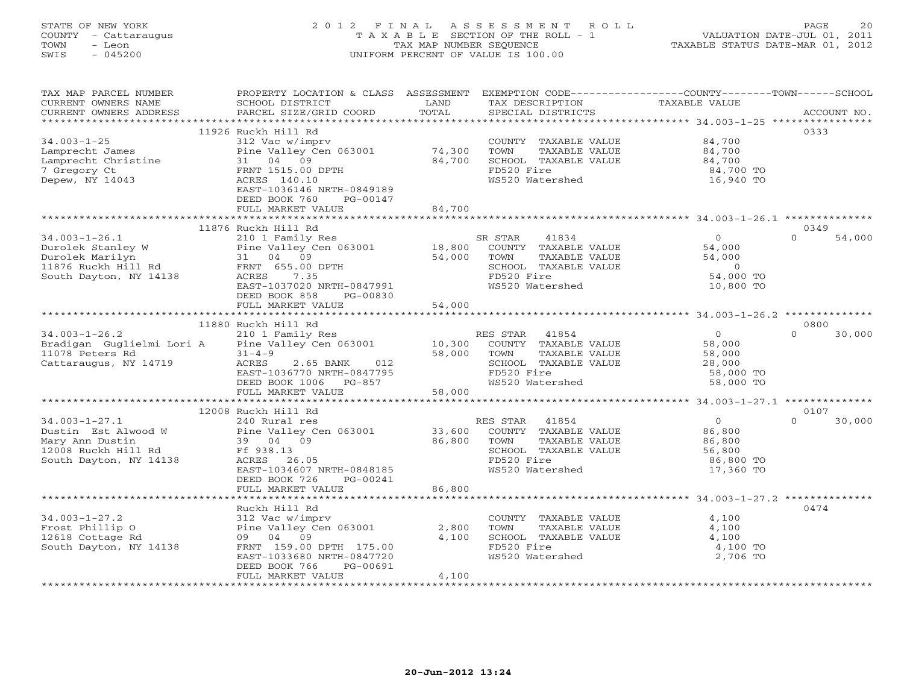# STATE OF NEW YORK 2 0 1 2 F I N A L A S S E S S M E N T R O L L PAGE 20 COUNTY - Cattaraugus T A X A B L E SECTION OF THE ROLL - 1 VALUATION DATE-JUL 01, 2011 TOWN - Leon TAX MAP NUMBER SEQUENCE TAXABLE STATUS DATE-MAR 01, 2012 SWIS - 045200 UNIFORM PERCENT OF VALUE IS 100.00UNIFORM PERCENT OF VALUE IS 100.00

| TAX MAP PARCEL NUMBER<br>CURRENT OWNERS NAME<br>CURRENT OWNERS ADDRESS                                                                                                                                  | SCHOOL DISTRICT<br>PARCEL SIZE/GRID COORD | LAND<br>TOTAL | TAX DESCRIPTION TAXABLE VALUE<br>SPECIAL DISTRICTS | PROPERTY LOCATION & CLASS ASSESSMENT EXEMPTION CODE---------------COUNTY-------TOWN------SCHOOL | ACCOUNT NO. |
|---------------------------------------------------------------------------------------------------------------------------------------------------------------------------------------------------------|-------------------------------------------|---------------|----------------------------------------------------|-------------------------------------------------------------------------------------------------|-------------|
|                                                                                                                                                                                                         |                                           |               |                                                    |                                                                                                 |             |
|                                                                                                                                                                                                         | 11926 Ruckh Hill Rd                       |               |                                                    |                                                                                                 | 0333        |
| $34.003 - 1 - 25$                                                                                                                                                                                       | 312 Vac w/imprv                           |               | COUNTY TAXABLE VALUE                               | 84,700                                                                                          |             |
| Lamprecht James<br>Lamprecht Christine<br>7 Grocor: C'                                                                                                                                                  | Pine Valley Cen 063001                    | 74,300        | TOWN<br>TAXABLE VALUE                              | 84,700<br>84,700<br>84,700                                                                      |             |
|                                                                                                                                                                                                         | 31 04 09                                  | 84,700        | SCHOOL TAXABLE VALUE                               |                                                                                                 |             |
| 7 Gregory Ct<br>Depew, NY 14043                                                                                                                                                                         | FRNT 1515.00 DPTH<br>ACRES 140.10         |               | FD520 Fire<br>WS520 Watershed                      | 84,700 TO<br>16,940 TO                                                                          |             |
|                                                                                                                                                                                                         | EAST-1036146 NRTH-0849189                 |               |                                                    |                                                                                                 |             |
|                                                                                                                                                                                                         | DEED BOOK 760<br>PG-00147                 |               |                                                    |                                                                                                 |             |
|                                                                                                                                                                                                         | FULL MARKET VALUE                         | 84,700        |                                                    |                                                                                                 |             |
|                                                                                                                                                                                                         |                                           |               |                                                    |                                                                                                 |             |
|                                                                                                                                                                                                         | 11876 Ruckh Hill Rd                       |               |                                                    |                                                                                                 | 0349        |
| $34.003 - 1 - 26.1$                                                                                                                                                                                     | 210 1 Family Res                          |               | 41834<br>SR STAR                                   | $\overline{0}$<br>$\Omega$                                                                      | 54,000      |
|                                                                                                                                                                                                         |                                           |               | COUNTY TAXABLE VALUE                               | 54,000                                                                                          |             |
|                                                                                                                                                                                                         |                                           |               | TOWN<br>TAXABLE VALUE                              | 54,000                                                                                          |             |
| Durolek Stanley W Pine Valley Cen 063001 18,800<br>Durolek Marilyn 31 04 09 54,000<br>11876 Ruckh Hill Rd FRNT 655.00 DPTH 11876 Ruckh Hill Rd FRNT 655.00 DPTH                                         |                                           |               | SCHOOL TAXABLE VALUE                               | $\circ$                                                                                         |             |
| South Dayton, NY 14138                                                                                                                                                                                  | ACRES 7.35                                |               | FD520 Fire                                         | 54,000 TO                                                                                       |             |
|                                                                                                                                                                                                         | EAST-1037020 NRTH-0847991                 |               | WS520 Watershed                                    | 10,800 TO                                                                                       |             |
|                                                                                                                                                                                                         | DEED BOOK 858<br>PG-00830                 |               |                                                    |                                                                                                 |             |
|                                                                                                                                                                                                         | FULL MARKET VALUE                         | 54,000        |                                                    |                                                                                                 |             |
|                                                                                                                                                                                                         |                                           |               |                                                    |                                                                                                 | 0800        |
| $34.003 - 1 - 26.2$                                                                                                                                                                                     | 11880 Ruckh Hill Rd<br>210 1 Family Res   |               | RES STAR<br>41854                                  | 0<br>$\Omega$                                                                                   | 30,000      |
| Bradigan Guglielmi Lori A Pine Valley Cen 063001                                                                                                                                                        |                                           | 10,300        | COUNTY TAXABLE VALUE                               | 58,000                                                                                          |             |
| 11078 Peters Rd                                                                                                                                                                                         | $31 - 4 - 9$                              | 58,000        | TOWN<br>TAXABLE VALUE                              | 58,000                                                                                          |             |
| Cattaraugus, NY 14719                                                                                                                                                                                   | 012<br>ACRES<br>2.65 BANK                 |               | SCHOOL TAXABLE VALUE                               | 28,000                                                                                          |             |
|                                                                                                                                                                                                         | EAST-1036770 NRTH-0847795                 |               | FD520 Fire                                         | 58,000 TO                                                                                       |             |
|                                                                                                                                                                                                         | DEED BOOK 1006<br>PG-857                  |               | WS520 Watershed                                    | 58,000 TO                                                                                       |             |
|                                                                                                                                                                                                         | FULL MARKET VALUE                         | 58,000        |                                                    |                                                                                                 |             |
|                                                                                                                                                                                                         |                                           |               |                                                    |                                                                                                 |             |
|                                                                                                                                                                                                         | 12008 Ruckh Hill Rd                       |               |                                                    |                                                                                                 | 0107        |
| $34.003 - 1 - 27.1$                                                                                                                                                                                     | 240 Rural res                             |               | RES STAR 41854                                     | $\overline{0}$<br>$\Omega$                                                                      | 30,000      |
|                                                                                                                                                                                                         |                                           | 33,600        | COUNTY TAXABLE VALUE                               | 86,800                                                                                          |             |
| Dustin Est Alwood W<br>Mary Ann Dustin<br>12008 Ruckh Hill Rd<br>12008 Ruckh Hill Rd<br>12008 Ruckh Hill Rd<br>12008 Ruckh Hill Rd<br>12008 Ruckh Hill Rd<br>12008 Ruckh Hill Rd<br>12008 Ruckh Hill Rd |                                           | 86,800        | TOWN<br>TAXABLE VALUE                              | 86,800                                                                                          |             |
|                                                                                                                                                                                                         |                                           |               | SCHOOL TAXABLE VALUE                               | 56,800                                                                                          |             |
| South Dayton, NY 14138                                                                                                                                                                                  | ACRES 26.05<br>EAST-1034607 NRTH-0848185  |               | FD520 Fire<br>WS520 Watershed                      | 86,800 TO<br>17,360 TO                                                                          |             |
|                                                                                                                                                                                                         | DEED BOOK 726<br>PG-00241                 |               |                                                    |                                                                                                 |             |
|                                                                                                                                                                                                         | FULL MARKET VALUE                         | 86,800        |                                                    |                                                                                                 |             |
|                                                                                                                                                                                                         |                                           |               |                                                    |                                                                                                 |             |
|                                                                                                                                                                                                         | Ruckh Hill Rd                             |               |                                                    |                                                                                                 | 0474        |
| $34.003 - 1 - 27.2$                                                                                                                                                                                     | 312 Vac w/imprv                           |               | COUNTY TAXABLE VALUE                               | 4,100                                                                                           |             |
| Frost Phillip O                                                                                                                                                                                         | Pine Valley Cen 063001                    | 2,800         | TOWN<br>TAXABLE VALUE                              | 4,100                                                                                           |             |
| 12618 Cottage Rd                                                                                                                                                                                        | 09 04 09                                  | 4,100         | SCHOOL TAXABLE VALUE                               | 4,100                                                                                           |             |
| South Dayton, NY 14138                                                                                                                                                                                  | FRNT 159.00 DPTH 175.00                   |               | FD520 Fire                                         | 4,100 TO                                                                                        |             |
|                                                                                                                                                                                                         | EAST-1033680 NRTH-0847720                 |               | WS520 Watershed                                    | 2,706 TO                                                                                        |             |
|                                                                                                                                                                                                         | PG-00691<br>DEED BOOK 766                 |               |                                                    |                                                                                                 |             |
|                                                                                                                                                                                                         | FULL MARKET VALUE                         | 4,100         |                                                    |                                                                                                 |             |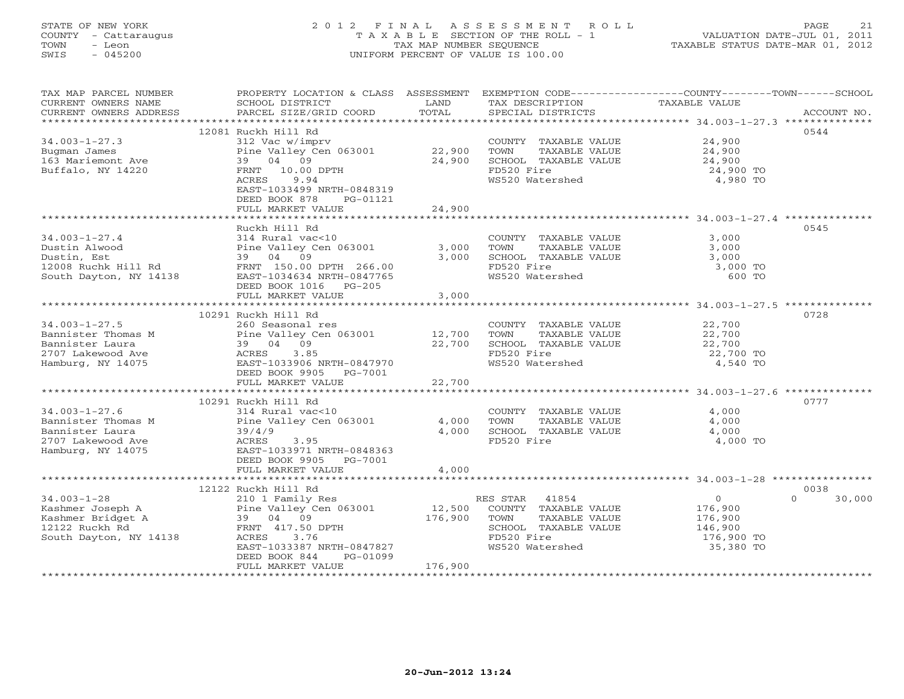# STATE OF NEW YORK 2 0 1 2 F I N A L A S S E S S M E N T R O L L PAGE 21 COUNTY - Cattaraugus T A X A B L E SECTION OF THE ROLL - 1 VALUATION DATE-JUL 01, 2011 TOWN - Leon TAX MAP NUMBER SEQUENCE TAXABLE STATUS DATE-MAR 01, 2012 SWIS - 045200 UNIFORM PERCENT OF VALUE IS 100.00UNIFORM PERCENT OF VALUE IS 100.00

| TAX MAP PARCEL NUMBER<br>CURRENT OWNERS NAME | SCHOOL DISTRICT                            | LAND    | TAX DESCRIPTION               | PROPERTY LOCATION & CLASS ASSESSMENT EXEMPTION CODE----------------COUNTY-------TOWN------SCHOOL<br>TAXABLE VALUE |
|----------------------------------------------|--------------------------------------------|---------|-------------------------------|-------------------------------------------------------------------------------------------------------------------|
| CURRENT OWNERS ADDRESS                       | PARCEL SIZE/GRID COORD                     | TOTAL   | SPECIAL DISTRICTS             | ACCOUNT NO.                                                                                                       |
|                                              |                                            |         |                               |                                                                                                                   |
|                                              | 12081 Ruckh Hill Rd                        |         |                               | 0544                                                                                                              |
| $34.003 - 1 - 27.3$                          | 312 Vac w/imprv                            |         | COUNTY TAXABLE VALUE          | 24,900                                                                                                            |
| Bugman James                                 | Pine Valley Cen 063001                     | 22,900  | TOWN<br>TAXABLE VALUE         | 24,900                                                                                                            |
| 163 Mariemont Ave                            | 39 04 09                                   | 24,900  | SCHOOL TAXABLE VALUE          | 24,900                                                                                                            |
| Buffalo, NY 14220                            | FRNT 10.00 DPTH                            |         | FD520 Fire<br>WS520 Watershed | 24,900 TO                                                                                                         |
|                                              | ACRES<br>9.94<br>EAST-1033499 NRTH-0848319 |         |                               | 4,980 TO                                                                                                          |
|                                              | DEED BOOK 878<br>PG-01121                  |         |                               |                                                                                                                   |
|                                              | FULL MARKET VALUE                          | 24,900  |                               |                                                                                                                   |
|                                              |                                            |         |                               |                                                                                                                   |
|                                              | Ruckh Hill Rd                              |         |                               | 0545                                                                                                              |
| $34.003 - 1 - 27.4$                          | 314 Rural vac<10                           |         | COUNTY TAXABLE VALUE          | 3,000                                                                                                             |
| Dustin Alwood                                | Pine Valley Cen 063001                     | 3,000   | TOWN<br>TAXABLE VALUE         | 3,000                                                                                                             |
| Dustin, Est                                  | 39 04<br>09                                | 3,000   | SCHOOL TAXABLE VALUE          | 3,000                                                                                                             |
| 12008 Ruchk Hill Rd                          | FRNT 150.00 DPTH 266.00                    |         | FD520 Fire                    | 3,000 TO                                                                                                          |
| South Dayton, NY 14138                       | EAST-1034634 NRTH-0847765                  |         | WS520 Watershed               | 600 TO                                                                                                            |
|                                              | DEED BOOK 1016 PG-205                      |         |                               |                                                                                                                   |
|                                              | FULL MARKET VALUE                          | 3,000   |                               |                                                                                                                   |
|                                              |                                            |         |                               |                                                                                                                   |
|                                              | 10291 Ruckh Hill Rd                        |         |                               | 0728                                                                                                              |
| $34.003 - 1 - 27.5$                          | 260 Seasonal res                           |         | COUNTY TAXABLE VALUE          | 22,700                                                                                                            |
| Bannister Thomas M                           | Pine Valley Cen 063001                     | 12,700  | TOWN<br>TAXABLE VALUE         | 22,700                                                                                                            |
| Bannister Laura                              | 39 04 09                                   | 22,700  | SCHOOL TAXABLE VALUE          | 22,700                                                                                                            |
| 2707 Lakewood Ave                            | ACRES<br>3.85                              |         | FD520 Fire                    | 22,700 TO                                                                                                         |
| Hamburg, NY 14075                            | EAST-1033906 NRTH-0847970                  |         | WS520 Watershed               | 4,540 TO                                                                                                          |
|                                              | DEED BOOK 9905 PG-7001                     |         |                               |                                                                                                                   |
|                                              | FULL MARKET VALUE                          | 22,700  |                               |                                                                                                                   |
|                                              |                                            |         |                               |                                                                                                                   |
|                                              | 10291 Ruckh Hill Rd                        |         |                               | 0777                                                                                                              |
| $34.003 - 1 - 27.6$                          | 314 Rural vac<10                           |         | COUNTY TAXABLE VALUE          | 4,000                                                                                                             |
| Bannister Thomas M                           | Pine Valley Cen 063001                     | 4,000   | TOWN<br>TAXABLE VALUE         | 4,000                                                                                                             |
| Bannister Laura                              | 39/4/9                                     | 4,000   | SCHOOL TAXABLE VALUE          | 4,000                                                                                                             |
| 2707 Lakewood Ave                            | ACRES<br>3.95<br>EAST-1033971 NRTH-0848363 |         | FD520 Fire                    | 4,000 TO                                                                                                          |
| Hamburg, NY 14075                            | DEED BOOK 9905 PG-7001                     |         |                               |                                                                                                                   |
|                                              | FULL MARKET VALUE                          | 4,000   |                               |                                                                                                                   |
|                                              |                                            |         |                               |                                                                                                                   |
|                                              | 12122 Ruckh Hill Rd                        |         |                               | 0038                                                                                                              |
| $34.003 - 1 - 28$                            | 210 1 Family Res                           |         | RES STAR 41854                | $\Omega$<br>$\circ$<br>30,000                                                                                     |
| Kashmer Joseph A                             | Pine Valley Cen 063001                     | 12,500  | COUNTY TAXABLE VALUE          | 176,900                                                                                                           |
| Kashmer Bridget A                            | 39 04 09                                   | 176,900 | TOWN<br>TAXABLE VALUE         | 176,900                                                                                                           |
| 12122 Ruckh Rd                               | FRNT 417.50 DPTH                           |         | SCHOOL TAXABLE VALUE          | 146,900                                                                                                           |
| South Dayton, NY 14138                       | ACRES 3.76                                 |         | FD520 Fire                    | 176,900 TO                                                                                                        |
|                                              | EAST-1033387 NRTH-0847827                  |         | WS520 Watershed               | 35,380 TO                                                                                                         |
|                                              | DEED BOOK 844<br>PG-01099                  |         |                               |                                                                                                                   |
|                                              | FULL MARKET VALUE                          | 176,900 |                               |                                                                                                                   |
| ********************                         |                                            |         |                               |                                                                                                                   |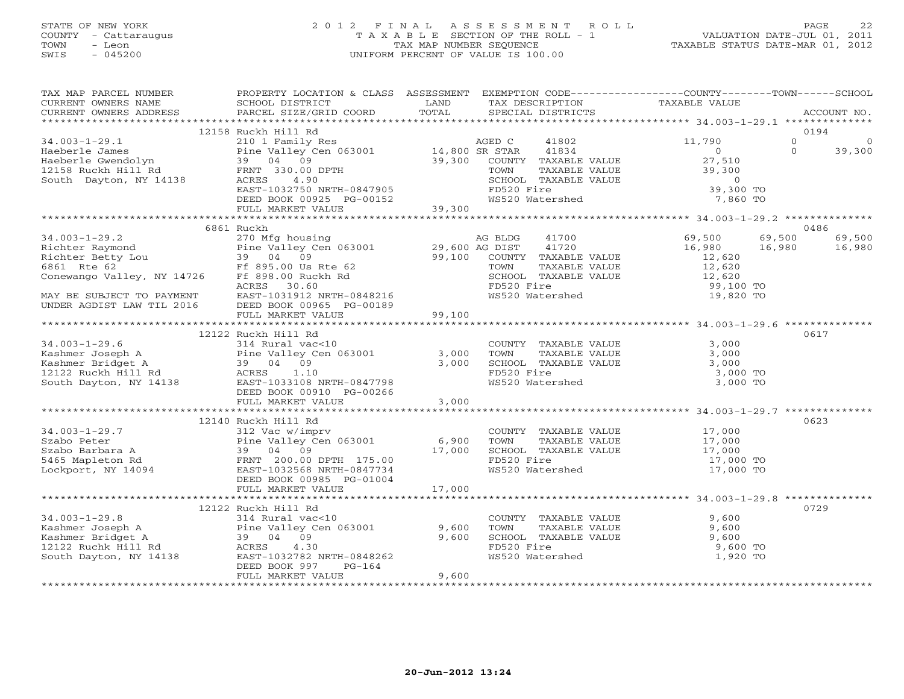# STATE OF NEW YORK 2 0 1 2 F I N A L A S S E S S M E N T R O L L PAGE 22 COUNTY - Cattaraugus T A X A B L E SECTION OF THE ROLL - 1 VALUATION DATE-JUL 01, 2011 TOWN - Leon TAX MAP NUMBER SEQUENCE TAXABLE STATUS DATE-MAR 01, 2012 SWIS - 045200 UNIFORM PERCENT OF VALUE IS 100.00UNIFORM PERCENT OF VALUE IS 100.00

| TAX MAP PARCEL NUMBER<br>CURRENT OWNERS NAME<br>CURRENT OWNERS ADDRESS                                                                                                                                                                   | PROPERTY LOCATION & CLASS ASSESSMENT EXEMPTION CODE---------------COUNTY-------TOWN------SCHOOL<br>SCHOOL DISTRICT<br>PARCEL SIZE/GRID COORD                                                                                                                     | <b>EXAMPLE SERVICE SERVICE SERVICE SERVICE SERVICE SERVICE SERVICE SERVICE SERVICE SERVICE SERVICE SERVICE SERVICE</b><br>TOTAL |            |                 | TAX DESCRIPTION TAXABLE VALUE SPECIAL DISTRICTS                                                                                                        |          | ACCOUNT NO. |
|------------------------------------------------------------------------------------------------------------------------------------------------------------------------------------------------------------------------------------------|------------------------------------------------------------------------------------------------------------------------------------------------------------------------------------------------------------------------------------------------------------------|---------------------------------------------------------------------------------------------------------------------------------|------------|-----------------|--------------------------------------------------------------------------------------------------------------------------------------------------------|----------|-------------|
|                                                                                                                                                                                                                                          |                                                                                                                                                                                                                                                                  |                                                                                                                                 |            |                 |                                                                                                                                                        |          |             |
|                                                                                                                                                                                                                                          | 12158 Ruckh Hill Rd<br>Ruckh Hill Rd<br>210 1 Family Res<br>Pine Valley Cen 063001 14,800 SR STAR 41834 0<br>39,300 COUNTY TAXABLE VALUE 27,510<br>FRNT 330.00 DPTH TOWN TAXABLE VALUE 27,510<br>FRNT 330.00 DPTH TOWN TAXABLE VALUE 39,300<br>ACRES 4.90 SCHOOL |                                                                                                                                 |            |                 |                                                                                                                                                        |          | 0194        |
| 34.003-1-29.1                                                                                                                                                                                                                            |                                                                                                                                                                                                                                                                  |                                                                                                                                 |            |                 |                                                                                                                                                        | $\Omega$ | $\circ$     |
| Haeberle James<br>Haeberle Gwendolyn<br>12158 Ruckh Hill Rd<br>South Dayton, NY 14138<br>Hacker 230.00 DPTH<br>South Dayton, NY 14138<br>ACRES<br>2.90                                                                                   |                                                                                                                                                                                                                                                                  |                                                                                                                                 |            |                 |                                                                                                                                                        | $\Omega$ | 39,300      |
|                                                                                                                                                                                                                                          |                                                                                                                                                                                                                                                                  |                                                                                                                                 |            |                 |                                                                                                                                                        |          |             |
|                                                                                                                                                                                                                                          |                                                                                                                                                                                                                                                                  |                                                                                                                                 |            |                 |                                                                                                                                                        |          |             |
|                                                                                                                                                                                                                                          |                                                                                                                                                                                                                                                                  |                                                                                                                                 |            |                 |                                                                                                                                                        |          |             |
|                                                                                                                                                                                                                                          |                                                                                                                                                                                                                                                                  |                                                                                                                                 |            |                 | 39,300 TO                                                                                                                                              |          |             |
|                                                                                                                                                                                                                                          |                                                                                                                                                                                                                                                                  |                                                                                                                                 |            |                 | WS520 Watershed 7,860 TO                                                                                                                               |          |             |
|                                                                                                                                                                                                                                          |                                                                                                                                                                                                                                                                  |                                                                                                                                 |            |                 |                                                                                                                                                        |          |             |
| 34.003-1-29.2 6861 Ruckh<br>34.003-1-29.2 270 Mfg housing<br>Richter Raymond Pine Valley Cen 063001 29,600 AG DIST 41700<br>Richter Betty Lou 39 04 09 99,100 COUNTY TAXABLE VALUE<br>6861 Rte 62 Ff 895.00 Ruckh Rd TOWN TAXABLE VALU   |                                                                                                                                                                                                                                                                  |                                                                                                                                 |            |                 |                                                                                                                                                        |          |             |
|                                                                                                                                                                                                                                          |                                                                                                                                                                                                                                                                  |                                                                                                                                 |            |                 |                                                                                                                                                        |          | 0486        |
|                                                                                                                                                                                                                                          |                                                                                                                                                                                                                                                                  |                                                                                                                                 |            |                 | 69,500                                                                                                                                                 | 69,500   | 69,500      |
|                                                                                                                                                                                                                                          |                                                                                                                                                                                                                                                                  |                                                                                                                                 |            |                 | 16,980                                                                                                                                                 | 16,980   | 16,980      |
|                                                                                                                                                                                                                                          |                                                                                                                                                                                                                                                                  |                                                                                                                                 |            |                 | 12,620                                                                                                                                                 |          |             |
|                                                                                                                                                                                                                                          |                                                                                                                                                                                                                                                                  |                                                                                                                                 |            |                 |                                                                                                                                                        |          |             |
|                                                                                                                                                                                                                                          |                                                                                                                                                                                                                                                                  |                                                                                                                                 |            |                 |                                                                                                                                                        |          |             |
|                                                                                                                                                                                                                                          |                                                                                                                                                                                                                                                                  |                                                                                                                                 |            |                 | TOWN TAXABLE VALUE<br>TOWN TAXABLE VALUE<br>SCHOOL TAXABLE VALUE<br>FD520 Fire<br>WS520 Watershed<br>19,820 TO<br>19,820 TO                            |          |             |
|                                                                                                                                                                                                                                          |                                                                                                                                                                                                                                                                  |                                                                                                                                 |            |                 |                                                                                                                                                        |          |             |
|                                                                                                                                                                                                                                          |                                                                                                                                                                                                                                                                  |                                                                                                                                 |            |                 |                                                                                                                                                        |          |             |
|                                                                                                                                                                                                                                          | FULL MARKET VALUE                                                                                                                                                                                                                                                | 99,100                                                                                                                          |            |                 |                                                                                                                                                        |          |             |
|                                                                                                                                                                                                                                          |                                                                                                                                                                                                                                                                  |                                                                                                                                 |            |                 |                                                                                                                                                        |          |             |
|                                                                                                                                                                                                                                          | 12122 Ruckh Hill Rd                                                                                                                                                                                                                                              |                                                                                                                                 |            |                 |                                                                                                                                                        |          | 0617        |
|                                                                                                                                                                                                                                          |                                                                                                                                                                                                                                                                  |                                                                                                                                 |            |                 | COUNTY TAXABLE VALUE 3,000<br>TOWN TAXABLE VALUE 3,000<br>SCHOOL TAXABLE VALUE 3,000<br>FD520 Fire 3,000                                               |          |             |
|                                                                                                                                                                                                                                          |                                                                                                                                                                                                                                                                  |                                                                                                                                 | TOWN       |                 |                                                                                                                                                        |          |             |
|                                                                                                                                                                                                                                          |                                                                                                                                                                                                                                                                  |                                                                                                                                 |            |                 |                                                                                                                                                        |          |             |
|                                                                                                                                                                                                                                          |                                                                                                                                                                                                                                                                  |                                                                                                                                 |            | WS520 Watershed | 3,000 TO<br>3,000 TO                                                                                                                                   |          |             |
|                                                                                                                                                                                                                                          |                                                                                                                                                                                                                                                                  |                                                                                                                                 |            |                 |                                                                                                                                                        |          |             |
| 34.003-1-29.6 ----- Nucklain Hill Rd<br>Kashmer Joseph A Pine Valley Cen 063001 3,000<br>Xashmer Bridget A 39 04 09 3,000<br>12122 Ruckh Hill Rd ACRES 1.10<br>South Dayton, NY 14138 EAST-1033108 NRTH-0847798<br>DEED BOOK 00910 PG-00 | FULL MARKET VALUE                                                                                                                                                                                                                                                | 3,000                                                                                                                           |            |                 |                                                                                                                                                        |          |             |
|                                                                                                                                                                                                                                          |                                                                                                                                                                                                                                                                  |                                                                                                                                 |            |                 |                                                                                                                                                        |          |             |
|                                                                                                                                                                                                                                          | 12140 Ruckh Hill Rd                                                                                                                                                                                                                                              |                                                                                                                                 |            |                 |                                                                                                                                                        |          | 0623        |
| 34.003-1-29.7<br>Szabo Peter Pine Valley Cen 063001 6,900<br>Szabo Barbara A 39 04 09 17,000<br>17,000<br>Lockport, NY 14094 EAST-1032568 NRTH-0847734<br>PERD ROOK 00985 PG-01004                                                       |                                                                                                                                                                                                                                                                  |                                                                                                                                 |            |                 | COUNTY TAXABLE VALUE $17,000$<br>TOWN TAXABLE VALUE $17,000$<br>SCHOOL TAXABLE VALUE $17,000$<br>FD520 Fire $17,000$ TO<br>WS520 Watershed $17,000$ TO |          |             |
|                                                                                                                                                                                                                                          |                                                                                                                                                                                                                                                                  |                                                                                                                                 |            |                 |                                                                                                                                                        |          |             |
|                                                                                                                                                                                                                                          |                                                                                                                                                                                                                                                                  |                                                                                                                                 |            |                 |                                                                                                                                                        |          |             |
|                                                                                                                                                                                                                                          |                                                                                                                                                                                                                                                                  |                                                                                                                                 |            |                 |                                                                                                                                                        |          |             |
|                                                                                                                                                                                                                                          |                                                                                                                                                                                                                                                                  |                                                                                                                                 |            |                 |                                                                                                                                                        |          |             |
|                                                                                                                                                                                                                                          | DEED BOOK 00985 PG-01004                                                                                                                                                                                                                                         |                                                                                                                                 |            |                 |                                                                                                                                                        |          |             |
|                                                                                                                                                                                                                                          | FULL MARKET VALUE                                                                                                                                                                                                                                                | 17,000                                                                                                                          |            |                 |                                                                                                                                                        |          |             |
|                                                                                                                                                                                                                                          |                                                                                                                                                                                                                                                                  |                                                                                                                                 |            |                 |                                                                                                                                                        |          |             |
|                                                                                                                                                                                                                                          | 12122 Ruckh Hill Rd                                                                                                                                                                                                                                              |                                                                                                                                 |            |                 |                                                                                                                                                        |          | 0729        |
| $34.003 - 1 - 29.8$                                                                                                                                                                                                                      | 314 Rural vac<10                                                                                                                                                                                                                                                 |                                                                                                                                 |            |                 | COUNTY TAXABLE VALUE 9,600                                                                                                                             |          |             |
|                                                                                                                                                                                                                                          |                                                                                                                                                                                                                                                                  |                                                                                                                                 |            |                 | TOWN TAXABLE VALUE 9,600<br>SCHOOL TAXABLE VALUE 9,600                                                                                                 |          |             |
|                                                                                                                                                                                                                                          |                                                                                                                                                                                                                                                                  |                                                                                                                                 |            |                 |                                                                                                                                                        |          |             |
|                                                                                                                                                                                                                                          |                                                                                                                                                                                                                                                                  |                                                                                                                                 | FD520 Fire |                 | 9,600 TO                                                                                                                                               |          |             |
| 34.003-1-29.8<br>Kashmer Joseph A Pine Valley Cen 063001 9,600<br>Kashmer Bridget A 39 04 09 9,600<br>12122 Ruchk Hill Rd ACRES 4.30<br>South Dayton, NY 14138<br>EAST-1032782 NRTH-0848262                                              |                                                                                                                                                                                                                                                                  |                                                                                                                                 |            | WS520 Watershed | 1,920 TO                                                                                                                                               |          |             |
|                                                                                                                                                                                                                                          | $PG-164$<br>DEED BOOK 997                                                                                                                                                                                                                                        |                                                                                                                                 |            |                 |                                                                                                                                                        |          |             |
|                                                                                                                                                                                                                                          | FULL MARKET VALUE                                                                                                                                                                                                                                                | 9,600                                                                                                                           |            |                 |                                                                                                                                                        |          |             |
|                                                                                                                                                                                                                                          |                                                                                                                                                                                                                                                                  |                                                                                                                                 |            |                 |                                                                                                                                                        |          |             |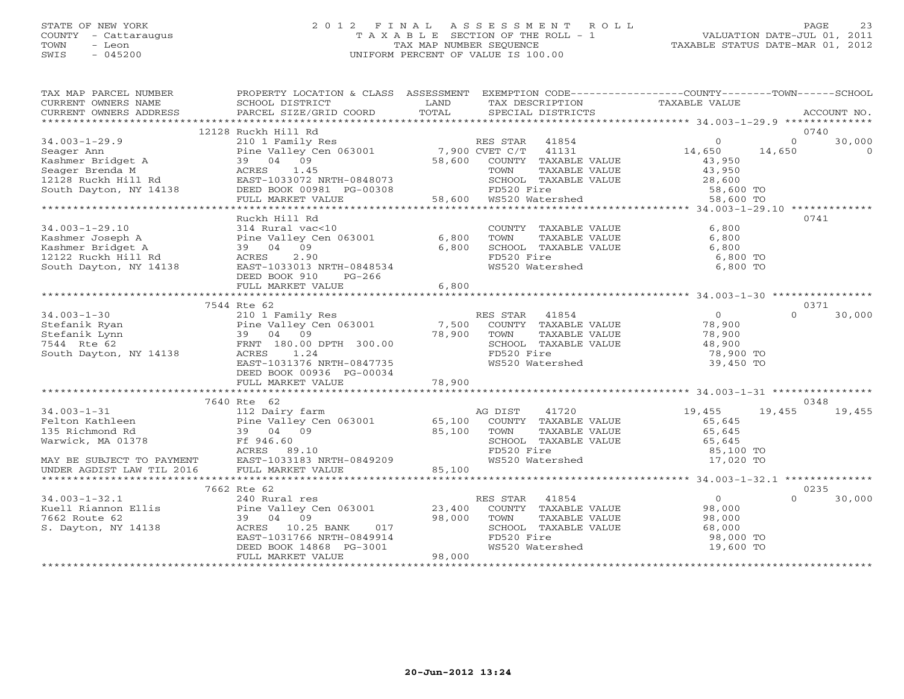# STATE OF NEW YORK 2 0 1 2 F I N A L A S S E S S M E N T R O L L PAGE 23 COUNTY - Cattaraugus T A X A B L E SECTION OF THE ROLL - 1 VALUATION DATE-JUL 01, 2011 TOWN - Leon TAX MAP NUMBER SEQUENCE TAXABLE STATUS DATE-MAR 01, 2012 SWIS - 045200 UNIFORM PERCENT OF VALUE IS 100.00UNIFORM PERCENT OF VALUE IS 100.00

| TAX MAP PARCEL NUMBER<br>CURRENT OWNERS NAME<br>CURRENT OWNERS ADDRESS                                                                                                                                                               | PROPERTY LOCATION & CLASS ASSESSMENT EXEMPTION CODE---------------COUNTY-------TOWN------SCHOOL<br>SCHOOL DISTRICT<br><b>EXAMPLE SERVICE SERVICE SERVICE SERVICE SERVICE SERVICE SERVICE SERVICE SERVICE SERVICE SERVICE SERVICE SERVICE</b><br>PARCEL SIZE/GRID COORD | TOTAL  | TAX DESCRIPTION<br>SPECIAL DISTRICTS                                                                              | TAXABLE VALUE      |          | ACCOUNT NO. |
|--------------------------------------------------------------------------------------------------------------------------------------------------------------------------------------------------------------------------------------|------------------------------------------------------------------------------------------------------------------------------------------------------------------------------------------------------------------------------------------------------------------------|--------|-------------------------------------------------------------------------------------------------------------------|--------------------|----------|-------------|
|                                                                                                                                                                                                                                      |                                                                                                                                                                                                                                                                        |        |                                                                                                                   |                    |          |             |
|                                                                                                                                                                                                                                      | 12128 Ruckh Hill Rd                                                                                                                                                                                                                                                    |        |                                                                                                                   |                    |          | 0740        |
|                                                                                                                                                                                                                                      |                                                                                                                                                                                                                                                                        |        |                                                                                                                   |                    | $\Omega$ | 30,000      |
|                                                                                                                                                                                                                                      |                                                                                                                                                                                                                                                                        |        |                                                                                                                   | $\frac{0}{14,650}$ | 14,650   | $\Omega$    |
|                                                                                                                                                                                                                                      |                                                                                                                                                                                                                                                                        |        | 58,600 COUNTY TAXABLE VALUE                                                                                       | 43,950             |          |             |
|                                                                                                                                                                                                                                      |                                                                                                                                                                                                                                                                        |        | TOWN TAXABLE VALUE $43,950$<br>SCHOOL TAXABLE VALUE $28,600$<br>FD520 Fire 58,600 TO<br>WS520 Watershed 58,600 TO |                    |          |             |
|                                                                                                                                                                                                                                      |                                                                                                                                                                                                                                                                        |        |                                                                                                                   |                    |          |             |
|                                                                                                                                                                                                                                      |                                                                                                                                                                                                                                                                        |        |                                                                                                                   |                    |          |             |
|                                                                                                                                                                                                                                      |                                                                                                                                                                                                                                                                        |        | 58,600 WS520 Watershed                                                                                            |                    |          |             |
|                                                                                                                                                                                                                                      |                                                                                                                                                                                                                                                                        |        |                                                                                                                   |                    |          |             |
|                                                                                                                                                                                                                                      | Ruckh Hill Rd                                                                                                                                                                                                                                                          |        |                                                                                                                   |                    |          | 0741        |
| $34.003 - 1 - 29.10$                                                                                                                                                                                                                 | 314 Rural vac<10                                                                                                                                                                                                                                                       |        | COUNTY TAXABLE VALUE<br>TOWN      TAXABLE VALUE                                                                   | 6,800              |          |             |
|                                                                                                                                                                                                                                      |                                                                                                                                                                                                                                                                        |        | TOWN TAXABLE VALUE 6,800 TO<br>SCHOOL TAXABLE VALUE 6,800 TO                                                      | 6,800              |          |             |
|                                                                                                                                                                                                                                      |                                                                                                                                                                                                                                                                        |        |                                                                                                                   |                    |          |             |
| 34.003-1-29.10<br>Kashmer Joseph A Pine Valley Cen 063001 6,800<br>Kashmer Bridget A 39 04 09 6,800<br>12122 Ruckh Hill Rd ACRES 2.90 6,800<br>South Dayton, NY 14138 EAST-1033013 NRTH-0848534                                      |                                                                                                                                                                                                                                                                        |        | FD520 Fire<br>WS520 Watershed                                                                                     | 6,800 TO           |          |             |
|                                                                                                                                                                                                                                      | DEED BOOK 910 PG-266                                                                                                                                                                                                                                                   |        |                                                                                                                   |                    |          |             |
|                                                                                                                                                                                                                                      | FULL MARKET VALUE                                                                                                                                                                                                                                                      | 6,800  |                                                                                                                   |                    |          |             |
|                                                                                                                                                                                                                                      |                                                                                                                                                                                                                                                                        |        |                                                                                                                   |                    |          |             |
|                                                                                                                                                                                                                                      | 7544 Rte 62                                                                                                                                                                                                                                                            |        |                                                                                                                   |                    |          | 0371        |
| 34.003-1-30<br>Stefanik Ryan Pine Valley Cen 063001 7,500 RES STAR 41854<br>Stefanik Lynn 39 04 09 78,900 TOWN TAXABLE VALUE<br>T544 Rte 62 FRNT 180.00 DPTH 300.00 78,900 SCHOOL TAXABLE VALUE<br>South Dayton, NY 14138 ACRES 1.24 |                                                                                                                                                                                                                                                                        |        |                                                                                                                   | $\overline{0}$     | $\Omega$ | 30,000      |
|                                                                                                                                                                                                                                      |                                                                                                                                                                                                                                                                        |        |                                                                                                                   | 78,900<br>78,900   |          |             |
|                                                                                                                                                                                                                                      |                                                                                                                                                                                                                                                                        |        |                                                                                                                   |                    |          |             |
|                                                                                                                                                                                                                                      |                                                                                                                                                                                                                                                                        |        | SCHOOL TAXABLE VALUE $48,900$                                                                                     |                    |          |             |
|                                                                                                                                                                                                                                      |                                                                                                                                                                                                                                                                        |        |                                                                                                                   | 78,900 TO          |          |             |
|                                                                                                                                                                                                                                      | EAST-1031376 NRTH-0847735                                                                                                                                                                                                                                              |        | WS520 Watershed                                                                                                   | 39,450 TO          |          |             |
|                                                                                                                                                                                                                                      | DEED BOOK 00936 PG-00034                                                                                                                                                                                                                                               |        |                                                                                                                   |                    |          |             |
|                                                                                                                                                                                                                                      | FULL MARKET VALUE                                                                                                                                                                                                                                                      | 78,900 |                                                                                                                   |                    |          |             |
|                                                                                                                                                                                                                                      |                                                                                                                                                                                                                                                                        |        |                                                                                                                   |                    |          |             |
|                                                                                                                                                                                                                                      | 7640 Rte 62                                                                                                                                                                                                                                                            |        |                                                                                                                   |                    |          | 0348        |
| $34.003 - 1 - 31$                                                                                                                                                                                                                    | 112 Dairy farm and the Magnus AG DIST                                                                                                                                                                                                                                  |        |                                                                                                                   | 41720 19,455       | 19,455   | 19,455      |
|                                                                                                                                                                                                                                      |                                                                                                                                                                                                                                                                        |        |                                                                                                                   | 65,645             |          |             |
|                                                                                                                                                                                                                                      |                                                                                                                                                                                                                                                                        |        |                                                                                                                   | 65,645             |          |             |
|                                                                                                                                                                                                                                      |                                                                                                                                                                                                                                                                        |        | SCHOOL TAXABLE VALUE 65,645<br>FD520 Fire 85,100 TO                                                               |                    |          |             |
|                                                                                                                                                                                                                                      |                                                                                                                                                                                                                                                                        |        |                                                                                                                   |                    |          |             |
|                                                                                                                                                                                                                                      |                                                                                                                                                                                                                                                                        |        |                                                                                                                   | 17,020 TO          |          |             |
|                                                                                                                                                                                                                                      |                                                                                                                                                                                                                                                                        |        |                                                                                                                   |                    |          |             |
|                                                                                                                                                                                                                                      |                                                                                                                                                                                                                                                                        |        |                                                                                                                   |                    |          |             |
|                                                                                                                                                                                                                                      | 7662 Rte 62                                                                                                                                                                                                                                                            |        |                                                                                                                   | $\overline{0}$     | $\Omega$ | 0235        |
|                                                                                                                                                                                                                                      |                                                                                                                                                                                                                                                                        |        | RES STAR 41854<br>COUNTY TAXABLE VALUE 98,000                                                                     |                    |          | 30,000      |
|                                                                                                                                                                                                                                      |                                                                                                                                                                                                                                                                        |        |                                                                                                                   |                    |          |             |
|                                                                                                                                                                                                                                      |                                                                                                                                                                                                                                                                        |        | TOWN TAXABLE VALUE 98,000<br>SCHOOL TAXABLE VALUE 68,000<br>FD520 Fire 98,000<br>WS520 Watershed 19,600           |                    |          |             |
|                                                                                                                                                                                                                                      |                                                                                                                                                                                                                                                                        |        |                                                                                                                   | 98,000 TO          |          |             |
|                                                                                                                                                                                                                                      |                                                                                                                                                                                                                                                                        |        |                                                                                                                   | 19,600 TO          |          |             |
|                                                                                                                                                                                                                                      | 39 04 09 98,000<br>ACRES 10.25 BANK 017<br>EAST-1031766 NRTH-0849914<br>DEED BOOK 14868 PG-3001<br>FULL MARKET VALUE 98,000                                                                                                                                            |        |                                                                                                                   |                    |          |             |
|                                                                                                                                                                                                                                      |                                                                                                                                                                                                                                                                        |        |                                                                                                                   |                    |          |             |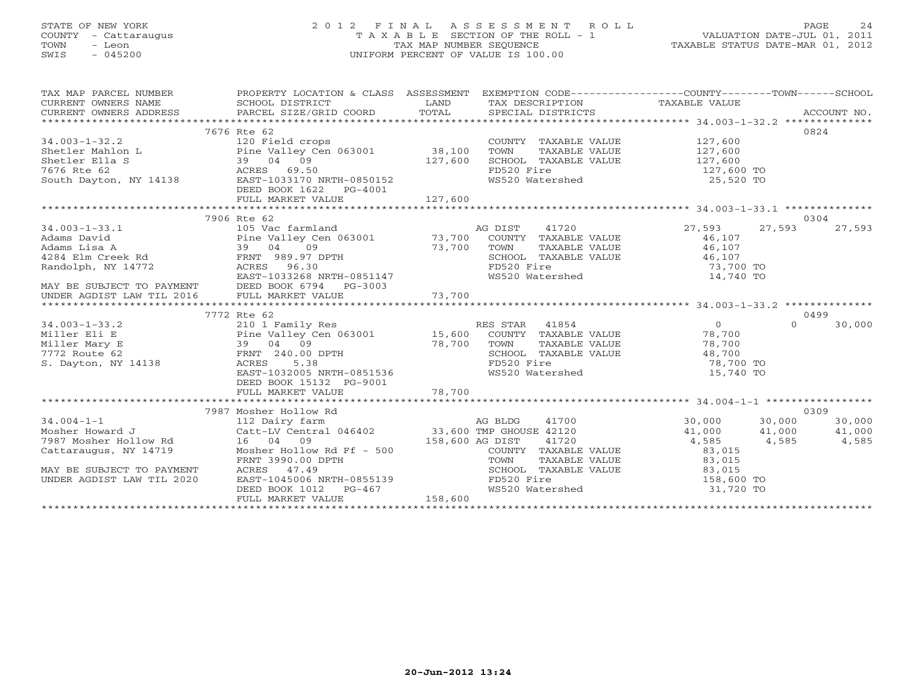# STATE OF NEW YORK 2 0 1 2 F I N A L A S S E S S M E N T R O L L PAGE 24 COUNTY - Cattaraugus T A X A B L E SECTION OF THE ROLL - 1 VALUATION DATE-JUL 01, 2011 TOWN - Leon TAX MAP NUMBER SEQUENCE TAXABLE STATUS DATE-MAR 01, 2012 SWIS - 045200 UNIFORM PERCENT OF VALUE IS 100.00UNIFORM PERCENT OF VALUE IS 100.00

| TAX MAP PARCEL NUMBER                                                                                                                                                                                                                                       | PROPERTY LOCATION & CLASS ASSESSMENT EXEMPTION CODE----------------COUNTY-------TOWN------SCHOOL                                                                |         |                                                     |                                            |          |        |
|-------------------------------------------------------------------------------------------------------------------------------------------------------------------------------------------------------------------------------------------------------------|-----------------------------------------------------------------------------------------------------------------------------------------------------------------|---------|-----------------------------------------------------|--------------------------------------------|----------|--------|
|                                                                                                                                                                                                                                                             |                                                                                                                                                                 |         |                                                     |                                            |          |        |
|                                                                                                                                                                                                                                                             |                                                                                                                                                                 |         |                                                     |                                            |          |        |
|                                                                                                                                                                                                                                                             |                                                                                                                                                                 |         |                                                     |                                            |          |        |
|                                                                                                                                                                                                                                                             | 7676 Rte 62                                                                                                                                                     |         |                                                     |                                            | 0824     |        |
| 34.003-1-32.2<br>Shetler Mahlon L<br>Shetler Ella S<br>7676 Rte 62<br>South Dayton, NY 14138<br>RES 69.50<br>RES 69.50<br>RES 69.50<br>South Dayton, NY 14138<br>RES 69.50<br>RES 69.50<br>RES 69.50<br>RES 69.50<br>RES 69.50<br>RES 69.50<br>RES 20133170 |                                                                                                                                                                 |         | COUNTY TAXABLE VALUE 127,600                        |                                            |          |        |
|                                                                                                                                                                                                                                                             |                                                                                                                                                                 |         | TOWN<br>TAXABLE VALUE                               | 127,600                                    |          |        |
|                                                                                                                                                                                                                                                             |                                                                                                                                                                 |         | SCHOOL TAXABLE VALUE                                | 127,600<br>127,600 TO                      |          |        |
|                                                                                                                                                                                                                                                             |                                                                                                                                                                 |         | FD520 Fire                                          |                                            |          |        |
|                                                                                                                                                                                                                                                             |                                                                                                                                                                 |         | WS520 Watershed 25,520 TO                           |                                            |          |        |
|                                                                                                                                                                                                                                                             | DEED BOOK 1622    PG-4001                                                                                                                                       |         |                                                     |                                            |          |        |
|                                                                                                                                                                                                                                                             | FULL MARKET VALUE                                                                                                                                               | 127,600 |                                                     |                                            |          |        |
|                                                                                                                                                                                                                                                             |                                                                                                                                                                 |         |                                                     |                                            |          |        |
|                                                                                                                                                                                                                                                             | 7906 Rte 62                                                                                                                                                     |         |                                                     |                                            | 0304     |        |
| $34.003 - 1 - 33.1$<br>34.003-1-33.1 (105) vac rarmiana (105) variations av Adams David Pine Valley Cen 063001 (13,700 COUNTY TAXABLE VALUE Adams Lisa A 39 04 09 (13,700 TOWN TAXABLE VALUE Randolph, NY 14772 (2008) ACRES 36.30 (2008) and the sch       | 105 Vac farmland                                                                                                                                                |         | AG DIST<br>41720                                    | 27,593                                     | 27,593   | 27,593 |
|                                                                                                                                                                                                                                                             |                                                                                                                                                                 |         |                                                     | 46,107                                     |          |        |
|                                                                                                                                                                                                                                                             |                                                                                                                                                                 |         |                                                     | TAXABLE VALUE 46,107                       |          |        |
|                                                                                                                                                                                                                                                             | FRNT 989.97 DPTH<br>ACRES 96.30<br>EAST-1033268 NRTH-0851147                                                                                                    |         | SCHOOL TAXABLE VALUE 46,107<br>FD520 Fire 73,700 TO |                                            |          |        |
|                                                                                                                                                                                                                                                             |                                                                                                                                                                 |         | FD520 Fire<br>WS520 Watershed                       |                                            |          |        |
|                                                                                                                                                                                                                                                             |                                                                                                                                                                 |         |                                                     |                                            |          |        |
|                                                                                                                                                                                                                                                             |                                                                                                                                                                 |         |                                                     |                                            |          |        |
|                                                                                                                                                                                                                                                             |                                                                                                                                                                 |         |                                                     |                                            |          |        |
|                                                                                                                                                                                                                                                             | 7772 Rte 62                                                                                                                                                     |         |                                                     |                                            | 0499     |        |
|                                                                                                                                                                                                                                                             |                                                                                                                                                                 |         |                                                     |                                            | $\Omega$ | 30,000 |
|                                                                                                                                                                                                                                                             |                                                                                                                                                                 |         |                                                     |                                            |          |        |
|                                                                                                                                                                                                                                                             |                                                                                                                                                                 |         |                                                     |                                            |          |        |
|                                                                                                                                                                                                                                                             |                                                                                                                                                                 |         |                                                     |                                            |          |        |
| S. Dayton, NY 14138                                                                                                                                                                                                                                         |                                                                                                                                                                 |         |                                                     | 78,700 TO                                  |          |        |
|                                                                                                                                                                                                                                                             | EAST-1032005 NRTH-0851536                                                                                                                                       |         | WS520 Watershed                                     | 15,740 TO                                  |          |        |
|                                                                                                                                                                                                                                                             | DEED BOOK 15132 PG-9001                                                                                                                                         |         |                                                     |                                            |          |        |
|                                                                                                                                                                                                                                                             | FULL MARKET VALUE                                                                                                                                               | 78,700  |                                                     |                                            |          |        |
|                                                                                                                                                                                                                                                             |                                                                                                                                                                 |         |                                                     |                                            |          |        |
|                                                                                                                                                                                                                                                             | 7987 Mosher Hollow Rd<br>Mosher Hollow Rd<br>112 Dairy farm MG BLDG 41700<br>Catt-LV Central 046402 33,600 TMP GHOUSE 42120<br>16 04 09 158,600 AG DISTIT 41720 |         |                                                     |                                            | 0309     |        |
| $34.004 - 1 - 1$                                                                                                                                                                                                                                            |                                                                                                                                                                 |         | 41700                                               | 30,000 30,000 30,000                       |          |        |
| Mosher Howard J                                                                                                                                                                                                                                             |                                                                                                                                                                 |         |                                                     |                                            |          |        |
| 7987 Mosher Hollow Rd                                                                                                                                                                                                                                       |                                                                                                                                                                 |         |                                                     | $41,000$ $41,000$ $41,585$ $4,585$ $4,585$ |          |        |
| Cattaraugus, NY 14719                                                                                                                                                                                                                                       |                                                                                                                                                                 |         | COUNTY TAXABLE VALUE 83,015                         |                                            |          |        |
|                                                                                                                                                                                                                                                             |                                                                                                                                                                 |         |                                                     |                                            |          |        |
| MAY BE SUBJECT TO PAYMENT                                                                                                                                                                                                                                   |                                                                                                                                                                 |         |                                                     |                                            |          |        |
| UNDER AGDIST LAW TIL 2020                                                                                                                                                                                                                                   |                                                                                                                                                                 |         |                                                     |                                            |          |        |
|                                                                                                                                                                                                                                                             |                                                                                                                                                                 |         | FD520 Fire 158,600 TO<br>WS520 Watershed 158,600 TO |                                            |          |        |
|                                                                                                                                                                                                                                                             | Nosher Hollow Rd Ff - 500<br>FRNT 3990.00 DPTH<br>ACRES 47.49<br>EAST-1045006 NRTH-0855139<br>DEED BOOK 1012 PG-467<br>FULL MARKET VALUE<br>158,600             |         |                                                     |                                            |          |        |
|                                                                                                                                                                                                                                                             |                                                                                                                                                                 |         |                                                     |                                            |          |        |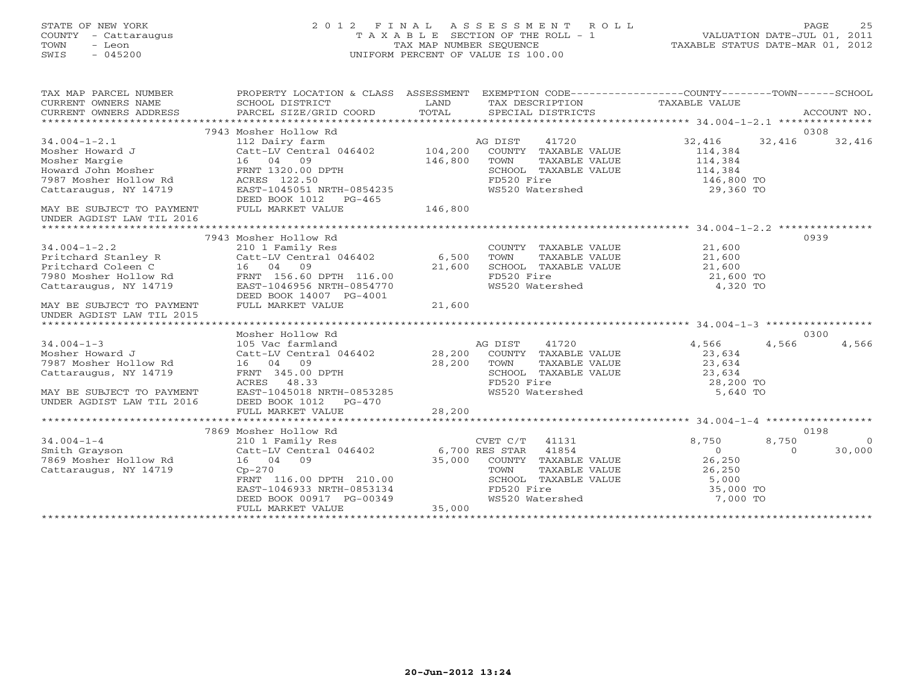STATE OF NEW YORK 2 0 1 2 F I N A L A S S E S S M E N T R O L L PAGE 25 COUNTY - Cattaraugus T A X A B L E SECTION OF THE ROLL - 1 VALUATION DATE-JUL 01, 2011 TOWN - Leon TAX MAP NUMBER SEQUENCE TAXABLE STATUS DATE-MAR 01, 2012 SWIS - 045200 UNIFORM PERCENT OF VALUE IS 100.00UNIFORM PERCENT OF VALUE IS 100.00 TAX MAP PARCEL NUMBER PROPERTY LOCATION & CLASS ASSESSMENT EXEMPTION CODE------------------COUNTY--------TOWN------SCHOOL CURRENT OWNERS NAME SCHOOL DISTRICT LAND TAX DESCRIPTION TAXABLE VALUE

| CONTRIVE OMNEHO INTER<br>CURRENT OWNERS ADDRESS        | PONDON DIPLATOI<br>PARCEL SIZE/GRID COORD   | TOTAL   | TIME DIDUCTLE I LUIN | SPECIAL DISTRICTS    |            |          | ACCOUNT NO. |
|--------------------------------------------------------|---------------------------------------------|---------|----------------------|----------------------|------------|----------|-------------|
|                                                        |                                             |         |                      |                      |            |          |             |
|                                                        | 7943 Mosher Hollow Rd                       |         |                      |                      |            |          | 0308        |
| $34.004 - 1 - 2.1$                                     | 112 Dairy farm                              |         | AG DIST              | 41720                | 32,416     | 32,416   | 32,416      |
| Mosher Howard J                                        | Catt-LV Central 046402                      | 104,200 |                      | COUNTY TAXABLE VALUE | 114,384    |          |             |
| Mosher Margie                                          | 16 04 09                                    | 146,800 | TOWN                 | TAXABLE VALUE        | 114,384    |          |             |
| Howard John Mosher                                     | FRNT 1320.00 DPTH                           |         |                      | SCHOOL TAXABLE VALUE | 114,384    |          |             |
| 7987 Mosher Hollow Rd                                  | ACRES 122.50                                |         | FD520 Fire           |                      | 146,800 TO |          |             |
| Cattaraugus, NY 14719                                  | EAST-1045051 NRTH-0854235                   |         |                      | WS520 Watershed      | 29,360 TO  |          |             |
|                                                        | DEED BOOK 1012 PG-465                       |         |                      |                      |            |          |             |
| MAY BE SUBJECT TO PAYMENT<br>UNDER AGDIST LAW TIL 2016 | FULL MARKET VALUE                           | 146,800 |                      |                      |            |          |             |
|                                                        |                                             |         |                      |                      |            |          |             |
|                                                        | 7943 Mosher Hollow Rd                       |         |                      |                      |            |          | 0939        |
| $34.004 - 1 - 2.2$                                     | 210 1 Family Res                            |         |                      | COUNTY TAXABLE VALUE | 21,600     |          |             |
| Pritchard Stanley R                                    | Catt-LV Central 046402 6,500                |         | TOWN                 | TAXABLE VALUE        | 21,600     |          |             |
| Pritchard Coleen C                                     | 16 04 09                                    | 21,600  |                      | SCHOOL TAXABLE VALUE | 21,600     |          |             |
| 7980 Mosher Hollow Rd                                  | FRNT 156.60 DPTH 116.00                     |         | FD520 Fire           |                      | 21,600 TO  |          |             |
| Cattaraugus, NY 14719                                  | EAST-1046956 NRTH-0854770                   |         |                      | WS520 Watershed      | 4,320 TO   |          |             |
|                                                        | DEED BOOK 14007 PG-4001                     |         |                      |                      |            |          |             |
| MAY BE SUBJECT TO PAYMENT                              | FULL MARKET VALUE                           | 21,600  |                      |                      |            |          |             |
|                                                        |                                             |         |                      |                      |            |          |             |
| UNDER AGDIST LAW TIL 2015                              |                                             |         |                      |                      |            |          |             |
|                                                        |                                             |         |                      |                      |            |          |             |
|                                                        | Mosher Hollow Rd                            |         |                      |                      |            |          | 0300        |
| $34.004 - 1 - 3$                                       | 105 Vac farmland                            |         | AG DIST              | 41720                | 4,566      | 4,566    | 4,566       |
| Mosher Howard J                                        | Catt-LV Central 046402                      | 28,200  |                      | COUNTY TAXABLE VALUE | 23,634     |          |             |
| 7987 Mosher Hollow Rd                                  | 16 04 09                                    | 28,200  | TOWN                 | TAXABLE VALUE        | 23,634     |          |             |
| Cattaraugus, NY 14719                                  | FRNT 345.00 DPTH                            |         |                      | SCHOOL TAXABLE VALUE | 23,634     |          |             |
|                                                        | ACRES 48.33                                 |         | FD520 Fire           |                      | 28,200 TO  |          |             |
| MAY BE SUBJECT TO PAYMENT                              | EAST-1045018 NRTH-0853285                   |         |                      | WS520 Watershed      | 5,640 TO   |          |             |
| UNDER AGDIST LAW TIL 2016                              | DEED BOOK 1012 PG-470                       |         |                      |                      |            |          |             |
|                                                        |                                             |         |                      |                      |            |          |             |
|                                                        |                                             |         |                      |                      |            |          |             |
|                                                        | 7869 Mosher Hollow Rd                       |         |                      |                      |            |          | 0198        |
| $34.004 - 1 - 4$                                       | 210 1 Family Res                            |         | CVET C/T             | 41131                | 8,750      | 8,750    | $\bigcirc$  |
| Smith Grayson                                          | Catt-LV Central 046402 6,700 RES STAR 41854 |         |                      |                      | $\bigcirc$ | $\Omega$ | 30,000      |
| 7869 Mosher Hollow Rd                                  | 16 04 09                                    | 35,000  |                      | COUNTY TAXABLE VALUE | 26,250     |          |             |
| Cattaraugus, NY 14719                                  | $Cp-270$                                    |         | TOWN                 | TAXABLE VALUE        | 26,250     |          |             |
|                                                        | FRNT 116.00 DPTH 210.00                     |         |                      | SCHOOL TAXABLE VALUE | 5,000      |          |             |
|                                                        | EAST-1046933 NRTH-0853134                   |         | FD520 Fire           |                      | 35,000 TO  |          |             |
|                                                        | DEED BOOK 00917 PG-00349                    |         |                      | WS520 Watershed      | 7,000 TO   |          |             |
|                                                        | FULL MARKET VALUE                           | 35,000  |                      |                      |            |          |             |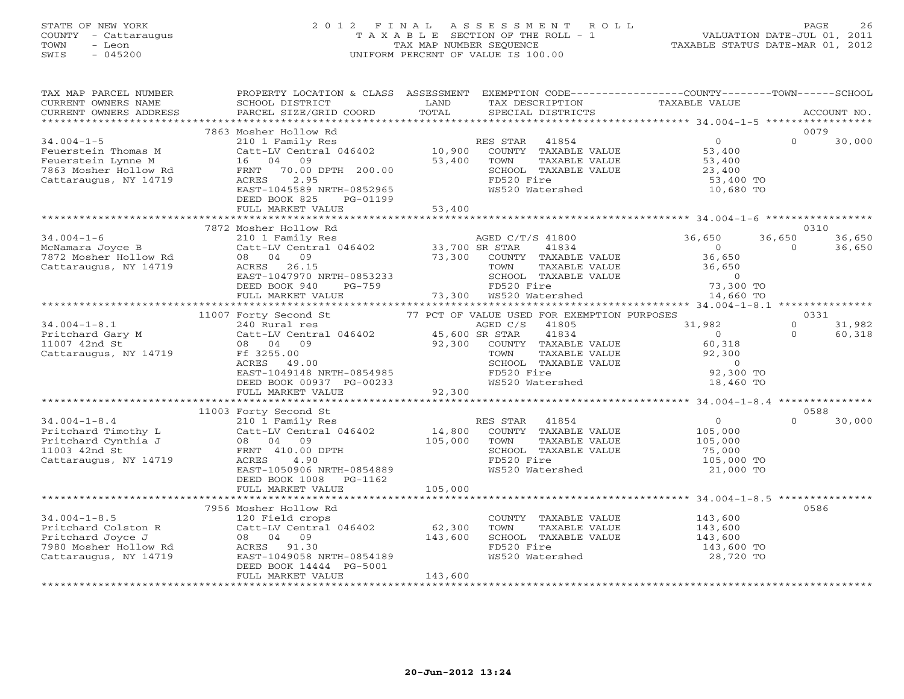# STATE OF NEW YORK 2 0 1 2 F I N A L A S S E S S M E N T R O L L PAGE 26 COUNTY - Cattaraugus T A X A B L E SECTION OF THE ROLL - 1 VALUATION DATE-JUL 01, 2011 TOWN - Leon TAX MAP NUMBER SEQUENCE TAXABLE STATUS DATE-MAR 01, 2012 SWIS - 045200 UNIFORM PERCENT OF VALUE IS 100.00UNIFORM PERCENT OF VALUE IS 100.00

| TAX MAP PARCEL NUMBER<br>CURRENT OWNERS NAME<br>CURRENT OWNERS ADDRESS                                           | PROPERTY LOCATION & CLASS ASSESSMENT<br>SCHOOL DISTRICT<br>PARCEL SIZE/GRID COORD                                                                                                                                                                                                          | LAND<br>TOTAL                | TAX DESCRIPTION<br>SPECIAL DISTRICTS                                                                                                                                                | EXEMPTION CODE-----------------COUNTY-------TOWN------SCHOOL<br>TAXABLE VALUE            | ACCOUNT NO.                                     |
|------------------------------------------------------------------------------------------------------------------|--------------------------------------------------------------------------------------------------------------------------------------------------------------------------------------------------------------------------------------------------------------------------------------------|------------------------------|-------------------------------------------------------------------------------------------------------------------------------------------------------------------------------------|------------------------------------------------------------------------------------------|-------------------------------------------------|
|                                                                                                                  |                                                                                                                                                                                                                                                                                            |                              |                                                                                                                                                                                     |                                                                                          |                                                 |
| $34.004 - 1 - 5$<br>Feuerstein Thomas M<br>Feuerstein Lynne M<br>7863 Mosher Hollow Rd<br>Cattaraugus, NY 14719  | 7863 Mosher Hollow Rd<br>210 1 Family Res<br>Catt-LV Central 046402<br>16 04 09<br>FRNT 70.00 DPTH 200.00<br>ACRES<br>2.95<br>EAST-1045589 NRTH-0852965<br>DEED BOOK 825<br>PG-01199<br>FULL MARKET VALUE                                                                                  | 10,900<br>53,400<br>53,400   | RES STAR<br>41854<br>COUNTY TAXABLE VALUE<br>TOWN<br>TAXABLE VALUE<br>SCHOOL TAXABLE VALUE<br>FD520 Fire<br>WS520 Watershed                                                         | $\overline{0}$<br>53,400<br>53,400<br>23,400<br>53,400 TO<br>10,680 TO                   | 0079<br>$\Omega$<br>30,000                      |
|                                                                                                                  |                                                                                                                                                                                                                                                                                            |                              |                                                                                                                                                                                     |                                                                                          |                                                 |
| $34.004 - 1 - 6$<br>McNamara Joyce B<br>7872 Mosher Hollow Rd<br>Cattaraugus, NY 14719                           | 7872 Mosher Hollow Rd<br>210 1 Family Res<br>210 1 milly Nest 1046402<br>Catt-LV Central 046402 33,700 SR STAR 41834<br>08 04 09 73,300 COUNTY TAXABLE VALUE<br>ACRES 26.15 TOWN TAXABLE VALUE<br>ACRES 26.15<br>EAST-1047970 NRTH-0853233<br>DEED BOOK 940<br>PG-759<br>FULL MARKET VALUE |                              | AGED C/T/S 41800<br>TAXABLE VALUE<br>TOWN<br>SCHOOL TAXABLE VALUE<br>FD520 Fire<br>73,300 WS520 Watershed                                                                           | 36,650<br>$\overline{0}$<br>36,650<br>36,650<br>$\overline{0}$<br>73,300 TO<br>14,660 TO | 0310<br>36,650<br>36,650<br>$\Omega$<br>36,650  |
|                                                                                                                  |                                                                                                                                                                                                                                                                                            |                              |                                                                                                                                                                                     |                                                                                          |                                                 |
| $34.004 - 1 - 8.1$<br>Pritchard Gary M<br>11007 42nd St<br>Cattaraugus, NY 14719                                 | 11007 Forty Second St<br>240 Rural res<br>Catt-LV Central 046402 45,600 SR STAR<br>08 04 09<br>Ff 3255.00<br>ACRES<br>49.00<br>EAST-1049148 NRTH-0854985<br>DEED BOOK 00937 PG-00233                                                                                                       | 92,300                       | 77 PCT OF VALUE USED FOR EXEMPTION PURPOSES<br>AGED C/S<br>41805<br>41834<br>COUNTY TAXABLE VALUE<br>TOWN<br>TAXABLE VALUE<br>SCHOOL TAXABLE VALUE<br>FD520 Fire<br>WS520 Watershed | 31,982<br>$\bigcap$<br>60,318<br>92,300<br>$\overline{0}$<br>92,300 TO<br>18,460 TO      | 0331<br>31,982<br>$\circ$<br>$\Omega$<br>60,318 |
|                                                                                                                  | FULL MARKET VALUE                                                                                                                                                                                                                                                                          | 92,300                       |                                                                                                                                                                                     |                                                                                          |                                                 |
| $34.004 - 1 - 8.4$<br>Pritchard Timothy L<br>Pritchard Cynthia J<br>11003 42nd St<br>Cattaraugus, NY 14719       | 11003 Forty Second St<br>210 1 Family Res<br>Catt-LV Central 046402<br>08 04 09<br>FRNT 410.00 DPTH<br>ACRES<br>4.90                                                                                                                                                                       | 14,800<br>105,000            | 41854<br>RES STAR<br>COUNTY TAXABLE VALUE<br>TOWN<br>TAXABLE VALUE<br>SCHOOL TAXABLE VALUE<br>FD520 Fire                                                                            | $\overline{0}$<br>105,000<br>105,000<br>75,000<br>105,000 TO                             | 0588<br>30,000<br>$\Omega$                      |
|                                                                                                                  | EAST-1050906 NRTH-0854889<br>DEED BOOK 1008 PG-1162<br>FULL MARKET VALUE                                                                                                                                                                                                                   | 105,000                      | WS520 Watershed                                                                                                                                                                     | 21,000 TO                                                                                |                                                 |
|                                                                                                                  | 7956 Mosher Hollow Rd                                                                                                                                                                                                                                                                      |                              |                                                                                                                                                                                     |                                                                                          | 0586                                            |
| $34.004 - 1 - 8.5$<br>Pritchard Colston R<br>Pritchard Joyce J<br>7980 Mosher Hollow Rd<br>Cattaraugus, NY 14719 | 120 Field crops<br>Catt-LV Central 046402<br>08 04 09<br>ACRES 91.30<br>EAST-1049058 NRTH-0854189<br>DEED BOOK 14444 PG-5001<br>FULL MARKET VALUE                                                                                                                                          | 62,300<br>143,600<br>143,600 | COUNTY TAXABLE VALUE<br>TOWN<br>TAXABLE VALUE<br>SCHOOL TAXABLE VALUE<br>FD520 Fire<br>WS520 Watershed                                                                              | 143,600<br>143,600<br>143,600<br>143,600 TO<br>28,720 TO                                 |                                                 |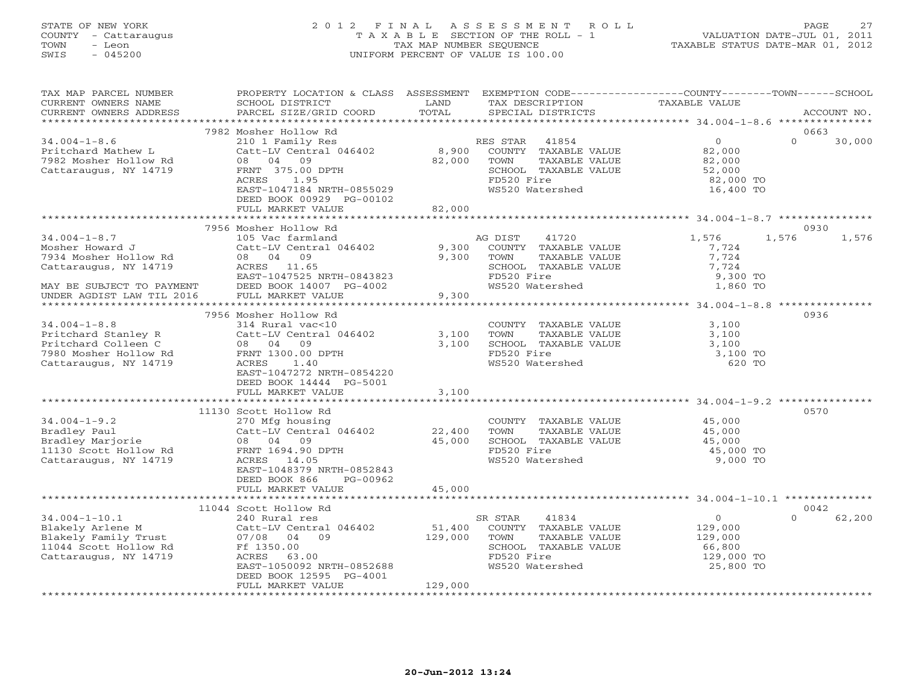# STATE OF NEW YORK 2 0 1 2 F I N A L A S S E S S M E N T R O L L PAGE 27 COUNTY - Cattaraugus T A X A B L E SECTION OF THE ROLL - 1 VALUATION DATE-JUL 01, 2011 TOWN - Leon TAX MAP NUMBER SEQUENCE TAXABLE STATUS DATE-MAR 01, 2012 SWIS - 045200 UNIFORM PERCENT OF VALUE IS 100.00UNIFORM PERCENT OF VALUE IS 100.00

| TAX MAP PARCEL NUMBER<br>CURRENT OWNERS NAME<br>CURRENT OWNERS ADDRESS                                                                                                    | PROPERTY LOCATION & CLASS ASSESSMENT<br>SCHOOL DISTRICT<br>PARCEL SIZE/GRID COORD                                                                                                                      | LAND<br>TOTAL                           | TAX DESCRIPTION<br>SPECIAL DISTRICTS                                                                                        | EXEMPTION CODE-----------------COUNTY-------TOWN------SCHOOL<br>TAXABLE VALUE                                                  | ACCOUNT NO.                |
|---------------------------------------------------------------------------------------------------------------------------------------------------------------------------|--------------------------------------------------------------------------------------------------------------------------------------------------------------------------------------------------------|-----------------------------------------|-----------------------------------------------------------------------------------------------------------------------------|--------------------------------------------------------------------------------------------------------------------------------|----------------------------|
|                                                                                                                                                                           |                                                                                                                                                                                                        |                                         |                                                                                                                             |                                                                                                                                |                            |
| $34.004 - 1 - 8.6$<br>Pritchard Mathew L<br>7982 Mosher Hollow Rd<br>Cattaraugus, NY 14719                                                                                | 7982 Mosher Hollow Rd<br>210 1 Family Res<br>Catt-LV Central 046402<br>08 04<br>09<br>FRNT 375.00 DPTH<br>ACRES<br>1.95<br>EAST-1047184 NRTH-0855029<br>DEED BOOK 00929 PG-00102                       | 8,900<br>82,000                         | RES STAR<br>41854<br>COUNTY TAXABLE VALUE<br>TOWN<br>TAXABLE VALUE<br>SCHOOL TAXABLE VALUE<br>FD520 Fire<br>WS520 Watershed | 0<br>82,000<br>82,000<br>52,000<br>82,000 TO<br>16,400 TO                                                                      | 0663<br>$\Omega$<br>30,000 |
|                                                                                                                                                                           | FULL MARKET VALUE                                                                                                                                                                                      | 82,000                                  |                                                                                                                             |                                                                                                                                |                            |
| $34.004 - 1 - 8.7$<br>Mosher Howard J<br>7934 Mosher Hollow Rd<br>Cattaraugus, NY 14719<br>MAY BE SUBJECT TO PAYMENT<br>UNDER AGDIST LAW TIL 2016<br>******************** | 7956 Mosher Hollow Rd<br>105 Vac farmland<br>Catt-LV Central 046402<br>08 04 09<br>ACRES 11.65<br>EAST-1047525 NRTH-0843823<br>DEED BOOK 14007 PG-4002<br>FULL MARKET VALUE<br>*********************** | 9,300<br>9,300<br>9,300<br>************ | AG DIST<br>41720<br>COUNTY TAXABLE VALUE<br>TAXABLE VALUE<br>TOWN<br>SCHOOL TAXABLE VALUE<br>FD520 Fire<br>WS520 Watershed  | 1,576<br>1,576<br>7,724<br>7,724<br>7,724<br>9,300 TO<br>1,860 TO<br>***********************    34.004-1-8.8    ************** | 0930<br>1,576              |
|                                                                                                                                                                           | 7956 Mosher Hollow Rd                                                                                                                                                                                  |                                         |                                                                                                                             |                                                                                                                                | 0936                       |
| $34.004 - 1 - 8.8$<br>Pritchard Stanley R<br>Pritchard Colleen C<br>7980 Mosher Hollow Rd<br>Cattaraugus, NY 14719                                                        | 314 Rural vac<10<br>Catt-LV Central 046402<br>08 04 09<br>FRNT 1300.00 DPTH<br>ACRES 1.40<br>EAST-1047272 NRTH-0854220<br>DEED BOOK 14444 PG-5001<br>FULL MARKET VALUE                                 | 3,100<br>3,100<br>3,100                 | COUNTY TAXABLE VALUE<br>TOWN<br>TAXABLE VALUE<br>SCHOOL TAXABLE VALUE<br>FD520 Fire<br>WS520 Watershed                      | 3,100<br>3,100<br>3,100<br>3,100 TO<br>620 TO                                                                                  |                            |
|                                                                                                                                                                           |                                                                                                                                                                                                        |                                         |                                                                                                                             |                                                                                                                                |                            |
| $34.004 - 1 - 9.2$<br>Bradley Paul<br>Bradley Marjorie<br>11130 Scott Hollow Rd<br>Cattaraugus, NY 14719                                                                  | 11130 Scott Hollow Rd<br>270 Mfg housing<br>Catt-LV Central 046402<br>08 04 09<br>FRNT 1694.90 DPTH<br>ACRES 14.05<br>EAST-1048379 NRTH-0852843<br>DEED BOOK 866<br>PG-00962                           | 22,400<br>45,000                        | COUNTY TAXABLE VALUE<br>TAXABLE VALUE<br>TOWN<br>SCHOOL TAXABLE VALUE<br>FD520 Fire<br>WS520 Watershed                      | 45,000<br>45,000<br>45,000<br>45,000 TO<br>9,000 TO                                                                            | 0570                       |
|                                                                                                                                                                           | FULL MARKET VALUE                                                                                                                                                                                      | 45,000                                  |                                                                                                                             |                                                                                                                                |                            |
|                                                                                                                                                                           | 11044 Scott Hollow Rd                                                                                                                                                                                  |                                         |                                                                                                                             |                                                                                                                                | 0042                       |
| $34.004 - 1 - 10.1$<br>Blakely Arlene M<br>Blakely Family Trust<br>11044 Scott Hollow Rd<br>Cattaraugus, NY 14719                                                         | 240 Rural res<br>Catt-LV Central 046402<br>07/08 04<br>09<br>Ff 1350.00<br>ACRES 63.00<br>EAST-1050092 NRTH-0852688<br>DEED BOOK 12595 PG-4001<br>FULL MARKET VALUE                                    | 51,400<br>129,000<br>129,000            | SR STAR<br>41834<br>COUNTY TAXABLE VALUE<br>TOWN<br>TAXABLE VALUE<br>SCHOOL TAXABLE VALUE<br>FD520 Fire<br>WS520 Watershed  | $\overline{0}$<br>129,000<br>129,000<br>66,800<br>129,000 TO<br>25,800 TO                                                      | $\Omega$<br>62,200         |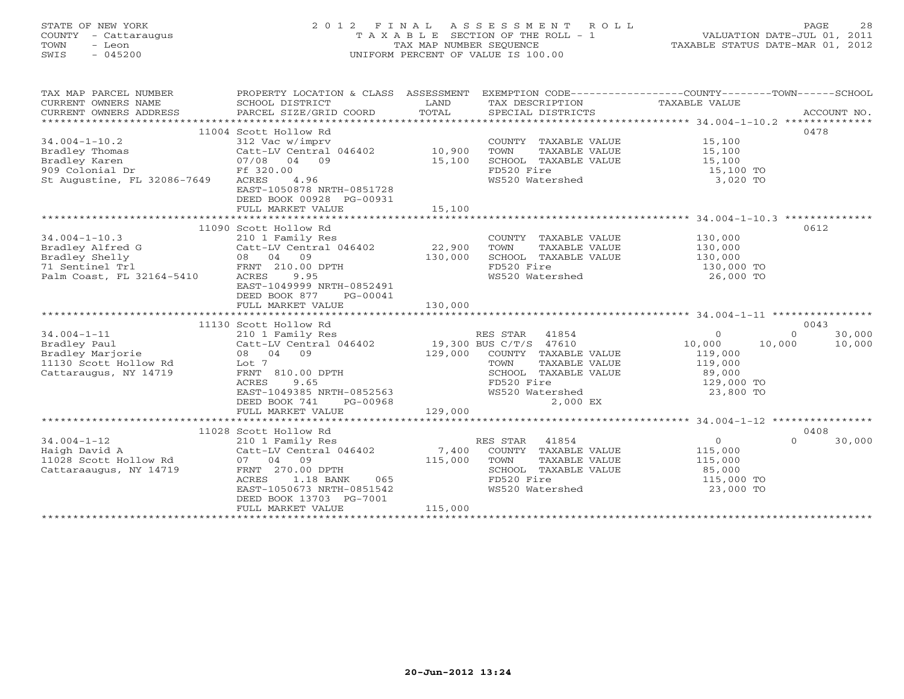# STATE OF NEW YORK 2 0 1 2 F I N A L A S S E S S M E N T R O L L PAGE 28 COUNTY - Cattaraugus T A X A B L E SECTION OF THE ROLL - 1 VALUATION DATE-JUL 01, 2011 TOWN - Leon TAX MAP NUMBER SEQUENCE TAXABLE STATUS DATE-MAR 01, 2012 SWIS - 045200 UNIFORM PERCENT OF VALUE IS 100.00UNIFORM PERCENT OF VALUE IS 100.00

| TAX MAP PARCEL NUMBER<br>CURRENT OWNERS NAME<br>CURRENT OWNERS ADDRESS | PROPERTY LOCATION & CLASS ASSESSMENT<br>SCHOOL DISTRICT<br>PARCEL SIZE/GRID COORD | LAND<br>TOTAL | EXEMPTION CODE-----------------COUNTY-------TOWN------SCHOOL<br>TAX DESCRIPTION TAXABLE VALUE<br>SPECIAL DISTRICTS |                  | ACCOUNT NO.        |
|------------------------------------------------------------------------|-----------------------------------------------------------------------------------|---------------|--------------------------------------------------------------------------------------------------------------------|------------------|--------------------|
|                                                                        |                                                                                   |               |                                                                                                                    |                  |                    |
|                                                                        | 11004 Scott Hollow Rd                                                             |               |                                                                                                                    |                  | 0478               |
| $34.004 - 1 - 10.2$                                                    | 312 Vac w/imprv                                                                   |               | COUNTY TAXABLE VALUE                                                                                               | 15,100           |                    |
| Bradley Thomas                                                         | Catt-LV Central 046402                                                            | 10,900        | TOWN<br>TAXABLE VALUE                                                                                              | 15,100           |                    |
| Bradley Karen                                                          | 07/08 04 09                                                                       | 15,100        | SCHOOL TAXABLE VALUE                                                                                               | 15,100           |                    |
| 909 Colonial Dr                                                        | Ff 320.00                                                                         |               | FD520 Fire                                                                                                         | 15,100 TO        |                    |
| St Augustine, FL 32086-7649                                            | ACRES<br>4.96<br>EAST-1050878 NRTH-0851728                                        |               | WS520 Watershed                                                                                                    | 3,020 TO         |                    |
|                                                                        | DEED BOOK 00928 PG-00931                                                          |               |                                                                                                                    |                  |                    |
|                                                                        | FULL MARKET VALUE                                                                 | 15,100        |                                                                                                                    |                  |                    |
|                                                                        |                                                                                   |               |                                                                                                                    |                  |                    |
|                                                                        | 11090 Scott Hollow Rd                                                             |               |                                                                                                                    |                  | 0612               |
| $34.004 - 1 - 10.3$                                                    | 210 1 Family Res                                                                  |               | COUNTY TAXABLE VALUE                                                                                               | 130,000          |                    |
| Bradley Alfred G                                                       | Catt-LV Central 046402                                                            | 22,900        | TOWN<br>TAXABLE VALUE                                                                                              | 130,000          |                    |
| Bradley Shelly                                                         | 08 04 09                                                                          | 130,000       | SCHOOL TAXABLE VALUE                                                                                               | 130,000          |                    |
| 71 Sentinel Trl                                                        | FRNT 210.00 DPTH                                                                  |               | FD520 Fire                                                                                                         | 130,000 TO       |                    |
| Palm Coast, FL 32164-5410                                              | 9.95<br>ACRES                                                                     |               | WS520 Watershed                                                                                                    | 26,000 TO        |                    |
|                                                                        | EAST-1049999 NRTH-0852491                                                         |               |                                                                                                                    |                  |                    |
|                                                                        | DEED BOOK 877<br>PG-00041<br>FULL MARKET VALUE                                    | 130,000       |                                                                                                                    |                  |                    |
|                                                                        |                                                                                   |               |                                                                                                                    |                  |                    |
|                                                                        | 11130 Scott Hollow Rd                                                             |               |                                                                                                                    |                  | 0043               |
| $34.004 - 1 - 11$                                                      | 210 1 Family Res                                                                  |               | RES STAR 41854                                                                                                     | $\Omega$         | 30,000<br>$\Omega$ |
| Bradley Paul                                                           | Catt-LV Central 046402 19,300 BUS C/T/S 47610                                     |               |                                                                                                                    | 10,000<br>10,000 | 10,000             |
| Bradley Marjorie                                                       | 08 04 09                                                                          |               | 129,000 COUNTY TAXABLE VALUE                                                                                       | 119,000          |                    |
| 11130 Scott Hollow Rd                                                  | Lot 7                                                                             |               | TOWN<br>TAXABLE VALUE                                                                                              | 119,000          |                    |
| Cattaraugus, NY 14719                                                  | FRNT 810.00 DPTH                                                                  |               | SCHOOL TAXABLE VALUE                                                                                               | 89,000           |                    |
|                                                                        | <b>ACRES</b><br>9.65                                                              |               | FD520 Fire                                                                                                         | 129,000 TO       |                    |
|                                                                        | EAST-1049385 NRTH-0852563                                                         |               | WS520 Watershed                                                                                                    | 23,800 TO        |                    |
|                                                                        | DEED BOOK 741<br>PG-00968                                                         |               | 2,000 EX                                                                                                           |                  |                    |
|                                                                        | FULL MARKET VALUE                                                                 | 129,000       |                                                                                                                    |                  |                    |
|                                                                        |                                                                                   |               |                                                                                                                    |                  |                    |
|                                                                        | 11028 Scott Hollow Rd                                                             |               |                                                                                                                    |                  | 0408               |
| $34.004 - 1 - 12$                                                      | 210 1 Family Res                                                                  |               | 41854<br>RES STAR                                                                                                  | $\circ$          | 30,000<br>$\Omega$ |
| Haigh David A                                                          | Catt-LV Central 046402                                                            | 7,400         | COUNTY TAXABLE VALUE                                                                                               | 115,000          |                    |
| 11028 Scott Hollow Rd                                                  | 07 04 09                                                                          | 115,000       | TOWN<br>TAXABLE VALUE                                                                                              | 115,000          |                    |
| Cattaraaugus, NY 14719                                                 | FRNT 270.00 DPTH                                                                  |               | SCHOOL TAXABLE VALUE                                                                                               | 85,000           |                    |
|                                                                        | ACRES<br>1.18 BANK<br>065                                                         |               | FD520 Fire                                                                                                         | 115,000 TO       |                    |
|                                                                        | EAST-1050673 NRTH-0851542                                                         |               | WS520 Watershed                                                                                                    | 23,000 TO        |                    |
|                                                                        | DEED BOOK 13703 PG-7001                                                           |               |                                                                                                                    |                  |                    |
|                                                                        | FULL MARKET VALUE                                                                 | 115,000       | ************************                                                                                           |                  |                    |
|                                                                        |                                                                                   |               |                                                                                                                    |                  |                    |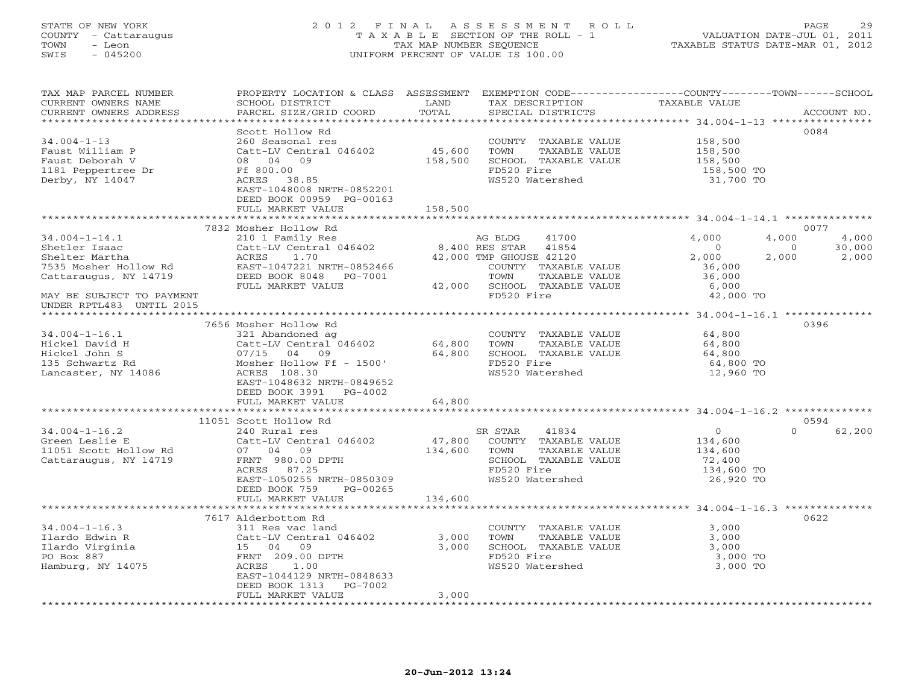#### STATE OF NEW YORK 2 0 1 2 F I N A L A S S E S S M E N T R O L L PAGE 29 COUNTY - Cattaraugus T A X A B L E SECTION OF THE ROLL - 1 VALUATION DATE-JUL 01, 2011 TOWN - Leon TAX MAP NUMBER SEQUENCE TAXABLE STATUS DATE-MAR 01, 2012 SWIS - 045200 UNIFORM PERCENT OF VALUE IS 100.00UNIFORM PERCENT OF VALUE IS 100.00

| TAX MAP PARCEL NUMBER<br>CURRENT OWNERS NAME<br>CURRENT OWNERS ADDRESS | PROPERTY LOCATION & CLASS ASSESSMENT<br>SCHOOL DISTRICT | LAND<br>TOTAL     | TAX DESCRIPTION                               | EXEMPTION CODE-----------------COUNTY-------TOWN------SCHOOL<br>TAXABLE VALUE | ACCOUNT NO.            |
|------------------------------------------------------------------------|---------------------------------------------------------|-------------------|-----------------------------------------------|-------------------------------------------------------------------------------|------------------------|
| *********************                                                  | PARCEL SIZE/GRID COORD<br>**********************        |                   | SPECIAL DISTRICTS                             |                                                                               |                        |
|                                                                        | Scott Hollow Rd                                         |                   |                                               |                                                                               | 0084                   |
| $34.004 - 1 - 13$                                                      | 260 Seasonal res                                        |                   | COUNTY TAXABLE VALUE                          | 158,500                                                                       |                        |
| Faust William P                                                        | Catt-LV Central 046402                                  | 45,600            | TOWN<br>TAXABLE VALUE                         | 158,500                                                                       |                        |
| Faust Deborah V                                                        | 08 04 09                                                | 158,500           | SCHOOL TAXABLE VALUE                          | 158,500                                                                       |                        |
| 1181 Peppertree Dr                                                     | Ff 800.00                                               |                   | FD520 Fire                                    | 158,500 TO                                                                    |                        |
| Derby, NY 14047                                                        | ACRES 38.85                                             |                   | WS520 Watershed                               | 31,700 TO                                                                     |                        |
|                                                                        | EAST-1048008 NRTH-0852201                               |                   |                                               |                                                                               |                        |
|                                                                        | DEED BOOK 00959 PG-00163                                |                   |                                               |                                                                               |                        |
|                                                                        | FULL MARKET VALUE                                       | 158,500           |                                               |                                                                               |                        |
|                                                                        |                                                         | * * * * * * * * * |                                               |                                                                               |                        |
|                                                                        | 7832 Mosher Hollow Rd                                   |                   |                                               |                                                                               | 0077                   |
| $34.004 - 1 - 14.1$                                                    | 210 1 Family Res                                        |                   | AG BLDG<br>41700                              | 4,000<br>4,000                                                                | 4,000                  |
| Shetler Isaac                                                          | Catt-LV Central 046402                                  |                   | 8,400 RES STAR 41854                          | $\overline{0}$                                                                | 30,000<br>$\mathbf{0}$ |
| Shelter Martha                                                         | ACRES<br>1.70                                           |                   | 42,000 TMP GHOUSE 42120                       | 2,000<br>2,000                                                                | 2,000                  |
| 7535 Mosher Hollow Rd                                                  | EAST-1047221 NRTH-0852466                               |                   | COUNTY TAXABLE VALUE                          | 36,000                                                                        |                        |
| Cattaraugus, NY 14719                                                  | DEED BOOK 8048<br>PG-7001                               |                   | TOWN<br>TAXABLE VALUE                         | 36,000                                                                        |                        |
|                                                                        | FULL MARKET VALUE                                       |                   | 42,000 SCHOOL TAXABLE VALUE<br>FD520 Fire     | 6,000                                                                         |                        |
| MAY BE SUBJECT TO PAYMENT<br>UNDER RPTL483 UNTIL 2015                  |                                                         |                   |                                               | 42,000 TO                                                                     |                        |
| * * * * * * * * * * * * * * * * * * * *                                |                                                         | *************     |                                               | ***************** 34.004-1-16.1 **************                                |                        |
|                                                                        | 7656 Mosher Hollow Rd                                   |                   |                                               |                                                                               | 0396                   |
| $34.004 - 1 - 16.1$                                                    | 321 Abandoned ag                                        |                   | COUNTY TAXABLE VALUE                          | 64,800                                                                        |                        |
| Hickel David H                                                         | Catt-LV Central 046402                                  | 64,800            | TOWN<br>TAXABLE VALUE                         | 64,800                                                                        |                        |
| Hickel John S                                                          | 07/15 04 09                                             | 64,800            | SCHOOL TAXABLE VALUE                          | 64,800                                                                        |                        |
| 135 Schwartz Rd                                                        | Mosher Hollow Ff - 1500'                                |                   | FD520 Fire                                    | 64,800 TO                                                                     |                        |
| Lancaster, NY 14086                                                    | ACRES 108.30                                            |                   | WS520 Watershed                               | 12,960 TO                                                                     |                        |
|                                                                        | EAST-1048632 NRTH-0849652                               |                   |                                               |                                                                               |                        |
|                                                                        | DEED BOOK 3991<br>PG-4002                               |                   |                                               |                                                                               |                        |
|                                                                        | FULL MARKET VALUE                                       | 64,800            |                                               |                                                                               |                        |
|                                                                        | ***********************                                 | ************      |                                               | ********************* 34.004-1-16.2 **************                            |                        |
|                                                                        | 11051 Scott Hollow Rd                                   |                   |                                               |                                                                               | 0594                   |
| $34.004 - 1 - 16.2$                                                    | 240 Rural res                                           |                   | SR STAR<br>41834                              | $\circ$                                                                       | $\Omega$<br>62,200     |
| Green Leslie E                                                         | Catt-LV Central 046402                                  | 47,800            | COUNTY TAXABLE VALUE                          | 134,600                                                                       |                        |
| 11051 Scott Hollow Rd                                                  | 07 04 09<br>FRNT 980.00 DPTH                            | 134,600           | TOWN<br>TAXABLE VALUE<br>SCHOOL TAXABLE VALUE | 134,600                                                                       |                        |
| Cattaraugus, NY 14719                                                  | ACRES 87.25                                             |                   | FD520 Fire                                    | 72,400<br>134,600 TO                                                          |                        |
|                                                                        | EAST-1050255 NRTH-0850309                               |                   | WS520 Watershed                               | 26,920 TO                                                                     |                        |
|                                                                        | DEED BOOK 759<br>PG-00265                               |                   |                                               |                                                                               |                        |
|                                                                        | FULL MARKET VALUE                                       | 134,600           |                                               |                                                                               |                        |
|                                                                        |                                                         |                   |                                               |                                                                               |                        |
|                                                                        | 7617 Alderbottom Rd                                     |                   |                                               |                                                                               | 0622                   |
| $34.004 - 1 - 16.3$                                                    | 311 Res vac land                                        |                   | COUNTY TAXABLE VALUE                          | 3,000                                                                         |                        |
| Ilardo Edwin R                                                         | Catt-LV Central 046402                                  | 3,000             | TAXABLE VALUE<br>TOWN                         | 3,000                                                                         |                        |
| Ilardo Virginia                                                        | 15 04 09                                                | 3,000             | SCHOOL TAXABLE VALUE                          | 3,000                                                                         |                        |
| PO Box 887                                                             | FRNT 209.00 DPTH                                        |                   | FD520 Fire                                    | 3,000 TO                                                                      |                        |
| Hamburg, NY 14075                                                      | ACRES<br>1.00                                           |                   | WS520 Watershed                               | 3,000 TO                                                                      |                        |
|                                                                        | EAST-1044129 NRTH-0848633                               |                   |                                               |                                                                               |                        |
|                                                                        | DEED BOOK 1313<br>PG-7002                               |                   |                                               |                                                                               |                        |
|                                                                        | FULL MARKET VALUE                                       | 3,000             |                                               |                                                                               |                        |
|                                                                        |                                                         |                   |                                               |                                                                               |                        |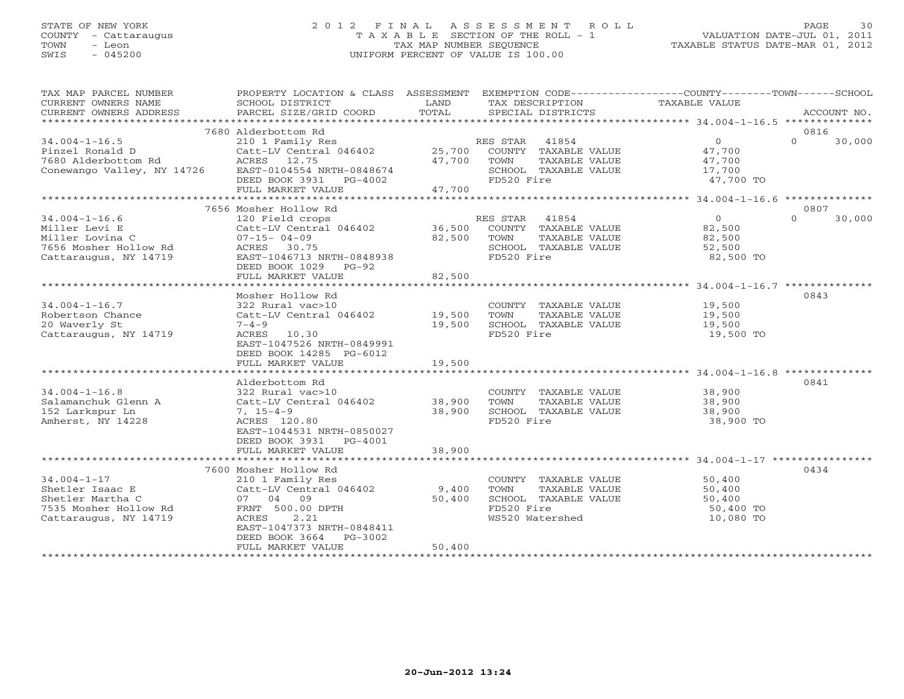# STATE OF NEW YORK 2 0 1 2 F I N A L A S S E S S M E N T R O L L PAGE 30 COUNTY - Cattaraugus T A X A B L E SECTION OF THE ROLL - 1 VALUATION DATE-JUL 01, 2011 TOWN - Leon TAX MAP NUMBER SEQUENCE TAXABLE STATUS DATE-MAR 01, 2012 SWIS - 045200 UNIFORM PERCENT OF VALUE IS 100.00UNIFORM PERCENT OF VALUE IS 100.00

| TAX MAP PARCEL NUMBER<br>CURRENT OWNERS NAME<br>CURRENT OWNERS ADDRESS | PROPERTY LOCATION & CLASS ASSESSMENT<br>SCHOOL DISTRICT<br>PARCEL SIZE/GRID COORD | LAND<br>TOTAL    | TAX DESCRIPTION<br>SPECIAL DISTRICTS          | EXEMPTION CODE-----------------COUNTY-------TOWN------SCHOOL<br>TAXABLE VALUE | ACCOUNT NO.    |
|------------------------------------------------------------------------|-----------------------------------------------------------------------------------|------------------|-----------------------------------------------|-------------------------------------------------------------------------------|----------------|
| ***********************                                                |                                                                                   |                  |                                               |                                                                               |                |
| $34.004 - 1 - 16.5$                                                    | 7680 Alderbottom Rd<br>210 1 Family Res                                           |                  | RES STAR 41854                                | $\Omega$<br>$\Omega$                                                          | 0816<br>30,000 |
| Pinzel Ronald D<br>7680 Alderbottom Rd                                 | Catt-LV Central 046402<br>ACRES 12.75                                             | 25,700<br>47,700 | COUNTY TAXABLE VALUE<br>TOWN<br>TAXABLE VALUE | 47,700<br>47,700                                                              |                |
| Conewango Valley, NY 14726                                             | EAST-0104554 NRTH-0848674<br>DEED BOOK 3931 PG-4002                               |                  | SCHOOL TAXABLE VALUE<br>FD520 Fire            | 17,700<br>47,700 TO                                                           |                |
|                                                                        | FULL MARKET VALUE                                                                 | 47,700           |                                               |                                                                               |                |
|                                                                        |                                                                                   |                  |                                               |                                                                               |                |
|                                                                        | 7656 Mosher Hollow Rd                                                             |                  |                                               |                                                                               | 0807           |
| $34.004 - 1 - 16.6$                                                    | 120 Field crops                                                                   |                  | RES STAR<br>41854                             | $\Omega$<br>$\Omega$                                                          | 30,000         |
| Miller Levi E                                                          | Catt-LV Central 046402                                                            | 36,500           | COUNTY TAXABLE VALUE                          | 82,500                                                                        |                |
| Miller Lovina C                                                        | $07 - 15 - 04 - 09$                                                               | 82,500           | TOWN<br>TAXABLE VALUE                         | 82,500                                                                        |                |
| 7656 Mosher Hollow Rd                                                  | ACRES 30.75                                                                       |                  | SCHOOL TAXABLE VALUE                          | 52,500                                                                        |                |
| Cattaraugus, NY 14719                                                  | EAST-1046713 NRTH-0848938<br>DEED BOOK 1029 PG-92                                 |                  | FD520 Fire                                    | 82,500 TO                                                                     |                |
|                                                                        | FULL MARKET VALUE                                                                 | 82,500           |                                               |                                                                               |                |
|                                                                        | *****************************                                                     |                  |                                               |                                                                               |                |
|                                                                        | Mosher Hollow Rd                                                                  |                  |                                               |                                                                               | 0843           |
| $34.004 - 1 - 16.7$                                                    | 322 Rural vac>10                                                                  |                  | COUNTY TAXABLE VALUE                          | 19,500                                                                        |                |
| Robertson Chance                                                       | Catt-LV Central 046402                                                            | 19,500           | TOWN<br>TAXABLE VALUE                         | 19,500                                                                        |                |
| 20 Waverly St                                                          | $7 - 4 - 9$                                                                       | 19,500           | SCHOOL TAXABLE VALUE                          | 19,500                                                                        |                |
| Cattaraugus, NY 14719                                                  | ACRES 10.30<br>EAST-1047526 NRTH-0849991                                          |                  | FD520 Fire                                    | 19,500 TO                                                                     |                |
|                                                                        | DEED BOOK 14285 PG-6012                                                           |                  |                                               |                                                                               |                |
|                                                                        | FULL MARKET VALUE                                                                 | 19,500           |                                               |                                                                               |                |
|                                                                        |                                                                                   |                  |                                               |                                                                               |                |
|                                                                        | Alderbottom Rd                                                                    |                  |                                               |                                                                               | 0841           |
| $34.004 - 1 - 16.8$                                                    | 322 Rural vac>10                                                                  |                  | COUNTY TAXABLE VALUE                          | 38,900                                                                        |                |
| Salamanchuk Glenn A                                                    | Catt-LV Central 046402                                                            | 38,900           | TOWN<br>TAXABLE VALUE                         | 38,900                                                                        |                |
| 152 Larkspur Ln                                                        | $7, 15-4-9$                                                                       | 38,900           | SCHOOL TAXABLE VALUE                          | 38,900                                                                        |                |
| Amherst, NY 14228                                                      | ACRES 120.80                                                                      |                  | FD520 Fire                                    | 38,900 TO                                                                     |                |
|                                                                        | EAST-1044531 NRTH-0850027                                                         |                  |                                               |                                                                               |                |
|                                                                        | DEED BOOK 3931 PG-4001<br>FULL MARKET VALUE                                       | 38,900           |                                               |                                                                               |                |
|                                                                        |                                                                                   |                  |                                               |                                                                               |                |
|                                                                        | 7600 Mosher Hollow Rd                                                             |                  |                                               |                                                                               | 0434           |
| $34.004 - 1 - 17$                                                      | 210 1 Family Res                                                                  |                  | COUNTY TAXABLE VALUE                          | 50,400                                                                        |                |
| Shetler Isaac E                                                        | Catt-LV Central 046402                                                            | 9,400            | TOWN<br>TAXABLE VALUE                         | 50,400                                                                        |                |
| Shetler Martha C                                                       | 07 04 09                                                                          | 50,400           | SCHOOL TAXABLE VALUE                          | 50,400                                                                        |                |
| 7535 Mosher Hollow Rd                                                  | FRNT 500.00 DPTH                                                                  |                  | FD520 Fire                                    | 50,400 TO                                                                     |                |
| Cattaraugus, NY 14719                                                  | ACRES<br>2.21                                                                     |                  | WS520 Watershed                               | 10,080 TO                                                                     |                |
|                                                                        | EAST-1047373 NRTH-0848411                                                         |                  |                                               |                                                                               |                |
|                                                                        | DEED BOOK 3664<br>PG-3002                                                         |                  |                                               |                                                                               |                |
|                                                                        | FULL MARKET VALUE                                                                 | 50,400           |                                               |                                                                               |                |
| ********************                                                   | ********************                                                              |                  |                                               |                                                                               |                |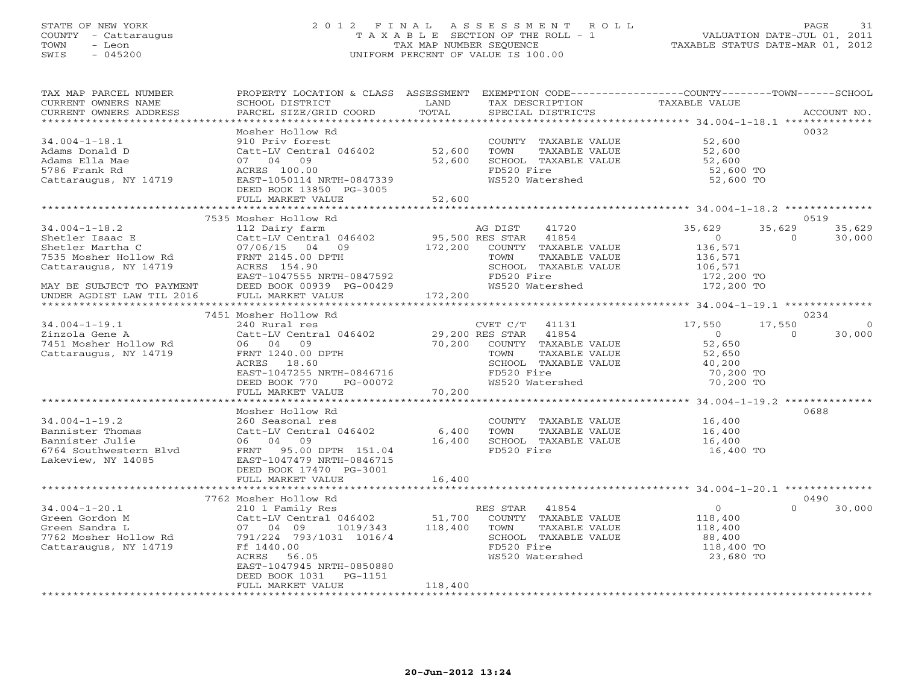#### STATE OF NEW YORK 2 0 1 2 F I N A L A S S E S S M E N T R O L L PAGE 31 COUNTY - Cattaraugus T A X A B L E SECTION OF THE ROLL - 1 VALUATION DATE-JUL 01, 2011 TOWN - Leon TAX MAP NUMBER SEQUENCE TAXABLE STATUS DATE-MAR 01, 2012 SWIS - 045200 UNIFORM PERCENT OF VALUE IS 100.00UNIFORM PERCENT OF VALUE IS 100.00

| TAX MAP PARCEL NUMBER<br>CURRENT OWNERS NAME<br>CURRENT OWNERS ADDRESS | PROPERTY LOCATION & CLASS ASSESSMENT<br>SCHOOL DISTRICT<br>PARCEL SIZE/GRID COORD | LAND<br>TOTAL   | EXEMPTION CODE-----------------COUNTY-------TOWN------SCHOOL<br>TAX DESCRIPTION<br>SPECIAL DISTRICTS | TAXABLE VALUE                                               | ACCOUNT NO.                  |
|------------------------------------------------------------------------|-----------------------------------------------------------------------------------|-----------------|------------------------------------------------------------------------------------------------------|-------------------------------------------------------------|------------------------------|
| **********************                                                 |                                                                                   |                 |                                                                                                      |                                                             |                              |
|                                                                        | Mosher Hollow Rd                                                                  |                 |                                                                                                      |                                                             | 0032                         |
| $34.004 - 1 - 18.1$                                                    | 910 Priv forest                                                                   |                 | COUNTY TAXABLE VALUE                                                                                 | 52,600                                                      |                              |
| Adams Donald D                                                         | Catt-LV Central 046402                                                            | 52,600          | TOWN<br>TAXABLE VALUE                                                                                | 52,600                                                      |                              |
| Adams Ella Mae                                                         | 07 04<br>09                                                                       | 52,600          | SCHOOL TAXABLE VALUE                                                                                 | 52,600                                                      |                              |
| 5786 Frank Rd                                                          | ACRES 100.00                                                                      |                 | FD520 Fire                                                                                           | 52,600 TO                                                   |                              |
| Cattaraugus, NY 14719                                                  | EAST-1050114 NRTH-0847339                                                         |                 | WS520 Watershed                                                                                      | 52,600 TO                                                   |                              |
|                                                                        | DEED BOOK 13850 PG-3005                                                           |                 |                                                                                                      |                                                             |                              |
|                                                                        | FULL MARKET VALUE                                                                 | 52,600          |                                                                                                      |                                                             |                              |
|                                                                        | ************************                                                          |                 |                                                                                                      |                                                             |                              |
|                                                                        | 7535 Mosher Hollow Rd                                                             |                 |                                                                                                      |                                                             | 0519                         |
| $34.004 - 1 - 18.2$                                                    | 112 Dairy farm                                                                    | 95,500 RES STAR | 41720<br>AG DIST                                                                                     | 35,629<br>$\overline{0}$                                    | 35,629<br>35,629<br>$\Omega$ |
| Shetler Isaac E<br>Shetler Martha C                                    | Catt-LV Central 046402<br>07/06/15 04 09                                          |                 | 41854<br>172,200 COUNTY TAXABLE VALUE                                                                | 136,571                                                     | 30,000                       |
| 7535 Mosher Hollow Rd                                                  | FRNT 2145.00 DPTH                                                                 |                 | TOWN<br>TAXABLE VALUE                                                                                | 136,571                                                     |                              |
| Cattaraugus, NY 14719                                                  | ACRES 154.90                                                                      |                 | SCHOOL TAXABLE VALUE                                                                                 | 106,571                                                     |                              |
|                                                                        | EAST-1047555 NRTH-0847592                                                         |                 | FD520 Fire                                                                                           |                                                             |                              |
| MAY BE SUBJECT TO PAYMENT                                              | DEED BOOK 00939 PG-00429                                                          |                 | WS520 Watershed                                                                                      | 172,200 TO<br>172,200 TO                                    |                              |
| UNDER AGDIST LAW TIL 2016                                              | FULL MARKET VALUE                                                                 | 172,200         |                                                                                                      |                                                             |                              |
| * * * * * * * * * * * * * * * * * * * *                                | **********************                                                            |                 |                                                                                                      |                                                             |                              |
|                                                                        | 7451 Mosher Hollow Rd                                                             |                 |                                                                                                      |                                                             | 0234                         |
| $34.004 - 1 - 19.1$                                                    | 240 Rural res                                                                     |                 | CVET C/T<br>41131                                                                                    | 17,550                                                      | 17,550<br>$\Omega$           |
| Zinzola Gene A                                                         | Catt-LV Central 046402                                                            | 29,200 RES STAR | 41854                                                                                                | $\overline{0}$                                              | $\Omega$<br>30,000           |
| 7451 Mosher Hollow Rd                                                  | 06 04 09                                                                          | 70,200          | COUNTY TAXABLE VALUE                                                                                 | 52,650                                                      |                              |
| Cattaraugus, NY 14719                                                  | FRNT 1240.00 DPTH                                                                 |                 | TOWN<br>TAXABLE VALUE                                                                                | 52,650                                                      |                              |
|                                                                        | ACRES 18.60                                                                       |                 | SCHOOL TAXABLE VALUE                                                                                 | 40,200                                                      |                              |
|                                                                        | EAST-1047255 NRTH-0846716                                                         |                 | FD520 Fire                                                                                           | 70,200 TO                                                   |                              |
|                                                                        | DEED BOOK 770<br>PG-00072                                                         |                 | WS520 Watershed                                                                                      | 70,200 TO                                                   |                              |
|                                                                        | FULL MARKET VALUE                                                                 | 70,200          |                                                                                                      |                                                             |                              |
|                                                                        | Mosher Hollow Rd                                                                  |                 |                                                                                                      |                                                             | 0688                         |
| $34.004 - 1 - 19.2$                                                    | 260 Seasonal res                                                                  |                 | COUNTY TAXABLE VALUE                                                                                 | 16,400                                                      |                              |
| Bannister Thomas                                                       | Catt-LV Central 046402                                                            | 6,400           | TOWN<br>TAXABLE VALUE                                                                                | 16,400                                                      |                              |
| Bannister Julie                                                        | 06 04 09                                                                          | 16,400          | SCHOOL TAXABLE VALUE                                                                                 | 16,400                                                      |                              |
| 6764 Southwestern Blvd                                                 | FRNT 95.00 DPTH 151.04                                                            |                 | FD520 Fire                                                                                           | 16,400 TO                                                   |                              |
| Lakeview, NY 14085                                                     | EAST-1047479 NRTH-0846715                                                         |                 |                                                                                                      |                                                             |                              |
|                                                                        | DEED BOOK 17470 PG-3001                                                           |                 |                                                                                                      |                                                             |                              |
|                                                                        | FULL MARKET VALUE                                                                 | 16,400          |                                                                                                      |                                                             |                              |
|                                                                        |                                                                                   | *************   |                                                                                                      | ****************************** 34.004-1-20.1 ************** |                              |
|                                                                        | 7762 Mosher Hollow Rd                                                             |                 |                                                                                                      |                                                             | 0490                         |
| $34.004 - 1 - 20.1$                                                    | 210 1 Family Res                                                                  |                 | RES STAR<br>41854                                                                                    | $\overline{0}$                                              | $\Omega$<br>30,000           |
| Green Gordon M                                                         | Catt-LV Central 046402                                                            | 51,700          | COUNTY TAXABLE VALUE                                                                                 | 118,400                                                     |                              |
| Green Sandra L                                                         | 07 04 09<br>1019/343                                                              | 118,400         | TOWN<br>TAXABLE VALUE                                                                                | 118,400                                                     |                              |
| 7762 Mosher Hollow Rd                                                  | 791/224 793/1031 1016/4                                                           |                 | SCHOOL TAXABLE VALUE<br>FD520 Fire                                                                   | 88,400                                                      |                              |
| Cattaraugus, NY 14719                                                  | Ff 1440.00<br>ACRES<br>56.05                                                      |                 | WS520 Watershed                                                                                      | 118,400 TO<br>23,680 TO                                     |                              |
|                                                                        | EAST-1047945 NRTH-0850880                                                         |                 |                                                                                                      |                                                             |                              |
|                                                                        | DEED BOOK 1031<br>PG-1151                                                         |                 |                                                                                                      |                                                             |                              |
|                                                                        | FULL MARKET VALUE                                                                 | 118,400         |                                                                                                      |                                                             |                              |
|                                                                        |                                                                                   |                 |                                                                                                      |                                                             |                              |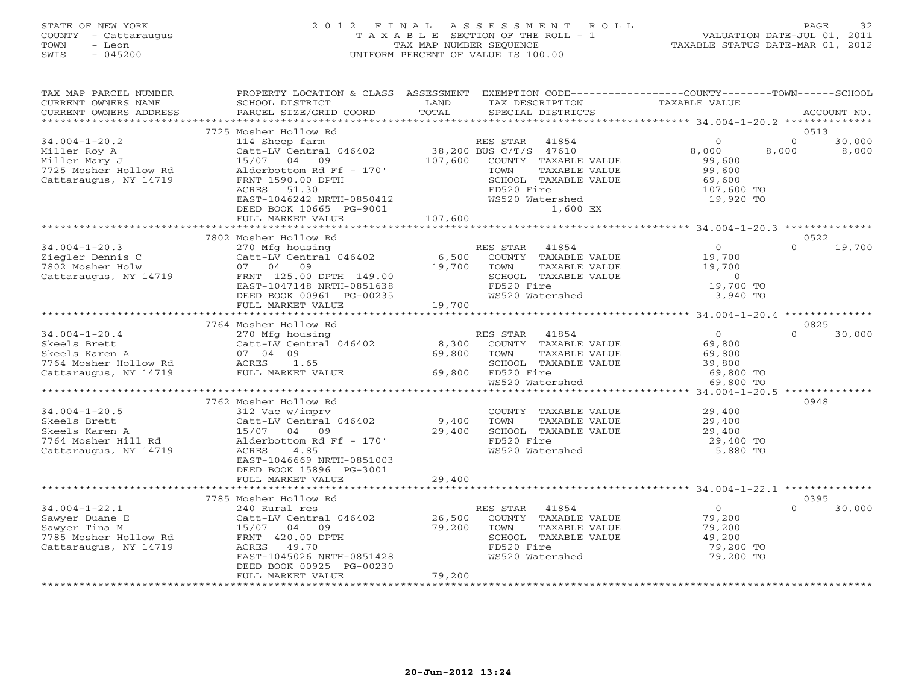# STATE OF NEW YORK 2 0 1 2 F I N A L A S S E S S M E N T R O L L PAGE 32 COUNTY - Cattaraugus T A X A B L E SECTION OF THE ROLL - 1 VALUATION DATE-JUL 01, 2011 TOWN - Leon TAX MAP NUMBER SEQUENCE TAXABLE STATUS DATE-MAR 01, 2012 SWIS - 045200 UNIFORM PERCENT OF VALUE IS 100.00UNIFORM PERCENT OF VALUE IS 100.00

| TAX MAP PARCEL NUMBER<br>CURRENT OWNERS NAME<br>CURRENT OWNERS ADDRESS                                   | PROPERTY LOCATION & CLASS ASSESSMENT<br>SCHOOL DISTRICT<br>PARCEL SIZE/GRID COORD                                                                                                                             | LAND<br>TOTAL              | EXEMPTION CODE-----------------COUNTY-------TOWN------SCHOOL<br>TAX DESCRIPTION<br>SPECIAL DISTRICTS                                                              | TAXABLE VALUE                                                             | ACCOUNT NO.                          |
|----------------------------------------------------------------------------------------------------------|---------------------------------------------------------------------------------------------------------------------------------------------------------------------------------------------------------------|----------------------------|-------------------------------------------------------------------------------------------------------------------------------------------------------------------|---------------------------------------------------------------------------|--------------------------------------|
| ***********************                                                                                  |                                                                                                                                                                                                               |                            |                                                                                                                                                                   |                                                                           |                                      |
|                                                                                                          | 7725 Mosher Hollow Rd                                                                                                                                                                                         |                            |                                                                                                                                                                   |                                                                           | 0513                                 |
| $34.004 - 1 - 20.2$<br>Miller Roy A<br>Miller Mary J<br>7725 Mosher Hollow Rd<br>Cattaraugus, NY 14719   | 114 Sheep farm<br>Catt-LV Central 046402<br>15/07<br>09<br>04<br>Alderbottom Rd Ff - 170'<br>FRNT 1590.00 DPTH<br>ACRES<br>51.30<br>EAST-1046242 NRTH-0850412<br>DEED BOOK 10665 PG-9001<br>FULL MARKET VALUE | 107,600<br>107,600         | RES STAR<br>41854<br>38,200 BUS C/T/S 47610<br>COUNTY TAXABLE VALUE<br>TOWN<br>TAXABLE VALUE<br>SCHOOL TAXABLE VALUE<br>FD520 Fire<br>WS520 Watershed<br>1,600 EX | $\circ$<br>8,000<br>99,600<br>99,600<br>69,600<br>107,600 TO<br>19,920 TO | $\Omega$<br>30,000<br>8,000<br>8,000 |
|                                                                                                          |                                                                                                                                                                                                               |                            |                                                                                                                                                                   |                                                                           |                                      |
|                                                                                                          | 7802 Mosher Hollow Rd                                                                                                                                                                                         |                            |                                                                                                                                                                   |                                                                           | 0522                                 |
| $34.004 - 1 - 20.3$<br>Ziegler Dennis C<br>7802 Mosher Holw<br>Cattaraugus, NY 14719                     | 270 Mfg housing<br>Catt-LV Central 046402<br>07 04<br>09<br>FRNT 125.00 DPTH 149.00<br>EAST-1047148 NRTH-0851638<br>DEED BOOK 00961 PG-00235                                                                  | 6,500<br>19,700            | RES STAR<br>41854<br>COUNTY TAXABLE VALUE<br>TOWN<br>TAXABLE VALUE<br>SCHOOL TAXABLE VALUE<br>FD520 Fire<br>WS520 Watershed                                       | $\overline{O}$<br>19,700<br>19,700<br>$\circ$<br>19,700 TO<br>3,940 TO    | 19,700<br>$\Omega$                   |
|                                                                                                          | FULL MARKET VALUE                                                                                                                                                                                             | 19,700                     |                                                                                                                                                                   |                                                                           |                                      |
|                                                                                                          | **********************                                                                                                                                                                                        |                            |                                                                                                                                                                   |                                                                           |                                      |
|                                                                                                          | 7764 Mosher Hollow Rd                                                                                                                                                                                         |                            |                                                                                                                                                                   | $\Omega$                                                                  | 0825<br>$\Omega$                     |
| $34.004 - 1 - 20.4$<br>Skeels Brett<br>Skeels Karen A<br>7764 Mosher Hollow Rd<br>Cattaraugus, NY 14719  | 270 Mfg housing<br>Catt-LV Central 046402<br>07 04 09<br>1.65<br>ACRES<br>FULL MARKET VALUE                                                                                                                   | 8,300<br>69,800<br>69,800  | 41854<br>RES STAR<br>COUNTY TAXABLE VALUE<br>TOWN<br>TAXABLE VALUE<br>SCHOOL TAXABLE VALUE<br>FD520 Fire<br>WS520 Watershed                                       | 69,800<br>69,800<br>39,800<br>69,800 TO<br>69,800 TO                      | 30,000                               |
|                                                                                                          | ********************                                                                                                                                                                                          | ********************       |                                                                                                                                                                   | **** 34.004-1-20.5 ***********                                            |                                      |
|                                                                                                          | 7762 Mosher Hollow Rd                                                                                                                                                                                         |                            |                                                                                                                                                                   |                                                                           | 0948                                 |
| $34.004 - 1 - 20.5$<br>Skeels Brett<br>Skeels Karen A<br>7764 Mosher Hill Rd<br>Cattaraugus, NY 14719    | 312 Vac w/imprv<br>Catt-LV Central 046402<br>15/07 04 09<br>Alderbottom Rd Ff - 170'<br>ACRES<br>4.85<br>EAST-1046669 NRTH-0851003<br>DEED BOOK 15896 PG-3001                                                 | 9,400<br>29,400            | COUNTY TAXABLE VALUE<br>TOWN<br>TAXABLE VALUE<br>SCHOOL TAXABLE VALUE<br>FD520 Fire<br>WS520 Watershed                                                            | 29,400<br>29,400<br>29,400<br>29,400 TO<br>5,880 TO                       |                                      |
|                                                                                                          | FULL MARKET VALUE                                                                                                                                                                                             | 29,400                     |                                                                                                                                                                   |                                                                           |                                      |
|                                                                                                          |                                                                                                                                                                                                               |                            |                                                                                                                                                                   |                                                                           |                                      |
|                                                                                                          | 7785 Mosher Hollow Rd                                                                                                                                                                                         |                            |                                                                                                                                                                   | $\circ$                                                                   | 0395<br>$\Omega$                     |
| $34.004 - 1 - 22.1$<br>Sawyer Duane E<br>Sawyer Tina M<br>7785 Mosher Hollow Rd<br>Cattaraugus, NY 14719 | 240 Rural res<br>Catt-LV Central 046402<br>15/07 04<br>09<br>FRNT 420.00 DPTH<br>49.70<br>ACRES<br>EAST-1045026 NRTH-0851428<br>DEED BOOK 00925 PG-00230<br>FULL MARKET VALUE                                 | 26,500<br>79,200<br>79,200 | 41854<br>RES STAR<br>COUNTY TAXABLE VALUE<br>TOWN<br>TAXABLE VALUE<br>SCHOOL TAXABLE VALUE<br>FD520 Fire<br>WS520 Watershed                                       | 79,200<br>79,200<br>49,200<br>79,200 TO<br>79,200 TO                      | 30,000                               |
|                                                                                                          |                                                                                                                                                                                                               |                            |                                                                                                                                                                   |                                                                           |                                      |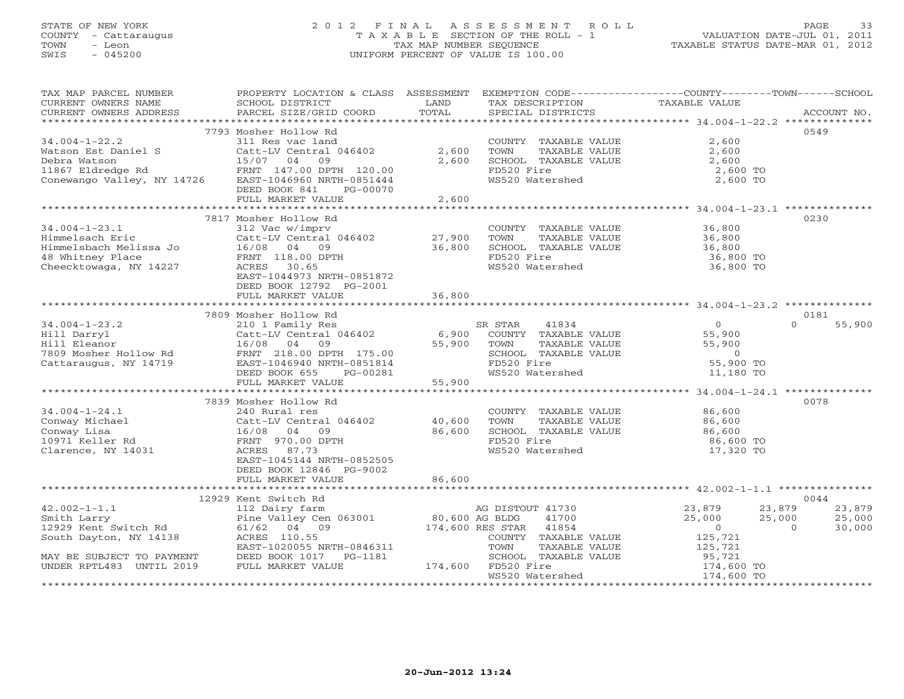# STATE OF NEW YORK 2 0 1 2 F I N A L A S S E S S M E N T R O L L PAGE 33 COUNTY - Cattaraugus T A X A B L E SECTION OF THE ROLL - 1 VALUATION DATE-JUL 01, 2011 TOWN - Leon TAX MAP NUMBER SEQUENCE TAXABLE STATUS DATE-MAR 01, 2012 SWIS - 045200 UNIFORM PERCENT OF VALUE IS 100.00UNIFORM PERCENT OF VALUE IS 100.00

| TAX MAP PARCEL NUMBER<br>CURRENT OWNERS NAME                                                                                                                                                                                                                                                                                                                                                                                                                                                                           | PROPERTY LOCATION & CLASS ASSESSMENT<br>SCHOOL DISTRICT | LAND           | EXEMPTION CODE----------------COUNTY-------TOWN------SCHOOL<br>TAX DESCRIPTION | TAXABLE VALUE            |                                              |
|------------------------------------------------------------------------------------------------------------------------------------------------------------------------------------------------------------------------------------------------------------------------------------------------------------------------------------------------------------------------------------------------------------------------------------------------------------------------------------------------------------------------|---------------------------------------------------------|----------------|--------------------------------------------------------------------------------|--------------------------|----------------------------------------------|
| $\begin{minipage}{.45\textwidth} \begin{minipage}{.45\textwidth} \begin{minipage}{.45\textwidth} \begin{minipage}{.45\textwidth} \begin{minipage}{.45\textwidth} \begin{minipage}{.45\textwidth} \begin{minipage}{.45\textwidth} \begin{minipage}{.45\textwidth} \begin{minipage}{.45\textwidth} \begin{minipage}{.45\textwidth} \begin{minipage}{.45\textwidth} \begin{minipage}{.45\textwidth} \begin{minipage}{.45\textwidth} \begin{minipage}{.45\textwidth} \begin{minipage}{.45\textwidth} \begin{minipage}{.45$ |                                                         |                |                                                                                |                          |                                              |
|                                                                                                                                                                                                                                                                                                                                                                                                                                                                                                                        | 7793 Mosher Hollow Rd                                   |                |                                                                                |                          | 0549                                         |
| $34.004 - 1 - 22.2$                                                                                                                                                                                                                                                                                                                                                                                                                                                                                                    | 311 Res vac land                                        |                | COUNTY TAXABLE VALUE                                                           | 2,600                    |                                              |
| Watson Est Daniel S                                                                                                                                                                                                                                                                                                                                                                                                                                                                                                    | 311 Res vac land<br>Catt-LV Central 046402              | 2,600          | TOWN                                                                           | 2,600                    |                                              |
| Debra Watson                                                                                                                                                                                                                                                                                                                                                                                                                                                                                                           | 15/07 04<br>09                                          | 2,600          | TAXABLE VALUE<br>SCHOOL TAXABLE VALUE                                          | 2,600                    |                                              |
|                                                                                                                                                                                                                                                                                                                                                                                                                                                                                                                        |                                                         |                | FD520 Fire                                                                     | 2,600 TO                 |                                              |
|                                                                                                                                                                                                                                                                                                                                                                                                                                                                                                                        |                                                         |                | WS520 Watershed                                                                | 2,600 TO                 |                                              |
|                                                                                                                                                                                                                                                                                                                                                                                                                                                                                                                        | DEED BOOK 841<br>PG-00070                               |                |                                                                                |                          |                                              |
|                                                                                                                                                                                                                                                                                                                                                                                                                                                                                                                        | FULL MARKET VALUE                                       | 2,600          |                                                                                |                          |                                              |
|                                                                                                                                                                                                                                                                                                                                                                                                                                                                                                                        |                                                         |                |                                                                                |                          |                                              |
|                                                                                                                                                                                                                                                                                                                                                                                                                                                                                                                        | 7817 Mosher Hollow Rd                                   |                |                                                                                |                          | 0230                                         |
| $34.004 - 1 - 23.1$                                                                                                                                                                                                                                                                                                                                                                                                                                                                                                    | 312 Vac w/imprv                                         |                | COUNTY TAXABLE VALUE                                                           | 36,800                   |                                              |
| Himmelsach Eric                                                                                                                                                                                                                                                                                                                                                                                                                                                                                                        | Catt-LV Central 046402                                  | 27,900         | TOWN<br>TAXABLE VALUE                                                          | 36,800                   |                                              |
| Himmelsbach Melissa Jo $16/08$ 04 09                                                                                                                                                                                                                                                                                                                                                                                                                                                                                   |                                                         | 36,800         | SCHOOL TAXABLE VALUE                                                           | 36,800                   |                                              |
|                                                                                                                                                                                                                                                                                                                                                                                                                                                                                                                        | FRNT 118.00 DPTH                                        |                | FD520 Fire                                                                     | 36,800 TO                |                                              |
|                                                                                                                                                                                                                                                                                                                                                                                                                                                                                                                        | ACRES 30.65                                             |                | WS520 Watershed                                                                | 36,800 TO                |                                              |
| Cheecktowaga, NY 14227                                                                                                                                                                                                                                                                                                                                                                                                                                                                                                 | EAST-1044973 NRTH-0851872                               |                |                                                                                |                          |                                              |
|                                                                                                                                                                                                                                                                                                                                                                                                                                                                                                                        | DEED BOOK 12792 PG-2001                                 |                |                                                                                |                          |                                              |
|                                                                                                                                                                                                                                                                                                                                                                                                                                                                                                                        | FULL MARKET VALUE                                       | 36,800         |                                                                                |                          |                                              |
|                                                                                                                                                                                                                                                                                                                                                                                                                                                                                                                        |                                                         |                |                                                                                |                          |                                              |
|                                                                                                                                                                                                                                                                                                                                                                                                                                                                                                                        | 7809 Mosher Hollow Rd                                   |                |                                                                                |                          | 0181                                         |
| $34.004 - 1 - 23.2$                                                                                                                                                                                                                                                                                                                                                                                                                                                                                                    | 210 1 Family Res                                        |                | SR STAR<br>41834                                                               | $\overline{0}$           | $\Omega$<br>55,900                           |
| Hill Darryl                                                                                                                                                                                                                                                                                                                                                                                                                                                                                                            | Catt-LV Central 046402                                  | 6,900          | COUNTY TAXABLE VALUE                                                           | 55,900                   |                                              |
| Hill Eleanor                                                                                                                                                                                                                                                                                                                                                                                                                                                                                                           | 16/08 04 09                                             | 55,900         | TOWN<br>TAXABLE VALUE                                                          | 55,900                   |                                              |
| 7809 Mosher Hollow Rd<br>Cattaraugus, NY 14719                                                                                                                                                                                                                                                                                                                                                                                                                                                                         | FRNT 218.00 DPTH 175.00                                 |                | SCHOOL TAXABLE VALUE                                                           | $\overline{0}$           |                                              |
|                                                                                                                                                                                                                                                                                                                                                                                                                                                                                                                        | EAST-1046940 NRTH-0851814                               |                | FD520 Fire                                                                     | 55,900 TO                |                                              |
|                                                                                                                                                                                                                                                                                                                                                                                                                                                                                                                        | DEED BOOK 655<br>PG-00281                               |                | WS520 Watershed                                                                | 11,180 TO                |                                              |
|                                                                                                                                                                                                                                                                                                                                                                                                                                                                                                                        | FULL MARKET VALUE                                       | 55,900         |                                                                                |                          |                                              |
|                                                                                                                                                                                                                                                                                                                                                                                                                                                                                                                        |                                                         |                |                                                                                |                          |                                              |
|                                                                                                                                                                                                                                                                                                                                                                                                                                                                                                                        | 7839 Mosher Hollow Rd                                   |                |                                                                                |                          | 0078                                         |
| $34.004 - 1 - 24.1$                                                                                                                                                                                                                                                                                                                                                                                                                                                                                                    | 240 Rural res                                           |                | COUNTY TAXABLE VALUE                                                           | 86,600                   |                                              |
| Conway Michael                                                                                                                                                                                                                                                                                                                                                                                                                                                                                                         | Catt-LV Central 046402                                  | 40,600         | TOWN<br>TAXABLE VALUE                                                          | 86,600<br>86,600         |                                              |
| Conway Lisa                                                                                                                                                                                                                                                                                                                                                                                                                                                                                                            | 16/08 04 09                                             | 86,600         | SCHOOL TAXABLE VALUE                                                           |                          |                                              |
| 10971 Keller Rd                                                                                                                                                                                                                                                                                                                                                                                                                                                                                                        | FRNT 970.00 DPTH                                        |                | FD520 Fire                                                                     | 86,600 TO                |                                              |
| Clarence, NY 14031                                                                                                                                                                                                                                                                                                                                                                                                                                                                                                     | ACRES 87.73                                             |                | WS520 Watershed                                                                | 17,320 TO                |                                              |
|                                                                                                                                                                                                                                                                                                                                                                                                                                                                                                                        | EAST-1045144 NRTH-0852505                               |                |                                                                                |                          |                                              |
|                                                                                                                                                                                                                                                                                                                                                                                                                                                                                                                        | DEED BOOK 12846 PG-9002                                 |                |                                                                                |                          |                                              |
|                                                                                                                                                                                                                                                                                                                                                                                                                                                                                                                        | FULL MARKET VALUE                                       | 86,600         |                                                                                |                          |                                              |
|                                                                                                                                                                                                                                                                                                                                                                                                                                                                                                                        |                                                         |                |                                                                                |                          |                                              |
|                                                                                                                                                                                                                                                                                                                                                                                                                                                                                                                        | 12929 Kent Switch Rd                                    |                |                                                                                |                          | 0044                                         |
| $42.002 - 1 - 1.1$                                                                                                                                                                                                                                                                                                                                                                                                                                                                                                     | 112 Dairy farm                                          |                | AG DISTOUT 41730                                                               | 23,879                   | 23,879<br>23,879                             |
| Smith Larry                                                                                                                                                                                                                                                                                                                                                                                                                                                                                                            | Pine Valley Cen 063001<br>61/62 04 09                   | 80,600 AG BLDG | 41700<br>174,600 RES STAR 41854                                                | 25,000<br>$\overline{0}$ | 25,000<br>25,000<br>30,000<br>$\overline{0}$ |
| 12929 Kent Switch Rd<br>South Dayton, NY 14138                                                                                                                                                                                                                                                                                                                                                                                                                                                                         | ACRES 110.55                                            |                | COUNTY TAXABLE VALUE                                                           | 125,721                  |                                              |
|                                                                                                                                                                                                                                                                                                                                                                                                                                                                                                                        | EAST-1020055 NRTH-0846311                               |                | TOWN<br>TAXABLE VALUE                                                          | 125,721                  |                                              |
| MAY BE SUBJECT TO PAYMENT                                                                                                                                                                                                                                                                                                                                                                                                                                                                                              | DEED BOOK 1017<br>PG-1181                               |                | SCHOOL TAXABLE VALUE                                                           | 95,721                   |                                              |
| UNDER RPTL483 UNTIL 2019                                                                                                                                                                                                                                                                                                                                                                                                                                                                                               | FULL MARKET VALUE                                       |                | 174,600 FD520 Fire                                                             | 174,600 TO               |                                              |
|                                                                                                                                                                                                                                                                                                                                                                                                                                                                                                                        |                                                         |                | WS520 Watershed                                                                | 174,600 TO               |                                              |
|                                                                                                                                                                                                                                                                                                                                                                                                                                                                                                                        |                                                         |                |                                                                                |                          |                                              |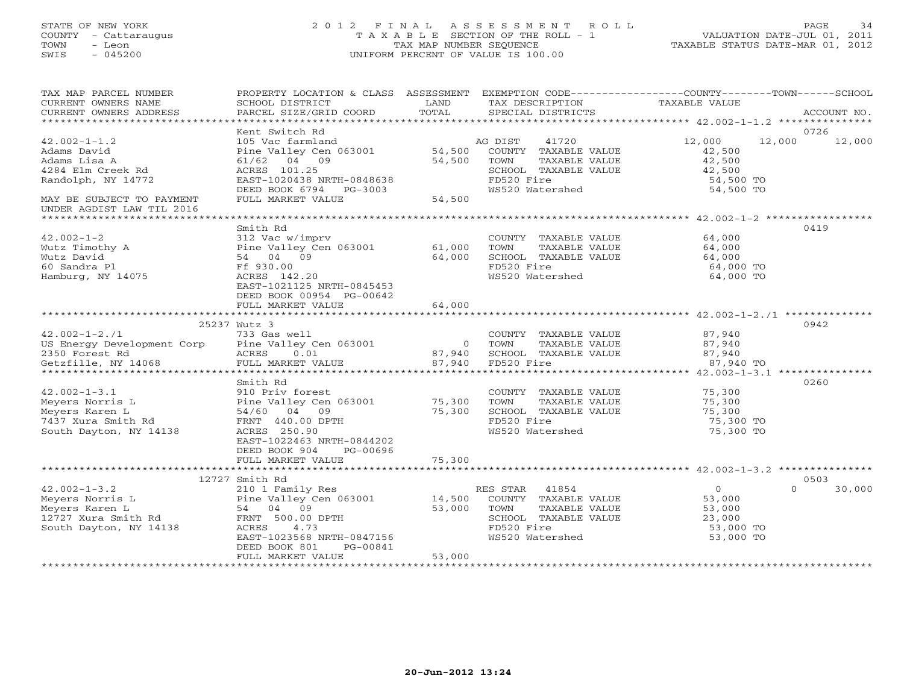# STATE OF NEW YORK 2 0 1 2 F I N A L A S S E S S M E N T R O L L PAGE 34 COUNTY - Cattaraugus T A X A B L E SECTION OF THE ROLL - 1 VALUATION DATE-JUL 01, 2011 TOWN - Leon TAX MAP NUMBER SEQUENCE TAXABLE STATUS DATE-MAR 01, 2012 SWIS - 045200 UNIFORM PERCENT OF VALUE IS 100.00UNIFORM PERCENT OF VALUE IS 100.00

| TAX MAP PARCEL NUMBER<br>CURRENT OWNERS NAME<br>CURRENT OWNERS ADDRESS                                                                                 | PROPERTY LOCATION & CLASS ASSESSMENT<br>SCHOOL DISTRICT<br>PARCEL SIZE/GRID COORD                                                                                                            | LAND<br>TOTAL                      | TAX DESCRIPTION<br>SPECIAL DISTRICTS                                                                                       | EXEMPTION CODE-----------------COUNTY-------TOWN------SCHOOL<br>TAXABLE VALUE      | ACCOUNT NO.    |
|--------------------------------------------------------------------------------------------------------------------------------------------------------|----------------------------------------------------------------------------------------------------------------------------------------------------------------------------------------------|------------------------------------|----------------------------------------------------------------------------------------------------------------------------|------------------------------------------------------------------------------------|----------------|
|                                                                                                                                                        |                                                                                                                                                                                              |                                    |                                                                                                                            |                                                                                    |                |
| $42.002 - 1 - 1.2$<br>Adams David<br>Adams Lisa A<br>4284 Elm Creek Rd<br>Randolph, NY 14772<br>MAY BE SUBJECT TO PAYMENT<br>UNDER AGDIST LAW TIL 2016 | Kent Switch Rd<br>105 Vac farmland<br>Pine Valley Cen 063001<br>04 09<br>61/62<br>ACRES 101.25<br>EAST-1020438 NRTH-0848638<br>DEED BOOK 6794 PG-3003<br>FULL MARKET VALUE                   | 54,500<br>54,500<br>54,500         | AG DIST<br>41720<br>COUNTY TAXABLE VALUE<br>TOWN<br>TAXABLE VALUE<br>SCHOOL TAXABLE VALUE<br>FD520 Fire<br>WS520 Watershed | 12,000<br>12,000<br>42,500<br>42,500<br>42,500<br>54,500 TO<br>54,500 TO           | 0726<br>12,000 |
|                                                                                                                                                        | Smith Rd                                                                                                                                                                                     |                                    |                                                                                                                            |                                                                                    | 0419           |
| $42.002 - 1 - 2$<br>Wutz Timothy A<br>Wutz David<br>60 Sandra Pl<br>Hamburg, NY 14075                                                                  | 312 Vac w/imprv<br>Pine Valley Cen 063001<br>54 04 09<br>Ff 930.00<br>ACRES 142.20<br>EAST-1021125 NRTH-0845453<br>DEED BOOK 00954 PG-00642                                                  | 61,000<br>64,000                   | COUNTY TAXABLE VALUE<br>TOWN<br>TAXABLE VALUE<br>SCHOOL TAXABLE VALUE<br>FD520 Fire<br>WS520 Watershed                     | 64,000<br>64,000<br>64,000<br>64,000 TO<br>64,000 TO                               |                |
|                                                                                                                                                        | FULL MARKET VALUE                                                                                                                                                                            | 64,000                             |                                                                                                                            |                                                                                    |                |
|                                                                                                                                                        |                                                                                                                                                                                              |                                    |                                                                                                                            |                                                                                    |                |
| $42.002 - 1 - 2.71$<br>US Energy Development Corp Pine Valley Cen 063001<br>2350 Forest Rd<br>Getzfille, NY 14068                                      | 25237 Wutz 3<br>733 Gas well<br>ACRES<br>0.01<br>FULL MARKET VALUE                                                                                                                           | $\overline{0}$<br>87,940<br>87,940 | COUNTY TAXABLE VALUE<br>TOWN<br>TAXABLE VALUE<br>SCHOOL TAXABLE VALUE<br>FD520 Fire                                        | 87,940<br>87,940<br>87,940<br>87,940 TO                                            | 0942           |
|                                                                                                                                                        |                                                                                                                                                                                              |                                    |                                                                                                                            |                                                                                    |                |
| $42.002 - 1 - 3.1$<br>Meyers Norris L<br>Meyers Karen L<br>7437 Xura Smith Rd<br>South Dayton, NY 14138                                                | Smith Rd<br>910 Priv forest<br>Pine Valley Cen 063001<br>54/60 04 09<br>FRNT 440.00 DPTH<br>ACRES 250.90<br>EAST-1022463 NRTH-0844202<br>DEED BOOK 904<br>PG-00696                           | 75,300<br>75,300                   | COUNTY TAXABLE VALUE<br>TOWN<br>TAXABLE VALUE<br>SCHOOL TAXABLE VALUE<br>FD520 Fire<br>WS520 Watershed                     | 75,300<br>75,300<br>75,300<br>75,300 TO<br>75,300 TO                               | 0260           |
|                                                                                                                                                        | FULL MARKET VALUE                                                                                                                                                                            | 75,300                             |                                                                                                                            |                                                                                    |                |
|                                                                                                                                                        |                                                                                                                                                                                              |                                    |                                                                                                                            |                                                                                    |                |
| $42.002 - 1 - 3.2$<br>Meyers Norris L<br>Meyers Karen L<br>12727 Xura Smith Rd<br>South Dayton, NY 14138                                               | 12727 Smith Rd<br>210 1 Family Res<br>Pine Valley Cen 063001<br>54 04 09<br>FRNT 500.00 DPTH<br>4.73<br>ACRES<br>EAST-1023568 NRTH-0847156<br>DEED BOOK 801<br>PG-00841<br>FULL MARKET VALUE | 14,500<br>53,000<br>53,000         | RES STAR 41854<br>COUNTY TAXABLE VALUE<br>TOWN<br>TAXABLE VALUE<br>SCHOOL TAXABLE VALUE<br>FD520 Fire<br>WS520 Watershed   | $\overline{0}$<br>$\Omega$<br>53,000<br>53,000<br>23,000<br>53,000 TO<br>53,000 TO | 0503<br>30,000 |
|                                                                                                                                                        |                                                                                                                                                                                              |                                    |                                                                                                                            |                                                                                    |                |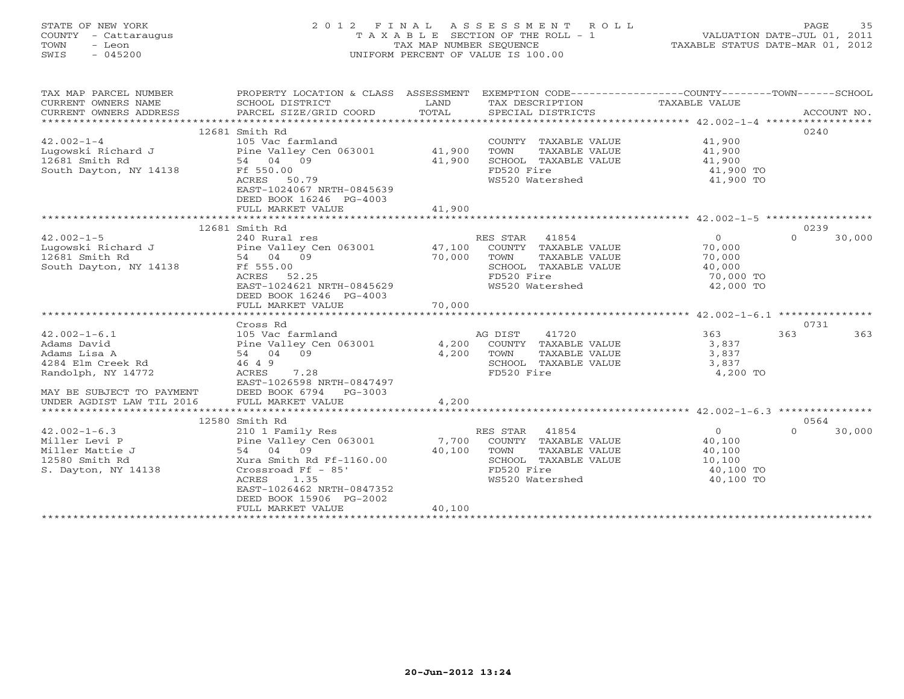# STATE OF NEW YORK 2 0 1 2 F I N A L A S S E S S M E N T R O L L PAGE 35 COUNTY - Cattaraugus T A X A B L E SECTION OF THE ROLL - 1 VALUATION DATE-JUL 01, 2011 TOWN - Leon TAX MAP NUMBER SEQUENCE TAXABLE STATUS DATE-MAR 01, 2012 SWIS - 045200 UNIFORM PERCENT OF VALUE IS 100.00UNIFORM PERCENT OF VALUE IS 100.00

| TAX MAP PARCEL NUMBER<br>CURRENT OWNERS NAME           | PROPERTY LOCATION & CLASS ASSESSMENT EXEMPTION CODE---------------COUNTY-------TOWN------SCHOOL<br>SCHOOL DISTRICT | LAND   | TAX DESCRIPTION                               | TAXABLE VALUE       |                    |
|--------------------------------------------------------|--------------------------------------------------------------------------------------------------------------------|--------|-----------------------------------------------|---------------------|--------------------|
| CURRENT OWNERS ADDRESS                                 | PARCEL SIZE/GRID COORD                                                                                             | TOTAL  | SPECIAL DISTRICTS                             |                     | ACCOUNT NO.        |
|                                                        |                                                                                                                    |        |                                               |                     |                    |
|                                                        | 12681 Smith Rd                                                                                                     |        |                                               |                     | 0240               |
| $42.002 - 1 - 4$                                       | 105 Vac farmland<br>Pine Valley Cen 063001 41,900                                                                  |        | COUNTY TAXABLE VALUE                          | 41,900              |                    |
| Lugowski Richard J<br>12681 Smith Rd                   | 54 04 09                                                                                                           | 41,900 | TOWN<br>TAXABLE VALUE<br>SCHOOL TAXABLE VALUE | 41,900              |                    |
| South Dayton, NY 14138                                 | Ff 550.00                                                                                                          |        | FD520 Fire                                    | 41,900<br>41,900 TO |                    |
|                                                        | ACRES 50.79                                                                                                        |        | WS520 Watershed                               | 41,900 TO           |                    |
|                                                        | EAST-1024067 NRTH-0845639                                                                                          |        |                                               |                     |                    |
|                                                        | DEED BOOK 16246 PG-4003                                                                                            |        |                                               |                     |                    |
|                                                        | FULL MARKET VALUE                                                                                                  | 41,900 |                                               |                     |                    |
|                                                        |                                                                                                                    |        |                                               |                     |                    |
|                                                        | 12681 Smith Rd                                                                                                     |        |                                               |                     | 0239               |
| $42.002 - 1 - 5$                                       | 240 Rural res                                                                                                      |        | RES STAR 41854                                | $\overline{0}$      | 30,000<br>$\Omega$ |
| Lugowski Richard J                                     | Pine Valley Cen 063001                                                                                             | 47,100 | COUNTY TAXABLE VALUE                          | 70,000              |                    |
| 12681 Smith Rd                                         | 54 04 09                                                                                                           | 70,000 | TAXABLE VALUE<br>TOWN                         | 70,000              |                    |
| South Dayton, NY 14138                                 | Ff 555.00                                                                                                          |        | SCHOOL TAXABLE VALUE                          | 40,000              |                    |
|                                                        | ACRES 52.25                                                                                                        |        | FD520 Fire                                    | 70,000 TO           |                    |
|                                                        | EAST-1024621 NRTH-0845629                                                                                          |        | WS520 Watershed                               | 42,000 TO           |                    |
|                                                        | DEED BOOK 16246 PG-4003                                                                                            |        |                                               |                     |                    |
|                                                        | FULL MARKET VALUE                                                                                                  | 70,000 |                                               |                     |                    |
|                                                        |                                                                                                                    |        |                                               |                     |                    |
|                                                        | Cross Rd                                                                                                           |        |                                               |                     | 0731               |
| $42.002 - 1 - 6.1$                                     | 105 Vac farmland                                                                                                   |        | 41720<br>AG DIST                              | 363                 | 363<br>363         |
| Adams David                                            | Pine Valley Cen 063001                                                                                             |        | 4,200 COUNTY TAXABLE VALUE                    | 3,837               |                    |
| Adams Lisa A                                           | 54 04 09                                                                                                           | 4,200  | TOWN<br>TAXABLE VALUE                         | 3,837               |                    |
| 4284 Elm Creek Rd                                      | 46 4 9                                                                                                             |        | SCHOOL TAXABLE VALUE                          | 3,837               |                    |
| Randolph, NY 14772                                     | ACRES<br>7.28                                                                                                      |        | FD520 Fire                                    | 4,200 TO            |                    |
|                                                        | EAST-1026598 NRTH-0847497<br>DEED BOOK 6794 PG-3003                                                                |        |                                               |                     |                    |
| MAY BE SUBJECT TO PAYMENT<br>UNDER AGDIST LAW TIL 2016 | FULL MARKET VALUE                                                                                                  | 4,200  |                                               |                     |                    |
|                                                        |                                                                                                                    |        |                                               |                     |                    |
|                                                        | 12580 Smith Rd                                                                                                     |        |                                               |                     | 0564               |
| $42.002 - 1 - 6.3$                                     | 210 1 Family Res                                                                                                   |        | RES STAR 41854                                | $\overline{0}$      | $\Omega$<br>30,000 |
| Miller Levi P                                          | Pine Valley Cen 063001 7,700                                                                                       |        | COUNTY TAXABLE VALUE                          | 40,100              |                    |
| Miller Mattie J                                        | 54 04 09                                                                                                           | 40,100 | TOWN<br>TAXABLE VALUE                         | 40,100              |                    |
| 12580 Smith Rd                                         | Xura Smith Rd Ff-1160.00                                                                                           |        | SCHOOL TAXABLE VALUE                          | 10,100              |                    |
| S. Dayton, NY 14138                                    | Crossroad Ff - 85'                                                                                                 |        | FD520 Fire                                    | 40,100 TO           |                    |
|                                                        | ACRES<br>1.35                                                                                                      |        | WS520 Watershed                               | 40,100 TO           |                    |
|                                                        | EAST-1026462 NRTH-0847352                                                                                          |        |                                               |                     |                    |
|                                                        | DEED BOOK 15906 PG-2002                                                                                            |        |                                               |                     |                    |
|                                                        | FULL MARKET VALUE                                                                                                  | 40,100 |                                               |                     |                    |
|                                                        |                                                                                                                    |        |                                               |                     |                    |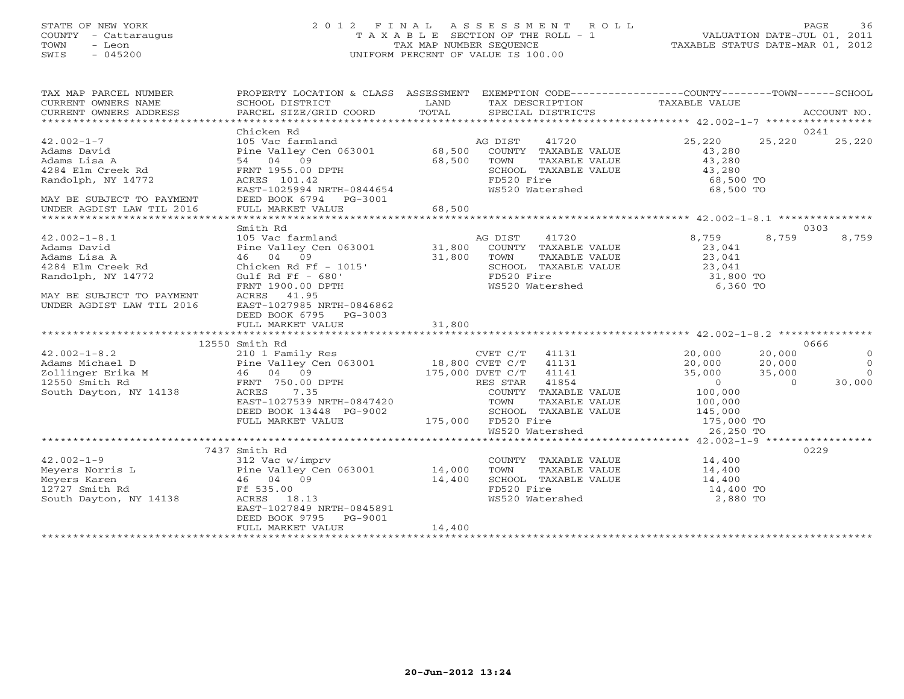# STATE OF NEW YORK 2 0 1 2 F I N A L A S S E S S M E N T R O L L PAGE 36 COUNTY - Cattaraugus T A X A B L E SECTION OF THE ROLL - 1 VALUATION DATE-JUL 01, 2011 TOWN - Leon TAX MAP NUMBER SEQUENCE TAXABLE STATUS DATE-MAR 01, 2012 SWIS - 045200 UNIFORM PERCENT OF VALUE IS 100.00UNIFORM PERCENT OF VALUE IS 100.00

| TAX MAP PARCEL NUMBER<br>CURRENT OWNERS NAME<br>CURRENT OWNERS ADDRESS                                                                                                                                                         | PROPERTY LOCATION & CLASS ASSESSMENT<br>SCHOOL DISTRICT<br>PARCEL SIZE/GRID COORD | LAND<br>TOTAL | TAX DESCRIPTION TAXABLE VALUE<br>SPECIAL DISTRICTS | EXEMPTION CODE-----------------COUNTY-------TOWN------SCHOOL | ACCOUNT NO. |
|--------------------------------------------------------------------------------------------------------------------------------------------------------------------------------------------------------------------------------|-----------------------------------------------------------------------------------|---------------|----------------------------------------------------|--------------------------------------------------------------|-------------|
|                                                                                                                                                                                                                                |                                                                                   |               |                                                    |                                                              |             |
|                                                                                                                                                                                                                                | Chicken Rd                                                                        |               |                                                    |                                                              | 0241        |
| $42.002 - 1 - 7$                                                                                                                                                                                                               | 105 Vac farmland                                                                  |               | 41720<br>AG DIST                                   | 25,220<br>25,220                                             | 25,220      |
| Adams David                                                                                                                                                                                                                    | Pine Valley Cen 063001 68,500                                                     |               | COUNTY TAXABLE VALUE                               | 43,280                                                       |             |
| Adams Lisa A                                                                                                                                                                                                                   | 54 04 09                                                                          | 68,500        | TOWN<br>TAXABLE VALUE                              | 43,280                                                       |             |
| 4284 Elm Creek Rd                                                                                                                                                                                                              | FRNT 1955.00 DPTH                                                                 |               | SCHOOL TAXABLE VALUE                               | 43,280                                                       |             |
| Randolph, NY 14772                                                                                                                                                                                                             | ACRES 101.42                                                                      |               | FD520 Fire                                         | 68,500 TO                                                    |             |
|                                                                                                                                                                                                                                | EAST-1025994 NRTH-0844654                                                         |               | WS520 Watershed                                    | 68,500 TO                                                    |             |
| MAY BE SUBJECT TO PAYMENT                                                                                                                                                                                                      | DEED BOOK 6794 PG-3001                                                            |               |                                                    |                                                              |             |
| UNDER AGDIST LAW TIL 2016                                                                                                                                                                                                      | FULL MARKET VALUE                                                                 | 68,500        |                                                    |                                                              |             |
|                                                                                                                                                                                                                                |                                                                                   |               |                                                    |                                                              |             |
|                                                                                                                                                                                                                                | Smith Rd                                                                          |               |                                                    |                                                              | 0303        |
| $42.002 - 1 - 8.1$                                                                                                                                                                                                             | 105 Vac farmland                                                                  |               | AG DIST<br>41720                                   | 8,759<br>8,759                                               | 8,759       |
| Adams David                                                                                                                                                                                                                    | Pine Valley Cen 063001 31,800<br>46 04 09 31,800                                  |               | COUNTY TAXABLE VALUE                               | 23,041                                                       |             |
| Adams Lisa A                                                                                                                                                                                                                   |                                                                                   |               | TOWN<br>TAXABLE VALUE                              | 23,041                                                       |             |
| 4284 Elm Creek Rd                                                                                                                                                                                                              | Chicken Rd Ff - 1015'                                                             |               | SCHOOL TAXABLE VALUE                               | 23,041                                                       |             |
| Randolph, NY 14772                                                                                                                                                                                                             | Gulf Rd Ff $-680'$                                                                |               | FD520 Fire                                         | 31,800 TO                                                    |             |
|                                                                                                                                                                                                                                | FRNT 1900.00 DPTH                                                                 |               | WS520 Watershed                                    | 6,360 TO                                                     |             |
| MAY BE SUBJECT TO PAYMENT                                                                                                                                                                                                      | ACRES 41.95                                                                       |               |                                                    |                                                              |             |
| UNDER AGDIST LAW TIL 2016                                                                                                                                                                                                      | EAST-1027985 NRTH-0846862                                                         |               |                                                    |                                                              |             |
|                                                                                                                                                                                                                                | DEED BOOK 6795 PG-3003                                                            |               |                                                    |                                                              |             |
|                                                                                                                                                                                                                                | FULL MARKET VALUE                                                                 | 31,800        |                                                    |                                                              |             |
|                                                                                                                                                                                                                                |                                                                                   |               |                                                    |                                                              |             |
| A CHE CONTINUES AND THE SURFALL OF SALES UP ON THE VALLEY OF SALES AND SOUTH NATURE OF SALES SURFACE SURFACE SOUTH A SALES AND SOUTH A SALES AND SALES A SALES AND SALES AND SALES AND SALES AND SALES AND SALES AND SALES AND | 12550 Smith Rd                                                                    |               |                                                    |                                                              | 0666        |
|                                                                                                                                                                                                                                | 210 1 Family Res                                                                  |               | CVET C/T 41131                                     | 20,000<br>20,000                                             | $\circ$     |
|                                                                                                                                                                                                                                | Pine Valley Cen 063001 18,800 CVET C/T<br>46 04 09 175,000 DVET C/T               |               | 41131                                              | 20,000<br>20,000                                             | $\Omega$    |
|                                                                                                                                                                                                                                |                                                                                   |               | 41141                                              | 35,000<br>35,000                                             | $\Omega$    |
|                                                                                                                                                                                                                                | FRNT 750.00 DPTH                                                                  |               | 41854<br>RES STAR                                  | $\sim$ 0<br>$\Omega$                                         | 30,000      |
|                                                                                                                                                                                                                                |                                                                                   |               | COUNTY TAXABLE VALUE                               | 100,000                                                      |             |
|                                                                                                                                                                                                                                | EAST-1027539 NRTH-0847420                                                         |               | TOWN<br>TAXABLE VALUE                              | 100,000                                                      |             |
|                                                                                                                                                                                                                                | DEED BOOK 13448 PG-9002                                                           |               | SCHOOL TAXABLE VALUE                               | 145,000<br>175,000 TO                                        |             |
|                                                                                                                                                                                                                                | FULL MARKET VALUE                                                                 |               | 175,000 FD520 Fire                                 |                                                              |             |
|                                                                                                                                                                                                                                |                                                                                   |               | WS520 Watershed                                    | 26,250 TO                                                    |             |
|                                                                                                                                                                                                                                |                                                                                   |               |                                                    |                                                              |             |
|                                                                                                                                                                                                                                | 7437 Smith Rd                                                                     |               |                                                    |                                                              | 0229        |
| $42.002 - 1 - 9$                                                                                                                                                                                                               | 312 Vac w/imprv                                                                   |               | COUNTY TAXABLE VALUE                               | 14,400                                                       |             |
| 42.002-1-2<br>Meyers Norris L<br>Meyers Karen 14,400<br>14,400<br>1727 Smith Rd Ff 535.00<br>Ff 535.00                                                                                                                         |                                                                                   |               | TOWN<br>TAXABLE VALUE                              | 14,400                                                       |             |
|                                                                                                                                                                                                                                |                                                                                   |               | SCHOOL TAXABLE VALUE                               | 14,400                                                       |             |
|                                                                                                                                                                                                                                |                                                                                   |               | FD520 Fire                                         | 14,400 TO                                                    |             |
| South Dayton, NY 14138                                                                                                                                                                                                         | ACRES 18.13                                                                       |               | WS520 Watershed                                    | 2,880 TO                                                     |             |
|                                                                                                                                                                                                                                | EAST-1027849 NRTH-0845891                                                         |               |                                                    |                                                              |             |
|                                                                                                                                                                                                                                | DEED BOOK 9795<br>PG-9001                                                         |               |                                                    |                                                              |             |
|                                                                                                                                                                                                                                | FULL MARKET VALUE                                                                 | 14,400        |                                                    |                                                              |             |
|                                                                                                                                                                                                                                |                                                                                   |               |                                                    |                                                              |             |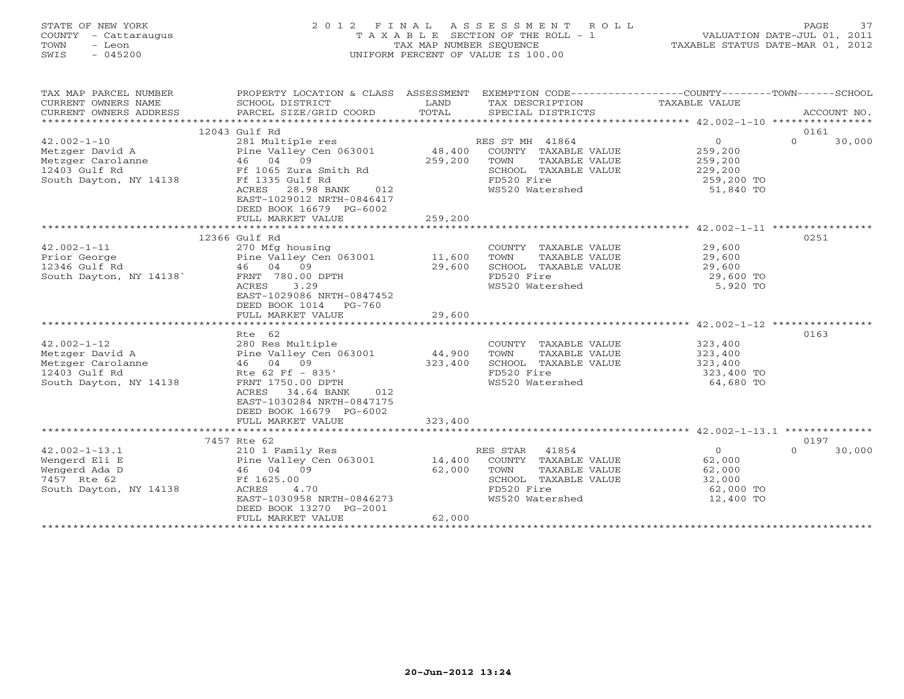# STATE OF NEW YORK 2 0 1 2 F I N A L A S S E S S M E N T R O L L PAGE 37 COUNTY - Cattaraugus T A X A B L E SECTION OF THE ROLL - 1 VALUATION DATE-JUL 01, 2011 TOWN - Leon TAX MAP NUMBER SEQUENCE TAXABLE STATUS DATE-MAR 01, 2012 SWIS - 045200 UNIFORM PERCENT OF VALUE IS 100.00UNIFORM PERCENT OF VALUE IS 100.00

| TAX MAP PARCEL NUMBER<br>$\begin{tabular}{lllllll} \multicolumn{2}{c}{\textbf{CURRENT}} & \multicolumn{2}{c}{\textbf{WMERS}} & \multicolumn{2}{c}{\textbf{NAME}} & \multicolumn{2}{c}{\textbf{SCHOOL}} & \multicolumn{2}{c}{\textbf{LAND}} & \multicolumn{2}{c}{\textbf{TAX} \textbf{DESCRIPTION}} & \multicolumn{2}{c}{\textbf{TAXABLE} \textbf{ VALUE}} & \multicolumn{2}{c}{\textbf{ACCOUNT NO.}} \\ & & & & & & & \\ \multicolumn{2}{c}{\textbf{CURRENT}} & \multicolumn{2}{c}{\textbf{WURERS} \textbf{$ | PROPERTY LOCATION & CLASS ASSESSMENT EXEMPTION CODE----------------COUNTY-------TOWN------SCHOOL<br>PROPERTY LOCATIC<br>SCHOOL DISTRICT<br>SCHOOL DISTRICT |         |                                                                                                                                   |                |                    |
|--------------------------------------------------------------------------------------------------------------------------------------------------------------------------------------------------------------------------------------------------------------------------------------------------------------------------------------------------------------------------------------------------------------------------------------------------------------------------------------------------------------|------------------------------------------------------------------------------------------------------------------------------------------------------------|---------|-----------------------------------------------------------------------------------------------------------------------------------|----------------|--------------------|
|                                                                                                                                                                                                                                                                                                                                                                                                                                                                                                              |                                                                                                                                                            |         |                                                                                                                                   |                | 0161               |
|                                                                                                                                                                                                                                                                                                                                                                                                                                                                                                              |                                                                                                                                                            |         |                                                                                                                                   |                | $\Omega$<br>30,000 |
|                                                                                                                                                                                                                                                                                                                                                                                                                                                                                                              |                                                                                                                                                            |         |                                                                                                                                   |                |                    |
|                                                                                                                                                                                                                                                                                                                                                                                                                                                                                                              |                                                                                                                                                            |         |                                                                                                                                   |                |                    |
|                                                                                                                                                                                                                                                                                                                                                                                                                                                                                                              |                                                                                                                                                            |         |                                                                                                                                   |                |                    |
|                                                                                                                                                                                                                                                                                                                                                                                                                                                                                                              |                                                                                                                                                            |         |                                                                                                                                   |                |                    |
|                                                                                                                                                                                                                                                                                                                                                                                                                                                                                                              |                                                                                                                                                            |         |                                                                                                                                   |                |                    |
|                                                                                                                                                                                                                                                                                                                                                                                                                                                                                                              | EAST-1029012 NRTH-0846417<br>DEED BOOK 16679 PG-6002<br>FULL MARKET VALUE                                                                                  | 259,200 |                                                                                                                                   |                |                    |
|                                                                                                                                                                                                                                                                                                                                                                                                                                                                                                              |                                                                                                                                                            |         |                                                                                                                                   |                |                    |
|                                                                                                                                                                                                                                                                                                                                                                                                                                                                                                              |                                                                                                                                                            |         |                                                                                                                                   |                | 0251               |
|                                                                                                                                                                                                                                                                                                                                                                                                                                                                                                              |                                                                                                                                                            |         | COUNTY TAXABLE VALUE<br>TOWN TAXABLE VALUE 29,600<br>SCHOOL TAXABLE VALUE 29,600<br>FD520 Fire 29,600<br>WS520 Watershed 5,920 TO |                |                    |
|                                                                                                                                                                                                                                                                                                                                                                                                                                                                                                              |                                                                                                                                                            |         |                                                                                                                                   |                |                    |
|                                                                                                                                                                                                                                                                                                                                                                                                                                                                                                              |                                                                                                                                                            |         |                                                                                                                                   |                |                    |
|                                                                                                                                                                                                                                                                                                                                                                                                                                                                                                              |                                                                                                                                                            |         |                                                                                                                                   |                |                    |
|                                                                                                                                                                                                                                                                                                                                                                                                                                                                                                              |                                                                                                                                                            |         |                                                                                                                                   |                |                    |
| 12366 Gulf Rd<br>42.002-1-11 12366 Gulf Rd<br>Prior George Pine Valley Cen 063001 11,600<br>12346 Gulf Rd 46 04 09 29,600<br>South Dayton, NY 14138<br>ACRES 3.29<br>TACRES 3.29<br>TACRES 3.29                                                                                                                                                                                                                                                                                                              | DEED BOOK 1014 PG-760                                                                                                                                      |         |                                                                                                                                   |                |                    |
|                                                                                                                                                                                                                                                                                                                                                                                                                                                                                                              |                                                                                                                                                            |         |                                                                                                                                   |                |                    |
|                                                                                                                                                                                                                                                                                                                                                                                                                                                                                                              |                                                                                                                                                            |         |                                                                                                                                   |                |                    |
|                                                                                                                                                                                                                                                                                                                                                                                                                                                                                                              | Rte 62                                                                                                                                                     |         |                                                                                                                                   |                | 0163               |
|                                                                                                                                                                                                                                                                                                                                                                                                                                                                                                              |                                                                                                                                                            |         |                                                                                                                                   |                |                    |
| 42.002-1-12<br>Metzger David A 280 Res Multiple<br>Metzger Carolanne 46 04 09 323,400<br>12403 Gulf Rd Rte 62 Ff - 835'                                                                                                                                                                                                                                                                                                                                                                                      |                                                                                                                                                            |         | COUNTY TAXABLE VALUE 323,400<br>TOWN TAXABLE VALUE 323,400<br>SCHOOL TAXABLE VALUE 323,400<br>FD520 Fire 323,400 TO<br>323,400 TO |                |                    |
|                                                                                                                                                                                                                                                                                                                                                                                                                                                                                                              |                                                                                                                                                            |         |                                                                                                                                   |                |                    |
|                                                                                                                                                                                                                                                                                                                                                                                                                                                                                                              | FRNT 1750.00 DPTH                                                                                                                                          |         | WS520 Watershed                                                                                                                   | $64,680$ TO    |                    |
| South Dayton, NY 14138                                                                                                                                                                                                                                                                                                                                                                                                                                                                                       | 012                                                                                                                                                        |         |                                                                                                                                   |                |                    |
|                                                                                                                                                                                                                                                                                                                                                                                                                                                                                                              | ACRES<br>34.64 BANK<br>EAST-1030284 NRTH-0847175                                                                                                           |         |                                                                                                                                   |                |                    |
|                                                                                                                                                                                                                                                                                                                                                                                                                                                                                                              | DEED BOOK 16679 PG-6002                                                                                                                                    |         |                                                                                                                                   |                |                    |
|                                                                                                                                                                                                                                                                                                                                                                                                                                                                                                              | FULL MARKET VALUE                                                                                                                                          | 323,400 |                                                                                                                                   |                |                    |
|                                                                                                                                                                                                                                                                                                                                                                                                                                                                                                              |                                                                                                                                                            |         |                                                                                                                                   |                |                    |
|                                                                                                                                                                                                                                                                                                                                                                                                                                                                                                              | 7457 Rte 62                                                                                                                                                |         |                                                                                                                                   |                | 0197               |
|                                                                                                                                                                                                                                                                                                                                                                                                                                                                                                              |                                                                                                                                                            |         | RES STAR 41854                                                                                                                    | $\overline{0}$ | $\Omega$<br>30,000 |
|                                                                                                                                                                                                                                                                                                                                                                                                                                                                                                              |                                                                                                                                                            |         | ES STAR 41854<br>COUNTY TAXABLE VALUE 62,000<br>TOWN TAXABLE VALUE 62,000                                                         |                |                    |
|                                                                                                                                                                                                                                                                                                                                                                                                                                                                                                              |                                                                                                                                                            |         |                                                                                                                                   |                |                    |
| $\begin{array}{lllllllllllll} \text{42.002--1--13.1} & \text{2101 Family Res} & \text{R} \ \text{Wengerd Eli E} & \text{Pine Valley Cen 063001} & \text{14,400} \ \text{Wengerd Ada D} & \text{46} & \text{04} & \text{09} & \text{62,000} \ \text{7457 Rte 62} & \text{Ff 1625.00} & \end{array}$                                                                                                                                                                                                           |                                                                                                                                                            |         | TOWN TAXABLE VALUE 62,000<br>SCHOOL TAXABLE VALUE 32,000<br>FD520 Fire 62,000 TO<br>WS520 Watershed 12,400 TO                     |                |                    |
| South Dayton, NY 14138                                                                                                                                                                                                                                                                                                                                                                                                                                                                                       |                                                                                                                                                            |         |                                                                                                                                   |                |                    |
|                                                                                                                                                                                                                                                                                                                                                                                                                                                                                                              | Ff 1625.00<br>ACRES 4.70<br>EAST-1030958 NRTH-0846273                                                                                                      |         |                                                                                                                                   |                |                    |
|                                                                                                                                                                                                                                                                                                                                                                                                                                                                                                              | DEED BOOK 13270 PG-2001                                                                                                                                    |         |                                                                                                                                   |                |                    |
|                                                                                                                                                                                                                                                                                                                                                                                                                                                                                                              | FULL MARKET VALUE                                                                                                                                          | 62,000  |                                                                                                                                   |                |                    |
|                                                                                                                                                                                                                                                                                                                                                                                                                                                                                                              |                                                                                                                                                            |         |                                                                                                                                   |                |                    |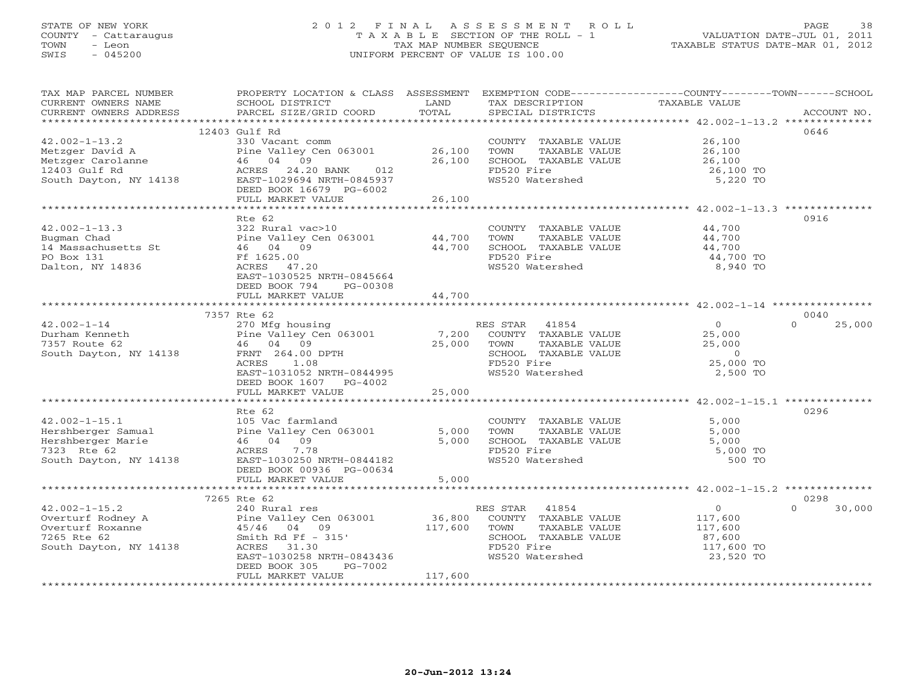# STATE OF NEW YORK 2 0 1 2 F I N A L A S S E S S M E N T R O L L PAGE 38 COUNTY - Cattaraugus T A X A B L E SECTION OF THE ROLL - 1 VALUATION DATE-JUL 01, 2011 TOWN - Leon TAX MAP NUMBER SEQUENCE TAXABLE STATUS DATE-MAR 01, 2012 SWIS - 045200 UNIFORM PERCENT OF VALUE IS 100.00UNIFORM PERCENT OF VALUE IS 100.00

| TAX MAP PARCEL NUMBER<br>CURRENT OWNERS NAME        | PROPERTY LOCATION & CLASS ASSESSMENT EXEMPTION CODE----------------COUNTY-------TOWN------SCHOOL<br>SCHOOL DISTRICT | LAND    | TAX DESCRIPTION       | TAXABLE VALUE                                                    |                    |
|-----------------------------------------------------|---------------------------------------------------------------------------------------------------------------------|---------|-----------------------|------------------------------------------------------------------|--------------------|
| CURRENT OWNERS ADDRESS                              | PARCEL SIZE/GRID COORD                                                                                              | TOTAL   | SPECIAL DISTRICTS     |                                                                  | ACCOUNT NO.        |
|                                                     |                                                                                                                     |         |                       |                                                                  |                    |
|                                                     | 12403 Gulf Rd                                                                                                       |         |                       |                                                                  | 0646               |
| $42.002 - 1 - 13.2$                                 | 330 Vacant comm                                                                                                     |         | COUNTY TAXABLE VALUE  | 26,100                                                           |                    |
| Metzger David A                                     | Pine Valley Cen 063001                                                                                              | 26,100  | TOWN<br>TAXABLE VALUE | 26,100                                                           |                    |
|                                                     | 46 04 09                                                                                                            | 26,100  | SCHOOL TAXABLE VALUE  | 26,100                                                           |                    |
| Metzger Carolanne<br>12403 Gulf Rd<br>12403 Gulf Rd | ACRES 24.20 BANK<br>012                                                                                             |         | FD520 Fire            | 26,100 TO                                                        |                    |
| South Dayton, NY 14138                              | EAST-1029694 NRTH-0845937                                                                                           |         | WS520 Watershed       | 5,220 TO                                                         |                    |
|                                                     | DEED BOOK 16679 PG-6002                                                                                             |         |                       |                                                                  |                    |
|                                                     | FULL MARKET VALUE                                                                                                   | 26,100  |                       |                                                                  |                    |
|                                                     |                                                                                                                     |         |                       | *********************************** 42.002-1-13.3 ************** |                    |
|                                                     | Rte 62                                                                                                              |         |                       |                                                                  | 0916               |
| $42.002 - 1 - 13.3$                                 | 322 Rural vac>10                                                                                                    |         | COUNTY TAXABLE VALUE  | 44,700                                                           |                    |
| Bugman Chad                                         | Pine Valley Cen 063001                                                                                              | 44,700  | TAXABLE VALUE<br>TOWN | 44,700                                                           |                    |
| 14 Massachusetts St                                 | 46 04 09                                                                                                            | 44,700  | SCHOOL TAXABLE VALUE  | 44,700                                                           |                    |
| PO Box 131                                          | Ff 1625.00                                                                                                          |         | FD520 Fire            | 44,700 TO                                                        |                    |
| Dalton, NY 14836                                    | ACRES 47.20                                                                                                         |         | WS520 Watershed       | 8,940 TO                                                         |                    |
|                                                     | EAST-1030525 NRTH-0845664                                                                                           |         |                       |                                                                  |                    |
|                                                     | DEED BOOK 794<br>PG-00308                                                                                           |         |                       |                                                                  |                    |
|                                                     | FULL MARKET VALUE                                                                                                   | 44,700  |                       |                                                                  |                    |
|                                                     |                                                                                                                     |         |                       |                                                                  |                    |
|                                                     | 7357 Rte 62                                                                                                         |         |                       |                                                                  | 0040               |
| $42.002 - 1 - 14$                                   | 270 Mfg housing                                                                                                     |         | RES STAR 41854        | $\Omega$                                                         | $\Omega$<br>25,000 |
| Durham Kenneth                                      | Pine Valley Cen 063001                                                                                              | 7,200   | COUNTY TAXABLE VALUE  | 25,000                                                           |                    |
| 7357 Route 62                                       | 46 04 09                                                                                                            | 25,000  | TOWN<br>TAXABLE VALUE | 25,000                                                           |                    |
| South Dayton, NY 14138                              | FRNT 264.00 DPTH                                                                                                    |         | SCHOOL TAXABLE VALUE  | $\overline{0}$                                                   |                    |
|                                                     | ACRES<br>1.08                                                                                                       |         | FD520 Fire            | 25,000 TO                                                        |                    |
|                                                     | EAST-1031052 NRTH-0844995                                                                                           |         | WS520 Watershed       | 2,500 TO                                                         |                    |
|                                                     | DEED BOOK 1607 PG-4002                                                                                              | 25,000  |                       |                                                                  |                    |
|                                                     | FULL MARKET VALUE                                                                                                   |         |                       |                                                                  |                    |
|                                                     | Rte 62                                                                                                              |         |                       |                                                                  | 0296               |
| $42.002 - 1 - 15.1$                                 | 105 Vac farmland                                                                                                    |         | COUNTY TAXABLE VALUE  | 5,000                                                            |                    |
| Hershberger Samual                                  | Pine Valley Cen 063001                                                                                              | 5,000   | TOWN<br>TAXABLE VALUE | 5,000                                                            |                    |
| Hershberger Marie                                   | 46 04 09                                                                                                            | 5,000   | SCHOOL TAXABLE VALUE  | 5,000                                                            |                    |
| 7323 Rte 62                                         | ACRES<br>7.78                                                                                                       |         | FD520 Fire            | 5,000 TO                                                         |                    |
| South Dayton, NY 14138                              | EAST-1030250 NRTH-0844182                                                                                           |         | WS520 Watershed       | 500 TO                                                           |                    |
|                                                     | DEED BOOK 00936 PG-00634                                                                                            |         |                       |                                                                  |                    |
|                                                     | FULL MARKET VALUE                                                                                                   | 5,000   |                       |                                                                  |                    |
|                                                     |                                                                                                                     |         |                       |                                                                  |                    |
|                                                     | 7265 Rte 62                                                                                                         |         |                       |                                                                  | 0298               |
| $42.002 - 1 - 15.2$                                 | 240 Rural res                                                                                                       |         | RES STAR 41854        | $\overline{O}$                                                   | $\Omega$<br>30,000 |
|                                                     |                                                                                                                     | 36,800  | COUNTY TAXABLE VALUE  | 117,600                                                          |                    |
| Overturf Roxanne                                    | 45/46 04 09                                                                                                         | 117,600 | TOWN<br>TAXABLE VALUE | 117,600                                                          |                    |
| 7265 Rte 62                                         | Smith Rd Ff $-315'$                                                                                                 |         | SCHOOL TAXABLE VALUE  | 87,600                                                           |                    |
| South Dayton, NY 14138                              | ACRES<br>31.30                                                                                                      |         | FD520 Fire            | 117,600 TO                                                       |                    |
|                                                     | EAST-1030258 NRTH-0843436                                                                                           |         | WS520 Watershed       | 23,520 TO                                                        |                    |
|                                                     | DEED BOOK 305<br>PG-7002                                                                                            |         |                       |                                                                  |                    |
|                                                     | FULL MARKET VALUE                                                                                                   | 117,600 |                       |                                                                  |                    |
|                                                     |                                                                                                                     |         |                       |                                                                  |                    |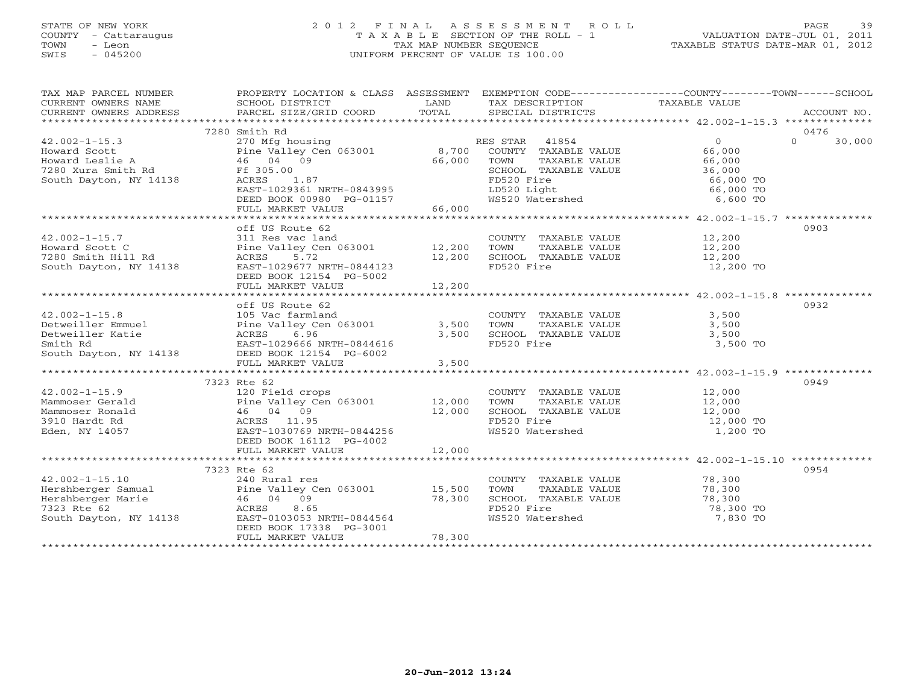# STATE OF NEW YORK 2 0 1 2 F I N A L A S S E S S M E N T R O L L PAGE 39 COUNTY - Cattaraugus T A X A B L E SECTION OF THE ROLL - 1 VALUATION DATE-JUL 01, 2011 TOWN - Leon TAX MAP NUMBER SEQUENCE TAXABLE STATUS DATE-MAR 01, 2012 SWIS - 045200 UNIFORM PERCENT OF VALUE IS 100.00UNIFORM PERCENT OF VALUE IS 100.00

| TAX MAP PARCEL NUMBER                                                                                                                                                                                                                     | PROPERTY LOCATION & CLASS ASSESSMENT EXEMPTION CODE----------------COUNTY-------TOWN------SCHOOL           |                      |                                                                                                                                                                                                   |                      |                    |
|-------------------------------------------------------------------------------------------------------------------------------------------------------------------------------------------------------------------------------------------|------------------------------------------------------------------------------------------------------------|----------------------|---------------------------------------------------------------------------------------------------------------------------------------------------------------------------------------------------|----------------------|--------------------|
| $\begin{array}{ccccccccc}\n\text{CURRENT} & \text{WNERS} & \text{NMEE} & \text{NMEE} & \text{SCHOOL} & \text{DISTRICT} & \text{LAND} & \text{TAX} & \text{DESCRIPTION} & \text{TAXABLE VALUE} & \text{ACCOUNT NO.} \end{array}$           |                                                                                                            |                      |                                                                                                                                                                                                   |                      |                    |
|                                                                                                                                                                                                                                           |                                                                                                            |                      |                                                                                                                                                                                                   |                      |                    |
|                                                                                                                                                                                                                                           |                                                                                                            |                      |                                                                                                                                                                                                   |                      |                    |
|                                                                                                                                                                                                                                           | 7280 Smith Rd                                                                                              |                      |                                                                                                                                                                                                   |                      | 0476               |
| $42.002 - 1 - 15.3$                                                                                                                                                                                                                       | 270 Mfg housing<br>Pine Valley Cen 063001 8,700 COUNTY TAXABLE VALUE<br>2001 1200 2011 2012 2013 2014 2015 |                      |                                                                                                                                                                                                   | $\Omega$             | $\Omega$<br>30,000 |
| Howard Scott                                                                                                                                                                                                                              |                                                                                                            |                      |                                                                                                                                                                                                   | 66,000               |                    |
|                                                                                                                                                                                                                                           | 46 04 09                                                                                                   | 66,000               | TOWN<br>TAXABLE VALUE                                                                                                                                                                             |                      |                    |
|                                                                                                                                                                                                                                           |                                                                                                            |                      | SCHOOL TAXABLE VALUE                                                                                                                                                                              | 66,000<br>36,000     |                    |
| About the series and the series of the contract of the contract of the contract of the contract of the contract of the contract of the contract of the contract of the contract of the contract of the contract of the contrac            | 1.87                                                                                                       |                      | FD520 Fire                                                                                                                                                                                        | 66,000 TO            |                    |
|                                                                                                                                                                                                                                           | EAST-1029361 NRTH-0843995                                                                                  |                      | LD520 Light<br>WS520 Watershed                                                                                                                                                                    | 66,000 TO            |                    |
|                                                                                                                                                                                                                                           | DEED BOOK 00980 PG-01157                                                                                   |                      |                                                                                                                                                                                                   | 6,600 TO             |                    |
|                                                                                                                                                                                                                                           | FULL MARKET VALUE                                                                                          | 66,000               |                                                                                                                                                                                                   |                      |                    |
|                                                                                                                                                                                                                                           |                                                                                                            |                      |                                                                                                                                                                                                   |                      |                    |
|                                                                                                                                                                                                                                           | off US Route 62                                                                                            |                      |                                                                                                                                                                                                   |                      | 0903               |
| $42.002 - 1 - 15.7$                                                                                                                                                                                                                       | 311 Res vac land                                                                                           |                      | COUNTY TAXABLE VALUE 12,200                                                                                                                                                                       |                      |                    |
|                                                                                                                                                                                                                                           | Pine Valley Cen 063001 12,200                                                                              |                      | TOWN                                                                                                                                                                                              | TAXABLE VALUE 12,200 |                    |
| Howard Scott C<br>7280 Smith Hill Rd<br>South Dayton, NY 14138                                                                                                                                                                            | ACRES 5.72                                                                                                 | $\frac{1}{12}$ , 200 |                                                                                                                                                                                                   |                      |                    |
|                                                                                                                                                                                                                                           | EAST-1029677 NRTH-0844123                                                                                  |                      | SCHOOL TAXABLE VALUE<br>FD520 Fire<br>FD520 Fire                                                                                                                                                  | 12,200<br>12,200 TO  |                    |
|                                                                                                                                                                                                                                           | DEED BOOK 12154 PG-5002                                                                                    |                      |                                                                                                                                                                                                   |                      |                    |
|                                                                                                                                                                                                                                           | FULL MARKET VALUE                                                                                          | 12,200               |                                                                                                                                                                                                   |                      |                    |
|                                                                                                                                                                                                                                           |                                                                                                            |                      |                                                                                                                                                                                                   |                      |                    |
|                                                                                                                                                                                                                                           | off US Route 62                                                                                            |                      |                                                                                                                                                                                                   |                      | 0932               |
| 42.002-1-15.8<br>Detweiller Emmuel Pine Valley Centralind COUNT<br>Detweiller Katie Pine Valley Centralies (1990)<br>Smith Rd EAST-1029666 NRTH-0844616 3,500 SCHOO<br>South Dayton, NY 14138 DEED BOOK 12154 PG-6002<br>NEW MONTH PG-60  |                                                                                                            |                      |                                                                                                                                                                                                   |                      |                    |
|                                                                                                                                                                                                                                           |                                                                                                            |                      | COUNTY TAXABLE VALUE                                                                                                                                                                              | 3,500                |                    |
|                                                                                                                                                                                                                                           |                                                                                                            |                      | TOWN TAXABLE VALUE<br>SCHOOL TAXABLE VALUE                                                                                                                                                        | 3,500                |                    |
|                                                                                                                                                                                                                                           |                                                                                                            |                      |                                                                                                                                                                                                   | 3,500                |                    |
|                                                                                                                                                                                                                                           |                                                                                                            |                      | FD520 Fire                                                                                                                                                                                        | 3,500 TO             |                    |
|                                                                                                                                                                                                                                           |                                                                                                            |                      |                                                                                                                                                                                                   |                      |                    |
|                                                                                                                                                                                                                                           | FULL MARKET VALUE                                                                                          | 3,500                |                                                                                                                                                                                                   |                      |                    |
|                                                                                                                                                                                                                                           |                                                                                                            |                      |                                                                                                                                                                                                   |                      |                    |
|                                                                                                                                                                                                                                           | 7323 Rte 62                                                                                                |                      |                                                                                                                                                                                                   |                      | 0949               |
| $42.002 - 1 - 15.9$                                                                                                                                                                                                                       | 120 Field crops                                                                                            |                      |                                                                                                                                                                                                   |                      |                    |
| Mammoser Gerald                                                                                                                                                                                                                           |                                                                                                            |                      | $\begin{tabular}{lllllllll} \multicolumn{2}{c}{\textbf{COUNTY}} & \textbf{TAXABLE VALUE} & & & & 12,000 \\ \multicolumn{2}{c}{\textbf{TOWN}} & \textbf{TAXABLE VALUE} & & & 12,000 \end{tabular}$ |                      |                    |
| Mammoser Ronald                                                                                                                                                                                                                           |                                                                                                            |                      |                                                                                                                                                                                                   |                      |                    |
| 3910 Hardt Rd                                                                                                                                                                                                                             | Pine Valley Cen 063001 12,000<br>46 04 09 12,000<br>ACRES 11.95 11.95                                      |                      | SCHOOL TAXABLE VALUE 12,000<br>FD520 Fire 12,000 TO                                                                                                                                               |                      |                    |
| Eden, NY 14057                                                                                                                                                                                                                            | EAST-1030769 NRTH-0844256                                                                                  |                      | WS520 Watershed                                                                                                                                                                                   | 1,200 TO             |                    |
|                                                                                                                                                                                                                                           | DEED BOOK 16112 PG-4002                                                                                    |                      |                                                                                                                                                                                                   |                      |                    |
|                                                                                                                                                                                                                                           | FULL MARKET VALUE                                                                                          | 12,000               |                                                                                                                                                                                                   |                      |                    |
|                                                                                                                                                                                                                                           |                                                                                                            |                      |                                                                                                                                                                                                   |                      |                    |
|                                                                                                                                                                                                                                           | 7323 Rte 62                                                                                                |                      |                                                                                                                                                                                                   |                      | 0954               |
|                                                                                                                                                                                                                                           |                                                                                                            |                      | COUNTY TAXABLE VALUE                                                                                                                                                                              | 78,300               |                    |
| 42.002-1-15.10<br>Hershberger Samual<br>Hershberger Marie<br>15,500<br>15,500<br>16 04 09<br>240 Rural res<br>240 Rural res<br>240 Rural res<br>26 063001<br>25,500<br>28,300<br>28,300<br>28,300<br>28,300<br>28,300<br>28,300<br>28,300 |                                                                                                            |                      | TOWN<br>TAXABLE VALUE                                                                                                                                                                             | 78,300               |                    |
|                                                                                                                                                                                                                                           |                                                                                                            |                      | TOWN INCOLLECTED 78,300 TO<br>SCHOOL TAXABLE VALUE 78,300 TO                                                                                                                                      |                      |                    |
|                                                                                                                                                                                                                                           |                                                                                                            |                      |                                                                                                                                                                                                   |                      |                    |
| South Dayton, NY 14138                                                                                                                                                                                                                    | EAST-0103053 NRTH-0844564                                                                                  |                      | WS520 Watershed                                                                                                                                                                                   | 7,830 TO             |                    |
|                                                                                                                                                                                                                                           | DEED BOOK 17338 PG-3001                                                                                    |                      |                                                                                                                                                                                                   |                      |                    |
|                                                                                                                                                                                                                                           | FULL MARKET VALUE                                                                                          | 78,300               |                                                                                                                                                                                                   |                      |                    |
|                                                                                                                                                                                                                                           |                                                                                                            |                      |                                                                                                                                                                                                   |                      |                    |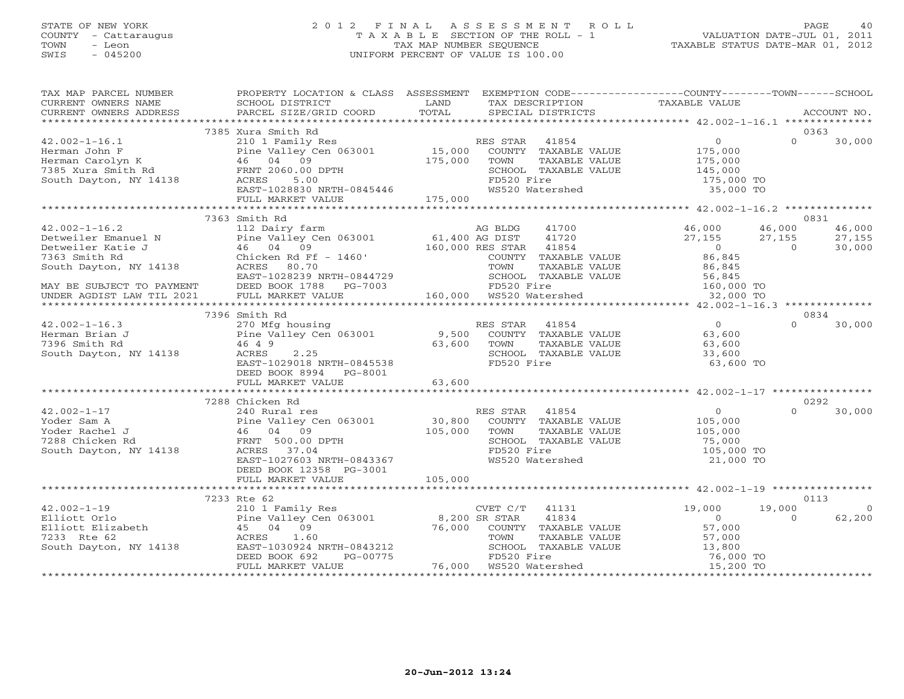# STATE OF NEW YORK 2 0 1 2 F I N A L A S S E S S M E N T R O L L PAGE 40 COUNTY - Cattaraugus T A X A B L E SECTION OF THE ROLL - 1 VALUATION DATE-JUL 01, 2011 TOWN - Leon TAX MAP NUMBER SEQUENCE TAXABLE STATUS DATE-MAR 01, 2012 SWIS - 045200 UNIFORM PERCENT OF VALUE IS 100.00UNIFORM PERCENT OF VALUE IS 100.00

| TAX MAP PARCEL NUMBER<br>TAX PARCES NONDER TRISTANT DISTRICT TRISTANT ON THE CONFIDENT OF THE CONFIDENT OF THE CONFIDENT OF THE CONFIDENT ON THE CONFIDENT OF THE CONFIDENT OF THE CONFIDENT OF THE CONFIDENT OF THE CONFIDENT OF THE CONFIDENT OF THE |                                                                                                                                                                                                                                                             |        |            |                                    |                                                                                                                                         |          |            |
|--------------------------------------------------------------------------------------------------------------------------------------------------------------------------------------------------------------------------------------------------------|-------------------------------------------------------------------------------------------------------------------------------------------------------------------------------------------------------------------------------------------------------------|--------|------------|------------------------------------|-----------------------------------------------------------------------------------------------------------------------------------------|----------|------------|
|                                                                                                                                                                                                                                                        |                                                                                                                                                                                                                                                             |        |            |                                    |                                                                                                                                         |          |            |
|                                                                                                                                                                                                                                                        |                                                                                                                                                                                                                                                             |        |            |                                    |                                                                                                                                         |          |            |
|                                                                                                                                                                                                                                                        |                                                                                                                                                                                                                                                             |        |            |                                    |                                                                                                                                         |          |            |
|                                                                                                                                                                                                                                                        |                                                                                                                                                                                                                                                             |        |            |                                    |                                                                                                                                         |          |            |
|                                                                                                                                                                                                                                                        | 7363 Smith Rd                                                                                                                                                                                                                                               |        |            |                                    |                                                                                                                                         |          | 0831       |
|                                                                                                                                                                                                                                                        |                                                                                                                                                                                                                                                             |        |            |                                    |                                                                                                                                         |          |            |
|                                                                                                                                                                                                                                                        |                                                                                                                                                                                                                                                             |        |            |                                    |                                                                                                                                         |          |            |
|                                                                                                                                                                                                                                                        |                                                                                                                                                                                                                                                             |        |            |                                    |                                                                                                                                         |          |            |
|                                                                                                                                                                                                                                                        | 7396 Smith Rd                                                                                                                                                                                                                                               |        |            |                                    |                                                                                                                                         |          | 0834       |
| $42.002 - 1 - 16.3$<br>42.002-1-16.3<br>Herman Brian J<br>7396 Smith Rd<br>800th Dayton, NY 14138<br>800th Dayton, NY 14138<br>800th Payton, NY 14138                                                                                                  | 270 Mg housing<br>270 Mg housing RES STAR 41854 0<br>29,500 COUNTY TAXABLE VALUE 63,600<br>46 4 9 63,600 TOWN TAXABLE VALUE 63,600<br>ACRES 2.25 63,600 SCHOOL TAXABLE VALUE 33,600<br>2.25<br>ACRES<br>EAST-1029018 NRTH-0845538<br>DEED BOOK 8994 PG-8001 |        | FD520 Fire | SCHOOL TAXABLE VALUE<br>FD520 Fire | 33,600<br>63,600 TO                                                                                                                     | $\Omega$ | 30,000     |
|                                                                                                                                                                                                                                                        | FULL MARKET VALUE                                                                                                                                                                                                                                           | 63,600 |            |                                    |                                                                                                                                         |          |            |
|                                                                                                                                                                                                                                                        |                                                                                                                                                                                                                                                             |        |            |                                    |                                                                                                                                         |          |            |
|                                                                                                                                                                                                                                                        | 7288 Chicken Rd                                                                                                                                                                                                                                             |        |            |                                    |                                                                                                                                         | $\Omega$ | 0292       |
| 42.002-1-17<br>Yoder Sam A<br>Yoder Rachel J<br>The Valley Cen 063001<br>The Valley Cen 063001<br>He Valley Cen 063001<br>2008 COUNTY TAXABLE VALUE<br>2019 105,000<br>2009 TOWN TAXABLE VALUE<br>2019 105,000<br>South Dayton, NY 14138<br>2019 201   | EAST-1027603 NRTH-0843367<br>DEED BOOK 12358 PG-3001                                                                                                                                                                                                        |        |            | WS520 Watershed                    | COUNTY TAXABLE VALUE<br>TOWN TAXABLE VALUE 105,000<br>SCHOOL TAXABLE VALUE 75,000<br>105,000 TO<br>105,000 TO<br>21.000 TO<br>21,000 TO |          | 30,000     |
|                                                                                                                                                                                                                                                        |                                                                                                                                                                                                                                                             |        |            |                                    |                                                                                                                                         |          |            |
|                                                                                                                                                                                                                                                        | 7233 Rte 62                                                                                                                                                                                                                                                 |        |            |                                    |                                                                                                                                         |          | 0113       |
|                                                                                                                                                                                                                                                        |                                                                                                                                                                                                                                                             |        |            |                                    |                                                                                                                                         | 19,000   | $\bigcirc$ |
|                                                                                                                                                                                                                                                        | FULL MARKET VALUE                                                                                                                                                                                                                                           |        |            |                                    | TOWN TAXABLE VALUE 57,000<br>43212 SCHOOL TAXABLE VALUE 13,800<br>76,000 WS520 Watershed 15,200 TO 15,200 WS520 Watershed 15,200 TO     | $\Omega$ | 62,200     |
|                                                                                                                                                                                                                                                        |                                                                                                                                                                                                                                                             |        |            |                                    |                                                                                                                                         |          |            |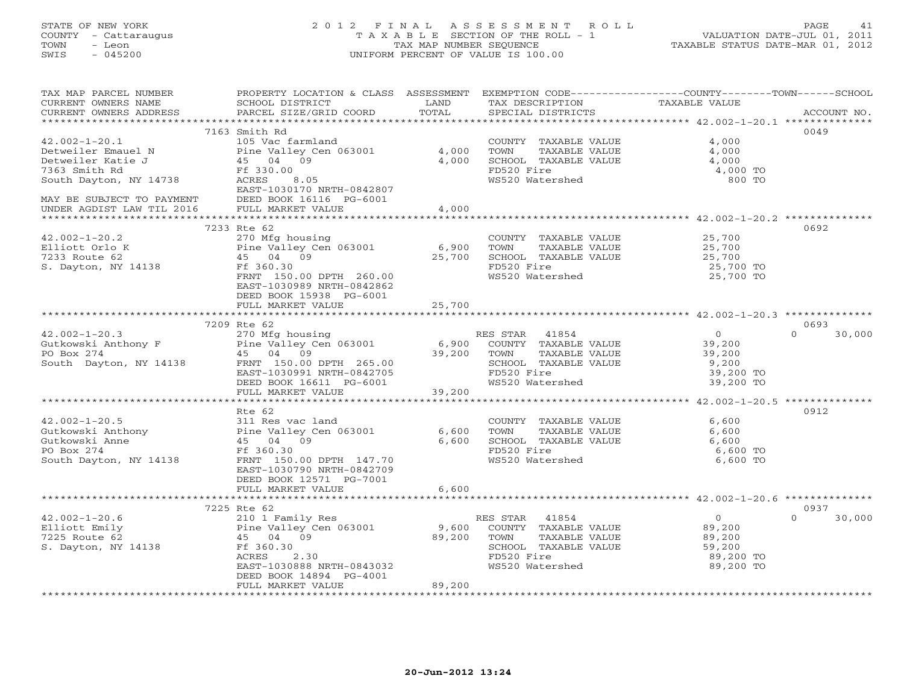# STATE OF NEW YORK 2 0 1 2 F I N A L A S S E S S M E N T R O L L PAGE 41 COUNTY - Cattaraugus T A X A B L E SECTION OF THE ROLL - 1 VALUATION DATE-JUL 01, 2011 TOWN - Leon TAX MAP NUMBER SEQUENCE TAXABLE STATUS DATE-MAR 01, 2012 SWIS - 045200 UNIFORM PERCENT OF VALUE IS 100.00UNIFORM PERCENT OF VALUE IS 100.00

| TAX MAP PARCEL NUMBER<br>CURRENT OWNERS NAME<br>CURRENT OWNERS ADDRESS | PROPERTY LOCATION & CLASS ASSESSMENT EXEMPTION CODE----------------COUNTY-------TOWN------SCHOOL<br>SCHOOL DISTRICT<br>PARCEL SIZE/GRID COORD | LAND<br>TOTAL | TAX DESCRIPTION       | TAXABLE VALUE                                                       | ACCOUNT NO.        |
|------------------------------------------------------------------------|-----------------------------------------------------------------------------------------------------------------------------------------------|---------------|-----------------------|---------------------------------------------------------------------|--------------------|
|                                                                        |                                                                                                                                               |               | SPECIAL DISTRICTS     |                                                                     |                    |
|                                                                        |                                                                                                                                               |               |                       |                                                                     |                    |
|                                                                        | 7163 Smith Rd                                                                                                                                 |               |                       |                                                                     | 0049               |
| $42.002 - 1 - 20.1$                                                    | 105 Vac farmland                                                                                                                              |               | COUNTY TAXABLE VALUE  | 4,000                                                               |                    |
| Detweiler Emauel N                                                     | Pine Valley Cen 063001                                                                                                                        | 4,000         | TOWN<br>TAXABLE VALUE | 4,000                                                               |                    |
| Detweiler Katie J                                                      | 45 04 09                                                                                                                                      | 4,000         | SCHOOL TAXABLE VALUE  | 4,000                                                               |                    |
| 7363 Smith Rd                                                          | Ff 330.00                                                                                                                                     |               | FD520 Fire            | 4,000 TO                                                            |                    |
| South Dayton, NY 14738                                                 | ACRES<br>8.05                                                                                                                                 |               | WS520 Watershed       | 800 TO                                                              |                    |
|                                                                        | EAST-1030170 NRTH-0842807                                                                                                                     |               |                       |                                                                     |                    |
| MAY BE SUBJECT TO PAYMENT                                              | DEED BOOK 16116 PG-6001                                                                                                                       |               |                       |                                                                     |                    |
| UNDER AGDIST LAW TIL 2016                                              | FULL MARKET VALUE                                                                                                                             | 4,000         |                       |                                                                     |                    |
|                                                                        |                                                                                                                                               | ***********   |                       | ********************** 42.002-1-20.2 **************                 |                    |
|                                                                        | 7233 Rte 62                                                                                                                                   |               |                       |                                                                     | 0692               |
| $42.002 - 1 - 20.2$                                                    | 270 Mfg housing                                                                                                                               |               | COUNTY TAXABLE VALUE  | 25,700                                                              |                    |
| Elliott Orlo K                                                         | Pine Valley Cen 063001                                                                                                                        | 6,900         | TOWN<br>TAXABLE VALUE | 25,700                                                              |                    |
| 7233 Route 62                                                          | 45 04 09                                                                                                                                      | 25,700        | SCHOOL TAXABLE VALUE  | 25,700                                                              |                    |
| S. Dayton, NY 14138                                                    | Ff 360.30                                                                                                                                     |               | FD520 Fire            | 25,700 TO                                                           |                    |
|                                                                        | FRNT 150.00 DPTH 260.00                                                                                                                       |               | WS520 Watershed       | 25,700 TO                                                           |                    |
|                                                                        | EAST-1030989 NRTH-0842862                                                                                                                     |               |                       |                                                                     |                    |
|                                                                        | DEED BOOK 15938 PG-6001                                                                                                                       |               |                       |                                                                     |                    |
|                                                                        | FULL MARKET VALUE                                                                                                                             | 25,700        |                       |                                                                     |                    |
|                                                                        |                                                                                                                                               |               |                       |                                                                     |                    |
|                                                                        | 7209 Rte 62                                                                                                                                   |               |                       |                                                                     | 0693               |
| $42.002 - 1 - 20.3$                                                    | 270 Mfg housing                                                                                                                               |               | RES STAR<br>41854     | $\overline{0}$                                                      | $\Omega$<br>30,000 |
|                                                                        | Pine Valley Cen 063001                                                                                                                        | 6,900         | COUNTY TAXABLE VALUE  | 39,200                                                              |                    |
| Gutkowski Anthony F<br>PO Box 274                                      | 45 04 09                                                                                                                                      | 39,200        | TOWN<br>TAXABLE VALUE | 39,200                                                              |                    |
| South Dayton, NY 14138                                                 | FRNT 150.00 DPTH 265.00                                                                                                                       |               | SCHOOL TAXABLE VALUE  | 9,200                                                               |                    |
|                                                                        | EAST-1030991 NRTH-0842705                                                                                                                     |               | FD520 Fire            | 39,200 TO                                                           |                    |
|                                                                        | DEED BOOK 16611 PG-6001                                                                                                                       |               | WS520 Watershed       | 39,200 TO                                                           |                    |
|                                                                        | FULL MARKET VALUE                                                                                                                             | 39,200        |                       |                                                                     |                    |
|                                                                        |                                                                                                                                               |               |                       | ************************************* 42.002-1-20.5 *************** |                    |
|                                                                        | Rte 62                                                                                                                                        |               |                       |                                                                     | 0912               |
|                                                                        |                                                                                                                                               |               |                       | 6,600                                                               |                    |
| $42.002 - 1 - 20.5$                                                    | 311 Res vac land<br>Pine Valley Cen 063001                                                                                                    |               | COUNTY TAXABLE VALUE  |                                                                     |                    |
| Gutkowski Anthony                                                      |                                                                                                                                               | 6,600         | TOWN<br>TAXABLE VALUE | 6,600                                                               |                    |
| Gutkowski Anne                                                         | 45 04 09                                                                                                                                      | 6,600         | SCHOOL TAXABLE VALUE  | 6,600                                                               |                    |
| PO Box 274                                                             | Ff 360.30                                                                                                                                     |               | FD520 Fire            | 6,600 TO                                                            |                    |
| South Dayton, NY 14138                                                 | FRNT 150.00 DPTH 147.70                                                                                                                       |               | WS520 Watershed       | 6,600 TO                                                            |                    |
|                                                                        | EAST-1030790 NRTH-0842709                                                                                                                     |               |                       |                                                                     |                    |
|                                                                        | DEED BOOK 12571 PG-7001                                                                                                                       |               |                       |                                                                     |                    |
|                                                                        | FULL MARKET VALUE                                                                                                                             | 6,600         |                       |                                                                     |                    |
|                                                                        |                                                                                                                                               |               |                       |                                                                     |                    |
|                                                                        | 7225 Rte 62                                                                                                                                   |               |                       |                                                                     | 0937               |
| $42.002 - 1 - 20.6$                                                    | 210 1 Family Res                                                                                                                              |               | RES STAR<br>41854     | $\overline{0}$                                                      | 30,000<br>$\Omega$ |
| Elliott Emily                                                          | Pine Valley Cen 063001                                                                                                                        | 9,600         | COUNTY TAXABLE VALUE  | 89,200                                                              |                    |
| 7225 Route 62                                                          | 45 04 09                                                                                                                                      | 89,200        | TOWN<br>TAXABLE VALUE | 89,200                                                              |                    |
| S. Dayton, NY 14138                                                    | Ff 360.30                                                                                                                                     |               | SCHOOL TAXABLE VALUE  | 59,200                                                              |                    |
|                                                                        | ACRES<br>2.30                                                                                                                                 |               | FD520 Fire            | 89,200 TO                                                           |                    |
|                                                                        | EAST-1030888 NRTH-0843032                                                                                                                     |               | WS520 Watershed       | 89,200 TO                                                           |                    |
|                                                                        | DEED BOOK 14894 PG-4001                                                                                                                       |               |                       |                                                                     |                    |
|                                                                        | FULL MARKET VALUE                                                                                                                             | 89,200        |                       |                                                                     |                    |
|                                                                        |                                                                                                                                               |               |                       |                                                                     |                    |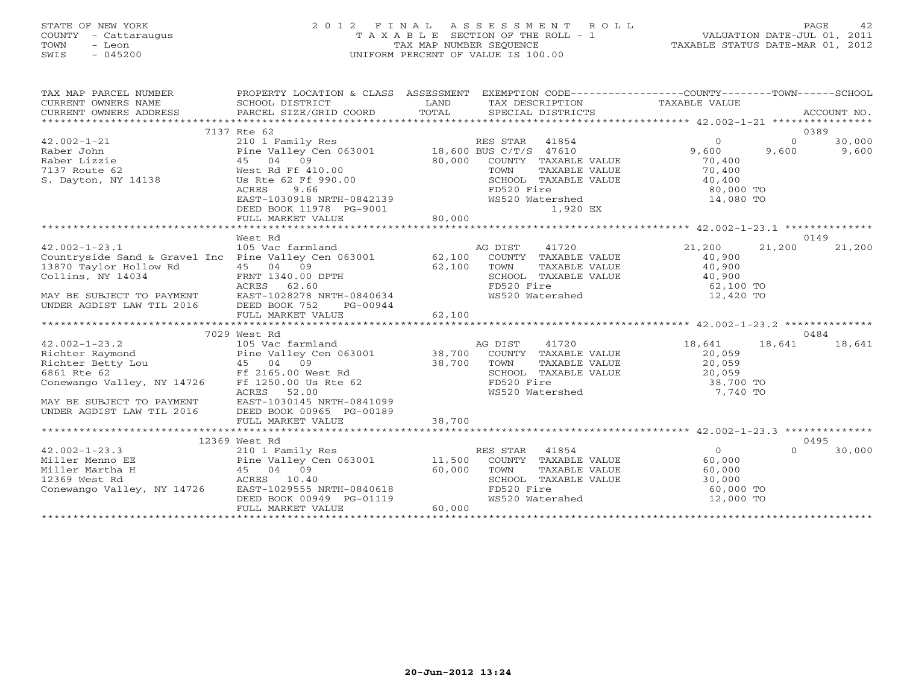# STATE OF NEW YORK 2 0 1 2 F I N A L A S S E S S M E N T R O L L PAGE 42 COUNTY - Cattaraugus T A X A B L E SECTION OF THE ROLL - 1 VALUATION DATE-JUL 01, 2011 TOWN - Leon TAX MAP NUMBER SEQUENCE TAXABLE STATUS DATE-MAR 01, 2012 SWIS - 045200 UNIFORM PERCENT OF VALUE IS 100.00UNIFORM PERCENT OF VALUE IS 100.00

| TAX MAP PARCEL NUMBER<br>" IN THE SUMMERS NAME SUMPLES ACCOUNT MONDERERT SURFAINE SURFAINE SURFAINE SURFAINE SURFAINE SURFAINE SURFAINE<br>IRRENT OWNERS ADDRESS PARCEL SIZE/GRID COORD TOTAL SPECIAL DISTRICTS ACCOUNT MONDERERT ACCOUNT NON<br>************<br>CURRENT OWNERS NAME<br>CURRENT OWNERS ADDRESS             | PROPERTY LOCATION & CLASS ASSESSMENT EXEMPTION CODE---------------COUNTY-------TOWN------SCHOOL                                                                                   |                  |                                                                                                                                                       |                                                                  |                   |                 |
|----------------------------------------------------------------------------------------------------------------------------------------------------------------------------------------------------------------------------------------------------------------------------------------------------------------------------|-----------------------------------------------------------------------------------------------------------------------------------------------------------------------------------|------------------|-------------------------------------------------------------------------------------------------------------------------------------------------------|------------------------------------------------------------------|-------------------|-----------------|
|                                                                                                                                                                                                                                                                                                                            | 7137 Rte 62                                                                                                                                                                       |                  |                                                                                                                                                       |                                                                  |                   | 0389            |
|                                                                                                                                                                                                                                                                                                                            |                                                                                                                                                                                   |                  | COUNTY TAXABLE VALUE<br>TAXABLE VALUE                                                                                                                 | $\circ$<br>9,600<br>70,400<br>70,400                             | $\Omega$<br>9,600 | 30,000<br>9,600 |
|                                                                                                                                                                                                                                                                                                                            | 45 04 09<br>West Rd Ff 410.00<br>Us Rte 62 Ff 990.00<br>ACRES 9.66<br>EAST-1030918 NRTH-0842139<br>DEED BOOK 11978 PG-9001<br>DEED BOOK 11978 PG-9001<br>FULL MARKET VALUE 80,000 |                  | SCHOOL TAXABLE VALUE<br>FD520 Fire<br>WS520 Watershed<br>1,920 EX                                                                                     | 40,400<br>80,000 TO<br>14,080 TO                                 |                   |                 |
|                                                                                                                                                                                                                                                                                                                            |                                                                                                                                                                                   |                  |                                                                                                                                                       |                                                                  |                   |                 |
| 42.002-1-23.1 105 Vac farmland<br>Countryside Sand & Gravel Inc Pine Valley Cen 063001 62,100                                                                                                                                                                                                                              | West Rd                                                                                                                                                                           |                  | AG DIST<br>41720<br>COUNTY TAXABLE VALUE<br>TOWN<br>TAXABLE VALUE<br>SCHOOL TAXABLE VALUE 40,900<br>FD520 Fire 62,100 TO<br>WS520 Watershed 12,420 TO | 21,200<br>40,900<br>40,900                                       | 21,200            | 0149<br>21,200  |
|                                                                                                                                                                                                                                                                                                                            |                                                                                                                                                                                   |                  |                                                                                                                                                       |                                                                  |                   |                 |
|                                                                                                                                                                                                                                                                                                                            | 7029 West Rd                                                                                                                                                                      |                  |                                                                                                                                                       |                                                                  |                   | 0484            |
| $42.002 - 1 - 23.2$<br>Richter Raymond<br>Richter Betty Lou and Pine Valley Cen 063001 38,700<br>Richter Betty Lou 45 04 09 38,700<br>6861 Rte 62 Ff 2165.00 West Rd<br>Conewango Valley, NY 14726 Ff 1250.00 Us Rte 62<br>ACRES 52.00<br>MAY BE SUBJECT TO PAYMENT EAST-1030145 NRTH-0841099<br>UNDER AGDIST LAW TIL 2016 | 105 Vac farmland<br>ACRES<br>52.00<br>DEED BOOK 00965 PG-00189                                                                                                                    |                  | 41720<br>AG DIST<br>COUNTY TAXABLE VALUE<br>TOWN<br>TAXABLE VALUE<br>SCHOOL TAXABLE VALUE<br>FD520 Fire<br>FD520 Fire<br>WS520 Watershed              | 18,641<br>20,059<br>20,059<br>20,059<br>38,700 TO<br>7,740 TO    | 18,641            | 18,641          |
|                                                                                                                                                                                                                                                                                                                            | FULL MARKET VALUE                                                                                                                                                                 | 38,700           |                                                                                                                                                       |                                                                  |                   |                 |
|                                                                                                                                                                                                                                                                                                                            | 12369 West Rd                                                                                                                                                                     |                  |                                                                                                                                                       |                                                                  |                   | 0495            |
| $42.002 - 1 - 23.3$<br>Miller Menno EE<br>Miller Martha H<br>12369 West Rd<br>Conewango Valley, NY 14726                                                                                                                                                                                                                   | 210 1 Family Res<br>Pine Valley Cen 063001 11,500<br>45 04 09<br>ACRES 10.40<br>EAST-1029555 NRTH-0840618<br>DEED BOOK 00949 PG-01119<br>FULL MARKET VALUE                        | 60,000<br>60,000 | RES STAR 41854<br>COUNTY TAXABLE VALUE 60,000<br>TOWN<br>TAXABLE VALUE<br>SCHOOL TAXABLE VALUE<br>FD520 Fire<br>WS520 Watershed                       | $\overline{O}$<br>$60,000$<br>$30,000$<br>60,000 TO<br>12,000 TO | $\Omega$          | 30,000          |
|                                                                                                                                                                                                                                                                                                                            |                                                                                                                                                                                   |                  |                                                                                                                                                       |                                                                  |                   |                 |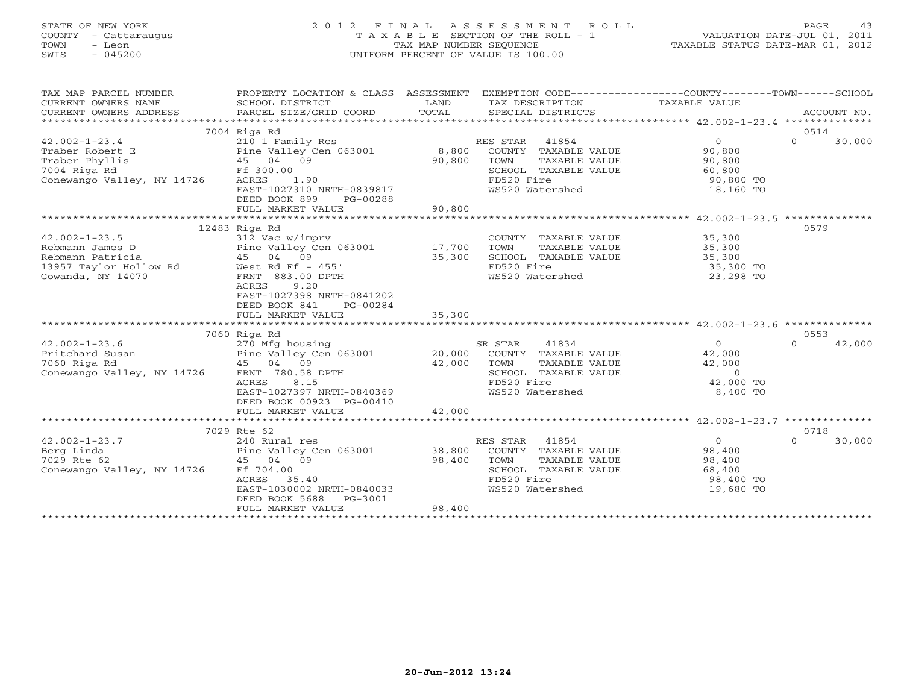# STATE OF NEW YORK 2 0 1 2 F I N A L A S S E S S M E N T R O L L PAGE 43 COUNTY - Cattaraugus T A X A B L E SECTION OF THE ROLL - 1 VALUATION DATE-JUL 01, 2011 TOWN - Leon TAX MAP NUMBER SEQUENCE TAXABLE STATUS DATE-MAR 01, 2012 SWIS - 045200 UNIFORM PERCENT OF VALUE IS 100.00UNIFORM PERCENT OF VALUE IS 100.00

| TAX MAP PARCEL NUMBER      | PROPERTY LOCATION & CLASS ASSESSMENT EXEMPTION CODE---------------COUNTY-------TOWN------SCHOOL |        |                             |                  |                    |
|----------------------------|-------------------------------------------------------------------------------------------------|--------|-----------------------------|------------------|--------------------|
| CURRENT OWNERS NAME        | SCHOOL DISTRICT                                                                                 | LAND   | TAX DESCRIPTION             | TAXABLE VALUE    |                    |
| CURRENT OWNERS ADDRESS     | PARCEL SIZE/GRID COORD                                                                          | TOTAL  | SPECIAL DISTRICTS           |                  | ACCOUNT NO.        |
|                            |                                                                                                 |        |                             |                  |                    |
|                            | 7004 Riga Rd                                                                                    |        |                             |                  | 0514               |
| $42.002 - 1 - 23.4$        | 210 1 Family Res                                                                                |        | RES STAR<br>41854           | $\overline{0}$   | $\Omega$<br>30,000 |
| Traber Robert E            | Pine Valley Cen 063001<br>45 04 09                                                              | 8,800  | COUNTY TAXABLE VALUE        | 90,800           |                    |
| Traber Phyllis             |                                                                                                 | 90,800 | TOWN<br>TAXABLE VALUE       | 90,800           |                    |
| 7004 Riga Rd               | Ff 300.00                                                                                       |        | SCHOOL TAXABLE VALUE        | 60,800           |                    |
| Conewango Valley, NY 14726 | ACRES<br>1.90                                                                                   |        | FD520 Fire                  | 90,800 TO        |                    |
|                            | EAST-1027310 NRTH-0839817                                                                       |        | WS520 Watershed             | 18,160 TO        |                    |
|                            | DEED BOOK 899<br>PG-00288                                                                       |        |                             |                  |                    |
|                            | FULL MARKET VALUE                                                                               | 90,800 |                             |                  |                    |
|                            |                                                                                                 |        |                             |                  |                    |
|                            | 12483 Riga Rd                                                                                   |        |                             |                  | 0579               |
| $42.002 - 1 - 23.5$        | 312 Vac w/imprv                                                                                 |        | COUNTY TAXABLE VALUE        | 35,300<br>35,300 |                    |
| Rebmann James D            | Siz vac w/impiv<br>Pine Valley Cen 063001 17,700                                                |        | TOWN<br>TAXABLE VALUE       |                  |                    |
| Rebmann Patricia           | 45 04 09                                                                                        | 35,300 | SCHOOL TAXABLE VALUE        | 35,300           |                    |
| 13957 Taylor Hollow Rd     | West Rd Ff - 455'                                                                               |        | FD520 Fire                  | 35,300 TO        |                    |
| Gowanda, NY 14070          | FRNT 883.00 DPTH                                                                                |        | WS520 Watershed             | 23,298 TO        |                    |
|                            | 9.20<br>ACRES                                                                                   |        |                             |                  |                    |
|                            | EAST-1027398 NRTH-0841202                                                                       |        |                             |                  |                    |
|                            | DEED BOOK 841<br>PG-00284                                                                       |        |                             |                  |                    |
|                            | FULL MARKET VALUE                                                                               | 35,300 |                             |                  |                    |
|                            |                                                                                                 |        |                             |                  |                    |
|                            | 7060 Riga Rd                                                                                    |        |                             |                  | 0553               |
| $42.002 - 1 - 23.6$        | 270 Mfg housing                                                                                 |        | 41834<br>SR STAR            | $\overline{0}$   | 42,000<br>$\Omega$ |
| Pritchard Susan            | Pine Valley Cen 063001<br>45 04 09                                                              |        | 20,000 COUNTY TAXABLE VALUE | 42,000           |                    |
| 7060 Riga Rd               |                                                                                                 | 42,000 | TOWN<br>TAXABLE VALUE       | 42,000           |                    |
| Conewango Valley, NY 14726 | FRNT 780.58 DPTH                                                                                |        | SCHOOL TAXABLE VALUE        | $\circ$          |                    |
|                            | 8.15<br>ACRES                                                                                   |        | FD520 Fire                  | 42,000 TO        |                    |
|                            | EAST-1027397 NRTH-0840369                                                                       |        | WS520 Watershed             | 8,400 TO         |                    |
|                            | DEED BOOK 00923 PG-00410                                                                        |        |                             |                  |                    |
|                            | FULL MARKET VALUE                                                                               | 42,000 |                             |                  |                    |
|                            |                                                                                                 |        |                             |                  |                    |
|                            | 7029 Rte 62                                                                                     |        |                             |                  | 0718               |
| $42.002 - 1 - 23.7$        | 240 Rural res                                                                                   |        | 41854<br>RES STAR           | $\Omega$         | $\Omega$<br>30,000 |
| Berg Linda                 | Pine Valley Cen 063001                                                                          | 38,800 | COUNTY TAXABLE VALUE        | 98,400           |                    |
| 7029 Rte 62                | 45 04 09                                                                                        | 98,400 | TOWN<br>TAXABLE VALUE       | 98,400           |                    |
| Conewango Valley, NY 14726 | Ff 704.00                                                                                       |        | SCHOOL TAXABLE VALUE        | 68,400           |                    |
|                            | ACRES<br>35.40                                                                                  |        | FD520 Fire                  | 98,400 TO        |                    |
|                            | EAST-1030002 NRTH-0840033                                                                       |        | WS520 Watershed             | 19,680 TO        |                    |
|                            | DEED BOOK 5688<br>PG-3001                                                                       |        |                             |                  |                    |
|                            | FULL MARKET VALUE                                                                               | 98,400 |                             |                  |                    |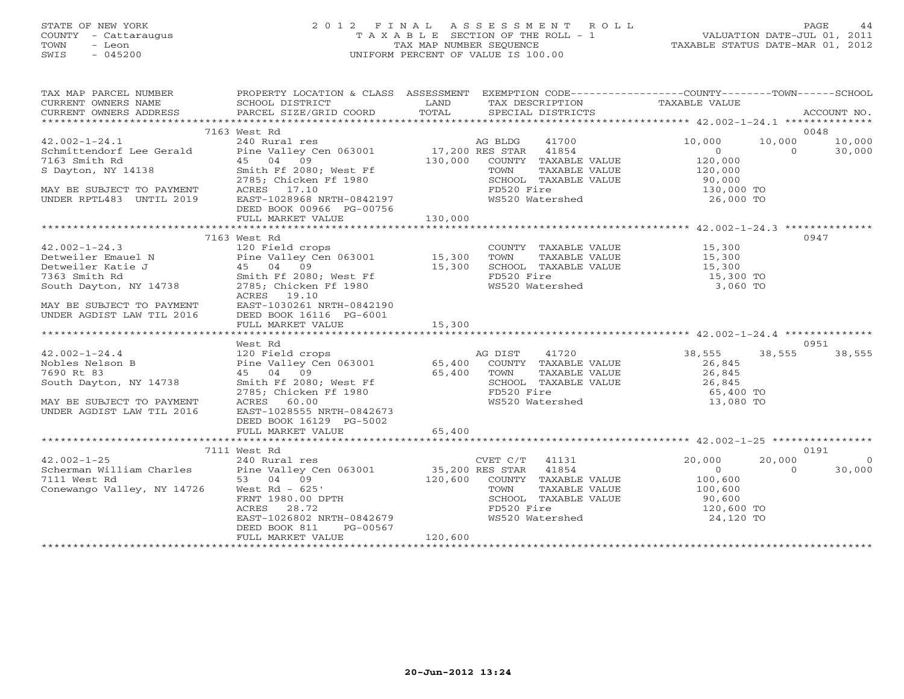# STATE OF NEW YORK 2 0 1 2 F I N A L A S S E S S M E N T R O L L PAGE 44 COUNTY - Cattaraugus T A X A B L E SECTION OF THE ROLL - 1 VALUATION DATE-JUL 01, 2011 TOWN - Leon TAX MAP NUMBER SEQUENCE TAXABLE STATUS DATE-MAR 01, 2012 SWIS - 045200 UNIFORM PERCENT OF VALUE IS 100.00UNIFORM PERCENT OF VALUE IS 100.00

| TAX MAP PARCEL NUMBER                                                                                                                                                                                                                                    |                           | PROPERTY LOCATION & CLASS ASSESSMENT EXEMPTION CODE----------------COUNTY-------TOWN------SCHOOL                                                                                                                                                                                                                                                                                                     |                                                                   |
|----------------------------------------------------------------------------------------------------------------------------------------------------------------------------------------------------------------------------------------------------------|---------------------------|------------------------------------------------------------------------------------------------------------------------------------------------------------------------------------------------------------------------------------------------------------------------------------------------------------------------------------------------------------------------------------------------------|-------------------------------------------------------------------|
|                                                                                                                                                                                                                                                          |                           | $\begin{array}{ccccccccc}\n\text{CURRENT} & \text{OWIERS} & \text{NMEE} & \text{SCHOOL} & \text{DISTRICT} & \text{LAND} & \text{TAX} & \text{DESCRIPTION} & \text{TAXABLE VALUE} & \text{ACCOUNT NO.} \\\n\text{CURRENT} & \text{WURES} & \text{ADDRESS} & \text{PARGEL} & \text{STZE/GRID COORD} & \text{TOTAL} & \text{SPECIAL DISTRIBUT} & \text{TASTRICTS} & \text{ACCOUNT NO.} \\\n\end{array}$ |                                                                   |
|                                                                                                                                                                                                                                                          |                           |                                                                                                                                                                                                                                                                                                                                                                                                      |                                                                   |
|                                                                                                                                                                                                                                                          |                           |                                                                                                                                                                                                                                                                                                                                                                                                      |                                                                   |
|                                                                                                                                                                                                                                                          | 7163 West Rd              |                                                                                                                                                                                                                                                                                                                                                                                                      | 0048                                                              |
| $42.002 - 1 - 24.1$                                                                                                                                                                                                                                      |                           |                                                                                                                                                                                                                                                                                                                                                                                                      | 10,000 10,000                                                     |
|                                                                                                                                                                                                                                                          |                           |                                                                                                                                                                                                                                                                                                                                                                                                      | 30,000<br>$\overline{a}$                                          |
|                                                                                                                                                                                                                                                          |                           |                                                                                                                                                                                                                                                                                                                                                                                                      |                                                                   |
| 42.002-1-24.1<br>Schmittendorf Lee Gerald<br>7163 Smith Rd<br>S Dayton, NY 14138                                                                                                                                                                         |                           |                                                                                                                                                                                                                                                                                                                                                                                                      |                                                                   |
|                                                                                                                                                                                                                                                          |                           |                                                                                                                                                                                                                                                                                                                                                                                                      |                                                                   |
| MAY BE SUBJECT TO PAYMENT                                                                                                                                                                                                                                |                           | West Rd<br>240 Rural res<br>Pine Valley Cen 063001 17,200 RES STAR 41854 0<br>45 04 09 130,000 COUNTY TAXABLE VALUE 120,000<br>Smith Ff 2080; West Ff 1980 5CHOOL TAXABLE VALUE 120,000<br>2785; Chicken Ff 1980 5CHOOL TAXABLE VALUE 90                                                                                                                                                             |                                                                   |
| UNDER RPTL483 UNTIL 2019                                                                                                                                                                                                                                 | EAST-1028968 NRTH-0842197 | FD520 Fire<br>WS520 Watershed                                                                                                                                                                                                                                                                                                                                                                        | 130,000 TO<br>26,000 TO                                           |
|                                                                                                                                                                                                                                                          |                           |                                                                                                                                                                                                                                                                                                                                                                                                      |                                                                   |
|                                                                                                                                                                                                                                                          | DEED BOOK 00966 PG-00756  | 130,000                                                                                                                                                                                                                                                                                                                                                                                              |                                                                   |
|                                                                                                                                                                                                                                                          | FULL MARKET VALUE         |                                                                                                                                                                                                                                                                                                                                                                                                      |                                                                   |
|                                                                                                                                                                                                                                                          |                           |                                                                                                                                                                                                                                                                                                                                                                                                      |                                                                   |
|                                                                                                                                                                                                                                                          | 7163 West Rd              |                                                                                                                                                                                                                                                                                                                                                                                                      | 0947                                                              |
|                                                                                                                                                                                                                                                          |                           | COUNTY TAXABLE VALUE 15,300                                                                                                                                                                                                                                                                                                                                                                          |                                                                   |
|                                                                                                                                                                                                                                                          |                           |                                                                                                                                                                                                                                                                                                                                                                                                      |                                                                   |
|                                                                                                                                                                                                                                                          |                           |                                                                                                                                                                                                                                                                                                                                                                                                      |                                                                   |
|                                                                                                                                                                                                                                                          |                           | FD520 Fire                                                                                                                                                                                                                                                                                                                                                                                           |                                                                   |
| 42.002-1-24.3<br>Detweiler Emauel N<br>Detweiler Katie J<br>Too west Rud crops<br>Pine Valley Cen 063001<br>Pine Valley Cen 063001<br>Too Fine Valley Cen 063001<br>Pine Valley Cen 063001<br>15,300<br>TOWN<br>15,300<br>SCHOOL<br>7363 Smith Rd<br>Sou |                           |                                                                                                                                                                                                                                                                                                                                                                                                      |                                                                   |
|                                                                                                                                                                                                                                                          | ACRES 19.10               |                                                                                                                                                                                                                                                                                                                                                                                                      |                                                                   |
| ACRES 19.10<br>MAY BE SUBJECT TO PAYMENT EAST-1030261 NRTH-0842190<br>UNDER AGDIST LAW TIL 2016 DEED BOOK 16116 PG-6001                                                                                                                                  |                           |                                                                                                                                                                                                                                                                                                                                                                                                      |                                                                   |
|                                                                                                                                                                                                                                                          |                           |                                                                                                                                                                                                                                                                                                                                                                                                      |                                                                   |
|                                                                                                                                                                                                                                                          |                           |                                                                                                                                                                                                                                                                                                                                                                                                      |                                                                   |
|                                                                                                                                                                                                                                                          |                           |                                                                                                                                                                                                                                                                                                                                                                                                      |                                                                   |
|                                                                                                                                                                                                                                                          | West Rd                   |                                                                                                                                                                                                                                                                                                                                                                                                      | 0951                                                              |
|                                                                                                                                                                                                                                                          |                           |                                                                                                                                                                                                                                                                                                                                                                                                      | 38, 555<br>38,555 38,555                                          |
|                                                                                                                                                                                                                                                          |                           |                                                                                                                                                                                                                                                                                                                                                                                                      |                                                                   |
|                                                                                                                                                                                                                                                          |                           | 42.002-1-24.4<br>Nobles Nelson B<br>Nobles Nelson B<br>Teeld crops<br>Pine Valley Cen 063001<br>Pine Valley Cen 063001<br>27690 Rt 83<br>Smith Ff 2080; West Ff<br>2785; Chicken Ff 1980<br>MAY BE SUBJECT TO PAYMENT<br>MAY BE SUBJECT TO PAYMENT                                                                                                                                                   | 26,845<br>26,845                                                  |
|                                                                                                                                                                                                                                                          |                           |                                                                                                                                                                                                                                                                                                                                                                                                      |                                                                   |
|                                                                                                                                                                                                                                                          |                           | CHOOL TAXABLE VALUE<br>SCHOOL TAXABLE VALUE 26,845<br>FD520 Fire 65,400 TO<br>WS520 Watershed 13,080 TO                                                                                                                                                                                                                                                                                              |                                                                   |
|                                                                                                                                                                                                                                                          |                           |                                                                                                                                                                                                                                                                                                                                                                                                      |                                                                   |
|                                                                                                                                                                                                                                                          |                           |                                                                                                                                                                                                                                                                                                                                                                                                      |                                                                   |
| UNDER AGDIST LAW TIL 2016                                                                                                                                                                                                                                | EAST-1028555 NRTH-0842673 |                                                                                                                                                                                                                                                                                                                                                                                                      |                                                                   |
|                                                                                                                                                                                                                                                          | DEED BOOK 16129 PG-5002   |                                                                                                                                                                                                                                                                                                                                                                                                      |                                                                   |
|                                                                                                                                                                                                                                                          | FULL MARKET VALUE         | 65,400                                                                                                                                                                                                                                                                                                                                                                                               |                                                                   |
|                                                                                                                                                                                                                                                          |                           |                                                                                                                                                                                                                                                                                                                                                                                                      |                                                                   |
|                                                                                                                                                                                                                                                          | 7111 West Rd              |                                                                                                                                                                                                                                                                                                                                                                                                      | 0191                                                              |
| $42.002 - 1 - 25$                                                                                                                                                                                                                                        | 240 Rural res             | CVET C/T 41131 20,000                                                                                                                                                                                                                                                                                                                                                                                | 20,000<br>$\overline{0}$                                          |
|                                                                                                                                                                                                                                                          |                           |                                                                                                                                                                                                                                                                                                                                                                                                      | $\begin{array}{c} 0 \\ 100,600 \end{array}$<br>$\Omega$<br>30,000 |
|                                                                                                                                                                                                                                                          |                           |                                                                                                                                                                                                                                                                                                                                                                                                      |                                                                   |
|                                                                                                                                                                                                                                                          |                           |                                                                                                                                                                                                                                                                                                                                                                                                      | TAXABLE VALUE 100,600                                             |
|                                                                                                                                                                                                                                                          |                           | Scherman William Charles<br>Scherman William Charles<br>7111 West Rd<br>Conewango Valley, NY 14726<br>FRNT 1980.00 DPTH<br>FRNT 1980.00 DPTH<br>FRNT 1980.00 DPTH<br>FRNT 1980.00 DPTH<br>FRNT 1980.00 DPTH<br>FRNT 1980.00 DPTH<br>FRNT 1980.00 D                                                                                                                                                   |                                                                   |
|                                                                                                                                                                                                                                                          |                           |                                                                                                                                                                                                                                                                                                                                                                                                      |                                                                   |
|                                                                                                                                                                                                                                                          |                           |                                                                                                                                                                                                                                                                                                                                                                                                      |                                                                   |
|                                                                                                                                                                                                                                                          |                           |                                                                                                                                                                                                                                                                                                                                                                                                      |                                                                   |
|                                                                                                                                                                                                                                                          | PG-00567<br>DEED BOOK 811 |                                                                                                                                                                                                                                                                                                                                                                                                      |                                                                   |
|                                                                                                                                                                                                                                                          | FULL MARKET VALUE         | 120,600                                                                                                                                                                                                                                                                                                                                                                                              |                                                                   |
|                                                                                                                                                                                                                                                          |                           |                                                                                                                                                                                                                                                                                                                                                                                                      |                                                                   |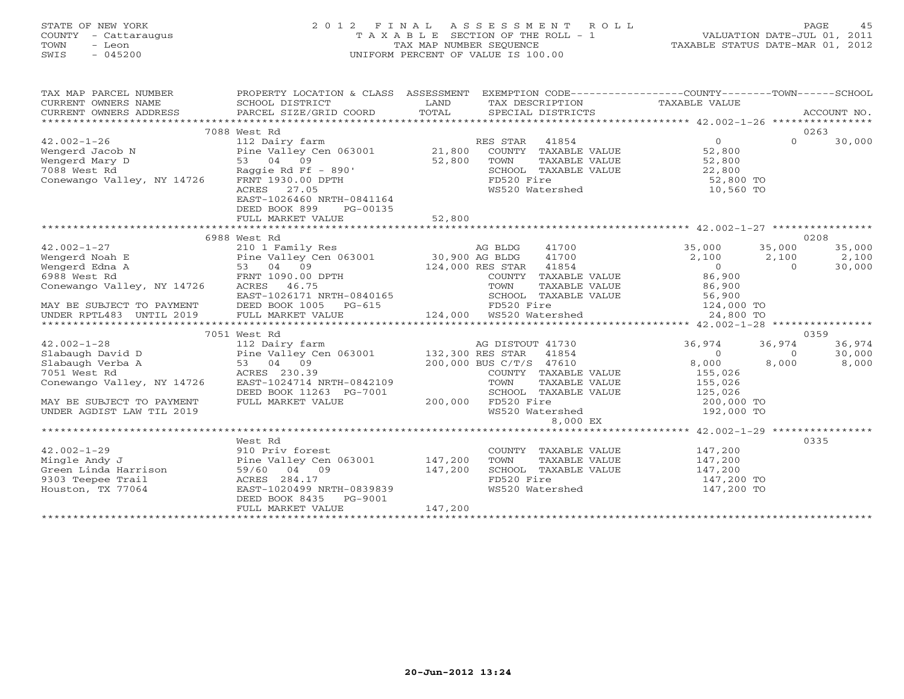# STATE OF NEW YORK 2 0 1 2 F I N A L A S S E S S M E N T R O L L PAGE 45 COUNTY - Cattaraugus T A X A B L E SECTION OF THE ROLL - 1 VALUATION DATE-JUL 01, 2011 TOWN - Leon TAX MAP NUMBER SEQUENCE TAXABLE STATUS DATE-MAR 01, 2012 SWIS - 045200 UNIFORM PERCENT OF VALUE IS 100.00UNIFORM PERCENT OF VALUE IS 100.00

| TAX MAP PARCEL NUMBER<br>CURRENT OWNERS NAME                                                                                       | PROPERTY LOCATION & CLASS ASSESSMENT EXEMPTION CODE----------------COUNTY-------TOWN------SCHOOL                                                                                                                                               |                               |                                                                                                               |                                                                          |          |        |
|------------------------------------------------------------------------------------------------------------------------------------|------------------------------------------------------------------------------------------------------------------------------------------------------------------------------------------------------------------------------------------------|-------------------------------|---------------------------------------------------------------------------------------------------------------|--------------------------------------------------------------------------|----------|--------|
|                                                                                                                                    | 7088 West Rd                                                                                                                                                                                                                                   |                               |                                                                                                               |                                                                          |          | 0263   |
| 42.002-1-26<br>Wengerd Jacob N Pine Valley Cen 063001 21,800<br>Wengerd Mary D 53 04 09 52,800<br>7088 West Rd Raggie Rd Ff - 890' |                                                                                                                                                                                                                                                |                               | RES STAR 41854                                                                                                | $\Omega$                                                                 | $\Omega$ | 30,000 |
|                                                                                                                                    |                                                                                                                                                                                                                                                |                               | COUNTY TAXABLE VALUE 52,800                                                                                   |                                                                          |          |        |
|                                                                                                                                    |                                                                                                                                                                                                                                                |                               |                                                                                                               |                                                                          |          |        |
|                                                                                                                                    |                                                                                                                                                                                                                                                |                               |                                                                                                               |                                                                          |          |        |
|                                                                                                                                    |                                                                                                                                                                                                                                                |                               |                                                                                                               |                                                                          |          |        |
|                                                                                                                                    |                                                                                                                                                                                                                                                |                               | TOWN TAXABLE VALUE 52,800<br>SCHOOL TAXABLE VALUE 52,800<br>FD520 Fire 52,800 TO<br>WS520 Watershed 10,560 TO |                                                                          |          |        |
|                                                                                                                                    |                                                                                                                                                                                                                                                |                               |                                                                                                               |                                                                          |          |        |
|                                                                                                                                    |                                                                                                                                                                                                                                                |                               |                                                                                                               |                                                                          |          |        |
|                                                                                                                                    |                                                                                                                                                                                                                                                |                               |                                                                                                               |                                                                          |          |        |
|                                                                                                                                    |                                                                                                                                                                                                                                                |                               |                                                                                                               |                                                                          |          |        |
|                                                                                                                                    | 6988 West Rd                                                                                                                                                                                                                                   |                               |                                                                                                               |                                                                          |          | 0208   |
|                                                                                                                                    |                                                                                                                                                                                                                                                |                               |                                                                                                               | 35,000<br>$2,100$ $35,000$ $35,000$ $35,000$<br>$2,100$ $2,100$ $30,000$ |          |        |
|                                                                                                                                    |                                                                                                                                                                                                                                                |                               |                                                                                                               |                                                                          |          |        |
|                                                                                                                                    |                                                                                                                                                                                                                                                |                               |                                                                                                               |                                                                          |          |        |
|                                                                                                                                    | FRNT 1090.00 DPTH<br>ACRES 46.75<br>EAST-1026171 NRTH-0840165<br>DEED BOOK 1005 PG-615<br>FULL MARBLE VALUE 24,000 TO FOS20 Fire<br>FULL MARBLE VALUE 56,900<br>FULL MARBLE VALUE 56,900<br>FULL MARKET VALUE 124,000 TO FOS20 Fire<br>FULL MA |                               |                                                                                                               |                                                                          |          |        |
| Conewango Valley, NY 14726                                                                                                         |                                                                                                                                                                                                                                                |                               |                                                                                                               |                                                                          |          |        |
|                                                                                                                                    |                                                                                                                                                                                                                                                |                               |                                                                                                               |                                                                          |          |        |
| MAY BE SUBJECT TO PAYMENT<br>UNDER RPTL483 UNTIL 2019                                                                              |                                                                                                                                                                                                                                                |                               |                                                                                                               |                                                                          |          |        |
|                                                                                                                                    |                                                                                                                                                                                                                                                |                               |                                                                                                               |                                                                          |          |        |
|                                                                                                                                    | 112 Dairy farm<br>Pine Valley Cen 063001<br>Pine Valley Cen 063001<br>53 04 09<br>ACRES 230.39<br>NY 14726<br>FAST-100471                                                                                                                      |                               |                                                                                                               |                                                                          |          |        |
|                                                                                                                                    |                                                                                                                                                                                                                                                |                               |                                                                                                               |                                                                          |          | 0359   |
| $42.002 - 1 - 28$                                                                                                                  |                                                                                                                                                                                                                                                |                               |                                                                                                               | 36,974                                                                   | 36,974   | 36,974 |
| Slabaugh David D                                                                                                                   |                                                                                                                                                                                                                                                |                               |                                                                                                               | $\overline{0}$                                                           | $\circ$  | 30,000 |
| Slabaugh Verba A                                                                                                                   |                                                                                                                                                                                                                                                |                               | COUNTY TAXABLE VALUE                                                                                          | 8,000                                                                    | 8,000    | 8,000  |
| 7051 West Rd<br>Conewango Valley, NY 14726 EAST-1024714 NRTH-0842109                                                               |                                                                                                                                                                                                                                                |                               |                                                                                                               | 155,026                                                                  |          |        |
|                                                                                                                                    |                                                                                                                                                                                                                                                |                               | TAXABLE VALUE                                                                                                 | 155,026                                                                  |          |        |
| MAY BE SUBJECT TO PAYMENT                                                                                                          | DEED BOOK 11263 PG-7001<br>FULL MARKET VALUE                                                                                                                                                                                                   |                               | SCHOOL TAXABLE VALUE<br>200,000 FD520 Fire                                                                    | VALUE 125,026<br>200,000 TO                                              |          |        |
| UNDER AGDIST LAW TIL 2019                                                                                                          |                                                                                                                                                                                                                                                |                               | WS520 Watershed 192,000 TO                                                                                    |                                                                          |          |        |
|                                                                                                                                    |                                                                                                                                                                                                                                                |                               | 8,000 EX                                                                                                      |                                                                          |          |        |
|                                                                                                                                    |                                                                                                                                                                                                                                                |                               |                                                                                                               |                                                                          |          |        |
|                                                                                                                                    | West Rd                                                                                                                                                                                                                                        |                               |                                                                                                               |                                                                          |          | 0335   |
| $42.002 - 1 - 29$                                                                                                                  |                                                                                                                                                                                                                                                |                               | COUNTY TAXABLE VALUE                                                                                          | 147,200                                                                  |          |        |
| Mingle Andy J                                                                                                                      |                                                                                                                                                                                                                                                |                               | TOWN<br>TAXABLE VALUE                                                                                         | 147,200                                                                  |          |        |
|                                                                                                                                    | 910 Priv torest<br>Pine Valley Cen 063001 147,200<br>Foren 04 09 147,200                                                                                                                                                                       |                               | SCHOOL TAXABLE VALUE                                                                                          | 147,200                                                                  |          |        |
|                                                                                                                                    |                                                                                                                                                                                                                                                | $147,200$ <sub>147</sub> ,200 |                                                                                                               |                                                                          |          |        |
|                                                                                                                                    |                                                                                                                                                                                                                                                |                               | FD520 Fire<br>WS520 Watershed 147,200 TO                                                                      |                                                                          |          |        |
|                                                                                                                                    | DEED BOOK 8435<br>PG-9001                                                                                                                                                                                                                      |                               |                                                                                                               |                                                                          |          |        |
|                                                                                                                                    | FULL MARKET VALUE                                                                                                                                                                                                                              | 147,200                       |                                                                                                               |                                                                          |          |        |
|                                                                                                                                    |                                                                                                                                                                                                                                                |                               |                                                                                                               |                                                                          |          |        |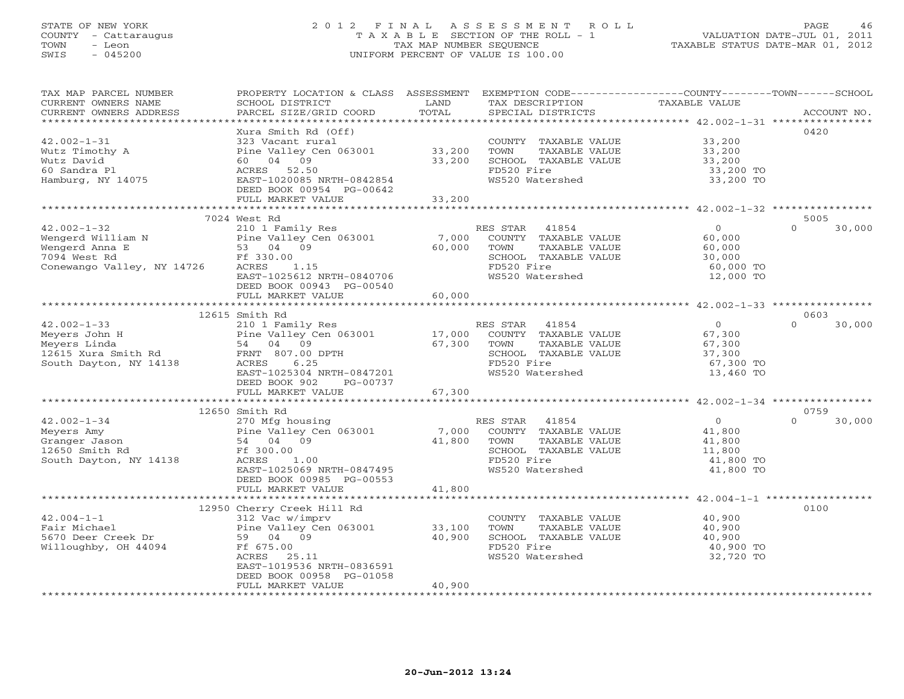# STATE OF NEW YORK 2 0 1 2 F I N A L A S S E S S M E N T R O L L PAGE 46 COUNTY - Cattaraugus T A X A B L E SECTION OF THE ROLL - 1 VALUATION DATE-JUL 01, 2011 TOWN - Leon TAX MAP NUMBER SEQUENCE TAXABLE STATUS DATE-MAR 01, 2012 SWIS - 045200 UNIFORM PERCENT OF VALUE IS 100.00UNIFORM PERCENT OF VALUE IS 100.00

| TAX MAP PARCEL NUMBER      | PROPERTY LOCATION & CLASS ASSESSMENT EXEMPTION CODE----------------COUNTY-------TOWN------SCHOOL |                          |                       |                                                       |                    |
|----------------------------|--------------------------------------------------------------------------------------------------|--------------------------|-----------------------|-------------------------------------------------------|--------------------|
| CURRENT OWNERS NAME        | SCHOOL DISTRICT                                                                                  | LAND                     | TAX DESCRIPTION       | TAXABLE VALUE                                         |                    |
| CURRENT OWNERS ADDRESS     | PARCEL SIZE/GRID COORD                                                                           | TOTAL                    | SPECIAL DISTRICTS     |                                                       | ACCOUNT NO.        |
|                            |                                                                                                  |                          |                       |                                                       |                    |
|                            | Xura Smith Rd (Off)                                                                              |                          |                       |                                                       | 0420               |
| $42.002 - 1 - 31$          | 323 Vacant rural                                                                                 |                          | COUNTY TAXABLE VALUE  | 33,200                                                |                    |
| Wutz Timothy A             | Pine Valley Cen 063001 33,200                                                                    |                          | TOWN<br>TAXABLE VALUE | 33,200                                                |                    |
| Wutz David                 | 60 04 09                                                                                         | 33,200                   | SCHOOL TAXABLE VALUE  | 33,200                                                |                    |
| 60 Sandra Pl               | ACRES 52.50                                                                                      |                          | FD520 Fire            | 33,200 TO                                             |                    |
| Hamburg, NY 14075          | EAST-1020085 NRTH-0842854                                                                        |                          | WS520 Watershed       | 33,200 TO                                             |                    |
|                            |                                                                                                  |                          |                       |                                                       |                    |
|                            | DEED BOOK 00954 PG-00642                                                                         |                          |                       |                                                       |                    |
|                            | FULL MARKET VALUE                                                                                | 33,200<br>*************  |                       |                                                       |                    |
|                            |                                                                                                  |                          |                       | ***************** 42.002-1-32 *****************       |                    |
|                            | 7024 West Rd                                                                                     |                          |                       |                                                       | 5005               |
| $42.002 - 1 - 32$          | 210 1 Family Res                                                                                 |                          | RES STAR<br>41854     | $\overline{O}$                                        | $\Omega$<br>30,000 |
| Wengerd William N          | Pine Valley Cen 063001                                                                           | 7,000                    | COUNTY TAXABLE VALUE  | 60,000                                                |                    |
| Wengerd Anna E             | 53 04 09                                                                                         | 60,000                   | TOWN<br>TAXABLE VALUE | 60,000                                                |                    |
| 7094 West Rd               | Ff 330.00                                                                                        |                          | SCHOOL TAXABLE VALUE  | 30,000                                                |                    |
| Conewango Valley, NY 14726 | ACRES<br>1.15                                                                                    |                          | FD520 Fire            | 60,000 TO                                             |                    |
|                            | EAST-1025612 NRTH-0840706                                                                        |                          | WS520 Watershed       | 12,000 TO                                             |                    |
|                            | DEED BOOK 00943 PG-00540                                                                         |                          |                       |                                                       |                    |
|                            | FULL MARKET VALUE                                                                                | 60,000                   |                       |                                                       |                    |
|                            |                                                                                                  |                          |                       |                                                       |                    |
|                            | 12615 Smith Rd                                                                                   |                          |                       |                                                       | 0603               |
|                            |                                                                                                  |                          |                       |                                                       | $\Omega$           |
| $42.002 - 1 - 33$          | 210 1 Family Res                                                                                 |                          | RES STAR<br>41854     | $\overline{0}$                                        | 30,000             |
| Meyers John H              | Pine Valley Cen 063001                                                                           | 17,000                   | COUNTY TAXABLE VALUE  | 67,300                                                |                    |
|                            |                                                                                                  | 67,300                   | TOWN<br>TAXABLE VALUE | 67,300                                                |                    |
|                            |                                                                                                  |                          | SCHOOL TAXABLE VALUE  | 37,300                                                |                    |
| South Dayton, NY 14138     | 6.25<br>ACRES                                                                                    |                          | FD520 Fire            | 67,300 TO                                             |                    |
|                            | EAST-1025304 NRTH-0847201                                                                        |                          | WS520 Watershed       | 13,460 TO                                             |                    |
|                            | DEED BOOK 902<br>PG-00737                                                                        |                          |                       |                                                       |                    |
|                            | FULL MARKET VALUE                                                                                | 67,300                   |                       |                                                       |                    |
|                            |                                                                                                  |                          |                       |                                                       |                    |
|                            | 12650 Smith Rd                                                                                   |                          |                       |                                                       | 0759               |
| $42.002 - 1 - 34$          | 270 Mfg housing                                                                                  |                          | RES STAR<br>41854     | $\overline{0}$                                        | 30,000<br>$\Omega$ |
| Meyers Amy                 | Pine Valley Cen 063001                                                                           | 7,000                    | COUNTY TAXABLE VALUE  | 41,800                                                |                    |
| Granger Jason              | 54 04 09                                                                                         | 41,800                   | TOWN<br>TAXABLE VALUE | 41,800                                                |                    |
|                            |                                                                                                  |                          |                       |                                                       |                    |
| 12650 Smith Rd             | Ff 300.00                                                                                        |                          | SCHOOL TAXABLE VALUE  | 11,800                                                |                    |
| South Dayton, NY 14138     | ACRES<br>1.00                                                                                    |                          | FD520 Fire            | 41,800 TO                                             |                    |
|                            | EAST-1025069 NRTH-0847495                                                                        |                          | WS520 Watershed       | 41,800 TO                                             |                    |
|                            | DEED BOOK 00985 PG-00553                                                                         |                          |                       |                                                       |                    |
|                            | FULL MARKET VALUE                                                                                | 41,800                   |                       |                                                       |                    |
|                            |                                                                                                  | ************************ |                       | ************************ 42.004-1-1 ***************** |                    |
|                            | 12950 Cherry Creek Hill Rd                                                                       |                          |                       |                                                       | 0100               |
| $42.004 - 1 - 1$           | 312 Vac w/imprv                                                                                  |                          | COUNTY TAXABLE VALUE  | 40,900                                                |                    |
| Fair Michael               | Pine Valley Cen 063001                                                                           | 33,100                   | TOWN<br>TAXABLE VALUE | 40,900                                                |                    |
| 5670 Deer Creek Dr         | 59 04 09                                                                                         | 40,900                   | SCHOOL TAXABLE VALUE  | 40,900                                                |                    |
| Willoughby, OH 44094       | Ff 675.00                                                                                        |                          | FD520 Fire            | 40,900 TO                                             |                    |
|                            | ACRES 25.11                                                                                      |                          | WS520 Watershed       | 32,720 TO                                             |                    |
|                            | EAST-1019536 NRTH-0836591                                                                        |                          |                       |                                                       |                    |
|                            |                                                                                                  |                          |                       |                                                       |                    |
|                            | DEED BOOK 00958 PG-01058                                                                         |                          |                       |                                                       |                    |
|                            | FULL MARKET VALUE                                                                                | 40,900                   |                       |                                                       |                    |
|                            |                                                                                                  |                          |                       |                                                       |                    |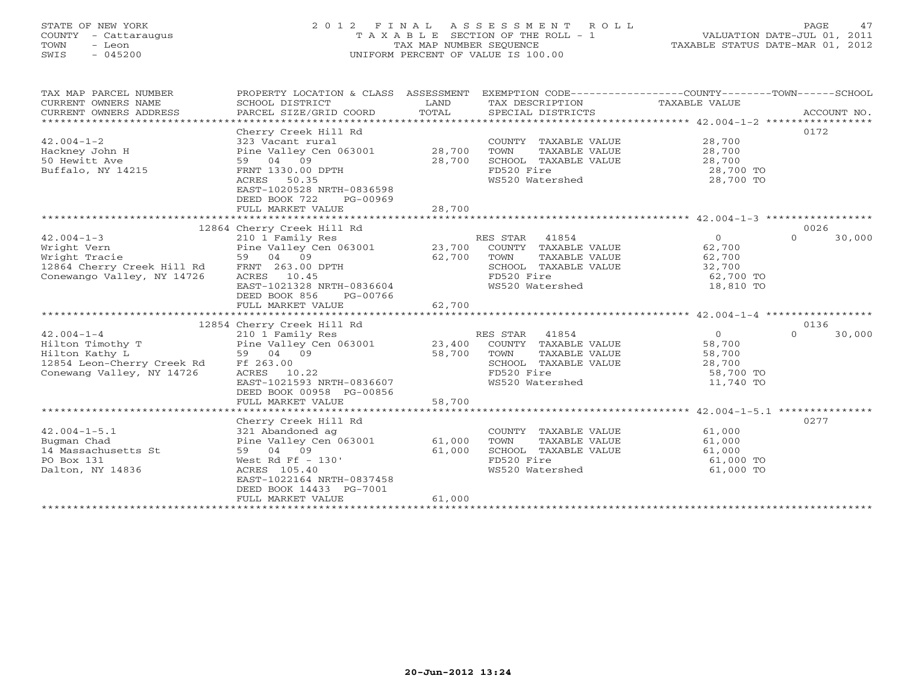# STATE OF NEW YORK 2 0 1 2 F I N A L A S S E S S M E N T R O L L PAGE 47 COUNTY - Cattaraugus T A X A B L E SECTION OF THE ROLL - 1 VALUATION DATE-JUL 01, 2011 TOWN - Leon TAX MAP NUMBER SEQUENCE TAXABLE STATUS DATE-MAR 01, 2012 SWIS - 045200 UNIFORM PERCENT OF VALUE IS 100.00UNIFORM PERCENT OF VALUE IS 100.00

| TAX MAP PARCEL NUMBER<br>CURRENT OWNERS NAME<br>CURRENT OWNERS ADDRESS | PROPERTY LOCATION & CLASS ASSESSMENT<br>SCHOOL DISTRICT<br>PARCEL SIZE/GRID COORD | LAND<br>TOTAL | EXEMPTION CODE-----------------COUNTY-------TOWN------SCHOOL<br>TAX DESCRIPTION<br>SPECIAL DISTRICTS | TAXABLE VALUE                                         | ACCOUNT NO.        |
|------------------------------------------------------------------------|-----------------------------------------------------------------------------------|---------------|------------------------------------------------------------------------------------------------------|-------------------------------------------------------|--------------------|
|                                                                        |                                                                                   |               |                                                                                                      |                                                       |                    |
|                                                                        | Cherry Creek Hill Rd                                                              |               |                                                                                                      |                                                       | 0172               |
| $42.004 - 1 - 2$                                                       | 323 Vacant rural                                                                  |               | COUNTY TAXABLE VALUE                                                                                 | 28,700                                                |                    |
| Hackney John H                                                         | Pine Valley Cen 063001                                                            | 28,700        | TOWN<br>TAXABLE VALUE                                                                                | 28,700                                                |                    |
| 50 Hewitt Ave                                                          | 59 04 09                                                                          | 28,700        | SCHOOL TAXABLE VALUE                                                                                 | 28,700                                                |                    |
| Buffalo, NY 14215                                                      | FRNT 1330.00 DPTH                                                                 |               | FD520 Fire                                                                                           | 28,700 TO                                             |                    |
|                                                                        | ACRES 50.35                                                                       |               | WS520 Watershed                                                                                      | 28,700 TO                                             |                    |
|                                                                        | EAST-1020528 NRTH-0836598                                                         |               |                                                                                                      |                                                       |                    |
|                                                                        | DEED BOOK 722<br>PG-00969                                                         |               |                                                                                                      |                                                       |                    |
|                                                                        | FULL MARKET VALUE                                                                 | 28,700        |                                                                                                      |                                                       |                    |
|                                                                        |                                                                                   |               |                                                                                                      |                                                       |                    |
|                                                                        | 12864 Cherry Creek Hill Rd                                                        |               |                                                                                                      |                                                       | 0026               |
| $42.004 - 1 - 3$                                                       | 210 1 Family Res                                                                  |               | RES STAR 41854                                                                                       | $\Omega$                                              | $\Omega$<br>30,000 |
| Wright Vern                                                            | Pine Valley Cen 063001                                                            | 23,700        | COUNTY TAXABLE VALUE                                                                                 | 62,700                                                |                    |
| Wright Tracie                                                          | 59 04 09                                                                          | 62,700        | TOWN<br>TAXABLE VALUE                                                                                | 62,700                                                |                    |
| 12864 Cherry Creek Hill Rd                                             | FRNT 263.00 DPTH                                                                  |               | SCHOOL TAXABLE VALUE                                                                                 | 32,700                                                |                    |
| Conewango Valley, NY 14726                                             | ACRES 10.45                                                                       |               | FD520 Fire                                                                                           | 62,700 TO                                             |                    |
|                                                                        | EAST-1021328 NRTH-0836604                                                         |               | WS520 Watershed                                                                                      | 18,810 TO                                             |                    |
|                                                                        | DEED BOOK 856<br>PG-00766                                                         |               |                                                                                                      |                                                       |                    |
|                                                                        | FULL MARKET VALUE                                                                 | 62,700        |                                                                                                      |                                                       |                    |
|                                                                        |                                                                                   |               |                                                                                                      |                                                       |                    |
|                                                                        | 12854 Cherry Creek Hill Rd                                                        |               |                                                                                                      |                                                       | 0136               |
| $42.004 - 1 - 4$                                                       | 210 1 Family Res                                                                  |               | RES STAR 41854                                                                                       | $\circ$                                               | $\Omega$<br>30,000 |
| Hilton Timothy T                                                       | Pine Valley Cen 063001                                                            | 23,400        | COUNTY TAXABLE VALUE                                                                                 | 58,700                                                |                    |
| Hilton Kathy L                                                         | 59 04 09                                                                          | 58,700        | TOWN<br>TAXABLE VALUE                                                                                | 58,700                                                |                    |
| 12854 Leon-Cherry Creek Rd                                             | Ff 263.00                                                                         |               | SCHOOL TAXABLE VALUE                                                                                 | 28,700                                                |                    |
| Conewang Valley, NY 14726                                              | ACRES 10.22                                                                       |               | FD520 Fire                                                                                           | 58,700 TO                                             |                    |
|                                                                        | EAST-1021593 NRTH-0836607                                                         |               | WS520 Watershed                                                                                      | 11,740 TO                                             |                    |
|                                                                        | DEED BOOK 00958 PG-00856                                                          |               |                                                                                                      |                                                       |                    |
|                                                                        | FULL MARKET VALUE                                                                 | 58,700        |                                                                                                      |                                                       |                    |
|                                                                        |                                                                                   |               |                                                                                                      | ************************ 42.004-1-5.1 *************** |                    |
|                                                                        | Cherry Creek Hill Rd                                                              |               |                                                                                                      |                                                       | 0277               |
| $42.004 - 1 - 5.1$                                                     | 321 Abandoned ag                                                                  |               | COUNTY TAXABLE VALUE                                                                                 | 61,000                                                |                    |
| Bugman Chad                                                            | Pine Valley Cen 063001                                                            | 61,000        | TOWN<br>TAXABLE VALUE                                                                                | 61,000                                                |                    |
| 14 Massachusetts St                                                    | 59 04 09                                                                          | 61,000        | SCHOOL TAXABLE VALUE                                                                                 | 61,000                                                |                    |
| PO Box 131                                                             | West Rd Ff $-130'$                                                                |               | FD520 Fire                                                                                           | 61,000 TO                                             |                    |
| Dalton, NY 14836                                                       | ACRES 105.40                                                                      |               | WS520 Watershed                                                                                      | 61,000 TO                                             |                    |
|                                                                        | EAST-1022164 NRTH-0837458                                                         |               |                                                                                                      |                                                       |                    |
|                                                                        | DEED BOOK 14433 PG-7001                                                           |               |                                                                                                      |                                                       |                    |
|                                                                        | FULL MARKET VALUE                                                                 | 61,000        |                                                                                                      |                                                       |                    |
|                                                                        |                                                                                   |               |                                                                                                      |                                                       |                    |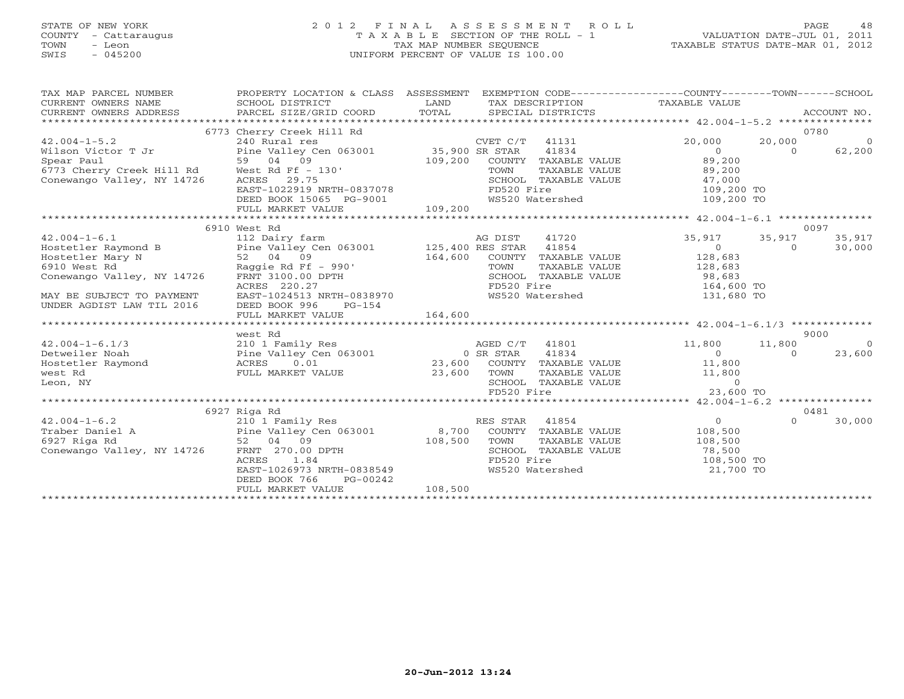# STATE OF NEW YORK 2 0 1 2 F I N A L A S S E S S M E N T R O L L PAGE 48 COUNTY - Cattaraugus T A X A B L E SECTION OF THE ROLL - 1 VALUATION DATE-JUL 01, 2011 TOWN - Leon TAX MAP NUMBER SEQUENCE TAXABLE STATUS DATE-MAR 01, 2012 SWIS - 045200 UNIFORM PERCENT OF VALUE IS 100.00UNIFORM PERCENT OF VALUE IS 100.00

| TAX MAP PARCEL NUMBER<br>CURRENT OWNERS NAME<br>CURRENT OWNERS ADDRESS PARCEL SIZE/GRID COORD TOTAL                                                                   | PROPERTY LOCATION & CLASS ASSESSMENT EXEMPTION CODE---------------COUNTY-------TOWN------SCHOOL<br>SCHOOL DISTRICT                                                                                     | LAND    |                              | SPECIAL DISTRICTS                                                                           | TAX DESCRIPTION TAXABLE VALUE                                                              |                    | ACCOUNT NO.               |
|-----------------------------------------------------------------------------------------------------------------------------------------------------------------------|--------------------------------------------------------------------------------------------------------------------------------------------------------------------------------------------------------|---------|------------------------------|---------------------------------------------------------------------------------------------|--------------------------------------------------------------------------------------------|--------------------|---------------------------|
| $42.004 - 1 - 5.2$<br>Wilson Victor T Jr<br>Spear Paul<br>6773 Cherry Creek Hill Rd West Rd Ff - 130'<br>Conewango Valley, NY 14726                                   | 6773 Cherry Creek Hill Rd<br>240 Rural res<br>Pine Valley Cen 063001 35,900 SR STAR 41834<br>59 04 09 109,200 COUNTY TAXABLE VALUE<br>West Rd Ff - 130' 109,200 COUNTY TAXABLE VALUE<br>ACRES<br>29.75 |         |                              | TAXABLE VALUE<br>SCHOOL TAXABLE VALUE                                                       | 20,000<br>80<br>89,200<br>89,200<br>47,000                                                 | 20,000<br>$\Omega$ | 0780<br>$\circ$<br>62,200 |
|                                                                                                                                                                       |                                                                                                                                                                                                        |         |                              |                                                                                             |                                                                                            |                    |                           |
|                                                                                                                                                                       | 6910 West Rd                                                                                                                                                                                           |         |                              |                                                                                             |                                                                                            |                    | 0097                      |
| $42.004 - 1 - 6.1$<br>Hostetler Raymond B<br>Hostetler Mary N<br>6910 West Rd<br>Conewango Valley, NY 14726<br>MAY BE SUBJECT TO PAYMENT<br>UNDER AGDIST LAW TIL 2016 | Raggie Rd Ff - 990'<br>FRNT 3100.00 DPTH<br>ACRES 220.27<br>EAST-1024513 NRTH-0838970<br>DEED BOOK 996<br>$PG-154$                                                                                     | 164,600 | COUNTY<br>TOWN<br>FD520 Fire | 41720<br>41854<br>TAXABLE VALUE<br>TAXABLE VALUE<br>SCHOOL TAXABLE VALUE<br>WS520 Watershed | 35,917<br>$\overline{0}$<br>128,683<br>128,683<br>$-20,000$<br>164,600 TO<br>131,680 TO    | 35,917<br>$\Omega$ | 35,917<br>30,000          |
|                                                                                                                                                                       | FULL MARKET VALUE                                                                                                                                                                                      | 164,600 |                              |                                                                                             |                                                                                            |                    |                           |
|                                                                                                                                                                       | west Rd                                                                                                                                                                                                |         |                              |                                                                                             |                                                                                            |                    | 9000                      |
| $42.004 - 1 - 6.1/3$<br>Detweiler Noah<br>Hostetler Raymond<br>west Rd<br>Leon, NY                                                                                    | West Ka and Market AGED C/T<br>210 1 Family Res and Market AGED C/T<br>Pine Valley Cen 063001 0 SR STAR<br>ACRES 0.01 23,600 COUNTY<br>FULL MARKET VALUE                                               | 23,600  | TOWN<br>FD520 Fire           | AGED C/T 41801<br>41834<br>TAXABLE VALUE<br>SCHOOL TAXABLE VALUE                            | 11,800<br>$\Omega$<br>COUNTY TAXABLE VALUE 11,800<br>11,800<br>$\overline{0}$<br>23,600 TO | 11,800<br>$\Omega$ | $\overline{0}$<br>23,600  |
|                                                                                                                                                                       | 6927 Riga Rd                                                                                                                                                                                           |         |                              |                                                                                             |                                                                                            |                    | 0481                      |
| $42.004 - 1 - 6.2$<br>Conewango Valley, NY 14726                                                                                                                      | 210 1 Family Res<br>FRNT 270.00 DPTH<br>1.84<br>ACRES<br>EAST-1026973 NRTH-0838549<br>DEED BOOK 766<br>PG-00242<br>FULL MARKET VALUE                                                                   | 108,500 | RES STAR 41854<br>FD520 Fire | SCHOOL TAXABLE VALUE<br>WS520 Watershed                                                     | $\overline{O}$<br>108,500<br>108,500<br>78,500<br>$108,500$ TO<br>21,700 TO                | $\Omega$           | 30,000                    |
|                                                                                                                                                                       |                                                                                                                                                                                                        |         |                              |                                                                                             |                                                                                            |                    |                           |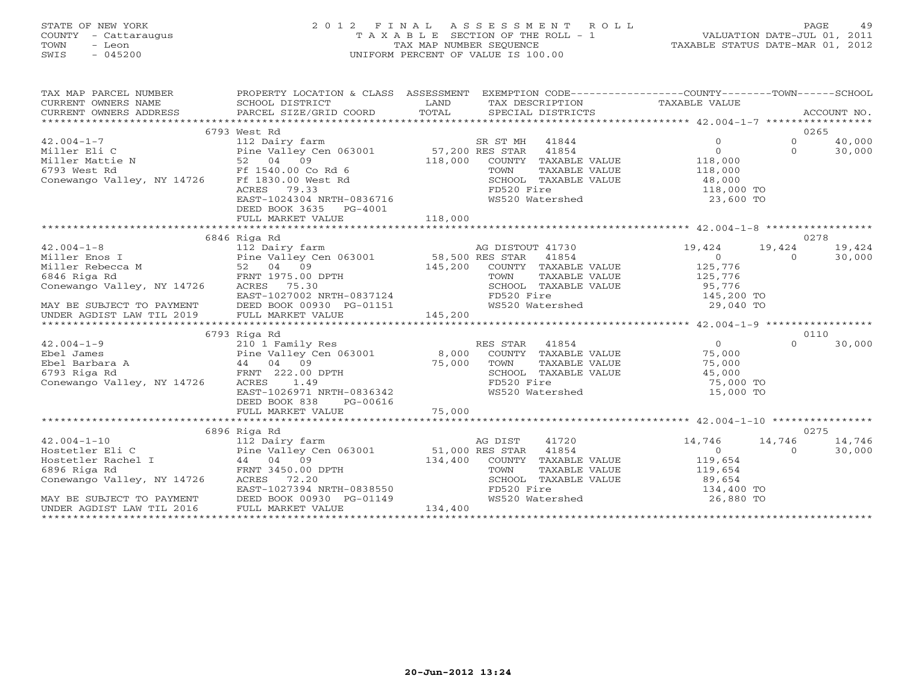# STATE OF NEW YORK 2 0 1 2 F I N A L A S S E S S M E N T R O L L PAGE 49 COUNTY - Cattaraugus T A X A B L E SECTION OF THE ROLL - 1 VALUATION DATE-JUL 01, 2011 TOWN - Leon TAX MAP NUMBER SEQUENCE TAXABLE STATUS DATE-MAR 01, 2012 SWIS - 045200 UNIFORM PERCENT OF VALUE IS 100.00UNIFORM PERCENT OF VALUE IS 100.00

| TAX MAP PARCEL NUMBER                                                            | PROPERTY LOCATION & CLASS ASSESSMENT EXEMPTION CODE----------------COUNTY-------TOWN------SCHOOL                                                      |         |                                                                                                  |                                                           |                |        |
|----------------------------------------------------------------------------------|-------------------------------------------------------------------------------------------------------------------------------------------------------|---------|--------------------------------------------------------------------------------------------------|-----------------------------------------------------------|----------------|--------|
|                                                                                  | 6793 West Rd                                                                                                                                          |         |                                                                                                  |                                                           | 0265           |        |
| $42.004 - 1 - 7$                                                                 |                                                                                                                                                       |         | SR ST MH 41844                                                                                   | $\Omega$                                                  | $\Omega$       | 40,000 |
| Miller Eli C                                                                     | 112 Dairy farm                                                                                                                                        |         |                                                                                                  | $\Omega$                                                  | $\Omega$       | 30,000 |
|                                                                                  | Pine Valley Cen 063001 57,200 RES STAR 41854                                                                                                          | 118,000 |                                                                                                  |                                                           |                |        |
|                                                                                  |                                                                                                                                                       |         | COUNTY TAXABLE VALUE                                                                             | 118,000<br>118,000                                        |                |        |
| Conewango Valley, NY 14726 Ff 1830.00 West Rd                                    |                                                                                                                                                       |         | TOWN<br>TAXABLE VALUE                                                                            |                                                           |                |        |
|                                                                                  | Ff 1830.00 West Rd<br>ACRES 79.33<br>EAST-1024304 NRTH-0836716                                                                                        |         | SCHOOL TAXABLE VALUE                                                                             | 48,000<br>$118,000$ TO                                    |                |        |
|                                                                                  |                                                                                                                                                       |         | rubz0 Fire<br>WS520 Watershed                                                                    |                                                           |                |        |
|                                                                                  |                                                                                                                                                       |         |                                                                                                  |                                                           |                |        |
|                                                                                  |                                                                                                                                                       |         |                                                                                                  |                                                           |                |        |
|                                                                                  |                                                                                                                                                       |         |                                                                                                  |                                                           |                |        |
|                                                                                  | 6846 Riga Rd                                                                                                                                          |         |                                                                                                  |                                                           |                |        |
| $42.004 - 1 - 8$                                                                 |                                                                                                                                                       |         |                                                                                                  | 19,424                                                    | 0278<br>19,424 | 19,424 |
|                                                                                  | 112 Dairy farm<br>112 Dairy farm<br>Pine Valley Cen 063001 58,500 RES STAR 41854<br>52 04 09 145,200 COUNTY TAXABLE<br>FRNT 1975.00 DPTH TOWN TAXABLE |         |                                                                                                  | $\overline{0}$                                            |                |        |
| Miller Enos I                                                                    |                                                                                                                                                       |         |                                                                                                  |                                                           | $\Omega$       | 30,000 |
| Miller Rebecca M                                                                 |                                                                                                                                                       | 145,200 | COUNTY TAXABLE VALUE 125,776                                                                     |                                                           |                |        |
| 6846 Riga Rd<br>Conewango Valley, NY 14726                                       |                                                                                                                                                       |         |                                                                                                  |                                                           |                |        |
|                                                                                  | ACRES 75.30                                                                                                                                           |         |                                                                                                  |                                                           |                |        |
|                                                                                  |                                                                                                                                                       |         | TOWN TAXABLE VALUE 125,776<br>SCHOOL TAXABLE VALUE 95,776<br>FD520 Fire 145,200 TO<br>145,200 TO |                                                           |                |        |
|                                                                                  |                                                                                                                                                       |         |                                                                                                  |                                                           |                |        |
|                                                                                  |                                                                                                                                                       |         |                                                                                                  |                                                           |                |        |
|                                                                                  | 6793 Riga Rd                                                                                                                                          |         |                                                                                                  |                                                           | 0110           |        |
| $42.004 - 1 - 9$                                                                 |                                                                                                                                                       |         | RES STAR 41854                                                                                   | $\overline{0}$                                            | $\Omega$       | 30,000 |
| Ebel James                                                                       | 210 1 Family Res                                                                                                                                      |         | COUNTY TAXABLE VALUE 75,000                                                                      |                                                           |                |        |
| Ebel Barbara A                                                                   | Pine Valley Cen 063001 8,000<br>A 44 04 09 75,000<br>FRNT 222.00 DPTH                                                                                 |         |                                                                                                  | 75,000                                                    |                |        |
| 6793 Riga Rd                                                                     |                                                                                                                                                       | 75,000  | TOWN<br>TAXABLE VALUE<br>SCHOOL TAXABLE VALUE                                                    | $\begin{array}{c} 75,000 \\ 45,000 \\ 75,000 \end{array}$ |                |        |
| Conewango Valley, NY 14726                                                       | ACRES<br>1.49                                                                                                                                         |         | FD520 Fire                                                                                       | 75,000 TO                                                 |                |        |
|                                                                                  | EAST-1026971 NRTH-0836342                                                                                                                             |         | WS520 Watershed                                                                                  | 15,000 TO                                                 |                |        |
|                                                                                  | PG-00616                                                                                                                                              |         |                                                                                                  |                                                           |                |        |
|                                                                                  | DEED BOOK 838                                                                                                                                         |         |                                                                                                  |                                                           |                |        |
|                                                                                  |                                                                                                                                                       |         |                                                                                                  |                                                           |                |        |
|                                                                                  | 6896 Riga Rd                                                                                                                                          |         |                                                                                                  |                                                           | 0275           |        |
|                                                                                  |                                                                                                                                                       |         |                                                                                                  | 14,746                                                    | 14,746         | 14,746 |
|                                                                                  |                                                                                                                                                       |         |                                                                                                  | $\overline{0}$                                            | $\circ$        | 30,000 |
|                                                                                  |                                                                                                                                                       |         | COUNTY TAXABLE VALUE                                                                             | 119,654                                                   |                |        |
|                                                                                  |                                                                                                                                                       |         | TAXABLE VALUE                                                                                    | 119,654                                                   |                |        |
| Conewango Valley, NY 14726                                                       | FRNT 3450.00 DPTH<br>ACRES 72.20<br>EAST-1027394 NRTH-0838550                                                                                         |         | SCHOOL TAXABLE VALUE                                                                             |                                                           |                |        |
|                                                                                  |                                                                                                                                                       |         | FD520 Fire                                                                                       | 89,654<br>134,400 TO                                      |                |        |
|                                                                                  |                                                                                                                                                       |         | FD520 Fire<br>WS520 Watershed 26,880 TO                                                          |                                                           |                |        |
| MAY BE SUBJECT TO PAYMENT<br>UNDER AGDIST LAW TIL 2016 FULL MARKET VALUE 134,400 |                                                                                                                                                       |         |                                                                                                  |                                                           |                |        |
|                                                                                  |                                                                                                                                                       |         |                                                                                                  |                                                           |                |        |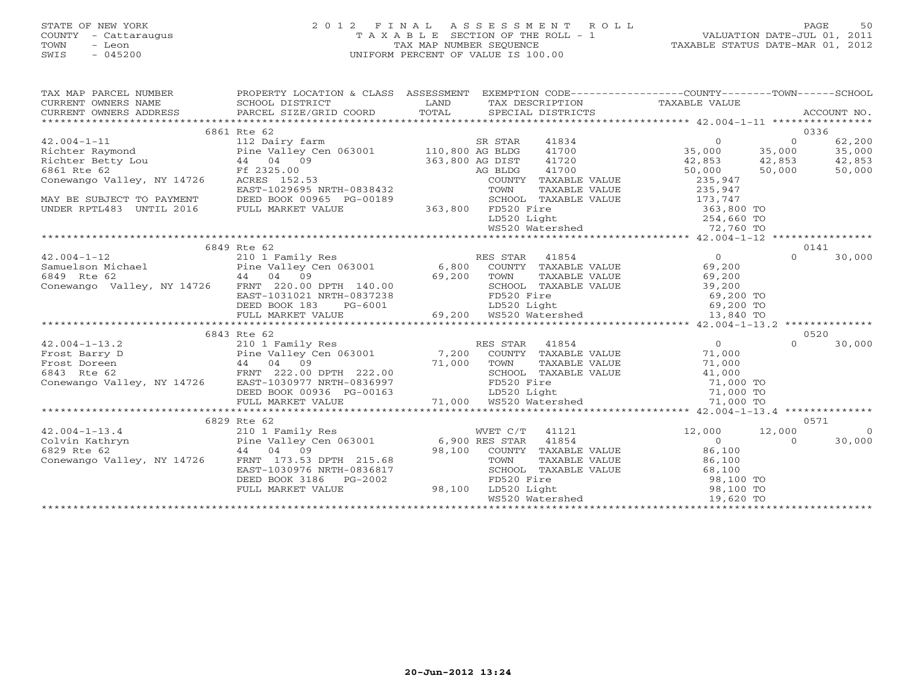# STATE OF NEW YORK 2 0 1 2 F I N A L A S S E S S M E N T R O L L PAGE 50 COUNTY - Cattaraugus T A X A B L E SECTION OF THE ROLL - 1 VALUATION DATE-JUL 01, 2011 TOWN - Leon TAX MAP NUMBER SEQUENCE TAXABLE STATUS DATE-MAR 01, 2012 SWIS - 045200 UNIFORM PERCENT OF VALUE IS 100.00UNIFORM PERCENT OF VALUE IS 100.00

| TAX MAP PARCEL NUMBER                                                                                                                                                                                                         | PROPERTY LOCATION & CLASS ASSESSMENT EXEMPTION CODE---------------COUNTY-------TOWN-----SCHOOL                                                               |         |                |                      | TAX DESCRIPTION TAXABLE VALUE SPECIAL DISTRICTS                                                                                                                                                                                                      |          | ACCOUNT NO.    |
|-------------------------------------------------------------------------------------------------------------------------------------------------------------------------------------------------------------------------------|--------------------------------------------------------------------------------------------------------------------------------------------------------------|---------|----------------|----------------------|------------------------------------------------------------------------------------------------------------------------------------------------------------------------------------------------------------------------------------------------------|----------|----------------|
|                                                                                                                                                                                                                               | 6861 Rte 62                                                                                                                                                  |         |                |                      |                                                                                                                                                                                                                                                      |          | 0336           |
| 42.004-1-11 12 Dairy farm SR STAR<br>Richter Raymond Pine Valley Cen 063001 110,800 AG BLDG<br>Richter Betty Lou 44 04 09 363,800 AG DIST<br>6861 Rte 62 Ff 2325.00 AG BLDG<br>Conewango Valley, NY 14726 ACRES 152.53 COUNTY |                                                                                                                                                              |         |                | 41834                | $\Omega$                                                                                                                                                                                                                                             | $\Omega$ | 62,200         |
|                                                                                                                                                                                                                               |                                                                                                                                                              |         |                | 41700                | 35,000                                                                                                                                                                                                                                               | 35,000   | 35,000         |
|                                                                                                                                                                                                                               |                                                                                                                                                              |         |                | 41720                | 42,853                                                                                                                                                                                                                                               | 42,853   | 42,853         |
|                                                                                                                                                                                                                               |                                                                                                                                                              |         |                | 41700                | 50,000                                                                                                                                                                                                                                               | 50,000   | 50,000         |
|                                                                                                                                                                                                                               |                                                                                                                                                              |         |                | COUNTY TAXABLE VALUE | 235,947                                                                                                                                                                                                                                              |          |                |
|                                                                                                                                                                                                                               | EAST-1029695 NRTH-0838432                                                                                                                                    |         | TOWN           | TAXABLE VALUE        | 235,947                                                                                                                                                                                                                                              |          |                |
| MAY BE SUBJECT TO PAYMENT                                                                                                                                                                                                     | DEED BOOK 00965 PG-00189                                                                                                                                     |         |                | SCHOOL TAXABLE VALUE | 173,747                                                                                                                                                                                                                                              |          |                |
| UNDER RPTL483 UNTIL 2016                                                                                                                                                                                                      | FULL MARKET VALUE                                                                                                                                            | 363,800 | FD520 Fire     |                      |                                                                                                                                                                                                                                                      |          |                |
|                                                                                                                                                                                                                               |                                                                                                                                                              |         |                |                      | FD520 Fire 363,800 TO<br>LD520 Light 363,800 TO<br>WS520 Watershed 72,760 TO                                                                                                                                                                         |          |                |
|                                                                                                                                                                                                                               |                                                                                                                                                              |         |                |                      |                                                                                                                                                                                                                                                      |          |                |
|                                                                                                                                                                                                                               |                                                                                                                                                              |         |                |                      |                                                                                                                                                                                                                                                      |          |                |
|                                                                                                                                                                                                                               | 6849 Rte 62                                                                                                                                                  |         |                |                      |                                                                                                                                                                                                                                                      |          | 0141           |
| $42.004 - 1 - 12$                                                                                                                                                                                                             | 210 1 Family Res                                                                                                                                             |         | RES STAR       | 41854                | $\overline{O}$                                                                                                                                                                                                                                       | $\Omega$ | 30,000         |
|                                                                                                                                                                                                                               |                                                                                                                                                              |         |                |                      | 69,200                                                                                                                                                                                                                                               |          |                |
|                                                                                                                                                                                                                               |                                                                                                                                                              |         |                |                      | 39,200<br>PPTH 140.00<br>PPTH 140.00<br>RTH-0837238<br>PG-6001<br>FD520 Fire<br>FD520 Light<br>FD520 Light<br>FD520 Light<br>FD520 Light<br>FD520 Matershed<br>FD520 Matershed<br>FD520 Matershed<br>FD520 Matershed<br>FD520 Matershed<br>13,840 TO |          |                |
| Conewango Valley, NY 14726 FRNT 220.00 DPTH 140.00                                                                                                                                                                            |                                                                                                                                                              |         |                |                      |                                                                                                                                                                                                                                                      |          |                |
|                                                                                                                                                                                                                               | EAST-1031021 NRTH-0837238                                                                                                                                    |         |                |                      |                                                                                                                                                                                                                                                      |          |                |
|                                                                                                                                                                                                                               | DEED BOOK 183                                                                                                                                                |         |                |                      |                                                                                                                                                                                                                                                      |          |                |
|                                                                                                                                                                                                                               | FULL MARKET VALUE                                                                                                                                            |         |                |                      |                                                                                                                                                                                                                                                      |          |                |
|                                                                                                                                                                                                                               |                                                                                                                                                              |         |                |                      |                                                                                                                                                                                                                                                      |          |                |
|                                                                                                                                                                                                                               | 6843 Rte 62                                                                                                                                                  |         |                |                      |                                                                                                                                                                                                                                                      |          | 0520           |
| $42.004 - 1 - 13.2$                                                                                                                                                                                                           | 210 1 Family Res<br>210 1 Family Res<br>Pine Valley Cen 063001 7,200<br>44 04 09 71,000<br>FRNT 222.00 DPTH 222.00<br>ey, NY 14726 EAST-1030977 NRTH-0836997 |         | RES STAR 41854 |                      | $\overline{0}$                                                                                                                                                                                                                                       | $\Omega$ | 30,000         |
| Frost Barry D                                                                                                                                                                                                                 |                                                                                                                                                              |         |                |                      | COUNTY TAXABLE VALUE 71,000                                                                                                                                                                                                                          |          |                |
| Frost Doreen                                                                                                                                                                                                                  |                                                                                                                                                              |         | TOWN           | TAXABLE VALUE        | 71,000                                                                                                                                                                                                                                               |          |                |
| 6843 Rte 62                                                                                                                                                                                                                   |                                                                                                                                                              |         |                | SCHOOL TAXABLE VALUE | 41,000                                                                                                                                                                                                                                               |          |                |
| Conewango Valley, NY 14726 EAST-1030977 NRTH-0836997                                                                                                                                                                          |                                                                                                                                                              |         | FD520 Fire     |                      | 71,000 TO                                                                                                                                                                                                                                            |          |                |
|                                                                                                                                                                                                                               |                                                                                                                                                              |         |                |                      |                                                                                                                                                                                                                                                      |          |                |
|                                                                                                                                                                                                                               |                                                                                                                                                              |         |                |                      |                                                                                                                                                                                                                                                      |          |                |
|                                                                                                                                                                                                                               |                                                                                                                                                              |         |                |                      |                                                                                                                                                                                                                                                      |          |                |
|                                                                                                                                                                                                                               | 6829 Rte 62<br>210 1 Family Res<br>210 1 Family Res<br>Pine Valley Cen 063001 6,900 RES STAR<br>44 04 09 98.100 COUNTY                                       |         |                |                      |                                                                                                                                                                                                                                                      |          | 0571           |
| $42.004 - 1 - 13.4$                                                                                                                                                                                                           |                                                                                                                                                              |         | WVET C/T       | 41121                | $12,000$<br>0                                                                                                                                                                                                                                        | 12,000   | $\overline{0}$ |
| Colvin Kathryn                                                                                                                                                                                                                |                                                                                                                                                              |         |                | 41854                |                                                                                                                                                                                                                                                      | $\Omega$ | 30,000         |
| 6829 Rte 62                                                                                                                                                                                                                   |                                                                                                                                                              |         |                | COUNTY TAXABLE VALUE | 86,100                                                                                                                                                                                                                                               |          |                |
| Conewango Valley, NY 14726                                                                                                                                                                                                    | FRNT 173.53 DPTH 215.68                                                                                                                                      |         | TOWN           | TAXABLE VALUE        | 86,100                                                                                                                                                                                                                                               |          |                |
|                                                                                                                                                                                                                               | EAST-1030976 NRTH-0836817                                                                                                                                    |         |                | SCHOOL TAXABLE VALUE |                                                                                                                                                                                                                                                      |          |                |
|                                                                                                                                                                                                                               | DEED BOOK 3186<br>PG-2002                                                                                                                                    |         | FD520 Fire     |                      | 00,100 TO<br>98,100 TO<br>08 100 TO                                                                                                                                                                                                                  |          |                |
|                                                                                                                                                                                                                               | FULL MARKET VALUE                                                                                                                                            | 98,100  | LD520 Light    |                      |                                                                                                                                                                                                                                                      |          |                |
|                                                                                                                                                                                                                               |                                                                                                                                                              |         |                | WS520 Watershed      | $98,100$ TO<br>98,100 TO<br>98,100 TO<br>99,620 TO                                                                                                                                                                                                   |          |                |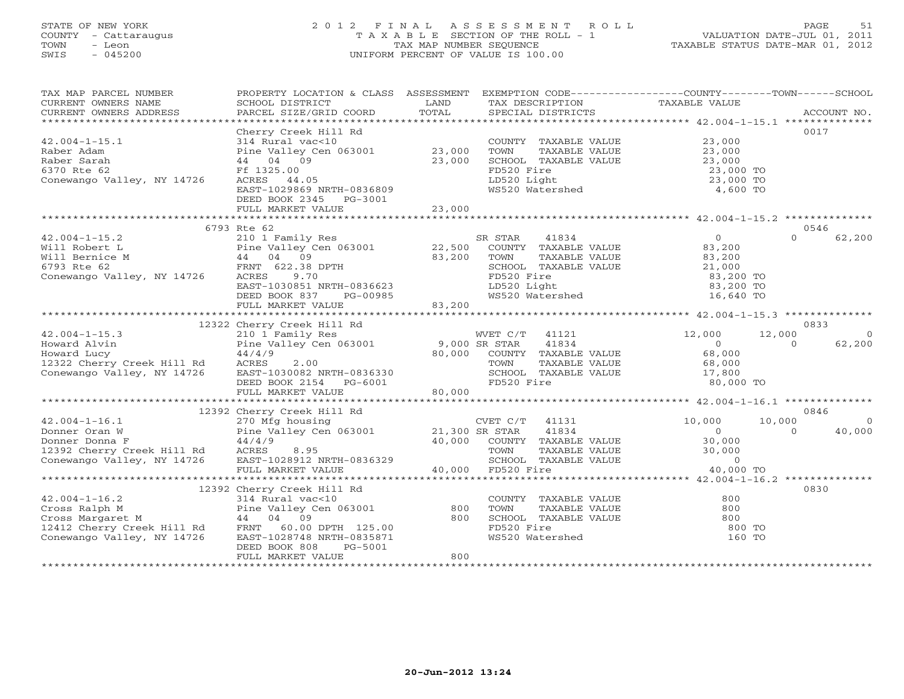# STATE OF NEW YORK 2 0 1 2 F I N A L A S S E S S M E N T R O L L PAGE 51 COUNTY - Cattaraugus T A X A B L E SECTION OF THE ROLL - 1 VALUATION DATE-JUL 01, 2011 TOWN - Leon TAX MAP NUMBER SEQUENCE TAXABLE STATUS DATE-MAR 01, 2012 SWIS - 045200 UNIFORM PERCENT OF VALUE IS 100.00UNIFORM PERCENT OF VALUE IS 100.00

| TAX MAP PARCEL NUMBER                                                                                                                                                                                                                                            | PROPERTY LOCATION & CLASS ASSESSMENT EXEMPTION CODE----------------COUNTY-------TOWN------SCHOOL |        |                                                     |                                                               |                    |
|------------------------------------------------------------------------------------------------------------------------------------------------------------------------------------------------------------------------------------------------------------------|--------------------------------------------------------------------------------------------------|--------|-----------------------------------------------------|---------------------------------------------------------------|--------------------|
|                                                                                                                                                                                                                                                                  |                                                                                                  |        |                                                     |                                                               |                    |
|                                                                                                                                                                                                                                                                  | Cherry Creek Hill Rd                                                                             |        |                                                     |                                                               | 0017               |
| $42.004 - 1 - 15.1$                                                                                                                                                                                                                                              | 314 Rural vac<10                                                                                 |        | COUNTY TAXABLE VALUE 23,000                         |                                                               |                    |
| Raber Adam                                                                                                                                                                                                                                                       | Pine Valley Cen 063001 23,000                                                                    |        | TOWN                                                |                                                               |                    |
| Raber Sarah                                                                                                                                                                                                                                                      | 44 04 09                                                                                         | 23,000 | SCHOOL TAXABLE VALUE                                | TAXABLE VALUE<br>TAXABLE VALUE 23,000<br>TAXABLE VALUE 23,000 |                    |
| 6370 Rte 62                                                                                                                                                                                                                                                      | Ff 1325.00                                                                                       |        | FD520 Fire                                          |                                                               |                    |
| Conewango Valley, NY 14726                                                                                                                                                                                                                                       | ACRES 44.05                                                                                      |        |                                                     | 23,000 TO<br>23,000 TO                                        |                    |
|                                                                                                                                                                                                                                                                  | EAST-1029869 NRTH-0836809                                                                        |        | FD520 Fire<br>LD520 Light<br>WS520 Watershed        | 4,600 TO                                                      |                    |
|                                                                                                                                                                                                                                                                  | DEED BOOK 2345 PG-3001                                                                           |        |                                                     |                                                               |                    |
|                                                                                                                                                                                                                                                                  | FULL MARKET VALUE                                                                                | 23,000 |                                                     |                                                               |                    |
|                                                                                                                                                                                                                                                                  |                                                                                                  |        |                                                     |                                                               |                    |
|                                                                                                                                                                                                                                                                  | 6793 Rte 62                                                                                      |        |                                                     |                                                               | 0546               |
| 42.004-1-15.2<br>Will Robert L<br>Will Bernice M<br>Fine Valley Cen 063001<br>$44$ 04 09<br>6793 Rte 62<br>Conewango Valley, NY 14726<br>$4726$<br>RENT 622.38 DPTH<br>$523.200$<br>$579.70$<br>$57.0$<br>$57.0$<br>$57.0$<br>$57.0$<br>$57.0$<br>$57.0$<br>$57$ |                                                                                                  |        | SR STAR<br>41834                                    | $\Omega$                                                      | $\Omega$<br>62,200 |
|                                                                                                                                                                                                                                                                  |                                                                                                  |        | COUNTY TAXABLE VALUE 83,200                         |                                                               |                    |
|                                                                                                                                                                                                                                                                  |                                                                                                  |        | TOWN<br>TAXABLE VALUE                               | 83,200                                                        |                    |
|                                                                                                                                                                                                                                                                  |                                                                                                  |        | SCHOOL TAXABLE VALUE                                | 21,000                                                        |                    |
|                                                                                                                                                                                                                                                                  |                                                                                                  |        |                                                     | 83,200 TO                                                     |                    |
|                                                                                                                                                                                                                                                                  |                                                                                                  |        |                                                     | 83,200 TO                                                     |                    |
|                                                                                                                                                                                                                                                                  |                                                                                                  |        | FD520 Fire<br>LD520 Light<br>WS520 Watershed        | 16,640 TO                                                     |                    |
|                                                                                                                                                                                                                                                                  | FULL MARKET VALUE                                                                                | 83,200 |                                                     |                                                               |                    |
|                                                                                                                                                                                                                                                                  |                                                                                                  |        |                                                     |                                                               |                    |
|                                                                                                                                                                                                                                                                  |                                                                                                  |        |                                                     |                                                               | 0833               |
| $42.004 - 1 - 15.3$                                                                                                                                                                                                                                              |                                                                                                  |        |                                                     | 12,000<br>12,000                                              | $\overline{0}$     |
| Howard Alvin                                                                                                                                                                                                                                                     |                                                                                                  |        |                                                     | $\begin{array}{c} 0 \\ 68,000 \end{array}$                    | 62,200<br>$\Omega$ |
| Howard Lucy                                                                                                                                                                                                                                                      |                                                                                                  |        |                                                     |                                                               |                    |
| 12322 Cherry Creek Hill Rd<br>Conewango Valley, NY 14726 EAST-1030082 NRTH-0836330                                                                                                                                                                               |                                                                                                  |        | TAXABLE VALUE                                       | 68,000                                                        |                    |
|                                                                                                                                                                                                                                                                  |                                                                                                  |        |                                                     |                                                               |                    |
|                                                                                                                                                                                                                                                                  | DEED BOOK 2154 PG-6001                                                                           |        | SCHOOL TAXABLE VALUE 17,800<br>FD520 Fire 80,000 TO |                                                               |                    |
|                                                                                                                                                                                                                                                                  | FULL MARKET VALUE                                                                                | 80,000 |                                                     |                                                               |                    |
|                                                                                                                                                                                                                                                                  |                                                                                                  |        |                                                     |                                                               |                    |
|                                                                                                                                                                                                                                                                  |                                                                                                  |        |                                                     |                                                               | 0846               |
|                                                                                                                                                                                                                                                                  |                                                                                                  |        |                                                     | 10,000<br>10,000                                              | $\Omega$           |
|                                                                                                                                                                                                                                                                  |                                                                                                  |        |                                                     | $\Omega$                                                      | $\Omega$<br>40,000 |
|                                                                                                                                                                                                                                                                  |                                                                                                  |        | 40,000 COUNTY TAXABLE VALUE 30,000                  |                                                               |                    |
|                                                                                                                                                                                                                                                                  |                                                                                                  |        |                                                     |                                                               |                    |
| Conewango Valley, NY 14726 EAST-1028912 NRTH-0836329                                                                                                                                                                                                             |                                                                                                  |        | SCHOOL TAXABLE VALUE                                | TAXABLE VALUE 30,000<br>TAXABLE VALUE 0<br>ire 40,000         |                    |
|                                                                                                                                                                                                                                                                  | FULL MARKET VALUE                                                                                |        | 40,000 FD520 Fire                                   | 40,000 TO                                                     |                    |
|                                                                                                                                                                                                                                                                  |                                                                                                  |        |                                                     |                                                               |                    |
|                                                                                                                                                                                                                                                                  | 12392 Cherry Creek Hill Rd                                                                       |        |                                                     |                                                               | 0830               |
|                                                                                                                                                                                                                                                                  |                                                                                                  |        | COUNTY TAXABLE VALUE                                | 800<br>800                                                    |                    |
| 12392 Cherry Creek Hill Rd<br>314 Rural vac<10<br>214 Rural vac<10<br>21412 Cherry Creek Hill Rd<br>21412 Cherry Creek Hill Rd<br>21412 Cherry Creek Hill Rd<br>200 BPTH<br>21412 Cherry Creek Hill Rd<br>200 BPTH<br>21412 Cherry Creek Hill Rd                 |                                                                                                  |        | TOWN<br>TAXABLE VALUE<br>SCHOOL TAXABLE VALUE 800   |                                                               |                    |
|                                                                                                                                                                                                                                                                  |                                                                                                  |        | FD520 Fire                                          | 800 TO                                                        |                    |
|                                                                                                                                                                                                                                                                  |                                                                                                  |        | WS520 Watershed                                     | 160 TO                                                        |                    |
|                                                                                                                                                                                                                                                                  | DEED BOOK 808<br>PG-5001                                                                         |        |                                                     |                                                               |                    |
|                                                                                                                                                                                                                                                                  | FULL MARKET VALUE                                                                                | 800    |                                                     |                                                               |                    |
|                                                                                                                                                                                                                                                                  |                                                                                                  |        |                                                     |                                                               |                    |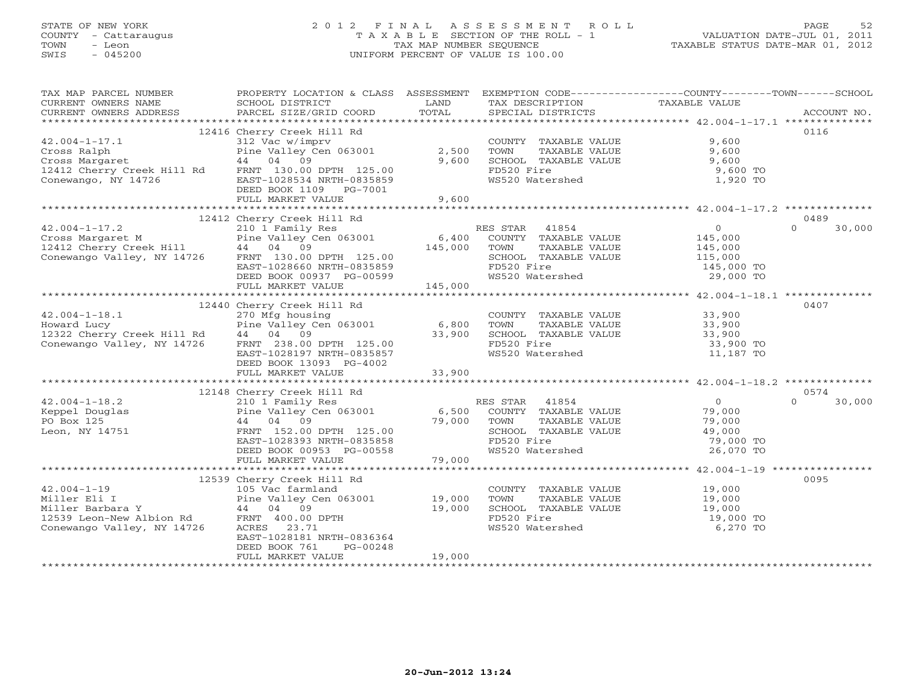# STATE OF NEW YORK 2 0 1 2 F I N A L A S S E S S M E N T R O L L PAGE 52 COUNTY - Cattaraugus T A X A B L E SECTION OF THE ROLL - 1 VALUATION DATE-JUL 01, 2011 TOWN - Leon TAX MAP NUMBER SEQUENCE TAXABLE STATUS DATE-MAR 01, 2012 SWIS - 045200 UNIFORM PERCENT OF VALUE IS 100.00UNIFORM PERCENT OF VALUE IS 100.00

| TAX MAP PARCEL NUMBER                                                                                                          | PROPERTY LOCATION & CLASS ASSESSMENT EXEMPTION CODE----------------COUNTY-------TOWN------SCHOOL |             |                                                                            |                         |                    |
|--------------------------------------------------------------------------------------------------------------------------------|--------------------------------------------------------------------------------------------------|-------------|----------------------------------------------------------------------------|-------------------------|--------------------|
| CURRENT OWNERS NAME                                                                                                            | SCHOOL DISTRICT                                                                                  | LAND        | TAX DESCRIPTION                                                            | TAXABLE VALUE           |                    |
| CURRENT OWNERS ADDRESS                                                                                                         | PARCEL SIZE/GRID COORD                                                                           | TOTAL       | SPECIAL DISTRICTS                                                          |                         | ACCOUNT NO.        |
|                                                                                                                                |                                                                                                  |             |                                                                            |                         |                    |
|                                                                                                                                | 12416 Cherry Creek Hill Rd                                                                       |             |                                                                            |                         | 0116               |
| $42.004 - 1 - 17.1$                                                                                                            | 312 Vac w/imprv                                                                                  |             | COUNTY TAXABLE VALUE                                                       | 9,600                   |                    |
| Cross Ralph                                                                                                                    | Pine Valley Cen 063001                                                                           | 2,500       | TOWN<br>TAXABLE VALUE<br>TOWN      TAXABLE VALUE<br>SCHOOL   TAXABLE VALUE | 9,600<br>9,600          |                    |
| Cross Margaret<br>12412 Cherry Creek Hill Rd FRNT 130.00 DPTH 125.00                                                           | 44 04 09                                                                                         | 9,600       | FD520 Fire                                                                 | 9,600 TO                |                    |
| Conewango, NY 14726                                                                                                            | EAST-1028534 NRTH-0835859                                                                        |             | WS520 Watershed                                                            | 1,920 TO                |                    |
|                                                                                                                                | DEED BOOK 1109 PG-7001                                                                           |             |                                                                            |                         |                    |
|                                                                                                                                | FULL MARKET VALUE                                                                                | 9,600       |                                                                            |                         |                    |
|                                                                                                                                |                                                                                                  |             |                                                                            |                         |                    |
|                                                                                                                                | 12412 Cherry Creek Hill Rd                                                                       |             |                                                                            |                         | 0489               |
| $42.004 - 1 - 17.2$                                                                                                            | 210 1 Family Res                                                                                 |             | RES STAR 41854                                                             | $\overline{0}$          | $\Omega$<br>30,000 |
| 210 1 Family Res<br>Cross Margaret M<br>12412 Cherry Creek Hill 44 04 09<br>Conewango Valley, NY 14726 FRNT 130.00 DPTH 125.00 |                                                                                                  | 6,400       | COUNTY TAXABLE VALUE                                                       | 145,000                 |                    |
|                                                                                                                                |                                                                                                  | 145,000     | TOWN<br>TAXABLE VALUE                                                      | 145,000                 |                    |
|                                                                                                                                |                                                                                                  |             | SCHOOL TAXABLE VALUE                                                       | 115,000                 |                    |
|                                                                                                                                | EAST-1028660 NRTH-0835859                                                                        |             | FD520 Fire                                                                 | 145,000 TO<br>29,000 TO |                    |
|                                                                                                                                | DEED BOOK 00937 PG-00599                                                                         |             | WS520 Watershed<br>WS520 Watershed                                         |                         |                    |
|                                                                                                                                | FULL MARKET VALUE                                                                                | 145,000     |                                                                            |                         |                    |
|                                                                                                                                |                                                                                                  |             |                                                                            |                         |                    |
|                                                                                                                                | 12440 Cherry Creek Hill Rd                                                                       |             |                                                                            |                         | 0407               |
| $42.004 - 1 - 18.1$                                                                                                            | 270 Mfg housing                                                                                  |             | COUNTY TAXABLE VALUE 33,900                                                |                         |                    |
| Howard Lucy                                                                                                                    | Pine Valley Cen 063001                                                                           | 6,800       | TOWN      TAXABLE VALUE<br>SCHOOL   TAXABLE VALUE                          | 33,900<br>33,900        |                    |
| 12322 Cherry Creek Hill Rd 44 04 09                                                                                            |                                                                                                  | 33,900      |                                                                            |                         |                    |
| Conewango Valley, NY 14726                                                                                                     | FRNT 238.00 DPTH 125.00                                                                          |             | FD520 Fire<br>WS520 Watershed                                              | 33,900 TO<br>11,187 TO  |                    |
|                                                                                                                                | EAST-1028197 NRTH-0835857                                                                        |             |                                                                            |                         |                    |
|                                                                                                                                | DEED BOOK 13093 PG-4002                                                                          | 33,900      |                                                                            |                         |                    |
|                                                                                                                                | FULL MARKET VALUE                                                                                |             |                                                                            |                         |                    |
|                                                                                                                                |                                                                                                  |             |                                                                            |                         | 0574               |
| $42.004 - 1 - 18.2$                                                                                                            | 12148 Cherry Creek Hill Rd<br>210 1 Family Res                                                   |             | RES STAR 41854                                                             | $\overline{0}$          | $\Omega$<br>30,000 |
|                                                                                                                                | Pine Valley Cen 063001 6,500                                                                     |             | COUNTY TAXABLE VALUE                                                       | 79,000                  |                    |
| Keppel Douglas<br>PO Box 125<br>PO Box 125                                                                                     | 44 04 09                                                                                         | 79,000 TOWN | TAXABLE VALUE                                                              | 79,000                  |                    |
| Leon, NY 14751                                                                                                                 | FRNT 152.00 DPTH 125.00                                                                          |             | SCHOOL TAXABLE VALUE                                                       | 49,000                  |                    |
|                                                                                                                                | EAST-1028393 NRTH-0835858                                                                        |             | FD520 Fire                                                                 | 79,000 TO               |                    |
|                                                                                                                                | DEED BOOK 00953 PG-00558                                                                         |             | WS520 Watershed                                                            | 26,070 TO               |                    |
|                                                                                                                                | FULL MARKET VALUE                                                                                | 79,000      |                                                                            |                         |                    |
|                                                                                                                                |                                                                                                  |             |                                                                            |                         |                    |
|                                                                                                                                | 12539 Cherry Creek Hill Rd                                                                       |             |                                                                            |                         | 0095               |
| $42.004 - 1 - 19$                                                                                                              | 105 Vac farmland                                                                                 |             | COUNTY TAXABLE VALUE 19,000                                                |                         |                    |
| Miller Eli I                                                                                                                   | Pine Valley Cen 063001 19,000                                                                    |             | TOWN<br>TAXABLE VALUE                                                      | 19,000<br>19,000        |                    |
| Miller Barbara Y                                                                                                               | 44 04 09                                                                                         | 19,000      | SCHOOL TAXABLE VALUE                                                       |                         |                    |
| Miller Barbara<br>12539 Leon-New Albion Rd<br>12539 Leon-New Albion Rd                                                         | FRNT 400.00 DPTH                                                                                 |             | FD520 Fire                                                                 | 19,000 TO               |                    |
| Conewango Valley, NY 14726                                                                                                     | ACRES 23.71                                                                                      |             | WS520 Watershed                                                            | 6,270 TO                |                    |
|                                                                                                                                | EAST-1028181 NRTH-0836364                                                                        |             |                                                                            |                         |                    |
|                                                                                                                                | DEED BOOK 761<br>PG-00248                                                                        |             |                                                                            |                         |                    |
|                                                                                                                                | FULL MARKET VALUE                                                                                | 19,000      |                                                                            |                         |                    |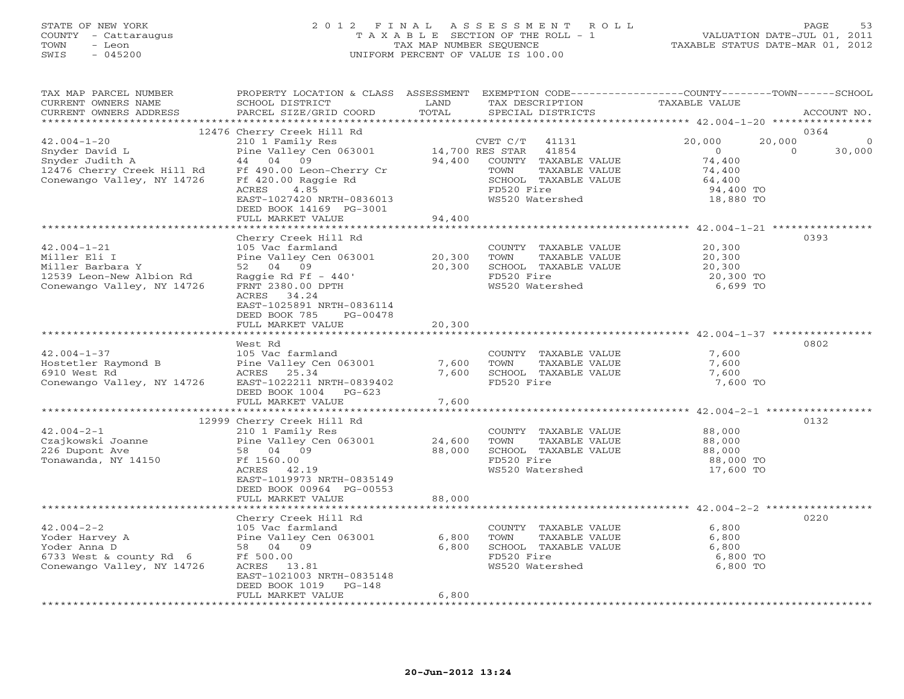# STATE OF NEW YORK 2 0 1 2 F I N A L A S S E S S M E N T R O L L PAGE 53 COUNTY - Cattaraugus T A X A B L E SECTION OF THE ROLL - 1 VALUATION DATE-JUL 01, 2011 TOWN - Leon TAX MAP NUMBER SEQUENCE TAXABLE STATUS DATE-MAR 01, 2012 SWIS - 045200 UNIFORM PERCENT OF VALUE IS 100.00UNIFORM PERCENT OF VALUE IS 100.00

| **********************<br>12476 Cherry Creek Hill Rd<br>0364<br>20,000<br>$42.004 - 1 - 20$<br>210 1 Family Res<br>20,000<br>CVET C/T<br>41131<br>$\Omega$<br>14,700 RES STAR<br>Snyder David L<br>Pine Valley Cen 063001<br>41854<br>$\overline{0}$<br>30,000<br>$\Omega$<br>44 04 09<br>94,400<br>COUNTY TAXABLE VALUE<br>74,400<br>Snyder Judith A<br>12476 Cherry Creek Hill Rd<br>Ff 490.00 Leon-Cherry Cr<br>TOWN<br>TAXABLE VALUE<br>74,400<br>Conewango Valley, NY 14726<br>Ff 420.00 Raggie Rd<br>SCHOOL TAXABLE VALUE<br>64,400<br>ACRES<br>4.85<br>FD520 Fire<br>94,400 TO<br>EAST-1027420 NRTH-0836013<br>WS520 Watershed<br>18,880 TO<br>DEED BOOK 14169 PG-3001<br>94,400<br>FULL MARKET VALUE<br>0393<br>Cherry Creek Hill Rd<br>$42.004 - 1 - 21$<br>105 Vac farmland<br>20,300<br>COUNTY TAXABLE VALUE<br>Miller Eli I<br>Pine Valley Cen 063001<br>20,300<br>TOWN<br>TAXABLE VALUE<br>20,300<br>52 04 09<br>Miller Barbara Y<br>20,300<br>SCHOOL TAXABLE VALUE<br>20,300<br>12539 Leon-New Albion Rd<br>Raggie Rd Ff $-440'$<br>FD520 Fire<br>20,300 TO<br>Conewango Valley, NY 14726<br>FRNT 2380.00 DPTH<br>WS520 Watershed<br>6,699 TO<br>ACRES 34.24<br>EAST-1025891 NRTH-0836114<br>DEED BOOK 785<br>PG-00478<br>20,300<br>FULL MARKET VALUE<br>0802<br>West Rd<br>$42.004 - 1 - 37$<br>105 Vac farmland<br>7,600<br>COUNTY TAXABLE VALUE<br>Hostetler Raymond B<br>Pine Valley Cen 063001<br>7,600<br>TAXABLE VALUE<br>7,600<br>TOWN<br>6910 West Rd<br>ACRES 25.34<br>7,600<br>SCHOOL TAXABLE VALUE<br>7,600<br>Conewango Valley, NY 14726<br>EAST-1022211 NRTH-0839402<br>FD520 Fire<br>7,600 TO<br>DEED BOOK 1004<br>PG-623<br>FULL MARKET VALUE<br>7,600<br>12999 Cherry Creek Hill Rd<br>0132<br>$42.004 - 2 - 1$<br>210 1 Family Res<br>88,000<br>COUNTY TAXABLE VALUE<br>Czajkowski Joanne<br>Pine Valley Cen 063001<br>24,600<br>TAXABLE VALUE<br>88,000<br>TOWN<br>226 Dupont Ave<br>58 04 09<br>88,000<br>SCHOOL TAXABLE VALUE<br>88,000<br>Ff 1560.00<br>FD520 Fire<br>88,000 TO<br>Tonawanda, NY 14150<br>WS520 Watershed<br>17,600 TO<br>ACRES 42.19<br>EAST-1019973 NRTH-0835149<br>DEED BOOK 00964 PG-00553<br>FULL MARKET VALUE<br>88,000<br>Cherry Creek Hill Rd<br>0220<br>$42.004 - 2 - 2$<br>105 Vac farmland<br>COUNTY TAXABLE VALUE<br>6,800<br>Pine Valley Cen 063001<br>Yoder Harvey A<br>6,800<br>TAXABLE VALUE<br>6,800<br>TOWN<br>58 04 09<br>6,800<br>SCHOOL TAXABLE VALUE<br>Yoder Anna D<br>6,800<br>FD520 Fire<br>6733 West & county Rd 6<br>Ff 500.00<br>6,800 TO<br>Conewango Valley, NY 14726<br>WS520 Watershed<br>6,800 TO<br>ACRES<br>13.81<br>EAST-1021003 NRTH-0835148<br>DEED BOOK 1019<br>$PG-148$<br>6,800<br>FULL MARKET VALUE<br>* * * * * * * * * * * * * * * * * * | TAX MAP PARCEL NUMBER<br>CURRENT OWNERS NAME<br>CURRENT OWNERS ADDRESS | PROPERTY LOCATION & CLASS ASSESSMENT<br>SCHOOL DISTRICT<br>PARCEL SIZE/GRID COORD | LAND<br>TOTAL | EXEMPTION CODE-----------------COUNTY-------TOWN------SCHOOL<br>TAX DESCRIPTION<br>SPECIAL DISTRICTS | TAXABLE VALUE | ACCOUNT NO. |
|------------------------------------------------------------------------------------------------------------------------------------------------------------------------------------------------------------------------------------------------------------------------------------------------------------------------------------------------------------------------------------------------------------------------------------------------------------------------------------------------------------------------------------------------------------------------------------------------------------------------------------------------------------------------------------------------------------------------------------------------------------------------------------------------------------------------------------------------------------------------------------------------------------------------------------------------------------------------------------------------------------------------------------------------------------------------------------------------------------------------------------------------------------------------------------------------------------------------------------------------------------------------------------------------------------------------------------------------------------------------------------------------------------------------------------------------------------------------------------------------------------------------------------------------------------------------------------------------------------------------------------------------------------------------------------------------------------------------------------------------------------------------------------------------------------------------------------------------------------------------------------------------------------------------------------------------------------------------------------------------------------------------------------------------------------------------------------------------------------------------------------------------------------------------------------------------------------------------------------------------------------------------------------------------------------------------------------------------------------------------------------------------------------------------------------------------------------------------------------------------------------------------------------------------------------------------------------------------------------------------------------------------------------------------------------------------------------------------------------------|------------------------------------------------------------------------|-----------------------------------------------------------------------------------|---------------|------------------------------------------------------------------------------------------------------|---------------|-------------|
|                                                                                                                                                                                                                                                                                                                                                                                                                                                                                                                                                                                                                                                                                                                                                                                                                                                                                                                                                                                                                                                                                                                                                                                                                                                                                                                                                                                                                                                                                                                                                                                                                                                                                                                                                                                                                                                                                                                                                                                                                                                                                                                                                                                                                                                                                                                                                                                                                                                                                                                                                                                                                                                                                                                                          |                                                                        |                                                                                   |               |                                                                                                      |               |             |
|                                                                                                                                                                                                                                                                                                                                                                                                                                                                                                                                                                                                                                                                                                                                                                                                                                                                                                                                                                                                                                                                                                                                                                                                                                                                                                                                                                                                                                                                                                                                                                                                                                                                                                                                                                                                                                                                                                                                                                                                                                                                                                                                                                                                                                                                                                                                                                                                                                                                                                                                                                                                                                                                                                                                          |                                                                        |                                                                                   |               |                                                                                                      |               |             |
|                                                                                                                                                                                                                                                                                                                                                                                                                                                                                                                                                                                                                                                                                                                                                                                                                                                                                                                                                                                                                                                                                                                                                                                                                                                                                                                                                                                                                                                                                                                                                                                                                                                                                                                                                                                                                                                                                                                                                                                                                                                                                                                                                                                                                                                                                                                                                                                                                                                                                                                                                                                                                                                                                                                                          |                                                                        |                                                                                   |               |                                                                                                      |               |             |
|                                                                                                                                                                                                                                                                                                                                                                                                                                                                                                                                                                                                                                                                                                                                                                                                                                                                                                                                                                                                                                                                                                                                                                                                                                                                                                                                                                                                                                                                                                                                                                                                                                                                                                                                                                                                                                                                                                                                                                                                                                                                                                                                                                                                                                                                                                                                                                                                                                                                                                                                                                                                                                                                                                                                          |                                                                        |                                                                                   |               |                                                                                                      |               |             |
|                                                                                                                                                                                                                                                                                                                                                                                                                                                                                                                                                                                                                                                                                                                                                                                                                                                                                                                                                                                                                                                                                                                                                                                                                                                                                                                                                                                                                                                                                                                                                                                                                                                                                                                                                                                                                                                                                                                                                                                                                                                                                                                                                                                                                                                                                                                                                                                                                                                                                                                                                                                                                                                                                                                                          |                                                                        |                                                                                   |               |                                                                                                      |               |             |
|                                                                                                                                                                                                                                                                                                                                                                                                                                                                                                                                                                                                                                                                                                                                                                                                                                                                                                                                                                                                                                                                                                                                                                                                                                                                                                                                                                                                                                                                                                                                                                                                                                                                                                                                                                                                                                                                                                                                                                                                                                                                                                                                                                                                                                                                                                                                                                                                                                                                                                                                                                                                                                                                                                                                          |                                                                        |                                                                                   |               |                                                                                                      |               |             |
|                                                                                                                                                                                                                                                                                                                                                                                                                                                                                                                                                                                                                                                                                                                                                                                                                                                                                                                                                                                                                                                                                                                                                                                                                                                                                                                                                                                                                                                                                                                                                                                                                                                                                                                                                                                                                                                                                                                                                                                                                                                                                                                                                                                                                                                                                                                                                                                                                                                                                                                                                                                                                                                                                                                                          |                                                                        |                                                                                   |               |                                                                                                      |               |             |
|                                                                                                                                                                                                                                                                                                                                                                                                                                                                                                                                                                                                                                                                                                                                                                                                                                                                                                                                                                                                                                                                                                                                                                                                                                                                                                                                                                                                                                                                                                                                                                                                                                                                                                                                                                                                                                                                                                                                                                                                                                                                                                                                                                                                                                                                                                                                                                                                                                                                                                                                                                                                                                                                                                                                          |                                                                        |                                                                                   |               |                                                                                                      |               |             |
|                                                                                                                                                                                                                                                                                                                                                                                                                                                                                                                                                                                                                                                                                                                                                                                                                                                                                                                                                                                                                                                                                                                                                                                                                                                                                                                                                                                                                                                                                                                                                                                                                                                                                                                                                                                                                                                                                                                                                                                                                                                                                                                                                                                                                                                                                                                                                                                                                                                                                                                                                                                                                                                                                                                                          |                                                                        |                                                                                   |               |                                                                                                      |               |             |
|                                                                                                                                                                                                                                                                                                                                                                                                                                                                                                                                                                                                                                                                                                                                                                                                                                                                                                                                                                                                                                                                                                                                                                                                                                                                                                                                                                                                                                                                                                                                                                                                                                                                                                                                                                                                                                                                                                                                                                                                                                                                                                                                                                                                                                                                                                                                                                                                                                                                                                                                                                                                                                                                                                                                          |                                                                        |                                                                                   |               |                                                                                                      |               |             |
|                                                                                                                                                                                                                                                                                                                                                                                                                                                                                                                                                                                                                                                                                                                                                                                                                                                                                                                                                                                                                                                                                                                                                                                                                                                                                                                                                                                                                                                                                                                                                                                                                                                                                                                                                                                                                                                                                                                                                                                                                                                                                                                                                                                                                                                                                                                                                                                                                                                                                                                                                                                                                                                                                                                                          |                                                                        |                                                                                   |               |                                                                                                      |               |             |
|                                                                                                                                                                                                                                                                                                                                                                                                                                                                                                                                                                                                                                                                                                                                                                                                                                                                                                                                                                                                                                                                                                                                                                                                                                                                                                                                                                                                                                                                                                                                                                                                                                                                                                                                                                                                                                                                                                                                                                                                                                                                                                                                                                                                                                                                                                                                                                                                                                                                                                                                                                                                                                                                                                                                          |                                                                        |                                                                                   |               |                                                                                                      |               |             |
|                                                                                                                                                                                                                                                                                                                                                                                                                                                                                                                                                                                                                                                                                                                                                                                                                                                                                                                                                                                                                                                                                                                                                                                                                                                                                                                                                                                                                                                                                                                                                                                                                                                                                                                                                                                                                                                                                                                                                                                                                                                                                                                                                                                                                                                                                                                                                                                                                                                                                                                                                                                                                                                                                                                                          |                                                                        |                                                                                   |               |                                                                                                      |               |             |
|                                                                                                                                                                                                                                                                                                                                                                                                                                                                                                                                                                                                                                                                                                                                                                                                                                                                                                                                                                                                                                                                                                                                                                                                                                                                                                                                                                                                                                                                                                                                                                                                                                                                                                                                                                                                                                                                                                                                                                                                                                                                                                                                                                                                                                                                                                                                                                                                                                                                                                                                                                                                                                                                                                                                          |                                                                        |                                                                                   |               |                                                                                                      |               |             |
|                                                                                                                                                                                                                                                                                                                                                                                                                                                                                                                                                                                                                                                                                                                                                                                                                                                                                                                                                                                                                                                                                                                                                                                                                                                                                                                                                                                                                                                                                                                                                                                                                                                                                                                                                                                                                                                                                                                                                                                                                                                                                                                                                                                                                                                                                                                                                                                                                                                                                                                                                                                                                                                                                                                                          |                                                                        |                                                                                   |               |                                                                                                      |               |             |
|                                                                                                                                                                                                                                                                                                                                                                                                                                                                                                                                                                                                                                                                                                                                                                                                                                                                                                                                                                                                                                                                                                                                                                                                                                                                                                                                                                                                                                                                                                                                                                                                                                                                                                                                                                                                                                                                                                                                                                                                                                                                                                                                                                                                                                                                                                                                                                                                                                                                                                                                                                                                                                                                                                                                          |                                                                        |                                                                                   |               |                                                                                                      |               |             |
|                                                                                                                                                                                                                                                                                                                                                                                                                                                                                                                                                                                                                                                                                                                                                                                                                                                                                                                                                                                                                                                                                                                                                                                                                                                                                                                                                                                                                                                                                                                                                                                                                                                                                                                                                                                                                                                                                                                                                                                                                                                                                                                                                                                                                                                                                                                                                                                                                                                                                                                                                                                                                                                                                                                                          |                                                                        |                                                                                   |               |                                                                                                      |               |             |
|                                                                                                                                                                                                                                                                                                                                                                                                                                                                                                                                                                                                                                                                                                                                                                                                                                                                                                                                                                                                                                                                                                                                                                                                                                                                                                                                                                                                                                                                                                                                                                                                                                                                                                                                                                                                                                                                                                                                                                                                                                                                                                                                                                                                                                                                                                                                                                                                                                                                                                                                                                                                                                                                                                                                          |                                                                        |                                                                                   |               |                                                                                                      |               |             |
|                                                                                                                                                                                                                                                                                                                                                                                                                                                                                                                                                                                                                                                                                                                                                                                                                                                                                                                                                                                                                                                                                                                                                                                                                                                                                                                                                                                                                                                                                                                                                                                                                                                                                                                                                                                                                                                                                                                                                                                                                                                                                                                                                                                                                                                                                                                                                                                                                                                                                                                                                                                                                                                                                                                                          |                                                                        |                                                                                   |               |                                                                                                      |               |             |
|                                                                                                                                                                                                                                                                                                                                                                                                                                                                                                                                                                                                                                                                                                                                                                                                                                                                                                                                                                                                                                                                                                                                                                                                                                                                                                                                                                                                                                                                                                                                                                                                                                                                                                                                                                                                                                                                                                                                                                                                                                                                                                                                                                                                                                                                                                                                                                                                                                                                                                                                                                                                                                                                                                                                          |                                                                        |                                                                                   |               |                                                                                                      |               |             |
|                                                                                                                                                                                                                                                                                                                                                                                                                                                                                                                                                                                                                                                                                                                                                                                                                                                                                                                                                                                                                                                                                                                                                                                                                                                                                                                                                                                                                                                                                                                                                                                                                                                                                                                                                                                                                                                                                                                                                                                                                                                                                                                                                                                                                                                                                                                                                                                                                                                                                                                                                                                                                                                                                                                                          |                                                                        |                                                                                   |               |                                                                                                      |               |             |
|                                                                                                                                                                                                                                                                                                                                                                                                                                                                                                                                                                                                                                                                                                                                                                                                                                                                                                                                                                                                                                                                                                                                                                                                                                                                                                                                                                                                                                                                                                                                                                                                                                                                                                                                                                                                                                                                                                                                                                                                                                                                                                                                                                                                                                                                                                                                                                                                                                                                                                                                                                                                                                                                                                                                          |                                                                        |                                                                                   |               |                                                                                                      |               |             |
|                                                                                                                                                                                                                                                                                                                                                                                                                                                                                                                                                                                                                                                                                                                                                                                                                                                                                                                                                                                                                                                                                                                                                                                                                                                                                                                                                                                                                                                                                                                                                                                                                                                                                                                                                                                                                                                                                                                                                                                                                                                                                                                                                                                                                                                                                                                                                                                                                                                                                                                                                                                                                                                                                                                                          |                                                                        |                                                                                   |               |                                                                                                      |               |             |
|                                                                                                                                                                                                                                                                                                                                                                                                                                                                                                                                                                                                                                                                                                                                                                                                                                                                                                                                                                                                                                                                                                                                                                                                                                                                                                                                                                                                                                                                                                                                                                                                                                                                                                                                                                                                                                                                                                                                                                                                                                                                                                                                                                                                                                                                                                                                                                                                                                                                                                                                                                                                                                                                                                                                          |                                                                        |                                                                                   |               |                                                                                                      |               |             |
|                                                                                                                                                                                                                                                                                                                                                                                                                                                                                                                                                                                                                                                                                                                                                                                                                                                                                                                                                                                                                                                                                                                                                                                                                                                                                                                                                                                                                                                                                                                                                                                                                                                                                                                                                                                                                                                                                                                                                                                                                                                                                                                                                                                                                                                                                                                                                                                                                                                                                                                                                                                                                                                                                                                                          |                                                                        |                                                                                   |               |                                                                                                      |               |             |
|                                                                                                                                                                                                                                                                                                                                                                                                                                                                                                                                                                                                                                                                                                                                                                                                                                                                                                                                                                                                                                                                                                                                                                                                                                                                                                                                                                                                                                                                                                                                                                                                                                                                                                                                                                                                                                                                                                                                                                                                                                                                                                                                                                                                                                                                                                                                                                                                                                                                                                                                                                                                                                                                                                                                          |                                                                        |                                                                                   |               |                                                                                                      |               |             |
|                                                                                                                                                                                                                                                                                                                                                                                                                                                                                                                                                                                                                                                                                                                                                                                                                                                                                                                                                                                                                                                                                                                                                                                                                                                                                                                                                                                                                                                                                                                                                                                                                                                                                                                                                                                                                                                                                                                                                                                                                                                                                                                                                                                                                                                                                                                                                                                                                                                                                                                                                                                                                                                                                                                                          |                                                                        |                                                                                   |               |                                                                                                      |               |             |
|                                                                                                                                                                                                                                                                                                                                                                                                                                                                                                                                                                                                                                                                                                                                                                                                                                                                                                                                                                                                                                                                                                                                                                                                                                                                                                                                                                                                                                                                                                                                                                                                                                                                                                                                                                                                                                                                                                                                                                                                                                                                                                                                                                                                                                                                                                                                                                                                                                                                                                                                                                                                                                                                                                                                          |                                                                        |                                                                                   |               |                                                                                                      |               |             |
|                                                                                                                                                                                                                                                                                                                                                                                                                                                                                                                                                                                                                                                                                                                                                                                                                                                                                                                                                                                                                                                                                                                                                                                                                                                                                                                                                                                                                                                                                                                                                                                                                                                                                                                                                                                                                                                                                                                                                                                                                                                                                                                                                                                                                                                                                                                                                                                                                                                                                                                                                                                                                                                                                                                                          |                                                                        |                                                                                   |               |                                                                                                      |               |             |
|                                                                                                                                                                                                                                                                                                                                                                                                                                                                                                                                                                                                                                                                                                                                                                                                                                                                                                                                                                                                                                                                                                                                                                                                                                                                                                                                                                                                                                                                                                                                                                                                                                                                                                                                                                                                                                                                                                                                                                                                                                                                                                                                                                                                                                                                                                                                                                                                                                                                                                                                                                                                                                                                                                                                          |                                                                        |                                                                                   |               |                                                                                                      |               |             |
|                                                                                                                                                                                                                                                                                                                                                                                                                                                                                                                                                                                                                                                                                                                                                                                                                                                                                                                                                                                                                                                                                                                                                                                                                                                                                                                                                                                                                                                                                                                                                                                                                                                                                                                                                                                                                                                                                                                                                                                                                                                                                                                                                                                                                                                                                                                                                                                                                                                                                                                                                                                                                                                                                                                                          |                                                                        |                                                                                   |               |                                                                                                      |               |             |
|                                                                                                                                                                                                                                                                                                                                                                                                                                                                                                                                                                                                                                                                                                                                                                                                                                                                                                                                                                                                                                                                                                                                                                                                                                                                                                                                                                                                                                                                                                                                                                                                                                                                                                                                                                                                                                                                                                                                                                                                                                                                                                                                                                                                                                                                                                                                                                                                                                                                                                                                                                                                                                                                                                                                          |                                                                        |                                                                                   |               |                                                                                                      |               |             |
|                                                                                                                                                                                                                                                                                                                                                                                                                                                                                                                                                                                                                                                                                                                                                                                                                                                                                                                                                                                                                                                                                                                                                                                                                                                                                                                                                                                                                                                                                                                                                                                                                                                                                                                                                                                                                                                                                                                                                                                                                                                                                                                                                                                                                                                                                                                                                                                                                                                                                                                                                                                                                                                                                                                                          |                                                                        |                                                                                   |               |                                                                                                      |               |             |
|                                                                                                                                                                                                                                                                                                                                                                                                                                                                                                                                                                                                                                                                                                                                                                                                                                                                                                                                                                                                                                                                                                                                                                                                                                                                                                                                                                                                                                                                                                                                                                                                                                                                                                                                                                                                                                                                                                                                                                                                                                                                                                                                                                                                                                                                                                                                                                                                                                                                                                                                                                                                                                                                                                                                          |                                                                        |                                                                                   |               |                                                                                                      |               |             |
|                                                                                                                                                                                                                                                                                                                                                                                                                                                                                                                                                                                                                                                                                                                                                                                                                                                                                                                                                                                                                                                                                                                                                                                                                                                                                                                                                                                                                                                                                                                                                                                                                                                                                                                                                                                                                                                                                                                                                                                                                                                                                                                                                                                                                                                                                                                                                                                                                                                                                                                                                                                                                                                                                                                                          |                                                                        |                                                                                   |               |                                                                                                      |               |             |
|                                                                                                                                                                                                                                                                                                                                                                                                                                                                                                                                                                                                                                                                                                                                                                                                                                                                                                                                                                                                                                                                                                                                                                                                                                                                                                                                                                                                                                                                                                                                                                                                                                                                                                                                                                                                                                                                                                                                                                                                                                                                                                                                                                                                                                                                                                                                                                                                                                                                                                                                                                                                                                                                                                                                          |                                                                        |                                                                                   |               |                                                                                                      |               |             |
|                                                                                                                                                                                                                                                                                                                                                                                                                                                                                                                                                                                                                                                                                                                                                                                                                                                                                                                                                                                                                                                                                                                                                                                                                                                                                                                                                                                                                                                                                                                                                                                                                                                                                                                                                                                                                                                                                                                                                                                                                                                                                                                                                                                                                                                                                                                                                                                                                                                                                                                                                                                                                                                                                                                                          |                                                                        |                                                                                   |               |                                                                                                      |               |             |
|                                                                                                                                                                                                                                                                                                                                                                                                                                                                                                                                                                                                                                                                                                                                                                                                                                                                                                                                                                                                                                                                                                                                                                                                                                                                                                                                                                                                                                                                                                                                                                                                                                                                                                                                                                                                                                                                                                                                                                                                                                                                                                                                                                                                                                                                                                                                                                                                                                                                                                                                                                                                                                                                                                                                          |                                                                        |                                                                                   |               |                                                                                                      |               |             |
|                                                                                                                                                                                                                                                                                                                                                                                                                                                                                                                                                                                                                                                                                                                                                                                                                                                                                                                                                                                                                                                                                                                                                                                                                                                                                                                                                                                                                                                                                                                                                                                                                                                                                                                                                                                                                                                                                                                                                                                                                                                                                                                                                                                                                                                                                                                                                                                                                                                                                                                                                                                                                                                                                                                                          |                                                                        |                                                                                   |               |                                                                                                      |               |             |
|                                                                                                                                                                                                                                                                                                                                                                                                                                                                                                                                                                                                                                                                                                                                                                                                                                                                                                                                                                                                                                                                                                                                                                                                                                                                                                                                                                                                                                                                                                                                                                                                                                                                                                                                                                                                                                                                                                                                                                                                                                                                                                                                                                                                                                                                                                                                                                                                                                                                                                                                                                                                                                                                                                                                          |                                                                        |                                                                                   |               |                                                                                                      |               |             |
|                                                                                                                                                                                                                                                                                                                                                                                                                                                                                                                                                                                                                                                                                                                                                                                                                                                                                                                                                                                                                                                                                                                                                                                                                                                                                                                                                                                                                                                                                                                                                                                                                                                                                                                                                                                                                                                                                                                                                                                                                                                                                                                                                                                                                                                                                                                                                                                                                                                                                                                                                                                                                                                                                                                                          |                                                                        |                                                                                   |               |                                                                                                      |               |             |
|                                                                                                                                                                                                                                                                                                                                                                                                                                                                                                                                                                                                                                                                                                                                                                                                                                                                                                                                                                                                                                                                                                                                                                                                                                                                                                                                                                                                                                                                                                                                                                                                                                                                                                                                                                                                                                                                                                                                                                                                                                                                                                                                                                                                                                                                                                                                                                                                                                                                                                                                                                                                                                                                                                                                          |                                                                        |                                                                                   |               |                                                                                                      |               |             |
|                                                                                                                                                                                                                                                                                                                                                                                                                                                                                                                                                                                                                                                                                                                                                                                                                                                                                                                                                                                                                                                                                                                                                                                                                                                                                                                                                                                                                                                                                                                                                                                                                                                                                                                                                                                                                                                                                                                                                                                                                                                                                                                                                                                                                                                                                                                                                                                                                                                                                                                                                                                                                                                                                                                                          |                                                                        |                                                                                   |               |                                                                                                      |               |             |
|                                                                                                                                                                                                                                                                                                                                                                                                                                                                                                                                                                                                                                                                                                                                                                                                                                                                                                                                                                                                                                                                                                                                                                                                                                                                                                                                                                                                                                                                                                                                                                                                                                                                                                                                                                                                                                                                                                                                                                                                                                                                                                                                                                                                                                                                                                                                                                                                                                                                                                                                                                                                                                                                                                                                          |                                                                        |                                                                                   |               |                                                                                                      |               |             |
|                                                                                                                                                                                                                                                                                                                                                                                                                                                                                                                                                                                                                                                                                                                                                                                                                                                                                                                                                                                                                                                                                                                                                                                                                                                                                                                                                                                                                                                                                                                                                                                                                                                                                                                                                                                                                                                                                                                                                                                                                                                                                                                                                                                                                                                                                                                                                                                                                                                                                                                                                                                                                                                                                                                                          |                                                                        |                                                                                   |               |                                                                                                      |               |             |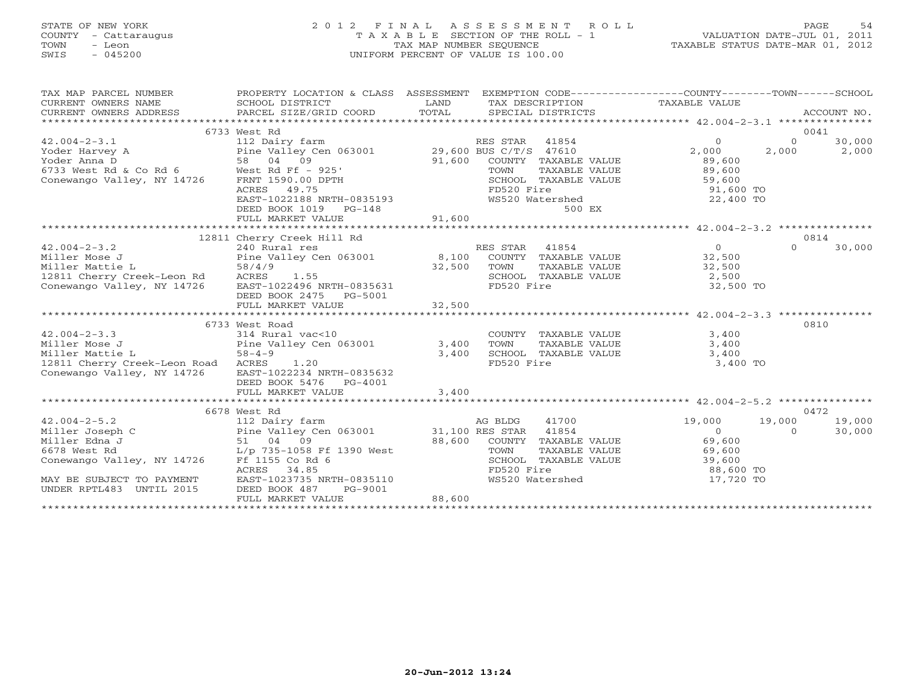# STATE OF NEW YORK 2 0 1 2 F I N A L A S S E S S M E N T R O L L PAGE 54 COUNTY - Cattaraugus T A X A B L E SECTION OF THE ROLL - 1 VALUATION DATE-JUL 01, 2011 TOWN - Leon TAX MAP NUMBER SEQUENCE TAXABLE STATUS DATE-MAR 01, 2012 SWIS - 045200 UNIFORM PERCENT OF VALUE IS 100.00UNIFORM PERCENT OF VALUE IS 100.00

| TAX MAP PARCEL NUMBER                                                                                                                                                                                                                                                                                                                                                                                                                                 | PROPERTY LOCATION & CLASS ASSESSMENT<br>PROPERTY LOCATION<br>SCHOOL DISTRICT |        |            | EXEMPTION CODE-----------------COUNTY-------TOWN------SCHOOL |                |        |
|-------------------------------------------------------------------------------------------------------------------------------------------------------------------------------------------------------------------------------------------------------------------------------------------------------------------------------------------------------------------------------------------------------------------------------------------------------|------------------------------------------------------------------------------|--------|------------|--------------------------------------------------------------|----------------|--------|
|                                                                                                                                                                                                                                                                                                                                                                                                                                                       | 6733 West Rd                                                                 |        |            |                                                              |                | 0041   |
| $42.004 - 2 - 3.1$                                                                                                                                                                                                                                                                                                                                                                                                                                    | 112 Dairy farm                                                               |        |            |                                                              | $\Omega$       | 30,000 |
|                                                                                                                                                                                                                                                                                                                                                                                                                                                       |                                                                              |        |            | RES STAR 41854 0<br>BUS C/T/S 47610 2,000                    | 2,000          | 2,000  |
|                                                                                                                                                                                                                                                                                                                                                                                                                                                       |                                                                              |        |            |                                                              |                |        |
|                                                                                                                                                                                                                                                                                                                                                                                                                                                       |                                                                              |        |            |                                                              |                |        |
| 42.004-2-3.1 112 Dairy tarm<br>Yoder Harvey A Pie Valley Cen 063001 29,600 BUS C/T/S 47610 2,000 2<br>Yoder Anna D 58 04 09 91,600 COUNTY TAXABLE VALUE 89,600<br>6733 West Rd & Co Rd 6 West Rd Ff - 925' TOWN TAXABLE VALUE 89,60                                                                                                                                                                                                                   |                                                                              |        |            |                                                              |                |        |
|                                                                                                                                                                                                                                                                                                                                                                                                                                                       |                                                                              |        |            |                                                              |                |        |
|                                                                                                                                                                                                                                                                                                                                                                                                                                                       |                                                                              |        |            |                                                              |                |        |
|                                                                                                                                                                                                                                                                                                                                                                                                                                                       |                                                                              |        |            |                                                              |                |        |
|                                                                                                                                                                                                                                                                                                                                                                                                                                                       | FULL MARKET VALUE                                                            | 91,600 |            |                                                              |                |        |
|                                                                                                                                                                                                                                                                                                                                                                                                                                                       |                                                                              |        |            |                                                              |                |        |
| $\begin{array}{cccccc} & & & & 12811 \text{ cherry Creek Hill Rd} & & & & & \text{RES STAR} & 41854 & & & 0\\ \text{Miller Mose J} & & & & 240 \text{ Rural res} & & & & 8,100 \text{ COUNTY TAXABLE VALUE} & & & 32,500\\ \text{Miller Mattice L} & & & & 58/4/9 & & & & 32,500 \text{ TOWN TAXABLE VALUE} & & & 32,500\\ \text{12811 Cherry Creek-Leon Rd} & & & & 58/4/9 & & & 32,500 \text{ TOWN TAXABLE VALUE} & & & 32,500\\ \text{Gamma MATE}$ |                                                                              |        |            |                                                              |                | 0814   |
|                                                                                                                                                                                                                                                                                                                                                                                                                                                       |                                                                              |        |            |                                                              | $\Omega$       | 30,000 |
|                                                                                                                                                                                                                                                                                                                                                                                                                                                       |                                                                              |        |            |                                                              |                |        |
|                                                                                                                                                                                                                                                                                                                                                                                                                                                       |                                                                              |        |            |                                                              |                |        |
|                                                                                                                                                                                                                                                                                                                                                                                                                                                       |                                                                              |        |            |                                                              |                |        |
|                                                                                                                                                                                                                                                                                                                                                                                                                                                       |                                                                              |        |            |                                                              |                |        |
|                                                                                                                                                                                                                                                                                                                                                                                                                                                       | DEED BOOK 2475 PG-5001                                                       |        |            |                                                              |                |        |
|                                                                                                                                                                                                                                                                                                                                                                                                                                                       |                                                                              |        |            |                                                              |                |        |
|                                                                                                                                                                                                                                                                                                                                                                                                                                                       | 6733 West Road                                                               |        |            |                                                              |                | 0810   |
|                                                                                                                                                                                                                                                                                                                                                                                                                                                       |                                                                              |        |            |                                                              |                |        |
| $42.004-2-3.3$<br>$314 \text{ Rural vac} < 10$<br>$314 \text{ Rural vac} < 10$<br>Pine Valley Cen 063001 3,400                                                                                                                                                                                                                                                                                                                                        |                                                                              |        |            | COUNTY TAXABLE VALUE 3,400<br>TOWN TAXABLE VALUE 3,400       |                |        |
| Miller Mattie L<br>$58 - 4 - 9$                                                                                                                                                                                                                                                                                                                                                                                                                       |                                                                              |        |            |                                                              |                |        |
| 12811 Cherry Creek-Leon Road ACRES 1.20                                                                                                                                                                                                                                                                                                                                                                                                               | 3,400                                                                        |        | FD520 Fire | SCHOOL TAXABLE VALUE 3,400<br>3,400 TO                       |                |        |
| Conewango Valley, NY 14726 EAST-1022234 NRTH-0835632                                                                                                                                                                                                                                                                                                                                                                                                  |                                                                              |        |            |                                                              |                |        |
|                                                                                                                                                                                                                                                                                                                                                                                                                                                       | DEED BOOK 5476    PG-4001                                                    |        |            |                                                              |                |        |
|                                                                                                                                                                                                                                                                                                                                                                                                                                                       | FULL MARKET VALUE                                                            | 3,400  |            |                                                              |                |        |
|                                                                                                                                                                                                                                                                                                                                                                                                                                                       |                                                                              |        |            |                                                              |                |        |
|                                                                                                                                                                                                                                                                                                                                                                                                                                                       |                                                                              |        |            |                                                              |                | 0472   |
|                                                                                                                                                                                                                                                                                                                                                                                                                                                       |                                                                              |        |            |                                                              | 19,000         | 19,000 |
|                                                                                                                                                                                                                                                                                                                                                                                                                                                       |                                                                              |        |            | $19,000$<br>0                                                | $\overline{a}$ | 30,000 |
|                                                                                                                                                                                                                                                                                                                                                                                                                                                       |                                                                              |        |            |                                                              |                |        |
|                                                                                                                                                                                                                                                                                                                                                                                                                                                       |                                                                              |        |            |                                                              |                |        |
|                                                                                                                                                                                                                                                                                                                                                                                                                                                       |                                                                              |        |            |                                                              |                |        |
|                                                                                                                                                                                                                                                                                                                                                                                                                                                       |                                                                              |        |            |                                                              |                |        |
| 42.004-2-5.2<br>42.004-2-5.2<br>42.004-2-5.2<br>42.004-2-5.2<br>42.004-2-5.2<br>42.004-2-5.2<br>42.004-2-5.2<br>42.004-2-5.2<br>42.004-2-5.2<br>42.004-2-5.2<br>42.0678<br>23.04<br>42.04<br>42.005<br>23.04<br>42.04<br>42.04<br>42.04<br>42.04                                                                                                                                                                                                      |                                                                              |        |            | WS520 Watershed 17,720 TO                                    |                |        |
| UNDER RPTL483 UNTIL 2015                                                                                                                                                                                                                                                                                                                                                                                                                              | DEED BOOK 487<br>PG-9001                                                     |        |            |                                                              |                |        |
|                                                                                                                                                                                                                                                                                                                                                                                                                                                       | FULL MARKET VALUE                                                            | 88,600 |            |                                                              |                |        |
|                                                                                                                                                                                                                                                                                                                                                                                                                                                       |                                                                              |        |            |                                                              |                |        |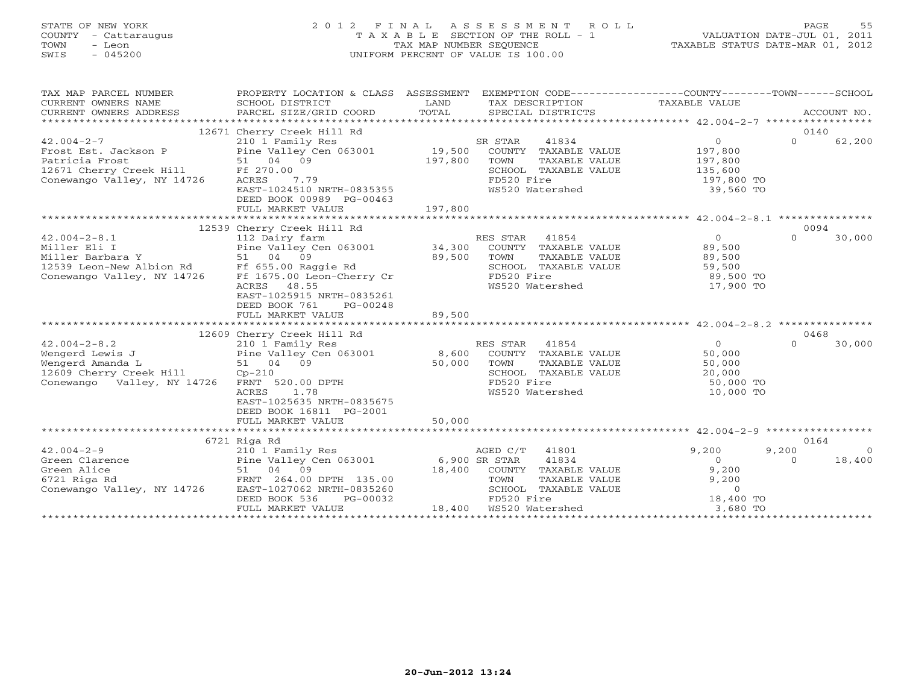# STATE OF NEW YORK 2 0 1 2 F I N A L A S S E S S M E N T R O L L PAGE 55 COUNTY - Cattaraugus T A X A B L E SECTION OF THE ROLL - 1 VALUATION DATE-JUL 01, 2011 TOWN - Leon TAX MAP NUMBER SEQUENCE TAXABLE STATUS DATE-MAR 01, 2012 SWIS - 045200 UNIFORM PERCENT OF VALUE IS 100.00UNIFORM PERCENT OF VALUE IS 100.00

| 0140<br>12671 Cherry Creek Hill Rd<br>$42.004 - 2 - 7$<br>210 1 Family Res<br>41834<br>0<br>$\Omega$<br>62,200<br>SR STAR<br>COUNTY TAXABLE VALUE 197,800<br>TOWN TAXABLE VALUE 197,800<br>SCHOOL TAXABLE VALUE 135,600<br>197,800<br>SCHOOL TAXABLE VALUE 135,600<br>FD520 Fire 197,800 TO<br>WS520 Watershed 39,560 TO<br>ACRES 7.79<br>EAST-1024510 NRTH-0835355<br>DEED BOOK 00989 PG-00463<br>12539 Cherry Creek Hill Rd<br>0094<br>42.004-2-8.1<br>Miller Eli I Dairy farm<br>Miller Eli I Pine Valley Cen 063001<br>Miller Barbara Y 51 04 09<br>12539 Leon-New Albion Rd Ff 655.00 Raggie Rd SCHOOL TAXABLE VALUE 89,500<br>Conewango Valley, NY 14726 Ff 1675.00 Leon-Ch<br>$\Omega$<br>30,000<br>SCHOOL TAXABLE VALUE<br>FD520 Fire 59,500 FD520 Fire 89,500 TO<br>WS520 Watershed 17,900 TO<br>WS520 Watershed<br>ACRES 48.55<br>EAST-1025915 NRTH-0835261<br>DEED BOOK 761 PG-00248<br>89,500<br>FULL MARKET VALUE<br>12609 Cherry Creek Hill Rd<br>210 1 Family Res<br>0468<br>Vengerd Lewis J<br>Wengerd Lewis J<br>Wengerd Amanda L<br>Mengerd Amanda L<br>S1 04 09<br>12609 Cherry Creek Hill Cp-210<br>Conewango Valley, NY 14726 FRNT 520.00 DPTH<br>Conewango Valley, NY 14726 FRNT 520.00 DPTH<br>Conewango Valley, NY<br>30,000<br>$\Omega$<br>50,000 TO<br>1.78<br>WS520 Watershed<br>ACRES<br>10,000 TO<br>EAST-1025635 NRTH-0835675<br>DEED BOOK 16811 PG-2001<br>50,000<br>FULL MARKET VALUE<br>0164<br>6721 Riga Rd<br>$42.004 - 2 - 9$<br>210 1 Family Res<br>AGED C/T 41801<br>9,200<br>9,200<br>$\bigcirc$<br>Green Clarence 2.004-2.004-2.004-2.004-2.004-2.004-2.004-2.004-2.004-2.004-2.004-2.004-2.004-2.004-2.004-2.00<br>Green Clarence 2.000 Pine Valley Cen 063001 6,900 SR STAR<br>41834<br>18,400<br>$\overline{0}$<br>$\cap$<br>Creen Alice and the state of the state of the state of the state of the state of the state of the state of the state of the state of the state of the state of the state of the state of the state of the state of the state o | TAX MAP PARCEL NUMBER<br>CURRENT OWNERS NAME<br>CURRENT OWNERS ADDRESS | PROPERTY LOCATION & CLASS ASSESSMENT | EXEMPTION CODE-----------------COUNTY-------TOWN------SCHOOL |  |
|--------------------------------------------------------------------------------------------------------------------------------------------------------------------------------------------------------------------------------------------------------------------------------------------------------------------------------------------------------------------------------------------------------------------------------------------------------------------------------------------------------------------------------------------------------------------------------------------------------------------------------------------------------------------------------------------------------------------------------------------------------------------------------------------------------------------------------------------------------------------------------------------------------------------------------------------------------------------------------------------------------------------------------------------------------------------------------------------------------------------------------------------------------------------------------------------------------------------------------------------------------------------------------------------------------------------------------------------------------------------------------------------------------------------------------------------------------------------------------------------------------------------------------------------------------------------------------------------------------------------------------------------------------------------------------------------------------------------------------------------------------------------------------------------------------------------------------------------------------------------------------------------------------------------------------------------------------------------------------------------------------|------------------------------------------------------------------------|--------------------------------------|--------------------------------------------------------------|--|
|                                                                                                                                                                                                                                                                                                                                                                                                                                                                                                                                                                                                                                                                                                                                                                                                                                                                                                                                                                                                                                                                                                                                                                                                                                                                                                                                                                                                                                                                                                                                                                                                                                                                                                                                                                                                                                                                                                                                                                                                        |                                                                        |                                      |                                                              |  |
|                                                                                                                                                                                                                                                                                                                                                                                                                                                                                                                                                                                                                                                                                                                                                                                                                                                                                                                                                                                                                                                                                                                                                                                                                                                                                                                                                                                                                                                                                                                                                                                                                                                                                                                                                                                                                                                                                                                                                                                                        |                                                                        |                                      |                                                              |  |
|                                                                                                                                                                                                                                                                                                                                                                                                                                                                                                                                                                                                                                                                                                                                                                                                                                                                                                                                                                                                                                                                                                                                                                                                                                                                                                                                                                                                                                                                                                                                                                                                                                                                                                                                                                                                                                                                                                                                                                                                        |                                                                        |                                      |                                                              |  |
|                                                                                                                                                                                                                                                                                                                                                                                                                                                                                                                                                                                                                                                                                                                                                                                                                                                                                                                                                                                                                                                                                                                                                                                                                                                                                                                                                                                                                                                                                                                                                                                                                                                                                                                                                                                                                                                                                                                                                                                                        |                                                                        |                                      |                                                              |  |
|                                                                                                                                                                                                                                                                                                                                                                                                                                                                                                                                                                                                                                                                                                                                                                                                                                                                                                                                                                                                                                                                                                                                                                                                                                                                                                                                                                                                                                                                                                                                                                                                                                                                                                                                                                                                                                                                                                                                                                                                        |                                                                        |                                      |                                                              |  |
|                                                                                                                                                                                                                                                                                                                                                                                                                                                                                                                                                                                                                                                                                                                                                                                                                                                                                                                                                                                                                                                                                                                                                                                                                                                                                                                                                                                                                                                                                                                                                                                                                                                                                                                                                                                                                                                                                                                                                                                                        |                                                                        |                                      |                                                              |  |
|                                                                                                                                                                                                                                                                                                                                                                                                                                                                                                                                                                                                                                                                                                                                                                                                                                                                                                                                                                                                                                                                                                                                                                                                                                                                                                                                                                                                                                                                                                                                                                                                                                                                                                                                                                                                                                                                                                                                                                                                        |                                                                        |                                      |                                                              |  |
|                                                                                                                                                                                                                                                                                                                                                                                                                                                                                                                                                                                                                                                                                                                                                                                                                                                                                                                                                                                                                                                                                                                                                                                                                                                                                                                                                                                                                                                                                                                                                                                                                                                                                                                                                                                                                                                                                                                                                                                                        |                                                                        |                                      |                                                              |  |
|                                                                                                                                                                                                                                                                                                                                                                                                                                                                                                                                                                                                                                                                                                                                                                                                                                                                                                                                                                                                                                                                                                                                                                                                                                                                                                                                                                                                                                                                                                                                                                                                                                                                                                                                                                                                                                                                                                                                                                                                        |                                                                        |                                      |                                                              |  |
|                                                                                                                                                                                                                                                                                                                                                                                                                                                                                                                                                                                                                                                                                                                                                                                                                                                                                                                                                                                                                                                                                                                                                                                                                                                                                                                                                                                                                                                                                                                                                                                                                                                                                                                                                                                                                                                                                                                                                                                                        |                                                                        |                                      |                                                              |  |
|                                                                                                                                                                                                                                                                                                                                                                                                                                                                                                                                                                                                                                                                                                                                                                                                                                                                                                                                                                                                                                                                                                                                                                                                                                                                                                                                                                                                                                                                                                                                                                                                                                                                                                                                                                                                                                                                                                                                                                                                        |                                                                        |                                      |                                                              |  |
|                                                                                                                                                                                                                                                                                                                                                                                                                                                                                                                                                                                                                                                                                                                                                                                                                                                                                                                                                                                                                                                                                                                                                                                                                                                                                                                                                                                                                                                                                                                                                                                                                                                                                                                                                                                                                                                                                                                                                                                                        |                                                                        |                                      |                                                              |  |
|                                                                                                                                                                                                                                                                                                                                                                                                                                                                                                                                                                                                                                                                                                                                                                                                                                                                                                                                                                                                                                                                                                                                                                                                                                                                                                                                                                                                                                                                                                                                                                                                                                                                                                                                                                                                                                                                                                                                                                                                        |                                                                        |                                      |                                                              |  |
|                                                                                                                                                                                                                                                                                                                                                                                                                                                                                                                                                                                                                                                                                                                                                                                                                                                                                                                                                                                                                                                                                                                                                                                                                                                                                                                                                                                                                                                                                                                                                                                                                                                                                                                                                                                                                                                                                                                                                                                                        |                                                                        |                                      |                                                              |  |
|                                                                                                                                                                                                                                                                                                                                                                                                                                                                                                                                                                                                                                                                                                                                                                                                                                                                                                                                                                                                                                                                                                                                                                                                                                                                                                                                                                                                                                                                                                                                                                                                                                                                                                                                                                                                                                                                                                                                                                                                        |                                                                        |                                      |                                                              |  |
|                                                                                                                                                                                                                                                                                                                                                                                                                                                                                                                                                                                                                                                                                                                                                                                                                                                                                                                                                                                                                                                                                                                                                                                                                                                                                                                                                                                                                                                                                                                                                                                                                                                                                                                                                                                                                                                                                                                                                                                                        |                                                                        |                                      |                                                              |  |
|                                                                                                                                                                                                                                                                                                                                                                                                                                                                                                                                                                                                                                                                                                                                                                                                                                                                                                                                                                                                                                                                                                                                                                                                                                                                                                                                                                                                                                                                                                                                                                                                                                                                                                                                                                                                                                                                                                                                                                                                        |                                                                        |                                      |                                                              |  |
|                                                                                                                                                                                                                                                                                                                                                                                                                                                                                                                                                                                                                                                                                                                                                                                                                                                                                                                                                                                                                                                                                                                                                                                                                                                                                                                                                                                                                                                                                                                                                                                                                                                                                                                                                                                                                                                                                                                                                                                                        |                                                                        |                                      |                                                              |  |
|                                                                                                                                                                                                                                                                                                                                                                                                                                                                                                                                                                                                                                                                                                                                                                                                                                                                                                                                                                                                                                                                                                                                                                                                                                                                                                                                                                                                                                                                                                                                                                                                                                                                                                                                                                                                                                                                                                                                                                                                        |                                                                        |                                      |                                                              |  |
|                                                                                                                                                                                                                                                                                                                                                                                                                                                                                                                                                                                                                                                                                                                                                                                                                                                                                                                                                                                                                                                                                                                                                                                                                                                                                                                                                                                                                                                                                                                                                                                                                                                                                                                                                                                                                                                                                                                                                                                                        |                                                                        |                                      |                                                              |  |
|                                                                                                                                                                                                                                                                                                                                                                                                                                                                                                                                                                                                                                                                                                                                                                                                                                                                                                                                                                                                                                                                                                                                                                                                                                                                                                                                                                                                                                                                                                                                                                                                                                                                                                                                                                                                                                                                                                                                                                                                        |                                                                        |                                      |                                                              |  |
|                                                                                                                                                                                                                                                                                                                                                                                                                                                                                                                                                                                                                                                                                                                                                                                                                                                                                                                                                                                                                                                                                                                                                                                                                                                                                                                                                                                                                                                                                                                                                                                                                                                                                                                                                                                                                                                                                                                                                                                                        |                                                                        |                                      |                                                              |  |
|                                                                                                                                                                                                                                                                                                                                                                                                                                                                                                                                                                                                                                                                                                                                                                                                                                                                                                                                                                                                                                                                                                                                                                                                                                                                                                                                                                                                                                                                                                                                                                                                                                                                                                                                                                                                                                                                                                                                                                                                        |                                                                        |                                      |                                                              |  |
|                                                                                                                                                                                                                                                                                                                                                                                                                                                                                                                                                                                                                                                                                                                                                                                                                                                                                                                                                                                                                                                                                                                                                                                                                                                                                                                                                                                                                                                                                                                                                                                                                                                                                                                                                                                                                                                                                                                                                                                                        |                                                                        |                                      |                                                              |  |
|                                                                                                                                                                                                                                                                                                                                                                                                                                                                                                                                                                                                                                                                                                                                                                                                                                                                                                                                                                                                                                                                                                                                                                                                                                                                                                                                                                                                                                                                                                                                                                                                                                                                                                                                                                                                                                                                                                                                                                                                        |                                                                        |                                      |                                                              |  |
|                                                                                                                                                                                                                                                                                                                                                                                                                                                                                                                                                                                                                                                                                                                                                                                                                                                                                                                                                                                                                                                                                                                                                                                                                                                                                                                                                                                                                                                                                                                                                                                                                                                                                                                                                                                                                                                                                                                                                                                                        |                                                                        |                                      |                                                              |  |
|                                                                                                                                                                                                                                                                                                                                                                                                                                                                                                                                                                                                                                                                                                                                                                                                                                                                                                                                                                                                                                                                                                                                                                                                                                                                                                                                                                                                                                                                                                                                                                                                                                                                                                                                                                                                                                                                                                                                                                                                        |                                                                        |                                      |                                                              |  |
|                                                                                                                                                                                                                                                                                                                                                                                                                                                                                                                                                                                                                                                                                                                                                                                                                                                                                                                                                                                                                                                                                                                                                                                                                                                                                                                                                                                                                                                                                                                                                                                                                                                                                                                                                                                                                                                                                                                                                                                                        |                                                                        |                                      |                                                              |  |
|                                                                                                                                                                                                                                                                                                                                                                                                                                                                                                                                                                                                                                                                                                                                                                                                                                                                                                                                                                                                                                                                                                                                                                                                                                                                                                                                                                                                                                                                                                                                                                                                                                                                                                                                                                                                                                                                                                                                                                                                        |                                                                        |                                      |                                                              |  |
|                                                                                                                                                                                                                                                                                                                                                                                                                                                                                                                                                                                                                                                                                                                                                                                                                                                                                                                                                                                                                                                                                                                                                                                                                                                                                                                                                                                                                                                                                                                                                                                                                                                                                                                                                                                                                                                                                                                                                                                                        |                                                                        |                                      |                                                              |  |
|                                                                                                                                                                                                                                                                                                                                                                                                                                                                                                                                                                                                                                                                                                                                                                                                                                                                                                                                                                                                                                                                                                                                                                                                                                                                                                                                                                                                                                                                                                                                                                                                                                                                                                                                                                                                                                                                                                                                                                                                        |                                                                        |                                      |                                                              |  |
|                                                                                                                                                                                                                                                                                                                                                                                                                                                                                                                                                                                                                                                                                                                                                                                                                                                                                                                                                                                                                                                                                                                                                                                                                                                                                                                                                                                                                                                                                                                                                                                                                                                                                                                                                                                                                                                                                                                                                                                                        |                                                                        |                                      |                                                              |  |
|                                                                                                                                                                                                                                                                                                                                                                                                                                                                                                                                                                                                                                                                                                                                                                                                                                                                                                                                                                                                                                                                                                                                                                                                                                                                                                                                                                                                                                                                                                                                                                                                                                                                                                                                                                                                                                                                                                                                                                                                        |                                                                        |                                      |                                                              |  |
|                                                                                                                                                                                                                                                                                                                                                                                                                                                                                                                                                                                                                                                                                                                                                                                                                                                                                                                                                                                                                                                                                                                                                                                                                                                                                                                                                                                                                                                                                                                                                                                                                                                                                                                                                                                                                                                                                                                                                                                                        |                                                                        |                                      |                                                              |  |
|                                                                                                                                                                                                                                                                                                                                                                                                                                                                                                                                                                                                                                                                                                                                                                                                                                                                                                                                                                                                                                                                                                                                                                                                                                                                                                                                                                                                                                                                                                                                                                                                                                                                                                                                                                                                                                                                                                                                                                                                        |                                                                        |                                      |                                                              |  |
|                                                                                                                                                                                                                                                                                                                                                                                                                                                                                                                                                                                                                                                                                                                                                                                                                                                                                                                                                                                                                                                                                                                                                                                                                                                                                                                                                                                                                                                                                                                                                                                                                                                                                                                                                                                                                                                                                                                                                                                                        |                                                                        |                                      |                                                              |  |
|                                                                                                                                                                                                                                                                                                                                                                                                                                                                                                                                                                                                                                                                                                                                                                                                                                                                                                                                                                                                                                                                                                                                                                                                                                                                                                                                                                                                                                                                                                                                                                                                                                                                                                                                                                                                                                                                                                                                                                                                        |                                                                        |                                      |                                                              |  |
|                                                                                                                                                                                                                                                                                                                                                                                                                                                                                                                                                                                                                                                                                                                                                                                                                                                                                                                                                                                                                                                                                                                                                                                                                                                                                                                                                                                                                                                                                                                                                                                                                                                                                                                                                                                                                                                                                                                                                                                                        |                                                                        |                                      |                                                              |  |
|                                                                                                                                                                                                                                                                                                                                                                                                                                                                                                                                                                                                                                                                                                                                                                                                                                                                                                                                                                                                                                                                                                                                                                                                                                                                                                                                                                                                                                                                                                                                                                                                                                                                                                                                                                                                                                                                                                                                                                                                        |                                                                        |                                      |                                                              |  |
|                                                                                                                                                                                                                                                                                                                                                                                                                                                                                                                                                                                                                                                                                                                                                                                                                                                                                                                                                                                                                                                                                                                                                                                                                                                                                                                                                                                                                                                                                                                                                                                                                                                                                                                                                                                                                                                                                                                                                                                                        |                                                                        |                                      |                                                              |  |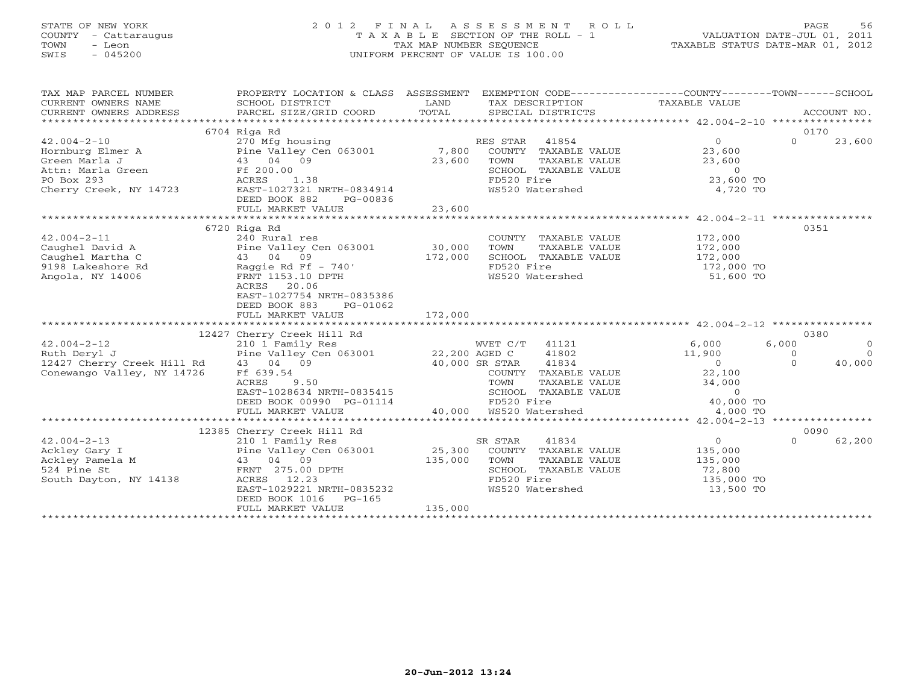# STATE OF NEW YORK 2 0 1 2 F I N A L A S S E S S M E N T R O L L PAGE 56 COUNTY - Cattaraugus T A X A B L E SECTION OF THE ROLL - 1 VALUATION DATE-JUL 01, 2011 TOWN - Leon TAX MAP NUMBER SEQUENCE TAXABLE STATUS DATE-MAR 01, 2012 SWIS - 045200 UNIFORM PERCENT OF VALUE IS 100.00UNIFORM PERCENT OF VALUE IS 100.00

| TAX MAP PARCEL NUMBER<br>$\begin{tabular}{lllllll} \multicolumn{2}{c}{\textbf{CURRENT}} & \multicolumn{2}{c}{\textbf{WNERS}} & \multicolumn{2}{c}{\textbf{NAME}} & \multicolumn{2}{c}{\textbf{SCHOOL}} & \multicolumn{2}{c}{\textbf{DISTRICT}} & \multicolumn{2}{c}{\textbf{LAND}} & \multicolumn{2}{c}{\textbf{TAX} \textbf{DESCRIPTION}} & \multicolumn{2}{c}{\textbf{TAXABLE} \textbf{ VALUE}} & \multicolumn{2}{c}{\textbf{ACCOUNT NO.}} \\ & \multicolumn{2}{c}{\textbf{CURRENT}} & \multicolumn{2}{c}{\$ | PROPERTY LOCATION & CLASS ASSESSMENT EXEMPTION CODE-----------------COUNTY-------TOWN------SCHOOL |                                                                                                                                                                               |          | ACCOUNT NO.    |
|----------------------------------------------------------------------------------------------------------------------------------------------------------------------------------------------------------------------------------------------------------------------------------------------------------------------------------------------------------------------------------------------------------------------------------------------------------------------------------------------------------------|---------------------------------------------------------------------------------------------------|-------------------------------------------------------------------------------------------------------------------------------------------------------------------------------|----------|----------------|
|                                                                                                                                                                                                                                                                                                                                                                                                                                                                                                                |                                                                                                   |                                                                                                                                                                               | 0170     |                |
|                                                                                                                                                                                                                                                                                                                                                                                                                                                                                                                |                                                                                                   |                                                                                                                                                                               | $\Omega$ | 23,600         |
|                                                                                                                                                                                                                                                                                                                                                                                                                                                                                                                |                                                                                                   |                                                                                                                                                                               |          |                |
|                                                                                                                                                                                                                                                                                                                                                                                                                                                                                                                |                                                                                                   |                                                                                                                                                                               |          |                |
|                                                                                                                                                                                                                                                                                                                                                                                                                                                                                                                |                                                                                                   |                                                                                                                                                                               |          |                |
|                                                                                                                                                                                                                                                                                                                                                                                                                                                                                                                |                                                                                                   |                                                                                                                                                                               |          |                |
|                                                                                                                                                                                                                                                                                                                                                                                                                                                                                                                |                                                                                                   |                                                                                                                                                                               |          |                |
|                                                                                                                                                                                                                                                                                                                                                                                                                                                                                                                |                                                                                                   |                                                                                                                                                                               |          |                |
|                                                                                                                                                                                                                                                                                                                                                                                                                                                                                                                |                                                                                                   |                                                                                                                                                                               |          |                |
|                                                                                                                                                                                                                                                                                                                                                                                                                                                                                                                |                                                                                                   |                                                                                                                                                                               |          |                |
|                                                                                                                                                                                                                                                                                                                                                                                                                                                                                                                | 6720 Riga Rd                                                                                      |                                                                                                                                                                               | 0351     |                |
|                                                                                                                                                                                                                                                                                                                                                                                                                                                                                                                |                                                                                                   |                                                                                                                                                                               |          |                |
|                                                                                                                                                                                                                                                                                                                                                                                                                                                                                                                |                                                                                                   |                                                                                                                                                                               |          |                |
|                                                                                                                                                                                                                                                                                                                                                                                                                                                                                                                |                                                                                                   |                                                                                                                                                                               |          |                |
|                                                                                                                                                                                                                                                                                                                                                                                                                                                                                                                |                                                                                                   |                                                                                                                                                                               |          |                |
| 42.004-2-11<br>Caughel David A<br>Caughel Martha C<br>Caughel Martha C<br>Pine Valley Cen 063001<br>240 Rund res<br>240 Rund res<br>240 Rund res<br>26 Raggie Rd Ff - 740'<br>243 04 09<br>243 04 09<br>2172,000<br>2172,000<br>2172,000<br>2172,000<br>2172                                                                                                                                                                                                                                                   |                                                                                                   |                                                                                                                                                                               |          |                |
|                                                                                                                                                                                                                                                                                                                                                                                                                                                                                                                |                                                                                                   |                                                                                                                                                                               |          |                |
|                                                                                                                                                                                                                                                                                                                                                                                                                                                                                                                | EAST-1027754 NRTH-0835386                                                                         |                                                                                                                                                                               |          |                |
|                                                                                                                                                                                                                                                                                                                                                                                                                                                                                                                | DEED BOOK 883 PG-01062                                                                            |                                                                                                                                                                               |          |                |
|                                                                                                                                                                                                                                                                                                                                                                                                                                                                                                                |                                                                                                   |                                                                                                                                                                               |          |                |
|                                                                                                                                                                                                                                                                                                                                                                                                                                                                                                                |                                                                                                   |                                                                                                                                                                               | 0380     |                |
|                                                                                                                                                                                                                                                                                                                                                                                                                                                                                                                |                                                                                                   |                                                                                                                                                                               |          | $\overline{0}$ |
|                                                                                                                                                                                                                                                                                                                                                                                                                                                                                                                |                                                                                                   |                                                                                                                                                                               |          | $\overline{0}$ |
|                                                                                                                                                                                                                                                                                                                                                                                                                                                                                                                |                                                                                                   |                                                                                                                                                                               |          | 40,000         |
|                                                                                                                                                                                                                                                                                                                                                                                                                                                                                                                |                                                                                                   |                                                                                                                                                                               |          |                |
|                                                                                                                                                                                                                                                                                                                                                                                                                                                                                                                |                                                                                                   |                                                                                                                                                                               |          |                |
|                                                                                                                                                                                                                                                                                                                                                                                                                                                                                                                |                                                                                                   |                                                                                                                                                                               |          |                |
|                                                                                                                                                                                                                                                                                                                                                                                                                                                                                                                |                                                                                                   |                                                                                                                                                                               |          |                |
|                                                                                                                                                                                                                                                                                                                                                                                                                                                                                                                |                                                                                                   |                                                                                                                                                                               |          |                |
|                                                                                                                                                                                                                                                                                                                                                                                                                                                                                                                |                                                                                                   |                                                                                                                                                                               |          |                |
|                                                                                                                                                                                                                                                                                                                                                                                                                                                                                                                |                                                                                                   |                                                                                                                                                                               | 0090     |                |
|                                                                                                                                                                                                                                                                                                                                                                                                                                                                                                                |                                                                                                   |                                                                                                                                                                               | $\Omega$ | 62,200         |
|                                                                                                                                                                                                                                                                                                                                                                                                                                                                                                                |                                                                                                   |                                                                                                                                                                               |          |                |
|                                                                                                                                                                                                                                                                                                                                                                                                                                                                                                                |                                                                                                   |                                                                                                                                                                               |          |                |
| 12385 Cherry Creek Hill Rd<br>210.004-2-13<br>210.1 Family Res<br>210.1 Family Res<br>25,300 COUNTY TAXABLE VALUE<br>25,300 COUNTY TAXABLE VALUE<br>25,300 COUNTY TAXABLE VALUE<br>25,300 COUNTY TAXABLE VALUE<br>25,000 COUNTY TAXABLE VALUE<br>                                                                                                                                                                                                                                                              |                                                                                                   | SCHOOL TAXABLE VALUE                          72,800<br>FD520 Fire                                   135,000 TO<br>WS520 Watershed                                  13,500 TO |          |                |
|                                                                                                                                                                                                                                                                                                                                                                                                                                                                                                                |                                                                                                   |                                                                                                                                                                               |          |                |
|                                                                                                                                                                                                                                                                                                                                                                                                                                                                                                                |                                                                                                   |                                                                                                                                                                               |          |                |
|                                                                                                                                                                                                                                                                                                                                                                                                                                                                                                                | EAST-1023221<br>DEED BOOK 1016 PG-165 135,000<br>------ MADKET VALUE 135,000                      |                                                                                                                                                                               |          |                |
|                                                                                                                                                                                                                                                                                                                                                                                                                                                                                                                |                                                                                                   |                                                                                                                                                                               |          |                |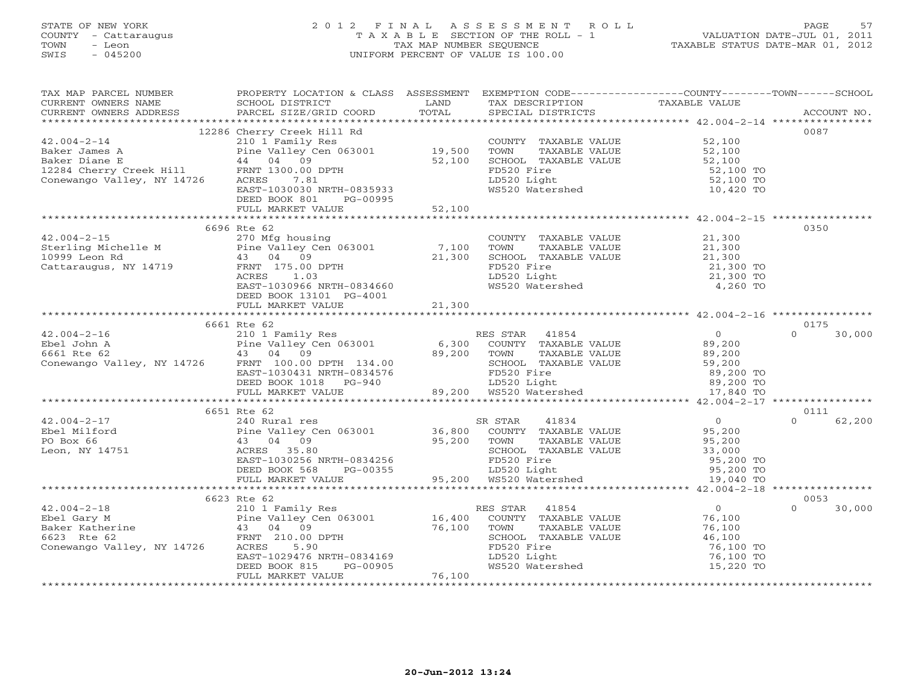# STATE OF NEW YORK 2 0 1 2 F I N A L A S S E S S M E N T R O L L PAGE 57 COUNTY - Cattaraugus T A X A B L E SECTION OF THE ROLL - 1 VALUATION DATE-JUL 01, 2011 TOWN - Leon TAX MAP NUMBER SEQUENCE TAXABLE STATUS DATE-MAR 01, 2012 SWIS - 045200 UNIFORM PERCENT OF VALUE IS 100.00UNIFORM PERCENT OF VALUE IS 100.00

| TAX MAP PARCEL NUMBER<br>CURRENT OWNERS NAME                                                                                                                                                                                                                                                                                                                                                                            |                                                                                                                                                                                                                                                        |        |                                                                            | TAXABLE VALUE       |                            |
|-------------------------------------------------------------------------------------------------------------------------------------------------------------------------------------------------------------------------------------------------------------------------------------------------------------------------------------------------------------------------------------------------------------------------|--------------------------------------------------------------------------------------------------------------------------------------------------------------------------------------------------------------------------------------------------------|--------|----------------------------------------------------------------------------|---------------------|----------------------------|
|                                                                                                                                                                                                                                                                                                                                                                                                                         |                                                                                                                                                                                                                                                        |        |                                                                            |                     |                            |
|                                                                                                                                                                                                                                                                                                                                                                                                                         |                                                                                                                                                                                                                                                        |        |                                                                            |                     | 0087                       |
| 12286 Cherry 1300.00 provided and the country TAXABLE VALUE<br>42.004-2-14 2286 Cherry Creek Hill Rd<br>210 1 Family Res (Alley Cen 063001 19,500 TOWN TAXABLE VALUE 52,100<br>2284 Cherry Creek Hill FRNT 1300.00 DPTH<br>2284 Cherry                                                                                                                                                                                  |                                                                                                                                                                                                                                                        |        |                                                                            |                     |                            |
|                                                                                                                                                                                                                                                                                                                                                                                                                         |                                                                                                                                                                                                                                                        |        |                                                                            |                     |                            |
|                                                                                                                                                                                                                                                                                                                                                                                                                         |                                                                                                                                                                                                                                                        |        |                                                                            |                     |                            |
|                                                                                                                                                                                                                                                                                                                                                                                                                         |                                                                                                                                                                                                                                                        |        |                                                                            |                     |                            |
|                                                                                                                                                                                                                                                                                                                                                                                                                         |                                                                                                                                                                                                                                                        |        |                                                                            |                     |                            |
|                                                                                                                                                                                                                                                                                                                                                                                                                         |                                                                                                                                                                                                                                                        |        |                                                                            |                     |                            |
|                                                                                                                                                                                                                                                                                                                                                                                                                         | DEED BOOK 801 PG-00995                                                                                                                                                                                                                                 |        |                                                                            |                     |                            |
|                                                                                                                                                                                                                                                                                                                                                                                                                         | FULL MARKET VALUE 52,100                                                                                                                                                                                                                               |        |                                                                            |                     |                            |
|                                                                                                                                                                                                                                                                                                                                                                                                                         |                                                                                                                                                                                                                                                        |        |                                                                            |                     |                            |
|                                                                                                                                                                                                                                                                                                                                                                                                                         | 6696 Rte 62                                                                                                                                                                                                                                            |        |                                                                            |                     | 0350                       |
|                                                                                                                                                                                                                                                                                                                                                                                                                         |                                                                                                                                                                                                                                                        |        |                                                                            |                     |                            |
|                                                                                                                                                                                                                                                                                                                                                                                                                         |                                                                                                                                                                                                                                                        |        |                                                                            |                     |                            |
|                                                                                                                                                                                                                                                                                                                                                                                                                         |                                                                                                                                                                                                                                                        |        |                                                                            |                     |                            |
|                                                                                                                                                                                                                                                                                                                                                                                                                         |                                                                                                                                                                                                                                                        |        |                                                                            |                     |                            |
|                                                                                                                                                                                                                                                                                                                                                                                                                         |                                                                                                                                                                                                                                                        |        |                                                                            |                     |                            |
|                                                                                                                                                                                                                                                                                                                                                                                                                         |                                                                                                                                                                                                                                                        |        |                                                                            |                     |                            |
|                                                                                                                                                                                                                                                                                                                                                                                                                         |                                                                                                                                                                                                                                                        |        |                                                                            |                     |                            |
|                                                                                                                                                                                                                                                                                                                                                                                                                         |                                                                                                                                                                                                                                                        |        |                                                                            |                     |                            |
|                                                                                                                                                                                                                                                                                                                                                                                                                         |                                                                                                                                                                                                                                                        |        |                                                                            |                     |                            |
|                                                                                                                                                                                                                                                                                                                                                                                                                         | 6661 Rte 62                                                                                                                                                                                                                                            |        |                                                                            |                     | 0175                       |
|                                                                                                                                                                                                                                                                                                                                                                                                                         |                                                                                                                                                                                                                                                        |        |                                                                            |                     | $\Omega$<br>30,000         |
|                                                                                                                                                                                                                                                                                                                                                                                                                         |                                                                                                                                                                                                                                                        |        |                                                                            |                     |                            |
|                                                                                                                                                                                                                                                                                                                                                                                                                         |                                                                                                                                                                                                                                                        |        |                                                                            |                     |                            |
|                                                                                                                                                                                                                                                                                                                                                                                                                         |                                                                                                                                                                                                                                                        |        |                                                                            |                     |                            |
|                                                                                                                                                                                                                                                                                                                                                                                                                         |                                                                                                                                                                                                                                                        |        |                                                                            |                     |                            |
|                                                                                                                                                                                                                                                                                                                                                                                                                         |                                                                                                                                                                                                                                                        |        |                                                                            |                     |                            |
| $\begin{tabular}{lllllllllll} \multicolumn{3}{c}{\begin{tabular}{c} \multicolumn{3}{c}{\begin{tabular}{c} \multicolumn{3}{c}{\begin{tabular}{c} $42.004-2-16$} \end{tabular} & $0001$ & Kte 62$ \\ $2004-2-16$ & $21011 Family Res$ \\ \multicolumn{3}{c}{\begin{tabular}{c} $43$ & $04$ & $99$ \\ $43$ & $04$ & $99$ \\ \end{tabular} & $43$ & $04$ & $99$ \\ \end{tabular} & $43$ & $04$ & $99$ \\ \end{tabular} & $$ |                                                                                                                                                                                                                                                        |        |                                                                            |                     |                            |
|                                                                                                                                                                                                                                                                                                                                                                                                                         |                                                                                                                                                                                                                                                        |        |                                                                            |                     |                            |
|                                                                                                                                                                                                                                                                                                                                                                                                                         | 6651 Rte 62                                                                                                                                                                                                                                            |        |                                                                            |                     | 0111<br>$\Omega$<br>62,200 |
|                                                                                                                                                                                                                                                                                                                                                                                                                         |                                                                                                                                                                                                                                                        |        |                                                                            |                     |                            |
|                                                                                                                                                                                                                                                                                                                                                                                                                         |                                                                                                                                                                                                                                                        |        |                                                                            |                     |                            |
|                                                                                                                                                                                                                                                                                                                                                                                                                         |                                                                                                                                                                                                                                                        |        |                                                                            |                     |                            |
|                                                                                                                                                                                                                                                                                                                                                                                                                         |                                                                                                                                                                                                                                                        |        |                                                                            |                     |                            |
|                                                                                                                                                                                                                                                                                                                                                                                                                         |                                                                                                                                                                                                                                                        |        |                                                                            |                     |                            |
|                                                                                                                                                                                                                                                                                                                                                                                                                         | 43 04 09<br>ACRES 35.80<br>ACRES 35.80<br>EAST-1030256 NRTH-0834256<br>DEED BOOK 568 PG-00355<br>FULL MARKET VALUE<br>PULL MARKET VALUE<br>PULL MARKET VALUE<br>PULL MARKET VALUE<br>PULL MARKET VALUE<br>PULL MARKET VALUE<br>PULL MARKET VALUE<br>PU |        |                                                                            |                     |                            |
|                                                                                                                                                                                                                                                                                                                                                                                                                         |                                                                                                                                                                                                                                                        |        |                                                                            |                     |                            |
|                                                                                                                                                                                                                                                                                                                                                                                                                         |                                                                                                                                                                                                                                                        |        |                                                                            |                     | 0053                       |
|                                                                                                                                                                                                                                                                                                                                                                                                                         |                                                                                                                                                                                                                                                        |        |                                                                            |                     | $\Omega$<br>30,000         |
|                                                                                                                                                                                                                                                                                                                                                                                                                         |                                                                                                                                                                                                                                                        |        |                                                                            |                     |                            |
|                                                                                                                                                                                                                                                                                                                                                                                                                         |                                                                                                                                                                                                                                                        |        |                                                                            |                     |                            |
|                                                                                                                                                                                                                                                                                                                                                                                                                         |                                                                                                                                                                                                                                                        |        |                                                                            | 46,100<br>76,100 TO |                            |
|                                                                                                                                                                                                                                                                                                                                                                                                                         |                                                                                                                                                                                                                                                        |        |                                                                            |                     |                            |
|                                                                                                                                                                                                                                                                                                                                                                                                                         |                                                                                                                                                                                                                                                        |        |                                                                            |                     |                            |
|                                                                                                                                                                                                                                                                                                                                                                                                                         |                                                                                                                                                                                                                                                        |        | FD520 Fire 76,100 TO<br>LD520 Light 76,100 TO<br>WS520 Watershed 15,220 TO |                     |                            |
|                                                                                                                                                                                                                                                                                                                                                                                                                         | FULL MARKET VALUE                                                                                                                                                                                                                                      | 76,100 |                                                                            |                     |                            |
|                                                                                                                                                                                                                                                                                                                                                                                                                         |                                                                                                                                                                                                                                                        |        |                                                                            |                     |                            |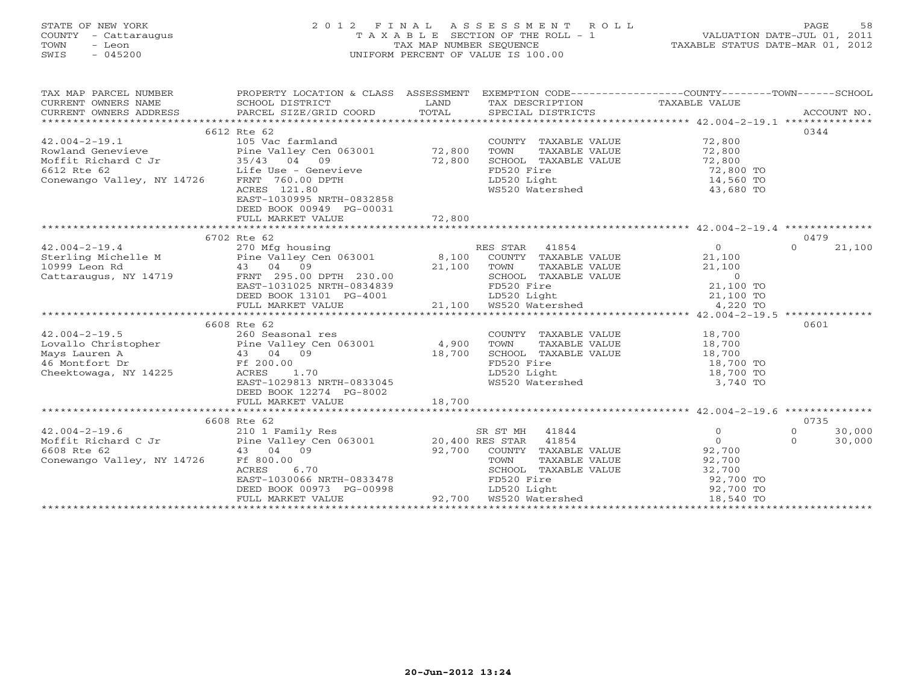#### STATE OF NEW YORK 2 0 1 2 F I N A L A S S E S S M E N T R O L L PAGE 58COUNTY - Cattaraugus T A X A B L E SECTION OF THE ROLL - 1<br>TOWN - Leon TAX MAP NUMBER SEQUENCE TOWN - Leon TAX MAP NUMBER SEQUENCE TAXABLE STATUS DATE-MAR 01, 2012 SWIS - 045200 UNIFORM PERCENT OF VALUE IS 100.00

| TAX MAP PARCEL NUMBER                                                                                                                                                                                                                                                                                                                                                                         | PROPERTY LOCATION & CLASS ASSESSMENT                                                                                                                                                                                                                     |        | EXEMPTION CODE-----------------COUNTY-------TOWN------SCHOOL |                        |                    |
|-----------------------------------------------------------------------------------------------------------------------------------------------------------------------------------------------------------------------------------------------------------------------------------------------------------------------------------------------------------------------------------------------|----------------------------------------------------------------------------------------------------------------------------------------------------------------------------------------------------------------------------------------------------------|--------|--------------------------------------------------------------|------------------------|--------------------|
|                                                                                                                                                                                                                                                                                                                                                                                               |                                                                                                                                                                                                                                                          |        |                                                              |                        |                    |
|                                                                                                                                                                                                                                                                                                                                                                                               |                                                                                                                                                                                                                                                          |        |                                                              |                        |                    |
|                                                                                                                                                                                                                                                                                                                                                                                               | 6612 Rte 62                                                                                                                                                                                                                                              |        |                                                              |                        | 0344               |
| $42.004 - 2 - 19.1$                                                                                                                                                                                                                                                                                                                                                                           | 105 Vac farmland                                                                                                                                                                                                                                         |        | COUNTY TAXABLE VALUE                                         | 72,800                 |                    |
|                                                                                                                                                                                                                                                                                                                                                                                               |                                                                                                                                                                                                                                                          |        | TAXABLE VALUE 72,800<br>TOWN                                 |                        |                    |
| Rowland Genevieve Pine Valley Cen 063001 72,800                                                                                                                                                                                                                                                                                                                                               |                                                                                                                                                                                                                                                          |        | SCHOOL TAXABLE VALUE                                         |                        |                    |
| Moffit Richard C Jr $35/43$ 04 09<br>6612 Rte 62 Life Use - Genevieve<br>Conewango Valley, NY 14726 FRNT 760.00 DPTH                                                                                                                                                                                                                                                                          |                                                                                                                                                                                                                                                          | 72,800 | FD520 Fire                                                   | 72,800<br>72,800 TO    |                    |
|                                                                                                                                                                                                                                                                                                                                                                                               |                                                                                                                                                                                                                                                          |        | LD520 Light                                                  | 14,560 TO              |                    |
|                                                                                                                                                                                                                                                                                                                                                                                               | ACRES 121.80                                                                                                                                                                                                                                             |        | WS520 Watershed                                              | 43,680 TO              |                    |
|                                                                                                                                                                                                                                                                                                                                                                                               | EAST-1030995 NRTH-0832858                                                                                                                                                                                                                                |        |                                                              |                        |                    |
|                                                                                                                                                                                                                                                                                                                                                                                               | DEED BOOK 00949 PG-00031                                                                                                                                                                                                                                 |        |                                                              |                        |                    |
|                                                                                                                                                                                                                                                                                                                                                                                               | FULL MARKET VALUE                                                                                                                                                                                                                                        |        |                                                              |                        |                    |
|                                                                                                                                                                                                                                                                                                                                                                                               |                                                                                                                                                                                                                                                          | 72,800 |                                                              |                        |                    |
|                                                                                                                                                                                                                                                                                                                                                                                               | 6702 Rte 62                                                                                                                                                                                                                                              |        |                                                              |                        | 0479               |
| $42.004 - 2 - 19.4$                                                                                                                                                                                                                                                                                                                                                                           |                                                                                                                                                                                                                                                          |        | RES STAR 41854                                               | $\overline{0}$         | 21,100<br>$\cap$   |
|                                                                                                                                                                                                                                                                                                                                                                                               | 270 Mfg housing                                                                                                                                                                                                                                          |        | COUNTY TAXABLE VALUE                                         |                        |                    |
|                                                                                                                                                                                                                                                                                                                                                                                               |                                                                                                                                                                                                                                                          |        |                                                              | 21,100                 |                    |
| Sterling Michelle M Fine Valley Cen 063001 8,100 COUNTY<br>10999 Leon Rd 43 04 09 21,100 TOWN<br>Cattaraugus, NY 14719 FRNT 295.00 DPTH 230.00 SCHOOL                                                                                                                                                                                                                                         |                                                                                                                                                                                                                                                          |        |                                                              |                        |                    |
|                                                                                                                                                                                                                                                                                                                                                                                               | 43 04 09<br>FRNT 295.00 DPTH 230.00<br>EAST-1031025 NRTH-0834839<br>DEED BOOK 13101 PG-4001<br>FULL MARKET VALUE<br>FULL MARKET VALUE<br>FULL MARKET VALUE<br>FULL MARKET VALUE<br>PLED BOOK 13101 PG-4001<br>21,100 WS520 Watershed<br>21,100 TO<br>    |        |                                                              |                        |                    |
|                                                                                                                                                                                                                                                                                                                                                                                               |                                                                                                                                                                                                                                                          |        |                                                              |                        |                    |
|                                                                                                                                                                                                                                                                                                                                                                                               |                                                                                                                                                                                                                                                          |        |                                                              |                        |                    |
|                                                                                                                                                                                                                                                                                                                                                                                               |                                                                                                                                                                                                                                                          |        |                                                              |                        |                    |
|                                                                                                                                                                                                                                                                                                                                                                                               | 6608 Rte 62                                                                                                                                                                                                                                              |        |                                                              |                        | 0601               |
|                                                                                                                                                                                                                                                                                                                                                                                               |                                                                                                                                                                                                                                                          |        |                                                              |                        |                    |
|                                                                                                                                                                                                                                                                                                                                                                                               |                                                                                                                                                                                                                                                          |        | COUNTY TAXABLE VALUE 18,700<br>TOWN TAXABLE VALUE 18,700     |                        |                    |
|                                                                                                                                                                                                                                                                                                                                                                                               |                                                                                                                                                                                                                                                          |        | SCHOOL TAXABLE VALUE                                         | 18,700                 |                    |
| 42.004-2-19.5<br>Lovallo Christopher<br>Mays Lauren A<br>43 04 09<br>18,700<br>Cheektowaga, NY 14225<br>ACRES<br>4.900<br>260 Seasonal res<br>Pine Valley Cen 063001<br>4,900<br>18,700<br>26 Montfort Dr<br>Cheektowaga, NY 14225                                                                                                                                                            |                                                                                                                                                                                                                                                          |        | FD520 Fire                                                   |                        |                    |
|                                                                                                                                                                                                                                                                                                                                                                                               |                                                                                                                                                                                                                                                          |        | LD520 Light                                                  | 18,700 TO<br>18,700 TO |                    |
|                                                                                                                                                                                                                                                                                                                                                                                               | EAST-1029813 NRTH-0833045                                                                                                                                                                                                                                |        | WS520 Watershed                                              | 3,740 TO               |                    |
|                                                                                                                                                                                                                                                                                                                                                                                               | DEED BOOK 12274 PG-8002                                                                                                                                                                                                                                  |        |                                                              |                        |                    |
|                                                                                                                                                                                                                                                                                                                                                                                               | FULL MARKET VALUE                                                                                                                                                                                                                                        | 18,700 |                                                              |                        |                    |
|                                                                                                                                                                                                                                                                                                                                                                                               |                                                                                                                                                                                                                                                          |        |                                                              |                        |                    |
|                                                                                                                                                                                                                                                                                                                                                                                               | 6608 Rte 62                                                                                                                                                                                                                                              |        |                                                              |                        | 0735               |
| 42.004-2-19.6 210 1 Family Res SK ST Mn $\begin{array}{lll} \text{Moffit Richard C Jr} & \text{210 1 Family Res} & \text{38.4001} \\ \text{Moffit Richard C Jr} & \text{Pine Valley Cen 063001} & \text{20,400 RES STAR} & \text{41854} \\ \text{6608 Rte 62} & \text{43.04} & \text{09} & \text{92,700} & \text{COUNTY} & \text{TAXABLE} \\ \text{mXABLE} & \text{mXABLE} & \text{mXABLE} &$ |                                                                                                                                                                                                                                                          |        |                                                              | $\circ$                | $\Omega$<br>30,000 |
|                                                                                                                                                                                                                                                                                                                                                                                               |                                                                                                                                                                                                                                                          |        |                                                              | $\overline{0}$         | $\Omega$<br>30,000 |
|                                                                                                                                                                                                                                                                                                                                                                                               |                                                                                                                                                                                                                                                          |        | 92,700 COUNTY TAXABLE VALUE 92,700                           |                        |                    |
| Conewango Valley, NY 14726                                                                                                                                                                                                                                                                                                                                                                    |                                                                                                                                                                                                                                                          |        |                                                              |                        |                    |
|                                                                                                                                                                                                                                                                                                                                                                                               | FE 800.00<br>ACRES 6.70<br>EAST-1030066 NRTH-0833478<br>DEED BOOK 00973 PG-00998<br>FULL MARKET VALUE 92,700<br>PET BOOK 00973 PG-00998<br>PET 92,700<br>PET 92,700<br>PET 92,700<br>MARKET VALUE<br>PET 92,700<br>PET 92,700<br>MARKET VALUE<br>PET 92, |        |                                                              |                        |                    |
|                                                                                                                                                                                                                                                                                                                                                                                               |                                                                                                                                                                                                                                                          |        |                                                              |                        |                    |
|                                                                                                                                                                                                                                                                                                                                                                                               |                                                                                                                                                                                                                                                          |        |                                                              |                        |                    |
|                                                                                                                                                                                                                                                                                                                                                                                               |                                                                                                                                                                                                                                                          |        |                                                              |                        |                    |
|                                                                                                                                                                                                                                                                                                                                                                                               |                                                                                                                                                                                                                                                          |        |                                                              |                        |                    |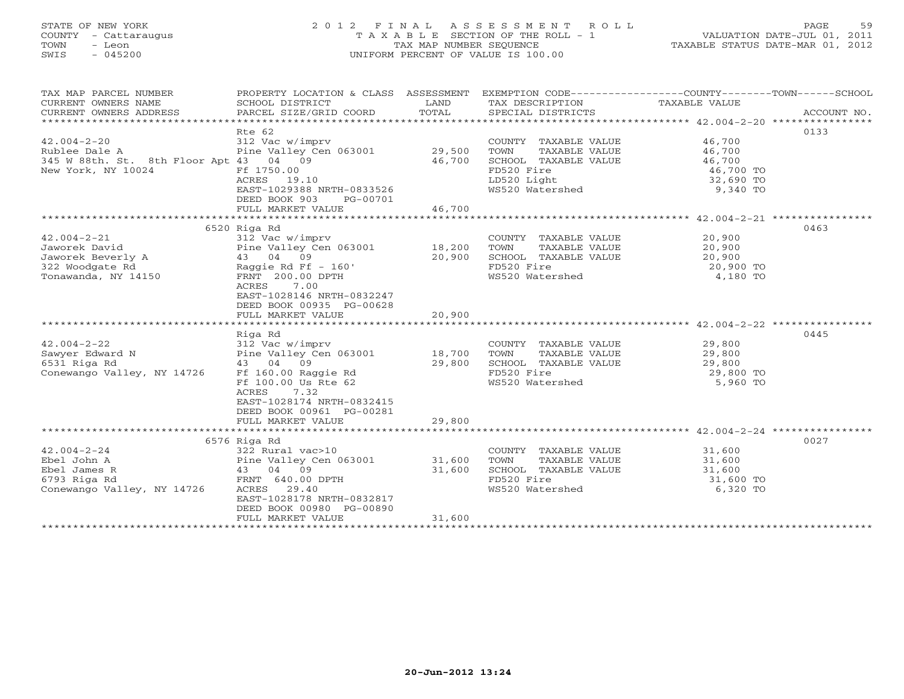# STATE OF NEW YORK 2 0 1 2 F I N A L A S S E S S M E N T R O L L PAGE 59 COUNTY - Cattaraugus T A X A B L E SECTION OF THE ROLL - 1 VALUATION DATE-JUL 01, 2011 TOWN - Leon TAX MAP NUMBER SEQUENCE TAXABLE STATUS DATE-MAR 01, 2012 SWIS - 045200 UNIFORM PERCENT OF VALUE IS 100.00UNIFORM PERCENT OF VALUE IS 100.00

| TAX MAP PARCEL NUMBER<br>CURRENT OWNERS NAME<br>CURRENT OWNERS ADDRESS                                                                                                              | PROPERTY LOCATION & CLASS ASSESSMENT<br>SCHOOL DISTRICT<br>PARCEL SIZE/GRID COORD                                                                                                                                     | LAND<br>TOTAL    | TAX DESCRIPTION TAXABLE VALUE<br>SPECIAL DISTRICTS                                                                    | EXEMPTION CODE-----------------COUNTY-------TOWN------SCHOOL<br>ACCOUNT NO. |  |
|-------------------------------------------------------------------------------------------------------------------------------------------------------------------------------------|-----------------------------------------------------------------------------------------------------------------------------------------------------------------------------------------------------------------------|------------------|-----------------------------------------------------------------------------------------------------------------------|-----------------------------------------------------------------------------|--|
| $42.004 - 2 - 20$<br>Rublee Dale A<br>345 W 88th. St. 8th Floor Apt 43 04 09<br>New York, NY 10024                                                                                  | Rte 62<br>312 Vac w/imprv<br>Pine Valley Cen 063001 29,500<br>Ff 1750.00<br>ACRES 19.10<br>EAST-1029388 NRTH-0833526<br>DEED BOOK 903<br>PG-00701<br>FULL MARKET VALUE                                                | 46,700<br>46,700 | COUNTY TAXABLE VALUE<br>TOWN<br>TAXABLE VALUE<br>SCHOOL TAXABLE VALUE<br>FD520 Fire<br>LD520 Light<br>WS520 Watershed | 0133<br>46,700<br>46,700<br>46,700<br>46,700 TO<br>$32,690$ TO<br>9,340 TO  |  |
|                                                                                                                                                                                     |                                                                                                                                                                                                                       |                  |                                                                                                                       |                                                                             |  |
| $42.004 - 2 - 21$<br>Jaworek David<br>Jaworek Beverly A                         43     04    09<br>322 Woodgate Rd                       Raggie Rd Ff - 160'<br>Tonawanda, NY 14150 | 6520 Riga Rd<br>312 Vac w/imprv<br>Pine Valley Cen 063001 18,200<br>FRNT 200.00 DPTH<br>7.00<br>ACRES<br>EAST-1028146 NRTH-0832247<br>DEED BOOK 00935 PG-00628<br>FULL MARKET VALUE                                   | 20,900<br>20,900 | COUNTY TAXABLE VALUE<br>TOWN<br>TAXABLE VALUE<br>SCHOOL TAXABLE VALUE<br>FD520 Fire<br>WS520 Watershed 4,180 TO       | 0463<br>20,900<br>20,900<br>20,900<br>20,900 TO                             |  |
|                                                                                                                                                                                     | Riga Rd                                                                                                                                                                                                               |                  |                                                                                                                       | 0445                                                                        |  |
| $42.004 - 2 - 22$<br>Sawyer Edward N<br>6531 Riga Rd<br>Conewango Valley, NY 14726                                                                                                  | 312 Vac w/imprv<br>Pine Valley Cen 063001 18,700<br>43 04 09<br>43 04 09<br>Ff 160.00 Raggie Rd<br>Ff 100.00 Us Rte 62<br>ACRES<br>7.32<br>EAST-1028174 NRTH-0832415<br>DEED BOOK 00961 PG-00281<br>FULL MARKET VALUE | 29,800<br>29,800 | COUNTY TAXABLE VALUE<br>TOWN<br>TAXABLE VALUE<br>SCHOOL TAXABLE VALUE<br>FD520 Fire<br>WS520 Watershed                | 29,800<br>29,800<br>ABLE VALUE 29,800<br>29,800 TO<br>5,960 TO              |  |
|                                                                                                                                                                                     |                                                                                                                                                                                                                       |                  |                                                                                                                       |                                                                             |  |
|                                                                                                                                                                                     | 6576 Riga Rd                                                                                                                                                                                                          |                  |                                                                                                                       | 0027                                                                        |  |
| $42.004 - 2 - 24$<br>Ebel John A<br>Ebel James R<br>6793 Riga Rd<br>Conewango Valley, NY 14726                                                                                      | 322 Rural vac>10<br>Pine Valley Cen 063001 31,600<br>43 04 09<br>FRNT 640.00 DPTH<br>ACRES 29.40<br>EAST-1028178 NRTH-0832817<br>DEED BOOK 00980 PG-00890<br>FULL MARKET VALUE                                        | 31,600<br>31,600 | COUNTY TAXABLE VALUE<br>TAXABLE VALUE<br>TOWN<br>SCHOOL TAXABLE VALUE<br>FD520 Fire<br>WS520 Watershed                | 31,600<br>31,600<br>31,600<br>31,600 TO<br>6,320 TO                         |  |
|                                                                                                                                                                                     |                                                                                                                                                                                                                       |                  |                                                                                                                       |                                                                             |  |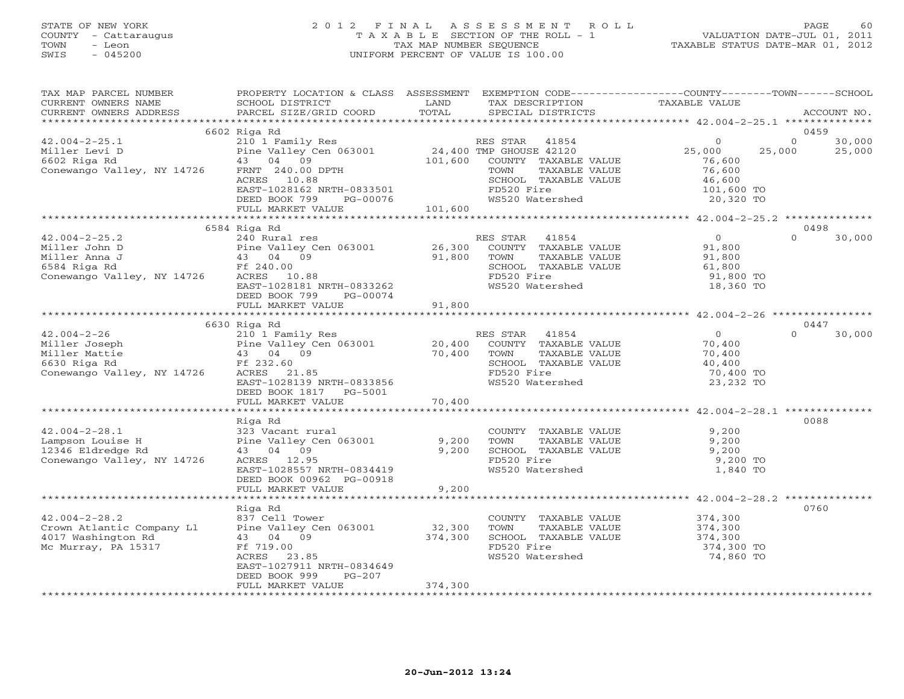# STATE OF NEW YORK 2 0 1 2 F I N A L A S S E S S M E N T R O L L PAGE 60 COUNTY - Cattaraugus T A X A B L E SECTION OF THE ROLL - 1 VALUATION DATE-JUL 01, 2011 TOWN - Leon TAX MAP NUMBER SEQUENCE TAXABLE STATUS DATE-MAR 01, 2012 SWIS - 045200 UNIFORM PERCENT OF VALUE IS 100.00UNIFORM PERCENT OF VALUE IS 100.00

| TAX MAP PARCEL NUMBER<br>CURRENT OWNERS NAME<br>CURRENT OWNERS ADDRESS                              | PROPERTY LOCATION & CLASS ASSESSMENT<br>SCHOOL DISTRICT<br>PARCEL SIZE/GRID COORD                                                                                                 | LAND<br>TOTAL              | EXEMPTION CODE-----------------COUNTY-------TOWN------SCHOOL<br>TAX DESCRIPTION<br>SPECIAL DISTRICTS                                                   | TAXABLE VALUE                                                                        | ACCOUNT NO.                         |
|-----------------------------------------------------------------------------------------------------|-----------------------------------------------------------------------------------------------------------------------------------------------------------------------------------|----------------------------|--------------------------------------------------------------------------------------------------------------------------------------------------------|--------------------------------------------------------------------------------------|-------------------------------------|
| ***********************                                                                             | ****************************                                                                                                                                                      |                            |                                                                                                                                                        |                                                                                      |                                     |
| $42.004 - 2 - 25.1$<br>Miller Levi D<br>6602 Riga Rd<br>Conewango Valley, NY 14726                  | 6602 Riga Rd<br>210 1 Family Res<br>Pine Valley Cen 063001<br>43 04 09<br>FRNT 240.00 DPTH<br>ACRES 10.88<br>EAST-1028162 NRTH-0833501<br>DEED BOOK 799<br>PG-00076               | 101,600                    | RES STAR<br>41854<br>24,400 TMP GHOUSE 42120<br>COUNTY TAXABLE VALUE<br>TOWN<br>TAXABLE VALUE<br>SCHOOL TAXABLE VALUE<br>FD520 Fire<br>WS520 Watershed | $\circ$<br>25,000<br>25,000<br>76,600<br>76,600<br>46,600<br>101,600 TO<br>20,320 TO | 0459<br>$\circ$<br>30,000<br>25,000 |
|                                                                                                     | FULL MARKET VALUE                                                                                                                                                                 | 101,600                    |                                                                                                                                                        |                                                                                      |                                     |
|                                                                                                     | 6584 Riga Rd                                                                                                                                                                      |                            |                                                                                                                                                        |                                                                                      | 0498                                |
| $42.004 - 2 - 25.2$<br>Miller John D<br>Miller Anna J<br>6584 Riga Rd<br>Conewango Valley, NY 14726 | 240 Rural res<br>Pine Valley Cen 063001<br>43 04 09<br>Ff 240.00<br>ACRES 10.88<br>EAST-1028181 NRTH-0833262<br>DEED BOOK 799<br>PG-00074                                         | 26,300<br>91,800           | RES STAR<br>41854<br>COUNTY TAXABLE VALUE<br>TOWN<br>TAXABLE VALUE<br>SCHOOL TAXABLE VALUE<br>FD520 Fire<br>WS520 Watershed                            | $\overline{0}$<br>91,800<br>91,800<br>61,800<br>91,800 TO<br>18,360 TO               | $\Omega$<br>30,000                  |
|                                                                                                     | FULL MARKET VALUE                                                                                                                                                                 | 91,800                     |                                                                                                                                                        |                                                                                      |                                     |
|                                                                                                     |                                                                                                                                                                                   | *********************      |                                                                                                                                                        | ********************* 42.004-2-26 **************                                     |                                     |
| $42.004 - 2 - 26$<br>Miller Joseph<br>Miller Mattie<br>6630 Riga Rd<br>Conewango Valley, NY 14726   | 6630 Riga Rd<br>210 1 Family Res<br>Pine Valley Cen 063001<br>43 04 09<br>Ff 232.60<br>ACRES 21.85<br>EAST-1028139 NRTH-0833856<br>DEED BOOK 1817<br>PG-5001<br>FULL MARKET VALUE | 20,400<br>70,400<br>70,400 | 41854<br>RES STAR<br>COUNTY TAXABLE VALUE<br>TOWN<br>TAXABLE VALUE<br>SCHOOL TAXABLE VALUE<br>FD520 Fire<br>WS520 Watershed                            | $\overline{0}$<br>70,400<br>70,400<br>40,400<br>70,400 TO<br>23,232 TO               | 0447<br>$\Omega$<br>30,000          |
|                                                                                                     |                                                                                                                                                                                   | ***********************    |                                                                                                                                                        | ************************* 42.004-2-28.1 **************                               |                                     |
| $42.004 - 2 - 28.1$<br>Lampson Louise H<br>12346 Eldredge Rd<br>Conewango Valley, NY 14726          | Riga Rd<br>323 Vacant rural<br>Pine Valley Cen 063001<br>43 04 09<br>ACRES 12.95<br>EAST-1028557 NRTH-0834419<br>DEED BOOK 00962 PG-00918                                         | 9,200<br>9,200             | COUNTY TAXABLE VALUE<br>TOWN<br>TAXABLE VALUE<br>SCHOOL TAXABLE VALUE<br>FD520 Fire<br>WS520 Watershed                                                 | 9,200<br>9,200<br>9,200<br>9,200 TO<br>1,840 TO                                      | 0088                                |
|                                                                                                     | FULL MARKET VALUE                                                                                                                                                                 | 9,200<br>*************     | ************************************ 42.004-2-28.2 ********                                                                                            |                                                                                      |                                     |
| $42.004 - 2 - 28.2$<br>Crown Atlantic Company Ll<br>4017 Washington Rd<br>Mc Murray, PA 15317       | Riga Rd<br>837 Cell Tower<br>Pine Valley Cen 063001<br>43 04 09<br>Ff 719.00<br>ACRES<br>23.85<br>EAST-1027911 NRTH-0834649<br>DEED BOOK 999<br>$PG-207$                          | 32,300<br>374,300          | COUNTY TAXABLE VALUE<br>TOWN<br>TAXABLE VALUE<br>SCHOOL TAXABLE VALUE<br>FD520 Fire<br>WS520 Watershed                                                 | 374,300<br>374,300<br>374,300<br>374,300 TO<br>74,860 TO                             | 0760                                |
|                                                                                                     | FULL MARKET VALUE                                                                                                                                                                 | 374,300                    |                                                                                                                                                        |                                                                                      |                                     |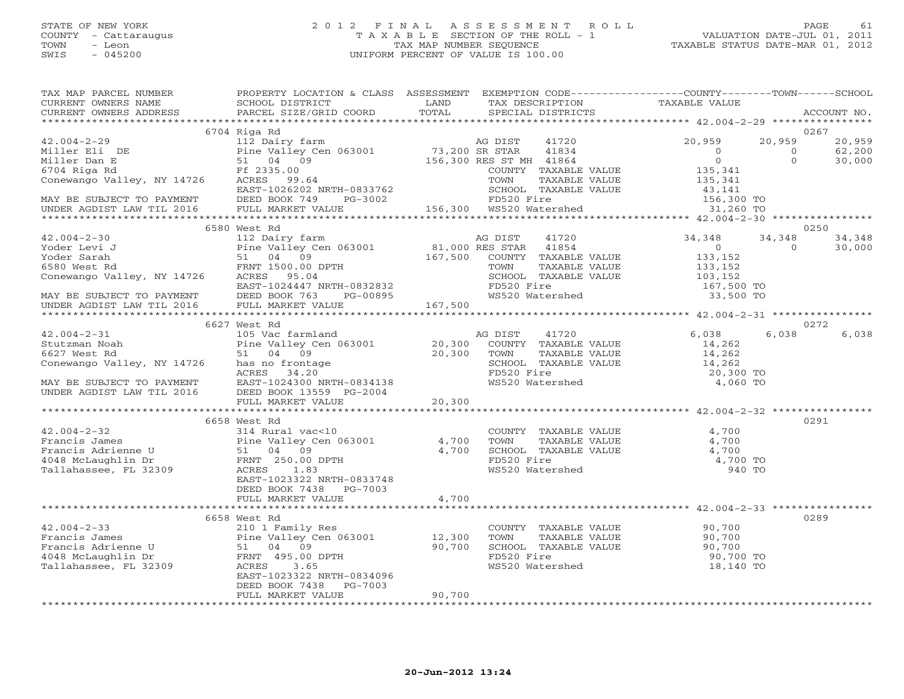## STATE OF NEW YORK 2 0 1 2 F I N A L A S S E S S M E N T R O L L PAGE 61 COUNTY - Cattaraugus T A X A B L E SECTION OF THE ROLL - 1 VALUATION DATE-JUL 01, 2011 TOWN - Leon TAX MAP NUMBER SEQUENCE TAXABLE STATUS DATE-MAR 01, 2012 SWIS - 045200 UNIFORM PERCENT OF VALUE IS 100.00UNIFORM PERCENT OF VALUE IS 100.00

| TAX MAP PARCEL NUMBER<br>CURRENT OWNERS NAME                                                                                                                                                                                                                                                                                                                                                                         | PROPERTY LOCATION & CLASS ASSESSMENT EXEMPTION CODE---------------COUNTY-------TOWN------SCHOOL<br>SCHOOL DISTRICT<br><b>EXAMPLE SERVICE SERVICE SERVICE SERVICE SERVICE SERVICE SERVICE SERVICE SERVICE SERVICE SERVICE SERVICE SERVICE</b> |         |                         |                                                                                                     |                                                              |          |             |
|----------------------------------------------------------------------------------------------------------------------------------------------------------------------------------------------------------------------------------------------------------------------------------------------------------------------------------------------------------------------------------------------------------------------|----------------------------------------------------------------------------------------------------------------------------------------------------------------------------------------------------------------------------------------------|---------|-------------------------|-----------------------------------------------------------------------------------------------------|--------------------------------------------------------------|----------|-------------|
| CURRENT OWNERS ADDRESS                                                                                                                                                                                                                                                                                                                                                                                               | PARCEL SIZE/GRID COORD                                                                                                                                                                                                                       | TOTAL   |                         |                                                                                                     |                                                              |          | ACCOUNT NO. |
|                                                                                                                                                                                                                                                                                                                                                                                                                      |                                                                                                                                                                                                                                              |         |                         |                                                                                                     |                                                              |          |             |
|                                                                                                                                                                                                                                                                                                                                                                                                                      | 6704 Riga Rd<br>AG DIST<br>Pine Valley Cen 063001 M3,200 SR STAR<br>51 04 09 156,300 RES ST MH<br>Ff 2335.00 COUNTY                                                                                                                          |         |                         |                                                                                                     |                                                              |          | 0267        |
| $42.004 - 2 - 29$                                                                                                                                                                                                                                                                                                                                                                                                    |                                                                                                                                                                                                                                              |         |                         | 41720                                                                                               | 20,959                                                       | 20,959   | 20,959      |
|                                                                                                                                                                                                                                                                                                                                                                                                                      |                                                                                                                                                                                                                                              |         |                         | 41834                                                                                               | $\overline{0}$                                               | $\circ$  | 62,200      |
|                                                                                                                                                                                                                                                                                                                                                                                                                      |                                                                                                                                                                                                                                              |         | 156,300 RES ST MH 41864 |                                                                                                     | $\overline{0}$                                               | $\Omega$ | 30,000      |
|                                                                                                                                                                                                                                                                                                                                                                                                                      |                                                                                                                                                                                                                                              |         |                         | COUNTY TAXABLE VALUE                                                                                | 135,341                                                      |          |             |
| Miller Eli DE Pine Valley Ce<br>Miller Dan E 51 04 09<br>6704 Riga Rd Ff 2335.00<br>Conewango Valley, NY 14726 ACRES 99.64                                                                                                                                                                                                                                                                                           |                                                                                                                                                                                                                                              |         | TOWN                    | TAXABLE VALUE                                                                                       | 135,341                                                      |          |             |
|                                                                                                                                                                                                                                                                                                                                                                                                                      |                                                                                                                                                                                                                                              |         |                         | SCHOOL TAXABLE VALUE                                                                                | VALUE 43, 141<br>156, 300 TO<br>31, 260 TO                   |          |             |
| MAY BE SUBJECT TO PAYMENT<br>UNDER AGDIST LAW TIL 2016 FULL MARKET VALUE                                                                                                                                                                                                                                                                                                                                             |                                                                                                                                                                                                                                              |         |                         |                                                                                                     |                                                              |          |             |
|                                                                                                                                                                                                                                                                                                                                                                                                                      | EAST-1026202 NRTH-0833762<br>DEED BOOK 749 PG-3002 FD520 Fire<br>FINGLE FREED BOOK 749 PG-3002 F156,300 MS520 Matershed                                                                                                                      |         |                         |                                                                                                     |                                                              |          |             |
|                                                                                                                                                                                                                                                                                                                                                                                                                      |                                                                                                                                                                                                                                              |         |                         |                                                                                                     | ************** 42.004-2-30 ***************                   |          |             |
|                                                                                                                                                                                                                                                                                                                                                                                                                      | 6580 West Rd                                                                                                                                                                                                                                 |         |                         |                                                                                                     |                                                              |          | 0250        |
| $42.004 - 2 - 30$                                                                                                                                                                                                                                                                                                                                                                                                    | 112 Dairy farm                                                                                                                                                                                                                               |         | AG DIST                 | 41720                                                                                               | 34,348                                                       | 34,348   | 34,348      |
| $\begin{array}{cccc} \texttt{42.004-2-30} & \texttt{112. Darry farm} & \texttt{AGP DIST} & \texttt{41720} \\ \texttt{Yoder} & \texttt{Scrit} & \texttt{51.000 RES} & \texttt{63001} & \texttt{81,000 RES} & \texttt{41720} \\ \texttt{Yoder} & \texttt{Sarah} & \texttt{51.04 09} & \texttt{167,500} & \texttt{COMPY} & \texttt{TAXABLE} \\ \texttt{6580 West Rd} & \texttt{FRNT 14726} & \texttt{ACRES} & \texttt{$ |                                                                                                                                                                                                                                              |         |                         |                                                                                                     | $\overline{0}$                                               | $\Omega$ | 30,000      |
|                                                                                                                                                                                                                                                                                                                                                                                                                      |                                                                                                                                                                                                                                              |         |                         | COUNTY TAXABLE VALUE                                                                                | 133,152                                                      |          |             |
|                                                                                                                                                                                                                                                                                                                                                                                                                      |                                                                                                                                                                                                                                              |         |                         | TAXABLE VALUE                                                                                       | 133,152<br>103,152                                           |          |             |
|                                                                                                                                                                                                                                                                                                                                                                                                                      |                                                                                                                                                                                                                                              |         |                         | SCHOOL TAXABLE VALUE                                                                                |                                                              |          |             |
|                                                                                                                                                                                                                                                                                                                                                                                                                      |                                                                                                                                                                                                                                              |         |                         |                                                                                                     | 167,500 TO                                                   |          |             |
|                                                                                                                                                                                                                                                                                                                                                                                                                      | PG-00895                                                                                                                                                                                                                                     |         |                         | WS520 Watershed                                                                                     | 33,500 TO                                                    |          |             |
| MAY BE SUBJECT TO PAYMENT<br>UNDER AGDIST LAW TIL 2016 FULL MARKET VALUE                                                                                                                                                                                                                                                                                                                                             |                                                                                                                                                                                                                                              | 167,500 |                         |                                                                                                     |                                                              |          |             |
|                                                                                                                                                                                                                                                                                                                                                                                                                      |                                                                                                                                                                                                                                              |         |                         |                                                                                                     |                                                              |          |             |
|                                                                                                                                                                                                                                                                                                                                                                                                                      | 6627 West Rd                                                                                                                                                                                                                                 |         |                         |                                                                                                     |                                                              |          | 0272        |
| $42.004 - 2 - 31$                                                                                                                                                                                                                                                                                                                                                                                                    |                                                                                                                                                                                                                                              |         | AG DIST                 | 41720                                                                                               | 6,038                                                        | 6,038    | 6,038       |
| Stutzman Noah                                                                                                                                                                                                                                                                                                                                                                                                        |                                                                                                                                                                                                                                              |         |                         | COUNTY TAXABLE VALUE                                                                                |                                                              |          |             |
| 6627 West Rd                                                                                                                                                                                                                                                                                                                                                                                                         |                                                                                                                                                                                                                                              |         |                         | TAXABLE VALUE                                                                                       | 14,262<br>14,262                                             |          |             |
| Conewango Valley, NY 14726 has no frontage                                                                                                                                                                                                                                                                                                                                                                           |                                                                                                                                                                                                                                              |         |                         |                                                                                                     | 14,262                                                       |          |             |
|                                                                                                                                                                                                                                                                                                                                                                                                                      | 105 Vac farmland<br>Pine Valley Cen 063001 20,300 COUNT<br>51 04 09 20,300 TOWN<br>ey, NY 14726 has no frontage SCHOC<br>ACRES 34.20 FD520                                                                                                   |         |                         | SCHOOL TAXABLE VALUE<br>FD520 Fire                                                                  | 20,300 TO                                                    |          |             |
|                                                                                                                                                                                                                                                                                                                                                                                                                      | EAST-1024300 NRTH-0834138                                                                                                                                                                                                                    |         | WS520 Watershed         |                                                                                                     | 4,060 TO                                                     |          |             |
| ACRES 34.20<br>MAY BE SUBJECT TO PAYMENT EAST-1024300 NRTH-0834138<br>UNDER AGDIST LAW TIL 2016 DEED BOOK 13559 PG-2004                                                                                                                                                                                                                                                                                              |                                                                                                                                                                                                                                              |         |                         |                                                                                                     |                                                              |          |             |
|                                                                                                                                                                                                                                                                                                                                                                                                                      | FULL MARKET VALUE                                                                                                                                                                                                                            | 20,300  |                         |                                                                                                     |                                                              |          |             |
|                                                                                                                                                                                                                                                                                                                                                                                                                      |                                                                                                                                                                                                                                              |         |                         |                                                                                                     |                                                              |          |             |
|                                                                                                                                                                                                                                                                                                                                                                                                                      | 6658 West Rd                                                                                                                                                                                                                                 |         |                         |                                                                                                     |                                                              |          | 0291        |
| 42.004-2-32<br>Francis James<br>Francis Adrienne U S1 04 09<br>4048 McLaughlin Dr FRNT 250.00 DPTH<br>Tallahassee, FL 32309<br>ACRES 1.83                                                                                                                                                                                                                                                                            |                                                                                                                                                                                                                                              |         |                         |                                                                                                     | 4,700                                                        |          |             |
|                                                                                                                                                                                                                                                                                                                                                                                                                      |                                                                                                                                                                                                                                              | 4,700   |                         |                                                                                                     | 4,700                                                        |          |             |
|                                                                                                                                                                                                                                                                                                                                                                                                                      |                                                                                                                                                                                                                                              | 4,700   |                         |                                                                                                     | 4,700                                                        |          |             |
|                                                                                                                                                                                                                                                                                                                                                                                                                      |                                                                                                                                                                                                                                              |         |                         |                                                                                                     | 4,700 TO                                                     |          |             |
|                                                                                                                                                                                                                                                                                                                                                                                                                      |                                                                                                                                                                                                                                              |         |                         | COUNTY TAXABLE VALUE<br>TOWN TAXABLE VALUE<br>SCHOOL TAXABLE VALUE<br>FD520 Fire<br>WS520 Watershed | 940 TO                                                       |          |             |
|                                                                                                                                                                                                                                                                                                                                                                                                                      | EAST-1023322 NRTH-0833748                                                                                                                                                                                                                    |         |                         |                                                                                                     |                                                              |          |             |
|                                                                                                                                                                                                                                                                                                                                                                                                                      | DEED BOOK 7438 PG-7003                                                                                                                                                                                                                       |         |                         |                                                                                                     |                                                              |          |             |
|                                                                                                                                                                                                                                                                                                                                                                                                                      | FULL MARKET VALUE                                                                                                                                                                                                                            | 4,700   |                         |                                                                                                     |                                                              |          |             |
|                                                                                                                                                                                                                                                                                                                                                                                                                      | ***********************************                                                                                                                                                                                                          |         |                         |                                                                                                     | ************************************ 42.004-2-33 *********** |          |             |
|                                                                                                                                                                                                                                                                                                                                                                                                                      | 6658 West Rd                                                                                                                                                                                                                                 |         |                         |                                                                                                     |                                                              |          | 0289        |
|                                                                                                                                                                                                                                                                                                                                                                                                                      |                                                                                                                                                                                                                                              |         |                         |                                                                                                     | COUNTY TAXABLE VALUE 90,700                                  |          |             |
|                                                                                                                                                                                                                                                                                                                                                                                                                      | Pine Valley Cen 063001                                                                                                                                                                                                                       | 12,300  | TOWN                    | TAXABLE VALUE                                                                                       |                                                              |          |             |
|                                                                                                                                                                                                                                                                                                                                                                                                                      |                                                                                                                                                                                                                                              | 90,700  |                         | SCHOOL TAXABLE VALUE                                                                                |                                                              |          |             |
| 42.004-2-33<br>Prancis James<br>Francis Adrienne U 51 04 09<br>4048 McLaughlin Dr<br>Fallahassee, FL 32309<br>405.00 DPTH<br>Fallahassee, FL 32309<br>ACRES                                                                                                                                                                                                                                                          |                                                                                                                                                                                                                                              |         | FD520 Fire              |                                                                                                     | $90,700$<br>$90,700$<br>90,700 TO                            |          |             |
|                                                                                                                                                                                                                                                                                                                                                                                                                      |                                                                                                                                                                                                                                              |         |                         | WS520 Watershed                                                                                     | 18,140 TO                                                    |          |             |
|                                                                                                                                                                                                                                                                                                                                                                                                                      | EAST-1023322 NRTH-0834096                                                                                                                                                                                                                    |         |                         |                                                                                                     |                                                              |          |             |
|                                                                                                                                                                                                                                                                                                                                                                                                                      | DEED BOOK 7438<br>PG-7003                                                                                                                                                                                                                    |         |                         |                                                                                                     |                                                              |          |             |
|                                                                                                                                                                                                                                                                                                                                                                                                                      | FULL MARKET VALUE                                                                                                                                                                                                                            | 90,700  |                         |                                                                                                     |                                                              |          |             |
|                                                                                                                                                                                                                                                                                                                                                                                                                      |                                                                                                                                                                                                                                              |         |                         |                                                                                                     |                                                              |          |             |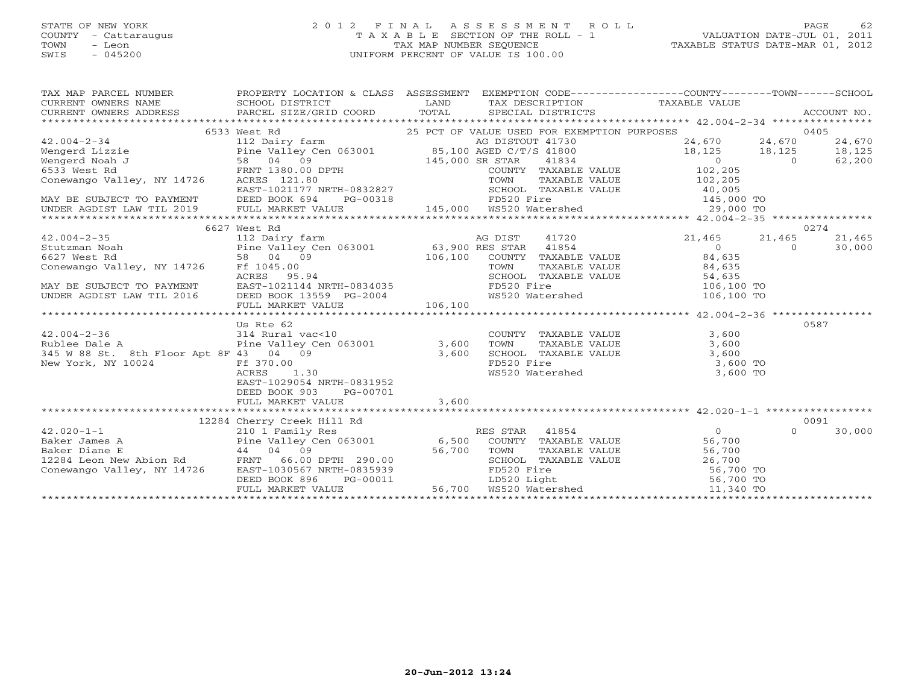# STATE OF NEW YORK 2 0 1 2 F I N A L A S S E S S M E N T R O L L PAGE 62 COUNTY - Cattaraugus T A X A B L E SECTION OF THE ROLL - 1 VALUATION DATE-JUL 01, 2011 TOWN - Leon TAX MAP NUMBER SEQUENCE TAXABLE STATUS DATE-MAR 01, 2012 SWIS - 045200 UNIFORM PERCENT OF VALUE IS 100.00UNIFORM PERCENT OF VALUE IS 100.00

| $\begin{tabular}{lllllllll} \textsc{rank} & \textsc{rank} & \textsc{rank} & \textsc{rank} & \textsc{rank} & \textsc{rank} & \textsc{rank} & \textsc{rank} & \textsc{rank} & \textsc{rank} & \textsc{rank} & \textsc{rank} & \textsc{rank} & \textsc{rank} & \textsc{rank} & \textsc{rank} & \textsc{rank} & \textsc{rank} & \textsc{rank} & \textsc{rank} & \textsc{rank} & \textsc{rank} & \textsc{rank} & \textsc{rank} & \textsc{rank} & \textsc{rank} & \textsc{rank} & \textsc{rank} & \textsc{rank} & \textsc{rank$ |                            |  |      |        |
|---------------------------------------------------------------------------------------------------------------------------------------------------------------------------------------------------------------------------------------------------------------------------------------------------------------------------------------------------------------------------------------------------------------------------------------------------------------------------------------------------------------------------|----------------------------|--|------|--------|
|                                                                                                                                                                                                                                                                                                                                                                                                                                                                                                                           |                            |  |      |        |
|                                                                                                                                                                                                                                                                                                                                                                                                                                                                                                                           |                            |  |      |        |
|                                                                                                                                                                                                                                                                                                                                                                                                                                                                                                                           |                            |  |      |        |
|                                                                                                                                                                                                                                                                                                                                                                                                                                                                                                                           |                            |  |      |        |
|                                                                                                                                                                                                                                                                                                                                                                                                                                                                                                                           |                            |  |      |        |
|                                                                                                                                                                                                                                                                                                                                                                                                                                                                                                                           |                            |  |      |        |
|                                                                                                                                                                                                                                                                                                                                                                                                                                                                                                                           |                            |  |      |        |
|                                                                                                                                                                                                                                                                                                                                                                                                                                                                                                                           |                            |  |      |        |
|                                                                                                                                                                                                                                                                                                                                                                                                                                                                                                                           |                            |  |      |        |
|                                                                                                                                                                                                                                                                                                                                                                                                                                                                                                                           |                            |  |      |        |
|                                                                                                                                                                                                                                                                                                                                                                                                                                                                                                                           |                            |  |      |        |
|                                                                                                                                                                                                                                                                                                                                                                                                                                                                                                                           |                            |  |      |        |
|                                                                                                                                                                                                                                                                                                                                                                                                                                                                                                                           |                            |  |      |        |
|                                                                                                                                                                                                                                                                                                                                                                                                                                                                                                                           |                            |  |      |        |
|                                                                                                                                                                                                                                                                                                                                                                                                                                                                                                                           |                            |  |      |        |
|                                                                                                                                                                                                                                                                                                                                                                                                                                                                                                                           |                            |  |      |        |
|                                                                                                                                                                                                                                                                                                                                                                                                                                                                                                                           |                            |  |      |        |
|                                                                                                                                                                                                                                                                                                                                                                                                                                                                                                                           |                            |  |      |        |
|                                                                                                                                                                                                                                                                                                                                                                                                                                                                                                                           |                            |  |      |        |
|                                                                                                                                                                                                                                                                                                                                                                                                                                                                                                                           |                            |  |      |        |
|                                                                                                                                                                                                                                                                                                                                                                                                                                                                                                                           |                            |  |      |        |
|                                                                                                                                                                                                                                                                                                                                                                                                                                                                                                                           |                            |  |      |        |
|                                                                                                                                                                                                                                                                                                                                                                                                                                                                                                                           |                            |  |      |        |
|                                                                                                                                                                                                                                                                                                                                                                                                                                                                                                                           | Us Rte 62                  |  | 0587 |        |
|                                                                                                                                                                                                                                                                                                                                                                                                                                                                                                                           |                            |  |      |        |
|                                                                                                                                                                                                                                                                                                                                                                                                                                                                                                                           |                            |  |      |        |
|                                                                                                                                                                                                                                                                                                                                                                                                                                                                                                                           |                            |  |      |        |
|                                                                                                                                                                                                                                                                                                                                                                                                                                                                                                                           |                            |  |      |        |
|                                                                                                                                                                                                                                                                                                                                                                                                                                                                                                                           |                            |  |      |        |
|                                                                                                                                                                                                                                                                                                                                                                                                                                                                                                                           |                            |  |      |        |
|                                                                                                                                                                                                                                                                                                                                                                                                                                                                                                                           | DEED BOOK 903 PG-00701     |  |      |        |
|                                                                                                                                                                                                                                                                                                                                                                                                                                                                                                                           |                            |  |      |        |
|                                                                                                                                                                                                                                                                                                                                                                                                                                                                                                                           |                            |  |      |        |
|                                                                                                                                                                                                                                                                                                                                                                                                                                                                                                                           | 12284 Cherry Creek Hill Rd |  |      | 0091   |
|                                                                                                                                                                                                                                                                                                                                                                                                                                                                                                                           |                            |  |      | 30,000 |
|                                                                                                                                                                                                                                                                                                                                                                                                                                                                                                                           |                            |  |      |        |
|                                                                                                                                                                                                                                                                                                                                                                                                                                                                                                                           |                            |  |      |        |
|                                                                                                                                                                                                                                                                                                                                                                                                                                                                                                                           |                            |  |      |        |
|                                                                                                                                                                                                                                                                                                                                                                                                                                                                                                                           |                            |  |      |        |
|                                                                                                                                                                                                                                                                                                                                                                                                                                                                                                                           |                            |  |      |        |
|                                                                                                                                                                                                                                                                                                                                                                                                                                                                                                                           |                            |  |      |        |
|                                                                                                                                                                                                                                                                                                                                                                                                                                                                                                                           |                            |  |      |        |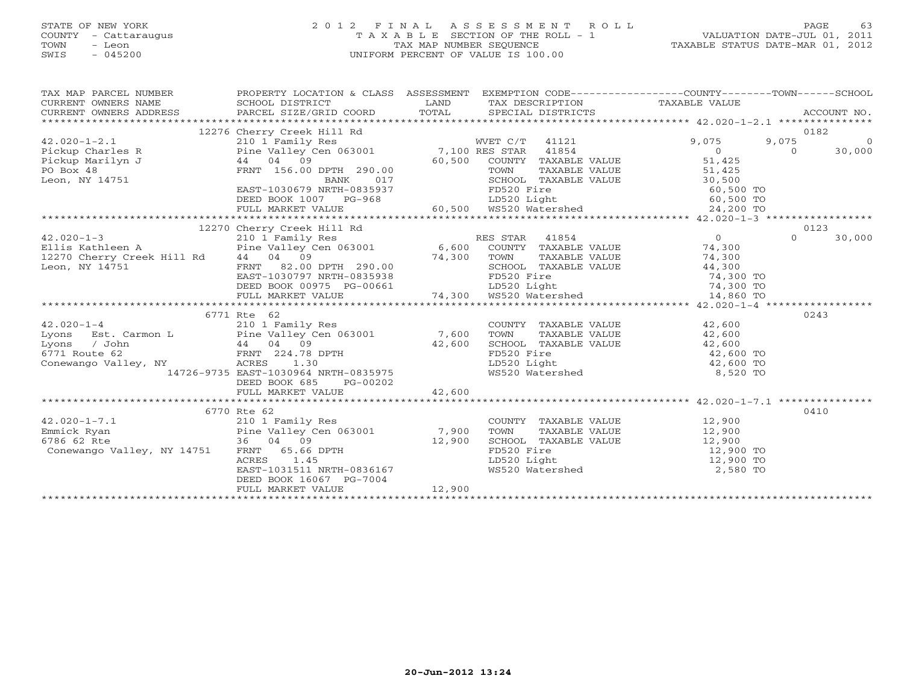# STATE OF NEW YORK 2 0 1 2 F I N A L A S S E S S M E N T R O L L PAGE 63 COUNTY - Cattaraugus T A X A B L E SECTION OF THE ROLL - 1 VALUATION DATE-JUL 01, 2011 TOWN - Leon TAX MAP NUMBER SEQUENCE TAXABLE STATUS DATE-MAR 01, 2012 SWIS - 045200 UNIFORM PERCENT OF VALUE IS 100.00UNIFORM PERCENT OF VALUE IS 100.00

| TAX MAP PARCEL NUMBER                                                                                                                                                                                                                                                                                                                                                                                                                                                                                                                                   | PROPERTY LOCATION & CLASS ASSESSMENT EXEMPTION CODE-----------------COUNTY-------TOWN------SCHOOL                                                                                                                                      |        |                                                                                                                                                                                                                                                                          |                |                        |
|---------------------------------------------------------------------------------------------------------------------------------------------------------------------------------------------------------------------------------------------------------------------------------------------------------------------------------------------------------------------------------------------------------------------------------------------------------------------------------------------------------------------------------------------------------|----------------------------------------------------------------------------------------------------------------------------------------------------------------------------------------------------------------------------------------|--------|--------------------------------------------------------------------------------------------------------------------------------------------------------------------------------------------------------------------------------------------------------------------------|----------------|------------------------|
|                                                                                                                                                                                                                                                                                                                                                                                                                                                                                                                                                         | 210 1 Family Res (2000)<br>Pine Valley Cen 063001 7,100 RES STAR 41254 9,075 0<br>44 04 09 60,500 COUNTY TAXABLE VALUE 51,425<br>FRNT 156.00 DPTH 290.00 TOWN TAXABLE VALUE 51,425<br>EAST-1030679 NRTH-0835937 FDEED BOOK 1007 PG-968 |        |                                                                                                                                                                                                                                                                          | 9,075<br>9,075 | 0182<br>$\overline{0}$ |
|                                                                                                                                                                                                                                                                                                                                                                                                                                                                                                                                                         |                                                                                                                                                                                                                                        |        |                                                                                                                                                                                                                                                                          |                |                        |
|                                                                                                                                                                                                                                                                                                                                                                                                                                                                                                                                                         |                                                                                                                                                                                                                                        |        |                                                                                                                                                                                                                                                                          |                | 0123                   |
| 12270 Cherry Creek Hill Rd<br>210 1 Family Res<br>Ellis Kathleen A (210 1 Family Res) RD (6,600 RD)<br>EITIS NATILE A<br>12270 Cherry Creek Hill Rd (a) 09 FORM TAXABLE VALUE<br>Leon, NY 14751 FRNT 82.00 DPTH 290.00<br>EAST-1030797 NRTH-0835938 FD520 Fire 10520 Light 74,300 TO<br>DEED BOOK 00975 PG-00661 74,300 WS520 Watershed 14,86<br>42.020-1-4<br>Lyons Est. Carmon L Pine Valley Cen 063001 7,600<br>Lyons / John 1 44 04 09<br>6771 Route 62 FRNT 224.78 DPTH<br>Conewango Valley, NY ACRES 1.30<br>14726-9735 EAST-1030964 NRTH-0835975 | 6771 Rte 62<br>DEED BOOK 685<br>PG-00202                                                                                                                                                                                               |        | ES STAR 41854<br>COUNTY TAXABLE VALUE 74,300<br>TOWN TAXABLE VALUE 74,300<br>RES STAR 41854<br>COUNTY TAXABLE VALUE<br>TOWN TAXABLE VALUE<br>SCHOOL TAXABLE VALUE<br>SCHOOL TAXABLE VALUE<br>FD520 Fire<br>LD520 Light<br>MS520 Watershed<br>MS520 Watershed<br>B,520 TO | $\Omega$       | 30,000<br>0243         |
|                                                                                                                                                                                                                                                                                                                                                                                                                                                                                                                                                         |                                                                                                                                                                                                                                        |        |                                                                                                                                                                                                                                                                          |                |                        |
| Conewango Valley, NY 14751 FRNT 65.66 DPTH<br>ACRES 1.45                                                                                                                                                                                                                                                                                                                                                                                                                                                                                                | 6770 Rte 62<br>EAST-1031511 NRTH-0836167<br>DEED BOOK 16067 PG-7004<br>FULL MARKET VALUE                                                                                                                                               | 12,900 | COUNTY TAXABLE VALUE<br>TOWN TAXABLE VALUE<br>SCHOOL TAXABLE VALUE<br>SCHOOL TAXABLE VALUE<br>TD520 Fire<br>LD520 Light<br>WS520 Watershed<br>T2,900 TO<br>2,580 TO<br>2,580 TO                                                                                          |                | 0410                   |
|                                                                                                                                                                                                                                                                                                                                                                                                                                                                                                                                                         |                                                                                                                                                                                                                                        |        |                                                                                                                                                                                                                                                                          |                |                        |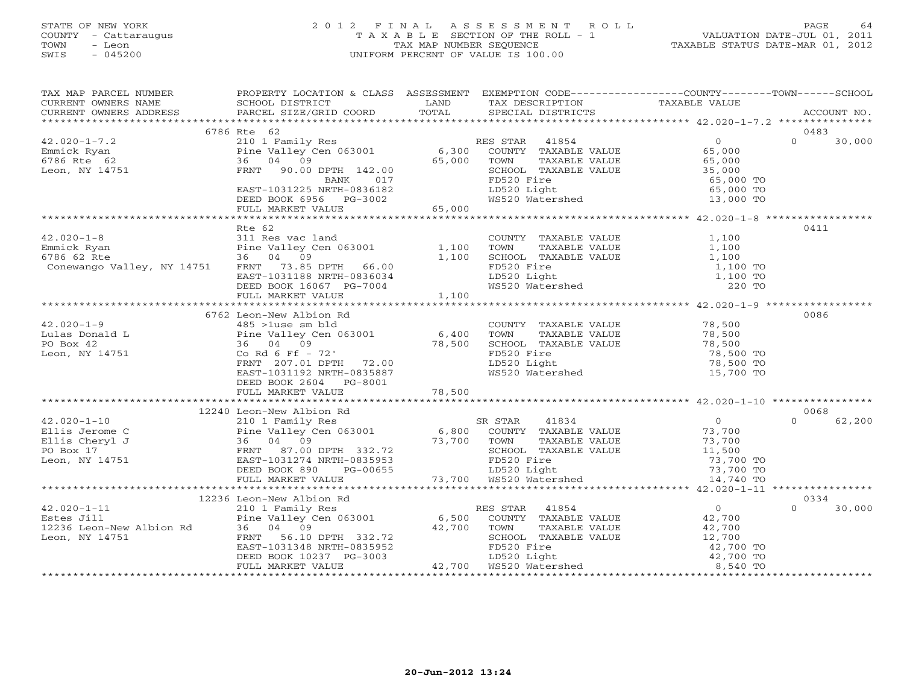# STATE OF NEW YORK 2 0 1 2 F I N A L A S S E S S M E N T R O L L PAGE 64 COUNTY - Cattaraugus T A X A B L E SECTION OF THE ROLL - 1 VALUATION DATE-JUL 01, 2011 TOWN - Leon TAX MAP NUMBER SEQUENCE TAXABLE STATUS DATE-MAR 01, 2012 SWIS - 045200 UNIFORM PERCENT OF VALUE IS 100.00UNIFORM PERCENT OF VALUE IS 100.00

| TAX MAP PARCEL NUMBER PROPERTY LOCATION & CLASS ASSESSMENT EXEMPTION CODE-------------------COUNTY--------TOWN-----SCHOOL SCHOOL DISTRICT LAND TAX DESCRIPTION TAXABLE VALUE<br>CURRENT OWNERS ADDRESS PARCEL SIZE/GRID COORD TOT                                                                                                                                                                                                                                                                                                                    |                                                                                                                                                                                                                                        |       |  |                    |
|------------------------------------------------------------------------------------------------------------------------------------------------------------------------------------------------------------------------------------------------------------------------------------------------------------------------------------------------------------------------------------------------------------------------------------------------------------------------------------------------------------------------------------------------------|----------------------------------------------------------------------------------------------------------------------------------------------------------------------------------------------------------------------------------------|-------|--|--------------------|
|                                                                                                                                                                                                                                                                                                                                                                                                                                                                                                                                                      |                                                                                                                                                                                                                                        |       |  |                    |
|                                                                                                                                                                                                                                                                                                                                                                                                                                                                                                                                                      | 6786 Rte 62                                                                                                                                                                                                                            |       |  | 0483               |
| $42.020 - 1 - 7.2$<br>42.020-1-7.2<br>Emmick Ryan<br>6786 Rte 62<br>Leon, NY 14751                                                                                                                                                                                                                                                                                                                                                                                                                                                                   | X FOR THE STAR 41854<br>Pine Valley Cen 063001 6,300 COUNTY TAXABLE VALUE<br>965,000 FRNT 90.00 DPTH 142.00 65,000 TOWN TAXABLE VALUE 65,000<br>FRNT 90.00 DPTH 142.00 65,000 SCHOOL TAXABLE VALUE 35,000<br>BANK 017 FD520 Fire 65,00 |       |  | $\Omega$<br>30,000 |
|                                                                                                                                                                                                                                                                                                                                                                                                                                                                                                                                                      | EAST-1031225 NRTH-0836182<br>DEED BOOK 6956 PG-3002<br>FULL MARKET VALUE 65,000                                                                                                                                                        |       |  |                    |
|                                                                                                                                                                                                                                                                                                                                                                                                                                                                                                                                                      |                                                                                                                                                                                                                                        |       |  |                    |
| $42.020 - 1 - 8$<br>42.020-1-8<br>Emmick Ryan<br>Emmick Ryan<br>6786 62 Rte<br>Conewango Valley, NY 14751<br>Emsimized and COUNTY TAXABLE VALUE<br>36 04 09<br>Conewango Valley, NY 14751<br>EAST-1031188 NRTH-0836034<br>DEED BOOK 16067 PC-7004<br>DEED BOOK 16067 P<br>Emmick Ryan                                                                                                                                                                                                                                                                | Rte 62<br>FULL MARKET VALUE                                                                                                                                                                                                            | 1,100 |  | 0411               |
|                                                                                                                                                                                                                                                                                                                                                                                                                                                                                                                                                      |                                                                                                                                                                                                                                        |       |  |                    |
|                                                                                                                                                                                                                                                                                                                                                                                                                                                                                                                                                      | 6762 Leon-New Albion Rd<br>DEED BOOK 2604 PG-8001                                                                                                                                                                                      |       |  | 0086               |
|                                                                                                                                                                                                                                                                                                                                                                                                                                                                                                                                                      |                                                                                                                                                                                                                                        |       |  |                    |
|                                                                                                                                                                                                                                                                                                                                                                                                                                                                                                                                                      |                                                                                                                                                                                                                                        |       |  | 0068               |
| $\begin{tabular}{lcccc} \tt 42.020-1-10 & 12240 Leon-New Albion Rd & \tt 21.020-1-10 & 12240 Leon-New Albion Rd & \tt 21.020-1 & 12.020-1-10 & 11.0240 Dom-New Albion Rd & \tt 21.020-1 & 12.020-1 & 12.020-1 & 12.020-1 & 12.020-1 & 12.020-1 & 12.020-1 & 12.020-1 & 12.020-1 & 12.020-1 & 12.020-1 &$<br>Ellis Cheryl J<br>PO Box 17<br>Leon, NY 14751 FRNT 87.00 DPTH 332.72<br>Leon, NY 14751 EAST-1031274 NRTH-0835953 ED520 Fire TAXABLE VALUE<br>EEED BOOK 890 PG-00655 ID520 Light 73,700 TO<br>FULL MARKET VALUE 73,700 WS520 Watershed 14 |                                                                                                                                                                                                                                        |       |  | $\cap$<br>62,200   |
|                                                                                                                                                                                                                                                                                                                                                                                                                                                                                                                                                      |                                                                                                                                                                                                                                        |       |  |                    |
| $\begin{array}{cccc} \tt42.020-1-11 & 12236\text{ Leon-New Albind R}\\ \tt{Estes\ Jill} & \tt{210\ I236\text{ Leon-New Albind} & \tt{N10\ I236\text{ Leon-New Albind} & \tt{N200\ I236\text{ Leon-New Albind} & \tt{N30\ I236\text{ Leon-New Albind} & \tt{N40\ I236\text{ Leon-New Albind} & \tt{N40\ I236\text{ Leon-New Albind} & \tt{N40\ I236\text{ Leon-New Albind} & \tt{N40\ I236\text{ Leon-$                                                                                                                                               | 12236 Leon-New Albion Rd                                                                                                                                                                                                               |       |  | 0334<br>30,000     |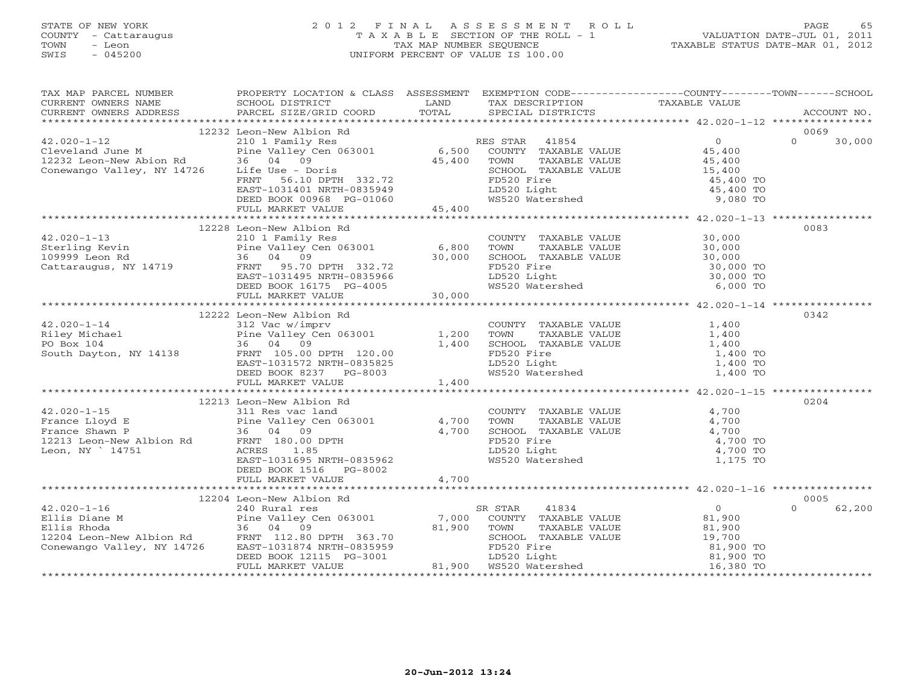# STATE OF NEW YORK 2 0 1 2 F I N A L A S S E S S M E N T R O L L PAGE 65 COUNTY - Cattaraugus T A X A B L E SECTION OF THE ROLL - 1 VALUATION DATE-JUL 01, 2011 TOWN - Leon TAX MAP NUMBER SEQUENCE TAXABLE STATUS DATE-MAR 01, 2012 SWIS - 045200 UNIFORM PERCENT OF VALUE IS 100.00UNIFORM PERCENT OF VALUE IS 100.00

| TAX MAP PARCEL NUMBER<br>EXAMPLE NOTIFIES AND TRIVIAL SUITS ACCOUNT MARKET AND TRIVIAL TRIVIAL TRIVIAL TRIVIAL TRIVIAL TRIVIAL TRIVIAL TRIVIAL TRIVIAL TRIVIAL TRIVIAL TRIVIAL TRIVIAL TRIVIAL TRIVIAL TRIVIAL TRIVIAL TRIVIAL TRIVIAL TRIVIAL TRIVIAL                                                                                                                                                                | PROPERTY LOCATION & CLASS ASSESSMENT EXEMPTION CODE---------------COUNTY-------TOWN------SCHOOL                                                                                                                                  |       |                                                                                                                                                                                                               |                            |
|-----------------------------------------------------------------------------------------------------------------------------------------------------------------------------------------------------------------------------------------------------------------------------------------------------------------------------------------------------------------------------------------------------------------------|----------------------------------------------------------------------------------------------------------------------------------------------------------------------------------------------------------------------------------|-------|---------------------------------------------------------------------------------------------------------------------------------------------------------------------------------------------------------------|----------------------------|
|                                                                                                                                                                                                                                                                                                                                                                                                                       |                                                                                                                                                                                                                                  |       |                                                                                                                                                                                                               |                            |
| $\begin{tabular}{lllllllllllllllllllllll} \multicolumn{3}{c}{42.020-1-12} & 12232\; {\rm Leon-New\; Albino\; Rd} & \text{RES\; STAR} & 41854 & 0 \\ \text{Cleveland June M} & \text{Pine Valley} & \text{CeneV.} & \text{Pine Valley} & \text{ConeV.} & \text{RES\;STAR} & 41854 & 0 \\ 12232\; {\rm Leon-New\; Abion\; Rd} & 9 & 45,400 & {\rm COUNTY\; TAXABLE\; VALUE} & 45,400 \\ 12232\; {\rm Leon-New\; Abion\$ | 12232 Leon-New Albion Rd<br>PINE VALLEY<br>36 04 09<br>16,400<br>16 Use - Doris<br>FRNT 56.10 DPTH 332.72<br>EAST-1031401 NRTH-0835949<br>DEED BOOK 00968 PG-01060<br>FULL MARKET VALUE<br>FULL MARKET VALUE<br>15,400<br>15,400 |       |                                                                                                                                                                                                               | 0069<br>$\Omega$<br>30,000 |
|                                                                                                                                                                                                                                                                                                                                                                                                                       |                                                                                                                                                                                                                                  |       |                                                                                                                                                                                                               |                            |
|                                                                                                                                                                                                                                                                                                                                                                                                                       | 12228 Leon-New Albion Rd                                                                                                                                                                                                         |       |                                                                                                                                                                                                               | 0083                       |
|                                                                                                                                                                                                                                                                                                                                                                                                                       |                                                                                                                                                                                                                                  |       |                                                                                                                                                                                                               |                            |
| 42.020-1-14<br>Riley Michael 312 Vac w/imprv<br>PO Box 104<br>South Dayton, NY 14138<br>FRNT 105.00 DPTH 120.00<br>PO Box 104<br>FRNT 105.00 DPTH 120.00<br>PO Box 104<br>FRNT 105.00 DPTH 120.00                                                                                                                                                                                                                     | 12222 Leon-New Albion Rd<br>FRNT 105.00 DPTH 120.00<br>EAST-1031572 NRTH-0835825<br>DEED BOOK 8237 PG-8003<br>FULL MARKET VALUE                                                                                                  |       | COUNTY TAXABLE VALUE $1,400$<br>TOWN TAXABLE VALUE $1,400$<br>SCHOOL TAXABLE VALUE $1,400$<br>FD520 Fire $1,400$ TO<br>LD520 Light $1,400$ TO<br>WS520 Watershed $1,400$ TO                                   | 0342                       |
|                                                                                                                                                                                                                                                                                                                                                                                                                       |                                                                                                                                                                                                                                  |       |                                                                                                                                                                                                               |                            |
| 42.020-1-15 311 Res vac land<br>France Lloyd E Pine Valley Cen 063001 4,700<br>France Shawn P 36 04 09 4,700<br>12213 Leon. NY 14751 ACRES 1.85<br>Leon. NY 14751 ACRES 1.85<br>EAST-1031695 NRTH-0835962<br>FRNT 180.00 DPTH ACRES 1.85<br>                                                                                                                                                                          | 12213 Leon-New Albion Rd<br>DEED BOOK 1516 PG-8002<br>FULL MARKET VALUE                                                                                                                                                          | 4,700 | COUNTY TAXABLE VALUE 4,700<br>TOWN TAXABLE VALUE 4,700<br>SCHOOL TAXABLE VALUE 4,700<br>FD520 Fire 4,700 TO<br>LD520 Light 4,700 TO<br>WS520 Watershed 1,175 TO                                               | 0204                       |
|                                                                                                                                                                                                                                                                                                                                                                                                                       |                                                                                                                                                                                                                                  |       |                                                                                                                                                                                                               |                            |
|                                                                                                                                                                                                                                                                                                                                                                                                                       | FULL MARKET VALUE                                                                                                                                                                                                                |       | % STAR 41834 0<br>COUNTY TAXABLE VALUE 81,900<br>SR STAR<br>81,900 TOWN TAXABLE VALUE 81,900<br>SCHOOL TAXABLE VALUE 81,900<br>FD520 Fire 19,700<br>ED520 Light 81,900 TO<br>81,900 WS520 Watershed 16,380 TO | 0005<br>$\Omega$<br>62,200 |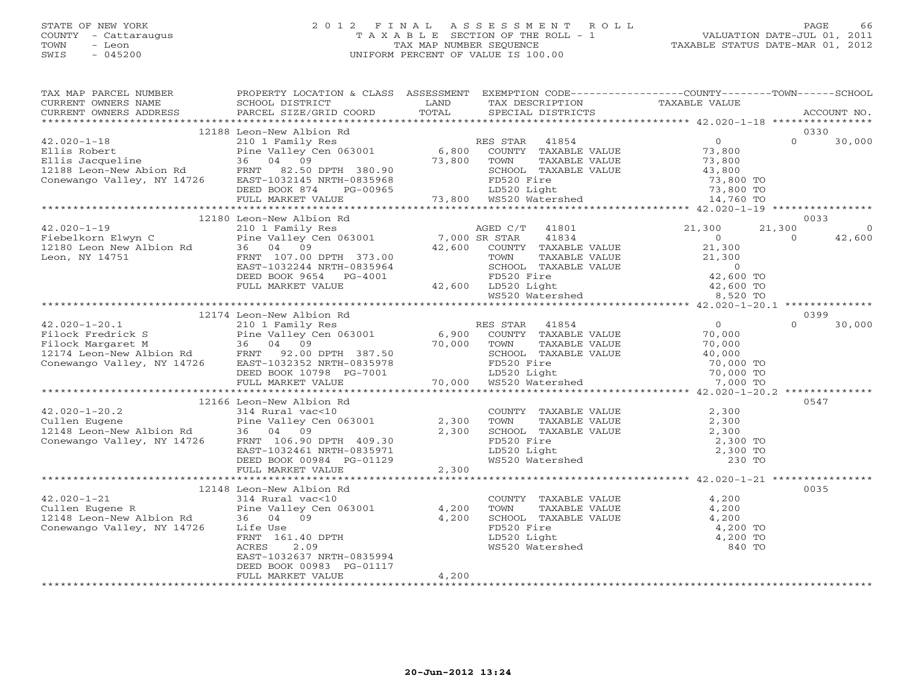# STATE OF NEW YORK 2 0 1 2 F I N A L A S S E S S M E N T R O L L PAGE 66 COUNTY - Cattaraugus T A X A B L E SECTION OF THE ROLL - 1 VALUATION DATE-JUL 01, 2011 TOWN - Leon TAX MAP NUMBER SEQUENCE TAXABLE STATUS DATE-MAR 01, 2012 SWIS - 045200 UNIFORM PERCENT OF VALUE IS 100.00UNIFORM PERCENT OF VALUE IS 100.00

| TAX MAP PARCEL NUMBER                                                                                                                                                                                                                                                                                                                                                                                                                                          | PROPERTY LOCATION & CLASS ASSESSMENT EXEMPTION CODE----------------COUNTY-------TOWN------SCHOOL |       |                                                                                                                                                             |                    |
|----------------------------------------------------------------------------------------------------------------------------------------------------------------------------------------------------------------------------------------------------------------------------------------------------------------------------------------------------------------------------------------------------------------------------------------------------------------|--------------------------------------------------------------------------------------------------|-------|-------------------------------------------------------------------------------------------------------------------------------------------------------------|--------------------|
|                                                                                                                                                                                                                                                                                                                                                                                                                                                                |                                                                                                  |       |                                                                                                                                                             |                    |
|                                                                                                                                                                                                                                                                                                                                                                                                                                                                |                                                                                                  |       |                                                                                                                                                             |                    |
| $\begin{tabular}{lcccc} \texttt{\textbf{12188. Loor--New Abion} & \texttt{\textbf{12188. Loor--New Abion} & \texttt{\textbf{12188. Loor--New Abion} & \texttt{\textbf{12188. Loor--New Abion} & \texttt{\textbf{12188. Loor--New Abion} & \texttt{\textbf{12188. Loor--New Abion} & \texttt{\textbf{12188. Loor--New Abion} & \texttt{\textbf{12188. Loor--New Abion} & \texttt{\textbf{12188. Loor--New Abion} & \texttt{\textbf{12188. Loor--New Abion} & \$ |                                                                                                  |       |                                                                                                                                                             |                    |
|                                                                                                                                                                                                                                                                                                                                                                                                                                                                |                                                                                                  |       |                                                                                                                                                             |                    |
|                                                                                                                                                                                                                                                                                                                                                                                                                                                                |                                                                                                  |       |                                                                                                                                                             |                    |
|                                                                                                                                                                                                                                                                                                                                                                                                                                                                | 12180 Leon-New Albion Rd                                                                         |       |                                                                                                                                                             | 0033               |
| $\begin{tabular}{lcccc} \bf 42.020-1-19 & & 12180 Leon-New Albion Rd & & A GED C/T & 41801 & & 21,300 & 21,300 \\ \bf 12180 Leon-Flwyn C & & 1210 T emi Valley Cen 063001 & 7,000 SR STRAR & 41834 & 0 & 21,300 & 0 \\ \bf 12180 Leon New Albion Rd & 36 04 09 & 42,600 COUNTY TAXABLE VALUE & 21,300 & 0 \\ \bf 12180 Leon, NY 14751 & FRTT 107.00 DPTH $                                                                                                     |                                                                                                  |       |                                                                                                                                                             | $\Omega$<br>42,600 |
|                                                                                                                                                                                                                                                                                                                                                                                                                                                                |                                                                                                  |       |                                                                                                                                                             |                    |
|                                                                                                                                                                                                                                                                                                                                                                                                                                                                |                                                                                                  |       |                                                                                                                                                             |                    |
|                                                                                                                                                                                                                                                                                                                                                                                                                                                                |                                                                                                  |       |                                                                                                                                                             | 0399               |
|                                                                                                                                                                                                                                                                                                                                                                                                                                                                | 12174 Leon-New Albion Rd                                                                         |       |                                                                                                                                                             |                    |
| $\begin{array}{cccccccc} & & & & & 12174 & \text{Leon-New Albion Rd} & & & & & & 0399 \\ 42.020-1-20.1 & & & & 210 & 1 & \text{Family Res} & & & & \text{RES STAR} & 41854 & & & & & 0 \\ \text{Filock Frederick S} & & & & & & & & & & & 100 & 0 & 30,000 \\ \text{Filock Frederick S} & & & & 36.04 & 09 & 30,000 & & & & 70,000 & & & 70,000 & & & 70,000 \\ 12174 \text{ Leon-New Albion Rd} & & &$                                                        |                                                                                                  |       |                                                                                                                                                             |                    |
|                                                                                                                                                                                                                                                                                                                                                                                                                                                                |                                                                                                  |       |                                                                                                                                                             |                    |
|                                                                                                                                                                                                                                                                                                                                                                                                                                                                |                                                                                                  |       |                                                                                                                                                             |                    |
|                                                                                                                                                                                                                                                                                                                                                                                                                                                                | 12166 Leon-New Albion Rd                                                                         |       |                                                                                                                                                             | 0547               |
|                                                                                                                                                                                                                                                                                                                                                                                                                                                                |                                                                                                  |       |                                                                                                                                                             |                    |
|                                                                                                                                                                                                                                                                                                                                                                                                                                                                |                                                                                                  |       |                                                                                                                                                             |                    |
|                                                                                                                                                                                                                                                                                                                                                                                                                                                                |                                                                                                  |       |                                                                                                                                                             | 0035               |
| 12148 Leon-New Albium<br>42.020-1-21<br>Cullen Eugene R<br>12148 Leon-New Albion Rd<br>12148 Leon-New Albion Rd<br>12148 Leon-New Albion Rd<br>36 04 09<br>24,200<br>200 4,200<br>200 4,200<br>200 4,200<br>200 FRNT<br>161.40 DPTH<br>200 FRNT<br>2.09                                                                                                                                                                                                        | EAST-1032637 NRTH-0835994<br>DEED BOOK 00983 PG-01117<br>FULL MARKET VALUE                       | 4,200 | COUNTY TAXABLE VALUE<br>TOWN TAXABLE VALUE 4,200<br>SCHOOL TAXABLE VALUE 4,200<br>FD520 Fire 4,200<br>LD520 Light 4,200<br>WS520 Watershed 840 TO<br>840 TO |                    |
|                                                                                                                                                                                                                                                                                                                                                                                                                                                                |                                                                                                  |       |                                                                                                                                                             |                    |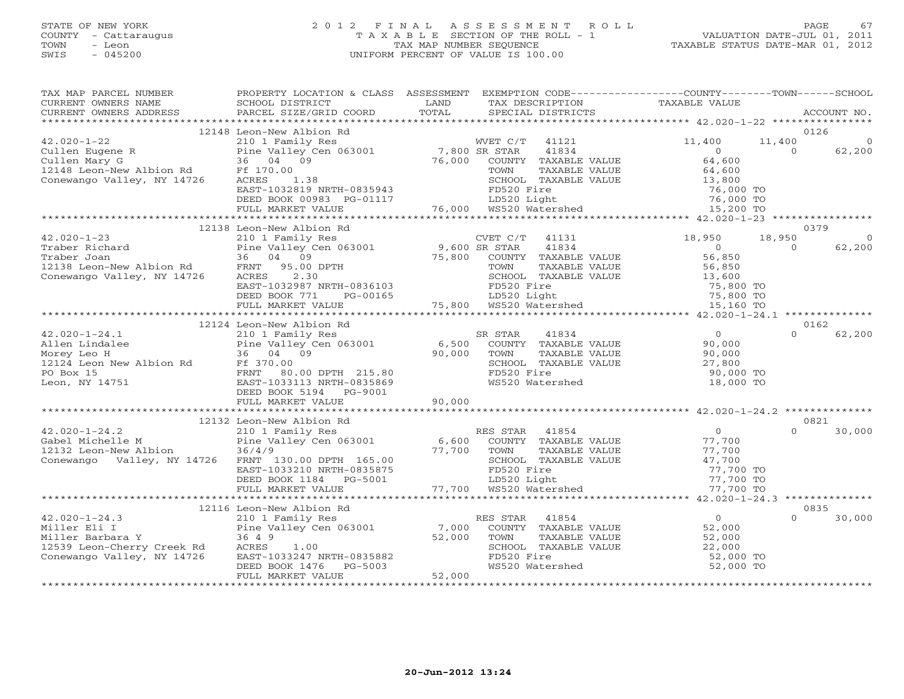# STATE OF NEW YORK 2 0 1 2 F I N A L A S S E S S M E N T R O L L PAGE 67 COUNTY - Cattaraugus T A X A B L E SECTION OF THE ROLL - 1 VALUATION DATE-JUL 01, 2011 TOWN - Leon TAX MAP NUMBER SEQUENCE TAXABLE STATUS DATE-MAR 01, 2012 SWIS - 045200 UNIFORM PERCENT OF VALUE IS 100.00UNIFORM PERCENT OF VALUE IS 100.00

| TAX MAP PARCEL NUMBER<br>CURRENT OWNERS NAME<br>CURRENT OWNERS ADDRESS                                              | PROPERTY LOCATION & CLASS ASSESSMENT<br>SCHOOL DISTRICT<br>PARCEL SIZE/GRID COORD                                                                              | LAND<br>TOTAL             | TAX DESCRIPTION<br>SPECIAL DISTRICTS                                                                                                       | EXEMPTION CODE-----------------COUNTY-------TOWN------SCHOOL<br>TAXABLE VALUE | ACCOUNT NO.                           |
|---------------------------------------------------------------------------------------------------------------------|----------------------------------------------------------------------------------------------------------------------------------------------------------------|---------------------------|--------------------------------------------------------------------------------------------------------------------------------------------|-------------------------------------------------------------------------------|---------------------------------------|
|                                                                                                                     |                                                                                                                                                                |                           |                                                                                                                                            |                                                                               |                                       |
| $42.020 - 1 - 22$                                                                                                   | 12148 Leon-New Albion Rd<br>210 1 Family Res                                                                                                                   |                           | WVET C/T<br>41121                                                                                                                          | 11,400<br>11,400                                                              | 0126                                  |
| Cullen Eugene R<br>Cullen Mary G<br>12148 Leon-New Albion Rd<br>Conewango Valley, NY 14726                          | Pine Valley Cen 063001<br>36 04 09<br>Ff 170.00<br>1.38<br>ACRES<br>EAST-1032819 NRTH-0835943<br>DEED BOOK 00983 PG-01117                                      | 7,800 SR STAR<br>76,000   | 41834<br>COUNTY<br>TAXABLE VALUE<br>TOWN<br>TAXABLE VALUE<br>SCHOOL TAXABLE VALUE<br>FD520 Fire<br>LD520 Light<br>76,000 WS520 Watershed   | $\Omega$<br>64,600<br>64,600<br>13,800<br>76,000 TO<br>76,000 TO              | 62,200<br>$\Omega$                    |
|                                                                                                                     | FULL MARKET VALUE                                                                                                                                              |                           |                                                                                                                                            | 15,200 TO                                                                     |                                       |
|                                                                                                                     | ***********************                                                                                                                                        |                           |                                                                                                                                            |                                                                               |                                       |
| $42.020 - 1 - 23$<br>Traber Richard                                                                                 | 12138 Leon-New Albion Rd<br>210 1 Family Res<br>Pine Valley Cen 063001                                                                                         | 9,600 SR STAR             | CVET C/T<br>41131<br>41834                                                                                                                 | 18,950<br>18,950<br>$\overline{0}$                                            | 0379<br>$\circ$<br>62,200<br>$\Omega$ |
| Traber Joan<br>12138 Leon-New Albion Rd<br>Conewango Valley, NY 14726                                               | 04 09<br>36<br>FRNT<br>95.00 DPTH<br>2.30<br>ACRES<br>EAST-1032987 NRTH-0836103<br>DEED BOOK 771<br>PG-00165                                                   | 75,800                    | COUNTY TAXABLE VALUE<br>TAXABLE VALUE<br>TOWN<br>SCHOOL TAXABLE VALUE<br>FD520 Fire                                                        | 56,850<br>56,850<br>13,600<br>75,800 TO<br>75,800 TO                          |                                       |
|                                                                                                                     | FULL MARKET VALUE                                                                                                                                              |                           |                                                                                                                                            | 15,160 TO                                                                     |                                       |
|                                                                                                                     | 12124 Leon-New Albion Rd                                                                                                                                       |                           |                                                                                                                                            |                                                                               | 0162                                  |
| $42.020 - 1 - 24.1$<br>Allen Lindalee<br>Morey Leo H<br>12124 Leon New Albion Rd<br>PO Box 15<br>Leon, NY 14751     | 210 1 Family Res<br>Pine Valley Cen 063001<br>36 04 09<br>Ff 370.00<br>FRNT 80.00 DPTH 215.80<br>EAST-1033113 NRTH-0835869<br>DEED BOOK 5194<br>PG-9001        | 6,500<br>90,000           | 41834<br>SR STAR<br>COUNTY TAXABLE VALUE<br>TOWN<br>TAXABLE VALUE<br>SCHOOL TAXABLE VALUE<br>FD520 Fire<br>WS520 Watershed                 | $\overline{0}$<br>90,000<br>90,000<br>27,800<br>90,000 TO<br>18,000 TO        | 62,200<br>$\Omega$                    |
|                                                                                                                     | FULL MARKET VALUE                                                                                                                                              | 90,000                    |                                                                                                                                            |                                                                               |                                       |
|                                                                                                                     |                                                                                                                                                                |                           |                                                                                                                                            |                                                                               |                                       |
|                                                                                                                     | 12132 Leon-New Albion Rd                                                                                                                                       |                           |                                                                                                                                            | $\overline{0}$                                                                | 0821<br>$\Omega$                      |
| $42.020 - 1 - 24.2$<br>Gabel Michelle M<br>12132 Leon-New Albion<br>Conewango Valley, NY 14726                      | 210 1 Family Res<br>Pine Valley Cen 063001<br>36/4/9<br>FRNT 130.00 DPTH 165.00<br>EAST-1033210 NRTH-0835875<br>DEED BOOK 1184<br>PG-5001<br>FULL MARKET VALUE | 6,600<br>77,700<br>77,700 | 41854<br>RES STAR<br>COUNTY TAXABLE VALUE<br>TOWN<br>TAXABLE VALUE<br>SCHOOL TAXABLE VALUE<br>FD520 Fire<br>LD520 Light<br>WS520 Watershed | 77,700<br>77,700<br>47,700<br>77,700 TO<br>77,700 TO<br>77,700 TO             | 30,000                                |
|                                                                                                                     | ************                                                                                                                                                   |                           |                                                                                                                                            |                                                                               |                                       |
|                                                                                                                     | 12116 Leon-New Albion Rd                                                                                                                                       |                           |                                                                                                                                            |                                                                               | 0835                                  |
| $42.020 - 1 - 24.3$<br>Miller Eli I<br>Miller Barbara Y<br>12539 Leon-Cherry Creek Rd<br>Conewango Valley, NY 14726 | 210 1 Family Res<br>Pine Valley Cen 063001<br>36 4 9<br>ACRES<br>1.00<br>EAST-1033247 NRTH-0835882<br>DEED BOOK 1476<br>PG-5003                                | 7,000<br>52,000           | RES STAR<br>41854<br>COUNTY TAXABLE VALUE<br>TOWN<br>TAXABLE VALUE<br>SCHOOL TAXABLE VALUE<br>FD520 Fire<br>WS520 Watershed                | $\overline{0}$<br>52,000<br>52,000<br>22,000<br>52,000 TO<br>52,000 TO        | $\Omega$<br>30,000                    |
|                                                                                                                     | FULL MARKET VALUE                                                                                                                                              | 52,000                    |                                                                                                                                            |                                                                               |                                       |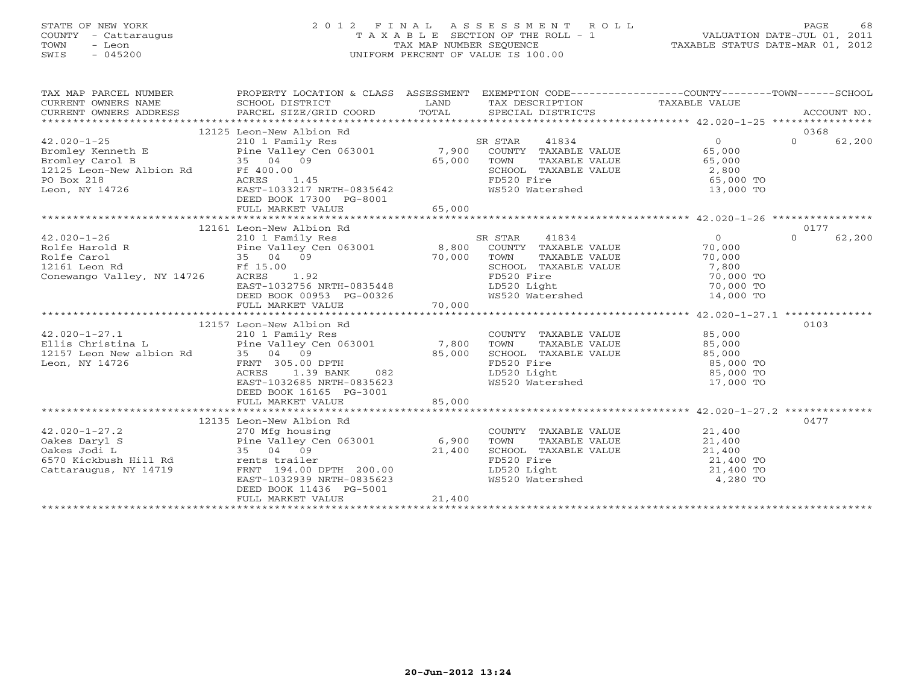# STATE OF NEW YORK 2 0 1 2 F I N A L A S S E S S M E N T R O L L PAGE 68 COUNTY - Cattaraugus T A X A B L E SECTION OF THE ROLL - 1 VALUATION DATE-JUL 01, 2011 TOWN - Leon TAX MAP NUMBER SEQUENCE TAXABLE STATUS DATE-MAR 01, 2012 SWIS - 045200 UNIFORM PERCENT OF VALUE IS 100.00UNIFORM PERCENT OF VALUE IS 100.00

| TAX MAP PARCEL NUMBER<br>CURRENT OWNERS NAME | PROPERTY LOCATION & CLASS ASSESSMENT EXEMPTION CODE---------------COUNTY-------TOWN------SCHOOL<br>SCHOOL DISTRICT | LAND   | TAX DESCRIPTION TAXABLE VALUE  |                |                    |
|----------------------------------------------|--------------------------------------------------------------------------------------------------------------------|--------|--------------------------------|----------------|--------------------|
| CURRENT OWNERS ADDRESS                       | PARCEL SIZE/GRID COORD                                                                                             | TOTAL  | SPECIAL DISTRICTS              |                | ACCOUNT NO.        |
|                                              | 12125 Leon-New Albion Rd                                                                                           |        |                                |                | 0368               |
| $42.020 - 1 - 25$                            | 210 1 Family Res                                                                                                   |        | 41834<br>SR STAR               | $\circ$        | $\Omega$<br>62,200 |
| Bromley Kenneth E                            | Pine Valley Cen 063001 7,900                                                                                       |        | COUNTY TAXABLE VALUE           | 65,000         |                    |
| Bromley Carol B                              | 35 04 09                                                                                                           | 65,000 | TOWN<br>TAXABLE VALUE          | 65,000         |                    |
| 12125 Leon-New Albion Rd                     | Ff 400.00                                                                                                          |        | SCHOOL TAXABLE VALUE           | 2,800          |                    |
| PO Box 218                                   | 1.45<br>ACRES                                                                                                      |        | FD520 Fire                     | 65,000 TO      |                    |
| Leon, NY 14726                               | EAST-1033217 NRTH-0835642<br>DEED BOOK 17300 PG-8001                                                               |        | WS520 Watershed                | 13,000 TO      |                    |
|                                              | FULL MARKET VALUE                                                                                                  | 65,000 |                                |                |                    |
|                                              |                                                                                                                    |        |                                |                |                    |
|                                              | 12161 Leon-New Albion Rd                                                                                           |        |                                |                | 0177               |
| $42.020 - 1 - 26$                            | 210 1 Family Res                                                                                                   |        | SR STAR<br>41834               | $\overline{0}$ | $\Omega$<br>62,200 |
| Rolfe Harold R                               | Pine Valley Cen 063001 8,800                                                                                       |        | COUNTY TAXABLE VALUE           | 70,000         |                    |
| Rolfe Carol                                  | 35 04 09                                                                                                           | 70,000 | TOWN<br>TAXABLE VALUE          | 70,000         |                    |
| 12161 Leon Rd                                | Ff 15.00                                                                                                           |        | SCHOOL TAXABLE VALUE           | 7,800          |                    |
| Conewango Valley, NY 14726                   | ACRES<br>1.92                                                                                                      |        | FD520 Fire                     | 70,000 TO      |                    |
|                                              | EAST-1032756 NRTH-0835448                                                                                          |        | LD520 Light                    | 70,000 TO      |                    |
|                                              | DEED BOOK 00953 PG-00326<br>FULL MARKET VALUE                                                                      | 70,000 | WS520 Watershed                | 14,000 TO      |                    |
|                                              |                                                                                                                    |        |                                |                |                    |
|                                              | 12157 Leon-New Albion Rd                                                                                           |        |                                |                | 0103               |
| $42.020 - 1 - 27.1$                          | 210 1 Family Res                                                                                                   |        | COUNTY TAXABLE VALUE           | 85,000         |                    |
| Ellis Christina L                            | Pine $Valley$ Cen 063001 7,800                                                                                     |        | TOWN<br>TAXABLE VALUE          | 85,000         |                    |
| 12157 Leon New albion Rd                     | 35 04 09                                                                                                           | 85,000 | SCHOOL TAXABLE VALUE           | 85,000         |                    |
| Leon, NY 14726                               | FRNT 305.00 DPTH                                                                                                   |        | FD520 Fire                     | 85,000 TO      |                    |
|                                              | ACRES<br>1.39 BANK<br>082                                                                                          |        | LD520 Light                    | 85,000 TO      |                    |
|                                              | EAST-1032685 NRTH-0835623                                                                                          |        | WS520 Watershed                | 17,000 TO      |                    |
|                                              | DEED BOOK 16165 PG-3001                                                                                            |        |                                |                |                    |
|                                              | FULL MARKET VALUE                                                                                                  | 85,000 |                                |                |                    |
|                                              |                                                                                                                    |        |                                |                |                    |
|                                              | 12135 Leon-New Albion Rd                                                                                           |        |                                |                | 0477               |
| $42.020 - 1 - 27.2$                          | 270 Mfg housing                                                                                                    |        | COUNTY TAXABLE VALUE           | 21,400         |                    |
| Oakes Daryl S                                | Pine Valley Cen 063001 6,900                                                                                       |        | TAXABLE VALUE<br>TOWN          | 21,400         |                    |
| Oakes Jodi L                                 | 35 04 09                                                                                                           | 21,400 | SCHOOL TAXABLE VALUE           | 21,400         |                    |
| 6570 Kickbush Hill Rd                        | rents trailer                                                                                                      |        | FD520 Fire                     | 21,400 TO      |                    |
| Cattaraugus, NY 14719                        | FRNT 194.00 DPTH 200.00                                                                                            |        |                                | 21,400 TO      |                    |
|                                              | EAST-1032939 NRTH-0835623                                                                                          |        | LD520 Light<br>WS520 Watershed | 4,280 TO       |                    |
|                                              | DEED BOOK 11436 PG-5001                                                                                            |        |                                |                |                    |
|                                              | FULL MARKET VALUE                                                                                                  | 21,400 |                                |                |                    |
|                                              |                                                                                                                    |        |                                |                |                    |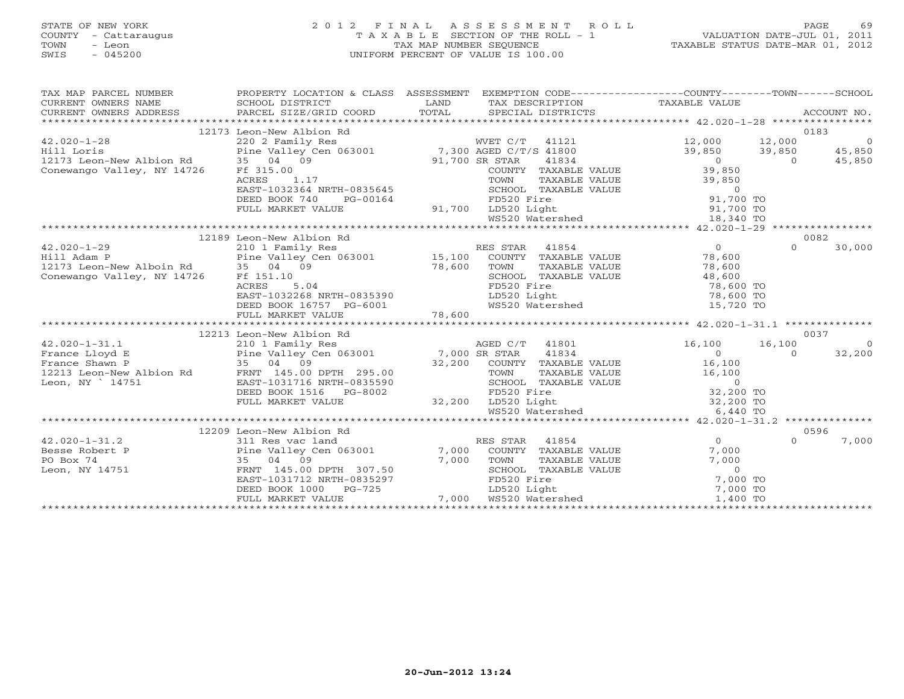# STATE OF NEW YORK 2 0 1 2 F I N A L A S S E S S M E N T R O L L PAGE 69 COUNTY - Cattaraugus T A X A B L E SECTION OF THE ROLL - 1 VALUATION DATE-JUL 01, 2011 TOWN - Leon TAX MAP NUMBER SEQUENCE TAXABLE STATUS DATE-MAR 01, 2012 SWIS - 045200 UNIFORM PERCENT OF VALUE IS 100.00UNIFORM PERCENT OF VALUE IS 100.00

| TAX MAP PARCEL NUMBER                                                     |                                                      | PROPERTY LOCATION & CLASS ASSESSMENT EXEMPTION CODE----------------COUNTY-------TOWN------SCHOOL                                                                                                                                                                                                                                                                                                                                                    |                                      |
|---------------------------------------------------------------------------|------------------------------------------------------|-----------------------------------------------------------------------------------------------------------------------------------------------------------------------------------------------------------------------------------------------------------------------------------------------------------------------------------------------------------------------------------------------------------------------------------------------------|--------------------------------------|
|                                                                           | 12173 Leon-New Albion Rd                             |                                                                                                                                                                                                                                                                                                                                                                                                                                                     | 0183                                 |
| $42.020 - 1 - 28$                                                         |                                                      |                                                                                                                                                                                                                                                                                                                                                                                                                                                     |                                      |
| Hill Loris                                                                |                                                      |                                                                                                                                                                                                                                                                                                                                                                                                                                                     |                                      |
|                                                                           |                                                      |                                                                                                                                                                                                                                                                                                                                                                                                                                                     |                                      |
| 12173 Leon-New Albion Rd 35 04 09<br>Conewango Valley, NY 14726 Ff 315.00 |                                                      |                                                                                                                                                                                                                                                                                                                                                                                                                                                     |                                      |
|                                                                           |                                                      |                                                                                                                                                                                                                                                                                                                                                                                                                                                     |                                      |
|                                                                           |                                                      | $\begin{tabular}{cccc} \bf 12173 Leon-New Albion Rd & \tt 220 2 Pamlly Res & \tt WVET C/T & 41121 & 12,000 & 12,000 & 0 \\ 220 2 Pamlly Res & \tt 220 2 Pamly S & 45,850 & 39,850 & 39,850 & 45,850 \\ \tt 12473 Leon-Nelly Res & 35 04 09 & 91,700 SR STRAR & 41834 & 9,850 & 0 & 45,850 \\ 35 04 09 & 91,700 SR STRAR BLE VALUE & 39,850 &$                                                                                                       |                                      |
|                                                                           |                                                      |                                                                                                                                                                                                                                                                                                                                                                                                                                                     |                                      |
|                                                                           |                                                      |                                                                                                                                                                                                                                                                                                                                                                                                                                                     |                                      |
|                                                                           |                                                      |                                                                                                                                                                                                                                                                                                                                                                                                                                                     |                                      |
|                                                                           |                                                      |                                                                                                                                                                                                                                                                                                                                                                                                                                                     |                                      |
|                                                                           | 12189 Leon-New Albion Rd                             | $\begin{array}{cccc} \text{12189} \text{ Leon-New Albon R} & \text{RES STR} & \text{41854} \\ \text{Hill Adam P} & \text{P} & \text{Pine Valley Cen 063001} & \text{15,100} & \text{COUNTY} & \text{TXABLE VALUE} \\ \text{12173} \text{Leon-New Alboin Rd} & \text{35} & \text{04} & \text{09} & \text{78,600} & \text{TOWN} & \text{TAXABLE VALUE} \\ \text{Conewango Valley, NY 14726} & \text{FF 151.10} & \text{ACRES} & \text{5.04} & \text{$ | 0082                                 |
|                                                                           |                                                      |                                                                                                                                                                                                                                                                                                                                                                                                                                                     | $\overline{0}$<br>$\Omega$<br>30,000 |
|                                                                           |                                                      |                                                                                                                                                                                                                                                                                                                                                                                                                                                     | 78,600                               |
|                                                                           |                                                      |                                                                                                                                                                                                                                                                                                                                                                                                                                                     |                                      |
|                                                                           |                                                      | TOWN TAXABLE VALUE 78,600<br>SCHOOL TAXABLE VALUE 48,600<br>FD520 Fire 78,600 TO                                                                                                                                                                                                                                                                                                                                                                    |                                      |
|                                                                           |                                                      | FD520 Fire 10 78,600 TO<br>LD520 Light 10 78,600 TO<br>WS520 Watershed 15,720 TO                                                                                                                                                                                                                                                                                                                                                                    |                                      |
|                                                                           | EAST-1032268 NRTH-0835390<br>DEED BOOK 16757 PG-6001 |                                                                                                                                                                                                                                                                                                                                                                                                                                                     |                                      |
|                                                                           |                                                      |                                                                                                                                                                                                                                                                                                                                                                                                                                                     |                                      |
|                                                                           |                                                      |                                                                                                                                                                                                                                                                                                                                                                                                                                                     |                                      |
|                                                                           |                                                      |                                                                                                                                                                                                                                                                                                                                                                                                                                                     |                                      |
|                                                                           | 12213 Leon-New Albion Rd                             | $\begin{array}{cccccccc} 42.020-1-31.1 & 12213 & \text{Leon-new} & \text{Alboin} & \text{K} & \text{AGED C/T} & 41801 & 16,100 & 16,100 \\ \text{France Lloyd E} & \text{Plane Value} & 210 & 1 & \text{Family Res} & 7,000 & \text{SR STAR} & 41834 & 0 \\ \text{France Shawn P} & 35 & 04 & 09 & 32,200 & \text{COUNTY} & \text{TAXABLE VALUE} & 16,100 & 16,100 \\ \text{Leon, NY} & 14751 & \text{EAST-$                                        | 0037                                 |
|                                                                           |                                                      |                                                                                                                                                                                                                                                                                                                                                                                                                                                     | $\overline{0}$                       |
|                                                                           |                                                      |                                                                                                                                                                                                                                                                                                                                                                                                                                                     |                                      |
|                                                                           |                                                      |                                                                                                                                                                                                                                                                                                                                                                                                                                                     |                                      |
|                                                                           |                                                      |                                                                                                                                                                                                                                                                                                                                                                                                                                                     |                                      |
|                                                                           |                                                      |                                                                                                                                                                                                                                                                                                                                                                                                                                                     |                                      |
|                                                                           |                                                      |                                                                                                                                                                                                                                                                                                                                                                                                                                                     |                                      |
|                                                                           |                                                      |                                                                                                                                                                                                                                                                                                                                                                                                                                                     |                                      |
|                                                                           |                                                      | France Lloyd E<br>France Lloyd E<br>France Lloyd E<br>France Shawn P<br>16,100<br>Ten Marker VALUE<br>Leon, NY '14751<br>ERST-1031716 NRTH-0835590<br>ERST-1031716 NRTH-0835590<br>ERST-1031716 NRTH-0835590<br>ERST-1031716 NRTH-0835590<br>ERST-10                                                                                                                                                                                                |                                      |
|                                                                           | 12209 Leon-New Albion Rd                             |                                                                                                                                                                                                                                                                                                                                                                                                                                                     | 0596                                 |
| $42.020 - 1 - 31.2$                                                       | 311 Res vac land                                     | EXERCISE STAR 41854                                                                                                                                                                                                                                                                                                                                                                                                                                 | $\overline{0}$<br>$\Omega$<br>7,000  |
| Besse Robert P                                                            |                                                      | 2.1 AUS VOLUME 1000 ALS SIAR TAXABLE VALUE 7,000<br>2.1 ALS Dine Valley Cen 063001 7,000 COUNTY TAXABLE VALUE 7,000<br>2.1 35 04 09 7,000 TOWN TAXABLE VALUE 7,000 7,000 FORNT 145.00 DPTH 307.50 SCHOOL TAXABLE VALUE                                                                                                                                                                                                                              |                                      |
| PO Box 74                                                                 |                                                      |                                                                                                                                                                                                                                                                                                                                                                                                                                                     |                                      |
| Leon, NY 14751                                                            |                                                      |                                                                                                                                                                                                                                                                                                                                                                                                                                                     |                                      |
|                                                                           |                                                      |                                                                                                                                                                                                                                                                                                                                                                                                                                                     |                                      |
|                                                                           |                                                      |                                                                                                                                                                                                                                                                                                                                                                                                                                                     |                                      |
|                                                                           |                                                      | 35 04 09<br>FRNT 145.00 DPTH 307.50<br>FRNT 145.00 DPTH 307.50<br>EAST-1031712 NRTH-0835297<br>DEED BOOK 1000 PG-725<br>FULL MARKET VALUE 7,000 WS520 Watershed<br>TULL MARKET VALUE 7,000 WS520 Watershed<br>TULL MARKET VALUE 7,000 WS520                                                                                                                                                                                                         |                                      |
|                                                                           |                                                      |                                                                                                                                                                                                                                                                                                                                                                                                                                                     |                                      |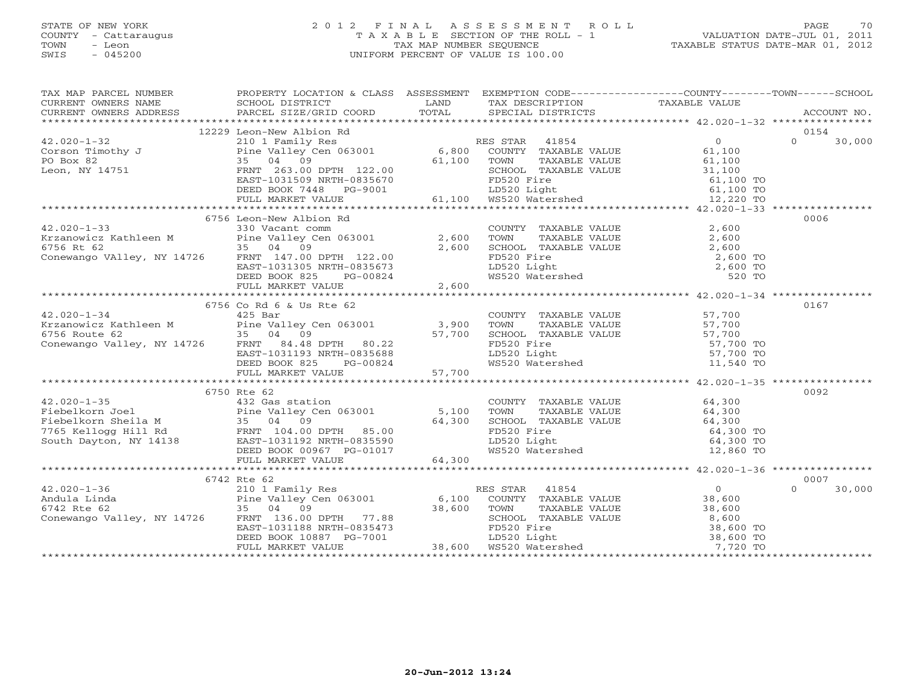# STATE OF NEW YORK 2 0 1 2 F I N A L A S S E S S M E N T R O L L PAGE 70 COUNTY - Cattaraugus T A X A B L E SECTION OF THE ROLL - 1 VALUATION DATE-JUL 01, 2011 TOWN - Leon TAX MAP NUMBER SEQUENCE TAXABLE STATUS DATE-MAR 01, 2012 SWIS - 045200 UNIFORM PERCENT OF VALUE IS 100.00UNIFORM PERCENT OF VALUE IS 100.00

|             |             |  | $\begin{tabular}{lcccc} \texttt{\textbf{13.100}} & \texttt{\textbf{13.209}} & \texttt{\textbf{13.209}} & \texttt{\textbf{13.209}} & \texttt{\textbf{13.209}} & \texttt{\textbf{13.209}} & \texttt{\textbf{13.209}} & \texttt{\textbf{13.209}} & \texttt{\textbf{13.209}} & \texttt{\textbf{13.209}} & \texttt{\textbf{13.209}} & \texttt{\textbf{13.209}} & \texttt{\textbf{13.209}} & \texttt{\textbf{13.209}} & \$ |
|-------------|-------------|--|----------------------------------------------------------------------------------------------------------------------------------------------------------------------------------------------------------------------------------------------------------------------------------------------------------------------------------------------------------------------------------------------------------------------|
|             |             |  |                                                                                                                                                                                                                                                                                                                                                                                                                      |
|             |             |  |                                                                                                                                                                                                                                                                                                                                                                                                                      |
|             |             |  |                                                                                                                                                                                                                                                                                                                                                                                                                      |
|             |             |  |                                                                                                                                                                                                                                                                                                                                                                                                                      |
|             |             |  |                                                                                                                                                                                                                                                                                                                                                                                                                      |
|             |             |  |                                                                                                                                                                                                                                                                                                                                                                                                                      |
|             |             |  |                                                                                                                                                                                                                                                                                                                                                                                                                      |
|             |             |  | $\begin{tabular}{lllllllllllll} \textbf{13.020--1--33} & \textbf{2,600} & \textbf{2,600} & \textbf{2,600} & \textbf{2,600} & \textbf{2,600} & \textbf{2,600} & \textbf{2,600} & \textbf{2,600} & \textbf{2,600} & \textbf{2,600} & \textbf{2,600} & \textbf{2,600} & \textbf{2,600} & \textbf{2,600} & \textbf{2,600} & \textbf{2,600} & \textbf{2,600} & \text$                                                     |
|             |             |  |                                                                                                                                                                                                                                                                                                                                                                                                                      |
|             |             |  |                                                                                                                                                                                                                                                                                                                                                                                                                      |
|             |             |  |                                                                                                                                                                                                                                                                                                                                                                                                                      |
|             |             |  |                                                                                                                                                                                                                                                                                                                                                                                                                      |
|             |             |  |                                                                                                                                                                                                                                                                                                                                                                                                                      |
|             |             |  |                                                                                                                                                                                                                                                                                                                                                                                                                      |
|             |             |  |                                                                                                                                                                                                                                                                                                                                                                                                                      |
|             |             |  |                                                                                                                                                                                                                                                                                                                                                                                                                      |
|             |             |  | 0167                                                                                                                                                                                                                                                                                                                                                                                                                 |
|             |             |  |                                                                                                                                                                                                                                                                                                                                                                                                                      |
|             |             |  |                                                                                                                                                                                                                                                                                                                                                                                                                      |
|             |             |  |                                                                                                                                                                                                                                                                                                                                                                                                                      |
|             |             |  |                                                                                                                                                                                                                                                                                                                                                                                                                      |
|             |             |  |                                                                                                                                                                                                                                                                                                                                                                                                                      |
|             |             |  |                                                                                                                                                                                                                                                                                                                                                                                                                      |
|             |             |  |                                                                                                                                                                                                                                                                                                                                                                                                                      |
|             |             |  |                                                                                                                                                                                                                                                                                                                                                                                                                      |
|             | 6750 Rte 62 |  | 0092                                                                                                                                                                                                                                                                                                                                                                                                                 |
|             |             |  |                                                                                                                                                                                                                                                                                                                                                                                                                      |
|             |             |  |                                                                                                                                                                                                                                                                                                                                                                                                                      |
|             |             |  |                                                                                                                                                                                                                                                                                                                                                                                                                      |
|             |             |  |                                                                                                                                                                                                                                                                                                                                                                                                                      |
|             |             |  |                                                                                                                                                                                                                                                                                                                                                                                                                      |
|             |             |  |                                                                                                                                                                                                                                                                                                                                                                                                                      |
|             |             |  |                                                                                                                                                                                                                                                                                                                                                                                                                      |
| 6742 Rte 62 |             |  | 0007                                                                                                                                                                                                                                                                                                                                                                                                                 |
|             |             |  | $\Omega$<br>30,000                                                                                                                                                                                                                                                                                                                                                                                                   |
|             |             |  |                                                                                                                                                                                                                                                                                                                                                                                                                      |
|             |             |  |                                                                                                                                                                                                                                                                                                                                                                                                                      |
|             |             |  |                                                                                                                                                                                                                                                                                                                                                                                                                      |
|             |             |  |                                                                                                                                                                                                                                                                                                                                                                                                                      |
|             |             |  |                                                                                                                                                                                                                                                                                                                                                                                                                      |
|             |             |  |                                                                                                                                                                                                                                                                                                                                                                                                                      |
|             |             |  |                                                                                                                                                                                                                                                                                                                                                                                                                      |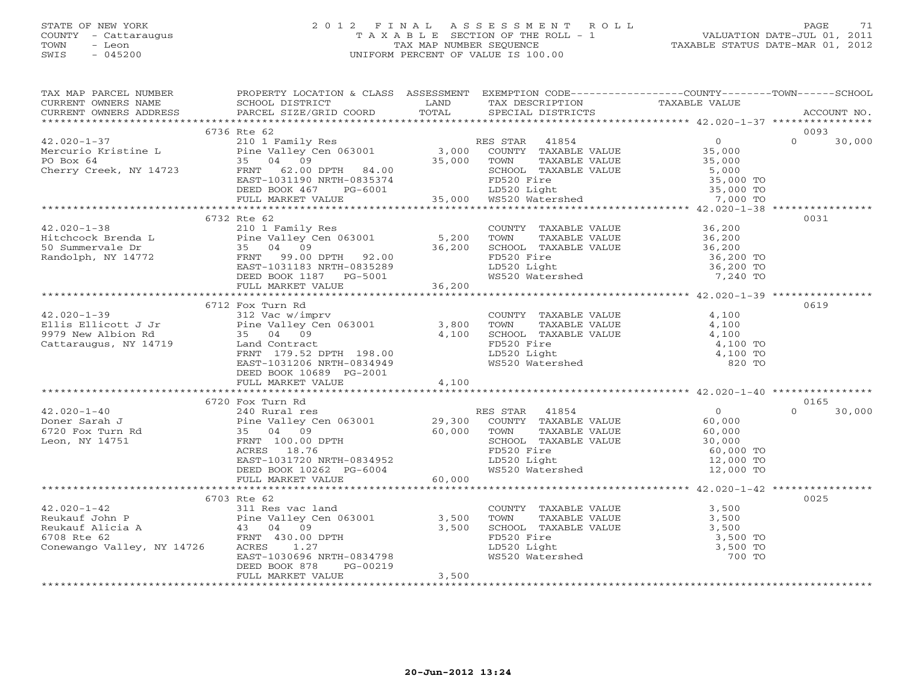# STATE OF NEW YORK 2 0 1 2 F I N A L A S S E S S M E N T R O L L PAGE 71 COUNTY - Cattaraugus T A X A B L E SECTION OF THE ROLL - 1 VALUATION DATE-JUL 01, 2011 TOWN - Leon TAX MAP NUMBER SEQUENCE TAXABLE STATUS DATE-MAR 01, 2012 SWIS - 045200 UNIFORM PERCENT OF VALUE IS 100.00UNIFORM PERCENT OF VALUE IS 100.00

| TAX MAP PARCEL NUMBER                                                                                                                                                                                                                                                                                                                                                                         | PROPERTY LOCATION & CLASS ASSESSMENT EXEMPTION CODE----------------COUNTY-------TOWN------SCHOOL |       |  |        |
|-----------------------------------------------------------------------------------------------------------------------------------------------------------------------------------------------------------------------------------------------------------------------------------------------------------------------------------------------------------------------------------------------|--------------------------------------------------------------------------------------------------|-------|--|--------|
|                                                                                                                                                                                                                                                                                                                                                                                               |                                                                                                  |       |  |        |
|                                                                                                                                                                                                                                                                                                                                                                                               | 6736 Rte 62                                                                                      |       |  | 0093   |
| $\begin{tabular}{lllllllllllllllllllll} \hline 42.020-1-37 & 6736 \mbox{ Rte 62} & 2101 \mbox{ Family Res} & \mbox{RES STR} & 41854 & 0 & 0093 \cr \hline \hline \texttt{Mercurio Kristine L} & 2101 \mbox{Family Res} & 3,000 \mbox{COUNTY} & \texttt{PAXABLE VALUE} & 35,000 \cr \hline \texttt{PO Box 64} & 35 & 04 & 09 & 30,000 \cr \texttt{Cherry Creek, NY 14723} & 58.94 & 09 & 30,0$ |                                                                                                  |       |  | 30,000 |
|                                                                                                                                                                                                                                                                                                                                                                                               |                                                                                                  |       |  |        |
|                                                                                                                                                                                                                                                                                                                                                                                               |                                                                                                  |       |  |        |
|                                                                                                                                                                                                                                                                                                                                                                                               |                                                                                                  |       |  |        |
|                                                                                                                                                                                                                                                                                                                                                                                               | 6732 Rte 62                                                                                      |       |  | 0031   |
|                                                                                                                                                                                                                                                                                                                                                                                               |                                                                                                  |       |  |        |
|                                                                                                                                                                                                                                                                                                                                                                                               |                                                                                                  |       |  |        |
|                                                                                                                                                                                                                                                                                                                                                                                               |                                                                                                  |       |  |        |
|                                                                                                                                                                                                                                                                                                                                                                                               |                                                                                                  |       |  |        |
|                                                                                                                                                                                                                                                                                                                                                                                               | 6712 Fox Turn Rd                                                                                 |       |  | 0619   |
|                                                                                                                                                                                                                                                                                                                                                                                               |                                                                                                  |       |  |        |
|                                                                                                                                                                                                                                                                                                                                                                                               |                                                                                                  |       |  |        |
|                                                                                                                                                                                                                                                                                                                                                                                               |                                                                                                  |       |  |        |
|                                                                                                                                                                                                                                                                                                                                                                                               |                                                                                                  |       |  |        |
|                                                                                                                                                                                                                                                                                                                                                                                               |                                                                                                  |       |  |        |
|                                                                                                                                                                                                                                                                                                                                                                                               | DEED BOOK 10689 PG-2001<br>FULL MARKET VALUE 4,100                                               |       |  |        |
|                                                                                                                                                                                                                                                                                                                                                                                               |                                                                                                  |       |  |        |
|                                                                                                                                                                                                                                                                                                                                                                                               |                                                                                                  |       |  |        |
|                                                                                                                                                                                                                                                                                                                                                                                               |                                                                                                  |       |  |        |
| $\begin{array}{cccccccc} 42.020-1-40 & 6720 & {\small \textsc{For}} & {\small \textsc{Turn}~R} & 0165 & 0165 & 0165 & 0165 & 0165 & 0165 & 0165 & 0165 & 0165 & 0165 & 0165 & 0165 & 0165 & 0165 & 0165 & 0165 & 0165 & 0165 & 0165 & 0165 & 0165 & 0165 & 0165 & 0165 & 0165 & 0165 & 0165 & 0165 & 016$                                                                                     |                                                                                                  |       |  |        |
|                                                                                                                                                                                                                                                                                                                                                                                               |                                                                                                  |       |  |        |
|                                                                                                                                                                                                                                                                                                                                                                                               |                                                                                                  |       |  |        |
|                                                                                                                                                                                                                                                                                                                                                                                               |                                                                                                  |       |  |        |
|                                                                                                                                                                                                                                                                                                                                                                                               |                                                                                                  |       |  |        |
|                                                                                                                                                                                                                                                                                                                                                                                               |                                                                                                  |       |  |        |
|                                                                                                                                                                                                                                                                                                                                                                                               |                                                                                                  |       |  |        |
|                                                                                                                                                                                                                                                                                                                                                                                               |                                                                                                  |       |  |        |
|                                                                                                                                                                                                                                                                                                                                                                                               | 6703 Rte 62                                                                                      |       |  | 0025   |
|                                                                                                                                                                                                                                                                                                                                                                                               |                                                                                                  |       |  |        |
|                                                                                                                                                                                                                                                                                                                                                                                               |                                                                                                  |       |  |        |
|                                                                                                                                                                                                                                                                                                                                                                                               |                                                                                                  |       |  |        |
| $\begin{tabular}{lcccc} 42.020-1-42 & 6703 Rte & 62 \\ & 31.800 \\ \text{Reukauf Abin P} & 3,500 \\ \text{Reukauf Alicia A} & 43.04 & 09 \\ 6708 Rte & FRT & 430.00 DPTH & 43.500 \\ \text{Conewango Valley, NY 14726} & 43.500 TRT & 430.00 DPTH & 43.500 TRT & 43.500 \\ & 43.500 TRT & 43.500 TRT & 43.500 TRT & 43.500 TRT & 43.500 TRT &$                                                |                                                                                                  |       |  |        |
|                                                                                                                                                                                                                                                                                                                                                                                               |                                                                                                  |       |  |        |
|                                                                                                                                                                                                                                                                                                                                                                                               |                                                                                                  |       |  |        |
|                                                                                                                                                                                                                                                                                                                                                                                               | PG-00219<br>DEED BOOK 878<br>FULL MARKET VALUE                                                   | 3,500 |  |        |
|                                                                                                                                                                                                                                                                                                                                                                                               |                                                                                                  |       |  |        |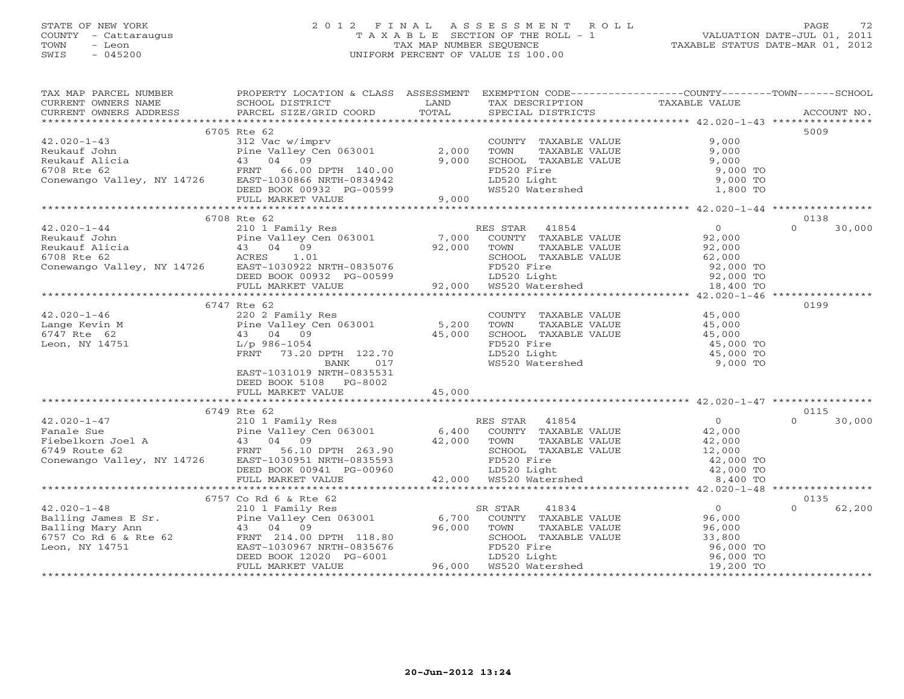# STATE OF NEW YORK 2 0 1 2 F I N A L A S S E S S M E N T R O L L PAGE 72 COUNTY - Cattaraugus T A X A B L E SECTION OF THE ROLL - 1 VALUATION DATE-JUL 01, 2011 TOWN - Leon TAX MAP NUMBER SEQUENCE TAXABLE STATUS DATE-MAR 01, 2012 SWIS - 045200 UNIFORM PERCENT OF VALUE IS 100.00UNIFORM PERCENT OF VALUE IS 100.00

| TAX MAP PARCEL NUMBER FROPERTY LOCATION & CLASS ASSESSMENT EXEMPTION CODE--------------COUNTY-------TOWN------SCHOOL |                           |  |                    |
|----------------------------------------------------------------------------------------------------------------------|---------------------------|--|--------------------|
|                                                                                                                      |                           |  |                    |
|                                                                                                                      |                           |  |                    |
|                                                                                                                      |                           |  |                    |
|                                                                                                                      | 6705 Rte 62               |  | 5009               |
|                                                                                                                      |                           |  |                    |
|                                                                                                                      |                           |  |                    |
|                                                                                                                      |                           |  |                    |
|                                                                                                                      |                           |  |                    |
|                                                                                                                      |                           |  |                    |
|                                                                                                                      |                           |  |                    |
|                                                                                                                      |                           |  |                    |
|                                                                                                                      |                           |  |                    |
|                                                                                                                      | 6708 Rte 62               |  | 0138               |
|                                                                                                                      |                           |  | $\Omega$<br>30,000 |
|                                                                                                                      |                           |  |                    |
|                                                                                                                      |                           |  |                    |
|                                                                                                                      |                           |  |                    |
|                                                                                                                      |                           |  |                    |
|                                                                                                                      |                           |  |                    |
|                                                                                                                      |                           |  |                    |
|                                                                                                                      |                           |  |                    |
|                                                                                                                      | 6747 Rte 62               |  | 0199               |
|                                                                                                                      |                           |  |                    |
|                                                                                                                      |                           |  |                    |
|                                                                                                                      |                           |  |                    |
|                                                                                                                      |                           |  |                    |
|                                                                                                                      |                           |  |                    |
|                                                                                                                      |                           |  |                    |
|                                                                                                                      | EAST-1031019 NRTH-0835531 |  |                    |
|                                                                                                                      | DEED BOOK 5108 PG-8002    |  |                    |
|                                                                                                                      |                           |  |                    |
|                                                                                                                      |                           |  |                    |
|                                                                                                                      |                           |  |                    |
|                                                                                                                      |                           |  |                    |
|                                                                                                                      |                           |  |                    |
|                                                                                                                      |                           |  |                    |
|                                                                                                                      |                           |  |                    |
|                                                                                                                      |                           |  |                    |
|                                                                                                                      |                           |  |                    |
|                                                                                                                      |                           |  |                    |
|                                                                                                                      |                           |  | 0135               |
|                                                                                                                      |                           |  | $\Omega$<br>62,200 |
|                                                                                                                      |                           |  |                    |
|                                                                                                                      |                           |  |                    |
|                                                                                                                      |                           |  |                    |
|                                                                                                                      |                           |  |                    |
|                                                                                                                      |                           |  |                    |
|                                                                                                                      |                           |  |                    |
|                                                                                                                      |                           |  |                    |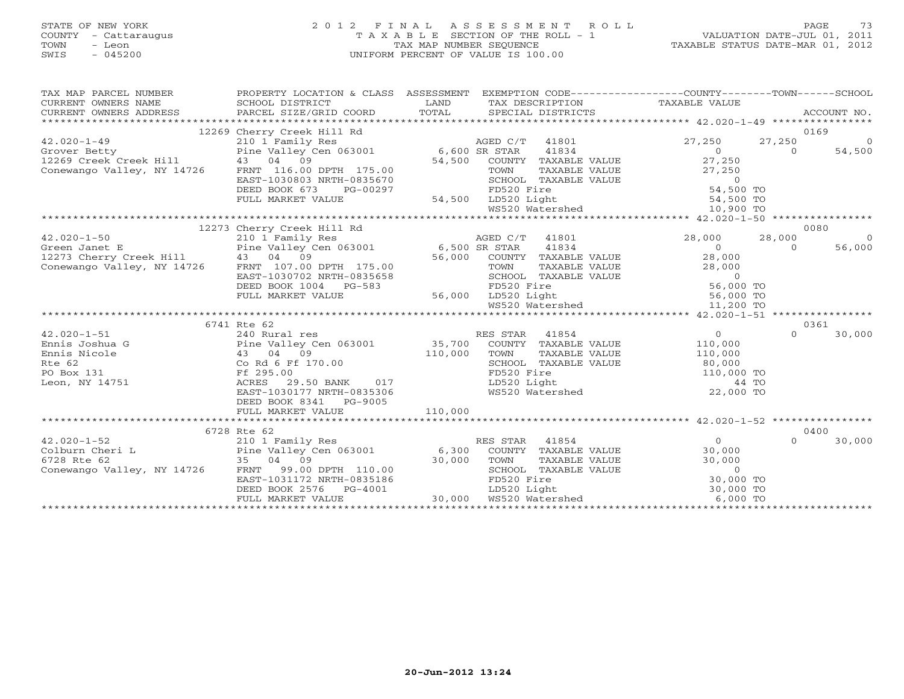# STATE OF NEW YORK 2 0 1 2 F I N A L A S S E S S M E N T R O L L PAGE 73 COUNTY - Cattaraugus T A X A B L E SECTION OF THE ROLL - 1 VALUATION DATE-JUL 01, 2011 TOWN - Leon TAX MAP NUMBER SEQUENCE TAXABLE STATUS DATE-MAR 01, 2012 SWIS - 045200 UNIFORM PERCENT OF VALUE IS 100.00UNIFORM PERCENT OF VALUE IS 100.00

| TAX MAP PARCEL NUMBER                                                                                                                                                                                                                                                                                                                                                                                          | PROPERTY LOCATION & CLASS ASSESSMENT | EXEMPTION CODE-----------------COUNTY-------TOWN------SCHOOL                                                                  |                |                          |
|----------------------------------------------------------------------------------------------------------------------------------------------------------------------------------------------------------------------------------------------------------------------------------------------------------------------------------------------------------------------------------------------------------------|--------------------------------------|-------------------------------------------------------------------------------------------------------------------------------|----------------|--------------------------|
|                                                                                                                                                                                                                                                                                                                                                                                                                | 12269 Cherry Creek Hill Rd           |                                                                                                                               |                | 0169                     |
|                                                                                                                                                                                                                                                                                                                                                                                                                |                                      |                                                                                                                               |                | 27,250<br>$\overline{0}$ |
|                                                                                                                                                                                                                                                                                                                                                                                                                |                                      |                                                                                                                               |                | $\Omega$<br>54,500       |
| 12.020-1-49<br>27,250<br>Grover Betty<br>27,250<br>27,250<br>27,250<br>27,250<br>27,250<br>27,250<br>27,250<br>27,250<br>27,250<br>27,250<br>27,250<br>27,250<br>27,250<br>27,250<br>27,250<br>27,250<br>27,250<br>27,250<br>27,250<br>27,250<br>27,250<br>27,250<br>27,250<br>27,                                                                                                                             |                                      |                                                                                                                               |                |                          |
|                                                                                                                                                                                                                                                                                                                                                                                                                |                                      |                                                                                                                               |                |                          |
|                                                                                                                                                                                                                                                                                                                                                                                                                |                                      |                                                                                                                               |                |                          |
|                                                                                                                                                                                                                                                                                                                                                                                                                |                                      |                                                                                                                               |                |                          |
|                                                                                                                                                                                                                                                                                                                                                                                                                |                                      |                                                                                                                               |                |                          |
|                                                                                                                                                                                                                                                                                                                                                                                                                |                                      |                                                                                                                               |                |                          |
|                                                                                                                                                                                                                                                                                                                                                                                                                |                                      |                                                                                                                               |                |                          |
| $\begin{tabular}{l c c c c c c c c} \multicolumn{3}{c c c c} \multicolumn{3}{c c c c} \multicolumn{3}{c c c} \multicolumn{3}{c c c} \multicolumn{3}{c c c} \multicolumn{3}{c c c} \multicolumn{3}{c c c} \multicolumn{3}{c c c} \multicolumn{3}{c c c} \multicolumn{3}{c c c} \multicolumn{3}{c c c} \multicolumn{3}{c c c} \multicolumn{3}{c c c} \multicolumn{3}{c c c} \multicolumn{3}{c c$                 |                                      |                                                                                                                               |                |                          |
|                                                                                                                                                                                                                                                                                                                                                                                                                |                                      |                                                                                                                               |                |                          |
|                                                                                                                                                                                                                                                                                                                                                                                                                |                                      |                                                                                                                               |                |                          |
|                                                                                                                                                                                                                                                                                                                                                                                                                |                                      |                                                                                                                               |                |                          |
|                                                                                                                                                                                                                                                                                                                                                                                                                |                                      |                                                                                                                               |                |                          |
|                                                                                                                                                                                                                                                                                                                                                                                                                |                                      |                                                                                                                               |                |                          |
|                                                                                                                                                                                                                                                                                                                                                                                                                |                                      |                                                                                                                               |                |                          |
|                                                                                                                                                                                                                                                                                                                                                                                                                |                                      |                                                                                                                               |                |                          |
|                                                                                                                                                                                                                                                                                                                                                                                                                |                                      |                                                                                                                               |                |                          |
|                                                                                                                                                                                                                                                                                                                                                                                                                |                                      |                                                                                                                               |                |                          |
|                                                                                                                                                                                                                                                                                                                                                                                                                | 6741 Rte 62                          |                                                                                                                               |                | 0361                     |
| $\begin{tabular}{lcccccc} 42.020-1-51 & 240 Rural res \\ \text{Ennis Joshua G} & \text{Pine Valley Cen 063001} & 35,700 & \text{COUNTY TAXABLE VALUE} & 110,000 \\ \text{Ennis Nicole} & 43 & 04 & 09 & 110,000 & \text{TOWN} & \text{TAXABLE VALUE} & 110,000 \\ \text{Rte 62} & \text{Co Rd 6 Ff 170.00} & \text{F1000} & \text{SCHOOL TAXABLE VALUE} & 80,000 \\ \text{PO Box 131} & \text{M111} & \text{R$ |                                      |                                                                                                                               |                | $\cap$<br>30,000         |
|                                                                                                                                                                                                                                                                                                                                                                                                                |                                      |                                                                                                                               |                |                          |
|                                                                                                                                                                                                                                                                                                                                                                                                                |                                      |                                                                                                                               |                |                          |
|                                                                                                                                                                                                                                                                                                                                                                                                                |                                      |                                                                                                                               |                |                          |
|                                                                                                                                                                                                                                                                                                                                                                                                                |                                      |                                                                                                                               |                |                          |
| Leon, NY 14751                                                                                                                                                                                                                                                                                                                                                                                                 | ACRES 29.50 BANK 017                 | TOWN TAXABLE VALUE<br>TOWN TAXABLE VALUE<br>SCHOOL TAXABLE VALUE<br>FD520 Fire<br>LD520 Light<br>MS520 Watershed<br>22,000 TO |                |                          |
|                                                                                                                                                                                                                                                                                                                                                                                                                | EAST-1030177 NRTH-0835306            |                                                                                                                               |                |                          |
|                                                                                                                                                                                                                                                                                                                                                                                                                | DEED BOOK 8341 PG-9005               |                                                                                                                               |                |                          |
|                                                                                                                                                                                                                                                                                                                                                                                                                |                                      |                                                                                                                               |                |                          |
|                                                                                                                                                                                                                                                                                                                                                                                                                |                                      |                                                                                                                               |                |                          |
|                                                                                                                                                                                                                                                                                                                                                                                                                | 6728 Rte 62                          |                                                                                                                               |                | 0400                     |
| $42.020 - 1 - 52$                                                                                                                                                                                                                                                                                                                                                                                              | 210 1 Family Res                     | RES STAR 41854                                                                                                                | $\overline{0}$ | 30,000<br>$\Omega$       |
|                                                                                                                                                                                                                                                                                                                                                                                                                |                                      |                                                                                                                               |                |                          |
|                                                                                                                                                                                                                                                                                                                                                                                                                |                                      |                                                                                                                               |                |                          |
|                                                                                                                                                                                                                                                                                                                                                                                                                |                                      |                                                                                                                               |                |                          |
|                                                                                                                                                                                                                                                                                                                                                                                                                |                                      |                                                                                                                               |                |                          |
|                                                                                                                                                                                                                                                                                                                                                                                                                |                                      |                                                                                                                               |                |                          |
| $\begin{array}{cccccccc} \texttt{42.02U}-1-52 & \texttt{21U} & \texttt{21U} & \texttt{NED-3} & \texttt{21U} & \texttt{NED-3} & \texttt{21U} & \texttt{NED-3} & \texttt{NED-3} & \texttt{NED-3} & \texttt{NED-3} & \texttt{NED-3} & \texttt{NED-3} & \texttt{NED-3} & \texttt{NED-3} & \texttt{NDE-3} & \texttt{NDE-3} & \texttt{NDE-3} & \texttt{NDE-3} & \texttt{NDE-3} & \texttt{NDE-3} &$                   |                                      |                                                                                                                               |                |                          |
|                                                                                                                                                                                                                                                                                                                                                                                                                |                                      |                                                                                                                               |                |                          |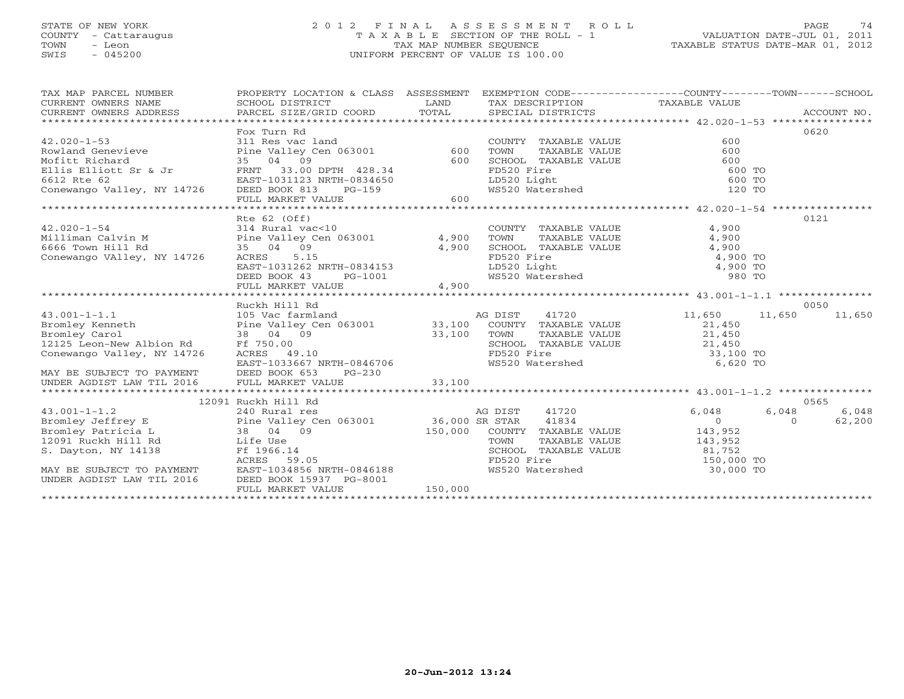# STATE OF NEW YORK 2 0 1 2 F I N A L A S S E S S M E N T R O L L PAGE 74 COUNTY - Cattaraugus T A X A B L E SECTION OF THE ROLL - 1 VALUATION DATE-JUL 01, 2011 TOWN - Leon TAX MAP NUMBER SEQUENCE TAXABLE STATUS DATE-MAR 01, 2012 SWIS - 045200 UNIFORM PERCENT OF VALUE IS 100.00UNIFORM PERCENT OF VALUE IS 100.00

| TAX MAP PARCEL NUMBER<br>$\begin{tabular}{lllllll} \multicolumn{2}{c}{\textbf{CURRENT}} & \multicolumn{2}{c}{\textbf{WNERS}} & \multicolumn{2}{c}{\textbf{NAME}} & \multicolumn{2}{c}{\textbf{SCHOOL}} & \multicolumn{2}{c}{\textbf{DISTRICT}} & \multicolumn{2}{c}{\textbf{LAND}} & \multicolumn{2}{c}{\textbf{TAX} \textbf{DESCRIPTION}} & \multicolumn{2}{c}{\textbf{TAXABLE} \textbf{ VALUE}} & \multicolumn{2}{c}{\textbf{NALUE}} \\ & \multicolumn{2}{c}{\textbf{CURRENT}} & \multicolumn{2}{c}{\textbf$ | PROPERTY LOCATION & CLASS ASSESSMENT EXEMPTION CODE---------------COUNTY-------TOWN------SCHOOL                                                                                                       |         |                                                                                                                                                                            |                |                    |
|----------------------------------------------------------------------------------------------------------------------------------------------------------------------------------------------------------------------------------------------------------------------------------------------------------------------------------------------------------------------------------------------------------------------------------------------------------------------------------------------------------------|-------------------------------------------------------------------------------------------------------------------------------------------------------------------------------------------------------|---------|----------------------------------------------------------------------------------------------------------------------------------------------------------------------------|----------------|--------------------|
|                                                                                                                                                                                                                                                                                                                                                                                                                                                                                                                | Fox Turn Rd                                                                                                                                                                                           |         |                                                                                                                                                                            |                | 0620               |
|                                                                                                                                                                                                                                                                                                                                                                                                                                                                                                                |                                                                                                                                                                                                       |         |                                                                                                                                                                            |                |                    |
| 42.020-1-53<br>Rowland Genevieve 311 Res vac land<br>Mofitt Richard 35 04 09 600                                                                                                                                                                                                                                                                                                                                                                                                                               |                                                                                                                                                                                                       |         | COUNTY TAXABLE VALUE<br>TOWN TAXABLE VALUE 600<br>SCHOOL TAXABLE VALUE 600<br>FD520 Fire 600 TO<br>LD520 Light 600 TO<br>WS520 Watershed 120 TO                            |                |                    |
|                                                                                                                                                                                                                                                                                                                                                                                                                                                                                                                |                                                                                                                                                                                                       |         |                                                                                                                                                                            |                |                    |
|                                                                                                                                                                                                                                                                                                                                                                                                                                                                                                                |                                                                                                                                                                                                       |         |                                                                                                                                                                            |                |                    |
|                                                                                                                                                                                                                                                                                                                                                                                                                                                                                                                |                                                                                                                                                                                                       |         |                                                                                                                                                                            |                |                    |
|                                                                                                                                                                                                                                                                                                                                                                                                                                                                                                                |                                                                                                                                                                                                       |         |                                                                                                                                                                            |                |                    |
| FINIT 13.00 DPTH 428.34<br>Elis Ellist Sr & Jr<br>6612 Rte 62 EAST-1031123 NRTH-0834650<br>Conewango Valley, NY 14726 DEED BOOK 813 PG-159<br>FULL MARKET VALUE 600                                                                                                                                                                                                                                                                                                                                            |                                                                                                                                                                                                       |         |                                                                                                                                                                            |                |                    |
|                                                                                                                                                                                                                                                                                                                                                                                                                                                                                                                |                                                                                                                                                                                                       |         |                                                                                                                                                                            |                |                    |
|                                                                                                                                                                                                                                                                                                                                                                                                                                                                                                                | Rte 62 (Off)                                                                                                                                                                                          |         |                                                                                                                                                                            |                | 0121               |
| 42.020-1-54<br>Milliman Calvin M<br>Milliman Calvin M<br>Fine Valley Cen 063001<br>The Valley Cen 063001<br>4,900<br>Conewango VAlley, NY 14726<br>ACRES<br>5.15<br>ACRES<br>5.15                                                                                                                                                                                                                                                                                                                              |                                                                                                                                                                                                       |         | COUNTY TAXABLE VALUE<br>TOWN TAXABLE VALUE<br>SCHOOL TAXABLE VALUE<br>SCHOOL TAXABLE VALUE<br>FD520 Fire<br>LD520 Light<br>MS520 Watershed<br>1,900 TO<br>980 TO<br>980 TO |                |                    |
|                                                                                                                                                                                                                                                                                                                                                                                                                                                                                                                |                                                                                                                                                                                                       |         |                                                                                                                                                                            |                |                    |
|                                                                                                                                                                                                                                                                                                                                                                                                                                                                                                                |                                                                                                                                                                                                       |         |                                                                                                                                                                            |                |                    |
|                                                                                                                                                                                                                                                                                                                                                                                                                                                                                                                |                                                                                                                                                                                                       |         |                                                                                                                                                                            |                |                    |
|                                                                                                                                                                                                                                                                                                                                                                                                                                                                                                                |                                                                                                                                                                                                       |         |                                                                                                                                                                            |                |                    |
|                                                                                                                                                                                                                                                                                                                                                                                                                                                                                                                |                                                                                                                                                                                                       |         |                                                                                                                                                                            |                |                    |
|                                                                                                                                                                                                                                                                                                                                                                                                                                                                                                                | 35 04 09<br>ACRES 5.15<br>EAST-1031262 NRTH-0834153<br>DEED BOOK 43 PG-1001<br>FULL MARKET VALUE 4,900                                                                                                |         |                                                                                                                                                                            |                |                    |
|                                                                                                                                                                                                                                                                                                                                                                                                                                                                                                                |                                                                                                                                                                                                       |         |                                                                                                                                                                            |                |                    |
|                                                                                                                                                                                                                                                                                                                                                                                                                                                                                                                | Ruckh Hill Rd                                                                                                                                                                                         |         |                                                                                                                                                                            |                | 0050               |
|                                                                                                                                                                                                                                                                                                                                                                                                                                                                                                                |                                                                                                                                                                                                       |         |                                                                                                                                                                            |                | 11,650<br>11,650   |
|                                                                                                                                                                                                                                                                                                                                                                                                                                                                                                                |                                                                                                                                                                                                       |         |                                                                                                                                                                            |                |                    |
|                                                                                                                                                                                                                                                                                                                                                                                                                                                                                                                |                                                                                                                                                                                                       |         |                                                                                                                                                                            |                |                    |
|                                                                                                                                                                                                                                                                                                                                                                                                                                                                                                                |                                                                                                                                                                                                       |         |                                                                                                                                                                            |                |                    |
|                                                                                                                                                                                                                                                                                                                                                                                                                                                                                                                |                                                                                                                                                                                                       |         |                                                                                                                                                                            |                |                    |
|                                                                                                                                                                                                                                                                                                                                                                                                                                                                                                                | $PG-230$                                                                                                                                                                                              |         |                                                                                                                                                                            |                |                    |
| MAY BE SUBJECT TO PAYMENT DEED BOOK 653<br>UNDER AGDIST LAW TIL 2016 FULL MARKET VA                                                                                                                                                                                                                                                                                                                                                                                                                            |                                                                                                                                                                                                       |         |                                                                                                                                                                            |                |                    |
|                                                                                                                                                                                                                                                                                                                                                                                                                                                                                                                |                                                                                                                                                                                                       |         |                                                                                                                                                                            |                |                    |
|                                                                                                                                                                                                                                                                                                                                                                                                                                                                                                                | 12091 Ruckh Hill Rd                                                                                                                                                                                   |         |                                                                                                                                                                            |                | 0565               |
|                                                                                                                                                                                                                                                                                                                                                                                                                                                                                                                |                                                                                                                                                                                                       |         |                                                                                                                                                                            | 6,048          | 6,048<br>6,048     |
|                                                                                                                                                                                                                                                                                                                                                                                                                                                                                                                |                                                                                                                                                                                                       |         | AG DIST 41720<br>SR STAR 41834                                                                                                                                             | $\overline{0}$ | 62,200<br>$\Omega$ |
|                                                                                                                                                                                                                                                                                                                                                                                                                                                                                                                |                                                                                                                                                                                                       |         |                                                                                                                                                                            |                |                    |
|                                                                                                                                                                                                                                                                                                                                                                                                                                                                                                                |                                                                                                                                                                                                       |         |                                                                                                                                                                            |                |                    |
|                                                                                                                                                                                                                                                                                                                                                                                                                                                                                                                |                                                                                                                                                                                                       |         |                                                                                                                                                                            |                |                    |
|                                                                                                                                                                                                                                                                                                                                                                                                                                                                                                                |                                                                                                                                                                                                       |         |                                                                                                                                                                            |                |                    |
| 43.001-1-1.2<br>Bromley Jeffrey E<br>Bromley Patricia L<br>240 Rural res<br>Pine Valley Cen 063001<br>26,000 SR STAR<br>27 Bromley Patricia L<br>38 04 09<br>27 150,000 COUNTY<br>27 150,000 COUNTY<br>27 150,000 COUNTY<br>27 150,000 COUNTY<br>27 1<br>MAY BE SUBJECT TO PAYMENT                                                                                                                                                                                                                             | 38 04 09<br>150,000 COUNTY TAXABLE VALUE 143,952<br>Life Use TOWN TAXABLE VALUE 143,952<br>Ff 1966.14 SCHOOL TAXABLE VALUE 143,952<br>RCRES 59.05<br>EAST-1034856_NRTH-0846188 WS520 Watershed 30,000 |         | TOWN TAXABLE VALUE 143,952<br>SCHOOL TAXABLE VALUE 143,952<br>FD520 Fire 150,000 TO<br>WS520 Watershed 30,000 TO                                                           |                |                    |
| UNDER AGDIST LAW TIL 2016                                                                                                                                                                                                                                                                                                                                                                                                                                                                                      | DEED BOOK 15937 PG-8001                                                                                                                                                                               |         |                                                                                                                                                                            |                |                    |
|                                                                                                                                                                                                                                                                                                                                                                                                                                                                                                                | FULL MARKET VALUE                                                                                                                                                                                     | 150,000 |                                                                                                                                                                            |                |                    |
|                                                                                                                                                                                                                                                                                                                                                                                                                                                                                                                |                                                                                                                                                                                                       |         |                                                                                                                                                                            |                |                    |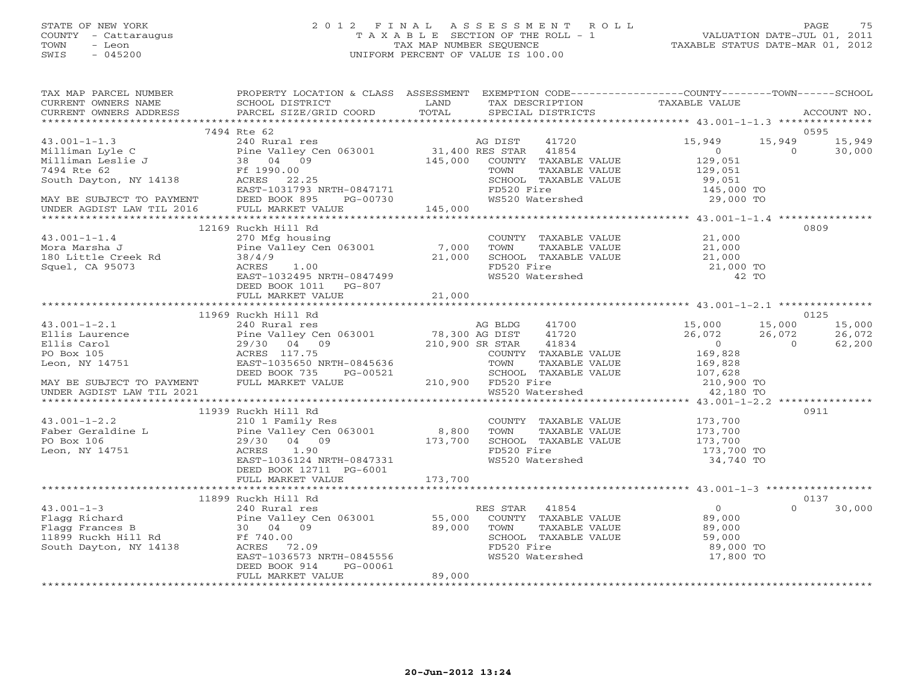# STATE OF NEW YORK 2 0 1 2 F I N A L A S S E S S M E N T R O L L PAGE 75 COUNTY - Cattaraugus T A X A B L E SECTION OF THE ROLL - 1 VALUATION DATE-JUL 01, 2011 TOWN - Leon TAX MAP NUMBER SEQUENCE TAXABLE STATUS DATE-MAR 01, 2012 SWIS - 045200 UNIFORM PERCENT OF VALUE IS 100.00UNIFORM PERCENT OF VALUE IS 100.00

| TAX MAP PARCEL NUMBER                                                                                                                                                                                                                               | PROPERTY LOCATION & CLASS ASSESSMENT EXEMPTION CODE---------------COUNTY-------TOWN------SCHOOL                                                                  |        |                                                                                                                     |                                                      |                            |
|-----------------------------------------------------------------------------------------------------------------------------------------------------------------------------------------------------------------------------------------------------|------------------------------------------------------------------------------------------------------------------------------------------------------------------|--------|---------------------------------------------------------------------------------------------------------------------|------------------------------------------------------|----------------------------|
|                                                                                                                                                                                                                                                     |                                                                                                                                                                  |        |                                                                                                                     |                                                      |                            |
|                                                                                                                                                                                                                                                     | 7494 Rte 62                                                                                                                                                      |        |                                                                                                                     |                                                      | 0595                       |
|                                                                                                                                                                                                                                                     |                                                                                                                                                                  |        |                                                                                                                     | 15,949<br>$\overline{0}$                             | 15,949 15,949              |
| 43.001-1-1.3<br>Milliman Lyle C<br>Milliman Leslie J<br>Tangle C<br>Milliman Leslie J<br>240 Rural res<br>Pine Valley Cen 063001<br>240 Rural res<br>Pine Valley Cen 063001<br>31,400 RES STAR 41854<br>31,400 RES STAR 41854<br>31,400 RES STAR 41 |                                                                                                                                                                  |        |                                                                                                                     | $\sim$ 0                                             | 30,000                     |
|                                                                                                                                                                                                                                                     |                                                                                                                                                                  |        |                                                                                                                     | 129,051<br>129,051                                   |                            |
|                                                                                                                                                                                                                                                     |                                                                                                                                                                  |        |                                                                                                                     |                                                      |                            |
|                                                                                                                                                                                                                                                     |                                                                                                                                                                  |        | SCHOOL TAXABLE VALUE 99,051<br>FD520 Fire 145,000 TO<br>WS520 Watershed 29,000 TO                                   |                                                      |                            |
|                                                                                                                                                                                                                                                     |                                                                                                                                                                  |        |                                                                                                                     |                                                      |                            |
| MAY BE SUBJECT TO PAYMENT<br>UNDER AGDIST LAW TIL 2016 FULL MARKET VALUE 145,000                                                                                                                                                                    |                                                                                                                                                                  |        |                                                                                                                     |                                                      |                            |
|                                                                                                                                                                                                                                                     |                                                                                                                                                                  |        |                                                                                                                     |                                                      |                            |
|                                                                                                                                                                                                                                                     | 12169 Ruckh Hill Rd                                                                                                                                              |        |                                                                                                                     |                                                      | 0809                       |
| 43.001-1-1.4<br>Mora Marsha J<br>180 Little Creek Rd<br>Squel, CA 95073<br>21,000<br>21,000<br>21,000<br>21,000<br>22,000<br>22,000                                                                                                                 |                                                                                                                                                                  |        | COUNTY TAXABLE VALUE $21,000$<br>TOWN TAXABLE VALUE $21,000$<br>SCHOOL TAXABLE VALUE $21,000$                       |                                                      |                            |
|                                                                                                                                                                                                                                                     |                                                                                                                                                                  |        |                                                                                                                     |                                                      |                            |
|                                                                                                                                                                                                                                                     |                                                                                                                                                                  |        |                                                                                                                     |                                                      |                            |
|                                                                                                                                                                                                                                                     |                                                                                                                                                                  |        |                                                                                                                     |                                                      |                            |
|                                                                                                                                                                                                                                                     | EAST-1032495 NRTH-0847499                                                                                                                                        |        | TOWN INANDER VALUE<br>SCHOOL TAXABLE VALUE<br>FD520 Fire 21,000 TO<br>WS520 Watershed 42 TO                         |                                                      |                            |
|                                                                                                                                                                                                                                                     | DEED BOOK 1011 PG-807                                                                                                                                            |        |                                                                                                                     |                                                      |                            |
|                                                                                                                                                                                                                                                     | FULL MARKET VALUE                                                                                                                                                | 21,000 |                                                                                                                     |                                                      |                            |
|                                                                                                                                                                                                                                                     |                                                                                                                                                                  |        |                                                                                                                     |                                                      |                            |
|                                                                                                                                                                                                                                                     | 11969 Ruckh Hill Rd                                                                                                                                              |        |                                                                                                                     |                                                      | 0125                       |
|                                                                                                                                                                                                                                                     |                                                                                                                                                                  |        |                                                                                                                     | 15,000                                               | 15,000 15,000              |
|                                                                                                                                                                                                                                                     |                                                                                                                                                                  |        |                                                                                                                     | 26,072<br>$\overline{0}$                             | 26,072<br>62,200           |
|                                                                                                                                                                                                                                                     |                                                                                                                                                                  |        |                                                                                                                     | $\begin{array}{c} 0 \ 169,828 \ 169,828 \end{array}$ |                            |
|                                                                                                                                                                                                                                                     |                                                                                                                                                                  |        |                                                                                                                     |                                                      |                            |
|                                                                                                                                                                                                                                                     |                                                                                                                                                                  |        |                                                                                                                     |                                                      |                            |
| DEED BOOK 735 PG-00521 SCHOOL TAY<br>MAY BE SUBJECT TO PAYMENT FULL MARKET VALUE 210,900 FD520 Fire                                                                                                                                                 |                                                                                                                                                                  |        |                                                                                                                     |                                                      |                            |
| UNDER AGDIST LAW TIL 2021                                                                                                                                                                                                                           |                                                                                                                                                                  |        | SCHOOL TAXABLE VALUE 107,628<br>FD520 Fire 107,628<br>WS520 Watershed 12,180 TO                                     |                                                      |                            |
|                                                                                                                                                                                                                                                     |                                                                                                                                                                  |        |                                                                                                                     |                                                      |                            |
|                                                                                                                                                                                                                                                     | 11939 Ruckh Hill Rd                                                                                                                                              |        |                                                                                                                     |                                                      | 0911                       |
|                                                                                                                                                                                                                                                     |                                                                                                                                                                  |        |                                                                                                                     |                                                      |                            |
|                                                                                                                                                                                                                                                     |                                                                                                                                                                  |        |                                                                                                                     |                                                      |                            |
|                                                                                                                                                                                                                                                     |                                                                                                                                                                  |        |                                                                                                                     |                                                      |                            |
| 43.001-1-2.2<br>Faber Geraldine L<br>PO Box 106<br>Leon, NY 14751                                                                                                                                                                                   | NUCLIT IN THE COUNT<br>210 1 Family Res<br>Pine Valley Cen 063001 8,800 TOWN<br>29/30 04 09 173,700 SCHOO<br>ACRES 1.90 FD520<br>EAST-1036124_NRTH-0847331 WS520 |        | COUNTY TAXABLE VALUE 173,700<br>TOWN TAXABLE VALUE 173,700<br>SCHOOL TAXABLE VALUE 173,700<br>FD520 Fire 173,700 TO |                                                      |                            |
|                                                                                                                                                                                                                                                     |                                                                                                                                                                  |        | WS520 Watershed                                                                                                     | 34,740 TO                                            |                            |
|                                                                                                                                                                                                                                                     | DEED BOOK 12711 PG-6001                                                                                                                                          |        |                                                                                                                     |                                                      |                            |
|                                                                                                                                                                                                                                                     |                                                                                                                                                                  |        |                                                                                                                     |                                                      |                            |
|                                                                                                                                                                                                                                                     |                                                                                                                                                                  |        |                                                                                                                     |                                                      |                            |
|                                                                                                                                                                                                                                                     | 11899 Ruckh Hill Rd                                                                                                                                              |        | RES STAR 41854                                                                                                      | $\overline{0}$                                       | 0137<br>$\Omega$<br>30,000 |
|                                                                                                                                                                                                                                                     |                                                                                                                                                                  |        | COUNTY TAXABLE VALUE 69,000                                                                                         |                                                      |                            |
| 43.001-1-3<br>Flagg Richard<br>Flagg Frances B<br>11899 Ruckh Hill Rd<br>South Dayton, NY 14138<br>Figgs Frances B<br>South Dayton, NY 14138<br>Figgs Frances 22.09<br>Figgs Frances 22.09<br>Figgs Frances 22.09<br>Figgs Frances 22.09<br>Figgs F |                                                                                                                                                                  |        | TOWN                                                                                                                |                                                      |                            |
|                                                                                                                                                                                                                                                     |                                                                                                                                                                  |        | TOWN TAXABLE VALUE 89,000<br>SCHOOL TAXABLE VALUE 59,000<br>ED520 Fire 89,000                                       |                                                      |                            |
|                                                                                                                                                                                                                                                     |                                                                                                                                                                  |        | FD520 Fire                                                                                                          | 89,000 TO                                            |                            |
|                                                                                                                                                                                                                                                     | EAST-1036573 NRTH-0845556                                                                                                                                        |        | WS520 Watershed                                                                                                     | 17,800 TO                                            |                            |
|                                                                                                                                                                                                                                                     | PG-00061<br>DEED BOOK 914                                                                                                                                        |        |                                                                                                                     |                                                      |                            |
|                                                                                                                                                                                                                                                     | FULL MARKET VALUE                                                                                                                                                | 89,000 |                                                                                                                     |                                                      |                            |
|                                                                                                                                                                                                                                                     |                                                                                                                                                                  |        |                                                                                                                     |                                                      |                            |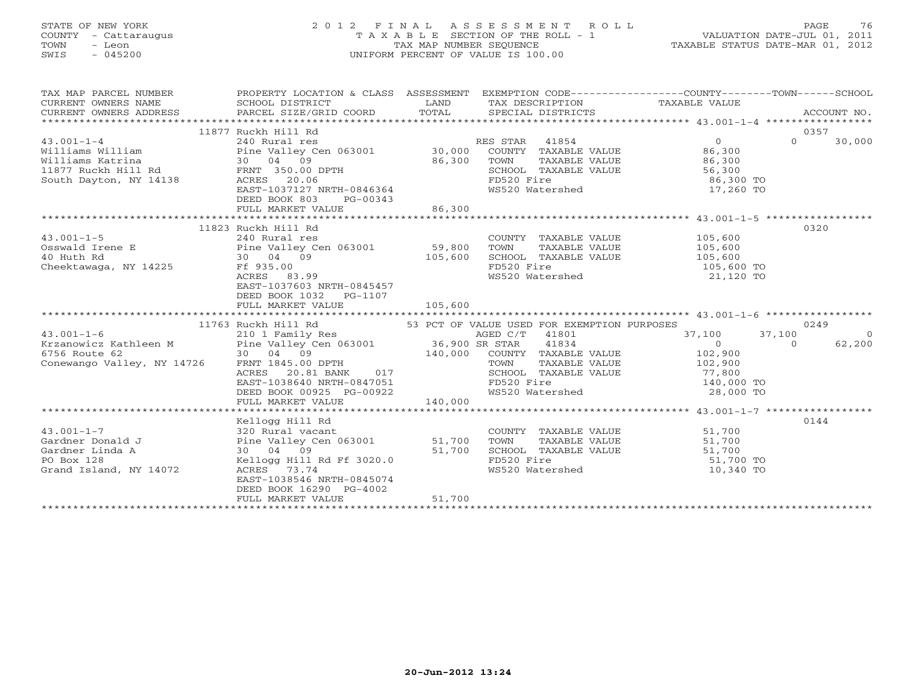# STATE OF NEW YORK 2 0 1 2 F I N A L A S S E S S M E N T R O L L PAGE 76 COUNTY - Cattaraugus T A X A B L E SECTION OF THE ROLL - 1 VALUATION DATE-JUL 01, 2011 TOWN - Leon TAX MAP NUMBER SEQUENCE TAXABLE STATUS DATE-MAR 01, 2012 SWIS - 045200 UNIFORM PERCENT OF VALUE IS 100.00UNIFORM PERCENT OF VALUE IS 100.00

| TAX MAP PARCEL NUMBER                                                                                                                                                                                                                          | PROPERTY LOCATION & CLASS ASSESSMENT EXEMPTION CODE------------------COUNTY--------TOWN------SCHOOL                                                                                                                    |         | TAX DESCRIPTION TAXABLE VALUE<br>SPECIAL DISTRICTS                                                                                        |                  | ACCOUNT NO.                |
|------------------------------------------------------------------------------------------------------------------------------------------------------------------------------------------------------------------------------------------------|------------------------------------------------------------------------------------------------------------------------------------------------------------------------------------------------------------------------|---------|-------------------------------------------------------------------------------------------------------------------------------------------|------------------|----------------------------|
| 43.001-1-4<br>Williams Williams Williams Williams Williams Williams Williams Williams Williams Williams Katrina<br>Williams Katrina 30,000 COUNTY TAXABLE VALUE<br>11877 Ruckh Hill Rd FRNT 350.00 DPTH SOLOG SOULD BOLD TAXABLE VAL           | 11877 Ruckh Hill Rd<br>FRNT 350.00 DPTH<br>ACRES 20.06<br>EAST-1037127 NRTH-0846364<br>DEED BOOK 803<br>PG-00343<br>FULL MARKET VALUE                                                                                  | 86,300  | CONN TAXABLE VALUE<br>SCHOOL TAXABLE VALUE 56,300<br>FD520 Fire 86,300 TO<br>FD520 Fire<br>WS520 Watershed 17,260 TO                      |                  | 0357<br>$\Omega$<br>30,000 |
|                                                                                                                                                                                                                                                |                                                                                                                                                                                                                        |         |                                                                                                                                           |                  |                            |
| $43.001 - 1 - 5$<br>Cheektawaga, NY 14225 Ff 935.00                                                                                                                                                                                            | 11823 Ruckh Hill Rd<br>240 Rural res<br>105,600<br>ACRES 83.99<br>EAST-1037603 NRTH-0845457<br>DEED BOOK 1032 PG-1107<br>FULL MARKET VALUE                                                                             | 105,600 | COUNTY TAXABLE VALUE<br>TOWN TAXABLE VALUE 105,600<br>SCHOOL TAXABLE VALUE 105,600<br>FD520 Fire 105,600<br>WS520 Watershed 21,120 TO     |                  | 0320                       |
|                                                                                                                                                                                                                                                | 11763 Ruckh Hill Rd                                                                                                                                                                                                    |         | 53 PCT OF VALUE USED FOR EXEMPTION PURPOSES                                                                                               |                  | 0249                       |
|                                                                                                                                                                                                                                                |                                                                                                                                                                                                                        |         | AGED C/T 41801                                                                                                                            | 37,100<br>37,100 | $\overline{0}$             |
| 43.001-1-6<br>Extraportion C/T<br>Extraportion C/T<br>Extraportion Cone C/T<br>Conewango Valley, NY 14726<br>Conewango Valley, NY 14726<br>Cone C/T<br>Conewango Valley, NY 14726<br>CONSTRANT MARIAN COLLECT CONSTRANT CONSTRANT CONSTRANT CO | EAST-1038640 NRTH-0847051<br>DEED BOOK 00925 PG-00922<br>FULL MARKET VALUE                                                                                                                                             | 140,000 | 41834<br>COUNTY TAXABLE VALUE 102,900<br>TOWN TAXABLE VALUE<br>SCHOOL TAXABLE VALUE<br>FD520 Fire 140,000 TO<br>WS520 Watershed 28,000 TO | $\overline{0}$   | 62,200<br>$\Omega$         |
|                                                                                                                                                                                                                                                |                                                                                                                                                                                                                        |         |                                                                                                                                           |                  |                            |
| $43.001 - 1 - 7$<br>Gardner Donald J<br>Gardner Linda A<br>PO Box 128<br>Grand Island, NY 14072                                                                                                                                                | Kellogg Hill Rd<br>320 Rural vacant<br>Pine Valley Cen 063001 51,700<br>51,700<br>30 04 09<br>$Kelllogg$ Hill Rd Ff 3020.0<br>ACRES 73.74<br>EAST-1038546 NRTH-0845074<br>DEED BOOK 16290 PG-4002<br>FULL MARKET VALUE | 51,700  | COUNTY TAXABLE VALUE 51,700<br>TOWN TAXABLE VALUE 51,700                                                                                  |                  | 0144                       |
|                                                                                                                                                                                                                                                |                                                                                                                                                                                                                        |         |                                                                                                                                           |                  |                            |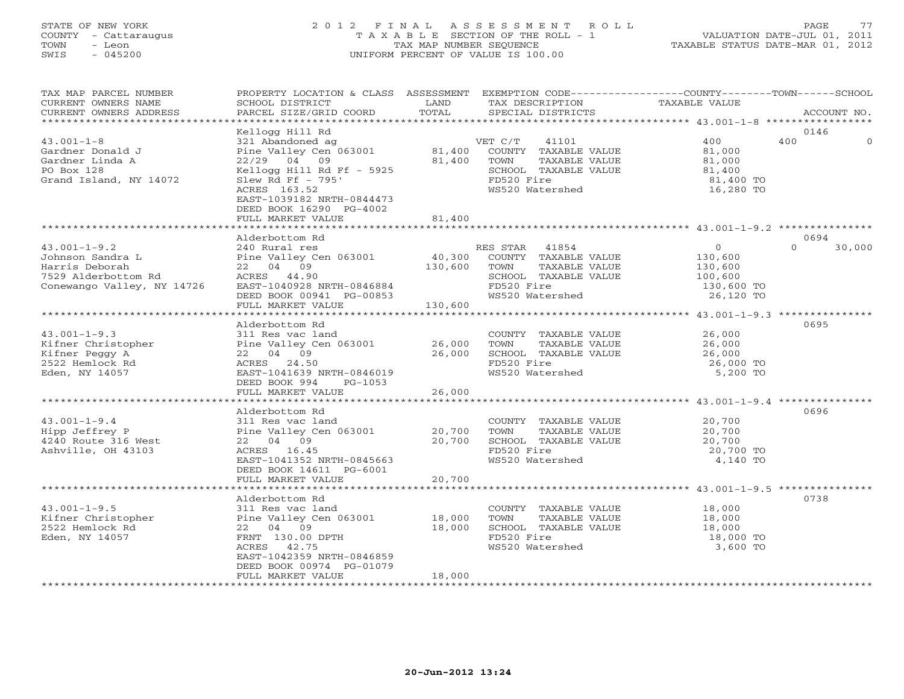# STATE OF NEW YORK 2 0 1 2 F I N A L A S S E S S M E N T R O L L PAGE 77 COUNTY - Cattaraugus T A X A B L E SECTION OF THE ROLL - 1 VALUATION DATE-JUL 01, 2011 TOWN - Leon TAX MAP NUMBER SEQUENCE TAXABLE STATUS DATE-MAR 01, 2012 SWIS - 045200 UNIFORM PERCENT OF VALUE IS 100.00UNIFORM PERCENT OF VALUE IS 100.00

| TAX MAP PARCEL NUMBER<br>CURRENT OWNERS NAME<br>CURRENT OWNERS ADDRESS<br>*********************** | PROPERTY LOCATION & CLASS ASSESSMENT<br>SCHOOL DISTRICT<br>PARCEL SIZE/GRID COORD | LAND<br>TOTAL | TAX DESCRIPTION<br>SPECIAL DISTRICTS | EXEMPTION CODE-----------------COUNTY-------TOWN------SCHOOL<br>TAXABLE VALUE<br>ACCOUNT NO. |        |
|---------------------------------------------------------------------------------------------------|-----------------------------------------------------------------------------------|---------------|--------------------------------------|----------------------------------------------------------------------------------------------|--------|
|                                                                                                   |                                                                                   |               |                                      |                                                                                              |        |
|                                                                                                   | Kellogg Hill Rd                                                                   |               |                                      | 0146                                                                                         |        |
| $43.001 - 1 - 8$                                                                                  | 321 Abandoned ag                                                                  |               | 41101<br>VET C/T                     | 400<br>400                                                                                   |        |
| Gardner Donald J                                                                                  | Pine Valley Cen 063001                                                            | 81,400        | COUNTY TAXABLE VALUE                 | 81,000                                                                                       |        |
| Gardner Linda A                                                                                   | $22/29$ 04 09                                                                     | 81,400        | TOWN<br>TAXABLE VALUE                | 81,000                                                                                       |        |
| PO Box 128                                                                                        | Kellogg Hill Rd Ff - 5925                                                         |               | SCHOOL TAXABLE VALUE                 | 81,400                                                                                       |        |
| Grand Island, NY 14072                                                                            | Slew Rd Ff $-795'$                                                                |               | FD520 Fire                           | 81,400 TO                                                                                    |        |
|                                                                                                   | ACRES 163.52                                                                      |               | WS520 Watershed                      | 16,280 TO                                                                                    |        |
|                                                                                                   | EAST-1039182 NRTH-0844473<br>DEED BOOK 16290 PG-4002                              |               |                                      |                                                                                              |        |
|                                                                                                   | FULL MARKET VALUE                                                                 | 81,400        |                                      |                                                                                              |        |
|                                                                                                   |                                                                                   |               |                                      |                                                                                              |        |
|                                                                                                   | Alderbottom Rd                                                                    |               |                                      | 0694                                                                                         |        |
| $43.001 - 1 - 9.2$                                                                                | 240 Rural res                                                                     |               | RES STAR 41854                       | $\overline{0}$<br>$\Omega$                                                                   | 30,000 |
| Johnson Sandra L                                                                                  | Pine Valley Cen 063001                                                            | 40,300        | COUNTY TAXABLE VALUE                 | 130,600                                                                                      |        |
| Harris Deborah                                                                                    | 22 04 09                                                                          | 130,600       | TOWN<br>TAXABLE VALUE                | 130,600                                                                                      |        |
| 7529 Alderbottom Rd                                                                               | ACRES 44.90                                                                       |               | SCHOOL TAXABLE VALUE                 | 100,600                                                                                      |        |
| Conewango Valley, NY 14726                                                                        | EAST-1040928 NRTH-0846884                                                         |               | FD520 Fire                           | 130,600 TO                                                                                   |        |
|                                                                                                   | DEED BOOK 00941 PG-00853                                                          |               | WS520 Watershed                      | 26,120 TO                                                                                    |        |
|                                                                                                   | FULL MARKET VALUE                                                                 | 130,600       |                                      |                                                                                              |        |
|                                                                                                   |                                                                                   |               |                                      | ************************* 43.001-1-9.3 ***************                                       |        |
|                                                                                                   | Alderbottom Rd                                                                    |               |                                      | 0695                                                                                         |        |
| $43.001 - 1 - 9.3$                                                                                | 311 Res vac land                                                                  |               | COUNTY TAXABLE VALUE                 | 26,000                                                                                       |        |
| Kifner Christopher                                                                                | Pine Valley Cen 063001                                                            | 26,000        | TOWN<br>TAXABLE VALUE                | 26,000                                                                                       |        |
| Kifner Peggy A                                                                                    | 22 04 09                                                                          | 26,000        | SCHOOL TAXABLE VALUE                 | 26,000                                                                                       |        |
| 2522 Hemlock Rd                                                                                   | ACRES 24.50                                                                       |               | FD520 Fire                           | 26,000 TO                                                                                    |        |
| Eden, NY 14057                                                                                    | EAST-1041639 NRTH-0846019                                                         |               | WS520 Watershed                      | 5,200 TO                                                                                     |        |
|                                                                                                   | DEED BOOK 994<br>PG-1053                                                          |               |                                      |                                                                                              |        |
|                                                                                                   | FULL MARKET VALUE                                                                 | 26,000        |                                      |                                                                                              |        |
|                                                                                                   |                                                                                   |               |                                      | ***************** 43.001-1-9.4 ***************                                               |        |
|                                                                                                   | Alderbottom Rd                                                                    |               |                                      | 0696                                                                                         |        |
| $43.001 - 1 - 9.4$                                                                                | 311 Res vac land                                                                  |               | COUNTY TAXABLE VALUE                 | 20,700                                                                                       |        |
| Hipp Jeffrey P                                                                                    | Pine Valley Cen 063001                                                            | 20,700        | TOWN<br>TAXABLE VALUE                | 20,700                                                                                       |        |
| 4240 Route 316 West                                                                               | 22 04 09                                                                          | 20,700        | SCHOOL TAXABLE VALUE                 | 20,700                                                                                       |        |
| Ashville, OH 43103                                                                                | ACRES 16.45                                                                       |               | FD520 Fire                           | 20,700 TO                                                                                    |        |
|                                                                                                   | EAST-1041352 NRTH-0845663                                                         |               | WS520 Watershed                      | 4,140 TO                                                                                     |        |
|                                                                                                   | DEED BOOK 14611 PG-6001                                                           |               |                                      |                                                                                              |        |
|                                                                                                   | FULL MARKET VALUE                                                                 | 20,700        |                                      | ************************** 43.001-1-9.5 ***************                                      |        |
|                                                                                                   | Alderbottom Rd                                                                    |               |                                      | 0738                                                                                         |        |
| $43.001 - 1 - 9.5$                                                                                | 311 Res vac land                                                                  |               | COUNTY TAXABLE VALUE                 | 18,000                                                                                       |        |
| Kifner Christopher                                                                                | Pine Valley Cen 063001                                                            | 18,000        | TOWN<br>TAXABLE VALUE                | 18,000                                                                                       |        |
| 2522 Hemlock Rd                                                                                   | 22 04 09                                                                          | 18,000        | SCHOOL TAXABLE VALUE                 | 18,000                                                                                       |        |
| Eden, NY 14057                                                                                    | FRNT 130.00 DPTH                                                                  |               | FD520 Fire                           | 18,000 TO                                                                                    |        |
|                                                                                                   | ACRES 42.75                                                                       |               | WS520 Watershed                      | 3,600 TO                                                                                     |        |
|                                                                                                   | EAST-1042359 NRTH-0846859                                                         |               |                                      |                                                                                              |        |
|                                                                                                   | DEED BOOK 00974 PG-01079                                                          |               |                                      |                                                                                              |        |
|                                                                                                   | FULL MARKET VALUE                                                                 | 18,000        |                                      |                                                                                              |        |
|                                                                                                   |                                                                                   |               |                                      |                                                                                              |        |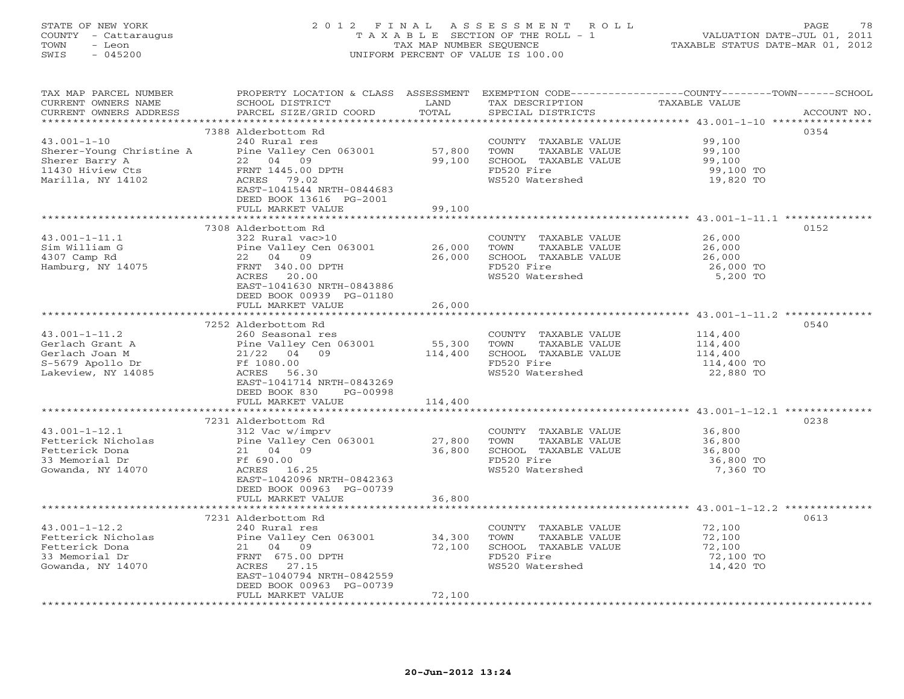#### STATE OF NEW YORK 2 0 1 2 F I N A L A S S E S S M E N T R O L L PAGE 78 COUNTY - Cattaraugus T A X A B L E SECTION OF THE ROLL - 1 VALUATION DATE-JUL 01, 2011 TOWN - Leon TAX MAP NUMBER SEQUENCE TAXABLE STATUS DATE-MAR 01, 2012 SWIS - 045200 UNIFORM PERCENT OF VALUE IS 100.00UNIFORM PERCENT OF VALUE IS 100.00

| TAX MAP PARCEL NUMBER<br>CURRENT OWNERS NAME        | PROPERTY LOCATION & CLASS ASSESSMENT<br>SCHOOL DISTRICT | LAND             | TAX DESCRIPTION                               | EXEMPTION CODE----------------COUNTY-------TOWN------SCHOOL<br>TAXABLE VALUE |
|-----------------------------------------------------|---------------------------------------------------------|------------------|-----------------------------------------------|------------------------------------------------------------------------------|
| CURRENT OWNERS ADDRESS<br>************************* | PARCEL SIZE/GRID COORD                                  | TOTAL            | SPECIAL DISTRICTS                             | ACCOUNT NO.                                                                  |
|                                                     |                                                         |                  |                                               |                                                                              |
| $43.001 - 1 - 10$                                   | 7388 Alderbottom Rd<br>240 Rural res                    |                  | COUNTY TAXABLE VALUE                          | 0354<br>99,100                                                               |
| Sherer-Young Christine A                            | Pine Valley Cen 063001<br>22 04 09                      | 57,800<br>99,100 | TAXABLE VALUE<br>TOWN                         | 99,100                                                                       |
| Sherer Barry A                                      |                                                         |                  | SCHOOL TAXABLE VALUE                          | 99,100                                                                       |
| 11430 Hiview Cts                                    | FRNT 1445.00 DPTH                                       |                  | FD520 Fire                                    | 99,100 TO                                                                    |
| Marilla, NY 14102                                   | ACRES 79.02                                             |                  | WS520 Watershed                               | 19,820 TO                                                                    |
|                                                     | EAST-1041544 NRTH-0844683                               |                  |                                               |                                                                              |
|                                                     | DEED BOOK 13616 PG-2001                                 |                  |                                               |                                                                              |
|                                                     | FULL MARKET VALUE                                       | 99,100           |                                               |                                                                              |
|                                                     |                                                         |                  |                                               |                                                                              |
|                                                     | 7308 Alderbottom Rd                                     |                  |                                               | 0152                                                                         |
| $43.001 - 1 - 11.1$                                 | 322 Rural vac>10                                        |                  | COUNTY TAXABLE VALUE                          | 26,000                                                                       |
| Sim William G                                       | Pine Valley Cen 063001                                  | 26,000           | TOWN<br>TAXABLE VALUE                         | 26,000                                                                       |
| 4307 Camp Rd                                        | 22 04 09                                                | 26,000           | SCHOOL TAXABLE VALUE                          | 26,000                                                                       |
| Hamburg, NY 14075                                   | FRNT 340.00 DPTH                                        |                  | FD520 Fire                                    | 26,000 TO                                                                    |
|                                                     | ACRES 20.00                                             |                  | WS520 Watershed                               | 5,200 TO                                                                     |
|                                                     | EAST-1041630 NRTH-0843886                               |                  |                                               |                                                                              |
|                                                     | DEED BOOK 00939 PG-01180                                |                  |                                               |                                                                              |
|                                                     | FULL MARKET VALUE                                       | 26,000           |                                               |                                                                              |
|                                                     |                                                         |                  |                                               |                                                                              |
|                                                     | 7252 Alderbottom Rd                                     |                  |                                               | 0540                                                                         |
| $43.001 - 1 - 11.2$                                 | 260 Seasonal res                                        |                  | COUNTY TAXABLE VALUE                          | 114,400                                                                      |
| Gerlach Grant A                                     | Pine Valley Cen 063001                                  | 55,300           | TAXABLE VALUE<br>TOWN                         | 114,400                                                                      |
| Gerlach Joan M                                      | 21/22 04 09                                             | 114,400          | SCHOOL TAXABLE VALUE                          | 114,400                                                                      |
| S-5679 Apollo Dr                                    | Ff 1080.00                                              |                  | FD520 Fire                                    | 114,400 TO                                                                   |
| Lakeview, NY 14085                                  | ACRES 56.30                                             |                  | WS520 Watershed                               | 22,880 TO                                                                    |
|                                                     | EAST-1041714 NRTH-0843269                               |                  |                                               |                                                                              |
|                                                     | DEED BOOK 830<br>PG-00998                               |                  |                                               |                                                                              |
|                                                     | FULL MARKET VALUE                                       | 114,400          |                                               |                                                                              |
|                                                     |                                                         |                  |                                               | *********************************** 43.001-1-12.1 **********                 |
|                                                     | 7231 Alderbottom Rd                                     |                  |                                               | 0238                                                                         |
| $43.001 - 1 - 12.1$                                 | 312 Vac w/imprv                                         |                  | COUNTY TAXABLE VALUE                          | 36,800                                                                       |
| Fetterick Nicholas                                  | Pine Valley Cen 063001                                  | 27,800           | TOWN<br>TAXABLE VALUE                         | 36,800                                                                       |
| Fetterick Dona                                      | 21 04 09                                                | 36,800           | SCHOOL TAXABLE VALUE                          | 36,800                                                                       |
| 33 Memorial Dr                                      | Ff 690.00                                               |                  | FD520 Fire                                    | 36,800 TO                                                                    |
| Gowanda, NY 14070                                   | ACRES 16.25                                             |                  | WS520 Watershed                               | 7,360 TO                                                                     |
|                                                     | EAST-1042096 NRTH-0842363                               |                  |                                               |                                                                              |
|                                                     | DEED BOOK 00963 PG-00739                                |                  |                                               |                                                                              |
|                                                     | FULL MARKET VALUE<br>*************************          | 36,800           |                                               |                                                                              |
|                                                     |                                                         |                  |                                               |                                                                              |
|                                                     | 7231 Alderbottom Rd                                     |                  |                                               | 0613                                                                         |
| $43.001 - 1 - 12.2$                                 | 240 Rural res                                           |                  | COUNTY TAXABLE VALUE                          | 72,100                                                                       |
| Fetterick Nicholas                                  | Pine Valley Cen 063001<br>21 04 09                      | 34,300           | TOWN<br>TAXABLE VALUE<br>SCHOOL TAXABLE VALUE | 72,100                                                                       |
| Fetterick Dona                                      |                                                         | 72,100           |                                               | 72,100                                                                       |
| 33 Memorial Dr                                      | FRNT 675.00 DPTH<br>ACRES 27.15                         |                  | FD520 Fire<br>WS520 Watershed                 | 72,100 TO                                                                    |
| Gowanda, NY 14070                                   |                                                         |                  |                                               | 14,420 TO                                                                    |
|                                                     | EAST-1040794 NRTH-0842559                               |                  |                                               |                                                                              |
|                                                     | DEED BOOK 00963 PG-00739<br>FULL MARKET VALUE           | 72,100           |                                               |                                                                              |
| ************************                            |                                                         |                  |                                               |                                                                              |
|                                                     |                                                         |                  |                                               |                                                                              |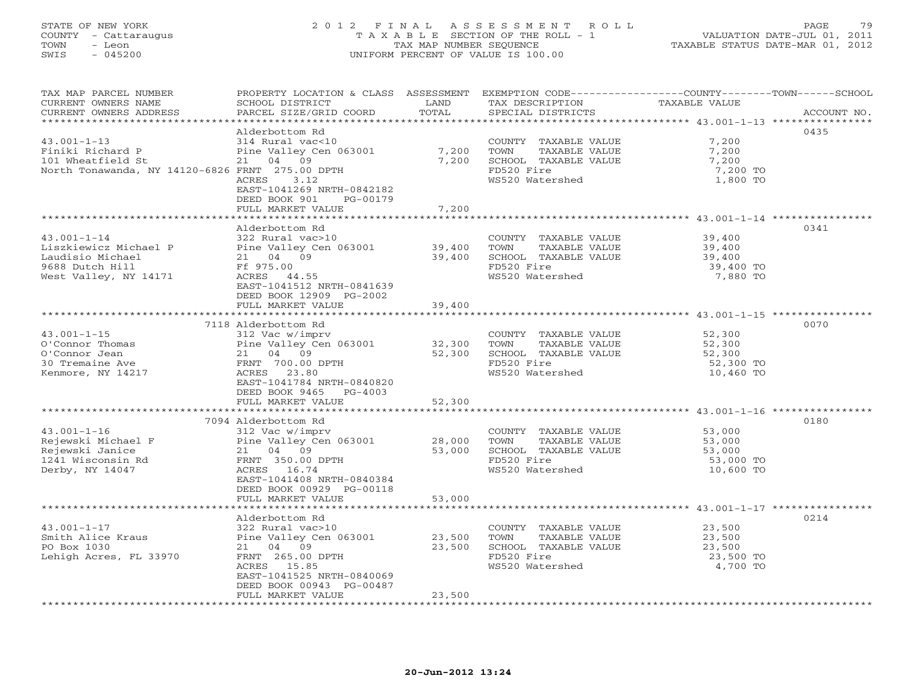### STATE OF NEW YORK 2 0 1 2 F I N A L A S S E S S M E N T R O L L PAGE 79 COUNTY - Cattaraugus T A X A B L E SECTION OF THE ROLL - 1 VALUATION DATE-JUL 01, 2011 TOWN - Leon TAX MAP NUMBER SEQUENCE TAXABLE STATUS DATE-MAR 01, 2012 SWIS - 045200 UNIFORM PERCENT OF VALUE IS 100.00UNIFORM PERCENT OF VALUE IS 100.00

| **********************<br>0435<br>Alderbottom Rd<br>$43.001 - 1 - 13$<br>7,200<br>314 Rural vac<10<br>COUNTY TAXABLE VALUE<br>Pine Valley Cen 063001<br>7,200<br>Finiki Richard P<br>TOWN<br>TAXABLE VALUE<br>7,200<br>101 Wheatfield St<br>21 04 09<br>7,200<br>SCHOOL TAXABLE VALUE<br>7,200<br>North Tonawanda, NY 14120-6826 FRNT 275.00 DPTH<br>FD520 Fire<br>7,200 TO<br>WS520 Watershed<br>1,800 TO<br>ACRES<br>3.12<br>EAST-1041269 NRTH-0842182<br>DEED BOOK 901<br>PG-00179<br>FULL MARKET VALUE<br>7,200<br>0341<br>Alderbottom Rd<br>$43.001 - 1 - 14$<br>322 Rural vac>10<br>39,400<br>COUNTY TAXABLE VALUE<br>Pine Valley Cen 063001 39,400<br>21 04 09 39,400<br>Ff 975.00 39,400<br>TAXABLE VALUE<br>Liszkiewicz Michael P<br>TOWN<br>39,400<br>Laudisio Michael<br>SCHOOL TAXABLE VALUE<br>39,400<br>FD520 Fire<br>9688 Dutch Hill<br>39,400 TO<br>West Valley, NY 14171<br>WS520 Watershed<br>7,880 TO<br>EAST-1041512 NRTH-0841639<br>DEED BOOK 12909 PG-2002<br>39,400<br>FULL MARKET VALUE<br>7118 Alderbottom Rd<br>0070<br>$43.001 - 1 - 15$<br>312 Vac w/imprv<br>COUNTY TAXABLE VALUE<br>52,300<br>Pine Valley Cen 063001<br>32,300<br>TAXABLE VALUE<br>O'Connor Thomas<br>TOWN<br>52,300<br>52,300<br>52,300<br>O'Connor Jean<br>21 04 09<br>52,300<br>SCHOOL TAXABLE VALUE<br>FD520 Fire<br>30 Tremaine Ave<br>FRNT 700.00 DPTH<br>52,300 TO<br>WS520 Watershed<br>10,460 TO<br>Kenmore, NY 14217<br>ACRES 23.80<br>EAST-1041784 NRTH-0840820<br>DEED BOOK 9465 PG-4003<br>FULL MARKET VALUE<br>52,300<br>**************************<br>7094 Alderbottom Rd<br>0180<br>$43.001 - 1 - 16$<br>312 Vac w/imprv<br>COUNTY TAXABLE VALUE 53,000<br>Rejewski Michael F<br>Pine Valley Cen 063001<br>28,000<br>TOWN<br>TAXABLE VALUE<br>53,000<br>53,000<br>SCHOOL TAXABLE VALUE<br>Rejewski Janice<br>21 04 09<br>53,000<br>FRNT 350.00 DPTH<br>FD520 Fire<br>1241 Wisconsin Rd<br>53,000 TO<br>WS520 Watershed<br>Derby, NY 14047<br>ACRES 16.74<br>10,600 TO<br>EAST-1041408 NRTH-0840384<br>DEED BOOK 00929 PG-00118<br>FULL MARKET VALUE<br>53,000<br>0214<br>Alderbottom Rd<br>$43.001 - 1 - 17$<br>322 Rural vac>10<br>23,500<br>COUNTY TAXABLE VALUE<br>Smith Alice Kraus<br>Pine Valley Cen 063001<br>23,500<br>TOWN<br>TAXABLE VALUE<br>23,500<br>PO Box 1030<br>21 04 09<br>23,500<br>SCHOOL TAXABLE VALUE<br>23,500<br>FD520 Fire<br>Lehigh Acres, FL 33970<br>FRNT 265.00 DPTH<br>23,500 TO<br>WS520 Watershed<br>ACRES 15.85<br>4,700 TO<br>EAST-1041525 NRTH-0840069<br>DEED BOOK 00943 PG-00487<br>23,500<br>FULL MARKET VALUE | TAX MAP PARCEL NUMBER<br>CURRENT OWNERS NAME<br>CURRENT OWNERS ADDRESS | PROPERTY LOCATION & CLASS ASSESSMENT EXEMPTION CODE---------------COUNTY-------TOWN-----SCHOOL<br>SCHOOL DISTRICT<br>PARCEL SIZE/GRID COORD | LAND<br>TOTAL | TAX DESCRIPTION<br>SPECIAL DISTRICTS | TAXABLE VALUE | ACCOUNT NO. |
|--------------------------------------------------------------------------------------------------------------------------------------------------------------------------------------------------------------------------------------------------------------------------------------------------------------------------------------------------------------------------------------------------------------------------------------------------------------------------------------------------------------------------------------------------------------------------------------------------------------------------------------------------------------------------------------------------------------------------------------------------------------------------------------------------------------------------------------------------------------------------------------------------------------------------------------------------------------------------------------------------------------------------------------------------------------------------------------------------------------------------------------------------------------------------------------------------------------------------------------------------------------------------------------------------------------------------------------------------------------------------------------------------------------------------------------------------------------------------------------------------------------------------------------------------------------------------------------------------------------------------------------------------------------------------------------------------------------------------------------------------------------------------------------------------------------------------------------------------------------------------------------------------------------------------------------------------------------------------------------------------------------------------------------------------------------------------------------------------------------------------------------------------------------------------------------------------------------------------------------------------------------------------------------------------------------------------------------------------------------------------------------------------------------------------------------------------------------------------------------------------------------------------------------------------------------------|------------------------------------------------------------------------|---------------------------------------------------------------------------------------------------------------------------------------------|---------------|--------------------------------------|---------------|-------------|
|                                                                                                                                                                                                                                                                                                                                                                                                                                                                                                                                                                                                                                                                                                                                                                                                                                                                                                                                                                                                                                                                                                                                                                                                                                                                                                                                                                                                                                                                                                                                                                                                                                                                                                                                                                                                                                                                                                                                                                                                                                                                                                                                                                                                                                                                                                                                                                                                                                                                                                                                                                    |                                                                        |                                                                                                                                             |               |                                      |               |             |
|                                                                                                                                                                                                                                                                                                                                                                                                                                                                                                                                                                                                                                                                                                                                                                                                                                                                                                                                                                                                                                                                                                                                                                                                                                                                                                                                                                                                                                                                                                                                                                                                                                                                                                                                                                                                                                                                                                                                                                                                                                                                                                                                                                                                                                                                                                                                                                                                                                                                                                                                                                    |                                                                        |                                                                                                                                             |               |                                      |               |             |
|                                                                                                                                                                                                                                                                                                                                                                                                                                                                                                                                                                                                                                                                                                                                                                                                                                                                                                                                                                                                                                                                                                                                                                                                                                                                                                                                                                                                                                                                                                                                                                                                                                                                                                                                                                                                                                                                                                                                                                                                                                                                                                                                                                                                                                                                                                                                                                                                                                                                                                                                                                    |                                                                        |                                                                                                                                             |               |                                      |               |             |
|                                                                                                                                                                                                                                                                                                                                                                                                                                                                                                                                                                                                                                                                                                                                                                                                                                                                                                                                                                                                                                                                                                                                                                                                                                                                                                                                                                                                                                                                                                                                                                                                                                                                                                                                                                                                                                                                                                                                                                                                                                                                                                                                                                                                                                                                                                                                                                                                                                                                                                                                                                    |                                                                        |                                                                                                                                             |               |                                      |               |             |
|                                                                                                                                                                                                                                                                                                                                                                                                                                                                                                                                                                                                                                                                                                                                                                                                                                                                                                                                                                                                                                                                                                                                                                                                                                                                                                                                                                                                                                                                                                                                                                                                                                                                                                                                                                                                                                                                                                                                                                                                                                                                                                                                                                                                                                                                                                                                                                                                                                                                                                                                                                    |                                                                        |                                                                                                                                             |               |                                      |               |             |
|                                                                                                                                                                                                                                                                                                                                                                                                                                                                                                                                                                                                                                                                                                                                                                                                                                                                                                                                                                                                                                                                                                                                                                                                                                                                                                                                                                                                                                                                                                                                                                                                                                                                                                                                                                                                                                                                                                                                                                                                                                                                                                                                                                                                                                                                                                                                                                                                                                                                                                                                                                    |                                                                        |                                                                                                                                             |               |                                      |               |             |
|                                                                                                                                                                                                                                                                                                                                                                                                                                                                                                                                                                                                                                                                                                                                                                                                                                                                                                                                                                                                                                                                                                                                                                                                                                                                                                                                                                                                                                                                                                                                                                                                                                                                                                                                                                                                                                                                                                                                                                                                                                                                                                                                                                                                                                                                                                                                                                                                                                                                                                                                                                    |                                                                        |                                                                                                                                             |               |                                      |               |             |
|                                                                                                                                                                                                                                                                                                                                                                                                                                                                                                                                                                                                                                                                                                                                                                                                                                                                                                                                                                                                                                                                                                                                                                                                                                                                                                                                                                                                                                                                                                                                                                                                                                                                                                                                                                                                                                                                                                                                                                                                                                                                                                                                                                                                                                                                                                                                                                                                                                                                                                                                                                    |                                                                        |                                                                                                                                             |               |                                      |               |             |
|                                                                                                                                                                                                                                                                                                                                                                                                                                                                                                                                                                                                                                                                                                                                                                                                                                                                                                                                                                                                                                                                                                                                                                                                                                                                                                                                                                                                                                                                                                                                                                                                                                                                                                                                                                                                                                                                                                                                                                                                                                                                                                                                                                                                                                                                                                                                                                                                                                                                                                                                                                    |                                                                        |                                                                                                                                             |               |                                      |               |             |
|                                                                                                                                                                                                                                                                                                                                                                                                                                                                                                                                                                                                                                                                                                                                                                                                                                                                                                                                                                                                                                                                                                                                                                                                                                                                                                                                                                                                                                                                                                                                                                                                                                                                                                                                                                                                                                                                                                                                                                                                                                                                                                                                                                                                                                                                                                                                                                                                                                                                                                                                                                    |                                                                        |                                                                                                                                             |               |                                      |               |             |
|                                                                                                                                                                                                                                                                                                                                                                                                                                                                                                                                                                                                                                                                                                                                                                                                                                                                                                                                                                                                                                                                                                                                                                                                                                                                                                                                                                                                                                                                                                                                                                                                                                                                                                                                                                                                                                                                                                                                                                                                                                                                                                                                                                                                                                                                                                                                                                                                                                                                                                                                                                    |                                                                        |                                                                                                                                             |               |                                      |               |             |
|                                                                                                                                                                                                                                                                                                                                                                                                                                                                                                                                                                                                                                                                                                                                                                                                                                                                                                                                                                                                                                                                                                                                                                                                                                                                                                                                                                                                                                                                                                                                                                                                                                                                                                                                                                                                                                                                                                                                                                                                                                                                                                                                                                                                                                                                                                                                                                                                                                                                                                                                                                    |                                                                        |                                                                                                                                             |               |                                      |               |             |
|                                                                                                                                                                                                                                                                                                                                                                                                                                                                                                                                                                                                                                                                                                                                                                                                                                                                                                                                                                                                                                                                                                                                                                                                                                                                                                                                                                                                                                                                                                                                                                                                                                                                                                                                                                                                                                                                                                                                                                                                                                                                                                                                                                                                                                                                                                                                                                                                                                                                                                                                                                    |                                                                        |                                                                                                                                             |               |                                      |               |             |
|                                                                                                                                                                                                                                                                                                                                                                                                                                                                                                                                                                                                                                                                                                                                                                                                                                                                                                                                                                                                                                                                                                                                                                                                                                                                                                                                                                                                                                                                                                                                                                                                                                                                                                                                                                                                                                                                                                                                                                                                                                                                                                                                                                                                                                                                                                                                                                                                                                                                                                                                                                    |                                                                        |                                                                                                                                             |               |                                      |               |             |
|                                                                                                                                                                                                                                                                                                                                                                                                                                                                                                                                                                                                                                                                                                                                                                                                                                                                                                                                                                                                                                                                                                                                                                                                                                                                                                                                                                                                                                                                                                                                                                                                                                                                                                                                                                                                                                                                                                                                                                                                                                                                                                                                                                                                                                                                                                                                                                                                                                                                                                                                                                    |                                                                        |                                                                                                                                             |               |                                      |               |             |
|                                                                                                                                                                                                                                                                                                                                                                                                                                                                                                                                                                                                                                                                                                                                                                                                                                                                                                                                                                                                                                                                                                                                                                                                                                                                                                                                                                                                                                                                                                                                                                                                                                                                                                                                                                                                                                                                                                                                                                                                                                                                                                                                                                                                                                                                                                                                                                                                                                                                                                                                                                    |                                                                        |                                                                                                                                             |               |                                      |               |             |
|                                                                                                                                                                                                                                                                                                                                                                                                                                                                                                                                                                                                                                                                                                                                                                                                                                                                                                                                                                                                                                                                                                                                                                                                                                                                                                                                                                                                                                                                                                                                                                                                                                                                                                                                                                                                                                                                                                                                                                                                                                                                                                                                                                                                                                                                                                                                                                                                                                                                                                                                                                    |                                                                        |                                                                                                                                             |               |                                      |               |             |
|                                                                                                                                                                                                                                                                                                                                                                                                                                                                                                                                                                                                                                                                                                                                                                                                                                                                                                                                                                                                                                                                                                                                                                                                                                                                                                                                                                                                                                                                                                                                                                                                                                                                                                                                                                                                                                                                                                                                                                                                                                                                                                                                                                                                                                                                                                                                                                                                                                                                                                                                                                    |                                                                        |                                                                                                                                             |               |                                      |               |             |
|                                                                                                                                                                                                                                                                                                                                                                                                                                                                                                                                                                                                                                                                                                                                                                                                                                                                                                                                                                                                                                                                                                                                                                                                                                                                                                                                                                                                                                                                                                                                                                                                                                                                                                                                                                                                                                                                                                                                                                                                                                                                                                                                                                                                                                                                                                                                                                                                                                                                                                                                                                    |                                                                        |                                                                                                                                             |               |                                      |               |             |
|                                                                                                                                                                                                                                                                                                                                                                                                                                                                                                                                                                                                                                                                                                                                                                                                                                                                                                                                                                                                                                                                                                                                                                                                                                                                                                                                                                                                                                                                                                                                                                                                                                                                                                                                                                                                                                                                                                                                                                                                                                                                                                                                                                                                                                                                                                                                                                                                                                                                                                                                                                    |                                                                        |                                                                                                                                             |               |                                      |               |             |
|                                                                                                                                                                                                                                                                                                                                                                                                                                                                                                                                                                                                                                                                                                                                                                                                                                                                                                                                                                                                                                                                                                                                                                                                                                                                                                                                                                                                                                                                                                                                                                                                                                                                                                                                                                                                                                                                                                                                                                                                                                                                                                                                                                                                                                                                                                                                                                                                                                                                                                                                                                    |                                                                        |                                                                                                                                             |               |                                      |               |             |
|                                                                                                                                                                                                                                                                                                                                                                                                                                                                                                                                                                                                                                                                                                                                                                                                                                                                                                                                                                                                                                                                                                                                                                                                                                                                                                                                                                                                                                                                                                                                                                                                                                                                                                                                                                                                                                                                                                                                                                                                                                                                                                                                                                                                                                                                                                                                                                                                                                                                                                                                                                    |                                                                        |                                                                                                                                             |               |                                      |               |             |
|                                                                                                                                                                                                                                                                                                                                                                                                                                                                                                                                                                                                                                                                                                                                                                                                                                                                                                                                                                                                                                                                                                                                                                                                                                                                                                                                                                                                                                                                                                                                                                                                                                                                                                                                                                                                                                                                                                                                                                                                                                                                                                                                                                                                                                                                                                                                                                                                                                                                                                                                                                    |                                                                        |                                                                                                                                             |               |                                      |               |             |
|                                                                                                                                                                                                                                                                                                                                                                                                                                                                                                                                                                                                                                                                                                                                                                                                                                                                                                                                                                                                                                                                                                                                                                                                                                                                                                                                                                                                                                                                                                                                                                                                                                                                                                                                                                                                                                                                                                                                                                                                                                                                                                                                                                                                                                                                                                                                                                                                                                                                                                                                                                    |                                                                        |                                                                                                                                             |               |                                      |               |             |
|                                                                                                                                                                                                                                                                                                                                                                                                                                                                                                                                                                                                                                                                                                                                                                                                                                                                                                                                                                                                                                                                                                                                                                                                                                                                                                                                                                                                                                                                                                                                                                                                                                                                                                                                                                                                                                                                                                                                                                                                                                                                                                                                                                                                                                                                                                                                                                                                                                                                                                                                                                    |                                                                        |                                                                                                                                             |               |                                      |               |             |
|                                                                                                                                                                                                                                                                                                                                                                                                                                                                                                                                                                                                                                                                                                                                                                                                                                                                                                                                                                                                                                                                                                                                                                                                                                                                                                                                                                                                                                                                                                                                                                                                                                                                                                                                                                                                                                                                                                                                                                                                                                                                                                                                                                                                                                                                                                                                                                                                                                                                                                                                                                    |                                                                        |                                                                                                                                             |               |                                      |               |             |
|                                                                                                                                                                                                                                                                                                                                                                                                                                                                                                                                                                                                                                                                                                                                                                                                                                                                                                                                                                                                                                                                                                                                                                                                                                                                                                                                                                                                                                                                                                                                                                                                                                                                                                                                                                                                                                                                                                                                                                                                                                                                                                                                                                                                                                                                                                                                                                                                                                                                                                                                                                    |                                                                        |                                                                                                                                             |               |                                      |               |             |
|                                                                                                                                                                                                                                                                                                                                                                                                                                                                                                                                                                                                                                                                                                                                                                                                                                                                                                                                                                                                                                                                                                                                                                                                                                                                                                                                                                                                                                                                                                                                                                                                                                                                                                                                                                                                                                                                                                                                                                                                                                                                                                                                                                                                                                                                                                                                                                                                                                                                                                                                                                    |                                                                        |                                                                                                                                             |               |                                      |               |             |
|                                                                                                                                                                                                                                                                                                                                                                                                                                                                                                                                                                                                                                                                                                                                                                                                                                                                                                                                                                                                                                                                                                                                                                                                                                                                                                                                                                                                                                                                                                                                                                                                                                                                                                                                                                                                                                                                                                                                                                                                                                                                                                                                                                                                                                                                                                                                                                                                                                                                                                                                                                    |                                                                        |                                                                                                                                             |               |                                      |               |             |
|                                                                                                                                                                                                                                                                                                                                                                                                                                                                                                                                                                                                                                                                                                                                                                                                                                                                                                                                                                                                                                                                                                                                                                                                                                                                                                                                                                                                                                                                                                                                                                                                                                                                                                                                                                                                                                                                                                                                                                                                                                                                                                                                                                                                                                                                                                                                                                                                                                                                                                                                                                    |                                                                        |                                                                                                                                             |               |                                      |               |             |
|                                                                                                                                                                                                                                                                                                                                                                                                                                                                                                                                                                                                                                                                                                                                                                                                                                                                                                                                                                                                                                                                                                                                                                                                                                                                                                                                                                                                                                                                                                                                                                                                                                                                                                                                                                                                                                                                                                                                                                                                                                                                                                                                                                                                                                                                                                                                                                                                                                                                                                                                                                    |                                                                        |                                                                                                                                             |               |                                      |               |             |
|                                                                                                                                                                                                                                                                                                                                                                                                                                                                                                                                                                                                                                                                                                                                                                                                                                                                                                                                                                                                                                                                                                                                                                                                                                                                                                                                                                                                                                                                                                                                                                                                                                                                                                                                                                                                                                                                                                                                                                                                                                                                                                                                                                                                                                                                                                                                                                                                                                                                                                                                                                    |                                                                        |                                                                                                                                             |               |                                      |               |             |
|                                                                                                                                                                                                                                                                                                                                                                                                                                                                                                                                                                                                                                                                                                                                                                                                                                                                                                                                                                                                                                                                                                                                                                                                                                                                                                                                                                                                                                                                                                                                                                                                                                                                                                                                                                                                                                                                                                                                                                                                                                                                                                                                                                                                                                                                                                                                                                                                                                                                                                                                                                    |                                                                        |                                                                                                                                             |               |                                      |               |             |
|                                                                                                                                                                                                                                                                                                                                                                                                                                                                                                                                                                                                                                                                                                                                                                                                                                                                                                                                                                                                                                                                                                                                                                                                                                                                                                                                                                                                                                                                                                                                                                                                                                                                                                                                                                                                                                                                                                                                                                                                                                                                                                                                                                                                                                                                                                                                                                                                                                                                                                                                                                    |                                                                        |                                                                                                                                             |               |                                      |               |             |
|                                                                                                                                                                                                                                                                                                                                                                                                                                                                                                                                                                                                                                                                                                                                                                                                                                                                                                                                                                                                                                                                                                                                                                                                                                                                                                                                                                                                                                                                                                                                                                                                                                                                                                                                                                                                                                                                                                                                                                                                                                                                                                                                                                                                                                                                                                                                                                                                                                                                                                                                                                    |                                                                        |                                                                                                                                             |               |                                      |               |             |
|                                                                                                                                                                                                                                                                                                                                                                                                                                                                                                                                                                                                                                                                                                                                                                                                                                                                                                                                                                                                                                                                                                                                                                                                                                                                                                                                                                                                                                                                                                                                                                                                                                                                                                                                                                                                                                                                                                                                                                                                                                                                                                                                                                                                                                                                                                                                                                                                                                                                                                                                                                    |                                                                        |                                                                                                                                             |               |                                      |               |             |
|                                                                                                                                                                                                                                                                                                                                                                                                                                                                                                                                                                                                                                                                                                                                                                                                                                                                                                                                                                                                                                                                                                                                                                                                                                                                                                                                                                                                                                                                                                                                                                                                                                                                                                                                                                                                                                                                                                                                                                                                                                                                                                                                                                                                                                                                                                                                                                                                                                                                                                                                                                    |                                                                        |                                                                                                                                             |               |                                      |               |             |
|                                                                                                                                                                                                                                                                                                                                                                                                                                                                                                                                                                                                                                                                                                                                                                                                                                                                                                                                                                                                                                                                                                                                                                                                                                                                                                                                                                                                                                                                                                                                                                                                                                                                                                                                                                                                                                                                                                                                                                                                                                                                                                                                                                                                                                                                                                                                                                                                                                                                                                                                                                    |                                                                        |                                                                                                                                             |               |                                      |               |             |
|                                                                                                                                                                                                                                                                                                                                                                                                                                                                                                                                                                                                                                                                                                                                                                                                                                                                                                                                                                                                                                                                                                                                                                                                                                                                                                                                                                                                                                                                                                                                                                                                                                                                                                                                                                                                                                                                                                                                                                                                                                                                                                                                                                                                                                                                                                                                                                                                                                                                                                                                                                    |                                                                        |                                                                                                                                             |               |                                      |               |             |
|                                                                                                                                                                                                                                                                                                                                                                                                                                                                                                                                                                                                                                                                                                                                                                                                                                                                                                                                                                                                                                                                                                                                                                                                                                                                                                                                                                                                                                                                                                                                                                                                                                                                                                                                                                                                                                                                                                                                                                                                                                                                                                                                                                                                                                                                                                                                                                                                                                                                                                                                                                    |                                                                        |                                                                                                                                             |               |                                      |               |             |
|                                                                                                                                                                                                                                                                                                                                                                                                                                                                                                                                                                                                                                                                                                                                                                                                                                                                                                                                                                                                                                                                                                                                                                                                                                                                                                                                                                                                                                                                                                                                                                                                                                                                                                                                                                                                                                                                                                                                                                                                                                                                                                                                                                                                                                                                                                                                                                                                                                                                                                                                                                    |                                                                        |                                                                                                                                             |               |                                      |               |             |
|                                                                                                                                                                                                                                                                                                                                                                                                                                                                                                                                                                                                                                                                                                                                                                                                                                                                                                                                                                                                                                                                                                                                                                                                                                                                                                                                                                                                                                                                                                                                                                                                                                                                                                                                                                                                                                                                                                                                                                                                                                                                                                                                                                                                                                                                                                                                                                                                                                                                                                                                                                    |                                                                        |                                                                                                                                             |               |                                      |               |             |
|                                                                                                                                                                                                                                                                                                                                                                                                                                                                                                                                                                                                                                                                                                                                                                                                                                                                                                                                                                                                                                                                                                                                                                                                                                                                                                                                                                                                                                                                                                                                                                                                                                                                                                                                                                                                                                                                                                                                                                                                                                                                                                                                                                                                                                                                                                                                                                                                                                                                                                                                                                    |                                                                        |                                                                                                                                             |               |                                      |               |             |
|                                                                                                                                                                                                                                                                                                                                                                                                                                                                                                                                                                                                                                                                                                                                                                                                                                                                                                                                                                                                                                                                                                                                                                                                                                                                                                                                                                                                                                                                                                                                                                                                                                                                                                                                                                                                                                                                                                                                                                                                                                                                                                                                                                                                                                                                                                                                                                                                                                                                                                                                                                    |                                                                        |                                                                                                                                             |               |                                      |               |             |
|                                                                                                                                                                                                                                                                                                                                                                                                                                                                                                                                                                                                                                                                                                                                                                                                                                                                                                                                                                                                                                                                                                                                                                                                                                                                                                                                                                                                                                                                                                                                                                                                                                                                                                                                                                                                                                                                                                                                                                                                                                                                                                                                                                                                                                                                                                                                                                                                                                                                                                                                                                    |                                                                        |                                                                                                                                             |               |                                      |               |             |
|                                                                                                                                                                                                                                                                                                                                                                                                                                                                                                                                                                                                                                                                                                                                                                                                                                                                                                                                                                                                                                                                                                                                                                                                                                                                                                                                                                                                                                                                                                                                                                                                                                                                                                                                                                                                                                                                                                                                                                                                                                                                                                                                                                                                                                                                                                                                                                                                                                                                                                                                                                    |                                                                        |                                                                                                                                             |               |                                      |               |             |
|                                                                                                                                                                                                                                                                                                                                                                                                                                                                                                                                                                                                                                                                                                                                                                                                                                                                                                                                                                                                                                                                                                                                                                                                                                                                                                                                                                                                                                                                                                                                                                                                                                                                                                                                                                                                                                                                                                                                                                                                                                                                                                                                                                                                                                                                                                                                                                                                                                                                                                                                                                    |                                                                        |                                                                                                                                             |               |                                      |               |             |
|                                                                                                                                                                                                                                                                                                                                                                                                                                                                                                                                                                                                                                                                                                                                                                                                                                                                                                                                                                                                                                                                                                                                                                                                                                                                                                                                                                                                                                                                                                                                                                                                                                                                                                                                                                                                                                                                                                                                                                                                                                                                                                                                                                                                                                                                                                                                                                                                                                                                                                                                                                    |                                                                        |                                                                                                                                             |               |                                      |               |             |
|                                                                                                                                                                                                                                                                                                                                                                                                                                                                                                                                                                                                                                                                                                                                                                                                                                                                                                                                                                                                                                                                                                                                                                                                                                                                                                                                                                                                                                                                                                                                                                                                                                                                                                                                                                                                                                                                                                                                                                                                                                                                                                                                                                                                                                                                                                                                                                                                                                                                                                                                                                    |                                                                        |                                                                                                                                             |               |                                      |               |             |
|                                                                                                                                                                                                                                                                                                                                                                                                                                                                                                                                                                                                                                                                                                                                                                                                                                                                                                                                                                                                                                                                                                                                                                                                                                                                                                                                                                                                                                                                                                                                                                                                                                                                                                                                                                                                                                                                                                                                                                                                                                                                                                                                                                                                                                                                                                                                                                                                                                                                                                                                                                    |                                                                        |                                                                                                                                             |               |                                      |               |             |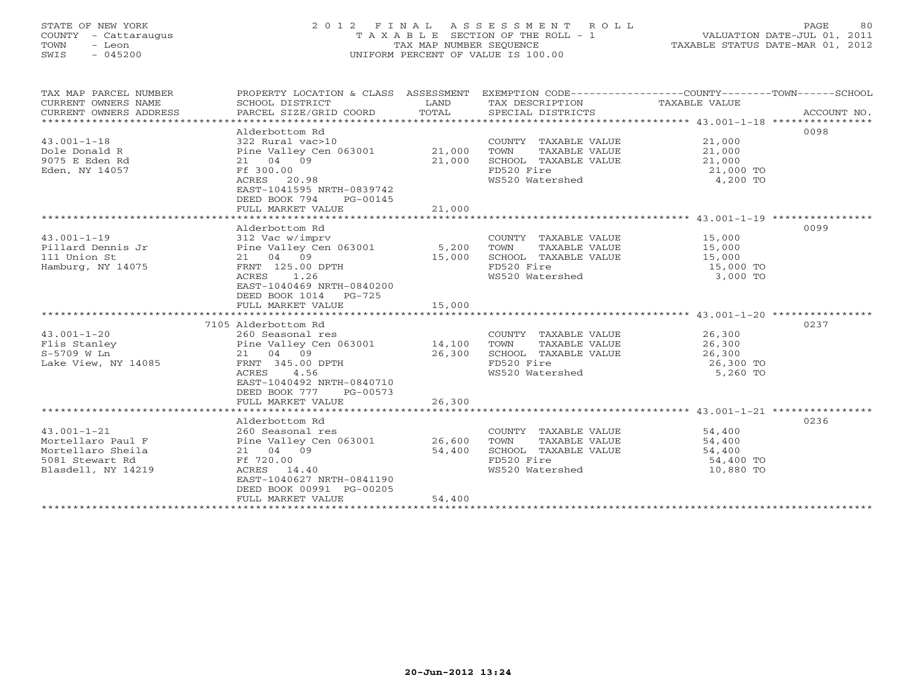# STATE OF NEW YORK 2 0 1 2 F I N A L A S S E S S M E N T R O L L PAGE 80 COUNTY - Cattaraugus T A X A B L E SECTION OF THE ROLL - 1 VALUATION DATE-JUL 01, 2011 TOWN - Leon TAX MAP NUMBER SEQUENCE TAXABLE STATUS DATE-MAR 01, 2012 SWIS - 045200 UNIFORM PERCENT OF VALUE IS 100.00UNIFORM PERCENT OF VALUE IS 100.00

| TAX MAP PARCEL NUMBER<br>CURRENT OWNERS NAME<br>CURRENT OWNERS ADDRESS                               | PROPERTY LOCATION & CLASS ASSESSMENT<br>SCHOOL DISTRICT<br>PARCEL SIZE/GRID COORD                                                                                                          | LAND<br>TOTAL    | TAX DESCRIPTION TAXABLE VALUE<br>SPECIAL DISTRICTS                                                     | EXEMPTION CODE-----------------COUNTY-------TOWN------SCHOOL<br>ACCOUNT NO. |  |
|------------------------------------------------------------------------------------------------------|--------------------------------------------------------------------------------------------------------------------------------------------------------------------------------------------|------------------|--------------------------------------------------------------------------------------------------------|-----------------------------------------------------------------------------|--|
| $43.001 - 1 - 18$<br>Dole Donald R<br>9075 E Eden Rd<br>Eden, NY 14057                               | Alderbottom Rd<br>322 Rural vac>10<br>Pine Valley Cen 063001 21,000<br>21 04 09<br>Ff 300.00<br>ACRES 20.98<br>EAST-1041595 NRTH-0839742<br>DEED BOOK 794<br>PG-00145                      | 21,000           | COUNTY TAXABLE VALUE<br>TOWN<br>TAXABLE VALUE<br>SCHOOL TAXABLE VALUE<br>FD520 Fire<br>WS520 Watershed | 0098<br>21,000<br>21,000<br>21,000<br>21,000 TO<br>4,200 TO                 |  |
|                                                                                                      | FULL MARKET VALUE                                                                                                                                                                          | 21,000           |                                                                                                        |                                                                             |  |
|                                                                                                      |                                                                                                                                                                                            |                  |                                                                                                        |                                                                             |  |
| $43.001 - 1 - 19$<br>Pillard Dennis Jr<br>111 Union St<br>Hamburg, NY 14075                          | Alderbottom Rd<br>312 Vac w/imprv<br>Pine Valley Cen 063001 5,200<br>21 04 09<br>FRNT 125.00 DPTH<br>ACRES 1.26<br>EAST-1040469 NRTH-0840200<br>DEED BOOK 1014 PG-725<br>FULL MARKET VALUE | 15,000<br>15,000 | COUNTY TAXABLE VALUE<br>TAXABLE VALUE<br>TOWN<br>SCHOOL TAXABLE VALUE<br>FD520 Fire<br>WS520 Watershed | 0099<br>15,000<br>15,000<br>15,000<br>15,000 TO<br>3,000 TO                 |  |
|                                                                                                      |                                                                                                                                                                                            |                  |                                                                                                        | 0237                                                                        |  |
| $43.001 - 1 - 20$<br>Flis Stanley<br>S-5709 W Ln<br>Lake View, NY 14085                              | 7105 Alderbottom Rd<br>260 Seasonal res<br>Pine Valley Cen 063001 14,100<br>21 04 09<br>FRNT 345.00 DPTH<br>ACRES<br>4.56<br>EAST-1040492 NRTH-0840710<br>DEED BOOK 777<br>PG-00573        | 26,300           | COUNTY TAXABLE VALUE<br>TAXABLE VALUE<br>TOWN<br>SCHOOL TAXABLE VALUE<br>FD520 Fire<br>WS520 Watershed | 26,300<br>26,300<br>26,300<br>26,300 TO<br>5,260 TO                         |  |
|                                                                                                      | FULL MARKET VALUE                                                                                                                                                                          | 26,300           |                                                                                                        |                                                                             |  |
| $43.001 - 1 - 21$<br>Mortellaro Paul F<br>Mortellaro Sheila<br>5081 Stewart Rd<br>Blasdell, NY 14219 | Alderbottom Rd<br>260 Seasonal res<br>Pine Valley Cen 063001 26,600<br>21 04 09<br>Ff 720.00<br>ACRES 14.40<br>EAST-1040627 NRTH-0841190<br>DEED BOOK 00991 PG-00205<br>FULL MARKET VALUE  | 54,400<br>54,400 | COUNTY TAXABLE VALUE<br>TOWN<br>TAXABLE VALUE<br>SCHOOL TAXABLE VALUE<br>FD520 Fire<br>WS520 Watershed | 0236<br>54,400<br>54,400<br>54,400<br>54,400 TO<br>10,880 TO                |  |
|                                                                                                      |                                                                                                                                                                                            |                  |                                                                                                        |                                                                             |  |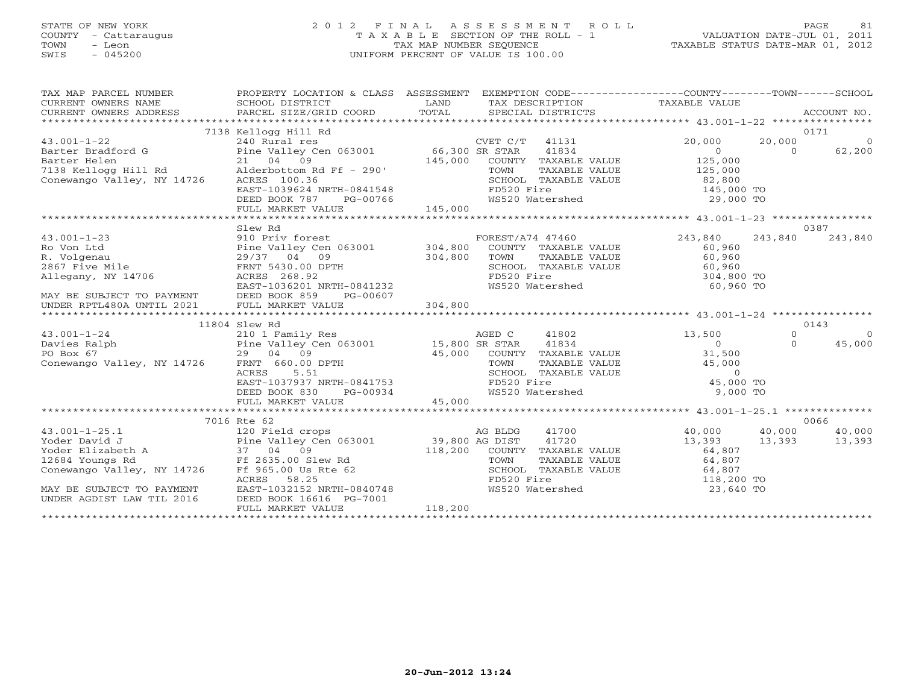# STATE OF NEW YORK 2 0 1 2 F I N A L A S S E S S M E N T R O L L PAGE 81 COUNTY - Cattaraugus T A X A B L E SECTION OF THE ROLL - 1 VALUATION DATE-JUL 01, 2011 TOWN - Leon TAX MAP NUMBER SEQUENCE TAXABLE STATUS DATE-MAR 01, 2012 SWIS - 045200 UNIFORM PERCENT OF VALUE IS 100.00UNIFORM PERCENT OF VALUE IS 100.00

| TAX MAP PARCEL NUMBER<br>CURRENT OWNERS NAME<br>CURRENT OWNERS NAME<br>CURRENT OWNERS ADDRESS                                                                                                                                                                | PROPERTY LOCATION & CLASS ASSESSMENT                                                                                                                                                                                                                 |                        | EXEMPTION CODE-----------------COUNTY-------TOWN------SCHOOL                        |                         |               |          |
|--------------------------------------------------------------------------------------------------------------------------------------------------------------------------------------------------------------------------------------------------------------|------------------------------------------------------------------------------------------------------------------------------------------------------------------------------------------------------------------------------------------------------|------------------------|-------------------------------------------------------------------------------------|-------------------------|---------------|----------|
|                                                                                                                                                                                                                                                              |                                                                                                                                                                                                                                                      |                        |                                                                                     |                         |               |          |
|                                                                                                                                                                                                                                                              | 7138 Kellogg Hill Rd                                                                                                                                                                                                                                 |                        |                                                                                     |                         |               | 0171     |
| $43.001 - 1 - 22$                                                                                                                                                                                                                                            | 240 Rural res                                                                                                                                                                                                                                        |                        | CVET C/T 41131                                                                      | 20,000                  | 20,000        | $\circ$  |
| Barter Bradford G                                                                                                                                                                                                                                            | Pine Valley Cen 063001 66,300 SR STAR                                                                                                                                                                                                                |                        | 41834                                                                               | $\overline{0}$          | $\Omega$      | 62,200   |
| Barter Helen<br>7138 Kellogg Hill Rd                                                                                                                                                                                                                         | 21 04 09                                                                                                                                                                                                                                             | $145,000$<br>Ff - 290' | COUNTY TAXABLE VALUE                                                                | 125,000<br>125,000      |               |          |
|                                                                                                                                                                                                                                                              | Alderbottom Rd Ff - 290'                                                                                                                                                                                                                             |                        | TAXABLE VALUE<br>TOWN                                                               |                         |               |          |
| Conewango Valley, NY 14726                                                                                                                                                                                                                                   | ACRES 100.36                                                                                                                                                                                                                                         |                        | SCHOOL TAXABLE VALUE 62,800                                                         |                         |               |          |
|                                                                                                                                                                                                                                                              |                                                                                                                                                                                                                                                      |                        |                                                                                     |                         |               |          |
|                                                                                                                                                                                                                                                              |                                                                                                                                                                                                                                                      |                        |                                                                                     |                         |               |          |
|                                                                                                                                                                                                                                                              | 0 valiey, Ni 13720 (20 EAST-1039624 NRTH-0841548 FD520 Fire the state of the state of the state of the state of the state of the state of the state of the state of the state of the state of the state of the state of the st                       |                        |                                                                                     |                         |               |          |
|                                                                                                                                                                                                                                                              |                                                                                                                                                                                                                                                      |                        |                                                                                     |                         |               | 0387     |
|                                                                                                                                                                                                                                                              | Slew Rd                                                                                                                                                                                                                                              |                        |                                                                                     |                         | 243,840       | 243,840  |
| 43.001-1-23<br>Ro Von Ltd<br>R. Volgenau (1990)<br>243,840<br>R. Volgenau (1990)<br>2867 Five Mile<br>2867 Five Mile<br>29/37 04 09<br>2867 Five Mile<br>29/37 04 09<br>2867 Five Mile<br>29/37 04 09<br>2867 Five Mile<br>29/37 04 09<br>2867 Five Mile<br> |                                                                                                                                                                                                                                                      |                        |                                                                                     |                         |               |          |
|                                                                                                                                                                                                                                                              |                                                                                                                                                                                                                                                      |                        |                                                                                     |                         |               |          |
|                                                                                                                                                                                                                                                              |                                                                                                                                                                                                                                                      |                        |                                                                                     |                         |               |          |
|                                                                                                                                                                                                                                                              |                                                                                                                                                                                                                                                      |                        |                                                                                     |                         |               |          |
|                                                                                                                                                                                                                                                              |                                                                                                                                                                                                                                                      |                        |                                                                                     | 304,800 TO<br>60,960 TO |               |          |
|                                                                                                                                                                                                                                                              | PG-00607                                                                                                                                                                                                                                             |                        |                                                                                     |                         |               |          |
| MAY BE SUBJECT TO PAYMENT DEED BOOK 859<br>UNDER RPTL480A UNTIL 2021 FULL MARKET V.                                                                                                                                                                          | FULL MARKET VALUE                                                                                                                                                                                                                                    | 304,800                |                                                                                     |                         |               |          |
|                                                                                                                                                                                                                                                              |                                                                                                                                                                                                                                                      |                        |                                                                                     |                         |               |          |
|                                                                                                                                                                                                                                                              | 11804 Slew Rd                                                                                                                                                                                                                                        |                        |                                                                                     |                         |               | 0143     |
| 43.001-1-24 11004 11004 210 1 Family Res AGED C<br>Davies Ralph Pine Valley Cen 063001 15,800 SR STAR<br>PO Box 67 29 04 09 45,000 COUNTY<br>Conewango Valley, NY 14726 FRNT 660.00 DPTH TOWN                                                                |                                                                                                                                                                                                                                                      |                        | 41802                                                                               | 13,500                  | $\Omega$      | $\Omega$ |
|                                                                                                                                                                                                                                                              |                                                                                                                                                                                                                                                      |                        | 41834                                                                               | $\overline{0}$          | $\Omega$      | 45,000   |
|                                                                                                                                                                                                                                                              |                                                                                                                                                                                                                                                      |                        |                                                                                     | 31,500                  |               |          |
|                                                                                                                                                                                                                                                              |                                                                                                                                                                                                                                                      |                        |                                                                                     |                         |               |          |
|                                                                                                                                                                                                                                                              |                                                                                                                                                                                                                                                      |                        | TOWN TAXABLE VALUE 45,000<br>SCHOOL TAXABLE VALUE 0<br>FD520 Fire 45,000 TO         |                         |               |          |
|                                                                                                                                                                                                                                                              |                                                                                                                                                                                                                                                      |                        |                                                                                     |                         |               |          |
|                                                                                                                                                                                                                                                              |                                                                                                                                                                                                                                                      |                        |                                                                                     | 9,000 TO                |               |          |
|                                                                                                                                                                                                                                                              | 29 04 09<br>FRNT 660.00 DPTH<br>FRNT 660.00 DPTH<br>ACRES 5.51<br>EAST-1037937 NRTH-0841753<br>DEED BOOK 830 PG-00934<br>FULL MARKET VALUE<br>FULL MARKET VALUE<br>FULL MARKET VALUE<br>25,000 COUNTY TAXABLE VALUE<br>TOWN TAXABLE VALUE<br>FD520 F |                        |                                                                                     |                         |               |          |
|                                                                                                                                                                                                                                                              |                                                                                                                                                                                                                                                      |                        |                                                                                     |                         |               |          |
|                                                                                                                                                                                                                                                              | 7016 Rte 62                                                                                                                                                                                                                                          |                        |                                                                                     |                         |               | 0066     |
|                                                                                                                                                                                                                                                              |                                                                                                                                                                                                                                                      |                        | 41700                                                                               | 40,000                  | 40,000 40,000 |          |
|                                                                                                                                                                                                                                                              |                                                                                                                                                                                                                                                      |                        | 41720                                                                               | 13,393                  | 13,393 13,393 |          |
|                                                                                                                                                                                                                                                              |                                                                                                                                                                                                                                                      |                        |                                                                                     |                         |               |          |
| 43.001-1-25.1<br>Yoder David J<br>Yoder Elizabeth A 37 04 09<br>12684 Youngs Rd Figure 12635.00 Slew Rd TOWN<br>Ff 2635.00 Slew Rd TOWN<br>TOWN PE 2635.00 Slew Rd TOWN                                                                                      |                                                                                                                                                                                                                                                      |                        | COUNTY TAXABLE VALUE 64,807<br>TOWN TAXABLE VALUE 64,807                            |                         |               |          |
| Conewango Valley, NY 14726                                                                                                                                                                                                                                   | rf 965.00 Us Rte 62<br>RCRES 58.25<br>EAST-1032152 NRTH-0840748<br>Ff 965.00 Us Rte 62                                                                                                                                                               |                        | SCHOOL TAXABLE VALUE $64,807$<br>FD520 Fire 118,200 TO<br>WS520 Watershed 23,640 TO |                         |               |          |
|                                                                                                                                                                                                                                                              |                                                                                                                                                                                                                                                      |                        |                                                                                     |                         |               |          |
| MAY BE SUBJECT TO PAYMENT                                                                                                                                                                                                                                    |                                                                                                                                                                                                                                                      |                        |                                                                                     |                         |               |          |
| UNDER AGDIST LAW TIL 2016                                                                                                                                                                                                                                    | DEED BOOK 16616 PG-7001                                                                                                                                                                                                                              |                        |                                                                                     |                         |               |          |
|                                                                                                                                                                                                                                                              | FULL MARKET VALUE                                                                                                                                                                                                                                    | 118,200                |                                                                                     |                         |               |          |
|                                                                                                                                                                                                                                                              |                                                                                                                                                                                                                                                      |                        |                                                                                     |                         |               |          |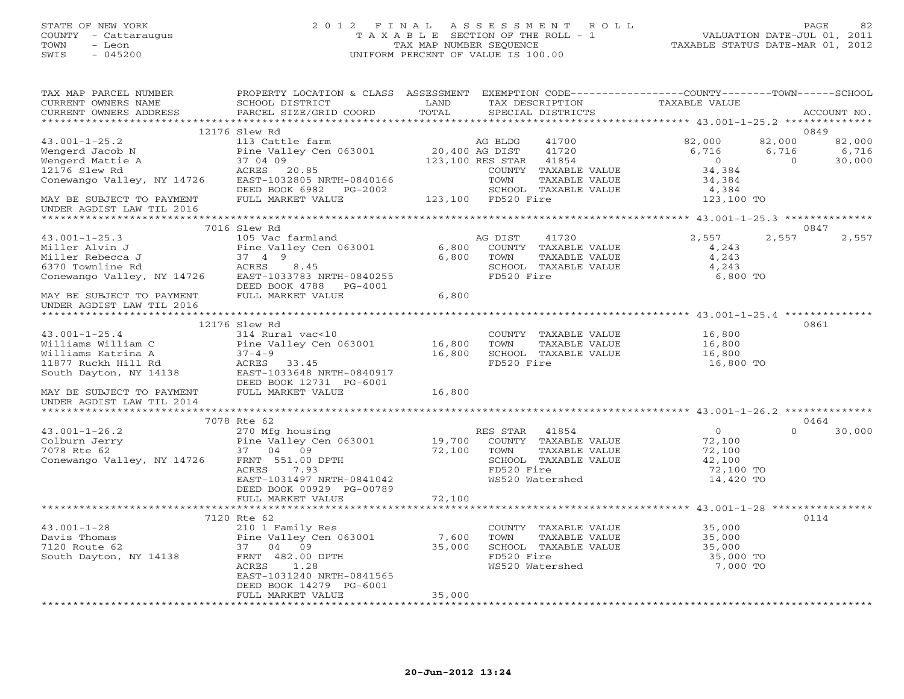# STATE OF NEW YORK 2 0 1 2 F I N A L A S S E S S M E N T R O L L PAGE 82 COUNTY - Cattaraugus T A X A B L E SECTION OF THE ROLL - 1 VALUATION DATE-JUL 01, 2011 TOWN - Leon TAX MAP NUMBER SEQUENCE TAXABLE STATUS DATE-MAR 01, 2012 SWIS - 045200 UNIFORM PERCENT OF VALUE IS 100.00UNIFORM PERCENT OF VALUE IS 100.00

| TAX MAP PARCEL NUMBER<br>CURRENT OWNERS NAME            | PROPERTY LOCATION & CLASS ASSESSMENT EXEMPTION CODE---------------COUNTY-------TOWN------SCHOOL<br>SCHOOL DISTRICT | LAND           | TAX DESCRIPTION             | TAXABLE VALUE  |                          |
|---------------------------------------------------------|--------------------------------------------------------------------------------------------------------------------|----------------|-----------------------------|----------------|--------------------------|
| CURRENT OWNERS ADDRESS                                  | PARCEL SIZE/GRID COORD                                                                                             | TOTAL          | SPECIAL DISTRICTS           |                | ACCOUNT NO.              |
|                                                         | 12176 Slew Rd                                                                                                      |                |                             |                | 0849                     |
| $43.001 - 1 - 25.2$                                     | 113 Cattle farm                                                                                                    |                | 41700                       |                | 82,000                   |
|                                                         |                                                                                                                    | 20,400 AG DIST | AG BLDG                     | 82,000         | 82,000                   |
| Wengerd Jacob N                                         | Pine Valley Cen 063001                                                                                             |                | 41720                       | 6,716          | 6,716<br>6,716           |
| Wengerd Mattie A                                        | 37 04 09                                                                                                           |                | 123,100 RES STAR<br>41854   | $\overline{0}$ | $\overline{0}$<br>30,000 |
| 12176 Slew Rd                                           | ACRES 20.85                                                                                                        |                | COUNTY TAXABLE VALUE        | 34,384         |                          |
| Conewango Valley, NY 14726                              | EAST-1032805 NRTH-0840166                                                                                          |                | TOWN<br>TAXABLE VALUE       | 34,384         |                          |
|                                                         | DEED BOOK 6982    PG-2002                                                                                          |                | SCHOOL TAXABLE VALUE        | 4,384          |                          |
| MAY BE SUBJECT TO PAYMENT                               | FULL MARKET VALUE                                                                                                  |                | 123,100 FD520 Fire          | 123,100 TO     |                          |
| UNDER AGDIST LAW TIL 2016                               |                                                                                                                    |                |                             |                |                          |
|                                                         |                                                                                                                    |                |                             |                |                          |
|                                                         | 7016 Slew Rd                                                                                                       |                |                             |                | 0847                     |
| $43.001 - 1 - 25.3$                                     | 105 Vac farmland                                                                                                   |                | AG DIST<br>41720            | 2,557          | 2,557<br>2,557           |
| Miller Alvin J                                          | Pine Valley Cen 063001                                                                                             |                | 6,800 COUNTY TAXABLE VALUE  | 4,243          |                          |
| Miller Rebecca J                                        | 37 4 9                                                                                                             | 6,800          | TOWN<br>TAXABLE VALUE       | 4,243          |                          |
| 6370 Townline Rd                                        | ACRES<br>8.45                                                                                                      |                | SCHOOL TAXABLE VALUE        | 4,243          |                          |
| Conewango Valley, NY 14726 EAST-1033783 NRTH-0840255    |                                                                                                                    |                | FD520 Fire                  | 6,800 TO       |                          |
|                                                         | DEED BOOK 4788 PG-4001                                                                                             |                |                             |                |                          |
| MAY BE SUBJECT TO PAYMENT<br>IINDER ACDIST LAW TIL 2016 | FULL MARKET VALUE                                                                                                  | 6,800          |                             |                |                          |
| UNDER AGDIST LAW TIL 2016                               |                                                                                                                    |                |                             |                |                          |
|                                                         |                                                                                                                    |                |                             |                |                          |
|                                                         | 12176 Slew Rd                                                                                                      |                |                             |                | 0861                     |
| $43.001 - 1 - 25.4$                                     | 314 Rural vac<10                                                                                                   |                | COUNTY TAXABLE VALUE        | 16,800         |                          |
| Williams William C                                      | Pine Valley Cen 063001                                                                                             | 16,800         | TAXABLE VALUE<br>TOWN       | 16,800         |                          |
| Williams Katrina A                                      | $37 - 4 - 9$                                                                                                       | 16,800         | SCHOOL TAXABLE VALUE        | 16,800         |                          |
| 11877 Ruckh Hill Rd                                     | ACRES 33.45                                                                                                        |                | FD520 Fire                  | 16,800 TO      |                          |
| South Dayton, NY 14138                                  | EAST-1033648 NRTH-0840917                                                                                          |                |                             |                |                          |
|                                                         | DEED BOOK 12731 PG-6001                                                                                            |                |                             |                |                          |
| MAY BE SUBJECT TO PAYMENT                               | FULL MARKET VALUE                                                                                                  | 16,800         |                             |                |                          |
| UNDER AGDIST LAW TIL 2014                               |                                                                                                                    |                |                             |                |                          |
|                                                         |                                                                                                                    |                |                             |                |                          |
|                                                         | 7078 Rte 62                                                                                                        |                |                             |                | 0464                     |
| $43.001 - 1 - 26.2$                                     | 270 Mfg housing                                                                                                    |                | RES STAR<br>41854           | $\overline{0}$ | $\Omega$<br>30,000       |
| Colburn Jerry                                           |                                                                                                                    |                | 19,700 COUNTY TAXABLE VALUE | 72,100         |                          |
| 7078 Rte 62                                             |                                                                                                                    | 72,100 TOWN    | TAXABLE VALUE               | 72,100         |                          |
| Conewango Valley, NY 14726                              | Pine Valley Cen 063001<br>37 04 09<br>ey, NY 14726 FRNT 551.00 DPTH                                                |                | SCHOOL TAXABLE VALUE        | 42,100         |                          |
|                                                         | ACRES<br>7.93                                                                                                      |                | FD520 Fire                  | 72,100 TO      |                          |
|                                                         | EAST-1031497 NRTH-0841042                                                                                          |                | WS520 Watershed             | 14,420 TO      |                          |
|                                                         | DEED BOOK 00929 PG-00789                                                                                           |                |                             |                |                          |
|                                                         | FULL MARKET VALUE                                                                                                  | 72,100         |                             |                |                          |
|                                                         |                                                                                                                    |                |                             |                |                          |
|                                                         | 7120 Rte 62                                                                                                        |                |                             |                | 0114                     |
| $43.001 - 1 - 28$                                       | 210 1 Family Res                                                                                                   |                | COUNTY TAXABLE VALUE        | 35,000         |                          |
| Davis Thomas                                            | Pine Valley Cen 063001                                                                                             | 7,600          | TAXABLE VALUE<br>TOWN       | 35,000         |                          |
| 7120 Route 62                                           | 37 04 09                                                                                                           | 35,000         | SCHOOL TAXABLE VALUE        | 35,000         |                          |
| South Dayton, NY 14138                                  | FRNT 482.00 DPTH                                                                                                   |                | FD520 Fire                  | 35,000 TO      |                          |
|                                                         | ACRES<br>1.28                                                                                                      |                | WS520 Watershed             | 7,000 TO       |                          |
|                                                         | EAST-1031240 NRTH-0841565                                                                                          |                |                             |                |                          |
|                                                         | DEED BOOK 14279 PG-6001                                                                                            |                |                             |                |                          |
|                                                         | FULL MARKET VALUE                                                                                                  | 35,000         |                             |                |                          |
|                                                         |                                                                                                                    |                |                             |                |                          |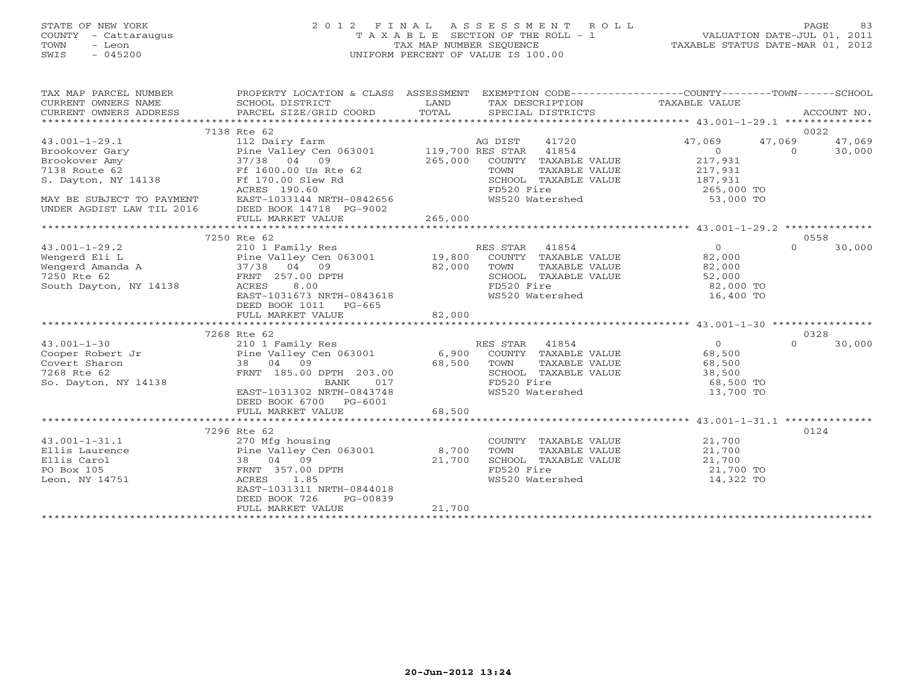# STATE OF NEW YORK 2 0 1 2 F I N A L A S S E S S M E N T R O L L PAGE 83 COUNTY - Cattaraugus T A X A B L E SECTION OF THE ROLL - 1 VALUATION DATE-JUL 01, 2011 TOWN - Leon TAX MAP NUMBER SEQUENCE TAXABLE STATUS DATE-MAR 01, 2012 SWIS - 045200 UNIFORM PERCENT OF VALUE IS 100.00UNIFORM PERCENT OF VALUE IS 100.00

| TAX MAP PARCEL NUMBER<br>CURRENT OWNERS NAME<br>CURRENT OWNERS ADDRESS                                                                                          | PROPERTY LOCATION & CLASS ASSESSMENT EXEMPTION CODE----------------COUNTY-------TOWN------SCHOOL<br>SCHOOL DISTRICT<br>PARCEL SIZE/GRID COORD | LAND<br>TOTAL | TAX DESCRIPTION TAXABLE VALUE<br>SPECIAL DISTRICTS<br>SPECIAL DISTRICTS |                         |          | ACCOUNT NO. |
|-----------------------------------------------------------------------------------------------------------------------------------------------------------------|-----------------------------------------------------------------------------------------------------------------------------------------------|---------------|-------------------------------------------------------------------------|-------------------------|----------|-------------|
|                                                                                                                                                                 |                                                                                                                                               |               |                                                                         |                         |          |             |
|                                                                                                                                                                 | 7138 Rte 62                                                                                                                                   |               |                                                                         |                         | 0022     |             |
| $43.001 - 1 - 29.1$                                                                                                                                             | 112 Dairy farm                                                                                                                                |               | 41720<br>AG DIST                                                        | 47,069                  | 47,069   | 47,069      |
| Brookover Gary<br>Brookover Amy 17/38 04 09<br>7138 Route 62 Ff 1600.00 Us Rte 62                                                                               | Pine Valley Cen 063001 119,700 RES STAR 41854                                                                                                 |               |                                                                         | 0                       | $\Omega$ | 30,000      |
|                                                                                                                                                                 |                                                                                                                                               | 265,000       | COUNTY TAXABLE VALUE                                                    | 217,931                 |          |             |
|                                                                                                                                                                 |                                                                                                                                               |               | TOWN<br>TAXABLE VALUE                                                   | 217,931                 |          |             |
| S. Dayton, NY 14138                                                                                                                                             | Ff 170.00 Slew Rd                                                                                                                             |               | SCHOOL TAXABLE VALUE                                                    | 187,931                 |          |             |
|                                                                                                                                                                 | ACRES 190.60<br>EAST-1033144 NRTH-0842656                                                                                                     |               | FD520 Fire<br>FD520 Fire<br>WS520 Watershed                             | 265,000 TO<br>53,000 TO |          |             |
| MAY BE SUBJECT TO PAYMENT<br>UNDER AGDIST LAW TIL 2016                                                                                                          | DEED BOOK 14718 PG-9002                                                                                                                       |               |                                                                         |                         |          |             |
|                                                                                                                                                                 |                                                                                                                                               |               |                                                                         |                         |          |             |
|                                                                                                                                                                 |                                                                                                                                               |               |                                                                         |                         |          |             |
|                                                                                                                                                                 | 7250 Rte 62                                                                                                                                   |               |                                                                         |                         | 0558     |             |
| Wengerd Eli L<br>Wengerd Amanda A<br>Wengerd Amanda A<br>7250 RE 62<br>7250 RENT 257.00 PT.<br>2011 PRNT 257.00 PT.<br>82,000<br>82,000<br>2011 PRNT 257.00 PT. |                                                                                                                                               |               | RES STAR 41854                                                          | $\Omega$                | $\Omega$ | 30,000      |
|                                                                                                                                                                 |                                                                                                                                               |               | COUNTY TAXABLE VALUE                                                    | 82,000                  |          |             |
|                                                                                                                                                                 |                                                                                                                                               |               | TOWN<br>TAXABLE VALUE                                                   | 82,000                  |          |             |
|                                                                                                                                                                 |                                                                                                                                               | 82,000        | SCHOOL TAXABLE VALUE                                                    | 52,000                  |          |             |
| South Dayton, NY 14138                                                                                                                                          | $\begin{array}{c} \mathbf{1} \end{array}$<br>ACRES<br>8.00                                                                                    |               | FD520 Fire                                                              | 82,000 TO               |          |             |
|                                                                                                                                                                 | EAST-1031673 NRTH-0843618                                                                                                                     |               | WS520 Watershed                                                         | 16,400 TO               |          |             |
|                                                                                                                                                                 | DEED BOOK 1011 PG-665                                                                                                                         |               |                                                                         |                         |          |             |
|                                                                                                                                                                 | FULL MARKET VALUE                                                                                                                             | 82,000        |                                                                         |                         |          |             |
|                                                                                                                                                                 | 7268 Rte 62                                                                                                                                   |               |                                                                         |                         | 0328     |             |
|                                                                                                                                                                 |                                                                                                                                               |               |                                                                         | $\overline{0}$          | $\Omega$ | 30,000      |
|                                                                                                                                                                 |                                                                                                                                               |               |                                                                         | 68,500                  |          |             |
|                                                                                                                                                                 |                                                                                                                                               |               |                                                                         | 68,500                  |          |             |
| 7268 Rte 62                                                                                                                                                     | FRNT 185.00 DPTH 203.00                                                                                                                       |               | SCHOOL TAXABLE VALUE                                                    | 38,500                  |          |             |
| So. Dayton, NY 14138                                                                                                                                            | 017<br>BANK                                                                                                                                   |               | FD520 Fire                                                              | 68,500 TO               |          |             |
|                                                                                                                                                                 | EAST-1031302 NRTH-0843748                                                                                                                     |               | WS520 Watershed                                                         | 13,700 TO               |          |             |
|                                                                                                                                                                 | DEED BOOK 6700 PG-6001                                                                                                                        |               |                                                                         |                         |          |             |
|                                                                                                                                                                 | FULL MARKET VALUE                                                                                                                             | 68,500        |                                                                         |                         |          |             |
|                                                                                                                                                                 |                                                                                                                                               |               |                                                                         |                         |          |             |
|                                                                                                                                                                 | 7296 Rte 62                                                                                                                                   |               |                                                                         |                         | 0124     |             |
| $43.001 - 1 - 31.1$                                                                                                                                             | 270 Mfg housing                                                                                                                               |               | COUNTY TAXABLE VALUE                                                    | 21,700                  |          |             |
| Ellis Laurence<br>Ellis Carol                                                                                                                                   | Pine Valley Cen 063001 8,700<br>38 04 09                                                                                                      | 21,700        | TOWN<br>TAXABLE VALUE<br>SCHOOL TAXABLE VALUE                           | 21,700<br>21,700        |          |             |
| PO Box 105                                                                                                                                                      | FRNT 357.00 DPTH                                                                                                                              |               |                                                                         | 21,700 TO               |          |             |
| Leon, NY 14751                                                                                                                                                  | 1.85<br>ACRES                                                                                                                                 |               | FD520 Fire<br>WS520 Watershed                                           | 14,322 TO               |          |             |
|                                                                                                                                                                 | EAST-1031311 NRTH-0844018                                                                                                                     |               |                                                                         |                         |          |             |
|                                                                                                                                                                 | DEED BOOK 726<br>PG-00839                                                                                                                     |               |                                                                         |                         |          |             |
|                                                                                                                                                                 | FULL MARKET VALUE                                                                                                                             | 21,700        |                                                                         |                         |          |             |
|                                                                                                                                                                 |                                                                                                                                               |               |                                                                         |                         |          |             |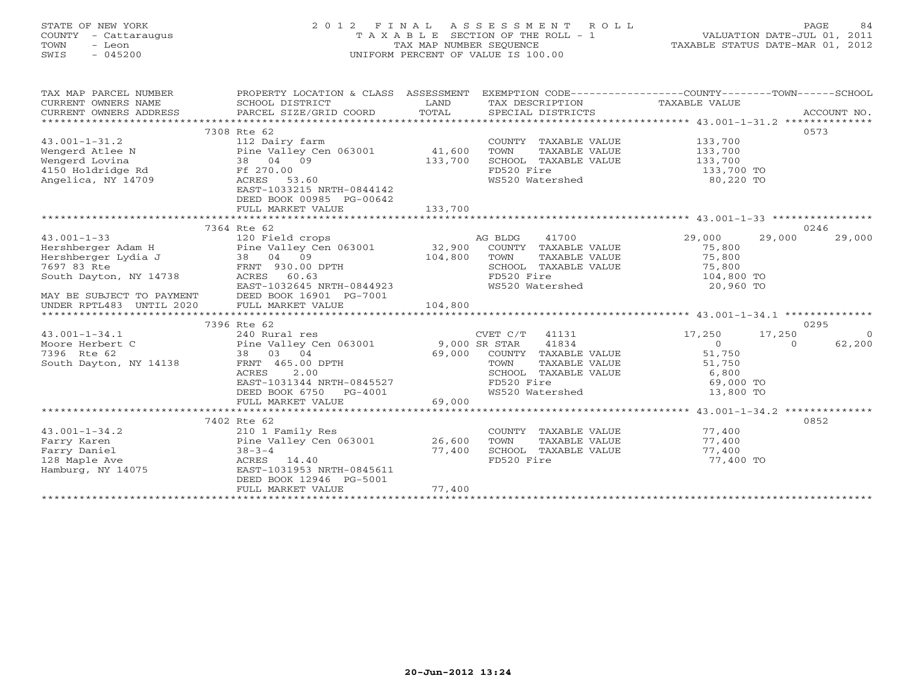# STATE OF NEW YORK 2 0 1 2 F I N A L A S S E S S M E N T R O L L PAGE 84 COUNTY - Cattaraugus T A X A B L E SECTION OF THE ROLL - 1 VALUATION DATE-JUL 01, 2011 TOWN - Leon TAX MAP NUMBER SEQUENCE TAXABLE STATUS DATE-MAR 01, 2012 SWIS - 045200 UNIFORM PERCENT OF VALUE IS 100.00UNIFORM PERCENT OF VALUE IS 100.00

| TAX MAP PARCEL NUMBER<br>CURRENT OWNERS NAME<br>CURRENT OWNERS ADDRESS                                                                                                                                                             | PROPERTY LOCATION & CLASS ASSESSMENT<br>SCHOOL DISTRICT<br>PARCEL SIZE/GRID COORD | LAND<br>TOTAL | EXEMPTION CODE-----------------COUNTY-------TOWN------SCHOOL<br>TAX DESCRIPTION TAXABLE VALUE SPECIAL DISTRICTS |                  | ACCOUNT NO.        |
|------------------------------------------------------------------------------------------------------------------------------------------------------------------------------------------------------------------------------------|-----------------------------------------------------------------------------------|---------------|-----------------------------------------------------------------------------------------------------------------|------------------|--------------------|
|                                                                                                                                                                                                                                    |                                                                                   |               |                                                                                                                 |                  |                    |
|                                                                                                                                                                                                                                    | 7308 Rte 62                                                                       |               |                                                                                                                 |                  | 0573               |
| $43.001 - 1 - 31.2$                                                                                                                                                                                                                | 112 Dairy farm                                                                    |               | COUNTY TAXABLE VALUE                                                                                            | 133,700          |                    |
|                                                                                                                                                                                                                                    |                                                                                   |               | TOWN<br>TAXABLE VALUE                                                                                           | 133,700          |                    |
| Wengerd Atlee N 2 2011 12 2011 12 2011 13 2011 13 2011 14 2011 14 2011 14 2011 15 2011 15 2011 15 2011 15 201<br>Wengerd Lovina 2021 15 2021 15 2021 15 2021 15 2021 15 2021 15 2021 15 2021 15 2021 15 2021 15 2021 15 2021 1<br> |                                                                                   |               | SCHOOL TAXABLE VALUE                                                                                            | 133,700          |                    |
|                                                                                                                                                                                                                                    | Ff 270.00                                                                         |               | FD520 Fire                                                                                                      | 133,700 TO       |                    |
| Angelica, NY 14709                                                                                                                                                                                                                 | Ff 270.00<br>ACRES 53.60                                                          |               | FD520 Fire<br>WS520 Watershed                                                                                   | 80,220 TO        |                    |
|                                                                                                                                                                                                                                    | EAST-1033215 NRTH-0844142                                                         |               |                                                                                                                 |                  |                    |
|                                                                                                                                                                                                                                    | DEED BOOK 00985 PG-00642                                                          |               |                                                                                                                 |                  |                    |
|                                                                                                                                                                                                                                    | FULL MARKET VALUE                                                                 | 133,700       |                                                                                                                 |                  |                    |
|                                                                                                                                                                                                                                    |                                                                                   |               |                                                                                                                 |                  |                    |
|                                                                                                                                                                                                                                    | 7364 Rte 62                                                                       |               |                                                                                                                 |                  | 0246               |
|                                                                                                                                                                                                                                    |                                                                                   |               | 41700<br>AG BLDG                                                                                                | 29,000<br>29,000 | 29,000             |
|                                                                                                                                                                                                                                    |                                                                                   |               | COUNTY TAXABLE VALUE                                                                                            | 75,800           |                    |
|                                                                                                                                                                                                                                    |                                                                                   |               | TAXABLE VALUE<br>TOWN                                                                                           | 75,800           |                    |
|                                                                                                                                                                                                                                    |                                                                                   |               | SCHOOL TAXABLE VALUE 75,800                                                                                     |                  |                    |
| South Dayton, NY 14738                                                                                                                                                                                                             | ACRES 60.63                                                                       |               | FD520 Fire                                                                                                      | 104,800 TO       |                    |
|                                                                                                                                                                                                                                    | EAST-1032645 NRTH-0844923                                                         |               | FD520 Fire<br>WS520 Watershed                                                                                   | 20,960 TO        |                    |
| MAY BE SUBJECT TO PAYMENT                                                                                                                                                                                                          | DEED BOOK 16901 PG-7001                                                           |               |                                                                                                                 |                  |                    |
| UNDER RPTL483 UNTIL 2020                                                                                                                                                                                                           | FULL MARKET VALUE                                                                 | 104,800       |                                                                                                                 |                  |                    |
|                                                                                                                                                                                                                                    |                                                                                   |               |                                                                                                                 |                  |                    |
|                                                                                                                                                                                                                                    | 7396 Rte 62                                                                       |               |                                                                                                                 |                  | 0295               |
| $43.001 - 1 - 34.1$                                                                                                                                                                                                                | 240 Rural res                                                                     |               | CVET C/T 41131 17,250                                                                                           | 17,250           | $\overline{0}$     |
| Moore Herbert C                                                                                                                                                                                                                    | Pine Valley Cen 063001 9,000 SR STAR<br>38 03 04 69,000 COUNTY                    |               | 41834                                                                                                           | $\overline{0}$   | 62,200<br>$\Omega$ |
| 7396 Rte 62                                                                                                                                                                                                                        |                                                                                   |               | 69,000 COUNTY TAXABLE VALUE<br>TOWN TAXABLE VALUE<br>SCHOOL TAXABLE VALUE                                       | 51,750           |                    |
| South Dayton, NY 14138                                                                                                                                                                                                             | FRNT 465.00 DPTH                                                                  |               | TAXABLE VALUE                                                                                                   | 51,750           |                    |
|                                                                                                                                                                                                                                    | ACRES<br>2.00                                                                     |               | SCHOOL TAXABLE VALUE                                                                                            | 6,800            |                    |
|                                                                                                                                                                                                                                    |                                                                                   |               | FD520 Fire                                                                                                      | $69,000$ TO      |                    |
|                                                                                                                                                                                                                                    |                                                                                   |               | WS520 Watershed                                                                                                 | 13,800 TO        |                    |
|                                                                                                                                                                                                                                    |                                                                                   |               |                                                                                                                 |                  |                    |
|                                                                                                                                                                                                                                    |                                                                                   |               |                                                                                                                 |                  |                    |
|                                                                                                                                                                                                                                    | 7402 Rte 62                                                                       |               |                                                                                                                 |                  | 0852               |
| 43.001-1-34.2<br>Farry Karen                                                                                                                                                                                                       | 210 1 Family Res                                                                  |               | COUNTY TAXABLE VALUE                                                                                            | 77,400           |                    |
|                                                                                                                                                                                                                                    | Pine Valley Cen 063001 26,600                                                     |               | TOWN<br>TAXABLE VALUE                                                                                           | 77,400           |                    |
| Farry Daniel                                                                                                                                                                                                                       | $38 - 3 - 4$                                                                      | 77,400        | SCHOOL TAXABLE VALUE                                                                                            | 77,400           |                    |
| 128 Maple Ave                                                                                                                                                                                                                      | ACRES 14.40                                                                       |               | FD520 Fire                                                                                                      | 77,400 TO        |                    |
| Hamburg, NY 14075                                                                                                                                                                                                                  | EAST-1031953 NRTH-0845611                                                         |               |                                                                                                                 |                  |                    |
|                                                                                                                                                                                                                                    | DEED BOOK 12946 PG-5001                                                           |               |                                                                                                                 |                  |                    |
|                                                                                                                                                                                                                                    | FULL MARKET VALUE                                                                 | 77,400        |                                                                                                                 |                  |                    |
|                                                                                                                                                                                                                                    |                                                                                   |               |                                                                                                                 |                  |                    |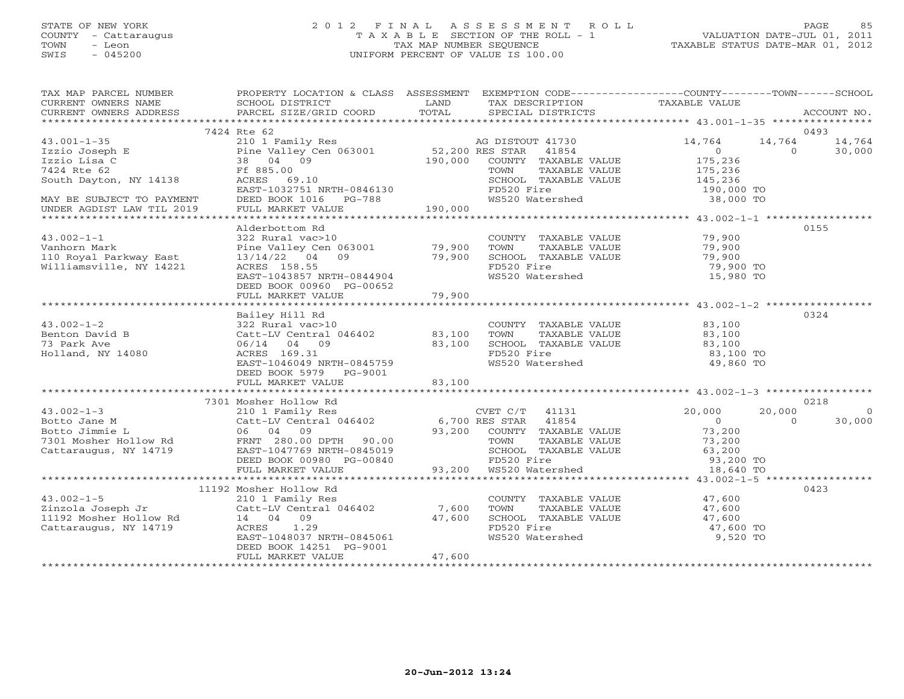# STATE OF NEW YORK 2 0 1 2 F I N A L A S S E S S M E N T R O L L PAGE 85 COUNTY - Cattaraugus T A X A B L E SECTION OF THE ROLL - 1 VALUATION DATE-JUL 01, 2011 TOWN - Leon TAX MAP NUMBER SEQUENCE TAXABLE STATUS DATE-MAR 01, 2012 SWIS - 045200 UNIFORM PERCENT OF VALUE IS 100.00UNIFORM PERCENT OF VALUE IS 100.00

| TAX MAP PARCEL NUMBER<br>CURRENT OWNERS NAME<br>CURRENT OWNERS ADDRESS                                                                                                                                                          | PROPERTY LOCATION & CLASS ASSESSMENT EXEMPTION CODE---------------COUNTY-------TOWN------SCHOOL<br>SCHOOL DISTRICT<br>PARCEL SIZE/GRID COORD                            | <b>EXAMPLE SERVICE SERVICE SERVICE SERVICE SERVICE SERVICE SERVICE SERVICE SERVICE SERVICE SERVICE SERVICE SERVICE</b> | TAX DESCRIPTION<br>TOTAL SPECIAL DISTRICTS                                                                                                                                                                                                                                                                                                                                                                                                                                                                                                                                | TAXABLE VALUE                                         |                                                   | ACCOUNT NO.      |
|---------------------------------------------------------------------------------------------------------------------------------------------------------------------------------------------------------------------------------|-------------------------------------------------------------------------------------------------------------------------------------------------------------------------|------------------------------------------------------------------------------------------------------------------------|---------------------------------------------------------------------------------------------------------------------------------------------------------------------------------------------------------------------------------------------------------------------------------------------------------------------------------------------------------------------------------------------------------------------------------------------------------------------------------------------------------------------------------------------------------------------------|-------------------------------------------------------|---------------------------------------------------|------------------|
|                                                                                                                                                                                                                                 |                                                                                                                                                                         |                                                                                                                        |                                                                                                                                                                                                                                                                                                                                                                                                                                                                                                                                                                           |                                                       |                                                   |                  |
|                                                                                                                                                                                                                                 | 7424 Rte 62                                                                                                                                                             |                                                                                                                        |                                                                                                                                                                                                                                                                                                                                                                                                                                                                                                                                                                           |                                                       |                                                   | 0493             |
| $43.001 - 1 - 35$<br>Izzio Joseph E<br>Izzio Lisa C<br>7424 Rte 62<br>South Dayton, NY 14138<br>Ref 885.00<br>ACRES 69.10                                                                                                       | 210 1 Family Res<br>Pine Valley Cen 063001 52,200 RES STAR 41854<br>38 04 09 190,000 CUNTY TAXABLE VALUE<br>F 005 00                                                    |                                                                                                                        |                                                                                                                                                                                                                                                                                                                                                                                                                                                                                                                                                                           | 14,764<br>$\begin{array}{c} 0 \\ 175,236 \end{array}$ | 14,764 14,764<br>$\begin{array}{c} 0 \end{array}$ | 30,000           |
|                                                                                                                                                                                                                                 |                                                                                                                                                                         |                                                                                                                        | TOWN TAXABLE VALUE 175,236<br>SCHOOL TAXABLE VALUE 145,236<br>FD520 Fire 190,000 TO<br>WS520 Watershed 38,000 TO                                                                                                                                                                                                                                                                                                                                                                                                                                                          |                                                       |                                                   |                  |
| MAY BE SUBJECT TO PAYMENT<br>UNDER AGDIST LAW TIL 2019                                                                                                                                                                          |                                                                                                                                                                         |                                                                                                                        |                                                                                                                                                                                                                                                                                                                                                                                                                                                                                                                                                                           |                                                       |                                                   |                  |
|                                                                                                                                                                                                                                 | Alderbottom Rd                                                                                                                                                          |                                                                                                                        |                                                                                                                                                                                                                                                                                                                                                                                                                                                                                                                                                                           |                                                       |                                                   | 0155             |
| $43.002 - 1 - 1$<br>Vanhorn Mark<br>110 Royal Parkway East<br>Williamsville, NY 14221                                                                                                                                           | 322 Rural vac>10<br>322 Rural vac>10<br>Pine Valley Cen 063001 79,900<br>13/14/22 04 09 79,900<br>ACRES 158.55<br>EAST-1043857 NRTH-0844904<br>DEED BOOK 00960 PG-00652 |                                                                                                                        | COUNTY TAXABLE VALUE<br>TOWN TAXABLE VALUE 79,900<br>SCHOOL TAXABLE VALUE 79,900<br>FD520 Fire 79,900<br>WS520 Watershed 15,980                                                                                                                                                                                                                                                                                                                                                                                                                                           | 79,900 TO<br>15,980 TO                                |                                                   |                  |
|                                                                                                                                                                                                                                 | FULL MARKET VALUE                                                                                                                                                       | 79,900                                                                                                                 |                                                                                                                                                                                                                                                                                                                                                                                                                                                                                                                                                                           |                                                       |                                                   |                  |
|                                                                                                                                                                                                                                 |                                                                                                                                                                         |                                                                                                                        |                                                                                                                                                                                                                                                                                                                                                                                                                                                                                                                                                                           |                                                       |                                                   |                  |
| $43.002 - 1 - 2$<br>--  1-2<br>Benton David B<br>73 Park Ave<br>Holland, NY 14080                                                                                                                                               | Bailey Hill Rd<br>06/14 04 09<br>ACRES 169.31<br>EAST-1046049 NRTH-0845759<br>DEED BOOK 5979 PG-9001                                                                    |                                                                                                                        | COUNTY TAXABLE VALUE 046402<br>83,100 TOWN TAXABLE VALUE 03,100<br>83,100 SCHOOL TAXABLE VALUE 03,100<br>FD520 Fire 03,100 TO<br>WS520 Watershed                                                                                                                                                                                                                                                                                                                                                                                                                          | 49,860 TO                                             |                                                   | 0324             |
|                                                                                                                                                                                                                                 | FULL MARKET VALUE                                                                                                                                                       | 83,100                                                                                                                 |                                                                                                                                                                                                                                                                                                                                                                                                                                                                                                                                                                           |                                                       |                                                   |                  |
|                                                                                                                                                                                                                                 |                                                                                                                                                                         |                                                                                                                        |                                                                                                                                                                                                                                                                                                                                                                                                                                                                                                                                                                           |                                                       |                                                   |                  |
|                                                                                                                                                                                                                                 |                                                                                                                                                                         |                                                                                                                        |                                                                                                                                                                                                                                                                                                                                                                                                                                                                                                                                                                           |                                                       | 20,000                                            | 0218<br>$\Omega$ |
| 33.002-1-3<br>20,000 20,000 20,000 20,000 20,000 20,000 20,000 20,000 20,000 20,000 20,000 20,000 20,000 20,000 20,000 20,000 20,000 20,000 20,000 20,000 20,000 20,000 20,000 20,000 20,000 20,000 20,000 20,000 20,000 20,000 |                                                                                                                                                                         |                                                                                                                        |                                                                                                                                                                                                                                                                                                                                                                                                                                                                                                                                                                           |                                                       | $\overline{0}$                                    | 30,000           |
|                                                                                                                                                                                                                                 |                                                                                                                                                                         |                                                                                                                        |                                                                                                                                                                                                                                                                                                                                                                                                                                                                                                                                                                           |                                                       |                                                   |                  |
|                                                                                                                                                                                                                                 | 11192 Mosher Hollow Rd                                                                                                                                                  |                                                                                                                        |                                                                                                                                                                                                                                                                                                                                                                                                                                                                                                                                                                           |                                                       |                                                   | 0423             |
|                                                                                                                                                                                                                                 | EAST-1048037 NRTH-0845061<br>DEED BOOK 14251 PG-9001<br>FULL MARKET VALUE                                                                                               | 47,600                                                                                                                 | $\begin{tabular}{llllll} \multicolumn{2}{l}{{\small\texttt{COUNTY}}} & \multicolumn{2}{l}{\small\texttt{TAXABLE VALUE}} & \multicolumn{2}{l}{\small\texttt{47,600}} \\ \multicolumn{2}{l}{\small\texttt{TOWN}} & \multicolumn{2}{l}{\small\texttt{TAXABLE VALUE}} & \multicolumn{2}{l}{\small\texttt{47,600}} \\ \multicolumn{2}{l}{\small\texttt{TOWN}} & \multicolumn{2}{l}{\small\texttt{TAXABLE VALUE}} & \multicolumn{2}{l}{\small\texttt{47,600}} \\ \multicolumn{2}{l}{\small\texttt{16$<br>SCHOOL TAXABLE VALUE 47,600<br>FD520 Fire 47,600 TO<br>WS520 Watershed | 9,520 TO                                              |                                                   |                  |
|                                                                                                                                                                                                                                 |                                                                                                                                                                         |                                                                                                                        |                                                                                                                                                                                                                                                                                                                                                                                                                                                                                                                                                                           |                                                       |                                                   |                  |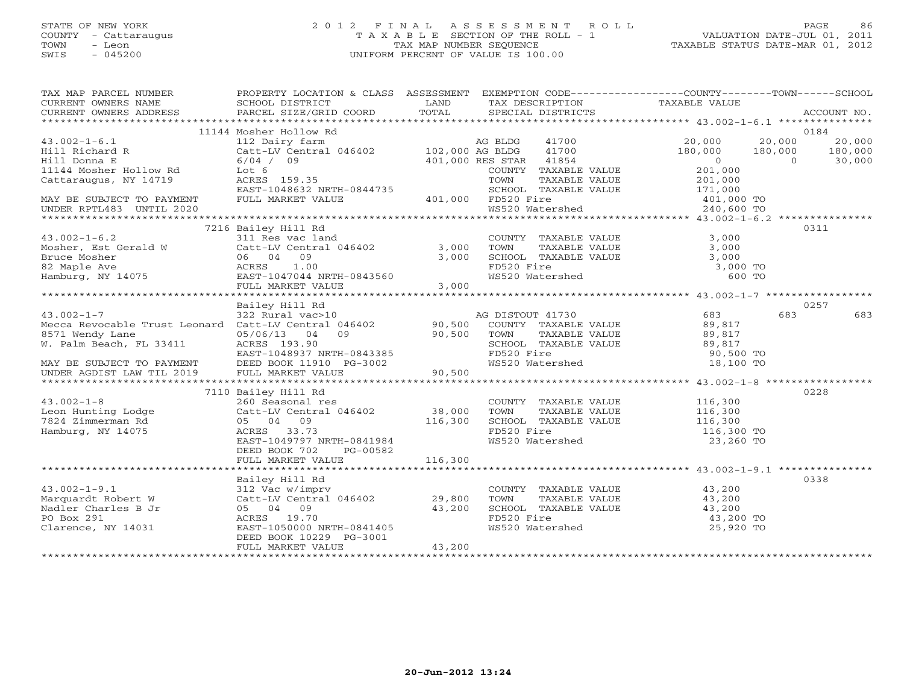# STATE OF NEW YORK 2 0 1 2 F I N A L A S S E S S M E N T R O L L PAGE 86 COUNTY - Cattaraugus T A X A B L E SECTION OF THE ROLL - 1 VALUATION DATE-JUL 01, 2011 TOWN - Leon TAX MAP NUMBER SEQUENCE TAXABLE STATUS DATE-MAR 01, 2012 SWIS - 045200 UNIFORM PERCENT OF VALUE IS 100.00UNIFORM PERCENT OF VALUE IS 100.00

| TAX MAP PARCEL NUMBER<br>CURRENT OWNERS NAME<br>CURRENT OWNERS ADDRESS                                                                                     | PROPERTY LOCATION & CLASS ASSESSMENT EXEMPTION CODE----------------COUNTY-------TOWN------SCHOOL<br>SCHOOL DISTRICT<br><b>Example 12</b> LAND            |                  |                                                      |               | TAX DESCRIPTION TAXABLE VALUE<br>SPECIAL DISTRICTS                                                                                                                                                                 |                                     |                                     |
|------------------------------------------------------------------------------------------------------------------------------------------------------------|----------------------------------------------------------------------------------------------------------------------------------------------------------|------------------|------------------------------------------------------|---------------|--------------------------------------------------------------------------------------------------------------------------------------------------------------------------------------------------------------------|-------------------------------------|-------------------------------------|
|                                                                                                                                                            |                                                                                                                                                          |                  |                                                      |               |                                                                                                                                                                                                                    |                                     |                                     |
| $43.002 - 1 - 6.1$<br>Hill Richard R<br>Hill Donna E                                                                                                       | 11144 Mosher Hollow Rd<br>112 Dairy farm<br>Catt-LV Central 046402 102,000 AG BLDG<br>6/04 / 09                                                          |                  | 41700<br>401,000 RES STAR 41854                      | 41700         | 20,000<br>180,000<br>$\overline{0}$                                                                                                                                                                                | 20,000<br>180,000<br>$\overline{0}$ | 0184<br>20,000<br>180,000<br>30,000 |
| 11144 Mosher Hollow Rd<br>Cattaraugus, NY 14719                                                                                                            | Lot 6<br>ACRES 159.35                                                                                                                                    |                  | COUNTY TAXABLE VALUE<br>TOWN<br>SCHOOL TAXABLE VALUE | TAXABLE VALUE | 201,000<br>201,000<br>171,000                                                                                                                                                                                      |                                     |                                     |
| EAST-1048632 NRTH-0844735<br>MAY BE SUBJECT TO PAYMENT FULL MARKET VALUE 401,000 FD520 Fire<br>UNDER RPTL483 UNTIL 2020                                    |                                                                                                                                                          |                  |                                                      |               | FD520 Fire $401,000$ TO<br>WS520 Watershed $240.600$ TO                                                                                                                                                            |                                     |                                     |
|                                                                                                                                                            |                                                                                                                                                          |                  |                                                      |               |                                                                                                                                                                                                                    |                                     | 0311                                |
| $43.002 - 1 - 6.2$                                                                                                                                         | 7216 Bailey Hill Rd<br>311 Res vac land<br>Catt-LV Central 046402 3,000                                                                                  | 3,000            | COUNTY TAXABLE VALUE<br>TOWN TAXABLE VALUE           |               | 3,000<br>3,000<br>SCHOOL TAXABLE VALUE 3,000                                                                                                                                                                       |                                     |                                     |
| Mosher, Est Gerald W Catt-LV Central 046402 3,000<br>Bruce Mosher 06 04 09 3,000<br>82 Maple Ave ACRES 1.00<br>Hamburg, NY 14075 EAST-1047044 NRTH-0843560 | FULL MARKET VALUE                                                                                                                                        | 3,000            | FD520 Fire<br>WS520 Watershed                        |               | 3,000 TO<br>600 TO                                                                                                                                                                                                 |                                     |                                     |
|                                                                                                                                                            |                                                                                                                                                          |                  |                                                      |               |                                                                                                                                                                                                                    |                                     |                                     |
|                                                                                                                                                            | Bailey Hill Rd                                                                                                                                           |                  |                                                      |               |                                                                                                                                                                                                                    |                                     | 0257                                |
| $43.002 - 1 - 7$<br>8571 wendy Lane<br>W. Palm Beach, FL 33411 2008 2010 2021 2031 20403385<br>EAST-1048937 NRTH-0843385                                   | $322$ Rural vac > 10                                                                                                                                     |                  | AG DISTOUT 41730                                     |               | 683                                                                                                                                                                                                                | 683                                 | 683                                 |
|                                                                                                                                                            |                                                                                                                                                          |                  |                                                      |               |                                                                                                                                                                                                                    |                                     |                                     |
| $43.002 - 1 - 8$<br>Leon Hunting Lodge<br>7824 Zimmerman Rd<br>Hamburg, NY 14075                                                                           | 7110 Bailey Hill Rd<br>Catt-LV Central 046402 38,000<br>05 04 09 116,300<br>ACRES 33.73<br>EAST-1049797 NRTH-0841984                                     |                  | TOWN<br>FD520 Fire<br>WS520 Watershed                | TAXABLE VALUE | COUNTY TAXABLE VALUE 116,300<br>116,300<br>SCHOOL TAXABLE VALUE 116,300<br>116,300 TO<br>23,260 TO                                                                                                                 |                                     | 0228                                |
|                                                                                                                                                            | DEED BOOK 702<br>PG-00582<br>FULL MARKET VALUE                                                                                                           | 116,300          |                                                      |               |                                                                                                                                                                                                                    |                                     |                                     |
|                                                                                                                                                            | Bailey Hill Rd                                                                                                                                           |                  |                                                      |               |                                                                                                                                                                                                                    |                                     | 0338                                |
| 43.002-1-9.1<br>Marquardt Robert W<br>Nadler Charles B Jr<br>PO Box 291<br>Clarence, NY 14031                                                              | 312 Vac w/imprv<br>Catt-LV Central 046402 29,800<br>05 04 09<br>ACRES 19.70<br>EAST-1050000 NRTH-0841405<br>DEED BOOK 10229 PG-3001<br>FULL MARKET VALUE | 43,200<br>43,200 | WS520 Watershed                                      |               | COUNTY TAXABLE VALUE $\begin{array}{ccc} 43,200 \ \text{TOWN} & \text{TAXABLE VALUE} & 43,200 \ \text{SCHOOL} & \text{TAXABLE VALUE} & 43,200 \ \text{FD520 Fire} & 43,200 \ \text{T0} & \end{array}$<br>25,920 TO |                                     |                                     |
|                                                                                                                                                            |                                                                                                                                                          |                  |                                                      |               |                                                                                                                                                                                                                    |                                     |                                     |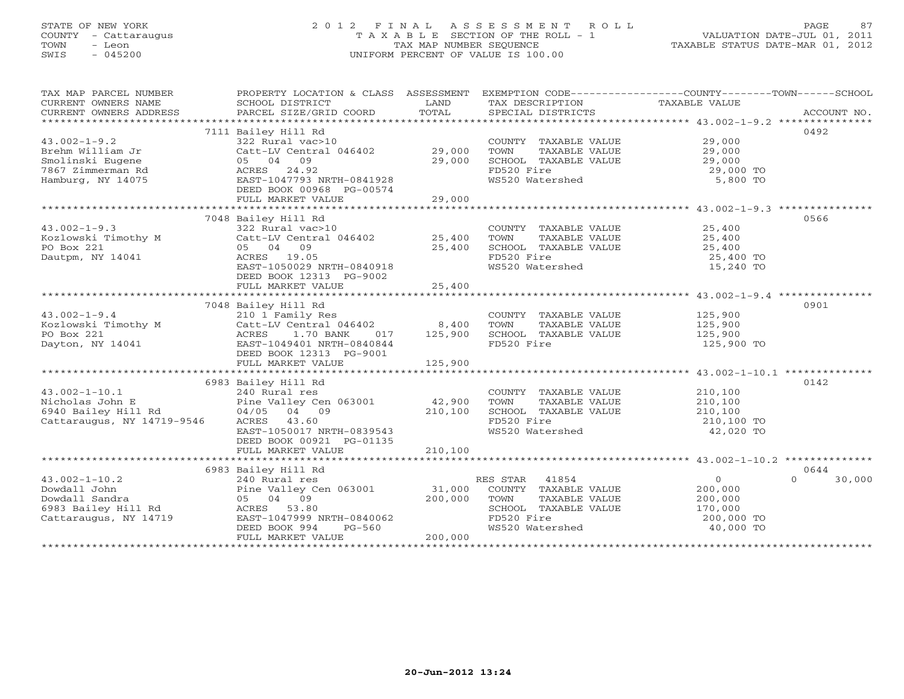# STATE OF NEW YORK 2 0 1 2 F I N A L A S S E S S M E N T R O L L PAGE 87 COUNTY - Cattaraugus T A X A B L E SECTION OF THE ROLL - 1 VALUATION DATE-JUL 01, 2011 TOWN - Leon TAX MAP NUMBER SEQUENCE TAXABLE STATUS DATE-MAR 01, 2012 SWIS - 045200 UNIFORM PERCENT OF VALUE IS 100.00UNIFORM PERCENT OF VALUE IS 100.00

| TAX MAP PARCEL NUMBER                                                                                                                                                                                                                                                       | PROPERTY LOCATION & CLASS ASSESSMENT EXEMPTION CODE---------------COUNTY-------TOWN------SCHOOL |          |                                                                                                                       |                       |                  |
|-----------------------------------------------------------------------------------------------------------------------------------------------------------------------------------------------------------------------------------------------------------------------------|-------------------------------------------------------------------------------------------------|----------|-----------------------------------------------------------------------------------------------------------------------|-----------------------|------------------|
|                                                                                                                                                                                                                                                                             |                                                                                                 |          |                                                                                                                       |                       | ACCOUNT NO.      |
|                                                                                                                                                                                                                                                                             |                                                                                                 |          |                                                                                                                       |                       |                  |
|                                                                                                                                                                                                                                                                             |                                                                                                 |          |                                                                                                                       |                       |                  |
|                                                                                                                                                                                                                                                                             | 7111 Bailey Hill Rd                                                                             |          |                                                                                                                       |                       | 0492             |
| $43.002 - 1 - 9.2$                                                                                                                                                                                                                                                          | 322 Rural vac>10                                                                                |          | COUNTY TAXABLE VALUE                                                                                                  | 29,000                |                  |
| Brehm William Jr                                                                                                                                                                                                                                                            | Catt-LV Central 046402<br>05 04 09                                                              | 29,000   |                                                                                                                       |                       |                  |
| Smolinski Eugene                                                                                                                                                                                                                                                            | 05 04 09                                                                                        | 29,000   |                                                                                                                       |                       |                  |
| 7867 Zimmerman Rd                                                                                                                                                                                                                                                           | ACRES 24.92                                                                                     |          |                                                                                                                       |                       |                  |
| Hamburg, NY 14075                                                                                                                                                                                                                                                           | ACRES 24.92<br>EAST-1047793 NRTH-0841928                                                        |          | TOWN TAXABLE VALUE $29,000$<br>SCHOOL TAXABLE VALUE $29,000$<br>FD520 Fire $29,000$ TO<br>WS520 Watershed 5,800 TO    |                       |                  |
|                                                                                                                                                                                                                                                                             | DEED BOOK 00968 PG-00574                                                                        |          |                                                                                                                       |                       |                  |
|                                                                                                                                                                                                                                                                             |                                                                                                 |          |                                                                                                                       |                       |                  |
|                                                                                                                                                                                                                                                                             |                                                                                                 |          |                                                                                                                       |                       |                  |
|                                                                                                                                                                                                                                                                             | 7048 Bailey Hill Rd                                                                             |          |                                                                                                                       |                       | 0566             |
|                                                                                                                                                                                                                                                                             |                                                                                                 |          |                                                                                                                       |                       |                  |
| $43.002 - 1 - 9.3$                                                                                                                                                                                                                                                          | 322 Rural vac>10                                                                                |          | COUNTY TAXABLE VALUE 25,400                                                                                           |                       |                  |
| Kozlowski Timothy M                                                                                                                                                                                                                                                         | 22 Nurai vace-10<br>Catt-LV Central 046402 25,400<br>05 04 09 25,400                            |          |                                                                                                                       |                       |                  |
| PO Box 221                                                                                                                                                                                                                                                                  |                                                                                                 |          | TOWN TAXABLE VALUE $25,400$<br>SCHOOL TAXABLE VALUE $25,400$<br>FD520 Fire $25,400$ TO<br>WS520 Watershed $15,240$ TO |                       |                  |
| Dautpm, NY 14041                                                                                                                                                                                                                                                            | ACRES 19.05                                                                                     |          |                                                                                                                       |                       |                  |
|                                                                                                                                                                                                                                                                             | ACRES 19.05<br>EAST-1050029 NRTH-0840918                                                        |          |                                                                                                                       |                       |                  |
|                                                                                                                                                                                                                                                                             | DEED BOOK 12313 PG-9002                                                                         |          |                                                                                                                       |                       |                  |
|                                                                                                                                                                                                                                                                             |                                                                                                 |          |                                                                                                                       |                       |                  |
|                                                                                                                                                                                                                                                                             |                                                                                                 |          |                                                                                                                       |                       |                  |
|                                                                                                                                                                                                                                                                             | 7048 Bailey Hill Rd                                                                             |          |                                                                                                                       |                       | 0901             |
| $43.002 - 1 - 9.4$                                                                                                                                                                                                                                                          | 210 1 Family Res                                                                                |          |                                                                                                                       |                       |                  |
|                                                                                                                                                                                                                                                                             |                                                                                                 |          | COUNTY TAXABLE VALUE 125,900<br>TOWN TAXABLE VALUE 125,900                                                            |                       |                  |
| $210$ I Family Res<br>$221$<br>PO Box 221<br>$221$<br>$240$ EARES<br>$1.70$ BANK<br>$0.70$ $0.71$<br>$0.70$<br>$0.71$<br>$0.71$<br>$0.71$<br>$0.71$<br>$0.71$<br>$0.71$<br>$0.71$<br>$0.71$<br>$0.71$<br>$0.71$<br>$0.71$<br>$0.71$<br>$0.71$<br>$0.71$<br>$0.71$<br>$0.71$ |                                                                                                 |          | SCHOOL TAXABLE VALUE 125,900                                                                                          |                       |                  |
|                                                                                                                                                                                                                                                                             |                                                                                                 |          |                                                                                                                       |                       |                  |
|                                                                                                                                                                                                                                                                             |                                                                                                 |          | FD520 Fire                                                                                                            | 125,900 TO            |                  |
|                                                                                                                                                                                                                                                                             | DEED BOOK 12313 PG-9001                                                                         |          |                                                                                                                       |                       |                  |
|                                                                                                                                                                                                                                                                             |                                                                                                 |          |                                                                                                                       |                       |                  |
|                                                                                                                                                                                                                                                                             |                                                                                                 |          |                                                                                                                       |                       |                  |
|                                                                                                                                                                                                                                                                             | 6983 Bailey Hill Rd                                                                             |          |                                                                                                                       |                       | 0142             |
| $43.002 - 1 - 10.1$                                                                                                                                                                                                                                                         | 240 Rural res                                                                                   |          | COUNTY TAXABLE VALUE 210,100                                                                                          |                       |                  |
| Nicholas John E                                                                                                                                                                                                                                                             |                                                                                                 |          | TOWN                                                                                                                  | TAXABLE VALUE 210,100 |                  |
| 6940 Bailey Hill Rd                                                                                                                                                                                                                                                         | 240 Rural res<br>Pine Valley Cen 063001 12,900<br>Rd 04/05 04 09 210,100<br>04/05 04 09         | 210,100  |                                                                                                                       |                       |                  |
| Cattaraugus, NY 14719-9546                                                                                                                                                                                                                                                  | ACRES 43.60                                                                                     | 210,10   |                                                                                                                       |                       |                  |
|                                                                                                                                                                                                                                                                             | EAST-1050017 NRTH-0839543                                                                       |          | SCHOOL TAXABLE VALUE $210,100$<br>FD520 Fire $210,100$ TO<br>WS520 Watershed $42,020$ TO                              |                       |                  |
|                                                                                                                                                                                                                                                                             | DEED BOOK 00921 PG-01135                                                                        |          |                                                                                                                       |                       |                  |
|                                                                                                                                                                                                                                                                             |                                                                                                 |          |                                                                                                                       |                       |                  |
|                                                                                                                                                                                                                                                                             |                                                                                                 |          |                                                                                                                       |                       |                  |
|                                                                                                                                                                                                                                                                             |                                                                                                 |          |                                                                                                                       |                       |                  |
|                                                                                                                                                                                                                                                                             | 6983 Bailey Hill Rd                                                                             |          |                                                                                                                       |                       | 0644             |
| $43.002 - 1 - 10.2$                                                                                                                                                                                                                                                         | 240 Rural res                                                                                   |          | RES STAR 41854                                                                                                        | $\overline{O}$        | $\cap$<br>30,000 |
| Dowdall John                                                                                                                                                                                                                                                                | Pine Valley Cen $063001$ 31,000                                                                 |          | COUNTY TAXABLE VALUE 200,000                                                                                          |                       |                  |
| Dowdall Sandra                                                                                                                                                                                                                                                              | 05 04 09                                                                                        | 200,000  | TOWN<br>TAXABLE VALUE                                                                                                 | 200,000               |                  |
| 6983 Bailey Hill Rd ACRES 53.80                                                                                                                                                                                                                                             |                                                                                                 |          | SCHOOL TAXABLE VALUE 170,000                                                                                          |                       |                  |
| Cattaraugus, NY 14719                                                                                                                                                                                                                                                       | EAST-1047999 NRTH-0840062<br>DEED BOOK 001                                                      |          | FD520 Fire                                                                                                            | 200,000 TO            |                  |
|                                                                                                                                                                                                                                                                             | DEED BOOK 994                                                                                   | $PG-560$ | FD520 Fire<br>WS520 Watershed                                                                                         | 40,000 TO             |                  |
|                                                                                                                                                                                                                                                                             | FULL MARKET VALUE                                                                               | 200,000  |                                                                                                                       |                       |                  |
| ********************************                                                                                                                                                                                                                                            |                                                                                                 |          |                                                                                                                       |                       |                  |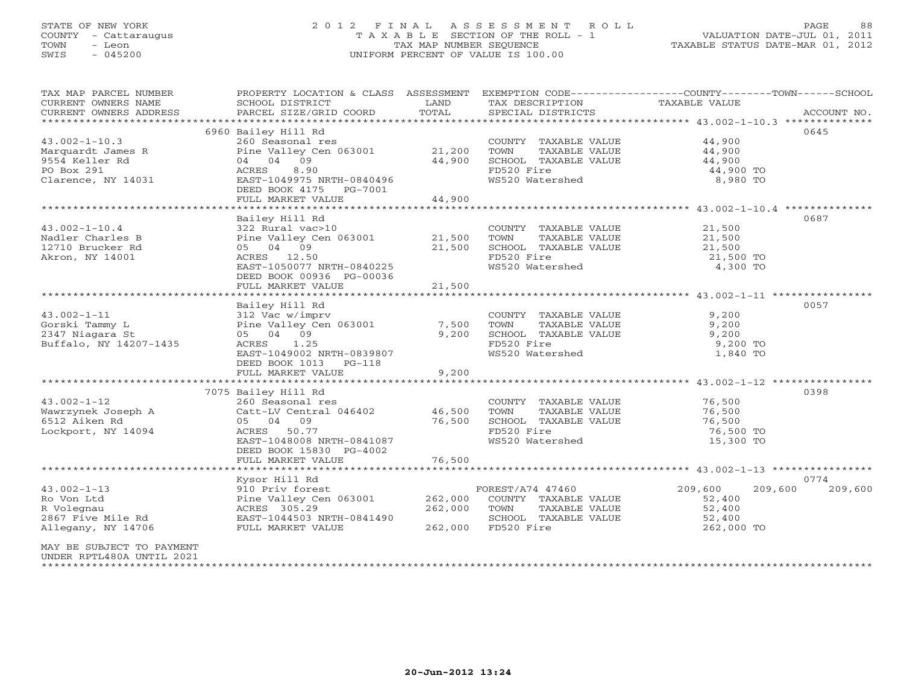# STATE OF NEW YORK 2 0 1 2 F I N A L A S S E S S M E N T R O L L PAGE 88 COUNTY - Cattaraugus T A X A B L E SECTION OF THE ROLL - 1 VALUATION DATE-JUL 01, 2011 TOWN - Leon TAX MAP NUMBER SEQUENCE TAXABLE STATUS DATE-MAR 01, 2012 SWIS - 045200 UNIFORM PERCENT OF VALUE IS 100.00UNIFORM PERCENT OF VALUE IS 100.00

| TAX MAP PARCEL NUMBER<br>CURRENT OWNERS NAME<br>CURRENT OWNERS ADDRESS | PROPERTY LOCATION & CLASS ASSESSMENT<br>SCHOOL DISTRICT<br>PARCEL SIZE/GRID COORD | LAND<br>TOTAL                           | TAX DESCRIPTION<br>SPECIAL DISTRICTS          | EXEMPTION CODE-----------------COUNTY-------TOWN------SCHOOL<br>TAXABLE VALUE<br>ACCOUNT NO. |
|------------------------------------------------------------------------|-----------------------------------------------------------------------------------|-----------------------------------------|-----------------------------------------------|----------------------------------------------------------------------------------------------|
| *************************                                              |                                                                                   |                                         |                                               |                                                                                              |
|                                                                        | 6960 Bailey Hill Rd                                                               |                                         |                                               | 0645                                                                                         |
| $43.002 - 1 - 10.3$                                                    | 260 Seasonal res                                                                  |                                         | COUNTY TAXABLE VALUE                          | 44,900                                                                                       |
| Marquardt James R                                                      | Pine Valley Cen 063001                                                            | 21,200                                  | TOWN<br>TAXABLE VALUE                         | 44,900                                                                                       |
| 9554 Keller Rd                                                         | 04 04 09                                                                          | 44,900                                  | SCHOOL TAXABLE VALUE                          | 44,900                                                                                       |
| PO Box 291                                                             | ACRES<br>8.90                                                                     |                                         | FD520 Fire                                    | 44,900 TO                                                                                    |
| Clarence, NY 14031                                                     | EAST-1049975 NRTH-0840496                                                         |                                         | WS520 Watershed                               | 8,980 TO                                                                                     |
|                                                                        | DEED BOOK 4175 PG-7001                                                            |                                         |                                               |                                                                                              |
|                                                                        | FULL MARKET VALUE<br>*******************************                              | 44,900<br>* * * * * * * * * * * * * * * |                                               |                                                                                              |
|                                                                        |                                                                                   |                                         |                                               | ******************************** 43.002-1-10.4 **************<br>0687                        |
| $43.002 - 1 - 10.4$                                                    | Bailey Hill Rd<br>322 Rural vac>10                                                |                                         |                                               | 21,500                                                                                       |
| Nadler Charles B                                                       |                                                                                   |                                         | COUNTY TAXABLE VALUE                          |                                                                                              |
| 12710 Brucker Rd                                                       | Pine Valley Cen 063001<br>05 04 09                                                | 21,500<br>21,500                        | TOWN<br>TAXABLE VALUE<br>SCHOOL TAXABLE VALUE | 21,500<br>21,500                                                                             |
| Akron, NY 14001                                                        | ACRES 12.50                                                                       |                                         | FD520 Fire                                    | 21,500 TO                                                                                    |
|                                                                        | EAST-1050077 NRTH-0840225                                                         |                                         | WS520 Watershed                               | 4,300 TO                                                                                     |
|                                                                        | DEED BOOK 00936 PG-00036                                                          |                                         |                                               |                                                                                              |
|                                                                        | FULL MARKET VALUE                                                                 | 21,500                                  |                                               |                                                                                              |
|                                                                        |                                                                                   |                                         |                                               |                                                                                              |
|                                                                        | Bailey Hill Rd                                                                    |                                         |                                               | 0057                                                                                         |
| $43.002 - 1 - 11$                                                      | 312 Vac w/imprv                                                                   |                                         | COUNTY TAXABLE VALUE                          | 9,200                                                                                        |
| Gorski Tammy L                                                         | Pine Valley Cen 063001                                                            | 7,500                                   | TOWN<br>TAXABLE VALUE                         | 9,200                                                                                        |
| 2347 Niagara St                                                        | 05 04 09                                                                          | 9,200                                   | SCHOOL TAXABLE VALUE                          | 9,200                                                                                        |
| Buffalo, NY 14207-1435                                                 | 1.25<br>ACRES                                                                     |                                         | FD520 Fire                                    | 9,200 TO                                                                                     |
|                                                                        | EAST-1049002 NRTH-0839807                                                         |                                         | WS520 Watershed                               | 1,840 TO                                                                                     |
|                                                                        | DEED BOOK 1013<br>PG-118                                                          |                                         |                                               |                                                                                              |
|                                                                        | FULL MARKET VALUE                                                                 | 9,200                                   |                                               |                                                                                              |
|                                                                        |                                                                                   |                                         |                                               |                                                                                              |
|                                                                        | 7075 Bailey Hill Rd                                                               |                                         |                                               | 0398                                                                                         |
| $43.002 - 1 - 12$                                                      | 260 Seasonal res                                                                  |                                         | COUNTY TAXABLE VALUE                          | 76,500                                                                                       |
| Wawrzynek Joseph A                                                     | Catt-LV Central 046402                                                            | 46,500                                  | TOWN<br>TAXABLE VALUE                         | 76,500                                                                                       |
| 6512 Aiken Rd                                                          | 05 04 09                                                                          | 76,500                                  | SCHOOL TAXABLE VALUE                          | 76,500                                                                                       |
| Lockport, NY 14094                                                     | ACRES 50.77                                                                       |                                         | FD520 Fire                                    | 76,500 TO                                                                                    |
|                                                                        | EAST-1048008 NRTH-0841087                                                         |                                         | WS520 Watershed                               | 15,300 TO                                                                                    |
|                                                                        | DEED BOOK 15830 PG-4002                                                           |                                         |                                               |                                                                                              |
|                                                                        | FULL MARKET VALUE                                                                 | 76,500                                  |                                               |                                                                                              |
|                                                                        |                                                                                   |                                         |                                               |                                                                                              |
|                                                                        | Kysor Hill Rd                                                                     |                                         |                                               | 0774                                                                                         |
| $43.002 - 1 - 13$<br>Ro Von Ltd                                        | 910 Priv forest                                                                   | 262,000                                 | FOREST/A74 47460<br>COUNTY TAXABLE VALUE      | 209,600<br>209,600<br>209,600                                                                |
| R Volegnau                                                             | Pine Valley Cen 063001<br>ACRES 305.29                                            | 262,000                                 | TOWN<br>TAXABLE VALUE                         | 52,400<br>52,400                                                                             |
| 2867 Five Mile Rd                                                      | EAST-1044503 NRTH-0841490                                                         |                                         | SCHOOL TAXABLE VALUE                          | 52,400                                                                                       |
| Allegany, NY 14706                                                     | FULL MARKET VALUE                                                                 | 262,000                                 | FD520 Fire                                    | 262,000 TO                                                                                   |
|                                                                        |                                                                                   |                                         |                                               |                                                                                              |
| MAY BE SUBJECT TO PAYMENT                                              |                                                                                   |                                         |                                               |                                                                                              |
| UNDER RPTL480A UNTIL 2021                                              |                                                                                   |                                         |                                               |                                                                                              |
| *********************                                                  |                                                                                   |                                         |                                               |                                                                                              |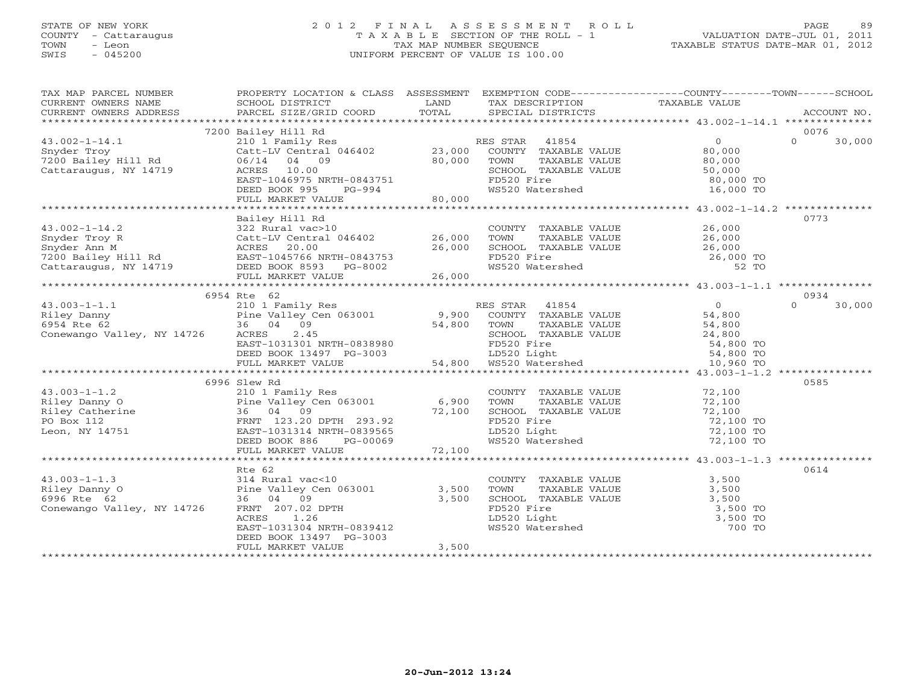# STATE OF NEW YORK 2 0 1 2 F I N A L A S S E S S M E N T R O L L PAGE 89 COUNTY - Cattaraugus T A X A B L E SECTION OF THE ROLL - 1 VALUATION DATE-JUL 01, 2011 TOWN - Leon TAX MAP NUMBER SEQUENCE TAXABLE STATUS DATE-MAR 01, 2012 SWIS - 045200 UNIFORM PERCENT OF VALUE IS 100.00UNIFORM PERCENT OF VALUE IS 100.00

| TAX MAP PARCEL NUMBER<br>TA PIE TAND TRINITY AND TRINITY TO TAXABLE VALUE<br>CURRENT OWNERS NAME SCHOOL DISTRICT TO LAND TAXABLE TO TAXABLE VALUE<br>CURRENT OWNERS ADDRESS PARCEL SIZE/GRID COORD TOTAL SPECIAL DISTRICTS ACCOUNT NO.<br>********************** | PROPERTY LOCATION & CLASS ASSESSMENT EXEMPTION CODE---------------COUNTY-------TOWN------SCHOOL                 |          |                                                                                                                 |                        |                    |
|------------------------------------------------------------------------------------------------------------------------------------------------------------------------------------------------------------------------------------------------------------------|-----------------------------------------------------------------------------------------------------------------|----------|-----------------------------------------------------------------------------------------------------------------|------------------------|--------------------|
|                                                                                                                                                                                                                                                                  |                                                                                                                 |          |                                                                                                                 |                        |                    |
|                                                                                                                                                                                                                                                                  |                                                                                                                 |          |                                                                                                                 |                        |                    |
|                                                                                                                                                                                                                                                                  | 7200 Bailey Hill Rd                                                                                             |          |                                                                                                                 | $\overline{0}$         | 0076<br>$\Omega$   |
| $43.002 - 1 - 14.1$                                                                                                                                                                                                                                              | 210 1 Family Res<br>Catt-LV Central 046402 23,000                                                               |          | RES STAR 41854<br>COUNTY TAXABLE VALUE                                                                          |                        | 30,000             |
| Snyder Troy<br>7200 Bailey Hill Rd                                                                                                                                                                                                                               | 06/14 04 09                                                                                                     |          |                                                                                                                 | 80,000                 |                    |
| Cattaraugus, NY 14719                                                                                                                                                                                                                                            | ACRES 10.00                                                                                                     | 80,000   |                                                                                                                 |                        |                    |
|                                                                                                                                                                                                                                                                  | EAST-1046975 NRTH-0843751                                                                                       |          | TOWN TAXABLE VALUE<br>SCHOOL TAXABLE VALUE 50,000 TO                                                            |                        |                    |
|                                                                                                                                                                                                                                                                  | DEED BOOK 995                                                                                                   | $PG-994$ | WS520 Watershed                                                                                                 | 16,000 TO              |                    |
|                                                                                                                                                                                                                                                                  | FULL MARKET VALUE                                                                                               | 80,000   |                                                                                                                 |                        |                    |
|                                                                                                                                                                                                                                                                  |                                                                                                                 |          |                                                                                                                 |                        |                    |
|                                                                                                                                                                                                                                                                  | Bailey Hill Rd                                                                                                  |          |                                                                                                                 |                        | 0773               |
| $43.002 - 1 - 14.2$                                                                                                                                                                                                                                              | 322 Rural vac>10                                                                                                |          | COUNTY TAXABLE VALUE 26,000                                                                                     |                        |                    |
|                                                                                                                                                                                                                                                                  | Catt-LV Central 046402 26,000                                                                                   |          |                                                                                                                 |                        |                    |
|                                                                                                                                                                                                                                                                  |                                                                                                                 | 26,000   |                                                                                                                 |                        |                    |
|                                                                                                                                                                                                                                                                  |                                                                                                                 |          |                                                                                                                 |                        |                    |
|                                                                                                                                                                                                                                                                  |                                                                                                                 |          | TOWN TAXABLE VALUE $26,000$<br>SCHOOL TAXABLE VALUE $26,000$<br>FD520 Fire $26,000$ TO<br>WS520 Watershed 52 TO |                        |                    |
|                                                                                                                                                                                                                                                                  | FULL MARKET VALUE                                                                                               | 26,000   |                                                                                                                 |                        |                    |
|                                                                                                                                                                                                                                                                  |                                                                                                                 |          |                                                                                                                 |                        |                    |
|                                                                                                                                                                                                                                                                  | 6954 Rte 62                                                                                                     |          |                                                                                                                 |                        | 0934               |
| $43.003 - 1 - 1.1$                                                                                                                                                                                                                                               | 210 1 Family Res                                                                                                |          | RES STAR 41854                                                                                                  |                        | $\Omega$<br>30,000 |
| Riley Danny<br>Fine Valley Cen 063001 9,900<br>6954 Rte 62 36 04 09 54,800<br>Conewango Valley, NY 14726 ACRES 2.45                                                                                                                                              |                                                                                                                 |          | ES STAR 41854<br>COUNTY TAXABLE VALUE 54,800<br>TOWN TAXABLE VALUE 54,800                                       |                        |                    |
|                                                                                                                                                                                                                                                                  |                                                                                                                 |          | TOWN                                                                                                            |                        |                    |
|                                                                                                                                                                                                                                                                  |                                                                                                                 |          | TOWN TAXABLE VALUE<br>SCHOOL TAXABLE VALUE 24,800 TO                                                            |                        |                    |
|                                                                                                                                                                                                                                                                  | EAST-1031301 NRTH-0838980                                                                                       |          | FD520 Fire                                                                                                      |                        |                    |
|                                                                                                                                                                                                                                                                  |                                                                                                                 |          |                                                                                                                 | 54,800 TO<br>54,800 TO |                    |
|                                                                                                                                                                                                                                                                  | DEED BOOK 13497 PG-3003 bDED BOOK 13497 PG-3003 bDED BOOK 13497 PG-3003 bDED BOOK 13497 PG-3003 bDED BOOK 13497 |          |                                                                                                                 | 10,960 TO              |                    |
|                                                                                                                                                                                                                                                                  |                                                                                                                 |          |                                                                                                                 |                        |                    |
|                                                                                                                                                                                                                                                                  | 6996 Slew Rd                                                                                                    |          |                                                                                                                 |                        | 0585               |
| $43.003 - 1 - 1.2$                                                                                                                                                                                                                                               | 210 1 Family Res                                                                                                |          | COUNTY TAXABLE VALUE 72,100                                                                                     |                        |                    |
|                                                                                                                                                                                                                                                                  | Pine Valley Cen $063001$ 6,900                                                                                  |          | TOWN                                                                                                            | 72,100                 |                    |
|                                                                                                                                                                                                                                                                  | 36 04 09                                                                                                        | 72,100   | TOWN      TAXABLE VALUE<br>SCHOOL   TAXABLE VALUE                                                               | 72,100                 |                    |
| Filey Danny O<br>Riley Catherine<br>PO Box 112<br>Leon, NY 14751                                                                                                                                                                                                 | FRNT 123.20 DPTH 293.92                                                                                         |          | FD520 Fire                                                                                                      | 72,100 TO<br>72,100 TO |                    |
|                                                                                                                                                                                                                                                                  | EAST-1031314 NRTH-0839565                                                                                       |          | LD520 Light                                                                                                     |                        |                    |
|                                                                                                                                                                                                                                                                  | DEED BOOK 886<br>PG-00069                                                                                       | 72,100   | WS520 Watershed                                                                                                 | 72,100 TO              |                    |
|                                                                                                                                                                                                                                                                  | FULL MARKET VALUE                                                                                               |          |                                                                                                                 |                        |                    |
|                                                                                                                                                                                                                                                                  |                                                                                                                 |          |                                                                                                                 |                        |                    |
|                                                                                                                                                                                                                                                                  | Rte 62                                                                                                          |          |                                                                                                                 |                        | 0614               |
| $43.003 - 1 - 1.3$                                                                                                                                                                                                                                               | 314 Rural vac<10<br>Pine Valley Cen 063001<br>36 04 09                                                          |          | COUNTY TAXABLE VALUE 3,500                                                                                      |                        |                    |
| Riley Danny O                                                                                                                                                                                                                                                    |                                                                                                                 | 3,500    | TOWN<br>TAXABLE VALUE                                                                                           | 3,500                  |                    |
| 6996 Rte 62                                                                                                                                                                                                                                                      |                                                                                                                 | 3,500    |                                                                                                                 |                        |                    |
| Conewango Valley, NY 14726                                                                                                                                                                                                                                       | FRNT 207.02 DPTH                                                                                                |          | FD520 Fire 3,500 TO<br>LD520 Light 3,500 TO<br>WS520 Watershed 700 TO                                           |                        |                    |
|                                                                                                                                                                                                                                                                  | ACRES<br>1.26                                                                                                   |          |                                                                                                                 |                        |                    |
|                                                                                                                                                                                                                                                                  | EAST-1031304 NRTH-0839412                                                                                       |          |                                                                                                                 |                        |                    |
|                                                                                                                                                                                                                                                                  | DEED BOOK 13497 PG-3003                                                                                         | 3,500    |                                                                                                                 |                        |                    |
|                                                                                                                                                                                                                                                                  | FULL MARKET VALUE                                                                                               |          |                                                                                                                 |                        |                    |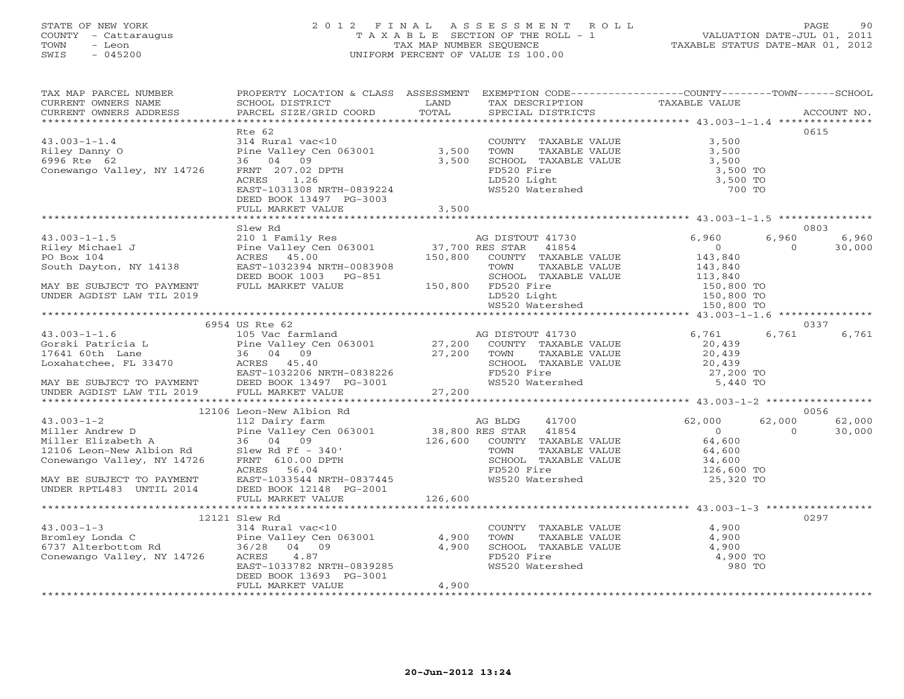# STATE OF NEW YORK 2 0 1 2 F I N A L A S S E S S M E N T R O L L PAGE 90 COUNTY - Cattaraugus T A X A B L E SECTION OF THE ROLL - 1 VALUATION DATE-JUL 01, 2011 TOWN - Leon TAX MAP NUMBER SEQUENCE TAXABLE STATUS DATE-MAR 01, 2012 SWIS - 045200 UNIFORM PERCENT OF VALUE IS 100.00UNIFORM PERCENT OF VALUE IS 100.00

| TAX MAP PARCEL NUMBER<br>CURRENT OWNERS NAME<br>CURRENT OWNERS ADDRESS                                                                                                                                                                                                                                                                                                                                   | PROPERTY LOCATION & CLASS ASSESSMENT EXEMPTION CODE----------------COUNTY-------TOWN------SCHOOL<br>SCHOOL DISTRICT<br>PARCEL SIZE/GRID COORD | LAND<br>TOTAL | TAX DESCRIPTION TAXABLE VALUE SPECIAL DISTRICTS                                          |                                     |          | ACCOUNT NO. |
|----------------------------------------------------------------------------------------------------------------------------------------------------------------------------------------------------------------------------------------------------------------------------------------------------------------------------------------------------------------------------------------------------------|-----------------------------------------------------------------------------------------------------------------------------------------------|---------------|------------------------------------------------------------------------------------------|-------------------------------------|----------|-------------|
|                                                                                                                                                                                                                                                                                                                                                                                                          |                                                                                                                                               |               |                                                                                          |                                     |          |             |
|                                                                                                                                                                                                                                                                                                                                                                                                          | Rte 62                                                                                                                                        |               |                                                                                          |                                     |          | 0615        |
| $43.003 - 1 - 1.4$                                                                                                                                                                                                                                                                                                                                                                                       | 314 Rural vac<10                                                                                                                              |               | COUNTY TAXABLE VALUE                                                                     | 3,500                               |          |             |
| Riley Danny O                                                                                                                                                                                                                                                                                                                                                                                            |                                                                                                                                               | 3,500         | TOWN<br>TAXABLE VALUE                                                                    | 3,500                               |          |             |
| 6996 Rte 62                                                                                                                                                                                                                                                                                                                                                                                              | ---- vuction<br>16 04 09 09 063001<br>FRNT 207.02 DPTH                                                                                        | 3,500         | SCHOOL TAXABLE VALUE                                                                     | 3,500                               |          |             |
| Conewango Valley, NY 14726                                                                                                                                                                                                                                                                                                                                                                               | FRNT 207.02 DPTH                                                                                                                              |               |                                                                                          | 3,500 TO                            |          |             |
|                                                                                                                                                                                                                                                                                                                                                                                                          | ACRES 1.26                                                                                                                                    |               |                                                                                          | 3,500 TO                            |          |             |
|                                                                                                                                                                                                                                                                                                                                                                                                          | EAST-1031308 NRTH-0839224                                                                                                                     |               | FD520 Fire<br>LD520 Light<br>WS520 Watershed                                             | 700 TO                              |          |             |
|                                                                                                                                                                                                                                                                                                                                                                                                          | DEED BOOK 13497 PG-3003                                                                                                                       |               |                                                                                          |                                     |          |             |
|                                                                                                                                                                                                                                                                                                                                                                                                          | FULL MARKET VALUE                                                                                                                             | 3,500         |                                                                                          |                                     |          |             |
|                                                                                                                                                                                                                                                                                                                                                                                                          |                                                                                                                                               |               |                                                                                          |                                     |          |             |
|                                                                                                                                                                                                                                                                                                                                                                                                          | Slew Rd                                                                                                                                       |               |                                                                                          |                                     |          | 0803        |
| $43.003 - 1 - 1.5$                                                                                                                                                                                                                                                                                                                                                                                       |                                                                                                                                               |               | AG DISTOUT 41730                                                                         | 6,960                               | 6,960    | 6,960       |
| Riley Michael J                                                                                                                                                                                                                                                                                                                                                                                          |                                                                                                                                               |               |                                                                                          | $\overline{0}$                      | $\Omega$ | 30,000      |
| PO Box 104                                                                                                                                                                                                                                                                                                                                                                                               |                                                                                                                                               |               |                                                                                          | 143,840<br>143,840                  |          |             |
| South Dayton, NY 14138                                                                                                                                                                                                                                                                                                                                                                                   | EAST-1032394 NRTH-0083908<br>PAST-1032394 NRTH-0083908                                                                                        |               | TOWN<br>TAXABLE VALUE                                                                    |                                     |          |             |
|                                                                                                                                                                                                                                                                                                                                                                                                          |                                                                                                                                               |               | SCHOOL TAXABLE VALUE                                                                     | 113,840<br>150,800 TO<br>150,800 TO |          |             |
| MAY BE SUBJECT TO PAYMENT                                                                                                                                                                                                                                                                                                                                                                                | FULL MARKET VALUE                                                                                                                             |               | SCHOOL TAX<br>150,800 FD520 Fire 150,800<br>FD520 Fire<br>LD520 Light<br>WS520 Watershed |                                     |          |             |
| UNDER AGDIST LAW TIL 2019                                                                                                                                                                                                                                                                                                                                                                                |                                                                                                                                               |               |                                                                                          |                                     |          |             |
|                                                                                                                                                                                                                                                                                                                                                                                                          |                                                                                                                                               |               |                                                                                          | 150,800 TO                          |          |             |
|                                                                                                                                                                                                                                                                                                                                                                                                          |                                                                                                                                               |               |                                                                                          |                                     |          |             |
|                                                                                                                                                                                                                                                                                                                                                                                                          |                                                                                                                                               |               |                                                                                          |                                     |          | 0337        |
|                                                                                                                                                                                                                                                                                                                                                                                                          |                                                                                                                                               |               |                                                                                          | 6,761                               | 6,761    | 6,761       |
|                                                                                                                                                                                                                                                                                                                                                                                                          |                                                                                                                                               |               |                                                                                          | 20,439                              |          |             |
|                                                                                                                                                                                                                                                                                                                                                                                                          |                                                                                                                                               |               |                                                                                          | 20,439                              |          |             |
|                                                                                                                                                                                                                                                                                                                                                                                                          |                                                                                                                                               |               | SCHOOL TAXABLE VALUE<br>FD520 Fire<br>WS520 Watershed                                    | 20,439                              |          |             |
|                                                                                                                                                                                                                                                                                                                                                                                                          |                                                                                                                                               |               |                                                                                          | 27,200 TO                           |          |             |
|                                                                                                                                                                                                                                                                                                                                                                                                          |                                                                                                                                               |               |                                                                                          | 5,440 TO                            |          |             |
| $\begin{tabular}{lllllllllllllllllllll} \multicolumn{3}{c c c c c} \multicolumn{3}{c c c c} \multicolumn{3}{c c c c} \multicolumn{3}{c c c} \multicolumn{3}{c c c} \multicolumn{3}{c c c} \multicolumn{3}{c c c} \multicolumn{3}{c c c} \multicolumn{3}{c c c} \multicolumn{3}{c c c} \multicolumn{3}{c c c} \multicolumn{3}{c c c} \multicolumn{3}{c c c} \multicolumn{3}{c c c} \multicolumn{3}{c c c$ |                                                                                                                                               |               |                                                                                          |                                     |          |             |
|                                                                                                                                                                                                                                                                                                                                                                                                          |                                                                                                                                               |               |                                                                                          |                                     |          |             |
|                                                                                                                                                                                                                                                                                                                                                                                                          | 12106 Leon-New Albion Rd                                                                                                                      |               |                                                                                          |                                     |          | 0056        |
| $43.003 - 1 - 2$                                                                                                                                                                                                                                                                                                                                                                                         | 112 Dairy farm                                                                                                                                |               | 41700<br>AG BLDG                                                                         | 62,000                              | 62,000   | 62,000      |
| Miller Andrew D                                                                                                                                                                                                                                                                                                                                                                                          |                                                                                                                                               |               |                                                                                          | $\overline{0}$                      | $\Omega$ | 30,000      |
| Miller Elizabeth A                                                                                                                                                                                                                                                                                                                                                                                       |                                                                                                                                               |               |                                                                                          | 64,600                              |          |             |
| 12106 Leon-New Albion Rd                                                                                                                                                                                                                                                                                                                                                                                 |                                                                                                                                               |               | TAXABLE VALUE                                                                            | 64,600                              |          |             |
| Conewango Valley, NY 14726                                                                                                                                                                                                                                                                                                                                                                               |                                                                                                                                               |               | SCHOOL TAXABLE VALUE                                                                     | 34,600                              |          |             |
|                                                                                                                                                                                                                                                                                                                                                                                                          |                                                                                                                                               |               | $\mathcal{L}(\mathcal{L})$ and $\mathcal{L}(\mathcal{L})$                                | 126,600 TO                          |          |             |
| MAY BE SUBJECT TO PAYMENT                                                                                                                                                                                                                                                                                                                                                                                | $RAST-1033544 NRTH-0837445$                                                                                                                   |               | WS520 Watershed                                                                          | 25,320 TO                           |          |             |
| UNDER RPTL483 UNTIL 2014                                                                                                                                                                                                                                                                                                                                                                                 | DEED BOOK 12148 PG-2001                                                                                                                       |               |                                                                                          |                                     |          |             |
|                                                                                                                                                                                                                                                                                                                                                                                                          | FULL MARKET VALUE                                                                                                                             | 126,600       |                                                                                          |                                     |          |             |
|                                                                                                                                                                                                                                                                                                                                                                                                          |                                                                                                                                               |               |                                                                                          |                                     |          |             |
|                                                                                                                                                                                                                                                                                                                                                                                                          | 12121 Slew Rd                                                                                                                                 |               |                                                                                          |                                     |          | 0297        |
| $43.003 - 1 - 3$                                                                                                                                                                                                                                                                                                                                                                                         | 314 Rural vac<10                                                                                                                              |               | COUNTY TAXABLE VALUE                                                                     | 4,900                               |          |             |
| Bromley Londa C Bine Valley Cen<br>6737 Alterbottom Rd 36/28 04 09<br>Conewango Valley, NY 14726 ACRES 4.87                                                                                                                                                                                                                                                                                              | Pine Valley Cen 063001<br>36/28 04 09                                                                                                         | 4,900         | TOWN<br>TAXABLE VALUE                                                                    | 4,900                               |          |             |
|                                                                                                                                                                                                                                                                                                                                                                                                          |                                                                                                                                               | 4,900         | SCHOOL TAXABLE VALUE                                                                     | 4,900                               |          |             |
|                                                                                                                                                                                                                                                                                                                                                                                                          |                                                                                                                                               |               | FD520 Fire                                                                               | 4,900 TO                            |          |             |
|                                                                                                                                                                                                                                                                                                                                                                                                          | EAST-1033782 NRTH-0839285                                                                                                                     |               | WS520 Watershed                                                                          | 980 TO                              |          |             |
|                                                                                                                                                                                                                                                                                                                                                                                                          | DEED BOOK 13693 PG-3001                                                                                                                       |               |                                                                                          |                                     |          |             |
|                                                                                                                                                                                                                                                                                                                                                                                                          | FULL MARKET VALUE                                                                                                                             | 4,900         |                                                                                          |                                     |          |             |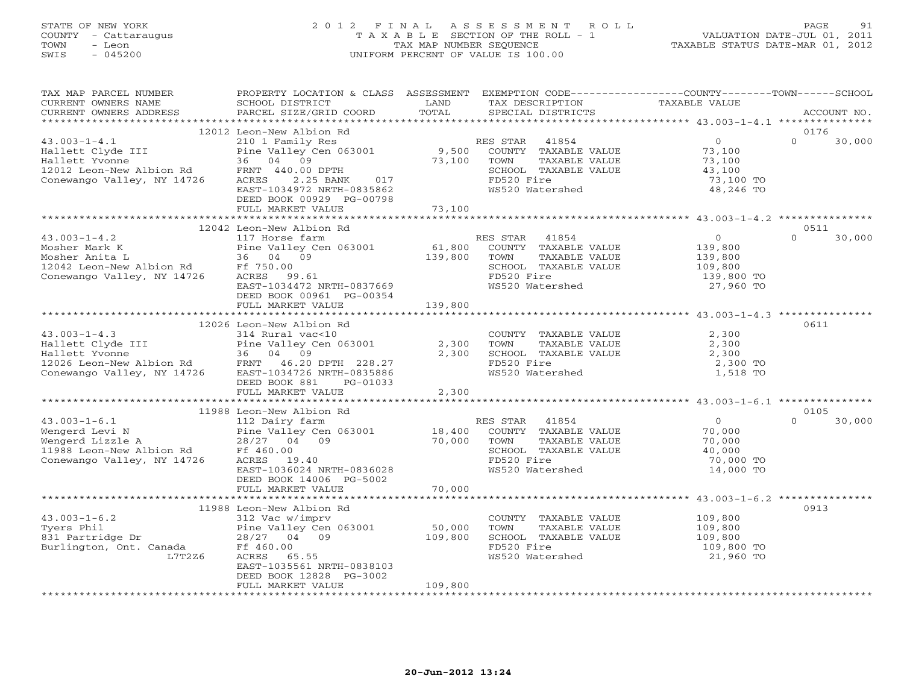# STATE OF NEW YORK 2 0 1 2 F I N A L A S S E S S M E N T R O L L PAGE 91 COUNTY - Cattaraugus T A X A B L E SECTION OF THE ROLL - 1 VALUATION DATE-JUL 01, 2011 TOWN - Leon TAX MAP NUMBER SEQUENCE TAXABLE STATUS DATE-MAR 01, 2012 SWIS - 045200 UNIFORM PERCENT OF VALUE IS 100.00UNIFORM PERCENT OF VALUE IS 100.00

| TAX MAP PARCEL NUMBER<br>CURRENT OWNERS NAME<br>CURRENT OWNERS ADDRESS                                                                        | PROPERTY LOCATION & CLASS ASSESSMENT<br>SCHOOL DISTRICT<br>PARCEL SIZE/GRID COORD                                                                                                            | LAND<br>TOTAL                | TAX DESCRIPTION<br>SPECIAL DISTRICTS                                                                                        | EXEMPTION CODE-----------------COUNTY-------TOWN------SCHOOL<br><b>TAXABLE VALUE</b> | ACCOUNT NO.                |
|-----------------------------------------------------------------------------------------------------------------------------------------------|----------------------------------------------------------------------------------------------------------------------------------------------------------------------------------------------|------------------------------|-----------------------------------------------------------------------------------------------------------------------------|--------------------------------------------------------------------------------------|----------------------------|
| ***********************                                                                                                                       |                                                                                                                                                                                              |                              |                                                                                                                             |                                                                                      |                            |
| $43.003 - 1 - 4.1$<br>Hallett Clyde III<br>Hallett Yvonne<br>12012 Leon-New Albion Rd<br>Conewango Valley, NY 14726                           | 12012 Leon-New Albion Rd<br>210 1 Family Res<br>Pine Valley Cen 063001<br>36 04 09<br>FRNT 440.00 DPTH<br>2.25 BANK<br>017<br>ACRES<br>EAST-1034972 NRTH-0835862<br>DEED BOOK 00929 PG-00798 | 9,500<br>73,100              | RES STAR<br>41854<br>COUNTY TAXABLE VALUE<br>TOWN<br>TAXABLE VALUE<br>SCHOOL TAXABLE VALUE<br>FD520 Fire<br>WS520 Watershed | $\overline{0}$<br>73,100<br>73,100<br>43,100<br>73,100 TO<br>48,246 TO               | 0176<br>$\Omega$<br>30,000 |
|                                                                                                                                               | FULL MARKET VALUE                                                                                                                                                                            | 73,100                       |                                                                                                                             |                                                                                      |                            |
|                                                                                                                                               | 12042 Leon-New Albion Rd                                                                                                                                                                     |                              |                                                                                                                             |                                                                                      | 0511                       |
| $43.003 - 1 - 4.2$<br>Mosher Mark K<br>Mosher Anita L<br>12042 Leon-New Albion Rd<br>Conewango Valley, NY 14726                               | 117 Horse farm<br>Pine Valley Cen 063001<br>36 04 09<br>Ff 750.00<br>ACRES 99.61<br>EAST-1034472 NRTH-0837669<br>DEED BOOK 00961 PG-00354<br>FULL MARKET VALUE                               | 61,800<br>139,800<br>139,800 | RES STAR<br>41854<br>COUNTY TAXABLE VALUE<br>TOWN<br>TAXABLE VALUE<br>SCHOOL TAXABLE VALUE<br>FD520 Fire<br>WS520 Watershed | $\overline{O}$<br>139,800<br>139,800<br>109,800<br>139,800 TO<br>27,960 TO           | $\Omega$<br>30,000         |
|                                                                                                                                               |                                                                                                                                                                                              |                              |                                                                                                                             |                                                                                      |                            |
| $43.003 - 1 - 4.3$<br>Hallett Clyde III<br>Hallett Yvonne<br>12026 Leon-New Albion Rd<br>Conewango Valley, NY 14726 EAST-1034726 NRTH-0835886 | 12026 Leon-New Albion Rd<br>314 Rural vac<10<br>Pine Valley Cen 063001<br>36 04 09<br>DEED BOOK 881<br>PG-01033<br>FULL MARKET VALUE                                                         | 2,300<br>2,300<br>2,300      | COUNTY TAXABLE VALUE<br>TOWN<br>TAXABLE VALUE<br>SCHOOL TAXABLE VALUE<br>FD520 Fire<br>WS520 Watershed                      | 2,300<br>2,300<br>2,300<br>2,300 TO<br>1,518 TO                                      | 0611                       |
|                                                                                                                                               |                                                                                                                                                                                              |                              |                                                                                                                             |                                                                                      |                            |
| $43.003 - 1 - 6.1$<br>Wengerd Levi N<br>Wengerd Lizzle A<br>11988 Leon-New Albion Rd<br>Conewango Valley, NY 14726                            | 11988 Leon-New Albion Rd<br>112 Dairy farm<br>Pine Valley Cen 063001<br>28/27 04 09<br>Ff 460.00<br>ACRES<br>19.40<br>EAST-1036024 NRTH-0836028<br>DEED BOOK 14006 PG-5002                   | 18,400<br>70,000             | RES STAR<br>41854<br>COUNTY TAXABLE VALUE<br>TOWN<br>TAXABLE VALUE<br>SCHOOL TAXABLE VALUE<br>FD520 Fire<br>WS520 Watershed | $\Omega$<br>70,000<br>70,000<br>40,000<br>70,000 TO<br>14,000 TO                     | 0105<br>$\Omega$<br>30,000 |
|                                                                                                                                               | FULL MARKET VALUE                                                                                                                                                                            | 70,000                       |                                                                                                                             |                                                                                      |                            |
| $43.003 - 1 - 6.2$<br>Tyers Phil<br>831 Partridge Dr<br>Burlington, Ont. Canada<br>L7T2Z6                                                     | 11988 Leon-New Albion Rd<br>312 Vac w/imprv<br>Pine Valley Cen 063001<br>28/27 04 09<br>Ff 460.00<br>ACRES<br>65.55<br>EAST-1035561 NRTH-0838103<br>DEED BOOK 12828 PG-3002                  | 50,000<br>109,800            | COUNTY TAXABLE VALUE<br>TOWN<br>TAXABLE VALUE<br>SCHOOL TAXABLE VALUE<br>FD520 Fire<br>WS520 Watershed                      | 109,800<br>109,800<br>109,800<br>109,800 TO<br>21,960 TO                             | 0913                       |
|                                                                                                                                               | FULL MARKET VALUE                                                                                                                                                                            | 109,800                      |                                                                                                                             |                                                                                      |                            |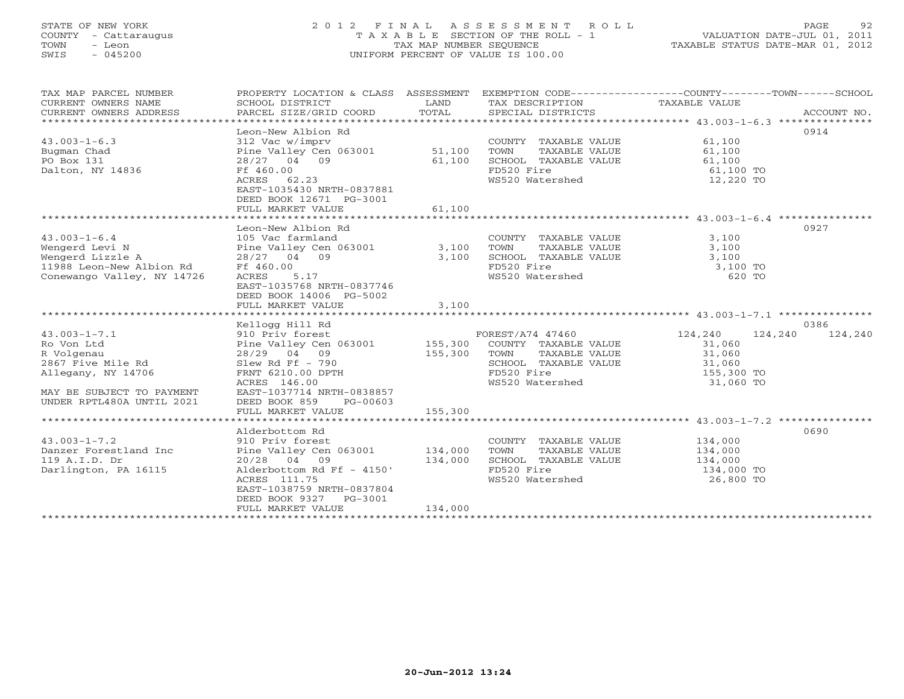# STATE OF NEW YORK 2 0 1 2 F I N A L A S S E S S M E N T R O L L PAGE 92 COUNTY - Cattaraugus T A X A B L E SECTION OF THE ROLL - 1 VALUATION DATE-JUL 01, 2011 TOWN - Leon TAX MAP NUMBER SEQUENCE TAXABLE STATUS DATE-MAR 01, 2012 SWIS - 045200 UNIFORM PERCENT OF VALUE IS 100.00UNIFORM PERCENT OF VALUE IS 100.00

| TAX MAP PARCEL NUMBER<br>CURRENT OWNERS NAME<br>CURRENT OWNERS ADDRESS |                                                                                               |         |                              | PROPERTY LOCATION & CLASS ASSESSMENT EXEMPTION CODE----------------COUNTY-------TOWN------SCHOOL |         |  |
|------------------------------------------------------------------------|-----------------------------------------------------------------------------------------------|---------|------------------------------|--------------------------------------------------------------------------------------------------|---------|--|
|                                                                        |                                                                                               |         |                              |                                                                                                  | 0914    |  |
|                                                                        | Leon-New Albion Rd                                                                            |         |                              |                                                                                                  |         |  |
| $43.003 - 1 - 6.3$                                                     | 312 Vac w/imprv                                                                               |         | COUNTY TAXABLE VALUE         | 61,100                                                                                           |         |  |
| Bugman Chad                                                            | Pine Valley Cen 063001 51,100                                                                 |         | TAXABLE VALUE<br>TOWN        |                                                                                                  |         |  |
| PO Box 131                                                             | 28/27 04 09                                                                                   | 61,100  | SCHOOL TAXABLE VALUE         | 61,100                                                                                           |         |  |
| Dalton, NY 14836                                                       | Ff 460.00                                                                                     |         | FD520 Fire                   | 61,100 TO                                                                                        |         |  |
|                                                                        | ACRES 62.23                                                                                   |         | WS520 Watershed              | 12,220 TO                                                                                        |         |  |
|                                                                        | EAST-1035430 NRTH-0837881                                                                     |         |                              |                                                                                                  |         |  |
|                                                                        | DEED BOOK 12671 PG-3001                                                                       |         |                              |                                                                                                  |         |  |
|                                                                        |                                                                                               |         |                              |                                                                                                  |         |  |
|                                                                        |                                                                                               |         |                              |                                                                                                  |         |  |
|                                                                        | Leon-New Albion Rd                                                                            |         |                              |                                                                                                  | 0927    |  |
| $43.003 - 1 - 6.4$                                                     | 105 Vac farmland                                                                              |         | COUNTY TAXABLE VALUE         | 3,100                                                                                            |         |  |
| Wengerd Levi N                                                         | Pine Valley Cen 063001 3,100                                                                  |         | TAXABLE VALUE<br>TOWN        | 3,100                                                                                            |         |  |
| Wengerd Lizzle A                                                       | 28/27 04 09                                                                                   | 3,100   | SCHOOL TAXABLE VALUE         | 3,100                                                                                            |         |  |
| 11988 Leon-New Albion Rd                                               | Ff 460.00                                                                                     |         | FD520 Fire                   | 3,100 TO                                                                                         |         |  |
| Conewango Valley, NY 14726                                             | 5.17<br>ACRES                                                                                 |         | WS520 Watershed              | 620 TO                                                                                           |         |  |
|                                                                        | EAST-1035768 NRTH-0837746                                                                     |         |                              |                                                                                                  |         |  |
|                                                                        | DEED BOOK 14006 PG-5002                                                                       |         |                              |                                                                                                  |         |  |
|                                                                        | FULL MARKET VALUE                                                                             | 3,100   |                              |                                                                                                  |         |  |
|                                                                        |                                                                                               |         |                              |                                                                                                  |         |  |
|                                                                        | Kellogg Hill Rd                                                                               |         |                              |                                                                                                  | 0386    |  |
| $43.003 - 1 - 7.1$                                                     | 910 Priv forest                                                                               |         | FOREST/A74 47460 124,240     | 124,240                                                                                          | 124,240 |  |
| Ro Von Ltd                                                             |                                                                                               |         |                              | 31,060                                                                                           |         |  |
| R Volgenau                                                             | Pine Valley Cen 063001 155,300 COUNTY TAXABLE VALUE<br>28/29 04 09 155,300 TOWN TAXABLE VALUE |         |                              | 31,060                                                                                           |         |  |
| 2867 Five Mile Rd                                                      | Slew Rd Ff $-790$                                                                             |         | SCHOOL TAXABLE VALUE         | 31,060                                                                                           |         |  |
| Allegany, NY 14706                                                     | Slew Ku FL<br>FRNT 6210.00 DPTH                                                               |         | FD520 Fire                   | 155,300 TO                                                                                       |         |  |
|                                                                        |                                                                                               |         | WS520 Watershed              | 31,060 TO                                                                                        |         |  |
| MAY BE SUBJECT TO PAYMENT                                              | EAST-1037714 NRTH-0838857                                                                     |         |                              |                                                                                                  |         |  |
| UNDER RPTL480A UNTIL 2021                                              | DEED BOOK 859 PG-00603                                                                        |         |                              |                                                                                                  |         |  |
|                                                                        |                                                                                               |         |                              |                                                                                                  |         |  |
|                                                                        | FULL MARKET VALUE                                                                             | 155,300 |                              |                                                                                                  |         |  |
|                                                                        |                                                                                               |         |                              |                                                                                                  |         |  |
|                                                                        | Alderbottom Rd                                                                                |         |                              |                                                                                                  | 0690    |  |
| $43.003 - 1 - 7.2$                                                     | 910 Priv forest                                                                               |         | COUNTY TAXABLE VALUE 134,000 |                                                                                                  |         |  |
| Danzer Forestland Inc                                                  | Pine Valley Cen 063001                                                                        | 134,000 | TOWN<br>TAXABLE VALUE        | 134,000<br>134,000                                                                               |         |  |
| 119 A.I.D. Dr                                                          | 20/28 04 09                                                                                   | 134,000 | SCHOOL TAXABLE VALUE         |                                                                                                  |         |  |
| Darlington, PA 16115                                                   | Alderbottom Rd Ff - 4150'                                                                     |         | FD520 Fire                   | 134,000 TO                                                                                       |         |  |
|                                                                        | ACRES 111.75                                                                                  |         | WS520 Watershed              | 26,800 TO                                                                                        |         |  |
|                                                                        | EAST-1038759 NRTH-0837804                                                                     |         |                              |                                                                                                  |         |  |
|                                                                        | DEED BOOK 9327 PG-3001                                                                        |         |                              |                                                                                                  |         |  |
|                                                                        | FULL MARKET VALUE                                                                             | 134,000 |                              |                                                                                                  |         |  |
|                                                                        |                                                                                               |         |                              |                                                                                                  |         |  |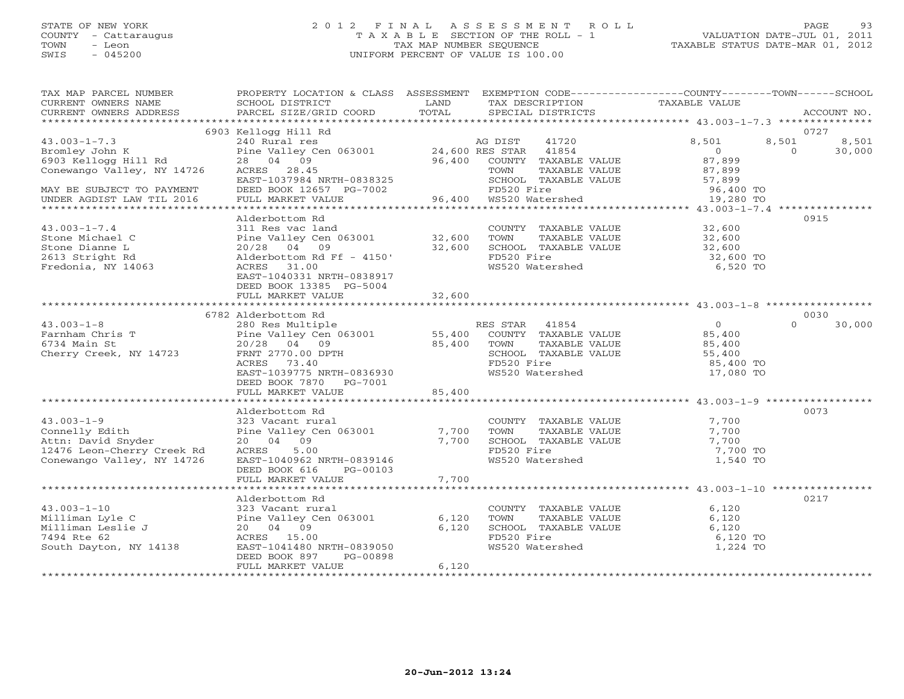### STATE OF NEW YORK 2 0 1 2 F I N A L A S S E S S M E N T R O L L PAGE 93 COUNTY - Cattaraugus T A X A B L E SECTION OF THE ROLL - 1 VALUATION DATE-JUL 01, 2011 TOWN - Leon TAX MAP NUMBER SEQUENCE TAXABLE STATUS DATE-MAR 01, 2012 SWIS - 045200 UNIFORM PERCENT OF VALUE IS 100.00UNIFORM PERCENT OF VALUE IS 100.00

| TAX MAP PARCEL NUMBER<br>CURRENT OWNERS NAME<br>CURRENT OWNERS ADDRESS                                                                                       | PROPERTY LOCATION & CLASS ASSESSMENT EXEMPTION CODE---------------COUNTY-------TOWN------SCHOOL<br>SCHOOL DISTRICT<br>PARCEL SIZE/GRID COORD                                                                                                                                                                                                       | LAND<br>TOTAL           | TAX DESCRIPTION<br>SPECIAL DISTRICTS                                                                                                               | TAXABLE VALUE                                                                            | ACCOUNT NO.                                  |
|--------------------------------------------------------------------------------------------------------------------------------------------------------------|----------------------------------------------------------------------------------------------------------------------------------------------------------------------------------------------------------------------------------------------------------------------------------------------------------------------------------------------------|-------------------------|----------------------------------------------------------------------------------------------------------------------------------------------------|------------------------------------------------------------------------------------------|----------------------------------------------|
|                                                                                                                                                              |                                                                                                                                                                                                                                                                                                                                                    |                         |                                                                                                                                                    |                                                                                          |                                              |
| $43.003 - 1 - 7.3$<br>oromrey John K<br>6903 Kellogg Hill Rd<br>Geri<br>Conewango Valley, NY 14726<br>MAY BE SUBJECT TO PAYMENT<br>UNDER AGDIST LAW TIL 2016 | 6903 Kellogg Hill Rd<br>EXAMPLE VALUE AND TAXABLE VALUE And TAXABLE VALUE And TAXABLE VALUE ACRES 28 04 09<br>EAST 279845 28 04 09<br>EAST 279844 1054<br>EAST 279844 NRTH-0838325 5<br>EAST 1037984 NRTH-0838325 5<br>FILIALLY SCHOOL TAXABLE VALUE SCHOOL TAXA<br>DEED BOOK 12657 PG-7002 FD520 Fire<br>FULL MARKET VALUE 96,400 WS520 Watershed |                         | SCHOOL TAXABLE VALUE                                                                                                                               | 8,501<br>$\overline{0}$<br>87,899<br>87,899<br>57,899<br>96,400 TO<br>19,280 TO          | 0727<br>8,501<br>8,501<br>$\Omega$<br>30,000 |
|                                                                                                                                                              | Alderbottom Rd                                                                                                                                                                                                                                                                                                                                     |                         |                                                                                                                                                    |                                                                                          | 0915                                         |
| $43.003 - 1 - 7.4$<br>Stone Michael C<br>Stone Dianne L<br>2613 Stright Rd<br>Fredonia, NY 14063                                                             | 311 Res vac land<br>Pine Valley Cen 063001 32,600<br>20/28 04 09 32,600<br>Alderbottom Rd Ff - 4150'<br>ACRES 31.00<br>EAST-1040331 NRTH-0838917<br>DEED BOOK 13385 PG-5004                                                                                                                                                                        |                         | COUNTY TAXABLE VALUE $32,600$<br>TOWN TAXABLE VALUE $32,600$<br>SCHOOL TAXABLE VALUE $32,600$<br>FD520 Fire $32,600$<br>WS520 Watershed $6,520$ TO |                                                                                          |                                              |
|                                                                                                                                                              | FULL MARKET VALUE                                                                                                                                                                                                                                                                                                                                  | 32,600                  |                                                                                                                                                    |                                                                                          |                                              |
|                                                                                                                                                              | 6782 Alderbottom Rd                                                                                                                                                                                                                                                                                                                                |                         |                                                                                                                                                    |                                                                                          | 0030                                         |
| $43.003 - 1 - 8$<br>Farnham Chris T<br>6734 Main St<br>Cherry Creek, NY 14723                                                                                | 280 Res Multiple<br>280 Res Multiple<br>Pine Valley Cen 063001 55,400 COUNTY TAXABLE VALUE<br>20/28 04 09<br>FRNT 2770.00 DPTH<br><b>TH</b><br>ACRES<br>73.40<br>EAST-1039775 NRTH-0836930<br>DEED BOOK 7870 PG-7001<br>FULL MARKET VALUE 85,400                                                                                                   | $85,400$<br>H           | TAXABLE VALUE<br>TOWN<br>TUWN MARABLE VALUE<br>FD520 Fire<br>WS520 Watershed                                                                       | $\begin{array}{c} 0 \\ 85,400 \end{array}$<br>85,400<br>55,400<br>85,400 TO<br>17,080 TO | $\cap$<br>30,000                             |
|                                                                                                                                                              |                                                                                                                                                                                                                                                                                                                                                    |                         |                                                                                                                                                    |                                                                                          |                                              |
| $43.003 - 1 - 9$<br>Connelly Edith<br>Attn: David Snyder<br>12476 Leon-Cherry Creek Rd<br>Conewango Valley, NY 14726                                         | Alderbottom Rd<br>323 Vacant rural<br>Pine Valley Cen 063001 7,700<br>20 04 09 7,700<br>ACRES 5.00<br>5.00<br>ACRES<br>EAST-1040962 NRTH-0839146<br>DEED BOOK 616<br>PG-00103<br>FULL MARKET VALUE                                                                                                                                                 | 7,700                   | COUNTY TAXABLE VALUE<br>TOWN TAXABLE VALUE<br>SCHOOL TAXABLE VALUE<br>FD520 Fire<br>WS520 Watershed                                                | 7,700<br>7,700<br>7,700<br>7,700 TO<br>1,540 TO                                          | 0073                                         |
|                                                                                                                                                              |                                                                                                                                                                                                                                                                                                                                                    |                         |                                                                                                                                                    |                                                                                          |                                              |
| $43.003 - 1 - 10$<br>----man Lyle C<br>Milliman Leslie J<br>7494 Rte 62<br>South Davter<br>South Dayton, NY 14138                                            | Alderbottom Rd<br>323 Vacant rural<br>Pine Valley Cen 063001<br>20 04 09<br>ACRES 15.00<br>EAST-1041480 NRTH-0839050<br>DEED BOOK 897<br>PG-00898<br>FULL MARKET VALUE                                                                                                                                                                             | 6,120<br>6,120<br>6,120 | COUNTY TAXABLE VALUE<br>TOWN<br>TAXABLE VALUE<br>SCHOOL TAXABLE VALUE<br>FD520 Fire<br>WS520 Watershed                                             | 6,120<br>6,120<br>6,120<br>6,120 TO<br>1,224 TO                                          | 0217                                         |
|                                                                                                                                                              |                                                                                                                                                                                                                                                                                                                                                    |                         |                                                                                                                                                    |                                                                                          |                                              |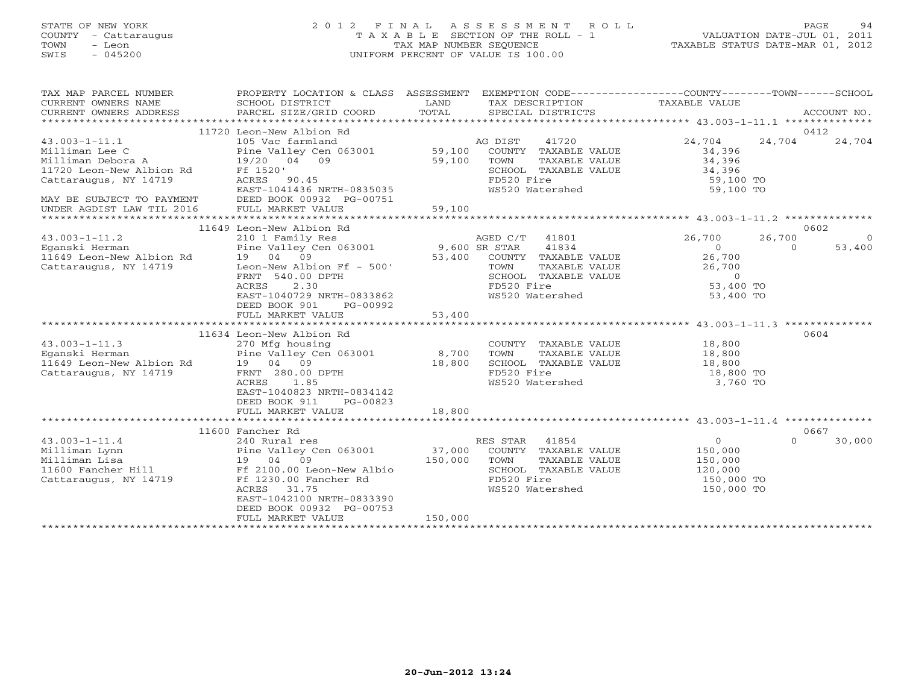# STATE OF NEW YORK 2 0 1 2 F I N A L A S S E S S M E N T R O L L PAGE 94 COUNTY - Cattaraugus T A X A B L E SECTION OF THE ROLL - 1 VALUATION DATE-JUL 01, 2011 TOWN - Leon TAX MAP NUMBER SEQUENCE TAXABLE STATUS DATE-MAR 01, 2012 SWIS - 045200 UNIFORM PERCENT OF VALUE IS 100.00UNIFORM PERCENT OF VALUE IS 100.00

| TAX MAP PARCEL NUMBER<br>CURRENT OWNERS NAME<br>CURRENT OWNERS ADDRESS<br>***********************                                                                         | PROPERTY LOCATION & CLASS ASSESSMENT<br>SCHOOL DISTRICT<br>PARCEL SIZE/GRID COORD                                                                                                                                                   | LAND<br>TOTAL                     | EXEMPTION CODE-----------------COUNTY-------TOWN------SCHOOL<br>TAX DESCRIPTION TAXABLE VALUE<br>SPECIAL DISTRICTS                |                                                                                   | ACCOUNT NO.                                     |
|---------------------------------------------------------------------------------------------------------------------------------------------------------------------------|-------------------------------------------------------------------------------------------------------------------------------------------------------------------------------------------------------------------------------------|-----------------------------------|-----------------------------------------------------------------------------------------------------------------------------------|-----------------------------------------------------------------------------------|-------------------------------------------------|
| $43.003 - 1 - 11.1$<br>Milliman Lee C<br>Milliman Debora A<br>11720 Leon-New Albion Rd<br>Cattaraugus, NY 14719<br>MAY BE SUBJECT TO PAYMENT<br>UNDER AGDIST LAW TIL 2016 | 11720 Leon-New Albion Rd<br>105 Vac farmland<br>Pine Valley Cen 063001 59,100<br>19/20 04 09<br>Ff 1520'<br>ACRES 90.45<br>EAST-1041436 NRTH-0835035<br>DEED BOOK 00932 PG-00751<br>FULL MARKET VALUE                               | 59,100<br>59,100                  | AG DIST<br>41720<br>COUNTY TAXABLE VALUE<br>TOWN<br>TAXABLE VALUE<br>SCHOOL TAXABLE VALUE<br>FD520 Fire<br>WS520 Watershed        | 24,704<br>34,396<br>34,396<br>34,396<br>59,100 TO<br>59,100 TO                    | 0412<br>24,704<br>24,704                        |
|                                                                                                                                                                           |                                                                                                                                                                                                                                     |                                   |                                                                                                                                   |                                                                                   |                                                 |
| $43.003 - 1 - 11.2$<br>Eqanski Herman<br>11649 Leon-New Albion Rd<br>Cattaraugus, NY 14719                                                                                | 11649 Leon-New Albion Rd<br>210 1 Family Res<br>Pine Valley Cen 063001<br>19 04 09<br>Leon-New Albion Ff - 500'<br>FRNT 540.00 DPTH<br>ACRES<br>2.30<br>EAST-1040729 NRTH-0833862<br>DEED BOOK 901<br>PG-00992<br>FULL MARKET VALUE | 9,600 SR STAR<br>53,400<br>53,400 | AGED C/T 41801<br>41834<br>COUNTY TAXABLE VALUE<br>TOWN<br>TAXABLE VALUE<br>SCHOOL TAXABLE VALUE<br>FD520 Fire<br>WS520 Watershed | 26,700<br>$\overline{0}$<br>26,700<br>26,700<br>$\circ$<br>53,400 TO<br>53,400 TO | 0602<br>26,700<br>$\circ$<br>$\Omega$<br>53,400 |
|                                                                                                                                                                           |                                                                                                                                                                                                                                     |                                   |                                                                                                                                   |                                                                                   |                                                 |
| $43.003 - 1 - 11.3$<br>Eganski Herman<br>11649 Leon-New Albion Rd<br>Cattaraugus, NY 14719                                                                                | 11634 Leon-New Albion Rd<br>270 Mfg housing<br>Pine Valley Cen 063001 8,700<br>19 04 09<br>FRNT 280.00 DPTH<br>ACRES<br>1.85<br>EAST-1040823 NRTH-0834142<br>DEED BOOK 911<br>PG-00823                                              | 18,800                            | COUNTY TAXABLE VALUE<br>TOWN<br>TAXABLE VALUE<br>SCHOOL TAXABLE VALUE<br>FD520 Fire<br>WS520 Watershed                            | 18,800<br>18,800<br>18,800<br>18,800 TO<br>3,760 TO                               | 0604                                            |
|                                                                                                                                                                           | FULL MARKET VALUE                                                                                                                                                                                                                   | 18,800                            |                                                                                                                                   |                                                                                   |                                                 |
|                                                                                                                                                                           | 11600 Fancher Rd                                                                                                                                                                                                                    |                                   |                                                                                                                                   |                                                                                   | 0667                                            |
| $43.003 - 1 - 11.4$<br>Milliman Lynn<br>Milliman Lisa<br>11600 Fancher Hill<br>Cattaraugus, NY 14719                                                                      | 240 Rural res<br>Pine Valley Cen 063001<br>09<br>19 04<br>Ff 2100.00 Leon-New Albio<br>Ff 1230.00 Fancher Rd<br>ACRES<br>31.75<br>EAST-1042100 NRTH-0833390<br>DEED BOOK 00932 PG-00753<br>FULL MARKET VALUE                        | 37,000<br>150,000<br>150,000      | RES STAR 41854<br>COUNTY TAXABLE VALUE<br>TOWN<br>TAXABLE VALUE<br>SCHOOL TAXABLE VALUE<br>FD520 Fire<br>WS520 Watershed          | $\overline{0}$<br>150,000<br>150,000<br>120,000<br>150,000 TO<br>150,000 TO       | $\Omega$<br>30,000                              |
|                                                                                                                                                                           |                                                                                                                                                                                                                                     |                                   |                                                                                                                                   |                                                                                   |                                                 |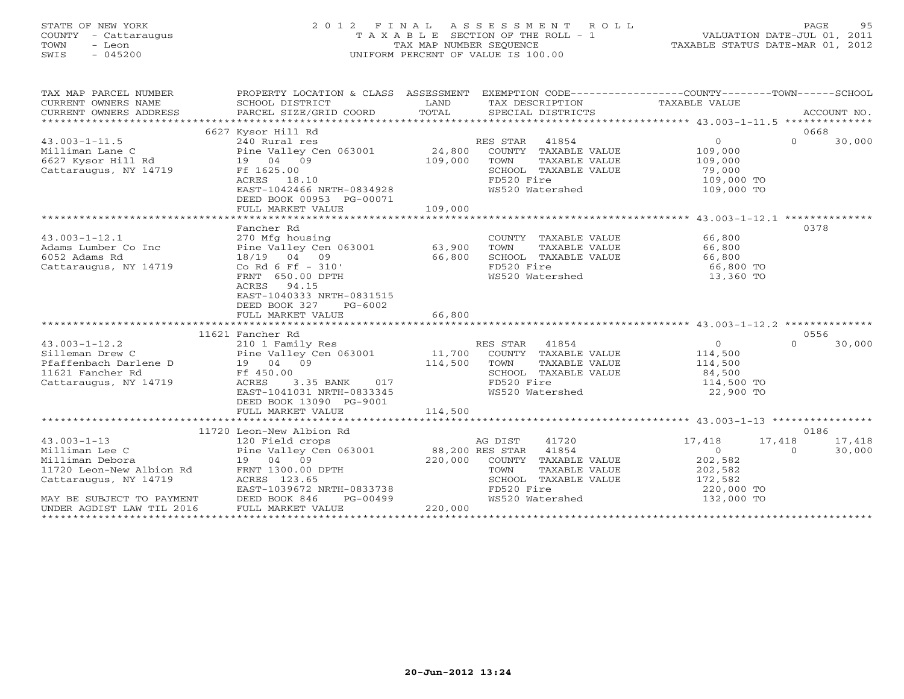# STATE OF NEW YORK 2 0 1 2 F I N A L A S S E S S M E N T R O L L PAGE 95 COUNTY - Cattaraugus T A X A B L E SECTION OF THE ROLL - 1 VALUATION DATE-JUL 01, 2011 TOWN - Leon TAX MAP NUMBER SEQUENCE TAXABLE STATUS DATE-MAR 01, 2012 SWIS - 045200 UNIFORM PERCENT OF VALUE IS 100.00UNIFORM PERCENT OF VALUE IS 100.00

| TAX MAP PARCEL NUMBER                                                                                                                                                                                                                                                                                                                                                                                                                                          | PROPERTY LOCATION & CLASS ASSESSMENT EXEMPTION CODE---------------COUNTY-------TOWN------SCHOOL                                                                                                                                                          |               |                                                                   |                                              |                          |
|----------------------------------------------------------------------------------------------------------------------------------------------------------------------------------------------------------------------------------------------------------------------------------------------------------------------------------------------------------------------------------------------------------------------------------------------------------------|----------------------------------------------------------------------------------------------------------------------------------------------------------------------------------------------------------------------------------------------------------|---------------|-------------------------------------------------------------------|----------------------------------------------|--------------------------|
| CURRENT OWNERS NAME<br>CURRENT OWNERS ADDRESS                                                                                                                                                                                                                                                                                                                                                                                                                  | SCHOOL DISTRICT LAND LAND LAND TOTAL                                                                                                                                                                                                                     |               | TAX DESCRIPTION TAXABLE VALUE                                     |                                              | ACCOUNT NO.              |
|                                                                                                                                                                                                                                                                                                                                                                                                                                                                |                                                                                                                                                                                                                                                          |               | SPECIAL DISTRICTS                                                 |                                              |                          |
|                                                                                                                                                                                                                                                                                                                                                                                                                                                                | 6627 Kysor Hill Rd                                                                                                                                                                                                                                       |               |                                                                   |                                              | 0668                     |
|                                                                                                                                                                                                                                                                                                                                                                                                                                                                |                                                                                                                                                                                                                                                          |               |                                                                   | $0 \qquad \qquad$                            | $\Omega$                 |
| $43.003 - 1 - 11.5$<br>43.003-1-11.5<br>Milliman Lane C<br>6627 Kysor Hill Rd<br>Cattaraugus, NY 14719<br>Cattaraugus, NY 14719<br>Cattaraugus, NY 14719<br>Cattaraugus, NY 14719<br>Cattaraugus, NY 14719<br>Cattaraugus, NY 14719<br>Cattaraugus, NY 14719<br>Cattaraug                                                                                                                                                                                      |                                                                                                                                                                                                                                                          |               | RES STAR 41854<br>COUNTY TAXABLE VALUE 109,000                    |                                              | 30,000                   |
|                                                                                                                                                                                                                                                                                                                                                                                                                                                                |                                                                                                                                                                                                                                                          |               |                                                                   |                                              |                          |
|                                                                                                                                                                                                                                                                                                                                                                                                                                                                |                                                                                                                                                                                                                                                          |               | TOWN<br>TAXABLE VALUE                                             | 109,000                                      |                          |
|                                                                                                                                                                                                                                                                                                                                                                                                                                                                |                                                                                                                                                                                                                                                          |               | SCHOOL TAXABLE VALUE                                              | 79,000<br>109,000 TO                         |                          |
|                                                                                                                                                                                                                                                                                                                                                                                                                                                                | ACRES 18.10                                                                                                                                                                                                                                              |               | FD520 Fire                                                        |                                              |                          |
|                                                                                                                                                                                                                                                                                                                                                                                                                                                                | EAST-1042466 NRTH-0834928                                                                                                                                                                                                                                |               | WS520 Watershed 109,000 TO                                        |                                              |                          |
|                                                                                                                                                                                                                                                                                                                                                                                                                                                                | DEED BOOK 00953 PG-00071                                                                                                                                                                                                                                 |               |                                                                   |                                              |                          |
|                                                                                                                                                                                                                                                                                                                                                                                                                                                                | FULL MARKET VALUE                                                                                                                                                                                                                                        | 109,000       |                                                                   |                                              |                          |
|                                                                                                                                                                                                                                                                                                                                                                                                                                                                |                                                                                                                                                                                                                                                          |               |                                                                   |                                              |                          |
| 43.003-1-12.1<br>Adams Lumber Co Inc<br>$\begin{array}{ccc}\n & 270 \text{ Mfg housing} \\  \text{Pine Valley Cen } 063001 \\  & 18/19 & 04 & 09 \\  & 18 & 2101\n\end{array}$ 66,800                                                                                                                                                                                                                                                                          | Fancher Rd                                                                                                                                                                                                                                               |               |                                                                   |                                              | 0378                     |
|                                                                                                                                                                                                                                                                                                                                                                                                                                                                |                                                                                                                                                                                                                                                          |               | COUNTY TAXABLE VALUE 66,800                                       |                                              |                          |
|                                                                                                                                                                                                                                                                                                                                                                                                                                                                |                                                                                                                                                                                                                                                          |               | TOWN                                                              | TAXABLE VALUE 66,800<br>TAXABLE VALUE 66,800 |                          |
|                                                                                                                                                                                                                                                                                                                                                                                                                                                                |                                                                                                                                                                                                                                                          |               | SCHOOL TAXABLE VALUE                                              |                                              |                          |
|                                                                                                                                                                                                                                                                                                                                                                                                                                                                |                                                                                                                                                                                                                                                          |               | FD520 Fire                                                        | 66,800 TO                                    |                          |
|                                                                                                                                                                                                                                                                                                                                                                                                                                                                | FRNT 650.00 DPTH                                                                                                                                                                                                                                         |               | WS520 Watershed                                                   | 13,360 TO                                    |                          |
|                                                                                                                                                                                                                                                                                                                                                                                                                                                                | ACRES 94.15                                                                                                                                                                                                                                              |               |                                                                   |                                              |                          |
|                                                                                                                                                                                                                                                                                                                                                                                                                                                                | EAST-1040333 NRTH-0831515                                                                                                                                                                                                                                |               |                                                                   |                                              |                          |
|                                                                                                                                                                                                                                                                                                                                                                                                                                                                | DEED BOOK 327<br>PG-6002                                                                                                                                                                                                                                 |               |                                                                   |                                              |                          |
|                                                                                                                                                                                                                                                                                                                                                                                                                                                                | FULL MARKET VALUE                                                                                                                                                                                                                                        | 66,800        |                                                                   |                                              |                          |
|                                                                                                                                                                                                                                                                                                                                                                                                                                                                |                                                                                                                                                                                                                                                          |               |                                                                   |                                              |                          |
|                                                                                                                                                                                                                                                                                                                                                                                                                                                                | 11621 Fancher Rd<br>210 1 Family Res                                                                                                                                                                                                                     |               |                                                                   |                                              | 0556                     |
| $43.003 - 1 - 12.2$<br>$\begin{array}{cccccc} \texttt{43.003--1-12.2} & \texttt{210 1 Family Res} & \texttt{RES STAR} & \texttt{41854} & \texttt{0} \\ \texttt{Silleman Drew C} & \texttt{Pine Valley Cen 063001} & \texttt{11,700} & \texttt{COUNTY} & \texttt{TAXABLE VALUE} & \texttt{114,500} \\ \texttt{Pfaffenbach Darlene D} & \texttt{19} & \texttt{04} & \texttt{09} & \texttt{114,500} & \texttt{TOXABLE VALUE} & \texttt{114,500} \\ \texttt{11621$ |                                                                                                                                                                                                                                                          |               | RES STAR 41854                                                    | $\overline{0}$                               | $\Omega$<br>30,000       |
|                                                                                                                                                                                                                                                                                                                                                                                                                                                                |                                                                                                                                                                                                                                                          |               |                                                                   |                                              |                          |
|                                                                                                                                                                                                                                                                                                                                                                                                                                                                |                                                                                                                                                                                                                                                          |               |                                                                   |                                              |                          |
|                                                                                                                                                                                                                                                                                                                                                                                                                                                                |                                                                                                                                                                                                                                                          |               |                                                                   |                                              |                          |
| Cattaraugus, NY 14719                                                                                                                                                                                                                                                                                                                                                                                                                                          | 3.35 BANK 017<br>ACRES                                                                                                                                                                                                                                   |               | FD520 Fire                                                        | 114,500 TO                                   |                          |
|                                                                                                                                                                                                                                                                                                                                                                                                                                                                | EAST-1041031 NRTH-0833345                                                                                                                                                                                                                                |               | WS520 Watershed                                                   | 22,900 TO                                    |                          |
|                                                                                                                                                                                                                                                                                                                                                                                                                                                                | DEED BOOK 13090 PG-9001                                                                                                                                                                                                                                  |               |                                                                   |                                              |                          |
|                                                                                                                                                                                                                                                                                                                                                                                                                                                                | FULL MARKET VALUE                                                                                                                                                                                                                                        | 114,500       |                                                                   |                                              |                          |
|                                                                                                                                                                                                                                                                                                                                                                                                                                                                |                                                                                                                                                                                                                                                          |               |                                                                   |                                              |                          |
|                                                                                                                                                                                                                                                                                                                                                                                                                                                                | 11720 Leon-New Albion Rd                                                                                                                                                                                                                                 |               |                                                                   |                                              | 0186                     |
| $43.003 - 1 - 13$                                                                                                                                                                                                                                                                                                                                                                                                                                              |                                                                                                                                                                                                                                                          |               |                                                                   | 17,418                                       | 17,418<br>17,418         |
| Milliman Lee C                                                                                                                                                                                                                                                                                                                                                                                                                                                 |                                                                                                                                                                                                                                                          |               |                                                                   | $\Omega$                                     | 30,000<br>$\overline{a}$ |
| Milliman Debora                                                                                                                                                                                                                                                                                                                                                                                                                                                |                                                                                                                                                                                                                                                          |               |                                                                   | 202,582                                      |                          |
|                                                                                                                                                                                                                                                                                                                                                                                                                                                                |                                                                                                                                                                                                                                                          |               |                                                                   |                                              |                          |
|                                                                                                                                                                                                                                                                                                                                                                                                                                                                | C<br>C<br>C<br>C<br>Pine Valley Cen 063001<br>Pine Valley Cen 063001<br>Pine Valley Cen 063001<br>220,000 COUNTY TAXABLE VALUE<br>TOWN TAXABLE VALUE<br>NY 14719<br>ACRES 123.65<br>PINE ACRES 123.65<br>PINE TOWN TAXABLE VALUE<br>SCHOOL TAXABLE VALUE |               |                                                                   | 202,582<br>172,582<br>220,000 TO             |                          |
|                                                                                                                                                                                                                                                                                                                                                                                                                                                                | EAST-1039672 NRTH-0833738                                                                                                                                                                                                                                |               | FD520 Fire<br>FD520 Fire 220,000 TO<br>WS520 Watershed 132,000 TO |                                              |                          |
| 11720 Leon-New Albion Rd<br>Cattaraugus, NY 14719<br>MAY BE SUBJECT TO PAYMENT<br>MAY BE SUBJECT TO PAYMENT<br>MAY BE SUBJECT TO PAYMENT<br>DEED BOOK 846 POUNDER AGDIST LAW TIL 2016 FULL MARKET VALUE                                                                                                                                                                                                                                                        | PG-00499                                                                                                                                                                                                                                                 | 99<br>220,000 |                                                                   |                                              |                          |
|                                                                                                                                                                                                                                                                                                                                                                                                                                                                |                                                                                                                                                                                                                                                          |               |                                                                   |                                              |                          |
|                                                                                                                                                                                                                                                                                                                                                                                                                                                                |                                                                                                                                                                                                                                                          |               |                                                                   |                                              |                          |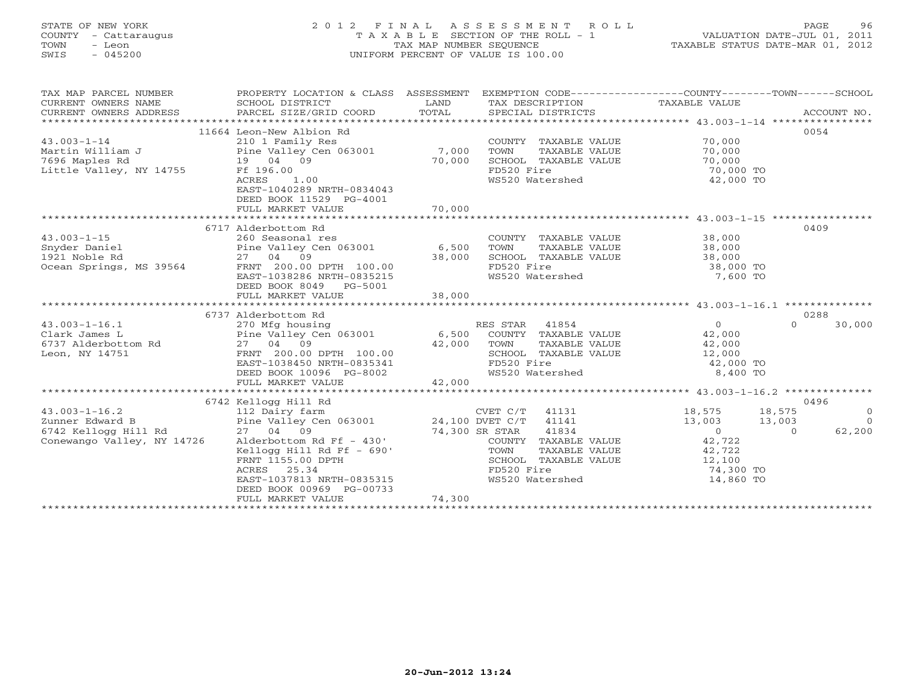# STATE OF NEW YORK 2 0 1 2 F I N A L A S S E S S M E N T R O L L PAGE 96 COUNTY - Cattaraugus T A X A B L E SECTION OF THE ROLL - 1 VALUATION DATE-JUL 01, 2011 TOWN - Leon TAX MAP NUMBER SEQUENCE TAXABLE STATUS DATE-MAR 01, 2012 SWIS - 045200 UNIFORM PERCENT OF VALUE IS 100.00UNIFORM PERCENT OF VALUE IS 100.00

| TAX MAP PARCEL NUMBER<br>CURRENT OWNERS NAME<br>CURRENT OWNERS ADDRESS | PROPERTY LOCATION & CLASS ASSESSMENT                                                     |        | EXEMPTION CODE-----------------COUNTY-------TOWN------SCHOOL |                                              |                    |
|------------------------------------------------------------------------|------------------------------------------------------------------------------------------|--------|--------------------------------------------------------------|----------------------------------------------|--------------------|
|                                                                        | 11664 Leon-New Albion Rd                                                                 |        |                                                              |                                              | 0054               |
| $43.003 - 1 - 14$                                                      | 210 1 Family Res                                                                         |        | COUNTY TAXABLE VALUE                                         | 70,000                                       |                    |
|                                                                        |                                                                                          |        | TOWN<br>TAXABLE VALUE                                        | 70,000                                       |                    |
| 7696 Maples Rd                                                         | 19 04 09                                                                                 | 70,000 | SCHOOL TAXABLE VALUE                                         | 70,000                                       |                    |
| Little Valley, NY 14755                                                | Ff 196.00                                                                                |        | FD520 Fire                                                   | $70,000$ TO<br>$70,000$ TO                   |                    |
|                                                                        | ACRES<br>1.00                                                                            |        | WS520 Watershed                                              | 42,000 TO                                    |                    |
|                                                                        | EAST-1040289 NRTH-0834043                                                                |        |                                                              |                                              |                    |
|                                                                        | DEED BOOK 11529 PG-4001                                                                  |        |                                                              |                                              |                    |
|                                                                        | FULL MARKET VALUE                                                                        | 70,000 |                                                              |                                              |                    |
|                                                                        |                                                                                          |        |                                                              |                                              |                    |
|                                                                        | 6717 Alderbottom Rd                                                                      |        |                                                              |                                              | 0409               |
| $43.003 - 1 - 15$                                                      | 260 Seasonal res                                                                         |        | COUNTY TAXABLE VALUE 38,000                                  |                                              |                    |
| Snyder Daniel                                                          | Pine Valley Cen 063001 6,500                                                             |        | TOWN<br>TAXABLE VALUE                                        | 38,000                                       |                    |
| MS 39564<br>1921 Noble Rd                                              | 27 04 09 38,000<br>FRNT 200.00 DPTH 100.00 38,000                                        |        | SCHOOL TAXABLE VALUE 38,000                                  |                                              |                    |
| Ocean Springs, MS 39564                                                |                                                                                          |        | FD520 Fire<br>FD520 Fire<br>WS520 Watershed                  | 38,000 TO<br>7,600 TO                        |                    |
|                                                                        | EAST-1038286 NRTH-0835215                                                                |        |                                                              |                                              |                    |
|                                                                        | DEED BOOK 8049 PG-5001                                                                   |        |                                                              |                                              |                    |
|                                                                        |                                                                                          |        |                                                              |                                              |                    |
|                                                                        | 6737 Alderbottom Rd                                                                      |        |                                                              |                                              | 0288               |
| $43.003 - 1 - 16.1$                                                    |                                                                                          |        |                                                              | $\overline{0}$                               | $\Omega$<br>30,000 |
| Clark James L                                                          |                                                                                          |        |                                                              | 42,000                                       |                    |
| 6737 Alderbottom Rd                                                    | 27 04 09                                                                                 | 42,000 | TOWN                                                         | TAXABLE VALUE 42,000                         |                    |
| Leon, NY 14751                                                         | FRNT 200.00 DPTH 100.00                                                                  |        | SCHOOL TAXABLE VALUE 12,000                                  |                                              |                    |
|                                                                        | EAST-1038450 NRTH-0835341                                                                |        | FD520 Fire                                                   | 42,000 TO                                    |                    |
|                                                                        | DEED BOOK 10096 PG-8002                                                                  |        | WS520 Watershed                                              | 8,400 TO                                     |                    |
|                                                                        | FULL MARKET VALUE                                                                        | 42,000 |                                                              |                                              |                    |
|                                                                        |                                                                                          |        |                                                              |                                              |                    |
|                                                                        | 6742 Kellogg Hill Rd<br>112 Dairy farm<br>Pine Valley Cen 063001<br>27 04 09<br>27 04 09 |        |                                                              |                                              | 0496               |
| $43.003 - 1 - 16.2$                                                    |                                                                                          |        |                                                              | 18,575                                       | 18,575<br>$\circ$  |
| Zunner Edward B                                                        |                                                                                          |        |                                                              | 13,003                                       | 13,003<br>$\Omega$ |
| 6742 Kellogg Hill Rd                                                   |                                                                                          |        | 74,300 SR STAR<br>41834                                      | $\overline{O}$                               | $\cap$<br>62,200   |
| Conewango Valley, NY 14726                                             | Alderbottom Rd Ff - 430'                                                                 |        | COUNTY TAXABLE VALUE 42,722                                  |                                              |                    |
|                                                                        | Kellogg Hill Rd Ff - $690'$                                                              |        | TOWN                                                         | TAXABLE VALUE 42,722<br>TAXABLE VALUE 12,100 |                    |
|                                                                        | FRNT 1155.00 DPTH                                                                        |        | SCHOOL TAXABLE VALUE                                         |                                              |                    |
|                                                                        | ACRES 25.34                                                                              |        | FD520 Fire                                                   | 74,300 TO                                    |                    |
|                                                                        | EAST-1037813 NRTH-0835315                                                                |        | WS520 Watershed                                              | 14,860 TO                                    |                    |
|                                                                        | DEED BOOK 00969 PG-00733<br>FULL MARKET VALUE                                            |        |                                                              |                                              |                    |
|                                                                        |                                                                                          | 74,300 |                                                              |                                              |                    |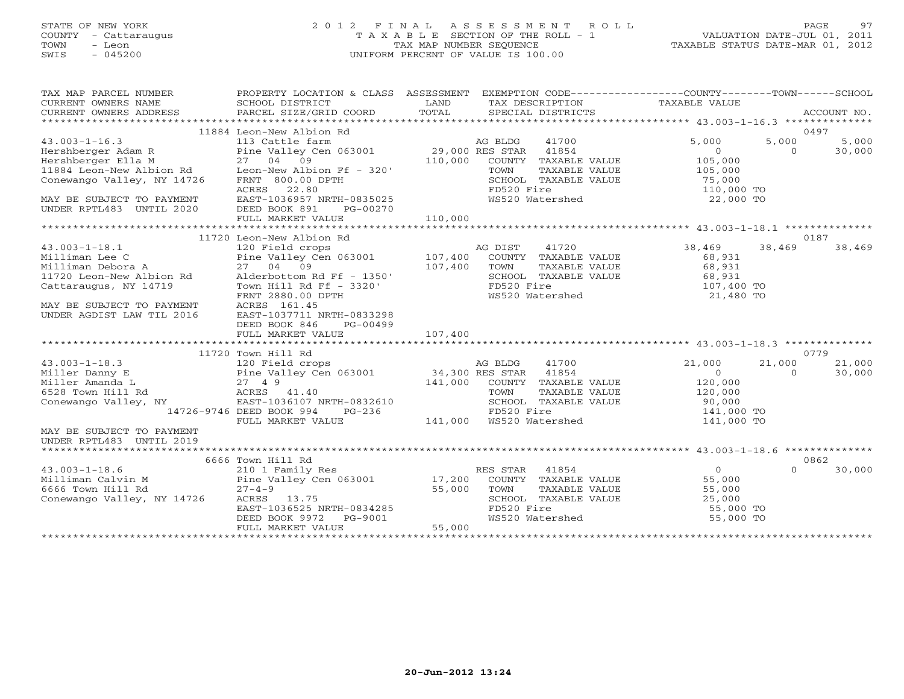# STATE OF NEW YORK 2 0 1 2 F I N A L A S S E S S M E N T R O L L PAGE 97 COUNTY - Cattaraugus T A X A B L E SECTION OF THE ROLL - 1 VALUATION DATE-JUL 01, 2011 TOWN - Leon TAX MAP NUMBER SEQUENCE TAXABLE STATUS DATE-MAR 01, 2012 SWIS - 045200 UNIFORM PERCENT OF VALUE IS 100.00UNIFORM PERCENT OF VALUE IS 100.00

| TAX MAP PARCEL NUMBER<br>CURRENT OWNERS NAME<br>CONNENT OWNERS ADDRESS BARCEL SIZE/GRID COORD FOTAL SECIAL DISTRICTS FOR THE CONNEX BOCCOUNT NO.<br>FECIAL SECIAL DISTRICTS FOR POTAL SECIAL DISTRICTS ACCOUNT NO.                                                                                                                                                                                       | PROPERTY LOCATION & CLASS ASSESSMENT EXEMPTION CODE---------------COUNTY-------TOWN------SCHOOL<br>SCHOOL DISTRICT | LAND    |                |                                    | TAX DESCRIPTION TAXABLE VALUE                                                                                      |                    |        |
|----------------------------------------------------------------------------------------------------------------------------------------------------------------------------------------------------------------------------------------------------------------------------------------------------------------------------------------------------------------------------------------------------------|--------------------------------------------------------------------------------------------------------------------|---------|----------------|------------------------------------|--------------------------------------------------------------------------------------------------------------------|--------------------|--------|
|                                                                                                                                                                                                                                                                                                                                                                                                          | 11884 Leon-New Albion Rd                                                                                           |         |                |                                    |                                                                                                                    |                    | 0497   |
|                                                                                                                                                                                                                                                                                                                                                                                                          |                                                                                                                    |         |                |                                    |                                                                                                                    | 5,000              | 5,000  |
|                                                                                                                                                                                                                                                                                                                                                                                                          |                                                                                                                    |         |                |                                    | 5,000                                                                                                              |                    |        |
|                                                                                                                                                                                                                                                                                                                                                                                                          |                                                                                                                    |         |                |                                    | $\overline{0}$<br>105,000                                                                                          | $\circ$            | 30,000 |
|                                                                                                                                                                                                                                                                                                                                                                                                          |                                                                                                                    |         |                | COUNTY TAXABLE VALUE               |                                                                                                                    |                    |        |
|                                                                                                                                                                                                                                                                                                                                                                                                          |                                                                                                                    |         |                | TAXABLE VALUE                      | 105,000<br>75,000                                                                                                  |                    |        |
|                                                                                                                                                                                                                                                                                                                                                                                                          |                                                                                                                    |         | FD520 Fire     | SCHOOL TAXABLE VALUE<br>FD520 Fire | 110,000 TO                                                                                                         |                    |        |
|                                                                                                                                                                                                                                                                                                                                                                                                          | ACRES 22.80                                                                                                        |         |                |                                    |                                                                                                                    |                    |        |
| MAY BE SUBJECT TO PAYMENT                                                                                                                                                                                                                                                                                                                                                                                | $\text{EAST}-1036957 \quad \text{NRTH}-0835025$                                                                    |         |                | WS520 Watershed                    | 22,000 TO                                                                                                          |                    |        |
| UNDER RPTL483 UNTIL 2020                                                                                                                                                                                                                                                                                                                                                                                 | DEED BOOK 891<br>PG-00270                                                                                          |         |                |                                    |                                                                                                                    |                    |        |
|                                                                                                                                                                                                                                                                                                                                                                                                          | FULL MARKET VALUE                                                                                                  | 110,000 |                |                                    |                                                                                                                    |                    |        |
|                                                                                                                                                                                                                                                                                                                                                                                                          |                                                                                                                    |         |                |                                    |                                                                                                                    |                    |        |
|                                                                                                                                                                                                                                                                                                                                                                                                          |                                                                                                                    |         |                |                                    | 38,469                                                                                                             |                    | 0187   |
|                                                                                                                                                                                                                                                                                                                                                                                                          |                                                                                                                    |         | AG DIST 41720  |                                    |                                                                                                                    | 38,469             | 38,469 |
|                                                                                                                                                                                                                                                                                                                                                                                                          |                                                                                                                    |         |                | COUNTY TAXABLE VALUE               | 68,931                                                                                                             |                    |        |
|                                                                                                                                                                                                                                                                                                                                                                                                          |                                                                                                                    |         |                |                                    | TOWN TAXABLE VALUE<br>SCHOOL TAXABLE VALUE 68,931<br>FD520 Fire 107,400 TO                                         |                    |        |
|                                                                                                                                                                                                                                                                                                                                                                                                          |                                                                                                                    |         |                |                                    |                                                                                                                    |                    |        |
|                                                                                                                                                                                                                                                                                                                                                                                                          |                                                                                                                    |         |                |                                    |                                                                                                                    |                    |        |
| $\begin{tabular}{lllllllllllllllllllllll} & & & & 11720\text{ Leon-New Albion Rd} \\ 43.003-1-18.1 & & & 120\text{ Field crops} & & & \\ \text{Milliman Lee C} & & & \text{Pine Valley Cen 063001} & & 107,400 & \\ \text{Milliman Debora A} & & 27 & 04 & 09 & & 107,400 \\ \text{11720 Leon-New Albion Rd} & & 27 & 04 & 09 & & 107,400 \\ \text{Cattaraugus, NY 14719} & & \text{Tom Hill Rd Ff - 33$ |                                                                                                                    |         |                | WS520 Watershed                    | 21,480 TO                                                                                                          |                    |        |
| MAY BE SUBJECT TO PAYMENT                                                                                                                                                                                                                                                                                                                                                                                | ACRES 161.45                                                                                                       |         |                |                                    |                                                                                                                    |                    |        |
| UNDER AGDIST LAW TIL 2016                                                                                                                                                                                                                                                                                                                                                                                | EAST-1037711 NRTH-0833298                                                                                          |         |                |                                    |                                                                                                                    |                    |        |
|                                                                                                                                                                                                                                                                                                                                                                                                          | DEED BOOK 846<br>PG-00499                                                                                          |         |                |                                    |                                                                                                                    |                    |        |
|                                                                                                                                                                                                                                                                                                                                                                                                          |                                                                                                                    |         |                |                                    |                                                                                                                    |                    |        |
|                                                                                                                                                                                                                                                                                                                                                                                                          |                                                                                                                    |         |                |                                    |                                                                                                                    |                    |        |
|                                                                                                                                                                                                                                                                                                                                                                                                          | 11720 Town Hill Rd                                                                                                 |         |                |                                    |                                                                                                                    |                    | 0779   |
|                                                                                                                                                                                                                                                                                                                                                                                                          |                                                                                                                    |         |                |                                    | 21,000                                                                                                             | 21,000<br>$\Omega$ | 21,000 |
|                                                                                                                                                                                                                                                                                                                                                                                                          |                                                                                                                    |         |                |                                    | $\sim$ 0                                                                                                           |                    | 30,000 |
|                                                                                                                                                                                                                                                                                                                                                                                                          |                                                                                                                    |         |                |                                    | COUNTY TAXABLE VALUE 120,000                                                                                       |                    |        |
|                                                                                                                                                                                                                                                                                                                                                                                                          |                                                                                                                    |         |                |                                    |                                                                                                                    |                    |        |
|                                                                                                                                                                                                                                                                                                                                                                                                          |                                                                                                                    |         |                |                                    | TOWN TAXABLE VALUE 120,000<br>RTH-0832610 SCHOOL TAXABLE VALUE 90,000<br>PG-236 141,000 WS520 Watershed 141,000 TO |                    |        |
|                                                                                                                                                                                                                                                                                                                                                                                                          | 14726-9746 DEED BOOK 994                                                                                           |         |                |                                    |                                                                                                                    |                    |        |
|                                                                                                                                                                                                                                                                                                                                                                                                          | FULL MARKET VALUE                                                                                                  |         |                |                                    |                                                                                                                    |                    |        |
| MAY BE SUBJECT TO PAYMENT                                                                                                                                                                                                                                                                                                                                                                                |                                                                                                                    |         |                |                                    |                                                                                                                    |                    |        |
| UNDER RPTL483 UNTIL 2019                                                                                                                                                                                                                                                                                                                                                                                 |                                                                                                                    |         |                |                                    |                                                                                                                    |                    |        |
|                                                                                                                                                                                                                                                                                                                                                                                                          |                                                                                                                    |         |                |                                    |                                                                                                                    |                    |        |
|                                                                                                                                                                                                                                                                                                                                                                                                          | 6666 Town Hill Rd                                                                                                  |         |                |                                    |                                                                                                                    |                    | 0862   |
|                                                                                                                                                                                                                                                                                                                                                                                                          |                                                                                                                    |         | RES STAR 41854 |                                    | $\overline{0}$                                                                                                     | $\Omega$           | 30,000 |
| $\begin{array}{lll}\n 43.003-1-18.6 & \text{cm} & \text{cm} & \text{R} \\  \text{Milliman} & \text{Calvin M} & \text{Pine Valley Cen 063001} & \text{I7,200} \\  6666 & \text{Tomum Hill Rd} & \text{27-4-9} & \text{Cone} & \text{Cone} \\  \text{COMOMM} & \text{Hill} & \text{Cone} & \text{Mill} \\  \text{COMOMM} & \text{Cone} & \text{Mill} & \text{Cone} & \text{Mill} \\  \end{array}$          |                                                                                                                    |         |                |                                    | ES STAR (41004)<br>COUNTY TAXABLE VALUE (55,000)<br>TOURI TRYARLE VALUE (55,000)                                   |                    |        |
|                                                                                                                                                                                                                                                                                                                                                                                                          |                                                                                                                    | 55,000  |                |                                    | TOWN TAXABLE VALUE 55,000<br>SCHOOL TAXABLE VALUE 25,000<br>FD520 Fire 55,000<br>WS520 Watershed 55,000            |                    |        |
| Conewango Valley, NY 14726                                                                                                                                                                                                                                                                                                                                                                               | ACRES 13.75                                                                                                        |         |                |                                    |                                                                                                                    |                    |        |
|                                                                                                                                                                                                                                                                                                                                                                                                          |                                                                                                                    |         |                |                                    | $55,000$ TO                                                                                                        |                    |        |
|                                                                                                                                                                                                                                                                                                                                                                                                          | ACRES 13.75<br>EAST-1036525 NRTH-0834285<br>DEED BOOK 9972 PG-9001<br>FULL MARKET VALUE 55,000                     |         |                |                                    | 55,000 TO                                                                                                          |                    |        |
|                                                                                                                                                                                                                                                                                                                                                                                                          |                                                                                                                    |         |                |                                    |                                                                                                                    |                    |        |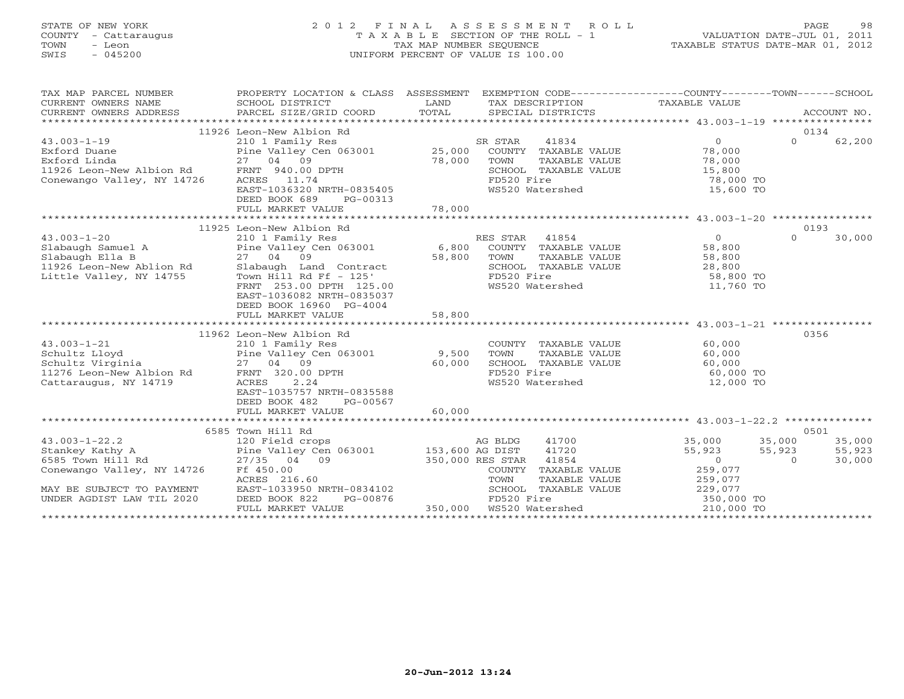# STATE OF NEW YORK 2 0 1 2 F I N A L A S S E S S M E N T R O L L PAGE 98 COUNTY - Cattaraugus T A X A B L E SECTION OF THE ROLL - 1 VALUATION DATE-JUL 01, 2011 TOWN - Leon TAX MAP NUMBER SEQUENCE TAXABLE STATUS DATE-MAR 01, 2012 SWIS - 045200 UNIFORM PERCENT OF VALUE IS 100.00UNIFORM PERCENT OF VALUE IS 100.00

| TAX MAP PARCEL NUMBER<br>CURRENT OWNERS NAME<br>CURRENT OWNERS NAME SCHOOL DISTRICT COORD TOTAL TAX DESCRIPTION TAXABLE VALUE<br>XX DESCRIPTION TOTAL SPECIAL DISTRICTS ACCOUNT NO.<br>XX ALLE SERVICE STAR SPECIAL DISTRICTS ACCOUNT NO. | PROPERTY LOCATION & CLASS ASSESSMENT EXEMPTION CODE----------------COUNTY-------TOWN------SCHOOL                                               |        |                                                                                                                                                                                                                                                                                                                                                                                                |                                                |                    |
|-------------------------------------------------------------------------------------------------------------------------------------------------------------------------------------------------------------------------------------------|------------------------------------------------------------------------------------------------------------------------------------------------|--------|------------------------------------------------------------------------------------------------------------------------------------------------------------------------------------------------------------------------------------------------------------------------------------------------------------------------------------------------------------------------------------------------|------------------------------------------------|--------------------|
|                                                                                                                                                                                                                                           | 11926 Leon-New Albion Rd                                                                                                                       |        |                                                                                                                                                                                                                                                                                                                                                                                                |                                                | 0134               |
|                                                                                                                                                                                                                                           |                                                                                                                                                |        | SR STAR<br>41834                                                                                                                                                                                                                                                                                                                                                                               | $\overline{0}$                                 | $\Omega$<br>62,200 |
| Exford Duane<br>Exford Linda<br>Exford Linda<br>1926 Leon-New Albion Rd<br>27 04 09<br>27 04 09 78,000<br>27 04 09 78,000<br>27 04 09 78,000<br>27 04 09 78,000<br>27 04 09 78,000                                                        |                                                                                                                                                |        | 3 STAR 41834<br>COUNTY TAXABLE VALUE 78,000<br>-----  mayarir VALUE 78,000                                                                                                                                                                                                                                                                                                                     |                                                |                    |
|                                                                                                                                                                                                                                           |                                                                                                                                                |        | $\begin{tabular}{lllllllllll} \multicolumn{2}{c}{\text{COUNTY}} & \text{TAXABLE} & \text{VALUE} & & & & & & & & \\ \multicolumn{2}{c}{\text{TOWN}} & \text{TAXABLE} & \text{VALUE} & & & & & & & \\ \multicolumn{2}{c}{\text{SCHOOL}} & \text{TAXABLE} & \text{VALUE} & & & & 15,800 & \text{TO} \\ & & & & & & & & 78,000 & \text{TO} \\ & & & & & & & & 75,600 & \text{TO} \\ \end{tabular}$ |                                                |                    |
|                                                                                                                                                                                                                                           |                                                                                                                                                |        |                                                                                                                                                                                                                                                                                                                                                                                                |                                                |                    |
|                                                                                                                                                                                                                                           |                                                                                                                                                |        |                                                                                                                                                                                                                                                                                                                                                                                                |                                                |                    |
|                                                                                                                                                                                                                                           | ACRES 11.74<br>EAST-1036320 NRTH-0835405                                                                                                       |        |                                                                                                                                                                                                                                                                                                                                                                                                | 15,600 TO                                      |                    |
|                                                                                                                                                                                                                                           | DEED BOOK 689<br>PG-00313                                                                                                                      |        |                                                                                                                                                                                                                                                                                                                                                                                                |                                                |                    |
|                                                                                                                                                                                                                                           | FULL MARKET VALUE                                                                                                                              | 78,000 |                                                                                                                                                                                                                                                                                                                                                                                                |                                                |                    |
|                                                                                                                                                                                                                                           |                                                                                                                                                |        |                                                                                                                                                                                                                                                                                                                                                                                                |                                                |                    |
|                                                                                                                                                                                                                                           | 11925 Leon-New Albion Rd                                                                                                                       |        |                                                                                                                                                                                                                                                                                                                                                                                                |                                                | 0193               |
|                                                                                                                                                                                                                                           |                                                                                                                                                |        |                                                                                                                                                                                                                                                                                                                                                                                                |                                                | $\Omega$<br>30,000 |
|                                                                                                                                                                                                                                           |                                                                                                                                                |        |                                                                                                                                                                                                                                                                                                                                                                                                |                                                |                    |
|                                                                                                                                                                                                                                           |                                                                                                                                                |        |                                                                                                                                                                                                                                                                                                                                                                                                |                                                |                    |
|                                                                                                                                                                                                                                           |                                                                                                                                                |        |                                                                                                                                                                                                                                                                                                                                                                                                |                                                |                    |
|                                                                                                                                                                                                                                           |                                                                                                                                                |        |                                                                                                                                                                                                                                                                                                                                                                                                |                                                |                    |
|                                                                                                                                                                                                                                           | FRNT 253.00 DPTH 125.00                                                                                                                        |        | WS520 Watershed                                                                                                                                                                                                                                                                                                                                                                                | 58,800 TO<br>11,760 TO                         |                    |
|                                                                                                                                                                                                                                           | EAST-1036082 NRTH-0835037                                                                                                                      |        |                                                                                                                                                                                                                                                                                                                                                                                                |                                                |                    |
|                                                                                                                                                                                                                                           | DEED BOOK 16960 PG-4004                                                                                                                        |        |                                                                                                                                                                                                                                                                                                                                                                                                |                                                |                    |
|                                                                                                                                                                                                                                           | FULL MARKET VALUE                                                                                                                              | 58,800 |                                                                                                                                                                                                                                                                                                                                                                                                |                                                |                    |
|                                                                                                                                                                                                                                           |                                                                                                                                                |        |                                                                                                                                                                                                                                                                                                                                                                                                |                                                |                    |
|                                                                                                                                                                                                                                           | 11962 Leon-New Albion Rd                                                                                                                       |        |                                                                                                                                                                                                                                                                                                                                                                                                |                                                | 0356               |
| $43.003 - 1 - 21$                                                                                                                                                                                                                         | 210 1 Family Res                                                                                                                               |        | COUNTY TAXABLE VALUE 60,000                                                                                                                                                                                                                                                                                                                                                                    |                                                |                    |
|                                                                                                                                                                                                                                           |                                                                                                                                                |        |                                                                                                                                                                                                                                                                                                                                                                                                |                                                |                    |
| Schultz Lloyd<br>Schultz Virginia<br>11276 Leon-New Albion Rd<br>11276 Leon-New Albion Rd<br>FRNT 320.00 DPTH<br>FRNT 320.00 DPTH                                                                                                         |                                                                                                                                                |        | TOWN TAXABLE VALUE 60,000<br>SCHOOL TAXABLE VALUE 60,000<br>FD520 Fire 60,000 TO                                                                                                                                                                                                                                                                                                               |                                                |                    |
|                                                                                                                                                                                                                                           |                                                                                                                                                | 60,000 |                                                                                                                                                                                                                                                                                                                                                                                                |                                                |                    |
| Cattaraugus, NY 14719                                                                                                                                                                                                                     | 2.24<br>ACRES                                                                                                                                  |        | FD520 Fire<br>WS520 Watershed 12,000 TO                                                                                                                                                                                                                                                                                                                                                        |                                                |                    |
|                                                                                                                                                                                                                                           | EAST-1035757 NRTH-0835588                                                                                                                      |        |                                                                                                                                                                                                                                                                                                                                                                                                |                                                |                    |
|                                                                                                                                                                                                                                           | DEED BOOK 482<br>PG-00567                                                                                                                      |        |                                                                                                                                                                                                                                                                                                                                                                                                |                                                |                    |
|                                                                                                                                                                                                                                           | FULL MARKET VALUE                                                                                                                              | 60,000 |                                                                                                                                                                                                                                                                                                                                                                                                |                                                |                    |
|                                                                                                                                                                                                                                           |                                                                                                                                                |        |                                                                                                                                                                                                                                                                                                                                                                                                |                                                |                    |
|                                                                                                                                                                                                                                           | 0000 TOWN Hill Rd<br>120 Field crops<br>27/35 04 09<br>153,600 AG DIST<br>Rd<br>27/35 04 09<br>27/35 04 09<br>27/35 04 09<br>27/36 PEACE 27/36 |        |                                                                                                                                                                                                                                                                                                                                                                                                |                                                | 0501               |
| $43.003 - 1 - 22.2$                                                                                                                                                                                                                       |                                                                                                                                                |        | 41700                                                                                                                                                                                                                                                                                                                                                                                          | 35,000                                         | 35,000<br>35,000   |
| Stankey Kathy A                                                                                                                                                                                                                           |                                                                                                                                                |        | 41720                                                                                                                                                                                                                                                                                                                                                                                          | 55,923                                         | 55,923<br>55,923   |
| 6585 Town Hill Rd                                                                                                                                                                                                                         |                                                                                                                                                |        | 350,000 RES STAR 41854                                                                                                                                                                                                                                                                                                                                                                         | $\begin{bmatrix} 2 & 3 \\ 0 & 0 \end{bmatrix}$ | $\Omega$<br>30,000 |
| Conewango Valley, NY 14726                                                                                                                                                                                                                | Ff 450.00                                                                                                                                      |        |                                                                                                                                                                                                                                                                                                                                                                                                |                                                |                    |
|                                                                                                                                                                                                                                           | ACRES 216.60                                                                                                                                   |        | COUNTY TAXABLE VALUE $259,077$<br>TOWN TAXABLE VALUE $259,077$<br>SCHOOL TAXABLE VALUE $229,077$<br>FD520 Fire                                                                                                                                                                                                                                                                                 |                                                |                    |
| MAY BE SUBJECT TO PAYMENT EAST-1033950 NRTH-0834102                                                                                                                                                                                       |                                                                                                                                                |        |                                                                                                                                                                                                                                                                                                                                                                                                |                                                |                    |
| UNDER AGDIST LAW TIL 2020                                                                                                                                                                                                                 | DEED BOOK 822<br>PG-00876                                                                                                                      |        |                                                                                                                                                                                                                                                                                                                                                                                                |                                                |                    |
|                                                                                                                                                                                                                                           | FULL MARKET VALUE                                                                                                                              |        |                                                                                                                                                                                                                                                                                                                                                                                                | 210,000 TO                                     |                    |
|                                                                                                                                                                                                                                           |                                                                                                                                                |        |                                                                                                                                                                                                                                                                                                                                                                                                |                                                |                    |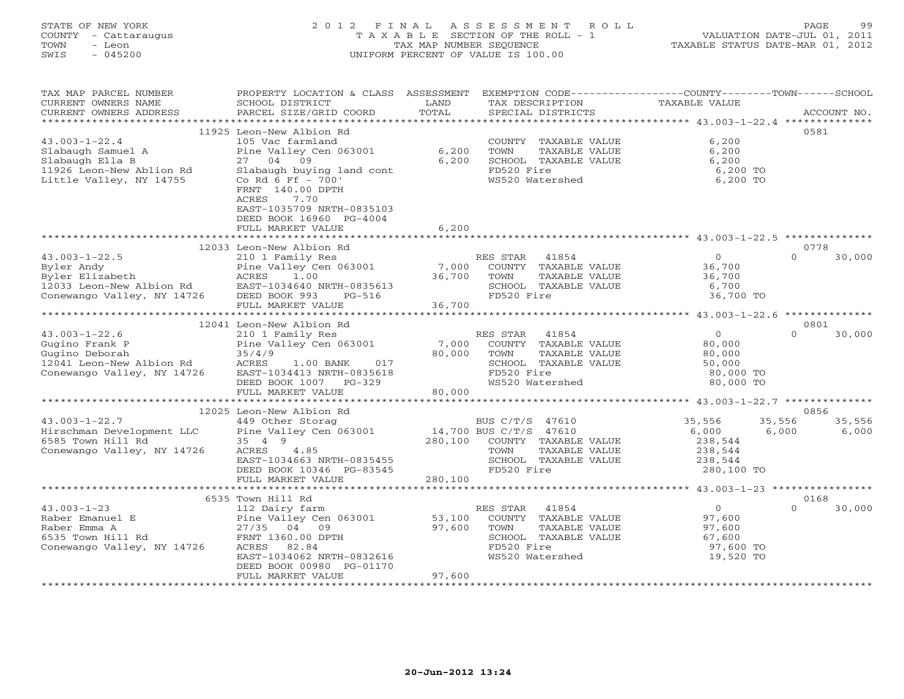# STATE OF NEW YORK 2 0 1 2 F I N A L A S S E S S M E N T R O L L PAGE 99 COUNTY - Cattaraugus T A X A B L E SECTION OF THE ROLL - 1 VALUATION DATE-JUL 01, 2011 TOWN - Leon TAX MAP NUMBER SEQUENCE TAXABLE STATUS DATE-MAR 01, 2012 SWIS - 045200 UNIFORM PERCENT OF VALUE IS 100.00UNIFORM PERCENT OF VALUE IS 100.00

| TAX MAP PARCEL NUMBER<br>CURRENT OWNERS NAME<br>CURRENT OWNERS ADDRESS                                      | PROPERTY LOCATION & CLASS ASSESSMENT EXEMPTION CODE---------------COUNTY-------TOWN------SCHOOL<br>SCHOOL DISTRICT<br>PARCEL SIZE/GRID COORD | LAND<br>TOTAL | TAX DESCRIPTION<br>SPECIAL DISTRICTS | TAXABLE VALUE   | ACCOUNT NO.              |
|-------------------------------------------------------------------------------------------------------------|----------------------------------------------------------------------------------------------------------------------------------------------|---------------|--------------------------------------|-----------------|--------------------------|
| ************************                                                                                    |                                                                                                                                              |               |                                      |                 |                          |
|                                                                                                             | 11925 Leon-New Albion Rd                                                                                                                     |               |                                      |                 | 0581                     |
| $43.003 - 1 - 22.4$                                                                                         | 105 Vac farmland                                                                                                                             |               | COUNTY TAXABLE VALUE                 | 6,200           |                          |
| Slabaugh Samuel A                                                                                           | Pine Valley Cen 063001                                                                                                                       | 6,200         | TOWN<br>TAXABLE VALUE                | 6,200           |                          |
| Slabaugh Ella B                                                                                             | 27 04 09                                                                                                                                     | 6,200         | SCHOOL TAXABLE VALUE                 | 6,200           |                          |
|                                                                                                             | Slabaugh buying land cont                                                                                                                    |               | FD520 Fire                           | 6,200 TO        |                          |
| Slabaugh Ella B<br>11926 Leon-New Ablion Rd<br>Little Valley, NY 14755                                      | Co Rd 6 Ff - 700'                                                                                                                            |               | WS520 Watershed                      | 6,200 TO        |                          |
|                                                                                                             | FRNT 140.00 DPTH                                                                                                                             |               |                                      |                 |                          |
|                                                                                                             | ACRES<br>7.70                                                                                                                                |               |                                      |                 |                          |
|                                                                                                             | EAST-1035709 NRTH-0835103                                                                                                                    |               |                                      |                 |                          |
|                                                                                                             | DEED BOOK 16960 PG-4004                                                                                                                      |               |                                      |                 |                          |
|                                                                                                             | FULL MARKET VALUE<br>**************************                                                                                              | 6,200         |                                      |                 |                          |
|                                                                                                             |                                                                                                                                              |               |                                      |                 | 0778                     |
| $43.003 - 1 - 22.5$                                                                                         | 12033 Leon-New Albion Rd<br>210 1 Family Res                                                                                                 |               | RES STAR<br>41854                    | $\Omega$        | $\Omega$<br>30,000       |
|                                                                                                             | Pine Valley Cen 063001                                                                                                                       |               | 7,000 COUNTY TAXABLE VALUE           | 36,700          |                          |
| Byler Andy<br>Byler Elizabeth MCRES<br>12033 Leon-New Albion Rd EAST-1<br>Conewango Valley, NY 14726 DEED E | 1.00                                                                                                                                         | 36,700        | TOWN<br>TAXABLE VALUE                | 36,700          |                          |
|                                                                                                             | EAST-1034640 NRTH-0835613                                                                                                                    |               | SCHOOL TAXABLE VALUE                 | 6,700           |                          |
|                                                                                                             | DEED BOOK 993<br>PG-516                                                                                                                      |               | FD520 Fire                           | 36,700 TO       |                          |
|                                                                                                             | FULL MARKET VALUE                                                                                                                            | 36,700        |                                      |                 |                          |
|                                                                                                             |                                                                                                                                              |               |                                      |                 |                          |
|                                                                                                             | 12041 Leon-New Albion Rd                                                                                                                     |               |                                      |                 | 0801                     |
| $43.003 - 1 - 22.6$                                                                                         | 210 1 Family Res                                                                                                                             |               | RES STAR<br>41854                    | $\Omega$        | $\Omega$<br>30,000       |
| Gugino Frank P                                                                                              | Pine Valley Cen 063001                                                                                                                       | 7,000         | COUNTY TAXABLE VALUE                 | 80,000          |                          |
| Gugino Deborah                                                                                              | 35/4/9                                                                                                                                       | 80,000        | TOWN<br>TAXABLE VALUE                | 80,000          |                          |
| 12041 Leon-New Albion Rd ACRES                                                                              | 017<br>1.00 BANK                                                                                                                             |               | SCHOOL TAXABLE VALUE                 | 50,000          |                          |
| Conewango Valley, NY 14726                                                                                  | EAST-1034413 NRTH-0835618                                                                                                                    |               | FD520 Fire                           | 80,000 TO       |                          |
|                                                                                                             | DEED BOOK 1007 PG-329                                                                                                                        |               | WS520 Watershed                      | 80,000 TO       |                          |
|                                                                                                             | FULL MARKET VALUE<br>*********************************                                                                                       | 80,000        |                                      |                 |                          |
|                                                                                                             |                                                                                                                                              |               |                                      |                 |                          |
| $43.003 - 1 - 22.7$                                                                                         | 12025 Leon-New Albion Rd                                                                                                                     |               | BUS C/T/S 47610                      |                 | 0856<br>35,556           |
|                                                                                                             | 449 Other Storag                                                                                                                             |               | 14,700 BUS C/T/S 47610               | 35,556<br>6,000 | 35,556<br>6,000<br>6,000 |
| Hirschman Development LLC Pine Valley Cen 063001<br>6585 Town Hill Rd 35 4 9<br>6585 Town Hill Rd           | 35 4 9                                                                                                                                       | 280,100       | COUNTY TAXABLE VALUE                 | 238,544         |                          |
| Conewango Valley, NY 14726                                                                                  | ACRES<br>4.85                                                                                                                                |               | TOWN<br>TAXABLE VALUE                | 238,544         |                          |
|                                                                                                             | EAST-1034663 NRTH-0835455                                                                                                                    |               | SCHOOL TAXABLE VALUE                 | 238,544         |                          |
|                                                                                                             | DEED BOOK 10346 PG-83545                                                                                                                     |               | FD520 Fire                           | 280,100 TO      |                          |
|                                                                                                             | FULL MARKET VALUE                                                                                                                            | 280,100       |                                      |                 |                          |
|                                                                                                             |                                                                                                                                              |               |                                      |                 |                          |
|                                                                                                             | 6535 Town Hill Rd                                                                                                                            |               |                                      |                 | 0168                     |
| $43.003 - 1 - 23$                                                                                           | 112 Dairy farm                                                                                                                               |               | RES STAR<br>41854                    | $\overline{0}$  | $\Omega$<br>30,000       |
| Raber Emanuel E                                                                                             | Pine Valley Cen 063001                                                                                                                       | 53,100        | COUNTY TAXABLE VALUE                 | 97,600          |                          |
| Raber Emma A                                                                                                | 27/35 04 09                                                                                                                                  | 97,600        | TOWN<br>TAXABLE VALUE                | 97,600          |                          |
| $14726$<br>6535 Town Hill Rd                                                                                | FRNT 1360.00 DPTH                                                                                                                            |               | SCHOOL TAXABLE VALUE                 | 67,600          |                          |
| Conewango Valley, NY 14726                                                                                  | ACRES<br>82.84                                                                                                                               |               | FD520 Fire                           | 97,600 TO       |                          |
|                                                                                                             | EAST-1034062 NRTH-0832616                                                                                                                    |               | WS520 Watershed                      | 19,520 TO       |                          |
|                                                                                                             | DEED BOOK 00980 PG-01170                                                                                                                     |               |                                      |                 |                          |
|                                                                                                             | FULL MARKET VALUE                                                                                                                            | 97,600        |                                      |                 |                          |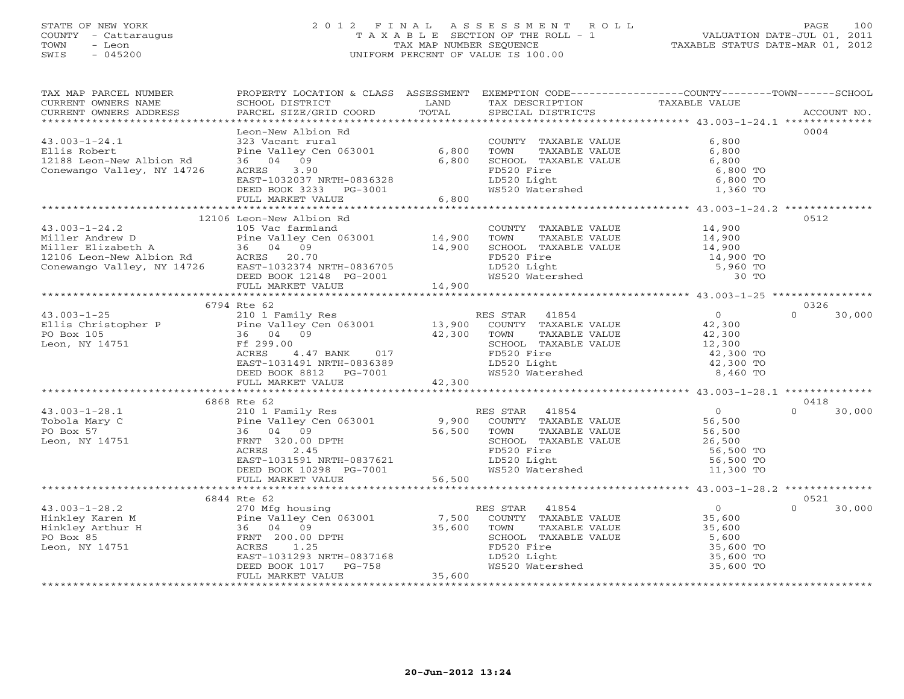# STATE OF NEW YORK 2 0 1 2 F I N A L A S S E S S M E N T R O L L PAGE 100 COUNTY - Cattaraugus T A X A B L E SECTION OF THE ROLL - 1 VALUATION DATE-JUL 01, 2011 TOWN - Leon TAX MAP NUMBER SEQUENCE TAXABLE STATUS DATE-MAR 01, 2012 SWIS - 045200 UNIFORM PERCENT OF VALUE IS 100.00UNIFORM PERCENT OF VALUE IS 100.00

| TAX MAP PARCEL NUMBER<br>CURRENT OWNERS NAME                                                                                                                                                                                                                                                                                                                                                                | PROPERTY LOCATION & CLASS ASSESSMENT<br>SCHOOL DISTRICT                                                                                                                                       | LAND  |                                                                                                                                                                                                                                        | EXEMPTION CODE----------------COUNTY-------TOWN------SCHOOL                                                                                               |                    |
|-------------------------------------------------------------------------------------------------------------------------------------------------------------------------------------------------------------------------------------------------------------------------------------------------------------------------------------------------------------------------------------------------------------|-----------------------------------------------------------------------------------------------------------------------------------------------------------------------------------------------|-------|----------------------------------------------------------------------------------------------------------------------------------------------------------------------------------------------------------------------------------------|-----------------------------------------------------------------------------------------------------------------------------------------------------------|--------------------|
| CURRENT OWNERS ADDRESS                                                                                                                                                                                                                                                                                                                                                                                      | PARCEL SIZE/GRID COORD                                                                                                                                                                        | TOTAL | TAX DESCRIPTION TAXABLE VALUE<br>SPECIAL DISTRICTS<br>SPECIAL DISTRICTS                                                                                                                                                                |                                                                                                                                                           | ACCOUNT NO.        |
| ******************************                                                                                                                                                                                                                                                                                                                                                                              |                                                                                                                                                                                               |       |                                                                                                                                                                                                                                        |                                                                                                                                                           |                    |
|                                                                                                                                                                                                                                                                                                                                                                                                             | Leon-New Albion Rd                                                                                                                                                                            |       |                                                                                                                                                                                                                                        |                                                                                                                                                           | 0004               |
| $43.003 - 1 - 24.1$                                                                                                                                                                                                                                                                                                                                                                                         |                                                                                                                                                                                               |       |                                                                                                                                                                                                                                        | COUNTY TAXABLE VALUE 6,800<br>TOWN TAXABLE VALUE 6,800<br>SCHOOL TAXABLE VALUE 6,800<br>FD520 Fire 6,800<br>LD520 Light 6,800<br>WS520 Watershed 1,360 TO |                    |
| Ellis Robert                                                                                                                                                                                                                                                                                                                                                                                                | 323 Vacant rural<br>Pine Valley Cen 063001 6,800<br>36 04 09 6,800<br>ACRES 3.90                                                                                                              |       |                                                                                                                                                                                                                                        |                                                                                                                                                           |                    |
|                                                                                                                                                                                                                                                                                                                                                                                                             |                                                                                                                                                                                               |       |                                                                                                                                                                                                                                        |                                                                                                                                                           |                    |
| 12188 Leon-New Albion Rd<br>Conewango Valley, NY 14726<br>Conewango Valley, NY 14726                                                                                                                                                                                                                                                                                                                        |                                                                                                                                                                                               |       |                                                                                                                                                                                                                                        |                                                                                                                                                           |                    |
|                                                                                                                                                                                                                                                                                                                                                                                                             |                                                                                                                                                                                               |       |                                                                                                                                                                                                                                        |                                                                                                                                                           |                    |
|                                                                                                                                                                                                                                                                                                                                                                                                             |                                                                                                                                                                                               |       |                                                                                                                                                                                                                                        |                                                                                                                                                           |                    |
|                                                                                                                                                                                                                                                                                                                                                                                                             |                                                                                                                                                                                               |       |                                                                                                                                                                                                                                        |                                                                                                                                                           |                    |
|                                                                                                                                                                                                                                                                                                                                                                                                             | % ACRES 3.90 FD520 Fire 6,800 6,800 TO<br>EAST-1032037 NRTH-0836328 LD520 Light 6,800 TO<br>DEED BOOK 3233 PG-3001 6,800<br>FULL MARKET VALUE 6,800 6,800 6,800 6,800 FOLL MARKET VALUE 6,800 |       |                                                                                                                                                                                                                                        |                                                                                                                                                           |                    |
|                                                                                                                                                                                                                                                                                                                                                                                                             | 12106 Leon-New Albion Rd                                                                                                                                                                      |       |                                                                                                                                                                                                                                        |                                                                                                                                                           | 0512               |
|                                                                                                                                                                                                                                                                                                                                                                                                             |                                                                                                                                                                                               |       |                                                                                                                                                                                                                                        |                                                                                                                                                           |                    |
|                                                                                                                                                                                                                                                                                                                                                                                                             |                                                                                                                                                                                               |       |                                                                                                                                                                                                                                        |                                                                                                                                                           |                    |
|                                                                                                                                                                                                                                                                                                                                                                                                             |                                                                                                                                                                                               |       |                                                                                                                                                                                                                                        |                                                                                                                                                           |                    |
|                                                                                                                                                                                                                                                                                                                                                                                                             |                                                                                                                                                                                               |       |                                                                                                                                                                                                                                        |                                                                                                                                                           |                    |
|                                                                                                                                                                                                                                                                                                                                                                                                             |                                                                                                                                                                                               |       |                                                                                                                                                                                                                                        |                                                                                                                                                           |                    |
|                                                                                                                                                                                                                                                                                                                                                                                                             |                                                                                                                                                                                               |       |                                                                                                                                                                                                                                        |                                                                                                                                                           |                    |
|                                                                                                                                                                                                                                                                                                                                                                                                             |                                                                                                                                                                                               |       |                                                                                                                                                                                                                                        |                                                                                                                                                           |                    |
|                                                                                                                                                                                                                                                                                                                                                                                                             |                                                                                                                                                                                               |       |                                                                                                                                                                                                                                        |                                                                                                                                                           |                    |
|                                                                                                                                                                                                                                                                                                                                                                                                             | 6794 Rte 62                                                                                                                                                                                   |       |                                                                                                                                                                                                                                        |                                                                                                                                                           | 0326               |
| $\begin{array}{ccccccccc} 43.003-1-25 & & & 21.1 & 12.0 & 1 & Fami1y Res & & & & 21.0 & 1 & Fami1y Res & & & & 13.900 & & 101 & & 12.300 & & & & 13.900 & & 13.900 & & 101 & & 13.900 & & 13.900 & & 13.900 & & 13.900 & & 13.900 & & 13.900 & & 13.900 & & 13.900 & & 13.900 & & 13.900 & & 13.900 & & 13.9$                                                                                               |                                                                                                                                                                                               |       |                                                                                                                                                                                                                                        |                                                                                                                                                           | $\Omega$<br>30,000 |
|                                                                                                                                                                                                                                                                                                                                                                                                             |                                                                                                                                                                                               |       |                                                                                                                                                                                                                                        |                                                                                                                                                           |                    |
|                                                                                                                                                                                                                                                                                                                                                                                                             |                                                                                                                                                                                               |       |                                                                                                                                                                                                                                        |                                                                                                                                                           |                    |
|                                                                                                                                                                                                                                                                                                                                                                                                             |                                                                                                                                                                                               |       |                                                                                                                                                                                                                                        |                                                                                                                                                           |                    |
|                                                                                                                                                                                                                                                                                                                                                                                                             |                                                                                                                                                                                               |       |                                                                                                                                                                                                                                        |                                                                                                                                                           |                    |
|                                                                                                                                                                                                                                                                                                                                                                                                             |                                                                                                                                                                                               |       |                                                                                                                                                                                                                                        |                                                                                                                                                           |                    |
|                                                                                                                                                                                                                                                                                                                                                                                                             |                                                                                                                                                                                               |       | TOWN TAXABLE VALUE<br>TOWN TAXABLE VALUE<br>SCHOOL TAXABLE VALUE<br>FD520 Fire<br>LD520 Light<br>MS520 Watershed<br>WS520 Watershed<br>B, 460 TO                                                                                       |                                                                                                                                                           |                    |
|                                                                                                                                                                                                                                                                                                                                                                                                             |                                                                                                                                                                                               |       |                                                                                                                                                                                                                                        |                                                                                                                                                           |                    |
|                                                                                                                                                                                                                                                                                                                                                                                                             |                                                                                                                                                                                               |       |                                                                                                                                                                                                                                        |                                                                                                                                                           |                    |
|                                                                                                                                                                                                                                                                                                                                                                                                             | 6868 Rte 62                                                                                                                                                                                   |       |                                                                                                                                                                                                                                        |                                                                                                                                                           | 0418               |
|                                                                                                                                                                                                                                                                                                                                                                                                             |                                                                                                                                                                                               |       |                                                                                                                                                                                                                                        |                                                                                                                                                           |                    |
|                                                                                                                                                                                                                                                                                                                                                                                                             |                                                                                                                                                                                               |       |                                                                                                                                                                                                                                        |                                                                                                                                                           |                    |
|                                                                                                                                                                                                                                                                                                                                                                                                             |                                                                                                                                                                                               |       |                                                                                                                                                                                                                                        |                                                                                                                                                           |                    |
|                                                                                                                                                                                                                                                                                                                                                                                                             |                                                                                                                                                                                               |       |                                                                                                                                                                                                                                        |                                                                                                                                                           |                    |
|                                                                                                                                                                                                                                                                                                                                                                                                             |                                                                                                                                                                                               |       |                                                                                                                                                                                                                                        |                                                                                                                                                           |                    |
|                                                                                                                                                                                                                                                                                                                                                                                                             |                                                                                                                                                                                               |       |                                                                                                                                                                                                                                        |                                                                                                                                                           |                    |
|                                                                                                                                                                                                                                                                                                                                                                                                             |                                                                                                                                                                                               |       |                                                                                                                                                                                                                                        |                                                                                                                                                           |                    |
|                                                                                                                                                                                                                                                                                                                                                                                                             |                                                                                                                                                                                               |       |                                                                                                                                                                                                                                        |                                                                                                                                                           |                    |
| $\begin{array}{cccccccc} 43.003-1-28.1 & 6868 \text{ Rte } 62 & 0418 & 0418 & 0418 & 0418 & 0418 & 0418 & 0418 & 0418 & 0418 & 0418 & 0418 & 0418 & 0418 & 0418 & 0418 & 0418 & 0418 & 0418 & 0418 & 0418 & 0418 & 0418 & 0418 & 0418 & 0418 & 0418 & 0418 & 0418 & 0418 & 0418 & 0$                                                                                                                        |                                                                                                                                                                                               |       |                                                                                                                                                                                                                                        |                                                                                                                                                           |                    |
|                                                                                                                                                                                                                                                                                                                                                                                                             | 6844 Rte 62                                                                                                                                                                                   |       |                                                                                                                                                                                                                                        |                                                                                                                                                           | 0521               |
|                                                                                                                                                                                                                                                                                                                                                                                                             |                                                                                                                                                                                               |       |                                                                                                                                                                                                                                        |                                                                                                                                                           | 30,000<br>$\Omega$ |
|                                                                                                                                                                                                                                                                                                                                                                                                             |                                                                                                                                                                                               |       |                                                                                                                                                                                                                                        |                                                                                                                                                           |                    |
| $\begin{tabular}{lllllllllllllllllll} \hline 43.003-1-28.2 & 270\ \text{Mfg housing} & \text{RES STAR} & 41854 & 0 \\ \text{Hinkley Karen M} & \text{Pine Valley Cen 063001} & 7,500\ \text{COUNTY} & \text{TAXABLE VALUE} & 35,600 \\ \text{Hinkley Arthur H} & 36 & 04 & 09 & 35,600\ \text{FORBS} & \text{FRNT} & 200.00\ \text{DPTH} & & & & \\ \text{Leon, NY 14751} & \text{Sf, 600} & \text{CODITY}$ |                                                                                                                                                                                               |       |                                                                                                                                                                                                                                        |                                                                                                                                                           |                    |
|                                                                                                                                                                                                                                                                                                                                                                                                             |                                                                                                                                                                                               |       |                                                                                                                                                                                                                                        |                                                                                                                                                           |                    |
|                                                                                                                                                                                                                                                                                                                                                                                                             |                                                                                                                                                                                               |       |                                                                                                                                                                                                                                        |                                                                                                                                                           |                    |
|                                                                                                                                                                                                                                                                                                                                                                                                             |                                                                                                                                                                                               |       | LD520 Light                                                                                                                                                                                                                            |                                                                                                                                                           |                    |
|                                                                                                                                                                                                                                                                                                                                                                                                             |                                                                                                                                                                                               |       |                                                                                                                                                                                                                                        |                                                                                                                                                           |                    |
|                                                                                                                                                                                                                                                                                                                                                                                                             | ACRES 1.25<br>EAST-1031293 NRTH-0837168<br>DEED BOOK 1017 PG-758<br>FULL MARKET VALUE 35,600                                                                                                  |       | 0,600<br>LD520 Light<br>WS520 Watershed<br>WS520 Watershed<br>Attillians and the set of the set of the set of the set of the set of the set of the set of the set of the set of the set of the set of the set of the set of the set of |                                                                                                                                                           |                    |
|                                                                                                                                                                                                                                                                                                                                                                                                             |                                                                                                                                                                                               |       |                                                                                                                                                                                                                                        |                                                                                                                                                           |                    |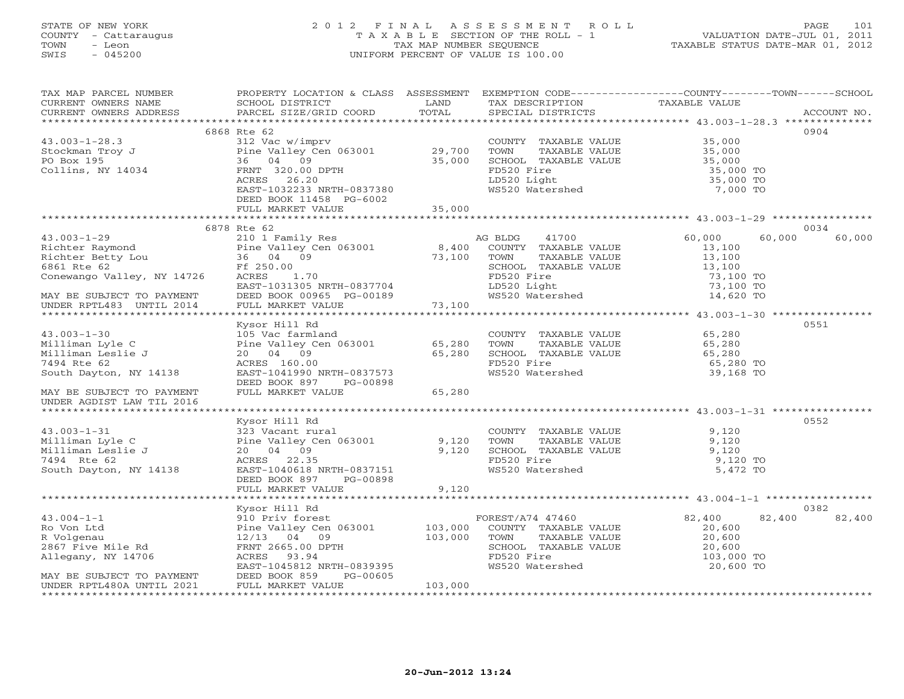# STATE OF NEW YORK 2 0 1 2 F I N A L A S S E S S M E N T R O L L PAGE 101 COUNTY - Cattaraugus T A X A B L E SECTION OF THE ROLL - 1 VALUATION DATE-JUL 01, 2011 TOWN - Leon TAX MAP NUMBER SEQUENCE TAXABLE STATUS DATE-MAR 01, 2012 SWIS - 045200 UNIFORM PERCENT OF VALUE IS 100.00UNIFORM PERCENT OF VALUE IS 100.00

| TAX MAP PARCEL NUMBER                                                                                                                                                                                                                                      | PROPERTY LOCATION & CLASS ASSESSMENT EXEMPTION CODE---------------COUNTY-------TOWN------SCHOOL                                                                                                                                |         |                                                                                           |                                                               |        |
|------------------------------------------------------------------------------------------------------------------------------------------------------------------------------------------------------------------------------------------------------------|--------------------------------------------------------------------------------------------------------------------------------------------------------------------------------------------------------------------------------|---------|-------------------------------------------------------------------------------------------|---------------------------------------------------------------|--------|
|                                                                                                                                                                                                                                                            |                                                                                                                                                                                                                                |         |                                                                                           |                                                               |        |
|                                                                                                                                                                                                                                                            |                                                                                                                                                                                                                                |         |                                                                                           |                                                               |        |
|                                                                                                                                                                                                                                                            |                                                                                                                                                                                                                                |         |                                                                                           |                                                               |        |
| 312 Vac W/imprv<br>Stockman Troy J<br>PO Box 195<br>Collins, NY 14034<br>Collins, NY 14034<br>Collins, NY 14034<br>PO Box 195<br>Collins, NY 14034<br>PO Box 195<br>PO Box 195<br>PO Box 195<br>PO Box 195<br>PO Box 195<br>PO Box 14034<br>PRNT 320.00 DP | 6868 Rte 62                                                                                                                                                                                                                    |         |                                                                                           |                                                               | 0904   |
|                                                                                                                                                                                                                                                            |                                                                                                                                                                                                                                |         | COUNTY TAXABLE VALUE                                                                      | 35,000                                                        |        |
|                                                                                                                                                                                                                                                            |                                                                                                                                                                                                                                |         | TOWN                                                                                      | TAXABLE VALUE<br>TAXABLE VALUE 35,000<br>TAXABLE VALUE 35,000 |        |
|                                                                                                                                                                                                                                                            |                                                                                                                                                                                                                                |         |                                                                                           |                                                               |        |
|                                                                                                                                                                                                                                                            | ACRES 26.20                                                                                                                                                                                                                    |         |                                                                                           | 35,000 TO<br>35,000 TO                                        |        |
|                                                                                                                                                                                                                                                            | EAST-1032233 NRTH-0837380                                                                                                                                                                                                      |         | SCHOOL TAXABLE VALUE<br>FD520 Fire<br>LD520 Light<br>WS520 Watershed                      | 7,000 TO                                                      |        |
|                                                                                                                                                                                                                                                            | DEED BOOK 11458 PG-6002                                                                                                                                                                                                        |         |                                                                                           |                                                               |        |
|                                                                                                                                                                                                                                                            | FULL MARKET VALUE                                                                                                                                                                                                              | 35,000  |                                                                                           |                                                               |        |
|                                                                                                                                                                                                                                                            |                                                                                                                                                                                                                                |         |                                                                                           |                                                               |        |
|                                                                                                                                                                                                                                                            | 6878 Rte 62                                                                                                                                                                                                                    |         |                                                                                           |                                                               | 0034   |
|                                                                                                                                                                                                                                                            |                                                                                                                                                                                                                                |         |                                                                                           | $60,000$<br>$13,100$<br>60,000                                | 60,000 |
|                                                                                                                                                                                                                                                            |                                                                                                                                                                                                                                |         |                                                                                           |                                                               |        |
|                                                                                                                                                                                                                                                            |                                                                                                                                                                                                                                |         |                                                                                           |                                                               |        |
|                                                                                                                                                                                                                                                            |                                                                                                                                                                                                                                |         | TOWN TAXABLE VALUE 13,100<br>SCHOOL TAXABLE VALUE 13,100                                  |                                                               |        |
|                                                                                                                                                                                                                                                            |                                                                                                                                                                                                                                |         |                                                                                           | 73,100 TO                                                     |        |
|                                                                                                                                                                                                                                                            | EAST-1031305 NRTH-0837704<br>DEED BOOK 00965 PG-00189                                                                                                                                                                          |         |                                                                                           | 73,100 TO<br>14,620 TO                                        |        |
| MAY BE SUBJECT TO PAYMENT<br>UNDER RPTL483 UNTIL 2014                                                                                                                                                                                                      |                                                                                                                                                                                                                                |         | FD520 Fire<br>LD520 Light<br>WS520 Watershed                                              |                                                               |        |
|                                                                                                                                                                                                                                                            | FULL MARKET VALUE 73,100                                                                                                                                                                                                       |         |                                                                                           |                                                               |        |
|                                                                                                                                                                                                                                                            |                                                                                                                                                                                                                                |         |                                                                                           |                                                               |        |
|                                                                                                                                                                                                                                                            | Kysor Hill Rd                                                                                                                                                                                                                  |         |                                                                                           |                                                               | 0551   |
| $43.003 - 1 - 30$                                                                                                                                                                                                                                          |                                                                                                                                                                                                                                |         | COUNTY TAXABLE VALUE 65,280                                                               |                                                               |        |
| ----man Lyle C<br>Milliman Leslie J<br>7494 Rte 62<br>South Davton                                                                                                                                                                                         | Nyson in the Magnetic Contract of the Valley Central and Contract to the Valley Central Contract Contract Contract Contract Contract Contract Contract Contract Contract Contract Contract Contract Contract Contract Contract |         | COUNTY TAARLE<br>TOWN TAXABLE VALUE 65,280<br>SCHOOL TAXABLE VALUE 65,280 TO<br>65,280 TO |                                                               |        |
|                                                                                                                                                                                                                                                            |                                                                                                                                                                                                                                |         |                                                                                           |                                                               |        |
|                                                                                                                                                                                                                                                            | ACRES 160.00<br>EAST-1041990 NRTH-0837573                                                                                                                                                                                      |         | WS520 Watershed                                                                           | 39,168 TO                                                     |        |
|                                                                                                                                                                                                                                                            | DEED BOOK 897 PG-00898                                                                                                                                                                                                         |         |                                                                                           |                                                               |        |
| MAY BE SUBJECT TO PAYMENT                                                                                                                                                                                                                                  | FULL MARKET VALUE                                                                                                                                                                                                              | 65,280  |                                                                                           |                                                               |        |
| UNDER AGDIST LAW TIL 2016                                                                                                                                                                                                                                  |                                                                                                                                                                                                                                |         |                                                                                           |                                                               |        |
|                                                                                                                                                                                                                                                            |                                                                                                                                                                                                                                |         |                                                                                           |                                                               |        |
|                                                                                                                                                                                                                                                            | Kysor Hill Rd                                                                                                                                                                                                                  |         |                                                                                           |                                                               | 0552   |
| $43.003 - 1 - 31$                                                                                                                                                                                                                                          |                                                                                                                                                                                                                                |         | COUNTY TAXABLE VALUE 9,120                                                                |                                                               |        |
| 43.003-1-31<br>Milliman Lyle C<br>Milliman Leslie J<br>7494 Rte 62                                                                                                                                                                                         | 323 Vacant rural<br>Pine Valley Cen 063001 9,120<br>20 04 09 9,120<br>ACRES 22.35 9,120                                                                                                                                        |         | POUNT TAXABLE VALUE 9,120<br>TOWN TAXABLE VALUE 9,120<br>SCHOOL TAXABLE VALUE 9,120       |                                                               |        |
|                                                                                                                                                                                                                                                            |                                                                                                                                                                                                                                |         |                                                                                           |                                                               |        |
|                                                                                                                                                                                                                                                            | ACRES 22.35                                                                                                                                                                                                                    |         | FD520 Fire                                                                                | 9,120 TO                                                      |        |
| South Dayton, NY 14138                                                                                                                                                                                                                                     | EAST-1040618 NRTH-0837151                                                                                                                                                                                                      |         | WS520 Watershed                                                                           | 5,472 TO                                                      |        |
|                                                                                                                                                                                                                                                            | DEED BOOK 897 PG-00898                                                                                                                                                                                                         |         |                                                                                           |                                                               |        |
|                                                                                                                                                                                                                                                            | FULL MARKET VALUE                                                                                                                                                                                                              | 9,120   |                                                                                           |                                                               |        |
|                                                                                                                                                                                                                                                            |                                                                                                                                                                                                                                |         |                                                                                           |                                                               |        |
|                                                                                                                                                                                                                                                            | Kysor Hill Rd                                                                                                                                                                                                                  |         |                                                                                           |                                                               | 0382   |
| $43.004 - 1 - 1$                                                                                                                                                                                                                                           | 910 Priv forest                                                                                                                                                                                                                |         | FOREST/A74 47460<br>COUNTY TAXABLE VALUE                                                  | 82,400<br>82,400<br>$82,400$<br>20,600                        | 82,400 |
|                                                                                                                                                                                                                                                            | 12/13 04 09                                                                                                                                                                                                                    |         |                                                                                           |                                                               |        |
| 45.004-1-1<br>R Volgenau<br>R Volgenau<br>2867 Five Mile Rd                                                                                                                                                                                                | FRNT 2665.00 DPTH                                                                                                                                                                                                              | 103,000 |                                                                                           |                                                               |        |
| Allegany, NY 14706                                                                                                                                                                                                                                         | ACRES 93.94                                                                                                                                                                                                                    |         | FD520 Fire                                                                                | 103,000 TO                                                    |        |
|                                                                                                                                                                                                                                                            | EAST-1045812 NRTH-0839395                                                                                                                                                                                                      |         | WS520 Watershed                                                                           | 20,600 TO                                                     |        |
| MAY BE SUBJECT TO PAYMENT<br>UNDER RPTL480A UNTIL 2021                                                                                                                                                                                                     | DEED BOOK 859<br>PG-00605                                                                                                                                                                                                      |         |                                                                                           |                                                               |        |
|                                                                                                                                                                                                                                                            | FULL MARKET VALUE                                                                                                                                                                                                              | 103,000 |                                                                                           |                                                               |        |
|                                                                                                                                                                                                                                                            |                                                                                                                                                                                                                                |         |                                                                                           |                                                               |        |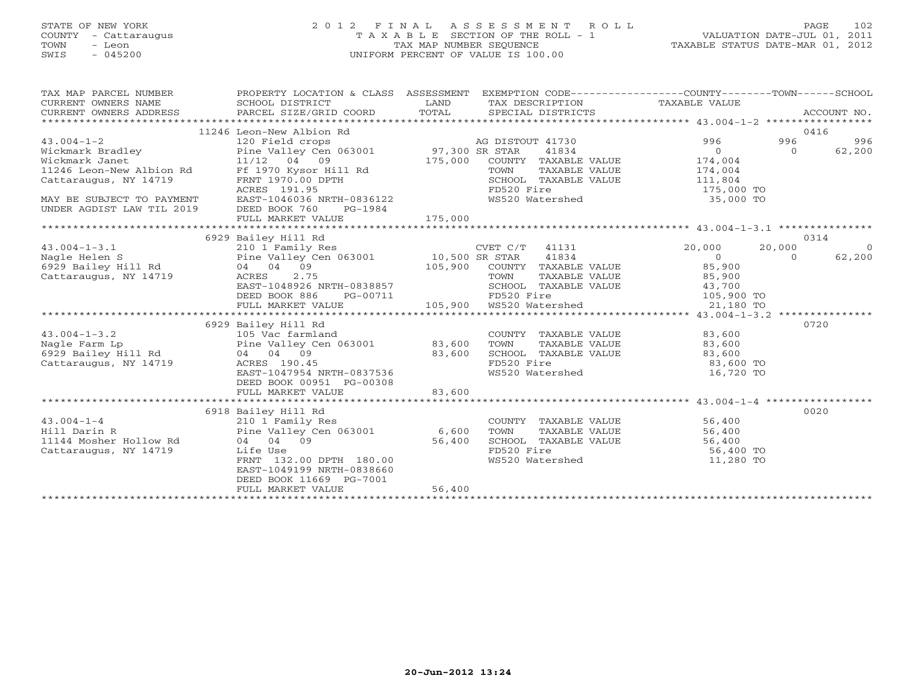# STATE OF NEW YORK 2 0 1 2 F I N A L A S S E S S M E N T R O L L PAGE 102 COUNTY - Cattaraugus T A X A B L E SECTION OF THE ROLL - 1 VALUATION DATE-JUL 01, 2011 TOWN - Leon TAX MAP NUMBER SEQUENCE TAXABLE STATUS DATE-MAR 01, 2012 SWIS - 045200 UNIFORM PERCENT OF VALUE IS 100.00UNIFORM PERCENT OF VALUE IS 100.00

| TAX MAP PARCEL NUMBER<br>$\begin{minipage}{0.5cm} \begin{minipage}{0.5cm} \begin{minipage}{0.5cm} \begin{minipage}{0.5cm} \begin{minipage}{0.5cm} \begin{minipage}{0.5cm} \begin{minipage}{0.5cm} \begin{minipage}{0.5cm} \begin{minipage}{0.5cm} \begin{minipage}{0.5cm} \begin{minipage}{0.5cm} \begin{minipage}{0.5cm} \begin{minipage}{0.5cm} \begin{minipage}{0.5cm} \begin{minipage}{0.5cm} \begin{minipage}{0.5cm} \begin{minipage}{0.5cm} \begin{minipage}{0.5cm} \begin{min$ | PROPERTY LOCATION & CLASS ASSESSMENT EXEMPTION CODE------------------COUNTY-------TOWN------SCHOOL                                   | LAND<br>TOTAL | TAX DESCRIPTION TAXABLE VALUE                                                                                       |                                                   |                | ACCOUNT NO.    |
|---------------------------------------------------------------------------------------------------------------------------------------------------------------------------------------------------------------------------------------------------------------------------------------------------------------------------------------------------------------------------------------------------------------------------------------------------------------------------------------|--------------------------------------------------------------------------------------------------------------------------------------|---------------|---------------------------------------------------------------------------------------------------------------------|---------------------------------------------------|----------------|----------------|
|                                                                                                                                                                                                                                                                                                                                                                                                                                                                                       | 11246 Leon-New Albion Rd                                                                                                             |               |                                                                                                                     |                                                   | 0416           |                |
|                                                                                                                                                                                                                                                                                                                                                                                                                                                                                       |                                                                                                                                      |               | AG DISTOUT 41730                                                                                                    | 996                                               | 996            | 996            |
|                                                                                                                                                                                                                                                                                                                                                                                                                                                                                       |                                                                                                                                      |               | 41834                                                                                                               | $\overline{0}$                                    | $\overline{O}$ | 62,200         |
|                                                                                                                                                                                                                                                                                                                                                                                                                                                                                       |                                                                                                                                      |               | COUNTY TAXABLE VALUE                                                                                                | 174,004                                           |                |                |
|                                                                                                                                                                                                                                                                                                                                                                                                                                                                                       |                                                                                                                                      |               | TAXABLE VALUE                                                                                                       |                                                   |                |                |
|                                                                                                                                                                                                                                                                                                                                                                                                                                                                                       |                                                                                                                                      |               |                                                                                                                     |                                                   |                |                |
| Ag DISTON Nickmark Bradley<br>Wickmark Janet 1246 Leon-New Albion Rd Ff 1970 Kysor Hill Rd TON 175,000 COUNTY<br>May RF SIRING MAY RE SUBJECT ACRES 191.95<br>MAY BE SUBJECT TO PAYMENT<br>ANY BE SUBJECT TO MY TIL 2019                                                                                                                                                                                                                                                              | 1.000<br>ACRES 191.95<br>EAST-1046036 NRTH-0836122                                                                                   |               | SCHOOL TAXABLE VALUE<br>FD520 Fire<br>WS520 Watershed                                                               | $1/4, 0.04$<br>111,804<br>175,000 TO<br>25,000 TO |                |                |
|                                                                                                                                                                                                                                                                                                                                                                                                                                                                                       |                                                                                                                                      |               |                                                                                                                     |                                                   |                |                |
|                                                                                                                                                                                                                                                                                                                                                                                                                                                                                       | DEED BOOK 760<br>PG-1984                                                                                                             |               |                                                                                                                     |                                                   |                |                |
|                                                                                                                                                                                                                                                                                                                                                                                                                                                                                       | FULL MARKET VALUE                                                                                                                    | 175,000       |                                                                                                                     |                                                   |                |                |
|                                                                                                                                                                                                                                                                                                                                                                                                                                                                                       |                                                                                                                                      |               |                                                                                                                     |                                                   |                |                |
|                                                                                                                                                                                                                                                                                                                                                                                                                                                                                       | 6929 Bailey Hill Rd                                                                                                                  |               |                                                                                                                     |                                                   | 0314           |                |
|                                                                                                                                                                                                                                                                                                                                                                                                                                                                                       |                                                                                                                                      |               | CVET C/T 41131 20,000                                                                                               |                                                   | 20,000         | $\overline{0}$ |
|                                                                                                                                                                                                                                                                                                                                                                                                                                                                                       |                                                                                                                                      |               | 41834                                                                                                               | $\overline{0}$                                    | $\Omega$       | 62,200         |
|                                                                                                                                                                                                                                                                                                                                                                                                                                                                                       | 105,900 COUNTY TAXABLE VALUE 85,900<br>ACRES 2.75 TOWN TAXABLE VALUE 85,900<br>EAST-1048926 NRTH-0838857 SCHOOL TAXABLE VALUE 43,700 |               |                                                                                                                     |                                                   |                |                |
| Cattaraugus, NY 14719                                                                                                                                                                                                                                                                                                                                                                                                                                                                 | ACRES 2.75                                                                                                                           |               |                                                                                                                     |                                                   |                |                |
|                                                                                                                                                                                                                                                                                                                                                                                                                                                                                       |                                                                                                                                      |               |                                                                                                                     |                                                   |                |                |
|                                                                                                                                                                                                                                                                                                                                                                                                                                                                                       | DEED BOOK 886<br>FULL MARKET VALUE                                                                                                   |               | TOWN TAXABLE VALUE 0838857<br>RTH-0838857 SCHOOL TAXABLE VALUE 43,700<br>PG-00711 105,900 WS520 Watershed 21,180 TO |                                                   |                |                |
|                                                                                                                                                                                                                                                                                                                                                                                                                                                                                       |                                                                                                                                      |               |                                                                                                                     |                                                   |                |                |
|                                                                                                                                                                                                                                                                                                                                                                                                                                                                                       | 6929 Bailey Hill Rd                                                                                                                  |               |                                                                                                                     |                                                   | 0720           |                |
|                                                                                                                                                                                                                                                                                                                                                                                                                                                                                       |                                                                                                                                      |               | COUNTY TAXABLE VALUE 83,600                                                                                         |                                                   |                |                |
|                                                                                                                                                                                                                                                                                                                                                                                                                                                                                       |                                                                                                                                      |               |                                                                                                                     |                                                   |                |                |
| 43.004-1-3.2<br>Nagle Farm Lp<br>6929 Bailey Hill Rd<br>6929 Bailey Hill Rd<br>7929 Bailey Hill Rd<br>794 04 09<br>7929 Bailey Hill Rd<br>794 04 09<br>7929 Bailey Hill Rd<br>794 04 09<br>7929 83,600<br>83,600                                                                                                                                                                                                                                                                      |                                                                                                                                      |               | TOWN TAXABLE VALUE $83,600$<br>SCHOOL TAXABLE VALUE $83,600$<br>FD520 Fire $83,600$ TO                              |                                                   |                |                |
|                                                                                                                                                                                                                                                                                                                                                                                                                                                                                       |                                                                                                                                      |               |                                                                                                                     |                                                   |                |                |
|                                                                                                                                                                                                                                                                                                                                                                                                                                                                                       | EAST-1047954 NRTH-0837536                                                                                                            |               | FD520 Fire<br>WS520 Watershed                                                                                       | 16,720 TO                                         |                |                |
|                                                                                                                                                                                                                                                                                                                                                                                                                                                                                       | DEED BOOK 00951 PG-00308                                                                                                             |               |                                                                                                                     |                                                   |                |                |
|                                                                                                                                                                                                                                                                                                                                                                                                                                                                                       |                                                                                                                                      |               |                                                                                                                     |                                                   |                |                |
|                                                                                                                                                                                                                                                                                                                                                                                                                                                                                       |                                                                                                                                      |               |                                                                                                                     |                                                   |                |                |
|                                                                                                                                                                                                                                                                                                                                                                                                                                                                                       | 6918 Bailey Hill Rd                                                                                                                  |               |                                                                                                                     |                                                   | 0020           |                |
|                                                                                                                                                                                                                                                                                                                                                                                                                                                                                       |                                                                                                                                      |               | COUNTY TAXABLE VALUE 56,400                                                                                         |                                                   |                |                |
|                                                                                                                                                                                                                                                                                                                                                                                                                                                                                       |                                                                                                                                      |               | TOWN                                                                                                                | TAXABLE VALUE 56,400                              |                |                |
|                                                                                                                                                                                                                                                                                                                                                                                                                                                                                       |                                                                                                                                      |               | SCHOOL TAXABLE VALUE 56,400                                                                                         |                                                   |                |                |
| Cattaraugus, NY 14719                                                                                                                                                                                                                                                                                                                                                                                                                                                                 | Life Use                                                                                                                             |               | FD520 Fire<br>FD520 Fire<br>WS520 Watershed                                                                         | 56,400 TO<br>11,280 TO                            |                |                |
|                                                                                                                                                                                                                                                                                                                                                                                                                                                                                       | FRNT 132.00 DPTH 180.00                                                                                                              |               |                                                                                                                     |                                                   |                |                |
|                                                                                                                                                                                                                                                                                                                                                                                                                                                                                       | EAST-1049199 NRTH-0838660                                                                                                            |               |                                                                                                                     |                                                   |                |                |
|                                                                                                                                                                                                                                                                                                                                                                                                                                                                                       | DEED BOOK 11669 PG-7001                                                                                                              | 56,400        |                                                                                                                     |                                                   |                |                |
|                                                                                                                                                                                                                                                                                                                                                                                                                                                                                       | FULL MARKET VALUE                                                                                                                    |               |                                                                                                                     |                                                   |                |                |
|                                                                                                                                                                                                                                                                                                                                                                                                                                                                                       |                                                                                                                                      |               |                                                                                                                     |                                                   |                |                |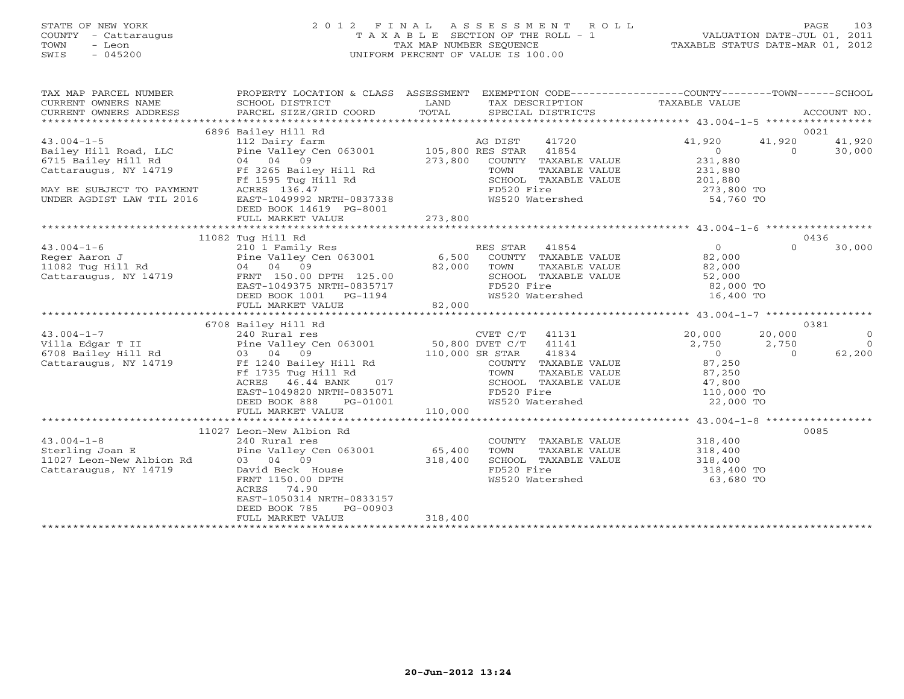# STATE OF NEW YORK 2 0 1 2 F I N A L A S S E S S M E N T R O L L PAGE 103 COUNTY - Cattaraugus T A X A B L E SECTION OF THE ROLL - 1 VALUATION DATE-JUL 01, 2011 TOWN - Leon TAX MAP NUMBER SEQUENCE TAXABLE STATUS DATE-MAR 01, 2012 SWIS - 045200 UNIFORM PERCENT OF VALUE IS 100.00UNIFORM PERCENT OF VALUE IS 100.00

| TAX MAP PARCEL NUMBER                                                                                       | PROPERTY LOCATION & CLASS ASSESSMENT EXEMPTION CODE---------------COUNTY-------TOWN-----SCHOOL |         |                                                                                                                                                                                                                                                                                                                                                 |                                                                                                                                          |        |  |
|-------------------------------------------------------------------------------------------------------------|------------------------------------------------------------------------------------------------|---------|-------------------------------------------------------------------------------------------------------------------------------------------------------------------------------------------------------------------------------------------------------------------------------------------------------------------------------------------------|------------------------------------------------------------------------------------------------------------------------------------------|--------|--|
|                                                                                                             | 6896 Bailey Hill Rd                                                                            |         |                                                                                                                                                                                                                                                                                                                                                 |                                                                                                                                          | 0021   |  |
|                                                                                                             |                                                                                                |         |                                                                                                                                                                                                                                                                                                                                                 | 41720 41,920 41,920                                                                                                                      | 41,920 |  |
|                                                                                                             |                                                                                                |         |                                                                                                                                                                                                                                                                                                                                                 | $\begin{array}{ccc} & - & 41,920 \\ 0 & & 0 \\ 231,880 & & \end{array}$                                                                  | 30,000 |  |
|                                                                                                             |                                                                                                |         |                                                                                                                                                                                                                                                                                                                                                 |                                                                                                                                          |        |  |
|                                                                                                             |                                                                                                |         |                                                                                                                                                                                                                                                                                                                                                 |                                                                                                                                          |        |  |
|                                                                                                             |                                                                                                |         |                                                                                                                                                                                                                                                                                                                                                 |                                                                                                                                          |        |  |
|                                                                                                             |                                                                                                |         |                                                                                                                                                                                                                                                                                                                                                 | COMINE TAXABLE VALUE<br>TOWN TAXABLE VALUE 231,880<br>SCHOOL TAXABLE VALUE 201,880<br>FD520 Fire 273,800 TO<br>WS520 Watershed 54,760 TO |        |  |
|                                                                                                             |                                                                                                |         |                                                                                                                                                                                                                                                                                                                                                 |                                                                                                                                          |        |  |
|                                                                                                             | DEED BOOK 14619 PG-8001                                                                        |         |                                                                                                                                                                                                                                                                                                                                                 |                                                                                                                                          |        |  |
|                                                                                                             |                                                                                                |         |                                                                                                                                                                                                                                                                                                                                                 |                                                                                                                                          |        |  |
|                                                                                                             |                                                                                                |         |                                                                                                                                                                                                                                                                                                                                                 |                                                                                                                                          |        |  |
|                                                                                                             | 11082 Tug Hill Rd                                                                              |         |                                                                                                                                                                                                                                                                                                                                                 |                                                                                                                                          | 0436   |  |
|                                                                                                             |                                                                                                |         |                                                                                                                                                                                                                                                                                                                                                 |                                                                                                                                          |        |  |
|                                                                                                             |                                                                                                |         |                                                                                                                                                                                                                                                                                                                                                 |                                                                                                                                          |        |  |
|                                                                                                             |                                                                                                |         |                                                                                                                                                                                                                                                                                                                                                 |                                                                                                                                          |        |  |
|                                                                                                             |                                                                                                |         |                                                                                                                                                                                                                                                                                                                                                 |                                                                                                                                          |        |  |
|                                                                                                             |                                                                                                |         |                                                                                                                                                                                                                                                                                                                                                 |                                                                                                                                          |        |  |
|                                                                                                             |                                                                                                |         |                                                                                                                                                                                                                                                                                                                                                 |                                                                                                                                          |        |  |
|                                                                                                             |                                                                                                |         |                                                                                                                                                                                                                                                                                                                                                 |                                                                                                                                          |        |  |
|                                                                                                             |                                                                                                |         |                                                                                                                                                                                                                                                                                                                                                 |                                                                                                                                          |        |  |
|                                                                                                             | 6708 Bailey Hill Rd                                                                            |         |                                                                                                                                                                                                                                                                                                                                                 |                                                                                                                                          | 0381   |  |
|                                                                                                             |                                                                                                |         |                                                                                                                                                                                                                                                                                                                                                 |                                                                                                                                          |        |  |
|                                                                                                             |                                                                                                |         |                                                                                                                                                                                                                                                                                                                                                 |                                                                                                                                          |        |  |
|                                                                                                             |                                                                                                |         |                                                                                                                                                                                                                                                                                                                                                 |                                                                                                                                          |        |  |
|                                                                                                             |                                                                                                |         |                                                                                                                                                                                                                                                                                                                                                 |                                                                                                                                          |        |  |
|                                                                                                             |                                                                                                |         |                                                                                                                                                                                                                                                                                                                                                 |                                                                                                                                          |        |  |
|                                                                                                             |                                                                                                |         |                                                                                                                                                                                                                                                                                                                                                 |                                                                                                                                          |        |  |
|                                                                                                             |                                                                                                |         |                                                                                                                                                                                                                                                                                                                                                 |                                                                                                                                          |        |  |
|                                                                                                             |                                                                                                |         |                                                                                                                                                                                                                                                                                                                                                 |                                                                                                                                          |        |  |
|                                                                                                             |                                                                                                |         |                                                                                                                                                                                                                                                                                                                                                 |                                                                                                                                          |        |  |
|                                                                                                             |                                                                                                |         |                                                                                                                                                                                                                                                                                                                                                 |                                                                                                                                          |        |  |
|                                                                                                             | 11027 Leon-New Albion Rd                                                                       |         |                                                                                                                                                                                                                                                                                                                                                 |                                                                                                                                          | 0085   |  |
|                                                                                                             |                                                                                                |         |                                                                                                                                                                                                                                                                                                                                                 |                                                                                                                                          |        |  |
|                                                                                                             | 240 Rural res<br>Pine Valley Cen 063001 65,400                                                 |         | $\begin{tabular}{llllll} \multicolumn{2}{l}{{\small\texttt{COUNTY}}} & \multicolumn{2}{l}{\small\texttt{TAXABLE VALUE}} & \\ & \multicolumn{2}{l}{\small\texttt{TOWN}} & \multicolumn{2}{l}{\small\texttt{TAXABLE VALUE}} & \\ & \multicolumn{2}{l}{\small\texttt{TONN}} & \multicolumn{2}{l}{\small\texttt{TAXABLE VALUE}} & \\ \end{tabular}$ |                                                                                                                                          |        |  |
|                                                                                                             |                                                                                                |         | SCHOOL TAXABLE VALUE $318,400$                                                                                                                                                                                                                                                                                                                  |                                                                                                                                          |        |  |
| 43.004-1-8<br>Sterling Joan E<br>11027 Leon-New Albion Rd<br>Cattaraugus, NY 14719<br>Cattaraugus, NY 14719 | 03 04 09<br>David Beck House 318,400<br>FRNT 1150.00 DPTH<br>ACRES 74.90                       |         | FD520 Fire                                                                                                                                                                                                                                                                                                                                      | 318,400 TO                                                                                                                               |        |  |
|                                                                                                             |                                                                                                |         |                                                                                                                                                                                                                                                                                                                                                 | WS520 Watershed 63,680 TO                                                                                                                |        |  |
|                                                                                                             | ACRES 74.90                                                                                    |         |                                                                                                                                                                                                                                                                                                                                                 |                                                                                                                                          |        |  |
|                                                                                                             | EAST-1050314 NRTH-0833157                                                                      |         |                                                                                                                                                                                                                                                                                                                                                 |                                                                                                                                          |        |  |
|                                                                                                             | DEED BOOK 785<br>PG-00903                                                                      |         |                                                                                                                                                                                                                                                                                                                                                 |                                                                                                                                          |        |  |
|                                                                                                             | FULL MARKET VALUE                                                                              | 318,400 |                                                                                                                                                                                                                                                                                                                                                 |                                                                                                                                          |        |  |
|                                                                                                             |                                                                                                |         |                                                                                                                                                                                                                                                                                                                                                 |                                                                                                                                          |        |  |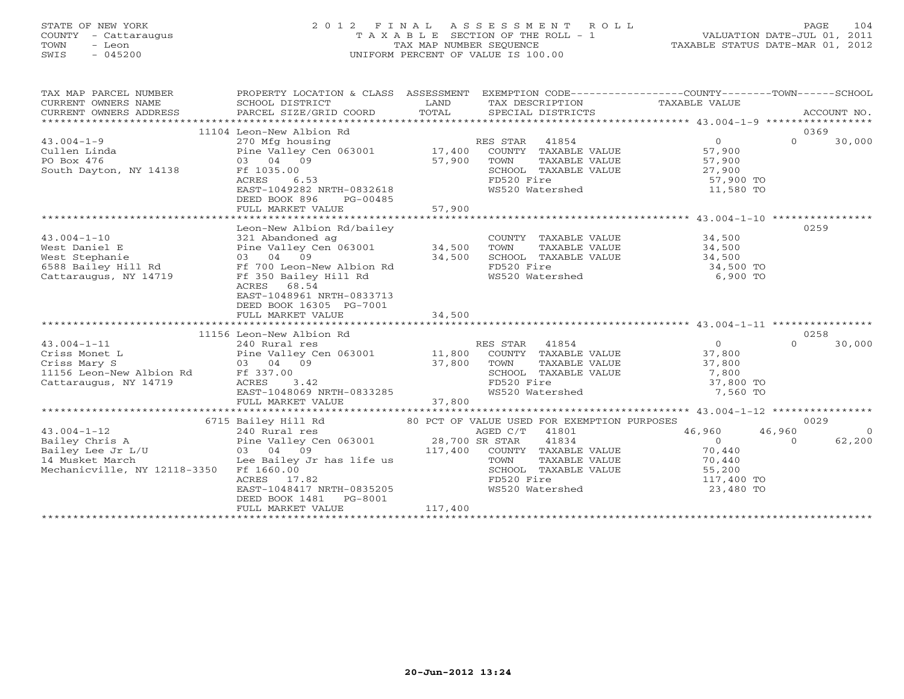# STATE OF NEW YORK 2 0 1 2 F I N A L A S S E S S M E N T R O L L PAGE 104 COUNTY - Cattaraugus T A X A B L E SECTION OF THE ROLL - 1 VALUATION DATE-JUL 01, 2011 TOWN - Leon TAX MAP NUMBER SEQUENCE TAXABLE STATUS DATE-MAR 01, 2012 SWIS - 045200 UNIFORM PERCENT OF VALUE IS 100.00UNIFORM PERCENT OF VALUE IS 100.00

| TAX MAP PARCEL NUMBER<br>CURRENT OWNERS NAME<br>CURRENT OWNERS ADDRESS                                                                                          | PROPERTY LOCATION & CLASS ASSESSMENT<br>SCHOOL DISTRICT                                                                          | LAND    | EXEMPTION CODE-----------------COUNTY-------TOWN------SCHOOL<br>TAX DESCRIPTION TAXABLE VALUE                                                                                                                                           |                  |          |                |
|-----------------------------------------------------------------------------------------------------------------------------------------------------------------|----------------------------------------------------------------------------------------------------------------------------------|---------|-----------------------------------------------------------------------------------------------------------------------------------------------------------------------------------------------------------------------------------------|------------------|----------|----------------|
|                                                                                                                                                                 | 11104 Leon-New Albion Rd                                                                                                         |         |                                                                                                                                                                                                                                         |                  | 0369     |                |
| $43.004 - 1 - 9$                                                                                                                                                | 270 Mfg housing                                                                                                                  |         | RES STAR 41854                                                                                                                                                                                                                          | $\Omega$         | $\Omega$ | 30,000         |
| Cullen Linda                                                                                                                                                    | Pine Valley Cen 063001 17,400                                                                                                    |         | COUNTY TAXABLE VALUE 57,900                                                                                                                                                                                                             |                  |          |                |
| PO Box 476                                                                                                                                                      |                                                                                                                                  | 57,900  | TOWN TAXABLE VALUE 57,900<br>SCHOOL TAXABLE VALUE 27,900<br>FD520 Fire 57,900 TO<br>MS520 Material 1                                                                                                                                    |                  |          |                |
| South Dayton, NY 14138                                                                                                                                          | Ff 1035.00                                                                                                                       |         |                                                                                                                                                                                                                                         |                  |          |                |
|                                                                                                                                                                 | ACRES<br>6.53                                                                                                                    |         |                                                                                                                                                                                                                                         |                  |          |                |
|                                                                                                                                                                 | EAST-1049282 NRTH-0832618                                                                                                        |         | WS520 Watershed NS520 WS520                                                                                                                                                                                                             | 11,580 TO        |          |                |
|                                                                                                                                                                 | DEED BOOK 896<br>PG-00485                                                                                                        |         |                                                                                                                                                                                                                                         |                  |          |                |
|                                                                                                                                                                 |                                                                                                                                  |         |                                                                                                                                                                                                                                         |                  |          |                |
|                                                                                                                                                                 |                                                                                                                                  |         |                                                                                                                                                                                                                                         |                  |          |                |
|                                                                                                                                                                 | Leon-New Albion Rd/bailey                                                                                                        |         |                                                                                                                                                                                                                                         |                  | 0259     |                |
| $43.004 - 1 - 10$                                                                                                                                               | 321 Abandoned ag<br>Pine Valley Cen 063001 34,500<br>03 04 09<br>5300 34,500                                                     |         | COUNTY TAXABLE VALUE 34,500                                                                                                                                                                                                             |                  |          |                |
|                                                                                                                                                                 |                                                                                                                                  |         |                                                                                                                                                                                                                                         |                  |          |                |
|                                                                                                                                                                 |                                                                                                                                  |         | TOWN TAXABLE VALUE 34,500<br>SCHOOL TAXABLE VALUE 34,500                                                                                                                                                                                |                  |          |                |
|                                                                                                                                                                 |                                                                                                                                  |         | FD520 Fire                                                                                                                                                                                                                              | 34,500 TO        |          |                |
| West Daniel E Pine Valley Cen 063001<br>West Stephanie 03 04 09<br>6588 Bailey Hill Rd Ff 700 Leon-New Albion Rd<br>Cattaraugus, NY 14719 Ff 350 Bailey Hill Rd |                                                                                                                                  |         | WS520 Watershed                                                                                                                                                                                                                         | 6,900 TO         |          |                |
|                                                                                                                                                                 | ACRES 68.54                                                                                                                      |         |                                                                                                                                                                                                                                         |                  |          |                |
|                                                                                                                                                                 | EAST-1048961 NRTH-0833713                                                                                                        |         |                                                                                                                                                                                                                                         |                  |          |                |
|                                                                                                                                                                 | DEED BOOK 16305 PG-7001                                                                                                          |         |                                                                                                                                                                                                                                         |                  |          |                |
|                                                                                                                                                                 | FULL MARKET VALUE                                                                                                                | 34,500  |                                                                                                                                                                                                                                         |                  |          |                |
|                                                                                                                                                                 |                                                                                                                                  |         |                                                                                                                                                                                                                                         |                  |          |                |
|                                                                                                                                                                 | 11156 Leon-New Albion Rd                                                                                                         |         |                                                                                                                                                                                                                                         |                  | 0258     |                |
| $43.004 - 1 - 11$                                                                                                                                               | 240 Rural res                                                                                                                    |         | RES STAR 41854                                                                                                                                                                                                                          | $\overline{0}$   | $\Omega$ | 30,000         |
|                                                                                                                                                                 |                                                                                                                                  |         | $\begin{tabular}{lllllllll} \texttt{ES STAR} & 41854 \\ \texttt{COUNTY} & \texttt{TAXABLE VALUE} & & 37,800 \\ \texttt{TOWN} & \texttt{TAXABLE VALUE} & & 37,800 \\ \texttt{SATION} & \texttt{maxair Value} & & 7,800 \\ \end{tabular}$ |                  |          |                |
|                                                                                                                                                                 |                                                                                                                                  |         | TOWN                                                                                                                                                                                                                                    |                  |          |                |
|                                                                                                                                                                 |                                                                                                                                  |         |                                                                                                                                                                                                                                         |                  |          |                |
| Criss Monet L<br>Criss Mary S<br>Criss Mary S<br>11,800<br>1156 Leon-New Albion Rd<br>Cattaraugus, NY 14719<br>Cattaraugus, NY 14719<br>CACRES<br>2.42<br>2.42  |                                                                                                                                  |         |                                                                                                                                                                                                                                         |                  |          |                |
|                                                                                                                                                                 |                                                                                                                                  |         | COUNTY TAXABLE VALUE<br>TOWN TAXABLE VALUE 31, 800<br>SCHOOL TAXABLE VALUE 7, 800 TO<br>17, 800 TO<br>7, 560 TO<br>WS520 Watershed                                                                                                      | 7,560 TO         |          |                |
|                                                                                                                                                                 | ACRES 3.42<br>EAST-1048069 NRTH-0833285<br>FULL MARKET VALUE 37,800                                                              |         |                                                                                                                                                                                                                                         |                  |          |                |
|                                                                                                                                                                 |                                                                                                                                  |         |                                                                                                                                                                                                                                         |                  |          |                |
|                                                                                                                                                                 | 6715 Bailey Hill Rd $\begin{array}{c} 80 \text{ PCT OF VALUE USED FOR EXEMENTION PURPOSES} \\ 240 \text{ Rural res} \end{array}$ |         |                                                                                                                                                                                                                                         |                  | 0029     |                |
|                                                                                                                                                                 |                                                                                                                                  |         |                                                                                                                                                                                                                                         | 46,960           | 46,960   | $\overline{0}$ |
|                                                                                                                                                                 |                                                                                                                                  |         | 41834                                                                                                                                                                                                                                   | $\overline{0}$   | $\Omega$ | 62,200         |
|                                                                                                                                                                 |                                                                                                                                  |         | 117,400 COUNTY TAXABLE VALUE                                                                                                                                                                                                            | 70,440<br>70,440 |          |                |
|                                                                                                                                                                 |                                                                                                                                  |         | TAXABLE VALUE                                                                                                                                                                                                                           |                  |          |                |
|                                                                                                                                                                 |                                                                                                                                  |         |                                                                                                                                                                                                                                         |                  |          |                |
|                                                                                                                                                                 | ACRES 17.82                                                                                                                      |         |                                                                                                                                                                                                                                         |                  |          |                |
|                                                                                                                                                                 | EAST-1048417 NRTH-0835205                                                                                                        |         | SCHOOL TAXABLE VALUE 65,200<br>FD520 Fire 55,200<br>WS520 Watershed 65,23,480 TO                                                                                                                                                        |                  |          |                |
|                                                                                                                                                                 | DEED BOOK 1481<br>PG-8001                                                                                                        |         |                                                                                                                                                                                                                                         |                  |          |                |
|                                                                                                                                                                 | FULL MARKET VALUE                                                                                                                | 117,400 |                                                                                                                                                                                                                                         |                  |          |                |
|                                                                                                                                                                 |                                                                                                                                  |         |                                                                                                                                                                                                                                         |                  |          |                |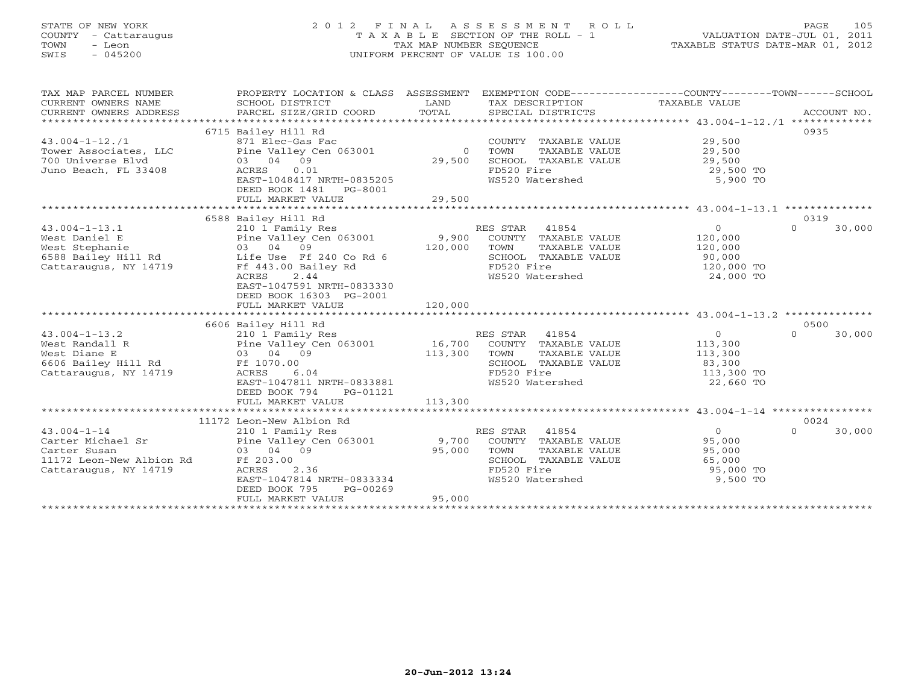# STATE OF NEW YORK 2 0 1 2 F I N A L A S S E S S M E N T R O L L PAGE 105 COUNTY - Cattaraugus T A X A B L E SECTION OF THE ROLL - 1 VALUATION DATE-JUL 01, 2011 TOWN - Leon TAX MAP NUMBER SEQUENCE TAXABLE STATUS DATE-MAR 01, 2012 SWIS - 045200 UNIFORM PERCENT OF VALUE IS 100.00UNIFORM PERCENT OF VALUE IS 100.00

| TAX MAP PARCEL NUMBER<br>CURRENT OWNERS NAME<br>CURRENT OWNERS ADDRESS                                      | PROPERTY LOCATION & CLASS ASSESSMENT<br>SCHOOL DISTRICT<br>PARCEL SIZE/GRID COORD                                                                                                                                                                 | LAND<br>TOTAL                | EXEMPTION CODE-----------------COUNTY-------TOWN------SCHOOL<br>TAX DESCRIPTION<br>SPECIAL DISTRICTS                        | TAXABLE VALUE                                                             | ACCOUNT NO.                |
|-------------------------------------------------------------------------------------------------------------|---------------------------------------------------------------------------------------------------------------------------------------------------------------------------------------------------------------------------------------------------|------------------------------|-----------------------------------------------------------------------------------------------------------------------------|---------------------------------------------------------------------------|----------------------------|
| $43.004 - 1 - 12.71$<br>Tower Associates, LLC<br>700 Universe Blvd<br>Juno Beach, FL 33408                  | 6715 Bailey Hill Rd<br>871 Elec-Gas Fac<br>Pine Valley Cen 063001<br>03 04 09<br>ACRES<br>0.01                                                                                                                                                    | $\Omega$<br>29,500           | COUNTY TAXABLE VALUE<br>TOWN<br>TAXABLE VALUE<br>SCHOOL TAXABLE VALUE<br>FD520 Fire                                         | 29,500<br>29,500<br>29,500<br>29,500 TO                                   | 0935                       |
|                                                                                                             | EAST-1048417 NRTH-0835205<br>DEED BOOK 1481<br>PG-8001<br>FULL MARKET VALUE                                                                                                                                                                       | 29,500                       | WS520 Watershed                                                                                                             | 5,900 TO                                                                  |                            |
|                                                                                                             |                                                                                                                                                                                                                                                   |                              |                                                                                                                             |                                                                           |                            |
| $43.004 - 1 - 13.1$<br>West Daniel E<br>West Stephanie<br>Cattaraugus, NY 14719                             | 6588 Bailey Hill Rd<br>210 1 Family Res<br>Pine Valley Cen 063001<br>03 04 09<br>6588 Bailey Hill Rd bife Use Ff 240 Co Rd 6<br>Ff 443.00 Bailey Rd<br>2.44<br>ACRES<br>EAST-1047591 NRTH-0833330<br>DEED BOOK 16303 PG-2001<br>FULL MARKET VALUE | 9,900<br>120,000<br>120,000  | RES STAR<br>41854<br>COUNTY TAXABLE VALUE<br>TAXABLE VALUE<br>TOWN<br>SCHOOL TAXABLE VALUE<br>FD520 Fire<br>WS520 Watershed | $\overline{O}$<br>120,000<br>120,000<br>90,000<br>120,000 TO<br>24,000 TO | 0319<br>$\Omega$<br>30,000 |
|                                                                                                             |                                                                                                                                                                                                                                                   |                              |                                                                                                                             |                                                                           |                            |
| $43.004 - 1 - 13.2$<br>West Randall R<br>West Diane E<br>6606 Bailey Hill Rd<br>Cattaraugus, NY 14719       | 6606 Bailey Hill Rd<br>210 1 Family Res<br>Pine Valley Cen 063001<br>03 04 09<br>Ff 1070.00<br>ACRES<br>6.04<br>EAST-1047811 NRTH-0833881<br>DEED BOOK 794<br>PG-01121<br>FULL MARKET VALUE                                                       | 16,700<br>113,300<br>113,300 | RES STAR 41854<br>COUNTY TAXABLE VALUE<br>TOWN<br>TAXABLE VALUE<br>SCHOOL TAXABLE VALUE<br>FD520 Fire<br>WS520 Watershed    | $\circ$<br>113,300<br>113,300<br>83,300<br>113,300 TO<br>22,660 TO        | 0500<br>$\Omega$<br>30,000 |
|                                                                                                             |                                                                                                                                                                                                                                                   |                              |                                                                                                                             |                                                                           |                            |
|                                                                                                             | 11172 Leon-New Albion Rd                                                                                                                                                                                                                          |                              |                                                                                                                             |                                                                           | 0024                       |
| $43.004 - 1 - 14$<br>Carter Michael Sr<br>Carter Susan<br>11172 Leon-New Albion Rd<br>Cattaraugus, NY 14719 | 210 1 Family Res<br>Pine Valley Cen 063001<br>03 04 09<br>Ff 203.00<br>2.36<br>ACRES<br>EAST-1047814 NRTH-0833334<br>DEED BOOK 795<br>PG-00269<br>FULL MARKET VALUE                                                                               | 9,700<br>95,000<br>95,000    | 41854<br>RES STAR<br>COUNTY TAXABLE VALUE<br>TOWN<br>TAXABLE VALUE<br>SCHOOL TAXABLE VALUE<br>FD520 Fire<br>WS520 Watershed | $\overline{0}$<br>95,000<br>95,000<br>65,000<br>95,000 TO<br>9,500 TO     | $\Omega$<br>30,000         |
|                                                                                                             |                                                                                                                                                                                                                                                   |                              |                                                                                                                             |                                                                           |                            |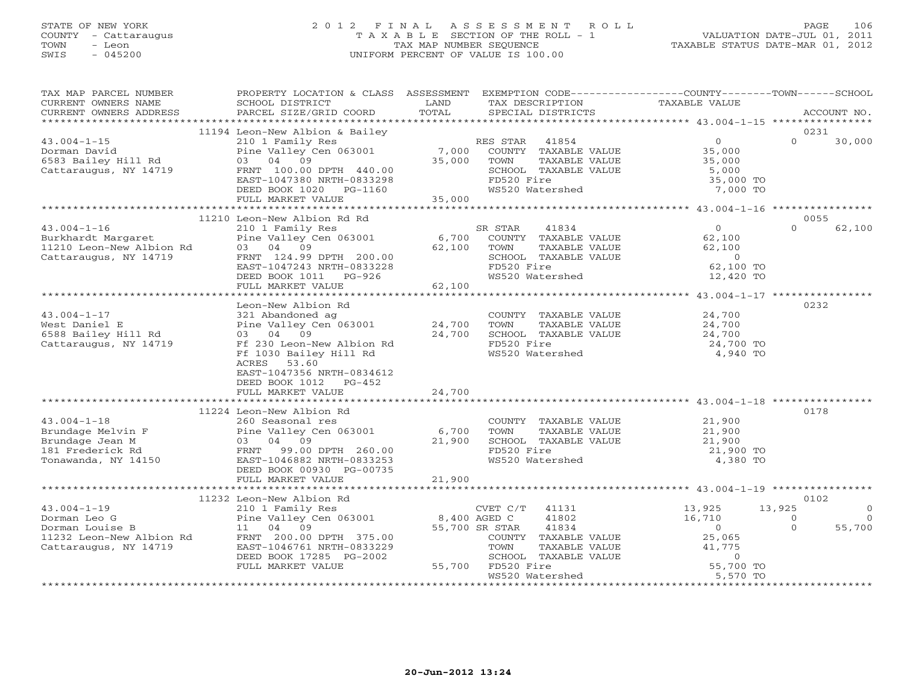# STATE OF NEW YORK 2 0 1 2 F I N A L A S S E S S M E N T R O L L PAGE 106 COUNTY - Cattaraugus T A X A B L E SECTION OF THE ROLL - 1 VALUATION DATE-JUL 01, 2011 TOWN - Leon TAX MAP NUMBER SEQUENCE TAXABLE STATUS DATE-MAR 01, 2012 SWIS - 045200 UNIFORM PERCENT OF VALUE IS 100.00

| TAX MAP PARCEL NUMBER<br>CURRENT OWNERS NAME<br>CURRENT OWNERS ADDRESS                                                                                                             | PROPERTY LOCATION & CLASS ASSESSMENT<br>SCHOOL DISTRICT<br>PARCEL SIZE/GRID COORD                                                                                                                                                                                                                                                                                                                                                    | LAND<br>TOTAL                                           | EXEMPTION CODE-----------------COUNTY-------TOWN------SCHOOL<br>TAX DESCRIPTION<br>SPECIAL DISTRICTS                                                                                                                                 | TAXABLE VALUE                                                                                                           | ACCOUNT NO.                                                             |
|------------------------------------------------------------------------------------------------------------------------------------------------------------------------------------|--------------------------------------------------------------------------------------------------------------------------------------------------------------------------------------------------------------------------------------------------------------------------------------------------------------------------------------------------------------------------------------------------------------------------------------|---------------------------------------------------------|--------------------------------------------------------------------------------------------------------------------------------------------------------------------------------------------------------------------------------------|-------------------------------------------------------------------------------------------------------------------------|-------------------------------------------------------------------------|
|                                                                                                                                                                                    |                                                                                                                                                                                                                                                                                                                                                                                                                                      |                                                         |                                                                                                                                                                                                                                      |                                                                                                                         |                                                                         |
| $43.004 - 1 - 15$<br>Dorman David<br>6583 Bailey Hill Rd<br>Cattaraugus, NY 14719                                                                                                  | 11194 Leon-New Albion & Bailey<br>210 1 Family Res<br>Pine Valley Cen 063001<br>03 04<br>09<br>FRNT 100.00 DPTH 440.00<br>EAST-1047380 NRTH-0833298<br>DEED BOOK 1020 PG-1160<br>FULL MARKET VALUE                                                                                                                                                                                                                                   | 7,000<br>35,000<br>35,000                               | RES STAR<br>41854<br>COUNTY TAXABLE VALUE<br>TOWN<br>TAXABLE VALUE<br>SCHOOL TAXABLE VALUE<br>FD520 Fire<br>WS520 Watershed                                                                                                          | $\overline{O}$<br>35,000<br>35,000<br>5,000<br>35,000 TO<br>7,000 TO                                                    | 0231<br>$\Omega$<br>30,000                                              |
|                                                                                                                                                                                    |                                                                                                                                                                                                                                                                                                                                                                                                                                      |                                                         |                                                                                                                                                                                                                                      |                                                                                                                         |                                                                         |
| $43.004 - 1 - 16$<br>Burkhardt Margaret<br>11210 Leon-New Albion Rd<br>Cattaraugus, NY 14719<br>$43.004 - 1 - 17$<br>West Daniel E<br>6588 Bailey Hill Rd<br>Cattaraugus, NY 14719 | 11210 Leon-New Albion Rd Rd<br>210 1 Family Res<br>Pine Valley Cen 063001<br>03 04 09<br>FRNT 124.99 DPTH 200.00<br>EAST-1047243 NRTH-0833228<br>DEED BOOK 1011 PG-926<br>FULL MARKET VALUE<br>Leon-New Albion Rd<br>321 Abandoned ag<br>Pine Valley Cen 063001<br>03 04 09<br>Ff 230 Leon-New Albion Rd<br>Ff 1030 Bailey Hill Rd<br>53.60<br>ACRES<br>EAST-1047356 NRTH-0834612<br>DEED BOOK 1012<br>$PG-452$<br>FULL MARKET VALUE | 6,700<br>62,100<br>62,100<br>24,700<br>24,700<br>24,700 | SR STAR<br>41834<br>COUNTY TAXABLE VALUE<br>TOWN<br>TAXABLE VALUE<br>SCHOOL TAXABLE VALUE<br>FD520 Fire<br>WS520 Watershed<br>COUNTY TAXABLE VALUE<br>TOWN<br>TAXABLE VALUE<br>SCHOOL TAXABLE VALUE<br>FD520 Fire<br>WS520 Watershed | $\circ$<br>62,100<br>62,100<br>$\circ$<br>62,100 TO<br>12,420 TO<br>24,700<br>24,700<br>24,700<br>24,700 TO<br>4,940 TO | 0055<br>$\Omega$<br>62,100<br>0232                                      |
|                                                                                                                                                                                    |                                                                                                                                                                                                                                                                                                                                                                                                                                      |                                                         |                                                                                                                                                                                                                                      |                                                                                                                         |                                                                         |
| $43.004 - 1 - 18$<br>Brundage Melvin F<br>Brundage Jean M<br>181 Frederick Rd<br>Tonawanda, NY 14150                                                                               | 11224 Leon-New Albion Rd<br>260 Seasonal res<br>Pine Valley Cen 063001<br>04 09<br>03<br>99.00 DPTH 260.00<br>FRNT<br>EAST-1046882 NRTH-0833253<br>DEED BOOK 00930 PG-00735<br>FULL MARKET VALUE                                                                                                                                                                                                                                     | 6,700<br>21,900<br>21,900                               | COUNTY TAXABLE VALUE<br>TOWN<br>TAXABLE VALUE<br>SCHOOL TAXABLE VALUE<br>FD520 Fire<br>WS520 Watershed                                                                                                                               | 21,900<br>21,900<br>21,900<br>21,900 TO<br>4,380 TO                                                                     | 0178                                                                    |
|                                                                                                                                                                                    |                                                                                                                                                                                                                                                                                                                                                                                                                                      |                                                         |                                                                                                                                                                                                                                      |                                                                                                                         |                                                                         |
| $43.004 - 1 - 19$<br>Dorman Leo G<br>Dorman Louise B<br>11232 Leon-New Albion Rd<br>Cattaraugus, NY 14719                                                                          | 11232 Leon-New Albion Rd<br>210 1 Family Res<br>Pine Valley Cen 063001<br>11 04 09<br>FRNT 200.00 DPTH 375.00<br>EAST-1046761 NRTH-0833229<br>DEED BOOK 17285 PG-2002<br>FULL MARKET VALUE                                                                                                                                                                                                                                           | 8,400 AGED C<br>55,700                                  | CVET C/T<br>41131<br>41802<br>55,700 SR STAR<br>41834<br>COUNTY TAXABLE VALUE<br>TOWN<br>TAXABLE VALUE<br>SCHOOL TAXABLE VALUE<br>FD520 Fire<br>WS520 Watershed                                                                      | 13,925<br>16,710<br>$\Omega$<br>25,065<br>41,775<br>$\circ$<br>55,700 TO<br>5,570 TO                                    | 0102<br>13,925<br>$\Omega$<br>$\Omega$<br>$\circ$<br>$\Omega$<br>55,700 |
|                                                                                                                                                                                    |                                                                                                                                                                                                                                                                                                                                                                                                                                      |                                                         |                                                                                                                                                                                                                                      |                                                                                                                         |                                                                         |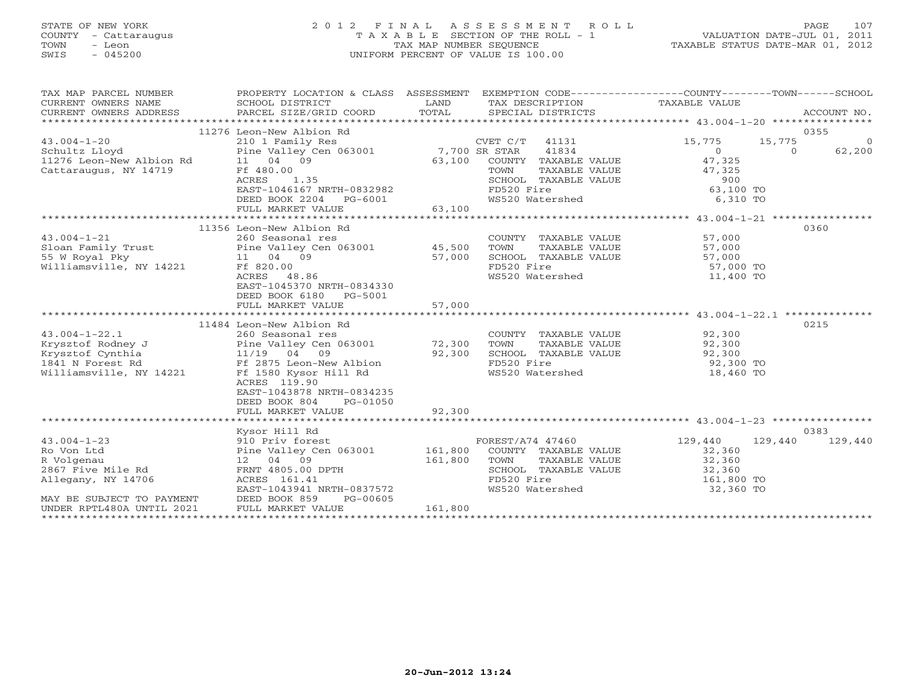# STATE OF NEW YORK 2 0 1 2 F I N A L A S S E S S M E N T R O L L PAGE 107 COUNTY - Cattaraugus T A X A B L E SECTION OF THE ROLL - 1 VALUATION DATE-JUL 01, 2011 TOWN - Leon TAX MAP NUMBER SEQUENCE TAXABLE STATUS DATE-MAR 01, 2012 SWIS - 045200 UNIFORM PERCENT OF VALUE IS 100.00UNIFORM PERCENT OF VALUE IS 100.00

| TAX MAP PARCEL NUMBER                                                                                                                                                                                         | PROPERTY LOCATION & CLASS ASSESSMENT EXEMPTION CODE----------------COUNTY-------TOWN------SCHOOL<br>PROPERTY LOCATION<br>SCHOOL DISTRICT |         |                                                                          |                                            |                |                |
|---------------------------------------------------------------------------------------------------------------------------------------------------------------------------------------------------------------|------------------------------------------------------------------------------------------------------------------------------------------|---------|--------------------------------------------------------------------------|--------------------------------------------|----------------|----------------|
|                                                                                                                                                                                                               | 11276 Leon-New Albion Rd                                                                                                                 |         |                                                                          |                                            |                | 0355           |
|                                                                                                                                                                                                               |                                                                                                                                          |         |                                                                          |                                            | 15,775         |                |
| $43.004 - 1 - 20$<br>43.004-1-20 210 1 Family Res CVET C/T<br>Schultz Lloyd Pine Valley Cen 063001 7,700 SR STAR<br>11276 Leon-New Albion Rd 11 04 09 63,100 COUNTY<br>Cattaraugus, NY 14719 Ff 480.00 TOWN 5 | 210 1 Family Res                                                                                                                         |         | CVET C/T 41131<br>41834                                                  | 15,775                                     |                | $\overline{0}$ |
|                                                                                                                                                                                                               |                                                                                                                                          |         |                                                                          | $\begin{array}{c} 0 \\ 47,325 \end{array}$ | $\overline{0}$ | 62,200         |
|                                                                                                                                                                                                               |                                                                                                                                          |         | COUNTY TAXABLE VALUE                                                     |                                            |                |                |
|                                                                                                                                                                                                               |                                                                                                                                          |         | TAXABLE VALUE                                                            | 47,325                                     |                |                |
|                                                                                                                                                                                                               | -- 400.00<br>ACRES 1.35<br>EAST-1046167 NRTH-0832982<br>DEED BOOK 2204 PO 6001                                                           |         | SCHOOL TAXABLE VALUE<br>FD520 Fire 63,100 TO<br>WS520 Watershed 6,310 TO |                                            |                |                |
|                                                                                                                                                                                                               |                                                                                                                                          |         |                                                                          |                                            |                |                |
|                                                                                                                                                                                                               | DEED BOOK 2204 PG-6001                                                                                                                   |         |                                                                          |                                            |                |                |
|                                                                                                                                                                                                               |                                                                                                                                          |         |                                                                          |                                            |                |                |
|                                                                                                                                                                                                               | 11356 Leon-New Albion Rd                                                                                                                 |         |                                                                          |                                            |                | 0360           |
| 43.004-1-21 260 Seasonal res COUNT<br>Sloan Family Trust Pine Valley Cen 063001 45,500 TOWN<br>55 W Royal Pky 11 04 09 57,000 SCHOO:<br>Williamsville, NY 14221 Ff 820.00 FD520                               |                                                                                                                                          |         |                                                                          |                                            |                |                |
|                                                                                                                                                                                                               |                                                                                                                                          |         | COUNTY TAXABLE VALUE 57,000<br>TOWN TAXABLE VALUE 57,000                 |                                            |                |                |
|                                                                                                                                                                                                               |                                                                                                                                          |         | SCHOOL TAXABLE VALUE                                                     | 57,000                                     |                |                |
|                                                                                                                                                                                                               |                                                                                                                                          |         | FD520 Fire                                                               |                                            |                |                |
|                                                                                                                                                                                                               | ACRES 48.86                                                                                                                              |         | WS520 Watershed                                                          | 57,000 TO<br>11,400 TO                     |                |                |
|                                                                                                                                                                                                               | EAST-1045370 NRTH-0834330                                                                                                                |         |                                                                          |                                            |                |                |
|                                                                                                                                                                                                               | DEED BOOK 6180 PG-5001                                                                                                                   |         |                                                                          |                                            |                |                |
|                                                                                                                                                                                                               | FULL MARKET VALUE                                                                                                                        | 57,000  |                                                                          |                                            |                |                |
|                                                                                                                                                                                                               |                                                                                                                                          |         |                                                                          |                                            |                |                |
|                                                                                                                                                                                                               | 11484 Leon-New Albion Rd                                                                                                                 |         |                                                                          |                                            |                | 0215           |
| $43.004 - 1 - 22.1$                                                                                                                                                                                           | 260 Seasonal res                                                                                                                         |         | COUNTY TAXABLE VALUE 92,300                                              |                                            |                |                |
|                                                                                                                                                                                                               |                                                                                                                                          |         | TOWN<br>TAXABLE VALUE                                                    | 92,300                                     |                |                |
|                                                                                                                                                                                                               |                                                                                                                                          |         | IOWN 111111-1-<br>SCHOOL TAXABLE VALUE                                   |                                            |                |                |
|                                                                                                                                                                                                               |                                                                                                                                          |         | FD520 Fire                                                               | 92,300<br>92,300 TO                        |                |                |
| Exposite Eddiey J<br>Exposite Rodney J<br>Exposite Cynthia 11/19 04 09 92,300<br>1841 N Forest Rd Ff 2875 Leon-New Albion<br>Williamsville, NY 14221 Ff 1580 Kysor Hill Rd                                    |                                                                                                                                          |         | FD520 Fire<br>WS520 Watershed 18,460 TO                                  |                                            |                |                |
|                                                                                                                                                                                                               | ACRES 119.90                                                                                                                             |         |                                                                          |                                            |                |                |
|                                                                                                                                                                                                               | EAST-1043878 NRTH-0834235                                                                                                                |         |                                                                          |                                            |                |                |
|                                                                                                                                                                                                               | DEED BOOK 804<br>PG-01050                                                                                                                |         |                                                                          |                                            |                |                |
|                                                                                                                                                                                                               | FULL MARKET VALUE                                                                                                                        | 92,300  |                                                                          |                                            |                |                |
|                                                                                                                                                                                                               |                                                                                                                                          |         |                                                                          |                                            |                |                |
|                                                                                                                                                                                                               | Kysor Hill Rd                                                                                                                            |         |                                                                          |                                            |                | 0383           |
| $43.004 - 1 - 23$                                                                                                                                                                                             | 910 Priv forest                                                                                                                          |         | FOREST/A74 47460                                                         | 129,440                                    | 129,440        | 129,440        |
| Ro Von Ltd                                                                                                                                                                                                    | Pine Valley Cen 063001 161,800                                                                                                           |         | COUNTY TAXABLE VALUE                                                     | 32,360                                     |                |                |
| R Volgenau                                                                                                                                                                                                    | 12 04 09                                                                                                                                 | 161,800 | TOWN TAXABLE VALUE 32,360                                                |                                            |                |                |
| 2867 Five Mile Rd                                                                                                                                                                                             | 12 $04 - 0$<br>FRNT 4805.00 DPTH                                                                                                         |         | SCHOOL TAXABLE VALUE                                                     | 32,360<br>161,800 TO                       |                |                |
| Allegany, NY 14706                                                                                                                                                                                            |                                                                                                                                          |         | FD520 Fire<br>FD520 Fire<br>WS520 Watershed                              |                                            |                |                |
|                                                                                                                                                                                                               | EAST-1043941 NRTH-0837572                                                                                                                |         |                                                                          | 32,360 TO                                  |                |                |
| MAY BE SUBJECT TO PAYMENT<br>UNDER RPTL480A UNTIL 2021                                                                                                                                                        | DEED BOOK 859<br>PG-00605                                                                                                                |         |                                                                          |                                            |                |                |
|                                                                                                                                                                                                               | FULL MARKET VALUE                                                                                                                        | 161,800 |                                                                          |                                            |                |                |
|                                                                                                                                                                                                               |                                                                                                                                          |         |                                                                          |                                            |                |                |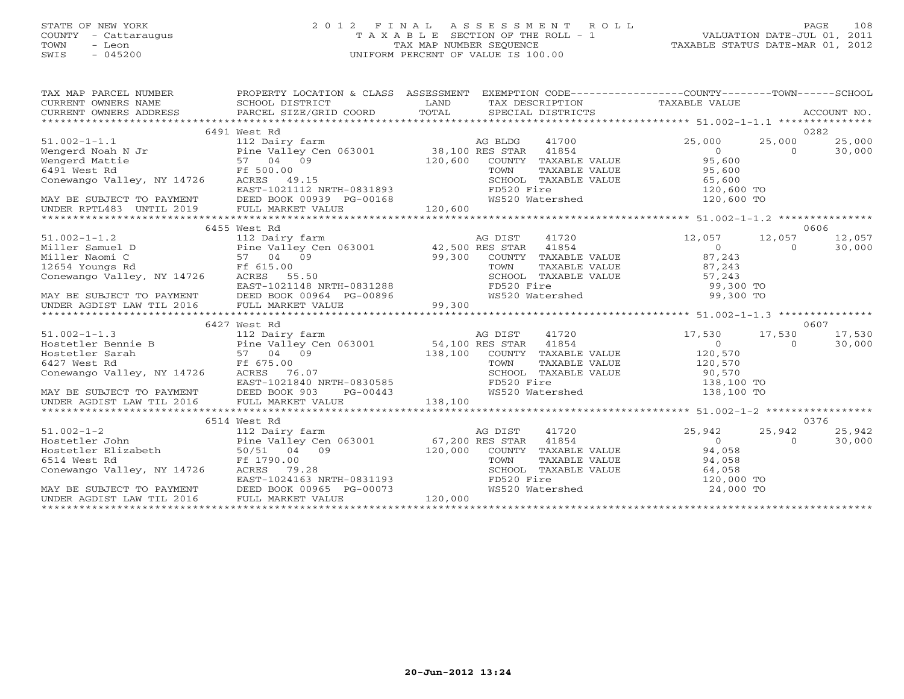# STATE OF NEW YORK 2 0 1 2 F I N A L A S S E S S M E N T R O L L PAGE 108 COUNTY - Cattaraugus T A X A B L E SECTION OF THE ROLL - 1 VALUATION DATE-JUL 01, 2011 TOWN - Leon TAX MAP NUMBER SEQUENCE TAXABLE STATUS DATE-MAR 01, 2012 SWIS - 045200 UNIFORM PERCENT OF VALUE IS 100.00

| $\begin{tabular}{lllllllllll} \textsc{rank} & & & & & & & \textsc{PROPERTY LOCATION & & & & & \textsc{SSESSMENT} & & & \textsc{EXEMPITION} & & & \textsc{CODE--------------------COUNTY--------TOWN------SCHOOL} \\ \textsc{CURERNT} & & & & & & & \textsc{SCHOOL DISTRICT} & & & & \textsc{LAND} & & \textsc{TSCRIPITION} & & & \textsc{TAXABLE VALUE} \\ & & & & & & & \textsc{CURERNT} & & \textsc{NLUE} & & \textsc{PACCOUNT NO} & & \textsc{CCONPT NO} \\ & & & & & & \textsc{PANCE$ |                                                                                                                 |         |         |                               |                                                                                                                 |                |        |
|-------------------------------------------------------------------------------------------------------------------------------------------------------------------------------------------------------------------------------------------------------------------------------------------------------------------------------------------------------------------------------------------------------------------------------------------------------------------------------------------|-----------------------------------------------------------------------------------------------------------------|---------|---------|-------------------------------|-----------------------------------------------------------------------------------------------------------------|----------------|--------|
|                                                                                                                                                                                                                                                                                                                                                                                                                                                                                           |                                                                                                                 |         |         |                               |                                                                                                                 |                |        |
|                                                                                                                                                                                                                                                                                                                                                                                                                                                                                           | 6491 West Rd                                                                                                    |         |         |                               |                                                                                                                 |                | 0282   |
| $51.002 - 1 - 1.1$                                                                                                                                                                                                                                                                                                                                                                                                                                                                        |                                                                                                                 |         |         |                               | 25,000                                                                                                          | 25,000         | 25,000 |
|                                                                                                                                                                                                                                                                                                                                                                                                                                                                                           |                                                                                                                 |         |         |                               | $\overline{0}$                                                                                                  | $\Omega$       | 30,000 |
|                                                                                                                                                                                                                                                                                                                                                                                                                                                                                           |                                                                                                                 |         |         | COUNTY TAXABLE VALUE          | 95,600                                                                                                          |                |        |
|                                                                                                                                                                                                                                                                                                                                                                                                                                                                                           |                                                                                                                 |         |         |                               |                                                                                                                 |                |        |
|                                                                                                                                                                                                                                                                                                                                                                                                                                                                                           |                                                                                                                 |         |         |                               |                                                                                                                 |                |        |
|                                                                                                                                                                                                                                                                                                                                                                                                                                                                                           |                                                                                                                 |         |         |                               | TOWN TAXABLE VALUE 95,600<br>SCHOOL TAXABLE VALUE 65,600<br>FD520 Fire 120,600 TO<br>WS520 Watershed 120,600 TO |                |        |
|                                                                                                                                                                                                                                                                                                                                                                                                                                                                                           |                                                                                                                 |         |         |                               |                                                                                                                 |                |        |
| $\begin{tabular}{lllllllllllllllllllll} \multicolumn{2}{c}{\textbf{6491 West Rd}} & $\textbf{Ff 500.00} \nonumber \textbf{Conewango Valley, NY 14726} & $\textbf{RCFES} & 49.15$ \nonumber \textbf{EAST-1021112 NRTH-0831893} & $\textbf{KAY BE SUBJECT TO PAYMENT} & $\textbf{DEED BOK 00939 PG-00168}$ \nonumber \textbf{UDER RPTL483 UVTIL 2019} & $\textbf{FULL MARKET VALUE} & $\textbf{120,600} \nonumber \end{tabular}$                                                            |                                                                                                                 |         |         |                               |                                                                                                                 |                |        |
|                                                                                                                                                                                                                                                                                                                                                                                                                                                                                           |                                                                                                                 |         |         |                               |                                                                                                                 |                |        |
|                                                                                                                                                                                                                                                                                                                                                                                                                                                                                           | 6455 West Rd                                                                                                    |         |         |                               |                                                                                                                 |                | 0606   |
| $51.002 - 1 - 1.2$                                                                                                                                                                                                                                                                                                                                                                                                                                                                        | 112 Dairy farm                                                                                                  |         | AG DIST | 41720                         | 12,057                                                                                                          | 12,057         | 12,057 |
|                                                                                                                                                                                                                                                                                                                                                                                                                                                                                           |                                                                                                                 |         |         |                               | $\overline{0}$                                                                                                  | $\Omega$       | 30,000 |
|                                                                                                                                                                                                                                                                                                                                                                                                                                                                                           |                                                                                                                 |         |         |                               | COUNTY TAXABLE VALUE 87,243                                                                                     |                |        |
|                                                                                                                                                                                                                                                                                                                                                                                                                                                                                           |                                                                                                                 |         |         |                               |                                                                                                                 |                |        |
| 112 Dairy tarm and the Miller Samuel D Pine Valley Cen 063001 Miller Samuel D Pine Valley Cen 063001 Miller Samuel D Pine Valley Cen 063001 42,500 RES STAR 41854<br>Miller Naomi C 57 04 09 99,300 COUNTY TAXABLE<br>12654 Youngs                                                                                                                                                                                                                                                        |                                                                                                                 |         |         |                               | TOWN TAXABLE VALUE 87,243<br>SCHOOL TAXABLE VALUE 57,243<br>FD520 Fire 99,300 TO                                |                |        |
|                                                                                                                                                                                                                                                                                                                                                                                                                                                                                           |                                                                                                                 |         |         |                               |                                                                                                                 |                |        |
|                                                                                                                                                                                                                                                                                                                                                                                                                                                                                           |                                                                                                                 |         |         |                               |                                                                                                                 |                |        |
| 12654 Youngs Rd<br>Conewango Valley, NY 14726 RCRES 55.50<br>EAST-1021148 RCRES 55.50<br>EAST-1021148 RCRES 55.50<br>EAST-1020 RTM CHOOL TAXABLE VALUE 57,243<br>EAST-1020 RTM CHOOL TAXABLE VALUE 57,243<br>ENSEMINER AGDIST LAW TIL 2016                                                                                                                                                                                                                                                |                                                                                                                 |         |         |                               |                                                                                                                 |                |        |
|                                                                                                                                                                                                                                                                                                                                                                                                                                                                                           |                                                                                                                 |         |         |                               |                                                                                                                 |                |        |
|                                                                                                                                                                                                                                                                                                                                                                                                                                                                                           | 6427 West Rd                                                                                                    |         |         |                               |                                                                                                                 |                | 0607   |
|                                                                                                                                                                                                                                                                                                                                                                                                                                                                                           |                                                                                                                 |         |         |                               | 17,530 17,530 17,530                                                                                            |                |        |
| 112 Dairy farm<br>Hostetler Bennie B<br>Hostetler Sarah 57 04 09<br>Example 112 Dairy farm and the Valley Cen 063001<br>Hostetler Sarah 57 04 09<br>Frack 575.00<br>Conewango Valley, NY 14726<br>Conewango Valley, NY 14726<br>Conewango Vall                                                                                                                                                                                                                                            |                                                                                                                 |         |         |                               | $\overline{0}$                                                                                                  | $\Omega$       | 30,000 |
|                                                                                                                                                                                                                                                                                                                                                                                                                                                                                           |                                                                                                                 |         |         |                               | COUNTY TAXABLE VALUE 120,570                                                                                    |                |        |
|                                                                                                                                                                                                                                                                                                                                                                                                                                                                                           |                                                                                                                 |         |         |                               |                                                                                                                 |                |        |
|                                                                                                                                                                                                                                                                                                                                                                                                                                                                                           |                                                                                                                 |         |         |                               | TOWN TAXABLE VALUE 120,570<br>SCHOOL TAXABLE VALUE 90,570<br>FD520 Fire 138,100 TO                              |                |        |
|                                                                                                                                                                                                                                                                                                                                                                                                                                                                                           |                                                                                                                 |         |         |                               |                                                                                                                 |                |        |
| EAST-1021840 NRTH-0830585<br>MAY BE SUBJECT TO PAYMENT DEED BOOK 903 PG-00443<br>UNDER AGDIST LAW TIL 2016 FULL MARKET VALUE 138,100                                                                                                                                                                                                                                                                                                                                                      |                                                                                                                 |         |         | WS520 Watershed               | 138,100 TO                                                                                                      |                |        |
|                                                                                                                                                                                                                                                                                                                                                                                                                                                                                           |                                                                                                                 |         |         |                               |                                                                                                                 |                |        |
|                                                                                                                                                                                                                                                                                                                                                                                                                                                                                           |                                                                                                                 |         |         |                               |                                                                                                                 |                |        |
|                                                                                                                                                                                                                                                                                                                                                                                                                                                                                           | 6514 West Rd                                                                                                    |         |         |                               |                                                                                                                 |                | 0376   |
| $51.002 - 1 - 2$                                                                                                                                                                                                                                                                                                                                                                                                                                                                          | 112 Dairy tarm<br>Pine Valley Cen 063001 67,200 RES STAR 41854<br>120 000 COUNTY TAXABLE                        |         |         |                               | $25,942$<br>0                                                                                                   | 25,942         | 25,942 |
| Hostetler John                                                                                                                                                                                                                                                                                                                                                                                                                                                                            |                                                                                                                 |         |         |                               |                                                                                                                 | $\overline{0}$ | 30,000 |
| Hostetler Elizabeth $50/51$ 04 09                                                                                                                                                                                                                                                                                                                                                                                                                                                         |                                                                                                                 | 120,000 |         |                               | COUNTY TAXABLE VALUE 94,058                                                                                     |                |        |
| 6514 West Rd                                                                                                                                                                                                                                                                                                                                                                                                                                                                              | Ff 1790.00                                                                                                      |         |         |                               |                                                                                                                 |                |        |
| Conewango Valley, NY 14726                                                                                                                                                                                                                                                                                                                                                                                                                                                                | Ff 1790.00<br>ACRES 79.28<br>EAST-1024163 NRTH-0831193<br>DEED BOOK 00965 PG-00073<br>FULL MARKET VALUE 120,000 |         |         |                               | TOWN TAXABLE VALUE<br>SCHOOL TAXABLE VALUE<br>FD520 Fire 120,000 TO                                             |                |        |
|                                                                                                                                                                                                                                                                                                                                                                                                                                                                                           |                                                                                                                 |         |         | FD520 Fire<br>WS520 Watershed |                                                                                                                 |                |        |
| MAY BE SUBJECT TO PAYMENT                                                                                                                                                                                                                                                                                                                                                                                                                                                                 |                                                                                                                 |         |         |                               | 24,000 TO                                                                                                       |                |        |
| UNDER AGDIST LAW TIL 2016                                                                                                                                                                                                                                                                                                                                                                                                                                                                 |                                                                                                                 |         |         |                               |                                                                                                                 |                |        |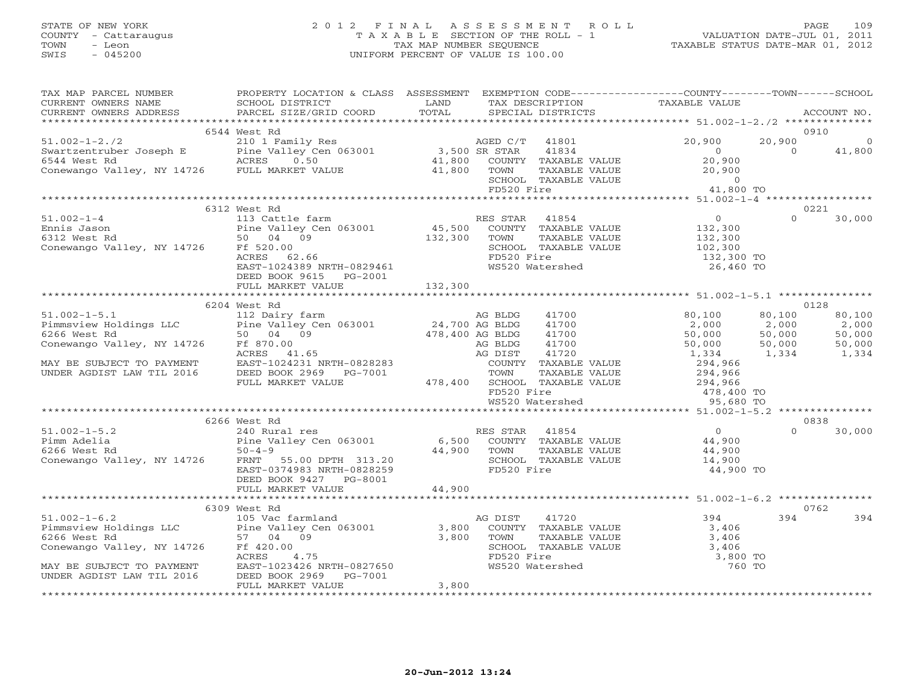## STATE OF NEW YORK 2 0 1 2 F I N A L A S S E S S M E N T R O L L PAGE 109 COUNTY - Cattaraugus T A X A B L E SECTION OF THE ROLL - 1 VALUATION DATE-JUL 01, 2011 TOWN - Leon TAX MAP NUMBER SEQUENCE TAXABLE STATUS DATE-MAR 01, 2012 SWIS - 045200 UNIFORM PERCENT OF VALUE IS 100.00

| TAX MAP PARCEL NUMBER                                                                                                                                                                                                                                                                                                                                                                     | PROPERTY LOCATION & CLASS ASSESSMENT EXEMPTION CODE----------------COUNTY-------TOWN------SCHOOL |         |                                                                                                   |                             |          |               |
|-------------------------------------------------------------------------------------------------------------------------------------------------------------------------------------------------------------------------------------------------------------------------------------------------------------------------------------------------------------------------------------------|--------------------------------------------------------------------------------------------------|---------|---------------------------------------------------------------------------------------------------|-----------------------------|----------|---------------|
| CURRENT OWNERS NAME<br>CURRENT OWNERS ADDRESS PARCEL SIZE/GRID COORD                                                                                                                                                                                                                                                                                                                      | SCHOOL DISTRICT                                                                                  |         | LAND TAX DESCRIPTION TAXABLE VALUE COORD TOTAL SPECIAL DISTRICTS                                  |                             |          | ACCOUNT NO.   |
|                                                                                                                                                                                                                                                                                                                                                                                           |                                                                                                  |         |                                                                                                   |                             |          |               |
|                                                                                                                                                                                                                                                                                                                                                                                           | 6544 West Rd                                                                                     |         |                                                                                                   |                             |          | 0910          |
|                                                                                                                                                                                                                                                                                                                                                                                           |                                                                                                  |         |                                                                                                   |                             |          |               |
|                                                                                                                                                                                                                                                                                                                                                                                           |                                                                                                  |         |                                                                                                   |                             |          |               |
|                                                                                                                                                                                                                                                                                                                                                                                           |                                                                                                  |         |                                                                                                   |                             |          |               |
| 51.002-1-2./2<br>Swartzentruber Joseph E Pine Valley Cen 063001<br>Swartzentruber Joseph E Pine Valley Cen 063001<br>ACRES 0.50 11,800 COUNTY TAXABLE VALUE 20,900 0 41,800<br>Conewango Valley, NY 14726 FULL MARKET VALUE 41,800 TOW                                                                                                                                                    |                                                                                                  |         | TOWN TAXABLE VALUE 20,900<br>SCHOOL TAXABLE VALUE 0<br>FD520 Fire 41,800 TO                       |                             |          |               |
|                                                                                                                                                                                                                                                                                                                                                                                           |                                                                                                  |         |                                                                                                   |                             |          |               |
|                                                                                                                                                                                                                                                                                                                                                                                           |                                                                                                  |         |                                                                                                   |                             |          |               |
|                                                                                                                                                                                                                                                                                                                                                                                           |                                                                                                  |         |                                                                                                   |                             |          |               |
|                                                                                                                                                                                                                                                                                                                                                                                           | 6312 West Rd                                                                                     |         |                                                                                                   |                             |          | 0221          |
|                                                                                                                                                                                                                                                                                                                                                                                           |                                                                                                  |         |                                                                                                   |                             |          | $0 \t 30,000$ |
|                                                                                                                                                                                                                                                                                                                                                                                           |                                                                                                  |         |                                                                                                   |                             |          |               |
|                                                                                                                                                                                                                                                                                                                                                                                           |                                                                                                  |         |                                                                                                   |                             |          |               |
|                                                                                                                                                                                                                                                                                                                                                                                           |                                                                                                  |         |                                                                                                   |                             |          |               |
|                                                                                                                                                                                                                                                                                                                                                                                           |                                                                                                  |         |                                                                                                   |                             |          |               |
|                                                                                                                                                                                                                                                                                                                                                                                           |                                                                                                  |         |                                                                                                   |                             |          |               |
|                                                                                                                                                                                                                                                                                                                                                                                           | DEED BOOK 9615 PG-2001<br>FULL MARKET VALUE                                                      | 132,300 |                                                                                                   |                             |          |               |
|                                                                                                                                                                                                                                                                                                                                                                                           |                                                                                                  |         |                                                                                                   |                             |          |               |
|                                                                                                                                                                                                                                                                                                                                                                                           | 6204 West Rd                                                                                     |         |                                                                                                   |                             |          | 0128          |
|                                                                                                                                                                                                                                                                                                                                                                                           |                                                                                                  |         |                                                                                                   |                             | 80,100   | 80,100        |
|                                                                                                                                                                                                                                                                                                                                                                                           |                                                                                                  |         |                                                                                                   |                             |          |               |
|                                                                                                                                                                                                                                                                                                                                                                                           |                                                                                                  |         |                                                                                                   |                             |          |               |
|                                                                                                                                                                                                                                                                                                                                                                                           |                                                                                                  |         |                                                                                                   |                             |          |               |
|                                                                                                                                                                                                                                                                                                                                                                                           |                                                                                                  |         |                                                                                                   |                             |          |               |
|                                                                                                                                                                                                                                                                                                                                                                                           |                                                                                                  |         |                                                                                                   |                             |          |               |
|                                                                                                                                                                                                                                                                                                                                                                                           |                                                                                                  |         |                                                                                                   |                             |          |               |
|                                                                                                                                                                                                                                                                                                                                                                                           |                                                                                                  |         |                                                                                                   |                             |          |               |
|                                                                                                                                                                                                                                                                                                                                                                                           |                                                                                                  |         |                                                                                                   |                             |          |               |
|                                                                                                                                                                                                                                                                                                                                                                                           |                                                                                                  |         |                                                                                                   |                             |          |               |
|                                                                                                                                                                                                                                                                                                                                                                                           |                                                                                                  |         |                                                                                                   |                             |          |               |
| 51.002-1-5.2<br>Pimm Adelia 240 Rural res<br>Pimm Adelia Pine Valley Cen 063001 6,500 COUNTY TAXABLE VALUE 44,900<br>6266 West Rd 50-4-9<br>Conewango Valley, NY 14726 FRNT 55.00 DPTH 313.20<br>EAST-0374983 NRTH-0828259<br>EAST-0374983                                                                                                                                                | 6266 West Rd                                                                                     |         |                                                                                                   |                             |          | 0838          |
|                                                                                                                                                                                                                                                                                                                                                                                           |                                                                                                  |         |                                                                                                   |                             | $\Omega$ | 30,000        |
|                                                                                                                                                                                                                                                                                                                                                                                           |                                                                                                  |         |                                                                                                   |                             |          |               |
|                                                                                                                                                                                                                                                                                                                                                                                           |                                                                                                  |         |                                                                                                   |                             |          |               |
|                                                                                                                                                                                                                                                                                                                                                                                           |                                                                                                  |         | SCHOOL TAXABLE VALUE 14,900<br>FD520 Fire 14,900 TO                                               |                             |          |               |
|                                                                                                                                                                                                                                                                                                                                                                                           |                                                                                                  |         |                                                                                                   |                             |          |               |
|                                                                                                                                                                                                                                                                                                                                                                                           | DEED BOOK 9427 PG-8001<br>FULL MARKET VALUE 44,900                                               |         |                                                                                                   |                             |          |               |
|                                                                                                                                                                                                                                                                                                                                                                                           |                                                                                                  |         |                                                                                                   |                             |          |               |
|                                                                                                                                                                                                                                                                                                                                                                                           | 6309 West Rd                                                                                     |         |                                                                                                   |                             |          | 0762          |
|                                                                                                                                                                                                                                                                                                                                                                                           |                                                                                                  |         |                                                                                                   |                             |          | 394 394       |
|                                                                                                                                                                                                                                                                                                                                                                                           |                                                                                                  |         |                                                                                                   | $1 \text{LUE}$ 394<br>3,406 |          |               |
|                                                                                                                                                                                                                                                                                                                                                                                           |                                                                                                  |         |                                                                                                   |                             |          |               |
|                                                                                                                                                                                                                                                                                                                                                                                           |                                                                                                  |         |                                                                                                   |                             |          |               |
| $\begin{array}{lllllllllll} \text{51.002--1-6.2} & \text{6309} & \text{west K} \text{cm} & \text{105 Vac farmland} & \text{266 West Rd} & \text{266 West Rd} & \text{57 04 09} & \text{6266 West Rd} & \text{6266 West Rd} & \text{63001} & \text{63001} & \text{63001} & \text{63001} & \text{63001} & \text{63001} & \text{63001} & \text{63001} & \text{63001} & \text{63001} & \text$ |                                                                                                  |         | TOWN TAXABLE VALUE 3,406<br>SCHOOL TAXABLE VALUE 3,406<br>FD520 Fire 3,800<br>WS520 Watershed 760 | 3,800 TO                    |          |               |
| MAY BE SUBJECT TO PAYMENT<br>UNDER AGDIST LAW TIL 2016 DEED BOOK 2969 PG-7001                                                                                                                                                                                                                                                                                                             |                                                                                                  |         |                                                                                                   | 760 TO                      |          |               |
|                                                                                                                                                                                                                                                                                                                                                                                           |                                                                                                  |         |                                                                                                   |                             |          |               |
|                                                                                                                                                                                                                                                                                                                                                                                           | FULL MARKET VALUE                                                                                | 3,800   |                                                                                                   |                             |          |               |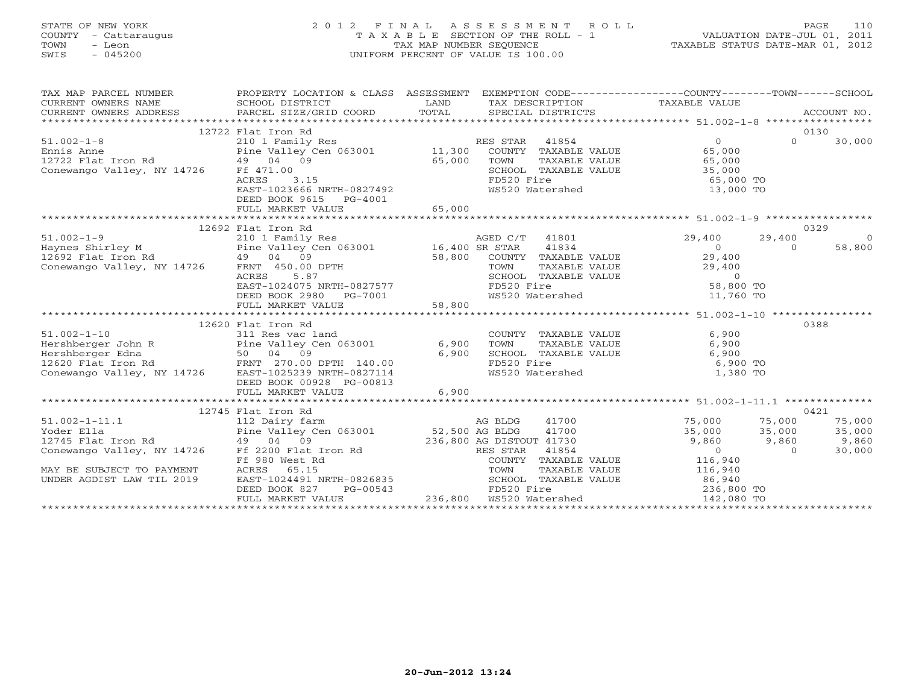# STATE OF NEW YORK 2 0 1 2 F I N A L A S S E S S M E N T R O L L PAGE 110 COUNTY - Cattaraugus T A X A B L E SECTION OF THE ROLL - 1 VALUATION DATE-JUL 01, 2011 TOWN - Leon TAX MAP NUMBER SEQUENCE TAXABLE STATUS DATE-MAR 01, 2012 SWIS - 045200 UNIFORM PERCENT OF VALUE IS 100.00UNIFORM PERCENT OF VALUE IS 100.00

| 12722 Flat Iron Rd<br>0130<br>$\Omega$<br>30,000<br>TOWN TAXABLE VALUE 65,000<br>SCHOOL TAXABLE VALUE 35,000<br>FD520 Fire 65,000 TO<br>$\begin{aligned} \mathcal{L}_{\text{max}}(\mathcal{L}_{\text{max}}) = \mathcal{L}_{\text{max}}(\mathcal{L}_{\text{max}}) \end{aligned}$<br>FD520 Fire<br>ACRES<br>3.15<br>WS520 Watershed 13,000 TO<br>EAST-1023666 NRTH-0827492<br>DEED BOOK 9615 PG-4001<br>0329<br>12692 Flat Iron Rd<br>12620 Flat Iron Rd<br>0388<br>51.002-1-10<br>Hershberger John R<br>Hershberger Edna 50 04 09 6,900<br>12620 Flat Iron Rd<br>Conewango Valley, NY 14726 EAST-1025239 NRTH-0827114<br>COUNTY TAXABLE VALUE 6,900<br>TOWN TAXABLE VALUE 6,900<br>SCHOOL TAXABLE VALUE 6,900<br>FD520 Fire 6,900 TO<br>WS520 Watershed 1,380 TO<br>DEED BOOK 00928 PG-00813<br>6,900<br>FULL MARKET VALUE<br>12745 Flat Iron Rd<br>0421<br>$\begin{tabular}{lllllllllllll} \text{51.002--1-11.1} & & & & & & & & & & 12745 \text{ Flat} \text{ from }\mathbb{R} & & & & \text{AG BLDG} & 41700 & & & & & 75,000 & 75,000 & 75,000 & 75,000 & 75,000 & 75,000 & 75,000 & 75,000 & 75,000 & 75,000 & 75,000 & 75,000 & 75,000 & 75,000 & 75,000 & 75,000 & 75,00$<br>41700 75,000 75,000<br>75,000<br>35,000 35,000 35,000<br>9,860 9,860 9,860<br>0 0 30,000 | $\begin{tabular}{lllllllll} \textsc{rank} & \textsc{rank} & \textsc{rank} & \textsc{rank} & \textsc{rank} & \textsc{rank} & \textsc{rank} & \textsc{rank} & \textsc{rank} & \textsc{rank} & \textsc{rank} & \textsc{rank} & \textsc{rank} & \textsc{rank} & \textsc{rank} & \textsc{rank} & \textsc{rank} & \textsc{rank} & \textsc{rank} & \textsc{rank} & \textsc{rank} & \textsc{rank} & \textsc{rank} & \textsc{rank} & \textsc{rank} & \textsc{rank} & \textsc{rank} & \textsc{rank} & \textsc{rank} & \textsc{rank$ |  |  |  |  |
|-----------------------------------------------------------------------------------------------------------------------------------------------------------------------------------------------------------------------------------------------------------------------------------------------------------------------------------------------------------------------------------------------------------------------------------------------------------------------------------------------------------------------------------------------------------------------------------------------------------------------------------------------------------------------------------------------------------------------------------------------------------------------------------------------------------------------------------------------------------------------------------------------------------------------------------------------------------------------------------------------------------------------------------------------------------------------------------------------------------------------------------------------------------------------------------------------------------------------------------------------------------------------------|---------------------------------------------------------------------------------------------------------------------------------------------------------------------------------------------------------------------------------------------------------------------------------------------------------------------------------------------------------------------------------------------------------------------------------------------------------------------------------------------------------------------------|--|--|--|--|
|                                                                                                                                                                                                                                                                                                                                                                                                                                                                                                                                                                                                                                                                                                                                                                                                                                                                                                                                                                                                                                                                                                                                                                                                                                                                             |                                                                                                                                                                                                                                                                                                                                                                                                                                                                                                                           |  |  |  |  |
|                                                                                                                                                                                                                                                                                                                                                                                                                                                                                                                                                                                                                                                                                                                                                                                                                                                                                                                                                                                                                                                                                                                                                                                                                                                                             |                                                                                                                                                                                                                                                                                                                                                                                                                                                                                                                           |  |  |  |  |
|                                                                                                                                                                                                                                                                                                                                                                                                                                                                                                                                                                                                                                                                                                                                                                                                                                                                                                                                                                                                                                                                                                                                                                                                                                                                             |                                                                                                                                                                                                                                                                                                                                                                                                                                                                                                                           |  |  |  |  |
|                                                                                                                                                                                                                                                                                                                                                                                                                                                                                                                                                                                                                                                                                                                                                                                                                                                                                                                                                                                                                                                                                                                                                                                                                                                                             |                                                                                                                                                                                                                                                                                                                                                                                                                                                                                                                           |  |  |  |  |
|                                                                                                                                                                                                                                                                                                                                                                                                                                                                                                                                                                                                                                                                                                                                                                                                                                                                                                                                                                                                                                                                                                                                                                                                                                                                             |                                                                                                                                                                                                                                                                                                                                                                                                                                                                                                                           |  |  |  |  |
|                                                                                                                                                                                                                                                                                                                                                                                                                                                                                                                                                                                                                                                                                                                                                                                                                                                                                                                                                                                                                                                                                                                                                                                                                                                                             |                                                                                                                                                                                                                                                                                                                                                                                                                                                                                                                           |  |  |  |  |
|                                                                                                                                                                                                                                                                                                                                                                                                                                                                                                                                                                                                                                                                                                                                                                                                                                                                                                                                                                                                                                                                                                                                                                                                                                                                             |                                                                                                                                                                                                                                                                                                                                                                                                                                                                                                                           |  |  |  |  |
|                                                                                                                                                                                                                                                                                                                                                                                                                                                                                                                                                                                                                                                                                                                                                                                                                                                                                                                                                                                                                                                                                                                                                                                                                                                                             |                                                                                                                                                                                                                                                                                                                                                                                                                                                                                                                           |  |  |  |  |
|                                                                                                                                                                                                                                                                                                                                                                                                                                                                                                                                                                                                                                                                                                                                                                                                                                                                                                                                                                                                                                                                                                                                                                                                                                                                             |                                                                                                                                                                                                                                                                                                                                                                                                                                                                                                                           |  |  |  |  |
|                                                                                                                                                                                                                                                                                                                                                                                                                                                                                                                                                                                                                                                                                                                                                                                                                                                                                                                                                                                                                                                                                                                                                                                                                                                                             |                                                                                                                                                                                                                                                                                                                                                                                                                                                                                                                           |  |  |  |  |
|                                                                                                                                                                                                                                                                                                                                                                                                                                                                                                                                                                                                                                                                                                                                                                                                                                                                                                                                                                                                                                                                                                                                                                                                                                                                             |                                                                                                                                                                                                                                                                                                                                                                                                                                                                                                                           |  |  |  |  |
|                                                                                                                                                                                                                                                                                                                                                                                                                                                                                                                                                                                                                                                                                                                                                                                                                                                                                                                                                                                                                                                                                                                                                                                                                                                                             |                                                                                                                                                                                                                                                                                                                                                                                                                                                                                                                           |  |  |  |  |
|                                                                                                                                                                                                                                                                                                                                                                                                                                                                                                                                                                                                                                                                                                                                                                                                                                                                                                                                                                                                                                                                                                                                                                                                                                                                             |                                                                                                                                                                                                                                                                                                                                                                                                                                                                                                                           |  |  |  |  |
|                                                                                                                                                                                                                                                                                                                                                                                                                                                                                                                                                                                                                                                                                                                                                                                                                                                                                                                                                                                                                                                                                                                                                                                                                                                                             |                                                                                                                                                                                                                                                                                                                                                                                                                                                                                                                           |  |  |  |  |
|                                                                                                                                                                                                                                                                                                                                                                                                                                                                                                                                                                                                                                                                                                                                                                                                                                                                                                                                                                                                                                                                                                                                                                                                                                                                             |                                                                                                                                                                                                                                                                                                                                                                                                                                                                                                                           |  |  |  |  |
|                                                                                                                                                                                                                                                                                                                                                                                                                                                                                                                                                                                                                                                                                                                                                                                                                                                                                                                                                                                                                                                                                                                                                                                                                                                                             |                                                                                                                                                                                                                                                                                                                                                                                                                                                                                                                           |  |  |  |  |
|                                                                                                                                                                                                                                                                                                                                                                                                                                                                                                                                                                                                                                                                                                                                                                                                                                                                                                                                                                                                                                                                                                                                                                                                                                                                             |                                                                                                                                                                                                                                                                                                                                                                                                                                                                                                                           |  |  |  |  |
|                                                                                                                                                                                                                                                                                                                                                                                                                                                                                                                                                                                                                                                                                                                                                                                                                                                                                                                                                                                                                                                                                                                                                                                                                                                                             |                                                                                                                                                                                                                                                                                                                                                                                                                                                                                                                           |  |  |  |  |
|                                                                                                                                                                                                                                                                                                                                                                                                                                                                                                                                                                                                                                                                                                                                                                                                                                                                                                                                                                                                                                                                                                                                                                                                                                                                             |                                                                                                                                                                                                                                                                                                                                                                                                                                                                                                                           |  |  |  |  |
|                                                                                                                                                                                                                                                                                                                                                                                                                                                                                                                                                                                                                                                                                                                                                                                                                                                                                                                                                                                                                                                                                                                                                                                                                                                                             |                                                                                                                                                                                                                                                                                                                                                                                                                                                                                                                           |  |  |  |  |
|                                                                                                                                                                                                                                                                                                                                                                                                                                                                                                                                                                                                                                                                                                                                                                                                                                                                                                                                                                                                                                                                                                                                                                                                                                                                             |                                                                                                                                                                                                                                                                                                                                                                                                                                                                                                                           |  |  |  |  |
|                                                                                                                                                                                                                                                                                                                                                                                                                                                                                                                                                                                                                                                                                                                                                                                                                                                                                                                                                                                                                                                                                                                                                                                                                                                                             |                                                                                                                                                                                                                                                                                                                                                                                                                                                                                                                           |  |  |  |  |
|                                                                                                                                                                                                                                                                                                                                                                                                                                                                                                                                                                                                                                                                                                                                                                                                                                                                                                                                                                                                                                                                                                                                                                                                                                                                             |                                                                                                                                                                                                                                                                                                                                                                                                                                                                                                                           |  |  |  |  |
|                                                                                                                                                                                                                                                                                                                                                                                                                                                                                                                                                                                                                                                                                                                                                                                                                                                                                                                                                                                                                                                                                                                                                                                                                                                                             |                                                                                                                                                                                                                                                                                                                                                                                                                                                                                                                           |  |  |  |  |
|                                                                                                                                                                                                                                                                                                                                                                                                                                                                                                                                                                                                                                                                                                                                                                                                                                                                                                                                                                                                                                                                                                                                                                                                                                                                             |                                                                                                                                                                                                                                                                                                                                                                                                                                                                                                                           |  |  |  |  |
|                                                                                                                                                                                                                                                                                                                                                                                                                                                                                                                                                                                                                                                                                                                                                                                                                                                                                                                                                                                                                                                                                                                                                                                                                                                                             |                                                                                                                                                                                                                                                                                                                                                                                                                                                                                                                           |  |  |  |  |
|                                                                                                                                                                                                                                                                                                                                                                                                                                                                                                                                                                                                                                                                                                                                                                                                                                                                                                                                                                                                                                                                                                                                                                                                                                                                             |                                                                                                                                                                                                                                                                                                                                                                                                                                                                                                                           |  |  |  |  |
|                                                                                                                                                                                                                                                                                                                                                                                                                                                                                                                                                                                                                                                                                                                                                                                                                                                                                                                                                                                                                                                                                                                                                                                                                                                                             |                                                                                                                                                                                                                                                                                                                                                                                                                                                                                                                           |  |  |  |  |
|                                                                                                                                                                                                                                                                                                                                                                                                                                                                                                                                                                                                                                                                                                                                                                                                                                                                                                                                                                                                                                                                                                                                                                                                                                                                             |                                                                                                                                                                                                                                                                                                                                                                                                                                                                                                                           |  |  |  |  |
|                                                                                                                                                                                                                                                                                                                                                                                                                                                                                                                                                                                                                                                                                                                                                                                                                                                                                                                                                                                                                                                                                                                                                                                                                                                                             |                                                                                                                                                                                                                                                                                                                                                                                                                                                                                                                           |  |  |  |  |
|                                                                                                                                                                                                                                                                                                                                                                                                                                                                                                                                                                                                                                                                                                                                                                                                                                                                                                                                                                                                                                                                                                                                                                                                                                                                             |                                                                                                                                                                                                                                                                                                                                                                                                                                                                                                                           |  |  |  |  |
|                                                                                                                                                                                                                                                                                                                                                                                                                                                                                                                                                                                                                                                                                                                                                                                                                                                                                                                                                                                                                                                                                                                                                                                                                                                                             |                                                                                                                                                                                                                                                                                                                                                                                                                                                                                                                           |  |  |  |  |
|                                                                                                                                                                                                                                                                                                                                                                                                                                                                                                                                                                                                                                                                                                                                                                                                                                                                                                                                                                                                                                                                                                                                                                                                                                                                             |                                                                                                                                                                                                                                                                                                                                                                                                                                                                                                                           |  |  |  |  |
|                                                                                                                                                                                                                                                                                                                                                                                                                                                                                                                                                                                                                                                                                                                                                                                                                                                                                                                                                                                                                                                                                                                                                                                                                                                                             |                                                                                                                                                                                                                                                                                                                                                                                                                                                                                                                           |  |  |  |  |
|                                                                                                                                                                                                                                                                                                                                                                                                                                                                                                                                                                                                                                                                                                                                                                                                                                                                                                                                                                                                                                                                                                                                                                                                                                                                             |                                                                                                                                                                                                                                                                                                                                                                                                                                                                                                                           |  |  |  |  |
|                                                                                                                                                                                                                                                                                                                                                                                                                                                                                                                                                                                                                                                                                                                                                                                                                                                                                                                                                                                                                                                                                                                                                                                                                                                                             |                                                                                                                                                                                                                                                                                                                                                                                                                                                                                                                           |  |  |  |  |
|                                                                                                                                                                                                                                                                                                                                                                                                                                                                                                                                                                                                                                                                                                                                                                                                                                                                                                                                                                                                                                                                                                                                                                                                                                                                             |                                                                                                                                                                                                                                                                                                                                                                                                                                                                                                                           |  |  |  |  |
|                                                                                                                                                                                                                                                                                                                                                                                                                                                                                                                                                                                                                                                                                                                                                                                                                                                                                                                                                                                                                                                                                                                                                                                                                                                                             |                                                                                                                                                                                                                                                                                                                                                                                                                                                                                                                           |  |  |  |  |
|                                                                                                                                                                                                                                                                                                                                                                                                                                                                                                                                                                                                                                                                                                                                                                                                                                                                                                                                                                                                                                                                                                                                                                                                                                                                             |                                                                                                                                                                                                                                                                                                                                                                                                                                                                                                                           |  |  |  |  |
|                                                                                                                                                                                                                                                                                                                                                                                                                                                                                                                                                                                                                                                                                                                                                                                                                                                                                                                                                                                                                                                                                                                                                                                                                                                                             |                                                                                                                                                                                                                                                                                                                                                                                                                                                                                                                           |  |  |  |  |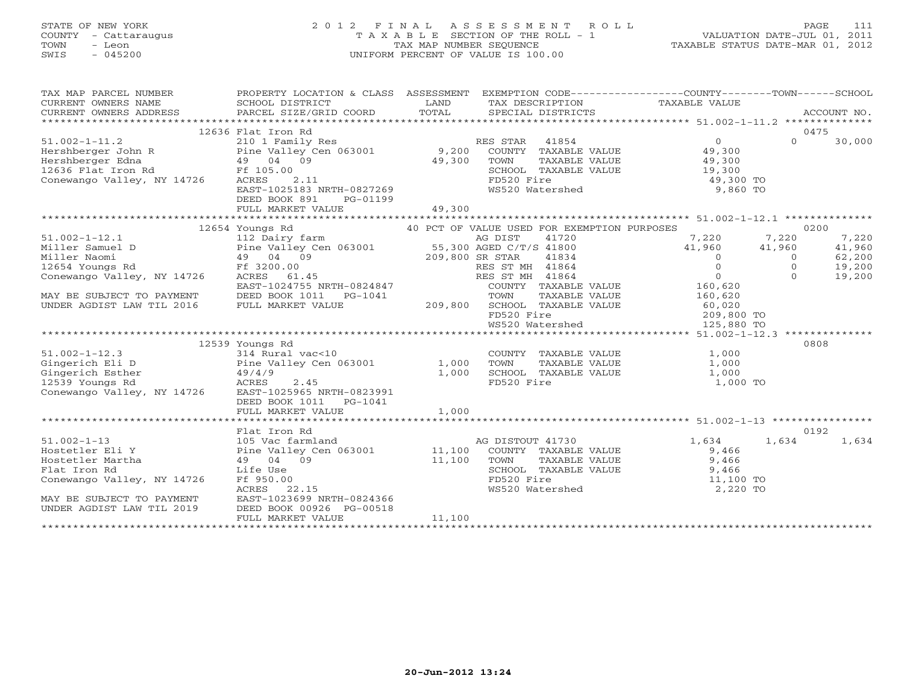# STATE OF NEW YORK 2 0 1 2 F I N A L A S S E S S M E N T R O L L PAGE 111 COUNTY - Cattaraugus T A X A B L E SECTION OF THE ROLL - 1 VALUATION DATE-JUL 01, 2011 TOWN - Leon TAX MAP NUMBER SEQUENCE TAXABLE STATUS DATE-MAR 01, 2012 SWIS - 045200 UNIFORM PERCENT OF VALUE IS 100.00UNIFORM PERCENT OF VALUE IS 100.00

| TAX MAP PARCEL NUMBER<br>CURRENT OWNERS NAME<br>CURRENT OWNERS ADDRESS | PROPERTY LOCATION & CLASS ASSESSMENT EXEMPTION CODE---------------COUNTY-------TOWN------SCHOOL<br>SCHOOL DISTRICT<br>PARCEL SIZE/GRID COORD | LAND<br>TOTAL               | TAX DESCRIPTION TAXABLE VALUE<br>SPECIAL DISTRICTS                                 |                                                 |          | ACCOUNT NO. |
|------------------------------------------------------------------------|----------------------------------------------------------------------------------------------------------------------------------------------|-----------------------------|------------------------------------------------------------------------------------|-------------------------------------------------|----------|-------------|
|                                                                        | 12636 Flat Iron Rd                                                                                                                           |                             |                                                                                    |                                                 |          | 0475        |
| $51.002 - 1 - 11.2$                                                    | 210 1 Family Res                                                                                                                             |                             | RES STAR<br>41854                                                                  | $\Omega$                                        | $\Omega$ | 30,000      |
| Hershberger John R                                                     | Pine Valley Cen 063001 9,200                                                                                                                 |                             | COUNTY TAXABLE VALUE                                                               | 49,300                                          |          |             |
| Hershberger Edna                                                       | 49 04 09                                                                                                                                     | 49,300                      | TOWN<br>TAXABLE VALUE                                                              | 49,300                                          |          |             |
| Ff 105.00<br>12636 Flat Iron Rd                                        |                                                                                                                                              |                             | SCHOOL TAXABLE VALUE                                                               | 19,300                                          |          |             |
| Conewango Valley, NY 14726                                             | ACRES<br>2.11                                                                                                                                |                             | FD520 Fire                                                                         | 49,300 TO                                       |          |             |
|                                                                        | EAST-1025183 NRTH-0827269                                                                                                                    |                             | WS520 Watershed                                                                    | 9,860 TO                                        |          |             |
|                                                                        | DEED BOOK 891<br>PG-01199                                                                                                                    |                             |                                                                                    |                                                 |          |             |
|                                                                        | FULL MARKET VALUE                                                                                                                            | 49,300                      |                                                                                    |                                                 |          |             |
|                                                                        |                                                                                                                                              |                             |                                                                                    |                                                 |          |             |
|                                                                        | 12654 Youngs Rd                                                                                                                              |                             | 40 PCT OF VALUE USED FOR EXEMPTION PURPOSES                                        |                                                 |          | 0200        |
| $51.002 - 1 - 12.1$                                                    | 112 Dairy farm                                                                                                                               |                             | AG DIST<br>41720                                                                   | 7,220                                           | 7,220    | 7,220       |
| Miller Samuel D                                                        | Pine Valley Cen 063001 55,300 AGED C/T/S 41800                                                                                               |                             |                                                                                    | 41,960                                          | 41,960   | 41,960      |
| Miller Naomi                                                           |                                                                                                                                              |                             |                                                                                    | $\overline{0}$                                  | $\circ$  | 62,200      |
| $49$ 04 09<br>Ff 3200.00<br>12654 Youngs Rd                            |                                                                                                                                              | 209,800 SR STAR<br>RES ST N | RES ST MH 41864                                                                    | $\circ$                                         | $\Omega$ | 19,200      |
| Conewango Valley, NY 14726                                             | ACRES<br>61.45                                                                                                                               |                             | RES ST MH 41864                                                                    | $\overline{0}$                                  | $\Omega$ | 19,200      |
|                                                                        | EAST-1024755 NRTH-0824847                                                                                                                    |                             | R STAR     41834<br>ES ST MH   41864<br>ES ST MH   41864<br>COUNTY   TAXABLE VALUE | 160,620                                         |          |             |
| MAY BE SUBJECT TO PAYMENT                                              | DEED BOOK 1011    PG-1041                                                                                                                    |                             | TAXABLE VALUE<br>TOWN                                                              | 160,620                                         |          |             |
| UNDER AGDIST LAW TIL 2016                                              | FULL MARKET VALUE                                                                                                                            | 209,800                     | SCHOOL TAXABLE VALUE                                                               |                                                 |          |             |
|                                                                        |                                                                                                                                              |                             | FD520 Fire                                                                         |                                                 |          |             |
|                                                                        |                                                                                                                                              |                             | WS520 Watershed                                                                    | 60,020<br>209,800 TO<br>-- 200 TO<br>125,880 TO |          |             |
|                                                                        |                                                                                                                                              |                             |                                                                                    |                                                 |          |             |
|                                                                        | 12539 Youngs Rd                                                                                                                              |                             |                                                                                    |                                                 |          | 0808        |
| $51.002 - 1 - 12.3$                                                    | 314 Rural vac<10                                                                                                                             |                             | COUNTY TAXABLE VALUE                                                               | 1,000                                           |          |             |
| Gingerich Eli D                                                        | Pine Valley Cen 063001                                                                                                                       | 1,000                       | TOWN<br>TAXABLE VALUE                                                              | 1,000                                           |          |             |
| Gingerich Esther                                                       | 49/4/9                                                                                                                                       | 1,000                       | SCHOOL TAXABLE VALUE                                                               | 1,000                                           |          |             |
| 12539 Youngs Rd                                                        | ACRES<br>2.45                                                                                                                                |                             | FD520 Fire                                                                         | 1,000 TO                                        |          |             |
| Conewango Valley, NY 14726                                             | EAST-1025965 NRTH-0823991                                                                                                                    |                             |                                                                                    |                                                 |          |             |
|                                                                        | DEED BOOK 1011    PG-1041                                                                                                                    |                             |                                                                                    |                                                 |          |             |
|                                                                        | FULL MARKET VALUE                                                                                                                            | 1,000                       |                                                                                    |                                                 |          |             |
|                                                                        |                                                                                                                                              |                             |                                                                                    |                                                 |          |             |
|                                                                        | Flat Iron Rd                                                                                                                                 |                             |                                                                                    |                                                 |          | 0192        |
| $51.002 - 1 - 13$                                                      | 105 Vac farmland                                                                                                                             |                             | AG DISTOUT 41730                                                                   | 1,634                                           | 1,634    | 1,634       |
| Hostetler Eli Y                                                        | Pine Valley Cen 063001 11,100                                                                                                                |                             | COUNTY TAXABLE VALUE                                                               | 9,466                                           |          |             |
| Hostetler Martha                                                       | 49 04 09                                                                                                                                     | 11,100                      | TOWN<br>TAXABLE VALUE                                                              |                                                 |          |             |
| Flat Iron Rd                                                           | Life Use                                                                                                                                     |                             | SCHOOL TAXABLE VALUE                                                               |                                                 |          |             |
| Conewango Valley, NY 14726                                             | Ff 950.00                                                                                                                                    |                             | FD520 Fire                                                                         |                                                 |          |             |
|                                                                        | ACRES<br>22.15                                                                                                                               |                             | WS520 Watershed                                                                    |                                                 |          |             |
| MAY BE SUBJECT TO PAYMENT                                              | EAST-1023699 NRTH-0824366                                                                                                                    |                             |                                                                                    | 9,466<br>11,100 TO<br>2,220 TC                  |          |             |
| UNDER AGDIST LAW TIL 2019                                              | DEED BOOK 00926 PG-00518                                                                                                                     |                             |                                                                                    |                                                 |          |             |
|                                                                        | FULL MARKET VALUE                                                                                                                            | 11,100                      |                                                                                    |                                                 |          |             |
|                                                                        |                                                                                                                                              |                             |                                                                                    |                                                 |          |             |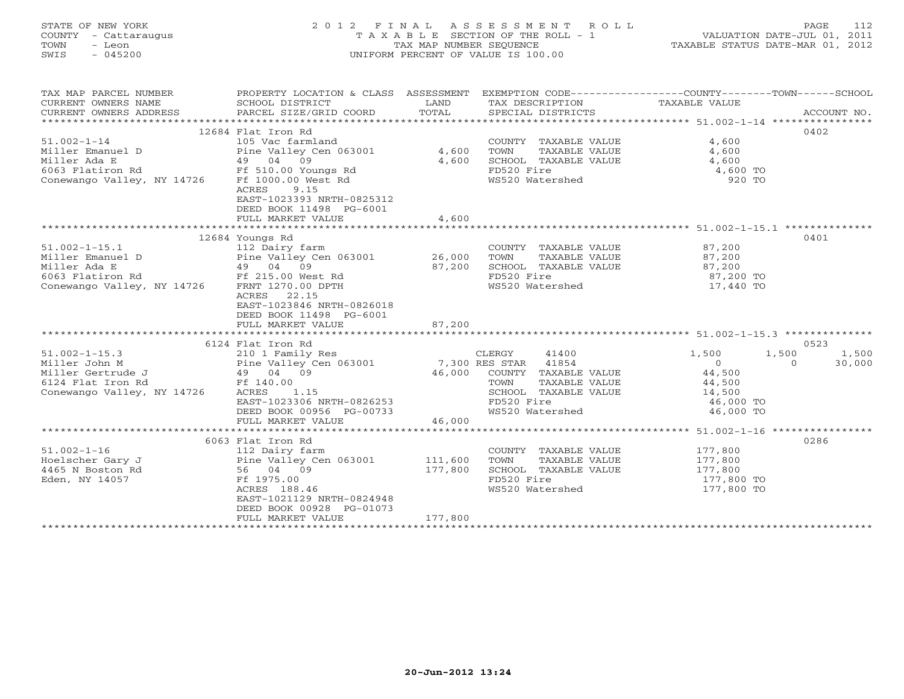# STATE OF NEW YORK 2 0 1 2 F I N A L A S S E S S M E N T R O L L PAGE 112 COUNTY - Cattaraugus T A X A B L E SECTION OF THE ROLL - 1 VALUATION DATE-JUL 01, 2011 TOWN - Leon TAX MAP NUMBER SEQUENCE TAXABLE STATUS DATE-MAR 01, 2012 SWIS - 045200 UNIFORM PERCENT OF VALUE IS 100.00UNIFORM PERCENT OF VALUE IS 100.00

| TAX MAP PARCEL NUMBER<br>CURRENT OWNERS NAME<br>CURRENT OWNERS ADDRESS | PROPERTY LOCATION & CLASS ASSESSMENT<br>SCHOOL DISTRICT<br>PARCEL SIZE/GRID COORD                                | LAND<br>TOTAL | TAX DESCRIPTION TAXABLE VALUE<br>SPECIAL DISTRICTS | EXEMPTION CODE-----------------COUNTY-------TOWN------SCHOOL | ACCOUNT NO.        |
|------------------------------------------------------------------------|------------------------------------------------------------------------------------------------------------------|---------------|----------------------------------------------------|--------------------------------------------------------------|--------------------|
|                                                                        |                                                                                                                  |               |                                                    |                                                              |                    |
|                                                                        | 12684 Flat Iron Rd                                                                                               |               |                                                    |                                                              | 0402               |
| $51.002 - 1 - 14$                                                      | 105 Vac farmland                                                                                                 |               | COUNTY TAXABLE VALUE                               | 4,600                                                        |                    |
| Miller Emanuel D                                                       | Pine Valley Cen 063001                                                                                           | 4,600         | TOWN<br>TAXABLE VALUE                              | 4,600                                                        |                    |
| Miller Ada E                                                           | 49 04 09                                                                                                         | 4,600         | SCHOOL TAXABLE VALUE                               | 4,600                                                        |                    |
| 6063 Flatiron Rd                                                       | Ff 510.00 Youngs Rd                                                                                              |               | FD520 Fire                                         | 4,600 TO                                                     |                    |
| Conewango Valley, NY 14726                                             | Ff 1000.00 West Rd<br>9.15<br>ACRES<br>EAST-1023393 NRTH-0825312<br>DEED BOOK 11498 PG-6001<br>FULL MARKET VALUE | 4,600         | WS520 Watershed                                    | 920 TO                                                       |                    |
|                                                                        |                                                                                                                  |               |                                                    |                                                              |                    |
|                                                                        | 12684 Youngs Rd                                                                                                  |               |                                                    |                                                              | 0401               |
| $51.002 - 1 - 15.1$                                                    | 112 Dairy farm                                                                                                   |               | COUNTY TAXABLE VALUE                               | 87,200                                                       |                    |
| Miller Emanuel D                                                       | Pine Valley Cen 063001                                                                                           | 26,000        | TOWN<br>TAXABLE VALUE                              | 87,200                                                       |                    |
| Miller Ada E                                                           | 49 04 09                                                                                                         | 87,200        | SCHOOL TAXABLE VALUE                               | 87,200                                                       |                    |
| 6063 Flatiron Rd                                                       | Ff 215.00 West Rd                                                                                                |               | FD520 Fire                                         | 87,200 TO                                                    |                    |
| Conewango Valley, NY 14726                                             | FRNT 1270.00 DPTH                                                                                                |               | WS520 Watershed                                    | 17,440 TO                                                    |                    |
|                                                                        | ACRES<br>22.15<br>EAST-1023846 NRTH-0826018<br>DEED BOOK 11498 PG-6001<br>FULL MARKET VALUE                      | 87,200        |                                                    |                                                              |                    |
|                                                                        |                                                                                                                  |               |                                                    |                                                              |                    |
|                                                                        | 6124 Flat Iron Rd                                                                                                |               |                                                    |                                                              | 0523               |
| $51.002 - 1 - 15.3$                                                    | 210 1 Family Res                                                                                                 |               | CLERGY<br>41400                                    | 1,500<br>1,500                                               | 1,500              |
| Miller John M                                                          | Pine Valley Cen 063001                                                                                           |               | 7,300 RES STAR 41854                               | $\circ$                                                      | 30,000<br>$\Omega$ |
| Miller Gertrude J                                                      | 49 04 09                                                                                                         | 46,000        | COUNTY TAXABLE VALUE                               | 44,500                                                       |                    |
| 6124 Flat Iron Rd                                                      | Ff 140.00                                                                                                        |               | TOWN<br>TAXABLE VALUE                              | 44,500                                                       |                    |
| Conewango Valley, NY 14726                                             | ACRES<br>1.15                                                                                                    |               | SCHOOL TAXABLE VALUE                               | 14,500                                                       |                    |
|                                                                        | EAST-1023306 NRTH-0826253                                                                                        |               | FD520 Fire                                         | 46,000 TO                                                    |                    |
|                                                                        | DEED BOOK 00956 PG-00733                                                                                         |               | WS520 Watershed                                    | 46,000 TO                                                    |                    |
|                                                                        | FULL MARKET VALUE                                                                                                | 46,000        |                                                    |                                                              |                    |
|                                                                        | ******************************                                                                                   |               |                                                    |                                                              |                    |
|                                                                        | 6063 Flat Iron Rd                                                                                                |               |                                                    |                                                              | 0286               |
| $51.002 - 1 - 16$                                                      | 112 Dairy farm                                                                                                   |               | COUNTY TAXABLE VALUE                               | 177,800                                                      |                    |
| Hoelscher Gary J                                                       | Pine Valley Cen 063001                                                                                           | 111,600       | TOWN<br>TAXABLE VALUE                              | 177,800                                                      |                    |
| 4465 N Boston Rd                                                       | 56 04 09                                                                                                         | 177,800       | SCHOOL TAXABLE VALUE                               | 177,800                                                      |                    |
| Eden, NY 14057                                                         | Ff 1975.00                                                                                                       |               | FD520 Fire                                         | 177,800 TO                                                   |                    |
|                                                                        | ACRES 188.46<br>EAST-1021129 NRTH-0824948<br>DEED BOOK 00928 PG-01073<br>FULL MARKET VALUE                       | 177,800       | WS520 Watershed                                    | 177,800 TO                                                   |                    |
|                                                                        |                                                                                                                  |               |                                                    |                                                              |                    |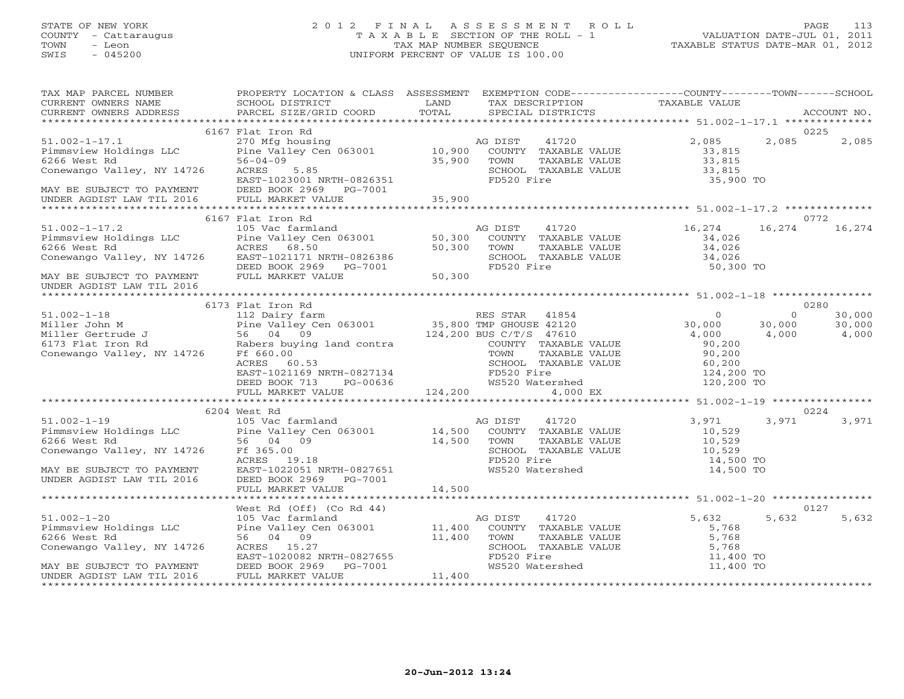# STATE OF NEW YORK 2 0 1 2 F I N A L A S S E S S M E N T R O L L PAGE 113 COUNTY - Cattaraugus T A X A B L E SECTION OF THE ROLL - 1 VALUATION DATE-JUL 01, 2011 TOWN - Leon TAX MAP NUMBER SEQUENCE TAXABLE STATUS DATE-MAR 01, 2012 SWIS - 045200 UNIFORM PERCENT OF VALUE IS 100.00UNIFORM PERCENT OF VALUE IS 100.00

| TAX MAP PARCEL NUMBER<br>CURRENT OWNERS NAME<br>CURRENT OWNERS ADDRESS                                                       | PROPERTY LOCATION & CLASS ASSESSMENT<br><b>Example 12</b> LAND<br>SCHOOL DISTRICT<br>PARCEL SIZE/GRID COORD | TOTAL   | EXEMPTION CODE-----------------COUNTY-------TOWN------SCHOOL<br>TAX DESCRIPTION TAXABLE VALUE<br>SPECIAL DISTRICTS<br>SPECIAL DISTRICTS |                           | ACCOUNT NO.        |
|------------------------------------------------------------------------------------------------------------------------------|-------------------------------------------------------------------------------------------------------------|---------|-----------------------------------------------------------------------------------------------------------------------------------------|---------------------------|--------------------|
|                                                                                                                              |                                                                                                             |         |                                                                                                                                         |                           |                    |
|                                                                                                                              | 6167 Flat Iron Rd                                                                                           |         |                                                                                                                                         |                           | 0225               |
| $51.002 - 1 - 17.1$<br>Pimmsview Holdings LLC<br>6266 West Rd<br>6266 West Rd                                                | 270 Mfg housing<br>Pine Valley Cen 063001 10,900<br>っo-∪4-∪9<br>ACRES 5.85                                  | 35,900  | AG DIST<br>41720<br>COUNTY TAXABLE VALUE<br>TOWN<br>TAXABLE VALUE                                                                       | 2,085<br>33,815<br>33,815 | 2,085<br>2,085     |
| Conewango Valley, NY 14726                                                                                                   | EAST-1023001 NRTH-0826351                                                                                   |         | SCHOOL TAXABLE VALUE<br>FD520 Fire                                                                                                      | 33,815<br>35,900 TO       |                    |
| EAST-1023001 NRTH-0826351<br>MAY BE SUBJECT TO PAYMENT DEED BOOK 2969 PG-7001<br>UNDER AGDIST LAW TIL 2016 FULL MARKET VALUE |                                                                                                             | 35,900  |                                                                                                                                         |                           |                    |
|                                                                                                                              |                                                                                                             |         |                                                                                                                                         |                           |                    |
|                                                                                                                              | 6167 Flat Iron Rd                                                                                           |         |                                                                                                                                         |                           | 0772               |
| $51.002 - 1 - 17.2$                                                                                                          | Pine Valley Cen 063001<br>ACRES 68.50                                                                       |         | AG DIST<br>41720                                                                                                                        | 16,274                    | 16,274<br>16,274   |
| Pimmsview Holdings LLC                                                                                                       |                                                                                                             | 50,300  | COUNTY TAXABLE VALUE                                                                                                                    | 34,026                    |                    |
| 6266 West Rd<br>6266 West Kd<br>Conewango Valley, NY 14726                                                                   |                                                                                                             | 50,300  | TOWN<br>TAXABLE VALUE                                                                                                                   | 34,026                    |                    |
|                                                                                                                              | EAST-1021171 NRTH-0826386<br>DEED BOOK 2969 PG-7001                                                         |         | SCHOOL TAXABLE VALUE<br>FD520 Fire                                                                                                      | 34,026<br>50,300 TO       |                    |
| MAY BE SUBJECT TO PAYMENT<br>UNDER AGDIST LAW TIL 2016                                                                       | FULL MARKET VALUE                                                                                           | 50,300  |                                                                                                                                         |                           |                    |
|                                                                                                                              |                                                                                                             |         |                                                                                                                                         |                           |                    |
|                                                                                                                              | 6173 Flat Iron Rd                                                                                           |         | RES STAR 41854 0<br>---- 2120000 12120 12120 30,000                                                                                     |                           | 0280               |
| $51.002 - 1 - 18$                                                                                                            | 112 Dairy farm<br>Pine Valley Cen 063001<br>56 04 09 124,200 BUS C/T/S 47610                                |         |                                                                                                                                         |                           | 30,000<br>$\Omega$ |
|                                                                                                                              |                                                                                                             |         |                                                                                                                                         |                           | 30,000<br>30,000   |
|                                                                                                                              |                                                                                                             |         |                                                                                                                                         | 4,000                     | 4,000<br>4,000     |
|                                                                                                                              |                                                                                                             |         | COUNTY TAXABLE VALUE                                                                                                                    | 90,200                    |                    |
|                                                                                                                              |                                                                                                             |         | TOWN<br>TAXABLE VALUE                                                                                                                   | 90,200<br>60,200          |                    |
|                                                                                                                              | ACRES 60.53                                                                                                 |         | SCHOOL TAXABLE VALUE                                                                                                                    |                           |                    |
|                                                                                                                              |                                                                                                             |         |                                                                                                                                         | 124,200 TO<br>120,200 TO  |                    |
|                                                                                                                              | FULL MARKET VALUE                                                                                           | 124,200 | 4,000 EX                                                                                                                                |                           |                    |
|                                                                                                                              |                                                                                                             |         |                                                                                                                                         |                           |                    |
|                                                                                                                              | 6204 West Rd                                                                                                |         |                                                                                                                                         |                           | 0224               |
|                                                                                                                              |                                                                                                             |         | AG DIST<br>41720                                                                                                                        | 3,971                     | 3,971<br>3,971     |
|                                                                                                                              |                                                                                                             |         | COUNTY TAXABLE VALUE                                                                                                                    | 10,529                    |                    |
|                                                                                                                              |                                                                                                             |         | TOWN<br>TAXABLE VALUE                                                                                                                   | 10,529                    |                    |
| Conewango Valley, NY 14726                                                                                                   | Ff 365.00                                                                                                   |         | SCHOOL TAXABLE VALUE                                                                                                                    | 10,529                    |                    |
|                                                                                                                              | ACRES 19.18                                                                                                 |         | FD520 Fire<br>WS520 Watershed                                                                                                           | 14,500 TO                 |                    |
| MAY BE SUBJECT TO PAYMENT                                                                                                    | EAST-1022051 NRTH-0827651                                                                                   |         |                                                                                                                                         | 14,500 TO                 |                    |
| UNDER AGDIST LAW TIL 2016                                                                                                    | DEED BOOK 2969 PG-7001                                                                                      |         |                                                                                                                                         |                           |                    |
|                                                                                                                              | FULL MARKET VALUE                                                                                           | 14,500  |                                                                                                                                         |                           |                    |
|                                                                                                                              |                                                                                                             |         |                                                                                                                                         |                           |                    |
|                                                                                                                              |                                                                                                             |         |                                                                                                                                         |                           | 0127               |
| $51.002 - 1 - 20$<br>Pimmsview Holdings LLC                                                                                  |                                                                                                             |         |                                                                                                                                         | 5,632<br>5,768            | 5,632<br>5,632     |
| 6266 West Rd                                                                                                                 |                                                                                                             |         |                                                                                                                                         | 5,768                     |                    |
| Conewango Valley, NY 14726                                                                                                   |                                                                                                             |         |                                                                                                                                         | 5,768                     |                    |
|                                                                                                                              | EAST-1020082 NRTH-0827655                                                                                   |         | FD520 Fire                                                                                                                              | 11,400 TO                 |                    |
| MAY BE SUBJECT TO PAYMENT                                                                                                    | PG-7001<br>DEED BOOK 2969                                                                                   |         | WS520 Watershed                                                                                                                         | 11,400 TO                 |                    |
| UNDER AGDIST LAW TIL 2016                                                                                                    | FULL MARKET VALUE                                                                                           | 11,400  |                                                                                                                                         |                           |                    |
|                                                                                                                              |                                                                                                             |         |                                                                                                                                         |                           |                    |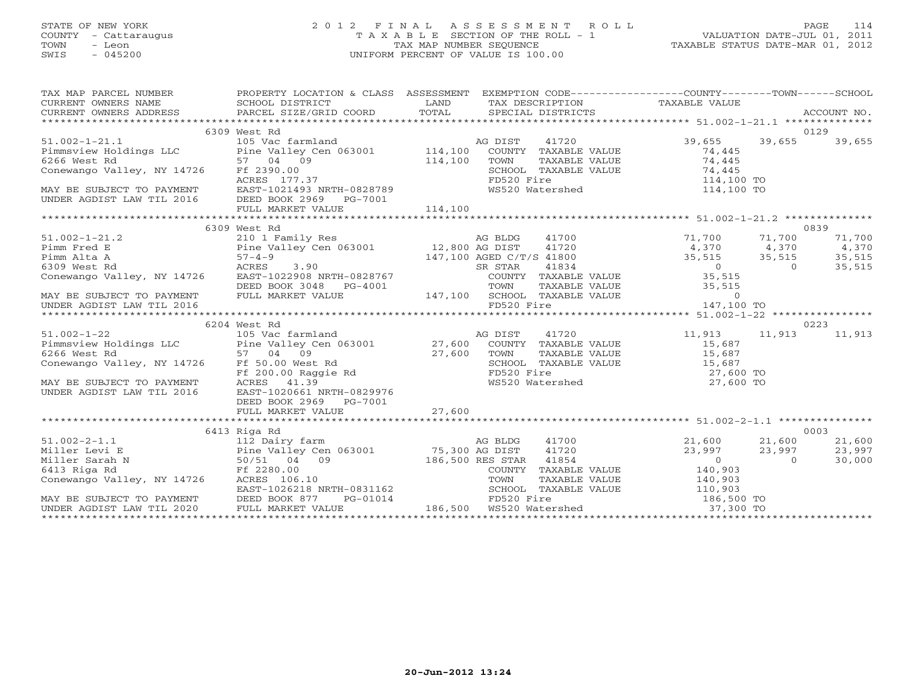# STATE OF NEW YORK 2 0 1 2 F I N A L A S S E S S M E N T R O L L PAGE 114 COUNTY - Cattaraugus T A X A B L E SECTION OF THE ROLL - 1 VALUATION DATE-JUL 01, 2011 TOWN - Leon TAX MAP NUMBER SEQUENCE TAXABLE STATUS DATE-MAR 01, 2012 SWIS - 045200 UNIFORM PERCENT OF VALUE IS 100.00UNIFORM PERCENT OF VALUE IS 100.00

| TAX MAP PARCEL NUMBER PROPERTY LOCATION & CLASS ASSESSMENT EXEMPTION CODE--------------COUNTY-------TOWN------SCHOOL                                                                                                                                                                                                                                                                                                                                                                                                                                                               |              |  |                            |      |
|------------------------------------------------------------------------------------------------------------------------------------------------------------------------------------------------------------------------------------------------------------------------------------------------------------------------------------------------------------------------------------------------------------------------------------------------------------------------------------------------------------------------------------------------------------------------------------|--------------|--|----------------------------|------|
|                                                                                                                                                                                                                                                                                                                                                                                                                                                                                                                                                                                    |              |  |                            |      |
| TAX MAP PARCEL NOTICES FOURDLE INCOLL IN A CONSIDERT MAP ARE CONTRICTS TRANSFORM OWNERS SCHOOL DISTRICT AND TOTAL THAN DESCRIPTION TAXABLE VALUE<br>CURRENT OWNERS ADDRESS FARCEL SIZE/GRID COORD IAND TOTAL SPECIAL DISTRICTS AC                                                                                                                                                                                                                                                                                                                                                  |              |  |                            |      |
|                                                                                                                                                                                                                                                                                                                                                                                                                                                                                                                                                                                    |              |  |                            |      |
|                                                                                                                                                                                                                                                                                                                                                                                                                                                                                                                                                                                    | 6309 West Rd |  |                            | 0129 |
|                                                                                                                                                                                                                                                                                                                                                                                                                                                                                                                                                                                    |              |  |                            |      |
|                                                                                                                                                                                                                                                                                                                                                                                                                                                                                                                                                                                    |              |  |                            |      |
|                                                                                                                                                                                                                                                                                                                                                                                                                                                                                                                                                                                    |              |  |                            |      |
|                                                                                                                                                                                                                                                                                                                                                                                                                                                                                                                                                                                    |              |  |                            |      |
|                                                                                                                                                                                                                                                                                                                                                                                                                                                                                                                                                                                    |              |  |                            |      |
|                                                                                                                                                                                                                                                                                                                                                                                                                                                                                                                                                                                    |              |  |                            |      |
|                                                                                                                                                                                                                                                                                                                                                                                                                                                                                                                                                                                    |              |  |                            |      |
|                                                                                                                                                                                                                                                                                                                                                                                                                                                                                                                                                                                    |              |  |                            |      |
| $\begin{tabular}{lllllllllll} 51.002-1-21.1 & 6309\text{ West }\&$105\text{Vect }\&$1002$-1$-21.1 & 6309\text{ West }\&$105\text{Vec farmland}&$26\text{ DISTT}$&$41720\&$29,655$&$39,655$&$39,655$&$39,655$&$39,655$&$39,655$&$39,655$&$39,655$&$39,655$&$39,655$&$39,655$&$39,655$&$39,65$                                                                                                                                                                                                                                                                                       |              |  |                            |      |
|                                                                                                                                                                                                                                                                                                                                                                                                                                                                                                                                                                                    | 6309 West Rd |  |                            | 0839 |
| $\begin{tabular}{lllllllllllll} \text{51.002--1-21.2} & \text{6309 West Rad} & \text{6309 West Rad} & \text{6309 West Rad} & \text{71.700} & \text{71.700} & \text{71.700} & \text{71.700} & \text{71.700} & \text{71.700} & \text{71.700} & \text{71.700} & \text{71.700} & \text{71.700} & \text{71.700} & \text{71.700} & \text{71.700} & \text{71.700} & \$                                                                                                                                                                                                                    |              |  |                            |      |
|                                                                                                                                                                                                                                                                                                                                                                                                                                                                                                                                                                                    |              |  |                            |      |
|                                                                                                                                                                                                                                                                                                                                                                                                                                                                                                                                                                                    |              |  |                            |      |
|                                                                                                                                                                                                                                                                                                                                                                                                                                                                                                                                                                                    |              |  |                            |      |
|                                                                                                                                                                                                                                                                                                                                                                                                                                                                                                                                                                                    |              |  |                            |      |
|                                                                                                                                                                                                                                                                                                                                                                                                                                                                                                                                                                                    |              |  |                            |      |
|                                                                                                                                                                                                                                                                                                                                                                                                                                                                                                                                                                                    |              |  |                            |      |
|                                                                                                                                                                                                                                                                                                                                                                                                                                                                                                                                                                                    |              |  |                            |      |
|                                                                                                                                                                                                                                                                                                                                                                                                                                                                                                                                                                                    |              |  |                            |      |
| $\begin{tabular}{lllllllllllll} \text{\small $**$}\text{\small $**$}\text{\small $**$}\text{\small $**$}\text{\small $**$}\text{\small $**$}\text{\small $**$}\text{\small $**$}\text{\small $**$}\text{\small $**$}\text{\small $**$}\text{\small $**$}\text{\small $**$}\text{\small $**$}\text{\small $**$}\text{\small $**$}\text{\small $**$}\text{\small $**$}\text{\small $**$}\text{\small $**$}\text{\small $**$}\text{\small $**$}\text{\small $**$}\text{\small $**$}\text{\small $**$}\text{\small $**$}\text{\small $**$}\text{\small $**$}\text{\small $**$}\text{\$ |              |  |                            | 0223 |
|                                                                                                                                                                                                                                                                                                                                                                                                                                                                                                                                                                                    |              |  | 41720 11,913 11,913 11,913 |      |
|                                                                                                                                                                                                                                                                                                                                                                                                                                                                                                                                                                                    |              |  |                            |      |
|                                                                                                                                                                                                                                                                                                                                                                                                                                                                                                                                                                                    |              |  |                            |      |
|                                                                                                                                                                                                                                                                                                                                                                                                                                                                                                                                                                                    |              |  |                            |      |
|                                                                                                                                                                                                                                                                                                                                                                                                                                                                                                                                                                                    |              |  |                            |      |
|                                                                                                                                                                                                                                                                                                                                                                                                                                                                                                                                                                                    |              |  |                            |      |
|                                                                                                                                                                                                                                                                                                                                                                                                                                                                                                                                                                                    |              |  |                            |      |
|                                                                                                                                                                                                                                                                                                                                                                                                                                                                                                                                                                                    |              |  |                            |      |
|                                                                                                                                                                                                                                                                                                                                                                                                                                                                                                                                                                                    |              |  |                            |      |
|                                                                                                                                                                                                                                                                                                                                                                                                                                                                                                                                                                                    |              |  |                            |      |
|                                                                                                                                                                                                                                                                                                                                                                                                                                                                                                                                                                                    | 6413 Riga Rd |  |                            | 0003 |
|                                                                                                                                                                                                                                                                                                                                                                                                                                                                                                                                                                                    |              |  |                            |      |
|                                                                                                                                                                                                                                                                                                                                                                                                                                                                                                                                                                                    |              |  |                            |      |
|                                                                                                                                                                                                                                                                                                                                                                                                                                                                                                                                                                                    |              |  |                            |      |
|                                                                                                                                                                                                                                                                                                                                                                                                                                                                                                                                                                                    |              |  |                            |      |
|                                                                                                                                                                                                                                                                                                                                                                                                                                                                                                                                                                                    |              |  |                            |      |
|                                                                                                                                                                                                                                                                                                                                                                                                                                                                                                                                                                                    |              |  |                            |      |
|                                                                                                                                                                                                                                                                                                                                                                                                                                                                                                                                                                                    |              |  |                            |      |
|                                                                                                                                                                                                                                                                                                                                                                                                                                                                                                                                                                                    |              |  |                            |      |
|                                                                                                                                                                                                                                                                                                                                                                                                                                                                                                                                                                                    |              |  |                            |      |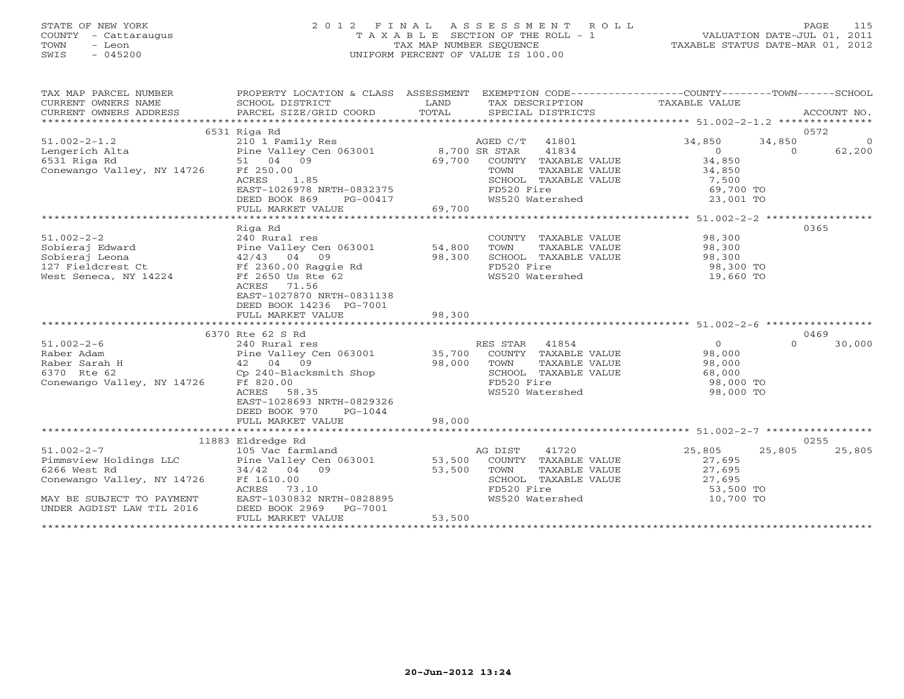# STATE OF NEW YORK 2 0 1 2 F I N A L A S S E S S M E N T R O L L PAGE 115 COUNTY - Cattaraugus T A X A B L E SECTION OF THE ROLL - 1 VALUATION DATE-JUL 01, 2011 TOWN - Leon TAX MAP NUMBER SEQUENCE TAXABLE STATUS DATE-MAR 01, 2012 SWIS - 045200 UNIFORM PERCENT OF VALUE IS 100.00UNIFORM PERCENT OF VALUE IS 100.00

| TAX MAP PARCEL NUMBER      | PROPERTY LOCATION & CLASS ASSESSMENT               |        | EXEMPTION CODE-----------------COUNTY-------TOWN------SCHOOL               |                     |          |        |
|----------------------------|----------------------------------------------------|--------|----------------------------------------------------------------------------|---------------------|----------|--------|
|                            | 6531 Riga Rd                                       |        |                                                                            |                     | 0572     |        |
| $51.002 - 2 - 1.2$         | 210 1 Family Res                                   |        | AGED C/T 41801                                                             | 34,850              | 34,850   |        |
|                            |                                                    |        | 41834                                                                      | $\Omega$            | $\Omega$ |        |
| Lengerich Alta             |                                                    |        |                                                                            | 34,850              |          | 62,200 |
| 6531 Riga Rd               |                                                    |        | COUNTY TAXABLE VALUE                                                       |                     |          |        |
| Conewango Valley, NY 14726 | Ff 250.00                                          |        | TAXABLE VALUE<br>TOWN                                                      | 34,850              |          |        |
|                            | ACRES<br>1.85<br>EAST-1026978 NRTH-0832375         |        | SCHOOL TAXABLE VALUE                                                       | 7,500               |          |        |
|                            |                                                    |        | FD520 Fire                                                                 | 69,700 TO           |          |        |
|                            | DEED BOOK 869 PG-00417<br>FULL MARKET VALUE 69,700 |        | WS520 Watershed                                                            | 23,001 TO           |          |        |
|                            |                                                    |        |                                                                            |                     |          |        |
|                            | Riga Rd                                            |        |                                                                            |                     | 0365     |        |
| $51.002 - 2 - 2$           | 240 Rural res                                      |        | COUNTY TAXABLE VALUE                                                       | 98,300              |          |        |
| Sobieraj Edward            |                                                    |        | TOWN<br>TAXABLE VALUE                                                      | 98,300              |          |        |
| Sobieraj Leona             |                                                    |        | SCHOOL TAXABLE VALUE                                                       |                     |          |        |
| 127 Fieldcrest Ct          |                                                    | 98,300 | FD520 Fire                                                                 | 98,300<br>98,300 TO |          |        |
| West Seneca, NY 14224      | Ff 2650 Us Rte 62                                  |        | WS520 Watershed                                                            | $19,660$ TO         |          |        |
|                            | ACRES<br>71.56                                     |        |                                                                            |                     |          |        |
|                            | EAST-1027870 NRTH-0831138                          |        |                                                                            |                     |          |        |
|                            | DEED BOOK 14236 PG-7001                            |        |                                                                            |                     |          |        |
|                            | FULL MARKET VALUE                                  | 98,300 |                                                                            |                     |          |        |
|                            |                                                    |        |                                                                            |                     |          |        |
|                            | 6370 Rte 62 S Rd                                   |        |                                                                            |                     | 0469     |        |
| $51.002 - 2 - 6$           | 240 Rural res                                      |        | RES STAR 41854                                                             | $\overline{0}$      | $\Omega$ | 30,000 |
| Raber Adam                 | Pine Valley Cen 063001 35,700                      |        | COUNTY TAXABLE VALUE                                                       | 98,000              |          |        |
| Raber Sarah H              | 42 04 09                                           | 98,000 | TOWN<br>TAXABLE VALUE                                                      | 98,000              |          |        |
| 6370 Rte 62                | Cp 240-Blacksmith Shop                             |        | SCHOOL TAXABLE VALUE                                                       | 68,000              |          |        |
| Conewango Valley, NY 14726 | Ff 820.00                                          |        | FD520 Fire                                                                 | 98,000 TO           |          |        |
|                            | 58.35<br>ACRES                                     |        | WS520 Watershed                                                            | 98,000 TO           |          |        |
|                            | EAST-1028693 NRTH-0829326                          |        |                                                                            |                     |          |        |
|                            | DEED BOOK 970<br>PG-1044                           |        |                                                                            |                     |          |        |
|                            | FULL MARKET VALUE                                  | 98,000 |                                                                            |                     |          |        |
|                            |                                                    |        |                                                                            |                     |          |        |
|                            | 11883 Eldredge Rd                                  |        |                                                                            |                     | 0255     |        |
| $51.002 - 2 - 7$           | 105 Vac farmland                                   |        | AG DIST<br>41720                                                           | 25,805              | 25,805   | 25,805 |
| Pimmsview Holdings LLC     | Pine Valley Cen 063001 53,500                      |        | COUNTY TAXABLE VALUE                                                       | 27,695              |          |        |
| 6266 West Rd               | 34/42 04 09                                        | 53,500 | TAXABLE VALUE<br>TOWN                                                      | 27,695              |          |        |
| Conewango Valley, NY 14726 | Ff 1610.00                                         |        |                                                                            |                     |          |        |
|                            | ACRES<br>73.10                                     |        | SCHOOL TAXABLE VALUE 27,695<br>FD520 Fire 53,500<br>WS520 Watershed 10.700 | 53,500 TO           |          |        |
| MAY BE SUBJECT TO PAYMENT  | EAST-1030832 NRTH-0828895                          |        |                                                                            | 10,700 TO           |          |        |
| UNDER AGDIST LAW TIL 2016  | DEED BOOK 2969<br>PG-7001                          |        |                                                                            |                     |          |        |
|                            | FULL MARKET VALUE                                  | 53,500 |                                                                            |                     |          |        |
|                            |                                                    |        |                                                                            |                     |          |        |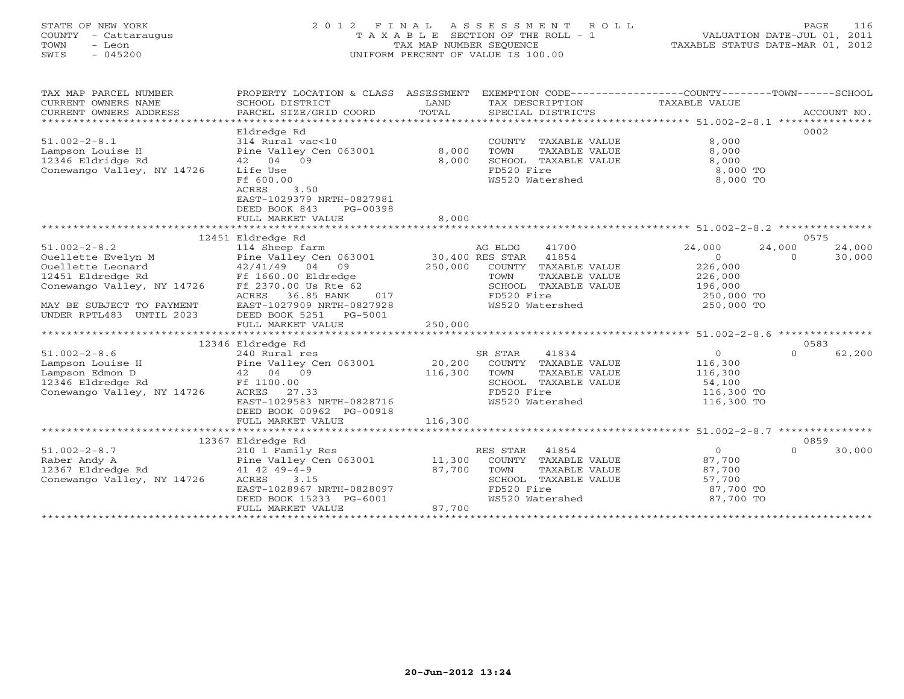# STATE OF NEW YORK 2 0 1 2 F I N A L A S S E S S M E N T R O L L PAGE 116 COUNTY - Cattaraugus T A X A B L E SECTION OF THE ROLL - 1 VALUATION DATE-JUL 01, 2011 TOWN - Leon TAX MAP NUMBER SEQUENCE TAXABLE STATUS DATE-MAR 01, 2012 SWIS - 045200 UNIFORM PERCENT OF VALUE IS 100.00UNIFORM PERCENT OF VALUE IS 100.00

| TAXABLE VALUE<br>CURRENT OWNERS NAME<br>SCHOOL DISTRICT<br>LAND<br>TAX DESCRIPTION<br>CURRENT OWNERS ADDRESS<br>Eldredge Rd<br>0002<br>$51.002 - 2 - 8.1$<br>314 Rural vac<10<br>8,000<br>COUNTY TAXABLE VALUE<br>Pine Valley (<br>42 04 09<br>Pine Valley Cen 063001 8,000<br>42 04 09 8,000<br>8,000<br>Lampson Louise H<br>TOWN<br>TAXABLE VALUE<br>12346 Eldridge Rd<br>8,000<br>SCHOOL TAXABLE VALUE<br>8,000<br>FD520 Fire<br>8,000 TO<br>Conewango Valley, NY 14726<br>Life Use<br>FD520 Fire<br>WS520 Watershed<br>Ff 600.00<br>8,000 TO<br>3.50<br>ACRES<br>EAST-1029379 NRTH-0827981<br>DEED BOOK 843<br>PG-00398<br>FULL MARKET VALUE<br>8,000<br>12451 Eldredge Rd<br>0575<br>41700<br>24,000<br>$51.002 - 2 - 8.2$<br>114 Sheep farm<br>AG BLDG<br>24,000<br>24,000<br>Ouellette Evelyn M M Pine Valley Cen 063001 30,400 RES STAR 41854<br>Ouellette Leonard 42/41/49 04 09 250,000 COUNTY TAXABLE<br>12451 Eldredge Rd Ff 1660.00 Eldredge TOWN TAXABLE<br>$\overline{0}$<br>$\overline{0}$<br>30,000<br>226,000<br>COUNTY TAXABLE VALUE<br>226,000<br>TAXABLE VALUE<br>Conewango Valley, NY 14726 Ff 2370.00 Us Rte 62<br>196,000<br>SCHOOL TAXABLE VALUE<br>FD520 Fire<br>WS520 Watershed<br>ACRES 36.85 BANK<br>017<br>250,000 TO<br>250,000 TO<br>EAST-1027909 NRTH-0827928<br>MAY BE SUBJECT TO PAYMENT<br>UNDER RPTL483 UNTIL 2023<br>DEED BOOK 5251 PG-5001<br>FULL MARKET VALUE<br>250,000<br>12346 Eldredge Rd<br>0583<br>$0 \qquad \qquad$<br>$51.002 - 2 - 8.6$<br>41834<br>$\cap$<br>62,200<br>SR STAR<br>1.002-2-8.6<br>Lampson Louise H Pine Valley Cen 063001 20,200<br>Lampson Edmon D 42 04 09 116,300<br>12346 Eldredge Rd Ff 1100.00<br>116,300<br>COUNTY TAXABLE VALUE<br>TOWN<br>TAXABLE VALUE<br>116,300<br>SCHOOL TAXABLE VALUE<br>54,100<br>116,300 TO<br>Conewango Valley, NY 14726<br>FD520 Fire<br>ACRES 27.33<br>EAST-1029583 NRTH-0828716<br>WS520 Watershed<br>116,300 TO<br>DEED BOOK 00962 PG-00918<br>FULL MARKET VALUE<br>116,300<br>12367 Eldredge Rd<br>0859<br>210 1 Family Res<br>$\overline{0}$<br>$51.002 - 2 - 8.7$<br>RES STAR<br>41854<br>30,000<br>$\Omega$<br>87,700<br>COUNTY TAXABLE VALUE<br>TOWN<br>TAXABLE VALUE<br>87,700<br>57,700<br>ACRES 3.15<br>Conewango Valley, NY 14726<br>SCHOOL TAXABLE VALUE<br>FD520 Fire<br>EAST-1028967 NRTH-0828097<br>87,700 TO<br>DEED BOOK 15233 PG-6001<br>WS520 Watershed<br>87,700 TO<br>87,700<br>FULL MARKET VALUE | TAX MAP PARCEL NUMBER | PROPERTY LOCATION & CLASS ASSESSMENT EXEMPTION CODE----------------COUNTY-------TOWN------SCHOOL |  |  |  |
|-----------------------------------------------------------------------------------------------------------------------------------------------------------------------------------------------------------------------------------------------------------------------------------------------------------------------------------------------------------------------------------------------------------------------------------------------------------------------------------------------------------------------------------------------------------------------------------------------------------------------------------------------------------------------------------------------------------------------------------------------------------------------------------------------------------------------------------------------------------------------------------------------------------------------------------------------------------------------------------------------------------------------------------------------------------------------------------------------------------------------------------------------------------------------------------------------------------------------------------------------------------------------------------------------------------------------------------------------------------------------------------------------------------------------------------------------------------------------------------------------------------------------------------------------------------------------------------------------------------------------------------------------------------------------------------------------------------------------------------------------------------------------------------------------------------------------------------------------------------------------------------------------------------------------------------------------------------------------------------------------------------------------------------------------------------------------------------------------------------------------------------------------------------------------------------------------------------------------------------------------------------------------------------------------------------------------------------------------------------------------------------------------------------------------------|-----------------------|--------------------------------------------------------------------------------------------------|--|--|--|
|                                                                                                                                                                                                                                                                                                                                                                                                                                                                                                                                                                                                                                                                                                                                                                                                                                                                                                                                                                                                                                                                                                                                                                                                                                                                                                                                                                                                                                                                                                                                                                                                                                                                                                                                                                                                                                                                                                                                                                                                                                                                                                                                                                                                                                                                                                                                                                                                                             |                       |                                                                                                  |  |  |  |
|                                                                                                                                                                                                                                                                                                                                                                                                                                                                                                                                                                                                                                                                                                                                                                                                                                                                                                                                                                                                                                                                                                                                                                                                                                                                                                                                                                                                                                                                                                                                                                                                                                                                                                                                                                                                                                                                                                                                                                                                                                                                                                                                                                                                                                                                                                                                                                                                                             |                       |                                                                                                  |  |  |  |
|                                                                                                                                                                                                                                                                                                                                                                                                                                                                                                                                                                                                                                                                                                                                                                                                                                                                                                                                                                                                                                                                                                                                                                                                                                                                                                                                                                                                                                                                                                                                                                                                                                                                                                                                                                                                                                                                                                                                                                                                                                                                                                                                                                                                                                                                                                                                                                                                                             |                       |                                                                                                  |  |  |  |
|                                                                                                                                                                                                                                                                                                                                                                                                                                                                                                                                                                                                                                                                                                                                                                                                                                                                                                                                                                                                                                                                                                                                                                                                                                                                                                                                                                                                                                                                                                                                                                                                                                                                                                                                                                                                                                                                                                                                                                                                                                                                                                                                                                                                                                                                                                                                                                                                                             |                       |                                                                                                  |  |  |  |
|                                                                                                                                                                                                                                                                                                                                                                                                                                                                                                                                                                                                                                                                                                                                                                                                                                                                                                                                                                                                                                                                                                                                                                                                                                                                                                                                                                                                                                                                                                                                                                                                                                                                                                                                                                                                                                                                                                                                                                                                                                                                                                                                                                                                                                                                                                                                                                                                                             |                       |                                                                                                  |  |  |  |
|                                                                                                                                                                                                                                                                                                                                                                                                                                                                                                                                                                                                                                                                                                                                                                                                                                                                                                                                                                                                                                                                                                                                                                                                                                                                                                                                                                                                                                                                                                                                                                                                                                                                                                                                                                                                                                                                                                                                                                                                                                                                                                                                                                                                                                                                                                                                                                                                                             |                       |                                                                                                  |  |  |  |
|                                                                                                                                                                                                                                                                                                                                                                                                                                                                                                                                                                                                                                                                                                                                                                                                                                                                                                                                                                                                                                                                                                                                                                                                                                                                                                                                                                                                                                                                                                                                                                                                                                                                                                                                                                                                                                                                                                                                                                                                                                                                                                                                                                                                                                                                                                                                                                                                                             |                       |                                                                                                  |  |  |  |
|                                                                                                                                                                                                                                                                                                                                                                                                                                                                                                                                                                                                                                                                                                                                                                                                                                                                                                                                                                                                                                                                                                                                                                                                                                                                                                                                                                                                                                                                                                                                                                                                                                                                                                                                                                                                                                                                                                                                                                                                                                                                                                                                                                                                                                                                                                                                                                                                                             |                       |                                                                                                  |  |  |  |
|                                                                                                                                                                                                                                                                                                                                                                                                                                                                                                                                                                                                                                                                                                                                                                                                                                                                                                                                                                                                                                                                                                                                                                                                                                                                                                                                                                                                                                                                                                                                                                                                                                                                                                                                                                                                                                                                                                                                                                                                                                                                                                                                                                                                                                                                                                                                                                                                                             |                       |                                                                                                  |  |  |  |
|                                                                                                                                                                                                                                                                                                                                                                                                                                                                                                                                                                                                                                                                                                                                                                                                                                                                                                                                                                                                                                                                                                                                                                                                                                                                                                                                                                                                                                                                                                                                                                                                                                                                                                                                                                                                                                                                                                                                                                                                                                                                                                                                                                                                                                                                                                                                                                                                                             |                       |                                                                                                  |  |  |  |
|                                                                                                                                                                                                                                                                                                                                                                                                                                                                                                                                                                                                                                                                                                                                                                                                                                                                                                                                                                                                                                                                                                                                                                                                                                                                                                                                                                                                                                                                                                                                                                                                                                                                                                                                                                                                                                                                                                                                                                                                                                                                                                                                                                                                                                                                                                                                                                                                                             |                       |                                                                                                  |  |  |  |
|                                                                                                                                                                                                                                                                                                                                                                                                                                                                                                                                                                                                                                                                                                                                                                                                                                                                                                                                                                                                                                                                                                                                                                                                                                                                                                                                                                                                                                                                                                                                                                                                                                                                                                                                                                                                                                                                                                                                                                                                                                                                                                                                                                                                                                                                                                                                                                                                                             |                       |                                                                                                  |  |  |  |
|                                                                                                                                                                                                                                                                                                                                                                                                                                                                                                                                                                                                                                                                                                                                                                                                                                                                                                                                                                                                                                                                                                                                                                                                                                                                                                                                                                                                                                                                                                                                                                                                                                                                                                                                                                                                                                                                                                                                                                                                                                                                                                                                                                                                                                                                                                                                                                                                                             |                       |                                                                                                  |  |  |  |
|                                                                                                                                                                                                                                                                                                                                                                                                                                                                                                                                                                                                                                                                                                                                                                                                                                                                                                                                                                                                                                                                                                                                                                                                                                                                                                                                                                                                                                                                                                                                                                                                                                                                                                                                                                                                                                                                                                                                                                                                                                                                                                                                                                                                                                                                                                                                                                                                                             |                       |                                                                                                  |  |  |  |
|                                                                                                                                                                                                                                                                                                                                                                                                                                                                                                                                                                                                                                                                                                                                                                                                                                                                                                                                                                                                                                                                                                                                                                                                                                                                                                                                                                                                                                                                                                                                                                                                                                                                                                                                                                                                                                                                                                                                                                                                                                                                                                                                                                                                                                                                                                                                                                                                                             |                       |                                                                                                  |  |  |  |
|                                                                                                                                                                                                                                                                                                                                                                                                                                                                                                                                                                                                                                                                                                                                                                                                                                                                                                                                                                                                                                                                                                                                                                                                                                                                                                                                                                                                                                                                                                                                                                                                                                                                                                                                                                                                                                                                                                                                                                                                                                                                                                                                                                                                                                                                                                                                                                                                                             |                       |                                                                                                  |  |  |  |
|                                                                                                                                                                                                                                                                                                                                                                                                                                                                                                                                                                                                                                                                                                                                                                                                                                                                                                                                                                                                                                                                                                                                                                                                                                                                                                                                                                                                                                                                                                                                                                                                                                                                                                                                                                                                                                                                                                                                                                                                                                                                                                                                                                                                                                                                                                                                                                                                                             |                       |                                                                                                  |  |  |  |
|                                                                                                                                                                                                                                                                                                                                                                                                                                                                                                                                                                                                                                                                                                                                                                                                                                                                                                                                                                                                                                                                                                                                                                                                                                                                                                                                                                                                                                                                                                                                                                                                                                                                                                                                                                                                                                                                                                                                                                                                                                                                                                                                                                                                                                                                                                                                                                                                                             |                       |                                                                                                  |  |  |  |
|                                                                                                                                                                                                                                                                                                                                                                                                                                                                                                                                                                                                                                                                                                                                                                                                                                                                                                                                                                                                                                                                                                                                                                                                                                                                                                                                                                                                                                                                                                                                                                                                                                                                                                                                                                                                                                                                                                                                                                                                                                                                                                                                                                                                                                                                                                                                                                                                                             |                       |                                                                                                  |  |  |  |
|                                                                                                                                                                                                                                                                                                                                                                                                                                                                                                                                                                                                                                                                                                                                                                                                                                                                                                                                                                                                                                                                                                                                                                                                                                                                                                                                                                                                                                                                                                                                                                                                                                                                                                                                                                                                                                                                                                                                                                                                                                                                                                                                                                                                                                                                                                                                                                                                                             |                       |                                                                                                  |  |  |  |
|                                                                                                                                                                                                                                                                                                                                                                                                                                                                                                                                                                                                                                                                                                                                                                                                                                                                                                                                                                                                                                                                                                                                                                                                                                                                                                                                                                                                                                                                                                                                                                                                                                                                                                                                                                                                                                                                                                                                                                                                                                                                                                                                                                                                                                                                                                                                                                                                                             |                       |                                                                                                  |  |  |  |
|                                                                                                                                                                                                                                                                                                                                                                                                                                                                                                                                                                                                                                                                                                                                                                                                                                                                                                                                                                                                                                                                                                                                                                                                                                                                                                                                                                                                                                                                                                                                                                                                                                                                                                                                                                                                                                                                                                                                                                                                                                                                                                                                                                                                                                                                                                                                                                                                                             |                       |                                                                                                  |  |  |  |
|                                                                                                                                                                                                                                                                                                                                                                                                                                                                                                                                                                                                                                                                                                                                                                                                                                                                                                                                                                                                                                                                                                                                                                                                                                                                                                                                                                                                                                                                                                                                                                                                                                                                                                                                                                                                                                                                                                                                                                                                                                                                                                                                                                                                                                                                                                                                                                                                                             |                       |                                                                                                  |  |  |  |
|                                                                                                                                                                                                                                                                                                                                                                                                                                                                                                                                                                                                                                                                                                                                                                                                                                                                                                                                                                                                                                                                                                                                                                                                                                                                                                                                                                                                                                                                                                                                                                                                                                                                                                                                                                                                                                                                                                                                                                                                                                                                                                                                                                                                                                                                                                                                                                                                                             |                       |                                                                                                  |  |  |  |
|                                                                                                                                                                                                                                                                                                                                                                                                                                                                                                                                                                                                                                                                                                                                                                                                                                                                                                                                                                                                                                                                                                                                                                                                                                                                                                                                                                                                                                                                                                                                                                                                                                                                                                                                                                                                                                                                                                                                                                                                                                                                                                                                                                                                                                                                                                                                                                                                                             |                       |                                                                                                  |  |  |  |
|                                                                                                                                                                                                                                                                                                                                                                                                                                                                                                                                                                                                                                                                                                                                                                                                                                                                                                                                                                                                                                                                                                                                                                                                                                                                                                                                                                                                                                                                                                                                                                                                                                                                                                                                                                                                                                                                                                                                                                                                                                                                                                                                                                                                                                                                                                                                                                                                                             |                       |                                                                                                  |  |  |  |
|                                                                                                                                                                                                                                                                                                                                                                                                                                                                                                                                                                                                                                                                                                                                                                                                                                                                                                                                                                                                                                                                                                                                                                                                                                                                                                                                                                                                                                                                                                                                                                                                                                                                                                                                                                                                                                                                                                                                                                                                                                                                                                                                                                                                                                                                                                                                                                                                                             |                       |                                                                                                  |  |  |  |
|                                                                                                                                                                                                                                                                                                                                                                                                                                                                                                                                                                                                                                                                                                                                                                                                                                                                                                                                                                                                                                                                                                                                                                                                                                                                                                                                                                                                                                                                                                                                                                                                                                                                                                                                                                                                                                                                                                                                                                                                                                                                                                                                                                                                                                                                                                                                                                                                                             |                       |                                                                                                  |  |  |  |
|                                                                                                                                                                                                                                                                                                                                                                                                                                                                                                                                                                                                                                                                                                                                                                                                                                                                                                                                                                                                                                                                                                                                                                                                                                                                                                                                                                                                                                                                                                                                                                                                                                                                                                                                                                                                                                                                                                                                                                                                                                                                                                                                                                                                                                                                                                                                                                                                                             |                       |                                                                                                  |  |  |  |
|                                                                                                                                                                                                                                                                                                                                                                                                                                                                                                                                                                                                                                                                                                                                                                                                                                                                                                                                                                                                                                                                                                                                                                                                                                                                                                                                                                                                                                                                                                                                                                                                                                                                                                                                                                                                                                                                                                                                                                                                                                                                                                                                                                                                                                                                                                                                                                                                                             |                       |                                                                                                  |  |  |  |
|                                                                                                                                                                                                                                                                                                                                                                                                                                                                                                                                                                                                                                                                                                                                                                                                                                                                                                                                                                                                                                                                                                                                                                                                                                                                                                                                                                                                                                                                                                                                                                                                                                                                                                                                                                                                                                                                                                                                                                                                                                                                                                                                                                                                                                                                                                                                                                                                                             |                       |                                                                                                  |  |  |  |
|                                                                                                                                                                                                                                                                                                                                                                                                                                                                                                                                                                                                                                                                                                                                                                                                                                                                                                                                                                                                                                                                                                                                                                                                                                                                                                                                                                                                                                                                                                                                                                                                                                                                                                                                                                                                                                                                                                                                                                                                                                                                                                                                                                                                                                                                                                                                                                                                                             |                       |                                                                                                  |  |  |  |
|                                                                                                                                                                                                                                                                                                                                                                                                                                                                                                                                                                                                                                                                                                                                                                                                                                                                                                                                                                                                                                                                                                                                                                                                                                                                                                                                                                                                                                                                                                                                                                                                                                                                                                                                                                                                                                                                                                                                                                                                                                                                                                                                                                                                                                                                                                                                                                                                                             |                       |                                                                                                  |  |  |  |
|                                                                                                                                                                                                                                                                                                                                                                                                                                                                                                                                                                                                                                                                                                                                                                                                                                                                                                                                                                                                                                                                                                                                                                                                                                                                                                                                                                                                                                                                                                                                                                                                                                                                                                                                                                                                                                                                                                                                                                                                                                                                                                                                                                                                                                                                                                                                                                                                                             |                       |                                                                                                  |  |  |  |
|                                                                                                                                                                                                                                                                                                                                                                                                                                                                                                                                                                                                                                                                                                                                                                                                                                                                                                                                                                                                                                                                                                                                                                                                                                                                                                                                                                                                                                                                                                                                                                                                                                                                                                                                                                                                                                                                                                                                                                                                                                                                                                                                                                                                                                                                                                                                                                                                                             |                       |                                                                                                  |  |  |  |
|                                                                                                                                                                                                                                                                                                                                                                                                                                                                                                                                                                                                                                                                                                                                                                                                                                                                                                                                                                                                                                                                                                                                                                                                                                                                                                                                                                                                                                                                                                                                                                                                                                                                                                                                                                                                                                                                                                                                                                                                                                                                                                                                                                                                                                                                                                                                                                                                                             |                       |                                                                                                  |  |  |  |
|                                                                                                                                                                                                                                                                                                                                                                                                                                                                                                                                                                                                                                                                                                                                                                                                                                                                                                                                                                                                                                                                                                                                                                                                                                                                                                                                                                                                                                                                                                                                                                                                                                                                                                                                                                                                                                                                                                                                                                                                                                                                                                                                                                                                                                                                                                                                                                                                                             |                       |                                                                                                  |  |  |  |
|                                                                                                                                                                                                                                                                                                                                                                                                                                                                                                                                                                                                                                                                                                                                                                                                                                                                                                                                                                                                                                                                                                                                                                                                                                                                                                                                                                                                                                                                                                                                                                                                                                                                                                                                                                                                                                                                                                                                                                                                                                                                                                                                                                                                                                                                                                                                                                                                                             |                       |                                                                                                  |  |  |  |
|                                                                                                                                                                                                                                                                                                                                                                                                                                                                                                                                                                                                                                                                                                                                                                                                                                                                                                                                                                                                                                                                                                                                                                                                                                                                                                                                                                                                                                                                                                                                                                                                                                                                                                                                                                                                                                                                                                                                                                                                                                                                                                                                                                                                                                                                                                                                                                                                                             |                       |                                                                                                  |  |  |  |
|                                                                                                                                                                                                                                                                                                                                                                                                                                                                                                                                                                                                                                                                                                                                                                                                                                                                                                                                                                                                                                                                                                                                                                                                                                                                                                                                                                                                                                                                                                                                                                                                                                                                                                                                                                                                                                                                                                                                                                                                                                                                                                                                                                                                                                                                                                                                                                                                                             |                       |                                                                                                  |  |  |  |
|                                                                                                                                                                                                                                                                                                                                                                                                                                                                                                                                                                                                                                                                                                                                                                                                                                                                                                                                                                                                                                                                                                                                                                                                                                                                                                                                                                                                                                                                                                                                                                                                                                                                                                                                                                                                                                                                                                                                                                                                                                                                                                                                                                                                                                                                                                                                                                                                                             |                       |                                                                                                  |  |  |  |
|                                                                                                                                                                                                                                                                                                                                                                                                                                                                                                                                                                                                                                                                                                                                                                                                                                                                                                                                                                                                                                                                                                                                                                                                                                                                                                                                                                                                                                                                                                                                                                                                                                                                                                                                                                                                                                                                                                                                                                                                                                                                                                                                                                                                                                                                                                                                                                                                                             |                       |                                                                                                  |  |  |  |
|                                                                                                                                                                                                                                                                                                                                                                                                                                                                                                                                                                                                                                                                                                                                                                                                                                                                                                                                                                                                                                                                                                                                                                                                                                                                                                                                                                                                                                                                                                                                                                                                                                                                                                                                                                                                                                                                                                                                                                                                                                                                                                                                                                                                                                                                                                                                                                                                                             |                       |                                                                                                  |  |  |  |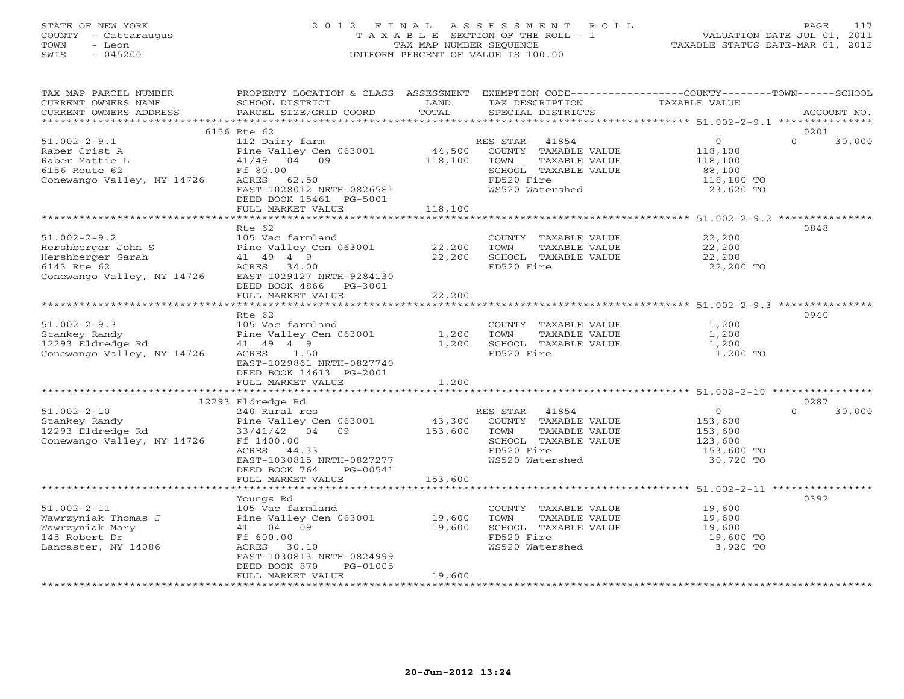# STATE OF NEW YORK 2 0 1 2 F I N A L A S S E S S M E N T R O L L PAGE 117 COUNTY - Cattaraugus T A X A B L E SECTION OF THE ROLL - 1 VALUATION DATE-JUL 01, 2011 TOWN - Leon TAX MAP NUMBER SEQUENCE TAXABLE STATUS DATE-MAR 01, 2012 SWIS - 045200 UNIFORM PERCENT OF VALUE IS 100.00UNIFORM PERCENT OF VALUE IS 100.00

| TAX MAP PARCEL NUMBER<br>CURRENT OWNERS NAME<br>CURRENT OWNERS ADDRESS                                     | PROPERTY LOCATION & CLASS ASSESSMENT<br>SCHOOL DISTRICT<br>PARCEL SIZE/GRID COORD                                                                                              | LAND<br>TOTAL                | TAX DESCRIPTION<br>SPECIAL DISTRICTS                                                                                        | EXEMPTION CODE-----------------COUNTY-------TOWN-----SCHOOL<br>TAXABLE VALUE           | ACCOUNT NO.    |
|------------------------------------------------------------------------------------------------------------|--------------------------------------------------------------------------------------------------------------------------------------------------------------------------------|------------------------------|-----------------------------------------------------------------------------------------------------------------------------|----------------------------------------------------------------------------------------|----------------|
| ***********************                                                                                    |                                                                                                                                                                                |                              |                                                                                                                             |                                                                                        |                |
| $51.002 - 2 - 9.1$<br>Raber Crist A<br>Raber Mattie L<br>6156 Route 62<br>Conewango Valley, NY 14726       | 6156 Rte 62<br>112 Dairy farm<br>Pine Valley Cen 063001<br>41/49 04 09<br>Ff 80.00<br>ACRES 62.50<br>EAST-1028012 NRTH-0826581<br>DEED BOOK 15461 PG-5001<br>FULL MARKET VALUE | 44,500<br>118,100<br>118,100 | 41854<br>RES STAR<br>COUNTY TAXABLE VALUE<br>TAXABLE VALUE<br>TOWN<br>SCHOOL TAXABLE VALUE<br>FD520 Fire<br>WS520 Watershed | $\circ$<br>$\Omega$<br>118,100<br>118,100<br>88,100<br>118,100 TO<br>23,620 TO         | 0201<br>30,000 |
|                                                                                                            |                                                                                                                                                                                |                              |                                                                                                                             |                                                                                        |                |
| $51.002 - 2 - 9.2$<br>Hershberger John S<br>Hershberger Sarah<br>6143 Rte 62<br>Conewango Valley, NY 14726 | Rte 62<br>105 Vac farmland<br>Pine Valley Cen 063001<br>41 49 4 9<br>ACRES 34.00<br>EAST-1029127 NRTH-9284130<br>DEED BOOK 4866<br>PG-3001                                     | 22,200<br>22,200             | COUNTY TAXABLE VALUE<br>TOWN<br>TAXABLE VALUE<br>SCHOOL TAXABLE VALUE<br>FD520 Fire                                         | 22,200<br>22,200<br>22,200<br>22,200 TO                                                | 0848           |
|                                                                                                            | FULL MARKET VALUE                                                                                                                                                              | 22,200                       |                                                                                                                             |                                                                                        |                |
|                                                                                                            |                                                                                                                                                                                |                              |                                                                                                                             |                                                                                        |                |
| $51.002 - 2 - 9.3$<br>Stankey Randy<br>12293 Eldredge Rd<br>Conewango Valley, NY 14726                     | Rte 62<br>105 Vac farmland<br>Pine Valley Cen 063001<br>41 49 4 9<br>ACRES<br>1.50<br>EAST-1029861 NRTH-0827740<br>DEED BOOK 14613 PG-2001<br>FULL MARKET VALUE                | 1,200<br>1,200<br>1,200      | COUNTY TAXABLE VALUE<br>TOWN<br>TAXABLE VALUE<br>SCHOOL TAXABLE VALUE<br>FD520 Fire                                         | 1,200<br>1,200<br>1,200<br>1,200 TO                                                    | 0940           |
|                                                                                                            |                                                                                                                                                                                |                              |                                                                                                                             |                                                                                        |                |
| $51.002 - 2 - 10$<br>Stankey Randy<br>12293 Eldredge Rd<br>Conewango Valley, NY 14726                      | 12293 Eldredge Rd<br>240 Rural res<br>Pine Valley Cen 063001<br>09<br>33/41/42<br>04<br>Ff 1400.00<br>ACRES 44.33<br>EAST-1030815 NRTH-0827277<br>DEED BOOK 764<br>PG-00541    | 43,300<br>153,600            | RES STAR 41854<br>COUNTY TAXABLE VALUE<br>TOWN<br>TAXABLE VALUE<br>SCHOOL TAXABLE VALUE<br>FD520 Fire<br>WS520 Watershed    | $\overline{O}$<br>$\Omega$<br>153,600<br>153,600<br>123,600<br>153,600 TO<br>30,720 TO | 0287<br>30,000 |
|                                                                                                            | FULL MARKET VALUE                                                                                                                                                              | 153,600                      |                                                                                                                             |                                                                                        |                |
| $51.002 - 2 - 11$<br>Wawrzyniak Thomas J<br>Wawrzyniak Mary<br>145 Robert Dr<br>Lancaster, NY 14086        | Youngs Rd<br>105 Vac farmland<br>Pine Valley Cen 063001<br>41 04 09<br>Ff 600.00<br>ACRES<br>30.10<br>EAST-1030813 NRTH-0824999<br>DEED BOOK 870<br>PG-01005                   | 19,600<br>19,600             | COUNTY TAXABLE VALUE<br>TOWN<br>TAXABLE VALUE<br>SCHOOL TAXABLE VALUE<br>FD520 Fire<br>WS520 Watershed                      | 19,600<br>19,600<br>19,600<br>19,600 TO<br>3,920 TO                                    | 0392           |
|                                                                                                            | FULL MARKET VALUE                                                                                                                                                              | 19,600                       |                                                                                                                             |                                                                                        |                |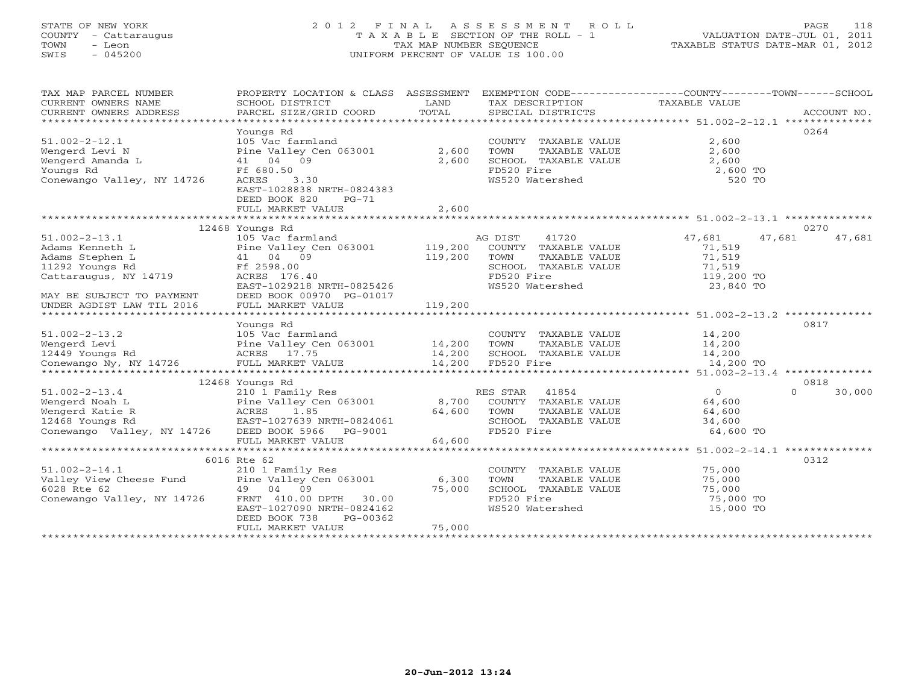# STATE OF NEW YORK 2 0 1 2 F I N A L A S S E S S M E N T R O L L PAGE 118 COUNTY - Cattaraugus T A X A B L E SECTION OF THE ROLL - 1 VALUATION DATE-JUL 01, 2011 TOWN - Leon TAX MAP NUMBER SEQUENCE TAXABLE STATUS DATE-MAR 01, 2012 SWIS - 045200 UNIFORM PERCENT OF VALUE IS 100.00UNIFORM PERCENT OF VALUE IS 100.00

| TAX MAP PARCEL NUMBER<br>CURRENT OWNERS NAME | PROPERTY LOCATION & CLASS ASSESSMENT<br>SCHOOL DISTRICT | LAND    | TAX DESCRIPTION         | EXEMPTION CODE----------------COUNTY-------TOWN------SCHOOL<br>TAXABLE VALUE |        |
|----------------------------------------------|---------------------------------------------------------|---------|-------------------------|------------------------------------------------------------------------------|--------|
| CURRENT OWNERS ADDRESS                       | PARCEL SIZE/GRID COORD                                  | TOTAL   | SPECIAL DISTRICTS       | ACCOUNT NO.                                                                  |        |
|                                              |                                                         |         |                         |                                                                              |        |
|                                              | Youngs Rd                                               |         |                         | 0264                                                                         |        |
| $51.002 - 2 - 12.1$                          | 105 Vac farmland                                        |         | COUNTY TAXABLE VALUE    | 2,600                                                                        |        |
| Wengerd Levi N                               | Pine Valley Cen 063001                                  | 2,600   | TOWN<br>TAXABLE VALUE   | 2,600                                                                        |        |
| Wengerd Amanda L                             | 41 04 09                                                | 2,600   | SCHOOL TAXABLE VALUE    | 2,600                                                                        |        |
| Youngs Rd                                    | Ff 680.50                                               |         | FD520 Fire              | 2,600 TO                                                                     |        |
| Conewango Valley, NY 14726                   | ACRES<br>3.30                                           |         | WS520 Watershed         | 520 TO                                                                       |        |
|                                              | EAST-1028838 NRTH-0824383                               |         |                         |                                                                              |        |
|                                              | DEED BOOK 820<br>$PG-71$                                |         |                         |                                                                              |        |
|                                              | FULL MARKET VALUE                                       | 2,600   |                         |                                                                              |        |
|                                              |                                                         |         |                         |                                                                              |        |
|                                              | 12468 Youngs Rd                                         |         |                         | 0270                                                                         |        |
| $51.002 - 2 - 13.1$                          | 105 Vac farmland                                        |         | AG DIST<br>41720        | 47,681<br>47,681                                                             | 47,681 |
| Adams Kenneth L                              | Pine Valley Cen 063001                                  | 119,200 | COUNTY TAXABLE VALUE    | 71,519                                                                       |        |
| Adams Stephen L                              | 41 04 09                                                | 119,200 | TOWN<br>TAXABLE VALUE   | 71,519                                                                       |        |
| 11292 Youngs Rd                              | Ff 2598.00                                              |         | SCHOOL TAXABLE VALUE    | 71,519                                                                       |        |
| Cattaraugus, NY 14719                        | ACRES 176.40                                            |         | FD520 Fire              | 119,200 TO                                                                   |        |
|                                              | EAST-1029218 NRTH-0825426                               |         | WS520 Watershed         | 23,840 TO                                                                    |        |
| MAY BE SUBJECT TO PAYMENT                    | DEED BOOK 00970 PG-01017                                |         |                         |                                                                              |        |
| UNDER AGDIST LAW TIL 2016                    | FULL MARKET VALUE                                       | 119,200 |                         |                                                                              |        |
|                                              |                                                         |         |                         |                                                                              |        |
|                                              | Youngs Rd                                               |         |                         | 0817                                                                         |        |
| $51.002 - 2 - 13.2$                          | 105 Vac farmland                                        |         | COUNTY TAXABLE VALUE    | 14,200                                                                       |        |
| Wengerd Levi                                 | Pine Valley Cen 063001                                  | 14,200  | TOWN<br>TAXABLE VALUE   | 14,200                                                                       |        |
| 12449 Youngs Rd                              | ACRES 17.75                                             | 14,200  | SCHOOL TAXABLE VALUE    | 14,200                                                                       |        |
| Conewango Ny, NY 14726                       | FULL MARKET VALUE                                       | 14,200  | FD520 Fire              | 14,200 TO                                                                    |        |
|                                              |                                                         |         |                         |                                                                              |        |
|                                              | 12468 Youngs Rd                                         |         |                         | 0818                                                                         |        |
| $51.002 - 2 - 13.4$                          | 210 1 Family Res                                        |         | 41854<br>RES STAR       | $\overline{0}$<br>$\Omega$                                                   | 30,000 |
| Wengerd Noah L                               | Pine Valley Cen 063001                                  | 8,700   | COUNTY<br>TAXABLE VALUE | 64,600                                                                       |        |
| Wengerd Katie R                              | ACRES<br>1.85                                           | 64,600  | TOWN<br>TAXABLE VALUE   | 64,600                                                                       |        |
| 12468 Youngs Rd                              | EAST-1027639 NRTH-0824061                               |         | SCHOOL TAXABLE VALUE    | 34,600                                                                       |        |
| Conewango Valley, NY 14726                   | DEED BOOK 5966 PG-9001                                  |         | FD520 Fire              | 64,600 TO                                                                    |        |
|                                              | FULL MARKET VALUE                                       | 64,600  |                         |                                                                              |        |
|                                              | **********************                                  |         |                         |                                                                              |        |
|                                              | 6016 Rte 62                                             |         |                         | 0312                                                                         |        |
| $51.002 - 2 - 14.1$                          | 210 1 Family Res                                        |         | COUNTY<br>TAXABLE VALUE | 75,000                                                                       |        |
| Valley View Cheese Fund                      | Pine Valley Cen 063001                                  | 6,300   | TOWN<br>TAXABLE VALUE   | 75,000                                                                       |        |
| 6028 Rte 62                                  | 49 04 09                                                | 75,000  | SCHOOL TAXABLE VALUE    | 75,000                                                                       |        |
| Conewango Valley, NY 14726                   | FRNT 410.00 DPTH 30.00                                  |         | FD520 Fire              | 75,000 TO                                                                    |        |
|                                              | EAST-1027090 NRTH-0824162                               |         | WS520 Watershed         | 15,000 TO                                                                    |        |
|                                              | DEED BOOK 738<br>PG-00362                               |         |                         |                                                                              |        |
|                                              | FULL MARKET VALUE                                       | 75,000  |                         |                                                                              |        |
|                                              | *********************                                   |         |                         |                                                                              |        |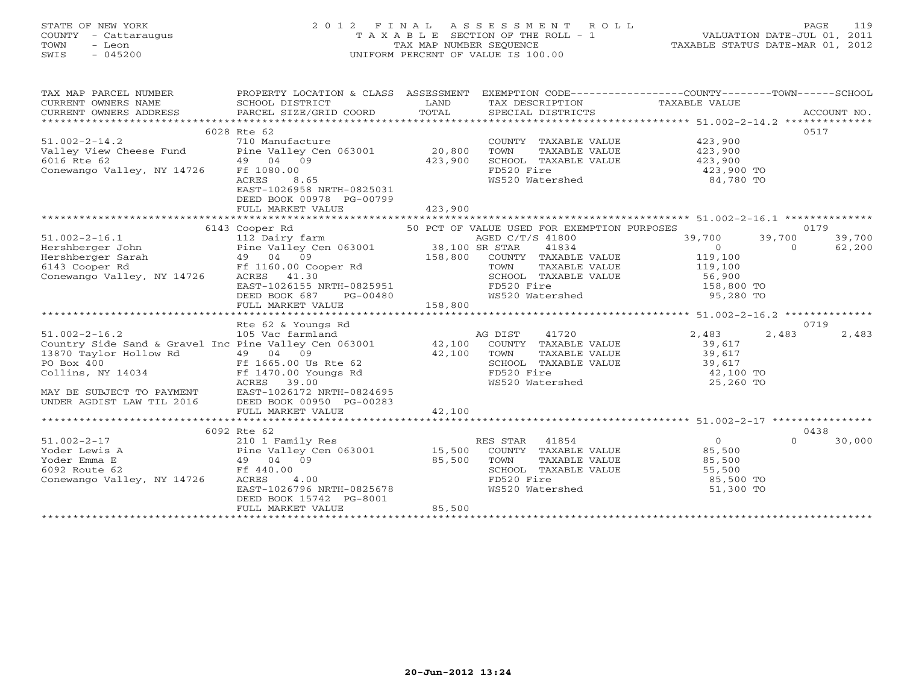# STATE OF NEW YORK 2 0 1 2 F I N A L A S S E S S M E N T R O L L PAGE 119 COUNTY - Cattaraugus T A X A B L E SECTION OF THE ROLL - 1 VALUATION DATE-JUL 01, 2011 TOWN - Leon TAX MAP NUMBER SEQUENCE TAXABLE STATUS DATE-MAR 01, 2012 SWIS - 045200 UNIFORM PERCENT OF VALUE IS 100.00

TAX MAP PARCEL NUMBER PROPERTY LOCATION & CLASS ASSESSMENT EXEMPTION CODE------------------COUNTY--------TOWN------SCHOOL CURRENT OWNERS NAME SCHOOL DISTRICT LAND TAX DESCRIPTION TAXABLE VALUE

| CURRENI UWNERS NAME                                          | PCHOOT DIPIKICI                                              | <b>LAIVI</b> | IAV DEPOLITIJOM                             | IAAADLL VALUL              |                    |
|--------------------------------------------------------------|--------------------------------------------------------------|--------------|---------------------------------------------|----------------------------|--------------------|
| CURRENT OWNERS ADDRESS                                       | PARCEL SIZE/GRID COORD                                       | TOTAL        | SPECIAL DISTRICTS                           |                            | ACCOUNT NO.        |
| ************************                                     |                                                              |              |                                             |                            |                    |
|                                                              | 6028 Rte 62                                                  |              |                                             |                            | 0517               |
| $51.002 - 2 - 14.2$                                          | 710 Manufacture                                              |              | COUNTY TAXABLE VALUE                        | 423,900                    |                    |
| Valley View Cheese Fund Pine Valley Cen 063001               |                                                              | 20,800       | TAXABLE VALUE<br>TOWN                       | 423,900                    |                    |
| 6016 Rte 62                                                  | 49 04 09                                                     | 423,900      | SCHOOL TAXABLE VALUE                        | 423,900                    |                    |
| Conewango Valley, NY 14726                                   | Ff 1080.00                                                   |              | FD520 Fire                                  | 423,900 TO                 |                    |
|                                                              | 8.65<br>ACRES                                                |              | WS520 Watershed                             | 84,780 TO                  |                    |
|                                                              | EAST-1026958 NRTH-0825031                                    |              |                                             |                            |                    |
|                                                              | DEED BOOK 00978 PG-00799                                     |              |                                             |                            |                    |
|                                                              | FULL MARKET VALUE                                            | 423,900      |                                             |                            |                    |
|                                                              |                                                              |              |                                             |                            |                    |
|                                                              | 6143 Cooper Rd                                               |              | 50 PCT OF VALUE USED FOR EXEMPTION PURPOSES |                            | 0179               |
| $51.002 - 2 - 16.1$                                          | 112 Dairy farm                                               |              | AGED C/T/S 41800                            | 39,700                     | 39,700<br>39,700   |
| Hershberger John                                             | 112 Dairy farm<br>Pine Valley Cen 063001      38,100 SR STAR |              | 41834                                       | $\overline{O}$             | $\Omega$<br>62,200 |
|                                                              |                                                              |              | 158,800 COUNTY TAXABLE VALUE                | 119,100                    |                    |
| 6143 Cooper Rd                                               | Ff 1160.00 Cooper Rd                                         |              | TOWN                                        | TAXABLE VALUE 119,100      |                    |
| Conewango Valley, NY 14726                                   | ACRES 41.30                                                  |              | SCHOOL TAXABLE VALUE                        |                            |                    |
|                                                              | EAST-1026155 NRTH-0825951                                    |              | FD520 Fire                                  | 56,900<br>158,800 TO       |                    |
|                                                              | DEED BOOK 687<br>PG-00480                                    |              | WS520 Watershed                             | 95,280 TO                  |                    |
|                                                              | FULL MARKET VALUE                                            | 158,800      |                                             |                            |                    |
|                                                              |                                                              |              |                                             |                            |                    |
|                                                              | Rte 62 & Youngs Rd                                           |              |                                             |                            | 0719               |
| $51.002 - 2 - 16.2$                                          | 105 Vac farmland                                             |              | 41720<br>AG DIST                            | 2,483                      | 2,483<br>2,483     |
| Country Side Sand & Gravel Inc Pine Valley Cen 063001 42,100 |                                                              |              | COUNTY TAXABLE VALUE                        | 39,617                     |                    |
| 13870 Taylor Hollow Rd                                       | 49 04 09                                                     | 42,100       | TAXABLE VALUE<br>TOWN                       | 39,617                     |                    |
| PO Box 400                                                   | Ff 1665.00 Us Rte 62                                         |              | SCHOOL TAXABLE VALUE                        | 39,617                     |                    |
| Collins, NY 14034                                            | $Ff$ 1470.00 Youngs Rd                                       |              | FD520 Fire                                  | 42,100 TO                  |                    |
|                                                              | ACRES 39.00                                                  |              | WS520 Watershed                             | 25,260 TO                  |                    |
| MAY BE SUBJECT TO PAYMENT                                    | EAST-1026172 NRTH-0824695                                    |              |                                             |                            |                    |
| UNDER AGDIST LAW TIL 2016                                    | DEED BOOK 00950 PG-00283                                     |              |                                             |                            |                    |
|                                                              | FULL MARKET VALUE                                            | 42,100       |                                             |                            |                    |
|                                                              |                                                              |              |                                             |                            |                    |
|                                                              | 6092 Rte 62                                                  |              |                                             |                            | 0438               |
| $51.002 - 2 - 17$                                            | 210 1 Family Res                                             |              | RES STAR<br>41854                           | $\overline{0}$             | 30,000<br>$\Omega$ |
| Yoder Lewis A                                                | Pine Valley Cen 063001                                       | 15,500       | COUNTY TAXABLE VALUE                        |                            |                    |
| Yoder Emma E                                                 | 49 04 09                                                     | 85,500       | TOWN<br>TAXABLE VALUE                       |                            |                    |
| 6092 Route 62                                                | Ff 440.00                                                    |              | SCHOOL TAXABLE VALUE                        | 85,500<br>85,500<br>55,500 |                    |
| Conewango Valley, NY 14726                                   | ACRES<br>4.00                                                |              | FD520 Fire                                  | 85,500 TO                  |                    |
|                                                              | EAST-1026796 NRTH-0825678                                    |              | WS520 Watershed                             | 51,300 TO                  |                    |
|                                                              | DEED BOOK 15742 PG-8001                                      |              |                                             |                            |                    |
|                                                              | FULL MARKET VALUE                                            | 85,500       |                                             |                            |                    |
|                                                              |                                                              |              |                                             |                            |                    |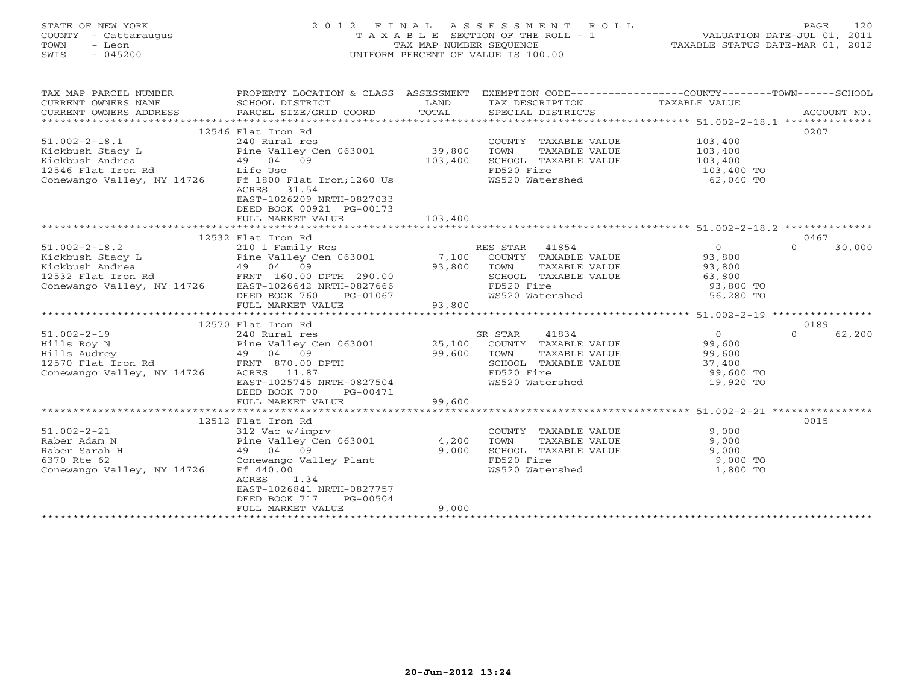# STATE OF NEW YORK 2 0 1 2 F I N A L A S S E S S M E N T R O L L PAGE 120 COUNTY - Cattaraugus T A X A B L E SECTION OF THE ROLL - 1 VALUATION DATE-JUL 01, 2011 TOWN - Leon TAX MAP NUMBER SEQUENCE TAXABLE STATUS DATE-MAR 01, 2012 SWIS - 045200 UNIFORM PERCENT OF VALUE IS 100.00UNIFORM PERCENT OF VALUE IS 100.00

| TAX DESCRIPTION TAXABLE VALUE SPECIAL DISTRICTS<br>TOTAL<br>CURRENT OWNERS ADDRESS<br>PARCEL SIZE/GRID COORD                                                                                        | ACCOUNT NO. |
|-----------------------------------------------------------------------------------------------------------------------------------------------------------------------------------------------------|-------------|
|                                                                                                                                                                                                     |             |
| 12546 Flat Iron Rd<br>0207                                                                                                                                                                          |             |
| $51.002 - 2 - 18.1$<br>240 Rural res<br>103,400<br>COUNTY TAXABLE VALUE                                                                                                                             |             |
| Pine Valley Cen 063001<br>39,800<br>Kickbush Stacy L<br>TOWN<br>TAXABLE VALUE<br>103,400                                                                                                            |             |
| Kickbush Andrea<br>49 04 09<br>103,400<br>SCHOOL TAXABLE VALUE<br>103,400                                                                                                                           |             |
| 12546 Flat Iron Rd Life Use<br>FD520 Fire<br>103,400 TO                                                                                                                                             |             |
| Conewango Valley, NY 14726<br>Ff 1800 Flat Iron; 1260 Us<br>WS520 Watershed<br>62,040 TO<br>31.54<br>ACRES<br>EAST-1026209 NRTH-0827033<br>DEED BOOK 00921 PG-00173<br>103,400<br>FULL MARKET VALUE |             |
|                                                                                                                                                                                                     |             |
|                                                                                                                                                                                                     |             |
| 12532 Flat Iron Rd<br>0467<br>$\Omega$<br>$51.002 - 2 - 18.2$<br>RES STAR 41854<br>$\circ$<br>210 1 Family Res                                                                                      | 30,000      |
| Pine Valley Cen 063001 7,100                                                                                                                                                                        |             |
| Kickbush Stacy L<br>COUNTY TAXABLE VALUE<br>93,800                                                                                                                                                  |             |
| Xickbush Andrea<br>12532 Flat Iron Rd<br>Conewango Valley, NY 14726 EAST-1026642 NRTH-0827666<br>93,800<br>TOWN<br>TAXABLE VALUE<br>93,800                                                          |             |
| SCHOOL TAXABLE VALUE<br>63,800                                                                                                                                                                      |             |
| FD520 Fire<br>93,800 TO                                                                                                                                                                             |             |
| WS520 Watershed<br>56,280 TO<br>DEED BOOK 760<br>PG-01067                                                                                                                                           |             |
| 93,800<br>FULL MARKET VALUE                                                                                                                                                                         |             |
|                                                                                                                                                                                                     |             |
| 0189<br>12570 Flat Iron Rd                                                                                                                                                                          |             |
| $51.002 - 2 - 19$<br>SR STAR<br>41834<br>$\Omega$<br>240 Rural res<br>$\overline{0}$                                                                                                                | 62,200      |
| Pine Valley Cen 063001 25,100<br>Hills Roy N<br>COUNTY TAXABLE VALUE<br>99,600<br>Pine Valley (<br>49    04    09                                                                                   |             |
| 99,600<br>Hills Audrey<br>TOWN<br>TAXABLE VALUE<br>99,600                                                                                                                                           |             |
| FRNT 870.00 DPTH<br>37,400<br>12570 Flat Iron Rd<br>SCHOOL TAXABLE VALUE                                                                                                                            |             |
| Conewango Valley, NY 14726<br>ACRES 11.87<br>FD520 Fire<br>99,600 TO                                                                                                                                |             |
| EAST-1025745 NRTH-0827504<br>WS520 Watershed<br>19,920 TO                                                                                                                                           |             |
| DEED BOOK 700<br>PG-00471                                                                                                                                                                           |             |
| 99,600<br>FULL MARKET VALUE                                                                                                                                                                         |             |
|                                                                                                                                                                                                     |             |
| 0015<br>12512 Flat Iron Rd                                                                                                                                                                          |             |
| $51.002 - 2 - 21$<br>9,000<br>312 Vac w/imprv<br>COUNTY TAXABLE VALUE                                                                                                                               |             |
| 4,200<br>Raber Adam N<br>Pine Valley Cen 063001<br>TOWN<br>TAXABLE VALUE<br>9,000                                                                                                                   |             |
| 49 04 09<br>9,000<br>SCHOOL TAXABLE VALUE<br>9,000<br>Raber Sarah H                                                                                                                                 |             |
| 6370 Rte 62<br>Conewango Valley Plant<br>FD520 Fire<br>9,000 TO                                                                                                                                     |             |
| FD520 Fire<br>WS520 Watershed<br>Conewango Valley, NY 14726<br>Ff 440.00<br>1,800 TO                                                                                                                |             |
| 1.34<br>ACRES                                                                                                                                                                                       |             |
| EAST-1026841 NRTH-0827757                                                                                                                                                                           |             |
| DEED BOOK 717<br>PG-00504                                                                                                                                                                           |             |
| 9,000<br>FULL MARKET VALUE                                                                                                                                                                          |             |
|                                                                                                                                                                                                     |             |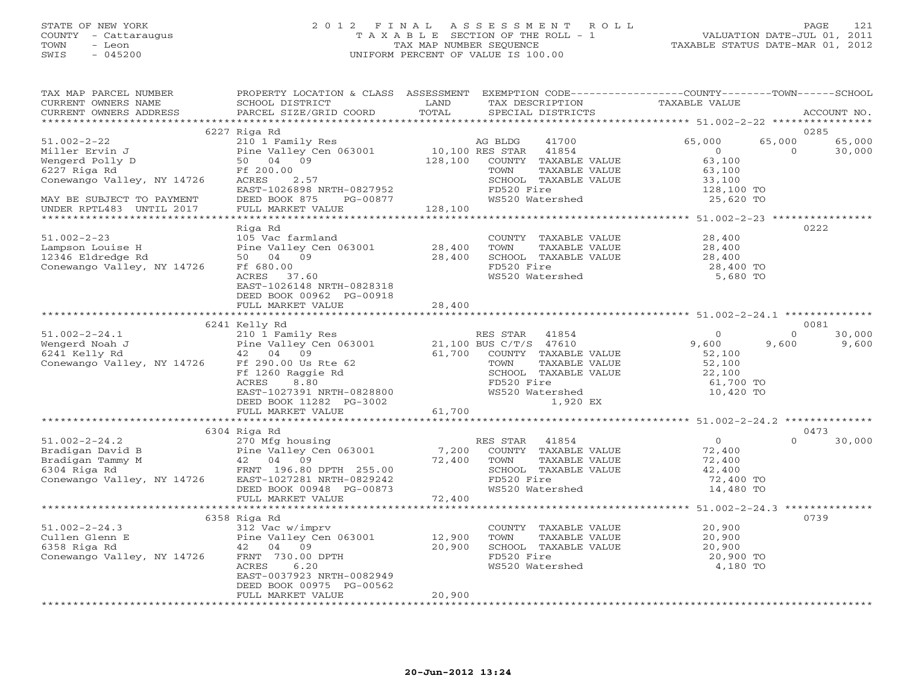# STATE OF NEW YORK 2 0 1 2 F I N A L A S S E S S M E N T R O L L PAGE 121 COUNTY - Cattaraugus T A X A B L E SECTION OF THE ROLL - 1 VALUATION DATE-JUL 01, 2011 TOWN - Leon TAX MAP NUMBER SEQUENCE TAXABLE STATUS DATE-MAR 01, 2012 SWIS - 045200 UNIFORM PERCENT OF VALUE IS 100.00UNIFORM PERCENT OF VALUE IS 100.00

| TAX MAP PARCEL NUMBER<br>CURRENT OWNERS NAME    | PROPERTY LOCATION & CLASS ASSESSMENT<br>SCHOOL DISTRICT                                                                             | LAND    | TAX DESCRIPTION                                  | EXEMPTION CODE-----------------COUNTY-------TOWN------SCHOOL<br>TAXABLE VALUE |                    |
|-------------------------------------------------|-------------------------------------------------------------------------------------------------------------------------------------|---------|--------------------------------------------------|-------------------------------------------------------------------------------|--------------------|
| CURRENT OWNERS ADDRESS<br>********************* | PARCEL SIZE/GRID COORD<br>***************************                                                                               | TOTAL   | SPECIAL DISTRICTS                                |                                                                               | ACCOUNT NO.        |
|                                                 |                                                                                                                                     |         |                                                  |                                                                               | 0285               |
| $51.002 - 2 - 22$                               | 6227 Riga Rd<br>210 1 Family Res                                                                                                    |         | 41700                                            | 65,000<br>65,000                                                              |                    |
|                                                 |                                                                                                                                     |         | AG BLDG                                          | $\circ$                                                                       | 65,000<br>$\Omega$ |
| Miller Ervin J<br>Wengerd Polly D               | Pine Valley Cen 063001<br>50 04 09                                                                                                  | 128,100 | 10,100 RES STAR<br>41854<br>COUNTY TAXABLE VALUE | 63,100                                                                        | 30,000             |
| 6227 Riga Rd                                    | Ff 200.00                                                                                                                           |         | TAXABLE VALUE<br>TOWN                            | 63,100                                                                        |                    |
| Conewango Valley, NY 14726                      | ACRES<br>2.57                                                                                                                       |         | SCHOOL TAXABLE VALUE                             | 33,100                                                                        |                    |
|                                                 | EAST-1026898 NRTH-0827952                                                                                                           |         | FD520 Fire                                       | 128,100 TO                                                                    |                    |
| MAY BE SUBJECT TO PAYMENT                       | DEED BOOK 875<br>PG-00877                                                                                                           |         | WS520 Watershed                                  | 25,620 TO                                                                     |                    |
| UNDER RPTL483 UNTIL 2017                        | FULL MARKET VALUE                                                                                                                   | 128,100 |                                                  |                                                                               |                    |
| **************************                      | ***********************                                                                                                             |         |                                                  |                                                                               |                    |
|                                                 | Riga Rd                                                                                                                             |         |                                                  |                                                                               | 0222               |
| $51.002 - 2 - 23$                               | 105 Vac farmland                                                                                                                    |         | COUNTY TAXABLE VALUE                             | 28,400                                                                        |                    |
| Lampson Louise H                                | Pine Valley Cen 063001                                                                                                              | 28,400  | TOWN<br>TAXABLE VALUE                            | 28,400                                                                        |                    |
| 12346 Eldredge Rd                               | 50 04<br>09                                                                                                                         | 28,400  | SCHOOL TAXABLE VALUE                             | 28,400                                                                        |                    |
| Conewango Valley, NY 14726                      | Ff 680.00                                                                                                                           |         | FD520 Fire                                       | 28,400 TO                                                                     |                    |
|                                                 | ACRES 37.60                                                                                                                         |         | WS520 Watershed                                  | 5,680 TO                                                                      |                    |
|                                                 | EAST-1026148 NRTH-0828318                                                                                                           |         |                                                  |                                                                               |                    |
|                                                 | DEED BOOK 00962 PG-00918                                                                                                            |         |                                                  |                                                                               |                    |
|                                                 | FULL MARKET VALUE                                                                                                                   | 28,400  |                                                  |                                                                               |                    |
|                                                 |                                                                                                                                     |         |                                                  |                                                                               |                    |
|                                                 | 6241 Kelly Rd                                                                                                                       |         |                                                  |                                                                               | 0081               |
| $51.002 - 2 - 24.1$                             | 210 1 Family Res                                                                                                                    |         | RES STAR<br>41854                                | $\circ$                                                                       | $\Omega$<br>30,000 |
| Wengerd Noah J                                  | Pine Valley Cen 063001                                                                                                              |         | 21,100 BUS C/T/S 47610                           | 9,600<br>9,600                                                                | 9,600              |
| 6241 Kelly Rd                                   | 09<br>42 04                                                                                                                         | 61,700  | COUNTY TAXABLE VALUE                             | 52,100                                                                        |                    |
| Conewango Valley, NY 14726                      | Ff 290.00 Us Rte 62                                                                                                                 |         | TOWN<br>TAXABLE VALUE                            | 52,100                                                                        |                    |
|                                                 | Ff 1260 Raggie Rd                                                                                                                   |         | SCHOOL TAXABLE VALUE                             | 22,100                                                                        |                    |
|                                                 | ACRES<br>8.80                                                                                                                       |         | FD520 Fire                                       | 61,700 TO                                                                     |                    |
|                                                 | EAST-1027391 NRTH-0828800                                                                                                           |         | WS520 Watershed                                  | 10,420 TO                                                                     |                    |
|                                                 | DEED BOOK 11282 PG-3002                                                                                                             |         | 1,920 EX                                         |                                                                               |                    |
|                                                 | FULL MARKET VALUE                                                                                                                   | 61,700  |                                                  |                                                                               |                    |
|                                                 |                                                                                                                                     |         |                                                  |                                                                               |                    |
|                                                 | 6304 Riga Rd                                                                                                                        |         |                                                  |                                                                               | 0473               |
| $51.002 - 2 - 24.2$                             | 270 Mfg housing                                                                                                                     |         | RES STAR 41854                                   | $\circ$                                                                       | $\Omega$<br>30,000 |
| Bradigan David B                                | Pine Valley Cen 063001                                                                                                              | 7,200   | COUNTY TAXABLE VALUE                             | 72,400                                                                        |                    |
| Bradigan Tammy M                                | 42 04 09                                                                                                                            | 72,400  | TOWN<br>TAXABLE VALUE                            | 72,400                                                                        |                    |
| 6304 Riga Rd                                    | FRNT 196.80 DPTH 255.00                                                                                                             |         | SCHOOL TAXABLE VALUE                             | 42,400                                                                        |                    |
| Conewango Valley, NY 14726                      | EAST-1027281 NRTH-0829242                                                                                                           |         | FD520 Fire                                       | 72,400 TO                                                                     |                    |
|                                                 | DEED BOOK 00948 PG-00873                                                                                                            |         | WS520 Watershed                                  | 14,480 TO                                                                     |                    |
|                                                 | FULL MARKET VALUE<br>*********************                                                                                          | 72,400  |                                                  |                                                                               |                    |
|                                                 |                                                                                                                                     |         |                                                  |                                                                               |                    |
|                                                 | 6358 Riga Rd                                                                                                                        |         |                                                  |                                                                               | 0739               |
| $51.002 - 2 - 24.3$                             | 312 Vac w/imprv                                                                                                                     |         | COUNTY TAXABLE VALUE                             | 20,900                                                                        |                    |
| Cullen Glenn E                                  | $\begin{array}{cccc}\n & \text{} & \text{} & \text{} & \text{} \\ \text{Plane Valley Cen} & 063001 \\  & 42 & 04 & 09\n\end{array}$ | 12,900  | TOWN<br>TAXABLE VALUE                            | 20,900                                                                        |                    |
| 6358 Riga Rd                                    |                                                                                                                                     | 20,900  | SCHOOL TAXABLE VALUE<br>FD520 Fire               | 20,900                                                                        |                    |
| Conewango Valley, NY 14726                      | FRNT 730.00 DPTH<br>ACRES<br>6.20                                                                                                   |         |                                                  | 20,900 TO                                                                     |                    |
|                                                 | EAST-0037923 NRTH-0082949                                                                                                           |         | WS520 Watershed                                  | 4,180 TO                                                                      |                    |
|                                                 | DEED BOOK 00975 PG-00562                                                                                                            |         |                                                  |                                                                               |                    |
|                                                 | FULL MARKET VALUE                                                                                                                   | 20,900  |                                                  |                                                                               |                    |
|                                                 |                                                                                                                                     |         |                                                  |                                                                               |                    |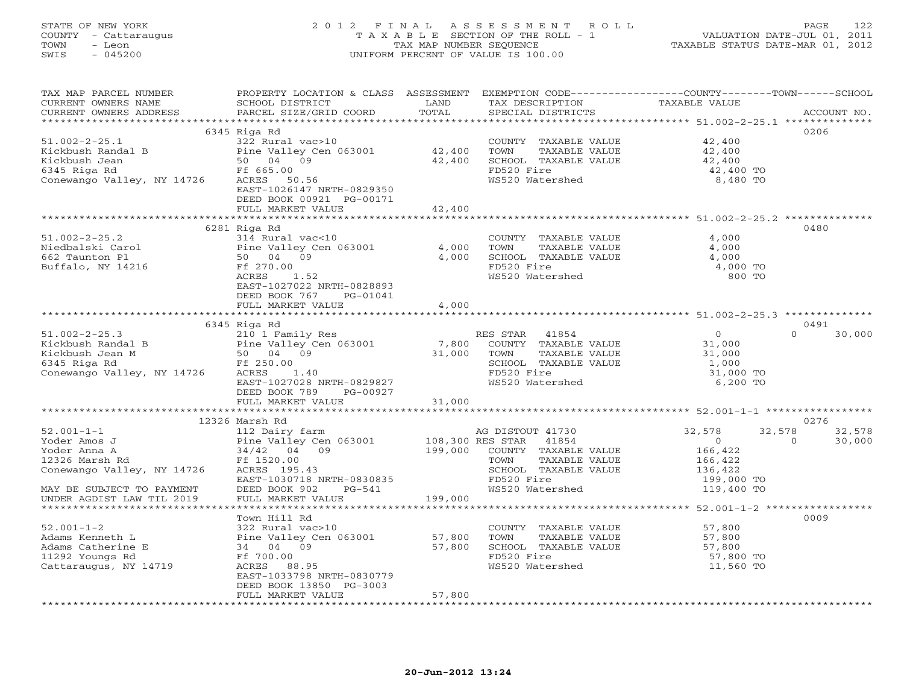## STATE OF NEW YORK 2 0 1 2 F I N A L A S S E S S M E N T R O L L PAGE 122 COUNTY - Cattaraugus T A X A B L E SECTION OF THE ROLL - 1 VALUATION DATE-JUL 01, 2011 TOWN - Leon TAX MAP NUMBER SEQUENCE TAXABLE STATUS DATE-MAR 01, 2012 SWIS - 045200 UNIFORM PERCENT OF VALUE IS 100.00UNIFORM PERCENT OF VALUE IS 100.00

| TAX MAP PARCEL NUMBER<br>CURRENT OWNERS NAME<br>CURRENT OWNERS ADDRESS                                                                                                    | PROPERTY LOCATION & CLASS ASSESSMENT<br>SCHOOL DISTRICT<br>PARCEL SIZE/GRID COORD | LAND<br>TOTAL | TAX DESCRIPTION TAXABLE VALUE SPECIAL DISTRICTS<br>SPECIAL DISTRICTS | EXEMPTION CODE-----------------COUNTY-------TOWN------SCHOOL | ACCOUNT NO.        |
|---------------------------------------------------------------------------------------------------------------------------------------------------------------------------|-----------------------------------------------------------------------------------|---------------|----------------------------------------------------------------------|--------------------------------------------------------------|--------------------|
|                                                                                                                                                                           |                                                                                   |               |                                                                      |                                                              |                    |
|                                                                                                                                                                           | 6345 Riga Rd                                                                      |               |                                                                      |                                                              | 0206               |
| $51.002 - 2 - 25.1$                                                                                                                                                       | 322 Rural vac>10                                                                  |               | COUNTY TAXABLE VALUE                                                 | 42,400                                                       |                    |
| Kickbush Randal B                                                                                                                                                         | Pine Valley Cen 063001 42,400                                                     |               | TOWN<br>TAXABLE VALUE                                                | 42,400                                                       |                    |
| Kickbush Jean                                                                                                                                                             | 50 04 09                                                                          | 42,400        | SCHOOL TAXABLE VALUE                                                 | 42,400                                                       |                    |
|                                                                                                                                                                           |                                                                                   |               | FD520 Fire                                                           | 42,400 TO                                                    |                    |
|                                                                                                                                                                           |                                                                                   |               | WS520 Watershed                                                      | 8,480 TO                                                     |                    |
|                                                                                                                                                                           | EAST-1026147 NRTH-0829350                                                         |               |                                                                      |                                                              |                    |
|                                                                                                                                                                           | DEED BOOK 00921 PG-00171                                                          |               |                                                                      |                                                              |                    |
|                                                                                                                                                                           | FULL MARKET VALUE                                                                 | 42,400        |                                                                      |                                                              |                    |
|                                                                                                                                                                           |                                                                                   |               |                                                                      |                                                              |                    |
|                                                                                                                                                                           | 6281 Riga Rd                                                                      |               |                                                                      |                                                              | 0480               |
| $51.002 - 2 - 25.2$                                                                                                                                                       | 314 Rural vac<10                                                                  |               | COUNTY TAXABLE VALUE                                                 | 4,000                                                        |                    |
| Niedbalski Carol                                                                                                                                                          |                                                                                   |               | TOWN<br>TAXABLE VALUE                                                | 4,000                                                        |                    |
| 662 Taunton Pl                                                                                                                                                            | Pine Valley Cen 063001 4,000<br>50 04 09 4,000                                    |               | SCHOOL TAXABLE VALUE                                                 | 4,000                                                        |                    |
| Buffalo, NY 14216                                                                                                                                                         | Ff 270.00                                                                         |               |                                                                      | 4,000 TO                                                     |                    |
|                                                                                                                                                                           | ACRES<br>1.52                                                                     |               | FD520 Fire<br>WS520 Watershed                                        | 800 TO                                                       |                    |
|                                                                                                                                                                           | EAST-1027022 NRTH-0828893                                                         |               |                                                                      |                                                              |                    |
|                                                                                                                                                                           | DEED BOOK 767<br>PG-01041                                                         |               |                                                                      |                                                              |                    |
|                                                                                                                                                                           | FULL MARKET VALUE                                                                 | 4,000         |                                                                      |                                                              |                    |
|                                                                                                                                                                           |                                                                                   |               |                                                                      |                                                              |                    |
|                                                                                                                                                                           | 6345 Riga Rd                                                                      |               |                                                                      |                                                              | 0491               |
| $51.002 - 2 - 25.3$                                                                                                                                                       |                                                                                   |               | RES STAR 41854                                                       | $\overline{0}$                                               | $\Omega$<br>30,000 |
|                                                                                                                                                                           |                                                                                   |               |                                                                      |                                                              |                    |
|                                                                                                                                                                           |                                                                                   |               | 7,800 COUNTY TAXABLE VALUE<br>31,000 TOWN TAXABLE VALUE              | 31,000<br>31,000                                             |                    |
|                                                                                                                                                                           |                                                                                   |               | SCHOOL TAXABLE VALUE                                                 | 1,000                                                        |                    |
| 51.002-2-25.3 210 1 Family Res<br>Kickbush Randal B Pine Valley Cen 063001<br>Kickbush Jean M 50 04 09<br>6345 Riga Rd Ff 250.00<br>Conewango Valley, NY 14726 ACRES 1.40 |                                                                                   |               | FD520 Fire                                                           | 31,000 TO                                                    |                    |
|                                                                                                                                                                           | EAST-1027028 NRTH-0829827                                                         |               | WS520 Watershed                                                      | 6,200 TO                                                     |                    |
|                                                                                                                                                                           | DEED BOOK 789<br>PG-00927                                                         |               |                                                                      |                                                              |                    |
|                                                                                                                                                                           | FULL MARKET VALUE                                                                 | 31,000        |                                                                      |                                                              |                    |
|                                                                                                                                                                           |                                                                                   |               |                                                                      |                                                              |                    |
|                                                                                                                                                                           | 12326 Marsh Rd                                                                    |               |                                                                      |                                                              | 0276               |
| $52.001 - 1 - 1$                                                                                                                                                          | 112 Dairy farm                                                                    |               | AG DISTOUT 41730<br>RES STAR - 41854                                 | 32,578<br>32,578                                             | 32,578             |
| Yoder Amos J                                                                                                                                                              | Pine Valley Cen 063001                                                            |               | 108,300 RES STAR 41854                                               | $\overline{0}$                                               | 30,000<br>$\Omega$ |
| Yoder Anna A                                                                                                                                                              |                                                                                   |               | 199,000 COUNTY TAXABLE VALUE                                         | 166,422                                                      |                    |
| 12326 Marsh Rd                                                                                                                                                            |                                                                                   |               | TOWN<br>TAXABLE VALUE                                                | 166,422                                                      |                    |
| Conewango Valley, NY 14726                                                                                                                                                | ACRES 195.43                                                                      |               | SCHOOL TAXABLE VALUE                                                 | 136,422<br>199,000 TO                                        |                    |
|                                                                                                                                                                           | EAST-1030718 NRTH-0830835                                                         |               | FD520 Fire                                                           |                                                              |                    |
| MAY BE SUBJECT TO PAYMENT                                                                                                                                                 | DEED BOOK 902<br>$PG-541$                                                         |               | WS520 Watershed                                                      | 119,400 TO                                                   |                    |
| UNDER AGDIST LAW TIL 2019                                                                                                                                                 | FULL MARKET VALUE                                                                 | 199,000       |                                                                      |                                                              |                    |
|                                                                                                                                                                           |                                                                                   |               |                                                                      |                                                              |                    |
|                                                                                                                                                                           | Town Hill Rd                                                                      |               |                                                                      |                                                              | 0009               |
| $52.001 - 1 - 2$                                                                                                                                                          | 322 Rural vac>10                                                                  |               | COUNTY TAXABLE VALUE                                                 | 57,800<br>57,800                                             |                    |
| Adams Kenneth L                                                                                                                                                           | Pine Valley Cen 063001                                                            | 57,800        | TAXABLE VALUE<br>TOWN                                                |                                                              |                    |
| Adams Catherine E                                                                                                                                                         | 34 04 09                                                                          | 57,800        | SCHOOL TAXABLE VALUE                                                 | 57,800                                                       |                    |
| 11292 Youngs Rd                                                                                                                                                           | Ff 700.00                                                                         |               | FD520 Fire                                                           | 57,800 TO                                                    |                    |
| Cattaraugus, NY 14719                                                                                                                                                     | ACRES 88.95                                                                       |               | WS520 Watershed                                                      | 11,560 TO                                                    |                    |
|                                                                                                                                                                           | EAST-1033798 NRTH-0830779                                                         |               |                                                                      |                                                              |                    |
|                                                                                                                                                                           | DEED BOOK 13850 PG-3003<br>FULL MARKET VALUE                                      | 57,800        |                                                                      |                                                              |                    |
|                                                                                                                                                                           |                                                                                   |               |                                                                      |                                                              |                    |
|                                                                                                                                                                           |                                                                                   |               |                                                                      |                                                              |                    |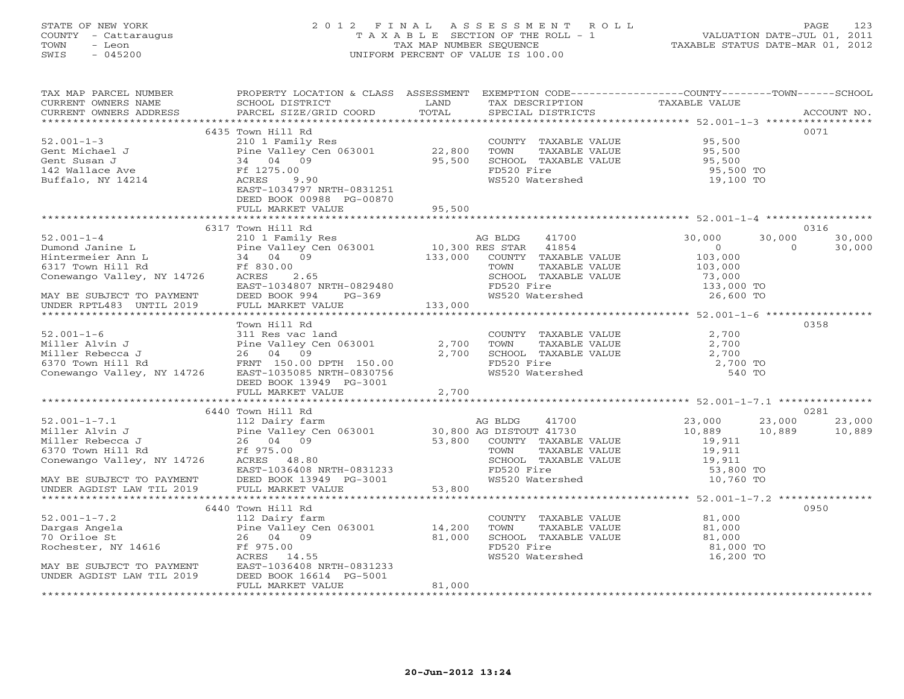# STATE OF NEW YORK 2 0 1 2 F I N A L A S S E S S M E N T R O L L PAGE 123 COUNTY - Cattaraugus T A X A B L E SECTION OF THE ROLL - 1 VALUATION DATE-JUL 01, 2011 TOWN - Leon TAX MAP NUMBER SEQUENCE TAXABLE STATUS DATE-MAR 01, 2012 SWIS - 045200 UNIFORM PERCENT OF VALUE IS 100.00UNIFORM PERCENT OF VALUE IS 100.00

| TAX MAP PARCEL NUMBER<br>CURRENT OWNERS NAME<br>CURRENT OWNERS ADDRESS                                                                                                | PROPERTY LOCATION & CLASS ASSESSMENT<br>SCHOOL DISTRICT<br>PARCEL SIZE/GRID COORD                                                                                                                                                                                         | LAND<br>TOTAL           | TAX DESCRIPTION<br>SPECIAL DISTRICTS                                                                                                                         | EXEMPTION CODE-----------------COUNTY-------TOWN------SCHOOL<br>TAXABLE VALUE                                        | ACCOUNT NO.              |
|-----------------------------------------------------------------------------------------------------------------------------------------------------------------------|---------------------------------------------------------------------------------------------------------------------------------------------------------------------------------------------------------------------------------------------------------------------------|-------------------------|--------------------------------------------------------------------------------------------------------------------------------------------------------------|----------------------------------------------------------------------------------------------------------------------|--------------------------|
|                                                                                                                                                                       |                                                                                                                                                                                                                                                                           |                         |                                                                                                                                                              |                                                                                                                      |                          |
| $52.001 - 1 - 3$<br>Gent Michael J<br>Buffalo, NY 14214                                                                                                               | 6435 Town Hill Rd<br>210 1 Family Res<br>Pine Valley Cen 063001 22,800<br>ACRES<br>9.90<br>EAST-1034797 NRTH-0831251<br>DEED BOOK 00988 PG-00870                                                                                                                          | 95,500                  | COUNTY TAXABLE VALUE<br>TOWN<br>TAXABLE VALUE<br>SCHOOL TAXABLE VALUE<br>FD520 Fire<br>WS520 Watershed                                                       | 95,500<br>95,500<br>95,500<br>95,500 TO<br>19,100 TO                                                                 | 0071                     |
|                                                                                                                                                                       | FULL MARKET VALUE                                                                                                                                                                                                                                                         | 95,500                  |                                                                                                                                                              |                                                                                                                      |                          |
|                                                                                                                                                                       |                                                                                                                                                                                                                                                                           |                         |                                                                                                                                                              |                                                                                                                      |                          |
| $52.001 - 1 - 4$<br>Dumond Janine L<br>Hintermeier Ann L<br>6317 Town Hill Rd<br>Conewango Valley, NY 14726<br>MAY BE SUBJECT TO PAYMENT                              | 6317 Town Hill Rd<br>AG BLDG 41700<br>Pine Valley Cen 063001 10,300 RES STAR 41854<br>34 04 09 133,000 COUNTY TAXARLE<br>FC 830.00<br>Pine Valley O<br>34 04 09<br>Ff 830.00<br>ACRES 2.65<br>EAST-1034807 NRTH-0829480<br>DEED BOOK 994<br>$PG-369$<br>FULL MARKET VALUE | 133,000                 | COUNTY TAXABLE VALUE<br>TAXABLE VALUE<br>SCHOOL TAXABLE VALUE<br>FD520 Fire<br>WS520 Watershed                                                               | 30,000<br>30,000<br>$\overline{0}$<br>$\Omega$<br>103,000<br>103,000<br>73,000<br>טטט, כי<br>133,000 TO<br>26,600 TO | 0316<br>30,000<br>30,000 |
| UNDER RPTL483 UNTIL 2019                                                                                                                                              |                                                                                                                                                                                                                                                                           |                         |                                                                                                                                                              |                                                                                                                      |                          |
| $52.001 - 1 - 6$<br>Miller Alvin J<br>Miller Rebecca J<br>6370 Town Hill Rd<br>6370 Town Hill Rd<br>74726 EAST-1035085 NRTH-0830756                                   | Town Hill Rd<br>311 Res vac land<br>DEED BOOK 13949 PG-3001<br>FULL MARKET VALUE                                                                                                                                                                                          | 2,700<br>2,700<br>2,700 | COUNTY TAXABLE VALUE<br>TOWN<br>TAXABLE VALUE<br>SCHOOL TAXABLE VALUE<br>FD520 Fire<br>WS520 Watershed                                                       | 2,700<br>2,700<br>2,700<br>2,700 TO<br>540 TO                                                                        | 0358                     |
|                                                                                                                                                                       |                                                                                                                                                                                                                                                                           |                         |                                                                                                                                                              |                                                                                                                      |                          |
| $52.001 - 1 - 7.1$<br>Miller Alvin J<br>Miller Rebecca J<br>6370 Town Hill Rd<br>Conewango Valley, NY 14726<br>MAY BE SUBJECT TO PAYMENT<br>UNDER AGDIST LAW TIL 2019 | 6440 Town Hill Rd<br>112 Dairy farm<br>Pine Valley Cen 063001<br>26 04 09<br>Ff 975.00<br>ACRES 48.80<br>EAST-1036408 NRTH-0831233<br>DEED BOOK 13949 PG-3001                                                                                                             |                         | AG BLDG<br>41700<br>30,800 AG DISTOUT 41730<br>53,800 COUNTY TAXABLE VALUE<br>TOWN<br>TAXABLE VALUE<br>SCHOOL TAXABLE VALUE<br>FD520 Fire<br>WS520 Watershed | 23,000<br>10,889<br>23,000<br>10,889<br>19,911<br>19,911<br>19,911<br>53,800 TO<br>10,760 TO                         | 0281<br>23,000<br>10,889 |
|                                                                                                                                                                       | FULL MARKET VALUE                                                                                                                                                                                                                                                         | 53,800                  |                                                                                                                                                              |                                                                                                                      |                          |
| $52.001 - 1 - 7.2$<br>Dargas Angela<br>70 Oriloe St<br>Rochester, NY 14616<br>MAY BE SUBJECT TO PAYMENT                                                               | 6440 Town Hill Rd<br>112 Dairy farm<br>Pine Valley Cen 063001<br>26 04 09<br>Ff 975.00<br>ACRES 14.55<br>EAST-1036408 NRTH-0831233                                                                                                                                        | 14,200<br>81,000        | COUNTY TAXABLE VALUE<br>TOWN<br>TAXABLE VALUE<br>SCHOOL TAXABLE VALUE<br>FD520 Fire<br>WS520 Watershed                                                       | 81,000<br>81,000<br>81,000<br>81,000 TO<br>16,200 TO                                                                 | 0950                     |
| UNDER AGDIST LAW TIL 2019                                                                                                                                             | DEED BOOK 16614 PG-5001<br>FULL MARKET VALUE                                                                                                                                                                                                                              | 81,000                  |                                                                                                                                                              |                                                                                                                      |                          |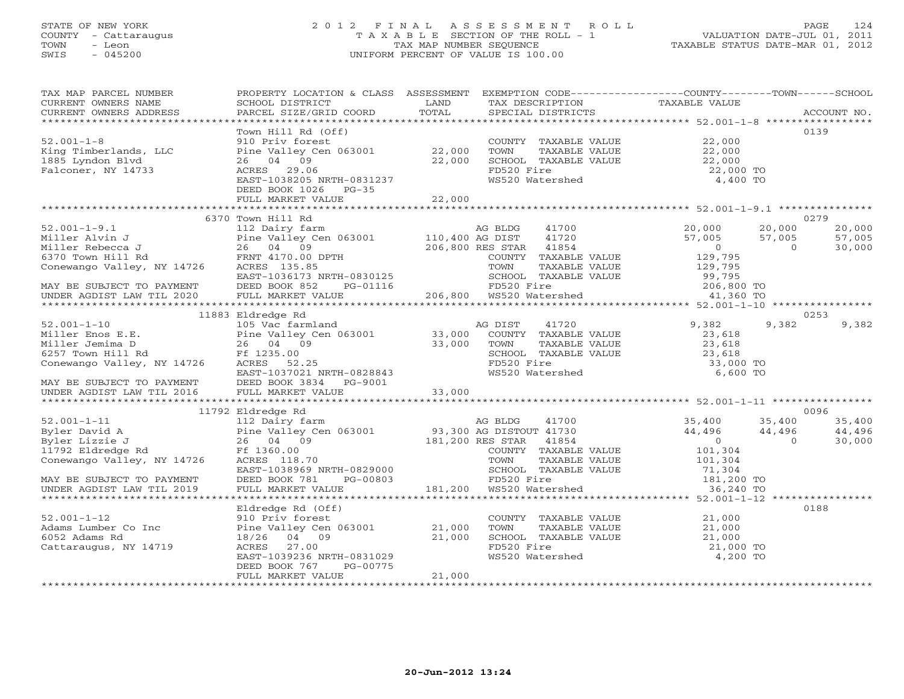## STATE OF NEW YORK 2 0 1 2 F I N A L A S S E S S M E N T R O L L PAGE 124 COUNTY - Cattaraugus T A X A B L E SECTION OF THE ROLL - 1 VALUATION DATE-JUL 01, 2011 TOWN - Leon TAX MAP NUMBER SEQUENCE TAXABLE STATUS DATE-MAR 01, 2012 SWIS - 045200 UNIFORM PERCENT OF VALUE IS 100.00UNIFORM PERCENT OF VALUE IS 100.00

| TAX MAP PARCEL NUMBER<br>CURRENT OWNERS NAME                                                                                                                                                                                                                                                                                                                          | PROPERTY LOCATION & CLASS ASSESSMENT EXEMPTION CODE---------------COUNTY-------TOWN-----SCHOOL<br><b>Example 12 The LAND</b><br>SCHOOL DISTRICT                                                                                                     |         | TAX DESCRIPTION TAXABLE VALUE SPECIAL DISTRICTS                                                                                                                                    |                                                                                    |                            |
|-----------------------------------------------------------------------------------------------------------------------------------------------------------------------------------------------------------------------------------------------------------------------------------------------------------------------------------------------------------------------|-----------------------------------------------------------------------------------------------------------------------------------------------------------------------------------------------------------------------------------------------------|---------|------------------------------------------------------------------------------------------------------------------------------------------------------------------------------------|------------------------------------------------------------------------------------|----------------------------|
|                                                                                                                                                                                                                                                                                                                                                                       |                                                                                                                                                                                                                                                     |         |                                                                                                                                                                                    |                                                                                    |                            |
| $52.001 - 1 - 8$<br>King Timberlands, LLC<br>1885 Lyndon Blvd<br>Falconer, NY 14733                                                                                                                                                                                                                                                                                   | Town Hill Rd (Off)<br>10 Priv forest<br>910 Priv forest<br>Pine Valley Cen 063001 22,000<br>26 04 09<br>ACRES 29.06<br>EAST-1038205 NRTH-0831237<br>DEED BOOK 1026 PG-35                                                                            | 22,000  | COUNTY TAXABLE VALUE 22,000<br>FD520 Fire<br>WS520 Watershed                                                                                                                       | 22,000 TO<br>4,400 TO                                                              | 0139                       |
|                                                                                                                                                                                                                                                                                                                                                                       |                                                                                                                                                                                                                                                     |         |                                                                                                                                                                                    |                                                                                    |                            |
|                                                                                                                                                                                                                                                                                                                                                                       | 6370 Town Hill Rd                                                                                                                                                                                                                                   |         |                                                                                                                                                                                    |                                                                                    | 0279                       |
| 112 Dairy farm and the Miller Alvin J<br>Miller Rebecca J<br>112 Dairy farm and Research Miller Rebecca J<br>110,400 AG DIST<br>110,400 AG DIST<br>110,400 AG DIST<br>110,400 AG DIST<br>110,400 AG DIST<br>110,400 AG DIST<br>206,800 RES STAR<br><br>EAST-1036173 NRTH-<br>MAY BE SUBJECT TO PAYMENT DEED BOOK 852 F<br>UNDER AGDIST LAW TIL 2020 FULL MARKET VALUE | FRNT 4170.00 DPTH<br>ACRES 135.85<br>EAST-1036173 NRTH-0830125<br>DEED BOOK 852 PG-01116<br>FULL MARKET VALUE<br>PULL MARKET VALUE<br>PULL MARKET VALUE<br>PULL MARKET VALUE<br>PULL MARKET VALUE<br>PULL MARKET VALUE<br>PULL MARKET VALUE<br>PULL |         | 41700<br>41720<br>206,800 RES STAR 41854                                                                                                                                           | 20,000<br>20,000<br>57,005<br>57,005<br>57,005<br>0<br>129,795<br>$\overline{0}$   | 20,000<br>57,005<br>30,000 |
|                                                                                                                                                                                                                                                                                                                                                                       |                                                                                                                                                                                                                                                     |         |                                                                                                                                                                                    |                                                                                    |                            |
|                                                                                                                                                                                                                                                                                                                                                                       |                                                                                                                                                                                                                                                     |         |                                                                                                                                                                                    |                                                                                    |                            |
|                                                                                                                                                                                                                                                                                                                                                                       | 11883 Eldredge Rd                                                                                                                                                                                                                                   |         |                                                                                                                                                                                    |                                                                                    | 0253                       |
| 52.001-1-10<br>Miller Enos E.E. Pine Valley Cen 063001 33,000<br>Miller Jemima D 26 04 09 33,000<br>6257 Town Hill Rd Ff 1235.00<br>Conewango Valley, NY 14726 ACRES 52.25<br>EAST-1037021 NRTH-0828843                                                                                                                                                               | EAST-1037021 NRTH-0828843                                                                                                                                                                                                                           | AG DIST | 41720<br>COUNTY TAXABLE VALUE<br>COUNTY TAXABLE VALUE<br>TOWN TAXABLE VALUE<br>SCHOOL TAXABLE VALUE<br>23,618<br>33,000 TO<br>36,000 TO<br>200 TO<br>FD520 Fire<br>WS520 Watershed | 9,382<br>9,382<br>23,618<br>6,600 TO                                               | 9,382                      |
|                                                                                                                                                                                                                                                                                                                                                                       |                                                                                                                                                                                                                                                     |         |                                                                                                                                                                                    |                                                                                    |                            |
|                                                                                                                                                                                                                                                                                                                                                                       | 11792 Eldredge Rd                                                                                                                                                                                                                                   |         |                                                                                                                                                                                    |                                                                                    | 0096                       |
| 11/2 Example 2018 A<br>Byler David A<br>Byler David A<br>Byler Lizzie J<br>26 04 09<br>11792 Eldredge Rd<br>Conewango Valley, NY 14726<br>26 04 09<br>26 04 09<br>26 04 09<br>26 04 09<br>26 04 09<br>26 04 09<br>26 04 09<br>26 04 09<br>26 04 09<br>26 04 09                                                                                                        | EAST-1038969 NRTH-0829000<br>DEED BOOK 781 PG-00803                                                                                                                                                                                                 |         | TOWN TAXABLE VALUE<br>SCHOOL TAXABLE VALUE 71,304<br>181,200 TO                                                                                                                    | 35,400<br>35,400<br>44,496<br>44,496<br>$44,496$<br>0<br>$\overline{0}$<br>101,304 | 35,400<br>44,496<br>30,000 |
| MAY BE SUBJECT TO PAYMENT                                                                                                                                                                                                                                                                                                                                             | DEED BOOK 781 PG-00803                                                                                                                                                                                                                              |         |                                                                                                                                                                                    |                                                                                    |                            |
| UNDER AGDIST LAW TIL 2019                                                                                                                                                                                                                                                                                                                                             | FULL MARKET VALUE                                                                                                                                                                                                                                   |         | $181,200$ Watershed                                                                                                                                                                | 36,240 TO                                                                          |                            |
|                                                                                                                                                                                                                                                                                                                                                                       |                                                                                                                                                                                                                                                     |         |                                                                                                                                                                                    |                                                                                    |                            |
| Adams Lumber Co Inc<br>6052 Adams Rd<br>Cattaraucus Anti-Contrate<br>Cattaraugus, NY 14719                                                                                                                                                                                                                                                                            | Eldredge Rd (Off)<br>910 Priv forest<br>910 Priv torest<br>Pine Valley Cen 063001 21,000<br>18/26 04 09 21,000<br>21,000<br>ACRES 27.00<br>EAST-1039236 NRTH-0831029<br>DEED BOOK 767<br>PG-00775<br>FULL MARKET VALUE                              | 21,000  | COUNTY TAXABLE VALUE 21,000<br>FD520 Fire<br>WS520 Watershed                                                                                                                       | 21,000 TO<br>4,200 TO                                                              | 0188                       |
|                                                                                                                                                                                                                                                                                                                                                                       |                                                                                                                                                                                                                                                     |         |                                                                                                                                                                                    |                                                                                    |                            |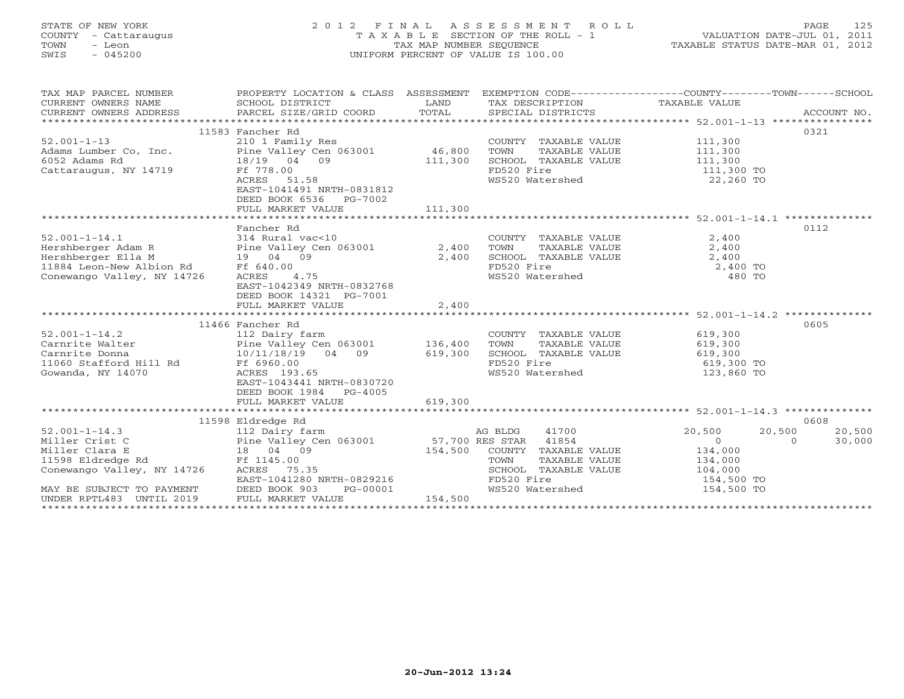# STATE OF NEW YORK 2 0 1 2 F I N A L A S S E S S M E N T R O L L PAGE 125 COUNTY - Cattaraugus T A X A B L E SECTION OF THE ROLL - 1 VALUATION DATE-JUL 01, 2011 TOWN - Leon TAX MAP NUMBER SEQUENCE TAXABLE STATUS DATE-MAR 01, 2012 SWIS - 045200 UNIFORM PERCENT OF VALUE IS 100.00UNIFORM PERCENT OF VALUE IS 100.00

| TAX MAP PARCEL NUMBER                                                                                                                                                                                                                                                                                     | PROPERTY LOCATION & CLASS ASSESSMENT EXEMPTION CODE----------------COUNTY-------TOWN------SCHOOL |         |                                                                                                                     |                    |
|-----------------------------------------------------------------------------------------------------------------------------------------------------------------------------------------------------------------------------------------------------------------------------------------------------------|--------------------------------------------------------------------------------------------------|---------|---------------------------------------------------------------------------------------------------------------------|--------------------|
|                                                                                                                                                                                                                                                                                                           |                                                                                                  |         |                                                                                                                     |                    |
|                                                                                                                                                                                                                                                                                                           |                                                                                                  |         |                                                                                                                     |                    |
|                                                                                                                                                                                                                                                                                                           |                                                                                                  |         |                                                                                                                     |                    |
|                                                                                                                                                                                                                                                                                                           | 11583 Fancher Rd                                                                                 |         |                                                                                                                     | 0321               |
| $52.001 - 1 - 13$                                                                                                                                                                                                                                                                                         | 210 1 Family Res                                                                                 |         |                                                                                                                     |                    |
|                                                                                                                                                                                                                                                                                                           |                                                                                                  |         |                                                                                                                     |                    |
|                                                                                                                                                                                                                                                                                                           |                                                                                                  |         |                                                                                                                     |                    |
|                                                                                                                                                                                                                                                                                                           |                                                                                                  |         | COUNTY TAXABLE VALUE 111,300<br>TOWN TAXABLE VALUE 111,300<br>SCHOOL TAXABLE VALUE 111,300<br>FD520 Fire 111,300 TO |                    |
|                                                                                                                                                                                                                                                                                                           |                                                                                                  |         |                                                                                                                     |                    |
|                                                                                                                                                                                                                                                                                                           | EAST-1041491 NRTH-0831812                                                                        |         |                                                                                                                     |                    |
|                                                                                                                                                                                                                                                                                                           | DEED BOOK 6536 PG-7002                                                                           |         |                                                                                                                     |                    |
|                                                                                                                                                                                                                                                                                                           | FULL MARKET VALUE                                                                                | 111,300 |                                                                                                                     |                    |
|                                                                                                                                                                                                                                                                                                           |                                                                                                  |         |                                                                                                                     |                    |
|                                                                                                                                                                                                                                                                                                           | Fancher Rd                                                                                       |         |                                                                                                                     | 0112               |
|                                                                                                                                                                                                                                                                                                           |                                                                                                  |         |                                                                                                                     |                    |
|                                                                                                                                                                                                                                                                                                           |                                                                                                  |         |                                                                                                                     |                    |
|                                                                                                                                                                                                                                                                                                           |                                                                                                  |         |                                                                                                                     |                    |
|                                                                                                                                                                                                                                                                                                           |                                                                                                  |         |                                                                                                                     |                    |
| 314 Rural vac<10<br>Hershberger Adam R<br>Hershberger Ella M<br>19 04 09<br>11884 Leon-New Albion Rd<br>Conewango Valley, NY 14726<br>Conewango Valley, NY 14726<br>Conewango Valley, NY 14726<br>2,400<br>2,400<br>Conewango Valley, NY 14726<br>2,                                                      |                                                                                                  |         | 2,400 SCHOOL TAXABLE VALUE 2,400<br>FD520 Fire 2,400 TO<br>WS520 Watershed 480 TO                                   |                    |
|                                                                                                                                                                                                                                                                                                           | EAST-1042349 NRTH-0832768                                                                        |         |                                                                                                                     |                    |
|                                                                                                                                                                                                                                                                                                           | DEED BOOK 14321 PG-7001                                                                          |         |                                                                                                                     |                    |
|                                                                                                                                                                                                                                                                                                           | FULL MARKET VALUE 2,400                                                                          |         |                                                                                                                     |                    |
|                                                                                                                                                                                                                                                                                                           |                                                                                                  |         |                                                                                                                     |                    |
| 52.001-1-14.2<br>CoUNTY TAXABLE VALUE<br>Carnrite Walter<br>Carnrite Donna<br>Carnrite Donna<br>Carnrite Donna<br>Carnrite Donna<br>CoUNTY TAXABLE VALUE<br>COUNTY TAXABLE VALUE<br>COUNTY TAXABLE VALUE<br>COUNTY TAXABLE VALUE<br>COUNTY TAXABLE V                                                      |                                                                                                  |         |                                                                                                                     | 0605               |
|                                                                                                                                                                                                                                                                                                           |                                                                                                  |         |                                                                                                                     |                    |
|                                                                                                                                                                                                                                                                                                           |                                                                                                  |         |                                                                                                                     |                    |
|                                                                                                                                                                                                                                                                                                           |                                                                                                  |         |                                                                                                                     |                    |
|                                                                                                                                                                                                                                                                                                           |                                                                                                  |         |                                                                                                                     |                    |
|                                                                                                                                                                                                                                                                                                           |                                                                                                  |         |                                                                                                                     |                    |
|                                                                                                                                                                                                                                                                                                           | EAST-1043441 NRTH-0830720                                                                        |         |                                                                                                                     |                    |
|                                                                                                                                                                                                                                                                                                           | DEED BOOK 1984 PG-4005                                                                           |         |                                                                                                                     |                    |
|                                                                                                                                                                                                                                                                                                           | FULL MARKET VALUE                                                                                | 619,300 |                                                                                                                     |                    |
|                                                                                                                                                                                                                                                                                                           |                                                                                                  |         |                                                                                                                     |                    |
|                                                                                                                                                                                                                                                                                                           | 11598 Eldredge Rd                                                                                |         |                                                                                                                     | 0608               |
|                                                                                                                                                                                                                                                                                                           |                                                                                                  |         |                                                                                                                     | 20,500<br>20,500   |
|                                                                                                                                                                                                                                                                                                           |                                                                                                  |         |                                                                                                                     | $\Omega$<br>30,000 |
|                                                                                                                                                                                                                                                                                                           |                                                                                                  |         |                                                                                                                     |                    |
|                                                                                                                                                                                                                                                                                                           |                                                                                                  |         |                                                                                                                     |                    |
|                                                                                                                                                                                                                                                                                                           |                                                                                                  |         |                                                                                                                     |                    |
|                                                                                                                                                                                                                                                                                                           |                                                                                                  |         |                                                                                                                     |                    |
| MAY BE SUBJECT TO PAYMENT DEED BOOK 903 F<br>UNDER RPTL483 UNTIL 2019 FULL MARKET VALUE                                                                                                                                                                                                                   |                                                                                                  |         |                                                                                                                     |                    |
| $\frac{1}{100}$ $\frac{1}{100}$ $\frac{1}{100}$ $\frac{1}{100}$ $\frac{1}{100}$ $\frac{1}{100}$ $\frac{1}{100}$ $\frac{1}{100}$ $\frac{1}{100}$ $\frac{1}{100}$ $\frac{1}{100}$ $\frac{1}{100}$ $\frac{1}{100}$ $\frac{1}{100}$ $\frac{1}{100}$ $\frac{1}{100}$ $\frac{1}{100}$ $\frac{1}{100}$ $\frac{1$ |                                                                                                  |         |                                                                                                                     |                    |
|                                                                                                                                                                                                                                                                                                           |                                                                                                  |         |                                                                                                                     |                    |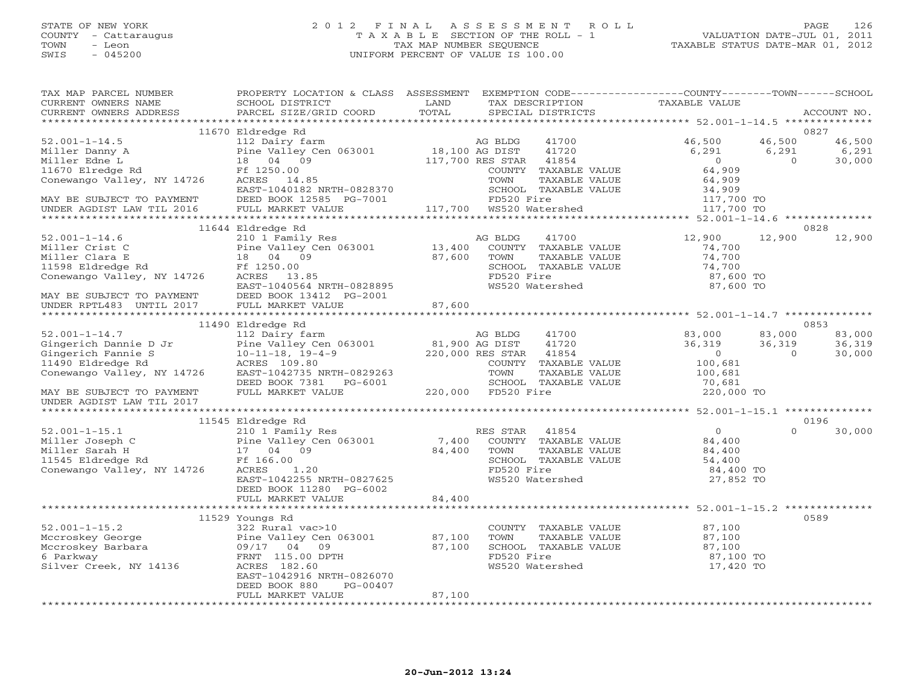## STATE OF NEW YORK 2 0 1 2 F I N A L A S S E S S M E N T R O L L PAGE 126 COUNTY - Cattaraugus T A X A B L E SECTION OF THE ROLL - 1 VALUATION DATE-JUL 01, 2011 TOWN - Leon TAX MAP NUMBER SEQUENCE TAXABLE STATUS DATE-MAR 01, 2012 SWIS - 045200 UNIFORM PERCENT OF VALUE IS 100.00UNIFORM PERCENT OF VALUE IS 100.00

| TAX MAP PARCEL NUMBER                                                                                                                                                | PROPERTY LOCATION & CLASS ASSESSMENT                     |                                    | EXEMPTION CODE-----------------COUNTY-------TOWN------SCHOOL |                                                          |                |        |
|----------------------------------------------------------------------------------------------------------------------------------------------------------------------|----------------------------------------------------------|------------------------------------|--------------------------------------------------------------|----------------------------------------------------------|----------------|--------|
| CURRENT OWNERS NAME                                                                                                                                                  | SCHOOL DISTRICT                                          | LAND                               | TAX DESCRIPTION                                              | TAXABLE VALUE                                            |                |        |
| CURRENT OWNERS ADDRESS                                                                                                                                               | PARCEL SIZE/GRID COORD                                   | TOTAL                              | SPECIAL DISTRICTS                                            |                                                          | ACCOUNT NO.    |        |
|                                                                                                                                                                      |                                                          |                                    |                                                              |                                                          |                |        |
|                                                                                                                                                                      | 11670 Eldredge Rd                                        |                                    |                                                              |                                                          | 0827           |        |
| $52.001 - 1 - 14.5$                                                                                                                                                  | 112 Dairy farm                                           |                                    | AG BLDG<br>41700                                             | 46,500                                                   | 46,500         | 46,500 |
| Miller Danny A<br>Miller Danny A Pine Valley Consider Edne L<br>18 04 09<br>11670 Elredge Rd Ff 1250.00<br>Conewango Valley, NY 14726 ACRES 14.85                    | Pine Valley Cen 063001 18,100 AG DIST                    |                                    | 41720                                                        | 6,291                                                    | 6,291          | 6,291  |
|                                                                                                                                                                      |                                                          |                                    | 117,700 RES STAR 41854                                       | $\overline{0}$                                           | $\overline{0}$ | 30,000 |
|                                                                                                                                                                      |                                                          |                                    | COUNTY TAXABLE VALUE                                         | 64,909                                                   |                |        |
|                                                                                                                                                                      |                                                          |                                    | TOWN<br>TAXABLE VALUE                                        | 64,909                                                   |                |        |
|                                                                                                                                                                      | EAST-1040182 NRTH-0828370                                |                                    | SCHOOL TAXABLE VALUE                                         |                                                          |                |        |
| MAY BE SUBJECT TO PAYMENT<br>UNDER AGDIST LAW TIL 2016                                                                                                               | DEED BOOK 12585 PG-7001                                  |                                    | FD520 Fire                                                   | 34,909<br>117,700 TO                                     |                |        |
|                                                                                                                                                                      | FULL MARKET VALUE                                        |                                    |                                                              | 117,700 TO                                               |                |        |
|                                                                                                                                                                      |                                                          |                                    |                                                              |                                                          |                |        |
|                                                                                                                                                                      | 11644 Eldredge Rd                                        |                                    |                                                              |                                                          | 0828           |        |
| $52.001 - 1 - 14.6$                                                                                                                                                  | 210 1 Family Res<br>Pine Valley Cen 063001 13,400 COUNTY |                                    | 41700                                                        | 12,900                                                   | 12,900         | 12,900 |
| Miller Crist C                                                                                                                                                       |                                                          |                                    | COUNTY TAXABLE VALUE                                         | 74,700                                                   |                |        |
|                                                                                                                                                                      |                                                          | 87,600                             | TOWN<br>TAXABLE VALUE                                        | 74,700                                                   |                |        |
|                                                                                                                                                                      |                                                          |                                    | SCHOOL TAXABLE VALUE                                         | 74,700                                                   |                |        |
| Miller Crist C Pine Valley Consider Crist C Pine Valley Consider the Calley Consider Crist Crist Consider Cris<br>18 04 09<br>Conewango Valley, NY 14726 ACRES 13.85 |                                                          |                                    | FD520 Fire                                                   | 87,600 TO                                                |                |        |
|                                                                                                                                                                      |                                                          |                                    | WS520 Watershed                                              | 87,600 TO                                                |                |        |
|                                                                                                                                                                      | EAST-1040564 NRTH-0828895                                |                                    |                                                              |                                                          |                |        |
| MAY BE SUBJECT TO PAYMENT DEED BOOK 13412 PG-2001<br>UNDER RPTL483 UNTIL 2017 FULL MARKET VALUE                                                                      |                                                          |                                    |                                                              |                                                          |                |        |
|                                                                                                                                                                      |                                                          | 87,600                             |                                                              |                                                          |                |        |
|                                                                                                                                                                      |                                                          |                                    |                                                              |                                                          |                |        |
|                                                                                                                                                                      | 11490 Eldredge Rd                                        |                                    |                                                              |                                                          | 0853           |        |
| $52.001 - 1 - 14.7$                                                                                                                                                  | 112 Dairy farm                                           |                                    | AG BLDG<br>41700                                             | 83,000                                                   | 83,000         | 83,000 |
| Gingerich Dannie D Jr                                                                                                                                                | Pine Valley Cen 063001                                   | 81,900 AG DIST<br>220,000 RES STAR | 41720                                                        | 36,319                                                   | 36,319         | 36,319 |
| Gingerich Fannie S                                                                                                                                                   | $10 - 11 - 18$ , $19 - 4 - 9$                            |                                    | 220,000 RES STAR<br>41854                                    | $\overline{0}$                                           | $\Omega$       | 30,000 |
| 11490 Eldredge Rd                                                                                                                                                    | ACRES 109.80                                             |                                    | COUNTY TAXABLE VALUE                                         | 100,681                                                  |                |        |
| Conewango Valley, NY 14726                                                                                                                                           | EAST-1042735 NRTH-0829263                                |                                    | TAXABLE VALUE<br>TOWN                                        | 100,681                                                  |                |        |
|                                                                                                                                                                      | DEED BOOK 7381 PG-6001                                   |                                    | SCHOOL TAXABLE VALUE                                         | 70,681                                                   |                |        |
| MAY BE SUBJECT TO PAYMENT                                                                                                                                            | FULL MARKET VALUE                                        |                                    | 220,000 FD520 Fire                                           | 220,000 TO                                               |                |        |
| UNDER AGDIST LAW TIL 2017                                                                                                                                            |                                                          |                                    |                                                              |                                                          |                |        |
|                                                                                                                                                                      |                                                          |                                    |                                                              |                                                          |                |        |
|                                                                                                                                                                      | 11545 Eldredge Rd                                        |                                    |                                                              |                                                          | 0196           |        |
| $52.001 - 1 - 15.1$                                                                                                                                                  | 210 1 Family Res                                         |                                    | RES STAR<br>41854                                            | $\overline{0}$                                           | $\Omega$       | 30,000 |
| Miller Joseph C                                                                                                                                                      | Pine Valley Cen 063001                                   | 7,400                              | COUNTY TAXABLE VALUE                                         | 84,400                                                   |                |        |
| Miller Sarah H                                                                                                                                                       | Pine Valley v<br>17 04 09<br>Ff 166.00                   | 84,400                             | TOWN<br>TAXABLE VALUE                                        | 84,400                                                   |                |        |
| 11545 Eldredge Rd                                                                                                                                                    |                                                          |                                    | SCHOOL TAXABLE VALUE                                         | 54,400                                                   |                |        |
| Conewango Valley, NY 14726                                                                                                                                           | ACRES<br>1.20                                            |                                    | FD520 Fire                                                   | 84,400 TO                                                |                |        |
|                                                                                                                                                                      | EAST-1042255 NRTH-0827625                                |                                    | WS520 Watershed                                              | 27,852 TO                                                |                |        |
|                                                                                                                                                                      | DEED BOOK 11280 PG-6002                                  |                                    |                                                              |                                                          |                |        |
|                                                                                                                                                                      | FULL MARKET VALUE                                        | 84,400                             |                                                              |                                                          |                |        |
|                                                                                                                                                                      | ***************************                              |                                    |                                                              | ******************************** 52.001-1-15.2 ********* |                |        |
|                                                                                                                                                                      | 11529 Youngs Rd                                          |                                    |                                                              |                                                          | 0589           |        |
| $52.001 - 1 - 15.2$                                                                                                                                                  | 322 Rural vac>10                                         |                                    |                                                              | 87,100                                                   |                |        |
|                                                                                                                                                                      |                                                          |                                    | COUNTY TAXABLE VALUE                                         |                                                          |                |        |
| Mccroskey George<br>Mccroskey Barbara<br>6 Parkway                                                                                                                   | Pine Valley Cen 063001                                   | 87,100                             | TAXABLE VALUE<br>TOWN                                        | 87,100                                                   |                |        |
|                                                                                                                                                                      | 09/17 04 09                                              | 87,100                             | SCHOOL TAXABLE VALUE                                         | 87,100                                                   |                |        |
|                                                                                                                                                                      | FRNT 115.00 DPTH                                         |                                    | FD520 Fire                                                   | 87,100 TO                                                |                |        |
| Silver Creek, NY 14136                                                                                                                                               | ACRES 182.60                                             |                                    | WS520 Watershed                                              | 17,420 TO                                                |                |        |
|                                                                                                                                                                      | EAST-1042916 NRTH-0826070                                |                                    |                                                              |                                                          |                |        |
|                                                                                                                                                                      | DEED BOOK 880<br>$PG-00407$                              |                                    |                                                              |                                                          |                |        |
|                                                                                                                                                                      | FULL MARKET VALUE                                        | 87,100                             |                                                              |                                                          |                |        |
|                                                                                                                                                                      |                                                          |                                    |                                                              |                                                          |                |        |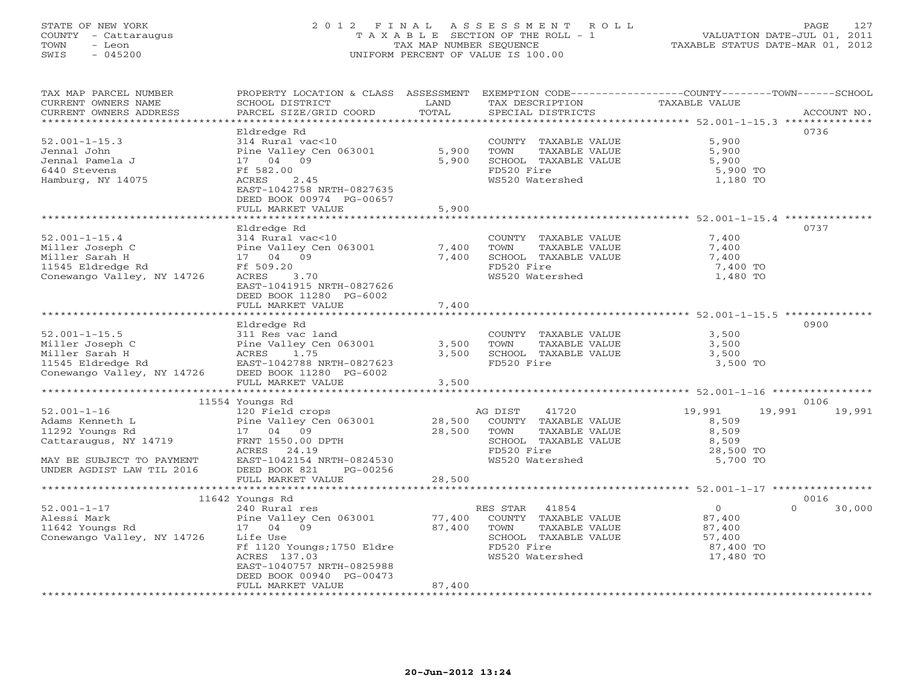## STATE OF NEW YORK 2 0 1 2 F I N A L A S S E S S M E N T R O L L PAGE 127 COUNTY - Cattaraugus T A X A B L E SECTION OF THE ROLL - 1 VALUATION DATE-JUL 01, 2011 TOWN - Leon TAX MAP NUMBER SEQUENCE TAXABLE STATUS DATE-MAR 01, 2012 SWIS - 045200 UNIFORM PERCENT OF VALUE IS 100.00UNIFORM PERCENT OF VALUE IS 100.00

| TAX MAP PARCEL NUMBER<br>CURRENT OWNERS NAME<br>CURRENT OWNERS ADDRESS<br>*************************                                                                                                                                                                     | PROPERTY LOCATION & CLASS ASSESSMENT EXEMPTION CODE---------------COUNTY-------TOWN------SCHOOL<br>SCHOOL DISTRICT<br>PARCEL SIZE/GRID COORD                                                                                                                                                                                                | LAND<br>TOTAL              | TAX DESCRIPTION TAXABLE VALUE<br>SPECIAL DISTRICTS                                                                       |                                                                        | ACCOUNT NO.      |
|-------------------------------------------------------------------------------------------------------------------------------------------------------------------------------------------------------------------------------------------------------------------------|---------------------------------------------------------------------------------------------------------------------------------------------------------------------------------------------------------------------------------------------------------------------------------------------------------------------------------------------|----------------------------|--------------------------------------------------------------------------------------------------------------------------|------------------------------------------------------------------------|------------------|
| $52.001 - 1 - 15.3$<br>Jennal John<br>Jennal Pamela J<br>6440 Stevens<br>Hamburg, NY 14075                                                                                                                                                                              | Eldredge Rd<br>314 Rural vac<10<br>Pine Valley Cen 063001<br>17 04 09<br>Ff 582.00<br>ACRES<br>2.45<br>EAST-1042758 NRTH-0827635<br>DEED BOOK 00974 PG-00657<br>FULL MARKET VALUE                                                                                                                                                           | 5,900<br>5,900<br>5,900    | COUNTY TAXABLE VALUE<br>TOWN<br>TAXABLE VALUE<br>SCHOOL TAXABLE VALUE<br>FD520 Fire<br>WS520 Watershed                   | 5,900<br>5,900<br>5,900<br>5,900 TO<br>1,180 TO                        | 0736             |
| $52.001 - 1 - 15.4$<br>Conewango Valley, NY 14726                                                                                                                                                                                                                       | Eldredge Rd<br>314 Rural vac<10<br>Pine Valley Cen 063001<br>17 04 09<br>ACRES 3.70<br>EAST-1041915 NRTH-0827626<br>DEED BOOK 11280 PG-6002<br>FULL MARKET VALUE                                                                                                                                                                            | 7,400<br>7,400<br>7,400    | COUNTY TAXABLE VALUE 7,400<br>TOWN<br>TAXABLE VALUE<br>SCHOOL TAXABLE VALUE<br>FD520 Fire<br>WS520 Watershed             | 7,400<br>7,400<br>7,400 TO<br>1,480 TO                                 | 0737             |
| $52.001 - 1 - 15.5$<br>Miller Joseph C<br>Miller Sarah H<br>11545 Eldredge Rd<br>2011 - Eldredge Rd<br>2011 - ELS English BAST-1042788<br>2011 - ELS ENGLISH BOOK 11280<br>2012 - ELS BOOK 11280<br>2012 - ELS BOOK 11280<br>2012 - ELS BOOK 11280<br>2012 - ELS BOOK 1 | Eldredge Rd<br>311 Res vac land<br>FULL MARKET VALUE                                                                                                                                                                                                                                                                                        | 3,500<br>3,500<br>3,500    | COUNTY TAXABLE VALUE 3,500<br>TOWN<br>TAXABLE VALUE<br>SCHOOL TAXABLE VALUE 3,500<br>FD520 Fire                          | 3,500<br>3,500 TO                                                      | 0900             |
|                                                                                                                                                                                                                                                                         | 11554 Youngs Rd                                                                                                                                                                                                                                                                                                                             |                            |                                                                                                                          |                                                                        | 0106             |
| $52.001 - 1 - 16$<br>Adams Kenneth L<br>11292 Youngs Rd<br>Cattaraugus, NY 14719<br>MAY BE SUBJECT TO PAYMENT<br>UNDER AGDIST LARL THE SALE<br>UNDER AGDIST LAW TIL 2016                                                                                                | 11534 Find The Valley Cen 063001<br>120 Field crops<br>Pine Valley Cen 063001<br>17 04 09<br>14719<br>14719<br>14719<br>14719<br>14719<br>14719<br>14719<br>14719<br>14719<br>14719<br>14719<br>14719<br>1489<br>1489<br>1489<br>1489<br>1489<br>1489<br>1489<br>1489<br>1489<br><br>EAST-1042154 NRTH-0824530<br>DEED BOOK 821<br>PG-00256 |                            | SCHOOL TAXABLE VALUE<br>WS520 Watershed                                                                                  | 19,991<br>8,509<br>8,509<br>8,509<br>28,500 TO<br>5,700 TO             | 19,991 19,991    |
|                                                                                                                                                                                                                                                                         | FULL MARKET VALUE                                                                                                                                                                                                                                                                                                                           | 28,500                     |                                                                                                                          |                                                                        |                  |
|                                                                                                                                                                                                                                                                         | 11642 Youngs Rd                                                                                                                                                                                                                                                                                                                             |                            |                                                                                                                          |                                                                        | 0016             |
| $52.001 - 1 - 17$<br>Conewango Valley, NY 14726                                                                                                                                                                                                                         | 240 Rural res<br>Life Use<br>Ff 1120 Youngs;1750 Eldre<br>ACRES 137.03<br>EAST-1040757 NRTH-0825988<br>DEED BOOK 00940 PG-00473<br>FULL MARKET VALUE                                                                                                                                                                                        | 77,400<br>87,400<br>87,400 | RES STAR 41854<br>COUNTY TAXABLE VALUE<br>TOWN<br>TAXABLE VALUE<br>SCHOOL TAXABLE VALUE<br>FD520 Fire<br>WS520 Watershed | $\overline{0}$<br>87,400<br>87,400<br>57,400<br>87,400 TO<br>17,480 TO | $\cap$<br>30,000 |
|                                                                                                                                                                                                                                                                         |                                                                                                                                                                                                                                                                                                                                             |                            |                                                                                                                          |                                                                        |                  |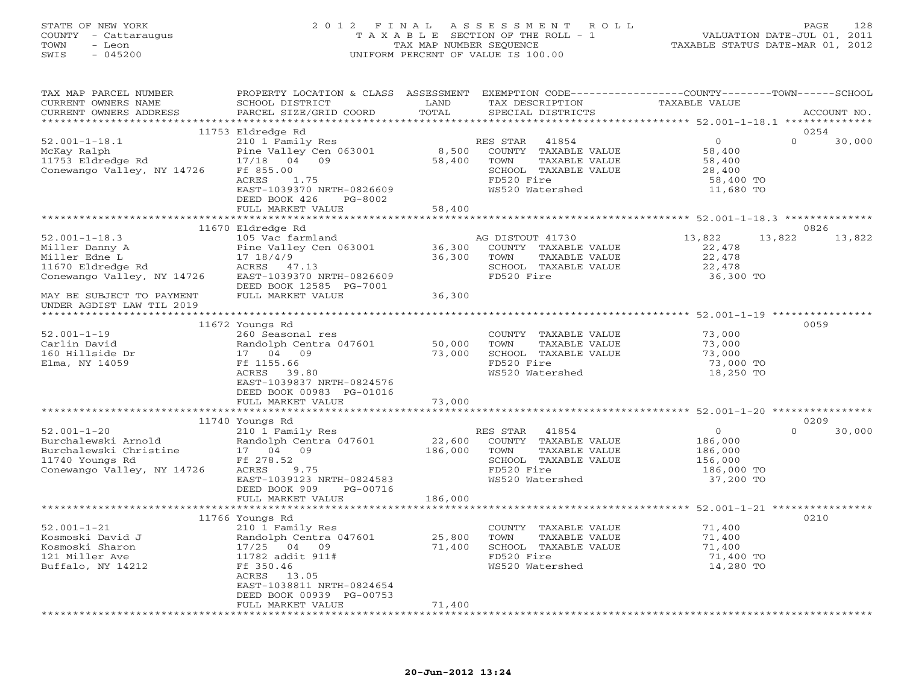## STATE OF NEW YORK 2 0 1 2 F I N A L A S S E S S M E N T R O L L PAGE 128 COUNTY - Cattaraugus T A X A B L E SECTION OF THE ROLL - 1 VALUATION DATE-JUL 01, 2011 TOWN - Leon TAX MAP NUMBER SEQUENCE TAXABLE STATUS DATE-MAR 01, 2012 SWIS - 045200 UNIFORM PERCENT OF VALUE IS 100.00UNIFORM PERCENT OF VALUE IS 100.00

| TAX MAP PARCEL NUMBER<br>CURRENT OWNERS NAME                                                                                                                                                                                                       | PROPERTY LOCATION & CLASS ASSESSMENT EXEMPTION CODE----------------COUNTY-------TOWN------SCHOOL<br>SCHOOL DISTRICT | LAND             | TAX DESCRIPTION                                           | TAXABLE VALUE      |                    |
|----------------------------------------------------------------------------------------------------------------------------------------------------------------------------------------------------------------------------------------------------|---------------------------------------------------------------------------------------------------------------------|------------------|-----------------------------------------------------------|--------------------|--------------------|
| CURRENT OWNERS ADDRESS                                                                                                                                                                                                                             | PARCEL SIZE/GRID COORD                                                                                              | TOTAL            | SPECIAL DISTRICTS                                         |                    | ACCOUNT NO.        |
|                                                                                                                                                                                                                                                    |                                                                                                                     |                  |                                                           |                    |                    |
|                                                                                                                                                                                                                                                    | 11753 Eldredge Rd                                                                                                   |                  |                                                           |                    | 0254               |
| $52.001 - 1 - 18.1$                                                                                                                                                                                                                                | 210 1 Family Res                                                                                                    |                  | RES STAR 41854                                            | $\overline{0}$     | $\Omega$<br>30,000 |
|                                                                                                                                                                                                                                                    |                                                                                                                     |                  |                                                           | 58,400             |                    |
|                                                                                                                                                                                                                                                    |                                                                                                                     |                  |                                                           | 58,400<br>58,400   |                    |
|                                                                                                                                                                                                                                                    |                                                                                                                     |                  |                                                           | 28,400             |                    |
|                                                                                                                                                                                                                                                    |                                                                                                                     |                  |                                                           | 58,400 TO          |                    |
|                                                                                                                                                                                                                                                    | EAST-1039370 NRTH-0826609                                                                                           |                  | WS520 Watershed                                           | 11,680 TO          |                    |
|                                                                                                                                                                                                                                                    | DEED BOOK 426<br>PG-8002                                                                                            |                  |                                                           |                    |                    |
|                                                                                                                                                                                                                                                    | FULL MARKET VALUE                                                                                                   | 58,400           |                                                           |                    |                    |
|                                                                                                                                                                                                                                                    |                                                                                                                     |                  |                                                           |                    |                    |
|                                                                                                                                                                                                                                                    | 11670 Eldredge Rd                                                                                                   |                  |                                                           |                    | 0826               |
|                                                                                                                                                                                                                                                    |                                                                                                                     |                  |                                                           | 13,822             | 13,822 13,822      |
|                                                                                                                                                                                                                                                    |                                                                                                                     |                  |                                                           | 22,478             |                    |
|                                                                                                                                                                                                                                                    |                                                                                                                     |                  |                                                           | 22,478             |                    |
|                                                                                                                                                                                                                                                    |                                                                                                                     |                  |                                                           | 22,478             |                    |
|                                                                                                                                                                                                                                                    |                                                                                                                     |                  |                                                           | 36,300 TO          |                    |
| %1001-1-18.3<br>Miller Danny A<br>Miller Danny A<br>Miller Edne L<br>17 18/4/9<br>26,300 COUNTY TAXABLE VALUE<br>26,300 TOWN TAXABLE VALUE<br>26,300 TOWN TAXABLE VALUE<br>26,300 TOWN TAXABLE VALUE<br>26,300 TOWN TAXABLE VALUE<br>26,300 TOWN T |                                                                                                                     |                  |                                                           |                    |                    |
| MAY BE SUBJECT TO PAYMENT                                                                                                                                                                                                                          | FULL MARKET VALUE                                                                                                   | 36,300           |                                                           |                    |                    |
| UNDER AGDIST LAW TIL 2019                                                                                                                                                                                                                          |                                                                                                                     |                  |                                                           |                    |                    |
|                                                                                                                                                                                                                                                    |                                                                                                                     |                  |                                                           |                    |                    |
|                                                                                                                                                                                                                                                    |                                                                                                                     |                  |                                                           |                    | 0059               |
| $52.001 - 1 - 19$                                                                                                                                                                                                                                  | 11672 Youngs Rd<br>260 Seasonal res                                                                                 |                  |                                                           | 73,000             |                    |
| Carlin David                                                                                                                                                                                                                                       |                                                                                                                     |                  | COUNTY TAXABLE VALUE                                      | 73,000             |                    |
|                                                                                                                                                                                                                                                    | Randolph Centra 047601 50,000 TOWN 17 04 09 73,000 SCHOC                                                            |                  | TAXABLE VALUE                                             | 73,000             |                    |
| 160 Hillside Dr                                                                                                                                                                                                                                    |                                                                                                                     |                  | SCHOOL TAXABLE VALUE                                      |                    |                    |
| Elma, NY 14059                                                                                                                                                                                                                                     | Ft 1155.66<br>ACRES 39.80                                                                                           |                  | FD520 Fire                                                | 73,000 TO          |                    |
|                                                                                                                                                                                                                                                    |                                                                                                                     |                  | WS520 Watershed                                           | 18,250 TO          |                    |
|                                                                                                                                                                                                                                                    | EAST-1039837 NRTH-0824576                                                                                           |                  |                                                           |                    |                    |
|                                                                                                                                                                                                                                                    | DEED BOOK 00983 PG-01016                                                                                            |                  |                                                           |                    |                    |
|                                                                                                                                                                                                                                                    | FULL MARKET VALUE                                                                                                   | 73,000           |                                                           |                    |                    |
|                                                                                                                                                                                                                                                    |                                                                                                                     |                  |                                                           |                    |                    |
|                                                                                                                                                                                                                                                    | 11740 Youngs Rd                                                                                                     |                  |                                                           |                    | 0209               |
| $52.001 - 1 - 20$<br>52.001-1-20 210 1 Family<br>Burchalewski Arnold Randolph Cent<br>Burchalewski Christine 17 04 09<br>11740 Youngs Rd Ff 278.52                                                                                                 | 210 1 Family Res                                                                                                    |                  | RES STAR 41854                                            | $\overline{O}$     | $\Omega$<br>30,000 |
|                                                                                                                                                                                                                                                    | Randolph Centra 047601<br>17 04 09                                                                                  |                  | 22,600 COUNTY TAXABLE VALUE<br>186,000 TOWN TAXABLE VALUE | 186,000<br>186,000 |                    |
|                                                                                                                                                                                                                                                    |                                                                                                                     |                  |                                                           |                    |                    |
|                                                                                                                                                                                                                                                    |                                                                                                                     |                  | SCHOOL TAXABLE VALUE                                      | 156,000            |                    |
| Conewango Valley, NY 14726                                                                                                                                                                                                                         | ACRES<br>9.75                                                                                                       |                  | FD520 Fire                                                | 186,000 TO         |                    |
|                                                                                                                                                                                                                                                    | EAST-1039123 NRTH-0824583                                                                                           |                  | WS520 Watershed                                           | 37,200 TO          |                    |
|                                                                                                                                                                                                                                                    | DEED BOOK 909<br>PG-00716                                                                                           |                  |                                                           |                    |                    |
|                                                                                                                                                                                                                                                    | FULL MARKET VALUE                                                                                                   | 186,000          |                                                           |                    |                    |
|                                                                                                                                                                                                                                                    |                                                                                                                     |                  |                                                           |                    |                    |
|                                                                                                                                                                                                                                                    |                                                                                                                     |                  |                                                           |                    | 0210               |
| $52.001 - 1 - 21$                                                                                                                                                                                                                                  |                                                                                                                     |                  | COUNTY TAXABLE VALUE                                      | 71,400             |                    |
| Kosmoski David J                                                                                                                                                                                                                                   |                                                                                                                     |                  | TOWN<br>TAXABLE VALUE                                     | 71,400             |                    |
| Kosmoski Sharon                                                                                                                                                                                                                                    |                                                                                                                     | 25,800<br>71,400 | SCHOOL TAXABLE VALUE                                      | 71,400             |                    |
| 121 Miller Ave                                                                                                                                                                                                                                     | 210 1 Family Res<br>Randolph Centra 047601<br>17/25 04 09<br>11700 11700                                            |                  | FD520 Fire                                                | 71,400 TO          |                    |
| Buffalo, NY 14212                                                                                                                                                                                                                                  | 11782 addit 911#<br>Ff 350.46<br>CODDC 112.05                                                                       |                  | WS520 Watershed                                           | 14,280 TO          |                    |
|                                                                                                                                                                                                                                                    | ACRES 13.05                                                                                                         |                  |                                                           |                    |                    |
|                                                                                                                                                                                                                                                    | EAST-1038811 NRTH-0824654                                                                                           |                  |                                                           |                    |                    |
|                                                                                                                                                                                                                                                    | DEED BOOK 00939 PG-00753                                                                                            |                  |                                                           |                    |                    |
|                                                                                                                                                                                                                                                    | FULL MARKET VALUE                                                                                                   | 71,400           |                                                           |                    |                    |
|                                                                                                                                                                                                                                                    | ************************                                                                                            |                  |                                                           |                    |                    |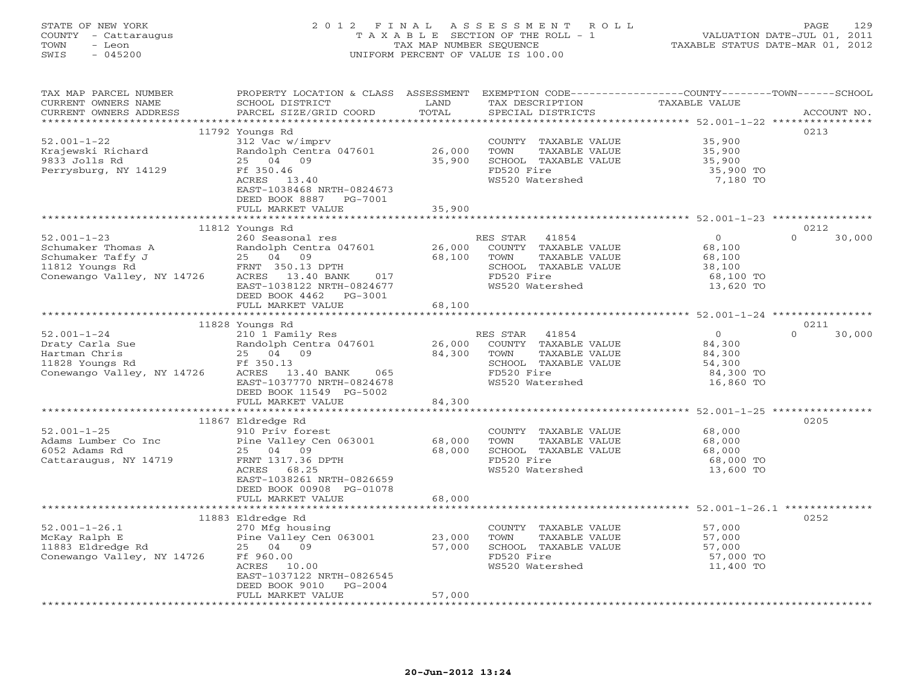## STATE OF NEW YORK 2 0 1 2 F I N A L A S S E S S M E N T R O L L PAGE 129 COUNTY - Cattaraugus T A X A B L E SECTION OF THE ROLL - 1 VALUATION DATE-JUL 01, 2011 TOWN - Leon TAX MAP NUMBER SEQUENCE TAXABLE STATUS DATE-MAR 01, 2012 SWIS - 045200 UNIFORM PERCENT OF VALUE IS 100.00UNIFORM PERCENT OF VALUE IS 100.00

| TAX MAP PARCEL NUMBER<br>CURRENT OWNERS NAME | PROPERTY LOCATION & CLASS ASSESSMENT<br>SCHOOL DISTRICT | LAND                         | EXEMPTION CODE-----------------COUNTY-------TOWN------SCHOOL<br>TAX DESCRIPTION | TAXABLE VALUE                                          |                    |
|----------------------------------------------|---------------------------------------------------------|------------------------------|---------------------------------------------------------------------------------|--------------------------------------------------------|--------------------|
| CURRENT OWNERS ADDRESS                       | PARCEL SIZE/GRID COORD                                  | TOTAL                        | SPECIAL DISTRICTS                                                               |                                                        | ACCOUNT NO.        |
|                                              |                                                         |                              |                                                                                 |                                                        |                    |
|                                              | 11792 Youngs Rd                                         |                              |                                                                                 |                                                        | 0213               |
| $52.001 - 1 - 22$                            | 312 Vac w/imprv                                         |                              | COUNTY TAXABLE VALUE                                                            | 35,900                                                 |                    |
| Krajewski Richard                            | Randolph Centra 047601                                  | 26,000                       | TOWN<br>TAXABLE VALUE                                                           | 35,900                                                 |                    |
| 9833 Jolls Rd                                | 25 04 09                                                | 35,900                       | SCHOOL TAXABLE VALUE                                                            | 35,900                                                 |                    |
| Perrysburg, NY 14129                         | Ff 350.46                                               |                              | FD520 Fire                                                                      | 35,900 TO                                              |                    |
|                                              | ACRES 13.40                                             |                              | WS520 Watershed                                                                 | 7,180 TO                                               |                    |
|                                              | EAST-1038468 NRTH-0824673                               |                              |                                                                                 |                                                        |                    |
|                                              | DEED BOOK 8887<br>PG-7001                               |                              |                                                                                 |                                                        |                    |
|                                              | FULL MARKET VALUE                                       | 35,900                       |                                                                                 |                                                        |                    |
|                                              |                                                         |                              |                                                                                 |                                                        |                    |
|                                              | 11812 Youngs Rd                                         |                              |                                                                                 |                                                        | 0212               |
| $52.001 - 1 - 23$                            | 260 Seasonal res                                        |                              | RES STAR 41854                                                                  | $\circ$                                                | $\Omega$<br>30,000 |
| Schumaker Thomas A                           | Randolph Centra 047601                                  | 26,000                       | COUNTY TAXABLE VALUE                                                            | 68,100                                                 |                    |
| Schumaker Taffy J                            |                                                         | 68,100                       | TOWN<br>TAXABLE VALUE                                                           | 68,100                                                 |                    |
| 11812 Youngs Rd                              | 25 04 09<br>FRNT 350.13<br>FRNT 350.13 DPTH             |                              | SCHOOL TAXABLE VALUE                                                            | 38,100                                                 |                    |
| Conewango Valley, NY 14726                   | ACRES 13.40 BANK<br>017                                 |                              | FD520 Fire                                                                      | 68,100 TO                                              |                    |
|                                              | EAST-1038122 NRTH-0824677                               |                              | WS520 Watershed                                                                 | 13,620 TO                                              |                    |
|                                              | DEED BOOK 4462<br>PG-3001                               |                              |                                                                                 |                                                        |                    |
|                                              | FULL MARKET VALUE                                       | 68,100                       |                                                                                 |                                                        |                    |
|                                              |                                                         |                              |                                                                                 |                                                        |                    |
|                                              | 11828 Youngs Rd                                         |                              |                                                                                 |                                                        | 0211               |
| $52.001 - 1 - 24$                            | 210 1 Family Res                                        |                              | RES STAR 41854                                                                  | $\circ$                                                | $\cap$<br>30,000   |
| Draty Carla Sue                              | Randolph Centra 047601                                  | 26,000                       | COUNTY TAXABLE VALUE                                                            | 84,300                                                 |                    |
| Hartman Chris                                | 25 04 09                                                | 84,300                       | TAXABLE VALUE<br>TOWN                                                           | 84,300                                                 |                    |
| 11828 Youngs Rd                              | Ff 350.13                                               |                              | SCHOOL TAXABLE VALUE                                                            | 54,300                                                 |                    |
| Conewango Valley, NY 14726                   | ACRES 13.40 BANK 065                                    |                              | FD520 Fire                                                                      | 84,300 TO                                              |                    |
|                                              | EAST-1037770 NRTH-0824678                               |                              | WS520 Watershed                                                                 | 16,860 TO                                              |                    |
|                                              | DEED BOOK 11549 PG-5002                                 |                              |                                                                                 |                                                        |                    |
|                                              | FULL MARKET VALUE                                       | 84,300                       |                                                                                 |                                                        |                    |
|                                              | **************************                              | *********************        |                                                                                 | ****************************** 52.001-1-25 *********** |                    |
|                                              | 11867 Eldredge Rd                                       |                              |                                                                                 |                                                        | 0205               |
| $52.001 - 1 - 25$                            | 910 Priv forest                                         |                              | COUNTY TAXABLE VALUE                                                            | 68,000                                                 |                    |
| Adams Lumber Co Inc                          | Pine Valley Cen 063001                                  | 68,000                       | TOWN<br>TAXABLE VALUE                                                           | 68,000                                                 |                    |
| 6052 Adams Rd                                | 25 04 09                                                | 68,000                       | SCHOOL TAXABLE VALUE                                                            | 68,000                                                 |                    |
| Cattaraugus, NY 14719                        | FRNT 1317.36 DPTH                                       |                              | FD520 Fire                                                                      | 68,000 TO                                              |                    |
|                                              | ACRES 68.25                                             |                              | WS520 Watershed                                                                 | 13,600 TO                                              |                    |
|                                              | EAST-1038261 NRTH-0826659                               |                              |                                                                                 |                                                        |                    |
|                                              | DEED BOOK 00908 PG-01078                                |                              |                                                                                 |                                                        |                    |
|                                              | FULL MARKET VALUE<br>**********************             | 68,000<br>****************** |                                                                                 |                                                        |                    |
|                                              |                                                         |                              | ********************************** 52.001-1-26.1 **************                 |                                                        |                    |
|                                              | 11883 Eldredge Rd                                       |                              |                                                                                 |                                                        | 0252               |
| $52.001 - 1 - 26.1$                          | 270 Mfg housing                                         |                              | COUNTY TAXABLE VALUE                                                            | 57,000                                                 |                    |
| McKay Ralph E                                | Pine Valley Cen 063001                                  | 23,000                       | TAXABLE VALUE<br>TOWN                                                           | 57,000                                                 |                    |
| 11883 Eldredge Rd                            | 25 04 09                                                | 57,000                       | SCHOOL TAXABLE VALUE                                                            | 57,000                                                 |                    |
| Conewango Valley, NY 14726                   | Ff 960.00                                               |                              | FD520 Fire                                                                      | 57,000 TO                                              |                    |
|                                              | ACRES 10.00                                             |                              | WS520 Watershed                                                                 | 11,400 TO                                              |                    |
|                                              | EAST-1037122 NRTH-0826545                               |                              |                                                                                 |                                                        |                    |
|                                              | DEED BOOK 9010<br>$PG-2004$                             |                              |                                                                                 |                                                        |                    |
|                                              | FULL MARKET VALUE                                       | 57,000                       |                                                                                 |                                                        |                    |
|                                              |                                                         |                              |                                                                                 |                                                        |                    |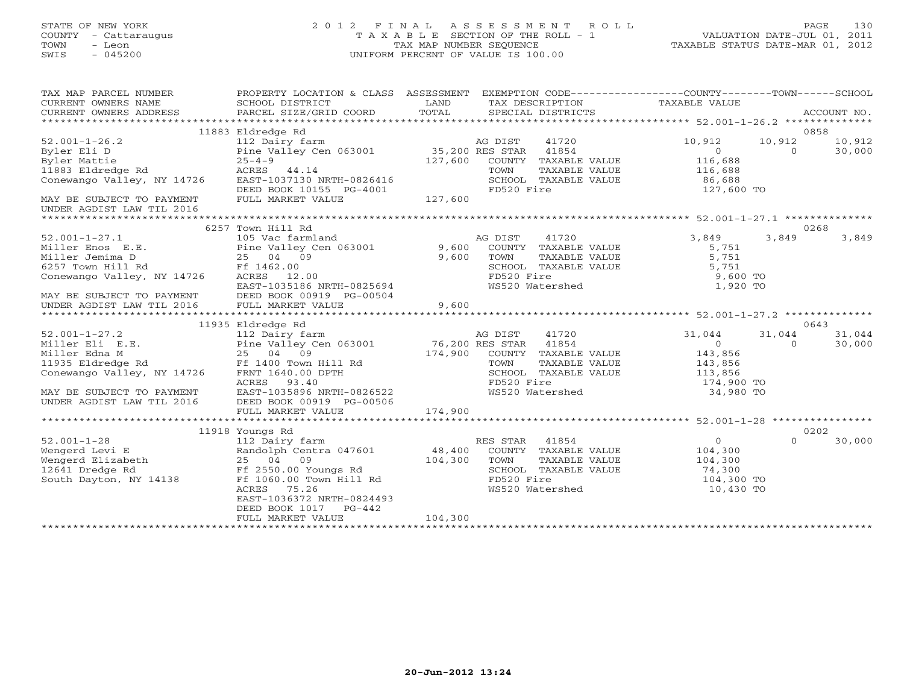# STATE OF NEW YORK 2 0 1 2 F I N A L A S S E S S M E N T R O L L PAGE 130 COUNTY - Cattaraugus T A X A B L E SECTION OF THE ROLL - 1 VALUATION DATE-JUL 01, 2011 TOWN - Leon TAX MAP NUMBER SEQUENCE TAXABLE STATUS DATE-MAR 01, 2012 SWIS - 045200 UNIFORM PERCENT OF VALUE IS 100.00UNIFORM PERCENT OF VALUE IS 100.00

| TAX MAP PARCEL NUMBER                                                                                                                                      | PROPERTY LOCATION & CLASS ASSESSMENT EXEMPTION CODE----------------COUNTY-------TOWN------SCHOOL     |         |                                                                                                           |                                               |                |               |
|------------------------------------------------------------------------------------------------------------------------------------------------------------|------------------------------------------------------------------------------------------------------|---------|-----------------------------------------------------------------------------------------------------------|-----------------------------------------------|----------------|---------------|
|                                                                                                                                                            |                                                                                                      |         |                                                                                                           |                                               |                |               |
|                                                                                                                                                            |                                                                                                      |         |                                                                                                           |                                               |                |               |
|                                                                                                                                                            | 11883 Eldredge Rd                                                                                    |         |                                                                                                           |                                               |                | 0858          |
| $52.001 - 1 - 26.2$<br>Byler Eli D                                                                                                                         | 112 Dairy farm<br>112 Dairy farm<br>Pine Valley Cen 063001<br>25-4-9<br>127,600 COUNTY TAXABLE VALUE |         |                                                                                                           | 10,912<br>$\overline{O}$                      | 10,912         | 10,912        |
| Byler Mattie                                                                                                                                               |                                                                                                      |         |                                                                                                           | 116,688                                       | $0 \t 30,000$  |               |
|                                                                                                                                                            |                                                                                                      |         | TOWN                                                                                                      |                                               |                |               |
|                                                                                                                                                            |                                                                                                      |         |                                                                                                           | TAXABLE VALUE 116,688<br>TAXABLE VALUE 86,688 |                |               |
|                                                                                                                                                            |                                                                                                      |         | SCHOOL TAXABLE VALUE 86,688<br>FD520 Fire 127,600 TO                                                      |                                               |                |               |
|                                                                                                                                                            | DEED BOOK 10155 PG-4001<br>FULL MARKET VALUE 127,600                                                 |         |                                                                                                           |                                               |                |               |
| MAY BE SUBJECT TO PAYMENT FULL MARKET VALUE<br>UNDER AGDIST LAW TIL 2016                                                                                   |                                                                                                      |         |                                                                                                           |                                               |                |               |
|                                                                                                                                                            |                                                                                                      |         |                                                                                                           |                                               |                |               |
|                                                                                                                                                            | 6257 Town Hill Rd                                                                                    |         |                                                                                                           |                                               |                | 0268          |
|                                                                                                                                                            |                                                                                                      |         |                                                                                                           | 3,849                                         | 3,849          | 3,849         |
|                                                                                                                                                            |                                                                                                      |         |                                                                                                           | 5,751                                         |                |               |
|                                                                                                                                                            |                                                                                                      |         |                                                                                                           |                                               |                |               |
|                                                                                                                                                            |                                                                                                      |         |                                                                                                           |                                               |                |               |
| Conewango Valley, NY 14726                                                                                                                                 | ACRES 12.00                                                                                          |         |                                                                                                           |                                               |                |               |
|                                                                                                                                                            | F1 1462.00<br>ACRES 12.00<br>EAST-1035186 NRTH-0825694                                               |         | TOWN TAXABLE VALUE 5,751<br>SCHOOL TAXABLE VALUE 5,751<br>FD520 Fire 9,600 TO<br>WS520 Watershed 1,920 TO |                                               |                |               |
|                                                                                                                                                            |                                                                                                      |         |                                                                                                           |                                               |                |               |
| MAY BE SUBJECT TO PAYMENT DEED BOOK 00919 PG-00504 $\,$ 9,600 UNDER AGDIST LAW TIL 2016 FULL MARKET VALUE                                                  |                                                                                                      |         |                                                                                                           |                                               |                |               |
|                                                                                                                                                            |                                                                                                      |         |                                                                                                           |                                               |                |               |
|                                                                                                                                                            | 11935 Eldredge Rd                                                                                    |         |                                                                                                           |                                               |                | 0643          |
|                                                                                                                                                            |                                                                                                      |         |                                                                                                           | 31,044                                        |                | 31,044 31,044 |
|                                                                                                                                                            |                                                                                                      |         |                                                                                                           |                                               | $\overline{0}$ | 30,000        |
|                                                                                                                                                            |                                                                                                      |         |                                                                                                           |                                               |                |               |
|                                                                                                                                                            |                                                                                                      |         |                                                                                                           |                                               |                |               |
|                                                                                                                                                            |                                                                                                      |         |                                                                                                           |                                               |                |               |
|                                                                                                                                                            |                                                                                                      |         |                                                                                                           | 174,900 TO                                    |                |               |
|                                                                                                                                                            |                                                                                                      |         |                                                                                                           | 34,980 TO                                     |                |               |
|                                                                                                                                                            |                                                                                                      |         |                                                                                                           |                                               |                |               |
|                                                                                                                                                            |                                                                                                      |         |                                                                                                           |                                               |                |               |
|                                                                                                                                                            |                                                                                                      |         |                                                                                                           |                                               |                |               |
|                                                                                                                                                            | 11918 Youngs Rd                                                                                      |         |                                                                                                           | $\overline{0}$                                | $\Omega$       | 0202          |
|                                                                                                                                                            |                                                                                                      |         | RES STAR 41854<br>COUNTY TAXABLE VALUE 104,300                                                            |                                               |                | 30,000        |
|                                                                                                                                                            |                                                                                                      |         |                                                                                                           |                                               |                |               |
| 52.001-1-28 112 Dairy farm R<br>Wengerd Levi E Randolph Centra 047601 48,400<br>Wengerd Elizabeth 25 04 09 104,300<br>12641 Dredge Rd Ff 2550.00 Youngs Rd |                                                                                                      |         | TOWN                                                                                                      | TAXABLE VALUE 104,300<br>TAXABLE VALUE 74,300 |                |               |
| South Dayton, NY 14138                                                                                                                                     |                                                                                                      |         | SCHOOL TAXABLE VALUE<br>FD520 Fire                                                                        |                                               |                |               |
|                                                                                                                                                            | Ff 1060.00 Town Hill Rd<br>ACRES 75.26                                                               |         | FD520 Fire<br>WS520 Watershed                                                                             | 104,300 TO<br>10,430 TO                       |                |               |
|                                                                                                                                                            | EAST-1036372 NRTH-0824493                                                                            |         |                                                                                                           |                                               |                |               |
|                                                                                                                                                            | DEED BOOK 1017 PG-442                                                                                |         |                                                                                                           |                                               |                |               |
|                                                                                                                                                            | FULL MARKET VALUE                                                                                    | 104,300 |                                                                                                           |                                               |                |               |
|                                                                                                                                                            |                                                                                                      |         |                                                                                                           |                                               |                |               |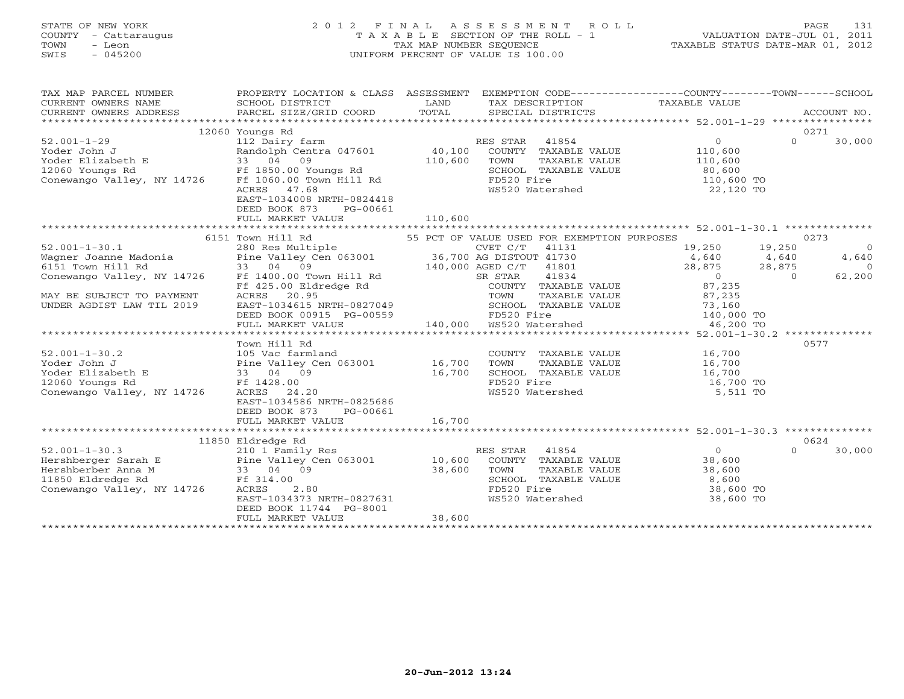## STATE OF NEW YORK 2 0 1 2 F I N A L A S S E S S M E N T R O L L PAGE 131 COUNTY - Cattaraugus T A X A B L E SECTION OF THE ROLL - 1 VALUATION DATE-JUL 01, 2011 TOWN - Leon TAX MAP NUMBER SEQUENCE TAXABLE STATUS DATE-MAR 01, 2012 SWIS - 045200 UNIFORM PERCENT OF VALUE IS 100.00UNIFORM PERCENT OF VALUE IS 100.00

| TAX MAP PARCEL NUMBER<br>CURRENT OWNERS NAME<br>CURRENT OWNERS ADDRESS | PROPERTY LOCATION & CLASS ASSESSMENT EXEMPTION CODE---------------COUNTY-------TOWN------SCHOOL<br>SCHOOL DISTRICT<br>PARCEL SIZE/GRID COORD | LAND<br>TOTAL | TAX DESCRIPTION<br>SPECIAL DISTRICTS        | TAXABLE VALUE  |          | ACCOUNT NO. |
|------------------------------------------------------------------------|----------------------------------------------------------------------------------------------------------------------------------------------|---------------|---------------------------------------------|----------------|----------|-------------|
|                                                                        | 12060 Youngs Rd                                                                                                                              |               |                                             |                |          | 0271        |
| $52.001 - 1 - 29$                                                      | 112 Dairy farm                                                                                                                               |               | 41854<br>RES STAR                           | $\mathbf{0}$   | $\Omega$ | 30,000      |
| Yoder John J                                                           | Randolph Centra 047601                                                                                                                       | 40,100        | COUNTY TAXABLE VALUE                        | 110,600        |          |             |
| Yoder Elizabeth E                                                      | 33 04<br>09                                                                                                                                  | 110,600       | TOWN<br>TAXABLE VALUE                       | 110,600        |          |             |
| 12060 Youngs Rd                                                        | Ff 1850.00 Youngs Rd                                                                                                                         |               | SCHOOL TAXABLE VALUE                        | 80,600         |          |             |
| Conewango Valley, NY 14726                                             | Ff 1060.00 Town Hill Rd                                                                                                                      |               | FD520 Fire                                  | 110,600 TO     |          |             |
|                                                                        | 47.68<br>ACRES                                                                                                                               |               | WS520 Watershed                             | 22,120 TO      |          |             |
|                                                                        | EAST-1034008 NRTH-0824418                                                                                                                    |               |                                             |                |          |             |
|                                                                        | DEED BOOK 873<br>PG-00661                                                                                                                    |               |                                             |                |          |             |
|                                                                        | FULL MARKET VALUE                                                                                                                            | 110,600       |                                             |                |          |             |
|                                                                        |                                                                                                                                              |               |                                             |                |          |             |
|                                                                        | 6151 Town Hill Rd                                                                                                                            |               | 55 PCT OF VALUE USED FOR EXEMPTION PURPOSES |                |          | 0273        |
| $52.001 - 1 - 30.1$                                                    | 280 Res Multiple                                                                                                                             |               | CVET C/T<br>41131                           | 19,250         | 19,250   | $\Omega$    |
| Wagner Joanne Madonia                                                  | Pine Valley Cen 063001                                                                                                                       |               | 36,700 AG DISTOUT 41730                     | 4,640          | 4,640    | 4,640       |
| 6151 Town Hill Rd                                                      | 33 04 09                                                                                                                                     |               | 140,000 AGED C/T<br>41801                   | 28,875         | 28,875   | $\Omega$    |
| Conewango Valley, NY 14726                                             | Ff 1400.00 Town Hill Rd                                                                                                                      |               | 41834<br>SR STAR                            | $\overline{0}$ | $\Omega$ | 62,200      |
|                                                                        | Ff 425.00 Eldredge Rd                                                                                                                        |               | COUNTY TAXABLE VALUE                        | 87,235         |          |             |
| MAY BE SUBJECT TO PAYMENT                                              | 20.95<br>ACRES                                                                                                                               |               | TOWN<br>TAXABLE VALUE                       | 87,235         |          |             |
| UNDER AGDIST LAW TIL 2019                                              | EAST-1034615 NRTH-0827049                                                                                                                    |               | SCHOOL TAXABLE VALUE                        | 73,160         |          |             |
|                                                                        | DEED BOOK 00915 PG-00559                                                                                                                     |               | FD520 Fire                                  | 140,000 TO     |          |             |
|                                                                        | FULL MARKET VALUE                                                                                                                            | 140,000       | WS520 Watershed                             | 46,200 TO      |          |             |
|                                                                        |                                                                                                                                              |               |                                             |                |          |             |
|                                                                        | Town Hill Rd                                                                                                                                 |               |                                             |                |          | 0577        |
| $52.001 - 1 - 30.2$                                                    | 105 Vac farmland                                                                                                                             |               | COUNTY TAXABLE VALUE                        | 16,700         |          |             |
| Yoder John J                                                           | Pine Valley Cen 063001                                                                                                                       | 16,700        | TAXABLE VALUE<br>TOWN                       | 16,700         |          |             |
| Yoder Elizabeth E                                                      | 33 04 09                                                                                                                                     | 16,700        | SCHOOL TAXABLE VALUE                        | 16,700         |          |             |
| 12060 Youngs Rd                                                        | Ff 1428.00                                                                                                                                   |               | FD520 Fire                                  | 16,700 TO      |          |             |
| Conewango Valley, NY 14726                                             | ACRES<br>24.20                                                                                                                               |               | WS520 Watershed                             | 5,511 TO       |          |             |
|                                                                        | EAST-1034586 NRTH-0825686                                                                                                                    |               |                                             |                |          |             |
|                                                                        | DEED BOOK 873<br>PG-00661                                                                                                                    |               |                                             |                |          |             |
|                                                                        | FULL MARKET VALUE                                                                                                                            | 16,700        |                                             |                |          |             |
|                                                                        |                                                                                                                                              |               |                                             |                |          |             |
|                                                                        | 11850 Eldredge Rd                                                                                                                            |               |                                             |                |          | 0624        |
| $52.001 - 1 - 30.3$                                                    | 210 1 Family Res                                                                                                                             |               | RES STAR<br>41854                           | $\circ$        | $\Omega$ | 30,000      |
| Hershberger Sarah E                                                    | Pine Valley Cen 063001                                                                                                                       | 10,600        | COUNTY TAXABLE VALUE                        | 38,600         |          |             |
| Hershberber Anna M                                                     | 33 04 09                                                                                                                                     | 38,600        | TOWN<br>TAXABLE VALUE                       | 38,600         |          |             |
| 11850 Eldredge Rd                                                      | Ff 314.00                                                                                                                                    |               | SCHOOL TAXABLE VALUE                        | 8,600          |          |             |
| Conewango Valley, NY 14726                                             | ACRES<br>2.80                                                                                                                                |               | FD520 Fire                                  | 38,600 TO      |          |             |
|                                                                        | EAST-1034373 NRTH-0827631                                                                                                                    |               | WS520 Watershed                             | 38,600 TO      |          |             |
|                                                                        | DEED BOOK 11744 PG-8001                                                                                                                      | 38,600        |                                             |                |          |             |
|                                                                        | FULL MARKET VALUE                                                                                                                            |               |                                             |                |          |             |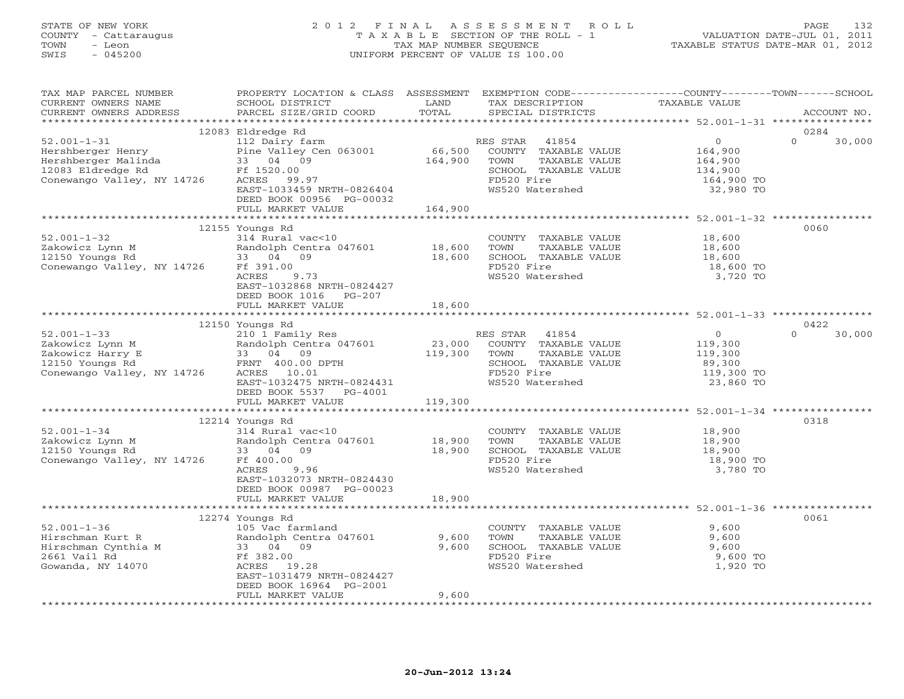## STATE OF NEW YORK 2 0 1 2 F I N A L A S S E S S M E N T R O L L PAGE 132 COUNTY - Cattaraugus T A X A B L E SECTION OF THE ROLL - 1 VALUATION DATE-JUL 01, 2011 TOWN - Leon TAX MAP NUMBER SEQUENCE TAXABLE STATUS DATE-MAR 01, 2012 SWIS - 045200 UNIFORM PERCENT OF VALUE IS 100.00UNIFORM PERCENT OF VALUE IS 100.00

| TAX MAP PARCEL NUMBER<br>CURRENT OWNERS NAME<br>CURRENT OWNERS ADDRESS                                                                                             | PROPERTY LOCATION & CLASS ASSESSMENT EXEMPTION CODE---------------COUNTY-------TOWN-----SCHOOL<br>SCHOOL DISTRICT<br>PARCEL SIZE/GRID COORD                                                | LAND<br>TOTAL                | TAX DESCRIPTION<br>SPECIAL DISTRICTS                                                                                        | TAXABLE VALUE                                                              | ACCOUNT NO.                |
|--------------------------------------------------------------------------------------------------------------------------------------------------------------------|--------------------------------------------------------------------------------------------------------------------------------------------------------------------------------------------|------------------------------|-----------------------------------------------------------------------------------------------------------------------------|----------------------------------------------------------------------------|----------------------------|
|                                                                                                                                                                    |                                                                                                                                                                                            |                              |                                                                                                                             |                                                                            |                            |
| $52.001 - 1 - 31$<br>Hershberger Henry<br>Hershberger Malinda<br>12083 Eldredge Rd<br>Conewango Valley, NY 14726                                                   | 12083 Eldredge Rd<br>112 Dairy farm<br>Pine Valley Cen 063001<br>33 04 09<br>Ff 1520.00<br>ACRES 99.97<br>EAST-1033459 NRTH-0826404<br>DEED BOOK 00956 PG-00032<br>FULL MARKET VALUE       | 66,500<br>164,900<br>164,900 | RES STAR<br>41854<br>COUNTY TAXABLE VALUE<br>TOWN<br>TAXABLE VALUE<br>SCHOOL TAXABLE VALUE<br>FD520 Fire<br>WS520 Watershed | $\overline{O}$<br>164,900<br>164,900<br>134,900<br>164,900 TO<br>32,980 TO | 0284<br>$\Omega$<br>30,000 |
|                                                                                                                                                                    |                                                                                                                                                                                            |                              |                                                                                                                             |                                                                            |                            |
| $52.001 - 1 - 32$<br>Randolph Cent<br>33 04 09<br>Zakowicz Lynn M<br>12150 Youngs Rd<br>Conewango Valley, NY 14726                                                 | 12155 Youngs Rd<br>314 Rural vac<10<br>Randolph Centra 047601 18,600<br>Ff 391.00<br>ACRES<br>9.73<br>EAST-1032868 NRTH-0824427<br>DEED BOOK 1016 PG-207                                   | 18,600                       | COUNTY TAXABLE VALUE<br>TAXABLE VALUE<br>TOWN<br>SCHOOL TAXABLE VALUE<br>FD520 Fire<br>WS520 Watershed                      | 18,600<br>18,600<br>18,600<br>18,600 TO<br>3,720 TO                        | 0060                       |
|                                                                                                                                                                    | FULL MARKET VALUE                                                                                                                                                                          | 18,600                       |                                                                                                                             |                                                                            |                            |
|                                                                                                                                                                    |                                                                                                                                                                                            |                              |                                                                                                                             |                                                                            |                            |
|                                                                                                                                                                    | 12150 Youngs Rd                                                                                                                                                                            |                              |                                                                                                                             |                                                                            | 0422                       |
| $52.001 - 1 - 33$<br>Xakowicz Lynn M Randolph Centra 04<br>Xakowicz Harry E 33 04 09<br>12150 Youngs Rd FRNT 400.00 DPTH<br>Conewango Valley, NY 14726 ACRES 10.01 | 210 1 Family Res<br>Randolph Centra 047601<br>EAST-1032475 NRTH-0824431<br>DEED BOOK 5537<br>PG-4001                                                                                       | 23,000<br>119,300            | RES STAR 41854<br>COUNTY TAXABLE VALUE<br>TOWN<br>TAXABLE VALUE<br>SCHOOL TAXABLE VALUE<br>FD520 Fire<br>WS520 Watershed    | $\overline{0}$<br>119,300<br>119,300<br>89,300<br>119,300 TO<br>23,860 TO  | 30,000<br>$\cap$           |
|                                                                                                                                                                    | FULL MARKET VALUE                                                                                                                                                                          | 119,300                      |                                                                                                                             |                                                                            |                            |
|                                                                                                                                                                    |                                                                                                                                                                                            |                              |                                                                                                                             |                                                                            |                            |
| $52.001 - 1 - 34$<br>Zakowicz Lynn M<br>12150 Youngs Rd<br>Conewango Valley, NY 14726                                                                              | 12214 Youngs Rd<br>314 Rural vac<10<br>Randolph Centra 047601<br>33 04 09<br>Ff 400.00<br>ACRES<br>9.96<br>EAST-1032073 NRTH-0824430<br>DEED BOOK 00987 PG-00023                           | 18,900<br>18,900             | COUNTY TAXABLE VALUE 18,900<br>TOWN<br>TAXABLE VALUE<br>SCHOOL TAXABLE VALUE<br>FD520 Fire<br>WS520 Watershed               | 18,900<br>18,900<br>18,900 TO<br>3,780 TO                                  | 0318                       |
|                                                                                                                                                                    | FULL MARKET VALUE                                                                                                                                                                          | 18,900                       |                                                                                                                             |                                                                            |                            |
| $52.001 - 1 - 36$<br>Hirschman Kurt R<br>Hirschman Cynthia M<br>2661 Vail Rd<br>Gowanda, NY 14070                                                                  | *************************<br>12274 Youngs Rd<br>105 Vac farmland<br>Randolph Centra 047601<br>33 04 09<br>Ff 382.00<br>ACRES 19.28<br>EAST-1031479 NRTH-0824427<br>DEED BOOK 16964 PG-2001 | 9,600<br>9,600               | COUNTY TAXABLE VALUE<br>TAXABLE VALUE<br>TOWN<br>SCHOOL TAXABLE VALUE<br>FD520 Fire<br>WS520 Watershed                      | 9,600<br>9,600<br>9,600<br>9,600 TO<br>1,920 TO                            | 0061                       |
|                                                                                                                                                                    | FULL MARKET VALUE                                                                                                                                                                          | 9,600                        |                                                                                                                             |                                                                            |                            |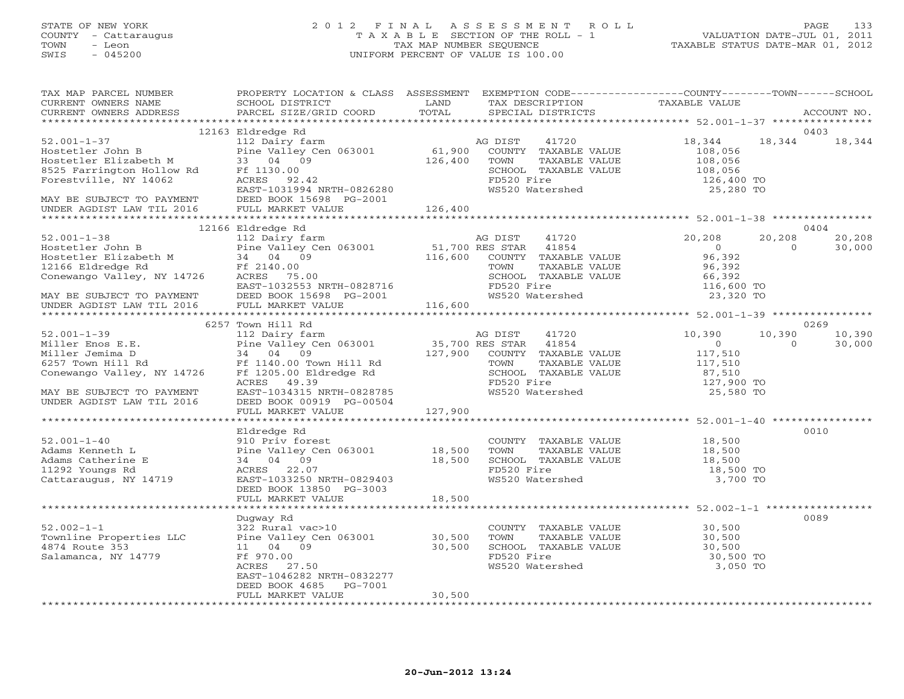## STATE OF NEW YORK 2 0 1 2 F I N A L A S S E S S M E N T R O L L PAGE 133 COUNTY - Cattaraugus T A X A B L E SECTION OF THE ROLL - 1 VALUATION DATE-JUL 01, 2011 TOWN - Leon TAX MAP NUMBER SEQUENCE TAXABLE STATUS DATE-MAR 01, 2012 SWIS - 045200 UNIFORM PERCENT OF VALUE IS 100.00UNIFORM PERCENT OF VALUE IS 100.00

| 12163 Eldredge Rd<br>0403<br>18, 344 18, 344<br>$52.001 - 1 - 37$<br>112 Dairy farm<br>18,344<br>41720<br>AG DIST<br>52.001-1-37<br>Hosteler John B Pine Valley Cen 063001 61,900<br>8525 Farrington Hollow Rd Ff 1130.00<br>Forestville, NY 14062 ACRES 92.42<br>MAY BE SUBJECT TO PAYMENT DEED BOOK 15698 PG-2001<br>THE NATE SUBJECT TO PAYMENT DEED BOOK<br>COUNTY TAXABLE VALUE<br>108,056<br>108,056<br>TOWN<br>TAXABLE VALUE<br>SCHOOL TAXABLE VALUE $108,056$<br>FD520 Fire 126,400 TO<br>FD520 Fire<br>WS520 Watershed<br>25,280 TO<br>12166 Eldredge Rd<br>0404<br>$52.001 - 1 - 38$<br>20,208<br>20,208<br>20,208<br>112 Dairy farm<br>AG DIST<br>41720<br>Hostetler John B<br>Hostetler Elizabeth M<br>12166 Eldredge Rd<br>2166 Eldredge Rd<br>2166 Eldredge Rd<br>2166 Eldredge Rd<br>2166 Eldredge Rd<br>2166 Eldredge Rd<br>2166 Eldredge Rd<br>2166 Eldredge Rd<br>2166 Eldredge Rd<br>2166 Eldredge Rd<br><br>$\sim$ 0<br>$\overline{0}$<br>30,000<br>96,392<br>96,392<br>A THE 2140.00<br>Conewango Valley, NY 14726<br>MAY BE SUBJECT TO PAYMENT<br>UNDER AGDIST LAW TIL 2016<br>FULL MARKET VALUE 116,600<br>WAY ARE SUBJECT TO PAYMENT<br>UNDER AGDIST LAW TIL 2016<br>FULL MARKET VALUE 116,600<br>****************<br>SCHOOL TAXABLE VALUE<br>FO520 Fire 116,600 TO FO520 Fire 116,600 TO<br>FD520 Fire<br>WS520 Watershed<br>23,320 TO<br>6257 Town Hill Rd<br>0269<br>41720 10,390<br>10,390 10,390<br>$\overline{0}$<br>30,000<br>$\sim$ 0<br>117,510<br>117,510<br>SCHOOL TAXABLE VALUE<br>FD520 Fire<br>WG520 Fire<br>87,510<br>127,900 TO<br>MAY BE SUBJECT TO PAYMENT<br>MAY BE SUBJECT TO PAYMENT<br>UNDER AGDIST LAW TIL 2016<br>THE BOOK 00919 PG-00504<br>WS520 Watershed<br>25,580 TO<br>0010<br>Eldredge Rd<br>910 Priv forest<br>COUNTY TAXABLE VALUE 18,500<br>$52.001 - 1 - 40$<br>910 Priv forest<br>Pine Valley Cen 063001 18,500<br>34 04 09 18,500<br>ACRES 22.07<br>Adams Kenneth L<br>TOWN<br>TAXABLE VALUE<br>18,500<br>18,500<br>Adams Catherine E<br>SCHOOL TAXABLE VALUE<br>FD520 Fire<br>11292 Youngs Rd<br>18,500 TO<br>Cattaraugus, NY 14719<br>WS520 Watershed<br>EAST-1033250 NRTH-0829403<br>3,700 TO<br>DEED BOOK 13850 PG-3003<br>FULL MARKET VALUE<br>18,500<br>0089<br>Dugway Rd<br>$52.002 - 1 - 1$<br>322 Rural vac>10<br>$30,500$<br>$30,500$<br>COUNTY TAXABLE VALUE<br>Townline Properties LLC Pine Valley Cen 063001 30,500<br>TOWN<br>TAXABLE VALUE<br>30,500<br>4874 Route 353<br>11 04 09<br>SCHOOL TAXABLE VALUE<br>30,500<br>Salamanca, NY 14779<br>Ff 970.00<br>FD520 Fire<br>WS520 Watershed<br>30,500 TO<br>3,050 TO<br>ACRES 27.50<br>EAST-1046282 NRTH-0832277<br>DEED BOOK 4685<br>PG-7001<br>30,500<br>FULL MARKET VALUE<br>*********************** | TAX MAP PARCEL NUMBER<br>CURRENT OWNERS NAME | PROPERTY LOCATION & CLASS ASSESSMENT EXEMPTION CODE----------------COUNTY-------TOWN------SCHOOL<br>SCHOOL DISTRICT<br>SCHOOL DISTRICT<br>PARCEL SIZE/GRID COORD | LAND  | TAX DESCRIPTION TAXABLE VALUE |             |
|-----------------------------------------------------------------------------------------------------------------------------------------------------------------------------------------------------------------------------------------------------------------------------------------------------------------------------------------------------------------------------------------------------------------------------------------------------------------------------------------------------------------------------------------------------------------------------------------------------------------------------------------------------------------------------------------------------------------------------------------------------------------------------------------------------------------------------------------------------------------------------------------------------------------------------------------------------------------------------------------------------------------------------------------------------------------------------------------------------------------------------------------------------------------------------------------------------------------------------------------------------------------------------------------------------------------------------------------------------------------------------------------------------------------------------------------------------------------------------------------------------------------------------------------------------------------------------------------------------------------------------------------------------------------------------------------------------------------------------------------------------------------------------------------------------------------------------------------------------------------------------------------------------------------------------------------------------------------------------------------------------------------------------------------------------------------------------------------------------------------------------------------------------------------------------------------------------------------------------------------------------------------------------------------------------------------------------------------------------------------------------------------------------------------------------------------------------------------------------------------------------------------------------------------------------------------------------------------------------------------------------------------------------------------------------------------------------------------------------------|----------------------------------------------|------------------------------------------------------------------------------------------------------------------------------------------------------------------|-------|-------------------------------|-------------|
|                                                                                                                                                                                                                                                                                                                                                                                                                                                                                                                                                                                                                                                                                                                                                                                                                                                                                                                                                                                                                                                                                                                                                                                                                                                                                                                                                                                                                                                                                                                                                                                                                                                                                                                                                                                                                                                                                                                                                                                                                                                                                                                                                                                                                                                                                                                                                                                                                                                                                                                                                                                                                                                                                                                                   | CURRENT OWNERS ADDRESS                       |                                                                                                                                                                  | TOTAL | SPECIAL DISTRICTS             | ACCOUNT NO. |
|                                                                                                                                                                                                                                                                                                                                                                                                                                                                                                                                                                                                                                                                                                                                                                                                                                                                                                                                                                                                                                                                                                                                                                                                                                                                                                                                                                                                                                                                                                                                                                                                                                                                                                                                                                                                                                                                                                                                                                                                                                                                                                                                                                                                                                                                                                                                                                                                                                                                                                                                                                                                                                                                                                                                   |                                              |                                                                                                                                                                  |       |                               |             |
|                                                                                                                                                                                                                                                                                                                                                                                                                                                                                                                                                                                                                                                                                                                                                                                                                                                                                                                                                                                                                                                                                                                                                                                                                                                                                                                                                                                                                                                                                                                                                                                                                                                                                                                                                                                                                                                                                                                                                                                                                                                                                                                                                                                                                                                                                                                                                                                                                                                                                                                                                                                                                                                                                                                                   |                                              |                                                                                                                                                                  |       |                               |             |
|                                                                                                                                                                                                                                                                                                                                                                                                                                                                                                                                                                                                                                                                                                                                                                                                                                                                                                                                                                                                                                                                                                                                                                                                                                                                                                                                                                                                                                                                                                                                                                                                                                                                                                                                                                                                                                                                                                                                                                                                                                                                                                                                                                                                                                                                                                                                                                                                                                                                                                                                                                                                                                                                                                                                   |                                              |                                                                                                                                                                  |       |                               |             |
|                                                                                                                                                                                                                                                                                                                                                                                                                                                                                                                                                                                                                                                                                                                                                                                                                                                                                                                                                                                                                                                                                                                                                                                                                                                                                                                                                                                                                                                                                                                                                                                                                                                                                                                                                                                                                                                                                                                                                                                                                                                                                                                                                                                                                                                                                                                                                                                                                                                                                                                                                                                                                                                                                                                                   |                                              |                                                                                                                                                                  |       |                               |             |
|                                                                                                                                                                                                                                                                                                                                                                                                                                                                                                                                                                                                                                                                                                                                                                                                                                                                                                                                                                                                                                                                                                                                                                                                                                                                                                                                                                                                                                                                                                                                                                                                                                                                                                                                                                                                                                                                                                                                                                                                                                                                                                                                                                                                                                                                                                                                                                                                                                                                                                                                                                                                                                                                                                                                   |                                              |                                                                                                                                                                  |       |                               |             |
|                                                                                                                                                                                                                                                                                                                                                                                                                                                                                                                                                                                                                                                                                                                                                                                                                                                                                                                                                                                                                                                                                                                                                                                                                                                                                                                                                                                                                                                                                                                                                                                                                                                                                                                                                                                                                                                                                                                                                                                                                                                                                                                                                                                                                                                                                                                                                                                                                                                                                                                                                                                                                                                                                                                                   |                                              |                                                                                                                                                                  |       |                               |             |
|                                                                                                                                                                                                                                                                                                                                                                                                                                                                                                                                                                                                                                                                                                                                                                                                                                                                                                                                                                                                                                                                                                                                                                                                                                                                                                                                                                                                                                                                                                                                                                                                                                                                                                                                                                                                                                                                                                                                                                                                                                                                                                                                                                                                                                                                                                                                                                                                                                                                                                                                                                                                                                                                                                                                   |                                              |                                                                                                                                                                  |       |                               |             |
|                                                                                                                                                                                                                                                                                                                                                                                                                                                                                                                                                                                                                                                                                                                                                                                                                                                                                                                                                                                                                                                                                                                                                                                                                                                                                                                                                                                                                                                                                                                                                                                                                                                                                                                                                                                                                                                                                                                                                                                                                                                                                                                                                                                                                                                                                                                                                                                                                                                                                                                                                                                                                                                                                                                                   |                                              |                                                                                                                                                                  |       |                               |             |
|                                                                                                                                                                                                                                                                                                                                                                                                                                                                                                                                                                                                                                                                                                                                                                                                                                                                                                                                                                                                                                                                                                                                                                                                                                                                                                                                                                                                                                                                                                                                                                                                                                                                                                                                                                                                                                                                                                                                                                                                                                                                                                                                                                                                                                                                                                                                                                                                                                                                                                                                                                                                                                                                                                                                   |                                              |                                                                                                                                                                  |       |                               |             |
|                                                                                                                                                                                                                                                                                                                                                                                                                                                                                                                                                                                                                                                                                                                                                                                                                                                                                                                                                                                                                                                                                                                                                                                                                                                                                                                                                                                                                                                                                                                                                                                                                                                                                                                                                                                                                                                                                                                                                                                                                                                                                                                                                                                                                                                                                                                                                                                                                                                                                                                                                                                                                                                                                                                                   |                                              |                                                                                                                                                                  |       |                               |             |
|                                                                                                                                                                                                                                                                                                                                                                                                                                                                                                                                                                                                                                                                                                                                                                                                                                                                                                                                                                                                                                                                                                                                                                                                                                                                                                                                                                                                                                                                                                                                                                                                                                                                                                                                                                                                                                                                                                                                                                                                                                                                                                                                                                                                                                                                                                                                                                                                                                                                                                                                                                                                                                                                                                                                   |                                              |                                                                                                                                                                  |       |                               |             |
|                                                                                                                                                                                                                                                                                                                                                                                                                                                                                                                                                                                                                                                                                                                                                                                                                                                                                                                                                                                                                                                                                                                                                                                                                                                                                                                                                                                                                                                                                                                                                                                                                                                                                                                                                                                                                                                                                                                                                                                                                                                                                                                                                                                                                                                                                                                                                                                                                                                                                                                                                                                                                                                                                                                                   |                                              |                                                                                                                                                                  |       |                               |             |
|                                                                                                                                                                                                                                                                                                                                                                                                                                                                                                                                                                                                                                                                                                                                                                                                                                                                                                                                                                                                                                                                                                                                                                                                                                                                                                                                                                                                                                                                                                                                                                                                                                                                                                                                                                                                                                                                                                                                                                                                                                                                                                                                                                                                                                                                                                                                                                                                                                                                                                                                                                                                                                                                                                                                   |                                              |                                                                                                                                                                  |       |                               |             |
|                                                                                                                                                                                                                                                                                                                                                                                                                                                                                                                                                                                                                                                                                                                                                                                                                                                                                                                                                                                                                                                                                                                                                                                                                                                                                                                                                                                                                                                                                                                                                                                                                                                                                                                                                                                                                                                                                                                                                                                                                                                                                                                                                                                                                                                                                                                                                                                                                                                                                                                                                                                                                                                                                                                                   |                                              |                                                                                                                                                                  |       |                               |             |
|                                                                                                                                                                                                                                                                                                                                                                                                                                                                                                                                                                                                                                                                                                                                                                                                                                                                                                                                                                                                                                                                                                                                                                                                                                                                                                                                                                                                                                                                                                                                                                                                                                                                                                                                                                                                                                                                                                                                                                                                                                                                                                                                                                                                                                                                                                                                                                                                                                                                                                                                                                                                                                                                                                                                   |                                              |                                                                                                                                                                  |       |                               |             |
|                                                                                                                                                                                                                                                                                                                                                                                                                                                                                                                                                                                                                                                                                                                                                                                                                                                                                                                                                                                                                                                                                                                                                                                                                                                                                                                                                                                                                                                                                                                                                                                                                                                                                                                                                                                                                                                                                                                                                                                                                                                                                                                                                                                                                                                                                                                                                                                                                                                                                                                                                                                                                                                                                                                                   |                                              |                                                                                                                                                                  |       |                               |             |
|                                                                                                                                                                                                                                                                                                                                                                                                                                                                                                                                                                                                                                                                                                                                                                                                                                                                                                                                                                                                                                                                                                                                                                                                                                                                                                                                                                                                                                                                                                                                                                                                                                                                                                                                                                                                                                                                                                                                                                                                                                                                                                                                                                                                                                                                                                                                                                                                                                                                                                                                                                                                                                                                                                                                   |                                              |                                                                                                                                                                  |       |                               |             |
|                                                                                                                                                                                                                                                                                                                                                                                                                                                                                                                                                                                                                                                                                                                                                                                                                                                                                                                                                                                                                                                                                                                                                                                                                                                                                                                                                                                                                                                                                                                                                                                                                                                                                                                                                                                                                                                                                                                                                                                                                                                                                                                                                                                                                                                                                                                                                                                                                                                                                                                                                                                                                                                                                                                                   |                                              |                                                                                                                                                                  |       |                               |             |
|                                                                                                                                                                                                                                                                                                                                                                                                                                                                                                                                                                                                                                                                                                                                                                                                                                                                                                                                                                                                                                                                                                                                                                                                                                                                                                                                                                                                                                                                                                                                                                                                                                                                                                                                                                                                                                                                                                                                                                                                                                                                                                                                                                                                                                                                                                                                                                                                                                                                                                                                                                                                                                                                                                                                   |                                              |                                                                                                                                                                  |       |                               |             |
|                                                                                                                                                                                                                                                                                                                                                                                                                                                                                                                                                                                                                                                                                                                                                                                                                                                                                                                                                                                                                                                                                                                                                                                                                                                                                                                                                                                                                                                                                                                                                                                                                                                                                                                                                                                                                                                                                                                                                                                                                                                                                                                                                                                                                                                                                                                                                                                                                                                                                                                                                                                                                                                                                                                                   |                                              |                                                                                                                                                                  |       |                               |             |
|                                                                                                                                                                                                                                                                                                                                                                                                                                                                                                                                                                                                                                                                                                                                                                                                                                                                                                                                                                                                                                                                                                                                                                                                                                                                                                                                                                                                                                                                                                                                                                                                                                                                                                                                                                                                                                                                                                                                                                                                                                                                                                                                                                                                                                                                                                                                                                                                                                                                                                                                                                                                                                                                                                                                   |                                              |                                                                                                                                                                  |       |                               |             |
|                                                                                                                                                                                                                                                                                                                                                                                                                                                                                                                                                                                                                                                                                                                                                                                                                                                                                                                                                                                                                                                                                                                                                                                                                                                                                                                                                                                                                                                                                                                                                                                                                                                                                                                                                                                                                                                                                                                                                                                                                                                                                                                                                                                                                                                                                                                                                                                                                                                                                                                                                                                                                                                                                                                                   |                                              |                                                                                                                                                                  |       |                               |             |
|                                                                                                                                                                                                                                                                                                                                                                                                                                                                                                                                                                                                                                                                                                                                                                                                                                                                                                                                                                                                                                                                                                                                                                                                                                                                                                                                                                                                                                                                                                                                                                                                                                                                                                                                                                                                                                                                                                                                                                                                                                                                                                                                                                                                                                                                                                                                                                                                                                                                                                                                                                                                                                                                                                                                   |                                              |                                                                                                                                                                  |       |                               |             |
|                                                                                                                                                                                                                                                                                                                                                                                                                                                                                                                                                                                                                                                                                                                                                                                                                                                                                                                                                                                                                                                                                                                                                                                                                                                                                                                                                                                                                                                                                                                                                                                                                                                                                                                                                                                                                                                                                                                                                                                                                                                                                                                                                                                                                                                                                                                                                                                                                                                                                                                                                                                                                                                                                                                                   |                                              |                                                                                                                                                                  |       |                               |             |
|                                                                                                                                                                                                                                                                                                                                                                                                                                                                                                                                                                                                                                                                                                                                                                                                                                                                                                                                                                                                                                                                                                                                                                                                                                                                                                                                                                                                                                                                                                                                                                                                                                                                                                                                                                                                                                                                                                                                                                                                                                                                                                                                                                                                                                                                                                                                                                                                                                                                                                                                                                                                                                                                                                                                   |                                              |                                                                                                                                                                  |       |                               |             |
|                                                                                                                                                                                                                                                                                                                                                                                                                                                                                                                                                                                                                                                                                                                                                                                                                                                                                                                                                                                                                                                                                                                                                                                                                                                                                                                                                                                                                                                                                                                                                                                                                                                                                                                                                                                                                                                                                                                                                                                                                                                                                                                                                                                                                                                                                                                                                                                                                                                                                                                                                                                                                                                                                                                                   |                                              |                                                                                                                                                                  |       |                               |             |
|                                                                                                                                                                                                                                                                                                                                                                                                                                                                                                                                                                                                                                                                                                                                                                                                                                                                                                                                                                                                                                                                                                                                                                                                                                                                                                                                                                                                                                                                                                                                                                                                                                                                                                                                                                                                                                                                                                                                                                                                                                                                                                                                                                                                                                                                                                                                                                                                                                                                                                                                                                                                                                                                                                                                   |                                              |                                                                                                                                                                  |       |                               |             |
|                                                                                                                                                                                                                                                                                                                                                                                                                                                                                                                                                                                                                                                                                                                                                                                                                                                                                                                                                                                                                                                                                                                                                                                                                                                                                                                                                                                                                                                                                                                                                                                                                                                                                                                                                                                                                                                                                                                                                                                                                                                                                                                                                                                                                                                                                                                                                                                                                                                                                                                                                                                                                                                                                                                                   |                                              |                                                                                                                                                                  |       |                               |             |
|                                                                                                                                                                                                                                                                                                                                                                                                                                                                                                                                                                                                                                                                                                                                                                                                                                                                                                                                                                                                                                                                                                                                                                                                                                                                                                                                                                                                                                                                                                                                                                                                                                                                                                                                                                                                                                                                                                                                                                                                                                                                                                                                                                                                                                                                                                                                                                                                                                                                                                                                                                                                                                                                                                                                   |                                              |                                                                                                                                                                  |       |                               |             |
|                                                                                                                                                                                                                                                                                                                                                                                                                                                                                                                                                                                                                                                                                                                                                                                                                                                                                                                                                                                                                                                                                                                                                                                                                                                                                                                                                                                                                                                                                                                                                                                                                                                                                                                                                                                                                                                                                                                                                                                                                                                                                                                                                                                                                                                                                                                                                                                                                                                                                                                                                                                                                                                                                                                                   |                                              |                                                                                                                                                                  |       |                               |             |
|                                                                                                                                                                                                                                                                                                                                                                                                                                                                                                                                                                                                                                                                                                                                                                                                                                                                                                                                                                                                                                                                                                                                                                                                                                                                                                                                                                                                                                                                                                                                                                                                                                                                                                                                                                                                                                                                                                                                                                                                                                                                                                                                                                                                                                                                                                                                                                                                                                                                                                                                                                                                                                                                                                                                   |                                              |                                                                                                                                                                  |       |                               |             |
|                                                                                                                                                                                                                                                                                                                                                                                                                                                                                                                                                                                                                                                                                                                                                                                                                                                                                                                                                                                                                                                                                                                                                                                                                                                                                                                                                                                                                                                                                                                                                                                                                                                                                                                                                                                                                                                                                                                                                                                                                                                                                                                                                                                                                                                                                                                                                                                                                                                                                                                                                                                                                                                                                                                                   |                                              |                                                                                                                                                                  |       |                               |             |
|                                                                                                                                                                                                                                                                                                                                                                                                                                                                                                                                                                                                                                                                                                                                                                                                                                                                                                                                                                                                                                                                                                                                                                                                                                                                                                                                                                                                                                                                                                                                                                                                                                                                                                                                                                                                                                                                                                                                                                                                                                                                                                                                                                                                                                                                                                                                                                                                                                                                                                                                                                                                                                                                                                                                   |                                              |                                                                                                                                                                  |       |                               |             |
|                                                                                                                                                                                                                                                                                                                                                                                                                                                                                                                                                                                                                                                                                                                                                                                                                                                                                                                                                                                                                                                                                                                                                                                                                                                                                                                                                                                                                                                                                                                                                                                                                                                                                                                                                                                                                                                                                                                                                                                                                                                                                                                                                                                                                                                                                                                                                                                                                                                                                                                                                                                                                                                                                                                                   |                                              |                                                                                                                                                                  |       |                               |             |
|                                                                                                                                                                                                                                                                                                                                                                                                                                                                                                                                                                                                                                                                                                                                                                                                                                                                                                                                                                                                                                                                                                                                                                                                                                                                                                                                                                                                                                                                                                                                                                                                                                                                                                                                                                                                                                                                                                                                                                                                                                                                                                                                                                                                                                                                                                                                                                                                                                                                                                                                                                                                                                                                                                                                   |                                              |                                                                                                                                                                  |       |                               |             |
|                                                                                                                                                                                                                                                                                                                                                                                                                                                                                                                                                                                                                                                                                                                                                                                                                                                                                                                                                                                                                                                                                                                                                                                                                                                                                                                                                                                                                                                                                                                                                                                                                                                                                                                                                                                                                                                                                                                                                                                                                                                                                                                                                                                                                                                                                                                                                                                                                                                                                                                                                                                                                                                                                                                                   |                                              |                                                                                                                                                                  |       |                               |             |
|                                                                                                                                                                                                                                                                                                                                                                                                                                                                                                                                                                                                                                                                                                                                                                                                                                                                                                                                                                                                                                                                                                                                                                                                                                                                                                                                                                                                                                                                                                                                                                                                                                                                                                                                                                                                                                                                                                                                                                                                                                                                                                                                                                                                                                                                                                                                                                                                                                                                                                                                                                                                                                                                                                                                   |                                              |                                                                                                                                                                  |       |                               |             |
|                                                                                                                                                                                                                                                                                                                                                                                                                                                                                                                                                                                                                                                                                                                                                                                                                                                                                                                                                                                                                                                                                                                                                                                                                                                                                                                                                                                                                                                                                                                                                                                                                                                                                                                                                                                                                                                                                                                                                                                                                                                                                                                                                                                                                                                                                                                                                                                                                                                                                                                                                                                                                                                                                                                                   |                                              |                                                                                                                                                                  |       |                               |             |
|                                                                                                                                                                                                                                                                                                                                                                                                                                                                                                                                                                                                                                                                                                                                                                                                                                                                                                                                                                                                                                                                                                                                                                                                                                                                                                                                                                                                                                                                                                                                                                                                                                                                                                                                                                                                                                                                                                                                                                                                                                                                                                                                                                                                                                                                                                                                                                                                                                                                                                                                                                                                                                                                                                                                   |                                              |                                                                                                                                                                  |       |                               |             |
|                                                                                                                                                                                                                                                                                                                                                                                                                                                                                                                                                                                                                                                                                                                                                                                                                                                                                                                                                                                                                                                                                                                                                                                                                                                                                                                                                                                                                                                                                                                                                                                                                                                                                                                                                                                                                                                                                                                                                                                                                                                                                                                                                                                                                                                                                                                                                                                                                                                                                                                                                                                                                                                                                                                                   |                                              |                                                                                                                                                                  |       |                               |             |
|                                                                                                                                                                                                                                                                                                                                                                                                                                                                                                                                                                                                                                                                                                                                                                                                                                                                                                                                                                                                                                                                                                                                                                                                                                                                                                                                                                                                                                                                                                                                                                                                                                                                                                                                                                                                                                                                                                                                                                                                                                                                                                                                                                                                                                                                                                                                                                                                                                                                                                                                                                                                                                                                                                                                   |                                              |                                                                                                                                                                  |       |                               |             |
|                                                                                                                                                                                                                                                                                                                                                                                                                                                                                                                                                                                                                                                                                                                                                                                                                                                                                                                                                                                                                                                                                                                                                                                                                                                                                                                                                                                                                                                                                                                                                                                                                                                                                                                                                                                                                                                                                                                                                                                                                                                                                                                                                                                                                                                                                                                                                                                                                                                                                                                                                                                                                                                                                                                                   |                                              |                                                                                                                                                                  |       |                               |             |
|                                                                                                                                                                                                                                                                                                                                                                                                                                                                                                                                                                                                                                                                                                                                                                                                                                                                                                                                                                                                                                                                                                                                                                                                                                                                                                                                                                                                                                                                                                                                                                                                                                                                                                                                                                                                                                                                                                                                                                                                                                                                                                                                                                                                                                                                                                                                                                                                                                                                                                                                                                                                                                                                                                                                   |                                              |                                                                                                                                                                  |       |                               |             |
|                                                                                                                                                                                                                                                                                                                                                                                                                                                                                                                                                                                                                                                                                                                                                                                                                                                                                                                                                                                                                                                                                                                                                                                                                                                                                                                                                                                                                                                                                                                                                                                                                                                                                                                                                                                                                                                                                                                                                                                                                                                                                                                                                                                                                                                                                                                                                                                                                                                                                                                                                                                                                                                                                                                                   |                                              |                                                                                                                                                                  |       |                               |             |
|                                                                                                                                                                                                                                                                                                                                                                                                                                                                                                                                                                                                                                                                                                                                                                                                                                                                                                                                                                                                                                                                                                                                                                                                                                                                                                                                                                                                                                                                                                                                                                                                                                                                                                                                                                                                                                                                                                                                                                                                                                                                                                                                                                                                                                                                                                                                                                                                                                                                                                                                                                                                                                                                                                                                   |                                              |                                                                                                                                                                  |       |                               |             |
|                                                                                                                                                                                                                                                                                                                                                                                                                                                                                                                                                                                                                                                                                                                                                                                                                                                                                                                                                                                                                                                                                                                                                                                                                                                                                                                                                                                                                                                                                                                                                                                                                                                                                                                                                                                                                                                                                                                                                                                                                                                                                                                                                                                                                                                                                                                                                                                                                                                                                                                                                                                                                                                                                                                                   |                                              |                                                                                                                                                                  |       |                               |             |
|                                                                                                                                                                                                                                                                                                                                                                                                                                                                                                                                                                                                                                                                                                                                                                                                                                                                                                                                                                                                                                                                                                                                                                                                                                                                                                                                                                                                                                                                                                                                                                                                                                                                                                                                                                                                                                                                                                                                                                                                                                                                                                                                                                                                                                                                                                                                                                                                                                                                                                                                                                                                                                                                                                                                   |                                              |                                                                                                                                                                  |       |                               |             |
|                                                                                                                                                                                                                                                                                                                                                                                                                                                                                                                                                                                                                                                                                                                                                                                                                                                                                                                                                                                                                                                                                                                                                                                                                                                                                                                                                                                                                                                                                                                                                                                                                                                                                                                                                                                                                                                                                                                                                                                                                                                                                                                                                                                                                                                                                                                                                                                                                                                                                                                                                                                                                                                                                                                                   |                                              |                                                                                                                                                                  |       |                               |             |
|                                                                                                                                                                                                                                                                                                                                                                                                                                                                                                                                                                                                                                                                                                                                                                                                                                                                                                                                                                                                                                                                                                                                                                                                                                                                                                                                                                                                                                                                                                                                                                                                                                                                                                                                                                                                                                                                                                                                                                                                                                                                                                                                                                                                                                                                                                                                                                                                                                                                                                                                                                                                                                                                                                                                   |                                              |                                                                                                                                                                  |       |                               |             |
|                                                                                                                                                                                                                                                                                                                                                                                                                                                                                                                                                                                                                                                                                                                                                                                                                                                                                                                                                                                                                                                                                                                                                                                                                                                                                                                                                                                                                                                                                                                                                                                                                                                                                                                                                                                                                                                                                                                                                                                                                                                                                                                                                                                                                                                                                                                                                                                                                                                                                                                                                                                                                                                                                                                                   |                                              |                                                                                                                                                                  |       |                               |             |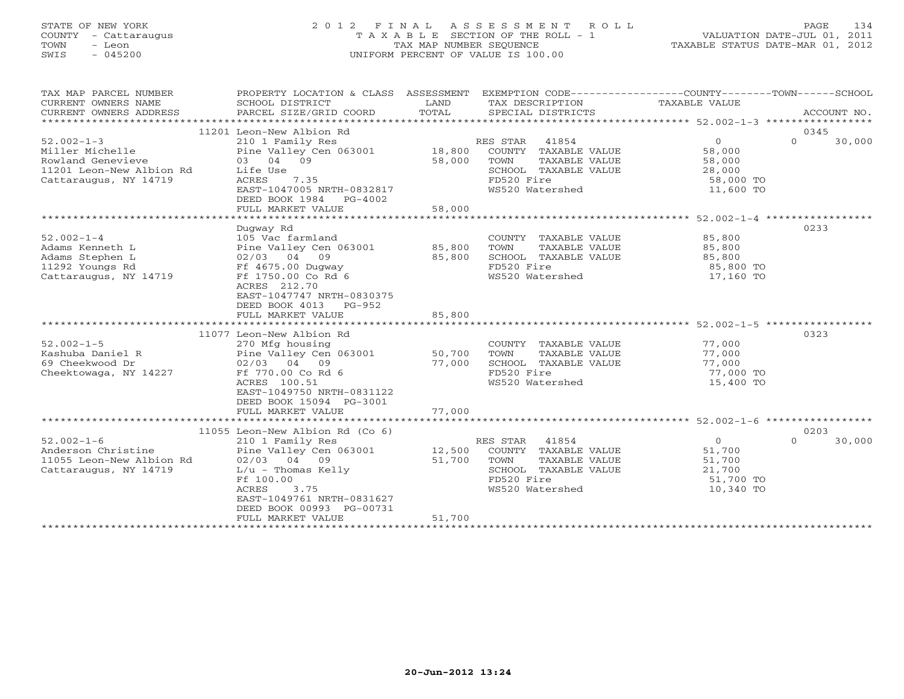# STATE OF NEW YORK 2 0 1 2 F I N A L A S S E S S M E N T R O L L PAGE 134 COUNTY - Cattaraugus T A X A B L E SECTION OF THE ROLL - 1 VALUATION DATE-JUL 01, 2011 TOWN - Leon TAX MAP NUMBER SEQUENCE TAXABLE STATUS DATE-MAR 01, 2012 SWIS - 045200 UNIFORM PERCENT OF VALUE IS 100.00UNIFORM PERCENT OF VALUE IS 100.00

| TAX MAP PARCEL NUMBER<br>CURRENT OWNERS NAME<br>CURRENT OWNERS ADDRESS | PROPERTY LOCATION & CLASS ASSESSMENT<br>SCHOOL DISTRICT<br>PARCEL SIZE/GRID COORD | LAND<br>TOTAL | EXEMPTION CODE-----------------COUNTY-------TOWN------SCHOOL<br>TAX DESCRIPTION TAXABLE VALUE<br>SPECIAL DISTRICTS |                          | ACCOUNT NO.        |
|------------------------------------------------------------------------|-----------------------------------------------------------------------------------|---------------|--------------------------------------------------------------------------------------------------------------------|--------------------------|--------------------|
|                                                                        | 11201 Leon-New Albion Rd                                                          |               |                                                                                                                    |                          | 0345               |
| $52.002 - 1 - 3$                                                       | 210 1 Family Res                                                                  |               | RES STAR 41854                                                                                                     | $\Omega$                 | $\Omega$<br>30,000 |
| Miller Michelle                                                        | Pine Valley Cen 063001 18,800                                                     |               | COUNTY TAXABLE VALUE                                                                                               | 58,000                   |                    |
| Rowland Genevieve                                                      | 03 04 09                                                                          | 58,000        | TOWN<br>TAXABLE VALUE                                                                                              | 58,000                   |                    |
| 11201 Leon-New Albion Rd                                               | Life Use                                                                          |               | SCHOOL TAXABLE VALUE                                                                                               | 28,000                   |                    |
| Cattaraugus, NY 14719                                                  | ACRES 7.35                                                                        |               | FD520 Fire                                                                                                         | 58,000 TO                |                    |
|                                                                        | EAST-1047005 NRTH-0832817                                                         |               | WS520 Watershed                                                                                                    | 11,600 TO                |                    |
|                                                                        | DEED BOOK 1984 PG-4002                                                            |               |                                                                                                                    |                          |                    |
|                                                                        | FULL MARKET VALUE                                                                 | 58,000        |                                                                                                                    |                          |                    |
|                                                                        |                                                                                   |               |                                                                                                                    |                          |                    |
|                                                                        | Dugway Rd                                                                         |               |                                                                                                                    |                          | 0233               |
| $52.002 - 1 - 4$                                                       | 105 Vac farmland                                                                  |               | COUNTY TAXABLE VALUE                                                                                               | 85,800                   |                    |
| Adams Kenneth L                                                        | Pine Valley Cen 063001 85,800                                                     |               | TAXABLE VALUE<br>TOWN                                                                                              | 85,800                   |                    |
| Adams Stephen L                                                        | 02/03 04 09                                                                       | 85,800        | SCHOOL TAXABLE VALUE                                                                                               | 85,800                   |                    |
| 11292 Youngs Rd                                                        | Ff 4675.00 Duqway                                                                 |               | FD520 Fire                                                                                                         | 85,800 TO                |                    |
| Cattaraugus, NY 14719                                                  | Ff 1750.00 Co Rd 6                                                                |               | WS520 Watershed                                                                                                    | 17,160 TO                |                    |
|                                                                        | ACRES 212.70                                                                      |               |                                                                                                                    |                          |                    |
|                                                                        | EAST-1047747 NRTH-0830375                                                         |               |                                                                                                                    |                          |                    |
|                                                                        | DEED BOOK 4013 PG-952                                                             |               |                                                                                                                    |                          |                    |
|                                                                        | FULL MARKET VALUE                                                                 | 85,800        |                                                                                                                    |                          |                    |
|                                                                        |                                                                                   |               |                                                                                                                    |                          |                    |
|                                                                        | 11077 Leon-New Albion Rd                                                          |               |                                                                                                                    |                          | 0323               |
| $52.002 - 1 - 5$                                                       | 270 Mfg housing                                                                   |               | COUNTY TAXABLE VALUE                                                                                               | 77,000                   |                    |
| Kashuba Daniel R                                                       | % 270 Mrg nousing<br>Pine Valley Cen 063001 50,700                                |               | TOWN<br>TAXABLE VALUE                                                                                              | 77,000                   |                    |
| 69 Cheekwood Dr                                                        | 02/03 04 09                                                                       | 77,000        | SCHOOL TAXABLE VALUE                                                                                               | $77,000$ TO<br>77,000 TO |                    |
| Cheektowaga, NY 14227                                                  | Ff 770.00 Co Rd 6                                                                 |               | FD520 Fire                                                                                                         |                          |                    |
|                                                                        | ACRES 100.51                                                                      |               | WS520 Watershed                                                                                                    | 15,400 TO                |                    |
|                                                                        | EAST-1049750 NRTH-0831122                                                         |               |                                                                                                                    |                          |                    |
|                                                                        | DEED BOOK 15094 PG-3001                                                           |               |                                                                                                                    |                          |                    |
|                                                                        |                                                                                   |               |                                                                                                                    |                          |                    |
|                                                                        |                                                                                   |               |                                                                                                                    |                          |                    |
|                                                                        | 11055 Leon-New Albion Rd (Co 6)                                                   |               |                                                                                                                    |                          | 0203               |
| $52.002 - 1 - 6$                                                       | 210 1 Family Res                                                                  |               | RES STAR<br>41854                                                                                                  | $0 \qquad \qquad$        | $\Omega$<br>30,000 |
| Anderson Christine                                                     | Pine Valley Cen 063001                                                            | 12,500        | COUNTY TAXABLE VALUE                                                                                               | 51,700                   |                    |
| 11055 Leon-New Albion Rd                                               | 02/03 04 09                                                                       | 51,700        | TOWN<br>TAXABLE VALUE                                                                                              | 51,700                   |                    |
| Cattaraugus, NY 14719                                                  | $L/u$ - Thomas Kelly                                                              |               | SCHOOL TAXABLE VALUE                                                                                               | 21,700                   |                    |
|                                                                        | Ff 100.00                                                                         |               | FD520 Fire                                                                                                         | 51,700 TO                |                    |
|                                                                        | ACRES<br>3.75                                                                     |               | WS520 Watershed                                                                                                    | 10,340 TO                |                    |
|                                                                        | EAST-1049761 NRTH-0831627                                                         |               |                                                                                                                    |                          |                    |
|                                                                        | DEED BOOK 00993 PG-00731                                                          |               |                                                                                                                    |                          |                    |
|                                                                        | FULL MARKET VALUE                                                                 | 51,700        |                                                                                                                    |                          |                    |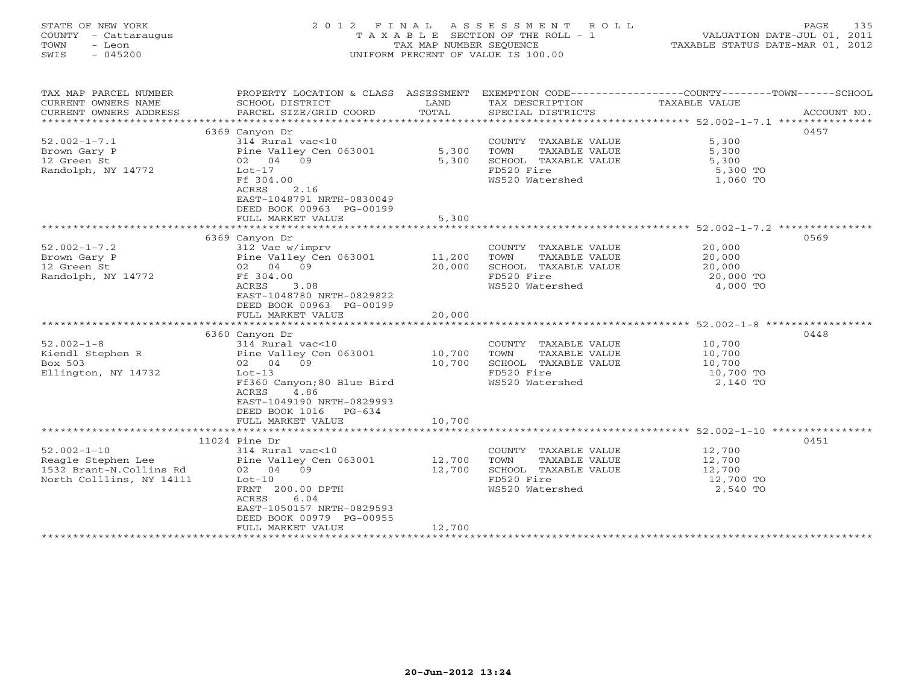# STATE OF NEW YORK 2 0 1 2 F I N A L A S S E S S M E N T R O L L PAGE 135 COUNTY - Cattaraugus T A X A B L E SECTION OF THE ROLL - 1 VALUATION DATE-JUL 01, 2011 TOWN - Leon TAX MAP NUMBER SEQUENCE TAXABLE STATUS DATE-MAR 01, 2012 SWIS - 045200 UNIFORM PERCENT OF VALUE IS 100.00UNIFORM PERCENT OF VALUE IS 100.00

| TAX MAP PARCEL NUMBER<br>CURRENT OWNERS NAME<br>CURRENT OWNERS ADDRESS                         | SCHOOL DISTRICT<br>PARCEL SIZE/GRID COORD                                                                                                                                                                | LAND<br>TOTAL              | TAX DESCRIPTION TAXABLE VALUE<br>SPECIAL DISTRICTS<br>SPECIAL DISTRICTS                                | PROPERTY LOCATION & CLASS ASSESSMENT EXEMPTION CODE----------------COUNTY-------TOWN------SCHOOL<br>ACCOUNT NO. |
|------------------------------------------------------------------------------------------------|----------------------------------------------------------------------------------------------------------------------------------------------------------------------------------------------------------|----------------------------|--------------------------------------------------------------------------------------------------------|-----------------------------------------------------------------------------------------------------------------|
| $52.002 - 1 - 7.1$<br>Brown Gary P<br>12 Green St<br>Randolph, NY 14772                        | 6369 Canyon Dr<br>314 Rural vac<10<br>Pine Valley Cen 063001 5,300<br>02 04 09<br>$Lot-17$<br>Ff 304.00<br>ACRES<br>2.16<br>EAST-1048791 NRTH-0830049<br>DEED BOOK 00963 PG-00199                        | 5,300                      | COUNTY TAXABLE VALUE<br>TAXABLE VALUE<br>TOWN<br>SCHOOL TAXABLE VALUE<br>FD520 Fire<br>WS520 Watershed | 0457<br>5,300<br>5,300<br>5,300<br>5,300 TO<br>1,060 TO                                                         |
|                                                                                                | FULL MARKET VALUE                                                                                                                                                                                        | 5,300                      |                                                                                                        |                                                                                                                 |
| $52.002 - 1 - 7.2$<br>Brown Gary P<br>12 Green St<br>Randolph, NY 14772                        | 6369 Canyon Dr<br>312 Vac w/imprv<br>Pine Valley Cen 063001 11,200<br>02 04 09<br>Ff 304.00<br>ACRES<br>3.08<br>EAST-1048780 NRTH-0829822<br>DEED BOOK 00963 PG-00199<br>FULL MARKET VALUE               | 20,000<br>20,000           | COUNTY TAXABLE VALUE<br>TOWN<br>TAXABLE VALUE<br>SCHOOL TAXABLE VALUE<br>FD520 Fire<br>WS520 Watershed | 0569<br>20,000<br>20,000<br>20,000<br>20,000 TO<br>4,000 TO                                                     |
|                                                                                                |                                                                                                                                                                                                          |                            |                                                                                                        |                                                                                                                 |
| $52.002 - 1 - 8$<br>Kiendl Stephen R<br>Box 503<br>Ellington, NY 14732                         | 6360 Canyon Dr<br>314 Rural vac<10<br>Pine Valley Cen 063001 10,700<br>02 04 09<br>Lot-13<br>Ff360 Canyon; 80 Blue Bird<br>ACRES<br>4.86<br>EAST-1049190 NRTH-0829993<br>DEED BOOK 1016 PG-634           | 10,700                     | COUNTY TAXABLE VALUE<br>TOWN<br>TAXABLE VALUE<br>SCHOOL TAXABLE VALUE<br>FD520 Fire<br>WS520 Watershed | 0448<br>10,700<br>10,700<br>10,700<br>10,700 TO<br>2,140 TO                                                     |
|                                                                                                | FULL MARKET VALUE                                                                                                                                                                                        | 10,700                     |                                                                                                        |                                                                                                                 |
| $52.002 - 1 - 10$<br>Reagle Stephen Lee<br>1532 Brant-N.Collins Rd<br>North Colllins, NY 14111 | $11024$ Pine Dr<br>314 Rural vac<10<br>Pine Valley Cen 063001<br>02 04 09<br>$Lot-10$<br>FRNT 200.00 DPTH<br>ACRES<br>6.04<br>EAST-1050157 NRTH-0829593<br>DEED BOOK 00979 PG-00955<br>FULL MARKET VALUE | 12,700<br>12,700<br>12,700 | COUNTY TAXABLE VALUE<br>TOWN<br>TAXABLE VALUE<br>SCHOOL TAXABLE VALUE<br>FD520 Fire<br>WS520 Watershed | 0451<br>12,700<br>12,700<br>12,700<br>12,700 TO<br>2,540 TO                                                     |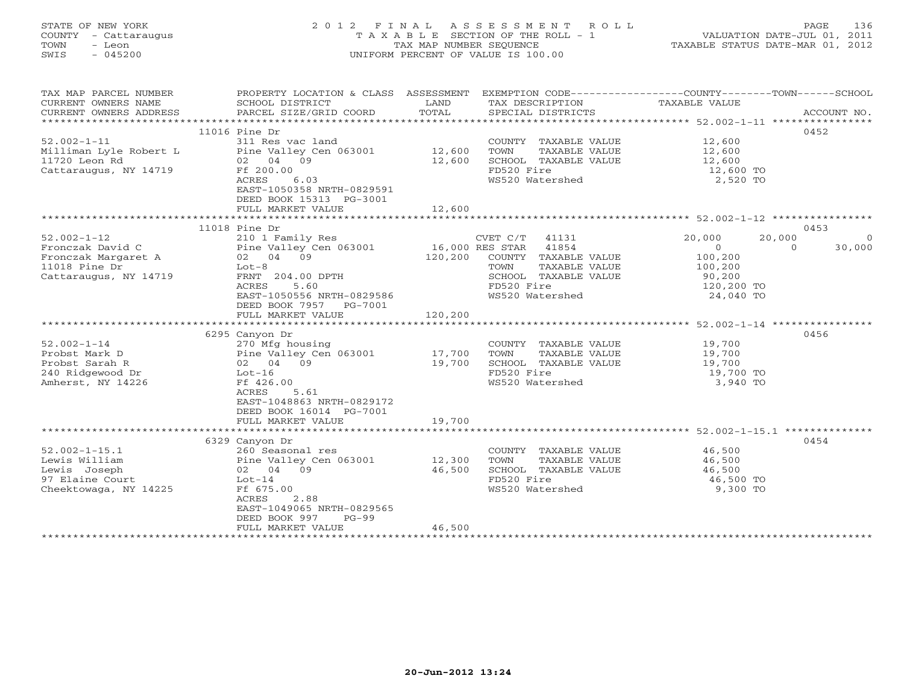# STATE OF NEW YORK 2 0 1 2 F I N A L A S S E S S M E N T R O L L PAGE 136 COUNTY - Cattaraugus T A X A B L E SECTION OF THE ROLL - 1 VALUATION DATE-JUL 01, 2011 TOWN - Leon TAX MAP NUMBER SEQUENCE TAXABLE STATUS DATE-MAR 01, 2012 SWIS - 045200 UNIFORM PERCENT OF VALUE IS 100.00UNIFORM PERCENT OF VALUE IS 100.00

| TAX MAP PARCEL NUMBER  | PROPERTY LOCATION & CLASS ASSESSMENT EXEMPTION CODE----------------COUNTY-------TOWN------SCHOOL |         |                              |                                                        |                    |
|------------------------|--------------------------------------------------------------------------------------------------|---------|------------------------------|--------------------------------------------------------|--------------------|
| CURRENT OWNERS NAME    | SCHOOL DISTRICT                                                                                  | LAND    | TAX DESCRIPTION              | TAXABLE VALUE                                          |                    |
| CURRENT OWNERS ADDRESS | PARCEL SIZE/GRID COORD                                                                           | TOTAL   | SPECIAL DISTRICTS            |                                                        | ACCOUNT NO.        |
|                        |                                                                                                  |         |                              |                                                        |                    |
|                        | $11016$ Pine Dr                                                                                  |         |                              |                                                        | 0452               |
| $52.002 - 1 - 11$      | 311 Res vac land                                                                                 |         | COUNTY TAXABLE VALUE         | 12,600                                                 |                    |
| Milliman Lyle Robert L | Pine Valley Cen 063001                                                                           | 12,600  | TOWN<br>TAXABLE VALUE        | 12,600                                                 |                    |
| 11720 Leon Rd          | 02 04 09                                                                                         | 12,600  | SCHOOL TAXABLE VALUE         | 12,600                                                 |                    |
| Cattaraugus, NY 14719  | Ff 200.00                                                                                        |         | FD520 Fire                   | 12,600 TO                                              |                    |
|                        | ACRES<br>6.03                                                                                    |         | WS520 Watershed              | 2,520 TO                                               |                    |
|                        | EAST-1050358 NRTH-0829591                                                                        |         |                              |                                                        |                    |
|                        | DEED BOOK 15313 PG-3001                                                                          |         |                              |                                                        |                    |
|                        | FULL MARKET VALUE                                                                                | 12,600  |                              |                                                        |                    |
|                        |                                                                                                  |         |                              |                                                        |                    |
|                        | $11018$ Pine Dr                                                                                  |         |                              |                                                        | 0453               |
| $52.002 - 1 - 12$      | 210 1 Family Res                                                                                 |         | CVET C/T 41131               | 20,000<br>20,000                                       | $\Omega$           |
| Fronczak David C       | Pine Valley Cen 063001 16,000 RES STAR 41854                                                     |         |                              | $\overline{0}$                                         | 30,000<br>$\Omega$ |
| Fronczak Margaret A    | 02 04 09                                                                                         |         | 120,200 COUNTY TAXABLE VALUE | 100,200                                                |                    |
| $11018$ Pine Dr        | $Lot-8$                                                                                          |         | TOWN<br>TAXABLE VALUE        | 100,200                                                |                    |
| Cattaraugus, NY 14719  | FRNT 204.00 DPTH                                                                                 |         | SCHOOL TAXABLE VALUE         | 90,200                                                 |                    |
|                        | ACRES<br>5.60                                                                                    |         | FD520 Fire                   | 120,200 TO                                             |                    |
|                        | EAST-1050556 NRTH-0829586                                                                        |         | WS520 Watershed              | 24,040 TO                                              |                    |
|                        | DEED BOOK 7957 PG-7001                                                                           |         |                              |                                                        |                    |
|                        | FULL MARKET VALUE                                                                                | 120,200 |                              |                                                        |                    |
|                        |                                                                                                  |         |                              | ************************ 52.002-1-14 ***************** |                    |
|                        | 6295 Canyon Dr                                                                                   |         |                              |                                                        | 0456               |
| $52.002 - 1 - 14$      | 270 Mfg housing                                                                                  |         | COUNTY TAXABLE VALUE         | 19,700                                                 |                    |
| Probst Mark D          | Pine Valley Cen 063001                                                                           | 17,700  | TOWN<br>TAXABLE VALUE        | 19,700<br>19,700                                       |                    |
| Probst Sarah R         | 02 04 09                                                                                         | 19,700  | SCHOOL TAXABLE VALUE         |                                                        |                    |
| 240 Ridgewood Dr       | Lot-16                                                                                           |         | FD520 Fire                   | 19,700 TO                                              |                    |
| Amherst, NY 14226      | Ff 426.00                                                                                        |         | WS520 Watershed              | 3,940 TO                                               |                    |
|                        | ACRES<br>5.61                                                                                    |         |                              |                                                        |                    |
|                        | EAST-1048863 NRTH-0829172                                                                        |         |                              |                                                        |                    |
|                        | DEED BOOK 16014 PG-7001                                                                          |         |                              |                                                        |                    |
|                        | FULL MARKET VALUE                                                                                | 19,700  |                              |                                                        |                    |
|                        |                                                                                                  |         |                              |                                                        |                    |
|                        | 6329 Canyon Dr                                                                                   |         |                              |                                                        | 0454               |
| $52.002 - 1 - 15.1$    | 260 Seasonal res                                                                                 |         | COUNTY TAXABLE VALUE         | 46,500                                                 |                    |
| Lewis William          | Pine Valley Cen 063001                                                                           | 12,300  | TOWN<br>TAXABLE VALUE        | 46,500                                                 |                    |
| Lewis Joseph           | 02 04 09                                                                                         | 46,500  | SCHOOL TAXABLE VALUE         | 46,500                                                 |                    |
| 97 Elaine Court        | $Lot-14$                                                                                         |         | FD520 Fire                   | 46,500 TO                                              |                    |
| Cheektowaga, NY 14225  | Ff 675.00                                                                                        |         | WS520 Watershed              | 9,300 TO                                               |                    |
|                        | ACRES<br>2.88                                                                                    |         |                              |                                                        |                    |
|                        | EAST-1049065 NRTH-0829565                                                                        |         |                              |                                                        |                    |
|                        | DEED BOOK 997<br>$PG-99$                                                                         |         |                              |                                                        |                    |
|                        | FULL MARKET VALUE                                                                                | 46,500  |                              |                                                        |                    |
|                        |                                                                                                  |         |                              |                                                        |                    |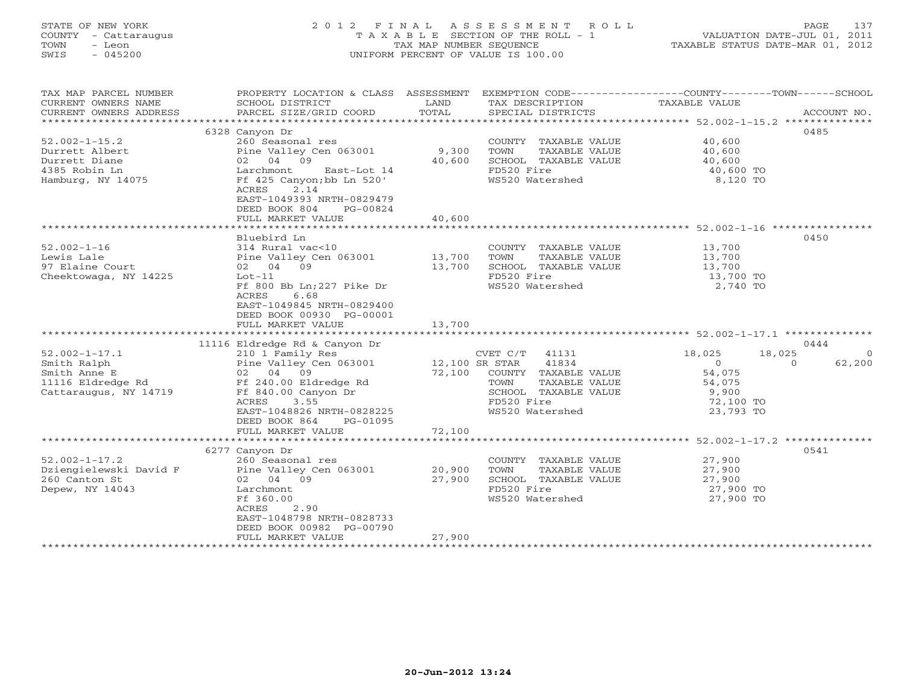# STATE OF NEW YORK 2 0 1 2 F I N A L A S S E S S M E N T R O L L PAGE 137 COUNTY - Cattaraugus T A X A B L E SECTION OF THE ROLL - 1 VALUATION DATE-JUL 01, 2011 TOWN - Leon TAX MAP NUMBER SEQUENCE TAXABLE STATUS DATE-MAR 01, 2012 SWIS - 045200 UNIFORM PERCENT OF VALUE IS 100.00UNIFORM PERCENT OF VALUE IS 100.00

| TAX MAP PARCEL NUMBER<br>CURRENT OWNERS NAME<br>CURRENT OWNERS ADDRESS | PROPERTY LOCATION & CLASS ASSESSMENT<br>SCHOOL DISTRICT<br>PARCEL SIZE/GRID COORD                    | LAND<br>TOTAL  | TAX DESCRIPTION<br>SPECIAL DISTRICTS | EXEMPTION CODE-----------------COUNTY-------TOWN------SCHOOL<br>TAXABLE VALUE<br>ACCOUNT NO. |
|------------------------------------------------------------------------|------------------------------------------------------------------------------------------------------|----------------|--------------------------------------|----------------------------------------------------------------------------------------------|
|                                                                        |                                                                                                      |                |                                      |                                                                                              |
|                                                                        | 6328 Canyon Dr                                                                                       |                |                                      | 0485                                                                                         |
| $52.002 - 1 - 15.2$                                                    | 260 Seasonal res                                                                                     |                | COUNTY TAXABLE VALUE                 | 40,600                                                                                       |
| Durrett Albert                                                         | Pine Valley Cen 063001                                                                               | 9,300          | TOWN<br>TAXABLE VALUE                | 40,600                                                                                       |
| Durrett Diane                                                          | 02 04 09                                                                                             | 40,600         | SCHOOL TAXABLE VALUE                 | 40,600                                                                                       |
| 4385 Robin Ln                                                          | Larchmont<br>East-Lot 14                                                                             |                | FD520 Fire                           | 40,600 TO                                                                                    |
| Hamburg, NY 14075                                                      | Ff 425 Canyon; bb Ln 520'<br>2.14<br>ACRES<br>EAST-1049393 NRTH-0829479<br>DEED BOOK 804<br>PG-00824 |                | WS520 Watershed                      | 8,120 TO                                                                                     |
|                                                                        | FULL MARKET VALUE                                                                                    | 40,600         |                                      |                                                                                              |
|                                                                        | ***********************                                                                              |                |                                      |                                                                                              |
|                                                                        | Bluebird Ln                                                                                          |                |                                      | 0450                                                                                         |
| $52.002 - 1 - 16$                                                      | 314 Rural vac<10                                                                                     |                | COUNTY TAXABLE VALUE                 | 13,700                                                                                       |
| Lewis Lale                                                             | Pine Valley Cen 063001                                                                               | 13,700         | TOWN<br>TAXABLE VALUE                | 13,700                                                                                       |
| 97 Elaine Court                                                        | 02 04 09                                                                                             | 13,700         | SCHOOL TAXABLE VALUE                 | 13,700                                                                                       |
| Cheektowaga, NY 14225                                                  | $Lot-11$                                                                                             |                | FD520 Fire                           | 13,700 TO                                                                                    |
|                                                                        | Ff 800 Bb Ln; 227 Pike Dr<br>6.68<br>ACRES<br>EAST-1049845 NRTH-0829400<br>DEED BOOK 00930 PG-00001  |                | WS520 Watershed                      | 2,740 TO                                                                                     |
|                                                                        | FULL MARKET VALUE                                                                                    | 13,700         |                                      |                                                                                              |
|                                                                        | 11116 Eldredge Rd & Canyon Dr                                                                        |                |                                      | 0444                                                                                         |
| $52.002 - 1 - 17.1$                                                    | 210 1 Family Res                                                                                     |                | CVET C/T<br>41131                    | 18,025<br>18,025<br>$\Omega$                                                                 |
| Smith Ralph                                                            | Pine Valley Cen 063001                                                                               | 12,100 SR STAR | 41834                                | $\overline{0}$<br>62,200<br>$\circ$                                                          |
| Smith Anne E                                                           | 02 04 09                                                                                             | 72,100         | COUNTY TAXABLE VALUE                 | 54,075                                                                                       |
| 11116 Eldredge Rd                                                      | Ff 240.00 Eldredge Rd                                                                                |                | TAXABLE VALUE<br>TOWN                | 54,075                                                                                       |
| Cattaraugus, NY 14719                                                  | Ff 840.00 Canyon Dr                                                                                  |                | SCHOOL TAXABLE VALUE                 | 9,900                                                                                        |
|                                                                        | ACRES<br>3.55                                                                                        |                | FD520 Fire                           | 72,100 TO                                                                                    |
|                                                                        | EAST-1048826 NRTH-0828225                                                                            |                | WS520 Watershed                      | 23,793 TO                                                                                    |
|                                                                        | DEED BOOK 864<br>PG-01095                                                                            |                |                                      |                                                                                              |
|                                                                        | FULL MARKET VALUE                                                                                    | 72,100         |                                      |                                                                                              |
|                                                                        |                                                                                                      |                |                                      |                                                                                              |
|                                                                        | 6277 Canyon Dr                                                                                       |                |                                      | 0541                                                                                         |
| $52.002 - 1 - 17.2$                                                    | 260 Seasonal res                                                                                     |                | COUNTY TAXABLE VALUE                 | 27,900                                                                                       |
| Dziengielewski David F                                                 | Pine Valley Cen 063001                                                                               | 20,900         | TOWN<br>TAXABLE VALUE                | 27,900                                                                                       |
| 260 Canton St                                                          | 02 04 09                                                                                             | 27,900         | SCHOOL TAXABLE VALUE                 | 27,900                                                                                       |
| Depew, NY 14043                                                        | Larchmont                                                                                            |                | FD520 Fire                           | 27,900 TO                                                                                    |
|                                                                        | Ff 360.00<br>ACRES<br>2.90                                                                           |                | WS520 Watershed                      | 27,900 TO                                                                                    |
|                                                                        | EAST-1048798 NRTH-0828733                                                                            |                |                                      |                                                                                              |
|                                                                        | DEED BOOK 00982 PG-00790                                                                             |                |                                      |                                                                                              |
|                                                                        | FULL MARKET VALUE                                                                                    | 27,900         |                                      |                                                                                              |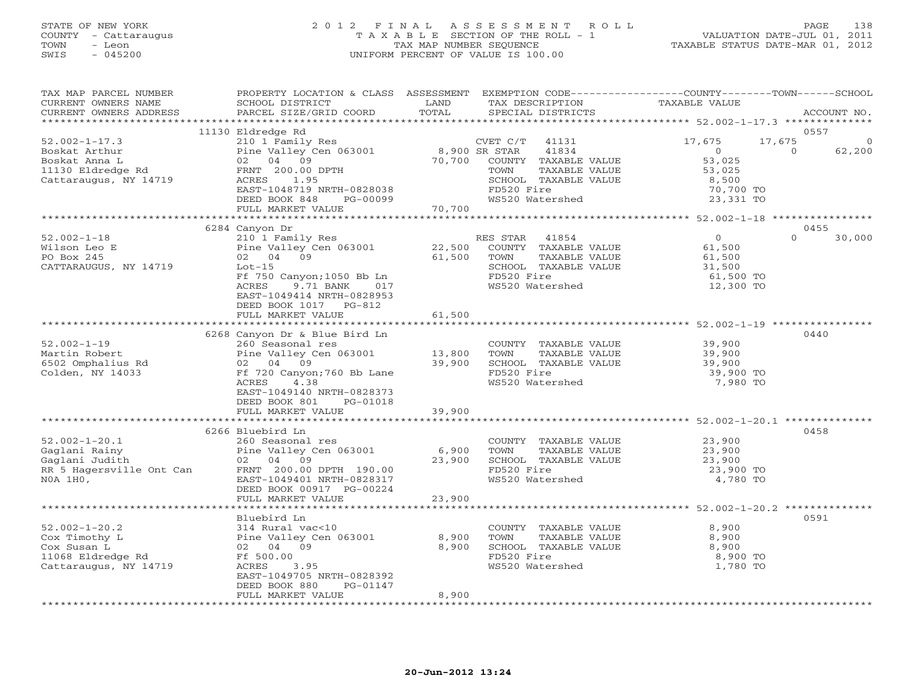## STATE OF NEW YORK 2 0 1 2 F I N A L A S S E S S M E N T R O L L PAGE 138 COUNTY - Cattaraugus T A X A B L E SECTION OF THE ROLL - 1 VALUATION DATE-JUL 01, 2011 TOWN - Leon TAX MAP NUMBER SEQUENCE TAXABLE STATUS DATE-MAR 01, 2012 SWIS - 045200 UNIFORM PERCENT OF VALUE IS 100.00UNIFORM PERCENT OF VALUE IS 100.00

| TAX MAP PARCEL NUMBER<br>CURRENT OWNERS NAME | PROPERTY LOCATION & CLASS ASSESSMENT EXEMPTION CODE---------------COUNTY-------TOWN------SCHOOL<br>SCHOOL DISTRICT | LAND          | TAX DESCRIPTION                    | TAXABLE VALUE                                                    |                    |
|----------------------------------------------|--------------------------------------------------------------------------------------------------------------------|---------------|------------------------------------|------------------------------------------------------------------|--------------------|
| CURRENT OWNERS ADDRESS                       | PARCEL SIZE/GRID COORD                                                                                             | TOTAL         | SPECIAL DISTRICTS                  |                                                                  | ACCOUNT NO.        |
|                                              |                                                                                                                    |               |                                    |                                                                  |                    |
|                                              | 11130 Eldredge Rd                                                                                                  |               |                                    |                                                                  | 0557               |
| $52.002 - 1 - 17.3$                          | 210 1 Family Res<br>ZIO I Family Res<br>Pine Valley Cen 063001                                                     |               | CVET C/T<br>41131                  | 17,675<br>17,675                                                 | $\mathbf{0}$       |
|                                              |                                                                                                                    | 8,900 SR STAR | 41834                              | $\overline{0}$                                                   | $\Omega$<br>62,200 |
|                                              |                                                                                                                    | 70,700        | COUNTY TAXABLE VALUE               | 53,025                                                           |                    |
|                                              |                                                                                                                    |               | TOWN<br>TAXABLE VALUE              | 53,025                                                           |                    |
| Cattaraugus, NY 14719                        | ACRES 1.95                                                                                                         |               | SCHOOL TAXABLE VALUE<br>FD520 Fire | 8,500                                                            |                    |
|                                              | EAST-1048719 NRTH-0828038<br>DEED BOOK 848                                                                         | $PG-00099$    | WS520 Watershed                    | 70,700 TO<br>23,331 TO                                           |                    |
|                                              | FULL MARKET VALUE                                                                                                  | 70,700        |                                    |                                                                  |                    |
|                                              |                                                                                                                    |               |                                    |                                                                  |                    |
|                                              | 6284 Canyon Dr                                                                                                     |               |                                    |                                                                  | 0455               |
| $52.002 - 1 - 18$                            | Pine Valley Cen 063001 22,500<br>02 04 09 22,500                                                                   |               | RES STAR<br>41854                  | $\overline{0}$                                                   | $\Omega$<br>30,000 |
| Wilson Leo E                                 |                                                                                                                    |               | COUNTY TAXABLE VALUE               |                                                                  |                    |
| PO Box 245                                   |                                                                                                                    |               | TOWN<br>TAXABLE VALUE              | 61,500<br>61,500                                                 |                    |
| CATTARAUGUS, NY 14719                        |                                                                                                                    |               | SCHOOL TAXABLE VALUE               | 31,500                                                           |                    |
|                                              |                                                                                                                    |               | FD520 Fire                         | 61,500 TO                                                        |                    |
|                                              | Ff 750 Canyon; 1050 Bb Ln<br>ACRES 9.71 BANK 017<br>EAST-1049414 NDEY 0000                                         |               | WS520 Watershed                    | 12,300 TO                                                        |                    |
|                                              | EAST-1049414 NRTH-0828953                                                                                          |               |                                    |                                                                  |                    |
|                                              | DEED BOOK 1017 PG-812                                                                                              |               |                                    |                                                                  |                    |
|                                              | FULL MARKET VALUE                                                                                                  | 61,500        |                                    |                                                                  |                    |
|                                              |                                                                                                                    |               |                                    | ************************************52.002-1-19 **************** |                    |
|                                              | 6268 Canyon Dr & Blue Bird Ln                                                                                      |               |                                    |                                                                  | 0440               |
| $52.002 - 1 - 19$                            | 260 Seasonal res                                                                                                   |               | COUNTY TAXABLE VALUE               |                                                                  |                    |
| Martin Robert                                | Pine Valley Cen 063001 13,800<br>02 04 09 39,900                                                                   |               | TAXABLE VALUE<br>TOWN              | 39,900<br>39,900<br>39,900                                       |                    |
| 6502 Omphalius Rd<br>Colden NY 14033         | 02 04 09                                                                                                           |               | SCHOOL TAXABLE VALUE               |                                                                  |                    |
|                                              | Ff 720 Canyon;760 Bb Lane                                                                                          |               | FD520 Fire                         | 39,900 TO                                                        |                    |
|                                              | ACRES<br>4.38                                                                                                      |               | WS520 Watershed                    | 7,980 TO                                                         |                    |
|                                              | EAST-1049140 NRTH-0828373                                                                                          |               |                                    |                                                                  |                    |
|                                              | DEED BOOK 801<br>PG-01018                                                                                          |               |                                    |                                                                  |                    |
|                                              | FULL MARKET VALUE                                                                                                  | 39,900        |                                    |                                                                  |                    |
|                                              | 6266 Bluebird Ln                                                                                                   |               |                                    |                                                                  | 0458               |
| $52.002 - 1 - 20.1$                          | 260 Seasonal res                                                                                                   |               | COUNTY TAXABLE VALUE               | 23,900                                                           |                    |
| Gaglani Rainy                                |                                                                                                                    |               | TOWN<br>TAXABLE VALUE              |                                                                  |                    |
| Gaglani Judith                               | Pine Valley Cen 063001 6,900<br>02 04 09 23,900                                                                    |               | SCHOOL TAXABLE VALUE               | 23,900<br>23,900                                                 |                    |
| RR 5 Hagersville Ont Can                     | FRNT 200.00 DPTH 190.00                                                                                            |               | FD520 Fire                         | 23,900 TO                                                        |                    |
| NOA 1H0,                                     | EAST-1049401 NRTH-0828317                                                                                          |               | WS520 Watershed                    | 4,780 TO                                                         |                    |
|                                              | DEED BOOK 00917 PG-00224                                                                                           |               |                                    |                                                                  |                    |
|                                              | FULL MARKET VALUE                                                                                                  | 23,900        |                                    |                                                                  |                    |
|                                              |                                                                                                                    |               |                                    |                                                                  |                    |
|                                              | Bluebird Ln                                                                                                        |               |                                    |                                                                  | 0591               |
| $52.002 - 1 - 20.2$                          | 314 Rural vac<10                                                                                                   |               | COUNTY TAXABLE VALUE               | 8,900                                                            |                    |
| Cox Timothy L                                | 314 Rural vac<10<br>Pine Valley Cen 063001                                                                         | 8,900         | TOWN<br>TAXABLE VALUE              | 8,900                                                            |                    |
| Cox Susan L                                  | 02 04 09                                                                                                           | 8,900         | SCHOOL TAXABLE VALUE               | 8,900                                                            |                    |
| 11068 Eldredge Rd                            | Ff 500.00                                                                                                          |               | FD520 Fire                         | 8,900 TO                                                         |                    |
| Cattaraugus, NY 14719                        | ACRES<br>3.95                                                                                                      |               | WS520 Watershed                    | 1,780 TO                                                         |                    |
|                                              | EAST-1049705 NRTH-0828392                                                                                          |               |                                    |                                                                  |                    |
|                                              | DEED BOOK 880<br>PG-01147                                                                                          |               |                                    |                                                                  |                    |
|                                              | FULL MARKET VALUE                                                                                                  | 8,900         |                                    |                                                                  |                    |
|                                              |                                                                                                                    |               |                                    |                                                                  |                    |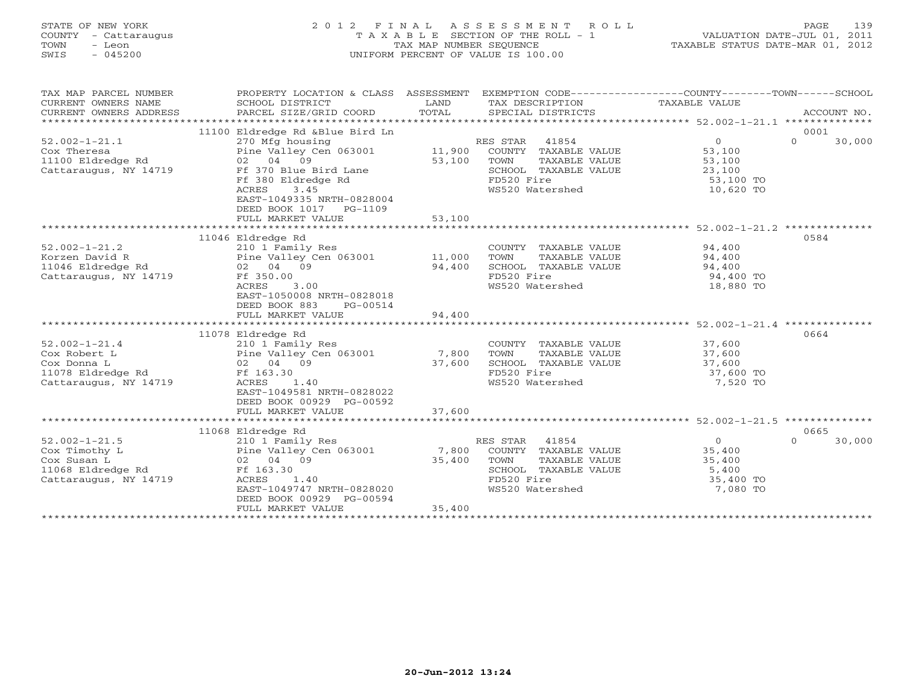# STATE OF NEW YORK 2 0 1 2 F I N A L A S S E S S M E N T R O L L PAGE 139 COUNTY - Cattaraugus T A X A B L E SECTION OF THE ROLL - 1 VALUATION DATE-JUL 01, 2011 TOWN - Leon TAX MAP NUMBER SEQUENCE TAXABLE STATUS DATE-MAR 01, 2012 SWIS - 045200 UNIFORM PERCENT OF VALUE IS 100.00UNIFORM PERCENT OF VALUE IS 100.00

| TAX MAP PARCEL NUMBER<br>CURRENT OWNERS NAME<br>CURRENT OWNERS ADDRESS | PROPERTY LOCATION & CLASS ASSESSMENT<br>SCHOOL DISTRICT<br>PARCEL SIZE/GRID COORD | LAND<br>TOTAL | EXEMPTION CODE-----------------COUNTY-------TOWN------SCHOOL<br>TAX DESCRIPTION<br>SPECIAL DISTRICTS | TAXABLE VALUE    | ACCOUNT NO.        |
|------------------------------------------------------------------------|-----------------------------------------------------------------------------------|---------------|------------------------------------------------------------------------------------------------------|------------------|--------------------|
|                                                                        | 11100 Eldredge Rd &Blue Bird Ln                                                   |               |                                                                                                      |                  | 0001               |
| $52.002 - 1 - 21.1$                                                    | 270 Mfg housing                                                                   |               | RES STAR<br>41854                                                                                    | $\circ$          | $\Omega$<br>30,000 |
| Cox Theresa                                                            | Pine Valley Cen 063001                                                            | 11,900        | COUNTY TAXABLE VALUE                                                                                 | 53,100           |                    |
| 11100 Eldredge Rd                                                      | 02 04 09                                                                          | 53,100        | TOWN<br>TAXABLE VALUE                                                                                | 53,100           |                    |
| Cattaraugus, NY 14719                                                  | Ff 370 Blue Bird Lane                                                             |               | SCHOOL TAXABLE VALUE                                                                                 | 23,100           |                    |
|                                                                        | Ff 380 Eldredge Rd                                                                |               | FD520 Fire                                                                                           | 53,100 TO        |                    |
|                                                                        | ACRES<br>3.45                                                                     |               | WS520 Watershed                                                                                      | 10,620 TO        |                    |
|                                                                        | EAST-1049335 NRTH-0828004                                                         |               |                                                                                                      |                  |                    |
|                                                                        | DEED BOOK 1017 PG-1109                                                            |               |                                                                                                      |                  |                    |
|                                                                        | FULL MARKET VALUE                                                                 | 53,100        |                                                                                                      |                  |                    |
|                                                                        |                                                                                   |               |                                                                                                      |                  |                    |
|                                                                        | 11046 Eldredge Rd                                                                 |               |                                                                                                      |                  | 0584               |
| $52.002 - 1 - 21.2$                                                    | 210 1 Family Res                                                                  |               | COUNTY TAXABLE VALUE                                                                                 | 94,400           |                    |
| Korzen David R                                                         | Pine Valley Cen 063001 11,000                                                     |               | TOWN<br>TAXABLE VALUE                                                                                | 94,400           |                    |
| 11046 Eldredge Rd                                                      | 02 04 09                                                                          | 94,400        | SCHOOL TAXABLE VALUE                                                                                 | 94,400           |                    |
| Cattaraugus, NY 14719                                                  | Ff 350.00                                                                         |               | FD520 Fire                                                                                           | 94,400 TO        |                    |
|                                                                        | <b>ACRES</b><br>3.00                                                              |               | WS520 Watershed                                                                                      | 18,880 TO        |                    |
|                                                                        | EAST-1050008 NRTH-0828018                                                         |               |                                                                                                      |                  |                    |
|                                                                        | DEED BOOK 883<br>PG-00514                                                         |               |                                                                                                      |                  |                    |
|                                                                        | FULL MARKET VALUE                                                                 | 94,400        |                                                                                                      |                  |                    |
|                                                                        |                                                                                   |               |                                                                                                      |                  |                    |
|                                                                        | 11078 Eldredge Rd                                                                 |               |                                                                                                      |                  | 0664               |
| $52.002 - 1 - 21.4$                                                    | 210 1 Family Res                                                                  |               | COUNTY TAXABLE VALUE 37,600                                                                          |                  |                    |
| Cox Robert L                                                           | Pine Valley Cen 063001                                                            | 7,800         | TOWN<br>TAXABLE VALUE                                                                                | 37,600<br>37,600 |                    |
| Cox Donna L                                                            | 02 04 09                                                                          | 37,600        | SCHOOL TAXABLE VALUE                                                                                 |                  |                    |
| 11078 Eldredge Rd                                                      | Ff 163.30                                                                         |               | FD520 Fire                                                                                           | 37,600 TO        |                    |
| Cattaraugus, NY 14719                                                  | ACRES<br>1.40                                                                     |               | WS520 Watershed                                                                                      | 7,520 TO         |                    |
|                                                                        | EAST-1049581 NRTH-0828022                                                         |               |                                                                                                      |                  |                    |
|                                                                        | DEED BOOK 00929 PG-00592                                                          |               |                                                                                                      |                  |                    |
|                                                                        | FULL MARKET VALUE                                                                 | 37,600        |                                                                                                      |                  |                    |
|                                                                        |                                                                                   |               |                                                                                                      |                  |                    |
|                                                                        | 11068 Eldredge Rd                                                                 |               |                                                                                                      |                  | 0665               |
| $52.002 - 1 - 21.5$                                                    | 210 1 Family Res                                                                  |               | RES STAR 41854                                                                                       | $\Omega$         | $\Omega$<br>30,000 |
| Cox Timothy L                                                          | Pine Valley Cen 063001                                                            | 7,800         | COUNTY TAXABLE VALUE                                                                                 | 35,400           |                    |
| Cox Susan L                                                            | 02 04 09                                                                          | 35,400        | TOWN<br>TAXABLE VALUE                                                                                | 35,400           |                    |
| 11068 Eldredge Rd                                                      | Ff 163.30                                                                         |               | SCHOOL TAXABLE VALUE                                                                                 | 5,400            |                    |
| Cattaraugus, NY 14719                                                  | ACRES<br>1.40                                                                     |               | FD520 Fire                                                                                           | 35,400 TO        |                    |
|                                                                        | EAST-1049747 NRTH-0828020                                                         |               | WS520 Watershed                                                                                      | 7,080 TO         |                    |
|                                                                        | DEED BOOK 00929 PG-00594                                                          |               |                                                                                                      |                  |                    |
|                                                                        | FULL MARKET VALUE                                                                 | 35,400        |                                                                                                      |                  |                    |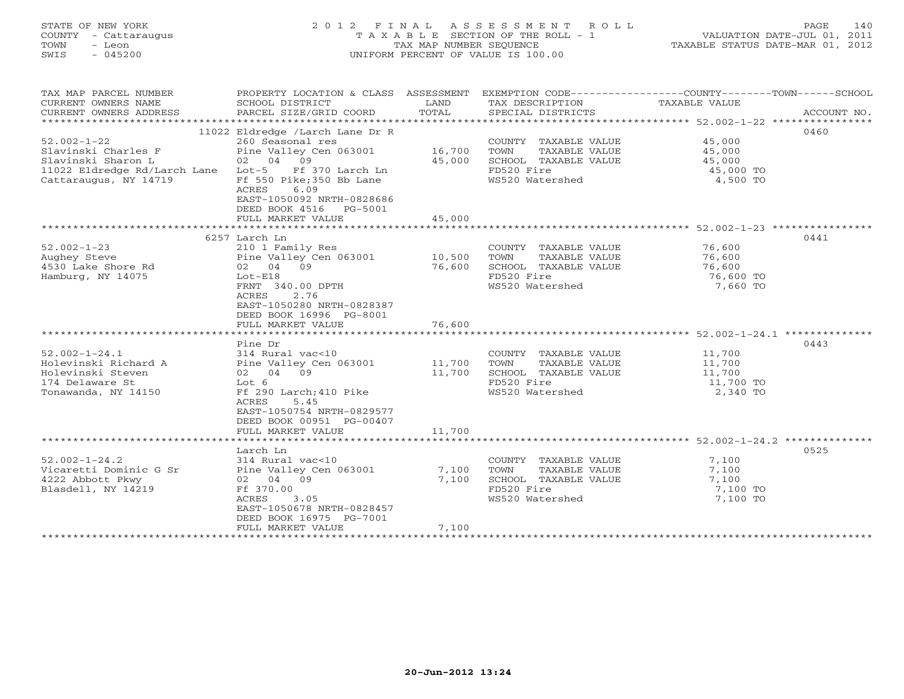# STATE OF NEW YORK 2 0 1 2 F I N A L A S S E S S M E N T R O L L PAGE 140 COUNTY - Cattaraugus T A X A B L E SECTION OF THE ROLL - 1 VALUATION DATE-JUL 01, 2011 TOWN - Leon TAX MAP NUMBER SEQUENCE TAXABLE STATUS DATE-MAR 01, 2012 SWIS - 045200 UNIFORM PERCENT OF VALUE IS 100.00UNIFORM PERCENT OF VALUE IS 100.00

| TAX MAP PARCEL NUMBER<br>CURRENT OWNERS NAME<br>CURRENT OWNERS ADDRESS      | PROPERTY LOCATION & CLASS ASSESSMENT<br>SCHOOL DISTRICT<br>PARCEL SIZE/GRID COORD                  | LAND<br>TOTAL | TAX DESCRIPTION<br>SPECIAL DISTRICTS          | EXEMPTION CODE-----------------COUNTY-------TOWN------SCHOOL<br>TAXABLE VALUE | ACCOUNT NO. |
|-----------------------------------------------------------------------------|----------------------------------------------------------------------------------------------------|---------------|-----------------------------------------------|-------------------------------------------------------------------------------|-------------|
|                                                                             |                                                                                                    |               |                                               |                                                                               |             |
| $52.002 - 1 - 22$<br>Slavinski Charles F                                    | 11022 Eldredge /Larch Lane Dr R<br>260 Seasonal res<br>Pine Valley Cen 063001                      | 16,700        | COUNTY TAXABLE VALUE<br>TOWN<br>TAXABLE VALUE | 45,000<br>45,000                                                              | 0460        |
| Slavinski Sharon L                                                          | 02 04 09                                                                                           | 45,000        | SCHOOL TAXABLE VALUE                          | 45,000                                                                        |             |
| 11022 Eldredge Rd/Larch Lane Lot-5 Ff 370 Larch Ln<br>Cattaraugus, NY 14719 | Ff 550 Pike;350 Bb Lane<br>ACRES<br>6.09<br>EAST-1050092 NRTH-0828686<br>DEED BOOK 4516<br>PG-5001 |               | FD520 Fire<br>WS520 Watershed                 | 45,000 TO<br>4,500 TO                                                         |             |
|                                                                             | FULL MARKET VALUE                                                                                  | 45,000        |                                               |                                                                               |             |
|                                                                             |                                                                                                    |               |                                               |                                                                               |             |
|                                                                             | 6257 Larch Ln                                                                                      |               |                                               |                                                                               | 0441        |
| $52.002 - 1 - 23$                                                           | 210 1 Family Res                                                                                   |               | COUNTY TAXABLE VALUE                          | 76,600                                                                        |             |
| Aughey Steve                                                                | Pine Valley Cen 063001                                                                             | 10,500        | TOWN<br>TAXABLE VALUE                         | 76,600                                                                        |             |
| 4530 Lake Shore Rd                                                          | 02 04 09                                                                                           | 76,600        | SCHOOL TAXABLE VALUE                          | 76,600                                                                        |             |
| Hamburg, NY 14075                                                           | $Lot-E18$                                                                                          |               | FD520 Fire                                    | 76,600 TO                                                                     |             |
|                                                                             | FRNT 340.00 DPTH<br>2.76<br>ACRES<br>EAST-1050280 NRTH-0828387<br>DEED BOOK 16996 PG-8001          |               | WS520 Watershed                               | 7,660 TO                                                                      |             |
|                                                                             | FULL MARKET VALUE                                                                                  | 76,600        |                                               |                                                                               |             |
|                                                                             |                                                                                                    |               |                                               |                                                                               |             |
|                                                                             | Pine Dr                                                                                            |               |                                               |                                                                               | 0443        |
| $52.002 - 1 - 24.1$                                                         | 314 Rural vac<10                                                                                   |               | COUNTY TAXABLE VALUE                          | 11,700                                                                        |             |
| Holevinski Richard A                                                        | Pine Valley Cen 063001                                                                             | 11,700        | TOWN<br>TAXABLE VALUE                         | 11,700                                                                        |             |
| Holevinski Steven                                                           | 02 04 09                                                                                           | 11,700        | SCHOOL TAXABLE VALUE                          | 11,700                                                                        |             |
| 174 Delaware St                                                             | Lot 6                                                                                              |               | FD520 Fire                                    | 11,700 TO                                                                     |             |
| Tonawanda, NY 14150                                                         | Ff 290 Larch; 410 Pike<br>ACRES<br>5.45<br>EAST-1050754 NRTH-0829577<br>DEED BOOK 00951 PG-00407   |               | WS520 Watershed                               | 2,340 TO                                                                      |             |
|                                                                             | FULL MARKET VALUE                                                                                  | 11,700        |                                               |                                                                               |             |
|                                                                             |                                                                                                    |               |                                               |                                                                               |             |
|                                                                             | Larch Ln                                                                                           |               |                                               |                                                                               | 0525        |
|                                                                             |                                                                                                    |               |                                               |                                                                               |             |
| $52.002 - 1 - 24.2$                                                         | 314 Rural vac<10                                                                                   |               | COUNTY TAXABLE VALUE                          | 7,100                                                                         |             |
| Vicaretti Dominic G Sr                                                      | Pine Valley Cen 063001                                                                             | 7,100         | TOWN<br>TAXABLE VALUE                         | 7,100                                                                         |             |
| 4222 Abbott Pkwy                                                            | 02 04 09                                                                                           | 7,100         | SCHOOL TAXABLE VALUE                          | 7,100                                                                         |             |
| Blasdell, NY 14219                                                          | Ff 370.00                                                                                          |               | FD520 Fire                                    | 7,100 TO                                                                      |             |
|                                                                             | ACRES<br>3.05<br>EAST-1050678 NRTH-0828457<br>DEED BOOK 16975 PG-7001                              |               | WS520 Watershed                               | 7,100 TO                                                                      |             |
|                                                                             | FULL MARKET VALUE                                                                                  | 7,100         |                                               |                                                                               |             |
| *******************                                                         |                                                                                                    |               |                                               |                                                                               |             |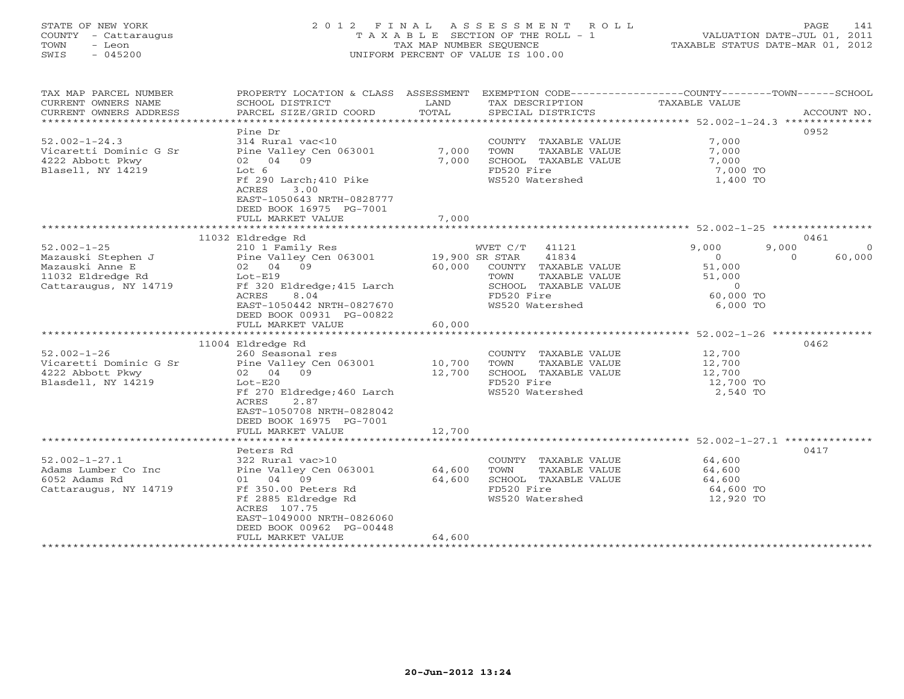## STATE OF NEW YORK 2 0 1 2 F I N A L A S S E S S M E N T R O L L PAGE 141 COUNTY - Cattaraugus T A X A B L E SECTION OF THE ROLL - 1 VALUATION DATE-JUL 01, 2011 TOWN - Leon TAX MAP NUMBER SEQUENCE TAXABLE STATUS DATE-MAR 01, 2012 SWIS - 045200 UNIFORM PERCENT OF VALUE IS 100.00UNIFORM PERCENT OF VALUE IS 100.00

| TAX MAP PARCEL NUMBER<br>CURRENT OWNERS NAME<br>CURRENT OWNERS ADDRESS                                                        | PROPERTY LOCATION & CLASS ASSESSMENT<br>SCHOOL DISTRICT<br>PARCEL SIZE/GRID COORD                                                                                                                                                                              | LAND<br>TOTAL                      | TAX DESCRIPTION<br>SPECIAL DISTRICTS                                                                                                                         | EXEMPTION CODE-----------------COUNTY-------TOWN------SCHOOL<br>TAXABLE VALUE<br>ACCOUNT NO.                                                   |
|-------------------------------------------------------------------------------------------------------------------------------|----------------------------------------------------------------------------------------------------------------------------------------------------------------------------------------------------------------------------------------------------------------|------------------------------------|--------------------------------------------------------------------------------------------------------------------------------------------------------------|------------------------------------------------------------------------------------------------------------------------------------------------|
| $52.002 - 1 - 24.3$<br>Vicaretti Dominic G Sr<br>4222 Abbott Pkwy<br>Blasell, NY 14219                                        | Pine Dr<br>314 Rural vac<10<br>Pine Valley Cen 063001<br>02 04 09<br>Lot 6<br>Ff 290 Larch; 410 Pike<br><b>ACRES</b><br>3.00<br>EAST-1050643 NRTH-0828777<br>DEED BOOK 16975 PG-7001<br>FULL MARKET VALUE                                                      | 7,000<br>7,000<br>7,000            | COUNTY TAXABLE VALUE<br>TOWN<br>TAXABLE VALUE<br>SCHOOL TAXABLE VALUE<br>FD520 Fire<br>WS520 Watershed                                                       | 0952<br>7,000<br>7,000<br>7,000<br>7,000 TO<br>1,400 TO                                                                                        |
|                                                                                                                               |                                                                                                                                                                                                                                                                |                                    |                                                                                                                                                              |                                                                                                                                                |
| $52.002 - 1 - 25$<br>Mazauski Stephen J<br>Mazauski Anne E<br>11032 Eldredge Rd<br>Cattaraugus, NY 14719<br>$52.002 - 1 - 26$ | 11032 Eldredge Rd<br>210 1 Family Res<br>Pine Valley Cen 063001<br>02 04 09<br>$Lot-E19$<br>Ff 320 Eldredge; 415 Larch<br>ACRES<br>8.04<br>EAST-1050442 NRTH-0827670<br>DEED BOOK 00931 PG-00822<br>FULL MARKET VALUE<br>11004 Eldredge Rd<br>260 Seasonal res | 19,900 SR STAR<br>60,000<br>60,000 | WVET C/T<br>41121<br>41834<br>COUNTY TAXABLE VALUE<br>TOWN<br>TAXABLE VALUE<br>SCHOOL TAXABLE VALUE<br>FD520 Fire<br>WS520 Watershed<br>COUNTY TAXABLE VALUE | 0461<br>9,000<br>9,000<br>$\Omega$<br>60,000<br>$\Omega$<br>$\Omega$<br>51,000<br>51,000<br>$\circ$<br>60,000 TO<br>6,000 TO<br>0462<br>12,700 |
| Vicaretti Dominic G Sr<br>4222 Abbott Pkwy<br>Blasdell, NY 14219                                                              | Pine Valley Cen 063001<br>02 04 09<br>$Lot-E20$<br>Ff 270 Eldredge; 460 Larch<br>ACRES<br>2.87<br>EAST-1050708 NRTH-0828042<br>DEED BOOK 16975 PG-7001<br>FULL MARKET VALUE                                                                                    | 10,700<br>12,700<br>12,700         | TOWN<br>TAXABLE VALUE<br>SCHOOL TAXABLE VALUE<br>FD520 Fire<br>WS520 Watershed                                                                               | 12,700<br>12,700<br>12,700 TO<br>2,540 TO                                                                                                      |
|                                                                                                                               | Peters Rd                                                                                                                                                                                                                                                      |                                    |                                                                                                                                                              | 0417                                                                                                                                           |
| $52.002 - 1 - 27.1$<br>Adams Lumber Co Inc<br>6052 Adams Rd<br>Cattaraugus, NY 14719                                          | 322 Rural vac>10<br>Pine Valley Cen 063001<br>01 04 09<br>Ff 350.00 Peters Rd<br>Ff 2885 Eldredge Rd<br>ACRES 107.75<br>EAST-1049000 NRTH-0826060<br>DEED BOOK 00962 PG-00448<br>FULL MARKET VALUE                                                             | 64,600<br>64,600<br>64,600         | COUNTY TAXABLE VALUE<br>TAXABLE VALUE<br>TOWN<br>SCHOOL TAXABLE VALUE<br>FD520 Fire<br>WS520 Watershed                                                       | 64,600<br>64,600<br>64,600<br>64,600 TO<br>12,920 TO                                                                                           |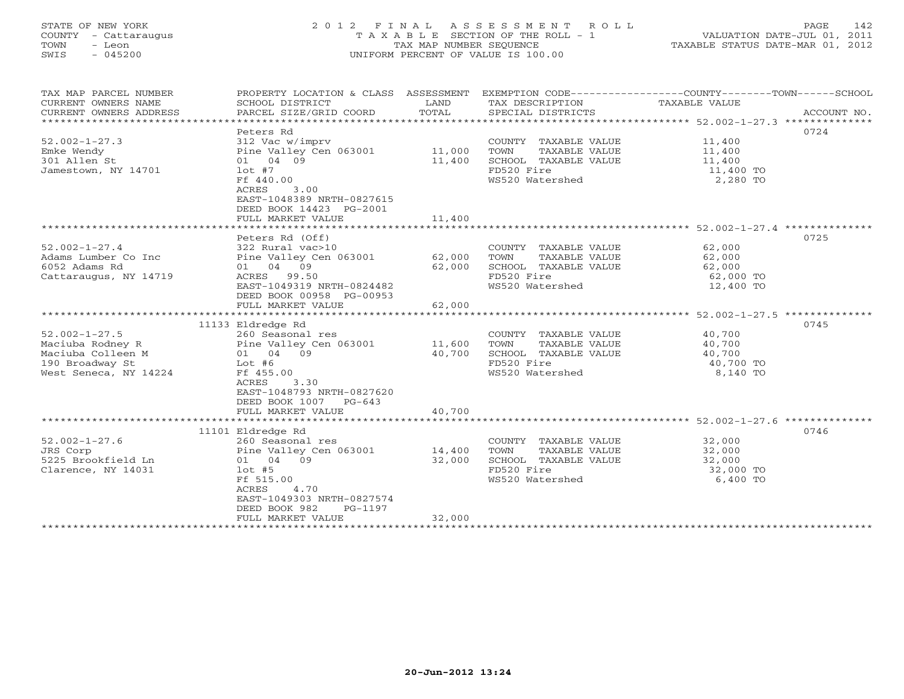# STATE OF NEW YORK 2 0 1 2 F I N A L A S S E S S M E N T R O L L PAGE 142 COUNTY - Cattaraugus T A X A B L E SECTION OF THE ROLL - 1 VALUATION DATE-JUL 01, 2011 TOWN - Leon TAX MAP NUMBER SEQUENCE TAXABLE STATUS DATE-MAR 01, 2012 SWIS - 045200 UNIFORM PERCENT OF VALUE IS 100.00UNIFORM PERCENT OF VALUE IS 100.00

| TAX MAP PARCEL NUMBER              | PROPERTY LOCATION & CLASS ASSESSMENT          |        | EXEMPTION CODE-----------------COUNTY-------TOWN------SCHOOL |               |             |
|------------------------------------|-----------------------------------------------|--------|--------------------------------------------------------------|---------------|-------------|
| CURRENT OWNERS NAME                | SCHOOL DISTRICT                               | LAND   | TAX DESCRIPTION                                              | TAXABLE VALUE |             |
| CURRENT OWNERS ADDRESS             | PARCEL SIZE/GRID COORD                        | TOTAL  | SPECIAL DISTRICTS                                            |               | ACCOUNT NO. |
| ********************************** |                                               |        |                                                              |               |             |
|                                    | Peters Rd                                     |        |                                                              |               | 0724        |
| $52.002 - 1 - 27.3$                | 312 Vac w/imprv                               |        | COUNTY TAXABLE VALUE                                         | 11,400        |             |
| Emke Wendy                         | Pine Valley Cen 063001                        | 11,000 | TOWN<br>TAXABLE VALUE                                        | 11,400        |             |
| 301 Allen St                       | 01 04 09                                      | 11,400 | SCHOOL TAXABLE VALUE                                         | 11,400        |             |
| Jamestown, NY 14701                | lot #7                                        |        | FD520 Fire                                                   | 11,400 TO     |             |
|                                    | Ff 440.00                                     |        | WS520 Watershed                                              | 2,280 TO      |             |
|                                    | ACRES<br>3.00                                 |        |                                                              |               |             |
|                                    | EAST-1048389 NRTH-0827615                     |        |                                                              |               |             |
|                                    | DEED BOOK 14423 PG-2001                       |        |                                                              |               |             |
|                                    | FULL MARKET VALUE                             | 11,400 |                                                              |               |             |
|                                    |                                               |        |                                                              |               |             |
|                                    | Peters Rd (Off)                               |        |                                                              |               | 0725        |
| $52.002 - 1 - 27.4$                | 322 Rural vac>10                              |        | COUNTY TAXABLE VALUE                                         | 62,000        |             |
| Adams Lumber Co Inc                | Pine Valley Cen 063001                        | 62,000 | TOWN<br>TAXABLE VALUE                                        | 62,000        |             |
| 6052 Adams Rd                      | 01 04 09                                      | 62,000 | SCHOOL TAXABLE VALUE                                         | 62,000        |             |
| Cattaraugus, NY 14719              | ACRES 99.50                                   |        | FD520 Fire                                                   | 62,000 TO     |             |
|                                    | EAST-1049319 NRTH-0824482                     |        | WS520 Watershed                                              | 12,400 TO     |             |
|                                    | DEED BOOK 00958 PG-00953                      |        |                                                              |               |             |
|                                    | FULL MARKET VALUE                             | 62,000 |                                                              |               |             |
|                                    |                                               |        |                                                              |               |             |
|                                    | 11133 Eldredge Rd                             |        |                                                              |               | 0745        |
| $52.002 - 1 - 27.5$                | 260 Seasonal res                              |        | COUNTY TAXABLE VALUE                                         | 40,700        |             |
| Maciuba Rodney R                   | Pine Valley Cen 063001                        | 11,600 | TOWN<br>TAXABLE VALUE                                        | 40,700        |             |
| Maciuba Colleen M                  | 01 04 09                                      | 40,700 | SCHOOL TAXABLE VALUE                                         | 40,700        |             |
| 190 Broadway St                    | Lot #6                                        |        | FD520 Fire                                                   | 40,700 TO     |             |
| West Seneca, NY 14224              | Ff 455.00                                     |        | WS520 Watershed                                              | 8,140 TO      |             |
|                                    | 3.30<br>ACRES                                 |        |                                                              |               |             |
|                                    | EAST-1048793 NRTH-0827620                     |        |                                                              |               |             |
|                                    | DEED BOOK 1007 PG-643                         |        |                                                              |               |             |
|                                    |                                               |        |                                                              |               |             |
|                                    | FULL MARKET VALUE                             | 40,700 |                                                              |               |             |
|                                    | 11101 Eldredge Rd                             |        |                                                              |               | 0746        |
| $52.002 - 1 - 27.6$                | 260 Seasonal res                              |        | COUNTY TAXABLE VALUE                                         | 32,000        |             |
|                                    |                                               | 14,400 |                                                              |               |             |
| JRS Corp                           | Pine Valley Cen 063001                        |        | TOWN<br>TAXABLE VALUE                                        | 32,000        |             |
| 5225 Brookfield Ln                 | 01 04 09                                      | 32,000 | SCHOOL TAXABLE VALUE                                         | 32,000        |             |
| Clarence, NY 14031                 | $1$ ot #5                                     |        | FD520 Fire                                                   | 32,000 TO     |             |
|                                    | Ff 515.00                                     |        | WS520 Watershed                                              | 6,400 TO      |             |
|                                    | 4.70<br>ACRES                                 |        |                                                              |               |             |
|                                    | EAST-1049303 NRTH-0827574                     |        |                                                              |               |             |
|                                    | DEED BOOK 982<br>PG-1197                      |        |                                                              |               |             |
|                                    | FULL MARKET VALUE<br>************************ | 32,000 |                                                              |               |             |
|                                    |                                               |        |                                                              |               |             |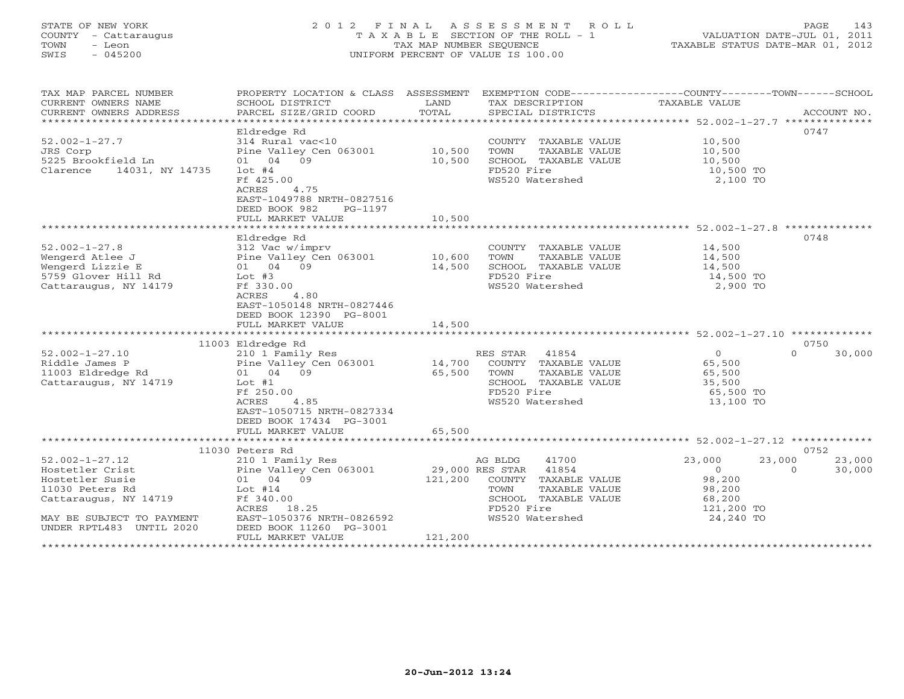# STATE OF NEW YORK 2 0 1 2 F I N A L A S S E S S M E N T R O L L PAGE 143 COUNTY - Cattaraugus T A X A B L E SECTION OF THE ROLL - 1 VALUATION DATE-JUL 01, 2011 TOWN - Leon TAX MAP NUMBER SEQUENCE TAXABLE STATUS DATE-MAR 01, 2012 SWIS - 045200 UNIFORM PERCENT OF VALUE IS 100.00UNIFORM PERCENT OF VALUE IS 100.00

| SCHOOL DISTRICT<br>PARCEL SIZE/GRID COORD                                                                                                                                     | LAND<br>TOTAL                                                          | SPECIAL DISTRICTS                                                                                                        |                                                                                                                    |                                                                                                                                                                |
|-------------------------------------------------------------------------------------------------------------------------------------------------------------------------------|------------------------------------------------------------------------|--------------------------------------------------------------------------------------------------------------------------|--------------------------------------------------------------------------------------------------------------------|----------------------------------------------------------------------------------------------------------------------------------------------------------------|
| Eldredge Rd<br>314 Rural vac<10<br>Pine Valley Cen 063001<br>01 04 09<br>$1$ ot #4<br>Ff 425.00<br>ACRES<br>4.75<br>EAST-1049788 NRTH-0827516<br>DEED BOOK 982<br>PG-1197     | 10,500<br>10,500                                                       | COUNTY TAXABLE VALUE<br>TOWN<br>TAXABLE VALUE<br>SCHOOL TAXABLE VALUE<br>FD520 Fire<br>WS520 Watershed                   | 0747<br>10,500<br>10,500<br>10,500<br>10,500 TO<br>2,100 TO                                                        |                                                                                                                                                                |
| Eldredge Rd<br>312 Vac w/imprv<br>Pine Valley Cen 063001<br>01 04 09<br>Lot #3                                                                                                | 10,600<br>14,500                                                       | COUNTY TAXABLE VALUE<br>TOWN<br>TAXABLE VALUE<br>SCHOOL TAXABLE VALUE<br>FD520 Fire                                      | 0748<br>14,500<br>14,500<br>14,500<br>14,500 TO                                                                    |                                                                                                                                                                |
| 4.80<br>ACRES<br>EAST-1050148 NRTH-0827446<br>DEED BOOK 12390 PG-8001<br>FULL MARKET VALUE                                                                                    | 14,500                                                                 |                                                                                                                          |                                                                                                                    |                                                                                                                                                                |
| 11003 Eldredge Rd<br>210 1 Family Res<br>Pine Valley Cen 063001<br>01 04 09<br>$Lot$ #1<br>Ff 250.00<br>4.85<br>ACRES<br>EAST-1050715 NRTH-0827334<br>DEED BOOK 17434 PG-3001 | 14,700<br>65,500                                                       | COUNTY TAXABLE VALUE<br>TOWN<br>TAXABLE VALUE<br>SCHOOL TAXABLE VALUE<br>FD520 Fire<br>WS520 Watershed                   | 0750<br>$\circ$<br>$\Omega$<br>65,500<br>65,500<br>35,500<br>65,500 TO<br>13,100 TO                                |                                                                                                                                                                |
| FULL MARKET VALUE                                                                                                                                                             |                                                                        |                                                                                                                          |                                                                                                                    |                                                                                                                                                                |
| 210 1 Family Res<br>Pine Valley Cen 063001<br>01 04 09<br>Lot #14<br>Ff 340.00<br>ACRES 18.25<br>EAST-1050376 NRTH-0826592<br>DEED BOOK 11260 PG-3001                         |                                                                        | 41700<br>41854<br>COUNTY TAXABLE VALUE<br>TOWN<br>TAXABLE VALUE<br>SCHOOL TAXABLE VALUE<br>FD520 Fire<br>WS520 Watershed | 23,000<br>23,000<br>$\circ$<br>$\Omega$<br>98,200<br>98,200<br>68,200<br>121,200 TO<br>24,240 TO                   |                                                                                                                                                                |
|                                                                                                                                                                               | FULL MARKET VALUE<br>Ff 330.00<br>11030 Peters Rd<br>FULL MARKET VALUE | 10,500<br>65,500<br>121,200                                                                                              | PROPERTY LOCATION & CLASS ASSESSMENT<br>WS520 Watershed<br>RES STAR 41854<br>AG BLDG<br>29,000 RES STAR<br>121,200 | EXEMPTION CODE-----------------COUNTY-------TOWN------SCHOOL<br>TAX DESCRIPTION TAXABLE VALUE<br>ACCOUNT NO.<br>2,900 TO<br>30,000<br>0752<br>23,000<br>30,000 |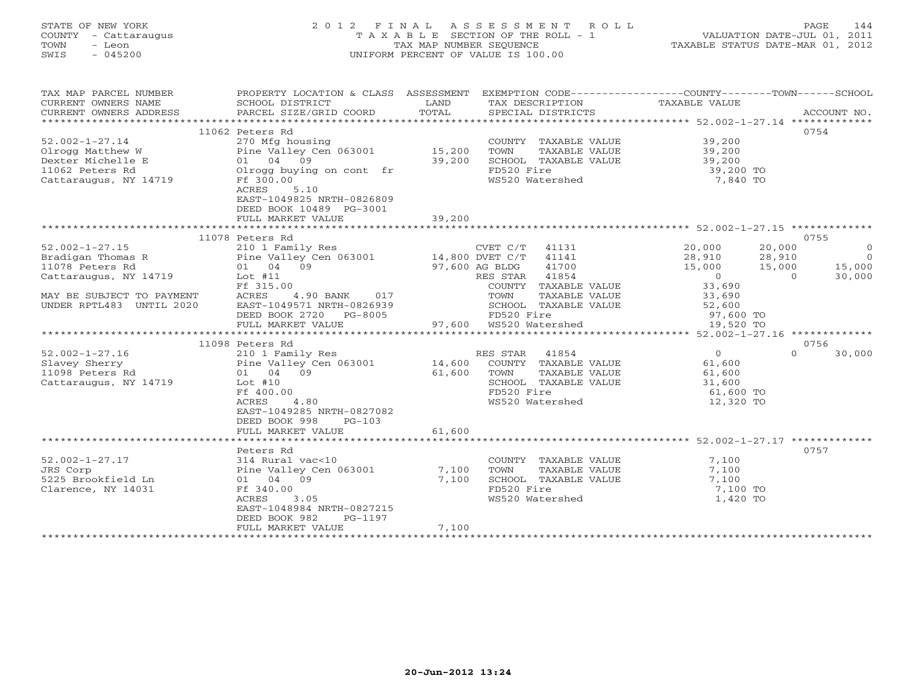# STATE OF NEW YORK 2 0 1 2 F I N A L A S S E S S M E N T R O L L PAGE 144 COUNTY - Cattaraugus T A X A B L E SECTION OF THE ROLL - 1 VALUATION DATE-JUL 01, 2011 TOWN - Leon TAX MAP NUMBER SEQUENCE TAXABLE STATUS DATE-MAR 01, 2012 SWIS - 045200 UNIFORM PERCENT OF VALUE IS 100.00UNIFORM PERCENT OF VALUE IS 100.00

| 0754<br>11062 Peters Rd<br>$52.002 - 1 - 27.14$<br>39,200<br>270 Mfg housing<br>COUNTY TAXABLE VALUE<br>Olrogg Matthew W<br>Pine Valley Cen 063001<br>15,200<br>TOWN<br>TAXABLE VALUE<br>39,200<br>39,200<br>SCHOOL TAXABLE VALUE<br>39,200<br>Dexter Michelle E<br>01 04 09<br>FD520 Fire<br>39,200 TO<br>11062 Peters Rd<br>Olrogg buying on cont fr<br>WS520 Watershed<br>7,840 TO<br>Cattaraugus, NY 14719<br>Ff 300.00<br>ACRES<br>5.10<br>EAST-1049825 NRTH-0826809<br>DEED BOOK 10489 PG-3001<br>39,200<br>FULL MARKET VALUE<br>11078 Peters Rd<br>0755<br>$52.002 - 1 - 27.15$<br>CVET C/T 41131<br>20,000<br>20,000<br>210 1 Family Res<br>$\overline{O}$<br>Bradigan Thomas R<br>Pine Valley Cen $063001$ 14,800 DVET C/T<br>41141<br>28,910<br>$\overline{0}$<br>$-0.000$<br>0<br>33, Fr<br>41700<br>01 04 09<br>97,600 AG BLDG<br>15,000<br>15,000<br>30,000<br>Cattaraugus, NY 14719<br>41854<br>Lot #11<br>RES STAR<br>$\Omega$<br>Ff 315.00<br>COUNTY TAXABLE VALUE<br>ACRES<br>4.90 BANK<br>017<br>MAY BE SUBJECT TO PAYMENT<br>TOWN<br>TAXABLE VALUE<br>33,690<br>UNDER RPTL483 UNTIL 2020<br>EAST-1049571 NRTH-0826939<br>SCHOOL TAXABLE VALUE<br>52,600<br>DEED BOOK 2720 PG-8005<br>FD520 Fire<br>97,600 TO<br>97,600 WS520 Watershed<br>FULL MARKET VALUE<br>19,520 TO<br>0756<br>11098 Peters Rd<br>$\overline{0}$<br>$52.002 - 1 - 27.16$<br>RES STAR<br>41854<br>30,000<br>210 1 Family Res<br>$\Omega$<br>14,600<br>Slavey Sherry<br>Pine Valley Cen 063001<br>COUNTY TAXABLE VALUE<br>61,600<br>61,600<br>11098 Peters Rd<br>01 04 09<br>TOWN<br>TAXABLE VALUE<br>61,600<br>Cattaraugus, NY 14719<br>Lot $#10$<br>SCHOOL TAXABLE VALUE<br>31,600<br>FD520 Fire<br>61,600 TO<br>Ff 400.00<br>ACRES<br>4.80<br>WS520 Watershed<br>12,320 TO<br>EAST-1049285 NRTH-0827082<br>DEED BOOK 998<br>$PG-103$<br>61,600<br>FULL MARKET VALUE<br>Peters Rd<br>0757<br>$52.002 - 1 - 27.17$<br>314 Rural vac<10<br>COUNTY TAXABLE VALUE<br>7,100<br>JRS Corp<br>Pine Valley Cen 063001<br>7,100<br>TOWN<br>TAXABLE VALUE<br>7,100<br>5225 Brookfield Ln<br>01 04 09<br>7,100<br>SCHOOL TAXABLE VALUE<br>7,100<br>Ff 340.00<br>FD520 Fire<br>Clarence, NY 14031<br>7,100 TO<br>ACRES<br>3.05<br>WS520 Watershed<br>1,420 TO<br>EAST-1048984 NRTH-0827215<br>DEED BOOK 982<br>PG-1197<br>7,100<br>FULL MARKET VALUE | TAX MAP PARCEL NUMBER<br>CURRENT OWNERS NAME<br>CURRENT OWNERS ADDRESS | PROPERTY LOCATION & CLASS ASSESSMENT<br>SCHOOL DISTRICT<br>PARCEL SIZE/GRID COORD | LAND<br>TOTAL | EXEMPTION CODE-----------------COUNTY-------TOWN-----SCHOOL<br>TAX DESCRIPTION<br>SPECIAL DISTRICTS | TAXABLE VALUE | ACCOUNT NO. |
|---------------------------------------------------------------------------------------------------------------------------------------------------------------------------------------------------------------------------------------------------------------------------------------------------------------------------------------------------------------------------------------------------------------------------------------------------------------------------------------------------------------------------------------------------------------------------------------------------------------------------------------------------------------------------------------------------------------------------------------------------------------------------------------------------------------------------------------------------------------------------------------------------------------------------------------------------------------------------------------------------------------------------------------------------------------------------------------------------------------------------------------------------------------------------------------------------------------------------------------------------------------------------------------------------------------------------------------------------------------------------------------------------------------------------------------------------------------------------------------------------------------------------------------------------------------------------------------------------------------------------------------------------------------------------------------------------------------------------------------------------------------------------------------------------------------------------------------------------------------------------------------------------------------------------------------------------------------------------------------------------------------------------------------------------------------------------------------------------------------------------------------------------------------------------------------------------------------------------------------------------------------------------------------------------------------------------------|------------------------------------------------------------------------|-----------------------------------------------------------------------------------|---------------|-----------------------------------------------------------------------------------------------------|---------------|-------------|
|                                                                                                                                                                                                                                                                                                                                                                                                                                                                                                                                                                                                                                                                                                                                                                                                                                                                                                                                                                                                                                                                                                                                                                                                                                                                                                                                                                                                                                                                                                                                                                                                                                                                                                                                                                                                                                                                                                                                                                                                                                                                                                                                                                                                                                                                                                                                 |                                                                        |                                                                                   |               |                                                                                                     |               |             |
|                                                                                                                                                                                                                                                                                                                                                                                                                                                                                                                                                                                                                                                                                                                                                                                                                                                                                                                                                                                                                                                                                                                                                                                                                                                                                                                                                                                                                                                                                                                                                                                                                                                                                                                                                                                                                                                                                                                                                                                                                                                                                                                                                                                                                                                                                                                                 |                                                                        |                                                                                   |               |                                                                                                     |               |             |
|                                                                                                                                                                                                                                                                                                                                                                                                                                                                                                                                                                                                                                                                                                                                                                                                                                                                                                                                                                                                                                                                                                                                                                                                                                                                                                                                                                                                                                                                                                                                                                                                                                                                                                                                                                                                                                                                                                                                                                                                                                                                                                                                                                                                                                                                                                                                 |                                                                        |                                                                                   |               |                                                                                                     |               |             |
|                                                                                                                                                                                                                                                                                                                                                                                                                                                                                                                                                                                                                                                                                                                                                                                                                                                                                                                                                                                                                                                                                                                                                                                                                                                                                                                                                                                                                                                                                                                                                                                                                                                                                                                                                                                                                                                                                                                                                                                                                                                                                                                                                                                                                                                                                                                                 |                                                                        |                                                                                   |               |                                                                                                     |               |             |
|                                                                                                                                                                                                                                                                                                                                                                                                                                                                                                                                                                                                                                                                                                                                                                                                                                                                                                                                                                                                                                                                                                                                                                                                                                                                                                                                                                                                                                                                                                                                                                                                                                                                                                                                                                                                                                                                                                                                                                                                                                                                                                                                                                                                                                                                                                                                 |                                                                        |                                                                                   |               |                                                                                                     |               |             |
|                                                                                                                                                                                                                                                                                                                                                                                                                                                                                                                                                                                                                                                                                                                                                                                                                                                                                                                                                                                                                                                                                                                                                                                                                                                                                                                                                                                                                                                                                                                                                                                                                                                                                                                                                                                                                                                                                                                                                                                                                                                                                                                                                                                                                                                                                                                                 |                                                                        |                                                                                   |               |                                                                                                     |               |             |
|                                                                                                                                                                                                                                                                                                                                                                                                                                                                                                                                                                                                                                                                                                                                                                                                                                                                                                                                                                                                                                                                                                                                                                                                                                                                                                                                                                                                                                                                                                                                                                                                                                                                                                                                                                                                                                                                                                                                                                                                                                                                                                                                                                                                                                                                                                                                 |                                                                        |                                                                                   |               |                                                                                                     |               |             |
|                                                                                                                                                                                                                                                                                                                                                                                                                                                                                                                                                                                                                                                                                                                                                                                                                                                                                                                                                                                                                                                                                                                                                                                                                                                                                                                                                                                                                                                                                                                                                                                                                                                                                                                                                                                                                                                                                                                                                                                                                                                                                                                                                                                                                                                                                                                                 |                                                                        |                                                                                   |               |                                                                                                     |               |             |
|                                                                                                                                                                                                                                                                                                                                                                                                                                                                                                                                                                                                                                                                                                                                                                                                                                                                                                                                                                                                                                                                                                                                                                                                                                                                                                                                                                                                                                                                                                                                                                                                                                                                                                                                                                                                                                                                                                                                                                                                                                                                                                                                                                                                                                                                                                                                 |                                                                        |                                                                                   |               |                                                                                                     |               |             |
|                                                                                                                                                                                                                                                                                                                                                                                                                                                                                                                                                                                                                                                                                                                                                                                                                                                                                                                                                                                                                                                                                                                                                                                                                                                                                                                                                                                                                                                                                                                                                                                                                                                                                                                                                                                                                                                                                                                                                                                                                                                                                                                                                                                                                                                                                                                                 |                                                                        |                                                                                   |               |                                                                                                     |               |             |
|                                                                                                                                                                                                                                                                                                                                                                                                                                                                                                                                                                                                                                                                                                                                                                                                                                                                                                                                                                                                                                                                                                                                                                                                                                                                                                                                                                                                                                                                                                                                                                                                                                                                                                                                                                                                                                                                                                                                                                                                                                                                                                                                                                                                                                                                                                                                 |                                                                        |                                                                                   |               |                                                                                                     |               |             |
|                                                                                                                                                                                                                                                                                                                                                                                                                                                                                                                                                                                                                                                                                                                                                                                                                                                                                                                                                                                                                                                                                                                                                                                                                                                                                                                                                                                                                                                                                                                                                                                                                                                                                                                                                                                                                                                                                                                                                                                                                                                                                                                                                                                                                                                                                                                                 |                                                                        |                                                                                   |               |                                                                                                     |               |             |
|                                                                                                                                                                                                                                                                                                                                                                                                                                                                                                                                                                                                                                                                                                                                                                                                                                                                                                                                                                                                                                                                                                                                                                                                                                                                                                                                                                                                                                                                                                                                                                                                                                                                                                                                                                                                                                                                                                                                                                                                                                                                                                                                                                                                                                                                                                                                 |                                                                        |                                                                                   |               |                                                                                                     |               |             |
|                                                                                                                                                                                                                                                                                                                                                                                                                                                                                                                                                                                                                                                                                                                                                                                                                                                                                                                                                                                                                                                                                                                                                                                                                                                                                                                                                                                                                                                                                                                                                                                                                                                                                                                                                                                                                                                                                                                                                                                                                                                                                                                                                                                                                                                                                                                                 |                                                                        |                                                                                   |               |                                                                                                     |               |             |
|                                                                                                                                                                                                                                                                                                                                                                                                                                                                                                                                                                                                                                                                                                                                                                                                                                                                                                                                                                                                                                                                                                                                                                                                                                                                                                                                                                                                                                                                                                                                                                                                                                                                                                                                                                                                                                                                                                                                                                                                                                                                                                                                                                                                                                                                                                                                 |                                                                        |                                                                                   |               |                                                                                                     |               |             |
|                                                                                                                                                                                                                                                                                                                                                                                                                                                                                                                                                                                                                                                                                                                                                                                                                                                                                                                                                                                                                                                                                                                                                                                                                                                                                                                                                                                                                                                                                                                                                                                                                                                                                                                                                                                                                                                                                                                                                                                                                                                                                                                                                                                                                                                                                                                                 |                                                                        |                                                                                   |               |                                                                                                     |               |             |
|                                                                                                                                                                                                                                                                                                                                                                                                                                                                                                                                                                                                                                                                                                                                                                                                                                                                                                                                                                                                                                                                                                                                                                                                                                                                                                                                                                                                                                                                                                                                                                                                                                                                                                                                                                                                                                                                                                                                                                                                                                                                                                                                                                                                                                                                                                                                 | 11078 Peters Rd                                                        |                                                                                   |               |                                                                                                     |               |             |
|                                                                                                                                                                                                                                                                                                                                                                                                                                                                                                                                                                                                                                                                                                                                                                                                                                                                                                                                                                                                                                                                                                                                                                                                                                                                                                                                                                                                                                                                                                                                                                                                                                                                                                                                                                                                                                                                                                                                                                                                                                                                                                                                                                                                                                                                                                                                 |                                                                        |                                                                                   |               |                                                                                                     |               |             |
|                                                                                                                                                                                                                                                                                                                                                                                                                                                                                                                                                                                                                                                                                                                                                                                                                                                                                                                                                                                                                                                                                                                                                                                                                                                                                                                                                                                                                                                                                                                                                                                                                                                                                                                                                                                                                                                                                                                                                                                                                                                                                                                                                                                                                                                                                                                                 |                                                                        |                                                                                   |               |                                                                                                     |               |             |
|                                                                                                                                                                                                                                                                                                                                                                                                                                                                                                                                                                                                                                                                                                                                                                                                                                                                                                                                                                                                                                                                                                                                                                                                                                                                                                                                                                                                                                                                                                                                                                                                                                                                                                                                                                                                                                                                                                                                                                                                                                                                                                                                                                                                                                                                                                                                 |                                                                        |                                                                                   |               |                                                                                                     |               |             |
|                                                                                                                                                                                                                                                                                                                                                                                                                                                                                                                                                                                                                                                                                                                                                                                                                                                                                                                                                                                                                                                                                                                                                                                                                                                                                                                                                                                                                                                                                                                                                                                                                                                                                                                                                                                                                                                                                                                                                                                                                                                                                                                                                                                                                                                                                                                                 |                                                                        |                                                                                   |               |                                                                                                     |               |             |
|                                                                                                                                                                                                                                                                                                                                                                                                                                                                                                                                                                                                                                                                                                                                                                                                                                                                                                                                                                                                                                                                                                                                                                                                                                                                                                                                                                                                                                                                                                                                                                                                                                                                                                                                                                                                                                                                                                                                                                                                                                                                                                                                                                                                                                                                                                                                 |                                                                        |                                                                                   |               |                                                                                                     |               |             |
|                                                                                                                                                                                                                                                                                                                                                                                                                                                                                                                                                                                                                                                                                                                                                                                                                                                                                                                                                                                                                                                                                                                                                                                                                                                                                                                                                                                                                                                                                                                                                                                                                                                                                                                                                                                                                                                                                                                                                                                                                                                                                                                                                                                                                                                                                                                                 |                                                                        |                                                                                   |               |                                                                                                     |               |             |
|                                                                                                                                                                                                                                                                                                                                                                                                                                                                                                                                                                                                                                                                                                                                                                                                                                                                                                                                                                                                                                                                                                                                                                                                                                                                                                                                                                                                                                                                                                                                                                                                                                                                                                                                                                                                                                                                                                                                                                                                                                                                                                                                                                                                                                                                                                                                 |                                                                        |                                                                                   |               |                                                                                                     |               |             |
|                                                                                                                                                                                                                                                                                                                                                                                                                                                                                                                                                                                                                                                                                                                                                                                                                                                                                                                                                                                                                                                                                                                                                                                                                                                                                                                                                                                                                                                                                                                                                                                                                                                                                                                                                                                                                                                                                                                                                                                                                                                                                                                                                                                                                                                                                                                                 |                                                                        |                                                                                   |               |                                                                                                     |               |             |
|                                                                                                                                                                                                                                                                                                                                                                                                                                                                                                                                                                                                                                                                                                                                                                                                                                                                                                                                                                                                                                                                                                                                                                                                                                                                                                                                                                                                                                                                                                                                                                                                                                                                                                                                                                                                                                                                                                                                                                                                                                                                                                                                                                                                                                                                                                                                 |                                                                        |                                                                                   |               |                                                                                                     |               |             |
|                                                                                                                                                                                                                                                                                                                                                                                                                                                                                                                                                                                                                                                                                                                                                                                                                                                                                                                                                                                                                                                                                                                                                                                                                                                                                                                                                                                                                                                                                                                                                                                                                                                                                                                                                                                                                                                                                                                                                                                                                                                                                                                                                                                                                                                                                                                                 |                                                                        |                                                                                   |               |                                                                                                     |               |             |
|                                                                                                                                                                                                                                                                                                                                                                                                                                                                                                                                                                                                                                                                                                                                                                                                                                                                                                                                                                                                                                                                                                                                                                                                                                                                                                                                                                                                                                                                                                                                                                                                                                                                                                                                                                                                                                                                                                                                                                                                                                                                                                                                                                                                                                                                                                                                 |                                                                        |                                                                                   |               |                                                                                                     |               |             |
|                                                                                                                                                                                                                                                                                                                                                                                                                                                                                                                                                                                                                                                                                                                                                                                                                                                                                                                                                                                                                                                                                                                                                                                                                                                                                                                                                                                                                                                                                                                                                                                                                                                                                                                                                                                                                                                                                                                                                                                                                                                                                                                                                                                                                                                                                                                                 |                                                                        |                                                                                   |               |                                                                                                     |               |             |
|                                                                                                                                                                                                                                                                                                                                                                                                                                                                                                                                                                                                                                                                                                                                                                                                                                                                                                                                                                                                                                                                                                                                                                                                                                                                                                                                                                                                                                                                                                                                                                                                                                                                                                                                                                                                                                                                                                                                                                                                                                                                                                                                                                                                                                                                                                                                 |                                                                        |                                                                                   |               |                                                                                                     |               |             |
|                                                                                                                                                                                                                                                                                                                                                                                                                                                                                                                                                                                                                                                                                                                                                                                                                                                                                                                                                                                                                                                                                                                                                                                                                                                                                                                                                                                                                                                                                                                                                                                                                                                                                                                                                                                                                                                                                                                                                                                                                                                                                                                                                                                                                                                                                                                                 |                                                                        |                                                                                   |               |                                                                                                     |               |             |
|                                                                                                                                                                                                                                                                                                                                                                                                                                                                                                                                                                                                                                                                                                                                                                                                                                                                                                                                                                                                                                                                                                                                                                                                                                                                                                                                                                                                                                                                                                                                                                                                                                                                                                                                                                                                                                                                                                                                                                                                                                                                                                                                                                                                                                                                                                                                 |                                                                        |                                                                                   |               |                                                                                                     |               |             |
|                                                                                                                                                                                                                                                                                                                                                                                                                                                                                                                                                                                                                                                                                                                                                                                                                                                                                                                                                                                                                                                                                                                                                                                                                                                                                                                                                                                                                                                                                                                                                                                                                                                                                                                                                                                                                                                                                                                                                                                                                                                                                                                                                                                                                                                                                                                                 |                                                                        |                                                                                   |               |                                                                                                     |               |             |
|                                                                                                                                                                                                                                                                                                                                                                                                                                                                                                                                                                                                                                                                                                                                                                                                                                                                                                                                                                                                                                                                                                                                                                                                                                                                                                                                                                                                                                                                                                                                                                                                                                                                                                                                                                                                                                                                                                                                                                                                                                                                                                                                                                                                                                                                                                                                 |                                                                        |                                                                                   |               |                                                                                                     |               |             |
|                                                                                                                                                                                                                                                                                                                                                                                                                                                                                                                                                                                                                                                                                                                                                                                                                                                                                                                                                                                                                                                                                                                                                                                                                                                                                                                                                                                                                                                                                                                                                                                                                                                                                                                                                                                                                                                                                                                                                                                                                                                                                                                                                                                                                                                                                                                                 |                                                                        |                                                                                   |               |                                                                                                     |               |             |
|                                                                                                                                                                                                                                                                                                                                                                                                                                                                                                                                                                                                                                                                                                                                                                                                                                                                                                                                                                                                                                                                                                                                                                                                                                                                                                                                                                                                                                                                                                                                                                                                                                                                                                                                                                                                                                                                                                                                                                                                                                                                                                                                                                                                                                                                                                                                 |                                                                        |                                                                                   |               |                                                                                                     |               |             |
|                                                                                                                                                                                                                                                                                                                                                                                                                                                                                                                                                                                                                                                                                                                                                                                                                                                                                                                                                                                                                                                                                                                                                                                                                                                                                                                                                                                                                                                                                                                                                                                                                                                                                                                                                                                                                                                                                                                                                                                                                                                                                                                                                                                                                                                                                                                                 |                                                                        |                                                                                   |               |                                                                                                     |               |             |
|                                                                                                                                                                                                                                                                                                                                                                                                                                                                                                                                                                                                                                                                                                                                                                                                                                                                                                                                                                                                                                                                                                                                                                                                                                                                                                                                                                                                                                                                                                                                                                                                                                                                                                                                                                                                                                                                                                                                                                                                                                                                                                                                                                                                                                                                                                                                 |                                                                        |                                                                                   |               |                                                                                                     |               |             |
|                                                                                                                                                                                                                                                                                                                                                                                                                                                                                                                                                                                                                                                                                                                                                                                                                                                                                                                                                                                                                                                                                                                                                                                                                                                                                                                                                                                                                                                                                                                                                                                                                                                                                                                                                                                                                                                                                                                                                                                                                                                                                                                                                                                                                                                                                                                                 |                                                                        |                                                                                   |               |                                                                                                     |               |             |
|                                                                                                                                                                                                                                                                                                                                                                                                                                                                                                                                                                                                                                                                                                                                                                                                                                                                                                                                                                                                                                                                                                                                                                                                                                                                                                                                                                                                                                                                                                                                                                                                                                                                                                                                                                                                                                                                                                                                                                                                                                                                                                                                                                                                                                                                                                                                 |                                                                        |                                                                                   |               |                                                                                                     |               |             |
|                                                                                                                                                                                                                                                                                                                                                                                                                                                                                                                                                                                                                                                                                                                                                                                                                                                                                                                                                                                                                                                                                                                                                                                                                                                                                                                                                                                                                                                                                                                                                                                                                                                                                                                                                                                                                                                                                                                                                                                                                                                                                                                                                                                                                                                                                                                                 |                                                                        |                                                                                   |               |                                                                                                     |               |             |
|                                                                                                                                                                                                                                                                                                                                                                                                                                                                                                                                                                                                                                                                                                                                                                                                                                                                                                                                                                                                                                                                                                                                                                                                                                                                                                                                                                                                                                                                                                                                                                                                                                                                                                                                                                                                                                                                                                                                                                                                                                                                                                                                                                                                                                                                                                                                 |                                                                        |                                                                                   |               |                                                                                                     |               |             |
|                                                                                                                                                                                                                                                                                                                                                                                                                                                                                                                                                                                                                                                                                                                                                                                                                                                                                                                                                                                                                                                                                                                                                                                                                                                                                                                                                                                                                                                                                                                                                                                                                                                                                                                                                                                                                                                                                                                                                                                                                                                                                                                                                                                                                                                                                                                                 |                                                                        |                                                                                   |               |                                                                                                     |               |             |
|                                                                                                                                                                                                                                                                                                                                                                                                                                                                                                                                                                                                                                                                                                                                                                                                                                                                                                                                                                                                                                                                                                                                                                                                                                                                                                                                                                                                                                                                                                                                                                                                                                                                                                                                                                                                                                                                                                                                                                                                                                                                                                                                                                                                                                                                                                                                 |                                                                        |                                                                                   |               |                                                                                                     |               |             |
|                                                                                                                                                                                                                                                                                                                                                                                                                                                                                                                                                                                                                                                                                                                                                                                                                                                                                                                                                                                                                                                                                                                                                                                                                                                                                                                                                                                                                                                                                                                                                                                                                                                                                                                                                                                                                                                                                                                                                                                                                                                                                                                                                                                                                                                                                                                                 |                                                                        |                                                                                   |               |                                                                                                     |               |             |
|                                                                                                                                                                                                                                                                                                                                                                                                                                                                                                                                                                                                                                                                                                                                                                                                                                                                                                                                                                                                                                                                                                                                                                                                                                                                                                                                                                                                                                                                                                                                                                                                                                                                                                                                                                                                                                                                                                                                                                                                                                                                                                                                                                                                                                                                                                                                 |                                                                        |                                                                                   |               |                                                                                                     |               |             |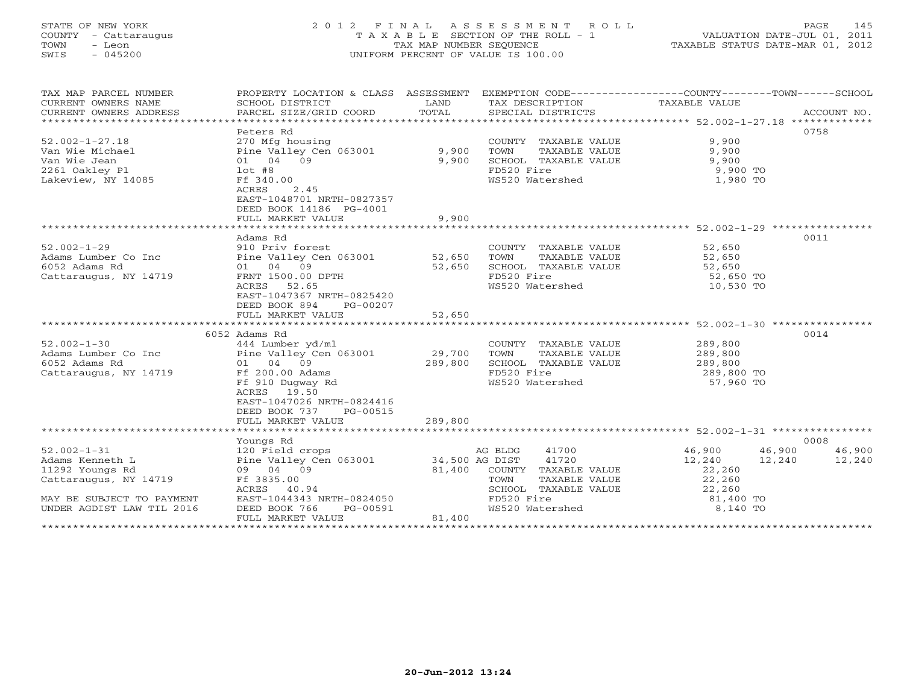# STATE OF NEW YORK 2 0 1 2 F I N A L A S S E S S M E N T R O L L PAGE 145 COUNTY - Cattaraugus T A X A B L E SECTION OF THE ROLL - 1 VALUATION DATE-JUL 01, 2011 TOWN - Leon TAX MAP NUMBER SEQUENCE TAXABLE STATUS DATE-MAR 01, 2012 SWIS - 045200 UNIFORM PERCENT OF VALUE IS 100.00

| SCHOOL DISTRICT<br>PARCEL SIZE/GRID COORD                                                                                                                        | LAND<br>TOTAL                                           | SPECIAL DISTRICTS                                                                                                                                           |                                                                         | ACCOUNT NO.                                                                                                                                                                                                                                                                                     |
|------------------------------------------------------------------------------------------------------------------------------------------------------------------|---------------------------------------------------------|-------------------------------------------------------------------------------------------------------------------------------------------------------------|-------------------------------------------------------------------------|-------------------------------------------------------------------------------------------------------------------------------------------------------------------------------------------------------------------------------------------------------------------------------------------------|
| Peters Rd<br>270 Mfg housing<br>01 04 09<br>$1$ ot #8<br>Ff 340.00<br>2.45<br>ACRES<br>EAST-1048701 NRTH-0827357<br>DEED BOOK 14186 PG-4001<br>FULL MARKET VALUE | 9,900<br>9,900                                          | TOWN<br>TAXABLE VALUE<br>SCHOOL TAXABLE VALUE<br>FD520 Fire<br>WS520 Watershed                                                                              | 9,900<br>9,900<br>9,900<br>$9,900$ TO<br>1,980 TO                       | 0758                                                                                                                                                                                                                                                                                            |
| Adams Rd<br>910 Priv forest<br>01 04 09<br>FRNT 1500.00 DPTH<br>ACRES<br>52.65<br>EAST-1047367 NRTH-0825420<br>DEED BOOK 894<br>PG-00207                         | 52,650                                                  | TOWN<br>TAXABLE VALUE<br>SCHOOL TAXABLE VALUE<br>FD520 Fire<br>WS520 Watershed                                                                              | 52,650<br>52,650 TO<br>10,530 TO                                        | 0011                                                                                                                                                                                                                                                                                            |
|                                                                                                                                                                  |                                                         |                                                                                                                                                             |                                                                         |                                                                                                                                                                                                                                                                                                 |
| 444 Lumber yd/ml<br>01 04 09<br>Ff 200.00 Adams<br>Ff 910 Dugway Rd<br>19.50<br>ACRES<br>EAST-1047026 NRTH-0824416<br>DEED BOOK 737<br>PG-00515                  |                                                         | TOWN<br>TAXABLE VALUE<br>SCHOOL TAXABLE VALUE<br>FD520 Fire<br>WS520 Watershed                                                                              | 289,800<br>289,800<br>289,800<br>289,800 TO<br>57,960 TO                | 0014                                                                                                                                                                                                                                                                                            |
|                                                                                                                                                                  |                                                         |                                                                                                                                                             |                                                                         |                                                                                                                                                                                                                                                                                                 |
| Youngs Rd<br>120 Field crops<br>09 04 09<br>Ff 3835.00<br>ACRES 40.94<br>DEED BOOK 766<br>PG-00591<br>FULL MARKET VALUE                                          | 81,400                                                  | 41700<br>41720<br>TAXABLE VALUE<br>TOWN<br>SCHOOL TAXABLE VALUE                                                                                             | 46,900<br>12,240<br>22,260<br>22,260<br>22,260<br>81,400 TO<br>8,140 TO | 0008<br>46,900<br>46,900<br>12,240                                                                                                                                                                                                                                                              |
|                                                                                                                                                                  | FULL MARKET VALUE<br>6052 Adams Rd<br>FULL MARKET VALUE | Pine Valley Cen 063001 9,900<br>Pine Valley Cen 063001 52,650<br>52,650<br>Pine Valley Cen 063001 29,700<br>289,800<br>289,800<br>EAST-1044343 NRTH-0824050 | AG BLDG<br>Pine Valley Cen 063001 34,500 AG DIST<br>81,400              | PROPERTY LOCATION & CLASS ASSESSMENT EXEMPTION CODE---------------COUNTY-------TOWN------SCHOOL<br>TAX DESCRIPTION TAXABLE VALUE<br>COUNTY TAXABLE VALUE<br>COUNTY TAXABLE VALUE<br>52,650<br>52,650<br>COUNTY TAXABLE VALUE<br>12,240<br>COUNTY TAXABLE VALUE<br>FD520 Fire<br>WS520 Watershed |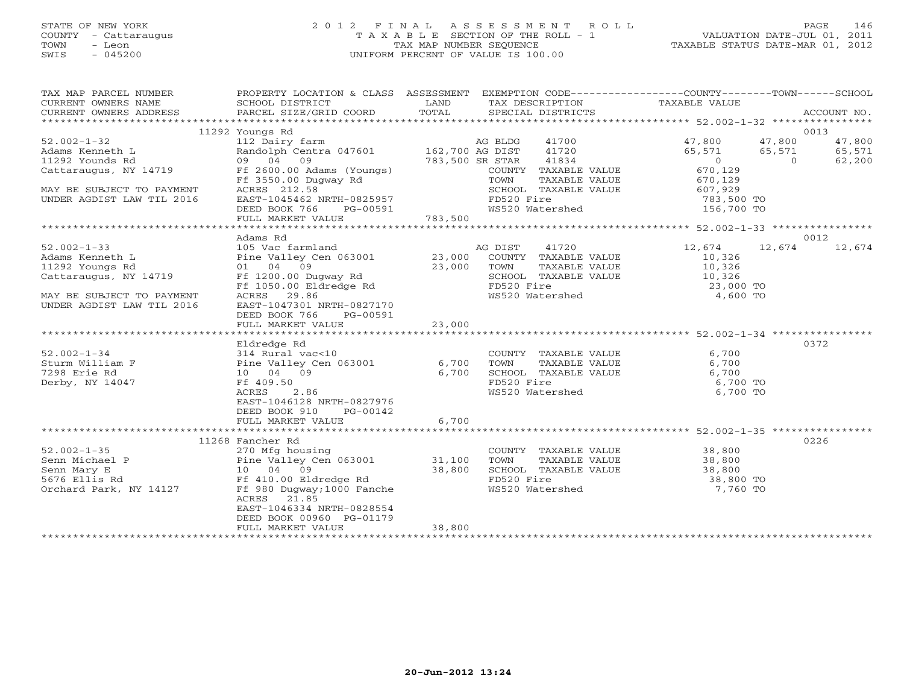# STATE OF NEW YORK 2 0 1 2 F I N A L A S S E S S M E N T R O L L PAGE 146 COUNTY - Cattaraugus T A X A B L E SECTION OF THE ROLL - 1 VALUATION DATE-JUL 01, 2011 TOWN - Leon TAX MAP NUMBER SEQUENCE TAXABLE STATUS DATE-MAR 01, 2012 SWIS - 045200 UNIFORM PERCENT OF VALUE IS 100.00UNIFORM PERCENT OF VALUE IS 100.00

| TAX MAP PARCEL NUMBER<br>CURRENT OWNERS NAME<br>CURRENT OWNERS ADDRESS                                                                                                                                                                                 | PROPERTY LOCATION & CLASS ASSESSMENT<br>SCHOOL DISTRICT<br>PARCEL SIZE/GRID COORD  | LAND<br>TOTAL | EXEMPTION CODE-----------------COUNTY-------TOWN------SCHOOL<br>TAX DESCRIPTION TAXABLE VALUE<br>SPECIAL DISTRICTS<br>SPECIAL DISTRICTS |                  | ACCOUNT NO.              |
|--------------------------------------------------------------------------------------------------------------------------------------------------------------------------------------------------------------------------------------------------------|------------------------------------------------------------------------------------|---------------|-----------------------------------------------------------------------------------------------------------------------------------------|------------------|--------------------------|
|                                                                                                                                                                                                                                                        |                                                                                    |               |                                                                                                                                         |                  |                          |
|                                                                                                                                                                                                                                                        | 11292 Youngs Rd                                                                    |               |                                                                                                                                         |                  | 0013                     |
| $52.002 - 1 - 32$                                                                                                                                                                                                                                      | 112 Dairy farm                                                                     |               | AG BLDG                                                                                                                                 | 41700 47,800     | 47,800<br>47,800         |
| Adams Kenneth L                                                                                                                                                                                                                                        | Randolph Centra 047601 $162,700$ AG DIST                                           |               | 41720<br>41834                                                                                                                          | 65,571           | 65,571<br>65,571         |
| 11292 Younds Rd                                                                                                                                                                                                                                        | 09 04 09                                                                           |               | 783,500 SR STAR                                                                                                                         | $\overline{0}$   | $\overline{0}$<br>62,200 |
| Cattaraugus, NY 14719                                                                                                                                                                                                                                  |                                                                                    |               | COUNTY TAXABLE VALUE                                                                                                                    | 670,129          |                          |
|                                                                                                                                                                                                                                                        |                                                                                    |               | TOWN<br>TAXABLE VALUE                                                                                                                   | 670,129          |                          |
| MAY BE SUBJECT TO PAYMENT                                                                                                                                                                                                                              | ACRES 212.58                                                                       |               | SCHOOL TAXABLE VALUE 607,929                                                                                                            |                  |                          |
| UNDER AGDIST LAW TIL 2016                                                                                                                                                                                                                              | EAST-1045462 NRTH-0825957                                                          |               | FD520 Fire<br>FD520 Fire<br>WS520 Watershed                                                                                             | 783,500 TO       |                          |
|                                                                                                                                                                                                                                                        | DEED BOOK 766<br>PG-00591                                                          |               |                                                                                                                                         | $156,700$ TO     |                          |
|                                                                                                                                                                                                                                                        | FULL MARKET VALUE                                                                  | 783,500       |                                                                                                                                         |                  |                          |
|                                                                                                                                                                                                                                                        |                                                                                    |               |                                                                                                                                         |                  |                          |
|                                                                                                                                                                                                                                                        | Adams Rd                                                                           |               |                                                                                                                                         |                  | 0012                     |
| $52.002 - 1 - 33$                                                                                                                                                                                                                                      | Adams Ru<br>105 Vac farmland 105 Vac 1980<br>Pine Valley Cen 063001 23,000         |               | 41720<br>AG DIST                                                                                                                        | 12,674           | 12,674<br>12,674         |
| Adams Kenneth L                                                                                                                                                                                                                                        |                                                                                    |               | COUNTY TAXABLE VALUE                                                                                                                    | 10,326           |                          |
| 11292 Youngs Rd<br>Cattaraugus, NY 14719                                                                                                                                                                                                               |                                                                                    |               |                                                                                                                                         | 10,326<br>10,326 |                          |
|                                                                                                                                                                                                                                                        | 01 04 09<br>Ff 1200.00 Dugway Rd<br>Ff 1050.00 Eldredge Rd<br>ACRES 29.86<br>MS520 |               | TOWN TAXABLE VALUE<br>SCHOOL TAXABLE VALUE                                                                                              |                  |                          |
|                                                                                                                                                                                                                                                        |                                                                                    |               | FD520 Fire                                                                                                                              | 23,000 TO        |                          |
| MAY BE SUBJECT TO PAYMENT                                                                                                                                                                                                                              |                                                                                    |               | FD520 Fire<br>WS520 Watershed                                                                                                           | 4,600 TO         |                          |
| UNDER AGDIST LAW TIL 2016                                                                                                                                                                                                                              | EAST-1047301 NRTH-0827170                                                          |               |                                                                                                                                         |                  |                          |
|                                                                                                                                                                                                                                                        | DEED BOOK 766 PG-00591                                                             |               |                                                                                                                                         |                  |                          |
|                                                                                                                                                                                                                                                        | FULL MARKET VALUE                                                                  | 23,000        |                                                                                                                                         |                  |                          |
|                                                                                                                                                                                                                                                        |                                                                                    |               |                                                                                                                                         |                  |                          |
|                                                                                                                                                                                                                                                        | Eldredge Rd                                                                        |               |                                                                                                                                         |                  | 0372                     |
|                                                                                                                                                                                                                                                        |                                                                                    |               | COUNTY TAXABLE VALUE 6,700                                                                                                              |                  |                          |
|                                                                                                                                                                                                                                                        |                                                                                    |               | TOWN      TAXABLE VALUE<br>SCHOOL   TAXABLE VALUE                                                                                       | 6,700            |                          |
|                                                                                                                                                                                                                                                        |                                                                                    |               |                                                                                                                                         | 6,700            |                          |
| Derby, NY 14047                                                                                                                                                                                                                                        | Ff 409.50                                                                          |               | FD520 Fire<br>FD520 Fire<br>WS520 Watershed                                                                                             | 6,700 TO         |                          |
|                                                                                                                                                                                                                                                        | ACRES<br>2.86                                                                      |               |                                                                                                                                         | 6,700 TO         |                          |
|                                                                                                                                                                                                                                                        | EAST-1046128 NRTH-0827976                                                          |               |                                                                                                                                         |                  |                          |
|                                                                                                                                                                                                                                                        | DEED BOOK 910<br>PG-00142                                                          |               |                                                                                                                                         |                  |                          |
|                                                                                                                                                                                                                                                        | FULL MARKET VALUE                                                                  | 6,700         |                                                                                                                                         |                  |                          |
|                                                                                                                                                                                                                                                        |                                                                                    |               |                                                                                                                                         |                  |                          |
|                                                                                                                                                                                                                                                        | 11268 Fancher Rd                                                                   |               |                                                                                                                                         |                  | 0226                     |
|                                                                                                                                                                                                                                                        |                                                                                    |               | COUNTY TAXABLE VALUE 38,800<br>TOWN TAXABLE VALUE 38,800                                                                                |                  |                          |
|                                                                                                                                                                                                                                                        |                                                                                    |               |                                                                                                                                         |                  |                          |
|                                                                                                                                                                                                                                                        |                                                                                    |               | SCHOOL TAXABLE VALUE 38,800                                                                                                             |                  |                          |
|                                                                                                                                                                                                                                                        |                                                                                    |               | FD520 Fire                                                                                                                              | 38,800 TO        |                          |
| 52.002-1-35<br>Senn Michael P<br>Senn Mary E<br>5676 Ellis Rd<br>Orchard Park, NY 14127<br>The Valley Cen 063001<br>Ff 410.00 Eldredge Rd<br>The Dugway;1000 Fanche<br>21.000 Fanche<br>21.000 Fanche<br>21.000 Fanche<br>21.000 Fanche<br>21.000 Fanc |                                                                                    |               | WS520 Watershed                                                                                                                         | 7,760 TO         |                          |
|                                                                                                                                                                                                                                                        | ACRES 21.85                                                                        |               |                                                                                                                                         |                  |                          |
|                                                                                                                                                                                                                                                        | EAST-1046334 NRTH-0828554                                                          |               |                                                                                                                                         |                  |                          |
|                                                                                                                                                                                                                                                        | DEED BOOK 00960 PG-01179                                                           |               |                                                                                                                                         |                  |                          |
|                                                                                                                                                                                                                                                        | FULL MARKET VALUE                                                                  | 38,800        |                                                                                                                                         |                  |                          |
|                                                                                                                                                                                                                                                        |                                                                                    |               |                                                                                                                                         |                  |                          |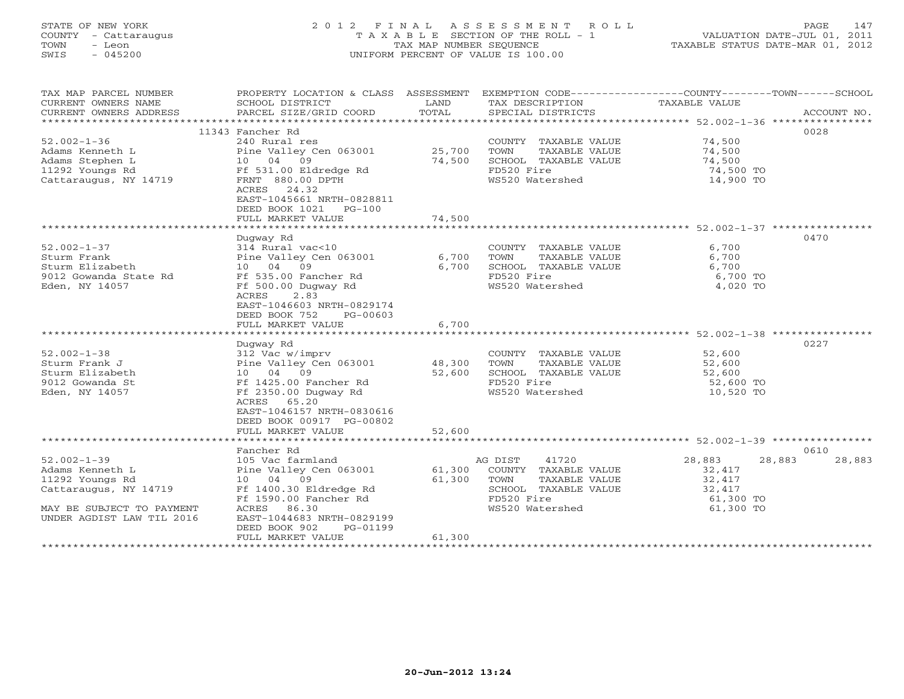# STATE OF NEW YORK 2 0 1 2 F I N A L A S S E S S M E N T R O L L PAGE 147 COUNTY - Cattaraugus T A X A B L E SECTION OF THE ROLL - 1 VALUATION DATE-JUL 01, 2011 TOWN - Leon TAX MAP NUMBER SEQUENCE TAXABLE STATUS DATE-MAR 01, 2012 SWIS - 045200 UNIFORM PERCENT OF VALUE IS 100.00UNIFORM PERCENT OF VALUE IS 100.00

| TAX MAP PARCEL NUMBER<br>CURRENT OWNERS NAME<br>CURRENT OWNERS ADDRESS | PROPERTY LOCATION & CLASS ASSESSMENT<br>SCHOOL DISTRICT<br>PARCEL SIZE/GRID COORD | LAND<br>TOTAL | EXEMPTION CODE-----------------COUNTY-------TOWN------SCHOOL<br>TAX DESCRIPTION<br>SPECIAL DISTRICTS | TAXABLE VALUE                                               | ACCOUNT NO.      |
|------------------------------------------------------------------------|-----------------------------------------------------------------------------------|---------------|------------------------------------------------------------------------------------------------------|-------------------------------------------------------------|------------------|
|                                                                        |                                                                                   |               |                                                                                                      |                                                             |                  |
|                                                                        | 11343 Fancher Rd                                                                  |               |                                                                                                      |                                                             | 0028             |
| $52.002 - 1 - 36$                                                      | 240 Rural res                                                                     |               | COUNTY TAXABLE VALUE                                                                                 | 74,500                                                      |                  |
| Adams Kenneth L                                                        | Pine Valley Cen 063001                                                            | 25,700        | TOWN<br>TAXABLE VALUE                                                                                | 74,500                                                      |                  |
| Adams Stephen L                                                        | 10 04 09                                                                          | 74,500        | SCHOOL TAXABLE VALUE                                                                                 | 74,500                                                      |                  |
| 11292 Youngs Rd                                                        | Ff 531.00 Eldredge Rd                                                             |               | FD520 Fire                                                                                           | 74,500 TO                                                   |                  |
| Cattaraugus, NY 14719                                                  | FRNT 880.00 DPTH                                                                  |               | WS520 Watershed                                                                                      | 14,900 TO                                                   |                  |
|                                                                        | ACRES<br>24.32                                                                    |               |                                                                                                      |                                                             |                  |
|                                                                        | EAST-1045661 NRTH-0828811                                                         |               |                                                                                                      |                                                             |                  |
|                                                                        | DEED BOOK 1021<br>$PG-100$                                                        |               |                                                                                                      |                                                             |                  |
|                                                                        | FULL MARKET VALUE                                                                 | 74,500        |                                                                                                      |                                                             |                  |
|                                                                        | ***********************                                                           | ************  |                                                                                                      | ****************************** 52.002-1-37 **************** |                  |
|                                                                        | Dugway Rd                                                                         |               |                                                                                                      |                                                             | 0470             |
| $52.002 - 1 - 37$                                                      | 314 Rural vac<10                                                                  |               | COUNTY TAXABLE VALUE                                                                                 | 6,700                                                       |                  |
| Sturm Frank                                                            | Pine Valley Cen 063001                                                            | 6,700         | TOWN<br>TAXABLE VALUE                                                                                | 6,700                                                       |                  |
| Sturm Elizabeth                                                        | 09<br>10 04                                                                       | 6,700         | SCHOOL TAXABLE VALUE                                                                                 | 6,700                                                       |                  |
| 9012 Gowanda State Rd                                                  | Ff 535.00 Fancher Rd                                                              |               | FD520 Fire                                                                                           | 6,700 TO                                                    |                  |
| Eden, NY 14057                                                         | Ff 500.00 Dugway Rd                                                               |               | WS520 Watershed                                                                                      | 4,020 TO                                                    |                  |
|                                                                        | ACRES<br>2.83                                                                     |               |                                                                                                      |                                                             |                  |
|                                                                        | EAST-1046603 NRTH-0829174                                                         |               |                                                                                                      |                                                             |                  |
|                                                                        | DEED BOOK 752<br>PG-00603                                                         |               |                                                                                                      |                                                             |                  |
|                                                                        | FULL MARKET VALUE                                                                 | 6,700         |                                                                                                      |                                                             |                  |
|                                                                        |                                                                                   |               |                                                                                                      |                                                             |                  |
|                                                                        | Duqway Rd                                                                         |               |                                                                                                      |                                                             | 0227             |
| $52.002 - 1 - 38$                                                      | 312 Vac w/imprv                                                                   |               | COUNTY TAXABLE VALUE                                                                                 | 52,600                                                      |                  |
| Sturm Frank J                                                          | Pine Valley Cen 063001                                                            | 48,300        | TAXABLE VALUE<br>TOWN                                                                                | 52,600                                                      |                  |
| Sturm Elizabeth                                                        | 10 04 09                                                                          | 52,600        | SCHOOL TAXABLE VALUE                                                                                 | 52,600                                                      |                  |
| 9012 Gowanda St                                                        | Ff 1425.00 Fancher Rd                                                             |               | FD520 Fire                                                                                           | 52,600 TO                                                   |                  |
| Eden, NY 14057                                                         | Ff 2350.00 Dugway Rd                                                              |               | WS520 Watershed                                                                                      | 10,520 TO                                                   |                  |
|                                                                        | ACRES<br>65.20                                                                    |               |                                                                                                      |                                                             |                  |
|                                                                        | EAST-1046157 NRTH-0830616                                                         |               |                                                                                                      |                                                             |                  |
|                                                                        | DEED BOOK 00917 PG-00802                                                          |               |                                                                                                      |                                                             |                  |
|                                                                        | FULL MARKET VALUE                                                                 | 52,600        |                                                                                                      |                                                             |                  |
|                                                                        |                                                                                   |               |                                                                                                      |                                                             |                  |
|                                                                        | Fancher Rd                                                                        |               |                                                                                                      |                                                             | 0610             |
| $52.002 - 1 - 39$                                                      | 105 Vac farmland                                                                  |               | 41720<br>AG DIST                                                                                     | 28,883                                                      | 28,883<br>28,883 |
| Adams Kenneth L                                                        | Pine Valley Cen 063001                                                            | 61,300        | COUNTY TAXABLE VALUE                                                                                 | 32,417                                                      |                  |
| 11292 Youngs Rd                                                        | 10 04 09                                                                          | 61,300        | TOWN<br>TAXABLE VALUE                                                                                | 32,417                                                      |                  |
| Cattaraugus, NY 14719                                                  | Ff 1400.30 Eldredge Rd                                                            |               | SCHOOL TAXABLE VALUE                                                                                 | 32,417                                                      |                  |
|                                                                        | Ff 1590.00 Fancher Rd                                                             |               | FD520 Fire                                                                                           | 61,300 TO                                                   |                  |
| MAY BE SUBJECT TO PAYMENT                                              | ACRES<br>86.30                                                                    |               | WS520 Watershed                                                                                      | 61,300 TO                                                   |                  |
| UNDER AGDIST LAW TIL 2016                                              | EAST-1044683 NRTH-0829199                                                         |               |                                                                                                      |                                                             |                  |
|                                                                        | DEED BOOK 902<br>PG-01199                                                         |               |                                                                                                      |                                                             |                  |
|                                                                        | FULL MARKET VALUE                                                                 | 61,300        |                                                                                                      |                                                             |                  |
|                                                                        |                                                                                   |               |                                                                                                      |                                                             |                  |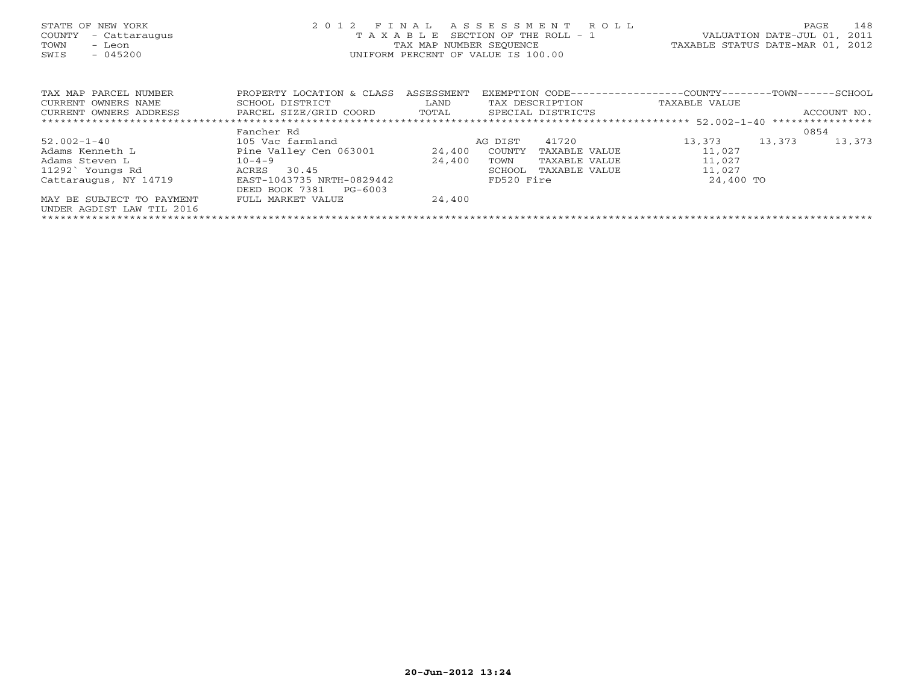| STATE OF NEW YORK<br>COUNTY<br>- Cattaraugus<br>TOWN<br>- Leon<br>$-045200$<br>SWIS | 2 0 1 2<br>FINAL<br>TAXABLE<br>TAX MAP NUMBER SEOUENCE<br>UNIFORM PERCENT OF VALUE IS 100.00 | ASSESSMENT ROLL<br>SECTION OF THE ROLL - 1<br>TAXABLE STATUS DATE-MAR 01, 2012 | VALUATION DATE-JUL 01,  | 148<br>PAGE<br>2011                                        |        |             |
|-------------------------------------------------------------------------------------|----------------------------------------------------------------------------------------------|--------------------------------------------------------------------------------|-------------------------|------------------------------------------------------------|--------|-------------|
|                                                                                     |                                                                                              |                                                                                |                         |                                                            |        |             |
| TAX MAP PARCEL NUMBER                                                               | PROPERTY LOCATION & CLASS                                                                    | ASSESSMENT                                                                     |                         | EXEMPTION CODE----------------COUNTY-------TOWN-----SCHOOL |        |             |
| CURRENT OWNERS NAME                                                                 | SCHOOL DISTRICT                                                                              | LAND                                                                           | TAX DESCRIPTION         | TAXABLE VALUE                                              |        |             |
| CURRENT OWNERS ADDRESS                                                              | PARCEL SIZE/GRID COORD TOTAL                                                                 |                                                                                | SPECIAL DISTRICTS       |                                                            |        | ACCOUNT NO. |
|                                                                                     |                                                                                              |                                                                                |                         |                                                            |        |             |
|                                                                                     | Fancher Rd                                                                                   |                                                                                |                         |                                                            |        | 0854        |
| $52.002 - 1 - 40$                                                                   | 105 Vac farmland                                                                             |                                                                                | 41720<br>AG DIST        | 13,373                                                     | 13,373 | 13,373      |
| Adams Kenneth L                                                                     | Pine Valley Cen 063001                                                                       | 24,400                                                                         | COUNTY<br>TAXABLE VALUE | 11,027                                                     |        |             |
| Adams Steven L                                                                      | $10 - 4 - 9$                                                                                 | 24,400                                                                         | TOWN<br>TAXABLE VALUE   | 11,027                                                     |        |             |
| 11292` Youngs Rd                                                                    | 30.45<br>ACRES                                                                               |                                                                                | TAXABLE VALUE<br>SCHOOL | 11,027                                                     |        |             |
| Cattaraugus, NY 14719                                                               | EAST-1043735 NRTH-0829442                                                                    |                                                                                | FD520 Fire              | 24,400 TO                                                  |        |             |
|                                                                                     | DEED BOOK 7381<br>PG-6003                                                                    |                                                                                |                         |                                                            |        |             |
| MAY BE SUBJECT TO PAYMENT                                                           | FULL MARKET VALUE                                                                            | 24,400                                                                         |                         |                                                            |        |             |
| UNDER AGDIST LAW TIL 2016                                                           |                                                                                              |                                                                                |                         |                                                            |        |             |
|                                                                                     |                                                                                              |                                                                                |                         |                                                            |        |             |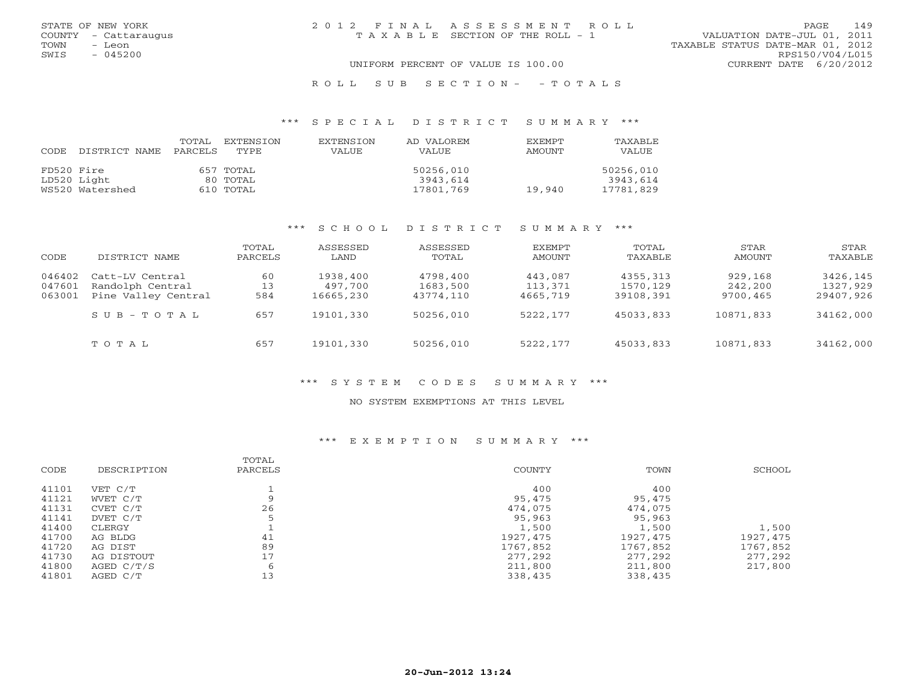|      | STATE OF NEW YORK    | 2012 FINAL ASSESSMENT ROLL            |                                  | PAGE | 149 |
|------|----------------------|---------------------------------------|----------------------------------|------|-----|
|      | COUNTY - Cattaraugus | T A X A B L E SECTION OF THE ROLL - 1 | VALUATION DATE-JUL 01, 2011      |      |     |
| TOWN | - Leon               |                                       | TAXABLE STATUS DATE-MAR 01, 2012 |      |     |
| SWIS | $-045200$            |                                       | RPS150/V04/L015                  |      |     |
|      |                      | UNIFORM PERCENT OF VALUE IS 100.00    | CURRENT DATE 6/20/2012           |      |     |
|      |                      |                                       |                                  |      |     |

#### R O L L S U B S E C T I O N - - T O T A L S

#### \*\*\* S P E C I A L D I S T R I C T S U M M A R Y \*\*\*

| CODE       | DISTRICT NAME   | TOTAL<br>PARCELS | <b>EXTENSION</b><br>TYPE | <b>EXTENSION</b><br><b>VALUE</b> | AD VALOREM<br>VALUE | <b>EXEMPT</b><br><b>AMOUNT</b> | TAXABLE<br><b>VALUE</b> |
|------------|-----------------|------------------|--------------------------|----------------------------------|---------------------|--------------------------------|-------------------------|
| FD520 Fire |                 |                  | 657 TOTAL                |                                  | 50256,010           |                                | 50256,010               |
|            | LD520 Light     |                  | 80 TOTAL                 |                                  | 3943,614            |                                | 3943,614                |
|            | WS520 Watershed |                  | 610 TOTAL                |                                  | 17801,769           | 19,940                         | 17781,829               |

### \*\*\* S C H O O L D I S T R I C T S U M M A R Y \*\*\*

| CODE                       | DISTRICT NAME                                              | TOTAL<br>PARCELS | ASSESSED<br>LAND                 | ASSESSED<br>TOTAL                 | EXEMPT<br>AMOUNT               | TOTAL<br>TAXABLE                  | STAR<br>AMOUNT                 | STAR<br>TAXABLE                   |
|----------------------------|------------------------------------------------------------|------------------|----------------------------------|-----------------------------------|--------------------------------|-----------------------------------|--------------------------------|-----------------------------------|
| 046402<br>047601<br>063001 | Catt-LV Central<br>Randolph Central<br>Pine Valley Central | 60<br>13<br>584  | 1938,400<br>497,700<br>16665,230 | 4798,400<br>1683,500<br>43774,110 | 443,087<br>113,371<br>4665,719 | 4355,313<br>1570,129<br>39108,391 | 929,168<br>242,200<br>9700,465 | 3426,145<br>1327,929<br>29407,926 |
|                            | $S \cup B - T \cup T A$                                    | 657              | 19101,330                        | 50256,010                         | 5222,177                       | 45033,833                         | 10871,833                      | 34162,000                         |
|                            | TOTAL                                                      | 657              | 19101,330                        | 50256,010                         | 5222,177                       | 45033,833                         | 10871,833                      | 34162,000                         |

# \*\*\* S Y S T E M C O D E S S U M M A R Y \*\*\*

#### NO SYSTEM EXEMPTIONS AT THIS LEVEL

# \*\*\* E X E M P T I O N S U M M A R Y \*\*\*

|       |             | TOTAL   |               |           |          |
|-------|-------------|---------|---------------|-----------|----------|
| CODE  | DESCRIPTION | PARCELS | <b>COUNTY</b> | TOWN      | SCHOOL   |
| 41101 | VET C/T     |         | 400           | 400       |          |
| 41121 | WVET C/T    | Q       | 95,475        | 95,475    |          |
| 41131 | CVET C/T    | 26      | 474,075       | 474,075   |          |
| 41141 | DVET C/T    |         | 95,963        | 95,963    |          |
| 41400 | CLERGY      |         | 1,500         | 1,500     | 1,500    |
| 41700 | AG BLDG     | 41      | 1927,475      | 1927, 475 | 1927,475 |
| 41720 | AG DIST     | 89      | 1767,852      | 1767,852  | 1767,852 |
| 41730 | AG DISTOUT  | 17      | 277,292       | 277,292   | 277,292  |
| 41800 | AGED C/T/S  | 6       | 211,800       | 211,800   | 217,800  |
| 41801 | AGED C/T    | 13      | 338,435       | 338,435   |          |
|       |             |         |               |           |          |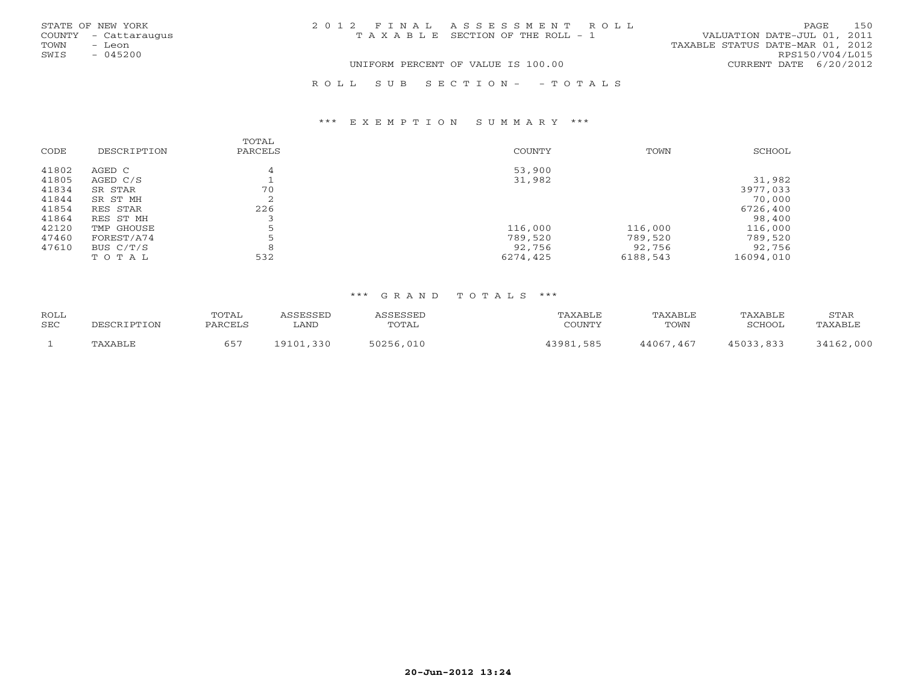|      | STATE OF NEW YORK    | 2012 FINAL ASSESSMENT ROLL         |                                  | PAGE. | 150 |
|------|----------------------|------------------------------------|----------------------------------|-------|-----|
|      | COUNTY - Cattaraugus | TAXABLE SECTION OF THE ROLL - 1    | VALUATION DATE-JUL 01, 2011      |       |     |
| TOWN | - Leon               |                                    | TAXABLE STATUS DATE-MAR 01, 2012 |       |     |
| SWIS | $-045200$            |                                    | RPS150/V04/L015                  |       |     |
|      |                      | UNIFORM PERCENT OF VALUE IS 100.00 | CURRENT DATE 6/20/2012           |       |     |
|      |                      | ROLL SUB SECTION- - TOTALS         |                                  |       |     |

### \*\*\* E X E M P T I O N S U M M A R Y \*\*\*

| CODE  | DESCRIPTION | TOTAL<br>PARCELS | COUNTY   | TOWN     | SCHOOL    |
|-------|-------------|------------------|----------|----------|-----------|
| 41802 | AGED C      | 4                | 53,900   |          |           |
| 41805 | AGED C/S    |                  | 31,982   |          | 31,982    |
| 41834 | SR STAR     | 70               |          |          | 3977,033  |
| 41844 | SR ST MH    |                  |          |          | 70,000    |
| 41854 | RES STAR    | 226              |          |          | 6726,400  |
| 41864 | RES ST MH   |                  |          |          | 98,400    |
| 42120 | TMP GHOUSE  | 5                | 116,000  | 116,000  | 116,000   |
| 47460 | FOREST/A74  |                  | 789,520  | 789,520  | 789,520   |
| 47610 | BUS C/T/S   |                  | 92,756   | 92,756   | 92,756    |
|       | TOTAL       | 532              | 6274,425 | 6188,543 | 16094,010 |

### \*\*\* G R A N D T O T A L S \*\*\*

| <b>ROLL</b> |          | TOTAL |              |       |                | ABLF          | <sup>7</sup> AXABLL | <b>STAR</b>   |
|-------------|----------|-------|--------------|-------|----------------|---------------|---------------------|---------------|
| SEC         |          |       | LAND         | TOTAL | C <sub>0</sub> | TOWN          | SCHOOT              |               |
|             | ו דם היצ | 657   | חימי<br>Q101 |       | 2001           | .467<br>44067 |                     | ,000<br>2 A 1 |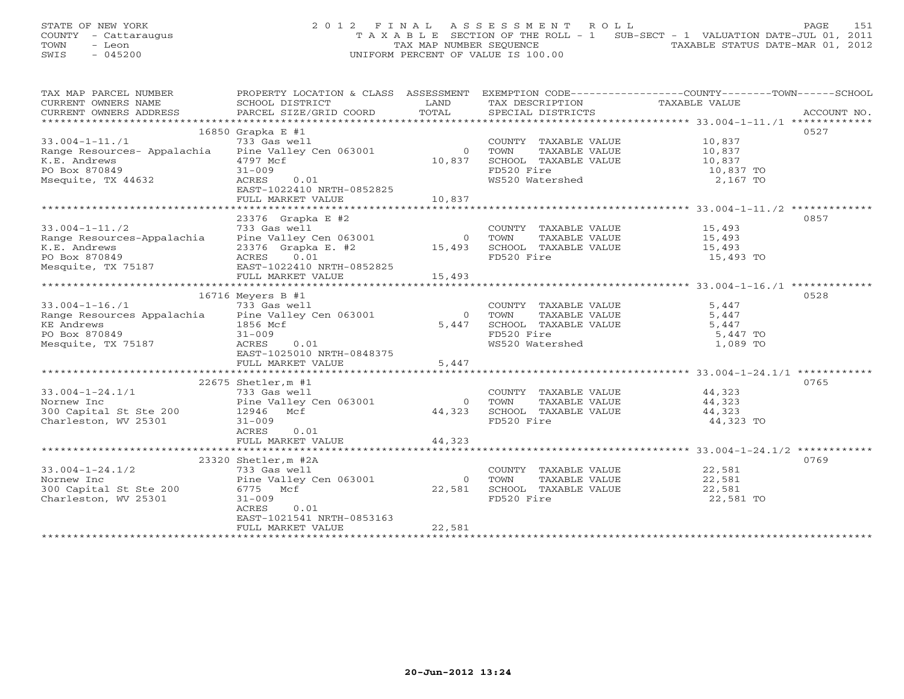## STATE OF NEW YORK 2 0 1 2 F I N A L A S S E S S M E N T R O L L PAGE 151 COUNTY - Cattaraugus T A X A B L E SECTION OF THE ROLL - 1 SUB-SECT - 1 VALUATION DATE-JUL 01, 2011 TOWN - Leon  $\overline{2}$  - TAX MAP NUMBER SEQUENCE TAXABLE STATUS DATE-MAR 01, 2012<br>TRIS - 045200 SWIS - 045200 UNIFORM PERCENT OF VALUE IS 100.00

| TAX MAP PARCEL NUMBER                                                                                                                                                                                                                                                                                                                                                                                                                                                                                                                            | PROPERTY LOCATION & CLASS ASSESSMENT EXEMPTION CODE---------------COUNTY-------TOWN------SCHOOL |                                                                                                                        |                                                                                                                                 |               |      |
|--------------------------------------------------------------------------------------------------------------------------------------------------------------------------------------------------------------------------------------------------------------------------------------------------------------------------------------------------------------------------------------------------------------------------------------------------------------------------------------------------------------------------------------------------|-------------------------------------------------------------------------------------------------|------------------------------------------------------------------------------------------------------------------------|---------------------------------------------------------------------------------------------------------------------------------|---------------|------|
| CURRENT OWNERS NAME                                                                                                                                                                                                                                                                                                                                                                                                                                                                                                                              | SCHOOL DISTRICT                                                                                 | <b>EXAMPLE SERVICE SERVICE SERVICE SERVICE SERVICE SERVICE SERVICE SERVICE SERVICE SERVICE SERVICE SERVICE SERVICE</b> | TAX DESCRIPTION                                                                                                                 | TAXABLE VALUE |      |
| $\begin{minipage}{.45\textwidth} \begin{minipage}{.45\textwidth} \begin{minipage}{.45\textwidth} \begin{minipage}{.45\textwidth} \begin{minipage}{.45\textwidth} \begin{minipage}{.45\textwidth} \begin{minipage}{.45\textwidth} \begin{minipage}{.45\textwidth} \begin{minipage}{.45\textwidth} \begin{minipage}{.45\textwidth} \begin{minipage}{.45\textwidth} \begin{minipage}{.45\textwidth} \begin{minipage}{.45\textwidth} \begin{minipage}{.45\textwidth} \begin{minipage}{.45\textwidth} \begin{minipage}{.45$<br>CURRENT OWNERS ADDRESS |                                                                                                 |                                                                                                                        |                                                                                                                                 |               |      |
|                                                                                                                                                                                                                                                                                                                                                                                                                                                                                                                                                  |                                                                                                 |                                                                                                                        |                                                                                                                                 |               |      |
|                                                                                                                                                                                                                                                                                                                                                                                                                                                                                                                                                  | $16850$ Grapka E #1                                                                             |                                                                                                                        |                                                                                                                                 |               | 0527 |
| 33.004-1-11./1 733 Gas well COUNTY<br>Range Resources- Appalachia Pine Valley Cen 063001 0 TOWN                                                                                                                                                                                                                                                                                                                                                                                                                                                  |                                                                                                 |                                                                                                                        |                                                                                                                                 |               |      |
|                                                                                                                                                                                                                                                                                                                                                                                                                                                                                                                                                  |                                                                                                 |                                                                                                                        |                                                                                                                                 |               |      |
|                                                                                                                                                                                                                                                                                                                                                                                                                                                                                                                                                  | 4797 Mcf                                                                                        | 10,837                                                                                                                 |                                                                                                                                 |               |      |
|                                                                                                                                                                                                                                                                                                                                                                                                                                                                                                                                                  | $31 - 009$                                                                                      |                                                                                                                        |                                                                                                                                 |               |      |
| K.E. Andrews<br>PO Box 870849<br>Msequite, TX 44632                                                                                                                                                                                                                                                                                                                                                                                                                                                                                              | 0.01<br>ACRES                                                                                   |                                                                                                                        | WS520 Watershed                                                                                                                 | 2,167 TO      |      |
|                                                                                                                                                                                                                                                                                                                                                                                                                                                                                                                                                  | EAST-1022410 NRTH-0852825                                                                       |                                                                                                                        |                                                                                                                                 |               |      |
|                                                                                                                                                                                                                                                                                                                                                                                                                                                                                                                                                  | FULL MARKET VALUE 10,837                                                                        |                                                                                                                        |                                                                                                                                 |               |      |
|                                                                                                                                                                                                                                                                                                                                                                                                                                                                                                                                                  |                                                                                                 |                                                                                                                        |                                                                                                                                 |               |      |
|                                                                                                                                                                                                                                                                                                                                                                                                                                                                                                                                                  | 23376 Grapka E #2                                                                               |                                                                                                                        |                                                                                                                                 |               | 0857 |
|                                                                                                                                                                                                                                                                                                                                                                                                                                                                                                                                                  |                                                                                                 |                                                                                                                        |                                                                                                                                 |               |      |
|                                                                                                                                                                                                                                                                                                                                                                                                                                                                                                                                                  |                                                                                                 |                                                                                                                        |                                                                                                                                 |               |      |
|                                                                                                                                                                                                                                                                                                                                                                                                                                                                                                                                                  |                                                                                                 |                                                                                                                        |                                                                                                                                 |               |      |
|                                                                                                                                                                                                                                                                                                                                                                                                                                                                                                                                                  |                                                                                                 |                                                                                                                        |                                                                                                                                 | 15,493 TO     |      |
| 33.004-1-11./2<br>Range Resources-Appalachia Pine Valley Cen 063001 0 TOWN TAXABLE VALUE 15,493<br>K.E. Andrews 23376 Grapka E. #2 15,493 SCHOOL TAXABLE VALUE 15,493<br>PO Box 870849 ACRES 0.01 FD520 Fire 15,493<br>Mesquite, TX 75                                                                                                                                                                                                                                                                                                           |                                                                                                 |                                                                                                                        |                                                                                                                                 |               |      |
|                                                                                                                                                                                                                                                                                                                                                                                                                                                                                                                                                  | FULL MARKET VALUE                                                                               | 15,493                                                                                                                 |                                                                                                                                 |               |      |
|                                                                                                                                                                                                                                                                                                                                                                                                                                                                                                                                                  |                                                                                                 |                                                                                                                        |                                                                                                                                 |               |      |
|                                                                                                                                                                                                                                                                                                                                                                                                                                                                                                                                                  | 16716 Meyers B #1                                                                               |                                                                                                                        |                                                                                                                                 |               | 0528 |
| $33.004 - 1 - 16.71$                                                                                                                                                                                                                                                                                                                                                                                                                                                                                                                             | 733 Gas well                                                                                    |                                                                                                                        | COUNTY TAXABLE VALUE<br>TOWN TAXABLE VALUE                                                                                      | 5,447         |      |
| 33.004-1-16./1<br>Range Resources Appalachia Pine Valley Cen 063001<br>Range Resources Appalachia Pine Valley Cen 063001                                                                                                                                                                                                                                                                                                                                                                                                                         |                                                                                                 |                                                                                                                        | 0 TOWN                                                                                                                          | 5,447         |      |
| KE Andrews<br>PO Box 870849                                                                                                                                                                                                                                                                                                                                                                                                                                                                                                                      | rine Val.<br>1856 Mcf<br>31-000                                                                 | 5,447                                                                                                                  | SCHOOL TAXABLE VALUE $5,447$                                                                                                    |               |      |
|                                                                                                                                                                                                                                                                                                                                                                                                                                                                                                                                                  |                                                                                                 |                                                                                                                        | FD520 Fire                                                                                                                      | 5,447 TO      |      |
| Mesquite, TX 75187                                                                                                                                                                                                                                                                                                                                                                                                                                                                                                                               | ACRES 0.01                                                                                      |                                                                                                                        | WS520 Watershed                                                                                                                 | 1,089 TO      |      |
|                                                                                                                                                                                                                                                                                                                                                                                                                                                                                                                                                  | EAST-1025010 NRTH-0848375                                                                       |                                                                                                                        |                                                                                                                                 |               |      |
|                                                                                                                                                                                                                                                                                                                                                                                                                                                                                                                                                  | FULL MARKET VALUE                                                                               | 5,447                                                                                                                  |                                                                                                                                 |               |      |
|                                                                                                                                                                                                                                                                                                                                                                                                                                                                                                                                                  |                                                                                                 |                                                                                                                        |                                                                                                                                 |               |      |
|                                                                                                                                                                                                                                                                                                                                                                                                                                                                                                                                                  | $22675$ Shetler, m #1                                                                           |                                                                                                                        |                                                                                                                                 |               | 0765 |
|                                                                                                                                                                                                                                                                                                                                                                                                                                                                                                                                                  |                                                                                                 |                                                                                                                        | COUNTY TAXABLE VALUE 44,323                                                                                                     |               |      |
|                                                                                                                                                                                                                                                                                                                                                                                                                                                                                                                                                  |                                                                                                 |                                                                                                                        | 0 TOWN                                                                                                                          |               |      |
|                                                                                                                                                                                                                                                                                                                                                                                                                                                                                                                                                  |                                                                                                 |                                                                                                                        | $\begin{tabular}{cccc} 0 & Town & TAXABLE VALUE & & & & 44,323 \\ 44,323 & SCHOOL & TAXABLE VALUE & & & & 44,323 \end{tabular}$ |               |      |
| Charleston, WV 25301                                                                                                                                                                                                                                                                                                                                                                                                                                                                                                                             | $31 - 009$                                                                                      |                                                                                                                        | FD520 Fire                                                                                                                      | 44,323 TO     |      |
|                                                                                                                                                                                                                                                                                                                                                                                                                                                                                                                                                  | ACRES<br>0.01                                                                                   |                                                                                                                        |                                                                                                                                 |               |      |
|                                                                                                                                                                                                                                                                                                                                                                                                                                                                                                                                                  | FULL MARKET VALUE 44,323                                                                        |                                                                                                                        |                                                                                                                                 |               |      |
|                                                                                                                                                                                                                                                                                                                                                                                                                                                                                                                                                  |                                                                                                 |                                                                                                                        |                                                                                                                                 |               |      |
|                                                                                                                                                                                                                                                                                                                                                                                                                                                                                                                                                  | 23320 Shetler, m #2A                                                                            |                                                                                                                        |                                                                                                                                 |               | 0769 |
| $33.004 - 1 - 24.1/2$                                                                                                                                                                                                                                                                                                                                                                                                                                                                                                                            | 2 733 Gas well<br>Pine Valley Cen 063001                                                        |                                                                                                                        | COUNTY TAXABLE VALUE 22,581<br>TOWN TAXABLE VALUE 22,581<br>COUNCIL TAXABLE VALUE 22,581                                        |               |      |
| Nornew Inc                                                                                                                                                                                                                                                                                                                                                                                                                                                                                                                                       |                                                                                                 |                                                                                                                        | 0 TOWN                                                                                                                          |               |      |
| 300 Capital St Ste 200 6775 Mcf                                                                                                                                                                                                                                                                                                                                                                                                                                                                                                                  |                                                                                                 |                                                                                                                        | $22,581$ SCHOOL TAXABLE VALUE $22,581$                                                                                          |               |      |
| Charleston, WV 25301                                                                                                                                                                                                                                                                                                                                                                                                                                                                                                                             | $31 - 009$                                                                                      |                                                                                                                        | FD520 Fire                                                                                                                      | 22,581 TO     |      |
|                                                                                                                                                                                                                                                                                                                                                                                                                                                                                                                                                  | ACRES<br>0.01                                                                                   |                                                                                                                        |                                                                                                                                 |               |      |
|                                                                                                                                                                                                                                                                                                                                                                                                                                                                                                                                                  | EAST-1021541 NRTH-0853163                                                                       |                                                                                                                        |                                                                                                                                 |               |      |
|                                                                                                                                                                                                                                                                                                                                                                                                                                                                                                                                                  | FULL MARKET VALUE                                                                               | 22,581                                                                                                                 |                                                                                                                                 |               |      |
|                                                                                                                                                                                                                                                                                                                                                                                                                                                                                                                                                  |                                                                                                 |                                                                                                                        |                                                                                                                                 |               |      |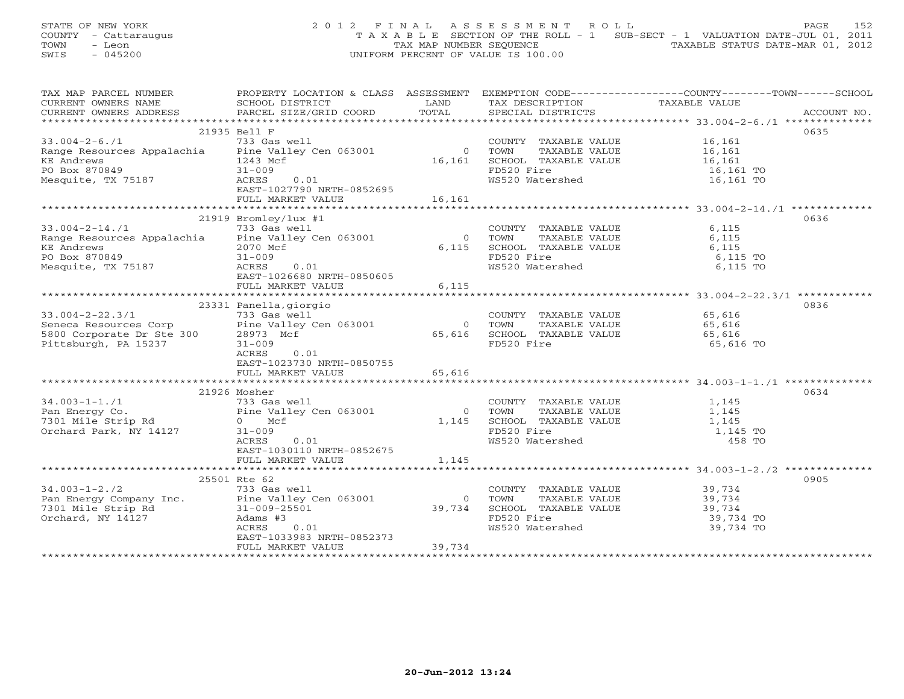STATE OF NEW YORK 2012 FINAL ASSESSMENT ROLL PAGE 152 COUNTY - Cattaraugus T A X A B L E SECTION OF THE ROLL - 1 SUB-SECT - 1 VALUATION DATE-JUL 01, 2011 TOWN - Leon  $\overline{2}$  - TAX MAP NUMBER SEQUENCE TAXABLE STATUS DATE-MAR 01, 2012<br>TRIS - 045200 SWIS - 045200 UNIFORM PERCENT OF VALUE IS 100.00

| CURRENT OWNERS NAME<br>SCHOOL DISTRICT<br>LAND<br>TAX DESCRIPTION<br>TAXABLE VALUE<br>CURRENT OWNERS ADDRESS<br>PARCEL SIZE/GRID COORD TOTAL<br>SPECIAL DISTRICTS<br>ACCOUNT NO.<br>21935 Bell F<br>0635<br>$33.004 - 2 - 6.71$<br>733 Gas well<br>16,161<br>16,161<br>COUNTY TAXABLE VALUE<br>Range Resources Appalachia Pine Valley Cen 063001<br>$\overline{0}$<br>TAXABLE VALUE<br>TOWN<br>16,161<br>SCHOOL TAXABLE VALUE 16,161<br>KE Andrews<br>1243 Mcf<br>PO Box 870849<br>$31 - 009$<br>FD520 Fire<br>16,161 TO<br>WS520 Watershed<br>Mesquite, TX 75187<br>ACRES<br>0.01<br>16,161 TO<br>EAST-1027790 NRTH-0852695<br>16,161<br>FULL MARKET VALUE<br>21919 Bromley/lux #1<br>0636<br>$33.004 - 2 - 14.71$<br>733 Gas well<br>COUNTY TAXABLE VALUE<br>TOWN     TAXABLE VALUE<br>6,115<br>Range Resources Appalachia Pine Valley Cen 063001<br>$\overline{0}$<br>6,115<br>6,115 SCHOOL TAXABLE VALUE<br>6,115<br>KE Andrews<br>2070 Mcf<br>PO Box 870849<br>FD520 Fire<br>$31 - 009$<br>6,115 TO<br>Mesquite, TX 75187<br>WS520 Watershed<br>ACRES<br>0.01<br>6,115 TO<br>EAST-1026680 NRTH-0850605<br>FULL MARKET VALUE<br>6,115<br>23331 Panella, giorgio<br>0836<br>733 Gas well<br>$33.004 - 2 - 22.3/1$<br>COUNTY TAXABLE VALUE<br>65,616<br>$33.004-2-22.3/1$<br>Seneca Resources Corp<br>5800 Corporate Dr Ste 300<br>$300\sqrt{28973}$ Mcf<br>$31-009$<br>65,616<br>TAXABLE VALUE<br>$\Omega$<br>TOWN<br>65,616 SCHOOL TAXABLE VALUE<br>65,616<br>FD520 Fire<br>65,616 TO<br>ACRES<br>0.01<br>EAST-1023730 NRTH-0850755<br>FULL MARKET VALUE<br>65,616<br>0634<br>21926 Mosher<br>COUNTY TAXABLE VALUE<br>TOWN      TAXABLE VALUE<br>1,145<br>Pan Energy Co.<br>The Valley Cen 063001<br>T301 Mile Strip Rd <sup>7301</sup><br>Orchard Paul II Continued Public Cen 063001<br>1,145<br>$\bigcirc$<br>1,145<br>SCHOOL TAXABLE VALUE 1,145<br>Orchard Park, NY 14127<br>FD520 Fire<br>$31 - 009$<br>1,145 TO<br>WS520 Watershed<br>ACRES<br>0.01<br>458 TO<br>EAST-1030110 NRTH-0852675<br>FULL MARKET VALUE<br>1,145<br>0905<br>25501 Rte 62<br>COUNTY TAXABLE VALUE 39,734<br>$34.003 - 1 - 2.72$<br>733 Gas well<br>Pan Energy Company Inc. Pine Valley Cen 063001<br>TAXABLE VALUE 39,734<br>$\Omega$<br>TOWN<br>7301 Mile Strip Rd<br>Orchard, NY 14127<br>31-009-25501<br>39,734<br>SCHOOL TAXABLE VALUE 39,734<br>FD520 Fire<br>Adams #3<br>39,734 TO<br>WS520 Watershed<br>39,734 TO<br>ACRES<br>0.01<br>EAST-1033983 NRTH-0852373<br>39,734<br>FULL MARKET VALUE | TAX MAP PARCEL NUMBER | PROPERTY LOCATION & CLASS ASSESSMENT EXEMPTION CODE----------------COUNTY-------TOWN------SCHOOL |  |  |
|-----------------------------------------------------------------------------------------------------------------------------------------------------------------------------------------------------------------------------------------------------------------------------------------------------------------------------------------------------------------------------------------------------------------------------------------------------------------------------------------------------------------------------------------------------------------------------------------------------------------------------------------------------------------------------------------------------------------------------------------------------------------------------------------------------------------------------------------------------------------------------------------------------------------------------------------------------------------------------------------------------------------------------------------------------------------------------------------------------------------------------------------------------------------------------------------------------------------------------------------------------------------------------------------------------------------------------------------------------------------------------------------------------------------------------------------------------------------------------------------------------------------------------------------------------------------------------------------------------------------------------------------------------------------------------------------------------------------------------------------------------------------------------------------------------------------------------------------------------------------------------------------------------------------------------------------------------------------------------------------------------------------------------------------------------------------------------------------------------------------------------------------------------------------------------------------------------------------------------------------------------------------------------------------------------------------------------------------------------------------------------------------------------------------------------------------------------------------------------------------|-----------------------|--------------------------------------------------------------------------------------------------|--|--|
|                                                                                                                                                                                                                                                                                                                                                                                                                                                                                                                                                                                                                                                                                                                                                                                                                                                                                                                                                                                                                                                                                                                                                                                                                                                                                                                                                                                                                                                                                                                                                                                                                                                                                                                                                                                                                                                                                                                                                                                                                                                                                                                                                                                                                                                                                                                                                                                                                                                                                         |                       |                                                                                                  |  |  |
|                                                                                                                                                                                                                                                                                                                                                                                                                                                                                                                                                                                                                                                                                                                                                                                                                                                                                                                                                                                                                                                                                                                                                                                                                                                                                                                                                                                                                                                                                                                                                                                                                                                                                                                                                                                                                                                                                                                                                                                                                                                                                                                                                                                                                                                                                                                                                                                                                                                                                         |                       |                                                                                                  |  |  |
|                                                                                                                                                                                                                                                                                                                                                                                                                                                                                                                                                                                                                                                                                                                                                                                                                                                                                                                                                                                                                                                                                                                                                                                                                                                                                                                                                                                                                                                                                                                                                                                                                                                                                                                                                                                                                                                                                                                                                                                                                                                                                                                                                                                                                                                                                                                                                                                                                                                                                         |                       |                                                                                                  |  |  |
|                                                                                                                                                                                                                                                                                                                                                                                                                                                                                                                                                                                                                                                                                                                                                                                                                                                                                                                                                                                                                                                                                                                                                                                                                                                                                                                                                                                                                                                                                                                                                                                                                                                                                                                                                                                                                                                                                                                                                                                                                                                                                                                                                                                                                                                                                                                                                                                                                                                                                         |                       |                                                                                                  |  |  |
|                                                                                                                                                                                                                                                                                                                                                                                                                                                                                                                                                                                                                                                                                                                                                                                                                                                                                                                                                                                                                                                                                                                                                                                                                                                                                                                                                                                                                                                                                                                                                                                                                                                                                                                                                                                                                                                                                                                                                                                                                                                                                                                                                                                                                                                                                                                                                                                                                                                                                         |                       |                                                                                                  |  |  |
|                                                                                                                                                                                                                                                                                                                                                                                                                                                                                                                                                                                                                                                                                                                                                                                                                                                                                                                                                                                                                                                                                                                                                                                                                                                                                                                                                                                                                                                                                                                                                                                                                                                                                                                                                                                                                                                                                                                                                                                                                                                                                                                                                                                                                                                                                                                                                                                                                                                                                         |                       |                                                                                                  |  |  |
|                                                                                                                                                                                                                                                                                                                                                                                                                                                                                                                                                                                                                                                                                                                                                                                                                                                                                                                                                                                                                                                                                                                                                                                                                                                                                                                                                                                                                                                                                                                                                                                                                                                                                                                                                                                                                                                                                                                                                                                                                                                                                                                                                                                                                                                                                                                                                                                                                                                                                         |                       |                                                                                                  |  |  |
|                                                                                                                                                                                                                                                                                                                                                                                                                                                                                                                                                                                                                                                                                                                                                                                                                                                                                                                                                                                                                                                                                                                                                                                                                                                                                                                                                                                                                                                                                                                                                                                                                                                                                                                                                                                                                                                                                                                                                                                                                                                                                                                                                                                                                                                                                                                                                                                                                                                                                         |                       |                                                                                                  |  |  |
|                                                                                                                                                                                                                                                                                                                                                                                                                                                                                                                                                                                                                                                                                                                                                                                                                                                                                                                                                                                                                                                                                                                                                                                                                                                                                                                                                                                                                                                                                                                                                                                                                                                                                                                                                                                                                                                                                                                                                                                                                                                                                                                                                                                                                                                                                                                                                                                                                                                                                         |                       |                                                                                                  |  |  |
|                                                                                                                                                                                                                                                                                                                                                                                                                                                                                                                                                                                                                                                                                                                                                                                                                                                                                                                                                                                                                                                                                                                                                                                                                                                                                                                                                                                                                                                                                                                                                                                                                                                                                                                                                                                                                                                                                                                                                                                                                                                                                                                                                                                                                                                                                                                                                                                                                                                                                         |                       |                                                                                                  |  |  |
|                                                                                                                                                                                                                                                                                                                                                                                                                                                                                                                                                                                                                                                                                                                                                                                                                                                                                                                                                                                                                                                                                                                                                                                                                                                                                                                                                                                                                                                                                                                                                                                                                                                                                                                                                                                                                                                                                                                                                                                                                                                                                                                                                                                                                                                                                                                                                                                                                                                                                         |                       |                                                                                                  |  |  |
|                                                                                                                                                                                                                                                                                                                                                                                                                                                                                                                                                                                                                                                                                                                                                                                                                                                                                                                                                                                                                                                                                                                                                                                                                                                                                                                                                                                                                                                                                                                                                                                                                                                                                                                                                                                                                                                                                                                                                                                                                                                                                                                                                                                                                                                                                                                                                                                                                                                                                         |                       |                                                                                                  |  |  |
|                                                                                                                                                                                                                                                                                                                                                                                                                                                                                                                                                                                                                                                                                                                                                                                                                                                                                                                                                                                                                                                                                                                                                                                                                                                                                                                                                                                                                                                                                                                                                                                                                                                                                                                                                                                                                                                                                                                                                                                                                                                                                                                                                                                                                                                                                                                                                                                                                                                                                         |                       |                                                                                                  |  |  |
|                                                                                                                                                                                                                                                                                                                                                                                                                                                                                                                                                                                                                                                                                                                                                                                                                                                                                                                                                                                                                                                                                                                                                                                                                                                                                                                                                                                                                                                                                                                                                                                                                                                                                                                                                                                                                                                                                                                                                                                                                                                                                                                                                                                                                                                                                                                                                                                                                                                                                         |                       |                                                                                                  |  |  |
|                                                                                                                                                                                                                                                                                                                                                                                                                                                                                                                                                                                                                                                                                                                                                                                                                                                                                                                                                                                                                                                                                                                                                                                                                                                                                                                                                                                                                                                                                                                                                                                                                                                                                                                                                                                                                                                                                                                                                                                                                                                                                                                                                                                                                                                                                                                                                                                                                                                                                         |                       |                                                                                                  |  |  |
|                                                                                                                                                                                                                                                                                                                                                                                                                                                                                                                                                                                                                                                                                                                                                                                                                                                                                                                                                                                                                                                                                                                                                                                                                                                                                                                                                                                                                                                                                                                                                                                                                                                                                                                                                                                                                                                                                                                                                                                                                                                                                                                                                                                                                                                                                                                                                                                                                                                                                         |                       |                                                                                                  |  |  |
|                                                                                                                                                                                                                                                                                                                                                                                                                                                                                                                                                                                                                                                                                                                                                                                                                                                                                                                                                                                                                                                                                                                                                                                                                                                                                                                                                                                                                                                                                                                                                                                                                                                                                                                                                                                                                                                                                                                                                                                                                                                                                                                                                                                                                                                                                                                                                                                                                                                                                         |                       |                                                                                                  |  |  |
|                                                                                                                                                                                                                                                                                                                                                                                                                                                                                                                                                                                                                                                                                                                                                                                                                                                                                                                                                                                                                                                                                                                                                                                                                                                                                                                                                                                                                                                                                                                                                                                                                                                                                                                                                                                                                                                                                                                                                                                                                                                                                                                                                                                                                                                                                                                                                                                                                                                                                         |                       |                                                                                                  |  |  |
|                                                                                                                                                                                                                                                                                                                                                                                                                                                                                                                                                                                                                                                                                                                                                                                                                                                                                                                                                                                                                                                                                                                                                                                                                                                                                                                                                                                                                                                                                                                                                                                                                                                                                                                                                                                                                                                                                                                                                                                                                                                                                                                                                                                                                                                                                                                                                                                                                                                                                         |                       |                                                                                                  |  |  |
|                                                                                                                                                                                                                                                                                                                                                                                                                                                                                                                                                                                                                                                                                                                                                                                                                                                                                                                                                                                                                                                                                                                                                                                                                                                                                                                                                                                                                                                                                                                                                                                                                                                                                                                                                                                                                                                                                                                                                                                                                                                                                                                                                                                                                                                                                                                                                                                                                                                                                         |                       |                                                                                                  |  |  |
|                                                                                                                                                                                                                                                                                                                                                                                                                                                                                                                                                                                                                                                                                                                                                                                                                                                                                                                                                                                                                                                                                                                                                                                                                                                                                                                                                                                                                                                                                                                                                                                                                                                                                                                                                                                                                                                                                                                                                                                                                                                                                                                                                                                                                                                                                                                                                                                                                                                                                         |                       |                                                                                                  |  |  |
|                                                                                                                                                                                                                                                                                                                                                                                                                                                                                                                                                                                                                                                                                                                                                                                                                                                                                                                                                                                                                                                                                                                                                                                                                                                                                                                                                                                                                                                                                                                                                                                                                                                                                                                                                                                                                                                                                                                                                                                                                                                                                                                                                                                                                                                                                                                                                                                                                                                                                         |                       |                                                                                                  |  |  |
|                                                                                                                                                                                                                                                                                                                                                                                                                                                                                                                                                                                                                                                                                                                                                                                                                                                                                                                                                                                                                                                                                                                                                                                                                                                                                                                                                                                                                                                                                                                                                                                                                                                                                                                                                                                                                                                                                                                                                                                                                                                                                                                                                                                                                                                                                                                                                                                                                                                                                         |                       |                                                                                                  |  |  |
|                                                                                                                                                                                                                                                                                                                                                                                                                                                                                                                                                                                                                                                                                                                                                                                                                                                                                                                                                                                                                                                                                                                                                                                                                                                                                                                                                                                                                                                                                                                                                                                                                                                                                                                                                                                                                                                                                                                                                                                                                                                                                                                                                                                                                                                                                                                                                                                                                                                                                         |                       |                                                                                                  |  |  |
|                                                                                                                                                                                                                                                                                                                                                                                                                                                                                                                                                                                                                                                                                                                                                                                                                                                                                                                                                                                                                                                                                                                                                                                                                                                                                                                                                                                                                                                                                                                                                                                                                                                                                                                                                                                                                                                                                                                                                                                                                                                                                                                                                                                                                                                                                                                                                                                                                                                                                         |                       |                                                                                                  |  |  |
|                                                                                                                                                                                                                                                                                                                                                                                                                                                                                                                                                                                                                                                                                                                                                                                                                                                                                                                                                                                                                                                                                                                                                                                                                                                                                                                                                                                                                                                                                                                                                                                                                                                                                                                                                                                                                                                                                                                                                                                                                                                                                                                                                                                                                                                                                                                                                                                                                                                                                         |                       |                                                                                                  |  |  |
|                                                                                                                                                                                                                                                                                                                                                                                                                                                                                                                                                                                                                                                                                                                                                                                                                                                                                                                                                                                                                                                                                                                                                                                                                                                                                                                                                                                                                                                                                                                                                                                                                                                                                                                                                                                                                                                                                                                                                                                                                                                                                                                                                                                                                                                                                                                                                                                                                                                                                         |                       |                                                                                                  |  |  |
|                                                                                                                                                                                                                                                                                                                                                                                                                                                                                                                                                                                                                                                                                                                                                                                                                                                                                                                                                                                                                                                                                                                                                                                                                                                                                                                                                                                                                                                                                                                                                                                                                                                                                                                                                                                                                                                                                                                                                                                                                                                                                                                                                                                                                                                                                                                                                                                                                                                                                         |                       |                                                                                                  |  |  |
|                                                                                                                                                                                                                                                                                                                                                                                                                                                                                                                                                                                                                                                                                                                                                                                                                                                                                                                                                                                                                                                                                                                                                                                                                                                                                                                                                                                                                                                                                                                                                                                                                                                                                                                                                                                                                                                                                                                                                                                                                                                                                                                                                                                                                                                                                                                                                                                                                                                                                         |                       |                                                                                                  |  |  |
|                                                                                                                                                                                                                                                                                                                                                                                                                                                                                                                                                                                                                                                                                                                                                                                                                                                                                                                                                                                                                                                                                                                                                                                                                                                                                                                                                                                                                                                                                                                                                                                                                                                                                                                                                                                                                                                                                                                                                                                                                                                                                                                                                                                                                                                                                                                                                                                                                                                                                         |                       |                                                                                                  |  |  |
|                                                                                                                                                                                                                                                                                                                                                                                                                                                                                                                                                                                                                                                                                                                                                                                                                                                                                                                                                                                                                                                                                                                                                                                                                                                                                                                                                                                                                                                                                                                                                                                                                                                                                                                                                                                                                                                                                                                                                                                                                                                                                                                                                                                                                                                                                                                                                                                                                                                                                         |                       |                                                                                                  |  |  |
|                                                                                                                                                                                                                                                                                                                                                                                                                                                                                                                                                                                                                                                                                                                                                                                                                                                                                                                                                                                                                                                                                                                                                                                                                                                                                                                                                                                                                                                                                                                                                                                                                                                                                                                                                                                                                                                                                                                                                                                                                                                                                                                                                                                                                                                                                                                                                                                                                                                                                         |                       |                                                                                                  |  |  |
|                                                                                                                                                                                                                                                                                                                                                                                                                                                                                                                                                                                                                                                                                                                                                                                                                                                                                                                                                                                                                                                                                                                                                                                                                                                                                                                                                                                                                                                                                                                                                                                                                                                                                                                                                                                                                                                                                                                                                                                                                                                                                                                                                                                                                                                                                                                                                                                                                                                                                         |                       |                                                                                                  |  |  |
|                                                                                                                                                                                                                                                                                                                                                                                                                                                                                                                                                                                                                                                                                                                                                                                                                                                                                                                                                                                                                                                                                                                                                                                                                                                                                                                                                                                                                                                                                                                                                                                                                                                                                                                                                                                                                                                                                                                                                                                                                                                                                                                                                                                                                                                                                                                                                                                                                                                                                         |                       |                                                                                                  |  |  |
|                                                                                                                                                                                                                                                                                                                                                                                                                                                                                                                                                                                                                                                                                                                                                                                                                                                                                                                                                                                                                                                                                                                                                                                                                                                                                                                                                                                                                                                                                                                                                                                                                                                                                                                                                                                                                                                                                                                                                                                                                                                                                                                                                                                                                                                                                                                                                                                                                                                                                         |                       |                                                                                                  |  |  |
|                                                                                                                                                                                                                                                                                                                                                                                                                                                                                                                                                                                                                                                                                                                                                                                                                                                                                                                                                                                                                                                                                                                                                                                                                                                                                                                                                                                                                                                                                                                                                                                                                                                                                                                                                                                                                                                                                                                                                                                                                                                                                                                                                                                                                                                                                                                                                                                                                                                                                         |                       |                                                                                                  |  |  |
|                                                                                                                                                                                                                                                                                                                                                                                                                                                                                                                                                                                                                                                                                                                                                                                                                                                                                                                                                                                                                                                                                                                                                                                                                                                                                                                                                                                                                                                                                                                                                                                                                                                                                                                                                                                                                                                                                                                                                                                                                                                                                                                                                                                                                                                                                                                                                                                                                                                                                         |                       |                                                                                                  |  |  |
|                                                                                                                                                                                                                                                                                                                                                                                                                                                                                                                                                                                                                                                                                                                                                                                                                                                                                                                                                                                                                                                                                                                                                                                                                                                                                                                                                                                                                                                                                                                                                                                                                                                                                                                                                                                                                                                                                                                                                                                                                                                                                                                                                                                                                                                                                                                                                                                                                                                                                         |                       |                                                                                                  |  |  |
|                                                                                                                                                                                                                                                                                                                                                                                                                                                                                                                                                                                                                                                                                                                                                                                                                                                                                                                                                                                                                                                                                                                                                                                                                                                                                                                                                                                                                                                                                                                                                                                                                                                                                                                                                                                                                                                                                                                                                                                                                                                                                                                                                                                                                                                                                                                                                                                                                                                                                         |                       |                                                                                                  |  |  |
|                                                                                                                                                                                                                                                                                                                                                                                                                                                                                                                                                                                                                                                                                                                                                                                                                                                                                                                                                                                                                                                                                                                                                                                                                                                                                                                                                                                                                                                                                                                                                                                                                                                                                                                                                                                                                                                                                                                                                                                                                                                                                                                                                                                                                                                                                                                                                                                                                                                                                         |                       |                                                                                                  |  |  |
|                                                                                                                                                                                                                                                                                                                                                                                                                                                                                                                                                                                                                                                                                                                                                                                                                                                                                                                                                                                                                                                                                                                                                                                                                                                                                                                                                                                                                                                                                                                                                                                                                                                                                                                                                                                                                                                                                                                                                                                                                                                                                                                                                                                                                                                                                                                                                                                                                                                                                         |                       |                                                                                                  |  |  |
|                                                                                                                                                                                                                                                                                                                                                                                                                                                                                                                                                                                                                                                                                                                                                                                                                                                                                                                                                                                                                                                                                                                                                                                                                                                                                                                                                                                                                                                                                                                                                                                                                                                                                                                                                                                                                                                                                                                                                                                                                                                                                                                                                                                                                                                                                                                                                                                                                                                                                         |                       |                                                                                                  |  |  |
|                                                                                                                                                                                                                                                                                                                                                                                                                                                                                                                                                                                                                                                                                                                                                                                                                                                                                                                                                                                                                                                                                                                                                                                                                                                                                                                                                                                                                                                                                                                                                                                                                                                                                                                                                                                                                                                                                                                                                                                                                                                                                                                                                                                                                                                                                                                                                                                                                                                                                         |                       |                                                                                                  |  |  |
|                                                                                                                                                                                                                                                                                                                                                                                                                                                                                                                                                                                                                                                                                                                                                                                                                                                                                                                                                                                                                                                                                                                                                                                                                                                                                                                                                                                                                                                                                                                                                                                                                                                                                                                                                                                                                                                                                                                                                                                                                                                                                                                                                                                                                                                                                                                                                                                                                                                                                         |                       |                                                                                                  |  |  |
|                                                                                                                                                                                                                                                                                                                                                                                                                                                                                                                                                                                                                                                                                                                                                                                                                                                                                                                                                                                                                                                                                                                                                                                                                                                                                                                                                                                                                                                                                                                                                                                                                                                                                                                                                                                                                                                                                                                                                                                                                                                                                                                                                                                                                                                                                                                                                                                                                                                                                         |                       |                                                                                                  |  |  |
|                                                                                                                                                                                                                                                                                                                                                                                                                                                                                                                                                                                                                                                                                                                                                                                                                                                                                                                                                                                                                                                                                                                                                                                                                                                                                                                                                                                                                                                                                                                                                                                                                                                                                                                                                                                                                                                                                                                                                                                                                                                                                                                                                                                                                                                                                                                                                                                                                                                                                         |                       |                                                                                                  |  |  |
|                                                                                                                                                                                                                                                                                                                                                                                                                                                                                                                                                                                                                                                                                                                                                                                                                                                                                                                                                                                                                                                                                                                                                                                                                                                                                                                                                                                                                                                                                                                                                                                                                                                                                                                                                                                                                                                                                                                                                                                                                                                                                                                                                                                                                                                                                                                                                                                                                                                                                         |                       |                                                                                                  |  |  |
|                                                                                                                                                                                                                                                                                                                                                                                                                                                                                                                                                                                                                                                                                                                                                                                                                                                                                                                                                                                                                                                                                                                                                                                                                                                                                                                                                                                                                                                                                                                                                                                                                                                                                                                                                                                                                                                                                                                                                                                                                                                                                                                                                                                                                                                                                                                                                                                                                                                                                         |                       |                                                                                                  |  |  |
|                                                                                                                                                                                                                                                                                                                                                                                                                                                                                                                                                                                                                                                                                                                                                                                                                                                                                                                                                                                                                                                                                                                                                                                                                                                                                                                                                                                                                                                                                                                                                                                                                                                                                                                                                                                                                                                                                                                                                                                                                                                                                                                                                                                                                                                                                                                                                                                                                                                                                         |                       |                                                                                                  |  |  |
|                                                                                                                                                                                                                                                                                                                                                                                                                                                                                                                                                                                                                                                                                                                                                                                                                                                                                                                                                                                                                                                                                                                                                                                                                                                                                                                                                                                                                                                                                                                                                                                                                                                                                                                                                                                                                                                                                                                                                                                                                                                                                                                                                                                                                                                                                                                                                                                                                                                                                         |                       |                                                                                                  |  |  |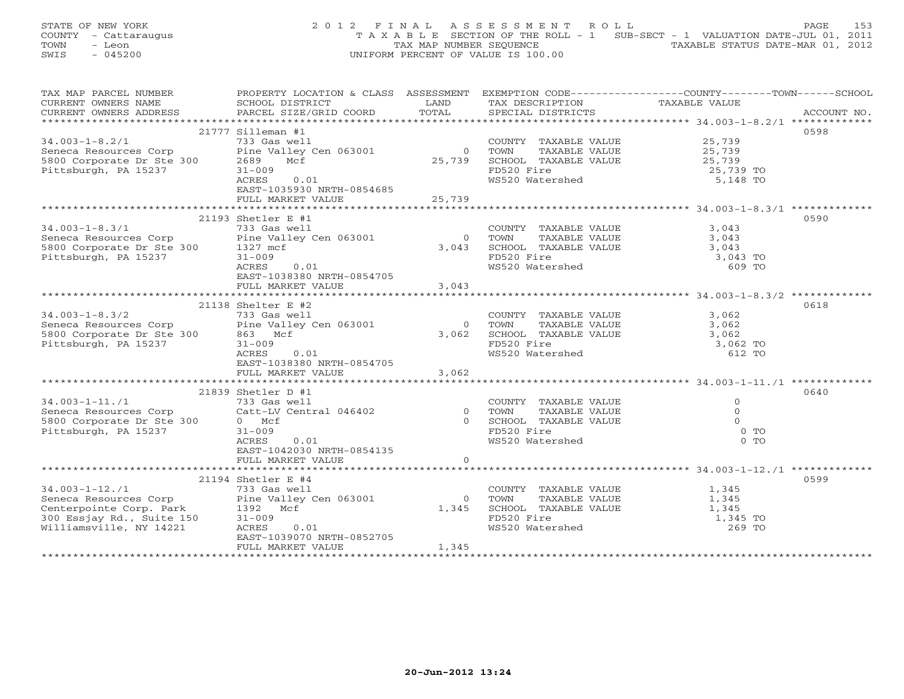STATE OF NEW YORK 2 0 1 2 F I N A L A S S E S S M E N T R O L L PAGE 153 COUNTY - Cattaraugus T A X A B L E SECTION OF THE ROLL - 1 SUB-SECT - 1 VALUATION DATE-JUL 01, 2011 TOWN - Leon  $\overline{2}$  - TAX MAP NUMBER SEQUENCE TAXABLE STATUS DATE-MAR 01, 2012<br>TRIS - 045200 SWIS - 045200 UNIFORM PERCENT OF VALUE IS 100.00

| TAX MAP PARCEL NUMBER                                                                  | PROPERTY LOCATION & CLASS ASSESSMENT EXEMPTION CODE---------------COUNTY-------TOWN------SCHOOL                                                               |                |                                                   |                     |             |
|----------------------------------------------------------------------------------------|---------------------------------------------------------------------------------------------------------------------------------------------------------------|----------------|---------------------------------------------------|---------------------|-------------|
| CURRENT OWNERS NAME                                                                    | SCHOOL DISTRICT                                                                                                                                               | LAND           | TAX DESCRIPTION                                   | TAXABLE VALUE       |             |
| CURRENT OWNERS ADDRESS                                                                 | PARCEL SIZE/GRID COORD TOTAL                                                                                                                                  |                | SPECIAL DISTRICTS                                 |                     | ACCOUNT NO. |
|                                                                                        |                                                                                                                                                               |                |                                                   |                     |             |
|                                                                                        | 21777 Silleman #1                                                                                                                                             |                |                                                   |                     | 0598        |
| $34.003 - 1 - 8.2/1$                                                                   | 733 Gas well                                                                                                                                                  |                | COUNTY TAXABLE VALUE                              |                     |             |
| Seneca Resources Corp<br>5800 Corporate Dr Ste 300 2689<br>Pittsburgh, PA 15237 31-009 | Pine Valley Cen 063001                                                                                                                                        | $\overline{0}$ | TOWN<br>TAXABLE VALUE                             | 25,739<br>25,739    |             |
|                                                                                        | Mcf                                                                                                                                                           |                | 25,739 SCHOOL TAXABLE VALUE 25,739                |                     |             |
|                                                                                        | $31 - 009$                                                                                                                                                    |                | FD520 Fire                                        | 25,739 TO           |             |
|                                                                                        | ACRES<br>0.01                                                                                                                                                 |                | WS520 Watershed                                   | 5,148 TO            |             |
|                                                                                        | EAST-1035930 NRTH-0854685                                                                                                                                     |                |                                                   |                     |             |
|                                                                                        | FULL MARKET VALUE                                                                                                                                             | 25,739         |                                                   |                     |             |
|                                                                                        |                                                                                                                                                               |                |                                                   |                     |             |
|                                                                                        | 21193 Shetler E #1                                                                                                                                            |                |                                                   |                     | 0590        |
|                                                                                        | 733 Gas well                                                                                                                                                  |                |                                                   |                     |             |
| $34.003 - 1 - 8.3/1$                                                                   | 34.003-1-8.3/1<br>Seneca Resources Corp<br>5800 Corporate Dr Ste 300 1327 mcf<br>71.1-2009 31-009                                                             |                | COUNTY TAXABLE VALUE<br>TOWN      TAXABLE VALUE   | 3,043               |             |
|                                                                                        |                                                                                                                                                               |                | 0 TOWN                                            | 3,043               |             |
|                                                                                        |                                                                                                                                                               |                | 3,043 SCHOOL TAXABLE VALUE $3,043$                |                     |             |
|                                                                                        |                                                                                                                                                               |                | FD520 Fire                                        | 3,043 TO            |             |
|                                                                                        | 0.01<br>ACRES                                                                                                                                                 |                | WS520 Watershed                                   | 609 TO              |             |
|                                                                                        | EAST-1038380 NRTH-0854705                                                                                                                                     |                |                                                   |                     |             |
|                                                                                        | FULL MARKET VALUE                                                                                                                                             | 3,043          |                                                   |                     |             |
|                                                                                        |                                                                                                                                                               |                |                                                   |                     |             |
|                                                                                        | 21138 Shelter E #2                                                                                                                                            |                |                                                   |                     | 0618        |
| $34.003 - 1 - 8.3/2$                                                                   | 733 Gas well                                                                                                                                                  |                | COUNTY TAXABLE VALUE                              | 3,062               |             |
|                                                                                        | $34.003-1-8.3/2$<br>Seneca Resources Corp<br>5800 Corporate Dr Ste 300 863 Mcf<br>Pittsburgh, PA 15237 31-009                                                 | $\bigcirc$     | TOWN                                              | TAXABLE VALUE 3,062 |             |
|                                                                                        |                                                                                                                                                               | 3,062          |                                                   |                     |             |
|                                                                                        |                                                                                                                                                               |                | SCHOOL TAXABLE VALUE 3,062<br>FD520 Fire 3,062 TO |                     |             |
|                                                                                        | ACRES<br>0.01                                                                                                                                                 |                | WS520 Watershed                                   | 612 TO              |             |
|                                                                                        | EAST-1038380 NRTH-0854705                                                                                                                                     |                |                                                   |                     |             |
|                                                                                        | FULL MARKET VALUE                                                                                                                                             | 3,062          |                                                   |                     |             |
|                                                                                        |                                                                                                                                                               |                |                                                   |                     |             |
|                                                                                        | 21839 Shetler D #1                                                                                                                                            |                |                                                   |                     | 0640        |
| $34.003 - 1 - 11.71$                                                                   | 733 Gas well                                                                                                                                                  |                | COUNTY TAXABLE VALUE                              | $\overline{O}$      |             |
|                                                                                        |                                                                                                                                                               |                |                                                   | $\Omega$            |             |
|                                                                                        |                                                                                                                                                               |                | TAXABLE VALUE                                     | $\Omega$            |             |
|                                                                                        |                                                                                                                                                               |                | 0 SCHOOL TAXABLE VALUE                            |                     |             |
|                                                                                        |                                                                                                                                                               |                | FD520 Fire                                        | $0$ TO              |             |
|                                                                                        | ACRES<br>0.01                                                                                                                                                 |                | WS520 Watershed                                   | $0$ TO              |             |
|                                                                                        | EAST-1042030 NRTH-0854135                                                                                                                                     |                |                                                   |                     |             |
|                                                                                        | FULL MARKET VALUE                                                                                                                                             | $\circ$        |                                                   |                     |             |
|                                                                                        |                                                                                                                                                               |                |                                                   |                     |             |
|                                                                                        | 21194 Shetler E #4                                                                                                                                            |                |                                                   |                     | 0599        |
| $34.003 - 1 - 12.71$                                                                   | 733 Gas well                                                                                                                                                  |                | COUNTY TAXABLE VALUE                              | 1,345               |             |
|                                                                                        | Seneca Resources Corp<br>Pine Valley Cen 063001<br>Centerpointe Corp. Park<br>300 Essjay Rd., Suite 150<br>31-009<br>Williamsville, NY 14221<br>ACRES<br>0.01 | $\Omega$       | TOWN<br>TAXABLE VALUE                             | 1,345               |             |
|                                                                                        |                                                                                                                                                               | 1,345          | TOWN TAAADDD VILLE SCHOOL TAXABLE VALUE           | 1,345               |             |
|                                                                                        |                                                                                                                                                               |                | FD520 Fire<br>WS520 Watershed                     | 1,345 TO            |             |
|                                                                                        |                                                                                                                                                               |                |                                                   | 269 TO              |             |
|                                                                                        | EAST-1039070 NRTH-0852705                                                                                                                                     |                |                                                   |                     |             |
|                                                                                        | FULL MARKET VALUE                                                                                                                                             | 1,345          |                                                   |                     |             |
|                                                                                        |                                                                                                                                                               |                |                                                   |                     |             |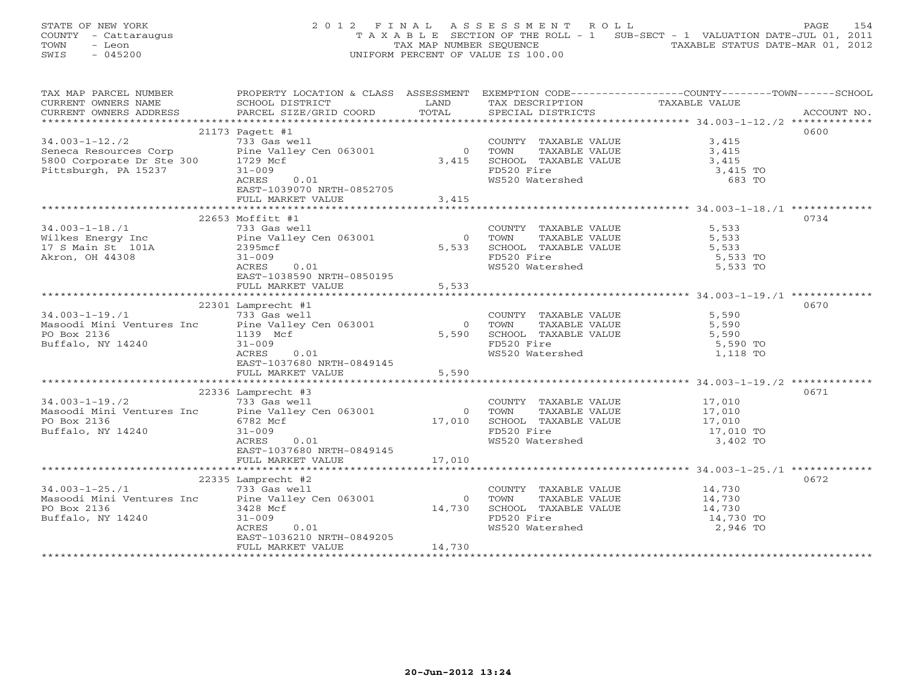STATE OF NEW YORK 2 0 1 2 F I N A L A S S E S S M E N T R O L L PAGE 154 COUNTY - Cattaraugus T A X A B L E SECTION OF THE ROLL - 1 SUB-SECT - 1 VALUATION DATE-JUL 01, 2011 TOWN - Leon TAX MAP NUMBER SEQUENCE TAXABLE STATUS DATE-MAR 01, 2012 SWIS - 045200 UNIFORM PERCENT OF VALUE IS 100.00

| TAX MAP PARCEL NUMBER                                                                                                                                                           | PROPERTY LOCATION & CLASS ASSESSMENT EXEMPTION CODE----------------COUNTY-------TOWN------SCHOOL |          |                                                                                                                                          |                  |             |
|---------------------------------------------------------------------------------------------------------------------------------------------------------------------------------|--------------------------------------------------------------------------------------------------|----------|------------------------------------------------------------------------------------------------------------------------------------------|------------------|-------------|
| CURRENT OWNERS NAME                                                                                                                                                             | SCHOOL DISTRICT                                                                                  | LAND     | TAX DESCRIPTION TAXABLE VALUE                                                                                                            |                  |             |
| - CONNERT OWNERS ADDRESS PARCEL SIZE/GRID COORD TOTAL SPECIAL DISTRICTS ACCOUNT NO.<br>- TERRET SIZE/GRID COORD TOTAL SPECIAL DISTRICTS ACCOUNT NO.                             |                                                                                                  |          |                                                                                                                                          |                  | ACCOUNT NO. |
|                                                                                                                                                                                 |                                                                                                  |          |                                                                                                                                          |                  |             |
|                                                                                                                                                                                 | 21173 Pagett #1                                                                                  |          |                                                                                                                                          |                  | 0600        |
| $34.003-1-12.72$<br>Seneca Resources Corp<br>$5800$ Corporate Dr. Stee 300<br>$1729$ Mcf<br>$1729$ Mcf                                                                          |                                                                                                  |          | COUNTY TAXABLE VALUE 3,415                                                                                                               |                  |             |
|                                                                                                                                                                                 |                                                                                                  |          | 0 TOWN<br>$\begin{tabular}{cccccc} 0 & TOWN & TAXABLE VALUE & & & & 3,415 \\ 3,415 & SCHOOL & TAXABLE VALUE & & & & 3,415 \end{tabular}$ |                  |             |
|                                                                                                                                                                                 |                                                                                                  |          |                                                                                                                                          |                  |             |
| Pittsburgh, PA 15237                                                                                                                                                            | $31 - 009$                                                                                       |          | FD520 Fire<br>FD520 Fire<br>WS520 Watershed                                                                                              | 3,415 TO         |             |
|                                                                                                                                                                                 | ACRES<br>0.01                                                                                    |          |                                                                                                                                          | 683 TO           |             |
|                                                                                                                                                                                 | EAST-1039070 NRTH-0852705                                                                        |          |                                                                                                                                          |                  |             |
|                                                                                                                                                                                 | FULL MARKET VALUE                                                                                | 3,415    |                                                                                                                                          |                  |             |
|                                                                                                                                                                                 |                                                                                                  |          |                                                                                                                                          |                  |             |
|                                                                                                                                                                                 | 22653 Moffitt #1                                                                                 |          |                                                                                                                                          |                  | 0734        |
| 34.003-1-18./1<br>Wilkes Energy Inc<br>17 S Main St 101A<br>17 S Main St 101A<br>17 S Main St 101A<br>18 2395mcf                                                                |                                                                                                  |          | COUNTY TAXABLE VALUE 5,533<br>0 TOWN TAXABLE VALUE 5,533<br>5,533 SCHOOL TAXABLE VALUE 5,533                                             |                  |             |
|                                                                                                                                                                                 |                                                                                                  |          |                                                                                                                                          |                  |             |
|                                                                                                                                                                                 |                                                                                                  |          |                                                                                                                                          |                  |             |
| Akron, OH 44308                                                                                                                                                                 | $31 - 009$                                                                                       |          | FD520 Fire                                                                                                                               | 5,533 TO         |             |
|                                                                                                                                                                                 | ACRES<br>0.01                                                                                    |          | WS520 Watershed 5,533 TO                                                                                                                 |                  |             |
|                                                                                                                                                                                 | EAST-1038590 NRTH-0850195                                                                        |          |                                                                                                                                          |                  |             |
|                                                                                                                                                                                 | FULL MARKET VALUE                                                                                | 5,533    |                                                                                                                                          |                  |             |
|                                                                                                                                                                                 |                                                                                                  |          |                                                                                                                                          |                  |             |
|                                                                                                                                                                                 | 22301 Lamprecht #1                                                                               |          |                                                                                                                                          |                  | 0670        |
| $34.003 - 1 - 19.71$                                                                                                                                                            | 733 Gas well                                                                                     |          | COUNTY TAXABLE VALUE 5,590<br>TOWN TAXABLE VALUE 5,590                                                                                   |                  |             |
|                                                                                                                                                                                 |                                                                                                  |          | $0$ TOWN                                                                                                                                 |                  |             |
| Masoodi Mini Ventures Inc (2018) Mass Well<br>Masoodi Mini Ventures Inc (2018) Mini Ventures (2018) Mini Ventures (2018) Mini 1139 Mini 2019<br>Buffalo, NY 14240 (2018) 21-009 |                                                                                                  |          |                                                                                                                                          |                  |             |
| Buffalo, NY 14240                                                                                                                                                               | $31 - 009$                                                                                       |          | FD520 Fire<br>WS520 Watershed                                                                                                            |                  |             |
|                                                                                                                                                                                 | ACRES<br>0.01                                                                                    |          |                                                                                                                                          | 1,118 TO         |             |
|                                                                                                                                                                                 | EAST-1037680 NRTH-0849145                                                                        |          |                                                                                                                                          |                  |             |
|                                                                                                                                                                                 | FULL MARKET VALUE                                                                                | 5,590    |                                                                                                                                          |                  |             |
|                                                                                                                                                                                 |                                                                                                  |          |                                                                                                                                          |                  |             |
|                                                                                                                                                                                 | 22336 Lamprecht #3                                                                               |          |                                                                                                                                          |                  | 0671        |
| $34.003 - 1 - 19.72$                                                                                                                                                            | 733 Gas well                                                                                     |          | COUNTY TAXABLE VALUE 17,010                                                                                                              |                  |             |
| Masoodi Mini Ventures Inc Pine Valley Cen 063001                                                                                                                                |                                                                                                  |          |                                                                                                                                          |                  |             |
| PO Box 2136                                                                                                                                                                     | 6782 Mcf                                                                                         |          |                                                                                                                                          |                  |             |
| Buffalo, NY 14240                                                                                                                                                               | $31 - 009$                                                                                       |          |                                                                                                                                          |                  |             |
|                                                                                                                                                                                 | ACRES<br>0.01                                                                                    |          | 0 TOWN TAXABLE VALUE 17,010<br>17,010 SCHOOL TAXABLE VALUE 17,010<br>FD520 Fire 17,010 TO FD520 Watershed 3,402 TO                       |                  |             |
|                                                                                                                                                                                 | EAST-1037680 NRTH-0849145                                                                        |          |                                                                                                                                          |                  |             |
|                                                                                                                                                                                 | FULL MARKET VALUE                                                                                | 17,010   |                                                                                                                                          |                  |             |
|                                                                                                                                                                                 |                                                                                                  |          |                                                                                                                                          |                  |             |
|                                                                                                                                                                                 | 22335 Lamprecht #2                                                                               |          |                                                                                                                                          |                  | 0672        |
| $34.003 - 1 - 25.71$                                                                                                                                                            | 733 Gas well                                                                                     |          | COUNTY TAXABLE VALUE 14,730                                                                                                              |                  |             |
| Masoodi Mini Ventures Inc Pine Valley Cen 063001                                                                                                                                |                                                                                                  | $\Omega$ | TOWN TAXABLE VALUE<br>SCHOOL TAXABLE VALUE<br>FD520 Fire<br>WS520 Watershed                                                              | 14,730<br>14,730 |             |
| PO Box 2136                                                                                                                                                                     | 3428 Mcf                                                                                         | 14,730   |                                                                                                                                          |                  |             |
| Buffalo, NY 14240                                                                                                                                                               | $31 - 009$                                                                                       |          |                                                                                                                                          | 14,730 TO        |             |
|                                                                                                                                                                                 | ACRES<br>0.01                                                                                    |          |                                                                                                                                          | 2,946 TO         |             |
|                                                                                                                                                                                 | EAST-1036210 NRTH-0849205                                                                        |          |                                                                                                                                          |                  |             |
|                                                                                                                                                                                 | FULL MARKET VALUE                                                                                | 14,730   |                                                                                                                                          |                  |             |
|                                                                                                                                                                                 |                                                                                                  |          |                                                                                                                                          |                  |             |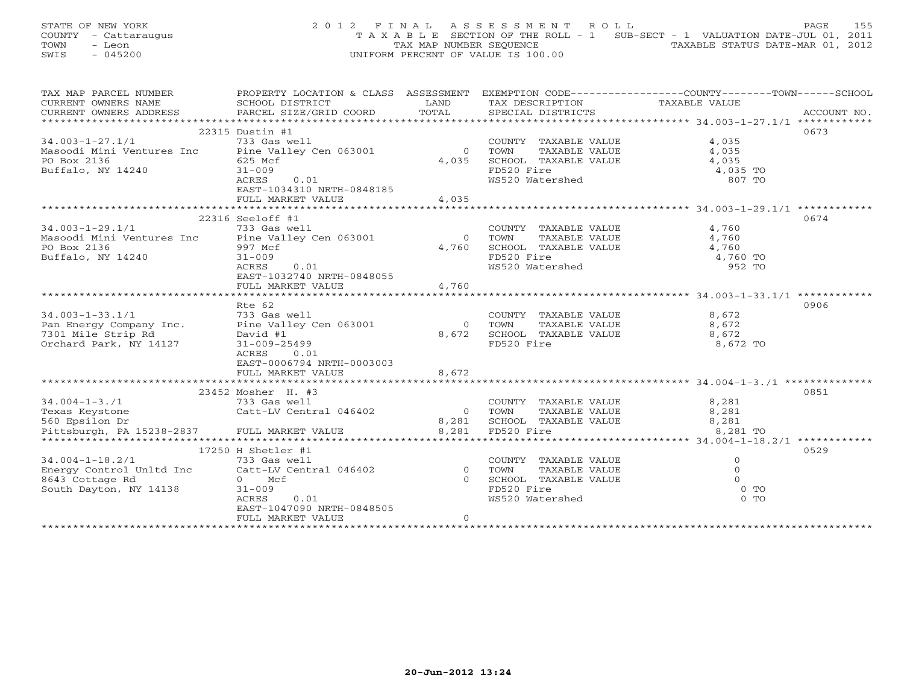STATE OF NEW YORK 2 0 1 2 F I N A L A S S E S S M E N T R O L L PAGE 155 COUNTY - Cattaraugus T A X A B L E SECTION OF THE ROLL - 1 SUB-SECT - 1 VALUATION DATE-JUL 01, 2011 TOWN - Leon  $\overline{2}$  - TAX MAP NUMBER SEQUENCE TAXABLE STATUS DATE-MAR 01, 2012<br>TRIS - 045200 SWIS - 045200 UNIFORM PERCENT OF VALUE IS 100.00

| TAX MAP PARCEL NUMBER                                                         | PROPERTY LOCATION & CLASS ASSESSMENT EXEMPTION CODE---------------COUNTY-------TOWN------SCHOOL |                |                                                                        |                |      |
|-------------------------------------------------------------------------------|-------------------------------------------------------------------------------------------------|----------------|------------------------------------------------------------------------|----------------|------|
| CURRENT OWNERS NAME                                                           | SCHOOL DISTRICT                                                                                 | LAND           | TAX DESCRIPTION                                                        | TAXABLE VALUE  |      |
| CURRENT OWNERS ADDRESS                                                        |                                                                                                 |                |                                                                        |                |      |
|                                                                               |                                                                                                 |                |                                                                        |                |      |
|                                                                               | 22315 Dustin #1                                                                                 |                |                                                                        |                | 0673 |
| $34.003 - 1 - 27.1/1$                                                         | 733 Gas well                                                                                    |                |                                                                        | 4,035<br>4.035 |      |
| Masoodi Mini Ventures Inc Pine Valley Cen 063001                              |                                                                                                 | $\overline{0}$ | COUNTY TAXABLE VALUE<br>TOWN      TAXABLE VALUE                        | 4,035          |      |
| PO Box 2136                                                                   | 625 Mcf                                                                                         | 4,035          | SCHOOL TAXABLE VALUE 4,035                                             |                |      |
| Buffalo, NY 14240                                                             | $31 - 009$                                                                                      |                | FD520 Fire                                                             | 4,035 TO       |      |
|                                                                               | ACRES<br>0.01                                                                                   |                | FD520 Fire<br>WS520 Watershed                                          | 807 TO         |      |
|                                                                               | EAST-1034310 NRTH-0848185                                                                       |                |                                                                        |                |      |
|                                                                               | FULL MARKET VALUE                                                                               | 4,035          |                                                                        |                |      |
|                                                                               |                                                                                                 |                |                                                                        |                |      |
|                                                                               | 22316 Seeloff #1                                                                                |                |                                                                        |                | 0674 |
| $34.003 - 1 - 29.1/1$                                                         | 733 Gas well                                                                                    |                | COUNTY TAXABLE VALUE                                                   | 4,760          |      |
| Masoodi Mini Ventures Inc Pine Valley Cen 063001                              |                                                                                                 | $\overline{0}$ | TAXABLE VALUE<br>TOWN                                                  | 4,760          |      |
| PO Box 2136                                                                   | 997 Mcf                                                                                         | 4,760          | SCHOOL TAXABLE VALUE 4,760                                             |                |      |
| Buffalo, NY 14240                                                             | $31 - 009$                                                                                      |                | FD520 Fire                                                             | 4,760 TO       |      |
|                                                                               | ACRES<br>0.01                                                                                   |                | WS520 Watershed                                                        | 952 TO         |      |
|                                                                               | EAST-1032740 NRTH-0848055                                                                       |                |                                                                        |                |      |
|                                                                               | FULL MARKET VALUE                                                                               | 4,760          |                                                                        |                |      |
|                                                                               |                                                                                                 |                |                                                                        |                |      |
|                                                                               | Rte 62                                                                                          |                |                                                                        |                | 0906 |
| $34.003 - 1 - 33.1/1$                                                         | 733 Gas well                                                                                    |                | COUNTY TAXABLE VALUE                                                   | 8,672          |      |
|                                                                               |                                                                                                 | $\overline{0}$ | TOWN                                                                   |                |      |
| Pan Energy Company Inc. Pine Valley Cen 063001<br>7301 Mile Strip Rd David #1 |                                                                                                 |                | 8,672 SCHOOL TAXABLE VALUE                                             |                |      |
| Orchard Park, NY 14127                                                        | 31-009-25499                                                                                    |                | FD520 Fire                                                             | 8,672 TO       |      |
|                                                                               | ACRES 0.01                                                                                      |                |                                                                        |                |      |
|                                                                               | EAST-0006794 NRTH-0003003                                                                       |                |                                                                        |                |      |
|                                                                               | FULL MARKET VALUE                                                                               | 8,672          |                                                                        |                |      |
|                                                                               |                                                                                                 |                |                                                                        |                |      |
|                                                                               | 23452 Mosher H. #3                                                                              |                |                                                                        |                | 0851 |
| $34.004 - 1 - 3.71$                                                           | 733 Gas well                                                                                    |                | COUNTY TAXABLE VALUE                                                   | 8,281          |      |
| Texas Keystone                                                                | Catt-LV Central 046402                                                                          |                |                                                                        | 8,281          |      |
| 560 Epsilon Dr                                                                |                                                                                                 |                |                                                                        | 8,281          |      |
| Pittsburgh, PA 15238-2837 FULL MARKET VALUE                                   |                                                                                                 |                | 0 TOWN TAXABLE VALUE<br>8,281 SCHOOL TAXABLE VALUE<br>8,281 FD520 Fire | 8,281 TO       |      |
|                                                                               |                                                                                                 |                |                                                                        |                |      |
|                                                                               | 17250 H Shetler #1                                                                              |                |                                                                        |                | 0529 |
|                                                                               |                                                                                                 |                | COUNTY TAXABLE VALUE                                                   | $\circ$        |      |
|                                                                               |                                                                                                 |                | TAXABLE VALUE                                                          | $\circ$        |      |
|                                                                               |                                                                                                 |                | SCHOOL TAXABLE VALUE                                                   | $\Omega$       |      |
| South Dayton, NY 14138                                                        | $31 - 009$                                                                                      |                | FD520 Fire                                                             | $0$ TO         |      |
|                                                                               | ACRES<br>0.01                                                                                   |                | WS520 Watershed                                                        | $0$ TO         |      |
|                                                                               | EAST-1047090 NRTH-0848505                                                                       |                |                                                                        |                |      |
|                                                                               | FULL MARKET VALUE                                                                               | $\circ$        |                                                                        |                |      |
|                                                                               |                                                                                                 |                |                                                                        |                |      |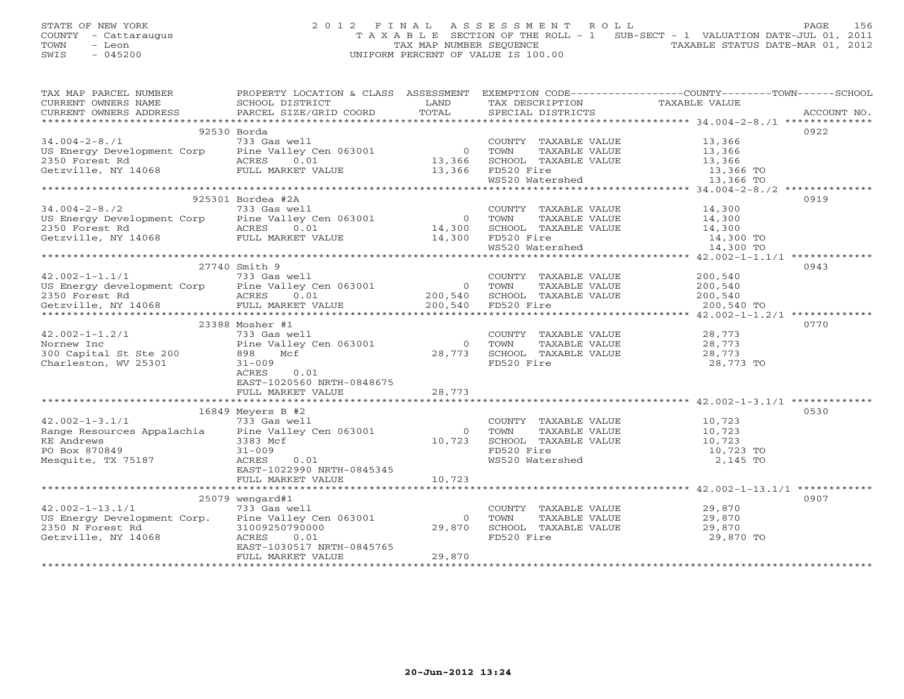## STATE OF NEW YORK 2 0 1 2 F I N A L A S S E S S M E N T R O L L PAGE 156 COUNTY - Cattaraugus T A X A B L E SECTION OF THE ROLL - 1 SUB-SECT - 1 VALUATION DATE-JUL 01, 2011 TOWN - Leon  $\overline{2}$  - TAX MAP NUMBER SEQUENCE TAXABLE STATUS DATE-MAR 01, 2012<br>TRIS - 045200 SWIS - 045200 UNIFORM PERCENT OF VALUE IS 100.00

| TAX MAP PARCEL NUMBER                                                                                                                                                                                                                                                                                                                                                                                                                                  | PROPERTY LOCATION & CLASS ASSESSMENT |                |                                                     | EXEMPTION CODE----------------COUNTY-------TOWN------SCHOOL                                                                                                                                                                                                                                                                                                                                                                                                                    |
|--------------------------------------------------------------------------------------------------------------------------------------------------------------------------------------------------------------------------------------------------------------------------------------------------------------------------------------------------------------------------------------------------------------------------------------------------------|--------------------------------------|----------------|-----------------------------------------------------|--------------------------------------------------------------------------------------------------------------------------------------------------------------------------------------------------------------------------------------------------------------------------------------------------------------------------------------------------------------------------------------------------------------------------------------------------------------------------------|
|                                                                                                                                                                                                                                                                                                                                                                                                                                                        |                                      |                |                                                     | $\begin{tabular}{lllllll} \multicolumn{2}{c}{\textbf{CURRENT}} & \multicolumn{2}{c}{\textbf{WWERS}} & \multicolumn{2}{c}{\textbf{NAME}} & \multicolumn{2}{c}{\textbf{SCHOOL}} & \multicolumn{2}{c}{\textbf{IISTRICT}} & \multicolumn{2}{c}{\textbf{LAND}} & \multicolumn{2}{c}{\textbf{TAX} \textbf{DESCRIFTION}} & \multicolumn{2}{c}{\textbf{TAXABLE} \textbf{ VALUE}} & \multicolumn{2}{c}{\textbf{NALUE}} \\ & & & & & & & \multicolumn{2}{c}{\textbf{CURRENT}} & \multic$ |
|                                                                                                                                                                                                                                                                                                                                                                                                                                                        |                                      |                |                                                     |                                                                                                                                                                                                                                                                                                                                                                                                                                                                                |
|                                                                                                                                                                                                                                                                                                                                                                                                                                                        |                                      |                |                                                     |                                                                                                                                                                                                                                                                                                                                                                                                                                                                                |
|                                                                                                                                                                                                                                                                                                                                                                                                                                                        |                                      |                |                                                     | 0922                                                                                                                                                                                                                                                                                                                                                                                                                                                                           |
|                                                                                                                                                                                                                                                                                                                                                                                                                                                        |                                      |                |                                                     |                                                                                                                                                                                                                                                                                                                                                                                                                                                                                |
|                                                                                                                                                                                                                                                                                                                                                                                                                                                        |                                      |                |                                                     |                                                                                                                                                                                                                                                                                                                                                                                                                                                                                |
|                                                                                                                                                                                                                                                                                                                                                                                                                                                        |                                      |                |                                                     |                                                                                                                                                                                                                                                                                                                                                                                                                                                                                |
| $\begin{array}{cccccc} \text{34.004--2-8./1} & \text{92530 Borda} & \text{COUNTY} & \text{TAXABLE VALUE} & \text{13,366} \\ \text{US Energy Development Corp} & \text{Pine Valley Cen 063001} & \text{0} & \text{TOWN} & \text{TAXABLE VALUE} & \text{13,366} \\ \text{2350 Forest Rd} & \text{ACRES} & 0.01 & 13,366 & \text{SCHOOL TAXABLE VALUE} & \text{13,366} \\ \text{Getzville, NY 14068} & \text{FULL MARKET VALUE} & \text{13,366} & \text{$ |                                      |                |                                                     |                                                                                                                                                                                                                                                                                                                                                                                                                                                                                |
|                                                                                                                                                                                                                                                                                                                                                                                                                                                        |                                      |                |                                                     |                                                                                                                                                                                                                                                                                                                                                                                                                                                                                |
|                                                                                                                                                                                                                                                                                                                                                                                                                                                        |                                      |                |                                                     |                                                                                                                                                                                                                                                                                                                                                                                                                                                                                |
|                                                                                                                                                                                                                                                                                                                                                                                                                                                        |                                      |                |                                                     | 0919                                                                                                                                                                                                                                                                                                                                                                                                                                                                           |
|                                                                                                                                                                                                                                                                                                                                                                                                                                                        |                                      |                |                                                     |                                                                                                                                                                                                                                                                                                                                                                                                                                                                                |
|                                                                                                                                                                                                                                                                                                                                                                                                                                                        |                                      |                |                                                     |                                                                                                                                                                                                                                                                                                                                                                                                                                                                                |
|                                                                                                                                                                                                                                                                                                                                                                                                                                                        |                                      |                |                                                     |                                                                                                                                                                                                                                                                                                                                                                                                                                                                                |
|                                                                                                                                                                                                                                                                                                                                                                                                                                                        |                                      |                |                                                     |                                                                                                                                                                                                                                                                                                                                                                                                                                                                                |
|                                                                                                                                                                                                                                                                                                                                                                                                                                                        |                                      |                |                                                     |                                                                                                                                                                                                                                                                                                                                                                                                                                                                                |
|                                                                                                                                                                                                                                                                                                                                                                                                                                                        |                                      |                |                                                     | $\mathrm{WS520\text{\hspace{1.5cm}Water} \hspace{1.5cm} \hspace{1.5cm} \textbf{0.90\hspace{1.5cm} TO} \hspace{1.5cm} \hspace{1.5cm} \hspace{1.5cm} \textbf{14,300\hspace{1.5cm} TO} \hspace{1.5cm} \textbf{0.90\hspace{1.5cm} TO}$                                                                                                                                                                                                                                             |
|                                                                                                                                                                                                                                                                                                                                                                                                                                                        | 27740 Smith 9                        |                |                                                     | 0943                                                                                                                                                                                                                                                                                                                                                                                                                                                                           |
|                                                                                                                                                                                                                                                                                                                                                                                                                                                        |                                      |                |                                                     |                                                                                                                                                                                                                                                                                                                                                                                                                                                                                |
|                                                                                                                                                                                                                                                                                                                                                                                                                                                        |                                      |                |                                                     |                                                                                                                                                                                                                                                                                                                                                                                                                                                                                |
|                                                                                                                                                                                                                                                                                                                                                                                                                                                        |                                      |                |                                                     |                                                                                                                                                                                                                                                                                                                                                                                                                                                                                |
|                                                                                                                                                                                                                                                                                                                                                                                                                                                        |                                      |                |                                                     |                                                                                                                                                                                                                                                                                                                                                                                                                                                                                |
|                                                                                                                                                                                                                                                                                                                                                                                                                                                        |                                      |                |                                                     |                                                                                                                                                                                                                                                                                                                                                                                                                                                                                |
|                                                                                                                                                                                                                                                                                                                                                                                                                                                        | 23388 Mosher #1                      |                |                                                     | 0770                                                                                                                                                                                                                                                                                                                                                                                                                                                                           |
| 42.002-1-1.2/1<br>Nornew Inc<br>300 Capital St Ste 200<br>The Valley Cen 063001<br>898 Mcf                                                                                                                                                                                                                                                                                                                                                             |                                      |                | COUNTY TAXABLE VALUE 28,773                         |                                                                                                                                                                                                                                                                                                                                                                                                                                                                                |
|                                                                                                                                                                                                                                                                                                                                                                                                                                                        |                                      |                | 0 TOWN<br>TAXABLE VALUE                             | 28,773                                                                                                                                                                                                                                                                                                                                                                                                                                                                         |
|                                                                                                                                                                                                                                                                                                                                                                                                                                                        |                                      | 28,773         | SCHOOL TAXABLE VALUE 28,773                         |                                                                                                                                                                                                                                                                                                                                                                                                                                                                                |
| Charleston, WV 25301                                                                                                                                                                                                                                                                                                                                                                                                                                   | $31 - 009$                           |                | FD520 Fire                                          | 28,773 TO                                                                                                                                                                                                                                                                                                                                                                                                                                                                      |
|                                                                                                                                                                                                                                                                                                                                                                                                                                                        | ACRES<br>0.01                        |                |                                                     |                                                                                                                                                                                                                                                                                                                                                                                                                                                                                |
|                                                                                                                                                                                                                                                                                                                                                                                                                                                        | EAST-1020560 NRTH-0848675            |                |                                                     |                                                                                                                                                                                                                                                                                                                                                                                                                                                                                |
|                                                                                                                                                                                                                                                                                                                                                                                                                                                        | FULL MARKET VALUE                    | 28,773         |                                                     |                                                                                                                                                                                                                                                                                                                                                                                                                                                                                |
|                                                                                                                                                                                                                                                                                                                                                                                                                                                        |                                      |                |                                                     |                                                                                                                                                                                                                                                                                                                                                                                                                                                                                |
|                                                                                                                                                                                                                                                                                                                                                                                                                                                        | $16849$ Meyers B #2                  |                |                                                     | 0530                                                                                                                                                                                                                                                                                                                                                                                                                                                                           |
| $42.002 - 1 - 3.1/1$                                                                                                                                                                                                                                                                                                                                                                                                                                   | 733 Gas well                         |                | COUNTY TAXABLE VALUE 10,723                         |                                                                                                                                                                                                                                                                                                                                                                                                                                                                                |
| Range Resources Appalachia Pine Valley Cen 063001                                                                                                                                                                                                                                                                                                                                                                                                      |                                      | $\overline{O}$ | TOWN                                                | TAXABLE VALUE 10,723                                                                                                                                                                                                                                                                                                                                                                                                                                                           |
| <b>KE Andrews</b>                                                                                                                                                                                                                                                                                                                                                                                                                                      | 3383 Mcf                             | 10,723         |                                                     |                                                                                                                                                                                                                                                                                                                                                                                                                                                                                |
| PO Box 870849                                                                                                                                                                                                                                                                                                                                                                                                                                          | $31 - 009$                           |                | SCHOOL TAXABLE VALUE 10,723<br>FD520 Fire 10,723 TO |                                                                                                                                                                                                                                                                                                                                                                                                                                                                                |
| Mesquite, TX 75187                                                                                                                                                                                                                                                                                                                                                                                                                                     | ACRES<br>0.01                        |                | WS520 Watershed                                     | 2,145 TO                                                                                                                                                                                                                                                                                                                                                                                                                                                                       |
|                                                                                                                                                                                                                                                                                                                                                                                                                                                        | EAST-1022990 NRTH-0845345            |                |                                                     |                                                                                                                                                                                                                                                                                                                                                                                                                                                                                |
|                                                                                                                                                                                                                                                                                                                                                                                                                                                        | FULL MARKET VALUE                    | 10,723         |                                                     |                                                                                                                                                                                                                                                                                                                                                                                                                                                                                |
|                                                                                                                                                                                                                                                                                                                                                                                                                                                        |                                      |                |                                                     |                                                                                                                                                                                                                                                                                                                                                                                                                                                                                |
|                                                                                                                                                                                                                                                                                                                                                                                                                                                        | 25079 wengard#1                      |                |                                                     | 0907                                                                                                                                                                                                                                                                                                                                                                                                                                                                           |
| $42.002 - 1 - 13.1/1$                                                                                                                                                                                                                                                                                                                                                                                                                                  | 733 Gas well                         |                | COUNTY TAXABLE VALUE 29,870                         |                                                                                                                                                                                                                                                                                                                                                                                                                                                                                |
| US Energy Development Corp. Pine Valley Cen 063001                                                                                                                                                                                                                                                                                                                                                                                                     |                                      | $\Omega$       |                                                     |                                                                                                                                                                                                                                                                                                                                                                                                                                                                                |
| 2350 N Forest Rd                                                                                                                                                                                                                                                                                                                                                                                                                                       | 31009250790000                       | 29,870         |                                                     |                                                                                                                                                                                                                                                                                                                                                                                                                                                                                |
| Getzville, NY 14068                                                                                                                                                                                                                                                                                                                                                                                                                                    | ACRES<br>0.01                        |                | FD520 Fire                                          | 29,870 TO                                                                                                                                                                                                                                                                                                                                                                                                                                                                      |
|                                                                                                                                                                                                                                                                                                                                                                                                                                                        | EAST-1030517 NRTH-0845765            |                |                                                     |                                                                                                                                                                                                                                                                                                                                                                                                                                                                                |
|                                                                                                                                                                                                                                                                                                                                                                                                                                                        | FULL MARKET VALUE                    | 29,870         |                                                     |                                                                                                                                                                                                                                                                                                                                                                                                                                                                                |
|                                                                                                                                                                                                                                                                                                                                                                                                                                                        |                                      |                |                                                     |                                                                                                                                                                                                                                                                                                                                                                                                                                                                                |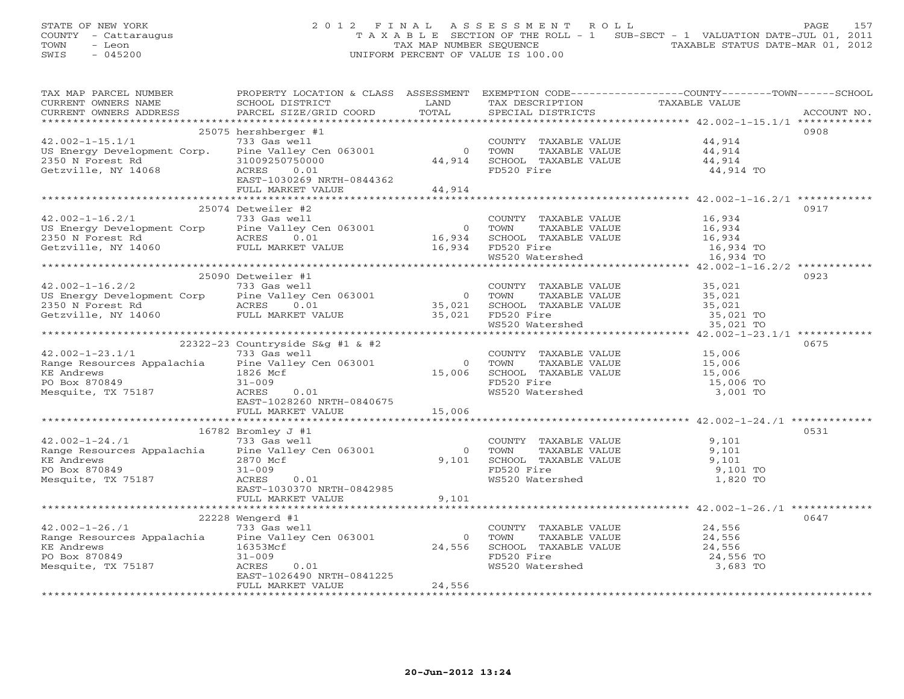# STATE OF NEW YORK 2 0 1 2 F I N A L A S S E S S M E N T R O L L PAGE 157 COUNTY - Cattaraugus T A X A B L E SECTION OF THE ROLL - 1 SUB-SECT - 1 VALUATION DATE-JUL 01, 2011 TOWN - Leon TAX MAP NUMBER SEQUENCE TAXABLE STATUS DATE-MAR 01, 2012 SWIS - 045200 UNIFORM PERCENT OF VALUE IS 100.00

| TAX MAP PARCEL NUMBER                                                                                                                                                                                                                                                                                                                              | PROPERTY LOCATION & CLASS ASSESSMENT EXEMPTION CODE---------------COUNTY-------TOWN------SCHOOL |                  |                                                                                                                                                            |                       |             |
|----------------------------------------------------------------------------------------------------------------------------------------------------------------------------------------------------------------------------------------------------------------------------------------------------------------------------------------------------|-------------------------------------------------------------------------------------------------|------------------|------------------------------------------------------------------------------------------------------------------------------------------------------------|-----------------------|-------------|
| CURRENT OWNERS NAME                                                                                                                                                                                                                                                                                                                                |                                                                                                 |                  | TAX DESCRIPTION TAXABLE VALUE                                                                                                                              |                       |             |
| CURRENT OWNERS ADDRESS                                                                                                                                                                                                                                                                                                                             |                                                                                                 |                  | SPECIAL DISTRICTS                                                                                                                                          |                       | ACCOUNT NO. |
|                                                                                                                                                                                                                                                                                                                                                    |                                                                                                 |                  |                                                                                                                                                            |                       |             |
|                                                                                                                                                                                                                                                                                                                                                    | 25075 hershberger #1                                                                            |                  |                                                                                                                                                            |                       | 0908        |
| $42.002 - 1 - 15.1/1$                                                                                                                                                                                                                                                                                                                              | 733 Gas well                                                                                    |                  | COUNTY TAXABLE VALUE                                                                                                                                       | 44,914                |             |
| US Energy Development Corp. Pine Valley Cen 063001                                                                                                                                                                                                                                                                                                 |                                                                                                 | $0$ $44$ , $914$ | $\begin{tabular}{lllllll} \textbf{TOWN} & \textbf{TAXABLE VALUE} & & & & 44,914 \\ \textbf{SCHOOL} & \textbf{TAXABLE VALUE} & & & 44,914 \\ \end{tabular}$ |                       |             |
| 2350 N Forest Rd<br>Getzville, NY 14068 (2008) ACRES 10.01                                                                                                                                                                                                                                                                                         |                                                                                                 |                  |                                                                                                                                                            |                       |             |
|                                                                                                                                                                                                                                                                                                                                                    | EAST-1030269 NRTH-0844362                                                                       |                  | FD520 Fire                                                                                                                                                 | 44,914 TO             |             |
|                                                                                                                                                                                                                                                                                                                                                    | FULL MARKET VALUE                                                                               | 44,914           |                                                                                                                                                            |                       |             |
|                                                                                                                                                                                                                                                                                                                                                    |                                                                                                 |                  |                                                                                                                                                            |                       |             |
|                                                                                                                                                                                                                                                                                                                                                    | 25074 Detweiler #2                                                                              |                  |                                                                                                                                                            |                       | 0917        |
|                                                                                                                                                                                                                                                                                                                                                    |                                                                                                 |                  |                                                                                                                                                            |                       |             |
| 42.002-1-16.2/1 2337 2337 2338 Well<br>US Energy Development Corp Pine Valley Cen 063001 0 TOWN TAXABLE VALUE 16,934<br>2350 N Forest Rd ACRES 0.01 16,934 SCHOOL TAXABLE VALUE 16,934<br>Getzville, NY 14060 FULL MARKET VALUE 16,9                                                                                                               |                                                                                                 |                  |                                                                                                                                                            | 16,934<br>16,934      |             |
|                                                                                                                                                                                                                                                                                                                                                    |                                                                                                 |                  |                                                                                                                                                            |                       |             |
|                                                                                                                                                                                                                                                                                                                                                    |                                                                                                 |                  |                                                                                                                                                            | 16,934 TO             |             |
|                                                                                                                                                                                                                                                                                                                                                    |                                                                                                 |                  |                                                                                                                                                            |                       |             |
|                                                                                                                                                                                                                                                                                                                                                    |                                                                                                 |                  |                                                                                                                                                            |                       |             |
|                                                                                                                                                                                                                                                                                                                                                    | 25090 Detweiler #1                                                                              |                  |                                                                                                                                                            |                       | 0923        |
|                                                                                                                                                                                                                                                                                                                                                    |                                                                                                 |                  |                                                                                                                                                            |                       |             |
| $\begin{tabular}{lllllllllllll} \hline 42.002-1-16.2/2 & 733 Gas well & 25,021US Energy Development Corp & Pine Valley Cen 063001 & 0 & TONN & TAXABLE VALUE & 35,0212350 N Forest Rd & 2350 N & 14060 & FULL MARKET VALUE & 35,021Getzville, NY 14060 & FULL MARKET VALUE & 35,02115,021 T015,021 T015,021 T015,021 T015,021 T015,021 T015,021 T$ |                                                                                                 |                  |                                                                                                                                                            |                       |             |
|                                                                                                                                                                                                                                                                                                                                                    |                                                                                                 |                  |                                                                                                                                                            |                       |             |
|                                                                                                                                                                                                                                                                                                                                                    |                                                                                                 |                  |                                                                                                                                                            |                       |             |
|                                                                                                                                                                                                                                                                                                                                                    |                                                                                                 |                  |                                                                                                                                                            |                       |             |
|                                                                                                                                                                                                                                                                                                                                                    |                                                                                                 |                  |                                                                                                                                                            |                       |             |
|                                                                                                                                                                                                                                                                                                                                                    | 22322-23 Countryside S&g #1 & #2                                                                |                  |                                                                                                                                                            |                       | 0675        |
| $\begin{array}{lll} \texttt{42.002--1-23.1/1} & \texttt{733 Gas well} & \texttt{15,006} & \texttt{TONN} & \texttt{TAXABLE VALUE} \\ \texttt{Range Resources Applied} & \texttt{Pine Valley Cen 063001} & \texttt{15,006} & \texttt{SCHOOL TAXABLE VALUE} \\ & \texttt{15,006} & \texttt{SCHOOL TAXABLE VALUE} \\ \end{array}$                      |                                                                                                 |                  | COUNTY TAXABLE VALUE 15,006<br>TOWN TAXABLE VALUE 15,006<br>SCHOOL TAXABLE VALUE 15,006                                                                    |                       |             |
|                                                                                                                                                                                                                                                                                                                                                    |                                                                                                 |                  |                                                                                                                                                            |                       |             |
|                                                                                                                                                                                                                                                                                                                                                    |                                                                                                 |                  | FD520 Fire                                                                                                                                                 |                       |             |
|                                                                                                                                                                                                                                                                                                                                                    | 0.01                                                                                            |                  | WS520 Watershed                                                                                                                                            | 15,006 TO<br>3,001 TO |             |
| KE Andrews<br>PO Box 870849<br>Mesquite, TX 75187<br>Mesquite, TX 75187<br>EAST-10282                                                                                                                                                                                                                                                              | EAST-1028260 NRTH-0840675                                                                       |                  |                                                                                                                                                            |                       |             |
|                                                                                                                                                                                                                                                                                                                                                    | FULL MARKET VALUE                                                                               | 15,006           |                                                                                                                                                            |                       |             |
|                                                                                                                                                                                                                                                                                                                                                    |                                                                                                 |                  |                                                                                                                                                            |                       |             |
|                                                                                                                                                                                                                                                                                                                                                    | $16782$ Bromley J #1                                                                            |                  |                                                                                                                                                            |                       | 0531        |
| $42.002-1-24.$ /1<br>Range Resources Appalachia Pine Valley Cen 063001<br>$\frac{1}{200}$                                                                                                                                                                                                                                                          |                                                                                                 |                  |                                                                                                                                                            |                       |             |
|                                                                                                                                                                                                                                                                                                                                                    |                                                                                                 | $\bigcirc$       |                                                                                                                                                            |                       |             |
|                                                                                                                                                                                                                                                                                                                                                    |                                                                                                 | 9,101            | COUNTY TAXABLE VALUE<br>TOWN TAXABLE VALUE 9,101<br>SCHOOL TAXABLE VALUE 9,101<br>PD520 Fixe 0,101                                                         |                       |             |
| EXE Andrews<br>PO Box 870849<br>Mesquite, TX 75187<br>Mesquite, TX 75187<br>EACRES                                                                                                                                                                                                                                                                 |                                                                                                 |                  | FD520 Fire<br>WS520 Watershed                                                                                                                              | 9,101 TO              |             |
|                                                                                                                                                                                                                                                                                                                                                    | 0.01                                                                                            |                  |                                                                                                                                                            | 1,820 TO              |             |
|                                                                                                                                                                                                                                                                                                                                                    | EAST-1030370 NRTH-0842985                                                                       |                  |                                                                                                                                                            |                       |             |
|                                                                                                                                                                                                                                                                                                                                                    | FULL MARKET VALUE                                                                               | 9,101            |                                                                                                                                                            |                       |             |
|                                                                                                                                                                                                                                                                                                                                                    |                                                                                                 |                  |                                                                                                                                                            |                       |             |
|                                                                                                                                                                                                                                                                                                                                                    | 22228 Wengerd #1                                                                                |                  |                                                                                                                                                            |                       | 0647        |
| $42.002 - 1 - 26.71$                                                                                                                                                                                                                                                                                                                               | 733 Gas well                                                                                    |                  | COUNTY TAXABLE VALUE 24,556                                                                                                                                |                       |             |
| Range Resources Appalachia Pine Valley Cen 063001<br>KE Andrews 16353Mcf<br><b>KE</b> Andrews                                                                                                                                                                                                                                                      | 16353Mcf                                                                                        |                  | $\begin{tabular}{lllllllll} 0 & TOWN & TAXABLE VALUE & & & & 24,556 \\ 24,556 & SCHOOL & TAXABLE VALUE & & & & 24,556 \\ \end{tabular}$                    |                       |             |
| PO Box 870849                                                                                                                                                                                                                                                                                                                                      | $31 - 009$                                                                                      |                  | FD520 Fire                                                                                                                                                 | 24,556 TO             |             |
|                                                                                                                                                                                                                                                                                                                                                    | ACRES<br>0.01                                                                                   |                  | WS520 Watershed                                                                                                                                            | 3,683 TO              |             |
| Mesquite, TX 75187                                                                                                                                                                                                                                                                                                                                 | EAST-1026490 NRTH-0841225                                                                       |                  |                                                                                                                                                            |                       |             |
|                                                                                                                                                                                                                                                                                                                                                    | FULL MARKET VALUE                                                                               | 24,556           |                                                                                                                                                            |                       |             |
|                                                                                                                                                                                                                                                                                                                                                    |                                                                                                 |                  |                                                                                                                                                            |                       |             |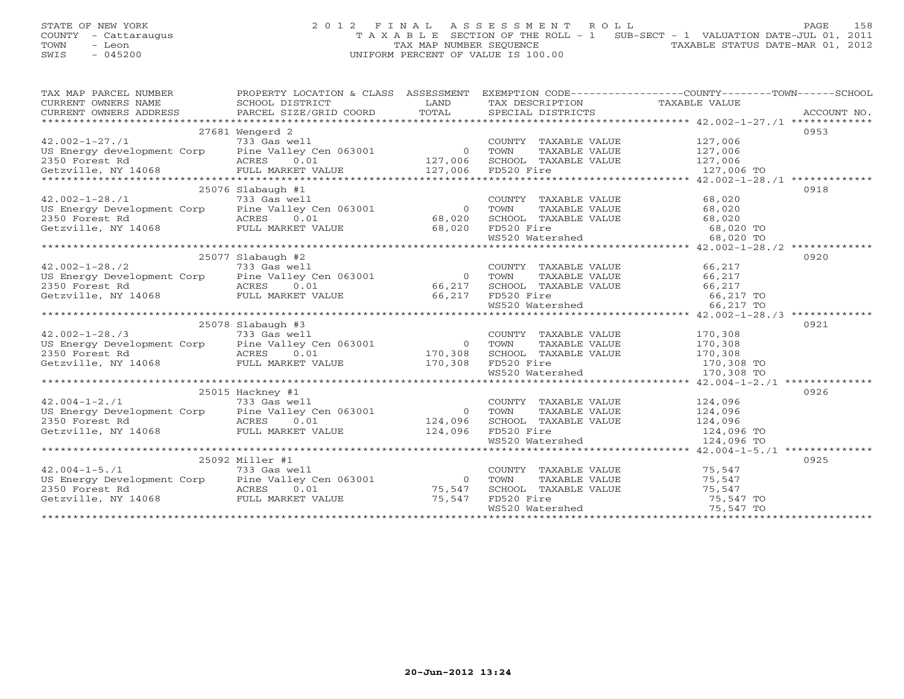## STATE OF NEW YORK 2 0 1 2 F I N A L A S S E S S M E N T R O L L PAGE 158 COUNTY - Cattaraugus T A X A B L E SECTION OF THE ROLL - 1 SUB-SECT - 1 VALUATION DATE-JUL 01, 2011 TOWN - Leon  $\overline{2}$  - TAX MAP NUMBER SEQUENCE TAXABLE STATUS DATE-MAR 01, 2012<br>TRIS - 045200 SWIS - 045200 UNIFORM PERCENT OF VALUE IS 100.00

| TAX MAP PARCEL NUMBER                                                                                                                                                                                                                                                                                                                                                                                                |                     |                                                                                                                                             | PROPERTY LOCATION & CLASS ASSESSMENT EXEMPTION CODE----------------COUNTY-------TOWN------SCHOOL                                                                                                                                     |  |
|----------------------------------------------------------------------------------------------------------------------------------------------------------------------------------------------------------------------------------------------------------------------------------------------------------------------------------------------------------------------------------------------------------------------|---------------------|---------------------------------------------------------------------------------------------------------------------------------------------|--------------------------------------------------------------------------------------------------------------------------------------------------------------------------------------------------------------------------------------|--|
|                                                                                                                                                                                                                                                                                                                                                                                                                      |                     |                                                                                                                                             | ENGLES NAMEL NOTIFIES ACCOUNT NO ANNO EXAMPLE AND THE TAXABLE VALUE<br>CURRENT OWNERS ADDRESS BORIOOL DISTRICT TO DEAND TAXABLE TRANSPORT TAXABLE VALUE<br>CURRENT OWNERS ADDRESS PARCEL SIZE/GRID COORD TOTAL SPECIAL DISTRICTS ACC |  |
|                                                                                                                                                                                                                                                                                                                                                                                                                      |                     |                                                                                                                                             |                                                                                                                                                                                                                                      |  |
|                                                                                                                                                                                                                                                                                                                                                                                                                      |                     |                                                                                                                                             |                                                                                                                                                                                                                                      |  |
|                                                                                                                                                                                                                                                                                                                                                                                                                      | 27681 Wengerd 2     |                                                                                                                                             | 0953                                                                                                                                                                                                                                 |  |
|                                                                                                                                                                                                                                                                                                                                                                                                                      |                     |                                                                                                                                             |                                                                                                                                                                                                                                      |  |
|                                                                                                                                                                                                                                                                                                                                                                                                                      |                     |                                                                                                                                             |                                                                                                                                                                                                                                      |  |
|                                                                                                                                                                                                                                                                                                                                                                                                                      |                     |                                                                                                                                             |                                                                                                                                                                                                                                      |  |
|                                                                                                                                                                                                                                                                                                                                                                                                                      |                     |                                                                                                                                             |                                                                                                                                                                                                                                      |  |
|                                                                                                                                                                                                                                                                                                                                                                                                                      |                     |                                                                                                                                             |                                                                                                                                                                                                                                      |  |
|                                                                                                                                                                                                                                                                                                                                                                                                                      | $25076$ Slabaugh #1 |                                                                                                                                             | 0918                                                                                                                                                                                                                                 |  |
|                                                                                                                                                                                                                                                                                                                                                                                                                      |                     | COUNTY TAXABLE VALUE 68,020                                                                                                                 |                                                                                                                                                                                                                                      |  |
|                                                                                                                                                                                                                                                                                                                                                                                                                      |                     | TOWN                                                                                                                                        |                                                                                                                                                                                                                                      |  |
|                                                                                                                                                                                                                                                                                                                                                                                                                      |                     |                                                                                                                                             |                                                                                                                                                                                                                                      |  |
|                                                                                                                                                                                                                                                                                                                                                                                                                      |                     | FD520 Fire                                                                                                                                  |                                                                                                                                                                                                                                      |  |
|                                                                                                                                                                                                                                                                                                                                                                                                                      |                     | TOWN TAXABLE VALUE 68,020<br>SCHOOL TAXABLE VALUE 68,020<br>FD520 Fire 68,020<br>WS520 Watershed 68,020 TO<br>68,020 TO                     |                                                                                                                                                                                                                                      |  |
|                                                                                                                                                                                                                                                                                                                                                                                                                      |                     |                                                                                                                                             |                                                                                                                                                                                                                                      |  |
|                                                                                                                                                                                                                                                                                                                                                                                                                      | $25077$ Slabaugh #2 |                                                                                                                                             | 0920                                                                                                                                                                                                                                 |  |
|                                                                                                                                                                                                                                                                                                                                                                                                                      |                     |                                                                                                                                             |                                                                                                                                                                                                                                      |  |
|                                                                                                                                                                                                                                                                                                                                                                                                                      |                     |                                                                                                                                             |                                                                                                                                                                                                                                      |  |
|                                                                                                                                                                                                                                                                                                                                                                                                                      |                     |                                                                                                                                             |                                                                                                                                                                                                                                      |  |
| $\begin{array}{cccc}\n & 25077 & 5140a \text{kg} & \text{m} & \text{2001} & \text{2000} \\  & 733 & \text{Gas well} & 733 & \text{Gas well} & 0 \\ \text{US Energy Development Corp} & \text{Pine Valley Cen 063001} & 0 & \text{TOWN} & \text{TAX} \\  & & \text{ACRES} & 0.01 & 66,217 & \text{SCHOOL TAX} \\ \text{Getzville, NY 14068} & \text{FULL MARKET VALUE} & 66,217 & \text{FD520 Filter} \\ \end{array}$ |                     |                                                                                                                                             |                                                                                                                                                                                                                                      |  |
|                                                                                                                                                                                                                                                                                                                                                                                                                      |                     | COUNTY TAXABLE VALUE 66,217<br>TOWN TAXABLE VALUE 66,217<br>SCHOOL TAXABLE VALUE 66,217<br>FD520 Fire 66,217<br>WS520 Watershed 66,217 TO   |                                                                                                                                                                                                                                      |  |
|                                                                                                                                                                                                                                                                                                                                                                                                                      |                     |                                                                                                                                             |                                                                                                                                                                                                                                      |  |
|                                                                                                                                                                                                                                                                                                                                                                                                                      | $25078$ Slabaugh #3 |                                                                                                                                             | 0921                                                                                                                                                                                                                                 |  |
| 42.002-1-28./3<br>US Energy Development Corp 733 Gas well<br>2350 Forest Rd 250 ACRES 0.01 2170,308 SCHOOL TAX<br>Getzville, NY 14068 FULL MARKET VALUE 170,308 FD520 Fire                                                                                                                                                                                                                                           |                     | COUNTY TAXABLE VALUE 170,308                                                                                                                |                                                                                                                                                                                                                                      |  |
|                                                                                                                                                                                                                                                                                                                                                                                                                      |                     |                                                                                                                                             |                                                                                                                                                                                                                                      |  |
|                                                                                                                                                                                                                                                                                                                                                                                                                      |                     |                                                                                                                                             |                                                                                                                                                                                                                                      |  |
|                                                                                                                                                                                                                                                                                                                                                                                                                      |                     | FOWN TAXABLE VALUE<br>TOWN TAXABLE VALUE<br>SCHOOL TAXABLE VALUE<br>FD520 Fire<br>WS520 Watershed<br>170,308 TO<br>170,308 TO<br>170,308 TO |                                                                                                                                                                                                                                      |  |
|                                                                                                                                                                                                                                                                                                                                                                                                                      |                     |                                                                                                                                             |                                                                                                                                                                                                                                      |  |
|                                                                                                                                                                                                                                                                                                                                                                                                                      |                     |                                                                                                                                             |                                                                                                                                                                                                                                      |  |
|                                                                                                                                                                                                                                                                                                                                                                                                                      | 25015 Hackney #1    |                                                                                                                                             | 0926                                                                                                                                                                                                                                 |  |
|                                                                                                                                                                                                                                                                                                                                                                                                                      |                     | COUNTY TAXABLE VALUE 124,096                                                                                                                |                                                                                                                                                                                                                                      |  |
|                                                                                                                                                                                                                                                                                                                                                                                                                      |                     |                                                                                                                                             |                                                                                                                                                                                                                                      |  |
|                                                                                                                                                                                                                                                                                                                                                                                                                      |                     |                                                                                                                                             |                                                                                                                                                                                                                                      |  |
| 42.004-1-2./1<br>US Energy Development Corp 733 Gas well<br>2350 Forest Rd 733 Gas well<br>2350 Forest Rd RCRES 0.01 124,096 SCHOOL TAX<br>Getzville, NY 14068 FULL MARKET VALUE 124,096 FD520 Fire                                                                                                                                                                                                                  |                     | TOWN TAXABLE VALUE 124,096<br>SCHOOL TAXABLE VALUE 124,096<br>FD520 Fire 124,096 TO<br>WS520 Watershed 124,096 TO                           |                                                                                                                                                                                                                                      |  |
|                                                                                                                                                                                                                                                                                                                                                                                                                      |                     |                                                                                                                                             |                                                                                                                                                                                                                                      |  |
|                                                                                                                                                                                                                                                                                                                                                                                                                      |                     |                                                                                                                                             |                                                                                                                                                                                                                                      |  |
|                                                                                                                                                                                                                                                                                                                                                                                                                      | 25092 Miller #1     |                                                                                                                                             | 0925                                                                                                                                                                                                                                 |  |
|                                                                                                                                                                                                                                                                                                                                                                                                                      |                     | COUNTY TAXABLE VALUE 75,547<br>TOWN TAXABLE VALUE 75,547                                                                                    |                                                                                                                                                                                                                                      |  |
|                                                                                                                                                                                                                                                                                                                                                                                                                      |                     |                                                                                                                                             |                                                                                                                                                                                                                                      |  |
|                                                                                                                                                                                                                                                                                                                                                                                                                      |                     | SCHOOL TAXABLE VALUE 75,547                                                                                                                 |                                                                                                                                                                                                                                      |  |
| 42.004-1-5./1<br>US Energy Development Corp<br>2350 Forest Rd<br>Getzville, NY 14068<br>COUNT<br>2350 Forest Rd<br>2350 Forest Rd<br>2350 Forest Rd<br>2350 Forest Rd<br>2350 Forest Rd<br>256.001<br>256.2000<br>256.2011<br>256.2011<br>256.2011<br>256.20                                                                                                                                                         |                     | FD520 Fire<br>WS520 Watershed 75,547 TO                                                                                                     |                                                                                                                                                                                                                                      |  |
|                                                                                                                                                                                                                                                                                                                                                                                                                      |                     |                                                                                                                                             |                                                                                                                                                                                                                                      |  |
|                                                                                                                                                                                                                                                                                                                                                                                                                      |                     |                                                                                                                                             |                                                                                                                                                                                                                                      |  |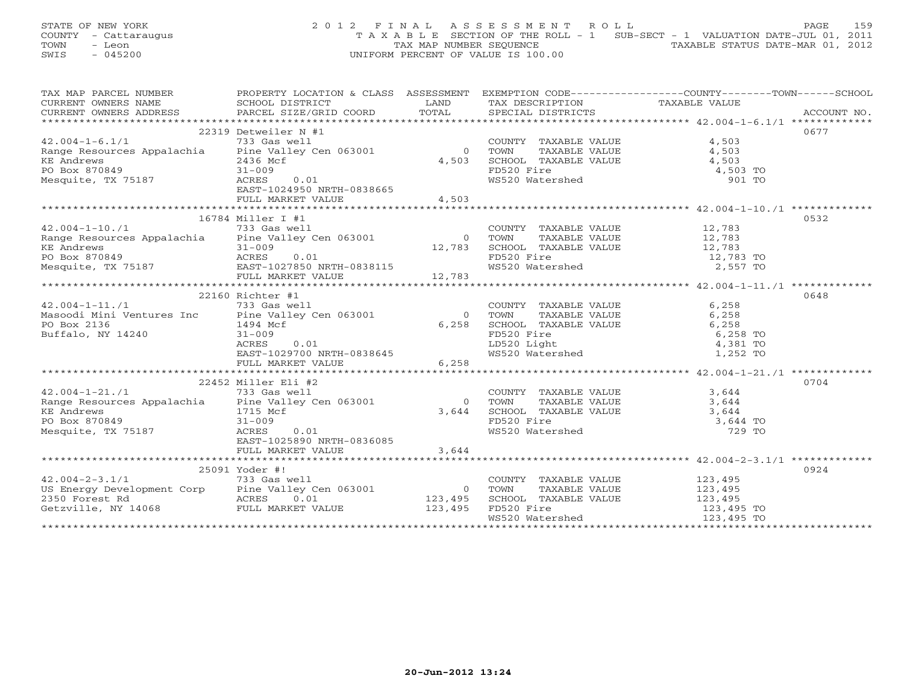STATE OF NEW YORK 2 0 1 2 F I N A L A S S E S S M E N T R O L L PAGE 159 COUNTY - Cattaraugus T A X A B L E SECTION OF THE ROLL - 1 SUB-SECT - 1 VALUATION DATE-JUL 01, 2011 TOWN - Leon  $\overline{2}$  - TAX MAP NUMBER SEQUENCE TAXABLE STATUS DATE-MAR 01, 2012<br>TRIS - 045200 SWIS - 045200 UNIFORM PERCENT OF VALUE IS 100.00

| TAX MAP PARCEL NUMBER                                                                                                                                                                       | PROPERTY LOCATION & CLASS ASSESSMENT                 |                |                                                                                                                              | EXEMPTION CODE-----------------COUNTY-------TOWN------SCHOOL                                                                                                                                                                                    |
|---------------------------------------------------------------------------------------------------------------------------------------------------------------------------------------------|------------------------------------------------------|----------------|------------------------------------------------------------------------------------------------------------------------------|-------------------------------------------------------------------------------------------------------------------------------------------------------------------------------------------------------------------------------------------------|
|                                                                                                                                                                                             |                                                      |                |                                                                                                                              |                                                                                                                                                                                                                                                 |
|                                                                                                                                                                                             |                                                      |                |                                                                                                                              |                                                                                                                                                                                                                                                 |
|                                                                                                                                                                                             |                                                      |                |                                                                                                                              |                                                                                                                                                                                                                                                 |
|                                                                                                                                                                                             |                                                      |                |                                                                                                                              | 0677                                                                                                                                                                                                                                            |
| ${\small \begin{array}{c} \text{22319 Detweeniler N#1}\\ \text{42.004--1--6.1/1} \end{array}} {\small \begin{array}{c} \text{COUNT}\\ \text{Range Resources Appalachia} \end{array}}$       |                                                      |                | COUNTY TAXABLE VALUE 4,503                                                                                                   |                                                                                                                                                                                                                                                 |
|                                                                                                                                                                                             |                                                      |                |                                                                                                                              | TAXABLE VALUE 4,503                                                                                                                                                                                                                             |
| KE Andrews                                                                                                                                                                                  | 2436 Mcf                                             | 4,503          |                                                                                                                              |                                                                                                                                                                                                                                                 |
| $2436$ Mo<br>$31-009$<br>PO Box 870849                                                                                                                                                      |                                                      |                |                                                                                                                              | 4,503 TO                                                                                                                                                                                                                                        |
| Mesquite, TX 75187                                                                                                                                                                          |                                                      |                | SCHOOL TAXABLE VALUE $4,503$<br>FD520 Fire $4,503$<br>WS520 Watershed 901                                                    |                                                                                                                                                                                                                                                 |
|                                                                                                                                                                                             | 0.01<br>ACRES                                        |                |                                                                                                                              | 901 TO                                                                                                                                                                                                                                          |
|                                                                                                                                                                                             | EAST-1024950 NRTH-0838665                            |                |                                                                                                                              |                                                                                                                                                                                                                                                 |
|                                                                                                                                                                                             |                                                      |                |                                                                                                                              |                                                                                                                                                                                                                                                 |
|                                                                                                                                                                                             |                                                      |                |                                                                                                                              |                                                                                                                                                                                                                                                 |
|                                                                                                                                                                                             | 16784 Miller I #1                                    |                |                                                                                                                              | 0532                                                                                                                                                                                                                                            |
| $42.004 - 1 - 10.71$                                                                                                                                                                        | 733 Gas well                                         |                | COUNTY TAXABLE VALUE 12,783                                                                                                  |                                                                                                                                                                                                                                                 |
| Range Resources Appalachia Pine Valley Cen 063001                                                                                                                                           |                                                      | $\overline{0}$ | TOWN                                                                                                                         |                                                                                                                                                                                                                                                 |
|                                                                                                                                                                                             |                                                      |                |                                                                                                                              | TAXABLE VALUE 12,783<br>TAXABLE VALUE 12,783                                                                                                                                                                                                    |
|                                                                                                                                                                                             |                                                      |                |                                                                                                                              |                                                                                                                                                                                                                                                 |
|                                                                                                                                                                                             |                                                      |                |                                                                                                                              |                                                                                                                                                                                                                                                 |
|                                                                                                                                                                                             |                                                      |                |                                                                                                                              |                                                                                                                                                                                                                                                 |
|                                                                                                                                                                                             |                                                      |                |                                                                                                                              | XE Andrews<br>Net Andrews<br>Mesquite, TX 75187 acres 0.01<br>Mesquite, TX 75187 acres 0.01<br>FULL MARKET VALUE 12,783<br>FULL MARKET VALUE 12,783<br>FULL MARKET VALUE 12,783<br>FULL MARKET VALUE 12,783<br>FULL MARKET VALUE 12,783<br>FULL |
|                                                                                                                                                                                             | 22160 Richter #1                                     |                |                                                                                                                              | 0648                                                                                                                                                                                                                                            |
| $42.004 - 1 - 11.71$                                                                                                                                                                        | 733 Gas well                                         |                | COUNTY TAXABLE VALUE                                                                                                         | 6,258                                                                                                                                                                                                                                           |
|                                                                                                                                                                                             |                                                      | $\overline{0}$ | TAXABLE VALUE<br>TOWN                                                                                                        | 6,258                                                                                                                                                                                                                                           |
| Masoodi Mini Ventures Inc Pine Valley Cen 063001<br>PO Box 2136 1494 Mcf<br>Buffalo, NY 14240 31-009 31                                                                                     |                                                      |                |                                                                                                                              |                                                                                                                                                                                                                                                 |
|                                                                                                                                                                                             |                                                      | 6,258          | SCHOOL TAXABLE VALUE                                                                                                         | 6,258                                                                                                                                                                                                                                           |
|                                                                                                                                                                                             |                                                      |                | FD520 Fire<br>FD520 Fire<br>LD520 Light<br>WS520 Watershed                                                                   | 6,258 TO                                                                                                                                                                                                                                        |
|                                                                                                                                                                                             | ACRES<br>0.01                                        |                |                                                                                                                              | 4,381 TO                                                                                                                                                                                                                                        |
|                                                                                                                                                                                             | EAST-1029700_NRTH-0838645<br>FULL MARKET VALUE 6,258 |                |                                                                                                                              | 1,252 TO                                                                                                                                                                                                                                        |
|                                                                                                                                                                                             |                                                      |                |                                                                                                                              |                                                                                                                                                                                                                                                 |
|                                                                                                                                                                                             |                                                      |                |                                                                                                                              |                                                                                                                                                                                                                                                 |
|                                                                                                                                                                                             | 22452 Miller Eli #2                                  |                |                                                                                                                              | 0704                                                                                                                                                                                                                                            |
| 42.004-1-21./1 733 Gas well<br>Range Resources Appalachia Pine Valley Cen 063001                                                                                                            |                                                      |                | COUNTY TAXABLE VALUE 3,644<br>TOWN TAXABLE VALUE 3,644                                                                       |                                                                                                                                                                                                                                                 |
|                                                                                                                                                                                             |                                                      | $\overline{0}$ |                                                                                                                              |                                                                                                                                                                                                                                                 |
| <b>KE</b> Andrews                                                                                                                                                                           |                                                      | 3,644          |                                                                                                                              | 3,644                                                                                                                                                                                                                                           |
| PO Box 870849                                                                                                                                                                               | 1715 Mcf<br>31-009                                   |                | SCHOOL TAXABLE VALUE<br>FD520 Fire                                                                                           | 3,644 TO                                                                                                                                                                                                                                        |
| Mesquite, TX 75187                                                                                                                                                                          | ACRES<br>0.01                                        |                | WS520 Watershed                                                                                                              | 729 TO                                                                                                                                                                                                                                          |
|                                                                                                                                                                                             | EAST-1025890 NRTH-0836085                            |                |                                                                                                                              |                                                                                                                                                                                                                                                 |
|                                                                                                                                                                                             | FULL MARKET VALUE                                    | 3,644          |                                                                                                                              |                                                                                                                                                                                                                                                 |
|                                                                                                                                                                                             |                                                      |                |                                                                                                                              |                                                                                                                                                                                                                                                 |
|                                                                                                                                                                                             | 25091 Yoder #!                                       |                |                                                                                                                              | 0924                                                                                                                                                                                                                                            |
|                                                                                                                                                                                             |                                                      |                |                                                                                                                              |                                                                                                                                                                                                                                                 |
|                                                                                                                                                                                             |                                                      |                | COUNTY TAXABLE VALUE 123,495                                                                                                 |                                                                                                                                                                                                                                                 |
|                                                                                                                                                                                             |                                                      |                |                                                                                                                              |                                                                                                                                                                                                                                                 |
|                                                                                                                                                                                             |                                                      |                |                                                                                                                              |                                                                                                                                                                                                                                                 |
| 42.004-2-3.1/1 1333 Gas well<br>US Energy Development Corp Pine Valley Cen 063001 0 TOWN<br>2350 Forest Rd ACRES 0.01 123,495 SCHOOL<br>Getzville, NY 14068 FULL MARKET VALUE 123,495 FD520 |                                                      |                | TOWN TAXABLE VALUE 123,495<br>SCHOOL TAXABLE VALUE 123,495<br>FD520 Fire 123,495<br>WS520 Watershed 123,495 TO<br>123,495 TO |                                                                                                                                                                                                                                                 |
|                                                                                                                                                                                             |                                                      |                |                                                                                                                              |                                                                                                                                                                                                                                                 |
|                                                                                                                                                                                             |                                                      |                |                                                                                                                              |                                                                                                                                                                                                                                                 |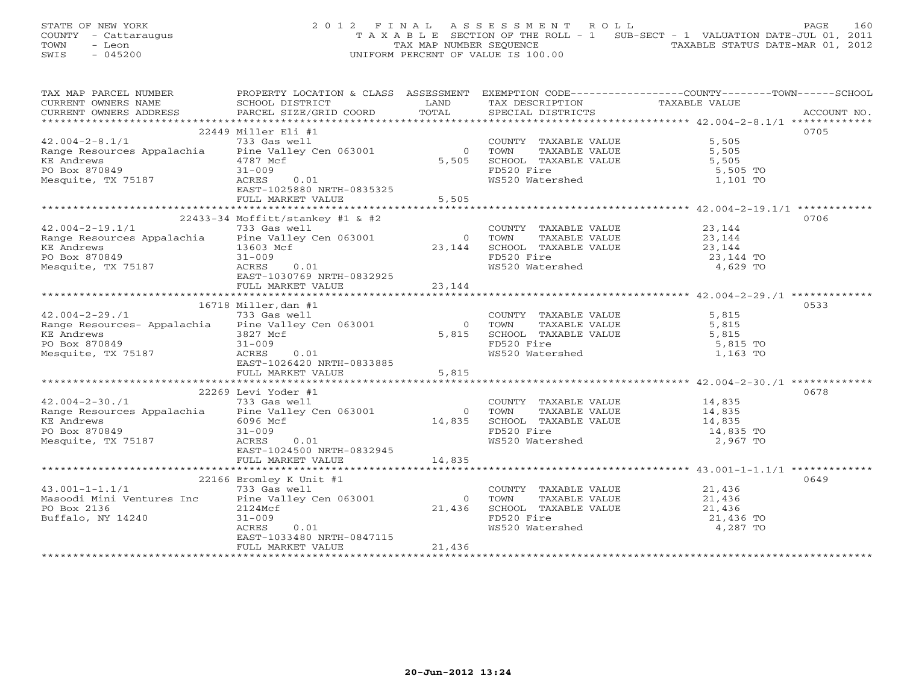STATE OF NEW YORK 2 0 1 2 F I N A L A S S E S S M E N T R O L L PAGE 160 COUNTY - Cattaraugus T A X A B L E SECTION OF THE ROLL - 1 SUB-SECT - 1 VALUATION DATE-JUL 01, 2011 TOWN - Leon  $\overline{2}$  - TAX MAP NUMBER SEQUENCE TAXABLE STATUS DATE-MAR 01, 2012<br>TRIS - 045200 SWIS - 045200 UNIFORM PERCENT OF VALUE IS 100.00

| TAX MAP PARCEL NUMBER                                                                                                                                                                                                                                                  | PROPERTY LOCATION & CLASS ASSESSMENT EXEMPTION CODE---------------COUNTY-------TOWN-----SCHOOL |                |                                                                                                        |               |             |
|------------------------------------------------------------------------------------------------------------------------------------------------------------------------------------------------------------------------------------------------------------------------|------------------------------------------------------------------------------------------------|----------------|--------------------------------------------------------------------------------------------------------|---------------|-------------|
|                                                                                                                                                                                                                                                                        |                                                                                                |                |                                                                                                        | TAXABLE VALUE |             |
|                                                                                                                                                                                                                                                                        |                                                                                                |                |                                                                                                        |               | ACCOUNT NO. |
|                                                                                                                                                                                                                                                                        |                                                                                                |                |                                                                                                        |               |             |
|                                                                                                                                                                                                                                                                        | 22449 Miller Eli #1                                                                            |                |                                                                                                        |               | 0705        |
| 42.004-2-8.1/1 733 Gas well<br>Range Resources Appalachia Pine Valley Cen 063001                                                                                                                                                                                       |                                                                                                |                | COUNTY TAXABLE VALUE 5,505<br>0 TOWN TAXABLE VALUE 5,505<br>5,505 SCHOOL TAXABLE VALUE 5,505           |               |             |
|                                                                                                                                                                                                                                                                        |                                                                                                |                |                                                                                                        |               |             |
|                                                                                                                                                                                                                                                                        |                                                                                                |                |                                                                                                        |               |             |
| KE Andrews<br>PO Box 870849                                                                                                                                                                                                                                            | $4787$ Mcf<br>$31 - 000$                                                                       |                |                                                                                                        |               |             |
| Mesquite, TX 75187                                                                                                                                                                                                                                                     | ACRES<br>0.01                                                                                  |                |                                                                                                        |               |             |
|                                                                                                                                                                                                                                                                        | EAST-1025880 NRTH-0835325                                                                      |                |                                                                                                        |               |             |
|                                                                                                                                                                                                                                                                        | FULL MARKET VALUE                                                                              | 5,505          |                                                                                                        |               |             |
|                                                                                                                                                                                                                                                                        |                                                                                                |                |                                                                                                        |               |             |
|                                                                                                                                                                                                                                                                        | $22433-34$ Moffitt/stankey #1 & #2                                                             |                |                                                                                                        |               | 0706        |
|                                                                                                                                                                                                                                                                        |                                                                                                |                |                                                                                                        |               |             |
|                                                                                                                                                                                                                                                                        |                                                                                                |                |                                                                                                        |               |             |
|                                                                                                                                                                                                                                                                        |                                                                                                |                |                                                                                                        |               |             |
|                                                                                                                                                                                                                                                                        |                                                                                                |                |                                                                                                        |               |             |
|                                                                                                                                                                                                                                                                        |                                                                                                |                |                                                                                                        |               |             |
|                                                                                                                                                                                                                                                                        | EAST-1030769 NRTH-0832925                                                                      |                |                                                                                                        |               |             |
|                                                                                                                                                                                                                                                                        |                                                                                                |                |                                                                                                        |               |             |
|                                                                                                                                                                                                                                                                        |                                                                                                |                |                                                                                                        |               |             |
|                                                                                                                                                                                                                                                                        | 16718 Miller, dan #1                                                                           |                |                                                                                                        |               | 0533        |
| $42.004 - 2 - 29.71$                                                                                                                                                                                                                                                   | 733 Gas well                                                                                   |                |                                                                                                        |               |             |
| 42.004-2-29./1 733 Gas well<br>Range Resources- Appalachia Pine Valley Cen 063001                                                                                                                                                                                      |                                                                                                | $\overline{0}$ | COUNTY TAXABLE VALUE 5,815<br>TOWN TAXABLE VALUE 5,815                                                 |               |             |
|                                                                                                                                                                                                                                                                        |                                                                                                | 5,815          |                                                                                                        |               |             |
|                                                                                                                                                                                                                                                                        |                                                                                                |                | SCHOOL TAXABLE VALUE 5,815<br>FD520 Fire 5,815 TO<br>WS520 Watershed 1,163 TO                          |               |             |
|                                                                                                                                                                                                                                                                        |                                                                                                |                |                                                                                                        |               |             |
|                                                                                                                                                                                                                                                                        |                                                                                                |                |                                                                                                        |               |             |
| Range Resources- Appurenting 3827 Mcf<br>KE Andrews 31-009<br>PO Box 870849 31-009<br>Mesquite, TX 75187 2007<br>Mesquite, TX 75187 2007<br>2007<br>2007<br>2007<br>2007<br>2007<br>2007<br>2007<br>2007<br>2008<br>2007<br>2008<br>2007<br>2008<br>2007<br>2008<br>20 |                                                                                                | 5,815          |                                                                                                        |               |             |
|                                                                                                                                                                                                                                                                        |                                                                                                |                |                                                                                                        |               |             |
|                                                                                                                                                                                                                                                                        | 22269 Levi Yoder #1                                                                            |                |                                                                                                        |               | 0678        |
| $42.004 - 2 - 30.71$                                                                                                                                                                                                                                                   | 733 Gas well                                                                                   |                | COUNTY TAXABLE VALUE 14,835                                                                            |               |             |
|                                                                                                                                                                                                                                                                        |                                                                                                | $\Omega$       |                                                                                                        |               |             |
| Range Resources Appalachia Pine Valley Cen 063001                                                                                                                                                                                                                      |                                                                                                | $0$<br>14,835  |                                                                                                        |               |             |
|                                                                                                                                                                                                                                                                        | 6096 Mcf                                                                                       |                |                                                                                                        |               |             |
| KE Andrews<br>PO Box 870849<br>Mesquite, TX 75187                                                                                                                                                                                                                      | $31 - 009$                                                                                     |                | TOWN TAXABLE VALUE<br>SCHOOL TAXABLE VALUE<br>FD520 Fire<br>WS520 Watershed<br>2,967 TO                |               |             |
|                                                                                                                                                                                                                                                                        | ACRES<br>0.01                                                                                  |                |                                                                                                        |               |             |
|                                                                                                                                                                                                                                                                        | EAST-1024500 NRTH-0832945<br>FULL MARKET VALUE 14,835                                          |                |                                                                                                        |               |             |
|                                                                                                                                                                                                                                                                        |                                                                                                |                |                                                                                                        |               |             |
|                                                                                                                                                                                                                                                                        |                                                                                                |                |                                                                                                        |               |             |
|                                                                                                                                                                                                                                                                        | 22166 Bromley K Unit #1                                                                        |                |                                                                                                        |               | 0649        |
|                                                                                                                                                                                                                                                                        |                                                                                                |                | COUNTY TAXABLE VALUE 21,436                                                                            |               |             |
| $43.001-1-1.1/1$ 733 Gas well<br>Masoodi Mini Ventures Inc Pine Valley Cen 063001<br>PO Box 2136 2124Mcf                                                                                                                                                               |                                                                                                | $\overline{0}$ | TOWN TAXABLE VALUE 21,436<br>SCHOOL TAXABLE VALUE 21,436<br>FD520 Fire 21,436<br>WS520 Watershed 4,287 |               |             |
|                                                                                                                                                                                                                                                                        |                                                                                                | 21,436         |                                                                                                        |               |             |
| Buffalo, NY 14240                                                                                                                                                                                                                                                      | $31 - 009$                                                                                     |                |                                                                                                        | 21,436 TO     |             |
|                                                                                                                                                                                                                                                                        | ACRES<br>0.01                                                                                  |                |                                                                                                        | 4,287 TO      |             |
|                                                                                                                                                                                                                                                                        | EAST-1033480 NRTH-0847115                                                                      |                |                                                                                                        |               |             |
|                                                                                                                                                                                                                                                                        | FULL MARKET VALUE                                                                              | 21,436         |                                                                                                        |               |             |
|                                                                                                                                                                                                                                                                        |                                                                                                |                |                                                                                                        |               |             |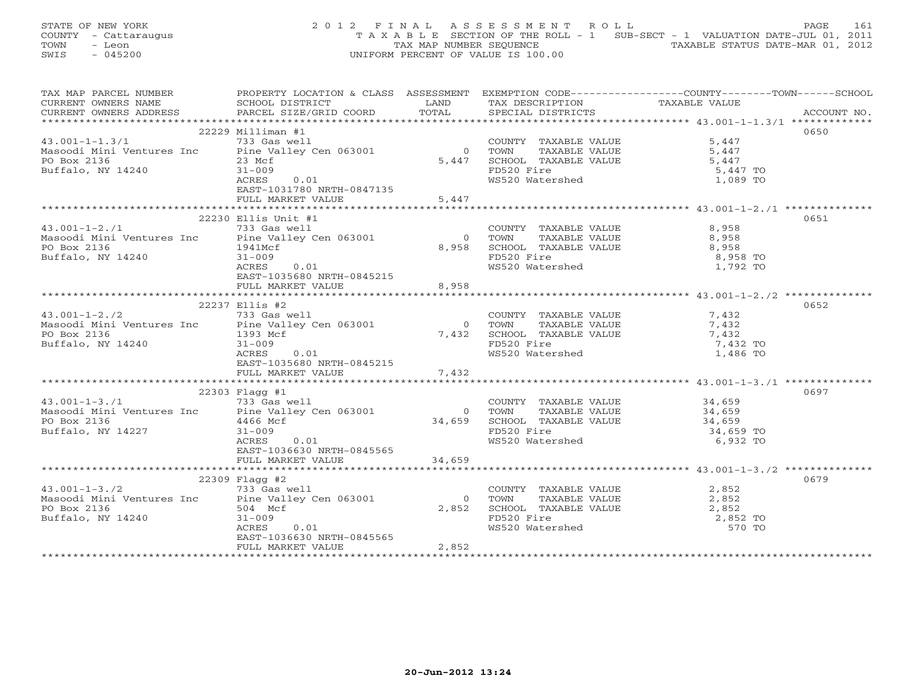STATE OF NEW YORK 2 0 1 2 F I N A L A S S E S S M E N T R O L L PAGE 161 COUNTY - Cattaraugus T A X A B L E SECTION OF THE ROLL - 1 SUB-SECT - 1 VALUATION DATE-JUL 01, 2011 TOWN - Leon  $\overline{2}$  - TAX MAP NUMBER SEQUENCE TAXABLE STATUS DATE-MAR 01, 2012<br>TRIS - 045200 SWIS - 045200 UNIFORM PERCENT OF VALUE IS 100.00

| TAX MAP PARCEL NUMBER                                                                                        |                             |            |                                                                                                                                                                                                                                                                                                                                                                                                                                                                                 | PROPERTY LOCATION & CLASS ASSESSMENT EXEMPTION CODE---------------COUNTY-------TOWN------SCHOOL |
|--------------------------------------------------------------------------------------------------------------|-----------------------------|------------|---------------------------------------------------------------------------------------------------------------------------------------------------------------------------------------------------------------------------------------------------------------------------------------------------------------------------------------------------------------------------------------------------------------------------------------------------------------------------------|-------------------------------------------------------------------------------------------------|
|                                                                                                              |                             |            |                                                                                                                                                                                                                                                                                                                                                                                                                                                                                 |                                                                                                 |
|                                                                                                              | 22229 Milliman #1           |            |                                                                                                                                                                                                                                                                                                                                                                                                                                                                                 | 0650                                                                                            |
| $\frac{2222}{133}$ $\frac{1111}{181}$ $\frac{122}{133}$ Gas well<br>Masoodi Mini Ventures Inc<br>DO Box 2136 |                             |            | COUNTY TAXABLE VALUE 5,447                                                                                                                                                                                                                                                                                                                                                                                                                                                      |                                                                                                 |
|                                                                                                              |                             | 0 TOWN     | $5,447$<br>$5,447$<br>$5,447$<br>$5,447$<br>$5,447$<br>$5,447$<br>$5,447$<br>$5,447$<br>$5,447$<br>$5,447$<br>$5,447$<br>$5,447$                                                                                                                                                                                                                                                                                                                                                |                                                                                                 |
| PO Box 2136                                                                                                  | 23 Mcf                      |            |                                                                                                                                                                                                                                                                                                                                                                                                                                                                                 |                                                                                                 |
| Buffalo, NY 14240 31-009                                                                                     |                             |            |                                                                                                                                                                                                                                                                                                                                                                                                                                                                                 | 5,447 TO                                                                                        |
|                                                                                                              | 0.01<br>ACRES               |            | WS520 Watershed                                                                                                                                                                                                                                                                                                                                                                                                                                                                 | 1,089 TO                                                                                        |
|                                                                                                              | EAST-1031780 NRTH-0847135   |            |                                                                                                                                                                                                                                                                                                                                                                                                                                                                                 |                                                                                                 |
|                                                                                                              | FULL MARKET VALUE           | 5,447      |                                                                                                                                                                                                                                                                                                                                                                                                                                                                                 |                                                                                                 |
|                                                                                                              | 22230 Ellis Unit #1         |            |                                                                                                                                                                                                                                                                                                                                                                                                                                                                                 | 0651                                                                                            |
| $43.001 - 1 - 2.71$                                                                                          | 733 Gas well                |            |                                                                                                                                                                                                                                                                                                                                                                                                                                                                                 |                                                                                                 |
|                                                                                                              |                             |            | COUNTY TAXABLE VALUE 8,958                                                                                                                                                                                                                                                                                                                                                                                                                                                      |                                                                                                 |
| Masoodi Mini Ventures Inc Pine Valley Cen 063001<br>PO Box 2136                                              | 1941Mcf                     |            | 0 TOWN TAXABLE VALUE $8,958$ SCHOOL TAXABLE VALUE $8,958$                                                                                                                                                                                                                                                                                                                                                                                                                       |                                                                                                 |
| Buffalo, NY 14240                                                                                            | $31 - 009$                  |            |                                                                                                                                                                                                                                                                                                                                                                                                                                                                                 | 8,958 TO                                                                                        |
|                                                                                                              | 0.01<br>ACRES               |            | FD520 Fire<br>WS520 Watershed                                                                                                                                                                                                                                                                                                                                                                                                                                                   | 1,792 TO                                                                                        |
|                                                                                                              | EAST-1035680 NRTH-0845215   |            |                                                                                                                                                                                                                                                                                                                                                                                                                                                                                 |                                                                                                 |
|                                                                                                              | FULL MARKET VALUE           | 8,958      |                                                                                                                                                                                                                                                                                                                                                                                                                                                                                 |                                                                                                 |
|                                                                                                              |                             |            |                                                                                                                                                                                                                                                                                                                                                                                                                                                                                 |                                                                                                 |
|                                                                                                              | 22237 Ellis #2              |            |                                                                                                                                                                                                                                                                                                                                                                                                                                                                                 | 0652                                                                                            |
|                                                                                                              |                             |            |                                                                                                                                                                                                                                                                                                                                                                                                                                                                                 |                                                                                                 |
|                                                                                                              |                             |            |                                                                                                                                                                                                                                                                                                                                                                                                                                                                                 |                                                                                                 |
| Masoodi Mini Ventures Inc 733 Gas well<br>Po Box 2136 1393 Mcf<br>Buffalo, NY 14240                          |                             |            | COUNTY TAXABLE VALUE 7,432<br>0 TOWN TAXABLE VALUE 7,432<br>7,432 SCHOOL TAXABLE VALUE 7,432<br>FD520 Fire 7,432 TO                                                                                                                                                                                                                                                                                                                                                             |                                                                                                 |
| Buffalo, NY 14240                                                                                            | $31 - 009$                  |            |                                                                                                                                                                                                                                                                                                                                                                                                                                                                                 |                                                                                                 |
|                                                                                                              | ACRES<br>0.01               |            | FD520 Fire<br>WS520 Watershed                                                                                                                                                                                                                                                                                                                                                                                                                                                   | 1,486 TO                                                                                        |
|                                                                                                              | EAST-1035680 NRTH-0845215   |            |                                                                                                                                                                                                                                                                                                                                                                                                                                                                                 |                                                                                                 |
|                                                                                                              | FULL MARKET VALUE           | 7,432      |                                                                                                                                                                                                                                                                                                                                                                                                                                                                                 |                                                                                                 |
|                                                                                                              |                             |            |                                                                                                                                                                                                                                                                                                                                                                                                                                                                                 |                                                                                                 |
|                                                                                                              | 22303 Flagg #1              |            |                                                                                                                                                                                                                                                                                                                                                                                                                                                                                 | 0697                                                                                            |
| 733 Gas well                                                                                                 |                             |            |                                                                                                                                                                                                                                                                                                                                                                                                                                                                                 |                                                                                                 |
| $43.001-1-3.71$<br>Masoodi Mini Ventures Inc<br>Pine Valley Cen 063001<br>Po Box 2136                        |                             | 0 TOWN     | $\begin{tabular}{llllll} \multicolumn{2}{c}{\textbf{COUNTY}} & \multicolumn{2}{c}{\textbf{TAXABLE VALUE}} & \multicolumn{2}{c}{\textbf{S4,659}} \\ \multicolumn{2}{c}{\textbf{TOWN}} & \multicolumn{2}{c}{\textbf{TAXABLE VALUE}} & \multicolumn{2}{c}{\textbf{S4,659}} \\ \multicolumn{2}{c}{\textbf{TOWN}} & \multicolumn{2}{c}{\textbf{TAXABLE VALUE}} & \multicolumn{2}{c}{\textbf{S4,659}} \\ \multicolumn{2}{c}{\textbf{S1}} & \multicolumn{2}{c}{\textbf{S2}} & \multic$ |                                                                                                 |
| PO Box 2136                                                                                                  | 4466 Mcf                    |            |                                                                                                                                                                                                                                                                                                                                                                                                                                                                                 |                                                                                                 |
| Buffalo, NY 14227                                                                                            | $31 - 009$                  |            | 34,659 SCHOOL TAXABLE VALUE 34,659<br>FD520 Fire 34,659 TO 7520 Fire 34,659 TO<br>WS520 Watershed 6,932 TO                                                                                                                                                                                                                                                                                                                                                                      |                                                                                                 |
|                                                                                                              | ACRES<br>0.01               |            |                                                                                                                                                                                                                                                                                                                                                                                                                                                                                 |                                                                                                 |
|                                                                                                              | EAST-1036630 NRTH-0845565   |            |                                                                                                                                                                                                                                                                                                                                                                                                                                                                                 |                                                                                                 |
|                                                                                                              |                             |            |                                                                                                                                                                                                                                                                                                                                                                                                                                                                                 |                                                                                                 |
|                                                                                                              |                             |            |                                                                                                                                                                                                                                                                                                                                                                                                                                                                                 |                                                                                                 |
|                                                                                                              | 22309 Flagg #2              |            |                                                                                                                                                                                                                                                                                                                                                                                                                                                                                 | 0679                                                                                            |
| $43.001 - 1 - 3.72$                                                                                          | 733 Gas well                |            | COUNTY TAXABLE VALUE                                                                                                                                                                                                                                                                                                                                                                                                                                                            | 2,852                                                                                           |
| Masoodi Mini Ventures Inc Pine Valley Cen 063001                                                             |                             | $\bigcirc$ |                                                                                                                                                                                                                                                                                                                                                                                                                                                                                 |                                                                                                 |
| PO Box 2136                                                                                                  | 504 Mcf                     | 2,852      | TOWN TAXABLE VALUE<br>SCHOOL TAXABLE VALUE<br>FD520 Fire<br>WS520 Watershed<br>TOWS520 Watershed<br>TOWS520 Watershed<br>TOWS520 Watershed<br>TOWS520 Watershed<br>TOWS520 Watershed<br>TOWS520 Watershed<br>TOWS620 2,852 TOWS620 2010                                                                                                                                                                                                                                         |                                                                                                 |
| Buffalo, NY 14240                                                                                            | $31 - 009$<br>ACRES<br>0.01 |            |                                                                                                                                                                                                                                                                                                                                                                                                                                                                                 |                                                                                                 |
|                                                                                                              | EAST-1036630 NRTH-0845565   |            |                                                                                                                                                                                                                                                                                                                                                                                                                                                                                 |                                                                                                 |
|                                                                                                              | FULL MARKET VALUE           | 2,852      |                                                                                                                                                                                                                                                                                                                                                                                                                                                                                 |                                                                                                 |
|                                                                                                              |                             |            |                                                                                                                                                                                                                                                                                                                                                                                                                                                                                 |                                                                                                 |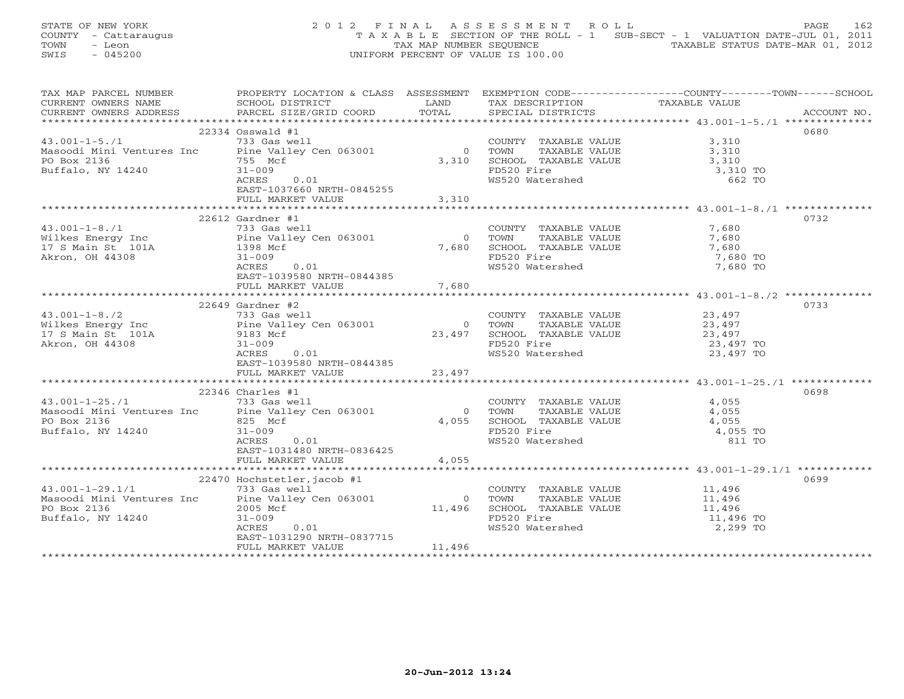STATE OF NEW YORK 2012 FINAL ASSESSMENT ROLL PAGE 162 COUNTY - Cattaraugus T A X A B L E SECTION OF THE ROLL - 1 SUB-SECT - 1 VALUATION DATE-JUL 01, 2011 TOWN - Leon  $\overline{2}$  - TAX MAP NUMBER SEQUENCE TAXABLE STATUS DATE-MAR 01, 2012<br>TRIS - 045200 SWIS - 045200 UNIFORM PERCENT OF VALUE IS 100.00

| TAX MAP PARCEL NUMBER                                                                                                                                                                                                                                                  | PROPERTY LOCATION & CLASS ASSESSMENT EXEMPTION CODE-----------------COUNTY-------TOWN------SCHOOL |                |                                                                                                                                                                                                                                                                                                                                                                      |                     |      |
|------------------------------------------------------------------------------------------------------------------------------------------------------------------------------------------------------------------------------------------------------------------------|---------------------------------------------------------------------------------------------------|----------------|----------------------------------------------------------------------------------------------------------------------------------------------------------------------------------------------------------------------------------------------------------------------------------------------------------------------------------------------------------------------|---------------------|------|
|                                                                                                                                                                                                                                                                        |                                                                                                   |                |                                                                                                                                                                                                                                                                                                                                                                      | TAXABLE VALUE       |      |
|                                                                                                                                                                                                                                                                        |                                                                                                   |                |                                                                                                                                                                                                                                                                                                                                                                      |                     |      |
|                                                                                                                                                                                                                                                                        |                                                                                                   |                |                                                                                                                                                                                                                                                                                                                                                                      |                     |      |
|                                                                                                                                                                                                                                                                        | 22334 Osswald #1                                                                                  |                |                                                                                                                                                                                                                                                                                                                                                                      |                     | 0680 |
| $\begin{tabular}{ll} \texttt{1} & \texttt{2} & \texttt{2} & \texttt{3} & \texttt{4} & \texttt{4} \\ \texttt{Masoodi Mini Ventures Inc} & 733 Gas well \\ \texttt{PO Box 2136} & \texttt{P0 Box 2136} & 755 Mcf \\ \texttt{Buffalo, NY 14240} & 31-009 & \end{tabular}$ |                                                                                                   |                | COUNTY TAXABLE VALUE 3,310<br>0 TOWN TAXABLE VALUE 3,310<br>3,310 SCHOOL TAXABLE VALUE 3,310                                                                                                                                                                                                                                                                         |                     |      |
|                                                                                                                                                                                                                                                                        |                                                                                                   |                |                                                                                                                                                                                                                                                                                                                                                                      |                     |      |
|                                                                                                                                                                                                                                                                        |                                                                                                   |                |                                                                                                                                                                                                                                                                                                                                                                      |                     |      |
|                                                                                                                                                                                                                                                                        |                                                                                                   |                |                                                                                                                                                                                                                                                                                                                                                                      | 3,310 TO            |      |
|                                                                                                                                                                                                                                                                        |                                                                                                   |                | FD520 Fire<br>WS520 Watershed                                                                                                                                                                                                                                                                                                                                        | 662 TO              |      |
|                                                                                                                                                                                                                                                                        | EAST-1037660 NRTH-0845255                                                                         |                |                                                                                                                                                                                                                                                                                                                                                                      |                     |      |
|                                                                                                                                                                                                                                                                        | FULL MARKET VALUE                                                                                 | 3,310          |                                                                                                                                                                                                                                                                                                                                                                      |                     |      |
|                                                                                                                                                                                                                                                                        |                                                                                                   |                |                                                                                                                                                                                                                                                                                                                                                                      |                     |      |
|                                                                                                                                                                                                                                                                        | $22612$ Gardner #1                                                                                |                |                                                                                                                                                                                                                                                                                                                                                                      |                     | 0732 |
|                                                                                                                                                                                                                                                                        |                                                                                                   |                |                                                                                                                                                                                                                                                                                                                                                                      |                     |      |
|                                                                                                                                                                                                                                                                        |                                                                                                   |                | COUNTY TAXABLE VALUE 7,680<br>0 TOWN TAXABLE VALUE 7,680<br>7,680 SCHOOL TAXABLE VALUE 7,680<br>FD520 Fire 7,680 TO                                                                                                                                                                                                                                                  |                     |      |
|                                                                                                                                                                                                                                                                        |                                                                                                   |                |                                                                                                                                                                                                                                                                                                                                                                      |                     |      |
|                                                                                                                                                                                                                                                                        |                                                                                                   |                |                                                                                                                                                                                                                                                                                                                                                                      |                     |      |
|                                                                                                                                                                                                                                                                        |                                                                                                   |                | FD520 Fire<br>WS520 Watershed 1,680 TO 7,680 TO                                                                                                                                                                                                                                                                                                                      |                     |      |
|                                                                                                                                                                                                                                                                        | 0.01<br>ACRES                                                                                     |                |                                                                                                                                                                                                                                                                                                                                                                      |                     |      |
|                                                                                                                                                                                                                                                                        | EAST-1039580 NRTH-0844385                                                                         |                |                                                                                                                                                                                                                                                                                                                                                                      |                     |      |
|                                                                                                                                                                                                                                                                        | FULL MARKET VALUE                                                                                 | 7,680          |                                                                                                                                                                                                                                                                                                                                                                      |                     |      |
|                                                                                                                                                                                                                                                                        |                                                                                                   |                |                                                                                                                                                                                                                                                                                                                                                                      |                     |      |
|                                                                                                                                                                                                                                                                        | $22649$ Gardner #2                                                                                |                |                                                                                                                                                                                                                                                                                                                                                                      |                     | 0733 |
| 43.001-1-8./2 733 Gas well<br>Wilkes Energy Inc 5. Pine Valley Cen 063001                                                                                                                                                                                              |                                                                                                   |                | COUNTY TAXABLE VALUE 23,497                                                                                                                                                                                                                                                                                                                                          |                     |      |
|                                                                                                                                                                                                                                                                        |                                                                                                   |                |                                                                                                                                                                                                                                                                                                                                                                      |                     |      |
|                                                                                                                                                                                                                                                                        |                                                                                                   |                |                                                                                                                                                                                                                                                                                                                                                                      |                     |      |
| 17 S Main St 101A<br>Akron, OH 44308 31-009                                                                                                                                                                                                                            |                                                                                                   |                | 0 TOWN TAXABLE VALUE 23, 497<br>23, 497 SCHOOL TAXABLE VALUE 23, 497<br>FD520 Fire 23, 497<br>WS520 Watershed 23, 497 TO                                                                                                                                                                                                                                             |                     |      |
|                                                                                                                                                                                                                                                                        | 0.01<br>ACRES                                                                                     |                |                                                                                                                                                                                                                                                                                                                                                                      |                     |      |
|                                                                                                                                                                                                                                                                        | EAST-1039580 NRTH-0844385                                                                         |                |                                                                                                                                                                                                                                                                                                                                                                      |                     |      |
|                                                                                                                                                                                                                                                                        | FULL MARKET VALUE 23,497                                                                          |                |                                                                                                                                                                                                                                                                                                                                                                      |                     |      |
|                                                                                                                                                                                                                                                                        |                                                                                                   |                |                                                                                                                                                                                                                                                                                                                                                                      |                     |      |
|                                                                                                                                                                                                                                                                        | $22346$ Charles #1                                                                                |                |                                                                                                                                                                                                                                                                                                                                                                      |                     | 0698 |
| $43.001 - 1 - 25. / 1$ 733 Gas well                                                                                                                                                                                                                                    |                                                                                                   |                | COUNTY TAXABLE VALUE                                                                                                                                                                                                                                                                                                                                                 | 4,055               |      |
|                                                                                                                                                                                                                                                                        |                                                                                                   | $\overline{0}$ | TOWN                                                                                                                                                                                                                                                                                                                                                                 | TAXABLE VALUE 4,055 |      |
| Masoodi Mini Ventures Inc Pine Valley Cen 063001<br>PO Box 2136                                                                                                                                                                                                        | 825 Mcf                                                                                           |                |                                                                                                                                                                                                                                                                                                                                                                      |                     |      |
| Buffalo, NY 14240                                                                                                                                                                                                                                                      | $31 - 009$                                                                                        |                |                                                                                                                                                                                                                                                                                                                                                                      |                     |      |
|                                                                                                                                                                                                                                                                        | ACRES 0.01                                                                                        |                | 4,055 SCHOOL TAXABLE VALUE 4,055<br>FD520 Fire 4,055 TO<br>WS520 Watershed 811 TO                                                                                                                                                                                                                                                                                    |                     |      |
|                                                                                                                                                                                                                                                                        |                                                                                                   |                |                                                                                                                                                                                                                                                                                                                                                                      |                     |      |
|                                                                                                                                                                                                                                                                        | EAST-1031480 NRTH-0836425                                                                         |                |                                                                                                                                                                                                                                                                                                                                                                      |                     |      |
|                                                                                                                                                                                                                                                                        | FULL MARKET VALUE                                                                                 | 4,055          |                                                                                                                                                                                                                                                                                                                                                                      |                     |      |
|                                                                                                                                                                                                                                                                        |                                                                                                   |                |                                                                                                                                                                                                                                                                                                                                                                      |                     |      |
|                                                                                                                                                                                                                                                                        | 22470 Hochstetler, jacob #1                                                                       |                |                                                                                                                                                                                                                                                                                                                                                                      |                     | 0699 |
|                                                                                                                                                                                                                                                                        |                                                                                                   |                | COUNTY TAXABLE VALUE 11,496                                                                                                                                                                                                                                                                                                                                          |                     |      |
| $43.001-1-29.1/1$ $733$ Gas well<br>Masoodi Mini Ventures Inc Pine Valley Cen 063001                                                                                                                                                                                   |                                                                                                   |                |                                                                                                                                                                                                                                                                                                                                                                      |                     |      |
| PO Box 2136                                                                                                                                                                                                                                                            | 2005 Mcf                                                                                          |                |                                                                                                                                                                                                                                                                                                                                                                      |                     |      |
| Buffalo, NY 14240                                                                                                                                                                                                                                                      | $31 - 009$                                                                                        |                | $11,496 \begin{array}{l} \text{TOWN} \end{array} \begin{array}{l} \text{TAXABLE VALUE} \\ \text{SCHOOL} \end{array} \begin{array}{l} \text{TAXABLE VALUE} \\ \text{TLUED} \\ \text{TADE} \\ \text{L1,496} \\ \text{FDS20\tspace R} \end{array} \begin{array}{l} \text{TAXABLE VALUE} \\ \text{TLUED} \\ \text{L1,496} \\ \text{L1,496} \\ \text{L2,299} \end{array}$ |                     |      |
|                                                                                                                                                                                                                                                                        | ACRES<br>0.01                                                                                     |                |                                                                                                                                                                                                                                                                                                                                                                      |                     |      |
|                                                                                                                                                                                                                                                                        | EAST-1031290 NRTH-0837715                                                                         |                |                                                                                                                                                                                                                                                                                                                                                                      |                     |      |
|                                                                                                                                                                                                                                                                        | FULL MARKET VALUE                                                                                 | 11,496         |                                                                                                                                                                                                                                                                                                                                                                      |                     |      |
|                                                                                                                                                                                                                                                                        |                                                                                                   |                |                                                                                                                                                                                                                                                                                                                                                                      |                     |      |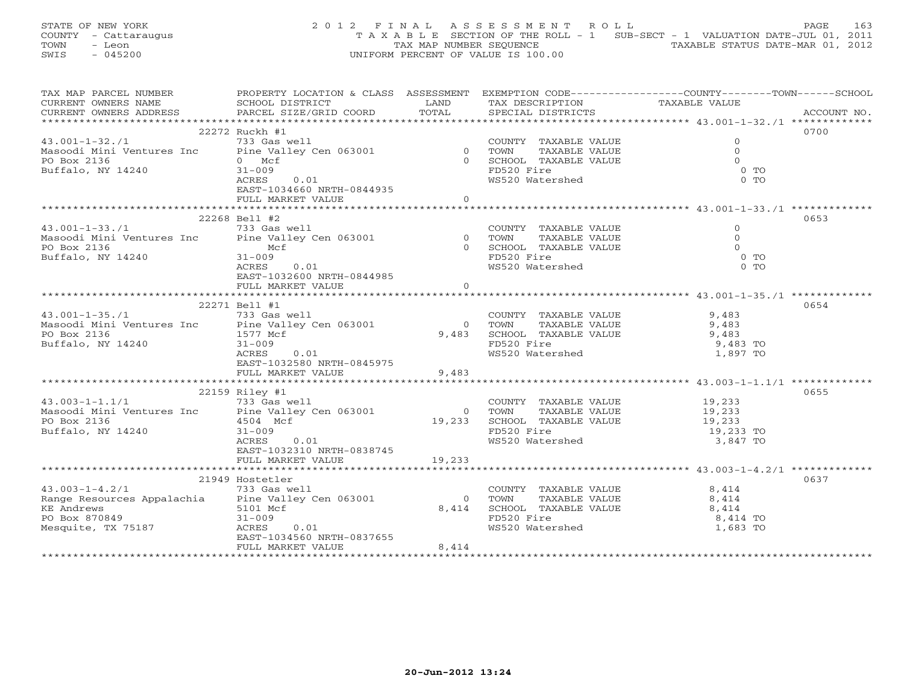STATE OF NEW YORK 2012 FINAL ASSESSMENT ROLL PAGE 163 COUNTY - Cattaraugus T A X A B L E SECTION OF THE ROLL - 1 SUB-SECT - 1 VALUATION DATE-JUL 01, 2011 TOWN - Leon  $\overline{2}$  - TAX MAP NUMBER SEQUENCE TAXABLE STATUS DATE-MAR 01, 2012<br>TRIS - 045200 SWIS - 045200 UNIFORM PERCENT OF VALUE IS 100.00

| TAX MAP PARCEL NUMBER                                                                                                                                                                                                                | PROPERTY LOCATION & CLASS ASSESSMENT EXEMPTION CODE---------------COUNTY-------TOWN------SCHOOL |                |                                                            |                                               |             |
|--------------------------------------------------------------------------------------------------------------------------------------------------------------------------------------------------------------------------------------|-------------------------------------------------------------------------------------------------|----------------|------------------------------------------------------------|-----------------------------------------------|-------------|
| CURRENT OWNERS NAME SCHOOL DISTRICT LAND CURRENT OWNERS ADDRESS PARCEL SIZE/GRID COORD TOTAL                                                                                                                                         |                                                                                                 |                | TAX DESCRIPTION                                            | TAXABLE VALUE                                 |             |
|                                                                                                                                                                                                                                      |                                                                                                 |                | SPECIAL DISTRICTS                                          |                                               | ACCOUNT NO. |
|                                                                                                                                                                                                                                      |                                                                                                 |                |                                                            |                                               |             |
|                                                                                                                                                                                                                                      |                                                                                                 |                |                                                            |                                               | 0700        |
|                                                                                                                                                                                                                                      |                                                                                                 |                | COUNTY TAXABLE VALUE                                       | $\mathbf{0}$                                  |             |
|                                                                                                                                                                                                                                      |                                                                                                 |                | TAXABLE VALUE                                              | $\circ$                                       |             |
|                                                                                                                                                                                                                                      |                                                                                                 |                | 0 SCHOOL TAXABLE VALUE                                     |                                               |             |
|                                                                                                                                                                                                                                      |                                                                                                 |                | FD520 Fire                                                 | $\begin{array}{c} 0 \\ 0 \\ 0 \end{array}$ TO |             |
|                                                                                                                                                                                                                                      | ACRES<br>0.01                                                                                   |                | WS520 Watershed                                            | $0$ TO                                        |             |
|                                                                                                                                                                                                                                      |                                                                                                 |                |                                                            |                                               |             |
|                                                                                                                                                                                                                                      | EAST-1034660 NRTH-0844935<br>FULL MARKET VALUE 60                                               |                |                                                            |                                               |             |
|                                                                                                                                                                                                                                      |                                                                                                 |                |                                                            |                                               |             |
|                                                                                                                                                                                                                                      |                                                                                                 |                |                                                            |                                               |             |
|                                                                                                                                                                                                                                      | 22268 Bell #2                                                                                   |                |                                                            |                                               | 0653        |
|                                                                                                                                                                                                                                      |                                                                                                 |                | COUNTY TAXABLE VALUE                                       | $\mathbf{0}$                                  |             |
|                                                                                                                                                                                                                                      |                                                                                                 |                | TAXABLE VALUE                                              | $\Omega$                                      |             |
| COUNT<br>Masoodi Mini Ventures Inc (211ey Cen 063001)<br>PO Box 2136 Hotel (211ey Cen 063001)<br>Mustum Mustum Mustum Mustum Mustum Mustum Mustum Mustum Mustum Mustum Mustum Mustum Mustum Mustum Mustum Mustum Mustum Mustum Mustu |                                                                                                 |                | 0 SCHOOL TAXABLE VALUE                                     | $\bigcap$                                     |             |
| Buffalo, NY 14240                                                                                                                                                                                                                    | $31 - 009$                                                                                      |                | FD520 Fire                                                 | $\overline{O}$ TO                             |             |
|                                                                                                                                                                                                                                      | 0.01<br>ACRES                                                                                   |                | WS520 Watershed                                            | $0$ TO                                        |             |
|                                                                                                                                                                                                                                      | EAST-1032600 NRTH-0844985                                                                       |                |                                                            |                                               |             |
|                                                                                                                                                                                                                                      | FULL MARKET VALUE                                                                               | $\overline{0}$ |                                                            |                                               |             |
|                                                                                                                                                                                                                                      |                                                                                                 |                |                                                            |                                               |             |
|                                                                                                                                                                                                                                      | 22271 Bell #1                                                                                   |                |                                                            |                                               | 0654        |
| 43.001-1-35./1 733 Gas well                                                                                                                                                                                                          |                                                                                                 |                |                                                            |                                               |             |
|                                                                                                                                                                                                                                      |                                                                                                 | $\bigcirc$     | COUNTY TAXABLE VALUE 9,483<br>TOWN TAXABLE VALUE 9,483     |                                               |             |
| A3.001-1-33.71<br>Masoodi Mini Ventures Inc Pine Valley Cen 063001<br>PO Box 2136 1577 Mcf                                                                                                                                           |                                                                                                 |                |                                                            |                                               |             |
| Buffalo, NY 14240                                                                                                                                                                                                                    | $31 - 009$                                                                                      |                | 9,483 SCHOOL TAXABLE VALUE 9,483 TO<br>FD520 Fire 9,483 TO |                                               |             |
|                                                                                                                                                                                                                                      | ACRES<br>0.01                                                                                   |                | WS520 Watershed                                            | 1,897 TO                                      |             |
|                                                                                                                                                                                                                                      | EAST-1032580 NRTH-0845975                                                                       |                |                                                            |                                               |             |
|                                                                                                                                                                                                                                      |                                                                                                 |                |                                                            |                                               |             |
|                                                                                                                                                                                                                                      | FULL MARKET VALUE                                                                               | 9,483          |                                                            |                                               |             |
|                                                                                                                                                                                                                                      |                                                                                                 |                |                                                            |                                               |             |
|                                                                                                                                                                                                                                      | 22159 Riley #1                                                                                  |                |                                                            |                                               | 0655        |
| 43.003-1-1.1/1 733 Gas well                                                                                                                                                                                                          |                                                                                                 |                | COUNTY TAXABLE VALUE 19,233                                |                                               |             |
| Masoodi Mini Ventures Inc Pine Valley Cen 063001                                                                                                                                                                                     |                                                                                                 | $\overline{0}$ | TAXABLE VALUE 19,233<br>TAXABLE VALUE 19,233<br>TOWN       |                                               |             |
| PO Box 2136                                                                                                                                                                                                                          | 4504 Mcf                                                                                        |                |                                                            |                                               |             |
| Buffalo, NY 14240                                                                                                                                                                                                                    | $31 - 009$                                                                                      |                | 19,233 SCHOOL TAXABLE VALUE<br>FD520 Fire                  | 19,233 TO                                     |             |
|                                                                                                                                                                                                                                      | ACRES<br>0.01                                                                                   |                | WS520 Watershed                                            | 3,847 TO                                      |             |
|                                                                                                                                                                                                                                      | EAST-1032310 NRTH-0838745                                                                       |                |                                                            |                                               |             |
|                                                                                                                                                                                                                                      | FULL MARKET VALUE                                                                               | 19,233         |                                                            |                                               |             |
|                                                                                                                                                                                                                                      |                                                                                                 |                |                                                            |                                               |             |
|                                                                                                                                                                                                                                      | 21949 Hostetler                                                                                 |                |                                                            |                                               | 0637        |
| $43.003 - 1 - 4.2/1$                                                                                                                                                                                                                 | 733 Gas well                                                                                    |                | COUNTY TAXABLE VALUE                                       | 8,414                                         |             |
| Range Resources Appalachia Pine Valley Cen 063001                                                                                                                                                                                    |                                                                                                 | $\bigcirc$     | TAXABLE VALUE<br>TOWN                                      | 8,414                                         |             |
| KE Andrews                                                                                                                                                                                                                           | 5101 Mcf                                                                                        | 8,414          | TUWN 11MARCHOOL TAXABLE VALUE                              | 8,414                                         |             |
|                                                                                                                                                                                                                                      | $31 - 009$                                                                                      |                |                                                            | 8,414 TO                                      |             |
| PO Box 870849<br>Mesquite, TX 75187                                                                                                                                                                                                  | 0.01<br>ACRES                                                                                   |                | FD520 Fire<br>WS520 Watershed                              | 1,683 TO                                      |             |
|                                                                                                                                                                                                                                      | EAST-1034560 NRTH-0837655                                                                       |                |                                                            |                                               |             |
|                                                                                                                                                                                                                                      |                                                                                                 | 8,414          |                                                            |                                               |             |
|                                                                                                                                                                                                                                      | FULL MARKET VALUE                                                                               |                |                                                            |                                               |             |
|                                                                                                                                                                                                                                      |                                                                                                 |                |                                                            |                                               |             |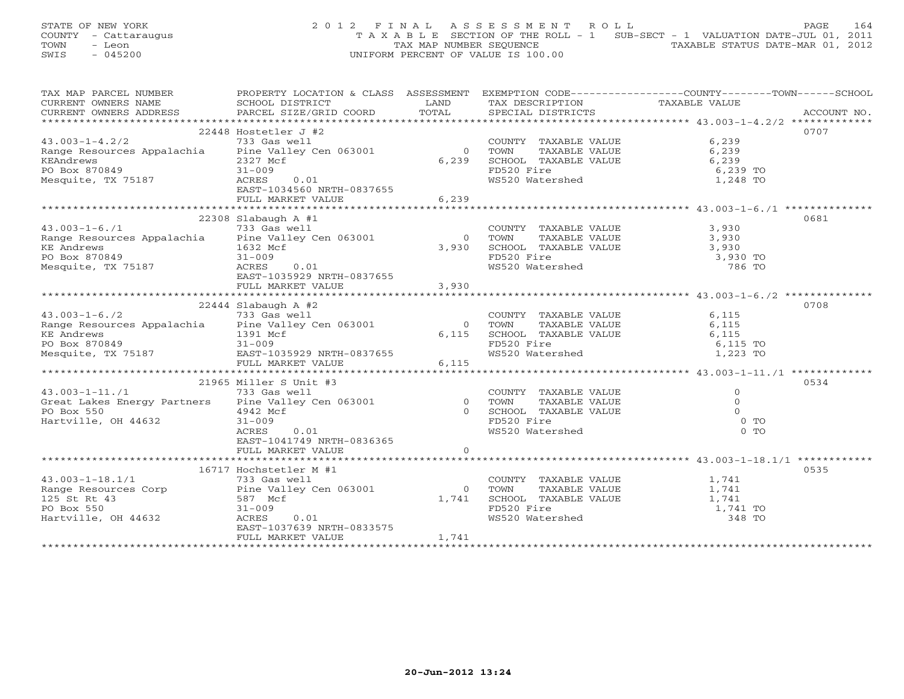STATE OF NEW YORK 2 0 1 2 F I N A L A S S E S S M E N T R O L L PAGE 164 COUNTY - Cattaraugus T A X A B L E SECTION OF THE ROLL - 1 SUB-SECT - 1 VALUATION DATE-JUL 01, 2011 TOWN - Leon TAX MAP NUMBER SEQUENCE TAXABLE STATUS DATE-MAR 01, 2012 SWIS - 045200 UNIFORM PERCENT OF VALUE IS 100.00

| TAX MAP PARCEL NUMBER                                                                                                                                              | PROPERTY LOCATION & CLASS ASSESSMENT EXEMPTION CODE---------------COUNTY-------TOWN------SCHOOL |                |                                                                                   |                     |      |
|--------------------------------------------------------------------------------------------------------------------------------------------------------------------|-------------------------------------------------------------------------------------------------|----------------|-----------------------------------------------------------------------------------|---------------------|------|
| CURRENT OWNERS NAME                                                                                                                                                | SCHOOL DISTRICT                                                                                 | <b>LAND</b>    | TAX DESCRIPTION                                                                   | TAXABLE VALUE       |      |
|                                                                                                                                                                    |                                                                                                 |                |                                                                                   |                     |      |
|                                                                                                                                                                    |                                                                                                 |                |                                                                                   |                     |      |
| $22448 Hostetler J #243.003-1-4.2/2 733 Gas wellRange Resources Appalachia  Pine Valley Cen 063001$                                                                |                                                                                                 |                |                                                                                   |                     | 0707 |
|                                                                                                                                                                    |                                                                                                 |                | COUNTY TAXABLE VALUE 6,239                                                        |                     |      |
|                                                                                                                                                                    |                                                                                                 | $\overline{0}$ | TAXABLE VALUE<br>TOWN                                                             | 6,239               |      |
| KEAndrews                                                                                                                                                          | 2327 Mcf                                                                                        | 6,239          | SCHOOL TAXABLE VALUE                                                              | 6,239               |      |
| PO Box 870849                                                                                                                                                      |                                                                                                 |                | FD520 Fire                                                                        | 6,239 TO            |      |
| Mesquite, TX 75187                                                                                                                                                 | 0.01                                                                                            |                | WS520 Watershed                                                                   | 1,248 TO            |      |
|                                                                                                                                                                    | EAST-1034560 NRTH-0837655                                                                       |                |                                                                                   |                     |      |
|                                                                                                                                                                    |                                                                                                 |                |                                                                                   |                     |      |
|                                                                                                                                                                    |                                                                                                 |                |                                                                                   |                     |      |
|                                                                                                                                                                    | $22308$ Slabaugh A #1                                                                           |                |                                                                                   |                     | 0681 |
| 22308 Slabaugh A #1<br>43.003-1-6./1 733 Gas well<br>Range Resources Appalachia Pine Valley Cen 063001                                                             |                                                                                                 |                | COUNTY TAXABLE VALUE 3,930                                                        |                     |      |
|                                                                                                                                                                    |                                                                                                 |                | 0 TOWN                                                                            | TAXABLE VALUE 3,930 |      |
| KE Andrews<br>PO Box 870849                                                                                                                                        | 1632 Mcf                                                                                        |                |                                                                                   |                     |      |
|                                                                                                                                                                    | $\begin{array}{c} \mathsf{cf} \ \end{array}$ 0.01<br>$31 - 009$                                 |                | 0 TOWN TAXABLE VALUE 3,930 TO 3,930 TO                                            |                     |      |
| Mesquite, TX 75187                                                                                                                                                 | ACRES                                                                                           |                | WS520 Watershed                                                                   | 786 TO              |      |
|                                                                                                                                                                    | EAST-1035929 NRTH-0837655                                                                       |                |                                                                                   |                     |      |
|                                                                                                                                                                    |                                                                                                 |                |                                                                                   |                     |      |
|                                                                                                                                                                    |                                                                                                 |                |                                                                                   |                     |      |
| 22444 Slabaugh A #2<br>43.003-1-6./2 733 Gas well<br>Range Resources Appalachia Pine Valley Cen 063001                                                             | $22444$ Slabaugh A #2                                                                           |                |                                                                                   |                     | 0708 |
|                                                                                                                                                                    |                                                                                                 |                | COUNTY TAXABLE VALUE                                                              | 6,115               |      |
|                                                                                                                                                                    |                                                                                                 |                | 0 TOWN TAXABLE VALUE<br>6,115 SCHOOL TAXABLE VALUE                                | 6,115               |      |
| KE Andrews 1391 Month 1391 Month 1391 Month 1391 Month 1391 Month 1391 Month 1391 Month 1391 Month 1392 Month 1                                                    | 1391 Mcf                                                                                        |                |                                                                                   | 6,115               |      |
|                                                                                                                                                                    |                                                                                                 |                | FD520 Fire<br>FD520 Fire 6,115 TO<br>WS520 Watershed 1,223 TO                     | 6,115 TO            |      |
| Mesquite, TX 75187                                                                                                                                                 | EAST-1035929 NRTH-0837655                                                                       |                |                                                                                   |                     |      |
|                                                                                                                                                                    | FULL MARKET VALUE                                                                               | 6,115          |                                                                                   |                     |      |
|                                                                                                                                                                    |                                                                                                 |                |                                                                                   |                     |      |
|                                                                                                                                                                    | 21965 Miller S Unit #3                                                                          |                |                                                                                   |                     | 0534 |
| $43.003 - 1 - 11.71$                                                                                                                                               | 733 Gas well                                                                                    |                |                                                                                   | $\Omega$            |      |
| COUNT (1991)<br>Great Lakes Energy Partners (1994)<br>PO Box 550 (1994)<br>Hartville, OH 44632 (1994)<br>COUNT PO Box 550 (1994)<br>21-009 (1994)<br>21-009 (1995) |                                                                                                 |                | COUNTY TAXABLE VALUE<br>TOWN TAXABLE VALUE<br>COUOOL TAVABLE VALUE                | $\overline{0}$      |      |
|                                                                                                                                                                    |                                                                                                 |                | 0 SCHOOL TAXABLE VALUE                                                            | $\Omega$            |      |
| Hartville, OH 44632                                                                                                                                                |                                                                                                 |                | FD520 Fire<br>WS520 Watershed                                                     | $0$ TO              |      |
|                                                                                                                                                                    | 0.01<br>ACRES                                                                                   |                |                                                                                   | $0$ TO              |      |
|                                                                                                                                                                    | EAST-1041749 NRTH-0836365                                                                       |                |                                                                                   |                     |      |
|                                                                                                                                                                    |                                                                                                 |                |                                                                                   |                     |      |
|                                                                                                                                                                    |                                                                                                 |                |                                                                                   |                     |      |
|                                                                                                                                                                    | 16717 Hochstetler M #1                                                                          |                |                                                                                   |                     | 0535 |
| $43.003 - 1 - 18.1/1$                                                                                                                                              | 733 Gas well                                                                                    |                | COUNTY TAXABLE VALUE                                                              | 1,741               |      |
| Range Resources Corp Pine Valley Cen 063001                                                                                                                        |                                                                                                 | $\overline{0}$ | TOWN                                                                              | TAXABLE VALUE 1,741 |      |
| 125 St Rt 43                                                                                                                                                       | 587 Mcf                                                                                         | 1,741          | SCHOOL TAXABLE VALUE $1,741$<br>FD520 Fire $1,741$ TO<br>WS520 Watershed $348$ TO |                     |      |
| PO Box 550                                                                                                                                                         | $31 - 009$                                                                                      |                |                                                                                   |                     |      |
| Hartville, OH 44632                                                                                                                                                | ACRES<br>0.01                                                                                   |                |                                                                                   |                     |      |
|                                                                                                                                                                    | EAST-1037639 NRTH-0833575                                                                       |                |                                                                                   |                     |      |
|                                                                                                                                                                    | FULL MARKET VALUE                                                                               | 1,741          |                                                                                   |                     |      |
|                                                                                                                                                                    |                                                                                                 |                |                                                                                   |                     |      |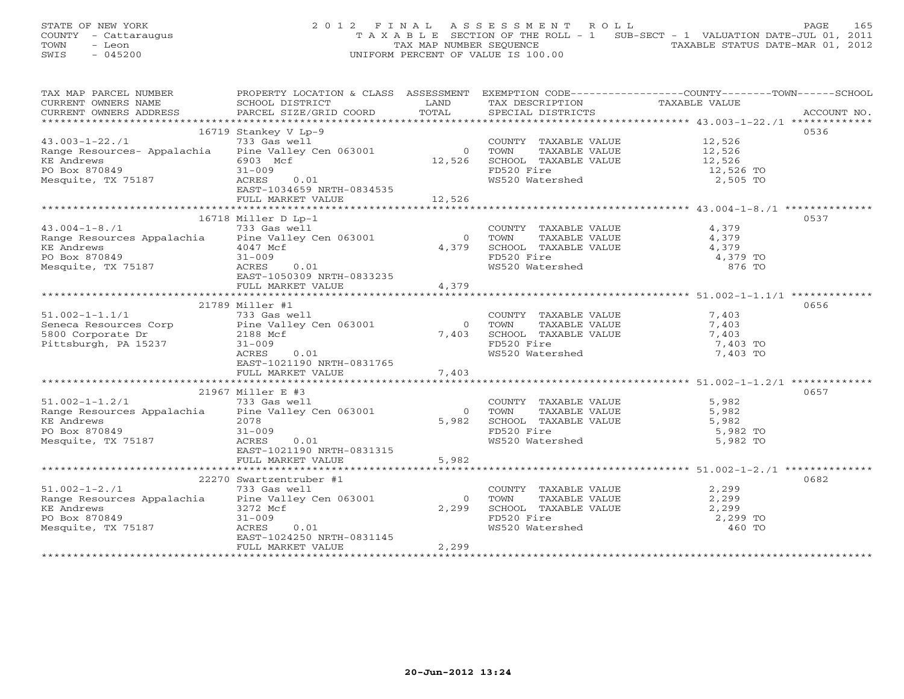STATE OF NEW YORK 2 0 1 2 F I N A L A S S E S S M E N T R O L L PAGE 165 COUNTY - Cattaraugus T A X A B L E SECTION OF THE ROLL - 1 SUB-SECT - 1 VALUATION DATE-JUL 01, 2011 TOWN - Leon  $\overline{2}$  - TAX MAP NUMBER SEQUENCE TAXABLE STATUS DATE-MAR 01, 2012<br>TRIS - 045200 SWIS - 045200 UNIFORM PERCENT OF VALUE IS 100.00

| TAX MAP PARCEL NUMBER                                                                                                                                         | PROPERTY LOCATION & CLASS ASSESSMENT EXEMPTION CODE---------------COUNTY-------TOWN------SCHOOL |                |                                                                                                                     |               |      |
|---------------------------------------------------------------------------------------------------------------------------------------------------------------|-------------------------------------------------------------------------------------------------|----------------|---------------------------------------------------------------------------------------------------------------------|---------------|------|
| CURRENT OWNERS NAME                                                                                                                                           | SCHOOL DISTRICT                                                                                 | LAND           | TAX DESCRIPTION                                                                                                     | TAXABLE VALUE |      |
|                                                                                                                                                               |                                                                                                 |                |                                                                                                                     |               |      |
|                                                                                                                                                               |                                                                                                 |                |                                                                                                                     |               |      |
|                                                                                                                                                               | 16719 Stankey V Lp-9<br>$\overline{a}$                                                          |                |                                                                                                                     |               | 0536 |
| $43.003 - 1 - 22.71$                                                                                                                                          | 733 Gas well                                                                                    |                | COUNTY TAXABLE VALUE 12,526                                                                                         |               |      |
| Range Resources- Appalachia Pine Valley Cen 063001                                                                                                            |                                                                                                 |                | $12,526$ TOWN TAXABLE VALUE 12,526<br>12,526 SCHOOL TAXABLE VALUE 12,526                                            |               |      |
| KE Andrews<br>PO Box 870849                                                                                                                                   | 6903 Mcf                                                                                        |                |                                                                                                                     |               |      |
|                                                                                                                                                               | $31 - 009$                                                                                      |                |                                                                                                                     | 12,526 TO     |      |
| Mesquite, TX 75187                                                                                                                                            | 0.01<br>ACRES                                                                                   |                | FD520 Fire<br>WS520 Watershed                                                                                       | 2,505 TO      |      |
|                                                                                                                                                               | EAST-1034659 NRTH-0834535                                                                       |                |                                                                                                                     |               |      |
|                                                                                                                                                               |                                                                                                 |                |                                                                                                                     |               |      |
|                                                                                                                                                               |                                                                                                 |                |                                                                                                                     |               |      |
|                                                                                                                                                               | 16718 Miller D Lp-1                                                                             |                |                                                                                                                     |               | 0537 |
|                                                                                                                                                               |                                                                                                 |                | COUNTY TAXABLE VALUE 4,379<br>0 TOWN TAXABLE VALUE 4,379<br>4,379 SCHOOL TAXABLE VALUE 4,379                        |               |      |
|                                                                                                                                                               |                                                                                                 |                |                                                                                                                     |               |      |
|                                                                                                                                                               |                                                                                                 |                |                                                                                                                     |               |      |
|                                                                                                                                                               |                                                                                                 |                | FD520 Fire                                                                                                          | 4,379 TO      |      |
|                                                                                                                                                               |                                                                                                 |                | WS520 Watershed                                                                                                     | 876 TO        |      |
| 1997 1997 1997 1998<br>Range Resources Appalachia Pine Valley Cen 063001<br>RE Andrews 1997 1998<br>PO Box 870849<br>Mesquite, TX 75187<br>Mesquite, TX 75187 | EAST-1050309 NRTH-0833235                                                                       |                |                                                                                                                     |               |      |
|                                                                                                                                                               | FULL MARKET VALUE                                                                               | 4,379          |                                                                                                                     |               |      |
|                                                                                                                                                               |                                                                                                 |                |                                                                                                                     |               |      |
|                                                                                                                                                               | 21789 Miller #1                                                                                 |                |                                                                                                                     |               | 0656 |
|                                                                                                                                                               |                                                                                                 |                |                                                                                                                     |               |      |
|                                                                                                                                                               |                                                                                                 |                |                                                                                                                     |               |      |
|                                                                                                                                                               |                                                                                                 |                |                                                                                                                     |               |      |
| 51.002-1-1.1/1 733 Gas well<br>Seneca Resources Corp Pine Valley Cen 063001<br>5800 Corporate Dr 2188 Mcf<br>Pittsburgh, PA 15237 31-009                      |                                                                                                 |                | COUNTY TAXABLE VALUE 7,403<br>0 TOWN TAXABLE VALUE 7,403<br>7,403 SCHOOL TAXABLE VALUE 7,403<br>FD520 Fire 7,403 TO |               |      |
|                                                                                                                                                               | 0.01<br>ACRES                                                                                   |                | WS520 Watershed                                                                                                     | 7,403 TO      |      |
|                                                                                                                                                               | EAST-1021190 NRTH-0831765                                                                       |                |                                                                                                                     |               |      |
|                                                                                                                                                               |                                                                                                 |                |                                                                                                                     |               |      |
|                                                                                                                                                               |                                                                                                 |                |                                                                                                                     |               |      |
|                                                                                                                                                               | 21967 Miller E #3                                                                               |                |                                                                                                                     |               | 0657 |
| $51.002 - 1 - 1.2/1$                                                                                                                                          | 733 Gas well                                                                                    |                |                                                                                                                     | 5,982         |      |
| Range Resources Appalachia Pine Valley Cen 063001                                                                                                             |                                                                                                 | $\bigcirc$     | COUNTY TAXABLE VALUE<br>TOWN      TAXABLE  VALUE                                                                    | 5,982         |      |
| <b>KE</b> Andrews                                                                                                                                             | 2078                                                                                            |                |                                                                                                                     |               |      |
| PO Box 870849<br>PO Box 870849<br>Mesquite, TX 75187                                                                                                          | $31 - 009$                                                                                      |                | 5,982 SCHOOL TAXABLE VALUE 5,982 FD520 Fire 5,982 TO                                                                |               |      |
|                                                                                                                                                               | ACRES<br>0.01                                                                                   |                | WS520 Watershed                                                                                                     | 5,982 TO      |      |
|                                                                                                                                                               | EAST-1021190 NRTH-0831315                                                                       |                |                                                                                                                     |               |      |
|                                                                                                                                                               | FULL MARKET VALUE                                                                               | 5,982          |                                                                                                                     |               |      |
|                                                                                                                                                               |                                                                                                 |                |                                                                                                                     |               |      |
|                                                                                                                                                               | 22270 Swartzentruber #1                                                                         |                |                                                                                                                     |               | 0682 |
| $51.002 - 1 - 2.71$                                                                                                                                           | 733 Gas well                                                                                    |                | COUNTY TAXABLE VALUE                                                                                                | 2,299         |      |
| Range Resources Appalachia Pine Valley Cen 063001<br>KE Andrews 3272 Mcf                                                                                      |                                                                                                 | $\overline{0}$ |                                                                                                                     |               |      |
|                                                                                                                                                               |                                                                                                 | 2,299          |                                                                                                                     |               |      |
| KE Andrews<br>PO Box 870849<br>Mesquite, TX 75187                                                                                                             | $31 - 009$                                                                                      |                | TOWN TAXABLE VALUE<br>SCHOOL TAXABLE VALUE<br>FD520 Fire<br>WS520 Watershed<br>2,299 TO<br>460 TO                   |               |      |
|                                                                                                                                                               | ACRES<br>0.01                                                                                   |                |                                                                                                                     |               |      |
|                                                                                                                                                               | EAST-1024250 NRTH-0831145                                                                       |                |                                                                                                                     |               |      |
|                                                                                                                                                               | FULL MARKET VALUE                                                                               | 2,299          |                                                                                                                     |               |      |
|                                                                                                                                                               |                                                                                                 |                |                                                                                                                     |               |      |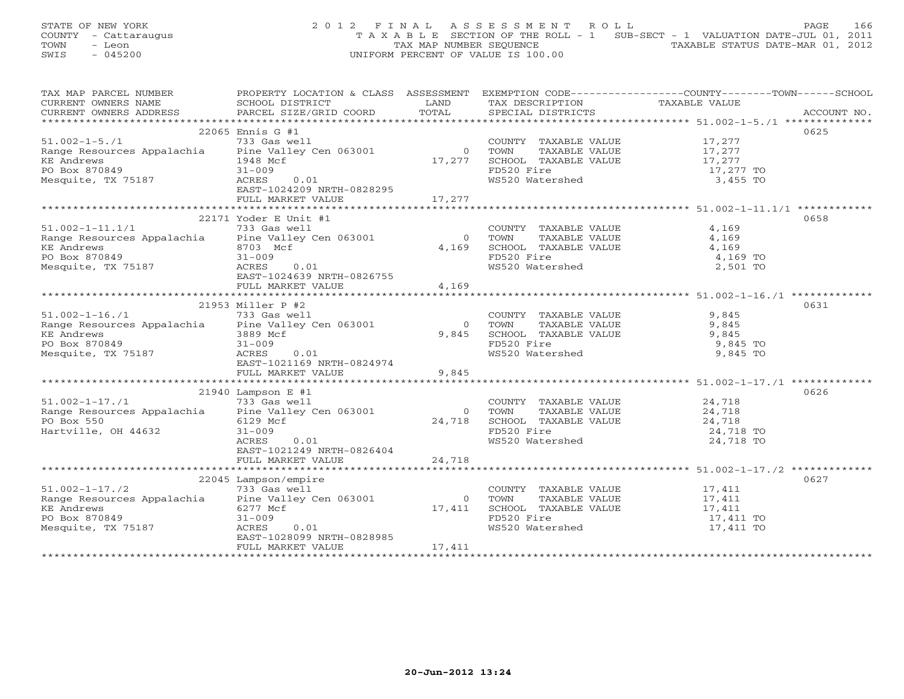## STATE OF NEW YORK 2 0 1 2 F I N A L A S S E S S M E N T R O L L PAGE 166 COUNTY - Cattaraugus T A X A B L E SECTION OF THE ROLL - 1 SUB-SECT - 1 VALUATION DATE-JUL 01, 2011 TOWN - Leon  $\overline{C}$  - TAX MAP NUMBER SEQUENCE TAXABLE STATUS DATE-MAR 01, 2012 SWIS - 045200 UNIFORM PERCENT OF VALUE IS 100.00

| TAX MAP PARCEL NUMBER                                                                                                                                                                                                                                                                                                                                                                                                                                                         | PROPERTY LOCATION & CLASS ASSESSMENT EXEMPTION CODE---------------COUNTY-------TOWN------SCHOOL |                |                                                   |                                              |      |
|-------------------------------------------------------------------------------------------------------------------------------------------------------------------------------------------------------------------------------------------------------------------------------------------------------------------------------------------------------------------------------------------------------------------------------------------------------------------------------|-------------------------------------------------------------------------------------------------|----------------|---------------------------------------------------|----------------------------------------------|------|
| CURRENT OWNERS NAME                                                                                                                                                                                                                                                                                                                                                                                                                                                           | SCHOOL DISTRICT                                                                                 | LAND           | TAX DESCRIPTION                                   | TAXABLE VALUE                                |      |
| $\begin{minipage}{.5cm} \begin{minipage}{.4cm} \begin{minipage}{.4cm} \begin{minipage}{.4cm} \begin{minipage}{.4cm} \begin{minipage}{.4cm} \begin{minipage}{.4cm} \begin{minipage}{.4cm} \begin{minipage}{.4cm} \begin{minipage}{.4cm} \begin{minipage}{.4cm} \begin{minipage}{.4cm} \begin{minipage}{.4cm} \begin{minipage}{.4cm} \begin{minipage}{.4cm} \begin{minipage}{.4cm} \begin{minipage}{.4cm} \begin{minipage}{.4cm} \begin{minipage}{.4cm} \begin{minipage}{.4cm}$ |                                                                                                 | TOTAL          |                                                   |                                              |      |
|                                                                                                                                                                                                                                                                                                                                                                                                                                                                               |                                                                                                 |                |                                                   |                                              |      |
|                                                                                                                                                                                                                                                                                                                                                                                                                                                                               | 22065 Ennis G #1                                                                                |                |                                                   |                                              | 0625 |
| $51.002 - 1 - 5.71$                                                                                                                                                                                                                                                                                                                                                                                                                                                           | 733 Gas well                                                                                    |                | COUNTY TAXABLE VALUE 17,277                       |                                              |      |
| Range Resources Appalachia Pine Valley Cen 063001                                                                                                                                                                                                                                                                                                                                                                                                                             |                                                                                                 | $\overline{0}$ | TOWN      TAXABLE VALUE<br>SCHOOL   TAXABLE VALUE | 17,277<br>17,277                             |      |
| KE Andrews                                                                                                                                                                                                                                                                                                                                                                                                                                                                    | 1948 Mcf                                                                                        | 17,277         |                                                   |                                              |      |
| PO Box 870849                                                                                                                                                                                                                                                                                                                                                                                                                                                                 | $31 - 009$                                                                                      |                | FD520 Fire                                        | 17,277 TO                                    |      |
| Mesquite, TX 75187                                                                                                                                                                                                                                                                                                                                                                                                                                                            | ACRES<br>0.01                                                                                   |                | WS520 Watershed                                   | 3,455 TO                                     |      |
|                                                                                                                                                                                                                                                                                                                                                                                                                                                                               | EAST-1024209 NRTH-0828295                                                                       |                |                                                   |                                              |      |
|                                                                                                                                                                                                                                                                                                                                                                                                                                                                               | FULL MARKET VALUE                                                                               | 17,277         |                                                   |                                              |      |
|                                                                                                                                                                                                                                                                                                                                                                                                                                                                               |                                                                                                 |                |                                                   |                                              |      |
|                                                                                                                                                                                                                                                                                                                                                                                                                                                                               | $22171$ Yoder E Unit #1                                                                         |                |                                                   |                                              | 0658 |
| $51.002 - 1 - 11.1/1$                                                                                                                                                                                                                                                                                                                                                                                                                                                         | 733 Gas well                                                                                    |                | COUNTY TAXABLE VALUE                              | 4,169                                        |      |
| Range Resources Appalachia Pine Valley Cen 063001                                                                                                                                                                                                                                                                                                                                                                                                                             |                                                                                                 | $\overline{0}$ | TOWN<br>TAXABLE VALUE                             | 4,169                                        |      |
| <b>KE Andrews</b>                                                                                                                                                                                                                                                                                                                                                                                                                                                             | 8703 Mcf                                                                                        | 4,169          | SCHOOL TAXABLE VALUE                              | 4,169                                        |      |
| PO Box 870849                                                                                                                                                                                                                                                                                                                                                                                                                                                                 | $31 - 009$                                                                                      |                | FD520 Fire                                        | 4,169 TO                                     |      |
| Mesquite, TX 75187                                                                                                                                                                                                                                                                                                                                                                                                                                                            | ACRES<br>0.01                                                                                   |                | WS520 Watershed                                   | 2,501 TO                                     |      |
|                                                                                                                                                                                                                                                                                                                                                                                                                                                                               | EAST-1024639 NRTH-0826755                                                                       |                |                                                   |                                              |      |
|                                                                                                                                                                                                                                                                                                                                                                                                                                                                               | FULL MARKET VALUE                                                                               | 4,169          |                                                   |                                              |      |
|                                                                                                                                                                                                                                                                                                                                                                                                                                                                               |                                                                                                 |                |                                                   |                                              |      |
|                                                                                                                                                                                                                                                                                                                                                                                                                                                                               | 21953 Miller P #2                                                                               |                |                                                   |                                              | 0631 |
| $51.002 - 1 - 16.71$                                                                                                                                                                                                                                                                                                                                                                                                                                                          | 733 Gas well                                                                                    |                | COUNTY TAXABLE VALUE<br>TOWN      TAXABLE VALUE   | 9,845                                        |      |
| Range Resources Appalachia Pine Valley Cen 063001                                                                                                                                                                                                                                                                                                                                                                                                                             |                                                                                                 | $\overline{0}$ |                                                   | 9,845                                        |      |
| KE Andrews                                                                                                                                                                                                                                                                                                                                                                                                                                                                    | 3889 Mcf                                                                                        | 9,845          |                                                   |                                              |      |
| PO Box 870849                                                                                                                                                                                                                                                                                                                                                                                                                                                                 | $31 - 009$                                                                                      |                |                                                   |                                              |      |
| Mesquite, TX 75187                                                                                                                                                                                                                                                                                                                                                                                                                                                            | ACRES<br>0.01                                                                                   |                | WS520 Watershed                                   | 9,845 TO                                     |      |
|                                                                                                                                                                                                                                                                                                                                                                                                                                                                               | EAST-1021169 NRTH-0824974                                                                       |                |                                                   |                                              |      |
|                                                                                                                                                                                                                                                                                                                                                                                                                                                                               | FULL MARKET VALUE                                                                               | 9,845          |                                                   |                                              |      |
|                                                                                                                                                                                                                                                                                                                                                                                                                                                                               |                                                                                                 |                |                                                   |                                              |      |
|                                                                                                                                                                                                                                                                                                                                                                                                                                                                               | $21940$ Lampson E #1                                                                            |                |                                                   |                                              | 0626 |
| $51.002 - 1 - 17.71$                                                                                                                                                                                                                                                                                                                                                                                                                                                          | 733 Gas well                                                                                    |                | COUNTY TAXABLE VALUE                              | 24,718                                       |      |
| Range Resources Appalachia Pine Valley Cen 063001                                                                                                                                                                                                                                                                                                                                                                                                                             |                                                                                                 | $\circ$        | TOWN                                              | TAXABLE VALUE 24,718<br>TAXABLE VALUE 24,718 |      |
| PO Box 550                                                                                                                                                                                                                                                                                                                                                                                                                                                                    | 6129 Mcf                                                                                        | 24,718         | SCHOOL TAXABLE VALUE<br>FD520 Fire                |                                              |      |
| Hartville, OH 44632                                                                                                                                                                                                                                                                                                                                                                                                                                                           | $31 - 009$                                                                                      |                |                                                   | 24,718 TO                                    |      |
|                                                                                                                                                                                                                                                                                                                                                                                                                                                                               | ACRES<br>0.01                                                                                   |                | WS520 Watershed                                   | 24,718 TO                                    |      |
|                                                                                                                                                                                                                                                                                                                                                                                                                                                                               | EAST-1021249 NRTH-0826404                                                                       |                |                                                   |                                              |      |
|                                                                                                                                                                                                                                                                                                                                                                                                                                                                               | FULL MARKET VALUE                                                                               | 24,718         |                                                   |                                              |      |
|                                                                                                                                                                                                                                                                                                                                                                                                                                                                               |                                                                                                 |                |                                                   |                                              |      |
|                                                                                                                                                                                                                                                                                                                                                                                                                                                                               | 22045 Lampson/empire                                                                            |                |                                                   |                                              | 0627 |
| $51.002 - 1 - 17.72$                                                                                                                                                                                                                                                                                                                                                                                                                                                          | 733 Gas well                                                                                    |                | COUNTY TAXABLE VALUE 17,411                       |                                              |      |
| Range Resources Appalachia Pine Valley Cen 063001                                                                                                                                                                                                                                                                                                                                                                                                                             |                                                                                                 | $\overline{0}$ | TOWN      TAXABLE VALUE<br>SCHOOL   TAXABLE VALUE | 17,411<br>17,411                             |      |
| <b>KE</b> Andrews                                                                                                                                                                                                                                                                                                                                                                                                                                                             | 6277 Mcf                                                                                        | 17,411         |                                                   |                                              |      |
| PO Box 870849                                                                                                                                                                                                                                                                                                                                                                                                                                                                 | $31 - 009$                                                                                      |                | FD520 Fire                                        | 17,411 TO                                    |      |
| Mesquite, TX 75187                                                                                                                                                                                                                                                                                                                                                                                                                                                            | ACRES<br>0.01                                                                                   |                | WS520 Watershed                                   | 17,411 TO                                    |      |
|                                                                                                                                                                                                                                                                                                                                                                                                                                                                               | EAST-1028099 NRTH-0828985                                                                       |                |                                                   |                                              |      |
|                                                                                                                                                                                                                                                                                                                                                                                                                                                                               | FULL MARKET VALUE                                                                               | 17,411         |                                                   |                                              |      |
|                                                                                                                                                                                                                                                                                                                                                                                                                                                                               |                                                                                                 |                |                                                   |                                              |      |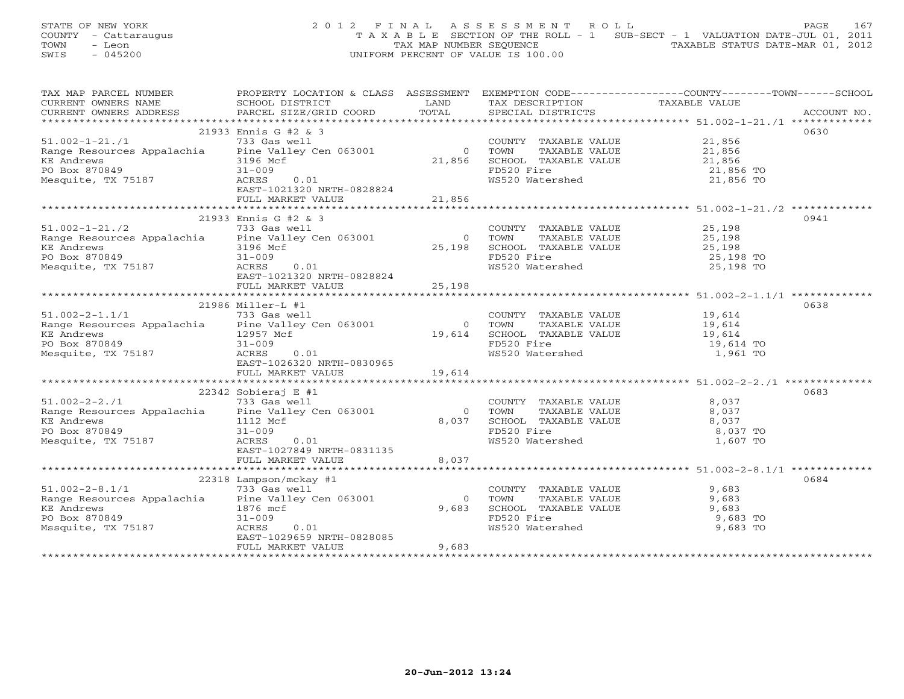STATE OF NEW YORK 2 0 1 2 F I N A L A S S E S S M E N T R O L L PAGE 167 COUNTY - Cattaraugus T A X A B L E SECTION OF THE ROLL - 1 SUB-SECT - 1 VALUATION DATE-JUL 01, 2011 TOWN - Leon  $\overline{2}$  - TAX MAP NUMBER SEQUENCE TAXABLE STATUS DATE-MAR 01, 2012<br>TRIS - 045200 SWIS - 045200 UNIFORM PERCENT OF VALUE IS 100.00

| TAX MAP PARCEL NUMBER                                                                                                                                                                                                                  | PROPERTY LOCATION & CLASS ASSESSMENT EXEMPTION CODE---------------COUNTY-------TOWN------SCHOOL |                                                    |                                                                                                  |                        |      |
|----------------------------------------------------------------------------------------------------------------------------------------------------------------------------------------------------------------------------------------|-------------------------------------------------------------------------------------------------|----------------------------------------------------|--------------------------------------------------------------------------------------------------|------------------------|------|
| CURRENT OWNERS NAME                                                                                                                                                                                                                    | SCHOOL DISTRICT                                                                                 | LAND                                               | TAX DESCRIPTION TAXABLE VALUE                                                                    |                        |      |
|                                                                                                                                                                                                                                        |                                                                                                 |                                                    |                                                                                                  |                        |      |
|                                                                                                                                                                                                                                        |                                                                                                 |                                                    |                                                                                                  |                        |      |
|                                                                                                                                                                                                                                        | 21933 Ennis G #2 & 3                                                                            |                                                    |                                                                                                  |                        | 0630 |
| $51.002 - 1 - 21.71$                                                                                                                                                                                                                   | 733 Gas well                                                                                    |                                                    | COUNTY TAXABLE VALUE 31,856<br>0 TOWN TAXABLE VALUE 21,856<br>21,856 SCHOOL TAXABLE VALUE 21,856 |                        |      |
|                                                                                                                                                                                                                                        |                                                                                                 |                                                    |                                                                                                  |                        |      |
| Pange Resources Appalachia<br>Example Resources Appalachia<br>FRE Andrews<br>PO Box 870849<br>21-009                                                                                                                                   |                                                                                                 | $\begin{smallmatrix}&&&0\&21,856\end{smallmatrix}$ |                                                                                                  |                        |      |
| KE Andrews<br>PO Box 870849                                                                                                                                                                                                            | $31 - 009$                                                                                      |                                                    | FD520 Fire                                                                                       | 21,856 TO<br>21,856 TO |      |
| Mesquite, TX 75187                                                                                                                                                                                                                     | ACRES<br>0.01                                                                                   |                                                    | WS520 Watershed                                                                                  |                        |      |
|                                                                                                                                                                                                                                        | EAST-1021320 NRTH-0828824                                                                       |                                                    |                                                                                                  |                        |      |
|                                                                                                                                                                                                                                        | FULL MARKET VALUE                                                                               | 21,856                                             |                                                                                                  |                        |      |
|                                                                                                                                                                                                                                        |                                                                                                 |                                                    |                                                                                                  |                        |      |
|                                                                                                                                                                                                                                        | 21933 Ennis G #2 & 3                                                                            |                                                    |                                                                                                  |                        | 0941 |
| 1.002-1-21./2 733 Gas well<br>Range Resources Appalachia Pine Valley Cen 063001 0 70WN TAXABLE VALUE 25,198<br>KE Andrews 3196 Mcf 25,198<br>PO Box 870849 31-009 70WH 7AXABLE VALUE 25,198<br>PO Box 870849 31-009 70WH 7AXABLE VALUE |                                                                                                 |                                                    |                                                                                                  |                        |      |
|                                                                                                                                                                                                                                        |                                                                                                 |                                                    |                                                                                                  |                        |      |
|                                                                                                                                                                                                                                        |                                                                                                 |                                                    |                                                                                                  |                        |      |
|                                                                                                                                                                                                                                        |                                                                                                 |                                                    |                                                                                                  |                        |      |
| Mesquite, TX 75187                                                                                                                                                                                                                     | ACRES<br>0.01                                                                                   |                                                    | WS520 Watershed                                                                                  | 25,198 TO              |      |
|                                                                                                                                                                                                                                        | EAST-1021320 NRTH-0828824                                                                       |                                                    |                                                                                                  |                        |      |
|                                                                                                                                                                                                                                        | FULL MARKET VALUE                                                                               | 25,198                                             |                                                                                                  |                        |      |
|                                                                                                                                                                                                                                        |                                                                                                 |                                                    |                                                                                                  |                        |      |
|                                                                                                                                                                                                                                        | 21986 Miller-L #1                                                                               |                                                    |                                                                                                  |                        | 0638 |
| $51.002 - 2 - 1.1/1$                                                                                                                                                                                                                   | 733 Gas well                                                                                    |                                                    | COUNTY TAXABLE VALUE 19,614                                                                      |                        |      |
| Range Resources Appalachia Pine Valley Cen 063001                                                                                                                                                                                      |                                                                                                 | $\overline{0}$                                     | TAXABLE VALUE 19,614<br>TOWN                                                                     |                        |      |
|                                                                                                                                                                                                                                        |                                                                                                 |                                                    |                                                                                                  |                        |      |
|                                                                                                                                                                                                                                        |                                                                                                 |                                                    |                                                                                                  |                        |      |
| EXE Andrews<br>PO Box 870849<br>Mesquite, TX 75187<br>Mesquite, TX 75187<br>EAST-10263                                                                                                                                                 | 0.01                                                                                            |                                                    | 19,614 SCHOOL TAXABLE VALUE 19,614<br>FD520 Fire 19,614 TO WS520 Watershed 1,961 TO              |                        |      |
|                                                                                                                                                                                                                                        | EAST-1026320 NRTH-0830965                                                                       |                                                    |                                                                                                  |                        |      |
|                                                                                                                                                                                                                                        | FULL MARKET VALUE                                                                               | 19,614                                             |                                                                                                  |                        |      |
|                                                                                                                                                                                                                                        |                                                                                                 |                                                    |                                                                                                  |                        |      |
|                                                                                                                                                                                                                                        | $22342$ Sobieraj E #1                                                                           |                                                    |                                                                                                  |                        | 0683 |
|                                                                                                                                                                                                                                        |                                                                                                 |                                                    | COUNTY TAXABLE VALUE                                                                             | 8,037                  |      |
|                                                                                                                                                                                                                                        |                                                                                                 | $\overline{0}$                                     |                                                                                                  | 8,037                  |      |
|                                                                                                                                                                                                                                        |                                                                                                 | 8,037                                              |                                                                                                  | 8,037                  |      |
| 51.002-2-2./1<br>Range Resources Appalachia<br>T33 Gas well<br>Pine Valley Cen 063001<br>RE Andrews<br>PO Box 870849<br>Mesquite, TX 75187<br>Mesquite, TX 75187<br>RES<br>PO ACRES<br>CRES<br>CON EAST-1027849 NRTH-0831135           |                                                                                                 |                                                    | TOWN TAXABLE VALUE<br>SCHOOL TAXABLE VALUE<br>FD520 Fire<br>WS520 Watershed                      | 8,037 TO               |      |
|                                                                                                                                                                                                                                        |                                                                                                 |                                                    |                                                                                                  | 1,607 TO               |      |
|                                                                                                                                                                                                                                        | EAST-1027849 NRTH-0831135                                                                       |                                                    |                                                                                                  |                        |      |
|                                                                                                                                                                                                                                        | FULL MARKET VALUE 8,037                                                                         |                                                    |                                                                                                  |                        |      |
|                                                                                                                                                                                                                                        |                                                                                                 |                                                    |                                                                                                  |                        |      |
|                                                                                                                                                                                                                                        | 22318 Lampson/mckay #1                                                                          |                                                    |                                                                                                  |                        | 0684 |
| $51.002 - 2 - 8.1/1$                                                                                                                                                                                                                   | 733 Gas well                                                                                    |                                                    | COUNTY TAXABLE VALUE                                                                             | 9,683                  |      |
|                                                                                                                                                                                                                                        |                                                                                                 | $\Omega$                                           |                                                                                                  |                        |      |
| Range Resources Appalachia Pine Valley Cen 063001<br>KE Andrews 1876 mcf                                                                                                                                                               |                                                                                                 | 9,683                                              | COUNTY TAXABLE VALUE<br>TOWN TAXABLE VALUE 9,683<br>SCHOOL TAXABLE VALUE 9,683<br>9,68           |                        |      |
|                                                                                                                                                                                                                                        | $31 - 009$                                                                                      |                                                    | FD520 Fire<br>WS520 Watershed                                                                    | 9,683 TO               |      |
| PO Box 870849<br>Mssquite, TX 75187                                                                                                                                                                                                    | ACRES<br>0.01                                                                                   |                                                    |                                                                                                  | 9,683 TO               |      |
|                                                                                                                                                                                                                                        | EAST-1029659 NRTH-0828085                                                                       |                                                    |                                                                                                  |                        |      |
|                                                                                                                                                                                                                                        | FULL MARKET VALUE                                                                               | 9,683                                              |                                                                                                  |                        |      |
|                                                                                                                                                                                                                                        |                                                                                                 |                                                    |                                                                                                  |                        |      |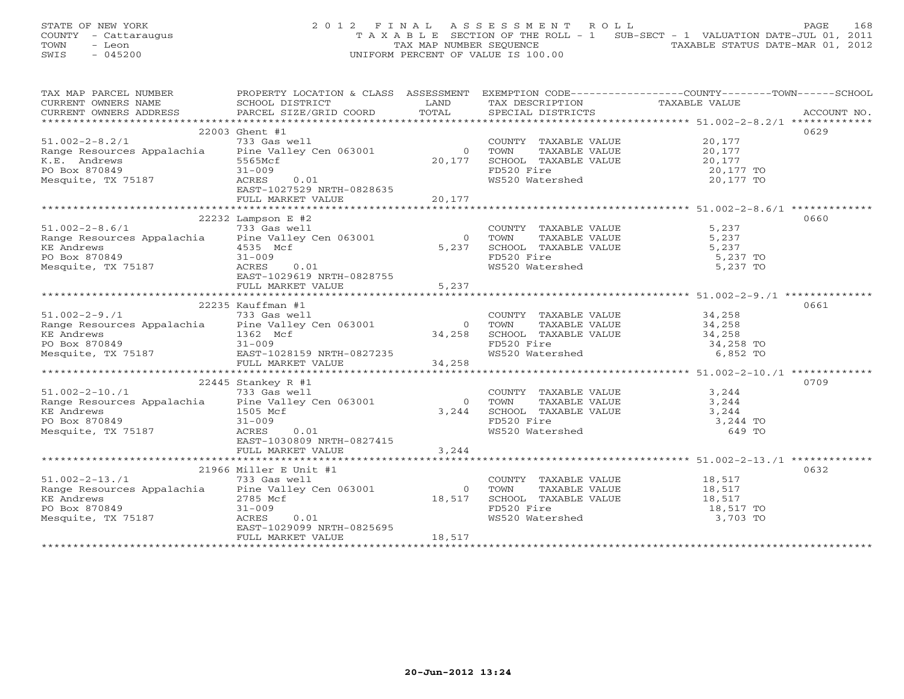## STATE OF NEW YORK 2 0 1 2 F I N A L A S S E S S M E N T R O L L PAGE 168 COUNTY - Cattaraugus T A X A B L E SECTION OF THE ROLL - 1 SUB-SECT - 1 VALUATION DATE-JUL 01, 2011 TOWN - Leon  $\overline{2}$  - TAX MAP NUMBER SEQUENCE TAXABLE STATUS DATE-MAR 01, 2012<br>TRIS - 045200 SWIS - 045200 UNIFORM PERCENT OF VALUE IS 100.00

| TAX MAP PARCEL NUMBER                                                                                                                                                                                                                                                                 | PROPERTY LOCATION & CLASS ASSESSMENT |                | EXEMPTION CODE-----------------COUNTY-------TOWN------SCHOOL                                                     |                                              |      |
|---------------------------------------------------------------------------------------------------------------------------------------------------------------------------------------------------------------------------------------------------------------------------------------|--------------------------------------|----------------|------------------------------------------------------------------------------------------------------------------|----------------------------------------------|------|
| TA PIE TAND TRINITY AND TRINITY IN THE TAND TRINITY OWNERS NOTICE THE CONFERNT OWNERS ADDRESS SCHOOL DISTRICT DAND TOTAL TAX DESCRIPTION TAXABLE VALUE THAT THE MANUSCRIPTION TAXABLE VALUE THAT THE MANUSCRIPTION TO A THAT O                                                        |                                      |                |                                                                                                                  |                                              |      |
|                                                                                                                                                                                                                                                                                       |                                      |                |                                                                                                                  |                                              |      |
|                                                                                                                                                                                                                                                                                       |                                      |                |                                                                                                                  |                                              | 0629 |
| $51.002-2-8.2/1$<br>$733 \text{ Gas well}$<br>Range Resources Appalachia Pine Valley Cen 063001 0 TOWN<br>5565Mcf 20,177 SCROC                                                                                                                                                        |                                      |                | COUNTY TAXABLE VALUE 20,177                                                                                      |                                              |      |
|                                                                                                                                                                                                                                                                                       |                                      |                | COUNTY TAXABLE VALUE<br>TOWN TAXABLE VALUE 20,177<br>SCHOOL TAXABLE VALUE 20,177<br>1990 1990 1990 1991          |                                              |      |
|                                                                                                                                                                                                                                                                                       |                                      |                |                                                                                                                  |                                              |      |
| $5565Mct$<br>$31-009$<br>$3.775G$<br>PO Box 870849                                                                                                                                                                                                                                    |                                      |                |                                                                                                                  |                                              |      |
| Mesquite, TX 75187                                                                                                                                                                                                                                                                    | 0.01<br>ACRES                        |                | WS520 Watershed                                                                                                  | 20,177 TO                                    |      |
|                                                                                                                                                                                                                                                                                       | EAST-1027529 NRTH-0828635            |                |                                                                                                                  |                                              |      |
|                                                                                                                                                                                                                                                                                       |                                      |                |                                                                                                                  |                                              |      |
|                                                                                                                                                                                                                                                                                       |                                      |                |                                                                                                                  |                                              |      |
| $22232$ Lampson E #2<br>$733$ Gas well<br>Range Resources Appalachia<br>$\begin{array}{ccc}\n & 733 & \text{Gas} & \text{Well} \\  & & 733 & \text{Gas} & \text{Well} \\  & & 1 & 1 & 1 \\  & & 1 & 1 & 1 \\  & & 1 & 1 & 1\n\end{array}$                                             | $22232$ Lampson E #2                 |                |                                                                                                                  |                                              | 0660 |
|                                                                                                                                                                                                                                                                                       |                                      |                | COUNTY TAXABLE VALUE 5,237                                                                                       |                                              |      |
|                                                                                                                                                                                                                                                                                       |                                      |                | FORM TAXABLE VALUE<br>TOWN TAXABLE VALUE 5,237<br>SCHOOL TAXABLE VALUE 5,237<br>FD520 Fi ro                      |                                              |      |
| KE Andrews $\overline{4535}$ Mcf<br>PO Box 870849 $\overline{31-009}$                                                                                                                                                                                                                 | $Mcf$ $0.01$                         | 5,237          |                                                                                                                  |                                              |      |
|                                                                                                                                                                                                                                                                                       |                                      |                | FD520 Fire                                                                                                       | 5,237 TO                                     |      |
| Mesquite, TX 75187                                                                                                                                                                                                                                                                    | ACRES                                |                | WS520 Watershed                                                                                                  | 5,237 TO                                     |      |
|                                                                                                                                                                                                                                                                                       | EAST-1029619 NRTH-0828755            |                |                                                                                                                  |                                              |      |
|                                                                                                                                                                                                                                                                                       | FULL MARKET VALUE                    | 5,237          |                                                                                                                  |                                              |      |
|                                                                                                                                                                                                                                                                                       |                                      |                |                                                                                                                  |                                              |      |
|                                                                                                                                                                                                                                                                                       |                                      |                |                                                                                                                  |                                              |      |
|                                                                                                                                                                                                                                                                                       |                                      |                |                                                                                                                  |                                              |      |
|                                                                                                                                                                                                                                                                                       |                                      |                |                                                                                                                  |                                              |      |
|                                                                                                                                                                                                                                                                                       |                                      |                |                                                                                                                  |                                              |      |
|                                                                                                                                                                                                                                                                                       |                                      |                |                                                                                                                  |                                              |      |
|                                                                                                                                                                                                                                                                                       |                                      |                |                                                                                                                  |                                              |      |
|                                                                                                                                                                                                                                                                                       |                                      |                |                                                                                                                  |                                              |      |
|                                                                                                                                                                                                                                                                                       | 22445 Stankey R #1                   |                |                                                                                                                  |                                              | 0709 |
| 51.002-2-10./1<br>Range Resources Appalachia Pine Valley Cen 063001<br>The Valley Cen 063001<br>The More of the 1995 Mcf                                                                                                                                                              |                                      |                | COUNTY TAXABLE VALUE 3,244                                                                                       |                                              |      |
|                                                                                                                                                                                                                                                                                       |                                      | $\overline{0}$ |                                                                                                                  |                                              |      |
|                                                                                                                                                                                                                                                                                       |                                      | 3,244          |                                                                                                                  |                                              |      |
|                                                                                                                                                                                                                                                                                       | $31 - 009$                           |                |                                                                                                                  |                                              |      |
| KE Andrews<br>PO Box 870849<br>Mesquite, TX 75187                                                                                                                                                                                                                                     | ACRES<br>0.01                        |                | TOWN TAXABLE VALUE<br>SCHOOL TAXABLE VALUE<br>SCHOOL TAXABLE VALUE<br>FD520 Fire<br>WS520 Watershed<br>TO 649 TO |                                              |      |
|                                                                                                                                                                                                                                                                                       | EAST-1030809 NRTH-0827415            |                |                                                                                                                  |                                              |      |
|                                                                                                                                                                                                                                                                                       |                                      |                |                                                                                                                  |                                              |      |
|                                                                                                                                                                                                                                                                                       |                                      |                |                                                                                                                  |                                              |      |
|                                                                                                                                                                                                                                                                                       | 21966 Miller E Unit #1               |                |                                                                                                                  |                                              | 0632 |
| $51.002 - 2 - 13.71$                                                                                                                                                                                                                                                                  | 733 Gas well                         |                | COUNTY TAXABLE VALUE 18,517                                                                                      |                                              |      |
| $\frac{1}{100}$ and $\frac{1}{100}$ and $\frac{1}{100}$ and $\frac{1}{100}$ and $\frac{1}{100}$ and $\frac{1}{100}$ and $\frac{1}{100}$ and $\frac{1}{100}$ and $\frac{1}{100}$ and $\frac{1}{100}$ and $\frac{1}{100}$ and $\frac{1}{100}$ and $\frac{1}{100}$ and $\frac{1}{100}$ a |                                      | $\overline{0}$ | TOWN                                                                                                             | TAXABLE VALUE 18,517<br>TAXABLE VALUE 18,517 |      |
| KE Andrews<br>PO Box 870849<br>Mesquite, TX 75187                                                                                                                                                                                                                                     | 2785 Mcf                             | 18,517         | SCHOOL TAXABLE VALUE 18,517<br>FD520 Fire 18,517 TO<br>WS520 Watershed 3,703 TO                                  |                                              |      |
|                                                                                                                                                                                                                                                                                       | $31 - 009$                           |                |                                                                                                                  |                                              |      |
|                                                                                                                                                                                                                                                                                       | ACRES<br>0.01                        |                |                                                                                                                  |                                              |      |
|                                                                                                                                                                                                                                                                                       | EAST-1029099 NRTH-0825695            |                |                                                                                                                  |                                              |      |
|                                                                                                                                                                                                                                                                                       | FULL MARKET VALUE                    | 18,517         |                                                                                                                  |                                              |      |
|                                                                                                                                                                                                                                                                                       |                                      |                |                                                                                                                  |                                              |      |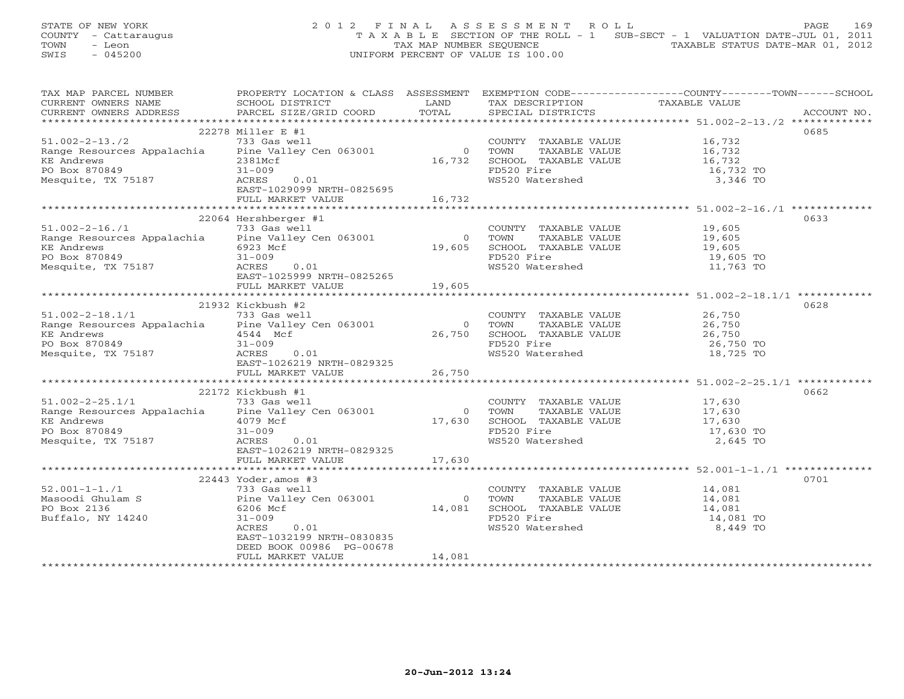## STATE OF NEW YORK 2012 FINAL ASSESSMENT ROLL PAGE 169 COUNTY - Cattaraugus T A X A B L E SECTION OF THE ROLL - 1 SUB-SECT - 1 VALUATION DATE-JUL 01, 2011 TOWN - Leon  $\overline{2}$  - TAX MAP NUMBER SEQUENCE TAXABLE STATUS DATE-MAR 01, 2012<br>TRIS - 045200 SWIS - 045200 UNIFORM PERCENT OF VALUE IS 100.00

| TAX MAP PARCEL NUMBER                                                                                                                                                                                                                                                                                                                                                                                                                      | PROPERTY LOCATION & CLASS ASSESSMENT EXEMPTION CODE---------------COUNTY-------TOWN------SCHOOL |        |                                                                                                                                                                                                                                                                                                                                                                                                                                                                             |                        |      |
|--------------------------------------------------------------------------------------------------------------------------------------------------------------------------------------------------------------------------------------------------------------------------------------------------------------------------------------------------------------------------------------------------------------------------------------------|-------------------------------------------------------------------------------------------------|--------|-----------------------------------------------------------------------------------------------------------------------------------------------------------------------------------------------------------------------------------------------------------------------------------------------------------------------------------------------------------------------------------------------------------------------------------------------------------------------------|------------------------|------|
|                                                                                                                                                                                                                                                                                                                                                                                                                                            |                                                                                                 |        |                                                                                                                                                                                                                                                                                                                                                                                                                                                                             |                        |      |
|                                                                                                                                                                                                                                                                                                                                                                                                                                            |                                                                                                 |        |                                                                                                                                                                                                                                                                                                                                                                                                                                                                             |                        |      |
|                                                                                                                                                                                                                                                                                                                                                                                                                                            |                                                                                                 |        |                                                                                                                                                                                                                                                                                                                                                                                                                                                                             |                        |      |
|                                                                                                                                                                                                                                                                                                                                                                                                                                            | 22278 Miller E #1                                                                               |        |                                                                                                                                                                                                                                                                                                                                                                                                                                                                             |                        | 0685 |
| $\begin{tabular}{lllllllllllllllllll} \text{51.002--2--13.}/2 & \text{733 Gas well} & \text{COUNTY TAXABLE VALUE} & \text{16,732} \\ \text{Range Resources Appalachia} & \text{Pine Valley Cen 063001} & \text{0 & \text{TOWN TAXABLE VALUE} & \text{16,732} \\ \text{KE Andrews} & \text{2381Mcf} & \text{31--009} & \text{16,732} & \text{SCHOOL TAXABLE VALUE} & \text{16,732} & \text{16,732} \\ \text{PO Box 870849} & \text{31--009$ |                                                                                                 |        | $\begin{tabular}{lllllllll} \multicolumn{2}{c}{\textbf{COUNTY}} & \multicolumn{2}{c}{\textbf{TAXABLE VALUE}} & \multicolumn{2}{c}{\textbf{16,732}} \\ \multicolumn{2}{c}{\textbf{TOWN}} & \multicolumn{2}{c}{\textbf{TAXABLE VALUE}} & \multicolumn{2}{c}{\textbf{16,732}} \\ \multicolumn{2}{c}{\textbf{TOWN}} & \multicolumn{2}{c}{\textbf{TAXABLE VALUE}} & \multicolumn{2}{c}{\textbf{16,732}} \\ \multicolumn{2}{c}{\textbf{16,732}} & \multicolumn{2}{c}{\textbf{16,$ |                        |      |
|                                                                                                                                                                                                                                                                                                                                                                                                                                            |                                                                                                 |        |                                                                                                                                                                                                                                                                                                                                                                                                                                                                             |                        |      |
|                                                                                                                                                                                                                                                                                                                                                                                                                                            |                                                                                                 |        |                                                                                                                                                                                                                                                                                                                                                                                                                                                                             |                        |      |
|                                                                                                                                                                                                                                                                                                                                                                                                                                            |                                                                                                 |        |                                                                                                                                                                                                                                                                                                                                                                                                                                                                             |                        |      |
| Mesquite, TX 75187                                                                                                                                                                                                                                                                                                                                                                                                                         | ACRES 0.01                                                                                      |        | WS520 Watershed                                                                                                                                                                                                                                                                                                                                                                                                                                                             | 3,346 TO               |      |
|                                                                                                                                                                                                                                                                                                                                                                                                                                            | EAST-1029099 NRTH-0825695                                                                       |        |                                                                                                                                                                                                                                                                                                                                                                                                                                                                             |                        |      |
|                                                                                                                                                                                                                                                                                                                                                                                                                                            | FULL MARKET VALUE                                                                               | 16,732 |                                                                                                                                                                                                                                                                                                                                                                                                                                                                             |                        |      |
|                                                                                                                                                                                                                                                                                                                                                                                                                                            |                                                                                                 |        |                                                                                                                                                                                                                                                                                                                                                                                                                                                                             |                        |      |
|                                                                                                                                                                                                                                                                                                                                                                                                                                            | 22064 Hershberger #1                                                                            |        |                                                                                                                                                                                                                                                                                                                                                                                                                                                                             |                        | 0633 |
| $51.002 - 2 - 16.71$                                                                                                                                                                                                                                                                                                                                                                                                                       | 733 Gas well                                                                                    |        | COUNTY TAXABLE VALUE 19,605                                                                                                                                                                                                                                                                                                                                                                                                                                                 |                        |      |
| Range Resources Appalachia Pine Valley Cen 063001                                                                                                                                                                                                                                                                                                                                                                                          |                                                                                                 |        |                                                                                                                                                                                                                                                                                                                                                                                                                                                                             |                        |      |
| KE Andrews<br>PO Box 870849<br>Mesquite, TX 75187<br>Mesquite, TX 75187<br>ACRES                                                                                                                                                                                                                                                                                                                                                           |                                                                                                 |        | 0 TOWN TAXABLE VALUE 19,605<br>19,605 SCHOOL TAXABLE VALUE 19,605<br>FD520 Fire 19,605<br>WS520 Watershed 11,763                                                                                                                                                                                                                                                                                                                                                            |                        |      |
|                                                                                                                                                                                                                                                                                                                                                                                                                                            |                                                                                                 |        |                                                                                                                                                                                                                                                                                                                                                                                                                                                                             | 19,605 TO<br>11,763 TO |      |
|                                                                                                                                                                                                                                                                                                                                                                                                                                            | 0.01                                                                                            |        |                                                                                                                                                                                                                                                                                                                                                                                                                                                                             |                        |      |
|                                                                                                                                                                                                                                                                                                                                                                                                                                            | EAST-1025999 NRTH-0825265                                                                       |        |                                                                                                                                                                                                                                                                                                                                                                                                                                                                             |                        |      |
|                                                                                                                                                                                                                                                                                                                                                                                                                                            | FULL MARKET VALUE 19,605                                                                        |        |                                                                                                                                                                                                                                                                                                                                                                                                                                                                             |                        |      |
|                                                                                                                                                                                                                                                                                                                                                                                                                                            |                                                                                                 |        |                                                                                                                                                                                                                                                                                                                                                                                                                                                                             |                        |      |
| 1.002-2-18.1/1<br>Range Resources Appalachia<br>Range Resources Appalachia Pine Valley Cen 063001 0 TOWN TAXABLE VALUE 26,750<br>XE Andrews 4544 Mcf 26,750 SCHOOL TAXABLE VALUE 26,750<br>PO Box 870849 31-009 PD520 Fire 26,750<br>M                                                                                                                                                                                                     | 21932 Kickbush #2                                                                               |        |                                                                                                                                                                                                                                                                                                                                                                                                                                                                             |                        | 0628 |
|                                                                                                                                                                                                                                                                                                                                                                                                                                            |                                                                                                 |        |                                                                                                                                                                                                                                                                                                                                                                                                                                                                             |                        |      |
|                                                                                                                                                                                                                                                                                                                                                                                                                                            |                                                                                                 |        |                                                                                                                                                                                                                                                                                                                                                                                                                                                                             |                        |      |
| KE Andrews 11 1544 Mcf<br>PO Box 870849 31-009<br>Mesquite, TX 75187 12008 2008                                                                                                                                                                                                                                                                                                                                                            |                                                                                                 |        |                                                                                                                                                                                                                                                                                                                                                                                                                                                                             |                        |      |
|                                                                                                                                                                                                                                                                                                                                                                                                                                            |                                                                                                 |        |                                                                                                                                                                                                                                                                                                                                                                                                                                                                             | 26,750 TO              |      |
|                                                                                                                                                                                                                                                                                                                                                                                                                                            |                                                                                                 |        |                                                                                                                                                                                                                                                                                                                                                                                                                                                                             | 18,725 TO              |      |
|                                                                                                                                                                                                                                                                                                                                                                                                                                            | EAST-1026219 NRTH-0829325                                                                       |        |                                                                                                                                                                                                                                                                                                                                                                                                                                                                             |                        |      |
|                                                                                                                                                                                                                                                                                                                                                                                                                                            | FULL MARKET VALUE 26,750                                                                        |        |                                                                                                                                                                                                                                                                                                                                                                                                                                                                             |                        |      |
|                                                                                                                                                                                                                                                                                                                                                                                                                                            |                                                                                                 |        |                                                                                                                                                                                                                                                                                                                                                                                                                                                                             |                        |      |
|                                                                                                                                                                                                                                                                                                                                                                                                                                            | 22172 Kickbush #1                                                                               |        |                                                                                                                                                                                                                                                                                                                                                                                                                                                                             |                        | 0662 |
| $51.002 - 2 - 25.1/1$                                                                                                                                                                                                                                                                                                                                                                                                                      | 733 Gas well                                                                                    |        | COUNTY TAXABLE VALUE 17,630                                                                                                                                                                                                                                                                                                                                                                                                                                                 |                        |      |
| Range Resources Appalachia Pine Valley Cen 063001                                                                                                                                                                                                                                                                                                                                                                                          |                                                                                                 |        | $17,630$ TOWN TAXABLE VALUE $17,630$ SCHOOL TAXABLE VALUE $17,630$                                                                                                                                                                                                                                                                                                                                                                                                          |                        |      |
| KE Andrews<br>e e servizione della contratta di una servizione della contratta di una servizione di una servizione di una se<br>La contratta di una servizione di una servizione di una servizione di una servizione di una servizione di una                                                                                                                                                                                              | 4079 Mcf                                                                                        |        |                                                                                                                                                                                                                                                                                                                                                                                                                                                                             |                        |      |
| PO Box 870849                                                                                                                                                                                                                                                                                                                                                                                                                              | $31 - 009$                                                                                      |        | FD520 Fire                                                                                                                                                                                                                                                                                                                                                                                                                                                                  | 17,630 TO              |      |
| Mesquite, TX 75187                                                                                                                                                                                                                                                                                                                                                                                                                         | ACRES<br>0.01                                                                                   |        | WS520 Watershed                                                                                                                                                                                                                                                                                                                                                                                                                                                             | 2,645 TO               |      |
|                                                                                                                                                                                                                                                                                                                                                                                                                                            | EAST-1026219 NRTH-0829325                                                                       |        |                                                                                                                                                                                                                                                                                                                                                                                                                                                                             |                        |      |
|                                                                                                                                                                                                                                                                                                                                                                                                                                            | FULL MARKET VALUE                                                                               | 17,630 |                                                                                                                                                                                                                                                                                                                                                                                                                                                                             |                        |      |
|                                                                                                                                                                                                                                                                                                                                                                                                                                            |                                                                                                 |        |                                                                                                                                                                                                                                                                                                                                                                                                                                                                             |                        |      |
|                                                                                                                                                                                                                                                                                                                                                                                                                                            | 22443 Yoder, amos #3                                                                            |        |                                                                                                                                                                                                                                                                                                                                                                                                                                                                             |                        | 0701 |
| $52.001 - 1 - 1.71$                                                                                                                                                                                                                                                                                                                                                                                                                        | 733 Gas well<br>Pine Valley Cen 063001                                                          |        | COUNTY TAXABLE VALUE 14,081<br>TOWN TAXABLE VALUE 14,081                                                                                                                                                                                                                                                                                                                                                                                                                    |                        |      |
| Masoodi Ghulam S                                                                                                                                                                                                                                                                                                                                                                                                                           |                                                                                                 |        | 0 TOWN                                                                                                                                                                                                                                                                                                                                                                                                                                                                      |                        |      |
| PO Box 2136                                                                                                                                                                                                                                                                                                                                                                                                                                | 6206 Mcf                                                                                        |        | 14,081 SCHOOL TAXABLE VALUE 14,081<br>FD520 Fire 14,081 TO TAXABLE VALUE 14,081 TO                                                                                                                                                                                                                                                                                                                                                                                          |                        |      |
| Buffalo, NY 14240                                                                                                                                                                                                                                                                                                                                                                                                                          | $31 - 009$                                                                                      |        |                                                                                                                                                                                                                                                                                                                                                                                                                                                                             |                        |      |
|                                                                                                                                                                                                                                                                                                                                                                                                                                            | ACRES<br>0.01                                                                                   |        | WS520 Watershed                                                                                                                                                                                                                                                                                                                                                                                                                                                             | 8,449 TO               |      |
|                                                                                                                                                                                                                                                                                                                                                                                                                                            | EAST-1032199 NRTH-0830835                                                                       |        |                                                                                                                                                                                                                                                                                                                                                                                                                                                                             |                        |      |
|                                                                                                                                                                                                                                                                                                                                                                                                                                            | DEED BOOK 00986 PG-00678                                                                        |        |                                                                                                                                                                                                                                                                                                                                                                                                                                                                             |                        |      |
|                                                                                                                                                                                                                                                                                                                                                                                                                                            | FULL MARKET VALUE                                                                               | 14,081 |                                                                                                                                                                                                                                                                                                                                                                                                                                                                             |                        |      |
|                                                                                                                                                                                                                                                                                                                                                                                                                                            |                                                                                                 |        |                                                                                                                                                                                                                                                                                                                                                                                                                                                                             |                        |      |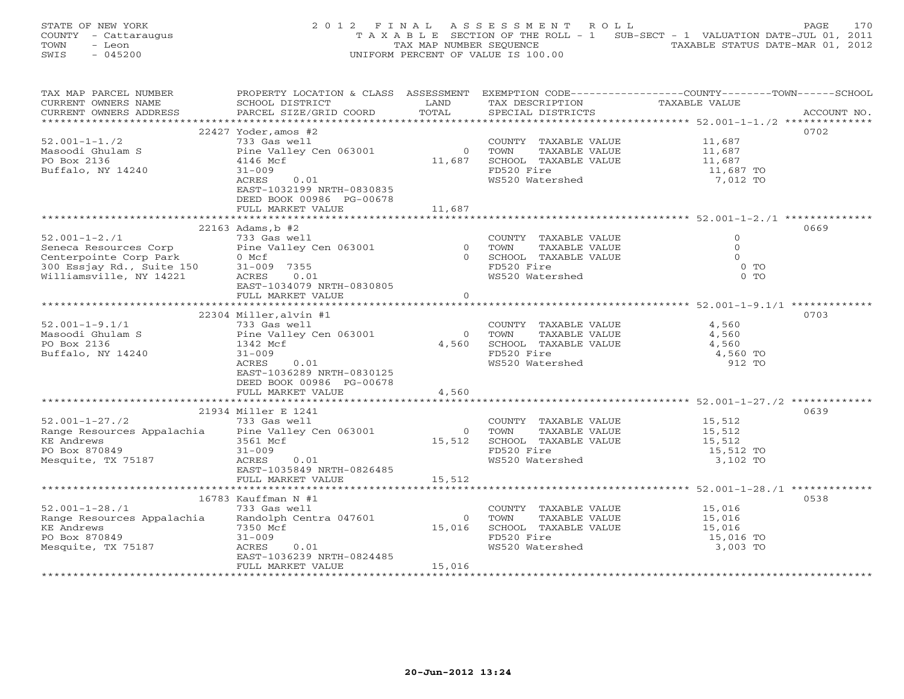STATE OF NEW YORK 2 0 1 2 F I N A L A S S E S S M E N T R O L L PAGE 170 COUNTY - Cattaraugus T A X A B L E SECTION OF THE ROLL - 1 SUB-SECT - 1 VALUATION DATE-JUL 01, 2011 TOWN - Leon  $\overline{2}$  - TAX MAP NUMBER SEQUENCE TAXABLE STATUS DATE-MAR 01, 2012<br>TRIS - 045200 SWIS - 045200 UNIFORM PERCENT OF VALUE IS 100.00

| TAX MAP PARCEL NUMBER                                                                                                                                          |                                     |                |                               | PROPERTY LOCATION & CLASS ASSESSMENT EXEMPTION CODE----------------COUNTY-------TOWN------SCHOOL |
|----------------------------------------------------------------------------------------------------------------------------------------------------------------|-------------------------------------|----------------|-------------------------------|--------------------------------------------------------------------------------------------------|
| CURRENT OWNERS NAME                                                                                                                                            | SCHOOL DISTRICT                     | LAND           | TAX DESCRIPTION               | TAXABLE VALUE                                                                                    |
| CURRENT OWNERS ADDRESS                                                                                                                                         | PARCEL SIZE/GRID COORD              | TOTAL          | SPECIAL DISTRICTS             | ACCOUNT NO.                                                                                      |
| ***********************                                                                                                                                        |                                     |                |                               |                                                                                                  |
|                                                                                                                                                                | $22427$ Yoder, amos #2              |                |                               | 0702                                                                                             |
| $52.001 - 1 - 1.72$                                                                                                                                            | 733 Gas well                        |                | COUNTY TAXABLE VALUE          | 11,687<br>11,687                                                                                 |
| Masoodi Ghulam S                                                                                                                                               | Pine Valley Cen 063001              | $\overline{0}$ | TOWN<br>TAXABLE VALUE         |                                                                                                  |
| PO Box 2136                                                                                                                                                    | 4146 Mcf                            | 11,687         | SCHOOL TAXABLE VALUE          | 11,687<br>11,687 TO                                                                              |
| Buffalo, NY 14240                                                                                                                                              | $31 - 009$<br>0.01<br>ACRES         |                | FD520 Fire<br>WS520 Watershed | 7,012 TO                                                                                         |
|                                                                                                                                                                | EAST-1032199 NRTH-0830835           |                |                               |                                                                                                  |
|                                                                                                                                                                | DEED BOOK 00986 PG-00678            |                |                               |                                                                                                  |
|                                                                                                                                                                | FULL MARKET VALUE                   | 11,687         |                               |                                                                                                  |
|                                                                                                                                                                |                                     |                |                               |                                                                                                  |
|                                                                                                                                                                | 22163 Adams, b #2                   |                |                               | 0669                                                                                             |
| $52.001 - 1 - 2.71$                                                                                                                                            | 733 Gas well                        |                | COUNTY TAXABLE VALUE          | $\Omega$                                                                                         |
|                                                                                                                                                                |                                     |                | 0 TOWN<br>TAXABLE VALUE       | $\Omega$                                                                                         |
|                                                                                                                                                                |                                     |                | 0 SCHOOL TAXABLE VALUE        | $\Omega$                                                                                         |
|                                                                                                                                                                |                                     |                | FD520 Fire                    | $0$ TO                                                                                           |
| Seneca Resources Corp<br>Pine Valley Cen 063001<br>Centerpointe Corp Park<br>300 Essjay Rd., Suite 150<br>31-009 7355<br>Williamsville, NY 14221<br>ACRES 0.01 |                                     |                | WS520 Watershed               | $0$ TO                                                                                           |
|                                                                                                                                                                | EAST-1034079 NRTH-0830805           |                |                               |                                                                                                  |
|                                                                                                                                                                | FULL MARKET VALUE                   | $\Omega$       |                               |                                                                                                  |
|                                                                                                                                                                |                                     |                |                               |                                                                                                  |
|                                                                                                                                                                | $22304$ Miller, alvin #1            |                |                               | 0703                                                                                             |
| $52.001 - 1 - 9.1/1$                                                                                                                                           | 733 Gas well                        |                | COUNTY TAXABLE VALUE          | 4,560                                                                                            |
| Masoodi Ghulam S                                                                                                                                               | Pine Valley Cen 063001              | $\Omega$       | TAXABLE VALUE<br>TOWN         | 4,560                                                                                            |
| PO Box 2136                                                                                                                                                    | 1342 Mcf                            | 4,560          | SCHOOL TAXABLE VALUE          | 4,560                                                                                            |
| Buffalo, NY 14240                                                                                                                                              | $31 - 009$                          |                | FD520 Fire                    | 4,560 TO                                                                                         |
|                                                                                                                                                                | ACRES<br>0.01                       |                | WS520 Watershed               | 912 TO                                                                                           |
|                                                                                                                                                                | EAST-1036289 NRTH-0830125           |                |                               |                                                                                                  |
|                                                                                                                                                                | DEED BOOK 00986 PG-00678            |                |                               |                                                                                                  |
|                                                                                                                                                                | FULL MARKET VALUE                   | 4,560          |                               |                                                                                                  |
|                                                                                                                                                                |                                     |                |                               |                                                                                                  |
| $52.001 - 1 - 27.72$                                                                                                                                           | 21934 Miller E 1241<br>733 Gas well |                | COUNTY TAXABLE VALUE 15,512   | 0639                                                                                             |
|                                                                                                                                                                |                                     | $\overline{O}$ | TOWN<br>TAXABLE VALUE         |                                                                                                  |
| Range Resources Appalachia Pine Valley Cen 063001<br><b>KE Andrews</b>                                                                                         | 3561 Mcf                            | 15,512         | SCHOOL TAXABLE VALUE          | 15,512<br>15,512                                                                                 |
| PO Box 870849                                                                                                                                                  | $31 - 009$                          |                | FD520 Fire                    | 15,512 TO                                                                                        |
| Mesquite, TX 75187                                                                                                                                             | ACRES<br>0.01                       |                | WS520 Watershed               | 3,102 TO                                                                                         |
|                                                                                                                                                                | EAST-1035849 NRTH-0826485           |                |                               |                                                                                                  |
|                                                                                                                                                                | FULL MARKET VALUE                   | 15,512         |                               |                                                                                                  |
|                                                                                                                                                                |                                     |                |                               |                                                                                                  |
|                                                                                                                                                                | 16783 Kauffman N #1                 |                |                               | 0538                                                                                             |
| $52.001 - 1 - 28.71$                                                                                                                                           | 733 Gas well                        |                | COUNTY TAXABLE VALUE          | 15,016                                                                                           |
| Range Resources Appalachia                                                                                                                                     | Randolph Centra 047601              | $\Omega$       | TOWN<br>TAXABLE VALUE         | 15,016                                                                                           |
| <b>KE Andrews</b>                                                                                                                                              | 7350 Mcf                            | 15,016         | SCHOOL TAXABLE VALUE          | 15,016                                                                                           |
| PO Box 870849                                                                                                                                                  | $31 - 009$                          |                | FD520 Fire                    | 15,016 TO                                                                                        |
| Mesquite, TX 75187                                                                                                                                             | ACRES<br>0.01                       |                | WS520 Watershed               | 3,003 TO                                                                                         |
|                                                                                                                                                                | EAST-1036239 NRTH-0824485           |                |                               |                                                                                                  |
|                                                                                                                                                                | FULL MARKET VALUE                   | 15,016         |                               |                                                                                                  |
|                                                                                                                                                                |                                     |                |                               |                                                                                                  |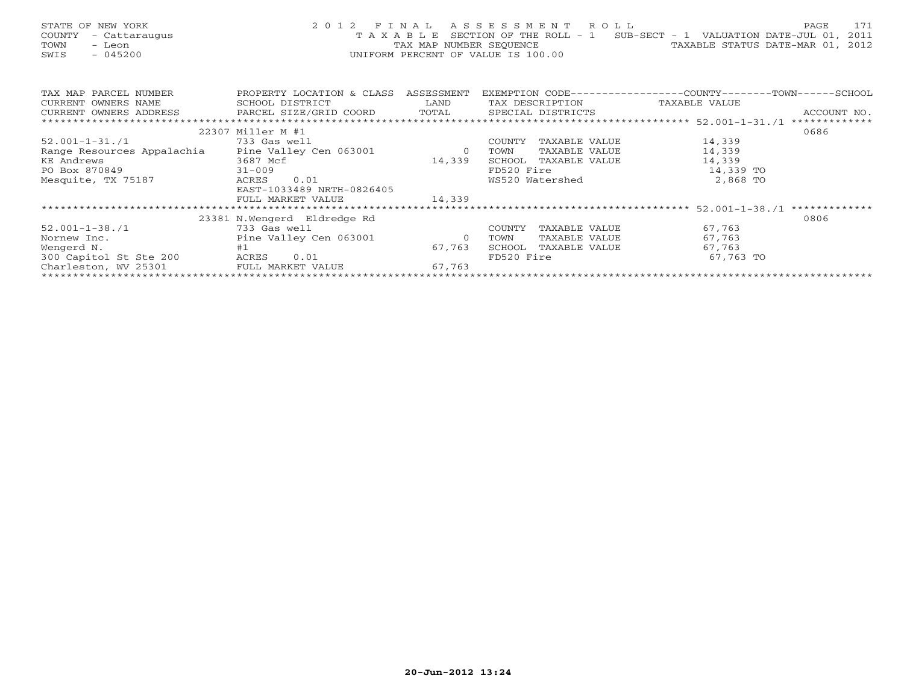| STATE OF NEW YORK    | 2012 FINAL ASSESSMENT ROLL                                                     | 171<br>PAGE                      |  |
|----------------------|--------------------------------------------------------------------------------|----------------------------------|--|
| COUNTY - Cattaraugus | T A X A B L E SECTION OF THE ROLL - 1 SUB-SECT - 1 VALUATION DATE-JUL 01, 2011 |                                  |  |
| TOWN<br>- Leon       | TAX MAP NUMBER SEOUENCE                                                        | TAXABLE STATUS DATE-MAR 01, 2012 |  |
| SWIS<br>- 045200     | UNIFORM PERCENT OF VALUE IS 100.00                                             |                                  |  |
|                      |                                                                                |                                  |  |

| TAX MAP PARCEL NUMBER                                                 | PROPERTY LOCATION & CLASS   | ASSESSMENT     |                 |               | EXEMPTION CODE-----------------COUNTY-------TOWN------SCHOOL |               |
|-----------------------------------------------------------------------|-----------------------------|----------------|-----------------|---------------|--------------------------------------------------------------|---------------|
| CURRENT OWNERS NAME                                                   | SCHOOL DISTRICT             | LAND           | TAX DESCRIPTION |               | TAXABLE VALUE                                                |               |
| CURRENT OWNERS ADDRESS FARCEL SIZE/GRID COORD TOTAL SPECIAL DISTRICTS |                             |                |                 |               |                                                              | ACCOUNT NO.   |
|                                                                       |                             |                |                 |               |                                                              | ************* |
|                                                                       | 22307 Miller M #1           |                |                 |               |                                                              | 0686          |
| 52.001-1-31./1                                                        | 733 Gas well                |                | COUNTY          | TAXABLE VALUE | 14,339                                                       |               |
| Range Resources Appalachia                                            | Pine Valley Cen 063001      | $\overline{0}$ | TOWN            | TAXABLE VALUE | 14,339                                                       |               |
| KE Andrews                                                            | 3687 Mcf                    | 14,339         | SCHOOL          | TAXABLE VALUE | 14,339                                                       |               |
| PO Box 870849                                                         | $31 - 009$                  |                | FD520 Fire      |               | 14,339 TO                                                    |               |
| Mesquite, TX 75187                                                    | 0.01<br>ACRES               |                | WS520 Watershed |               | 2,868 TO                                                     |               |
|                                                                       | EAST-1033489 NRTH-0826405   |                |                 |               |                                                              |               |
|                                                                       | FULL MARKET VALUE           | 14,339         |                 |               |                                                              |               |
|                                                                       |                             |                |                 |               |                                                              | ************* |
|                                                                       | 23381 N.Wengerd Eldredge Rd |                |                 |               |                                                              | 0806          |
| $52.001 - 1 - 38.71$                                                  | 733 Gas well                |                | COUNTY          | TAXABLE VALUE | 67,763                                                       |               |
| Nornew Inc.                                                           | Pine Valley Cen 063001      | $\overline{0}$ | TOWN            | TAXABLE VALUE | 67,763                                                       |               |
| Wengerd N.                                                            | #1                          | 67,763         | SCHOOL          | TAXABLE VALUE | 67,763                                                       |               |
| 300 Capitol St Ste 200                                                | 0.01<br>ACRES               |                | FD520 Fire      |               | 67,763 TO                                                    |               |
| Charleston, WV 25301                                                  | FULL MARKET VALUE           | 67,763         |                 |               |                                                              |               |
|                                                                       |                             |                |                 |               |                                                              |               |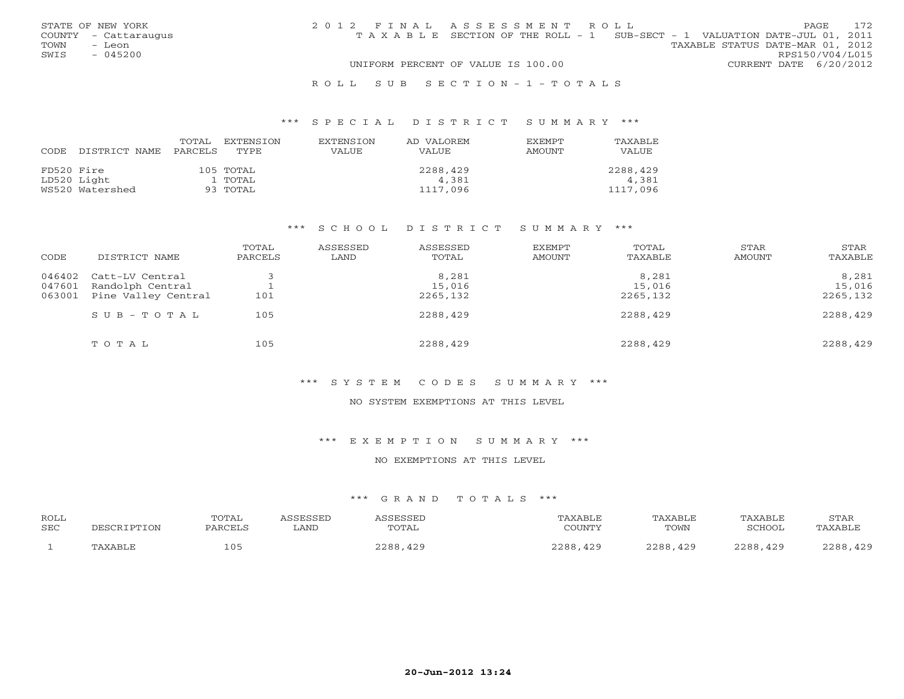|      | STATE OF NEW YORK    | 2012 FINAL ASSESSMENT ROLL |                                                                                |                                  |                        | PAGE | 172 |
|------|----------------------|----------------------------|--------------------------------------------------------------------------------|----------------------------------|------------------------|------|-----|
|      | COUNTY - Cattaraugus |                            | T A X A B L E SECTION OF THE ROLL - 1 SUB-SECT - 1 VALUATION DATE-JUL 01, 2011 |                                  |                        |      |     |
| TOWN | - Leon               |                            |                                                                                | TAXABLE STATUS DATE-MAR 01, 2012 |                        |      |     |
| SWIS | $-045200$            |                            |                                                                                |                                  | RPS150/V04/L015        |      |     |
|      |                      |                            | UNIFORM PERCENT OF VALUE IS 100.00                                             |                                  | CURRENT DATE 6/20/2012 |      |     |
|      |                      |                            |                                                                                |                                  |                        |      |     |

### R O L L S U B S E C T I O N - 1 - T O T A L S

### \*\*\* S P E C I A L D I S T R I C T S U M M A R Y \*\*\*

| CODE       | DISTRICT NAME   | TOTAL<br>PARCELS | EXTENSTON<br>TYPE. | <b>EXTENSION</b><br>VALUE | AD VALOREM<br>VALUE. | EXEMPT<br>AMOUNT | TAXABLE<br><b>VALUE</b> |
|------------|-----------------|------------------|--------------------|---------------------------|----------------------|------------------|-------------------------|
| FD520 Fire |                 |                  | 105 TOTAL          |                           | 2288,429             |                  | 2288,429                |
|            | LD520 Light     |                  | 1 TOTAL            |                           | 4,381                |                  | 4,381                   |
|            | WS520 Watershed |                  | 93 TOTAL           |                           | 1117,096             |                  | 1117,096                |

### \*\*\* S C H O O L D I S T R I C T S U M M A R Y \*\*\*

| CODE   | DISTRICT NAME           | TOTAL<br>PARCELS | ASSESSED<br>LAND | ASSESSED<br>TOTAL | <b>EXEMPT</b><br><b>AMOUNT</b> | TOTAL<br>TAXABLE | STAR<br>AMOUNT | STAR<br>TAXABLE |
|--------|-------------------------|------------------|------------------|-------------------|--------------------------------|------------------|----------------|-----------------|
| 046402 | Catt-LV Central         |                  |                  | 8,281             |                                | 8,281            |                | 8,281           |
| 047601 | Randolph Central        |                  |                  | 15,016            |                                | 15,016           |                | 15,016          |
| 063001 | Pine Valley Central     | 101              |                  | 2265,132          |                                | 2265,132         |                | 2265,132        |
|        | $S \cup B - T \cup T A$ | 105              |                  | 2288,429          |                                | 2288,429         |                | 2288,429        |
|        | TOTAL                   | 105              |                  | 2288,429          |                                | 2288,429         |                | 2288,429        |

# \*\*\* S Y S T E M C O D E S S U M M A R Y \*\*\*

#### NO SYSTEM EXEMPTIONS AT THIS LEVEL

### \*\*\* E X E M P T I O N S U M M A R Y \*\*\*

### NO EXEMPTIONS AT THIS LEVEL

# \*\*\* G R A N D T O T A L S \*\*\*

| <b>ROLL</b><br>SEC |               | TOTAI<br>DA DO FIC          | ∟AND | <b>CCFCCFT</b><br>TOTAL | PAXABL F<br>COUNTY | TAXABLE<br>TOWN | TAXABLE<br><b>SCHOOL</b> | STAR<br>$\sqrt{\Delta}$ X $\Delta$ RT $\sqrt{r}$ |
|--------------------|---------------|-----------------------------|------|-------------------------|--------------------|-----------------|--------------------------|--------------------------------------------------|
|                    | <b>IVARTT</b> | $\cdot$ $\cap$ $\in$<br>⊥∪. |      | 2200<br><u>າລດ</u>      | າາດດ<br>429        | າາດດ<br>429     | າາຊຊ<br>120              | $\bigwedge$ $\bigcap$ $\bigcap$<br>ה ה ה ר       |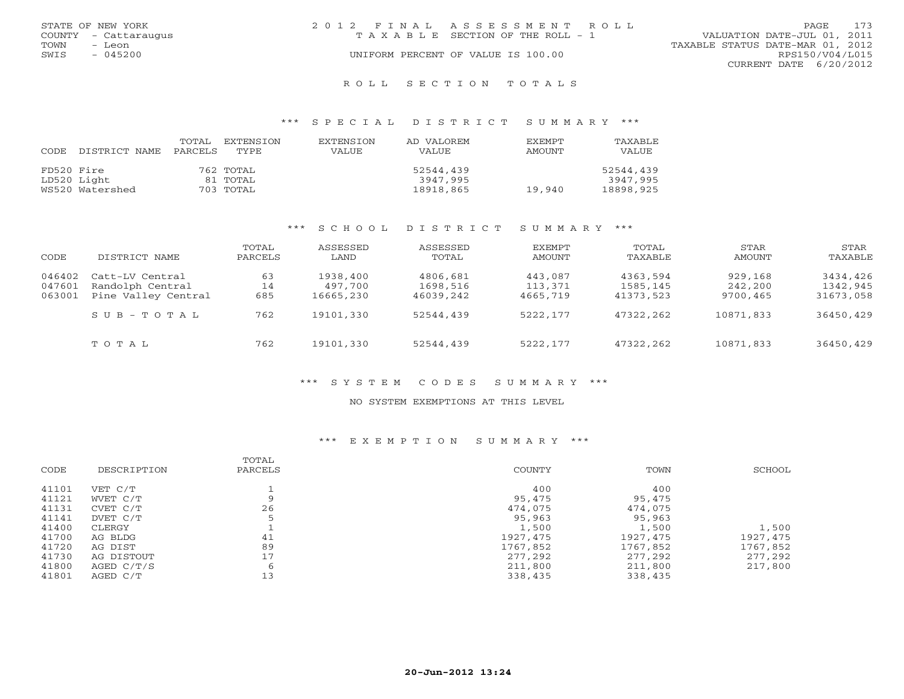| STATE OF NEW YORK    | 2012 FINAL ASSESSMENT ROLL<br>PAGE                                   | 173 |
|----------------------|----------------------------------------------------------------------|-----|
| COUNTY - Cattaraugus | VALUATION DATE-JUL 01, 2011<br>T A X A B L E SECTION OF THE ROLL - 1 |     |
| TOWN<br>- Leon       | TAXABLE STATUS DATE-MAR 01, 2012                                     |     |
| $-045200$<br>SWIS    | RPS150/V04/L015<br>UNIFORM PERCENT OF VALUE IS 100.00                |     |
|                      | CURRENT DATE 6/20/2012                                               |     |
|                      |                                                                      |     |

#### R O L L S E C T I O N T O T A L S

### \*\*\* S P E C I A L D I S T R I C T S U M M A R Y \*\*\*

| CODE       | DISTRICT NAME   | TOTAL<br>PARCELS | EXTENSTON<br>TYPE | <b>EXTENSION</b><br><b>VALUE</b> | AD VALOREM<br>VALUE | <b>EXEMPT</b><br><b>AMOUNT</b> | TAXABLE<br>VALUE |
|------------|-----------------|------------------|-------------------|----------------------------------|---------------------|--------------------------------|------------------|
| FD520 Fire |                 |                  | 762 TOTAL         |                                  | 52544,439           |                                | 52544,439        |
|            | LD520 Light     |                  | 81 TOTAL          |                                  | 3947,995            |                                | 3947,995         |
|            | WS520 Watershed |                  | 703 TOTAL         |                                  | 18918,865           | 19,940                         | 18898,925        |

### \*\*\* S C H O O L D I S T R I C T S U M M A R Y \*\*\*

| CODE             | DISTRICT NAME                       | TOTAL<br>PARCELS | ASSESSED<br>LAND    | ASSESSED<br>TOTAL    | EXEMPT<br>AMOUNT   | TOTAL<br>TAXABLE     | STAR<br>AMOUNT     | STAR<br>TAXABLE      |
|------------------|-------------------------------------|------------------|---------------------|----------------------|--------------------|----------------------|--------------------|----------------------|
| 046402<br>047601 | Catt-LV Central<br>Randolph Central | 63<br>14         | 1938,400<br>497,700 | 4806,681<br>1698,516 | 443,087<br>113,371 | 4363,594<br>1585,145 | 929,168<br>242,200 | 3434,426<br>1342,945 |
| 063001           | Pine Valley Central                 | 685              | 16665,230           | 46039,242            | 4665,719           | 41373,523            | 9700,465           | 31673,058            |
|                  | $S \cup B - T \cup T A$             | 762              | 19101,330           | 52544,439            | 5222,177           | 47322,262            | 10871,833          | 36450,429            |
|                  | TOTAL                               | 762              | 19101,330           | 52544,439            | 5222,177           | 47322,262            | 10871,833          | 36450,429            |

# \*\*\* S Y S T E M C O D E S S U M M A R Y \*\*\*

#### NO SYSTEM EXEMPTIONS AT THIS LEVEL

# \*\*\* E X E M P T I O N S U M M A R Y \*\*\*

|       |             | TOTAL   |               |           |          |
|-------|-------------|---------|---------------|-----------|----------|
| CODE  | DESCRIPTION | PARCELS | <b>COUNTY</b> | TOWN      | SCHOOL   |
| 41101 | VET C/T     |         | 400           | 400       |          |
| 41121 | WVET C/T    | Q       | 95,475        | 95,475    |          |
| 41131 | CVET C/T    | 26      | 474,075       | 474,075   |          |
| 41141 | DVET C/T    |         | 95,963        | 95,963    |          |
| 41400 | CLERGY      |         | 1,500         | 1,500     | 1,500    |
| 41700 | AG BLDG     | 41      | 1927,475      | 1927, 475 | 1927,475 |
| 41720 | AG DIST     | 89      | 1767,852      | 1767,852  | 1767,852 |
| 41730 | AG DISTOUT  | 17      | 277,292       | 277,292   | 277,292  |
| 41800 | AGED C/T/S  | 6       | 211,800       | 211,800   | 217,800  |
| 41801 | AGED C/T    | 13      | 338,435       | 338,435   |          |
|       |             |         |               |           |          |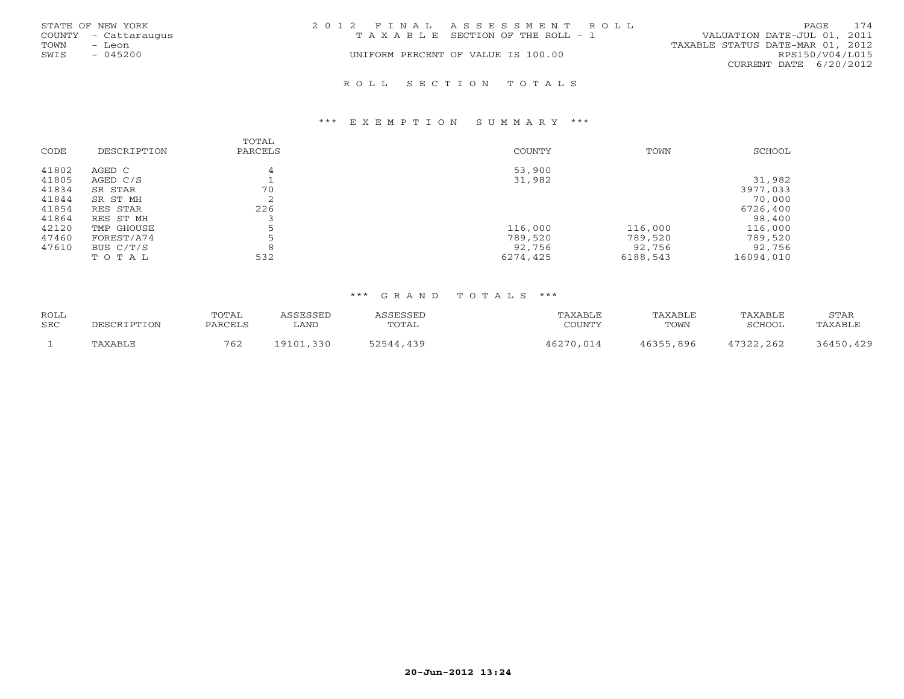|      | STATE OF NEW YORK    | 2012 FINAL ASSESSMENT ROLL |                                       |                                  | PAGE            | 174 |
|------|----------------------|----------------------------|---------------------------------------|----------------------------------|-----------------|-----|
|      | COUNTY - Cattaraugus |                            | T A X A B L E SECTION OF THE ROLL - 1 | VALUATION DATE-JUL 01, 2011      |                 |     |
| TOWN | - Leon               |                            |                                       | TAXABLE STATUS DATE-MAR 01, 2012 |                 |     |
| SWIS | $-045200$            |                            | UNIFORM PERCENT OF VALUE IS 100.00    |                                  | RPS150/V04/L015 |     |
|      |                      |                            |                                       | CURRENT DATE 6/20/2012           |                 |     |
|      |                      |                            |                                       |                                  |                 |     |

#### R O L L S E C T I O N T O T A L S

#### \*\*\* E X E M P T I O N S U M M A R Y \*\*\*

| CODE  | DESCRIPTION | TOTAL<br>PARCELS | COUNTY   | TOWN     | SCHOOL    |
|-------|-------------|------------------|----------|----------|-----------|
| 41802 | AGED C      |                  | 53,900   |          |           |
| 41805 | AGED C/S    |                  | 31,982   |          | 31,982    |
| 41834 | SR STAR     | 70               |          |          | 3977,033  |
| 41844 | SR ST MH    | ∠                |          |          | 70,000    |
| 41854 | RES STAR    | 226              |          |          | 6726,400  |
| 41864 | RES ST MH   |                  |          |          | 98,400    |
| 42120 | TMP GHOUSE  |                  | 116,000  | 116,000  | 116,000   |
| 47460 | FOREST/A74  |                  | 789,520  | 789,520  | 789,520   |
| 47610 | BUS C/T/S   |                  | 92,756   | 92,756   | 92,756    |
|       | TOTAL       | 532              | 6274,425 | 6188,543 | 16094,010 |

### \*\*\* G R A N D T O T A L S \*\*\*

| ROLL       |             | TOTAL   | ASSESSED  | ASSESSED  | TAXABLE   | TAXABLE   | TAXABLE   | STAR      |
|------------|-------------|---------|-----------|-----------|-----------|-----------|-----------|-----------|
| <b>SEC</b> | DESCRIPTION | PARCELS | LAND      | TOTAL     | COUNTY    | TOWN      | SCHOOL    | TAXABLE   |
|            | TAXABLE     | 762     | 19101,330 | 52544,439 | 46270.014 | 46355,896 | 47322,262 | 36450,429 |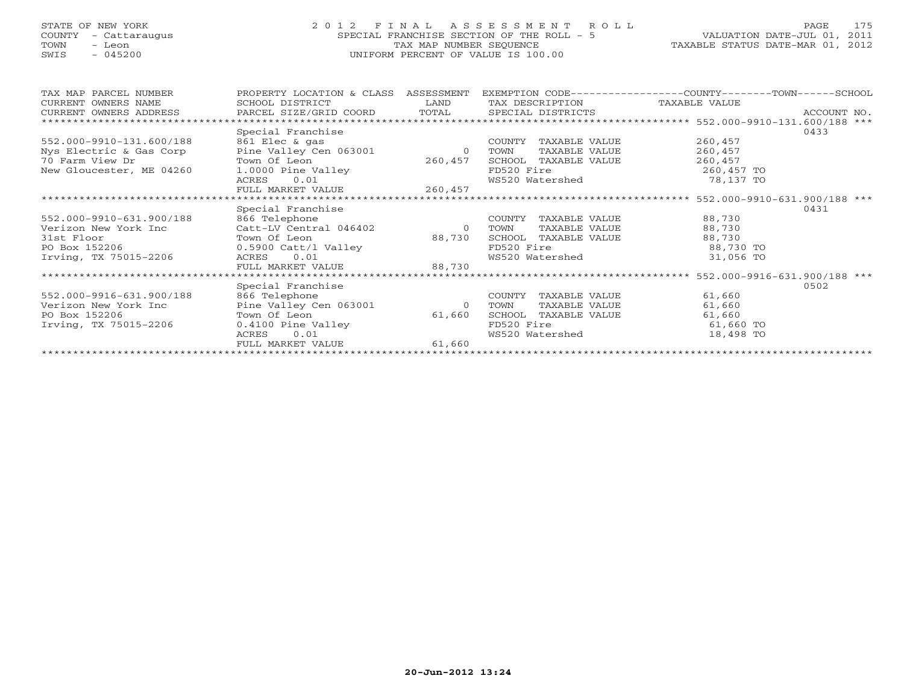# STATE OF NEW YORK 2 0 1 2 F I N A L A S S E S S M E N T R O L L PAGE 175 COUNTY - Cattaraugus SPECIAL FRANCHISE SECTION OF THE ROLL - 5 VALUATION DATE-JUL 01, 2011 TOWN - Leon TAX MAP NUMBER SEQUENCE TAXABLE STATUS DATE-MAR 01, 2012 SWIS - 045200 UNIFORM PERCENT OF VALUE IS 100.00

| TAX MAP PARCEL NUMBER                                                              | PROPERTY LOCATION & CLASS ASSESSMENT                  |                | EXEMPTION CODE-----------------COUNTY-------TOWN------SCHOOL |            |             |  |  |  |  |  |
|------------------------------------------------------------------------------------|-------------------------------------------------------|----------------|--------------------------------------------------------------|------------|-------------|--|--|--|--|--|
| CURRENT OWNERS NAME                                                                | SCHOOL DISTRICT                                       | LAND           | TAX DESCRIPTION TAXABLE VALUE                                |            |             |  |  |  |  |  |
| CURRENT OWNERS ADDRESS      PARCEL SIZE/GRID COORD     TOTAL     SPECIAL DISTRICTS |                                                       |                |                                                              |            | ACCOUNT NO. |  |  |  |  |  |
| **************************                                                         |                                                       |                |                                                              |            |             |  |  |  |  |  |
|                                                                                    | Special Franchise                                     |                |                                                              |            | 0433        |  |  |  |  |  |
| 552.000-9910-131.600/188                                                           |                                                       |                | TAXABLE VALUE<br>COUNTY                                      | 260,457    |             |  |  |  |  |  |
| Nys Electric & Gas Corp                                                            | ool Elec & gas<br>Pine Valley Cen 063001<br>Morm Of I | $\overline{0}$ | TAXABLE VALUE<br>TOWN                                        | 260,457    |             |  |  |  |  |  |
| 70 Farm View Dr                                                                    | Town Of Leon                                          | 260,457        | SCHOOL TAXABLE VALUE                                         | 260,457    |             |  |  |  |  |  |
| New Gloucester, ME 04260                                                           | 1.0000 Pine Valley                                    |                | FD520 Fire                                                   | 260,457 TO |             |  |  |  |  |  |
|                                                                                    | 0.01<br>ACRES                                         |                | WS520 Watershed                                              | 78,137 TO  |             |  |  |  |  |  |
|                                                                                    | FULL MARKET VALUE                                     | 260,457        |                                                              |            |             |  |  |  |  |  |
|                                                                                    |                                                       |                |                                                              |            |             |  |  |  |  |  |
|                                                                                    | Special Franchise                                     |                |                                                              |            | 0431        |  |  |  |  |  |
| 552.000-9910-631.900/188                                                           | 866 Telephone                                         |                | COUNTY<br>TAXABLE VALUE                                      | 88,730     |             |  |  |  |  |  |
| Verizon New York Inc                                                               | Catt-LV Central 046402 0 TOWN                         |                | TAXABLE VALUE                                                | 88,730     |             |  |  |  |  |  |
| 31st Floor                                                                         | Town Of Leon                                          | 88,730         | SCHOOL TAXABLE VALUE                                         | 88,730     |             |  |  |  |  |  |
| PO Box 152206                                                                      | 10wh of Lives<br>0.5900 Catt/1 Valley                 |                | FD520 Fire                                                   | 88,730 TO  |             |  |  |  |  |  |
| Irving, TX 75015-2206                                                              |                                                       |                | WS520 Watershed                                              | 31,056 TO  |             |  |  |  |  |  |
|                                                                                    | FULL MARKET VALUE                                     | 88,730         |                                                              |            |             |  |  |  |  |  |
|                                                                                    |                                                       |                |                                                              |            |             |  |  |  |  |  |
|                                                                                    | Special Franchise                                     |                |                                                              |            | 0502        |  |  |  |  |  |
| 552.000-9916-631.900/188                                                           | 866 Telephone                                         |                | TAXABLE VALUE<br>COUNTY                                      | 61,660     |             |  |  |  |  |  |
| Verizon New York Inc                                                               | Pine Valley Cen 063001                                | $\overline{0}$ | TAXABLE VALUE<br>TOWN                                        | 61,660     |             |  |  |  |  |  |
| PO Box 152206                                                                      | Town Of Leon                                          | 61,660         | SCHOOL TAXABLE VALUE                                         | 61,660     |             |  |  |  |  |  |
| Irving, TX 75015-2206                                                              | 0.4100 Pine Valley                                    |                | FD520 Fire                                                   | 61,660 TO  |             |  |  |  |  |  |
|                                                                                    | 0.01<br>ACRES                                         |                | WS520 Watershed                                              | 18,498 TO  |             |  |  |  |  |  |
|                                                                                    | FULL MARKET VALUE                                     | 61,660         |                                                              |            |             |  |  |  |  |  |
|                                                                                    |                                                       |                |                                                              |            |             |  |  |  |  |  |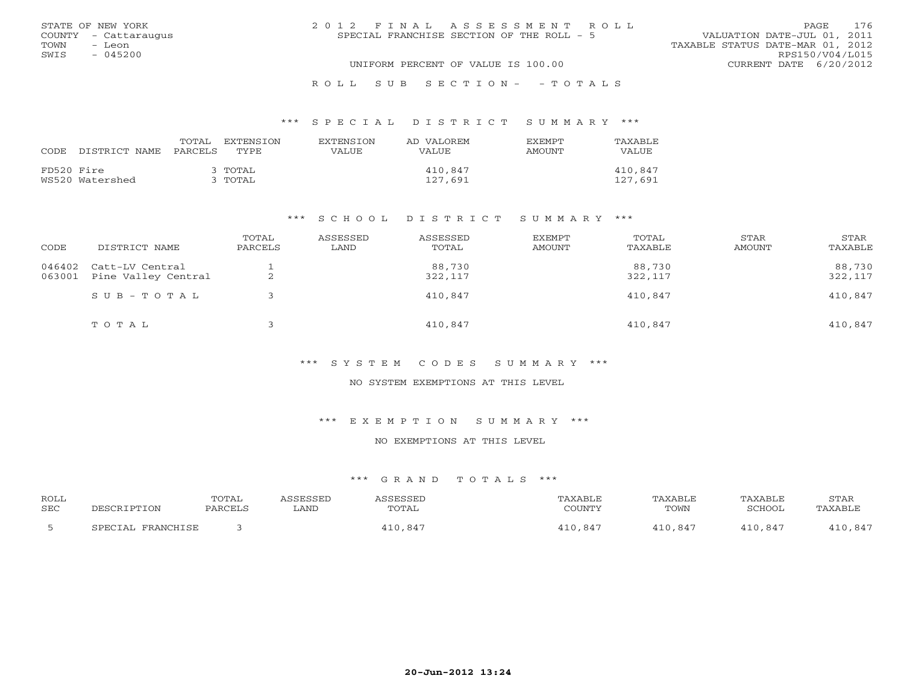|      | STATE OF NEW YORK    | 2012 FINAL ASSESSMENT ROLL                | 176<br><b>PAGE</b>               |
|------|----------------------|-------------------------------------------|----------------------------------|
|      | COUNTY - Cattaraugus | SPECIAL FRANCHISE SECTION OF THE ROLL - 5 | VALUATION DATE-JUL 01, 2011      |
| TOWN | - Leon               |                                           | TAXABLE STATUS DATE-MAR 01, 2012 |
| SWIS | $-045200$            |                                           | RPS150/V04/L015                  |
|      |                      | UNIFORM PERCENT OF VALUE IS 100.00        | CURRENT DATE 6/20/2012           |
|      |                      |                                           |                                  |

### R O L L S U B S E C T I O N - - T O T A L S

### \*\*\* S P E C I A L D I S T R I C T S U M M A R Y \*\*\*

| CODE.      | DISTRICT NAME   | TOTAL<br>PARCELS | EXTENSTON<br>TYPE    | <b>EXTENSION</b><br>VALUE. | AD VALOREM<br>VALUE. | <b>EXEMPT</b><br>AMOUNT | <b>TAXABLE</b><br>VALUE |
|------------|-----------------|------------------|----------------------|----------------------------|----------------------|-------------------------|-------------------------|
| FD520 Fire | WS520 Watershed |                  | 3 ТОТАІ.<br>3 ТОТАІ, |                            | 410,847<br>127,691   |                         | 410,847<br>127,691      |

### \*\*\* S C H O O L D I S T R I C T S U M M A R Y \*\*\*

| CODE             | DISTRICT NAME                          | TOTAL<br>PARCELS | ASSESSED<br>LAND | ASSESSED<br>TOTAL | EXEMPT<br>AMOUNT | TOTAL<br>TAXABLE  | STAR<br>AMOUNT | STAR<br>TAXABLE   |
|------------------|----------------------------------------|------------------|------------------|-------------------|------------------|-------------------|----------------|-------------------|
| 046402<br>063001 | Catt-LV Central<br>Pine Valley Central | ▵                |                  | 88,730<br>322,117 |                  | 88,730<br>322,117 |                | 88,730<br>322,117 |
|                  | SUB-TOTAL                              |                  |                  | 410,847           |                  | 410,847           |                | 410,847           |
|                  | TOTAL                                  |                  |                  | 410,847           |                  | 410,847           |                | 410,847           |

### \*\*\* S Y S T E M C O D E S S U M M A R Y \*\*\*

## NO SYSTEM EXEMPTIONS AT THIS LEVEL

### \*\*\* E X E M P T I O N S U M M A R Y \*\*\*

## NO EXEMPTIONS AT THIS LEVEL

# \*\*\* G R A N D T O T A L S \*\*\*

| <b>ROLL</b><br><b>SEC</b> | DESCRIPTION       | TOTAL<br>PARCELS | SSESSED<br>∟AND | ASSESSED<br>TOTAL | TAXABLE<br>COUNTY | TAXABLE<br>TOWN | TAXABLE<br>SCHOOL | <b>STAR</b><br>TAXABLE |
|---------------------------|-------------------|------------------|-----------------|-------------------|-------------------|-----------------|-------------------|------------------------|
|                           | SPECIAL FRANCHISE |                  |                 | 110.847           | 410,847           | 410,847         | 410,847           | 110,847                |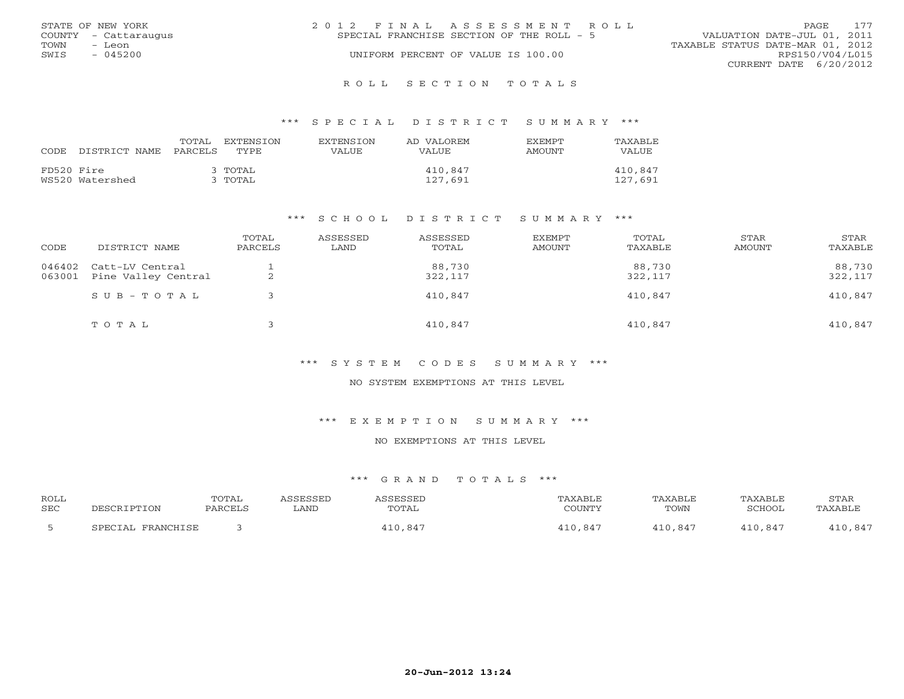|      | STATE OF NEW YORK    | 2012 FINAL ASSESSMENT ROLL                                               | PAGE            | 177 |
|------|----------------------|--------------------------------------------------------------------------|-----------------|-----|
|      | COUNTY - Cattaraugus | VALUATION DATE-JUL 01, 2011<br>SPECIAL FRANCHISE SECTION OF THE ROLL - 5 |                 |     |
| TOWN | - Leon               | TAXABLE STATUS DATE-MAR 01, 2012                                         |                 |     |
| SWIS | $-045200$            | UNIFORM PERCENT OF VALUE IS 100.00                                       | RPS150/V04/L015 |     |
|      |                      | CURRENT DATE 6/20/2012                                                   |                 |     |
|      |                      |                                                                          |                 |     |

#### R O L L S E C T I O N T O T A L S

### \*\*\* S P E C I A L D I S T R I C T S U M M A R Y \*\*\*

| CODE.      | DISTRICT NAME PARCELS | TOTAL | EXTENSTON<br>TYPE    | <b>EXTENSION</b><br>VALUE | AD VALOREM<br><b>VALUE</b> | <b>EXEMPT</b><br>AMOUNT | TAXABLE<br><b>VALUE</b> |
|------------|-----------------------|-------|----------------------|---------------------------|----------------------------|-------------------------|-------------------------|
| FD520 Fire | WS520 Watershed       |       | 3 ТОТАІ.<br>3 ТОТАІ. |                           | 410,847<br>127,691         |                         | 410,847<br>127,691      |

### \*\*\* S C H O O L D I S T R I C T S U M M A R Y \*\*\*

| CODE             | DISTRICT NAME                          | TOTAL<br>PARCELS | ASSESSED<br>LAND | ASSESSED<br>TOTAL | EXEMPT<br>AMOUNT | TOTAL<br>TAXABLE  | STAR<br>AMOUNT | STAR<br>TAXABLE   |
|------------------|----------------------------------------|------------------|------------------|-------------------|------------------|-------------------|----------------|-------------------|
| 046402<br>063001 | Catt-LV Central<br>Pine Valley Central | ∼                |                  | 88,730<br>322,117 |                  | 88,730<br>322,117 |                | 88,730<br>322,117 |
|                  | SUB-TOTAL                              |                  |                  | 410,847           |                  | 410,847           |                | 410,847           |
|                  | TOTAL                                  |                  |                  | 410,847           |                  | 410,847           |                | 410,847           |

### \*\*\* S Y S T E M C O D E S S U M M A R Y \*\*\*

## NO SYSTEM EXEMPTIONS AT THIS LEVEL

#### \*\*\* E X E M P T I O N S U M M A R Y \*\*\*

# NO EXEMPTIONS AT THIS LEVEL

# \*\*\* G R A N D T O T A L S \*\*\*

| <b>ROLL</b><br><b>SEC</b> | PESCRIPTION       | <b>TOTAL</b><br>PARCELS | <i><b>\SSESSED</b></i><br>∟AND | ASSESSED<br>TOTAL | TAXABLE<br>COUNTY | TAXABLE<br>TOWN | TAXABLE<br>SCHOOL | STAR<br>TAXABLE |
|---------------------------|-------------------|-------------------------|--------------------------------|-------------------|-------------------|-----------------|-------------------|-----------------|
|                           |                   |                         |                                |                   |                   |                 |                   |                 |
|                           | SPECIAL FRANCHISE |                         |                                | 410,847           | . 847<br>10       | 410.847         | 410.847           | 410,847         |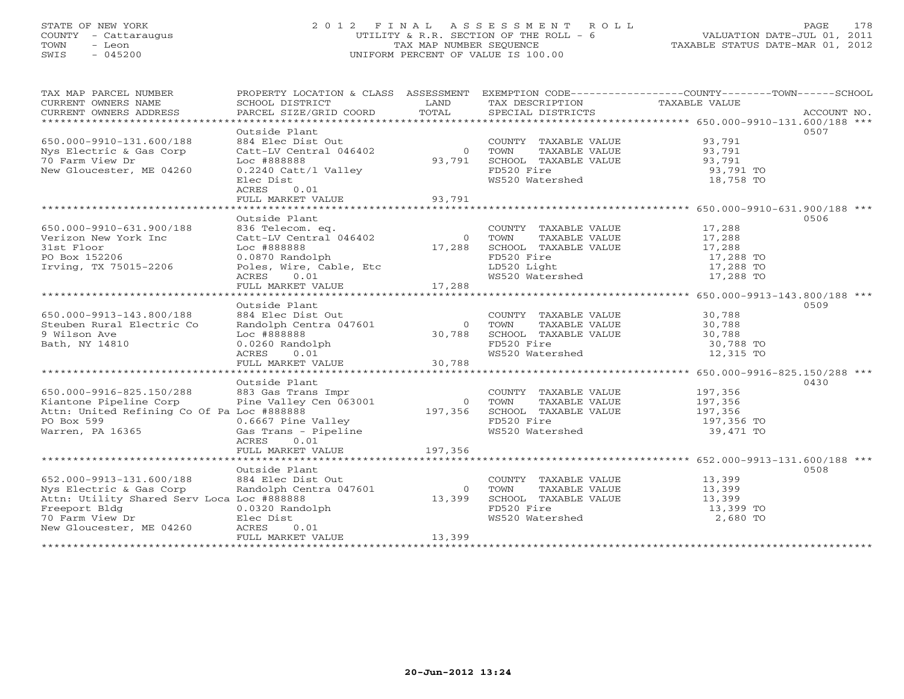# STATE OF NEW YORK 2 0 1 2 F I N A L A S S E S S M E N T R O L L PAGE 178 COUNTY - Cattaraugus UTILITY & R.R. SECTION OF THE ROLL - 6 VALUATION DATE-JUL 01, 2011 TOWN - Leon TAX MAP NUMBER SEQUENCE TAXABLE STATUS DATE-MAR 01, 2012 SWIS - 045200 UNIFORM PERCENT OF VALUE IS 100.00UNIFORM PERCENT OF VALUE IS 100.00

| TAX MAP PARCEL NUMBER                                                                                                                                                                                                                |                                                                                        |        | PROPERTY LOCATION & CLASS ASSESSMENT EXEMPTION CODE----------------COUNTY-------TOWN------SCHOOL    |                        |      |
|--------------------------------------------------------------------------------------------------------------------------------------------------------------------------------------------------------------------------------------|----------------------------------------------------------------------------------------|--------|-----------------------------------------------------------------------------------------------------|------------------------|------|
| CURRENT OWNERS NAME                                                                                                                                                                                                                  |                                                                                        |        |                                                                                                     |                        |      |
| CURRENT OWNERS ADDRESS                                                                                                                                                                                                               |                                                                                        |        |                                                                                                     |                        |      |
| ***********************                                                                                                                                                                                                              |                                                                                        |        |                                                                                                     |                        |      |
|                                                                                                                                                                                                                                      | Outside Plant                                                                          |        |                                                                                                     |                        | 0507 |
| 650.000-9910-131.600/188                                                                                                                                                                                                             | 884 Elec Dist Out                                                                      |        |                                                                                                     |                        |      |
| Nys Electric & Gas Corp                                                                                                                                                                                                              | Catt-LV Central 046402                                                                 |        |                                                                                                     |                        |      |
| 70 Farm View Dr                                                                                                                                                                                                                      | Loc #888888                                                                            |        | COUNTY TAXABLE VALUE 93,791<br>0 TOWN TAXABLE VALUE 93,791<br>93,791 SCHOOL TAXABLE VALUE 93,791    |                        |      |
| New Gloucester, ME 04260                                                                                                                                                                                                             |                                                                                        |        |                                                                                                     |                        |      |
|                                                                                                                                                                                                                                      | 0.2240 Catt/l Valley                                                                   |        | FD520 Fire<br>WS520 Watershed                                                                       | 93,791 TO              |      |
|                                                                                                                                                                                                                                      | Elec Dist                                                                              |        |                                                                                                     | 18,758 TO              |      |
|                                                                                                                                                                                                                                      | 0.01<br>ACRES                                                                          |        |                                                                                                     |                        |      |
|                                                                                                                                                                                                                                      | FULL MARKET VALUE 93,791                                                               |        |                                                                                                     |                        |      |
|                                                                                                                                                                                                                                      |                                                                                        |        |                                                                                                     |                        |      |
|                                                                                                                                                                                                                                      | Outside Plant                                                                          |        |                                                                                                     |                        | 0506 |
| 650.000-9910-631.900/188                                                                                                                                                                                                             | 836 Telecom. eq.<br>Catt-LV Central 046402                                             |        | COUNTY TAXABLE VALUE 17,288                                                                         |                        |      |
| Verizon New York Inc                                                                                                                                                                                                                 |                                                                                        |        |                                                                                                     |                        |      |
| 31st Floor                                                                                                                                                                                                                           | Loc #888888                                                                            |        | 0 TOWN TAXABLE VALUE<br>17,288 SCHOOL TAXABLE VALUE<br>TAXABLE VALUE 17,288<br>TAXABLE VALUE 17,288 |                        |      |
| PO Box 152206                                                                                                                                                                                                                        | 0.0870 Randolph                                                                        |        | FD520 Fire                                                                                          |                        |      |
| Irving, TX 75015-2206                                                                                                                                                                                                                |                                                                                        |        | FD520 Fire<br>LD520 Light<br>WS520 Watershed                                                        | 17,288 TO<br>17,288 TO |      |
|                                                                                                                                                                                                                                      |                                                                                        |        |                                                                                                     | 17,288 TO              |      |
|                                                                                                                                                                                                                                      |                                                                                        |        |                                                                                                     |                        |      |
|                                                                                                                                                                                                                                      |                                                                                        |        |                                                                                                     |                        |      |
|                                                                                                                                                                                                                                      | Outside Plant                                                                          |        |                                                                                                     |                        | 0509 |
| 650.000-9913-143.800/188                                                                                                                                                                                                             | 884 Elec Dist Out                                                                      |        | COUNTY TAXABLE VALUE 30,788                                                                         |                        |      |
|                                                                                                                                                                                                                                      |                                                                                        |        |                                                                                                     |                        |      |
| Steuben Rural Electric Co                                                                                                                                                                                                            | Randolph Centra 047601 0 TOWN TAXABLE VALUE<br>Toc #888888 30,788 SCHOOL TAXABLE VALUE |        | TAXABLE VALUE 30,788<br>TAXABLE VALUE 30,788                                                        |                        |      |
| 9 Wilson Ave                                                                                                                                                                                                                         |                                                                                        |        |                                                                                                     |                        |      |
| Bath, NY 14810                                                                                                                                                                                                                       |                                                                                        |        | FD520 Fire                                                                                          | 30,788 TO              |      |
|                                                                                                                                                                                                                                      |                                                                                        |        | WS520 Watershed                                                                                     | 12,315 TO              |      |
|                                                                                                                                                                                                                                      | 0.0260 Randolph<br>ACRES 0.01<br>FULL MARKET VALUE 30,788                              |        |                                                                                                     |                        |      |
|                                                                                                                                                                                                                                      |                                                                                        |        |                                                                                                     |                        |      |
|                                                                                                                                                                                                                                      | Outside Plant                                                                          |        |                                                                                                     |                        | 0430 |
|                                                                                                                                                                                                                                      |                                                                                        |        | COUNTY TAXABLE VALUE                                                                                |                        |      |
|                                                                                                                                                                                                                                      |                                                                                        |        |                                                                                                     |                        |      |
|                                                                                                                                                                                                                                      |                                                                                        |        |                                                                                                     |                        |      |
|                                                                                                                                                                                                                                      |                                                                                        |        |                                                                                                     | 197,356 TO             |      |
| 650.000-9916-825.150/288 883 Gas Trans Impr COUNTY TAXABLE VALUE 197,356<br>Kiantone Pipeline Corp Pine Valley Cen 063001 0 TOWN TAXABLE VALUE 197,356<br>Attn: United Refining Co Of Pa Loc #888888 197,356<br>PO Box 599 0.6667 Pi |                                                                                        |        |                                                                                                     | 39,471 TO              |      |
|                                                                                                                                                                                                                                      | ACRES<br>0.01                                                                          |        |                                                                                                     |                        |      |
|                                                                                                                                                                                                                                      | FULL MARKET VALUE 197,356                                                              |        |                                                                                                     |                        |      |
|                                                                                                                                                                                                                                      |                                                                                        |        |                                                                                                     |                        |      |
|                                                                                                                                                                                                                                      | Outside Plant                                                                          |        |                                                                                                     |                        | 0508 |
|                                                                                                                                                                                                                                      |                                                                                        |        |                                                                                                     |                        |      |
| 652.000-9913-131.600/188<br>Nys Electric & Gas Corp                                                                                                                                                                                  | 884 Elec Dist Out<br>Randolph Centra 047601                                            | 0 TOWN | COUNTY TAXABLE VALUE 13,399<br>TOWN TAXABLE VALUE 13,399                                            |                        |      |
|                                                                                                                                                                                                                                      |                                                                                        |        | 13,399 SCHOOL TAXABLE VALUE 13,399                                                                  |                        |      |
|                                                                                                                                                                                                                                      |                                                                                        |        |                                                                                                     | 13,399 TO              |      |
|                                                                                                                                                                                                                                      |                                                                                        |        | FD520 Fire<br>WS520 Watershed                                                                       | 2,680 TO               |      |
|                                                                                                                                                                                                                                      |                                                                                        |        |                                                                                                     |                        |      |
| Freeport Bldg<br>Freeport Bldg<br>70 Farm View Dr<br>New Gloucester, ME 04260<br>New Gloucester, ME 04260<br>New Gloucester, ME 04260<br>Princess 0.01                                                                               |                                                                                        |        |                                                                                                     |                        |      |
|                                                                                                                                                                                                                                      |                                                                                        | 13,399 |                                                                                                     |                        |      |
|                                                                                                                                                                                                                                      |                                                                                        |        |                                                                                                     |                        |      |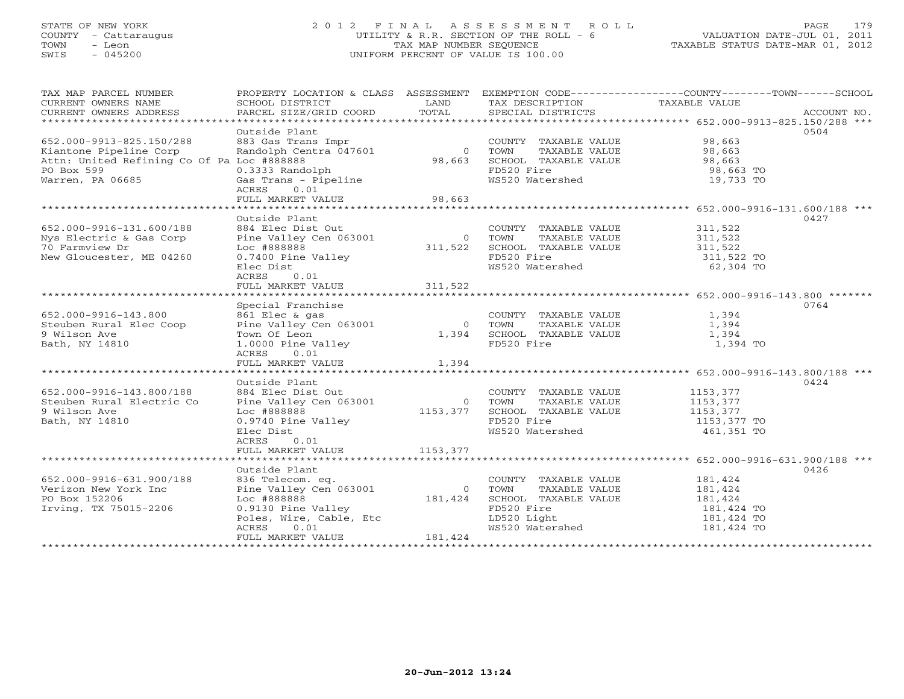# STATE OF NEW YORK 2 0 1 2 F I N A L A S S E S S M E N T R O L L PAGE 179 COUNTY - Cattaraugus UTILITY & R.R. SECTION OF THE ROLL - 6 VALUATION DATE-JUL 01, 2011 TOWN - Leon TAX MAP NUMBER SEQUENCE TAXABLE STATUS DATE-MAR 01, 2012 SWIS - 045200 UNIFORM PERCENT OF VALUE IS 100.00UNIFORM PERCENT OF VALUE IS 100.00

| TAX MAP PARCEL NUMBER                      | PROPERTY LOCATION & CLASS ASSESSMENT |          |                                | EXEMPTION CODE-----------------COUNTY-------TOWN------SCHOOL |
|--------------------------------------------|--------------------------------------|----------|--------------------------------|--------------------------------------------------------------|
| CURRENT OWNERS NAME                        | SCHOOL DISTRICT                      | LAND     | TAX DESCRIPTION TAXABLE VALUE  |                                                              |
| CURRENT OWNERS ADDRESS                     | PARCEL SIZE/GRID COORD               | TOTAL    | SPECIAL DISTRICTS              | ACCOUNT NO.                                                  |
| ***********************                    |                                      |          |                                |                                                              |
|                                            | Outside Plant                        |          |                                | 0504                                                         |
| 652.000-9913-825.150/288                   | 883 Gas Trans Impr                   |          | COUNTY TAXABLE VALUE           | 98,663                                                       |
| Kiantone Pipeline Corp                     | Randolph Centra 047601               | $\circ$  | TAXABLE VALUE<br>TOWN          | 98,663                                                       |
| Attn: United Refining Co Of Pa Loc #888888 |                                      | 98,663   | SCHOOL TAXABLE VALUE           | 98,663                                                       |
| PO Box 599                                 | 0.3333 Randolph                      |          | FD520 Fire                     | 98,663 TO                                                    |
| Warren, PA 06685                           | Gas Trans - Pipeline                 |          | WS520 Watershed                | 19,733 TO                                                    |
|                                            | ACRES<br>0.01                        |          |                                |                                                              |
|                                            | FULL MARKET VALUE                    | 98,663   |                                |                                                              |
|                                            |                                      |          |                                |                                                              |
|                                            | Outside Plant                        |          |                                | 0427                                                         |
| 652.000-9916-131.600/188                   | 884 Elec Dist Out                    |          | COUNTY TAXABLE VALUE           | 311,522                                                      |
| Nys Electric & Gas Corp                    | Pine Valley Cen 063001               | $\Omega$ | TOWN<br>TAXABLE VALUE          | 311,522                                                      |
| 70 Farmview Dr                             | Loc #888888                          | 311,522  | SCHOOL TAXABLE VALUE           | 311,522                                                      |
| New Gloucester, ME 04260                   | 0.7400 Pine Valley                   |          | FD520 Fire                     | 311,522 TO                                                   |
|                                            | Elec Dist                            |          | WS520 Watershed                | 62,304 TO                                                    |
|                                            | ACRES<br>0.01                        |          |                                |                                                              |
|                                            | FULL MARKET VALUE                    | 311,522  |                                |                                                              |
|                                            |                                      |          |                                |                                                              |
|                                            | Special Franchise                    |          |                                | 0764                                                         |
|                                            |                                      |          |                                |                                                              |
| 652.000-9916-143.800                       | 861 Elec & gas                       |          | COUNTY TAXABLE VALUE           | 1,394                                                        |
| Steuben Rural Elec Coop                    | Pine Valley Cen 063001               | $\Omega$ | TAXABLE VALUE<br>TOWN          | 1,394                                                        |
| 9 Wilson Ave                               | Town Of Leon                         | 1,394    | SCHOOL TAXABLE VALUE           | 1,394                                                        |
| Bath, NY 14810                             | 1.0000 Pine Valley                   |          | FD520 Fire                     | 1,394 TO                                                     |
|                                            | 0.01<br>ACRES                        |          |                                |                                                              |
|                                            | FULL MARKET VALUE                    | 1,394    |                                |                                                              |
|                                            |                                      |          |                                |                                                              |
|                                            | Outside Plant                        |          |                                | 0424                                                         |
| 652.000-9916-143.800/188                   | 884 Elec Dist Out                    |          | COUNTY TAXABLE VALUE           | 1153,377                                                     |
| Steuben Rural Electric Co                  | Pine Valley Cen 063001               | $\Omega$ | TOWN<br>TAXABLE VALUE          | 1153,377                                                     |
| 9 Wilson Ave                               | Loc #888888                          | 1153,377 | SCHOOL TAXABLE VALUE           | 1153,377                                                     |
| Bath, NY 14810                             | 0.9740 Pine Valley                   |          | FD520 Fire                     | 1153,377 TO                                                  |
|                                            | Elec Dist                            |          | WS520 Watershed                | 461,351 TO                                                   |
|                                            | 0.01<br>ACRES                        |          |                                |                                                              |
|                                            | FULL MARKET VALUE                    | 1153,377 |                                |                                                              |
|                                            |                                      |          |                                |                                                              |
|                                            | Outside Plant                        |          |                                | 0426                                                         |
| 652.000-9916-631.900/188                   | 836 Telecom. eq.                     |          | COUNTY TAXABLE VALUE           | 181,424                                                      |
| Verizon New York Inc                       | Pine Valley Cen 063001               | $\circ$  | TOWN<br>TAXABLE VALUE          | 181,424                                                      |
| PO Box 152206                              | Loc #888888                          | 181,424  | SCHOOL TAXABLE VALUE           | 181,424                                                      |
| Irving, TX 75015-2206                      | 0.9130 Pine Valley                   |          | FD520 Fire                     | 181,424 TO                                                   |
|                                            | Poles, Wire, Cable, Etc              |          |                                | 181,424 TO                                                   |
|                                            | ACRES<br>0.01                        |          | LD520 Light<br>WS520 Watershed | 181,424 TO                                                   |
|                                            | FULL MARKET VALUE                    | 181,424  |                                |                                                              |
|                                            |                                      |          |                                |                                                              |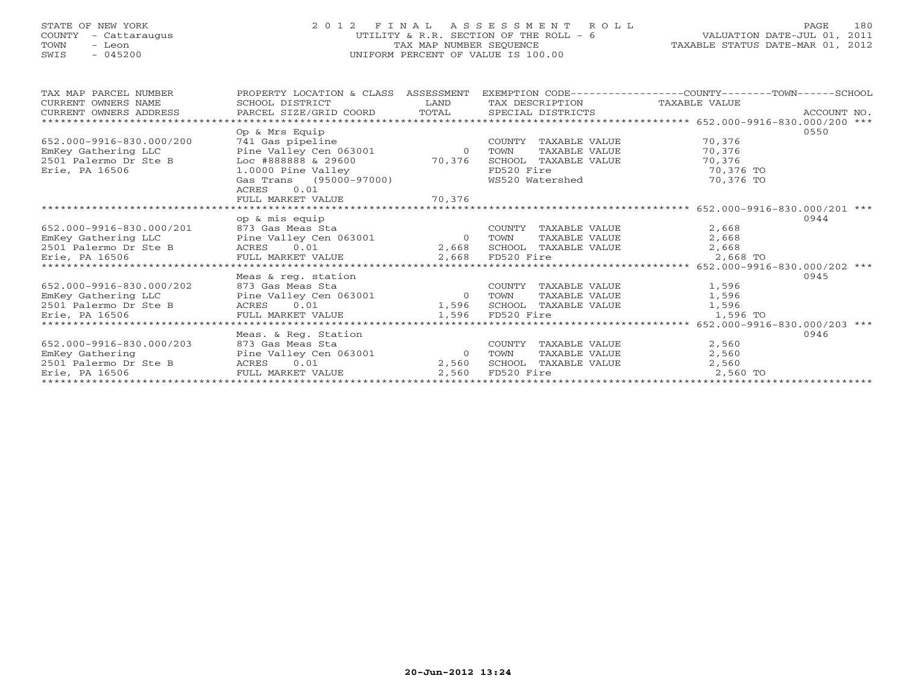# STATE OF NEW YORK 2 0 1 2 F I N A L A S S E S S M E N T R O L L PAGE 180 COUNTY - Cattaraugus UTILITY & R.R. SECTION OF THE ROLL - 6 VALUATION DATE-JUL 01, 2011 TOWN - Leon TAX MAP NUMBER SEQUENCE TAXABLE STATUS DATE-MAR 01, 2012 SWIS - 045200 UNIFORM PERCENT OF VALUE IS 100.00UNIFORM PERCENT OF VALUE IS 100.00

| TAX MAP PARCEL NUMBER    | PROPERTY LOCATION & CLASS ASSESSMENT                     |                |                            | EXEMPTION CODE-----------------COUNTY-------TOWN------SCHOOL |
|--------------------------|----------------------------------------------------------|----------------|----------------------------|--------------------------------------------------------------|
| CURRENT OWNERS NAME      | SCHOOL DISTRICT                                          | LAND           | TAX DESCRIPTION            | TAXABLE VALUE                                                |
| CURRENT OWNERS ADDRESS   | PARCEL SIZE/GRID COORD TOTAL SPECIAL DISTRICTS           |                |                            | ACCOUNT NO.                                                  |
|                          |                                                          |                |                            | ********************* 652.000-9916-830.000/200 ***           |
|                          | Op & Mrs Equip                                           |                |                            | 0550                                                         |
| 652.000-9916-830.000/200 |                                                          |                | COUNTY TAXABLE VALUE       | 70,376                                                       |
| EmKey Gathering LLC      | 741 Gas pipeline<br>Pine Valley Cen 063001 (0)           |                | TAXABLE VALUE<br>TOWN      | 70,376                                                       |
| 2501 Palermo Dr Ste B    | Loc #888888 & 29600 $\qquad$ 70,376 SCHOOL TAXABLE VALUE |                |                            | 70,376                                                       |
| Erie, PA 16506           | 1.0000 Pine Valley                                       |                | FD520 Fire                 | 70,376 TO                                                    |
|                          | Gas Trans (95000-97000)                                  |                | WS520 Watershed            | 70,376 TO                                                    |
|                          | 0.01<br>ACRES                                            |                |                            |                                                              |
|                          | FULL MARKET VALUE 70,376                                 |                |                            |                                                              |
|                          |                                                          |                |                            |                                                              |
|                          | op & mis equip                                           |                |                            | 0944                                                         |
| 652.000-9916-830.000/201 |                                                          |                | COUNTY TAXABLE VALUE       | 2,668                                                        |
| EmKey Gathering LLC      | 873 Gas Meas Sta<br>Pine Valley Cen 063001               | $\overline{0}$ | TOWN<br>TAXABLE VALUE      | 2,668                                                        |
| 2501 Palermo Dr Ste B    | Ste B ACRES 0.01<br>FULL MARKET VALUE                    |                | 2,668 SCHOOL TAXABLE VALUE | 2,668                                                        |
| Erie, PA 16506           |                                                          |                | 2,668 FD520 Fire           | 2,668 TO                                                     |
|                          |                                                          |                |                            |                                                              |
|                          | Meas & req. station                                      |                |                            | 0945                                                         |
| 652.000-9916-830.000/202 | 873 Gas Meas Sta                                         |                | COUNTY TAXABLE VALUE       | 1,596                                                        |
|                          | Pine Valley Cen 063001                                   |                | 0 TOWN<br>TAXABLE VALUE    | 1,596                                                        |
|                          |                                                          |                | 1,596 SCHOOL TAXABLE VALUE | 1,596                                                        |
| Erie, PA 16506           | FULL MARKET VALUE                                        |                | 1,596 FD520 Fire           | 1,596 TO                                                     |
|                          |                                                          |                |                            |                                                              |
|                          | Meas. & Reg. Station                                     |                |                            | 0946                                                         |
| 652.000-9916-830.000/203 | 873 Gas Meas Sta                                         |                | COUNTY<br>TAXABLE VALUE    | 2,560                                                        |
| EmKey Gathering          | Pine Valley Cen 063001                                   | $\overline{0}$ | TAXABLE VALUE<br>TOWN      | 2,560                                                        |
| 2501 Palermo Dr Ste B    | 0.01<br>ACRES                                            | 2,560          | SCHOOL TAXABLE VALUE       | 2,560                                                        |
| Erie, PA 16506           | FULL MARKET VALUE                                        | 2,560          | FD520 Fire                 | 2,560 TO                                                     |
|                          |                                                          |                |                            |                                                              |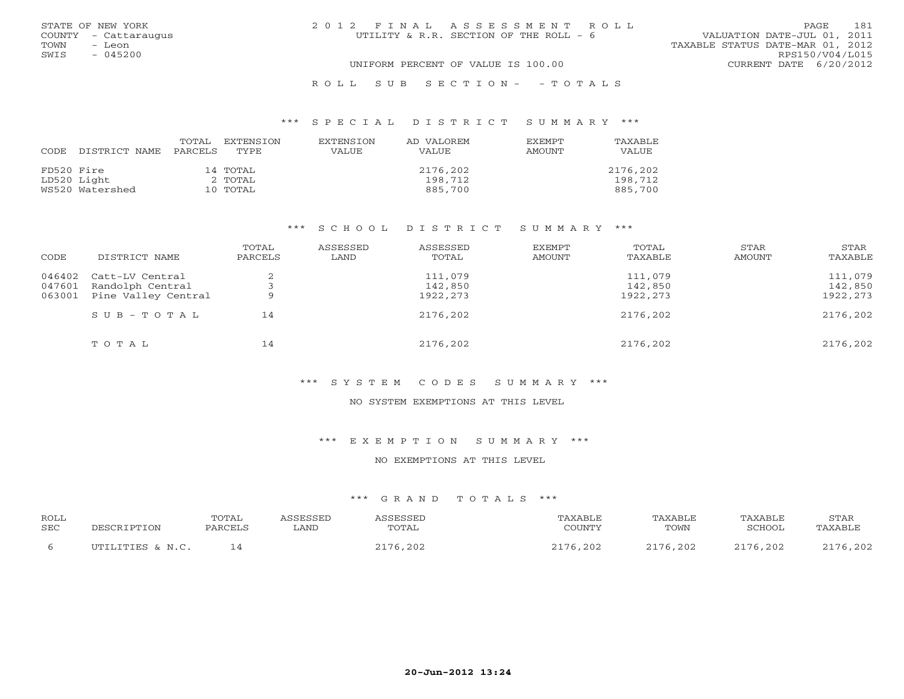|      | STATE OF NEW YORK    | 2012 FINAL ASSESSMENT ROLL                                            | PAGE            | 181 |
|------|----------------------|-----------------------------------------------------------------------|-----------------|-----|
|      | COUNTY - Cattaraugus | VALUATION DATE-JUL 01, 2011<br>UTILITY & R.R. SECTION OF THE ROLL - 6 |                 |     |
| TOWN | - Leon               | TAXABLE STATUS DATE-MAR 01, 2012                                      |                 |     |
| SWIS | $-045200$            |                                                                       | RPS150/V04/L015 |     |
|      |                      | UNIFORM PERCENT OF VALUE IS 100.00<br>CURRENT DATE 6/20/2012          |                 |     |
|      |                      | ROLL SUB SECTION- - TOTALS                                            |                 |     |

| CODE       | DISTRICT NAME   | TOTAL<br>PARCELS | EXTENSTON<br>TYPE. | <b>EXTENSION</b><br>VALUE | AD VALOREM<br>VALUE | EXEMPT<br><b>AMOUNT</b> | TAXABLE<br>VALUE |
|------------|-----------------|------------------|--------------------|---------------------------|---------------------|-------------------------|------------------|
| FD520 Fire |                 |                  | 14 TOTAL           |                           | 2176,202            |                         | 2176,202         |
|            | LD520 Light     |                  | 2 TOTAL            |                           | 198,712             |                         | 198,712          |
|            | WS520 Watershed |                  | 10 TOTAL           |                           | 885,700             |                         | 885,700          |

#### \*\*\* S C H O O L D I S T R I C T S U M M A R Y \*\*\*

| CODE             | DISTRICT NAME                       | TOTAL<br>PARCELS | ASSESSED<br>LAND | ASSESSED<br>TOTAL  | <b>EXEMPT</b><br><b>AMOUNT</b> | TOTAL<br>TAXABLE   | STAR<br>AMOUNT | STAR<br>TAXABLE    |
|------------------|-------------------------------------|------------------|------------------|--------------------|--------------------------------|--------------------|----------------|--------------------|
| 046402<br>047601 | Catt-LV Central<br>Randolph Central |                  |                  | 111,079<br>142,850 |                                | 111,079<br>142,850 |                | 111,079<br>142,850 |
| 063001           | Pine Valley Central                 | a                |                  | 1922,273           |                                | 1922,273           |                | 1922,273           |
|                  | $S \cup B - T \cup T A L$           | 14               |                  | 2176,202           |                                | 2176,202           |                | 2176,202           |
|                  | TOTAL                               | 14               |                  | 2176,202           |                                | 2176,202           |                | 2176,202           |

# \*\*\* S Y S T E M C O D E S S U M M A R Y \*\*\*

#### NO SYSTEM EXEMPTIONS AT THIS LEVEL

\*\*\* E X E M P T I O N S U M M A R Y \*\*\*

#### NO EXEMPTIONS AT THIS LEVEL

| <b>ROLL</b><br><b>SEC</b> | DESCRIPTION        | TOTAL<br>PARCELS | SSESSED<br>∟AND | TOTAL | PAXABLF<br>COUNTY | "AXABLE<br>TOWN | TAXABLE<br>SCHOOL | <b>STAR</b><br>TAXABLE |
|---------------------------|--------------------|------------------|-----------------|-------|-------------------|-----------------|-------------------|------------------------|
|                           | ILTITITITIES & N C |                  |                 | 6,202 | ,202              | 2176 202        | 2176,202          | 2176,202               |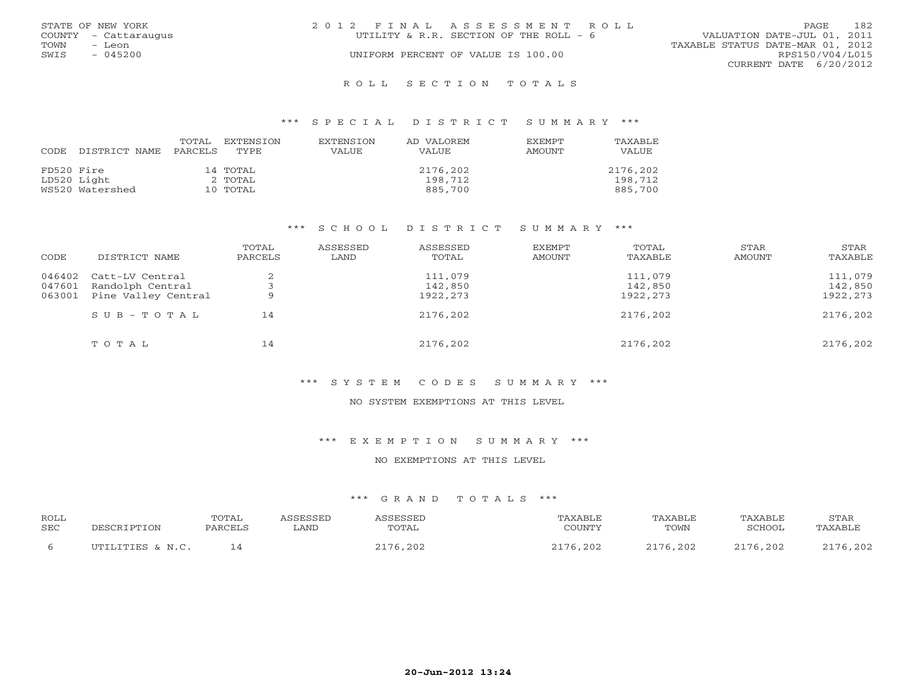|      | STATE OF NEW YORK    | 2012 FINAL ASSESSMENT ROLL              | 182<br>PAGE.                     |
|------|----------------------|-----------------------------------------|----------------------------------|
|      | COUNTY - Cattaraugus | UTILITY & R.R. SECTION OF THE ROLL $-6$ | VALUATION DATE-JUL 01, 2011      |
| TOWN | - Leon               |                                         | TAXABLE STATUS DATE-MAR 01, 2012 |
| SWIS | $-045200$            | UNIFORM PERCENT OF VALUE IS 100.00      | RPS150/V04/L015                  |
|      |                      |                                         | CURRENT DATE $6/20/2012$         |
|      |                      |                                         |                                  |

#### R O L L S E C T I O N T O T A L S

#### \*\*\* S P E C I A L D I S T R I C T S U M M A R Y \*\*\*

| CODE       | DISTRICT NAME   | TOTAL<br>PARCELS | EXTENSTON<br>TYPE | <b>EXTENSION</b><br>VALUE | AD VALOREM<br><b>VALUE</b> | EXEMPT<br>AMOUNT | TAXABLE<br>VALUE |
|------------|-----------------|------------------|-------------------|---------------------------|----------------------------|------------------|------------------|
| FD520 Fire |                 |                  | 14 TOTAL          |                           | 2176,202                   |                  | 2176,202         |
|            | LD520 Light     |                  | 2 TOTAL           |                           | 198,712                    |                  | 198,712          |
|            | WS520 Watershed |                  | 10 TOTAL          |                           | 885,700                    |                  | 885,700          |

#### \*\*\* S C H O O L D I S T R I C T S U M M A R Y \*\*\*

| CODE   | DISTRICT NAME       | TOTAL<br>PARCELS | ASSESSED<br>LAND | ASSESSED<br>TOTAL | <b>EXEMPT</b><br><b>AMOUNT</b> | TOTAL<br>TAXABLE | STAR<br>AMOUNT | STAR<br>TAXABLE |
|--------|---------------------|------------------|------------------|-------------------|--------------------------------|------------------|----------------|-----------------|
| 046402 | Catt-LV Central     | $\bigcap$        |                  | 111,079           |                                | 111,079          |                | 111,079         |
| 047601 | Randolph Central    |                  |                  | 142,850           |                                | 142,850          |                | 142,850         |
| 063001 | Pine Valley Central | 9                |                  | 1922,273          |                                | 1922,273         |                | 1922,273        |
|        | $SUB - TO T AL$     | 14               |                  | 2176,202          |                                | 2176,202         |                | 2176,202        |
|        | TOTAL               | 14               |                  | 2176,202          |                                | 2176,202         |                | 2176,202        |

# \*\*\* S Y S T E M C O D E S S U M M A R Y \*\*\*

#### NO SYSTEM EXEMPTIONS AT THIS LEVEL

\*\*\* E X E M P T I O N S U M M A R Y \*\*\*

#### NO EXEMPTIONS AT THIS LEVEL

| ROLL<br>SEC | DESCRIPTION      | TOTAL<br>PARCELS | <i>\SSESSED</i><br>LAND | <i><b>\SSESSED</b></i><br>TOTAL | "AXABLE<br>COUNTY              | TAXABLE<br>TOWN | TAXABLE<br>SCHOOL | STAR<br>TAXABLE |
|-------------|------------------|------------------|-------------------------|---------------------------------|--------------------------------|-----------------|-------------------|-----------------|
|             | UTILITIES & N.C. |                  |                         | 76,202                          | $\cap$ 1 $\neg$ $\cap$<br>,202 | .76,202         | 2176,202          | 2176,202        |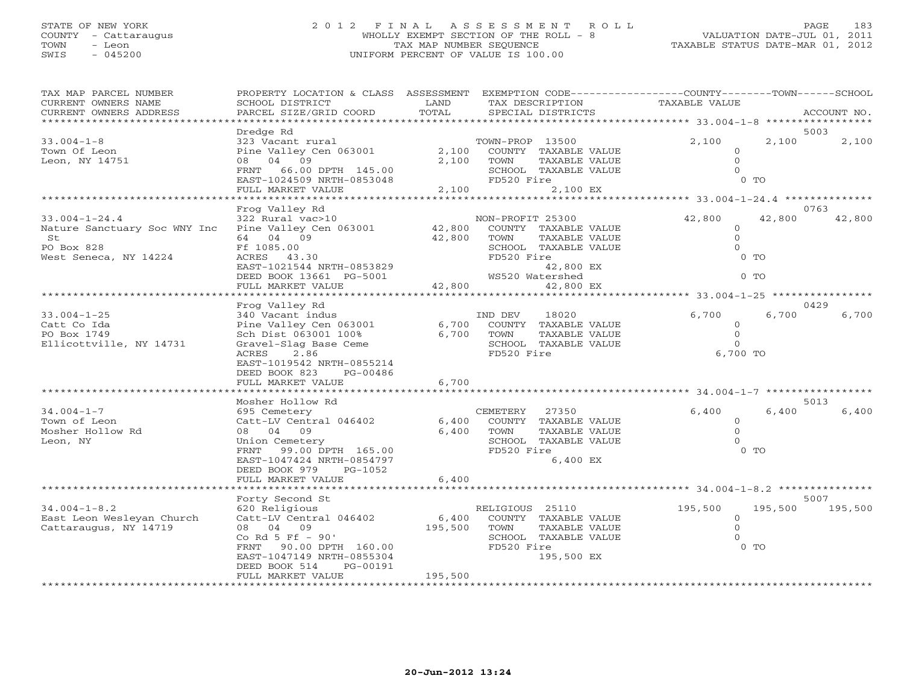### STATE OF NEW YORK 2 0 1 2 F I N A L A S S E S S M E N T R O L L PAGE 183COUNTY - Cattaraugus WHOLLY EXEMPT SECTION OF THE ROLL - 8<br>TOWN - Leon TAX MAP NUMBER SEQUENCE TOWN - Leon TAX MAP NUMBER SEQUENCE TAXABLE STATUS DATE-MAR 01, 2012 SWIS - 045200 UNIFORM PERCENT OF VALUE IS 100.00

VALUATION DATE-JUL 01, 2011

| TAX MAP PARCEL NUMBER<br>CURRENT OWNERS NAME<br>CURRENT OWNERS ADDRESS                           | PROPERTY LOCATION & CLASS ASSESSMENT<br>SCHOOL DISTRICT<br>PARCEL SIZE/GRID COORD                                                                                                                         | LAND<br>TOTAL               | TAX DESCRIPTION<br>SPECIAL DISTRICTS                                                                                                    | EXEMPTION CODE-----------------COUNTY-------TOWN------SCHOOL<br>TAXABLE VALUE | ACCOUNT NO.     |
|--------------------------------------------------------------------------------------------------|-----------------------------------------------------------------------------------------------------------------------------------------------------------------------------------------------------------|-----------------------------|-----------------------------------------------------------------------------------------------------------------------------------------|-------------------------------------------------------------------------------|-----------------|
|                                                                                                  |                                                                                                                                                                                                           |                             |                                                                                                                                         | **********                                                                    |                 |
| $33.004 - 1 - 8$<br>Town Of Leon<br>Leon, NY 14751                                               | Dredge Rd<br>323 Vacant rural<br>Pine Valley Cen 063001<br>04 09<br>08<br>FRNT<br>66.00 DPTH 145.00<br>EAST-1024509 NRTH-0853048<br>FULL MARKET VALUE                                                     | 2,100<br>2,100<br>2,100     | TOWN-PROP 13500<br>COUNTY TAXABLE VALUE<br><b>TAXABLE VALUE</b><br>TOWN<br>SCHOOL TAXABLE VALUE<br>FD520 Fire<br>2,100 EX               | 2,100<br>2,100<br>$\Omega$<br>$\mathbf{O}$<br>$\Omega$<br>$0$ TO              | 5003<br>2,100   |
|                                                                                                  | ******************                                                                                                                                                                                        |                             |                                                                                                                                         | ******** 33.004-1-24.4 ***************                                        |                 |
| $33.004 - 1 - 24.4$<br>Nature Sanctuary Soc WNY Inc<br>St<br>PO Box 828<br>West Seneca, NY 14224 | Frog Valley Rd<br>322 Rural vac>10<br>Pine Valley Cen 063001<br>64 04 09<br>Ff 1085.00<br><b>ACRES</b><br>43.30<br>EAST-1021544 NRTH-0853829<br>DEED BOOK 13661 PG-5001                                   | 42,800<br>42,800            | NON-PROFIT 25300<br>COUNTY TAXABLE VALUE<br>TOWN<br>TAXABLE VALUE<br>SCHOOL TAXABLE VALUE<br>FD520 Fire<br>42,800 EX<br>WS520 Watershed | 42,800<br>42,800<br>$\circ$<br>$\mathbf{0}$<br>$\circ$<br>$0$ TO<br>$0$ TO    | 0763<br>42,800  |
|                                                                                                  | FULL MARKET VALUE                                                                                                                                                                                         | 42,800                      | 42,800 EX                                                                                                                               | $** 33.004 - 1 - 25$                                                          |                 |
|                                                                                                  | Frog Valley Rd                                                                                                                                                                                            |                             |                                                                                                                                         |                                                                               | 0429            |
| $33.004 - 1 - 25$<br>Catt Co Ida<br>PO Box 1749<br>Ellicottville, NY 14731                       | 340 Vacant indus<br>Pine Valley Cen 063001<br>Sch Dist 063001 100%<br>Gravel-Slag Base Ceme<br>ACRES<br>2.86<br>EAST-1019542 NRTH-0855214                                                                 | 6,700<br>6,700              | 18020<br>IND DEV<br>COUNTY TAXABLE VALUE<br>TAXABLE VALUE<br>TOWN<br>SCHOOL TAXABLE VALUE<br>FD520 Fire                                 | 6,700<br>6,700<br>$\circ$<br>$\mathbf{0}$<br>$\Omega$<br>6,700 TO             | 6,700           |
|                                                                                                  | DEED BOOK 823<br>PG-00486<br>FULL MARKET VALUE                                                                                                                                                            | 6,700                       |                                                                                                                                         |                                                                               |                 |
|                                                                                                  |                                                                                                                                                                                                           |                             |                                                                                                                                         | $**********34.004-1-7$<br>***********                                         |                 |
| $34.004 - 1 - 7$<br>Town of Leon<br>Mosher Hollow Rd<br>Leon, NY                                 | Mosher Hollow Rd<br>695 Cemetery<br>Catt-LV Central 046402<br>04 09<br>08<br>Union Cemetery<br>FRNT<br>99.00 DPTH 165.00<br>EAST-1047424 NRTH-0854797<br>DEED BOOK 979<br>$PG-1052$                       | 6,400<br>6,400              | CEMETERY<br>27350<br>COUNTY TAXABLE VALUE<br>TOWN<br><b>TAXABLE VALUE</b><br>SCHOOL<br>TAXABLE VALUE<br>FD520 Fire<br>6,400 EX          | 6,400<br>6,400<br>$\circ$<br>$\mathbf{O}$<br>$\Omega$<br>$0$ TO               | 5013<br>6,400   |
|                                                                                                  | FULL MARKET VALUE                                                                                                                                                                                         | 6,400                       |                                                                                                                                         |                                                                               |                 |
|                                                                                                  |                                                                                                                                                                                                           |                             |                                                                                                                                         | *** 34.004-1-8.2                                                              |                 |
| $34.004 - 1 - 8.2$<br>East Leon Wesleyan Church<br>Cattaraugus, NY 14719                         | Forty Second St<br>620 Religious<br>Catt-LV Central 046402<br>04 09<br>08<br>Co Rd 5 Ff - 90'<br>90.00 DPTH 160.00<br>FRNT<br>EAST-1047149 NRTH-0855304<br>DEED BOOK 514<br>PG-00191<br>FULL MARKET VALUE | 6,400<br>195,500<br>195,500 | RELIGIOUS 25110<br>COUNTY TAXABLE VALUE<br>TOWN<br><b>TAXABLE VALUE</b><br>SCHOOL TAXABLE VALUE<br>FD520 Fire<br>195,500 EX             | 195,500<br>195,500<br>$\mathbf 0$<br>$\Omega$<br>$\Omega$<br>$0$ TO           | 5007<br>195,500 |
|                                                                                                  |                                                                                                                                                                                                           |                             |                                                                                                                                         |                                                                               |                 |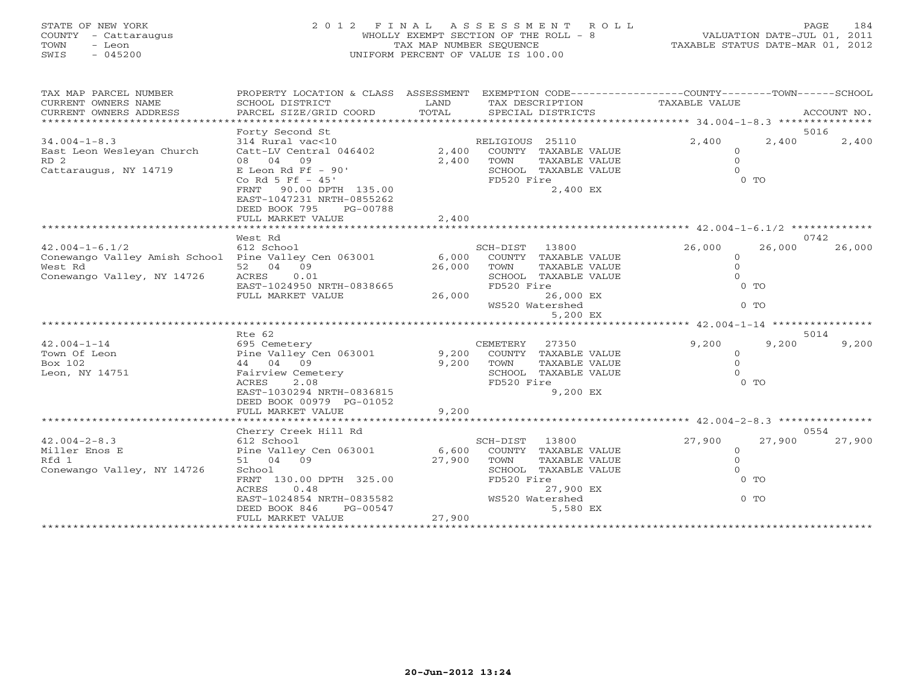# STATE OF NEW YORK 2 0 1 2 F I N A L A S S E S S M E N T R O L L PAGE 184 COUNTY - Cattaraugus WHOLLY EXEMPT SECTION OF THE ROLL - 8 VALUATION DATE-JUL 01, 2011 TOWN - Leon TAX MAP NUMBER SEQUENCE TAXABLE STATUS DATE-MAR 01, 2012 SWIS - 045200 UNIFORM PERCENT OF VALUE IS 100.00

| TAX MAP PARCEL NUMBER<br>CURRENT OWNERS NAME<br>CURRENT OWNERS ADDRESS | SCHOOL DISTRICT<br>PARCEL SIZE/GRID COORD                                                                | PROPERTY LOCATION & CLASS ASSESSMENT EXEMPTION CODE---------------COUNTY-------TOWN------SCHOOL<br>LAND<br>TAX DESCRIPTION<br>TOTAL<br>SPECIAL DISTRICTS |                       | TAXABLE VALUE | ACCOUNT NO.      |
|------------------------------------------------------------------------|----------------------------------------------------------------------------------------------------------|----------------------------------------------------------------------------------------------------------------------------------------------------------|-----------------------|---------------|------------------|
|                                                                        |                                                                                                          |                                                                                                                                                          |                       |               |                  |
|                                                                        | Forty Second St                                                                                          |                                                                                                                                                          |                       |               | 5016             |
| $34.004 - 1 - 8.3$                                                     | 314 Rural vac<10                                                                                         |                                                                                                                                                          | RELIGIOUS 25110       | 2,400         | 2,400<br>2,400   |
| East Leon Wesleyan Church                                              | Catt-LV Central 046402                                                                                   | 2,400                                                                                                                                                    | COUNTY TAXABLE VALUE  | $\circ$       |                  |
| RD <sub>2</sub>                                                        | 08 04 09                                                                                                 | 2,400                                                                                                                                                    | TOWN<br>TAXABLE VALUE | $\circ$       |                  |
| Cattaraugus, NY 14719                                                  | E Leon Rd Ff $-90'$                                                                                      |                                                                                                                                                          | SCHOOL TAXABLE VALUE  | $\Omega$      |                  |
|                                                                        | Co Rd 5 Ff $-45'$                                                                                        |                                                                                                                                                          | FD520 Fire            |               | $0$ TO           |
|                                                                        | 90.00 DPTH 135.00<br>FRNT<br>EAST-1047231 NRTH-0855262<br>DEED BOOK 795<br>PG-00788<br>FULL MARKET VALUE | 2,400                                                                                                                                                    | 2,400 EX              |               |                  |
|                                                                        |                                                                                                          |                                                                                                                                                          |                       |               |                  |
|                                                                        | West Rd                                                                                                  |                                                                                                                                                          |                       |               | 0742             |
| $42.004 - 1 - 6.1/2$                                                   | 612 School                                                                                               |                                                                                                                                                          | SCH-DIST 13800        | 26,000        | 26,000<br>26,000 |
| Conewango Valley Amish School Pine Valley Cen 063001                   |                                                                                                          | 6,000                                                                                                                                                    | COUNTY TAXABLE VALUE  | $\circ$       |                  |
| West Rd                                                                | 52 04 09                                                                                                 | 26,000                                                                                                                                                   | TOWN<br>TAXABLE VALUE | $\circ$       |                  |
| Conewango Valley, NY 14726                                             | ACRES<br>0.01                                                                                            |                                                                                                                                                          | SCHOOL TAXABLE VALUE  | $\Omega$      |                  |
|                                                                        | EAST-1024950 NRTH-0838665                                                                                |                                                                                                                                                          | FD520 Fire            |               | $0$ TO           |
|                                                                        | FULL MARKET VALUE                                                                                        | 26,000                                                                                                                                                   | 26,000 EX             |               |                  |
|                                                                        |                                                                                                          |                                                                                                                                                          | WS520 Watershed       |               | $0$ TO           |
|                                                                        |                                                                                                          |                                                                                                                                                          | 5,200 EX              |               |                  |
|                                                                        |                                                                                                          |                                                                                                                                                          |                       |               |                  |
|                                                                        | Rte 62                                                                                                   |                                                                                                                                                          |                       |               | 5014             |
| $42.004 - 1 - 14$                                                      | 695 Cemetery                                                                                             |                                                                                                                                                          | CEMETERY<br>27350     | 9,200         | 9,200<br>9,200   |
| Town Of Leon                                                           | Pine Valley Cen 063001                                                                                   | 9,200                                                                                                                                                    | COUNTY TAXABLE VALUE  | $\circ$       |                  |
| Box 102                                                                | 44 04 09                                                                                                 | 9,200                                                                                                                                                    | TOWN<br>TAXABLE VALUE | $\circ$       |                  |
| Leon, NY 14751                                                         | Fairview Cemetery                                                                                        |                                                                                                                                                          | SCHOOL TAXABLE VALUE  | $\Omega$      |                  |
|                                                                        | 2.08<br>ACRES                                                                                            |                                                                                                                                                          | FD520 Fire            |               | $0$ TO           |
|                                                                        | EAST-1030294 NRTH-0836815                                                                                |                                                                                                                                                          | 9,200 EX              |               |                  |
|                                                                        | DEED BOOK 00979 PG-01052                                                                                 |                                                                                                                                                          |                       |               |                  |
|                                                                        | FULL MARKET VALUE                                                                                        | 9,200                                                                                                                                                    |                       |               |                  |
|                                                                        |                                                                                                          |                                                                                                                                                          |                       |               |                  |
|                                                                        | Cherry Creek Hill Rd                                                                                     |                                                                                                                                                          |                       |               | 0554             |
| $42.004 - 2 - 8.3$                                                     | 612 School                                                                                               |                                                                                                                                                          | SCH-DIST<br>13800     | 27,900        | 27,900<br>27,900 |
| Miller Enos E                                                          | Pine Valley Cen 063001                                                                                   | 6,600                                                                                                                                                    | COUNTY TAXABLE VALUE  | $\circ$       |                  |
| Rfd 1                                                                  | 51 04 09                                                                                                 | 27,900                                                                                                                                                   | TOWN<br>TAXABLE VALUE | $\circ$       |                  |
| Conewango Valley, NY 14726                                             | School                                                                                                   |                                                                                                                                                          | SCHOOL TAXABLE VALUE  | $\circ$       |                  |
|                                                                        | FRNT 130.00 DPTH 325.00                                                                                  |                                                                                                                                                          | FD520 Fire            |               | $0$ TO           |
|                                                                        | ACRES<br>0.48                                                                                            |                                                                                                                                                          | 27,900 EX             |               |                  |
|                                                                        | EAST-1024854 NRTH-0835582                                                                                |                                                                                                                                                          | WS520 Watershed       |               | $0$ TO           |
|                                                                        | DEED BOOK 846<br>PG-00547                                                                                |                                                                                                                                                          | 5,580 EX              |               |                  |
|                                                                        | FULL MARKET VALUE                                                                                        | 27,900                                                                                                                                                   |                       |               |                  |
|                                                                        |                                                                                                          |                                                                                                                                                          |                       |               |                  |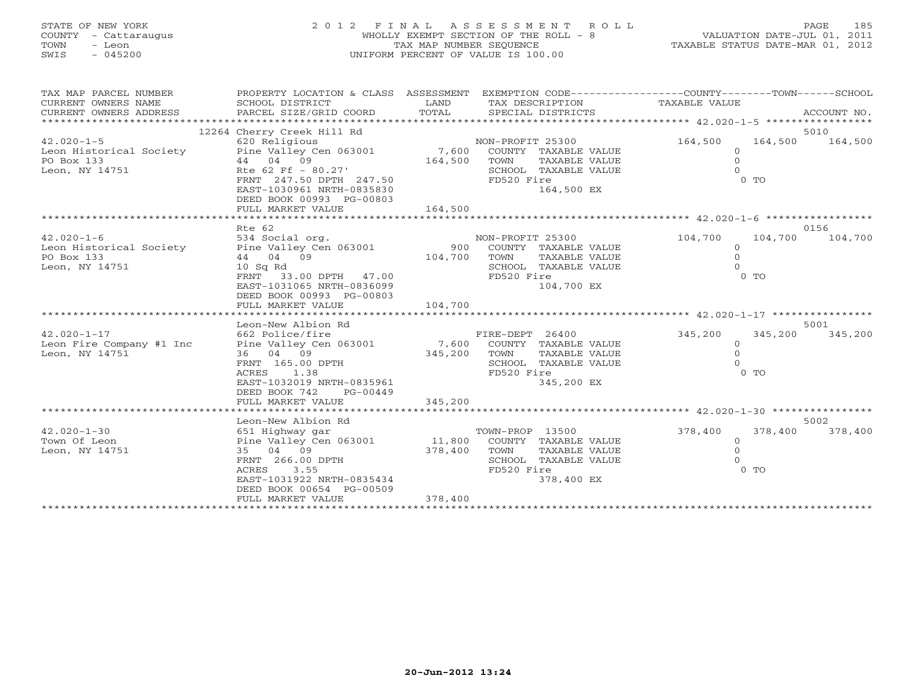# STATE OF NEW YORK 2 0 1 2 F I N A L A S S E S S M E N T R O L L PAGE 185 COUNTY - Cattaraugus WHOLLY EXEMPT SECTION OF THE ROLL - 8 VALUATION DATE-JUL 01, 2011 TOWN - Leon TAX MAP NUMBER SEQUENCE TAXABLE STATUS DATE-MAR 01, 2012 SWIS - 045200 UNIFORM PERCENT OF VALUE IS 100.00

| TAX MAP PARCEL NUMBER<br>CURRENT OWNERS NAME<br>CURRENT OWNERS ADDRESS | PROPERTY LOCATION & CLASS ASSESSMENT<br>SCHOOL DISTRICT<br>PARCEL SIZE/GRID COORD | LAND<br>TOTAL |                  | TAX DESCRIPTION<br>SPECIAL DISTRICTS | EXEMPTION CODE-----------------COUNTY-------TOWN------SCHOOL<br>TAXABLE VALUE |                | ACCOUNT NO. |
|------------------------------------------------------------------------|-----------------------------------------------------------------------------------|---------------|------------------|--------------------------------------|-------------------------------------------------------------------------------|----------------|-------------|
|                                                                        | 12264 Cherry Creek Hill Rd                                                        |               |                  |                                      |                                                                               |                | 5010        |
| $42.020 - 1 - 5$                                                       | 620 Religious                                                                     |               | NON-PROFIT 25300 |                                      | 164,500                                                                       | 164,500        | 164,500     |
| Leon Historical Society                                                | Pine Valley Cen 063001 7,600                                                      |               |                  | COUNTY TAXABLE VALUE                 | $\Omega$                                                                      |                |             |
| PO Box 133                                                             | 44 04 09                                                                          | 164,500       | TOWN             | TAXABLE VALUE                        | $\circ$                                                                       |                |             |
| Leon, NY 14751                                                         | Rte 62 Ff - 80.27'                                                                |               |                  | SCHOOL TAXABLE VALUE                 | $\Omega$                                                                      |                |             |
|                                                                        | FRNT 247.50 DPTH 247.50                                                           |               | FD520 Fire       |                                      |                                                                               | $0$ TO         |             |
|                                                                        | EAST-1030961 NRTH-0835830<br>DEED BOOK 00993 PG-00803                             |               |                  | 164,500 EX                           |                                                                               |                |             |
|                                                                        | FULL MARKET VALUE                                                                 | 164,500       |                  |                                      |                                                                               |                |             |
|                                                                        |                                                                                   |               |                  |                                      |                                                                               |                |             |
|                                                                        | Rte 62                                                                            |               |                  |                                      |                                                                               |                | 0156        |
| $42.020 - 1 - 6$                                                       | 534 Social org.                                                                   |               | NON-PROFIT 25300 |                                      | 104,700                                                                       | 104,700        | 104,700     |
| Leon Historical Society Pine Valley Cen 063001                         |                                                                                   | 900           |                  | COUNTY TAXABLE VALUE                 | $\circ$                                                                       |                |             |
| PO Box 133                                                             | 44 04 09                                                                          | 104,700       | TOWN             | TAXABLE VALUE                        | $\circ$                                                                       |                |             |
| Leon, NY 14751                                                         | $10$ Sq Rd                                                                        |               |                  | SCHOOL TAXABLE VALUE                 |                                                                               |                |             |
|                                                                        | FRNT<br>33.00 DPTH 47.00<br>EAST-1031065 NRTH-0836099                             |               | FD520 Fire       | 104,700 EX                           |                                                                               | $0$ TO         |             |
|                                                                        | DEED BOOK 00993 PG-00803                                                          |               |                  |                                      |                                                                               |                |             |
|                                                                        | FULL MARKET VALUE                                                                 | 104,700       |                  |                                      |                                                                               |                |             |
|                                                                        |                                                                                   |               |                  |                                      |                                                                               |                |             |
|                                                                        | Leon-New Albion Rd                                                                |               |                  |                                      |                                                                               |                | 5001        |
| $42.020 - 1 - 17$                                                      | 662 Police/fire                                                                   |               | FIRE-DEPT 26400  |                                      | 345,200                                                                       | 345,200        | 345,200     |
| Leon Fire Company #1 Inc                                               | Pine Valley Cen 063001 7,600                                                      |               |                  | COUNTY TAXABLE VALUE                 | $\circ$                                                                       |                |             |
| Leon, NY 14751                                                         | 36 04 09                                                                          | 345,200       | TOWN             | TAXABLE VALUE                        | $\circ$                                                                       |                |             |
|                                                                        | FRNT 165.00 DPTH                                                                  |               |                  | SCHOOL TAXABLE VALUE                 | $\Omega$                                                                      |                |             |
|                                                                        | ACRES<br>1.38                                                                     |               | FD520 Fire       |                                      |                                                                               | 0 <sub>0</sub> |             |
|                                                                        | EAST-1032019 NRTH-0835961                                                         |               |                  | 345,200 EX                           |                                                                               |                |             |
|                                                                        | DEED BOOK 742<br>$PG-00449$                                                       |               |                  |                                      |                                                                               |                |             |
|                                                                        | FULL MARKET VALUE                                                                 | 345,200       |                  |                                      |                                                                               |                |             |
|                                                                        |                                                                                   |               |                  |                                      |                                                                               |                |             |
|                                                                        | Leon-New Albion Rd                                                                |               |                  |                                      |                                                                               |                | 5002        |
| $42.020 - 1 - 30$                                                      | 651 Highway gar                                                                   |               | TOWN-PROP 13500  |                                      | 378,400                                                                       | 378,400        | 378,400     |
| Town Of Leon                                                           | Pine Valley Cen 063001 11,800                                                     |               |                  | COUNTY TAXABLE VALUE                 | $\Omega$                                                                      |                |             |
| Leon, NY 14751                                                         | 35 04 09                                                                          | 378,400       | TOWN             | TAXABLE VALUE                        | $\Omega$                                                                      |                |             |
|                                                                        | FRNT 266.00 DPTH                                                                  |               |                  | SCHOOL TAXABLE VALUE                 | $\Omega$                                                                      |                |             |
|                                                                        | 3.55<br>ACRES                                                                     |               | FD520 Fire       |                                      |                                                                               | $0$ TO         |             |
|                                                                        | EAST-1031922 NRTH-0835434<br>DEED BOOK 00654 PG-00509                             |               |                  | 378,400 EX                           |                                                                               |                |             |
|                                                                        | FULL MARKET VALUE                                                                 | 378,400       |                  |                                      |                                                                               |                |             |
|                                                                        |                                                                                   |               |                  |                                      |                                                                               |                |             |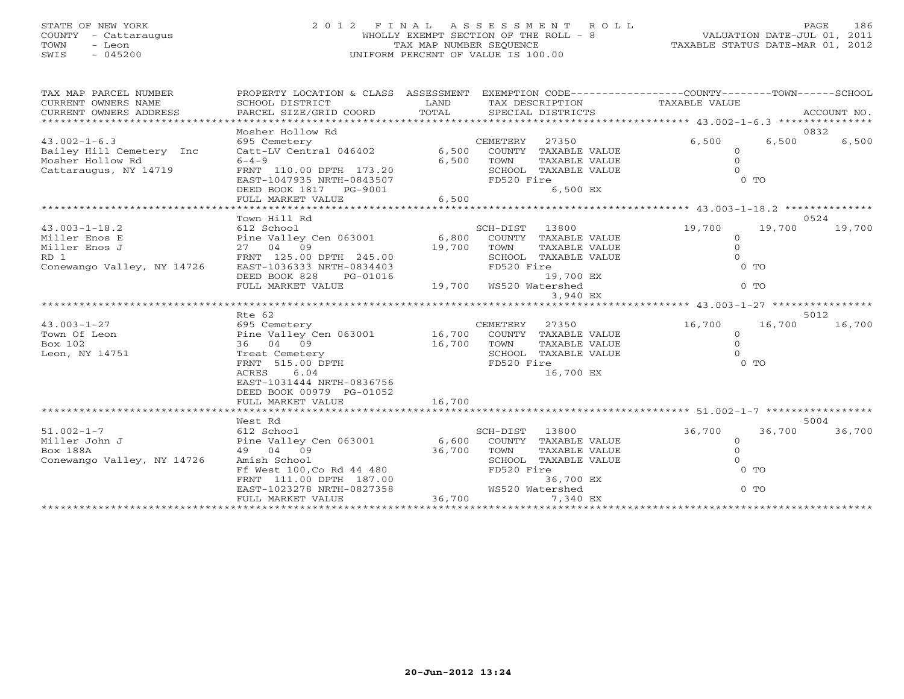# STATE OF NEW YORK 2 0 1 2 F I N A L A S S E S S M E N T R O L L PAGE 186 COUNTY - Cattaraugus WHOLLY EXEMPT SECTION OF THE ROLL - 8 VALUATION DATE-JUL 01, 2011 TOWN - Leon TAX MAP NUMBER SEQUENCE TAXABLE STATUS DATE-MAR 01, 2012 SWIS - 045200 UNIFORM PERCENT OF VALUE IS 100.00

| TAX MAP PARCEL NUMBER<br>CURRENT OWNERS NAME<br>CURRENT OWNERS ADDRESS | PROPERTY LOCATION & CLASS ASSESSMENT EXEMPTION CODE---------------COUNTY-------TOWN------SCHOOL              |                          |                |                      |          |                |        |
|------------------------------------------------------------------------|--------------------------------------------------------------------------------------------------------------|--------------------------|----------------|----------------------|----------|----------------|--------|
|                                                                        | Mosher Hollow Rd                                                                                             |                          |                |                      |          |                | 0832   |
| $43.002 - 1 - 6.3$                                                     | 695 Cemetery                                                                                                 |                          | CEMETERY       | 27350                | 6,500    | 6,500          | 6,500  |
| Bailey Hill Cemetery Inc                                               | 695 Cemetery<br>Catt-LV Central 046402                                                                       | 6,500                    |                | COUNTY TAXABLE VALUE | $\Omega$ |                |        |
| Mosher Hollow Rd                                                       | $6 - 4 - 9$                                                                                                  | 6,500                    | TOWN           | TAXABLE VALUE        | $\Omega$ |                |        |
| Cattaraugus, NY 14719                                                  | FRNT 110.00 DPTH 173.20                                                                                      |                          |                | SCHOOL TAXABLE VALUE |          |                |        |
|                                                                        | EAST-1047935 NRTH-0843507                                                                                    |                          | FD520 Fire     |                      |          | 0 <sub>T</sub> |        |
|                                                                        | DEED BOOK 1817 PG-9001                                                                                       |                          |                | 6,500 EX             |          |                |        |
|                                                                        | FULL MARKET VALUE                                                                                            | 6,500                    |                |                      |          |                |        |
|                                                                        |                                                                                                              |                          |                |                      |          |                |        |
|                                                                        | Town Hill Rd                                                                                                 |                          |                |                      |          |                | 0524   |
| $43.003 - 1 - 18.2$                                                    | 612 School                                                                                                   |                          | SCH-DIST 13800 |                      | 19,700   | 19,700         | 19,700 |
| Miller Enos E                                                          | Pine Valley Cen 063001      6,800  COUNTY TAXABLE VALUE<br>27  04  09           19,700  TOWN   TAXABLE VALUE |                          |                |                      | $\circ$  |                |        |
| Miller Enos J                                                          |                                                                                                              | 19,700                   |                |                      | $\Omega$ |                |        |
| RD 1                                                                   | FRNT 125.00 DPTH 245.00                                                                                      |                          |                | SCHOOL TAXABLE VALUE |          |                |        |
| Conewango Valley, NY 14726                                             | EAST-1036333 NRTH-0834403                                                                                    |                          | FD520 Fire     |                      |          | 0 <sub>0</sub> |        |
|                                                                        | DEED BOOK 828<br>PG-01016                                                                                    | $19,700$ WS520 Watershed |                | 19,700 EX            |          |                |        |
|                                                                        | FULL MARKET VALUE                                                                                            |                          |                |                      |          | $0$ TO         |        |
|                                                                        |                                                                                                              |                          |                | 3,940 EX             |          |                |        |
|                                                                        | Rte 62                                                                                                       |                          |                |                      |          |                | 5012   |
| $43.003 - 1 - 27$                                                      | 695 Cemetery                                                                                                 |                          | CEMETERY       | 27350                | 16,700   | 16,700         | 16,700 |
| Town Of Leon                                                           | Pine Valley Cen 063001 16,700 COUNTY TAXABLE VALUE                                                           |                          |                |                      | $\circ$  |                |        |
| Box 102                                                                | 36 04 09                                                                                                     | 16,700                   | TOWN           | TAXABLE VALUE        | $\Omega$ |                |        |
| Leon, NY 14751                                                         | Treat Cemetery                                                                                               |                          |                | SCHOOL TAXABLE VALUE |          |                |        |
|                                                                        | FRNT 515.00 DPTH                                                                                             |                          | FD520 Fire     |                      |          | $0$ TO         |        |
|                                                                        | ACRES<br>6.04                                                                                                |                          |                | 16,700 EX            |          |                |        |
|                                                                        | EAST-1031444 NRTH-0836756                                                                                    |                          |                |                      |          |                |        |
|                                                                        | DEED BOOK 00979 PG-01052                                                                                     |                          |                |                      |          |                |        |
|                                                                        | FULL MARKET VALUE                                                                                            | 16,700                   |                |                      |          |                |        |
|                                                                        |                                                                                                              |                          |                |                      |          |                |        |
|                                                                        | West Rd                                                                                                      |                          |                |                      |          |                | 5004   |
| $51.002 - 1 - 7$                                                       | 612 School                                                                                                   |                          | SCH-DIST 13800 |                      | 36,700   | 36,700         | 36,700 |
| Miller John J                                                          |                                                                                                              |                          |                |                      | $\circ$  |                |        |
| <b>Box 188A</b>                                                        |                                                                                                              | 36,700                   |                | TAXABLE VALUE        | $\Omega$ |                |        |
| Conewango Valley, NY 14726                                             | Amish School                                                                                                 |                          |                | SCHOOL TAXABLE VALUE | $\Omega$ |                |        |
|                                                                        | Ff West 100, Co Rd 44 480<br>FRNT 111.00 DPTH 187.00<br>EAST-1023278 NRTH-0827358                            |                          | FD520 Fire     |                      |          | $0$ TO         |        |
|                                                                        |                                                                                                              |                          |                | 36,700 EX            |          |                |        |
|                                                                        |                                                                                                              |                          |                | WS520 Watershed      |          | $0$ TO         |        |
|                                                                        | FULL MARKET VALUE                                                                                            | 36,700                   |                | 7,340 EX             |          |                |        |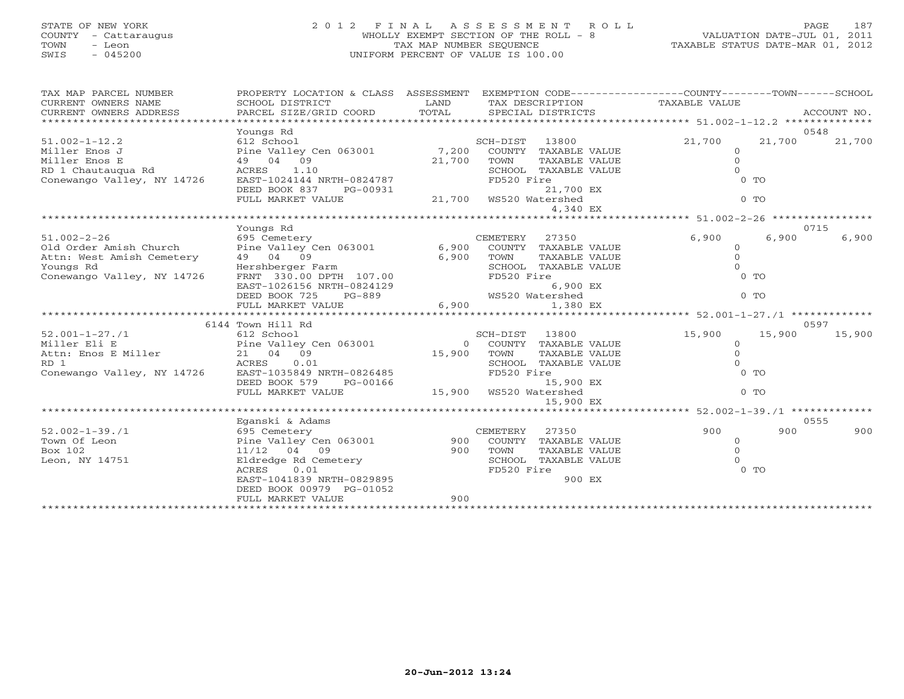# STATE OF NEW YORK 2 0 1 2 F I N A L A S S E S S M E N T R O L L PAGE 187 COUNTY - Cattaraugus WHOLLY EXEMPT SECTION OF THE ROLL - 8 VALUATION DATE-JUL 01, 2011 TOWN - Leon TAX MAP NUMBER SEQUENCE TAXABLE STATUS DATE-MAR 01, 2012 SWIS - 045200 UNIFORM PERCENT OF VALUE IS 100.00

|  |  | TAXABLE STATUS DATE-MAR 01, 2012 |  |  |
|--|--|----------------------------------|--|--|
|--|--|----------------------------------|--|--|

| TAX MAP PARCEL NUMBER<br>CURRENT OWNERS NAME<br>CURRENT OWNERS ADDRESS | PROPERTY LOCATION & CLASS ASSESSMENT<br>SCHOOL DISTRICT<br>PARCEL SIZE/GRID COORD | LAND<br>TOTAL | SPECIAL DISTRICTS      |                      | EXEMPTION CODE-----------------COUNTY-------TOWN------SCHOOL<br>TAX DESCRIPTION TAXABLE VALUE |        | ACCOUNT NO. |
|------------------------------------------------------------------------|-----------------------------------------------------------------------------------|---------------|------------------------|----------------------|-----------------------------------------------------------------------------------------------|--------|-------------|
|                                                                        | Youngs Rd                                                                         |               |                        |                      |                                                                                               |        | 0548        |
| $51.002 - 1 - 12.2$                                                    | 612 School                                                                        |               | SCH-DIST 13800         |                      | 21,700                                                                                        | 21,700 | 21,700      |
| Miller Enos J                                                          | Pine Valley Cen 063001 7,200                                                      |               |                        | COUNTY TAXABLE VALUE | $\circ$                                                                                       |        |             |
| Miller Enos E                                                          | 49 04 09                                                                          |               | TOWN                   | TAXABLE VALUE        | $\Omega$                                                                                      |        |             |
| RD 1 Chautauqua Rd                                                     | ACRES<br>1.10                                                                     | 21,700        |                        | SCHOOL TAXABLE VALUE | $\cap$                                                                                        |        |             |
| Conewango Valley, NY 14726                                             | EAST-1024144 NRTH-0824787                                                         |               | FD520 Fire             |                      |                                                                                               | $0$ TO |             |
|                                                                        | DEED BOOK 837<br>PG-00931                                                         |               |                        | 21,700 EX            |                                                                                               |        |             |
|                                                                        | FULL MARKET VALUE                                                                 |               | 21,700 WS520 Watershed |                      |                                                                                               | $0$ TO |             |
|                                                                        |                                                                                   |               |                        | 4,340 EX             |                                                                                               |        |             |
|                                                                        |                                                                                   |               |                        |                      |                                                                                               |        |             |
|                                                                        | Youngs Rd                                                                         |               |                        |                      |                                                                                               |        | 0715        |
| $51.002 - 2 - 26$                                                      | 695 Cemetery                                                                      |               | CEMETERY               | 27350                | 6,900                                                                                         | 6,900  | 6,900       |
| Old Order Amish Church                                                 | Pine Valley Cen 063001 6,900                                                      |               |                        | COUNTY TAXABLE VALUE | $\circ$                                                                                       |        |             |
| Attn: West Amish Cemetery                                              | 49 04 09                                                                          | 6,900         | TOWN                   | TAXABLE VALUE        | $\Omega$                                                                                      |        |             |
| Hershberger Farm<br>Youngs Rd                                          |                                                                                   |               |                        | SCHOOL TAXABLE VALUE | $\Omega$                                                                                      |        |             |
| Conewango Valley, NY 14726                                             | FRNT 330.00 DPTH 107.00                                                           |               | FD520 Fire             |                      |                                                                                               | $0$ TO |             |
|                                                                        | EAST-1026156 NRTH-0824129                                                         |               |                        | 6,900 EX             |                                                                                               |        |             |
|                                                                        | PG-889<br>DEED BOOK 725                                                           |               | WS520 Watershed        |                      |                                                                                               | $0$ TO |             |
|                                                                        | FULL MARKET VALUE                                                                 | 6,900         |                        | 1,380 EX             |                                                                                               |        |             |
|                                                                        |                                                                                   |               |                        |                      | *********************** 52.001-1-27./1 **************                                         |        |             |
|                                                                        | 6144 Town Hill Rd                                                                 |               |                        |                      |                                                                                               |        | 0597        |
| $52.001 - 1 - 27.1$                                                    | 612 School                                                                        |               | SCH-DIST               | 13800                | 15,900                                                                                        | 15,900 | 15,900      |
| Miller Eli E                                                           | 612 School<br>Pine Valley Cen 063001                                              | $\Omega$      |                        | COUNTY TAXABLE VALUE | $\circ$                                                                                       |        |             |
| Attn: Enos E Miller                                                    | 21 04 09                                                                          | 15,900        | TOWN                   | TAXABLE VALUE        | $\Omega$                                                                                      |        |             |
| RD <sub>1</sub>                                                        | ACRES<br>0.01                                                                     |               |                        | SCHOOL TAXABLE VALUE | $\Omega$                                                                                      |        |             |
| Conewango Valley, NY 14726                                             | EAST-1035849 NRTH-0826485                                                         |               | FD520 Fire             |                      |                                                                                               | $0$ TO |             |
|                                                                        | DEED BOOK 579<br>PG-00166                                                         |               |                        | 15,900 EX            |                                                                                               |        |             |
|                                                                        | FULL MARKET VALUE                                                                 |               | 15,900 WS520 Watershed |                      |                                                                                               | $0$ TO |             |
|                                                                        |                                                                                   |               |                        | 15,900 EX            |                                                                                               |        |             |
|                                                                        |                                                                                   |               |                        |                      |                                                                                               |        |             |
|                                                                        | Eganski & Adams                                                                   |               |                        |                      |                                                                                               |        | 0555        |
| $52.002 - 1 - 39.71$                                                   | 695 Cemetery                                                                      |               | CEMETERY               | 27350                | 900                                                                                           | 900    | 900         |
| Town Of Leon                                                           | Pine Valley Cen 063001 900                                                        |               |                        | COUNTY TAXABLE VALUE | $\Omega$                                                                                      |        |             |
| Box 102                                                                | $11/12$ 04 09                                                                     | 900           | TOWN                   | TAXABLE VALUE        | $\Omega$                                                                                      |        |             |
| Leon, NY 14751                                                         | Eldredge Rd Cemetery                                                              |               |                        | SCHOOL TAXABLE VALUE | $\Omega$                                                                                      |        |             |
|                                                                        | 0.01<br>ACRES                                                                     |               | FD520 Fire             |                      |                                                                                               | $0$ TO |             |
|                                                                        | EAST-1041839 NRTH-0829895                                                         |               |                        | 900 EX               |                                                                                               |        |             |
|                                                                        | DEED BOOK 00979 PG-01052                                                          |               |                        |                      |                                                                                               |        |             |
|                                                                        | FULL MARKET VALUE                                                                 | 900           |                        |                      |                                                                                               |        |             |
|                                                                        |                                                                                   |               |                        |                      |                                                                                               |        |             |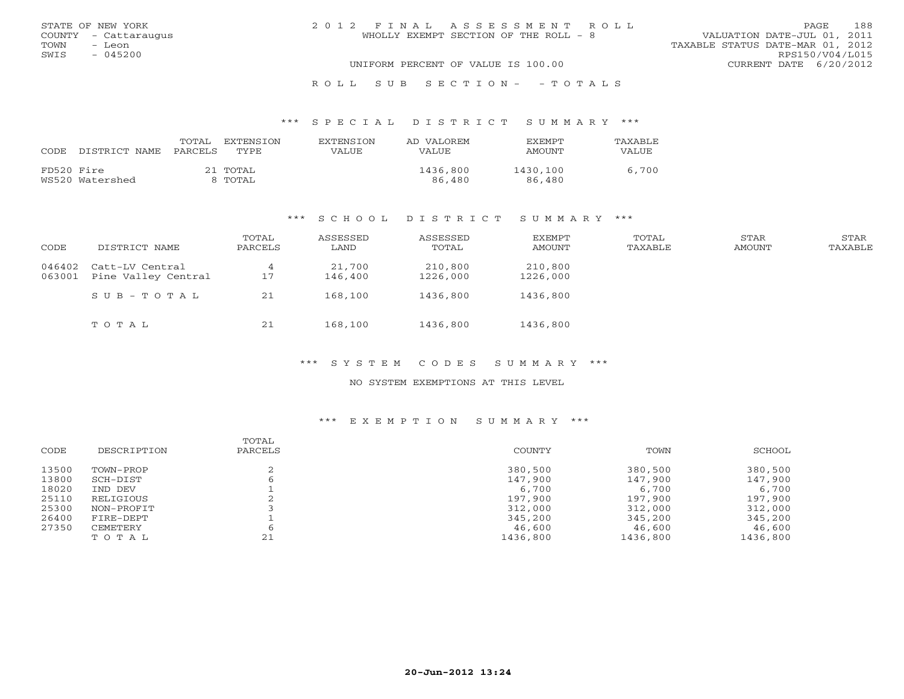|      | STATE OF NEW YORK    |  | 2012 FINAL ASSESSMENT ROLL            |  |                                  | PAGE                   | 188 |
|------|----------------------|--|---------------------------------------|--|----------------------------------|------------------------|-----|
|      | COUNTY - Cattaraugus |  | WHOLLY EXEMPT SECTION OF THE ROLL - 8 |  | VALUATION DATE-JUL 01, 2011      |                        |     |
| TOWN | – Leon               |  |                                       |  | TAXABLE STATUS DATE-MAR 01, 2012 |                        |     |
| SWIS | $-045200$            |  |                                       |  |                                  | RPS150/V04/L015        |     |
|      |                      |  | UNIFORM PERCENT OF VALUE IS 100.00    |  |                                  | CURRENT DATE 6/20/2012 |     |
|      |                      |  | ROLL SUB SECTION- - TOTALS            |  |                                  |                        |     |

| CODE       | DISTRICT NAME   | TOTAL<br>PARCELS | EXTENSTON<br>TYPE.  | <b>EXTENSION</b><br>VALUE | AD VALOREM<br>VALUE | <b>EXEMPT</b><br>AMOUNT | <b>TAXABLE</b><br>VALUE |
|------------|-----------------|------------------|---------------------|---------------------------|---------------------|-------------------------|-------------------------|
| FD520 Fire | WS520 Watershed |                  | 21 TOTAL<br>8 TOTAL |                           | 1436,800<br>86,480  | 1430,100<br>86,480      | 6,700                   |

#### \*\*\* S C H O O L D I S T R I C T S U M M A R Y \*\*\*

| CODE             | DISTRICT NAME                          | TOTAL<br>PARCELS | ASSESSED<br>LAND  | ASSESSED<br>TOTAL   | EXEMPT<br>AMOUNT    | TOTAL<br>TAXABLE | STAR<br>AMOUNT | STAR<br>TAXABLE |
|------------------|----------------------------------------|------------------|-------------------|---------------------|---------------------|------------------|----------------|-----------------|
| 046402<br>063001 | Catt-LV Central<br>Pine Valley Central | 17               | 21,700<br>146,400 | 210,800<br>1226,000 | 210,800<br>1226,000 |                  |                |                 |
|                  | SUB-TOTAL                              | 21               | 168,100           | 1436,800            | 1436,800            |                  |                |                 |
|                  | TOTAL                                  | 21               | 168,100           | 1436,800            | 1436,800            |                  |                |                 |

#### \*\*\* S Y S T E M C O D E S S U M M A R Y \*\*\*

### NO SYSTEM EXEMPTIONS AT THIS LEVEL

| CODE  | DESCRIPTION | TOTAL<br>PARCELS | COUNTY   | TOWN     | SCHOOL   |
|-------|-------------|------------------|----------|----------|----------|
| 13500 | TOWN-PROP   |                  | 380,500  | 380,500  | 380,500  |
| 13800 | SCH-DIST    |                  | 147,900  | 147,900  | 147,900  |
| 18020 | IND DEV     |                  | 6,700    | 6,700    | 6,700    |
| 25110 | RELIGIOUS   |                  | 197,900  | 197,900  | 197,900  |
| 25300 | NON-PROFIT  |                  | 312,000  | 312,000  | 312,000  |
| 26400 | FIRE-DEPT   |                  | 345,200  | 345,200  | 345,200  |
| 27350 | CEMETERY    |                  | 46,600   | 46,600   | 46,600   |
|       | TOTAL       | 21               | 1436,800 | 1436,800 | 1436,800 |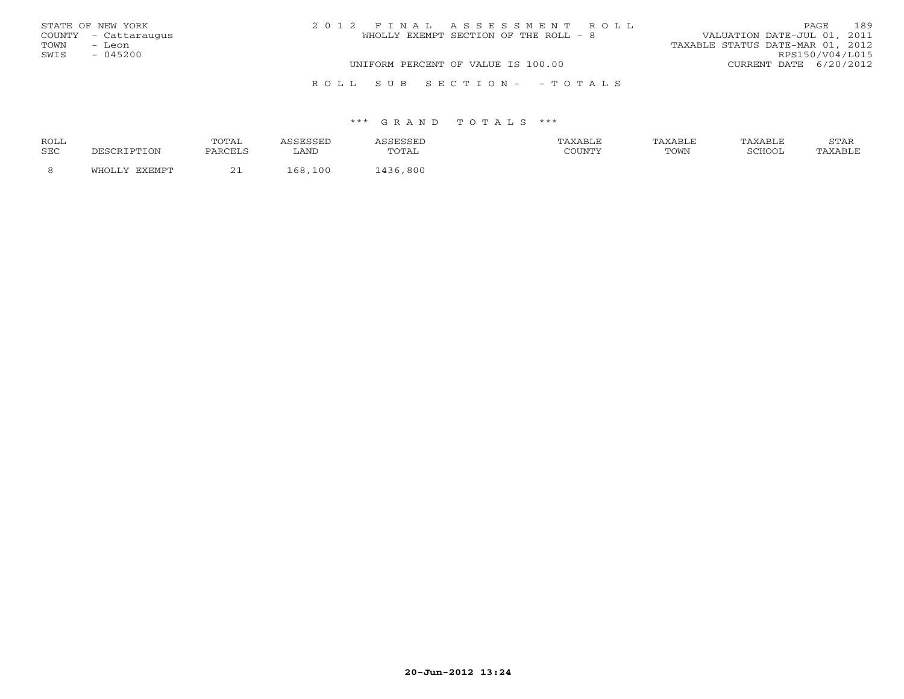| STATE OF NEW YORK    | 2012 FINAL ASSESSMENT ROLL            | 189<br>PAGE                      |
|----------------------|---------------------------------------|----------------------------------|
| COUNTY - Cattaraugus | WHOLLY EXEMPT SECTION OF THE ROLL - 8 | VALUATION DATE-JUL 01, 2011      |
| TOWN<br>– Leon       |                                       | TAXABLE STATUS DATE-MAR 01, 2012 |
| SWIS<br>$-045200$    |                                       | RPS150/V04/L015                  |
|                      | UNIFORM PERCENT OF VALUE IS 100.00    | CURRENT DATE 6/20/2012           |
|                      | ROLL SUB SECTION- - TOTALS            |                                  |

| ROLL       |          | <b>TOTA1</b> |           |                   | <b>XABLF</b> | AXABLE | TAXABLE | <b>CHLAT</b><br>י בתיכו |
|------------|----------|--------------|-----------|-------------------|--------------|--------|---------|-------------------------|
| <b>SEC</b> | DTION    | PARCELS      | LAND      | utal              | COUNTY       | TOWN   | COHOOT  |                         |
|            | . דרו די | <u>_</u>     | 100<br>68 | 800<br>$\sqrt{2}$ |              |        |         |                         |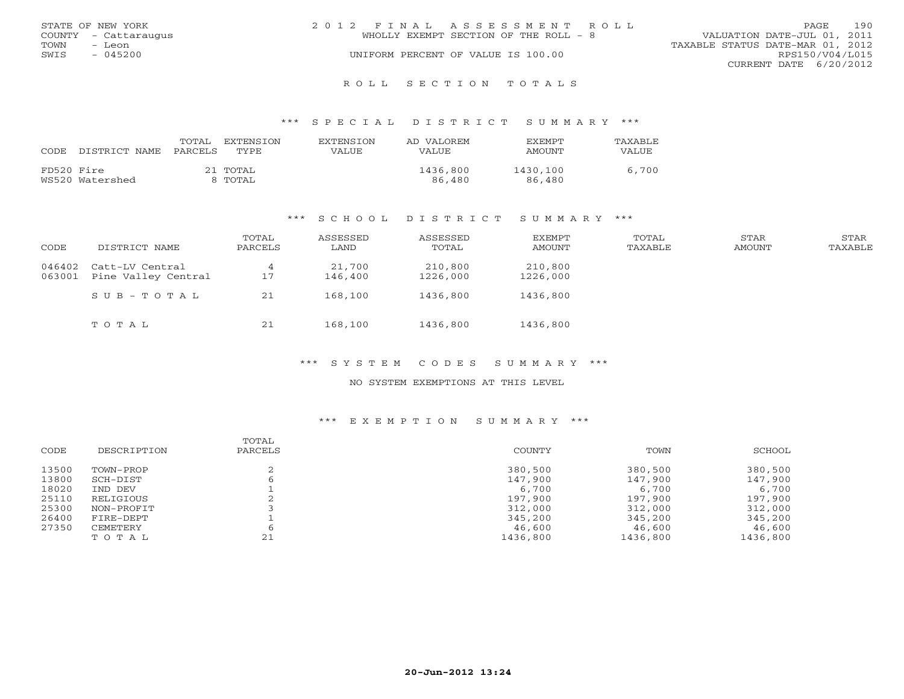|      | STATE OF NEW YORK    | 2012 FINAL ASSESSMENT ROLL |                                       |                                  |                        | PAGE. | 190 |
|------|----------------------|----------------------------|---------------------------------------|----------------------------------|------------------------|-------|-----|
|      | COUNTY - Cattaraugus |                            | WHOLLY EXEMPT SECTION OF THE ROLL - 8 | VALUATION DATE-JUL 01, 2011      |                        |       |     |
| TOWN | - Leon               |                            |                                       | TAXABLE STATUS DATE-MAR 01, 2012 |                        |       |     |
| SWIS | $-045200$            |                            | UNIFORM PERCENT OF VALUE IS 100.00    |                                  | RPS150/V04/L015        |       |     |
|      |                      |                            |                                       |                                  | CURRENT DATE 6/20/2012 |       |     |
|      |                      |                            |                                       |                                  |                        |       |     |

#### R O L L S E C T I O N T O T A L S

#### \*\*\* S P E C I A L D I S T R I C T S U M M A R Y \*\*\*

| CODE       | DISTRICT NAME   | TOTAL<br>PARCELS | EXTENSTON<br>TYPE   | <b>EXTENSION</b><br>VALUE | AD VALOREM<br>VALUE | <b>EXEMPT</b><br>AMOUNT | <b>TAXABLE</b><br>VALUE |
|------------|-----------------|------------------|---------------------|---------------------------|---------------------|-------------------------|-------------------------|
| FD520 Fire | WS520 Watershed |                  | 21 TOTAL<br>8 TOTAL |                           | 1436,800<br>86,480  | 1430,100<br>86,480      | 6,700                   |

#### \*\*\* S C H O O L D I S T R I C T S U M M A R Y \*\*\*

| CODE             | DISTRICT NAME                          | TOTAL<br>PARCELS | ASSESSED<br>LAND  | ASSESSED<br>TOTAL   | EXEMPT<br>AMOUNT    | TOTAL<br>TAXABLE | STAR<br><b>AMOUNT</b> | STAR<br>TAXABLE |
|------------------|----------------------------------------|------------------|-------------------|---------------------|---------------------|------------------|-----------------------|-----------------|
| 046402<br>063001 | Catt-LV Central<br>Pine Valley Central | 17               | 21,700<br>146,400 | 210,800<br>1226,000 | 210,800<br>1226,000 |                  |                       |                 |
|                  | SUB-TOTAL                              | 21               | 168,100           | 1436,800            | 1436,800            |                  |                       |                 |
|                  | TOTAL                                  | 21               | 168,100           | 1436,800            | 1436,800            |                  |                       |                 |

#### \*\*\* S Y S T E M C O D E S S U M M A R Y \*\*\*

### NO SYSTEM EXEMPTIONS AT THIS LEVEL

| CODE  | DESCRIPTION | TOTAL<br>PARCELS | COUNTY   | TOWN     | SCHOOL   |
|-------|-------------|------------------|----------|----------|----------|
| 13500 | TOWN-PROP   |                  | 380,500  | 380,500  | 380,500  |
| 13800 | SCH-DIST    |                  | 147,900  | 147,900  | 147,900  |
| 18020 | IND DEV     |                  | 6,700    | 6,700    | 6,700    |
| 25110 | RELIGIOUS   |                  | 197,900  | 197,900  | 197,900  |
| 25300 | NON-PROFIT  |                  | 312,000  | 312,000  | 312,000  |
| 26400 | FIRE-DEPT   |                  | 345,200  | 345,200  | 345,200  |
| 27350 | CEMETERY    |                  | 46,600   | 46,600   | 46,600   |
|       | TOTAL       | 21               | 1436,800 | 1436,800 | 1436,800 |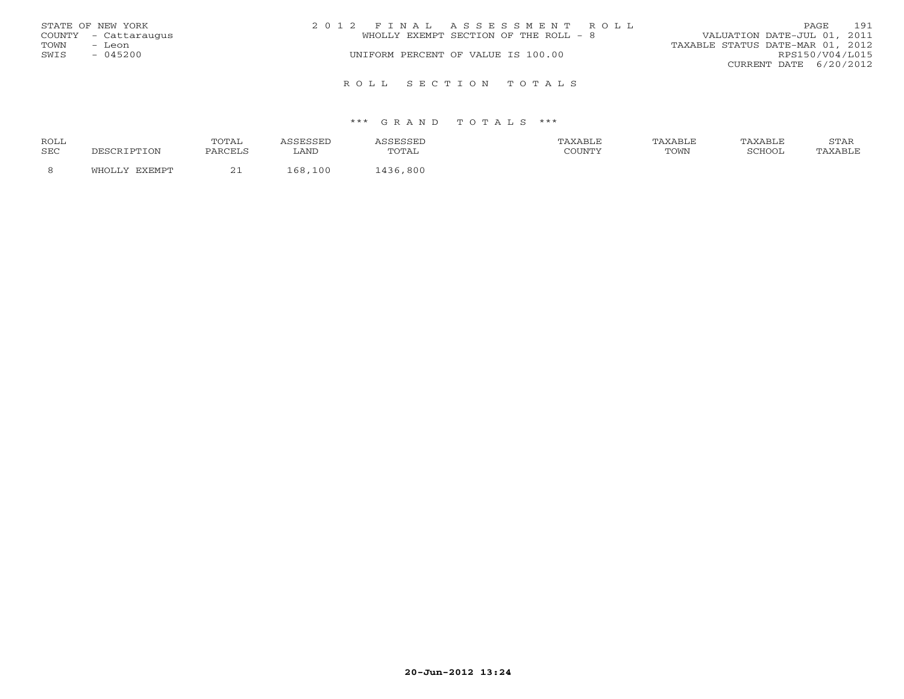|      | STATE OF NEW YORK    | 2012 FINAL ASSESSMENT ROLL            |  |                                  | <b>PAGE</b>     | 191 |
|------|----------------------|---------------------------------------|--|----------------------------------|-----------------|-----|
|      | COUNTY - Cattaraugus | WHOLLY EXEMPT SECTION OF THE ROLL - 8 |  | VALUATION DATE-JUL 01, 2011      |                 |     |
| TOWN | - Leon               |                                       |  | TAXABLE STATUS DATE-MAR 01, 2012 |                 |     |
| SWIS | $-045200$            | UNIFORM PERCENT OF VALUE IS 100.00    |  |                                  | RPS150/V04/L015 |     |
|      |                      |                                       |  | CURRENT DATE 6/20/2012           |                 |     |
|      |                      | ROLL SECTION TOTALS                   |  |                                  |                 |     |

| ROLL |          | TOTAL              |           |                          | TAXABLF |      | TAXABLE | $cm\pi$<br>ת בתוכ |
|------|----------|--------------------|-----------|--------------------------|---------|------|---------|-------------------|
| SEC  |          | PARCELS            | LAND      | $\cdot$ $\sim$<br>سدید ب | COUNTY  | TOWN | COHOOT  |                   |
|      | · ا—ا ۸، | $\sim$<br><u>_</u> | 100<br>68 | ,800<br>136              |         |      |         |                   |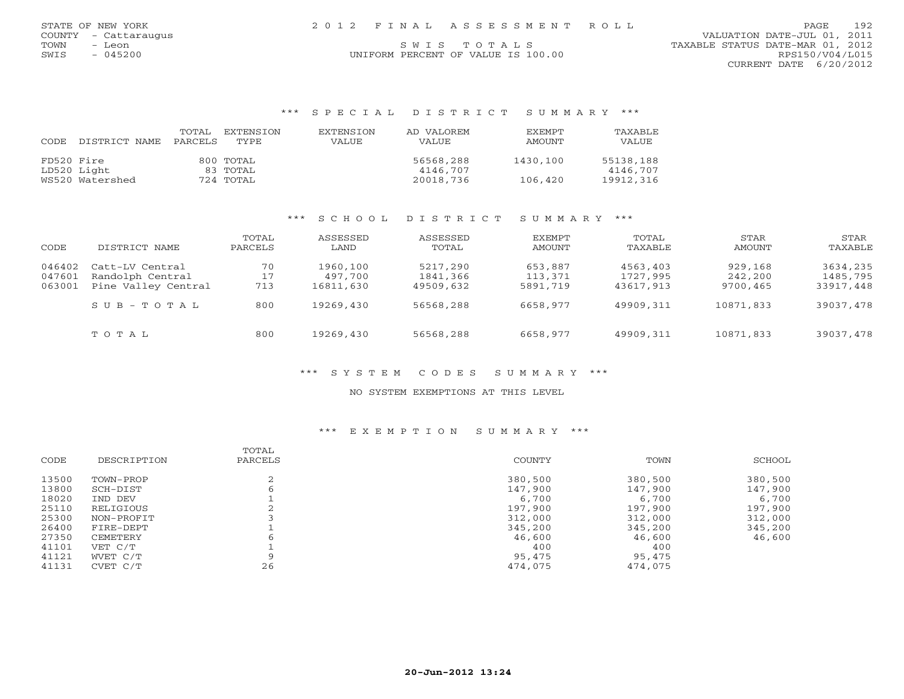| STATE OF NEW YORK    | 2012 FINAL ASSESSMENT ROLL         | 192<br>PAGE.                     |
|----------------------|------------------------------------|----------------------------------|
| COUNTY - Cattaraugus |                                    | VALUATION DATE-JUL 01, 2011      |
| TOWN<br>- Leon       | SWIS TOTALS                        | TAXABLE STATUS DATE-MAR 01, 2012 |
| $-045200$<br>SWIS    | UNIFORM PERCENT OF VALUE IS 100.00 | RPS150/V04/L015                  |
|                      |                                    | CURRENT DATE 6/20/2012           |
|                      |                                    |                                  |

| CODE       | DISTRICT NAME   | TOTAL<br>PARCELS | <b>EXTENSION</b><br>TYPE. | <b>EXTENSION</b><br>VALUE | AD VALOREM<br>VALUE | <b>FXFMPT</b><br>AMOUNT | TAXABLE<br>VALUE |
|------------|-----------------|------------------|---------------------------|---------------------------|---------------------|-------------------------|------------------|
| FD520 Fire |                 |                  | 800 TOTAL                 |                           | 56568,288           | 1430,100                | 55138,188        |
|            | LD520 Light     |                  | 83 TOTAL                  |                           | 4146,707            |                         | 4146.707         |
|            | WS520 Watershed |                  | 724 TOTAL                 |                           | 20018,736           | 106,420                 | 19912,316        |

#### \*\*\* S C H O O L D I S T R I C T S U M M A R Y \*\*\*

| CODE                       | DISTRICT NAME                                              | TOTAL<br>PARCELS | ASSESSED<br>LAND                 | ASSESSED<br>TOTAL                 | EXEMPT<br>AMOUNT               | TOTAL<br>TAXABLE                  | STAR<br>AMOUNT                 | STAR<br>TAXABLE                   |
|----------------------------|------------------------------------------------------------|------------------|----------------------------------|-----------------------------------|--------------------------------|-----------------------------------|--------------------------------|-----------------------------------|
| 046402<br>047601<br>063001 | Catt-LV Central<br>Randolph Central<br>Pine Valley Central | 70<br>17<br>713  | 1960,100<br>497,700<br>16811,630 | 5217,290<br>1841,366<br>49509,632 | 653,887<br>113,371<br>5891,719 | 4563,403<br>1727,995<br>43617,913 | 929,168<br>242,200<br>9700,465 | 3634,235<br>1485,795<br>33917,448 |
|                            | $S \cup B - T \cup T A L$                                  | 800              | 19269,430                        | 56568,288                         | 6658,977                       | 49909,311                         | 10871,833                      | 39037,478                         |
|                            | TOTAL                                                      | 800              | 19269,430                        | 56568,288                         | 6658,977                       | 49909,311                         | 10871,833                      | 39037,478                         |

#### \*\*\* S Y S T E M C O D E S S U M M A R Y \*\*\*

#### NO SYSTEM EXEMPTIONS AT THIS LEVEL

|             | TOTAL   |         |         |         |
|-------------|---------|---------|---------|---------|
| DESCRIPTION | PARCELS | COUNTY  | TOWN    | SCHOOL  |
| TOWN-PROP   |         | 380,500 | 380,500 | 380,500 |
| SCH-DIST    |         | 147,900 | 147,900 | 147,900 |
| IND DEV     |         | 6,700   | 6,700   | 6,700   |
| RELIGIOUS   |         | 197,900 | 197,900 | 197,900 |
| NON-PROFIT  |         | 312,000 | 312,000 | 312,000 |
| FIRE-DEPT   |         | 345,200 | 345,200 | 345,200 |
| CEMETERY    |         | 46,600  | 46,600  | 46,600  |
| VET C/T     |         | 400     | 400     |         |
| WVET C/T    |         | 95,475  | 95,475  |         |
| CVET C/T    | 26      | 474,075 | 474,075 |         |
|             |         |         |         |         |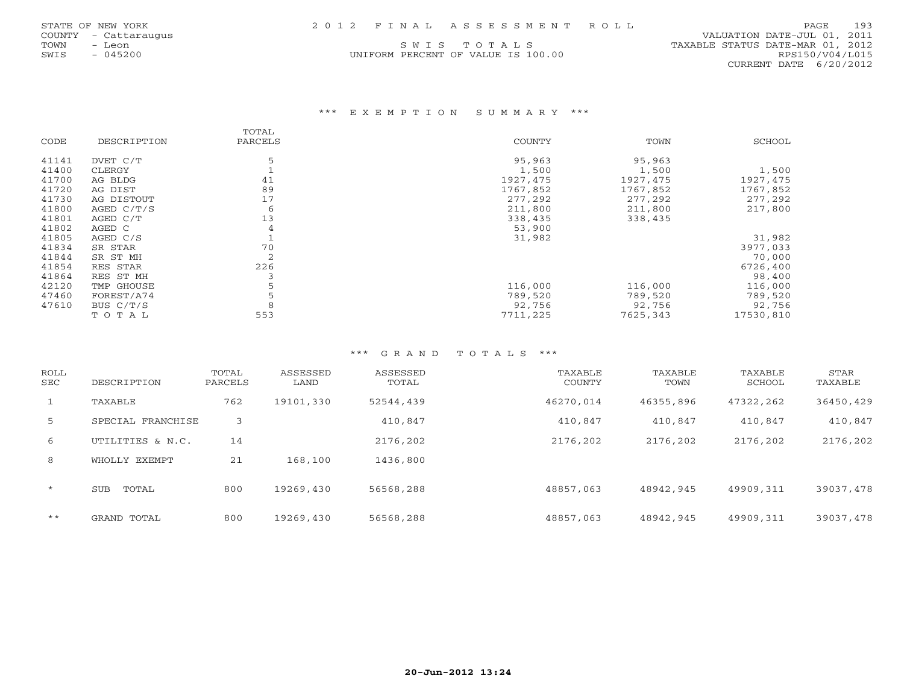| STATE OF NEW YORK    | 2012 FINAL ASSESSMENT ROLL         | 193<br>PAGE.                     |
|----------------------|------------------------------------|----------------------------------|
| COUNTY - Cattaraugus |                                    | VALUATION DATE-JUL 01, 2011      |
| TOWN<br>Leon         | SWIS TOTALS                        | TAXABLE STATUS DATE-MAR 01, 2012 |
| 045200<br>SWTS       | UNIFORM PERCENT OF VALUE IS 100.00 | RPS150/V04/L015                  |

8PS150/V04/L015 CURRENT DATE 6/20/2012

#### \*\*\* E X E M P T I O N S U M M A R Y \*\*\*

|       |             | TOTAL   |               |           |           |
|-------|-------------|---------|---------------|-----------|-----------|
| CODE  | DESCRIPTION | PARCELS | <b>COUNTY</b> | TOWN      | SCHOOL    |
| 41141 | DVET C/T    | 5       | 95,963        | 95,963    |           |
| 41400 | CLERGY      |         | 1,500         | 1,500     | 1,500     |
| 41700 | AG BLDG     | 41      | 1927, 475     | 1927, 475 | 1927, 475 |
| 41720 | AG DIST     | 89      | 1767,852      | 1767,852  | 1767,852  |
| 41730 | AG DISTOUT  | 17      | 277,292       | 277,292   | 277,292   |
| 41800 | AGED C/T/S  | 6       | 211,800       | 211,800   | 217,800   |
| 41801 | AGED C/T    | 13      | 338,435       | 338,435   |           |
| 41802 | AGED C      |         | 53,900        |           |           |
| 41805 | AGED C/S    |         | 31,982        |           | 31,982    |
| 41834 | SR STAR     | 70      |               |           | 3977,033  |
| 41844 | SR ST MH    | 2       |               |           | 70,000    |
| 41854 | RES STAR    | 226     |               |           | 6726,400  |
| 41864 | RES ST MH   |         |               |           | 98,400    |
| 42120 | TMP GHOUSE  |         | 116,000       | 116,000   | 116,000   |
| 47460 | FOREST/A74  |         | 789,520       | 789,520   | 789,520   |
| 47610 | BUS $C/T/S$ | 8       | 92,756        | 92,756    | 92,756    |
|       | TOTAL       | 553     | 7711,225      | 7625,343  | 17530,810 |

| <b>ROLL</b><br><b>SEC</b> | DESCRIPTION         | TOTAL<br>PARCELS | ASSESSED<br>LAND | ASSESSED<br>TOTAL | TAXABLE<br>COUNTY | TAXABLE<br>TOWN | TAXABLE<br>SCHOOL | STAR<br>TAXABLE |
|---------------------------|---------------------|------------------|------------------|-------------------|-------------------|-----------------|-------------------|-----------------|
|                           | TAXABLE             | 762              | 19101,330        | 52544,439         | 46270.014         | 46355,896       | 47322,262         | 36450,429       |
| 5                         | SPECIAL FRANCHISE   | 3                |                  | 410,847           | 410,847           | 410,847         | 410,847           | 410,847         |
| 6                         | UTILITIES & N.C.    | 14               |                  | 2176,202          | 2176,202          | 2176,202        | 2176,202          | 2176,202        |
| 8                         | WHOLLY EXEMPT       | 21               | 168,100          | 1436,800          |                   |                 |                   |                 |
| $\star$                   | <b>SUB</b><br>TOTAL | 800              | 19269,430        | 56568,288         | 48857,063         | 48942,945       | 49909,311         | 39037,478       |
| $***$                     | GRAND TOTAL         | 800              | 19269,430        | 56568,288         | 48857,063         | 48942,945       | 49909,311         | 39037,478       |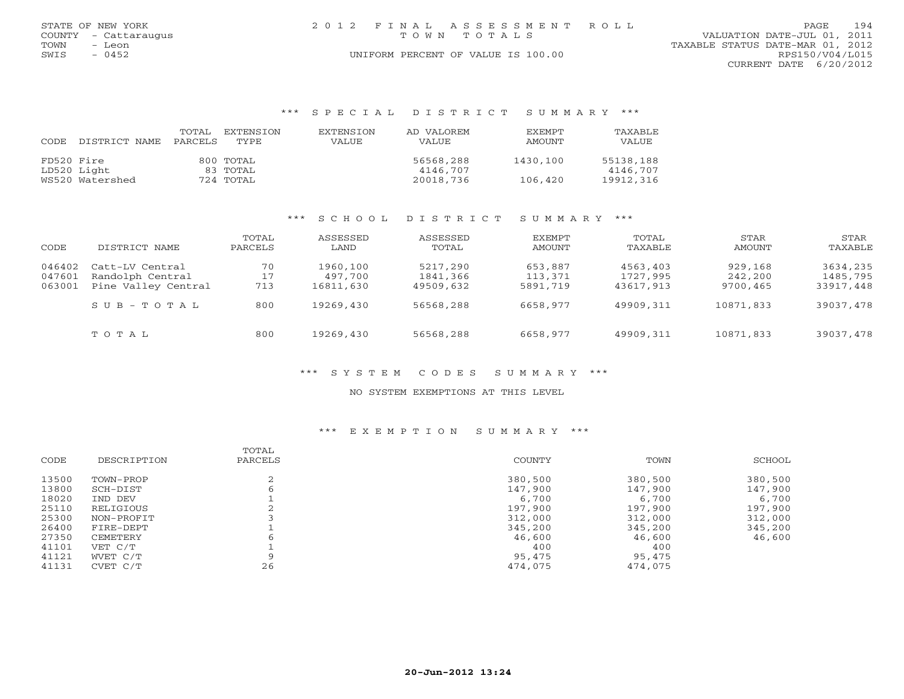| STATE OF NEW YORK    | 2012 FINAL ASSESSMENT ROLL         | 194<br>PAGE                      |
|----------------------|------------------------------------|----------------------------------|
| COUNTY - Cattaraugus | TOWN TOTALS                        | VALUATION DATE-JUL 01, 2011      |
| TOWN<br>- Leon       |                                    | TAXABLE STATUS DATE-MAR 01, 2012 |
| SWIS<br>- 0452       | UNIFORM PERCENT OF VALUE IS 100.00 | RPS150/V04/L015                  |
|                      |                                    | CURRENT DATE 6/20/2012           |

| CODE       | DISTRICT NAME   | TOTAL<br>PARCELS | EXTENSTON<br>TYPE. | EXTENSION<br>VALUE | AD VALOREM<br>VALUE | <b>FXFMPT</b><br>AMOUNT | TAXABLE<br>VALUE |
|------------|-----------------|------------------|--------------------|--------------------|---------------------|-------------------------|------------------|
| FD520 Fire |                 |                  | 800 TOTAL          |                    | 56568,288           | 1430,100                | 55138,188        |
|            | LD520 Light     |                  | 83 TOTAL           |                    | 4146,707            |                         | 4146,707         |
|            | WS520 Watershed |                  | 724 TOTAL          |                    | 20018,736           | 106,420                 | 19912,316        |

#### \*\*\* S C H O O L D I S T R I C T S U M M A R Y \*\*\*

| CODE                       | DISTRICT NAME                                              | TOTAL<br>PARCELS | ASSESSED<br>LAND                 | ASSESSED<br>TOTAL                 | EXEMPT<br>AMOUNT               | TOTAL<br>TAXABLE                  | STAR<br>AMOUNT                 | STAR<br>TAXABLE                   |
|----------------------------|------------------------------------------------------------|------------------|----------------------------------|-----------------------------------|--------------------------------|-----------------------------------|--------------------------------|-----------------------------------|
| 046402<br>047601<br>063001 | Catt-LV Central<br>Randolph Central<br>Pine Valley Central | 70<br>17<br>713  | 1960,100<br>497,700<br>16811,630 | 5217,290<br>1841,366<br>49509,632 | 653,887<br>113,371<br>5891,719 | 4563,403<br>1727,995<br>43617,913 | 929,168<br>242,200<br>9700,465 | 3634,235<br>1485,795<br>33917,448 |
|                            | $S \cup B - T \cup T A$                                    | 800              | 19269,430                        | 56568,288                         | 6658,977                       | 49909,311                         | 10871,833                      | 39037,478                         |
|                            | TOTAL                                                      | 800              | 19269,430                        | 56568,288                         | 6658,977                       | 49909,311                         | 10871,833                      | 39037,478                         |

#### \*\*\* S Y S T E M C O D E S S U M M A R Y \*\*\*

#### NO SYSTEM EXEMPTIONS AT THIS LEVEL

|       |             | TOTAL   |         |         |         |
|-------|-------------|---------|---------|---------|---------|
| CODE  | DESCRIPTION | PARCELS | COUNTY  | TOWN    | SCHOOL  |
| 13500 | TOWN-PROP   |         | 380,500 | 380,500 | 380,500 |
| 13800 | SCH-DIST    |         | 147,900 | 147,900 | 147,900 |
| 18020 | TND DEV     |         | 6,700   | 6,700   | 6,700   |
| 25110 | RELIGIOUS   |         | 197,900 | 197,900 | 197,900 |
| 25300 | NON-PROFIT  |         | 312,000 | 312,000 | 312,000 |
| 26400 | FIRE-DEPT   |         | 345,200 | 345,200 | 345,200 |
| 27350 | CEMETERY    |         | 46,600  | 46,600  | 46,600  |
| 41101 | VET C/T     |         | 400     | 400     |         |
| 41121 | WVET C/T    |         | 95,475  | 95,475  |         |
| 41131 | CVET C/T    | 26      | 474,075 | 474,075 |         |
|       |             |         |         |         |         |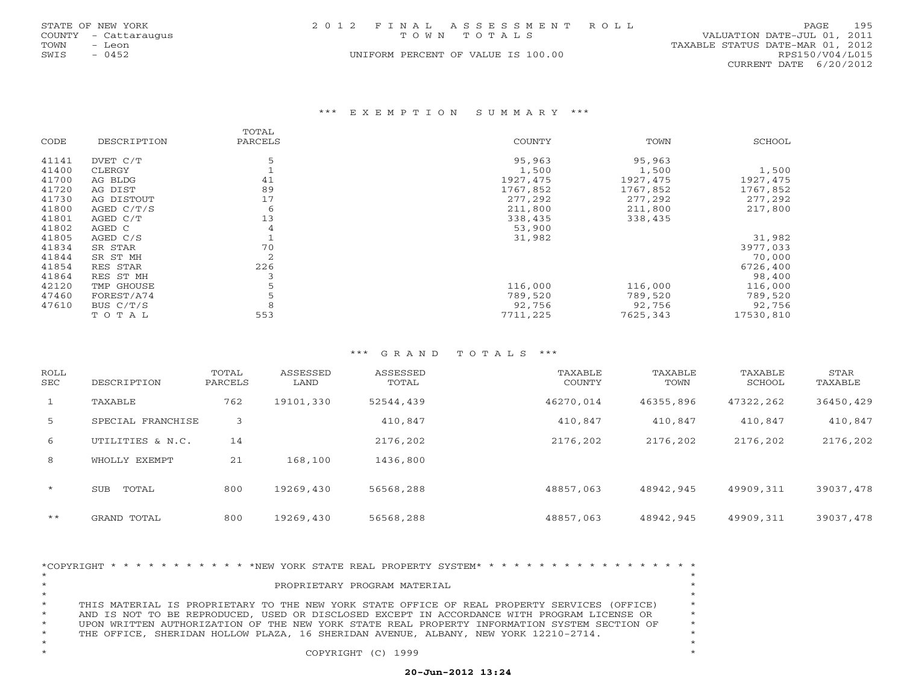|      | STATE OF NEW YORK    | 2012 FINAL ASSESSMENT ROLL         |                                  | PAGE            | 195 |
|------|----------------------|------------------------------------|----------------------------------|-----------------|-----|
|      | COUNTY - Cattaraugus | TOWN TOTALS                        | VALUATION DATE-JUL 01, 2011      |                 |     |
| TOWN | - Leon               |                                    | TAXABLE STATUS DATE-MAR 01, 2012 |                 |     |
| SWIS | $-0452$              | UNIFORM PERCENT OF VALUE IS 100.00 |                                  | RPS150/V04/L015 |     |
|      |                      |                                    | CURRENT DATE 6/20/2012           |                 |     |

#### \*\*\* E X E M P T I O N S U M M A R Y \*\*\*

|       |              | TOTAL          |           |          |           |
|-------|--------------|----------------|-----------|----------|-----------|
| CODE  | DESCRIPTION  | PARCELS        | COUNTY    | TOWN     | SCHOOL    |
| 41141 | DVET C/T     |                | 95,963    | 95,963   |           |
| 41400 | CLERGY       |                | 1,500     | 1,500    | 1,500     |
| 41700 | AG BLDG      | 41             | 1927, 475 | 1927,475 | 1927,475  |
| 41720 | AG DIST      | 89             | 1767,852  | 1767,852 | 1767,852  |
| 41730 | AG DISTOUT   | 17             | 277,292   | 277,292  | 277,292   |
| 41800 | AGED $C/T/S$ | 6              | 211,800   | 211,800  | 217,800   |
| 41801 | AGED C/T     | 13             | 338,435   | 338,435  |           |
| 41802 | AGED C       | 4              | 53,900    |          |           |
| 41805 | AGED C/S     |                | 31,982    |          | 31,982    |
| 41834 | SR STAR      | 70             |           |          | 3977,033  |
| 41844 | SR ST MH     | $\overline{2}$ |           |          | 70,000    |
| 41854 | RES STAR     | 226            |           |          | 6726,400  |
| 41864 | RES ST MH    |                |           |          | 98,400    |
| 42120 | TMP GHOUSE   |                | 116,000   | 116,000  | 116,000   |
| 47460 | FOREST/A74   |                | 789,520   | 789,520  | 789,520   |
| 47610 | BUS C/T/S    | 8              | 92,756    | 92,756   | 92,756    |
|       | TOTAL        | 553            | 7711,225  | 7625,343 | 17530,810 |

#### \*\*\* G R A N D T O T A L S \*\*\*

| ROLL<br>SEC | DESCRIPTION       | TOTAL<br>PARCELS | ASSESSED<br>LAND | ASSESSED<br>TOTAL | TAXABLE<br>COUNTY | TAXABLE<br>TOWN | TAXABLE<br>SCHOOL | STAR<br>TAXABLE |
|-------------|-------------------|------------------|------------------|-------------------|-------------------|-----------------|-------------------|-----------------|
|             | TAXABLE           | 762              | 19101,330        | 52544,439         | 46270.014         | 46355,896       | 47322,262         | 36450,429       |
| 5           | SPECIAL FRANCHISE | 3                |                  | 410,847           | 410,847           | 410,847         | 410,847           | 410,847         |
| 6           | UTILITIES & N.C.  | 14               |                  | 2176,202          | 2176,202          | 2176,202        | 2176,202          | 2176,202        |
| 8           | WHOLLY EXEMPT     | 21               | 168,100          | 1436,800          |                   |                 |                   |                 |
| $\star$     | TOTAL<br>SUB      | 800              | 19269,430        | 56568,288         | 48857,063         | 48942,945       | 49909,311         | 39037,478       |
| $* *$       | GRAND TOTAL       | 800              | 19269,430        | 56568,288         | 48857,063         | 48942,945       | 49909,311         | 39037,478       |

|            | *COPYRIGHT * * * * * * * * * * * * NEW YORK STATE REAL PROPERTY SYSTEM* * * * * * * * * * * * * * * * * * * |         |  |
|------------|-------------------------------------------------------------------------------------------------------------|---------|--|
|            | PROPRIETARY PROGRAM MATERIAL                                                                                |         |  |
|            |                                                                                                             |         |  |
| $^{\star}$ | THIS MATERIAL IS PROPRIETARY TO THE NEW YORK STATE OFFICE OF REAL PROPERTY SERVICES (OFFICE)                | $\star$ |  |
| $^{\star}$ | AND IS NOT TO BE REPRODUCED, USED OR DISCLOSED EXCEPT IN ACCORDANCE WITH PROGRAM LICENSE OR                 |         |  |
| $\star$    | UPON WRITTEN AUTHORIZATION OF THE NEW YORK STATE REAL PROPERTY INFORMATION SYSTEM SECTION OF                |         |  |
| $\star$    | THE OFFICE, SHERIDAN HOLLOW PLAZA, 16 SHERIDAN AVENUE, ALBANY, NEW YORK 12210-2714.                         |         |  |
|            |                                                                                                             |         |  |
|            | COPYRIGHT (C) 1999                                                                                          |         |  |
|            |                                                                                                             |         |  |

# **20-Jun-2012 13:24**